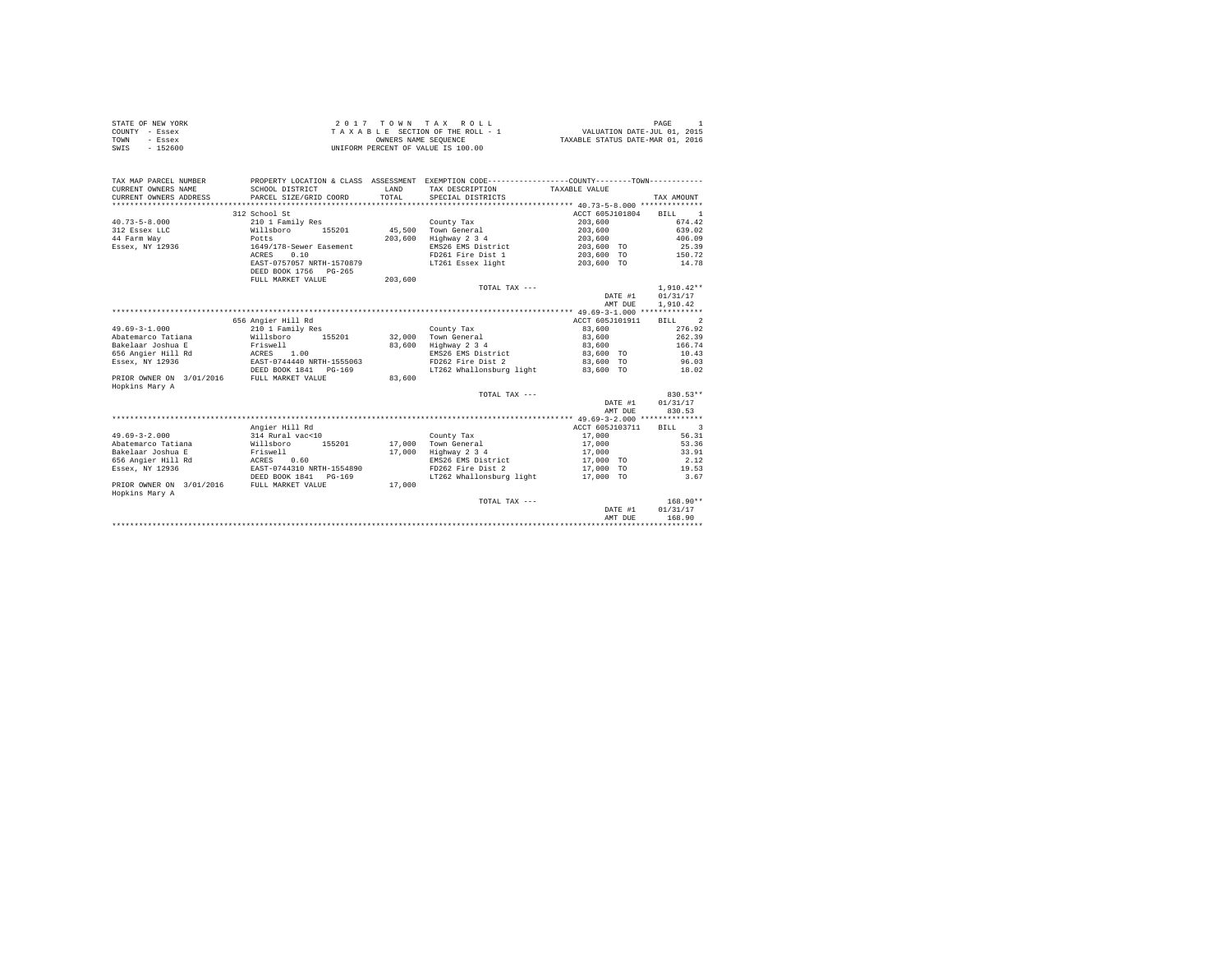| STATE OF NEW YORK | 2017 TOWN TAX ROLL                 | PAGE                             |
|-------------------|------------------------------------|----------------------------------|
| COUNTY - Essex    | TAXABLE SECTION OF THE ROLL - 1    | VALUATION DATE-JUL 01, 2015      |
| TOWN<br>- Essex   | OWNERS NAME SEOUENCE               | TAXABLE STATUS DATE-MAR 01, 2016 |
| SWIS<br>- 152600  | UNIFORM PERCENT OF VALUE IS 100.00 |                                  |

| TAX MAP PARCEL NUMBER                      |                           |         | PROPERTY LOCATION & CLASS ASSESSMENT EXEMPTION CODE----------------COUNTY-------TOWN---------- |                        |              |
|--------------------------------------------|---------------------------|---------|------------------------------------------------------------------------------------------------|------------------------|--------------|
| CURRENT OWNERS NAME                        | SCHOOL DISTRICT           | LAND    | TAX DESCRIPTION                                                                                | TAXABLE VALUE          |              |
| CURRENT OWNERS ADDRESS                     | PARCEL SIZE/GRID COORD    | TOTAL   | SPECIAL DISTRICTS                                                                              |                        | TAX AMOUNT   |
|                                            |                           |         |                                                                                                |                        |              |
|                                            | 312 School St             |         |                                                                                                | ACCT 605J101804 BILL 1 |              |
| $40.73 - 5 - 8.000$                        | 210 1 Family Res          |         | County Tax                                                                                     | 203,600                | 674.42       |
| Willsboro<br>312 Essex LLC                 | 155201                    |         | 45.500 Town General                                                                            | 203,600                | 639.02       |
| 44 Farm Way                                | Potts                     | 203,600 | Highway 2 3 4                                                                                  | 203,600                | 406.09       |
| Essex, NY 12936                            | 1649/178-Sewer Easement   |         | EMS26 EMS District                                                                             | 203,600 TO             | 25.39        |
|                                            | 0.10<br>ACRES             |         | FD261 Fire Dist 1                                                                              | 203,600 TO             | 150.72       |
|                                            | EAST-0757057 NRTH-1570879 |         | LT261 Essex light                                                                              | 203,600 TO             | 14.78        |
|                                            | DEED BOOK 1756 PG-265     |         |                                                                                                |                        |              |
|                                            | FULL MARKET VALUE         | 203,600 |                                                                                                |                        |              |
|                                            |                           |         | TOTAL TAX ---                                                                                  |                        | $1,910.42**$ |
|                                            |                           |         |                                                                                                | DATE #1                | 01/31/17     |
|                                            |                           |         |                                                                                                | AMT DUE                | 1,910.42     |
|                                            |                           |         |                                                                                                |                        |              |
|                                            | 656 Angier Hill Rd        |         |                                                                                                | ACCT 605J101911        | BILL 2       |
| $49.69 - 3 - 1.000$                        | 210 1 Family Res          |         | County Tax                                                                                     | 83,600                 | 276.92       |
| Abatemarco Tatiana                         | Willsboro 155201          |         | 32.000 Town General                                                                            | 83,600                 | 262.39       |
| Bakelaar Joshua E                          | Friswell                  | 83,600  | Highway 2 3 4                                                                                  | 83,600                 | 166.74       |
| ACRES<br>656 Angier Hill Rd                | 1.00                      |         | EMS26 EMS District                                                                             | 83,600 TO              | 10.43        |
| Essex, NY 12936                            | EAST-0744440 NRTH-1555063 |         | FD262 Fire Dist 2                                                                              | 83,600 TO              | 96.03        |
|                                            | DEED BOOK 1841 PG-169     |         | LT262 Whallonsburg light                                                                       | 83,600 TO              | 18.02        |
| PRIOR OWNER ON 3/01/2016                   | FULL MARKET VALUE         | 83,600  |                                                                                                |                        |              |
| Hopkins Mary A                             |                           |         |                                                                                                |                        |              |
|                                            |                           |         | TOTAL TAX ---                                                                                  |                        | 830.53**     |
|                                            |                           |         |                                                                                                | DATE #1                | 01/31/17     |
|                                            |                           |         |                                                                                                | AMT DUE                | 830.53       |
|                                            |                           |         |                                                                                                |                        |              |
|                                            | Angier Hill Rd            |         |                                                                                                | ACCT 605J103711        | BILL 3       |
| $49.69 - 3 - 2.000$                        | 314 Rural vac<10          |         | County Tax                                                                                     | 17,000                 | 56.31        |
| Abatemarco Tatiana                         | Willsboro<br>155201       | 17,000  | Town General                                                                                   | 17,000                 | 53.36        |
| Bakelaar Joshua E                          | Friswell                  | 17,000  | Highway 2 3 4                                                                                  | 17,000                 | 33.91        |
| 656 Angier Hill Rd                         | ACRES 0.60                |         | EMS26 EMS District                                                                             | 17,000 TO              | 2.12         |
| Essex, NY 12936                            | EAST-0744310 NRTH-1554890 |         | FD262 Fire Dist 2                                                                              | 17,000 TO              | 19.53        |
|                                            | DEED BOOK 1841 PG-169     |         | LT262 Whallonsburg light 17,000 TO                                                             |                        | 3.67         |
| PRIOR OWNER ON 3/01/2016<br>Hopkins Mary A | FULL MARKET VALUE         | 17,000  |                                                                                                |                        |              |
|                                            |                           |         | TOTAL TAX ---                                                                                  |                        | $168.90**$   |
|                                            |                           |         |                                                                                                | DATE #1                | 01/31/17     |
|                                            |                           |         |                                                                                                | AMT DUE                | 168.90       |
|                                            |                           |         |                                                                                                |                        |              |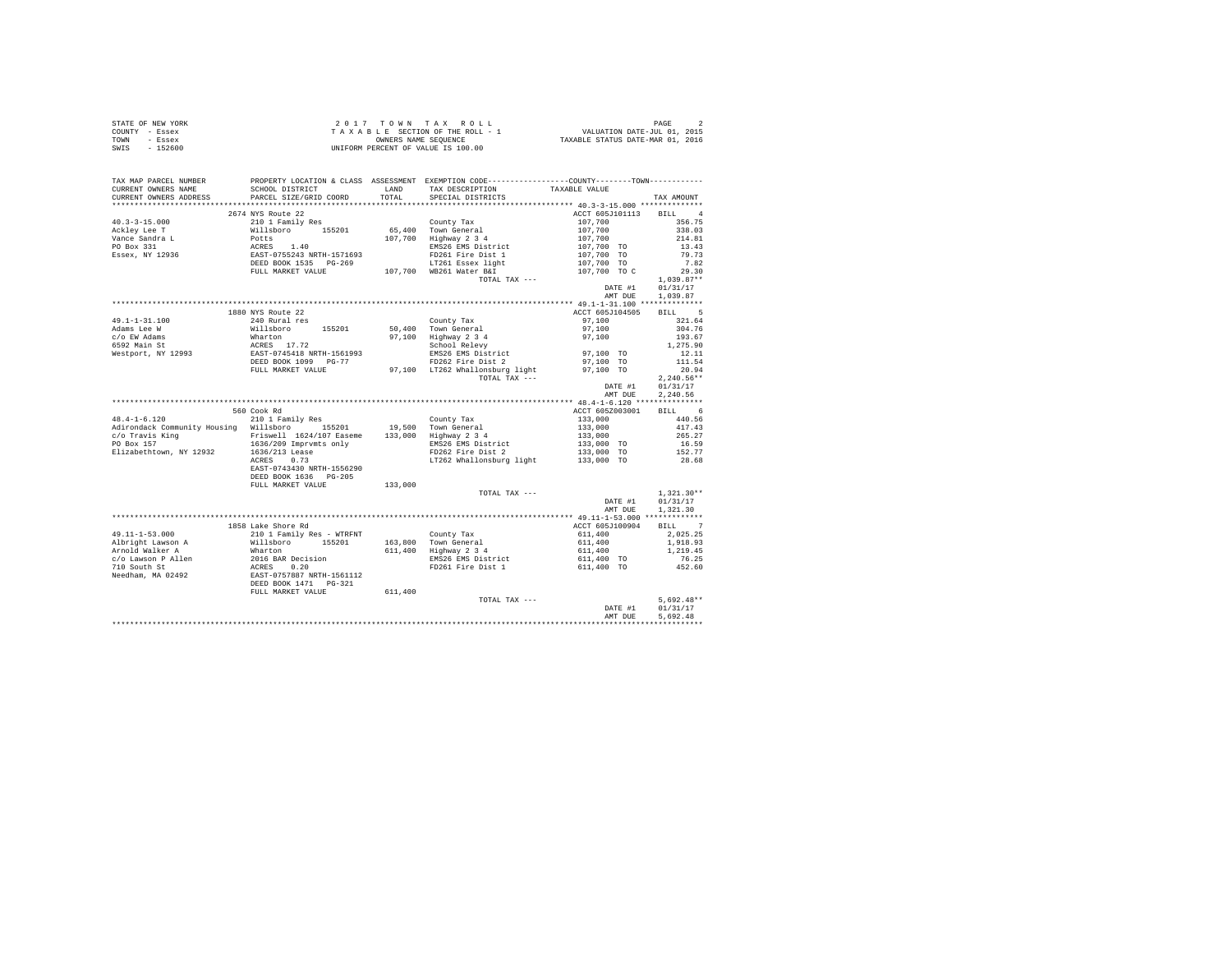|                | STATE OF NEW YORK | 2017 TOWN TAX ROLL                 | PAGE                             |
|----------------|-------------------|------------------------------------|----------------------------------|
| COUNTY - Essex |                   | TAXABLE SECTION OF THE ROLL - 1    | VALUATION DATE-JUL 01, 2015      |
| TOWN           | - Essex           | OWNERS NAME SEOUENCE               | TAXABLE STATUS DATE-MAR 01, 2016 |
| SWIS           | - 152600          | UNIFORM PERCENT OF VALUE IS 100.00 |                                  |

| TAX MAP PARCEL NUMBER                                                                                                                                                                                                                                                                                                                                                                                                      | PROPERTY LOCATION & CLASS ASSESSMENT EXEMPTION CODE----------------COUNTY-------TOWN----------           |         |                                                                                                                |                                                                                                                                                 |              |
|----------------------------------------------------------------------------------------------------------------------------------------------------------------------------------------------------------------------------------------------------------------------------------------------------------------------------------------------------------------------------------------------------------------------------|----------------------------------------------------------------------------------------------------------|---------|----------------------------------------------------------------------------------------------------------------|-------------------------------------------------------------------------------------------------------------------------------------------------|--------------|
| CURRENT OWNERS NAME                                                                                                                                                                                                                                                                                                                                                                                                        | SCHOOL DISTRICT                                                                                          | LAND    | TAX DESCRIPTION                                                                                                | TAXABLE VALUE                                                                                                                                   |              |
| CURRENT OWNERS ADDRESS                                                                                                                                                                                                                                                                                                                                                                                                     | PARCEL SIZE/GRID COORD                                                                                   | TOTAL   | SPECIAL DISTRICTS                                                                                              |                                                                                                                                                 | TAX AMOUNT   |
|                                                                                                                                                                                                                                                                                                                                                                                                                            |                                                                                                          |         |                                                                                                                |                                                                                                                                                 |              |
|                                                                                                                                                                                                                                                                                                                                                                                                                            | 2674 NYS Route 22                                                                                        |         |                                                                                                                | ACCT 605J101113                                                                                                                                 | BILL 4       |
| $40.3 - 3 - 15.000$                                                                                                                                                                                                                                                                                                                                                                                                        |                                                                                                          |         |                                                                                                                | 107,700                                                                                                                                         | 356.75       |
| Ackley Lee T<br>Vance Sandra L                                                                                                                                                                                                                                                                                                                                                                                             |                                                                                                          |         |                                                                                                                |                                                                                                                                                 | 338.03       |
|                                                                                                                                                                                                                                                                                                                                                                                                                            |                                                                                                          |         |                                                                                                                |                                                                                                                                                 | 214.81       |
| PO Box 331                                                                                                                                                                                                                                                                                                                                                                                                                 |                                                                                                          |         |                                                                                                                |                                                                                                                                                 | 13.43        |
| Essex, NY 12936                                                                                                                                                                                                                                                                                                                                                                                                            |                                                                                                          |         |                                                                                                                |                                                                                                                                                 | 79.73        |
|                                                                                                                                                                                                                                                                                                                                                                                                                            |                                                                                                          |         |                                                                                                                | $107,700$<br>$107,700$<br>$107,700$ TO<br>$107,700$ TO<br>$107,700$ TO                                                                          | 7.82         |
|                                                                                                                                                                                                                                                                                                                                                                                                                            |                                                                                                          |         |                                                                                                                | 107,700 TO C                                                                                                                                    | 29.30        |
|                                                                                                                                                                                                                                                                                                                                                                                                                            |                                                                                                          |         | TOTAL TAX ---                                                                                                  |                                                                                                                                                 | $1,039.87**$ |
|                                                                                                                                                                                                                                                                                                                                                                                                                            |                                                                                                          |         |                                                                                                                | DATE #1                                                                                                                                         | 01/31/17     |
|                                                                                                                                                                                                                                                                                                                                                                                                                            |                                                                                                          |         |                                                                                                                | AMT DUE                                                                                                                                         | 1,039.87     |
|                                                                                                                                                                                                                                                                                                                                                                                                                            |                                                                                                          |         |                                                                                                                |                                                                                                                                                 |              |
|                                                                                                                                                                                                                                                                                                                                                                                                                            | 1880 NYS Route 22                                                                                        |         |                                                                                                                | ACCT 605J104505                                                                                                                                 | BILL 5       |
| 49.1-1-31.100                                                                                                                                                                                                                                                                                                                                                                                                              | 240 Rural res                                                                                            |         | County Tax                                                                                                     | 97,100                                                                                                                                          | 321.64       |
| Adams Lee W                                                                                                                                                                                                                                                                                                                                                                                                                |                                                                                                          |         | 50,400 Town General                                                                                            | 97.100                                                                                                                                          | 304.76       |
| c/o EW Adams                                                                                                                                                                                                                                                                                                                                                                                                               | Willsboro 155201<br>Willsboro 155201<br>ACRES 17.72<br>EAST-0745418 NRTH-1561993<br>DEED BOOK 1099 PG-77 |         | 97,100 Highway 2 3 4<br>School Relevy                                                                          | 97,100                                                                                                                                          | 193.67       |
| 6592 Main St<br>Westport, NY 12993                                                                                                                                                                                                                                                                                                                                                                                         |                                                                                                          |         |                                                                                                                |                                                                                                                                                 | 1,275.90     |
|                                                                                                                                                                                                                                                                                                                                                                                                                            |                                                                                                          |         |                                                                                                                |                                                                                                                                                 | 12.11        |
|                                                                                                                                                                                                                                                                                                                                                                                                                            |                                                                                                          |         | EMS26 EMS District<br>FD262 Fire District<br>FD262 Fire Dist 2 97.100 TO<br>FTR063 in The Contract 2 97.100 TO |                                                                                                                                                 | 111.54       |
|                                                                                                                                                                                                                                                                                                                                                                                                                            | FULL MARKET VALUE                                                                                        |         | 97,100 LT262 Whallonsburg light                                                                                | 97,100 TO                                                                                                                                       | 20.94        |
|                                                                                                                                                                                                                                                                                                                                                                                                                            |                                                                                                          |         | TOTAL TAX ---                                                                                                  |                                                                                                                                                 | $2,240.56**$ |
|                                                                                                                                                                                                                                                                                                                                                                                                                            |                                                                                                          |         |                                                                                                                | DATE #1                                                                                                                                         | 01/31/17     |
|                                                                                                                                                                                                                                                                                                                                                                                                                            |                                                                                                          |         |                                                                                                                | AMT DUE                                                                                                                                         | 2.240.56     |
|                                                                                                                                                                                                                                                                                                                                                                                                                            |                                                                                                          |         |                                                                                                                |                                                                                                                                                 | BILL 6       |
| $\begin{tabular}{lllllllllll} $\textsc{num}_\text{19,500} $ & $\textsc{num}_\text{20,100}$ & $\textsc{num}_\text{20,100}$ & $\textsc{num}_\text{20,100}$ & $\textsc{num}_\text{20,100}$ & $\textsc{num}_\text{20,100}$ & $\textsc{num}_\text{20,100}$ & $\textsc{num}_\text{20,100}$ & $\textsc{num}_\text{20,100}$ & $\textsc{num}_\text{20,100}$ & $\textsc{num}_\text{20,100}$ & $\textsc{num}_\text{20,100}$ & $\text$ | 560 Cook Rd                                                                                              |         |                                                                                                                | ACCT 605Z003001                                                                                                                                 |              |
|                                                                                                                                                                                                                                                                                                                                                                                                                            |                                                                                                          |         |                                                                                                                |                                                                                                                                                 | 440.56       |
|                                                                                                                                                                                                                                                                                                                                                                                                                            |                                                                                                          |         |                                                                                                                |                                                                                                                                                 | 417.43       |
|                                                                                                                                                                                                                                                                                                                                                                                                                            |                                                                                                          |         |                                                                                                                | $\begin{array}{r} 133\,, 000\\ 133\,, 000\\ 133\,, 000\\ 133\,, 000\\ 133\,, 000\quad \, \mbox{TO} \\ 133\,, 000\quad \, \mbox{TO} \end{array}$ | 265.27       |
|                                                                                                                                                                                                                                                                                                                                                                                                                            |                                                                                                          |         | EMS26 EMS District<br>FD262 Fire Dist 2                                                                        |                                                                                                                                                 | 16.59        |
|                                                                                                                                                                                                                                                                                                                                                                                                                            |                                                                                                          |         |                                                                                                                |                                                                                                                                                 | 152.77       |
|                                                                                                                                                                                                                                                                                                                                                                                                                            | EAST-0743430 NRTH-1556290                                                                                |         | LT262 Whallonsburg light 133,000 TO                                                                            |                                                                                                                                                 | 28.68        |
|                                                                                                                                                                                                                                                                                                                                                                                                                            |                                                                                                          |         |                                                                                                                |                                                                                                                                                 |              |
|                                                                                                                                                                                                                                                                                                                                                                                                                            | DEED BOOK 1636 PG-205                                                                                    |         |                                                                                                                |                                                                                                                                                 |              |
|                                                                                                                                                                                                                                                                                                                                                                                                                            | FULL MARKET VALUE                                                                                        | 133,000 | TOTAL TAX ---                                                                                                  |                                                                                                                                                 | $1.321.30**$ |
|                                                                                                                                                                                                                                                                                                                                                                                                                            |                                                                                                          |         |                                                                                                                |                                                                                                                                                 | 01/31/17     |
|                                                                                                                                                                                                                                                                                                                                                                                                                            |                                                                                                          |         |                                                                                                                | DATE #1<br>AMT DUE                                                                                                                              | 1,321,30     |
|                                                                                                                                                                                                                                                                                                                                                                                                                            |                                                                                                          |         |                                                                                                                |                                                                                                                                                 |              |
|                                                                                                                                                                                                                                                                                                                                                                                                                            | 1858 Lake Shore Rd                                                                                       |         |                                                                                                                | ACCT 605J100904 BILL 7                                                                                                                          |              |
| $49.11 - 1 - 53.000$                                                                                                                                                                                                                                                                                                                                                                                                       | 210 1 Family Res - WTRFNT                                                                                |         |                                                                                                                | 611,400                                                                                                                                         | 2,025.25     |
| Albright Lawson A                                                                                                                                                                                                                                                                                                                                                                                                          | Willsboro 155201                                                                                         |         | County Tax<br>163,800 Town General                                                                             | 611,400                                                                                                                                         | 1,918.93     |
| Arnold Walker A                                                                                                                                                                                                                                                                                                                                                                                                            | Wharton                                                                                                  |         | 611,400 Highway 2 3 4                                                                                          | 611,400                                                                                                                                         | 1,219.45     |
|                                                                                                                                                                                                                                                                                                                                                                                                                            |                                                                                                          |         |                                                                                                                |                                                                                                                                                 | 76.25        |
|                                                                                                                                                                                                                                                                                                                                                                                                                            |                                                                                                          |         | EMS26 EMS District<br>FD261 Fire Dist 1                                                                        | 611,400 TO<br>611,400 TO                                                                                                                        | 452.60       |
|                                                                                                                                                                                                                                                                                                                                                                                                                            |                                                                                                          |         |                                                                                                                |                                                                                                                                                 |              |
|                                                                                                                                                                                                                                                                                                                                                                                                                            |                                                                                                          |         |                                                                                                                |                                                                                                                                                 |              |
|                                                                                                                                                                                                                                                                                                                                                                                                                            | FULL MARKET VALUE                                                                                        | 611,400 |                                                                                                                |                                                                                                                                                 |              |
|                                                                                                                                                                                                                                                                                                                                                                                                                            |                                                                                                          |         | TOTAL TAX ---                                                                                                  |                                                                                                                                                 | $5.692.48**$ |
|                                                                                                                                                                                                                                                                                                                                                                                                                            |                                                                                                          |         |                                                                                                                | DATE #1                                                                                                                                         | 01/31/17     |
|                                                                                                                                                                                                                                                                                                                                                                                                                            |                                                                                                          |         |                                                                                                                | AMT DUE                                                                                                                                         | 5.692.48     |
|                                                                                                                                                                                                                                                                                                                                                                                                                            |                                                                                                          |         |                                                                                                                |                                                                                                                                                 |              |
|                                                                                                                                                                                                                                                                                                                                                                                                                            |                                                                                                          |         |                                                                                                                |                                                                                                                                                 |              |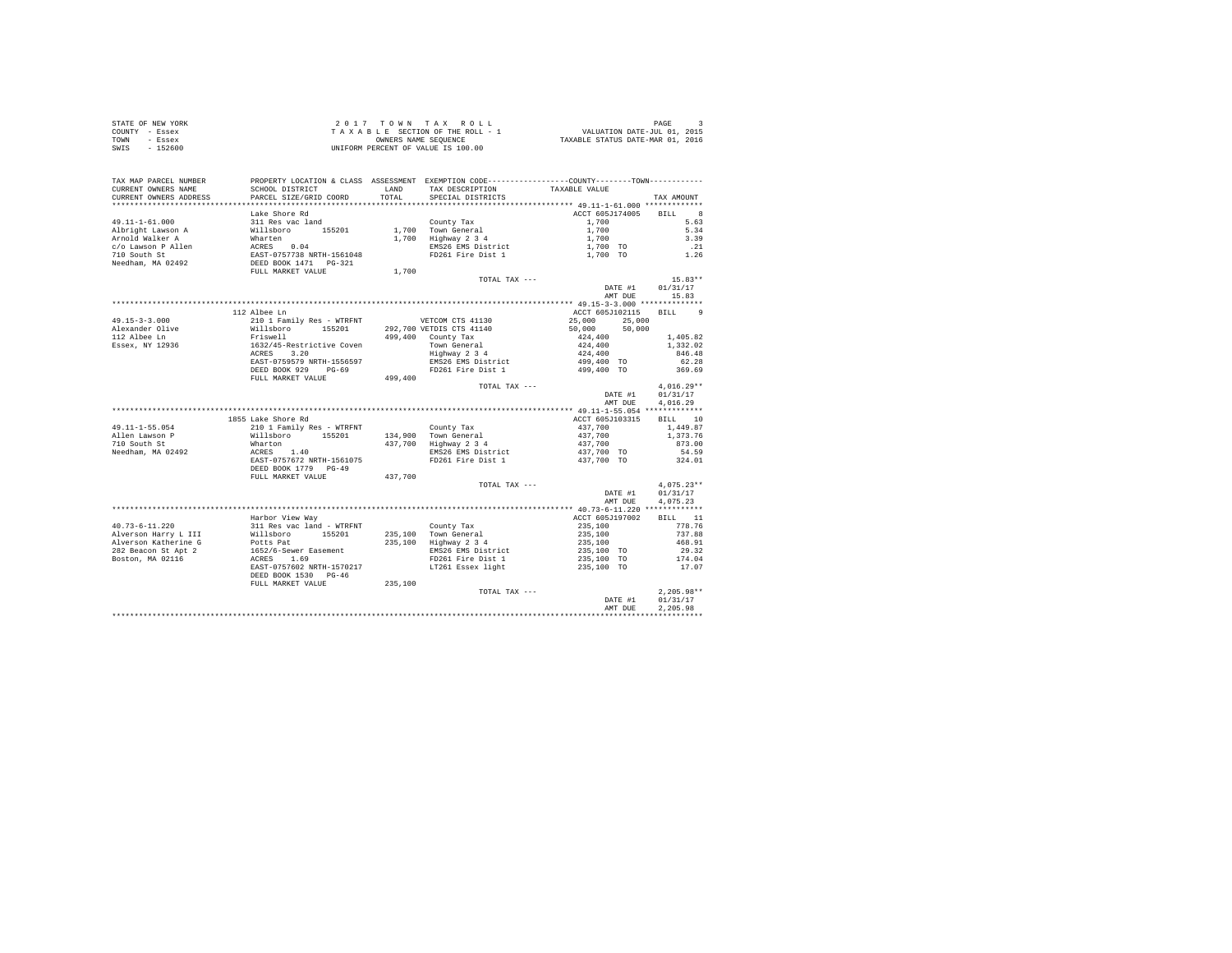|                | STATE OF NEW YORK | 2017 TOWN TAX ROLL                 | PAGE                             |
|----------------|-------------------|------------------------------------|----------------------------------|
| COUNTY - Essex |                   | TAXABLE SECTION OF THE ROLL - 1    | VALUATION DATE-JUL 01, 2015      |
| TOWN           | - Essex           | OWNERS NAME SEOUENCE               | TAXABLE STATUS DATE-MAR 01, 2016 |
| SWIS           | $-152600$         | UNIFORM PERCENT OF VALUE IS 100.00 |                                  |

| TAX MAP PARCEL NUMBER<br>CURRENT OWNERS NAME<br>CURRENT OWNERS ADDRESS | SCHOOL DISTRICT<br>PARCEL SIZE/GRID COORD                        | LAND<br>TOTAL. | PROPERTY LOCATION & CLASS ASSESSMENT EXEMPTION CODE----------------COUNTY-------TOWN----------<br>TAX DESCRIPTION<br>SPECIAL DISTRICTS | TAXABLE VALUE    | TAX AMOUNT                  |
|------------------------------------------------------------------------|------------------------------------------------------------------|----------------|----------------------------------------------------------------------------------------------------------------------------------------|------------------|-----------------------------|
| **********************                                                 | ***********************                                          |                |                                                                                                                                        |                  |                             |
|                                                                        | Lake Shore Rd                                                    |                |                                                                                                                                        | ACCT 605J174005  | $_{\rm 8}$<br><b>BILL</b>   |
| $49.11 - 1 - 61.000$                                                   | 311 Res vac land                                                 |                | County Tax                                                                                                                             | 1,700            | 5.63                        |
| Albright Lawson A                                                      | Willsboro 155201                                                 |                | 1.700 Town General                                                                                                                     | 1,700            | 5.34                        |
| Arnold Walker A                                                        | Wharten                                                          |                | 1,700 Highway 2 3 4                                                                                                                    | 1,700            | 3.39                        |
| c/o Lawson P Allen                                                     |                                                                  |                | EMS26 EMS District                                                                                                                     | 1,700 TO         | . 21                        |
| 710 South St                                                           | ACRES 0.04<br>EAST-0757738 NRTH-1561048<br>DEED BOOK 1471 PG-321 |                | FD261 Fire Dist 1                                                                                                                      | 1,700 TO         | 1.26                        |
| Needham, MA 02492                                                      |                                                                  |                |                                                                                                                                        |                  |                             |
|                                                                        | FULL MARKET VALUE                                                | 1,700          |                                                                                                                                        |                  |                             |
|                                                                        |                                                                  |                | TOTAL TAX ---                                                                                                                          |                  | $15.83**$                   |
|                                                                        |                                                                  |                |                                                                                                                                        | DATE #1          | 01/31/17                    |
|                                                                        |                                                                  |                |                                                                                                                                        | AMT DUE          | 15.83                       |
|                                                                        |                                                                  |                |                                                                                                                                        |                  |                             |
|                                                                        | 112 Albee Ln                                                     |                |                                                                                                                                        | ACCT 605J102115  | $\mathbf{Q}$<br><b>BILL</b> |
| $49.15 - 3 - 3.000$                                                    | 210 1 Family Res - WTRFNT WETCOM CTS 41130                       |                |                                                                                                                                        | 25,000<br>25,000 |                             |
| Alexander Olive                                                        | Willsboro 155201                                                 |                | 292,700 VETDIS CTS 41140                                                                                                               | 50,000<br>50,000 |                             |
| 112 Albee Ln                                                           | Friswell                                                         |                | 499,400 County Tax                                                                                                                     | 424,400          | 1,405.82                    |
| Essex, NY 12936                                                        | 1632/45-Restrictive Coven                                        |                | Town General                                                                                                                           | 424,400          | 1,332.02                    |
|                                                                        | ACRES 3.20                                                       |                | Highway 2 3 4                                                                                                                          | 424,400          | 846.48                      |
|                                                                        | EAST-0759579 NRTH-1556597                                        |                | EMS26 EMS District                                                                                                                     | 499,400 TO       | 62.28                       |
|                                                                        | DEED BOOK 929 PG-69                                              |                | FD261 Fire Dist 1                                                                                                                      | 499,400 TO       | 369.69                      |
|                                                                        | FULL MARKET VALUE                                                | 499,400        |                                                                                                                                        |                  |                             |
|                                                                        |                                                                  |                | TOTAL TAX ---                                                                                                                          |                  | $4,016.29**$                |
|                                                                        |                                                                  |                |                                                                                                                                        | DATE #1          | 01/31/17                    |
|                                                                        |                                                                  |                |                                                                                                                                        | AMT DUE          | 4.016.29                    |
|                                                                        |                                                                  |                |                                                                                                                                        |                  |                             |
|                                                                        | 1855 Lake Shore Rd                                               |                |                                                                                                                                        | ACCT 605J103315  | BILL 10                     |
| $49.11 - 1 - 55.054$                                                   | 210 1 Family Res - WTRFNT                                        |                | County Tax                                                                                                                             | 437,700          | 1,449.87                    |
| Allen Lawson P                                                         | Willsboro 155201                                                 |                | 134,900 Town General                                                                                                                   | 437,700          | 1,373.76                    |
| 710 South St                                                           | Wharton                                                          |                | 437,700 Highway 2 3 4                                                                                                                  | 437,700          | 873.00                      |
| Needham, MA 02492                                                      | ACRES 1.40                                                       |                | EMS26 EMS District                                                                                                                     | 437,700 TO       | 54.59                       |
|                                                                        | EAST-0757672 NRTH-1561075                                        |                | FD261 Fire Dist 1                                                                                                                      | 437,700 TO       | 324.01                      |
|                                                                        | DEED BOOK 1779 PG-49                                             |                |                                                                                                                                        |                  |                             |
|                                                                        | FULL MARKET VALUE                                                | 437.700        |                                                                                                                                        |                  |                             |
|                                                                        |                                                                  |                | TOTAL TAX ---                                                                                                                          |                  | $4.075.23**$                |
|                                                                        |                                                                  |                |                                                                                                                                        | DATE #1          | 01/31/17                    |
|                                                                        |                                                                  |                |                                                                                                                                        | AMT DUE          | 4.075.23                    |
|                                                                        |                                                                  |                |                                                                                                                                        |                  |                             |
|                                                                        | Harbor View Way                                                  |                |                                                                                                                                        | ACCT 605J197002  | BILL 11                     |
| $40.73 - 6 - 11.220$                                                   | 311 Res vac land - WTRFNT                                        |                | County Tax                                                                                                                             | 235,100          | 778.76                      |
| Alverson Harry L III                                                   | Willsboro 155201                                                 |                | 235,100 Town General                                                                                                                   | 235,100          | 737.88                      |
| Alverson Katherine G                                                   | Potts Pat                                                        |                | 235,100 Highway 2 3 4                                                                                                                  | 235,100          | 468.91                      |
| 282 Beacon St Apt 2                                                    | 1652/6-Sewer Easement                                            |                | EMS26 EMS District                                                                                                                     | 235,100 TO       | 29.32                       |
| Boston, MA 02116                                                       | ACRES 1.69                                                       |                | FD261 Fire Dist 1                                                                                                                      | 235,100 TO       | 174.04                      |
|                                                                        | EAST-0757602 NRTH-1570217                                        |                | LT261 Essex light                                                                                                                      | 235,100 TO       | 17.07                       |
|                                                                        | DEED BOOK 1530 PG-46                                             |                |                                                                                                                                        |                  |                             |
|                                                                        | FULL MARKET VALUE                                                | 235,100        |                                                                                                                                        |                  |                             |
|                                                                        |                                                                  |                | TOTAL TAX ---                                                                                                                          |                  | $2.205.98**$                |
|                                                                        |                                                                  |                |                                                                                                                                        | DATE #1          | 01/31/17                    |
|                                                                        |                                                                  |                |                                                                                                                                        | AMT DUE          | 2.205.98                    |
|                                                                        |                                                                  |                |                                                                                                                                        |                  |                             |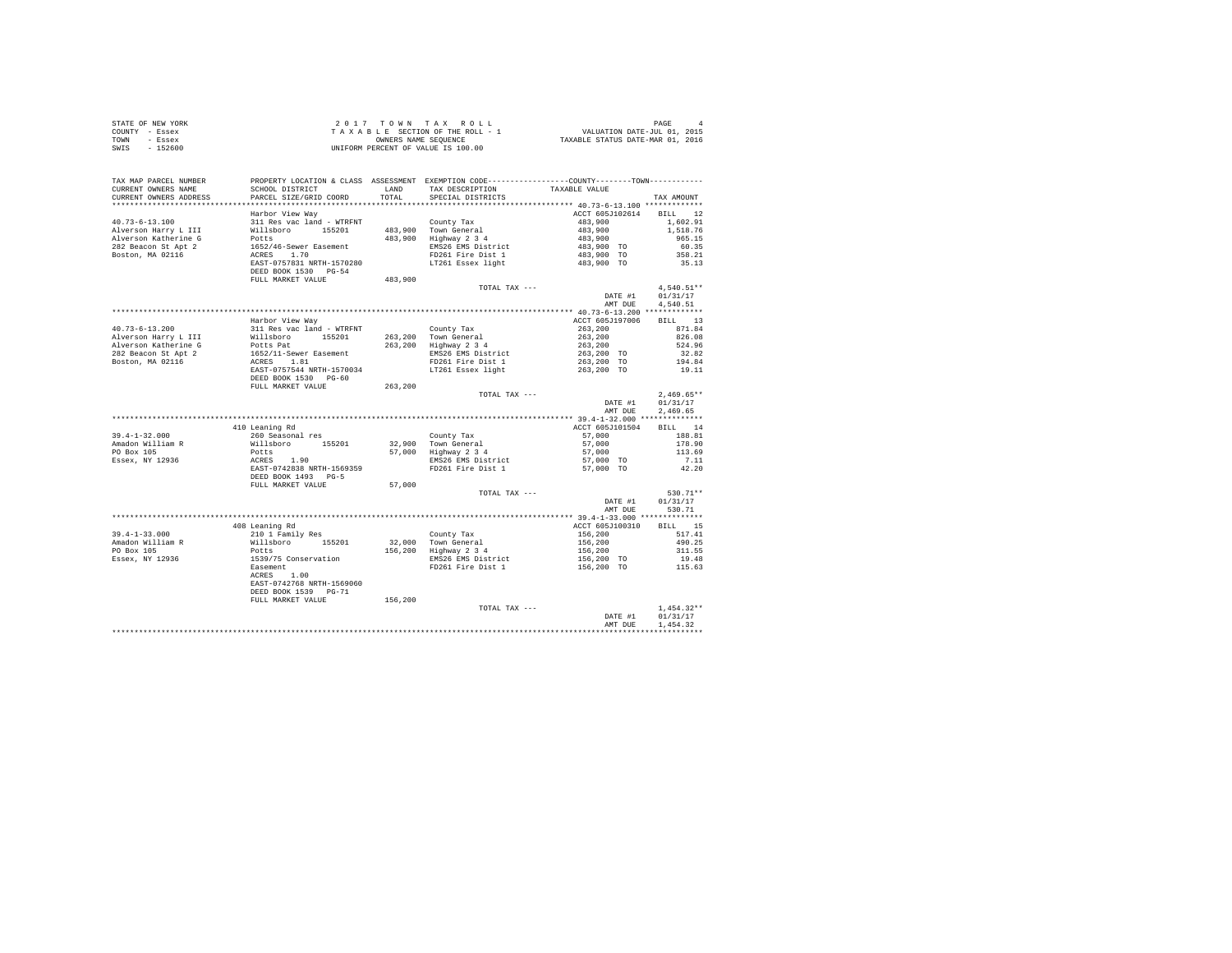|                | STATE OF NEW YORK | 2017 TOWN TAX ROLL                 | PAGE                             |
|----------------|-------------------|------------------------------------|----------------------------------|
| COUNTY - Essex |                   | TAXABLE SECTION OF THE ROLL - 1    | VALUATION DATE-JUL 01, 2015      |
| TOWN           | - Essex           | OWNERS NAME SEOUENCE               | TAXABLE STATUS DATE-MAR 01, 2016 |
| SWIS           | $-152600$         | UNIFORM PERCENT OF VALUE IS 100.00 |                                  |

| TAX MAP PARCEL NUMBER<br>CURRENT OWNERS NAME<br>CURRENT OWNERS ADDRESS | PROPERTY LOCATION & CLASS ASSESSMENT EXEMPTION CODE---------------COUNTY-------TOWN---------<br>SCHOOL DISTRICT<br>PARCEL SIZE/GRID COORD | LAND<br>TOTAL | TAX DESCRIPTION<br>SPECIAL DISTRICTS | TAXABLE VALUE                         | TAX AMOUNT                             |
|------------------------------------------------------------------------|-------------------------------------------------------------------------------------------------------------------------------------------|---------------|--------------------------------------|---------------------------------------|----------------------------------------|
|                                                                        |                                                                                                                                           |               |                                      |                                       |                                        |
| $40.73 - 6 - 13.100$<br>Alverson Harry L III                           | Harbor View Way<br>311 Res vac land - WTRFNT<br>Willsboro 155201                                                                          |               | County Tax<br>483,900 Town General   | ACCT 605J102614<br>483,900<br>483,900 | <b>BTLL</b> 12<br>1,602.91<br>1,518.76 |
| Alverson Katherine G<br>282 Beacon St Apt 2                            | Potts<br>1652/46-Sewer Easement                                                                                                           | 483,900       | Highway 2 3 4<br>EMS26 EMS District  | 483,900<br>483,900 TO                 | 965.15<br>60.35                        |
| Boston, MA 02116                                                       | ACRES 1.70                                                                                                                                |               | FD261 Fire Dist 1                    | 483,900 TO                            | 358.21                                 |
|                                                                        | EAST-0757831 NRTH-1570280<br>DEED BOOK 1530 PG-54<br>FULL MARKET VALUE                                                                    | 483,900       | LT261 Essex light                    | 483,900 TO                            | 35.13                                  |
|                                                                        |                                                                                                                                           |               | TOTAL TAX ---                        |                                       | $4,540.51**$                           |
|                                                                        |                                                                                                                                           |               |                                      | DATE #1                               | 01/31/17                               |
|                                                                        |                                                                                                                                           |               |                                      | AMT DUE                               | 4.540.51                               |
|                                                                        |                                                                                                                                           |               |                                      |                                       |                                        |
|                                                                        | Harbor View Way                                                                                                                           |               |                                      | ACCT 605J197006                       | BILL 13                                |
| $40.73 - 6 - 13.200$                                                   | 311 Res vac land - WTRFNT                                                                                                                 |               | County Tax                           | 263,200                               | 871.84                                 |
| Alverson Harry L III                                                   | Willsboro 155201                                                                                                                          |               | 263,200 Town General                 | 263,200                               | 826.08                                 |
| Alverson Katherine G                                                   | Potts Pat                                                                                                                                 | 263,200       | Highway 2 3 4                        | 263,200                               | 524.96                                 |
| 282 Beacon St Apt 2                                                    | 1652/11-Sewer Easement<br>ACRES 1.81                                                                                                      |               | EMS26 EMS District                   | 263,200 TO                            | 32.82                                  |
| Boston, MA 02116                                                       |                                                                                                                                           |               | FD261 Fire Dist 1                    | 263,200 TO                            | 194.84                                 |
|                                                                        | EAST-0757544 NRTH-1570034<br>DEED BOOK 1530 PG-60                                                                                         |               | LT261 Essex light                    | 263,200 TO                            | 19.11                                  |
|                                                                        | FULL MARKET VALUE                                                                                                                         | 263,200       |                                      |                                       |                                        |
|                                                                        |                                                                                                                                           |               | TOTAL TAX ---                        | DATE #1                               | $2,469.65**$                           |
|                                                                        |                                                                                                                                           |               |                                      | AMT DUE                               | 01/31/17<br>2.469.65                   |
|                                                                        |                                                                                                                                           |               |                                      |                                       |                                        |
|                                                                        | 410 Leaning Rd                                                                                                                            |               |                                      | ACCT 605J101504                       | BILL 14                                |
| $39.4 - 1 - 32.000$                                                    | 260 Seasonal res                                                                                                                          |               | County Tax                           | 57,000                                | 188.81                                 |
| Amadon William R                                                       | Willsboro 155201                                                                                                                          |               | 32,900 Town General                  | 57,000                                | 178.90                                 |
| PO Box 105                                                             | Potts                                                                                                                                     | 57,000        | Highway 2 3 4                        | 57,000                                | 113.69                                 |
| Essex, NY 12936                                                        |                                                                                                                                           |               | EMS26 EMS District                   | 57,000 TO                             | 7.11                                   |
|                                                                        | ACRES 1.90<br>EAST-0742838 NRTH-1569359<br>DEED BOOK 1493 PG-5                                                                            |               | FD261 Fire Dist 1                    | 57,000 TO                             | 42.20                                  |
|                                                                        | FULL MARKET VALUE                                                                                                                         | 57,000        |                                      |                                       |                                        |
|                                                                        |                                                                                                                                           |               | TOTAL TAX ---                        | DATE #1<br>AMT DUE                    | 530.71**<br>01/31/17<br>530.71         |
|                                                                        |                                                                                                                                           |               |                                      |                                       |                                        |
|                                                                        | 408 Leaning Rd                                                                                                                            |               |                                      | ACCT 605J100310                       | BILL 15                                |
| $39.4 - 1 - 33.000$                                                    | 210 1 Family Res                                                                                                                          |               | County Tax                           | 156,200                               | 517.41                                 |
| Amadon William R                                                       | Willsboro 155201                                                                                                                          |               | 32.000 Town General                  | 156,200                               | 490.25                                 |
| PO Box 105                                                             | Potts                                                                                                                                     |               | 156,200 Highway 2 3 4                | 156,200                               | 311.55                                 |
| Essex, NY 12936                                                        | 1539/75 Conservation                                                                                                                      |               | EMS26 EMS District                   | 156,200 TO                            | 19.48                                  |
|                                                                        | Easement<br>ACRES 1.00<br>EAST-0742768 NRTH-1569060<br>DEED BOOK 1539 PG-71                                                               |               | FD261 Fire Dist 1                    | 156,200 TO                            | 115.63                                 |
|                                                                        | FULL MARKET VALUE                                                                                                                         | 156,200       |                                      |                                       |                                        |
|                                                                        |                                                                                                                                           |               | TOTAL TAX ---                        |                                       | $1.454.32**$                           |
|                                                                        |                                                                                                                                           |               |                                      | DATE #1                               | 01/31/17                               |
|                                                                        |                                                                                                                                           |               |                                      | AMT DUE                               | 1.454.32                               |
|                                                                        |                                                                                                                                           |               |                                      |                                       |                                        |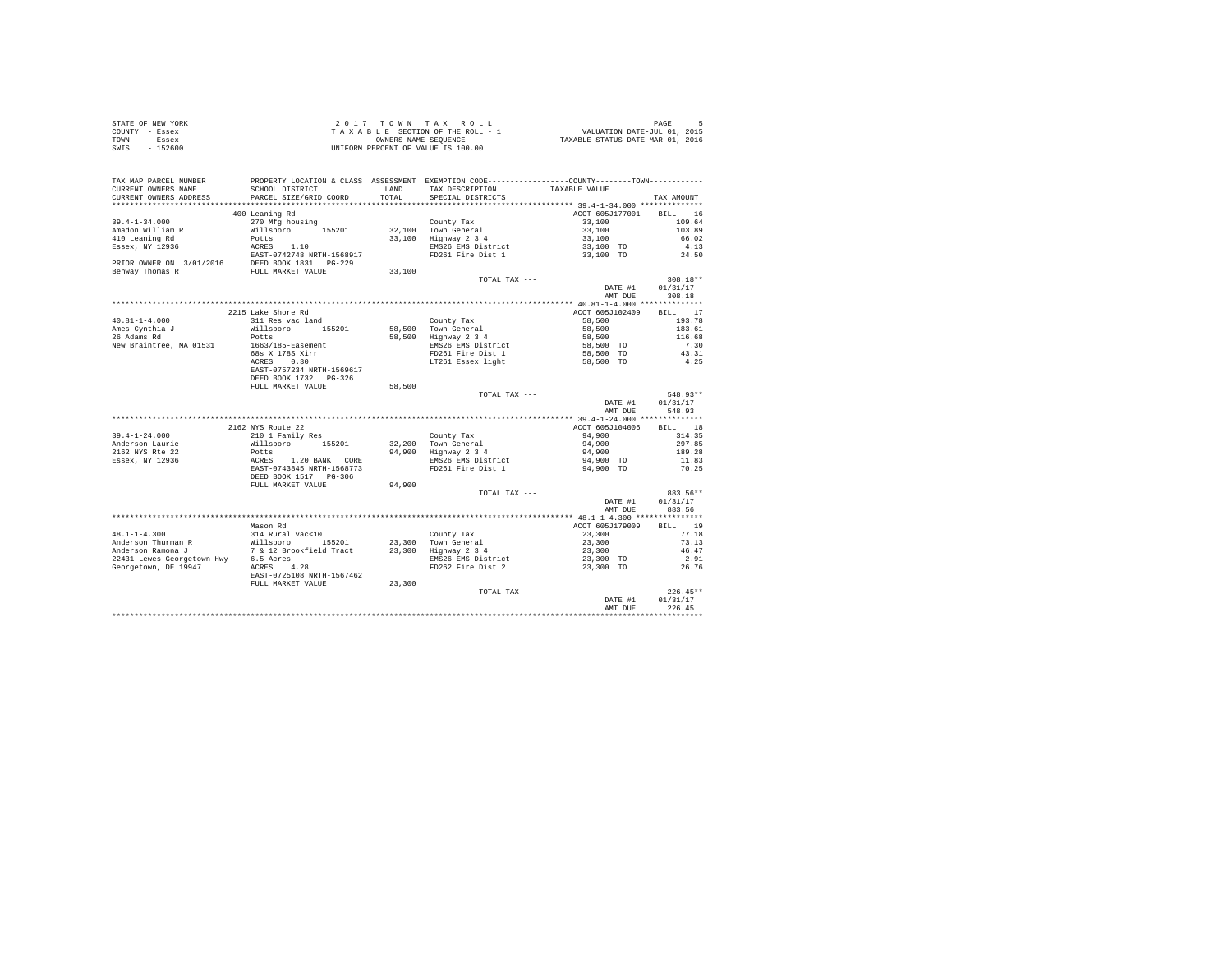| STATE OF NEW YORK | 2017 TOWN TAX ROLL                 | PAGE                             |
|-------------------|------------------------------------|----------------------------------|
| COUNTY - Essex    | TAXABLE SECTION OF THE ROLL - 1    | VALUATION DATE-JUL 01, 2015      |
| TOWN<br>- Essex   | OWNERS NAME SEOUENCE               | TAXABLE STATUS DATE-MAR 01, 2016 |
| $-152600$<br>SWIS | UNIFORM PERCENT OF VALUE IS 100.00 |                                  |

| TAX MAP PARCEL NUMBER<br>CURRENT OWNERS NAME<br>CURRENT OWNERS ADDRESS | PROPERTY LOCATION & CLASS ASSESSMENT EXEMPTION CODE---------------COUNTY-------TOWN----------<br>SCHOOL DISTRICT<br>PARCEL SIZE/GRID COORD                                                                                                                                                       | LAND<br>TOTAL | TAX DESCRIPTION<br>SPECIAL DISTRICTS        | TAXABLE VALUE            | TAX AMOUNT |
|------------------------------------------------------------------------|--------------------------------------------------------------------------------------------------------------------------------------------------------------------------------------------------------------------------------------------------------------------------------------------------|---------------|---------------------------------------------|--------------------------|------------|
|                                                                        |                                                                                                                                                                                                                                                                                                  |               |                                             |                          |            |
|                                                                        | 400 Leaning Rd                                                                                                                                                                                                                                                                                   |               |                                             | ACCT 605J177001          | BILL 16    |
| $39.4 - 1 - 34.000$                                                    | 270 Mfg housing                                                                                                                                                                                                                                                                                  |               | County Tax                                  | 33,100                   | 109.64     |
| Amadon William R                                                       | Willsboro 155201                                                                                                                                                                                                                                                                                 |               | 32,100 Town General<br>33,100 Highway 2 3 4 | 33,100<br>33,100         | 103.89     |
| 410 Leaning Rd                                                         | Potts                                                                                                                                                                                                                                                                                            |               |                                             |                          | 66.02      |
|                                                                        |                                                                                                                                                                                                                                                                                                  |               | EMS26 EMS District                          | 33,100 TO<br>33,100 TO   | 4.13       |
|                                                                        |                                                                                                                                                                                                                                                                                                  |               | FD261 Fire Dist 1                           |                          | 24.50      |
|                                                                        | $\begin{tabular}{lllllllll} \texttt{Essex, NY} & 12936 & \texttt{ACRES} & 1.10 \\ & & \texttt{EAST-0742748 NFTH-1568917} \\ \texttt{PRIOR \mbox{ONBER ON}} & 3/01/2016 & \texttt{DEED BOOK} & 1831 & \texttt{PG-229} \\ \texttt{Benway Thomas R} & & \texttt{FULI MARKET VALUE} & \end{tabular}$ |               |                                             |                          |            |
|                                                                        |                                                                                                                                                                                                                                                                                                  | 33,100        |                                             |                          |            |
|                                                                        |                                                                                                                                                                                                                                                                                                  |               | TOTAL TAX ---                               |                          | 308.18**   |
|                                                                        |                                                                                                                                                                                                                                                                                                  |               |                                             | DATE #1                  | 01/31/17   |
|                                                                        |                                                                                                                                                                                                                                                                                                  |               |                                             | AMT DUE                  | 308.18     |
|                                                                        |                                                                                                                                                                                                                                                                                                  |               |                                             |                          |            |
|                                                                        | 2215 Lake Shore Rd                                                                                                                                                                                                                                                                               |               |                                             | ACCT 605J102409          | BILL 17    |
| $40.81 - 1 - 4.000$<br>Ames Cynthia J<br>$\frac{1}{2}$ ames Cynthia J  | 311 Res vac land                                                                                                                                                                                                                                                                                 |               | County Tax                                  | 58,500                   | 193.78     |
|                                                                        | Willsboro 155201                                                                                                                                                                                                                                                                                 |               | 58.500 Town General                         | 58,500                   | 183.61     |
|                                                                        | Potts                                                                                                                                                                                                                                                                                            |               | 58,500 Highway 2 3 4                        | 58,500                   | 116.68     |
| New Braintree, MA 01531                                                | 1663/185-Easement                                                                                                                                                                                                                                                                                |               | EMS26 EMS District                          | 58,500 TO                | 7.30       |
|                                                                        | $68s$ X 1785 Xirr                                                                                                                                                                                                                                                                                |               | FD261 Fire Dist 1                           | 58,500 TO<br>$58,500$ TO | 43.31      |
|                                                                        |                                                                                                                                                                                                                                                                                                  |               | LT261 Essex light                           |                          | 4.25       |
|                                                                        | EAST-0757234 NRTH-1569617                                                                                                                                                                                                                                                                        |               |                                             |                          |            |
|                                                                        | DEED BOOK 1732 PG-326                                                                                                                                                                                                                                                                            |               |                                             |                          |            |
|                                                                        | FULL MARKET VALUE                                                                                                                                                                                                                                                                                | 58,500        |                                             |                          | 548.93**   |
|                                                                        |                                                                                                                                                                                                                                                                                                  |               | TOTAL TAX ---                               | DATE #1                  | 01/31/17   |
|                                                                        |                                                                                                                                                                                                                                                                                                  |               |                                             | AMT DUE                  | 548.93     |
|                                                                        |                                                                                                                                                                                                                                                                                                  |               |                                             |                          |            |
|                                                                        | 2162 NYS Route 22                                                                                                                                                                                                                                                                                |               |                                             | ACCT 605J104006          | BILL 18    |
| $39.4 - 1 - 24.000$                                                    | 210 1 Family Res                                                                                                                                                                                                                                                                                 |               | County Tax                                  | 94,900                   | 314.35     |
| Anderson Laurie                                                        | Willsboro 155201                                                                                                                                                                                                                                                                                 |               |                                             | 94,900                   | 297.85     |
| 2162 NYS Rte 22                                                        |                                                                                                                                                                                                                                                                                                  |               | 32,200 Town General<br>94,900 Highway 2 3 4 | 94,900                   | 189.28     |
| Essex, NY 12936                                                        |                                                                                                                                                                                                                                                                                                  |               | EMS26 EMS District                          | 94,900 TO                | 11.83      |
|                                                                        | POtts<br>ACRES 1.20 BANK CORE<br>EAST-0743845 NRTH-1568773<br>DEED BOOK 1517 PG-306                                                                                                                                                                                                              |               | FD261 Fire Dist 1                           | 94,900 TO                | 70.25      |
|                                                                        |                                                                                                                                                                                                                                                                                                  |               |                                             |                          |            |
|                                                                        | FULL MARKET VALUE                                                                                                                                                                                                                                                                                | 94,900        |                                             |                          |            |
|                                                                        |                                                                                                                                                                                                                                                                                                  |               | TOTAL TAX ---                               |                          | 883.56**   |
|                                                                        |                                                                                                                                                                                                                                                                                                  |               |                                             | DATE #1                  | 01/31/17   |
|                                                                        |                                                                                                                                                                                                                                                                                                  |               |                                             | AMT DUE                  | 883.56     |
|                                                                        |                                                                                                                                                                                                                                                                                                  |               |                                             |                          |            |
|                                                                        | Mason Rd                                                                                                                                                                                                                                                                                         |               |                                             | ACCT 605J179009          | BILL 19    |
| $48.1 - 1 - 4.300$                                                     | 314 Rural vac<10                                                                                                                                                                                                                                                                                 |               | County Tax                                  | 23,300                   | 77.18      |
|                                                                        | Anderson Thurman R<br>Anderson Ramona J Millsboro - 155201 23,300 Town General<br>Anderson Ramona J 7 & 12 Brookfield Tract 23,300 Highway 234<br>22431 Lewes Georgetown Hwy 6.5 Acres                                                                                                           |               |                                             | 23,300                   | 73.13      |
|                                                                        |                                                                                                                                                                                                                                                                                                  |               |                                             |                          | 46.47      |
|                                                                        |                                                                                                                                                                                                                                                                                                  |               | EMS26 EMS District                          | 23,300<br>23,300 TO      | 2.91       |
| Georgetown, DE 19947                                                   | n Hwy 6.5 Acres<br>ACRES 4.28                                                                                                                                                                                                                                                                    |               | FD262 Fire Dist 2                           | 23,300 TO                | 26.76      |
|                                                                        | EAST-0725108 NRTH-1567462                                                                                                                                                                                                                                                                        |               |                                             |                          |            |
|                                                                        | FULL MARKET VALUE                                                                                                                                                                                                                                                                                | 23,300        |                                             |                          |            |
|                                                                        |                                                                                                                                                                                                                                                                                                  |               | TOTAL TAX ---                               |                          | $226.45**$ |
|                                                                        |                                                                                                                                                                                                                                                                                                  |               |                                             | DATE #1                  | 01/31/17   |
|                                                                        |                                                                                                                                                                                                                                                                                                  |               |                                             | AMT DUE                  | 226.45     |
|                                                                        |                                                                                                                                                                                                                                                                                                  |               |                                             |                          |            |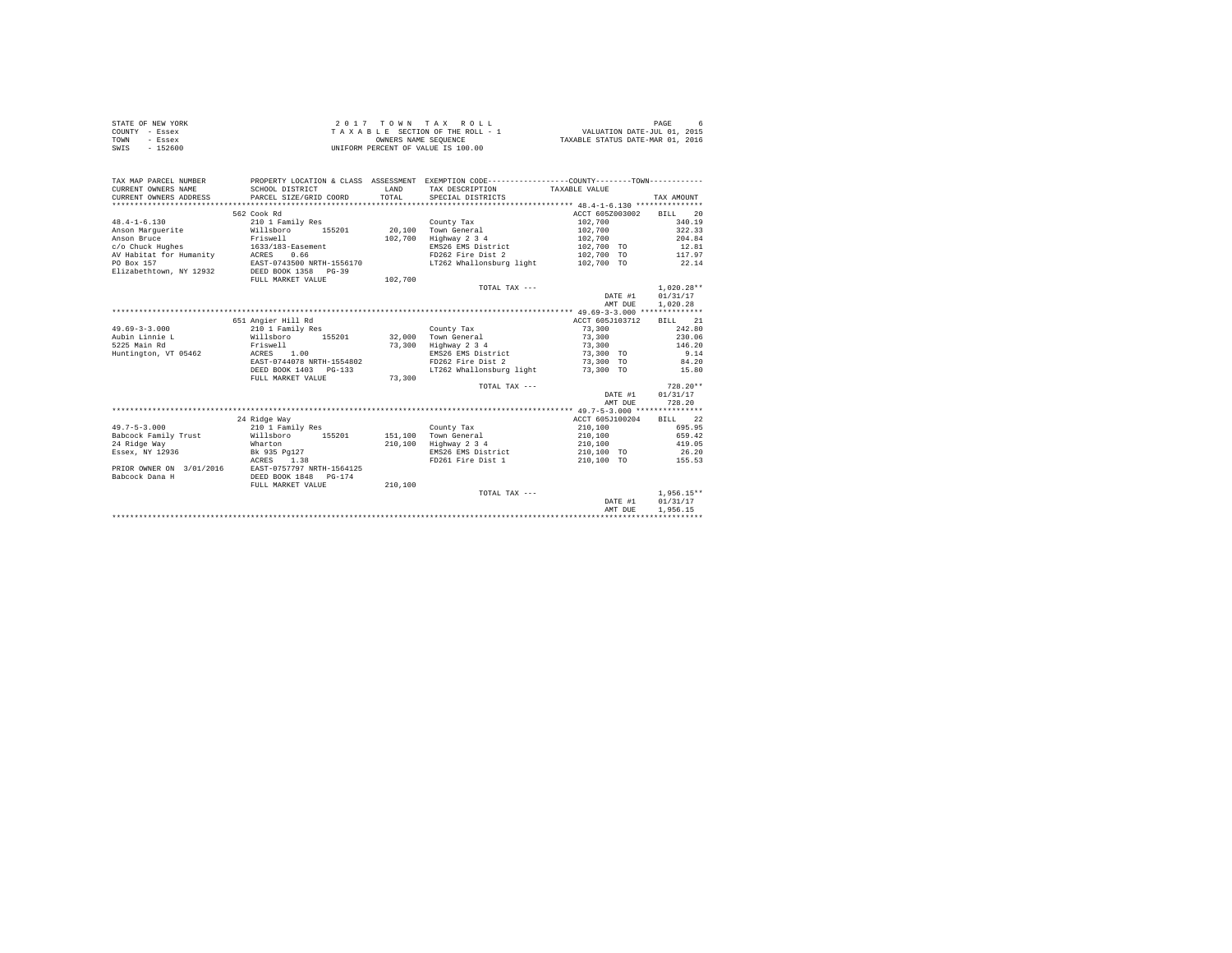| STATE OF NEW YORK | 2017 TOWN TAX ROLL                 | PAGE                             |
|-------------------|------------------------------------|----------------------------------|
| COUNTY - Essex    | TAXABLE SECTION OF THE ROLL - 1    | VALUATION DATE-JUL 01, 2015      |
| TOWN<br>- Essex   | OWNERS NAME SEOUENCE               | TAXABLE STATUS DATE-MAR 01, 2016 |
| - 152600<br>SWIS  | UNIFORM PERCENT OF VALUE IS 100.00 |                                  |

| TAX MAP PARCEL NUMBER<br>CURRENT OWNERS NAME<br>CURRENT OWNERS ADDRESS | SCHOOL DISTRICT<br>PARCEL SIZE/GRID COORD | LAND<br>TOTAL | PROPERTY LOCATION & CLASS ASSESSMENT EXEMPTION CODE----------------COUNTY--------TOWN----------<br>TAX DESCRIPTION TAXABLE VALUE<br>SPECIAL DISTRICTS |                   | TAX AMOUNT   |
|------------------------------------------------------------------------|-------------------------------------------|---------------|-------------------------------------------------------------------------------------------------------------------------------------------------------|-------------------|--------------|
|                                                                        | 562 Cook Rd                               |               |                                                                                                                                                       | ACCT 605Z003002   | BILL 20      |
| $48.4 - 1 - 6.130$                                                     | 210 1 Family Res                          |               | County Tax                                                                                                                                            | 102,700           | 340.19       |
| Anson Marquerite                                                       | 155201<br>Willsboro                       |               | 20.100 Town General                                                                                                                                   | 102,700           | 322.33       |
| Anson Bruce                                                            | Friswell                                  | 102,700       | Highway 2 3 4                                                                                                                                         | 102,700           | 204.84       |
|                                                                        |                                           |               | EMS26 EMS District                                                                                                                                    | 102,700 TO        | 12.81        |
| c/o Chuck Hughes                                                       | 1633/183-Easement                         |               |                                                                                                                                                       |                   |              |
| AV Habitat for Humanity                                                | ACRES<br>0.66                             |               | FD262 Fire Dist 2                                                                                                                                     | 102.700 TO 117.97 |              |
| PO Box 157                                                             | EAST-0743500 NRTH-1556170                 |               | LT262 Whallonsburg light 102.700 TO                                                                                                                   |                   | 22.14        |
| Elizabethtown, NY 12932                                                | DEED BOOK 1358 PG-39                      |               |                                                                                                                                                       |                   |              |
|                                                                        | FULL MARKET VALUE                         | 102,700       |                                                                                                                                                       |                   |              |
|                                                                        |                                           |               | TOTAL TAX ---                                                                                                                                         |                   | $1.020.28**$ |
|                                                                        |                                           |               |                                                                                                                                                       | DATE #1           | 01/31/17     |
|                                                                        |                                           |               |                                                                                                                                                       | AMT DUE           | 1.020.28     |
|                                                                        |                                           |               |                                                                                                                                                       |                   |              |
|                                                                        | 651 Angier Hill Rd                        |               |                                                                                                                                                       | ACCT 605J103712   | BILL 21      |
| $49.69 - 3 - 3.000$                                                    | 210 1 Family Res                          |               | County Tax                                                                                                                                            | 73,300            | 242.80       |
| Aubin Linnie L                                                         | Willsboro<br>155201                       | 32,000        | Town General                                                                                                                                          | 73,300            | 230.06       |
| 5225 Main Rd                                                           | Friswell                                  | 73,300        | Highway 2 3 4                                                                                                                                         | 73,300            | 146.20       |
| Huntington, VT 05462                                                   | ACRES 1.00                                |               | EMS26 EMS District                                                                                                                                    | 73,300 TO         | 9.14         |
|                                                                        | EAST-0744078 NRTH-1554802                 |               | FD262 Fire Dist 2                                                                                                                                     | 73,300 TO         | 84.20        |
|                                                                        | DEED BOOK 1403 PG-133                     |               | LT262 Whallonsburg light                                                                                                                              | 73,300 TO         | 15.80        |
|                                                                        | FULL MARKET VALUE                         | 73,300        |                                                                                                                                                       |                   |              |
|                                                                        |                                           |               | TOTAL TAX ---                                                                                                                                         |                   | $728.20**$   |
|                                                                        |                                           |               |                                                                                                                                                       | DATE #1           | 01/31/17     |
|                                                                        |                                           |               |                                                                                                                                                       | AMT DUE           | 728.20       |
|                                                                        |                                           |               |                                                                                                                                                       |                   |              |
|                                                                        | 24 Ridge Way                              |               |                                                                                                                                                       | ACCT 605J100204   | BILL 22      |
| $49.7 - 5 - 3.000$                                                     | 210 1 Family Res                          |               | County Tax                                                                                                                                            | 210,100           | 695.95       |
| Babcock Family Trust Willsboro                                         | 155201                                    | 151,100       | Town General                                                                                                                                          | 210,100           | 659.42       |
| 24 Ridge Way                                                           | Wharton                                   | 210,100       | Highway 2 3 4                                                                                                                                         | 210,100           | 419.05       |
| Essex, NY 12936                                                        | Bk 935 Pa127                              |               | EMS26 EMS District                                                                                                                                    | 210,100 TO        | 26.20        |
|                                                                        | ACRES 1.38                                |               | FD261 Fire Dist 1                                                                                                                                     | 210,100 TO        | 155.53       |
| PRIOR OWNER ON 3/01/2016                                               | EAST-0757797 NRTH-1564125                 |               |                                                                                                                                                       |                   |              |
| Babcock Dana H                                                         | DEED BOOK 1848<br>PG-174                  |               |                                                                                                                                                       |                   |              |
|                                                                        | FULL MARKET VALUE                         | 210,100       |                                                                                                                                                       |                   |              |
|                                                                        |                                           |               | TOTAL TAX ---                                                                                                                                         |                   | $1.956.15**$ |
|                                                                        |                                           |               |                                                                                                                                                       | DATE #1           | 01/31/17     |
|                                                                        |                                           |               |                                                                                                                                                       | AMT DUE           | 1,956.15     |
|                                                                        |                                           |               |                                                                                                                                                       |                   |              |
|                                                                        |                                           |               |                                                                                                                                                       |                   |              |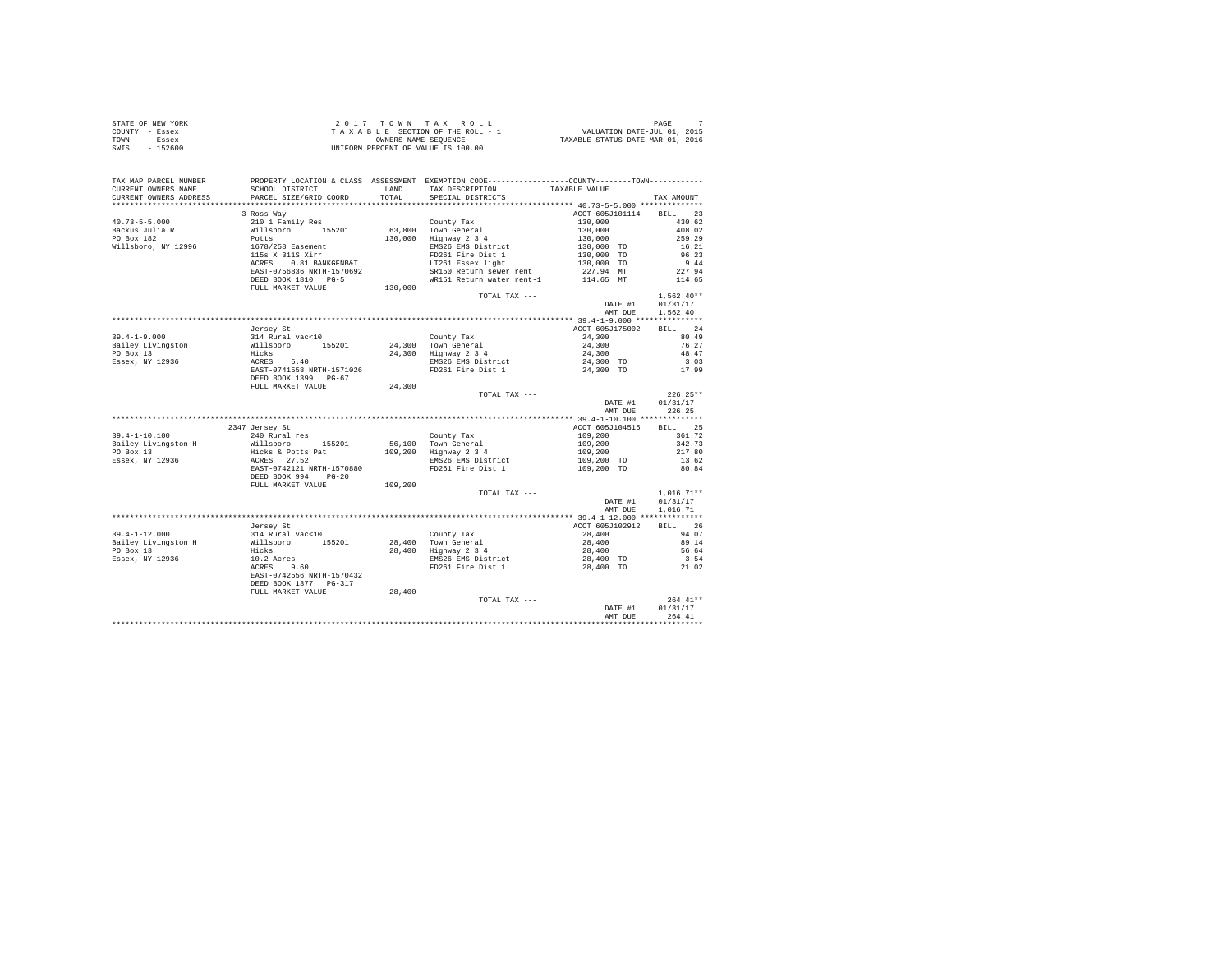| STATE OF NEW YORK | 2017 TOWN TAX ROLL                 | PAGE                             |
|-------------------|------------------------------------|----------------------------------|
| COUNTY - Essex    | TAXABLE SECTION OF THE ROLL - 1    | VALUATION DATE-JUL 01, 2015      |
| TOWN<br>- Essex   | OWNERS NAME SEOUENCE               | TAXABLE STATUS DATE-MAR 01, 2016 |
| - 152600<br>SWIS  | UNIFORM PERCENT OF VALUE IS 100.00 |                                  |

| TAX MAP PARCEL NUMBER                                                                                                                                                         | PROPERTY LOCATION & CLASS ASSESSMENT EXEMPTION CODE---------------COUNTY--------TOWN----------                    |         |                                                                         |                                                                                                     |                         |
|-------------------------------------------------------------------------------------------------------------------------------------------------------------------------------|-------------------------------------------------------------------------------------------------------------------|---------|-------------------------------------------------------------------------|-----------------------------------------------------------------------------------------------------|-------------------------|
| CURRENT OWNERS NAME                                                                                                                                                           | SCHOOL DISTRICT                                                                                                   |         | LAND TAX DESCRIPTION TAXABLE VALUE                                      |                                                                                                     |                         |
| CURRENT OWNERS ADDRESS                                                                                                                                                        | PARCEL SIZE/GRID COORD                                                                                            | TOTAL   | SPECIAL DISTRICTS                                                       |                                                                                                     | TAX AMOUNT              |
|                                                                                                                                                                               |                                                                                                                   |         |                                                                         |                                                                                                     |                         |
|                                                                                                                                                                               | 3 Ross Way                                                                                                        |         |                                                                         |                                                                                                     | ACCT 605J101114 BILL 23 |
| $40.73 - 5 - 5.000$                                                                                                                                                           | ------ ----<br>210 1 Family Res<br>Willsboro 155201<br>Potts<br>1678/258 Easement<br>115 - 2000                   |         | County Tax                                                              | $130,000$<br>$130,000$<br>$130,000$<br>$130,000$ TO<br>$130,000$ TO<br>$130,000$ TO<br>$130,000$ TO | 430.62                  |
| Backus Julia R<br>PO Box 182                                                                                                                                                  |                                                                                                                   |         | 63,800 Town General<br>63,800   Town General<br>130,000   Highway 2 3 4 |                                                                                                     | 408.02                  |
|                                                                                                                                                                               |                                                                                                                   |         |                                                                         |                                                                                                     | 259.29                  |
| Willsboro, NY 12996                                                                                                                                                           |                                                                                                                   |         | EMS26 EMS District                                                      |                                                                                                     | 16.21                   |
|                                                                                                                                                                               | 115s X 311S Xirr                                                                                                  |         | FD261 Fire Dist 1                                                       |                                                                                                     | 96.23                   |
|                                                                                                                                                                               | ACRES 0.81 BANKGFNB&T                                                                                             |         | LT261 Essex light<br>SR150 Return sewer rent                            |                                                                                                     | 9.44                    |
|                                                                                                                                                                               | EAST-0756836 NRTH-1570692                                                                                         |         |                                                                         | 227.94 MT                                                                                           | 227.94                  |
|                                                                                                                                                                               | DEED BOOK 1810 PG-5                                                                                               |         |                                                                         | WR151 Return water rent-1 114.65 MT                                                                 | 114.65                  |
|                                                                                                                                                                               | FULL MARKET VALUE                                                                                                 | 130,000 | TOTAL TAX ---                                                           |                                                                                                     | $1,562.40**$            |
|                                                                                                                                                                               |                                                                                                                   |         |                                                                         |                                                                                                     | DATE #1 01/31/17        |
|                                                                                                                                                                               |                                                                                                                   |         |                                                                         | AMT DUE                                                                                             | 1,562.40                |
|                                                                                                                                                                               |                                                                                                                   |         |                                                                         |                                                                                                     |                         |
|                                                                                                                                                                               | Jersey St                                                                                                         |         |                                                                         |                                                                                                     | ACCT 605J175002 BILL 24 |
| $39.4 - 1 - 9.000$                                                                                                                                                            | 314 Rural vac<10                                                                                                  |         | County Tax                                                              |                                                                                                     | 24,300 80.49            |
|                                                                                                                                                                               |                                                                                                                   |         |                                                                         |                                                                                                     | 76.27                   |
|                                                                                                                                                                               |                                                                                                                   |         |                                                                         |                                                                                                     | 48.47                   |
| Bailey Livingston<br>PO Box 13<br>Essex, NY 12936                                                                                                                             |                                                                                                                   |         | Compare Compare 24,300<br>24,300 Highway 2 3 4<br>EMS26 EMS District    | $24,300$<br>$24,300$<br>$24,300$ TO                                                                 | 3.03                    |
|                                                                                                                                                                               |                                                                                                                   |         | FD261 Fire Dist 1                                                       | 24,300 TO                                                                                           | 17.99                   |
|                                                                                                                                                                               | %14 Muddl Valence<br>Willsboro 155201<br>Hicks<br>ACRES 5.40<br>EAST-0741558 NRTH-1571026<br>DEED BOOK 1399 PG-67 |         |                                                                         |                                                                                                     |                         |
|                                                                                                                                                                               | FULL MARKET VALUE                                                                                                 | 24,300  |                                                                         |                                                                                                     |                         |
|                                                                                                                                                                               |                                                                                                                   |         | TOTAL TAX ---                                                           |                                                                                                     | $226.25**$              |
|                                                                                                                                                                               |                                                                                                                   |         |                                                                         |                                                                                                     | DATE #1 01/31/17        |
|                                                                                                                                                                               |                                                                                                                   |         |                                                                         |                                                                                                     | 226.25<br>AMT DUE       |
|                                                                                                                                                                               |                                                                                                                   |         |                                                                         |                                                                                                     |                         |
|                                                                                                                                                                               | 2347 Jersey St                                                                                                    |         |                                                                         |                                                                                                     | ACCT 605J104515 BILL 25 |
| $39.4 - 1 - 10.100$                                                                                                                                                           | 240 Rural res                                                                                                     |         | County Tax                                                              |                                                                                                     | 361.72                  |
|                                                                                                                                                                               |                                                                                                                   |         | 56,100 Town General<br>109,200 Highway 2 3 4                            |                                                                                                     | 342.73                  |
|                                                                                                                                                                               |                                                                                                                   |         |                                                                         |                                                                                                     | 217.80                  |
|                                                                                                                                                                               |                                                                                                                   |         | EMS26 EMS District                                                      |                                                                                                     | 13.62                   |
|                                                                                                                                                                               |                                                                                                                   |         | FD261 Fire Dist 1                                                       | $109, 200$<br>$109, 200$<br>$109, 200$<br>$109, 200$<br>$109, 200$ TO<br>$109, 200$ TO              | 80.84                   |
| 39.14-1-10.1.100<br>Bailey Livingston H = 1111sboro = 155201<br>PO Box 13 = 112936 = 11250<br>ESSex, NY 12936 = 27.52<br>ESSET-0742121 NRTH-1570880<br>ERSE BOOK 994 = 07-201 |                                                                                                                   |         |                                                                         |                                                                                                     |                         |
|                                                                                                                                                                               | FULL MARKET VALUE                                                                                                 | 109,200 |                                                                         |                                                                                                     |                         |
|                                                                                                                                                                               |                                                                                                                   |         | TOTAL TAX ---                                                           |                                                                                                     | $1,016.71**$            |
|                                                                                                                                                                               |                                                                                                                   |         |                                                                         | DATE #1                                                                                             | 01/31/17                |
|                                                                                                                                                                               |                                                                                                                   |         |                                                                         | AMT DUE                                                                                             | 1,016.71                |
|                                                                                                                                                                               |                                                                                                                   |         |                                                                         |                                                                                                     |                         |
|                                                                                                                                                                               | Jersey St                                                                                                         |         |                                                                         | ACCT 605J102912                                                                                     | BILL 26                 |
|                                                                                                                                                                               |                                                                                                                   |         |                                                                         |                                                                                                     | 94.07                   |
|                                                                                                                                                                               |                                                                                                                   |         |                                                                         | $28,400$<br>$28,400$                                                                                | 89.14                   |
|                                                                                                                                                                               |                                                                                                                   |         | County Tax<br>28,400 Town General<br>28,400 Highway 2 3 4               | 28,400                                                                                              | 56.64                   |
|                                                                                                                                                                               |                                                                                                                   |         | EMS26 EMS District<br>FD261 Fire Dist 1                                 | 28,400 TO<br>28,400 TO                                                                              | 3.54                    |
|                                                                                                                                                                               |                                                                                                                   |         |                                                                         |                                                                                                     | 21.02                   |
|                                                                                                                                                                               | EAST-0742556 NRTH-1570432                                                                                         |         |                                                                         |                                                                                                     |                         |
|                                                                                                                                                                               | DEED BOOK 1377 PG-317                                                                                             |         |                                                                         |                                                                                                     |                         |
|                                                                                                                                                                               | FULL MARKET VALUE                                                                                                 | 28,400  |                                                                         |                                                                                                     |                         |
|                                                                                                                                                                               |                                                                                                                   |         | TOTAL TAX ---                                                           |                                                                                                     | $264.41**$              |
|                                                                                                                                                                               |                                                                                                                   |         |                                                                         | DATE #1                                                                                             | 01/31/17                |
|                                                                                                                                                                               |                                                                                                                   |         |                                                                         | AMT DUE                                                                                             | 264.41                  |
|                                                                                                                                                                               |                                                                                                                   |         |                                                                         |                                                                                                     |                         |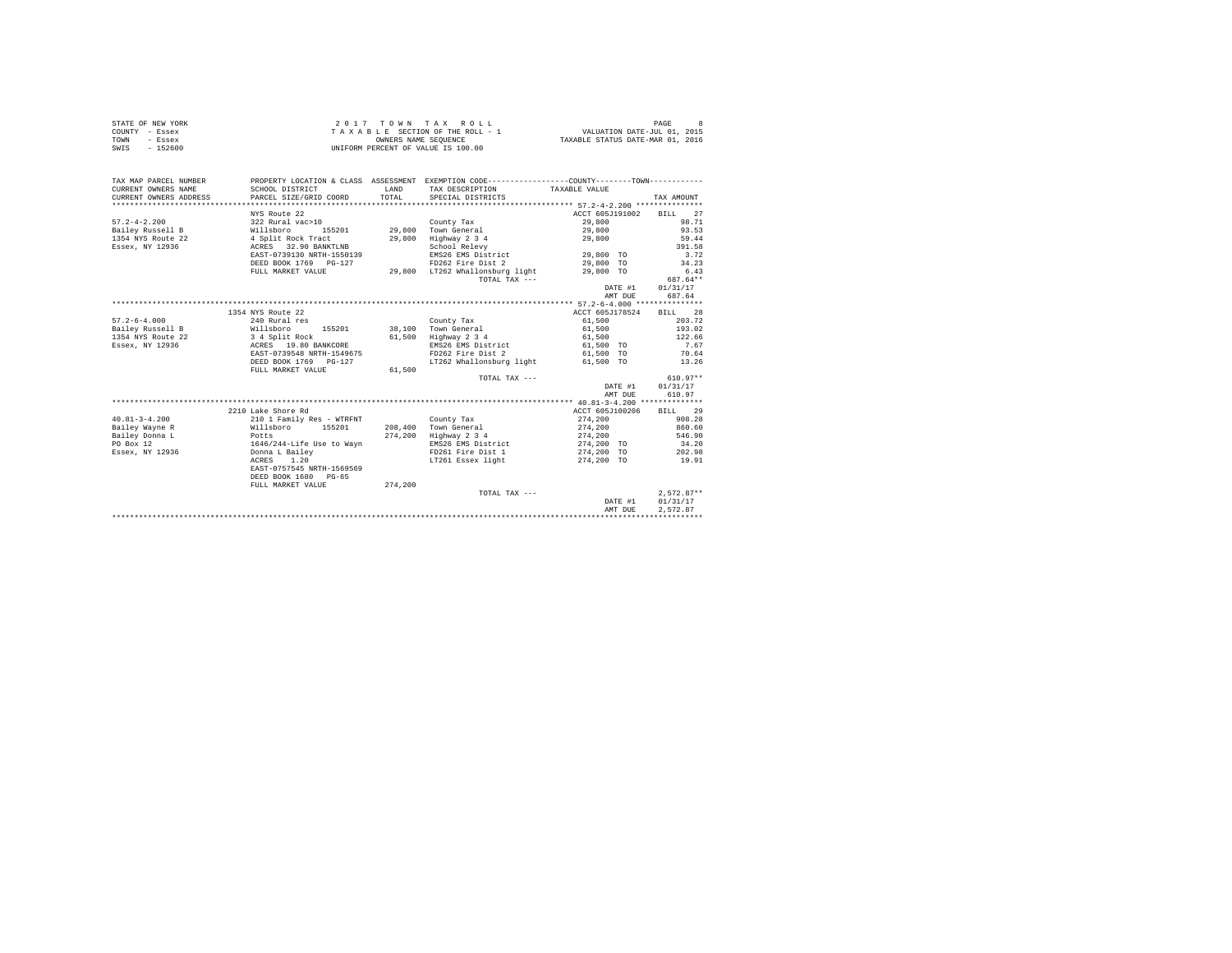| STATE OF NEW YORK | 2017 TOWN TAX ROLL                 | 8<br>PAGE                        |
|-------------------|------------------------------------|----------------------------------|
| COUNTY - Essex    | TAXABLE SECTION OF THE ROLL - 1    | VALUATION DATE-JUL 01, 2015      |
| TOWN<br>- Essex   | OWNERS NAME SEOUENCE               | TAXABLE STATUS DATE-MAR 01, 2016 |
| $-152600$<br>SWIS | UNIFORM PERCENT OF VALUE IS 100.00 |                                  |

| TAX MAP PARCEL NUMBER                         | PROPERTY LOCATION & CLASS ASSESSMENT EXEMPTION CODE----------------COUNTY--------TOWN---------- |              |                                 |                                    |                 |
|-----------------------------------------------|-------------------------------------------------------------------------------------------------|--------------|---------------------------------|------------------------------------|-----------------|
| CURRENT OWNERS NAME                           | SCHOOL DISTRICT                                                                                 | <b>T.AND</b> | TAX DESCRIPTION                 | TAXABLE VALUE                      |                 |
| CURRENT OWNERS ADDRESS PARCEL SIZE/GRID COORD |                                                                                                 | TOTAL        | SPECIAL DISTRICTS               |                                    | TAX AMOUNT      |
|                                               |                                                                                                 |              |                                 |                                    |                 |
|                                               | NYS Route 22                                                                                    |              |                                 | ACCT 605J191002                    | BILL 27         |
| $57.2 - 4 - 2.200$                            | 322 Rural vac>10<br>Willsboro 155201                                                            |              | County Tax                      | 29,800                             | 98.71           |
| Bailey Russell B                              | 155201                                                                                          |              | 29,800 Town General             | 29,800                             | 93.53           |
| 1354 NYS Route 22                             | 4 Split Rock Tract                                                                              | 29,800       | Highway 2 3 4                   | 29,800                             | 59.44           |
| Essex, NY 12936                               | ACRES 32.90 BANKTLNB                                                                            |              | School Relevy                   |                                    | 391.58          |
|                                               | EAST-0739130 NRTH-1550139                                                                       |              | EMS26 EMS District              | 29,800 TO                          | 3.72            |
|                                               | DEED BOOK 1769 PG-127                                                                           |              | FD262 Fire Dist 2               | 29,800 TO                          | 34.23           |
|                                               | FULL MARKET VALUE                                                                               |              | 29,800 LT262 Whallonsburg light | 29,800 TO                          | 6.43            |
|                                               |                                                                                                 |              | TOTAL TAX ---                   |                                    | 687.64**        |
|                                               |                                                                                                 |              |                                 | DATE #1                            | 01/31/17        |
|                                               |                                                                                                 |              |                                 | AMT DUE                            | 687.64          |
|                                               |                                                                                                 |              |                                 |                                    |                 |
|                                               | 1354 NYS Route 22                                                                               |              |                                 | ACCT 605J178524                    | BILL 28         |
| $57.2 - 6 - 4.000$                            | 240 Rural res                                                                                   |              | County Tax                      | 61,500                             | 203.72          |
| Bailey Russell B                              | Willsboro                                                                                       |              | 155201 38,100 Town General      | 61,500                             | 193.02          |
| 1354 NYS Route 22                             | 3 4 Split Rock<br>ACRES 19.80 BANKCORE                                                          |              | 61,500 Highway 2 3 4            | 61,500                             | 122.66          |
| Essex, NY 12936                               |                                                                                                 |              | EMS26 EMS District              | 61,500 TO                          | 7.67            |
|                                               | EAST-0739548 NRTH-1549675                                                                       |              |                                 | FD262 Fire Dist 2 61,500 TO        | 70.64           |
|                                               | DEED BOOK 1769 PG-127                                                                           |              |                                 | LT262 Whallonsburg light 61,500 TO | 13.26           |
|                                               | FULL MARKET VALUE                                                                               | 61,500       |                                 |                                    |                 |
|                                               |                                                                                                 |              | TOTAL TAX ---                   |                                    | $610.97**$      |
|                                               |                                                                                                 |              |                                 | DATE #1                            | 01/31/17        |
|                                               |                                                                                                 |              |                                 | AMT DUE                            | 610.97          |
|                                               |                                                                                                 |              |                                 |                                    |                 |
|                                               | 2210 Lake Shore Rd                                                                              |              |                                 | ACCT 605J100206 BILL 29            |                 |
| $40.81 - 3 - 4.200$                           | 210 1 Family Res - WTRFNT                                                                       |              | County Tax                      | 274,200                            | 908.28          |
| Bailey Wayne R                                | Willsboro 155201                                                                                |              | 208.400 Town General            | 274,200                            | 860.60          |
| Bailey Donna L<br>Potts                       |                                                                                                 |              | 274,200 Highway 2 3 4           | 274,200                            | 546.90          |
| PO Box 12                                     | 1646/244-Life Use to Wayn<br>Donna L Bailey<br>ACRES 1.20                                       |              | EMS26 EMS District              | 274,200 TO                         | 34.20<br>202.98 |
| Essex, NY 12936                               |                                                                                                 |              | FD261 Fire Dist 1               | 274.200 TO                         |                 |
|                                               | ACRES 1.20                                                                                      |              | LT261 Essex light               | 274,200 TO                         | 19.91           |
|                                               | EAST-0757545 NRTH-1569569                                                                       |              |                                 |                                    |                 |
|                                               | DEED BOOK 1680 PG-65                                                                            |              |                                 |                                    |                 |
|                                               | FULL MARKET VALUE                                                                               | 274,200      |                                 |                                    |                 |
|                                               |                                                                                                 |              | TOTAL TAX ---                   |                                    | $2,572.87**$    |
|                                               |                                                                                                 |              |                                 | DATE #1                            | 01/31/17        |
|                                               |                                                                                                 |              |                                 | AMT DUE                            | 2.572.87        |
|                                               |                                                                                                 |              |                                 |                                    |                 |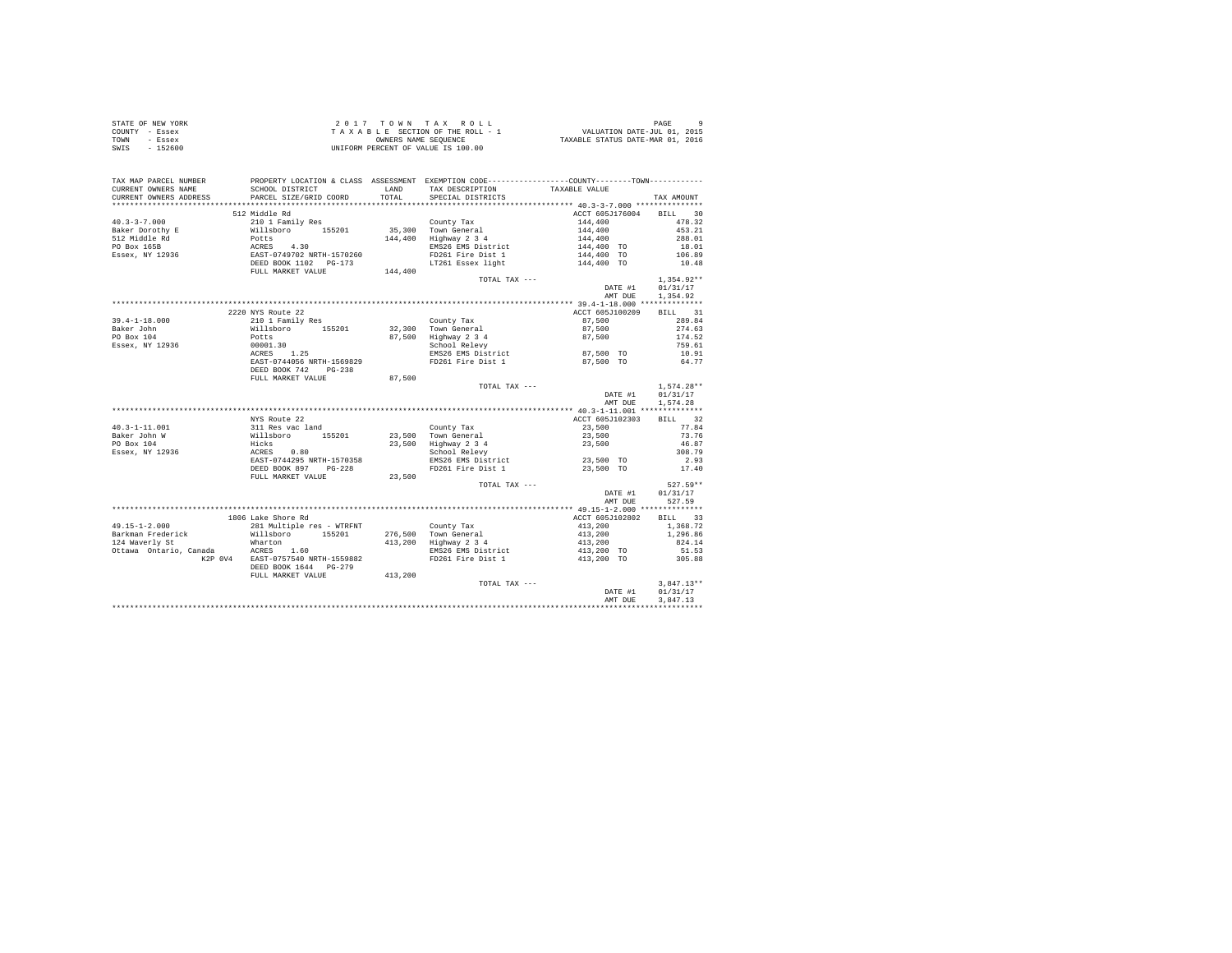|                | STATE OF NEW YORK |  |  | 2017 TOWN TAX ROLL                 |  |  |  | PAGE                             |
|----------------|-------------------|--|--|------------------------------------|--|--|--|----------------------------------|
| COUNTY - Essex |                   |  |  | TAXABLE SECTION OF THE ROLL - 1    |  |  |  | VALUATION DATE-JUL 01, 2015      |
| TOWN           | - Essex           |  |  | OWNERS NAME SEOUENCE               |  |  |  | TAXABLE STATUS DATE-MAR 01, 2016 |
| SWIS           | - 152600          |  |  | UNIFORM PERCENT OF VALUE IS 100.00 |  |  |  |                                  |

| TAX MAP PARCEL NUMBER<br>CURRENT OWNERS NAME                                                                                                                                                                                            | PROPERTY LOCATION & CLASS ASSESSMENT EXEMPTION CODE---------------COUNTY-------TOWN---------<br>SCHOOL DISTRICT |         | LAND TAX DESCRIPTION TAXABLE VALUE                                                                                                                                                                                      |                                  |                      |
|-----------------------------------------------------------------------------------------------------------------------------------------------------------------------------------------------------------------------------------------|-----------------------------------------------------------------------------------------------------------------|---------|-------------------------------------------------------------------------------------------------------------------------------------------------------------------------------------------------------------------------|----------------------------------|----------------------|
|                                                                                                                                                                                                                                         |                                                                                                                 |         |                                                                                                                                                                                                                         |                                  |                      |
|                                                                                                                                                                                                                                         |                                                                                                                 |         |                                                                                                                                                                                                                         | ACCT 605J176004 BILL 30          |                      |
|                                                                                                                                                                                                                                         | 512 Middle Rd                                                                                                   |         | County Tax<br>Town General<br>Town General<br>144,400 453.21<br>Highway 2 3 4<br>EMS26 EMS District<br>TD261 Fire Dist 1 144,400 TO 18.01<br>FD261 Fire Dist 1 144,400 TO 106.89<br>TD261 Fire Dist 1 144,400 TO 106.89 |                                  |                      |
|                                                                                                                                                                                                                                         |                                                                                                                 |         |                                                                                                                                                                                                                         |                                  |                      |
|                                                                                                                                                                                                                                         |                                                                                                                 |         |                                                                                                                                                                                                                         |                                  |                      |
|                                                                                                                                                                                                                                         |                                                                                                                 |         |                                                                                                                                                                                                                         |                                  |                      |
|                                                                                                                                                                                                                                         |                                                                                                                 |         |                                                                                                                                                                                                                         |                                  |                      |
|                                                                                                                                                                                                                                         |                                                                                                                 |         | LT261 Essex light 144,400 TO 10.48                                                                                                                                                                                      |                                  |                      |
|                                                                                                                                                                                                                                         |                                                                                                                 |         |                                                                                                                                                                                                                         |                                  |                      |
|                                                                                                                                                                                                                                         |                                                                                                                 |         | TOTAL TAX ---                                                                                                                                                                                                           |                                  | $1,354.92**$         |
|                                                                                                                                                                                                                                         |                                                                                                                 |         |                                                                                                                                                                                                                         |                                  | DATE #1 01/31/17     |
|                                                                                                                                                                                                                                         |                                                                                                                 |         |                                                                                                                                                                                                                         | AMT DUE                          | 1,354.92             |
|                                                                                                                                                                                                                                         |                                                                                                                 |         |                                                                                                                                                                                                                         |                                  |                      |
|                                                                                                                                                                                                                                         | 2220 NYS Route 22                                                                                               |         |                                                                                                                                                                                                                         | ACCT 605J100209                  | BILL 31              |
|                                                                                                                                                                                                                                         |                                                                                                                 |         |                                                                                                                                                                                                                         |                                  | 289.84               |
|                                                                                                                                                                                                                                         |                                                                                                                 |         |                                                                                                                                                                                                                         |                                  | 274.63               |
|                                                                                                                                                                                                                                         |                                                                                                                 |         |                                                                                                                                                                                                                         |                                  | 174.52               |
|                                                                                                                                                                                                                                         |                                                                                                                 |         |                                                                                                                                                                                                                         |                                  | 759.61               |
|                                                                                                                                                                                                                                         |                                                                                                                 |         |                                                                                                                                                                                                                         |                                  | 10.91                |
|                                                                                                                                                                                                                                         | EAST-0744056 NRTH-1569829 PD261 Fire Dist 1                                                                     |         |                                                                                                                                                                                                                         | 87,500 TO                        | 64.77                |
|                                                                                                                                                                                                                                         | DEED BOOK 742 PG-238                                                                                            |         |                                                                                                                                                                                                                         |                                  |                      |
|                                                                                                                                                                                                                                         | FULL MARKET VALUE                                                                                               | 87,500  |                                                                                                                                                                                                                         |                                  |                      |
|                                                                                                                                                                                                                                         |                                                                                                                 |         | TOTAL TAX ---                                                                                                                                                                                                           |                                  | $1,574.28**$         |
|                                                                                                                                                                                                                                         |                                                                                                                 |         |                                                                                                                                                                                                                         | DATE #1                          | 01/31/17             |
|                                                                                                                                                                                                                                         |                                                                                                                 |         |                                                                                                                                                                                                                         | AMT DUE                          | 1,574.28             |
|                                                                                                                                                                                                                                         |                                                                                                                 |         |                                                                                                                                                                                                                         |                                  |                      |
|                                                                                                                                                                                                                                         | NYS Route 22                                                                                                    |         |                                                                                                                                                                                                                         | ACCT 605J102303 BILL 32          |                      |
|                                                                                                                                                                                                                                         |                                                                                                                 |         |                                                                                                                                                                                                                         | $23,500$<br>$23,500$<br>$23,500$ | 77.84                |
|                                                                                                                                                                                                                                         |                                                                                                                 |         |                                                                                                                                                                                                                         |                                  | 73.76                |
|                                                                                                                                                                                                                                         |                                                                                                                 |         |                                                                                                                                                                                                                         |                                  | 46.87                |
|                                                                                                                                                                                                                                         |                                                                                                                 |         |                                                                                                                                                                                                                         |                                  | 308.79               |
|                                                                                                                                                                                                                                         |                                                                                                                 |         |                                                                                                                                                                                                                         |                                  |                      |
|                                                                                                                                                                                                                                         | DEED BOOK 897 PG-228                                                                                            |         |                                                                                                                                                                                                                         |                                  |                      |
|                                                                                                                                                                                                                                         | FULL MARKET VALUE                                                                                               |         | 308.79<br>EMS26 EMS District<br>PD261 Fire Dist 1 23,500 TO 2.93<br>23,500 TO 17.40<br>23,500                                                                                                                           |                                  |                      |
|                                                                                                                                                                                                                                         |                                                                                                                 |         | TOTAL TAX ---                                                                                                                                                                                                           |                                  | $527.59**$           |
|                                                                                                                                                                                                                                         |                                                                                                                 |         |                                                                                                                                                                                                                         | DATE #1                          | 01/31/17             |
|                                                                                                                                                                                                                                         |                                                                                                                 |         |                                                                                                                                                                                                                         |                                  | AMT DUE 527.59       |
|                                                                                                                                                                                                                                         |                                                                                                                 |         |                                                                                                                                                                                                                         |                                  |                      |
|                                                                                                                                                                                                                                         | 1806 Lake Shore Rd                                                                                              |         |                                                                                                                                                                                                                         | ACCT 605J102802 BILL 33          |                      |
| $121.15-1-2.000$ Allisburg and The California Country Tax<br>121 Millisburg and Millisburg and the Millisburg and Taxman Prederick<br>124 Waverly St Millisburg 1.60<br>13,200 Highway 2 3 4<br>13,200 Highway 2 3 4<br>27 Ottawa Ontar |                                                                                                                 |         |                                                                                                                                                                                                                         | 413,200<br>413,200<br>413,200    | 1,368.72             |
|                                                                                                                                                                                                                                         |                                                                                                                 |         |                                                                                                                                                                                                                         |                                  | 1,296.86             |
|                                                                                                                                                                                                                                         |                                                                                                                 |         |                                                                                                                                                                                                                         |                                  | 824.14               |
|                                                                                                                                                                                                                                         |                                                                                                                 |         | $\begin{array}{lll} \texttt{magnway} & 2 & 3 & 4 & & 413,200 \\ \texttt{EMSS26} & \texttt{EMS} & \texttt{District} & & & 413,200 & \texttt{TO} \\ \texttt{mno} & & & \ddots & \ddots & \ddots \end{array}$              |                                  | 51.53                |
|                                                                                                                                                                                                                                         |                                                                                                                 |         |                                                                                                                                                                                                                         | 413,200 TO                       | 305.88               |
|                                                                                                                                                                                                                                         | DEED BOOK 1644 PG-279                                                                                           | 413,200 |                                                                                                                                                                                                                         |                                  |                      |
|                                                                                                                                                                                                                                         | FULL MARKET VALUE                                                                                               |         |                                                                                                                                                                                                                         |                                  |                      |
|                                                                                                                                                                                                                                         |                                                                                                                 |         | TOTAL TAX ---                                                                                                                                                                                                           | DATE #1                          | $3,847.13**$         |
|                                                                                                                                                                                                                                         |                                                                                                                 |         |                                                                                                                                                                                                                         | AMT DUE                          | 01/31/17<br>3.847.13 |
|                                                                                                                                                                                                                                         |                                                                                                                 |         |                                                                                                                                                                                                                         |                                  |                      |
|                                                                                                                                                                                                                                         |                                                                                                                 |         |                                                                                                                                                                                                                         |                                  |                      |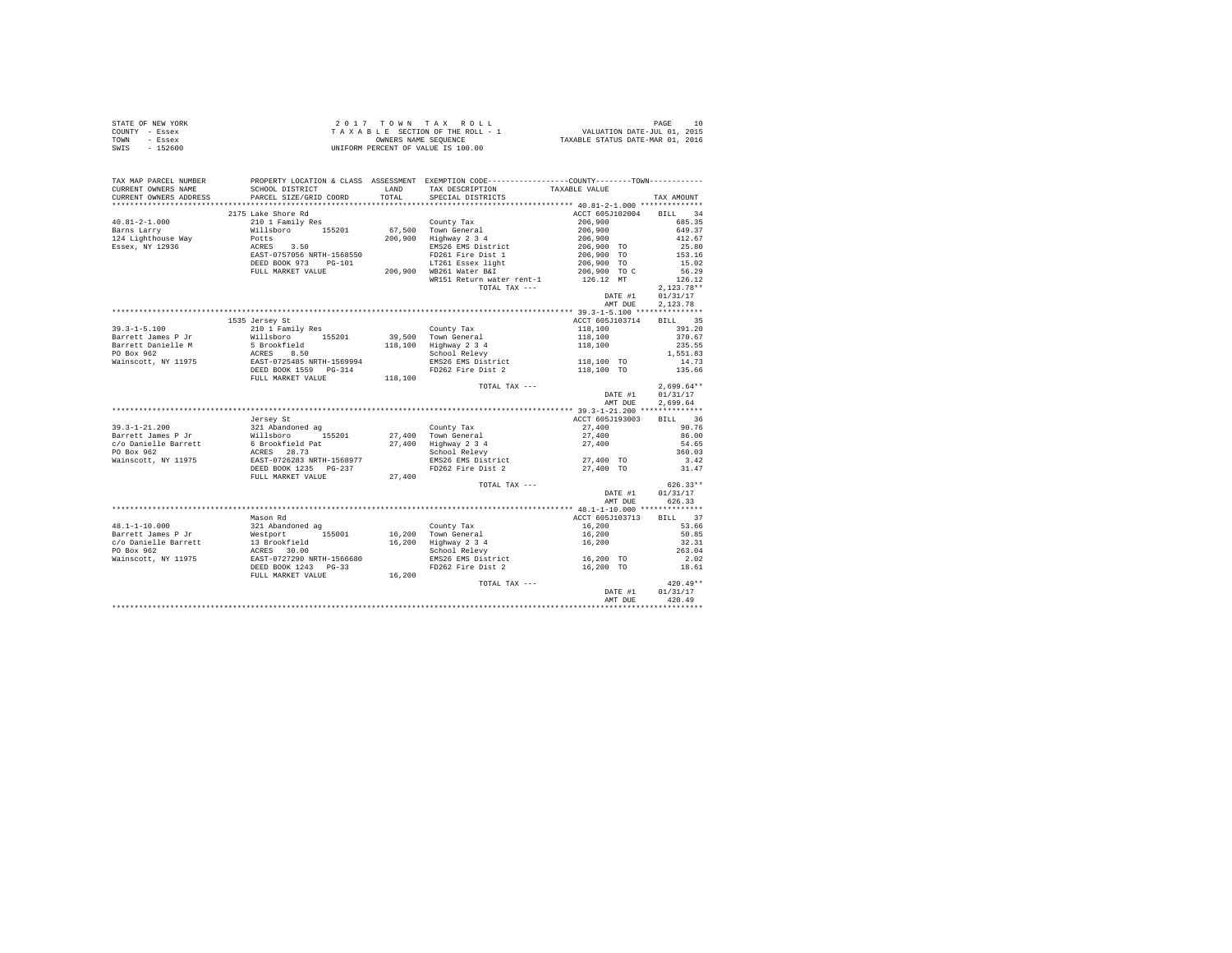| STATE OF NEW YORK | 2017 TOWN TAX ROLL                 | PAGE                             |
|-------------------|------------------------------------|----------------------------------|
| COUNTY - Essex    | TAXABLE SECTION OF THE ROLL - 1    | VALUATION DATE-JUL 01, 2015      |
| TOWN<br>- Essex   | OWNERS NAME SEOUENCE               | TAXABLE STATUS DATE-MAR 01, 2016 |
| SWIS<br>- 152600  | UNIFORM PERCENT OF VALUE IS 100.00 |                                  |

| TAX MAP PARCEL NUMBER<br>CURRENT OWNERS NAME | PROPERTY LOCATION & CLASS ASSESSMENT EXEMPTION CODE----------------COUNTY--------TOWN---------<br>SCHOOL DISTRICT                                                                                                                                           |        |                                                                                                                                                      |                                                                        |                              |
|----------------------------------------------|-------------------------------------------------------------------------------------------------------------------------------------------------------------------------------------------------------------------------------------------------------------|--------|------------------------------------------------------------------------------------------------------------------------------------------------------|------------------------------------------------------------------------|------------------------------|
| CURRENT OWNERS ADDRESS                       | PARCEL SIZE/GRID COORD                                                                                                                                                                                                                                      |        |                                                                                                                                                      |                                                                        | TAX AMOUNT                   |
|                                              |                                                                                                                                                                                                                                                             |        |                                                                                                                                                      |                                                                        |                              |
|                                              | 2175 Lake Shore Rd                                                                                                                                                                                                                                          |        |                                                                                                                                                      | ACCT 605J102004 BILL                                                   | 34                           |
| $40.81 - 2 - 1.000$                          | 210 1 Family Res                                                                                                                                                                                                                                            |        | County Tax                                                                                                                                           | 206,900                                                                | 685.35                       |
| Barns Larry                                  | AN ILENDATE TO SUIT 155201 67,500 TOWN General<br>POLTS 3.50 206,900 Highway 2.34<br>ACRES 3.50 Highway 2.34<br>ENSIT-D75056 NRTH-1568550 ENSIGE NEWS EXERENT 156857-0757056 NRTH-1568550 PD261 Fire Dist 1<br>DEED BOOK 973 PG-101 LT261                   |        |                                                                                                                                                      | $206,900$<br>$206,900$<br>$206,900$ TO<br>$206,900$ TO<br>$206,900$ TO |                              |
| 124 Lighthouse Way                           |                                                                                                                                                                                                                                                             |        |                                                                                                                                                      |                                                                        | 649.37<br>412.67             |
| Essex, NY 12936                              |                                                                                                                                                                                                                                                             |        | EMS26 EMS District                                                                                                                                   |                                                                        |                              |
|                                              |                                                                                                                                                                                                                                                             |        |                                                                                                                                                      |                                                                        | $25.80$<br>153.16            |
|                                              |                                                                                                                                                                                                                                                             |        |                                                                                                                                                      | 206,900 TO                                                             | 15.02                        |
|                                              |                                                                                                                                                                                                                                                             |        | FULL MARKET VALUE 206,900 WB261 Water B&I                                                                                                            | 206,900 TO C                                                           | 56.29                        |
|                                              |                                                                                                                                                                                                                                                             |        | WR151 Return water rent-1                                                                                                                            | 126.12 MT                                                              | 126.12                       |
|                                              |                                                                                                                                                                                                                                                             |        | TOTAL TAX ---                                                                                                                                        |                                                                        | $2,123.78**$                 |
|                                              |                                                                                                                                                                                                                                                             |        |                                                                                                                                                      | DATE #1                                                                | 01/31/17                     |
|                                              |                                                                                                                                                                                                                                                             |        |                                                                                                                                                      | AMT DUE                                                                | 2,123.78                     |
|                                              |                                                                                                                                                                                                                                                             |        |                                                                                                                                                      |                                                                        |                              |
|                                              |                                                                                                                                                                                                                                                             |        |                                                                                                                                                      |                                                                        |                              |
|                                              | 1535 Jersey St<br>39.3-1-5.100<br>Sarrett James P Jr $\frac{100}{10000}$ and the served of the served of the served of the served of the served of the served of the served of the proof<br>Barrett Damiele M S Brookfield<br>PO Box 962<br>Wainscott, NY 1 |        |                                                                                                                                                      | ACCT 605J103714 BILL 35                                                | 391.20                       |
|                                              |                                                                                                                                                                                                                                                             |        |                                                                                                                                                      | $118,100$<br>$118,100$<br>$118,100$                                    | 370.67                       |
|                                              |                                                                                                                                                                                                                                                             |        |                                                                                                                                                      |                                                                        |                              |
|                                              |                                                                                                                                                                                                                                                             |        |                                                                                                                                                      |                                                                        | 235.55<br>235.55<br>1,551.83 |
|                                              |                                                                                                                                                                                                                                                             |        |                                                                                                                                                      |                                                                        |                              |
|                                              |                                                                                                                                                                                                                                                             |        |                                                                                                                                                      |                                                                        |                              |
|                                              |                                                                                                                                                                                                                                                             |        |                                                                                                                                                      |                                                                        |                              |
|                                              |                                                                                                                                                                                                                                                             |        |                                                                                                                                                      |                                                                        |                              |
|                                              |                                                                                                                                                                                                                                                             |        | TOTAL TAX ---                                                                                                                                        | DATE #1                                                                | $2.699.64**$                 |
|                                              |                                                                                                                                                                                                                                                             |        |                                                                                                                                                      |                                                                        | 01/31/17                     |
|                                              |                                                                                                                                                                                                                                                             |        |                                                                                                                                                      | AMT DUE                                                                | 2.699.64                     |
|                                              |                                                                                                                                                                                                                                                             |        |                                                                                                                                                      |                                                                        |                              |
|                                              | Jersey St                                                                                                                                                                                                                                                   |        |                                                                                                                                                      | ACCT 605J193003                                                        | BILL 36                      |
|                                              |                                                                                                                                                                                                                                                             |        |                                                                                                                                                      |                                                                        | 90.76                        |
|                                              |                                                                                                                                                                                                                                                             |        |                                                                                                                                                      |                                                                        | 86.00                        |
|                                              |                                                                                                                                                                                                                                                             |        |                                                                                                                                                      | $27,400$<br>$27,400$<br>$27,400$                                       | 54.65                        |
|                                              |                                                                                                                                                                                                                                                             |        |                                                                                                                                                      |                                                                        | 360.03                       |
|                                              |                                                                                                                                                                                                                                                             |        |                                                                                                                                                      |                                                                        | 3.42                         |
|                                              |                                                                                                                                                                                                                                                             |        |                                                                                                                                                      |                                                                        | 31.47                        |
|                                              |                                                                                                                                                                                                                                                             |        |                                                                                                                                                      |                                                                        |                              |
|                                              |                                                                                                                                                                                                                                                             |        | TOTAL TAX ---                                                                                                                                        |                                                                        | $626.33**$                   |
|                                              |                                                                                                                                                                                                                                                             |        |                                                                                                                                                      | DATE #1                                                                | 01/31/17                     |
|                                              |                                                                                                                                                                                                                                                             |        |                                                                                                                                                      | AMT DUE                                                                | 626.33                       |
|                                              |                                                                                                                                                                                                                                                             |        |                                                                                                                                                      |                                                                        |                              |
|                                              | Mason Rd                                                                                                                                                                                                                                                    |        |                                                                                                                                                      | ACCT 605J103713 BILL 37                                                |                              |
|                                              |                                                                                                                                                                                                                                                             |        |                                                                                                                                                      |                                                                        | 53.66                        |
|                                              |                                                                                                                                                                                                                                                             |        |                                                                                                                                                      |                                                                        | 50.85                        |
|                                              |                                                                                                                                                                                                                                                             |        |                                                                                                                                                      | 16,200<br>16,200<br>16,200                                             | 32.31                        |
|                                              |                                                                                                                                                                                                                                                             |        |                                                                                                                                                      |                                                                        | 263.04                       |
|                                              |                                                                                                                                                                                                                                                             |        |                                                                                                                                                      |                                                                        |                              |
|                                              | 48.1-1-10.000 Maximum 321 abandoned ag County Tax<br>Barrett James P Jr Westport (155001 16,200 Town General<br>PO Box 962 13 Brookfield<br>PO Box 962 127290 NRTH-1566680 School Relevy<br>Nainscott, NY 11975 EAST-0727290 NRTH-1566                      |        | 201.000 1.000 1.000 1.000 1.000 1.000 1.000 1.000 1.000 1.000 1.000 1.000 1.000 1.000 1.000 1.000 1.000 1.000 1<br>PD262 Fire Dist 2 16,200 TO 18.61 |                                                                        |                              |
|                                              | FULL MARKET VALUE                                                                                                                                                                                                                                           | 16,200 |                                                                                                                                                      |                                                                        |                              |
|                                              |                                                                                                                                                                                                                                                             |        | TOTAL TAX ---                                                                                                                                        | DATE #1                                                                | $420.49**$                   |
|                                              |                                                                                                                                                                                                                                                             |        |                                                                                                                                                      |                                                                        | 01/31/17                     |
|                                              |                                                                                                                                                                                                                                                             |        |                                                                                                                                                      | AMT DUE                                                                | 420.49                       |
|                                              |                                                                                                                                                                                                                                                             |        |                                                                                                                                                      |                                                                        |                              |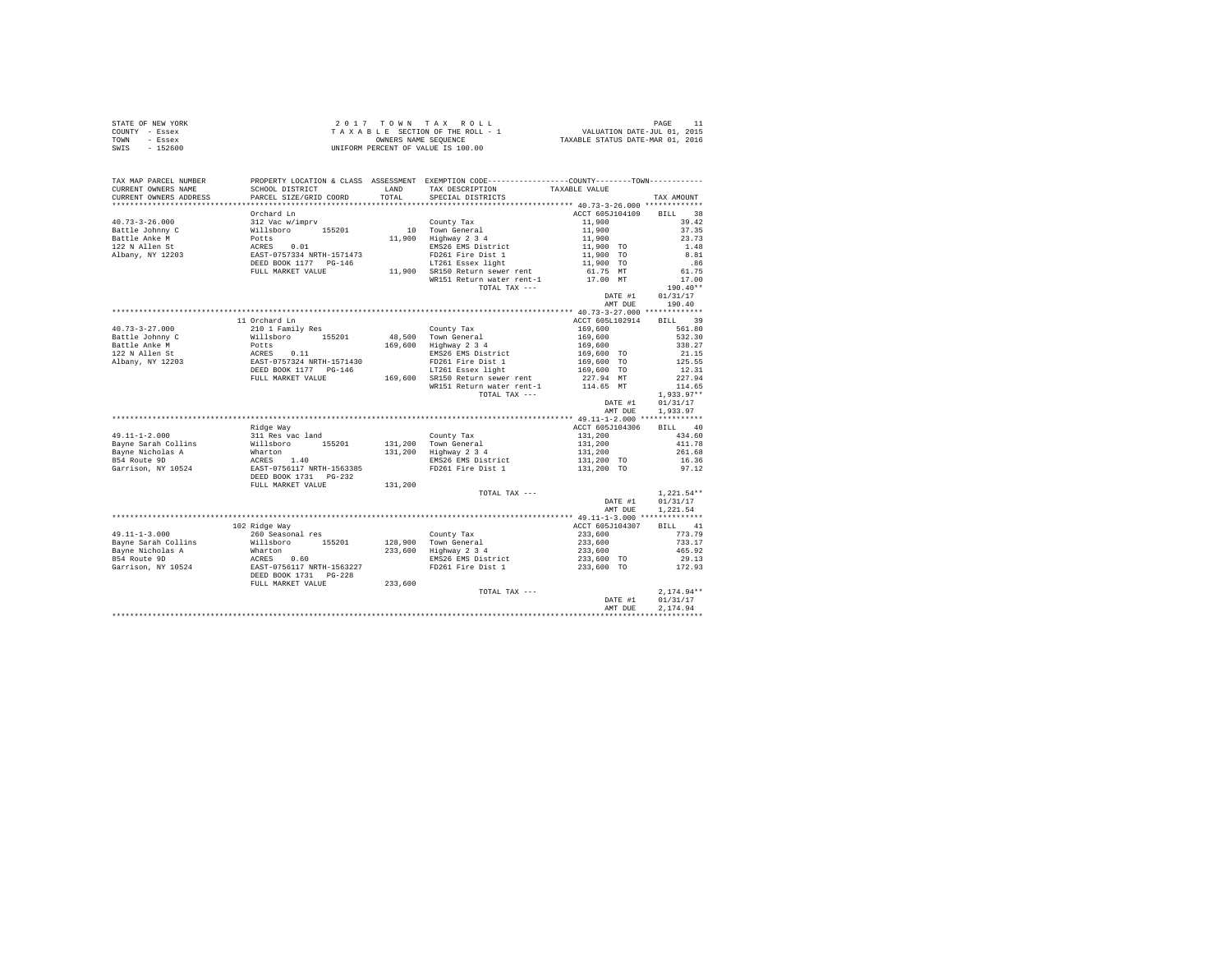| STATE OF NEW YORK | 2017 TOWN TAX ROLL                 | PAGE                             |
|-------------------|------------------------------------|----------------------------------|
| COUNTY - Essex    | TAXABLE SECTION OF THE ROLL - 1    | VALUATION DATE-JUL 01, 2015      |
| TOWN<br>- Essex   | OWNERS NAME SEOUENCE               | TAXABLE STATUS DATE-MAR 01, 2016 |
| $-152600$<br>SWIS | UNIFORM PERCENT OF VALUE IS 100.00 |                                  |

| TAX MAP PARCEL NUMBER<br>CURRENT OWNERS NAME                                                                                                                                                                                                         | SCHOOL DISTRICT                                                                                                  | LAND    | PROPERTY LOCATION & CLASS ASSESSMENT EXEMPTION CODE---------------COUNTY-------TOWN---------<br>TAX DESCRIPTION                                                                                                                                                                                                                                                                                                            | TAXABLE VALUE                                  |                     |
|------------------------------------------------------------------------------------------------------------------------------------------------------------------------------------------------------------------------------------------------------|------------------------------------------------------------------------------------------------------------------|---------|----------------------------------------------------------------------------------------------------------------------------------------------------------------------------------------------------------------------------------------------------------------------------------------------------------------------------------------------------------------------------------------------------------------------------|------------------------------------------------|---------------------|
| CURRENT OWNERS ADDRESS                                                                                                                                                                                                                               | PARCEL SIZE/GRID COORD                                                                                           | TOTAL   | SPECIAL DISTRICTS                                                                                                                                                                                                                                                                                                                                                                                                          |                                                | TAX AMOUNT          |
|                                                                                                                                                                                                                                                      |                                                                                                                  |         |                                                                                                                                                                                                                                                                                                                                                                                                                            |                                                |                     |
|                                                                                                                                                                                                                                                      | Orchard Ln                                                                                                       |         |                                                                                                                                                                                                                                                                                                                                                                                                                            | ACCT 605J104109                                | 38<br><b>BILL</b>   |
| $40.73 - 3 - 26.000$                                                                                                                                                                                                                                 | 312 Vac w/imprv                                                                                                  |         | $\begin{tabular}{c c c} & \multicolumn{1}{c}{\text{Country Tax}} & & & 11,900 \\ \multicolumn{1}{c}{10} & \multicolumn{1}{c}{\text{Tow General}} & & 11,900 \\ \multicolumn{1}{c}{11,900} & \multicolumn{1}{c}{\text{Highway 2 3 4}} & & 11,900 \\ \multicolumn{1}{c}{\text{mNS26 EMS District}} & & 11,900 & \text{TO} \\ \multicolumn{1}{c}{\text{F226 E N} & & 11,900 & \text{TO} \\ \multicolumn{1}{c}{\text{F226 E S$ |                                                | 39.42               |
|                                                                                                                                                                                                                                                      |                                                                                                                  |         |                                                                                                                                                                                                                                                                                                                                                                                                                            |                                                | 37.35               |
|                                                                                                                                                                                                                                                      |                                                                                                                  |         |                                                                                                                                                                                                                                                                                                                                                                                                                            |                                                | 23.73               |
|                                                                                                                                                                                                                                                      |                                                                                                                  |         |                                                                                                                                                                                                                                                                                                                                                                                                                            |                                                | 1.48                |
|                                                                                                                                                                                                                                                      |                                                                                                                  |         |                                                                                                                                                                                                                                                                                                                                                                                                                            |                                                | 8.81                |
|                                                                                                                                                                                                                                                      |                                                                                                                  |         |                                                                                                                                                                                                                                                                                                                                                                                                                            |                                                | .86                 |
|                                                                                                                                                                                                                                                      | FULL MARKET VALUE                                                                                                |         |                                                                                                                                                                                                                                                                                                                                                                                                                            |                                                | 61.75               |
|                                                                                                                                                                                                                                                      |                                                                                                                  |         |                                                                                                                                                                                                                                                                                                                                                                                                                            |                                                | 17.00               |
|                                                                                                                                                                                                                                                      |                                                                                                                  |         | TOTAL TAX ---                                                                                                                                                                                                                                                                                                                                                                                                              |                                                | $190.40**$          |
|                                                                                                                                                                                                                                                      |                                                                                                                  |         |                                                                                                                                                                                                                                                                                                                                                                                                                            | DATE #1                                        | 01/31/17            |
|                                                                                                                                                                                                                                                      |                                                                                                                  |         |                                                                                                                                                                                                                                                                                                                                                                                                                            | AMT DUE                                        | 190.40              |
|                                                                                                                                                                                                                                                      |                                                                                                                  |         |                                                                                                                                                                                                                                                                                                                                                                                                                            |                                                |                     |
|                                                                                                                                                                                                                                                      | 11 Orchard Ln                                                                                                    |         |                                                                                                                                                                                                                                                                                                                                                                                                                            | ACCT 605L102914                                | 39<br><b>BILL</b>   |
| $40.73 - 3 - 27.000$                                                                                                                                                                                                                                 | 210 1 Family Res                                                                                                 |         |                                                                                                                                                                                                                                                                                                                                                                                                                            | 169,600                                        | 561.80              |
| Martin 2019<br>1920 - Millaboro 155201 48<br>Battle Johnny C – Willaboro 155201 48<br>169<br>177 - Martin 169<br>177 - Martin 169<br>1885 - Martin 1571430<br>1885 - Martin 169<br>177 - Polite 169<br>1892 - Martin 169<br>1892 - Martin 169<br>189 |                                                                                                                  |         | County Tax<br>48,500 Town General<br>169,600 Highway 2 3 4                                                                                                                                                                                                                                                                                                                                                                 |                                                | 532.30              |
|                                                                                                                                                                                                                                                      |                                                                                                                  |         |                                                                                                                                                                                                                                                                                                                                                                                                                            | 169,600<br>169,600<br>169,600 TO<br>169,600 TO | 338.27              |
|                                                                                                                                                                                                                                                      |                                                                                                                  |         | EMS26 EMS District                                                                                                                                                                                                                                                                                                                                                                                                         |                                                |                     |
|                                                                                                                                                                                                                                                      |                                                                                                                  |         | FD261 Fire Dist 1                                                                                                                                                                                                                                                                                                                                                                                                          |                                                | $21.15$<br>$125.55$ |
|                                                                                                                                                                                                                                                      |                                                                                                                  |         |                                                                                                                                                                                                                                                                                                                                                                                                                            |                                                | 12.31               |
|                                                                                                                                                                                                                                                      |                                                                                                                  |         | LT261 Essex light                                                                                                                                                                                                                                                                                                                                                                                                          | 169,600 TO                                     |                     |
|                                                                                                                                                                                                                                                      | FULL MARKET VALUE                                                                                                |         | 169,600 SR150 Return sewer rent                                                                                                                                                                                                                                                                                                                                                                                            | 227.94 MT<br>114.65 MT                         | 227.94              |
|                                                                                                                                                                                                                                                      |                                                                                                                  |         | WR151 Return water rent-1                                                                                                                                                                                                                                                                                                                                                                                                  |                                                | 114.65              |
|                                                                                                                                                                                                                                                      |                                                                                                                  |         | TOTAL TAX ---                                                                                                                                                                                                                                                                                                                                                                                                              |                                                | $1,933.97**$        |
|                                                                                                                                                                                                                                                      |                                                                                                                  |         |                                                                                                                                                                                                                                                                                                                                                                                                                            | DATE #1                                        | 01/31/17            |
|                                                                                                                                                                                                                                                      |                                                                                                                  |         |                                                                                                                                                                                                                                                                                                                                                                                                                            | AMT DUE                                        | 1,933.97            |
|                                                                                                                                                                                                                                                      |                                                                                                                  |         |                                                                                                                                                                                                                                                                                                                                                                                                                            |                                                |                     |
|                                                                                                                                                                                                                                                      | Ridge Way                                                                                                        |         |                                                                                                                                                                                                                                                                                                                                                                                                                            | ACCT 605J104306                                | <b>BILL</b><br>40   |
| $49.11 - 1 - 2.000$                                                                                                                                                                                                                                  | 311 Res vac land                                                                                                 |         |                                                                                                                                                                                                                                                                                                                                                                                                                            |                                                | 434.60              |
| Bayne Sarah Collins                                                                                                                                                                                                                                  |                                                                                                                  |         | County Tax<br>131,200 Town General<br>131,200 Highway 2 3 4                                                                                                                                                                                                                                                                                                                                                                | 131,200<br>131,200<br>131,200                  | 411.78              |
| Bayne Nicholas A                                                                                                                                                                                                                                     |                                                                                                                  |         |                                                                                                                                                                                                                                                                                                                                                                                                                            |                                                | 261.68              |
| 854 Route 9D                                                                                                                                                                                                                                         |                                                                                                                  |         | EMS26 EMS District 131,200 TO<br>FD261 Fire Dist 1 131,200 TO                                                                                                                                                                                                                                                                                                                                                              |                                                | 16.36               |
| Garrison, NY 10524                                                                                                                                                                                                                                   |                                                                                                                  |         |                                                                                                                                                                                                                                                                                                                                                                                                                            |                                                | 97.12               |
|                                                                                                                                                                                                                                                      | %11 Res var.<br>Willsboro 155201<br>Mharton<br>ACRES 1.40<br>EAST-0756117 NRTH-1563385<br>DEED BOOK 1731 _PG-232 |         |                                                                                                                                                                                                                                                                                                                                                                                                                            |                                                |                     |
|                                                                                                                                                                                                                                                      | FULL MARKET VALUE                                                                                                | 131,200 |                                                                                                                                                                                                                                                                                                                                                                                                                            |                                                |                     |
|                                                                                                                                                                                                                                                      |                                                                                                                  |         | TOTAL TAX ---                                                                                                                                                                                                                                                                                                                                                                                                              |                                                | $1,221.54**$        |
|                                                                                                                                                                                                                                                      |                                                                                                                  |         |                                                                                                                                                                                                                                                                                                                                                                                                                            | DATE #1                                        | 01/31/17            |
|                                                                                                                                                                                                                                                      |                                                                                                                  |         |                                                                                                                                                                                                                                                                                                                                                                                                                            | AMT DUE                                        | 1,221.54            |
|                                                                                                                                                                                                                                                      |                                                                                                                  |         |                                                                                                                                                                                                                                                                                                                                                                                                                            |                                                |                     |
|                                                                                                                                                                                                                                                      | 102 Ridge Way                                                                                                    |         |                                                                                                                                                                                                                                                                                                                                                                                                                            | ACCT 605J104307                                | BILL 41             |
| $49.11 - 1 - 3.000$                                                                                                                                                                                                                                  | 260 Seasonal res                                                                                                 |         | County Tax                                                                                                                                                                                                                                                                                                                                                                                                                 | 233,600                                        | 773.79              |
|                                                                                                                                                                                                                                                      |                                                                                                                  |         |                                                                                                                                                                                                                                                                                                                                                                                                                            | $233,600$<br>$233,600$<br>$233,600$ TO         | 733.17              |
|                                                                                                                                                                                                                                                      |                                                                                                                  |         |                                                                                                                                                                                                                                                                                                                                                                                                                            |                                                | 465.92              |
|                                                                                                                                                                                                                                                      |                                                                                                                  |         |                                                                                                                                                                                                                                                                                                                                                                                                                            |                                                | 29.13               |
|                                                                                                                                                                                                                                                      |                                                                                                                  |         | FD261 Fire Dist 1                                                                                                                                                                                                                                                                                                                                                                                                          | 233,600 TO                                     | 172.93              |
| 1991 - 1990 - 2000 - 2000 - 2000 - 2000 - 2000 - 2000 - 2011<br>Bayne Sarah Collins Millsboro 155201 - 233,600 - 239,600 - 239,600 - 239,600 - 239,600 - 239,600 - 2011<br>Bayne Sarah Collins - 2000 - 233,600 - 233,600 - 239<br>B                 |                                                                                                                  |         |                                                                                                                                                                                                                                                                                                                                                                                                                            |                                                |                     |
|                                                                                                                                                                                                                                                      | FULL MARKET VALUE                                                                                                | 233,600 |                                                                                                                                                                                                                                                                                                                                                                                                                            |                                                |                     |
|                                                                                                                                                                                                                                                      |                                                                                                                  |         | TOTAL TAX ---                                                                                                                                                                                                                                                                                                                                                                                                              |                                                | $2,174.94**$        |
|                                                                                                                                                                                                                                                      |                                                                                                                  |         |                                                                                                                                                                                                                                                                                                                                                                                                                            | DATE #1                                        | 01/31/17            |
|                                                                                                                                                                                                                                                      |                                                                                                                  |         |                                                                                                                                                                                                                                                                                                                                                                                                                            | AMT DUE                                        | 2,174.94            |
|                                                                                                                                                                                                                                                      |                                                                                                                  |         |                                                                                                                                                                                                                                                                                                                                                                                                                            |                                                |                     |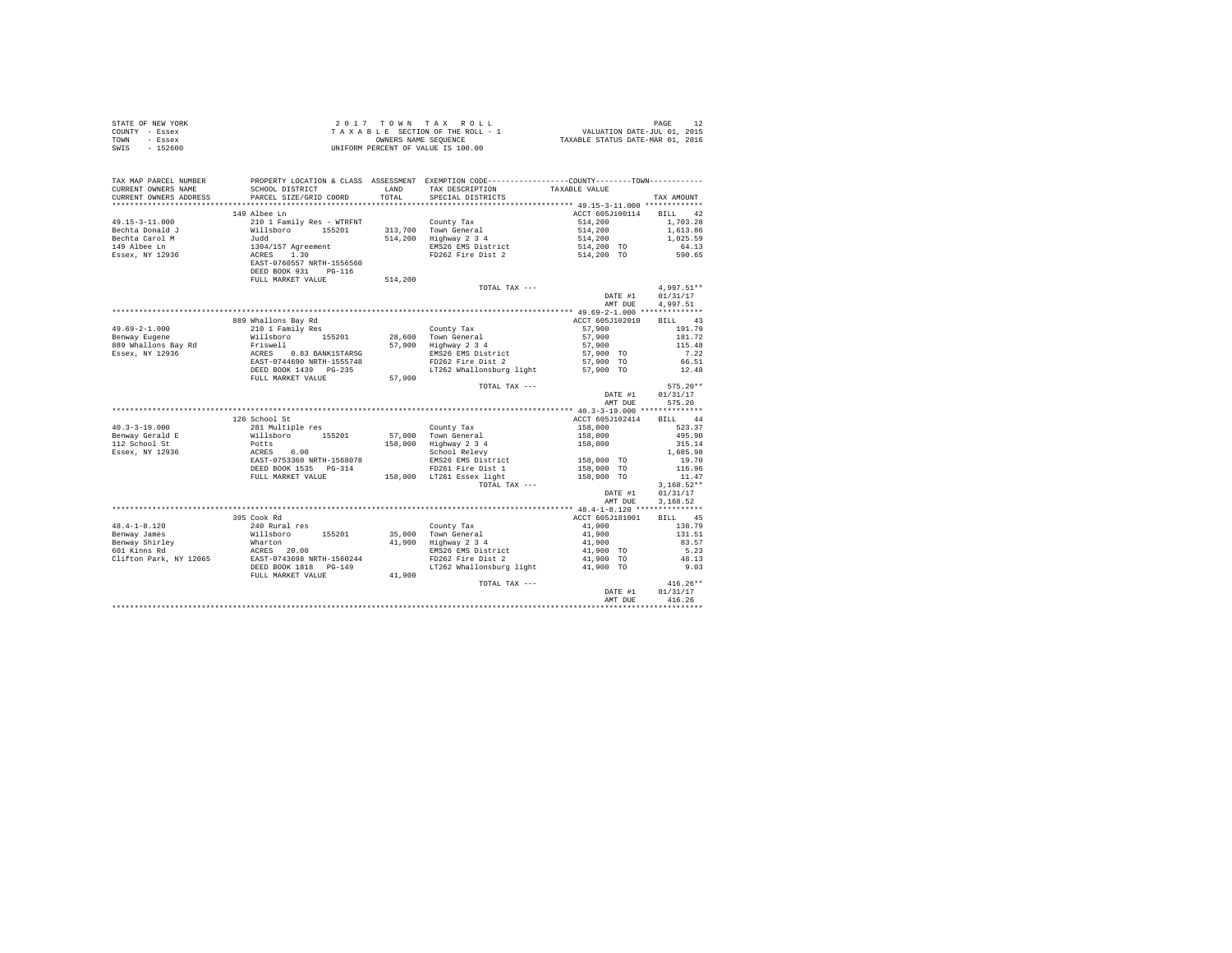| STATE OF NEW YORK      | 2 0 1 7                   |         | TOWN TAX ROLL                                                                                |                 |                   |
|------------------------|---------------------------|---------|----------------------------------------------------------------------------------------------|-----------------|-------------------|
| COUNTY - Essex         |                           |         | TAXABLE SECTION OF THE ROLL - 1                                                              |                 |                   |
| TOWN<br>- Essex        |                           |         |                                                                                              |                 |                   |
| SWIS<br>$-152600$      |                           |         | UNIFORM PERCENT OF VALUE IS 100.00                                                           |                 |                   |
|                        |                           |         |                                                                                              |                 |                   |
| TAX MAP PARCEL NUMBER  |                           |         | PROPERTY LOCATION & CLASS ASSESSMENT EXEMPTION CODE---------------COUNTY-------TOWN--------- |                 |                   |
| CURRENT OWNERS NAME    | SCHOOL DISTRICT           | LAND    | TAX DESCRIPTION                                                                              | TAXABLE VALUE   |                   |
| CURRENT OWNERS ADDRESS | PARCEL SIZE/GRID COORD    | TOTAL   | SPECIAL DISTRICTS                                                                            |                 | TAX AMOUNT        |
|                        |                           |         |                                                                                              |                 |                   |
|                        | 149 Albee Ln              |         |                                                                                              | ACCT 605J100114 | <b>BILL</b><br>42 |
| 49.15-3-11.000         | 210 1 Family Res - WTRFNT |         | County Tax                                                                                   | 514,200         | 1,703.28          |
| Bechta Donald J        | Willsboro<br>155201       |         | 313,700 Town General                                                                         | 514,200         | 1,613.86          |
| Bechta Carol M         | Judd                      |         | 514,200 Highway 2 3 4                                                                        | 514,200         | 1,025.59          |
| 149 Albee Ln           | 1304/157 Agreement        |         | EMS26 EMS District                                                                           | 514,200 TO      | 64.13             |
| Essex, NY 12936        | 1.30<br>ACRES             |         | FD262 Fire Dist 2                                                                            | 514,200 TO      | 590.65            |
|                        | EAST-0760557 NRTH-1556560 |         |                                                                                              |                 |                   |
|                        | DEED BOOK 931 PG-116      |         |                                                                                              |                 |                   |
|                        | FULL MARKET VALUE         | 514,200 |                                                                                              |                 |                   |
|                        |                           |         | TOTAL TAX ---                                                                                |                 | 4.997.51**        |
|                        |                           |         |                                                                                              | DATE #1         | 01/31/17          |
|                        |                           |         |                                                                                              | AMT DUE         | 4,997.51          |
|                        |                           |         |                                                                                              |                 |                   |
|                        | 889 Whallons Bay Rd       |         |                                                                                              | ACCT 605J102010 | <b>BILL</b><br>43 |
| $49.69 - 2 - 1.000$    | 210 1 Family Res          |         | County Tax                                                                                   | 57,900          | 191.79            |
| Benway Eugene          | Willsboro 155201          |         | 28,600 Town General                                                                          | 57,900          | 181.72            |
| 889 Whallons Bay Rd    | Friswell                  |         | 57,900 Highway 2 3 4                                                                         | 57,900          | 115.48            |
| Essex, NY 12936        | 0.83 BANK1STARSG<br>ACRES |         | EMS26 EMS District                                                                           | 57,900 TO       | 7.22              |
|                        | EAST-0744690 NRTH-1555748 |         | FD262 Fire Dist 2                                                                            | 57,900 TO       | 66.51             |
|                        | DEED BOOK 1439 PG-235     |         | LT262 Whallonsburg light                                                                     | 57,900 TO       | 12.48             |
|                        | FULL MARKET VALUE         |         |                                                                                              |                 |                   |
|                        |                           | 57,900  | TOTAL TAX ---                                                                                |                 | $575.20**$        |
|                        |                           |         |                                                                                              |                 |                   |
|                        |                           |         |                                                                                              | DATE #1         | 01/31/17          |
|                        |                           |         |                                                                                              | AMT DUE         | 575.20            |
|                        |                           |         |                                                                                              |                 |                   |
|                        | 126 School St             |         |                                                                                              | ACCT 605J102414 | <b>BILL</b><br>44 |
| $40.3 - 3 - 19.000$    | 281 Multiple res          |         | County Tax                                                                                   | 158,000         | 523.37            |
| Benway Gerald E        | Willsboro<br>155201       | 57,000  | Town General                                                                                 | 158,000         | 495.90            |
| 112 School St          | Potts                     |         | 158,000 Highway 2 3 4                                                                        | 158,000         | 315.14            |
| Essex, NY 12936        | ACRES<br>6.00             |         | School Relevy                                                                                |                 | 1,685.98          |
|                        | EAST-0753360 NRTH-1568078 |         | EMS26 EMS District                                                                           | 158,000 TO      | 19.70             |
|                        | DEED BOOK 1535 PG-314     |         | FD261 Fire Dist 1                                                                            | 158,000 TO      | 116.96            |
|                        | FULL MARKET VALUE         |         | 158,000 LT261 Essex light                                                                    | 158,000 TO      | 11.47             |
|                        |                           |         | TOTAL TAX ---                                                                                |                 | $3,168.52**$      |
|                        |                           |         |                                                                                              | DATE #1         | 01/31/17          |
|                        |                           |         |                                                                                              | AMT DUE         | 3.168.52          |
|                        |                           |         |                                                                                              |                 |                   |
|                        | 395 Cook Rd               |         |                                                                                              | ACCT 605J181001 | <b>BILL</b><br>45 |
| $48.4 - 1 - 8.120$     | 240 Rural res             |         | County Tax                                                                                   | 41,900          | 138.79            |
| Benway James           | Willsboro<br>155201       | 35,000  | Town General                                                                                 | 41,900          | 131.51            |
| Benway Shirley         | Wharton                   | 41,900  | rown General<br>Highway 2 3 4                                                                | 41,900          | 83.57             |
| 601 Kinns Rd           | ACRES 20.00               |         | EMS26 EMS District                                                                           | 41,900 TO       | 5.23              |
| Clifton Park, NY 12065 | EAST-0743698 NRTH-1560244 |         | FD262 Fire Dist 2                                                                            | 41,900 TO       | 48.13             |
|                        | DEED BOOK 1818 PG-149     |         | LT262 Whallonsburg light                                                                     | 41,900 TO       | 9.03              |
|                        | more construction travers | 41.000  |                                                                                              |                 |                   |

|                        | 395 Cook Rd                |        |                          | ACCT 605J181001                | 45<br><b>BILL</b> |
|------------------------|----------------------------|--------|--------------------------|--------------------------------|-------------------|
| $48.4 - 1 - 8.120$     | 240 Rural res              |        | County Tax               | 41,900                         | 138.79            |
| Benway James           | 155201<br>Willsboro        | 35,000 | Town General             | 41,900                         | 131.51            |
| Benway Shirley         | Wharton                    | 41,900 | Highway 2 3 4            | 41,900                         | 83.57             |
| 601 Kinns Rd           | 20.00<br>ACRES             |        | EMS26 EMS District       | 41,900 TO                      | 5.23              |
| Clifton Park, NY 12065 | EAST-0743698 NRTH-1560244  |        | FD262 Fire Dist 2        | 41,900 TO                      | 48.13             |
|                        | DEED BOOK 1818<br>$PG-149$ |        | LT262 Whallonsburg light | 41,900 TO                      | 9.03              |
|                        | FULL MARKET VALUE          | 41,900 |                          |                                |                   |
|                        |                            |        | TOTAL TAX $---$          |                                | $416.26**$        |
|                        |                            |        |                          | DATE #1                        | 01/31/17          |
|                        |                            |        |                          | AMT DUE                        | 416.26            |
|                        |                            |        |                          | ****************************** |                   |
|                        |                            |        |                          |                                |                   |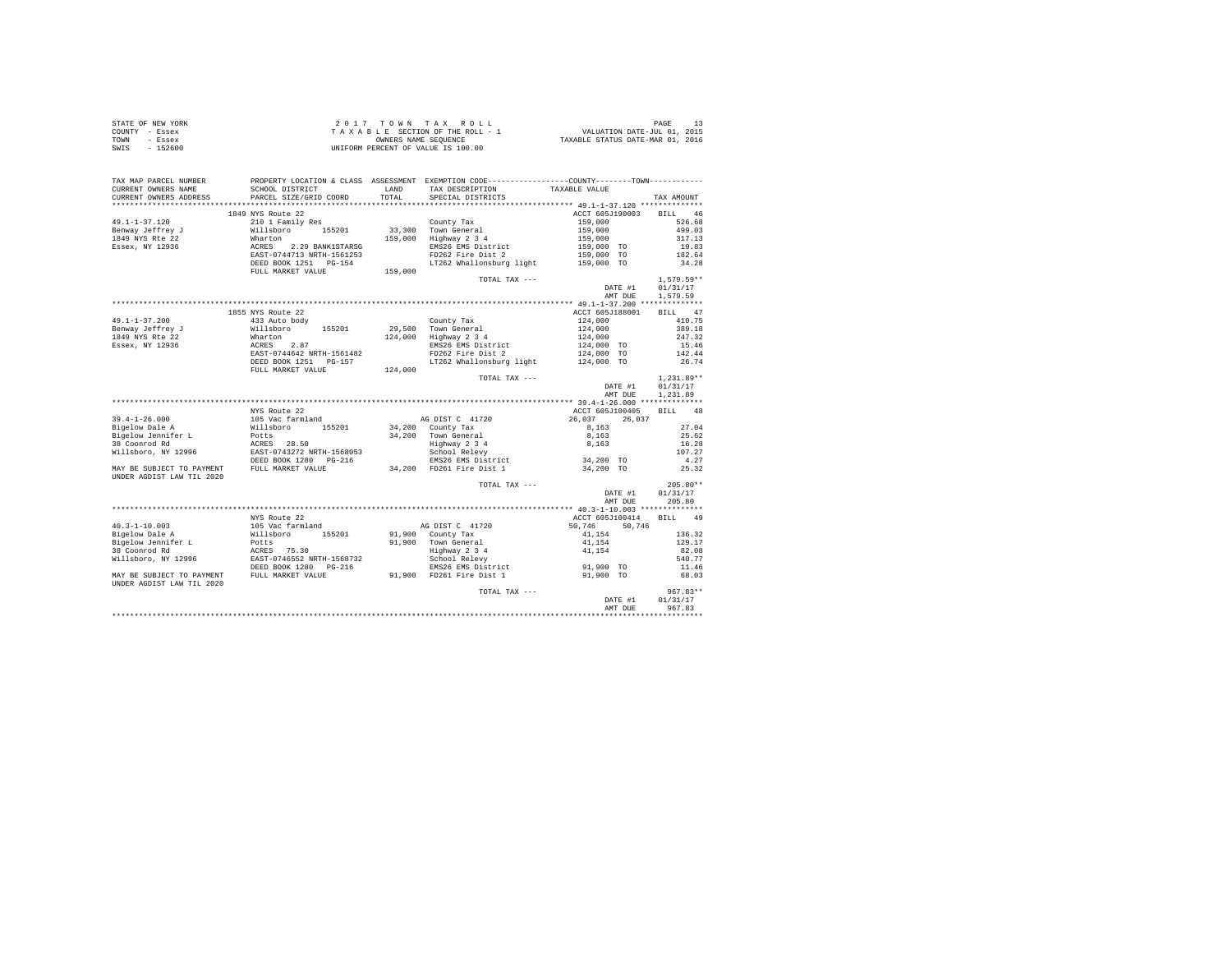| STATE OF NEW YORK | $2.017$ TOWN TAX ROLL              | PAGE                             |
|-------------------|------------------------------------|----------------------------------|
| COUNTY - Essex    | TAXABLE SECTION OF THE ROLL - 1    | VALUATION DATE-JUL 01, 2015      |
| TOWN<br>- Essex   | OWNERS NAME SEOUENCE               | TAXABLE STATUS DATE-MAR 01, 2016 |
| SWIS<br>$-152600$ | UNIFORM PERCENT OF VALUE IS 100.00 |                                  |

| CURRENT OWNERS ADDRESS<br>PARCEL SIZE/GRID COORD<br>TOTAL<br>SPECIAL DISTRICTS<br>TAX AMOUNT<br>ACCT 605J190003<br>1849 NYS Route 22<br>BILL 46<br>49.1-1-37.120<br>526.68<br>210 1 Family Res<br>County Tax<br>159,000<br>33,300 Town General<br>159,000 Highway 2 3 4<br>Benway Jeffrey J<br>Willsboro 155201<br>Wharton 2.29 BANK1STARSG<br>ACRES 2.29 BANK1STARSG<br>EAST-0744713 NRTH-1561253<br>159,000<br>499.03<br>1849 NYS Rte 22<br>159,000<br>317.13<br>Essex, NY 12936<br>159,000 TO<br>EMS26 EMS District<br>19.83<br>FD262 Fire Dist 2<br>159,000 TO<br>182.64<br>DEED BOOK 1251    PG-154<br>LT262 Whallonsburg light<br>34.28<br>159,000 TO<br>FULL MARKET VALUE<br>159,000<br>$1.579.59**$<br>TOTAL TAX ---<br>DATE #1<br>01/31/17<br>AMT DUE<br>1,579.59<br>BILL 47<br>1855 NYS Route 22<br>ACCT 605J188001<br>433 Auto body<br>410.75<br>County Tax<br>124,000<br>29.500 Town General<br>Willsboro 155201<br>124,000<br>389.18<br>124,000 Highway 2 3 4<br>247.32<br>Wharton<br>124,000<br>$124,000$ TO<br>ACRES 2.87<br>EMS26 EMS District<br>15.46<br>EAST-0744642 NRTH-1561482<br>FD262 Fire Dist 2<br>124,000 TO<br>142.44<br>LT262 Whallonsburg light 124,000 TO<br>DEED BOOK 1251 PG-157<br>26.74<br>124,000<br>FULL MARKET VALUE<br>$1.231.89**$<br>TOTAL TAX ---<br>DATE #1<br>01/31/17<br>1,231.89<br>AMT DUE<br>NYS Route 22<br>ACCT 605J100405<br>BILL 48<br>$39.4 - 1 - 26.000$<br>26.037 26.037<br>105 Vac farmland<br>AG DIST C 41720<br>Willsboro 155201<br>34,200 County Tax<br>27.04<br>Bigelow Dale A<br>8.163<br>Potts<br>34,200 Town General<br>8.163<br>25.62<br>Highway 2 3 4<br>School Relevy<br>38 Coonrod Rd<br>ACRES 28.50<br>EAST-0743272 NRTH-1568053<br>DEED BOOK 1280 PG-216<br>16.28<br>8,163<br>Willsboro, NY 12996<br>School Relevy<br>107.27<br>34,200 TO<br>4.27<br>EMS26 EMS District<br>34,200 FD261 Fire Dist 1<br>FULL MARKET VALUE<br>34,200 TO<br>25.32<br>MAY BE SUBJECT TO PAYMENT<br>UNDER AGDIST LAW TIL 2020<br>$205.80**$<br>TOTAL TAX ---<br>01/31/17<br>DATE #1<br>205.80<br>AMT DUE<br>NYS Route 22<br>ACCT 605J100414<br>BILL 49<br>$40.3 - 1 - 10.003$<br>105 Vac farmland<br>AG DIST C 41720<br>50.746 50.746<br>Willsboro 155201<br>Bigelow Dale A<br>91,900 County Tax<br>41,154<br>136.32<br>Bigelow Jennifer L<br>Potts<br>91.900 Town General<br>41,154<br>129.17<br>Highway 2 3 4<br>School Relevy<br>41,154<br>ACRES 75.30<br>EAST-0746552 NRTH-1568732<br>DEED BOOK 1280 PG-216<br>38 Coonrod Rd<br>82.08<br>Willsboro, NY 12996<br>School Relevy<br>540.77<br>91,900 TO<br>EMS26 EMS District<br>11.46<br>91,900 FD261 Fire Dist 1<br>FULL MARKET VALUE<br>68.03<br>MAY BE SUBJECT TO PAYMENT<br>91,900 TO<br>UNDER AGDIST LAW TIL 2020<br>$967.83**$<br>TOTAL TAX ---<br>01/31/17<br>DATE #1<br>967.83<br>AMT DUE<br>************ | TAX MAP PARCEL NUMBER |                 |      | PROPERTY LOCATION & CLASS ASSESSMENT EXEMPTION CODE---------------COUNTY-------TOWN---------- |               |  |
|---------------------------------------------------------------------------------------------------------------------------------------------------------------------------------------------------------------------------------------------------------------------------------------------------------------------------------------------------------------------------------------------------------------------------------------------------------------------------------------------------------------------------------------------------------------------------------------------------------------------------------------------------------------------------------------------------------------------------------------------------------------------------------------------------------------------------------------------------------------------------------------------------------------------------------------------------------------------------------------------------------------------------------------------------------------------------------------------------------------------------------------------------------------------------------------------------------------------------------------------------------------------------------------------------------------------------------------------------------------------------------------------------------------------------------------------------------------------------------------------------------------------------------------------------------------------------------------------------------------------------------------------------------------------------------------------------------------------------------------------------------------------------------------------------------------------------------------------------------------------------------------------------------------------------------------------------------------------------------------------------------------------------------------------------------------------------------------------------------------------------------------------------------------------------------------------------------------------------------------------------------------------------------------------------------------------------------------------------------------------------------------------------------------------------------------------------------------------------------------------------------------------------------------------------------------------------------------------------------------------------------------------------------------------------------------------------------------------------------------------------------------------------------------------------------------------|-----------------------|-----------------|------|-----------------------------------------------------------------------------------------------|---------------|--|
|                                                                                                                                                                                                                                                                                                                                                                                                                                                                                                                                                                                                                                                                                                                                                                                                                                                                                                                                                                                                                                                                                                                                                                                                                                                                                                                                                                                                                                                                                                                                                                                                                                                                                                                                                                                                                                                                                                                                                                                                                                                                                                                                                                                                                                                                                                                                                                                                                                                                                                                                                                                                                                                                                                                                                                                                                     | CURRENT OWNERS NAME   | SCHOOL DISTRICT | LAND | TAX DESCRIPTION                                                                               | TAXABLE VALUE |  |
|                                                                                                                                                                                                                                                                                                                                                                                                                                                                                                                                                                                                                                                                                                                                                                                                                                                                                                                                                                                                                                                                                                                                                                                                                                                                                                                                                                                                                                                                                                                                                                                                                                                                                                                                                                                                                                                                                                                                                                                                                                                                                                                                                                                                                                                                                                                                                                                                                                                                                                                                                                                                                                                                                                                                                                                                                     |                       |                 |      |                                                                                               |               |  |
|                                                                                                                                                                                                                                                                                                                                                                                                                                                                                                                                                                                                                                                                                                                                                                                                                                                                                                                                                                                                                                                                                                                                                                                                                                                                                                                                                                                                                                                                                                                                                                                                                                                                                                                                                                                                                                                                                                                                                                                                                                                                                                                                                                                                                                                                                                                                                                                                                                                                                                                                                                                                                                                                                                                                                                                                                     |                       |                 |      |                                                                                               |               |  |
|                                                                                                                                                                                                                                                                                                                                                                                                                                                                                                                                                                                                                                                                                                                                                                                                                                                                                                                                                                                                                                                                                                                                                                                                                                                                                                                                                                                                                                                                                                                                                                                                                                                                                                                                                                                                                                                                                                                                                                                                                                                                                                                                                                                                                                                                                                                                                                                                                                                                                                                                                                                                                                                                                                                                                                                                                     |                       |                 |      |                                                                                               |               |  |
|                                                                                                                                                                                                                                                                                                                                                                                                                                                                                                                                                                                                                                                                                                                                                                                                                                                                                                                                                                                                                                                                                                                                                                                                                                                                                                                                                                                                                                                                                                                                                                                                                                                                                                                                                                                                                                                                                                                                                                                                                                                                                                                                                                                                                                                                                                                                                                                                                                                                                                                                                                                                                                                                                                                                                                                                                     |                       |                 |      |                                                                                               |               |  |
|                                                                                                                                                                                                                                                                                                                                                                                                                                                                                                                                                                                                                                                                                                                                                                                                                                                                                                                                                                                                                                                                                                                                                                                                                                                                                                                                                                                                                                                                                                                                                                                                                                                                                                                                                                                                                                                                                                                                                                                                                                                                                                                                                                                                                                                                                                                                                                                                                                                                                                                                                                                                                                                                                                                                                                                                                     |                       |                 |      |                                                                                               |               |  |
|                                                                                                                                                                                                                                                                                                                                                                                                                                                                                                                                                                                                                                                                                                                                                                                                                                                                                                                                                                                                                                                                                                                                                                                                                                                                                                                                                                                                                                                                                                                                                                                                                                                                                                                                                                                                                                                                                                                                                                                                                                                                                                                                                                                                                                                                                                                                                                                                                                                                                                                                                                                                                                                                                                                                                                                                                     |                       |                 |      |                                                                                               |               |  |
|                                                                                                                                                                                                                                                                                                                                                                                                                                                                                                                                                                                                                                                                                                                                                                                                                                                                                                                                                                                                                                                                                                                                                                                                                                                                                                                                                                                                                                                                                                                                                                                                                                                                                                                                                                                                                                                                                                                                                                                                                                                                                                                                                                                                                                                                                                                                                                                                                                                                                                                                                                                                                                                                                                                                                                                                                     |                       |                 |      |                                                                                               |               |  |
|                                                                                                                                                                                                                                                                                                                                                                                                                                                                                                                                                                                                                                                                                                                                                                                                                                                                                                                                                                                                                                                                                                                                                                                                                                                                                                                                                                                                                                                                                                                                                                                                                                                                                                                                                                                                                                                                                                                                                                                                                                                                                                                                                                                                                                                                                                                                                                                                                                                                                                                                                                                                                                                                                                                                                                                                                     |                       |                 |      |                                                                                               |               |  |
|                                                                                                                                                                                                                                                                                                                                                                                                                                                                                                                                                                                                                                                                                                                                                                                                                                                                                                                                                                                                                                                                                                                                                                                                                                                                                                                                                                                                                                                                                                                                                                                                                                                                                                                                                                                                                                                                                                                                                                                                                                                                                                                                                                                                                                                                                                                                                                                                                                                                                                                                                                                                                                                                                                                                                                                                                     |                       |                 |      |                                                                                               |               |  |
|                                                                                                                                                                                                                                                                                                                                                                                                                                                                                                                                                                                                                                                                                                                                                                                                                                                                                                                                                                                                                                                                                                                                                                                                                                                                                                                                                                                                                                                                                                                                                                                                                                                                                                                                                                                                                                                                                                                                                                                                                                                                                                                                                                                                                                                                                                                                                                                                                                                                                                                                                                                                                                                                                                                                                                                                                     |                       |                 |      |                                                                                               |               |  |
|                                                                                                                                                                                                                                                                                                                                                                                                                                                                                                                                                                                                                                                                                                                                                                                                                                                                                                                                                                                                                                                                                                                                                                                                                                                                                                                                                                                                                                                                                                                                                                                                                                                                                                                                                                                                                                                                                                                                                                                                                                                                                                                                                                                                                                                                                                                                                                                                                                                                                                                                                                                                                                                                                                                                                                                                                     |                       |                 |      |                                                                                               |               |  |
|                                                                                                                                                                                                                                                                                                                                                                                                                                                                                                                                                                                                                                                                                                                                                                                                                                                                                                                                                                                                                                                                                                                                                                                                                                                                                                                                                                                                                                                                                                                                                                                                                                                                                                                                                                                                                                                                                                                                                                                                                                                                                                                                                                                                                                                                                                                                                                                                                                                                                                                                                                                                                                                                                                                                                                                                                     |                       |                 |      |                                                                                               |               |  |
|                                                                                                                                                                                                                                                                                                                                                                                                                                                                                                                                                                                                                                                                                                                                                                                                                                                                                                                                                                                                                                                                                                                                                                                                                                                                                                                                                                                                                                                                                                                                                                                                                                                                                                                                                                                                                                                                                                                                                                                                                                                                                                                                                                                                                                                                                                                                                                                                                                                                                                                                                                                                                                                                                                                                                                                                                     |                       |                 |      |                                                                                               |               |  |
|                                                                                                                                                                                                                                                                                                                                                                                                                                                                                                                                                                                                                                                                                                                                                                                                                                                                                                                                                                                                                                                                                                                                                                                                                                                                                                                                                                                                                                                                                                                                                                                                                                                                                                                                                                                                                                                                                                                                                                                                                                                                                                                                                                                                                                                                                                                                                                                                                                                                                                                                                                                                                                                                                                                                                                                                                     |                       |                 |      |                                                                                               |               |  |
|                                                                                                                                                                                                                                                                                                                                                                                                                                                                                                                                                                                                                                                                                                                                                                                                                                                                                                                                                                                                                                                                                                                                                                                                                                                                                                                                                                                                                                                                                                                                                                                                                                                                                                                                                                                                                                                                                                                                                                                                                                                                                                                                                                                                                                                                                                                                                                                                                                                                                                                                                                                                                                                                                                                                                                                                                     |                       |                 |      |                                                                                               |               |  |
|                                                                                                                                                                                                                                                                                                                                                                                                                                                                                                                                                                                                                                                                                                                                                                                                                                                                                                                                                                                                                                                                                                                                                                                                                                                                                                                                                                                                                                                                                                                                                                                                                                                                                                                                                                                                                                                                                                                                                                                                                                                                                                                                                                                                                                                                                                                                                                                                                                                                                                                                                                                                                                                                                                                                                                                                                     | $49.1 - 1 - 37.200$   |                 |      |                                                                                               |               |  |
|                                                                                                                                                                                                                                                                                                                                                                                                                                                                                                                                                                                                                                                                                                                                                                                                                                                                                                                                                                                                                                                                                                                                                                                                                                                                                                                                                                                                                                                                                                                                                                                                                                                                                                                                                                                                                                                                                                                                                                                                                                                                                                                                                                                                                                                                                                                                                                                                                                                                                                                                                                                                                                                                                                                                                                                                                     | Benway Jeffrey J      |                 |      |                                                                                               |               |  |
|                                                                                                                                                                                                                                                                                                                                                                                                                                                                                                                                                                                                                                                                                                                                                                                                                                                                                                                                                                                                                                                                                                                                                                                                                                                                                                                                                                                                                                                                                                                                                                                                                                                                                                                                                                                                                                                                                                                                                                                                                                                                                                                                                                                                                                                                                                                                                                                                                                                                                                                                                                                                                                                                                                                                                                                                                     | 1849 NYS Rte 22       |                 |      |                                                                                               |               |  |
|                                                                                                                                                                                                                                                                                                                                                                                                                                                                                                                                                                                                                                                                                                                                                                                                                                                                                                                                                                                                                                                                                                                                                                                                                                                                                                                                                                                                                                                                                                                                                                                                                                                                                                                                                                                                                                                                                                                                                                                                                                                                                                                                                                                                                                                                                                                                                                                                                                                                                                                                                                                                                                                                                                                                                                                                                     | Essex, NY 12936       |                 |      |                                                                                               |               |  |
|                                                                                                                                                                                                                                                                                                                                                                                                                                                                                                                                                                                                                                                                                                                                                                                                                                                                                                                                                                                                                                                                                                                                                                                                                                                                                                                                                                                                                                                                                                                                                                                                                                                                                                                                                                                                                                                                                                                                                                                                                                                                                                                                                                                                                                                                                                                                                                                                                                                                                                                                                                                                                                                                                                                                                                                                                     |                       |                 |      |                                                                                               |               |  |
|                                                                                                                                                                                                                                                                                                                                                                                                                                                                                                                                                                                                                                                                                                                                                                                                                                                                                                                                                                                                                                                                                                                                                                                                                                                                                                                                                                                                                                                                                                                                                                                                                                                                                                                                                                                                                                                                                                                                                                                                                                                                                                                                                                                                                                                                                                                                                                                                                                                                                                                                                                                                                                                                                                                                                                                                                     |                       |                 |      |                                                                                               |               |  |
|                                                                                                                                                                                                                                                                                                                                                                                                                                                                                                                                                                                                                                                                                                                                                                                                                                                                                                                                                                                                                                                                                                                                                                                                                                                                                                                                                                                                                                                                                                                                                                                                                                                                                                                                                                                                                                                                                                                                                                                                                                                                                                                                                                                                                                                                                                                                                                                                                                                                                                                                                                                                                                                                                                                                                                                                                     |                       |                 |      |                                                                                               |               |  |
|                                                                                                                                                                                                                                                                                                                                                                                                                                                                                                                                                                                                                                                                                                                                                                                                                                                                                                                                                                                                                                                                                                                                                                                                                                                                                                                                                                                                                                                                                                                                                                                                                                                                                                                                                                                                                                                                                                                                                                                                                                                                                                                                                                                                                                                                                                                                                                                                                                                                                                                                                                                                                                                                                                                                                                                                                     |                       |                 |      |                                                                                               |               |  |
|                                                                                                                                                                                                                                                                                                                                                                                                                                                                                                                                                                                                                                                                                                                                                                                                                                                                                                                                                                                                                                                                                                                                                                                                                                                                                                                                                                                                                                                                                                                                                                                                                                                                                                                                                                                                                                                                                                                                                                                                                                                                                                                                                                                                                                                                                                                                                                                                                                                                                                                                                                                                                                                                                                                                                                                                                     |                       |                 |      |                                                                                               |               |  |
|                                                                                                                                                                                                                                                                                                                                                                                                                                                                                                                                                                                                                                                                                                                                                                                                                                                                                                                                                                                                                                                                                                                                                                                                                                                                                                                                                                                                                                                                                                                                                                                                                                                                                                                                                                                                                                                                                                                                                                                                                                                                                                                                                                                                                                                                                                                                                                                                                                                                                                                                                                                                                                                                                                                                                                                                                     |                       |                 |      |                                                                                               |               |  |
|                                                                                                                                                                                                                                                                                                                                                                                                                                                                                                                                                                                                                                                                                                                                                                                                                                                                                                                                                                                                                                                                                                                                                                                                                                                                                                                                                                                                                                                                                                                                                                                                                                                                                                                                                                                                                                                                                                                                                                                                                                                                                                                                                                                                                                                                                                                                                                                                                                                                                                                                                                                                                                                                                                                                                                                                                     |                       |                 |      |                                                                                               |               |  |
|                                                                                                                                                                                                                                                                                                                                                                                                                                                                                                                                                                                                                                                                                                                                                                                                                                                                                                                                                                                                                                                                                                                                                                                                                                                                                                                                                                                                                                                                                                                                                                                                                                                                                                                                                                                                                                                                                                                                                                                                                                                                                                                                                                                                                                                                                                                                                                                                                                                                                                                                                                                                                                                                                                                                                                                                                     |                       |                 |      |                                                                                               |               |  |
|                                                                                                                                                                                                                                                                                                                                                                                                                                                                                                                                                                                                                                                                                                                                                                                                                                                                                                                                                                                                                                                                                                                                                                                                                                                                                                                                                                                                                                                                                                                                                                                                                                                                                                                                                                                                                                                                                                                                                                                                                                                                                                                                                                                                                                                                                                                                                                                                                                                                                                                                                                                                                                                                                                                                                                                                                     |                       |                 |      |                                                                                               |               |  |
|                                                                                                                                                                                                                                                                                                                                                                                                                                                                                                                                                                                                                                                                                                                                                                                                                                                                                                                                                                                                                                                                                                                                                                                                                                                                                                                                                                                                                                                                                                                                                                                                                                                                                                                                                                                                                                                                                                                                                                                                                                                                                                                                                                                                                                                                                                                                                                                                                                                                                                                                                                                                                                                                                                                                                                                                                     |                       |                 |      |                                                                                               |               |  |
|                                                                                                                                                                                                                                                                                                                                                                                                                                                                                                                                                                                                                                                                                                                                                                                                                                                                                                                                                                                                                                                                                                                                                                                                                                                                                                                                                                                                                                                                                                                                                                                                                                                                                                                                                                                                                                                                                                                                                                                                                                                                                                                                                                                                                                                                                                                                                                                                                                                                                                                                                                                                                                                                                                                                                                                                                     | Bigelow Jennifer L    |                 |      |                                                                                               |               |  |
|                                                                                                                                                                                                                                                                                                                                                                                                                                                                                                                                                                                                                                                                                                                                                                                                                                                                                                                                                                                                                                                                                                                                                                                                                                                                                                                                                                                                                                                                                                                                                                                                                                                                                                                                                                                                                                                                                                                                                                                                                                                                                                                                                                                                                                                                                                                                                                                                                                                                                                                                                                                                                                                                                                                                                                                                                     |                       |                 |      |                                                                                               |               |  |
|                                                                                                                                                                                                                                                                                                                                                                                                                                                                                                                                                                                                                                                                                                                                                                                                                                                                                                                                                                                                                                                                                                                                                                                                                                                                                                                                                                                                                                                                                                                                                                                                                                                                                                                                                                                                                                                                                                                                                                                                                                                                                                                                                                                                                                                                                                                                                                                                                                                                                                                                                                                                                                                                                                                                                                                                                     |                       |                 |      |                                                                                               |               |  |
|                                                                                                                                                                                                                                                                                                                                                                                                                                                                                                                                                                                                                                                                                                                                                                                                                                                                                                                                                                                                                                                                                                                                                                                                                                                                                                                                                                                                                                                                                                                                                                                                                                                                                                                                                                                                                                                                                                                                                                                                                                                                                                                                                                                                                                                                                                                                                                                                                                                                                                                                                                                                                                                                                                                                                                                                                     |                       |                 |      |                                                                                               |               |  |
|                                                                                                                                                                                                                                                                                                                                                                                                                                                                                                                                                                                                                                                                                                                                                                                                                                                                                                                                                                                                                                                                                                                                                                                                                                                                                                                                                                                                                                                                                                                                                                                                                                                                                                                                                                                                                                                                                                                                                                                                                                                                                                                                                                                                                                                                                                                                                                                                                                                                                                                                                                                                                                                                                                                                                                                                                     |                       |                 |      |                                                                                               |               |  |
|                                                                                                                                                                                                                                                                                                                                                                                                                                                                                                                                                                                                                                                                                                                                                                                                                                                                                                                                                                                                                                                                                                                                                                                                                                                                                                                                                                                                                                                                                                                                                                                                                                                                                                                                                                                                                                                                                                                                                                                                                                                                                                                                                                                                                                                                                                                                                                                                                                                                                                                                                                                                                                                                                                                                                                                                                     |                       |                 |      |                                                                                               |               |  |
|                                                                                                                                                                                                                                                                                                                                                                                                                                                                                                                                                                                                                                                                                                                                                                                                                                                                                                                                                                                                                                                                                                                                                                                                                                                                                                                                                                                                                                                                                                                                                                                                                                                                                                                                                                                                                                                                                                                                                                                                                                                                                                                                                                                                                                                                                                                                                                                                                                                                                                                                                                                                                                                                                                                                                                                                                     |                       |                 |      |                                                                                               |               |  |
|                                                                                                                                                                                                                                                                                                                                                                                                                                                                                                                                                                                                                                                                                                                                                                                                                                                                                                                                                                                                                                                                                                                                                                                                                                                                                                                                                                                                                                                                                                                                                                                                                                                                                                                                                                                                                                                                                                                                                                                                                                                                                                                                                                                                                                                                                                                                                                                                                                                                                                                                                                                                                                                                                                                                                                                                                     |                       |                 |      |                                                                                               |               |  |
|                                                                                                                                                                                                                                                                                                                                                                                                                                                                                                                                                                                                                                                                                                                                                                                                                                                                                                                                                                                                                                                                                                                                                                                                                                                                                                                                                                                                                                                                                                                                                                                                                                                                                                                                                                                                                                                                                                                                                                                                                                                                                                                                                                                                                                                                                                                                                                                                                                                                                                                                                                                                                                                                                                                                                                                                                     |                       |                 |      |                                                                                               |               |  |
|                                                                                                                                                                                                                                                                                                                                                                                                                                                                                                                                                                                                                                                                                                                                                                                                                                                                                                                                                                                                                                                                                                                                                                                                                                                                                                                                                                                                                                                                                                                                                                                                                                                                                                                                                                                                                                                                                                                                                                                                                                                                                                                                                                                                                                                                                                                                                                                                                                                                                                                                                                                                                                                                                                                                                                                                                     |                       |                 |      |                                                                                               |               |  |
|                                                                                                                                                                                                                                                                                                                                                                                                                                                                                                                                                                                                                                                                                                                                                                                                                                                                                                                                                                                                                                                                                                                                                                                                                                                                                                                                                                                                                                                                                                                                                                                                                                                                                                                                                                                                                                                                                                                                                                                                                                                                                                                                                                                                                                                                                                                                                                                                                                                                                                                                                                                                                                                                                                                                                                                                                     |                       |                 |      |                                                                                               |               |  |
|                                                                                                                                                                                                                                                                                                                                                                                                                                                                                                                                                                                                                                                                                                                                                                                                                                                                                                                                                                                                                                                                                                                                                                                                                                                                                                                                                                                                                                                                                                                                                                                                                                                                                                                                                                                                                                                                                                                                                                                                                                                                                                                                                                                                                                                                                                                                                                                                                                                                                                                                                                                                                                                                                                                                                                                                                     |                       |                 |      |                                                                                               |               |  |
|                                                                                                                                                                                                                                                                                                                                                                                                                                                                                                                                                                                                                                                                                                                                                                                                                                                                                                                                                                                                                                                                                                                                                                                                                                                                                                                                                                                                                                                                                                                                                                                                                                                                                                                                                                                                                                                                                                                                                                                                                                                                                                                                                                                                                                                                                                                                                                                                                                                                                                                                                                                                                                                                                                                                                                                                                     |                       |                 |      |                                                                                               |               |  |
|                                                                                                                                                                                                                                                                                                                                                                                                                                                                                                                                                                                                                                                                                                                                                                                                                                                                                                                                                                                                                                                                                                                                                                                                                                                                                                                                                                                                                                                                                                                                                                                                                                                                                                                                                                                                                                                                                                                                                                                                                                                                                                                                                                                                                                                                                                                                                                                                                                                                                                                                                                                                                                                                                                                                                                                                                     |                       |                 |      |                                                                                               |               |  |
|                                                                                                                                                                                                                                                                                                                                                                                                                                                                                                                                                                                                                                                                                                                                                                                                                                                                                                                                                                                                                                                                                                                                                                                                                                                                                                                                                                                                                                                                                                                                                                                                                                                                                                                                                                                                                                                                                                                                                                                                                                                                                                                                                                                                                                                                                                                                                                                                                                                                                                                                                                                                                                                                                                                                                                                                                     |                       |                 |      |                                                                                               |               |  |
|                                                                                                                                                                                                                                                                                                                                                                                                                                                                                                                                                                                                                                                                                                                                                                                                                                                                                                                                                                                                                                                                                                                                                                                                                                                                                                                                                                                                                                                                                                                                                                                                                                                                                                                                                                                                                                                                                                                                                                                                                                                                                                                                                                                                                                                                                                                                                                                                                                                                                                                                                                                                                                                                                                                                                                                                                     |                       |                 |      |                                                                                               |               |  |
|                                                                                                                                                                                                                                                                                                                                                                                                                                                                                                                                                                                                                                                                                                                                                                                                                                                                                                                                                                                                                                                                                                                                                                                                                                                                                                                                                                                                                                                                                                                                                                                                                                                                                                                                                                                                                                                                                                                                                                                                                                                                                                                                                                                                                                                                                                                                                                                                                                                                                                                                                                                                                                                                                                                                                                                                                     |                       |                 |      |                                                                                               |               |  |
|                                                                                                                                                                                                                                                                                                                                                                                                                                                                                                                                                                                                                                                                                                                                                                                                                                                                                                                                                                                                                                                                                                                                                                                                                                                                                                                                                                                                                                                                                                                                                                                                                                                                                                                                                                                                                                                                                                                                                                                                                                                                                                                                                                                                                                                                                                                                                                                                                                                                                                                                                                                                                                                                                                                                                                                                                     |                       |                 |      |                                                                                               |               |  |
|                                                                                                                                                                                                                                                                                                                                                                                                                                                                                                                                                                                                                                                                                                                                                                                                                                                                                                                                                                                                                                                                                                                                                                                                                                                                                                                                                                                                                                                                                                                                                                                                                                                                                                                                                                                                                                                                                                                                                                                                                                                                                                                                                                                                                                                                                                                                                                                                                                                                                                                                                                                                                                                                                                                                                                                                                     |                       |                 |      |                                                                                               |               |  |
|                                                                                                                                                                                                                                                                                                                                                                                                                                                                                                                                                                                                                                                                                                                                                                                                                                                                                                                                                                                                                                                                                                                                                                                                                                                                                                                                                                                                                                                                                                                                                                                                                                                                                                                                                                                                                                                                                                                                                                                                                                                                                                                                                                                                                                                                                                                                                                                                                                                                                                                                                                                                                                                                                                                                                                                                                     |                       |                 |      |                                                                                               |               |  |
|                                                                                                                                                                                                                                                                                                                                                                                                                                                                                                                                                                                                                                                                                                                                                                                                                                                                                                                                                                                                                                                                                                                                                                                                                                                                                                                                                                                                                                                                                                                                                                                                                                                                                                                                                                                                                                                                                                                                                                                                                                                                                                                                                                                                                                                                                                                                                                                                                                                                                                                                                                                                                                                                                                                                                                                                                     |                       |                 |      |                                                                                               |               |  |
|                                                                                                                                                                                                                                                                                                                                                                                                                                                                                                                                                                                                                                                                                                                                                                                                                                                                                                                                                                                                                                                                                                                                                                                                                                                                                                                                                                                                                                                                                                                                                                                                                                                                                                                                                                                                                                                                                                                                                                                                                                                                                                                                                                                                                                                                                                                                                                                                                                                                                                                                                                                                                                                                                                                                                                                                                     |                       |                 |      |                                                                                               |               |  |
|                                                                                                                                                                                                                                                                                                                                                                                                                                                                                                                                                                                                                                                                                                                                                                                                                                                                                                                                                                                                                                                                                                                                                                                                                                                                                                                                                                                                                                                                                                                                                                                                                                                                                                                                                                                                                                                                                                                                                                                                                                                                                                                                                                                                                                                                                                                                                                                                                                                                                                                                                                                                                                                                                                                                                                                                                     |                       |                 |      |                                                                                               |               |  |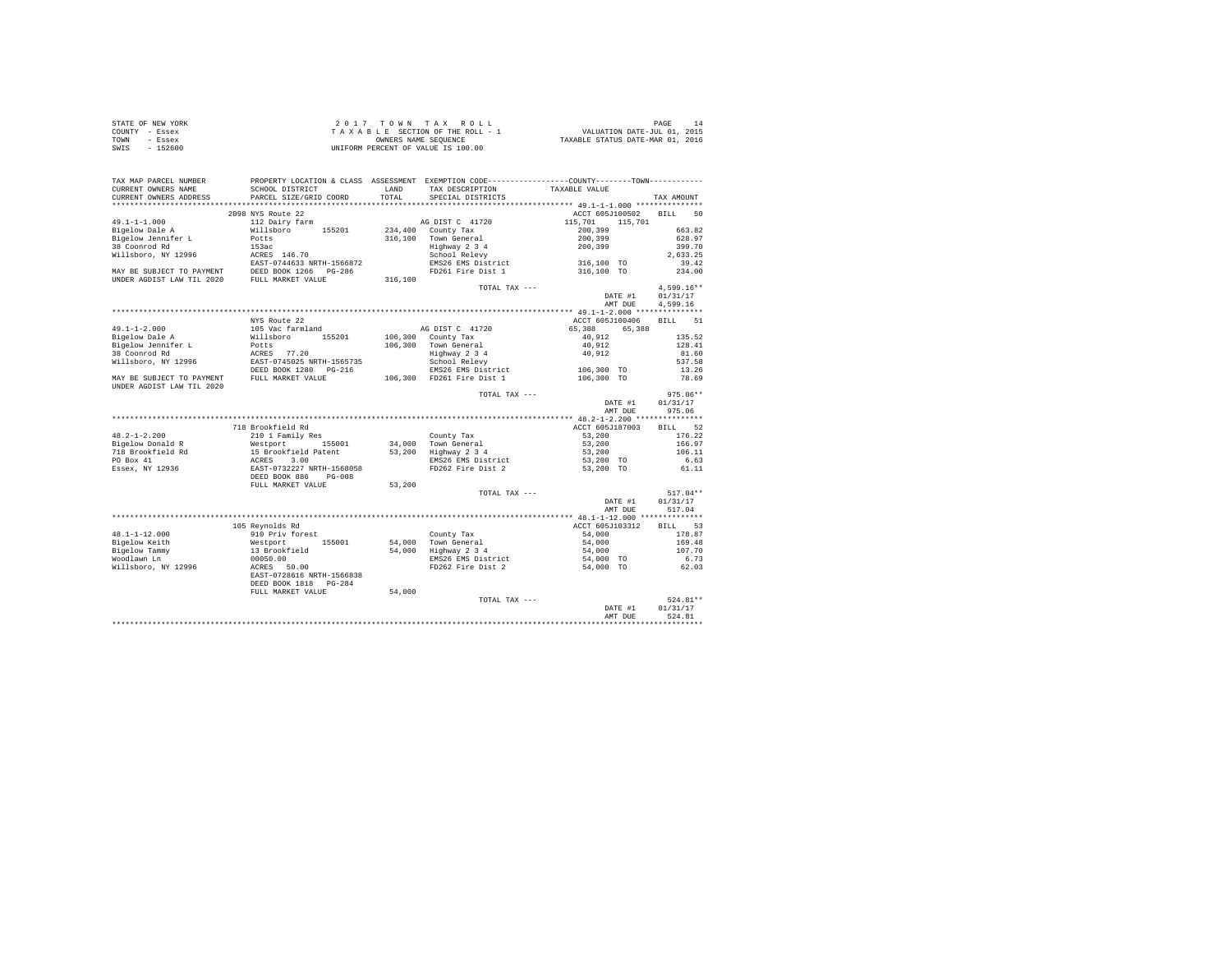| STATE OF NEW YORK | 2017 TOWN TAX ROLL                 | PAGE                             |
|-------------------|------------------------------------|----------------------------------|
| COUNTY - Essex    | TAXABLE SECTION OF THE ROLL - 1    | VALUATION DATE-JUL 01, 2015      |
| TOWN<br>- Essex   | OWNERS NAME SEOUENCE               | TAXABLE STATUS DATE-MAR 01, 2016 |
| $-152600$<br>SWIS | UNIFORM PERCENT OF VALUE IS 100.00 |                                  |

| TAX MAP PARCEL NUMBER                                  |                                                   |           | PROPERTY LOCATION & CLASS ASSESSMENT EXEMPTION CODE---------------COUNTY-------TOWN---------- |                                          |                   |
|--------------------------------------------------------|---------------------------------------------------|-----------|-----------------------------------------------------------------------------------------------|------------------------------------------|-------------------|
| CURRENT OWNERS NAME                                    | SCHOOL DISTRICT                                   | LAND      | TAX DESCRIPTION                                                                               | TAXABLE VALUE                            |                   |
| CURRENT OWNERS ADDRESS<br>*******************          | PARCEL SIZE/GRID COORD<br>*********************** | TOTAL<br> | SPECIAL DISTRICTS                                                                             |                                          | TAX AMOUNT        |
|                                                        |                                                   |           | ************************************ 49.1-1-1.000 ***************                             |                                          |                   |
|                                                        | 2098 NYS Route 22                                 |           |                                                                                               | ACCT 605J100502                          | <b>BILL</b><br>50 |
| $49.1 - 1 - 1.000$                                     | 112 Dairy farm                                    |           | AG DIST C 41720                                                                               | 115,701<br>115,701                       |                   |
| Bigelow Dale A                                         | Willsboro<br>155201                               | 234,400   | County Tax                                                                                    | 200,399                                  | 663.82            |
| Bigelow Jennifer L                                     | Potts                                             | 316,100   | Town General                                                                                  | 200,399                                  | 628.97            |
| 38 Coonrod Rd                                          | 153ac                                             |           | Highway 2 3 4                                                                                 | 200,399                                  | 399.70            |
| Willsboro, NY 12996                                    | ACRES 146.70                                      |           | School Relevy                                                                                 |                                          | 2.633.25          |
|                                                        | EAST-0744633 NRTH-1566872                         |           | EMS26 EMS District                                                                            | 316,100 TO                               | 39.42             |
| MAY BE SUBJECT TO PAYMENT                              | DEED BOOK 1266 PG-286                             |           | FD261 Fire Dist 1                                                                             | 316,100 TO                               | 234.00            |
| UNDER AGDIST LAW TIL 2020                              | FULL MARKET VALUE                                 | 316,100   |                                                                                               |                                          |                   |
|                                                        |                                                   |           | TOTAL TAX ---                                                                                 |                                          | $4,599.16**$      |
|                                                        |                                                   |           |                                                                                               | DATE #1                                  | 01/31/17          |
|                                                        |                                                   |           |                                                                                               | AMT DUE                                  | 4.599.16          |
|                                                        |                                                   |           |                                                                                               |                                          |                   |
|                                                        | NYS Route 22                                      |           |                                                                                               | ACCT 605J100406                          | <b>BILL</b><br>51 |
| $49.1 - 1 - 2.000$                                     | 105 Vac farmland                                  |           | AG DIST C 41720                                                                               | 65,388<br>65,388                         |                   |
| Bigelow Dale A                                         | 155201<br>Willsboro                               |           | 106,300 County Tax                                                                            | 40.912                                   | 135.52            |
| Bigelow Jennifer L                                     | Potts                                             |           | 106,300 Town General                                                                          | 40,912                                   | 128.41            |
| 38 Coonrod Rd                                          | 77.20<br>ACRES                                    |           | Highway 2 3 4                                                                                 | 40,912                                   | 81.60             |
| Willsboro, NY 12996                                    | EAST-0745025 NRTH-1565735                         |           | School Relevy                                                                                 |                                          | 537.58            |
|                                                        | DEED BOOK 1280 PG-216                             |           | EMS26 EMS District                                                                            | 106,300 TO                               | 13.26             |
| MAY BE SUBJECT TO PAYMENT<br>UNDER AGDIST LAW TIL 2020 | FULL MARKET VALUE                                 |           | 106,300 FD261 Fire Dist 1                                                                     | 106,300 TO                               | 78.69             |
|                                                        |                                                   |           | TOTAL TAX ---                                                                                 |                                          | $975.06**$        |
|                                                        |                                                   |           |                                                                                               | DATE #1                                  | 01/31/17          |
|                                                        |                                                   |           |                                                                                               | AMT DUE                                  | 975.06            |
|                                                        |                                                   |           |                                                                                               | *********** 48.2-1-2.200 *************** |                   |
|                                                        | 718 Brookfield Rd                                 |           |                                                                                               | ACCT 605J187003                          | 52<br><b>BILL</b> |
| $48.2 - 1 - 2.200$                                     | 210 1 Family Res                                  |           | County Tax                                                                                    | 53,200                                   | 176.22            |
| Bigelow Donald R                                       | Westport<br>155001                                | 34,000    | Town General                                                                                  | 53,200                                   | 166.97            |
| 718 Brookfield Rd                                      | 15 Brookfield Patent                              | 53,200    | Highway 2 3 4                                                                                 | 53,200                                   | 106.11            |
| PO Box 41                                              | 3.00<br>ACRES                                     |           | EMS26 EMS District                                                                            | 53,200 TO                                | 6.63              |
| Essex, NY 12936                                        | EAST-0732227 NRTH-1568058                         |           | FD262 Fire Dist 2                                                                             | 53,200 TO                                | 61.11             |
|                                                        | DEED BOOK 886<br>$PG-008$                         |           |                                                                                               |                                          |                   |
|                                                        | FULL MARKET VALUE                                 | 53,200    |                                                                                               |                                          |                   |
|                                                        |                                                   |           | TOTAL TAX ---                                                                                 |                                          | $517.04**$        |
|                                                        |                                                   |           |                                                                                               | DATE #1                                  | 01/31/17          |
|                                                        |                                                   |           |                                                                                               | AMT DUE                                  | 517.04            |
|                                                        |                                                   |           |                                                                                               |                                          |                   |
|                                                        | 105 Reynolds Rd                                   |           |                                                                                               | ACCT 605J103312                          | <b>BILL</b><br>53 |
| $48.1 - 1 - 12.000$                                    | 910 Priv forest                                   |           |                                                                                               | 54,000                                   | 178.87            |
| Bigelow Keith                                          | 155001<br>Westport                                | 54,000    | County Tax<br>Town General                                                                    | 54,000                                   | 169.48            |
|                                                        |                                                   | 54,000    |                                                                                               |                                          | 107.70            |
| Bigelow Tammy<br>Woodlawn Ln                           | 13 Brookfield                                     |           | Highway 2 3 4                                                                                 | 54,000                                   |                   |
|                                                        | 00050.00                                          |           | EMS26 EMS District                                                                            | 54,000 TO                                | 6.73              |
| Willsboro, NY 12996                                    | ACRES 50.00                                       |           | FD262 Fire Dist 2                                                                             | 54,000 TO                                | 62.03             |
|                                                        | EAST-0728616 NRTH-1566838                         |           |                                                                                               |                                          |                   |
|                                                        | DEED BOOK 1818<br>$PG-284$                        |           |                                                                                               |                                          |                   |
|                                                        | FULL MARKET VALUE                                 | 54,000    |                                                                                               |                                          |                   |
|                                                        |                                                   |           | TOTAL TAX ---                                                                                 |                                          | 524.81**          |
|                                                        |                                                   |           |                                                                                               | DATE #1                                  | 01/31/17          |
|                                                        |                                                   |           |                                                                                               | AMT DUE                                  | 524.81            |
|                                                        |                                                   |           |                                                                                               |                                          |                   |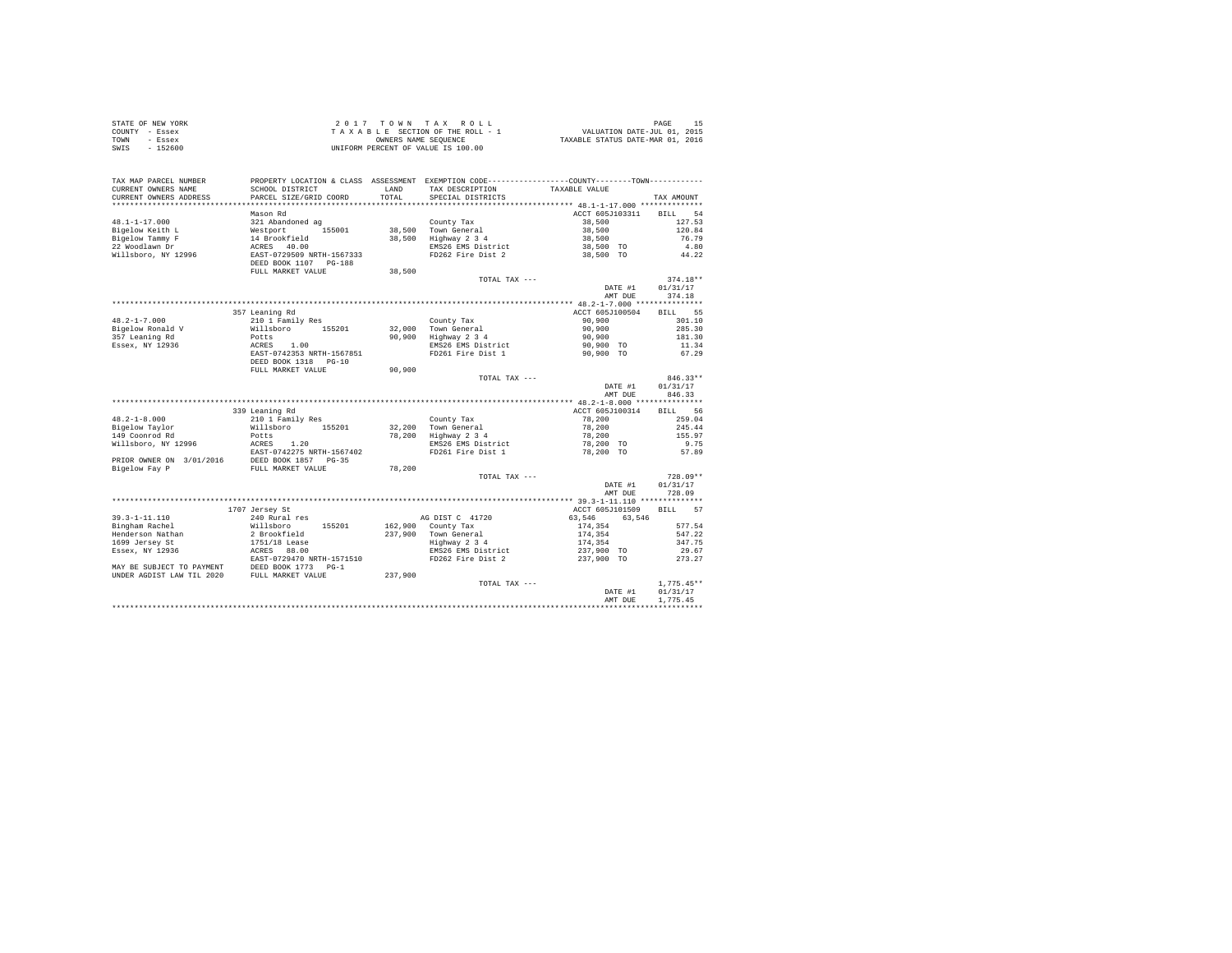|                | STATE OF NEW YORK |  |  |  | 2017 TOWN TAX ROLL                 |  |  |  |                                 | PAGE                             |
|----------------|-------------------|--|--|--|------------------------------------|--|--|--|---------------------------------|----------------------------------|
| COUNTY - Essex |                   |  |  |  |                                    |  |  |  | TAXABLE SECTION OF THE ROLL - 1 | VALUATION DATE-JUL 01, 2015      |
| TOWN           | - Essex           |  |  |  | OWNERS NAME SEOUENCE               |  |  |  |                                 | TAXABLE STATUS DATE-MAR 01, 2016 |
| SWIS           | $-152600$         |  |  |  | UNIFORM PERCENT OF VALUE IS 100.00 |  |  |  |                                 |                                  |

| TAX MAP PARCEL NUMBER<br>CURRENT OWNERS NAME<br>CURRENT OWNERS ADDRESS | PROPERTY LOCATION & CLASS ASSESSMENT EXEMPTION CODE---------------COUNTY-------TOWN---------<br>SCHOOL DISTRICT<br>PARCEL SIZE/GRID COORD | LAND<br>TOTAL    | TAX DESCRIPTION<br>SPECIAL DISTRICTS        | TAXABLE VALUE                                 | TAX AMOUNT                               |
|------------------------------------------------------------------------|-------------------------------------------------------------------------------------------------------------------------------------------|------------------|---------------------------------------------|-----------------------------------------------|------------------------------------------|
| **********************                                                 |                                                                                                                                           |                  |                                             |                                               |                                          |
| $48.1 - 1 - 17.000$<br>Bigelow Keith L<br>Bigelow Tammy F              | Mason Rd<br>321 Abandoned ag<br>155001<br>Westport<br>14 Brookfield                                                                       | 38,500<br>38,500 | County Tax<br>Town General<br>Highway 2 3 4 | ACCT 605J103311<br>38,500<br>38,500<br>38,500 | BILL.<br>54<br>127.53<br>120.84<br>76.79 |
| 22 Woodlawn Dr<br>Willsboro, NY 12996                                  | 40.00<br>ACRES<br>EAST-0729509 NRTH-1567333<br>DEED BOOK 1107 PG-188<br>FULL MARKET VALUE                                                 | 38,500           | EMS26 EMS District<br>FD262 Fire Dist 2     | 38,500 TO<br>38,500 TO                        | 4.80<br>44.22                            |
|                                                                        |                                                                                                                                           |                  | TOTAL TAX ---                               |                                               | $374.18**$                               |
|                                                                        |                                                                                                                                           |                  |                                             | DATE #1<br>AMT DUE                            | 01/31/17<br>374.18                       |
|                                                                        |                                                                                                                                           |                  |                                             | **** 48.2-1-7.000 ****************            |                                          |
|                                                                        | 357 Leaning Rd                                                                                                                            |                  |                                             | ACCT 605J100504                               | 55<br><b>BILL</b>                        |
| $48.2 - 1 - 7.000$                                                     | 210 1 Family Res                                                                                                                          |                  | County Tax                                  | 90,900                                        | 301.10                                   |
| Bigelow Ronald V                                                       | Willsboro<br>155201                                                                                                                       | 32,000           | Town General                                | 90,900                                        | 285.30                                   |
| 357 Leaning Rd                                                         | Potts                                                                                                                                     | 90,900           | Highway 2 3 4                               | 90,900                                        | 181.30                                   |
| Essex, NY 12936                                                        | ACRES<br>1.00                                                                                                                             |                  | EMS26 EMS District                          | 90,900 TO                                     | 11.34                                    |
|                                                                        | EAST-0742353 NRTH-1567851                                                                                                                 |                  | FD261 Fire Dist 1                           | 90.900 TO                                     | 67.29                                    |
|                                                                        | DEED BOOK 1318 PG-10                                                                                                                      |                  |                                             |                                               |                                          |
|                                                                        | FULL MARKET VALUE                                                                                                                         | 90,900           |                                             |                                               |                                          |
|                                                                        |                                                                                                                                           |                  | TOTAL TAX ---                               |                                               | 846.33**                                 |
|                                                                        |                                                                                                                                           |                  |                                             | DATE #1                                       | 01/31/17                                 |
|                                                                        |                                                                                                                                           |                  |                                             | AMT DUE                                       | 846.33                                   |
|                                                                        |                                                                                                                                           |                  |                                             |                                               |                                          |
|                                                                        | 339 Leaning Rd                                                                                                                            |                  |                                             | ACCT 605J100314                               | 56<br><b>BILL</b>                        |
| $48.2 - 1 - 8.000$                                                     | 210 1 Family Res                                                                                                                          |                  | County Tax                                  | 78,200                                        | 259.04                                   |
| Bigelow Taylor<br>149 Coonrod Rd                                       | 155201<br>Willsboro                                                                                                                       | 32,200<br>78,200 | Town General                                | 78,200                                        | 245.44                                   |
| Willsboro, NY 12996                                                    | Potts                                                                                                                                     |                  | Highway 2 3 4                               | 78,200                                        | 155.97                                   |
|                                                                        | ACRES<br>1.20                                                                                                                             |                  | EMS26 EMS District                          | 78,200 TO                                     | 9.75                                     |
| PRIOR OWNER ON 3/01/2016                                               | EAST-0742275 NRTH-1567402<br>DEED BOOK 1857 PG-35                                                                                         |                  | FD261 Fire Dist 1                           | 78,200 TO                                     | 57.89                                    |
| Bigelow Fay P                                                          | FULL MARKET VALUE                                                                                                                         | 78,200           |                                             |                                               |                                          |
|                                                                        |                                                                                                                                           |                  | TOTAL TAX ---                               | DATE #1<br>AMT DUE                            | $728.09**$<br>01/31/17<br>728.09         |
|                                                                        |                                                                                                                                           |                  |                                             |                                               |                                          |
|                                                                        | 1707 Jersey St                                                                                                                            |                  |                                             | ACCT 605J101509                               | 57<br><b>BILL</b>                        |
| $39.3 - 1 - 11.110$                                                    | 240 Rural res                                                                                                                             |                  | AG DIST C 41720                             | 63.546<br>63.546                              |                                          |
| Bingham Rachel                                                         | Willsboro<br>155201                                                                                                                       | 162,900          | County Tax                                  | 174.354                                       | 577.54                                   |
| Henderson Nathan                                                       | 2 Brookfield                                                                                                                              | 237,900          | Town General                                | 174,354                                       | 547.22                                   |
| 1699 Jersey St                                                         | 1751/18 Lease                                                                                                                             |                  | Highway 2 3 4                               | 174.354                                       | 347.75                                   |
| Essex, NY 12936                                                        | ACRES 88.00                                                                                                                               |                  | EMS26 EMS District                          | 237,900 TO                                    | 29.67                                    |
|                                                                        | EAST-0729470 NRTH-1571510                                                                                                                 |                  | FD262 Fire Dist 2                           | 237,900 TO                                    | 273.27                                   |
| MAY BE SUBJECT TO PAYMENT                                              | DEED BOOK 1773<br>$PG-1$                                                                                                                  |                  |                                             |                                               |                                          |
| UNDER AGDIST LAW TIL 2020                                              | FULL MARKET VALUE                                                                                                                         | 237.900          |                                             |                                               |                                          |
|                                                                        |                                                                                                                                           |                  | TOTAL TAX ---                               |                                               | $1,775.45**$                             |
|                                                                        |                                                                                                                                           |                  |                                             | DATE #1                                       | 01/31/17                                 |
|                                                                        |                                                                                                                                           |                  |                                             | AMT DUE                                       | 1,775.45                                 |
|                                                                        |                                                                                                                                           |                  |                                             |                                               |                                          |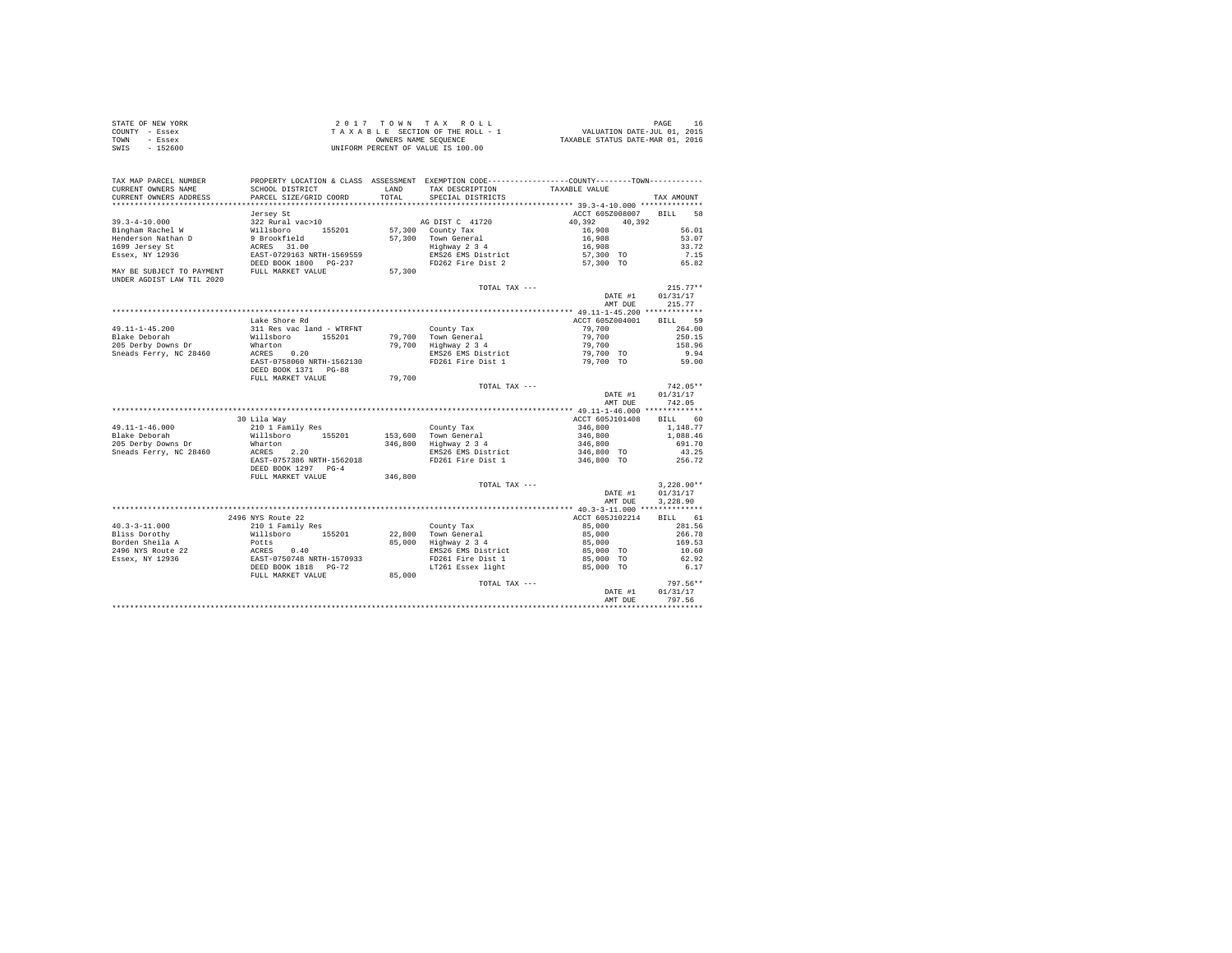| STATE OF NEW YORK | 2017 TOWN TAX ROLL                 | PAGE                             |
|-------------------|------------------------------------|----------------------------------|
| COUNTY - Essex    | TAXABLE SECTION OF THE ROLL - 1    | VALUATION DATE-JUL 01, 2015      |
| TOWN<br>- Essex   | OWNERS NAME SEOUENCE               | TAXABLE STATUS DATE-MAR 01, 2016 |
| $-152600$<br>SWIS | UNIFORM PERCENT OF VALUE IS 100.00 |                                  |

| TAX MAP PARCEL NUMBER<br>CURRENT OWNERS NAME<br>CURRENT OWNERS ADDRESS | SCHOOL DISTRICT<br>PARCEL SIZE/GRID COORD         | LAND<br>TOTAL | PROPERTY LOCATION & CLASS ASSESSMENT EXEMPTION CODE----------------COUNTY-------TOWN---------<br>TAX DESCRIPTION<br>SPECIAL DISTRICTS | TAXABLE VALUE                            | TAX AMOUNT        |
|------------------------------------------------------------------------|---------------------------------------------------|---------------|---------------------------------------------------------------------------------------------------------------------------------------|------------------------------------------|-------------------|
| *************************                                              |                                                   |               |                                                                                                                                       |                                          |                   |
|                                                                        | Jersey St                                         |               |                                                                                                                                       | ACCT 605Z008007                          | BTLL.<br>58       |
| $39.3 - 4 - 10.000$                                                    | 322 Rural vac>10                                  |               | AG DIST C 41720                                                                                                                       | 40.392<br>40.392                         |                   |
| Bingham Rachel W                                                       | Willsboro 155201                                  |               | 57,300 County Tax                                                                                                                     | 16,908                                   | 56.01             |
| Henderson Nathan D                                                     | 9 Brookfield                                      | 57,300        | Town General                                                                                                                          | 16,908                                   | 53.07             |
| 1699 Jersey St                                                         | ACRES 31.00                                       |               | Highway 2 3 4                                                                                                                         | 16,908                                   | 33.72             |
| Essex, NY 12936                                                        | EAST-0729163 NRTH-1569559                         |               | EMS26 EMS District                                                                                                                    | 57,300 TO                                | 7.15              |
|                                                                        | DEED BOOK 1800 PG-237                             |               | FD262 Fire Dist 2                                                                                                                     | 57,300 TO                                | 65.82             |
| MAY BE SUBJECT TO PAYMENT<br>UNDER AGDIST LAW TIL 2020                 | FULL MARKET VALUE                                 | 57,300        |                                                                                                                                       |                                          |                   |
|                                                                        |                                                   |               | TOTAL TAX ---                                                                                                                         |                                          | $215.77**$        |
|                                                                        |                                                   |               |                                                                                                                                       | DATE #1                                  | 01/31/17          |
|                                                                        |                                                   |               |                                                                                                                                       | AMT DUE                                  | 215.77            |
|                                                                        |                                                   |               |                                                                                                                                       | *********** 49.11-1-45.200 ************* |                   |
|                                                                        | Lake Shore Rd                                     |               |                                                                                                                                       | ACCT 605Z004001                          | 59<br><b>BILL</b> |
| 49.11-1-45.200                                                         | 311 Res vac land - WTRFNT                         |               | County Tax                                                                                                                            | 79,700                                   | 264.00            |
| Blake Deborah                                                          | Willsboro 155201                                  |               | 79.700 Town General                                                                                                                   | 79,700                                   | 250.15            |
| 205 Derby Downs Dr                                                     | Wharton                                           |               | 79,700 Highway 2 3 4                                                                                                                  | 79,700                                   | 158.96            |
| Sneads Ferry, NC 28460                                                 | ACRES 0.20                                        |               | EMS26 EMS District                                                                                                                    | 79,700 TO                                | 9.94              |
|                                                                        | EAST-0758060 NRTH-1562130<br>DEED BOOK 1371 PG-88 |               | FD261 Fire Dist 1                                                                                                                     | 79,700 TO                                | 59.00             |
|                                                                        | FULL MARKET VALUE                                 | 79,700        |                                                                                                                                       |                                          |                   |
|                                                                        |                                                   |               | TOTAL TAX ---                                                                                                                         |                                          | $742.05**$        |
|                                                                        |                                                   |               |                                                                                                                                       | DATE #1                                  | 01/31/17          |
|                                                                        |                                                   |               |                                                                                                                                       | AMT DUE                                  | 742.05            |
|                                                                        |                                                   |               |                                                                                                                                       |                                          |                   |
|                                                                        | 30 Lila Way                                       |               |                                                                                                                                       | ACCT 605J101408                          | 60<br><b>BILL</b> |
| $49.11 - 1 - 46.000$                                                   | 210 1 Family Res                                  |               | County Tax                                                                                                                            | 346,800                                  | 1,148.77          |
| Blake Deborah                                                          | Willsboro 155201                                  |               | 153,600 Town General                                                                                                                  | 346,800                                  | 1,088.46          |
| 205 Derby Downs Dr                                                     | Wharton                                           | 346,800       | Highway 2 3 4                                                                                                                         | 346,800                                  | 691.70            |
| Sneads Ferry, NC 28460                                                 | 2.20<br>ACRES                                     |               | EMS26 EMS District                                                                                                                    | 346,800 TO                               | 43.25             |
|                                                                        | EAST-0757386 NRTH-1562018                         |               | FD261 Fire Dist 1                                                                                                                     | 346,800 TO                               | 256.72            |
|                                                                        | DEED BOOK 1297 PG-4                               |               |                                                                                                                                       |                                          |                   |
|                                                                        | FULL MARKET VALUE                                 | 346,800       |                                                                                                                                       |                                          |                   |
|                                                                        |                                                   |               | TOTAL TAX ---                                                                                                                         |                                          | $3.228.90**$      |
|                                                                        |                                                   |               |                                                                                                                                       | DATE #1                                  | 01/31/17          |
|                                                                        |                                                   |               |                                                                                                                                       | AMT DUE                                  | 3,228.90          |
|                                                                        |                                                   |               |                                                                                                                                       |                                          |                   |
|                                                                        | 2496 NYS Route 22                                 |               |                                                                                                                                       | ACCT 605J102214                          | BILL 61           |
| $40.3 - 3 - 11.000$                                                    | 210 1 Family Res                                  |               | County Tax                                                                                                                            | 85,000                                   | 281.56            |
| Bliss Dorothy                                                          | Willsboro 155201                                  |               | 22,800 Town General                                                                                                                   | 85,000                                   | 266.78            |
| Borden Sheila A                                                        | Potts                                             | 85,000        | Highway 2 3 4                                                                                                                         | 85,000                                   | 169.53            |
| 2496 NYS Route 22                                                      | ACRES 0.40<br>EAST-0750748 NRTH-1570933           |               | EMS26 EMS District                                                                                                                    | 85,000 TO                                | 10.60             |
| Essex, NY 12936                                                        |                                                   |               | FD261 Fire Dist 1                                                                                                                     | 85,000 TO                                | 62.92             |
|                                                                        | DEED BOOK 1818 PG-72                              |               | LT261 Essex light                                                                                                                     | 85,000 TO                                | 6.17              |
|                                                                        | FULL MARKET VALUE                                 | 85,000        |                                                                                                                                       |                                          |                   |
|                                                                        |                                                   |               | TOTAL TAX ---                                                                                                                         |                                          | 797.56**          |
|                                                                        |                                                   |               |                                                                                                                                       | DATE #1                                  | 01/31/17          |
|                                                                        |                                                   |               |                                                                                                                                       | AMT DUE                                  | 797.56            |
|                                                                        |                                                   |               |                                                                                                                                       |                                          |                   |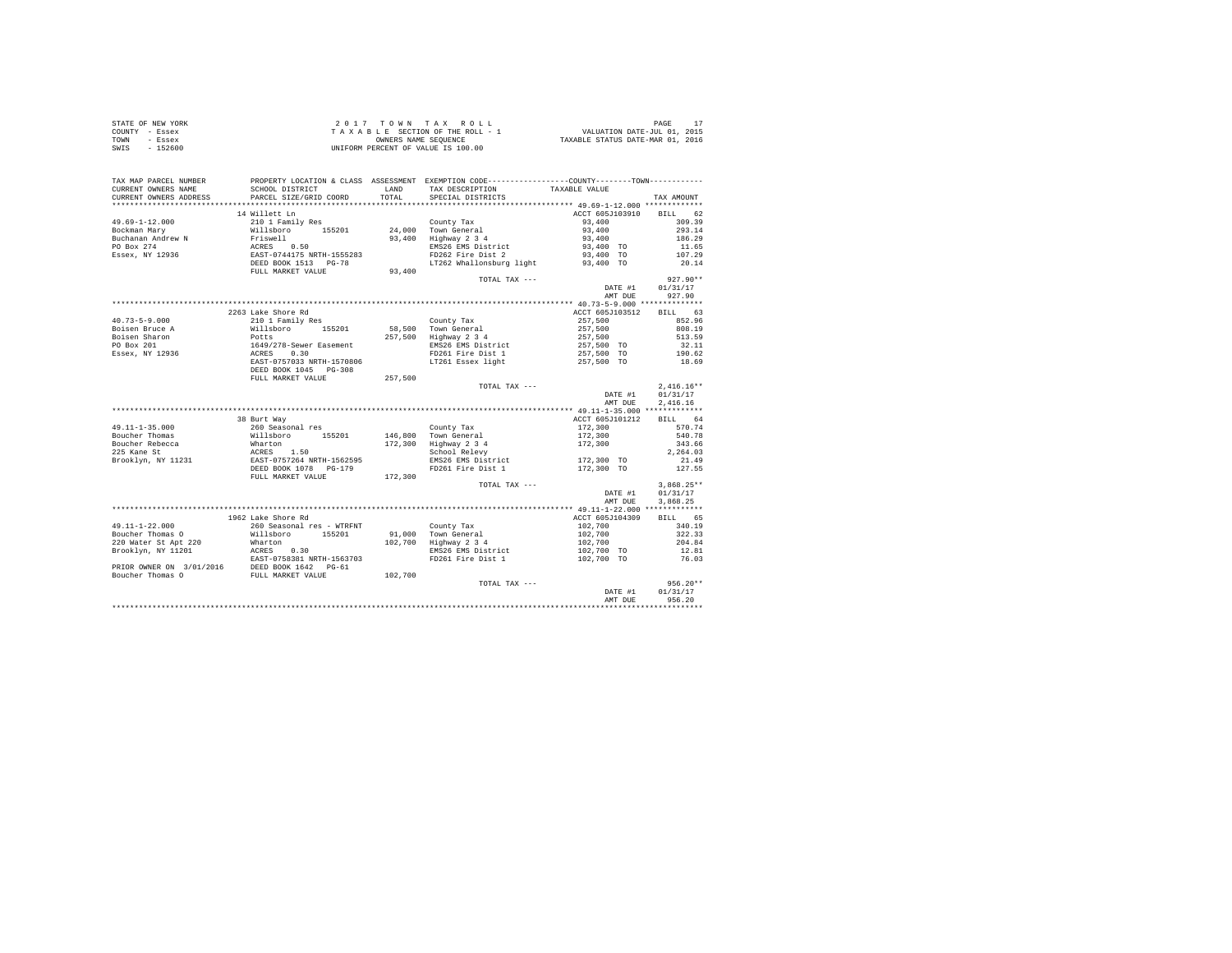|                | STATE OF NEW YORK | 2017 TOWN TAX ROLL                 | PAGE                             |
|----------------|-------------------|------------------------------------|----------------------------------|
| COUNTY - Essex |                   | TAXABLE SECTION OF THE ROLL - 1    | VALUATION DATE-JUL 01, 2015      |
| TOWN           | - Essex           | OWNERS NAME SEOUENCE               | TAXABLE STATUS DATE-MAR 01, 2016 |
| SWIS           | $-152600$         | UNIFORM PERCENT OF VALUE IS 100.00 |                                  |

| TAX MAP PARCEL NUMBER<br>CURRENT OWNERS NAME<br>CURRENT OWNERS ADDRESS                | SCHOOL DISTRICT<br>PARCEL SIZE/GRID COORD                                   | LAND<br>TOTAL. | PROPERTY LOCATION & CLASS ASSESSMENT EXEMPTION CODE----------------COUNTY-------TOWN----------<br>TAX DESCRIPTION<br>SPECIAL DISTRICTS | TAXABLE VALUE           | TAX AMOUNT   |
|---------------------------------------------------------------------------------------|-----------------------------------------------------------------------------|----------------|----------------------------------------------------------------------------------------------------------------------------------------|-------------------------|--------------|
| ************************                                                              | ***************************                                                 |                |                                                                                                                                        |                         |              |
|                                                                                       | 14 Willett Ln                                                               |                |                                                                                                                                        | ACCT 605J103910 BILL 62 |              |
| $49.69 - 1 - 12.000$                                                                  | 210 1 Family Res                                                            |                | County Tax                                                                                                                             | 93,400                  | 309.39       |
| Bockman Mary                                                                          | Willsboro 155201                                                            |                | 24,000 Town General                                                                                                                    | 93,400                  | 293.14       |
| Buchanan Andrew N                                                                     | Friswell                                                                    |                | 93,400 Highway 2 3 4                                                                                                                   | 93,400                  | 186.29       |
| PO Box 274                                                                            | ACRES 0.50<br>EAST-0744175 NRTH-1555283                                     |                | EMS26 EMS District                                                                                                                     | 93,400 TO               | 11.65        |
| Essex, NY 12936                                                                       |                                                                             |                | FD262 Fire Dist 2                                                                                                                      | 93,400 TO               | 107.29       |
|                                                                                       | DEED BOOK 1513 PG-78                                                        |                | LT262 Whallonsburg light 93,400 TO                                                                                                     |                         | 20.14        |
|                                                                                       | FULL MARKET VALUE                                                           | 93,400         |                                                                                                                                        |                         |              |
|                                                                                       |                                                                             |                | TOTAL TAX ---                                                                                                                          |                         | $927.90**$   |
|                                                                                       |                                                                             |                |                                                                                                                                        | DATE #1                 | 01/31/17     |
|                                                                                       |                                                                             |                |                                                                                                                                        | AMT DUE                 | 927.90       |
|                                                                                       |                                                                             |                |                                                                                                                                        |                         |              |
|                                                                                       | 2263 Lake Shore Rd                                                          |                |                                                                                                                                        | ACCT 605J103512         | BILL 63      |
| $40.73 - 5 - 9.000$                                                                   | 210 1 Family Res                                                            |                | County Tax                                                                                                                             | 257,500                 | 852.96       |
| Boisen Bruce A                                                                        | Willsboro<br>155201                                                         |                | 58,500 Town General                                                                                                                    | 257.500                 | 808.19       |
| Boisen Sharon                                                                         | Potts                                                                       |                | 257,500 Highway 2 3 4                                                                                                                  | 257,500                 | 513.59       |
| PO Box 201                                                                            | 1649/278-Sewer Easement<br>ACRES 0.30                                       |                | EMS26 EMS District                                                                                                                     | 257,500 TO              | 32.11        |
| Essex, NY 12936                                                                       |                                                                             |                | FD261 Fire Dist 1                                                                                                                      | 257,500 TO              | 190.62       |
|                                                                                       | EAST-0757033 NRTH-1570806                                                   |                | LT261 Essex light                                                                                                                      | 257,500 TO              | 18.69        |
|                                                                                       | DEED BOOK 1045 PG-308                                                       |                |                                                                                                                                        |                         |              |
|                                                                                       | FULL MARKET VALUE                                                           | 257,500        |                                                                                                                                        |                         |              |
|                                                                                       |                                                                             |                | TOTAL TAX ---                                                                                                                          |                         | $2,416.16**$ |
|                                                                                       |                                                                             |                |                                                                                                                                        | DATE #1                 | 01/31/17     |
|                                                                                       |                                                                             |                |                                                                                                                                        | AMT DUE                 | 2.416.16     |
|                                                                                       |                                                                             |                |                                                                                                                                        | ACCT 605J101212         | BTLL 64      |
| $49.11 - 1 - 35.000$                                                                  | 38 Burt Way<br>260 Seasonal res                                             |                | County Tax                                                                                                                             | 172,300                 | 570.74       |
| Boucher Thomas                                                                        | Willsboro 155201                                                            |                | 146.800 Town General                                                                                                                   | 172,300                 | 540.78       |
| Boucher Rebecca                                                                       |                                                                             |                | 172,300 Highway 2 3 4                                                                                                                  | 172,300                 | 343.66       |
| 225 Kane St                                                                           | Wharton<br>ACRES 1.50<br>EAST-0757264 NRTH-1562595<br>DEED BOOK 1078 PG-179 |                | School Relevy                                                                                                                          |                         | 2.264.03     |
| Brooklyn, NY 11231                                                                    |                                                                             |                | EMS26 EMS District                                                                                                                     | 172,300 TO              | 21.49        |
|                                                                                       |                                                                             |                | FD261 Fire Dist 1                                                                                                                      | 172,300 TO              | 127.55       |
|                                                                                       | FULL MARKET VALUE                                                           | 172,300        |                                                                                                                                        |                         |              |
|                                                                                       |                                                                             |                | TOTAL TAX ---                                                                                                                          |                         | $3.868.25**$ |
|                                                                                       |                                                                             |                |                                                                                                                                        | DATE #1                 | 01/31/17     |
|                                                                                       |                                                                             |                |                                                                                                                                        | AMT DUE                 | 3.868.25     |
|                                                                                       |                                                                             |                |                                                                                                                                        |                         |              |
|                                                                                       | 1962 Lake Shore Rd                                                          |                |                                                                                                                                        | ACCT 605J104309         | BILL 65      |
| 49.11-1-22.000                                                                        | 260 Seasonal res - WTRFNT                                                   |                | County Tax                                                                                                                             | 102,700                 | 340.19       |
| Boucher Thomas O                                                                      | Willsboro 155201                                                            |                | 91,000 Town General                                                                                                                    | 102,700                 | 322.33       |
| 220 Water St Apt 220                                                                  | Wharton                                                                     |                | 102,700 Highway 2 3 4                                                                                                                  | 102,700                 | 204.84       |
| Brooklyn, NY 11201                                                                    | ACRES 0.30                                                                  |                | EMS26 EMS District                                                                                                                     | 102,700 TO              | 12.81        |
|                                                                                       | EAST-0758381 NRTH-1563703                                                   |                | FD261 Fire Dist 1                                                                                                                      | 102,700 TO              | 76.03        |
| PRIOR OWNER ON $3/01/2016$ DEED BOOK 1642 PG-61<br>Boucher Thomas O FULL MARKET VALUE |                                                                             |                |                                                                                                                                        |                         |              |
|                                                                                       |                                                                             | 102,700        |                                                                                                                                        |                         |              |
|                                                                                       |                                                                             |                | TOTAL TAX ---                                                                                                                          |                         | $956.20**$   |
|                                                                                       |                                                                             |                |                                                                                                                                        | DATE #1                 | 01/31/17     |
|                                                                                       |                                                                             |                |                                                                                                                                        | AMT DUE                 | 956.20<br>.  |
|                                                                                       |                                                                             |                |                                                                                                                                        |                         |              |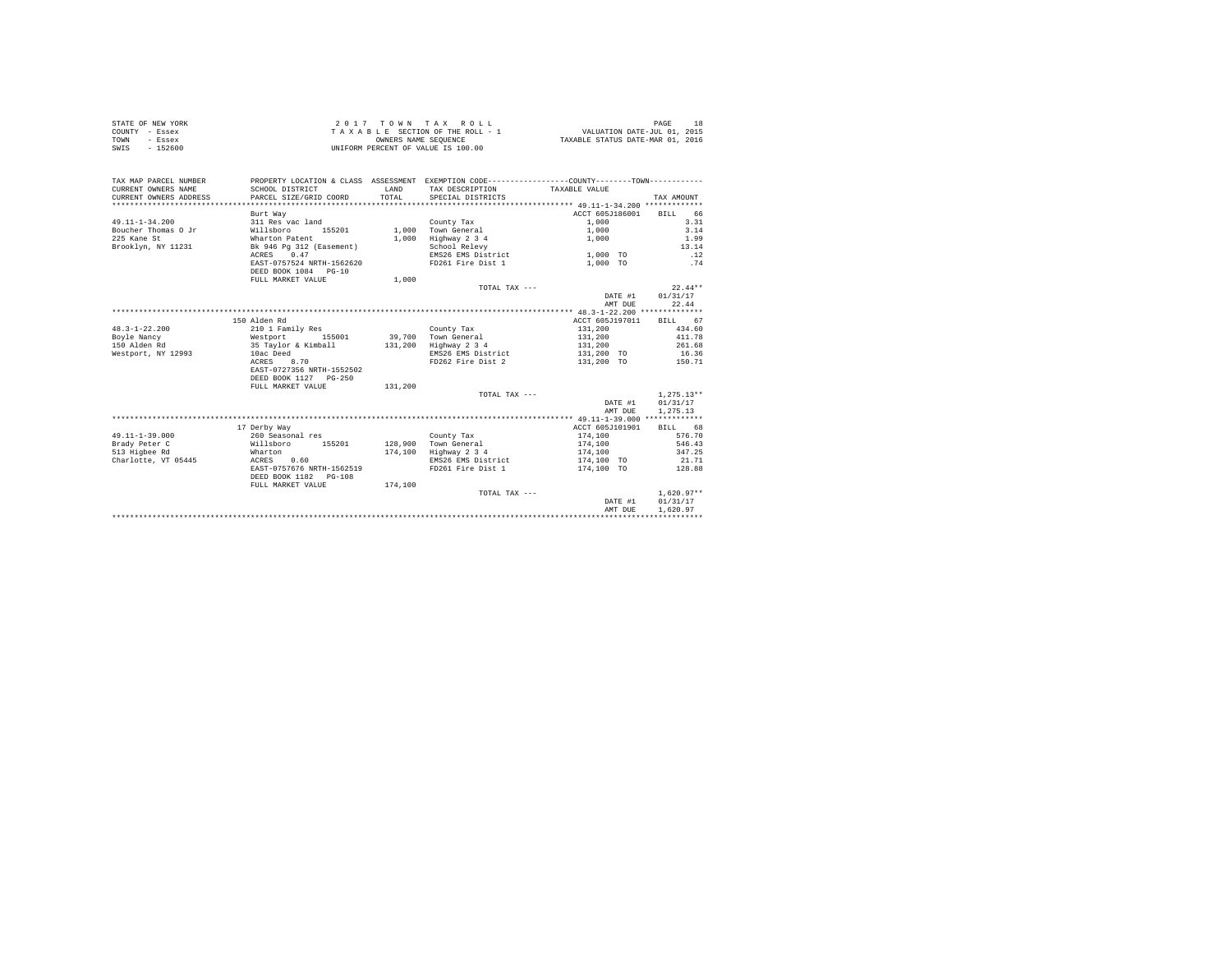| STATE OF NEW YORK | 2017 TOWN TAX ROLL                 | PAGE                             |
|-------------------|------------------------------------|----------------------------------|
| COUNTY - Essex    | TAXABLE SECTION OF THE ROLL - 1    | VALUATION DATE-JUL 01, 2015      |
| TOWN<br>- Essex   | OWNERS NAME SEOUENCE               | TAXABLE STATUS DATE-MAR 01, 2016 |
| $-152600$<br>SWIS | UNIFORM PERCENT OF VALUE IS 100.00 |                                  |

| TAX MAP PARCEL NUMBER<br>CURRENT OWNERS NAME<br>CURRENT OWNERS ADDRESS | SCHOOL DISTRICT<br>PARCEL SIZE/GRID COORD | LAND<br>TOTAL | PROPERTY LOCATION & CLASS ASSESSMENT EXEMPTION CODE---------------COUNTY-------TOWN---------<br>TAX DESCRIPTION TAXABLE VALUE<br>SPECIAL DISTRICTS |                         | TAX AMOUNT   |
|------------------------------------------------------------------------|-------------------------------------------|---------------|----------------------------------------------------------------------------------------------------------------------------------------------------|-------------------------|--------------|
|                                                                        | Burt Way                                  |               |                                                                                                                                                    | ACCT 605J186001 BILL 66 |              |
| $49.11 - 1 - 34.200$                                                   | 311 Res vac land                          |               | County Tax                                                                                                                                         | 1,000                   | 3.31         |
| Boucher Thomas O Jr                                                    | Willsboro<br>155201                       |               | 1,000 Town General                                                                                                                                 | 1,000                   | 3.14         |
| 225 Kane St                                                            | Wharton Patent                            | 1,000         | Highway 2 3 4                                                                                                                                      | 1,000                   | 1.99         |
| Brooklyn, NY 11231                                                     | Bk 946 Pg 312 (Easement)                  |               | School Relevy                                                                                                                                      |                         | 13.14        |
|                                                                        | ACRES 0.47                                |               | EMS26 EMS District 1,000 TO                                                                                                                        |                         | .12          |
|                                                                        | EAST-0757524 NRTH-1562620                 |               | FD261 Fire Dist 1                                                                                                                                  | 1,000 TO                | .74          |
|                                                                        | DEED BOOK 1084 PG-10                      |               |                                                                                                                                                    |                         |              |
|                                                                        | FULL MARKET VALUE                         | 1,000         |                                                                                                                                                    |                         |              |
|                                                                        |                                           |               | TOTAL TAX ---                                                                                                                                      |                         | $22.44**$    |
|                                                                        |                                           |               |                                                                                                                                                    | DATE #1                 | 01/31/17     |
|                                                                        |                                           |               |                                                                                                                                                    | AMT DUE                 | 22.44        |
|                                                                        |                                           |               |                                                                                                                                                    |                         |              |
|                                                                        | 150 Alden Rd                              |               |                                                                                                                                                    | ACCT 605J197011         | BILL 67      |
| $48.3 - 1 - 22.200$                                                    | 210 1 Family Res                          |               | County Tax                                                                                                                                         | 131,200                 | 434.60       |
| Boyle Nancy                                                            | 155001                                    |               | 39,700 Town General                                                                                                                                | 131,200                 | 411.78       |
| Westport<br>150 Alden Rd                                               | 35 Tavlor & Kimball                       |               | 131,200 Highway 2 3 4                                                                                                                              | 131,200                 | 261.68       |
| Westport, NY 12993                                                     | 10ac Deed                                 |               | EMS26 EMS District                                                                                                                                 | 131,200 TO              | 16.36        |
|                                                                        | 8.70<br>ACRES                             |               | FD262 Fire Dist 2                                                                                                                                  | 131,200 TO              | 150.71       |
|                                                                        | EAST-0727356 NRTH-1552502                 |               |                                                                                                                                                    |                         |              |
|                                                                        | DEED BOOK 1127 PG-250                     |               |                                                                                                                                                    |                         |              |
|                                                                        | FULL MARKET VALUE                         | 131,200       |                                                                                                                                                    |                         |              |
|                                                                        |                                           |               | TOTAL TAX ---                                                                                                                                      |                         | $1.275.13**$ |
|                                                                        |                                           |               |                                                                                                                                                    | DATE #1                 | 01/31/17     |
|                                                                        |                                           |               |                                                                                                                                                    | AMT DUE                 | 1,275.13     |
|                                                                        |                                           |               |                                                                                                                                                    |                         |              |
|                                                                        | 17 Derby Way                              |               |                                                                                                                                                    | ACCT 605J101901         | BILL 68      |
| $49.11 - 1 - 39.000$                                                   | 260 Seasonal res                          |               | County Tax                                                                                                                                         | 174,100                 | 576.70       |
| Brady Peter C                                                          | Willsboro 155201                          |               | 128,900 Town General                                                                                                                               | 174,100                 | 546.43       |
| 513 Higbee Rd                                                          | Wharton                                   |               | 174,100 Highway 2 3 4                                                                                                                              | 174.100                 | 347.25       |
| Charlotte, VT 05445                                                    | ACRES 0.60                                |               | EMS26 EMS District                                                                                                                                 | 174,100 TO              | 21.71        |
|                                                                        | EAST-0757676 NRTH-1562519                 |               | FD261 Fire Dist 1                                                                                                                                  | 174,100 TO              | 128.88       |
|                                                                        | DEED BOOK 1182 PG-108                     |               |                                                                                                                                                    |                         |              |
|                                                                        | FULL MARKET VALUE                         | 174,100       |                                                                                                                                                    |                         |              |
|                                                                        |                                           |               | TOTAL TAX ---                                                                                                                                      |                         | $1.620.97**$ |
|                                                                        |                                           |               |                                                                                                                                                    | DATE #1                 | 01/31/17     |
|                                                                        |                                           |               |                                                                                                                                                    | AMT DUE                 | 1,620.97     |
|                                                                        |                                           |               |                                                                                                                                                    |                         |              |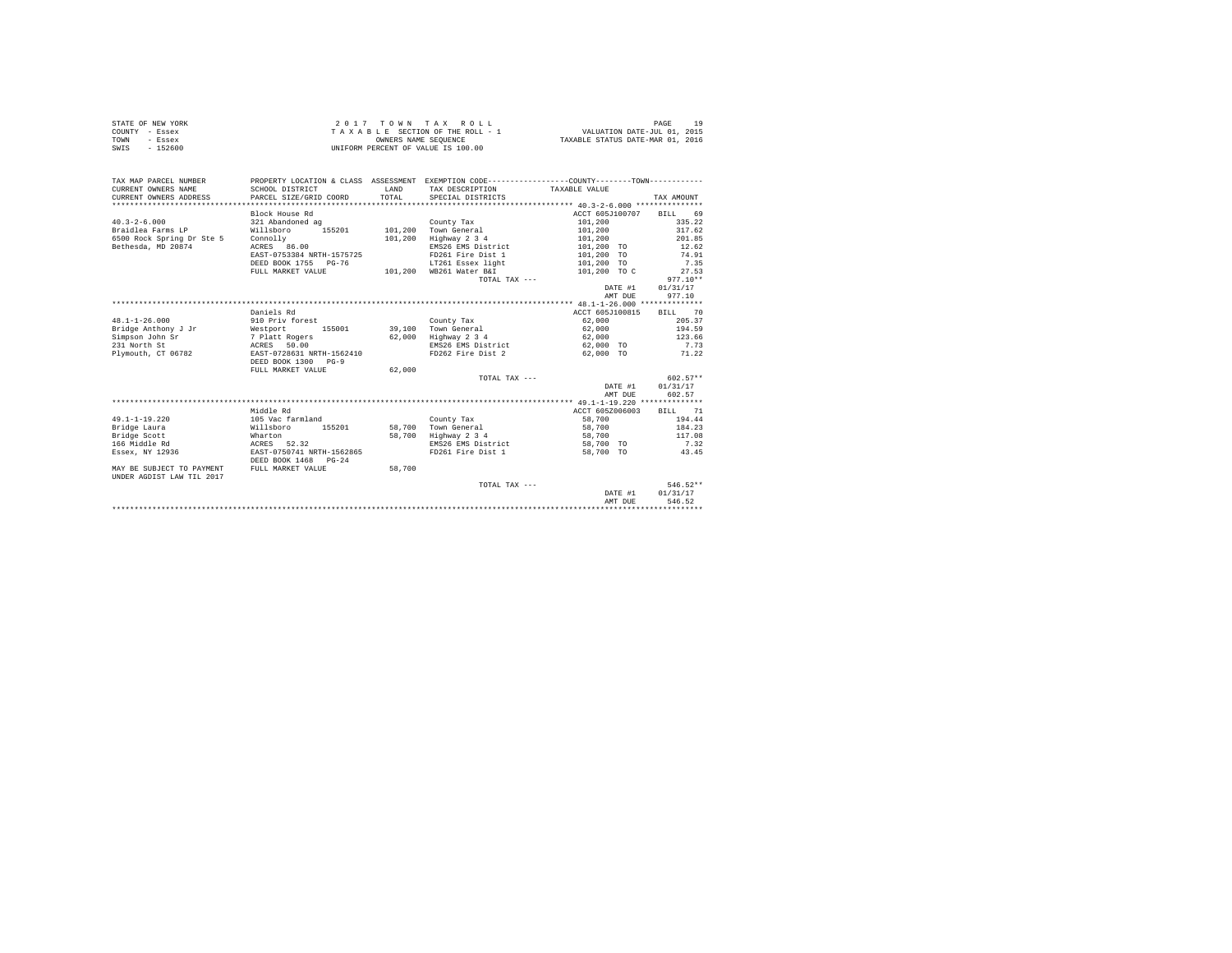|                | STATE OF NEW YORK |  |  |  | 2017 TOWN TAX ROLL                 |  |  |  |  | PAGE                             |
|----------------|-------------------|--|--|--|------------------------------------|--|--|--|--|----------------------------------|
| COUNTY - Essex |                   |  |  |  | TAXABLE SECTION OF THE ROLL - 1    |  |  |  |  | VALUATION DATE-JUL 01, 2015      |
| TOWN           | - Essex           |  |  |  | OWNERS NAME SEOUENCE               |  |  |  |  | TAXABLE STATUS DATE-MAR 01, 2016 |
| SWIS           | - 152600          |  |  |  | UNIFORM PERCENT OF VALUE IS 100.00 |  |  |  |  |                                  |

| TAX MAP PARCEL NUMBER<br>CURRENT OWNERS NAME<br>CURRENT OWNERS ADDRESS | SCHOOL DISTRICT<br>PARCEL SIZE/GRID COORD | <b>T.AND</b><br>TOTAL. | PROPERTY LOCATION & CLASS ASSESSMENT EXEMPTION CODE----------------COUNTY--------TOWN----------<br>TAX DESCRIPTION TAXABLE VALUE<br>SPECIAL DISTRICTS |                         | TAX AMOUNT |
|------------------------------------------------------------------------|-------------------------------------------|------------------------|-------------------------------------------------------------------------------------------------------------------------------------------------------|-------------------------|------------|
|                                                                        | Block House Rd                            |                        |                                                                                                                                                       | ACCT 605J100707 BILL 69 |            |
| $40.3 - 2 - 6.000$                                                     | 321 Abandoned ag                          |                        | County Tax                                                                                                                                            | 101,200                 | 335.22     |
| Braidlea Farms LP                                                      | 155201<br>Willsboro                       | 101,200                | Town General                                                                                                                                          | 101,200                 | 317.62     |
| 6500 Rock Spring Dr Ste 5                                              | Connolly                                  | 101,200                | Highway 2 3 4                                                                                                                                         | 101,200                 | 201.85     |
| Bethesda, MD 20874                                                     | ACRES 86.00                               |                        | EMS26 EMS District                                                                                                                                    | 101,200 TO              | 12.62      |
|                                                                        | EAST-0753384 NRTH-1575725                 |                        | FD261 Fire Dist 1                                                                                                                                     | 101,200 TO              | 74.91      |
|                                                                        | DEED BOOK 1755 PG-76                      |                        | LT261 Essex light                                                                                                                                     | 101,200 TO              | 7.35       |
|                                                                        | FULL MARKET VALUE                         | 101,200                | WB261 Water B&I                                                                                                                                       | 101,200 TO C            | 27.53      |
|                                                                        |                                           |                        | TOTAL TAX ---                                                                                                                                         |                         | $977.10**$ |
|                                                                        |                                           |                        |                                                                                                                                                       | DATE #1                 | 01/31/17   |
|                                                                        |                                           |                        |                                                                                                                                                       | AMT DUE                 | 977.10     |
|                                                                        |                                           |                        |                                                                                                                                                       |                         |            |
|                                                                        | Daniels Rd                                |                        |                                                                                                                                                       | ACCT 605J100815         | BILL 70    |
| $48.1 - 1 - 26.000$                                                    | 910 Priv forest                           |                        | County Tax                                                                                                                                            | 62,000                  | 205.37     |
| Bridge Anthony J Jr                                                    | Westport 155001                           |                        | 39.100 Town General                                                                                                                                   | 62,000                  | 194.59     |
| Simpson John Sr                                                        | 7 Platt Rogers                            | 62,000                 | Highway 2 3 4                                                                                                                                         | 62,000                  | 123.66     |
| 231 North St                                                           | ACRES 50.00                               |                        | EMS26 EMS District 62,000 TO                                                                                                                          |                         | 7.73       |
| Plymouth, CT 06782                                                     | EAST-0728631 NRTH-1562410                 |                        | FD262 Fire Dist 2 62,000 TO                                                                                                                           |                         | 71.22      |
|                                                                        | DEED BOOK 1300 PG-9                       |                        |                                                                                                                                                       |                         |            |
|                                                                        | FULL MARKET VALUE                         | 62,000                 |                                                                                                                                                       |                         |            |
|                                                                        |                                           |                        | TOTAL TAX $---$                                                                                                                                       |                         | $602.57**$ |
|                                                                        |                                           |                        |                                                                                                                                                       | DATE #1                 | 01/31/17   |
|                                                                        |                                           |                        |                                                                                                                                                       | AMT DUE                 | 602.57     |
|                                                                        |                                           |                        |                                                                                                                                                       |                         |            |
|                                                                        | Middle Rd                                 |                        |                                                                                                                                                       | ACCT 605Z006003         | BILL 71    |
| $49.1 - 1 - 19.220$                                                    | 105 Vac farmland                          |                        | County Tax                                                                                                                                            | 58,700                  | 194.44     |
| Bridge Laura                                                           | Willsboro<br>155201                       |                        | 58.700 Town General                                                                                                                                   | 58,700                  | 184.23     |
| Bridge Scott                                                           | Wharton                                   | 58,700                 | Highway 2 3 4                                                                                                                                         | 58,700                  | 117.08     |
| 166 Middle Rd                                                          | ACRES 52.32                               |                        | EMS26 EMS District                                                                                                                                    | 58,700 TO               | 7.32       |
| Essex, NY 12936                                                        | EAST-0750741 NRTH-1562865                 |                        | FD261 Fire Dist 1                                                                                                                                     | 58,700 TO               | 43.45      |
|                                                                        | DEED BOOK 1468 PG-24                      |                        |                                                                                                                                                       |                         |            |
| MAY BE SUBJECT TO PAYMENT<br>UNDER AGDIST LAW TIL 2017                 | FULL MARKET VALUE                         | 58,700                 |                                                                                                                                                       |                         |            |
|                                                                        |                                           |                        | TOTAL TAX ---                                                                                                                                         |                         | 546.52**   |
|                                                                        |                                           |                        |                                                                                                                                                       | DATE #1                 | 01/31/17   |
|                                                                        |                                           |                        |                                                                                                                                                       | AMT DUE                 | 546.52     |
|                                                                        |                                           |                        |                                                                                                                                                       |                         |            |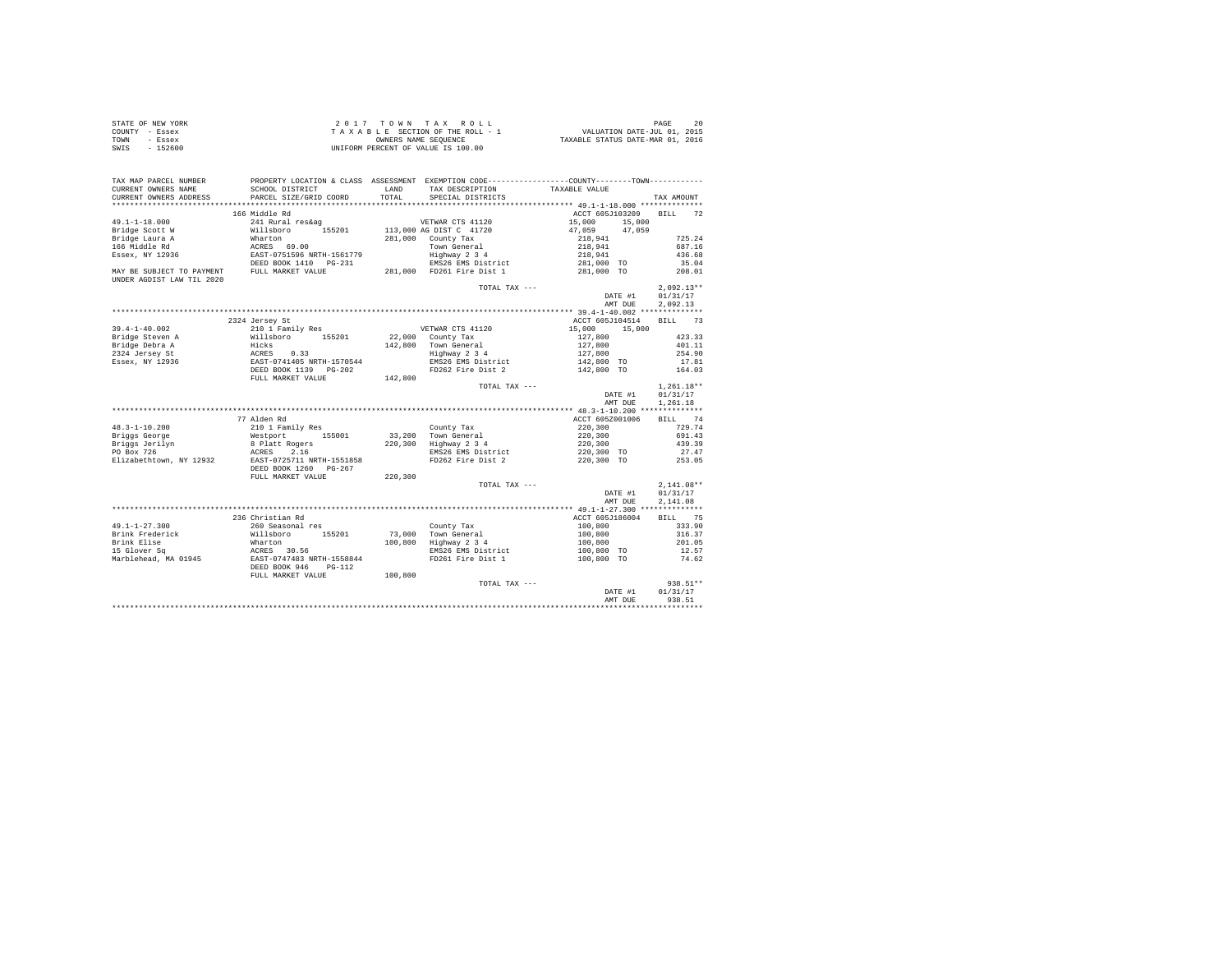| STATE OF NEW YORK | 2017 TOWN TAX ROLL                 | 20<br>PAGE                       |
|-------------------|------------------------------------|----------------------------------|
| COUNTY - Essex    | TAXABLE SECTION OF THE ROLL - 1    | VALUATION DATE-JUL 01, 2015      |
| TOWN<br>- Essex   | OWNERS NAME SEOUENCE               | TAXABLE STATUS DATE-MAR 01, 2016 |
| SWIS<br>- 152600  | UNIFORM PERCENT OF VALUE IS 100.00 |                                  |

| TAX MAP PARCEL NUMBER<br>CURRENT OWNERS NAME           | SCHOOL DISTRICT                                                                                                                                                                                                                                                                                                                                                                                                                |         | PROPERTY LOCATION & CLASS ASSESSMENT EXEMPTION CODE----------------COUNTY--------TOWN----------<br>LAND TAX DESCRIPTION | TAXABLE VALUE                          |                  |
|--------------------------------------------------------|--------------------------------------------------------------------------------------------------------------------------------------------------------------------------------------------------------------------------------------------------------------------------------------------------------------------------------------------------------------------------------------------------------------------------------|---------|-------------------------------------------------------------------------------------------------------------------------|----------------------------------------|------------------|
| CURRENT OWNERS ADDRESS                                 | PARCEL SIZE/GRID COORD                                                                                                                                                                                                                                                                                                                                                                                                         |         | TOTAL SPECIAL DISTRICTS                                                                                                 |                                        | TAX AMOUNT       |
|                                                        |                                                                                                                                                                                                                                                                                                                                                                                                                                |         |                                                                                                                         |                                        |                  |
|                                                        | 166 Middle Rd<br>$\begin{tabular}{lllllllllllll} \multicolumn{4}{c}{241\;Rural\; res\&a$}&\\ \multicolumn{4}{c}{\textbf{Willaboro}} & 155201 & 113,000\; \multicolumn{4}{c}{\textbf{GUS T C 4 1720}}\\ \multicolumn{4}{c}{\textbf{Wallaboro}} & 281,000\; \multicolumn{4}{c}{\textbf{C our UTV 17}}\\ \multicolumn{4}{c}{\textbf{RRES-6 9}} & 69.00 & 281,000\; \multicolumn{4}{c}{\textbf{C our V TV 18}}\\ \multicolumn{4}{$ |         |                                                                                                                         | ACCT 605J103209 BILL 72                |                  |
| 49.1-1-18.000                                          |                                                                                                                                                                                                                                                                                                                                                                                                                                |         |                                                                                                                         | 15,000 15,000                          |                  |
| Bridge Scott W                                         |                                                                                                                                                                                                                                                                                                                                                                                                                                |         |                                                                                                                         | 47.059 47.059                          |                  |
| Bridge Laura A                                         |                                                                                                                                                                                                                                                                                                                                                                                                                                |         |                                                                                                                         | 218,941                                | 725.24           |
| 166 Middle Rd                                          |                                                                                                                                                                                                                                                                                                                                                                                                                                |         |                                                                                                                         | 218,941<br>218,941                     | 687.16           |
| Essex, NY 12936                                        |                                                                                                                                                                                                                                                                                                                                                                                                                                |         |                                                                                                                         |                                        | 436.68           |
|                                                        |                                                                                                                                                                                                                                                                                                                                                                                                                                |         | EMS26 EMS District<br>281,000 FD261 Fire Dist 1                                                                         | 281,000 TO                             | 35.04            |
| MAY BE SUBJECT TO PAYMENT<br>UNDER AGDIST LAW TIL 2020 | FULL MARKET VALUE                                                                                                                                                                                                                                                                                                                                                                                                              |         |                                                                                                                         | 281,000 TO                             | 208.01           |
|                                                        |                                                                                                                                                                                                                                                                                                                                                                                                                                |         | TOTAL TAX ---                                                                                                           |                                        | $2.092.13**$     |
|                                                        |                                                                                                                                                                                                                                                                                                                                                                                                                                |         |                                                                                                                         | DATE #1                                | 01/31/17         |
|                                                        |                                                                                                                                                                                                                                                                                                                                                                                                                                |         |                                                                                                                         | AMT DUE                                | 2.092.13         |
|                                                        |                                                                                                                                                                                                                                                                                                                                                                                                                                |         |                                                                                                                         |                                        |                  |
|                                                        |                                                                                                                                                                                                                                                                                                                                                                                                                                |         |                                                                                                                         | ACCT 605J104514                        | BILL 73          |
| $39.4 - 1 - 40.002$                                    |                                                                                                                                                                                                                                                                                                                                                                                                                                |         | VETWAR CTS 41120<br>22,000 County Tax                                                                                   | 15,000 15,000                          |                  |
| Bridge Steven A                                        |                                                                                                                                                                                                                                                                                                                                                                                                                                |         |                                                                                                                         | 127,800                                | 423.33           |
| Bridge Debra A                                         |                                                                                                                                                                                                                                                                                                                                                                                                                                |         | 142,800 Town General<br>Highway 2 3 4                                                                                   |                                        | 401.11           |
| 2324 Jersey St                                         |                                                                                                                                                                                                                                                                                                                                                                                                                                |         |                                                                                                                         | 127,800<br>127,800<br>142,800 TO       | 254.90           |
| Essex, NY 12936                                        |                                                                                                                                                                                                                                                                                                                                                                                                                                |         | EMS26 EMS District<br>FD262 Fire Dist 2 142,800 TO 164.03                                                               |                                        | 17.81            |
|                                                        |                                                                                                                                                                                                                                                                                                                                                                                                                                |         |                                                                                                                         |                                        |                  |
|                                                        |                                                                                                                                                                                                                                                                                                                                                                                                                                |         |                                                                                                                         |                                        |                  |
|                                                        |                                                                                                                                                                                                                                                                                                                                                                                                                                |         | TOTAL TAX ---                                                                                                           |                                        | $1,261.18**$     |
|                                                        |                                                                                                                                                                                                                                                                                                                                                                                                                                |         |                                                                                                                         | DATE #1                                | 01/31/17         |
|                                                        |                                                                                                                                                                                                                                                                                                                                                                                                                                |         |                                                                                                                         | AMT DUE                                | 1,261.18         |
|                                                        | 77 Alden Rd                                                                                                                                                                                                                                                                                                                                                                                                                    |         |                                                                                                                         | ACCT 605Z001006                        | BILL 74          |
|                                                        |                                                                                                                                                                                                                                                                                                                                                                                                                                |         |                                                                                                                         |                                        |                  |
| $48.3 - 1 - 10.200$<br>Briggs George                   | 210 1 Family Res<br>210 1 Family Res<br>8 Platt Rogers<br>8 Platt Rogers<br>ACRES<br>2.16<br>EAST-0725711 NRTH-1551858                                                                                                                                                                                                                                                                                                         |         | County Tax<br>33,200 Town General                                                                                       | 220,300<br>220,300                     | 729.74<br>691.43 |
| Briggs Jerilyn                                         |                                                                                                                                                                                                                                                                                                                                                                                                                                |         | 220,300 Highway 2 3 4                                                                                                   | 220,300                                | 439.39           |
| PO Box 726                                             |                                                                                                                                                                                                                                                                                                                                                                                                                                |         | EMS26 EMS District                                                                                                      | 220,300 TO                             | 27.47            |
| Elizabethtown, NY 12932                                |                                                                                                                                                                                                                                                                                                                                                                                                                                |         | FD262 Fire Dist 2                                                                                                       | 220,300 TO                             | 253.05           |
|                                                        | DEED BOOK 1260 PG-267                                                                                                                                                                                                                                                                                                                                                                                                          |         |                                                                                                                         |                                        |                  |
|                                                        | FULL MARKET VALUE                                                                                                                                                                                                                                                                                                                                                                                                              | 220,300 |                                                                                                                         |                                        |                  |
|                                                        |                                                                                                                                                                                                                                                                                                                                                                                                                                |         | TOTAL TAX ---                                                                                                           |                                        | $2,141.08**$     |
|                                                        |                                                                                                                                                                                                                                                                                                                                                                                                                                |         |                                                                                                                         | DATE #1                                | 01/31/17         |
|                                                        |                                                                                                                                                                                                                                                                                                                                                                                                                                |         |                                                                                                                         | AMT DUE                                | 2.141.08         |
|                                                        |                                                                                                                                                                                                                                                                                                                                                                                                                                |         |                                                                                                                         |                                        |                  |
|                                                        | 236 Christian Rd                                                                                                                                                                                                                                                                                                                                                                                                               |         |                                                                                                                         | ACCT 605J186004                        | BILL 75          |
| $49.1 - 1 - 27.300$                                    |                                                                                                                                                                                                                                                                                                                                                                                                                                |         |                                                                                                                         |                                        | 333.90           |
| Brink Frederick                                        |                                                                                                                                                                                                                                                                                                                                                                                                                                |         |                                                                                                                         | $100, 800$<br>$100, 800$<br>$100, 800$ | 316.37           |
| Brink Elise                                            |                                                                                                                                                                                                                                                                                                                                                                                                                                |         |                                                                                                                         |                                        | 201.05           |
| 15 Glover Sq                                           | 260 Seasonal res<br>Willsboro 155201 73,000 Town General<br>Wharton 100,800 Highway 234<br>ACRES 30.56 Highway 234<br>EAST-0747483 NRTH-1558844 FD261 Fire Dist 1<br>DRFD ROM 246 TO 110                                                                                                                                                                                                                                       |         | EMS26 EMS District                                                                                                      | 100,800 TO                             | 12.57            |
| Marblehead, MA 01945                                   |                                                                                                                                                                                                                                                                                                                                                                                                                                |         | FD261 Fire Dist 1                                                                                                       | 100,800 TO                             | 74.62            |
|                                                        | DEED BOOK 946 PG-112                                                                                                                                                                                                                                                                                                                                                                                                           |         |                                                                                                                         |                                        |                  |
|                                                        | FULL MARKET VALUE                                                                                                                                                                                                                                                                                                                                                                                                              | 100,800 |                                                                                                                         |                                        |                  |
|                                                        |                                                                                                                                                                                                                                                                                                                                                                                                                                |         | TOTAL TAX ---                                                                                                           |                                        | 938.51**         |
|                                                        |                                                                                                                                                                                                                                                                                                                                                                                                                                |         |                                                                                                                         | DATE #1                                | 01/31/17         |
|                                                        |                                                                                                                                                                                                                                                                                                                                                                                                                                |         |                                                                                                                         | AMT DUE                                | 938.51           |
|                                                        |                                                                                                                                                                                                                                                                                                                                                                                                                                |         |                                                                                                                         |                                        |                  |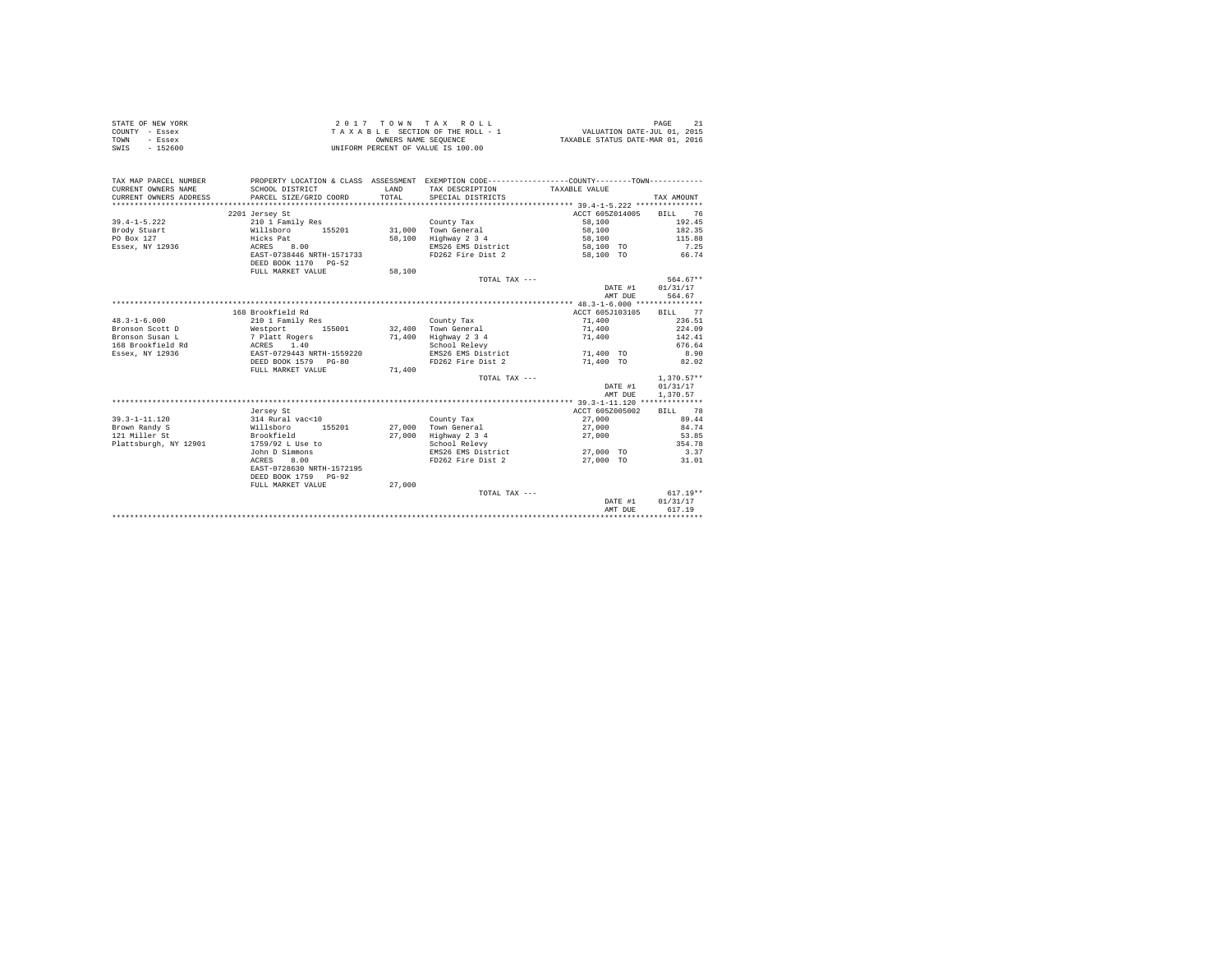|                | STATE OF NEW YORK |                                    |  |  |                      |  |  | 2017 TOWN TAX ROLL              |                                  | PAGE |  |
|----------------|-------------------|------------------------------------|--|--|----------------------|--|--|---------------------------------|----------------------------------|------|--|
| COUNTY - Essex |                   |                                    |  |  |                      |  |  | TAXABLE SECTION OF THE ROLL - 1 | VALUATION DATE-JUL 01, 2015      |      |  |
| TOWN           | - Essex           |                                    |  |  | OWNERS NAME SEOUENCE |  |  |                                 | TAXABLE STATUS DATE-MAR 01, 2016 |      |  |
| SWIS           | $-152600$         | UNIFORM PERCENT OF VALUE IS 100.00 |  |  |                      |  |  |                                 |                                  |      |  |

| ACCT 605Z014005<br>2201 Jersey St                                                             | BILL 76      |
|-----------------------------------------------------------------------------------------------|--------------|
| $39.4 - 1 - 5.222$<br>210 1 Family Res<br>58,100<br>County Tax                                | 192.45       |
| Willsboro<br>31.000 Town General<br>58,100<br>Brody Stuart<br>155201                          | 182.35       |
| PO Box 127<br>58,100 Highway 2 3 4<br>Hicks Pat<br>58,100                                     | 115.88       |
| EMS26 EMS District 58.100 TO<br>8.00                                                          | 7.25         |
| Essex, NY 12936<br>ACRES                                                                      |              |
| EAST-0738446 NRTH-1571733<br>FD262 Fire Dist 2 58,100 TO 66.74<br>DEED BOOK 1170 PG-52        |              |
| 58,100<br>FULL MARKET VALUE                                                                   |              |
| TOTAL TAX ---                                                                                 | 564.67**     |
| DATE #1                                                                                       | 01/31/17     |
| AMT DUE                                                                                       | 564.67       |
|                                                                                               |              |
| 168 Brookfield Rd<br>ACCT 605J103105 BILL 77                                                  |              |
| $48.3 - 1 - 6.000$<br>210 1 Family Res<br>71,400<br>County Tax                                | 236.51       |
| Westport 155001 32,400 Town General<br>71,400<br>Bronson Scott D                              | 224.09       |
| Highway 2 3 4<br>Bronson Susan L<br>7 Platt Rogers<br>71,400<br>71,400                        | 142.41       |
| 168 Brookfield Rd<br>School Relevy                                                            | 676.64       |
| ACRES 1.40<br>EAST-0729443 NRTH-1559220<br>71,400 TO<br>Essex, NY 12936<br>EMS26 EMS District | 8.90         |
| FD262 Fire Dist 2<br>71,400 TO<br>DEED BOOK 1579 PG-80                                        | 82.02        |
| FULL MARKET VALUE<br>71,400                                                                   |              |
| TOTAL TAX ---                                                                                 | $1.370.57**$ |
| DATE #1                                                                                       | 01/31/17     |
| AMT DUE                                                                                       | 1,370.57     |
|                                                                                               |              |
| ACCT 605Z005002<br>Jersey St                                                                  | 78<br>BILL   |
| 27,000<br>$39.3 - 1 - 11.120$<br>County Tax                                                   | 89.44        |
| 314 Rural vac<10<br>Willsboro 1<br>Brown Randy S<br>155201<br>27.000 Town General<br>27,000   | 84.74        |
| Highway 2 3 4<br>Brookfield<br>121 Miller St<br>27,000<br>27,000                              | 53.85        |
| Plattsburgh, NY 12901<br>1759/92 L Use to<br>School Relevy                                    | 354.78       |
| John D Simmons<br>EMS26 EMS District<br>27,000 TO                                             | 3.37         |
| 8.00<br>FD262 Fire Dist 2<br>ACRES<br>27,000 TO                                               | 31.01        |
| EAST-0728630 NRTH-1572195                                                                     |              |
| DEED BOOK 1759 PG-92                                                                          |              |
|                                                                                               |              |
| FULL MARKET VALUE<br>27,000                                                                   |              |
| TOTAL TAX ---                                                                                 | $617.19**$   |
| DATE #1                                                                                       | 01/31/17     |
| AMT DUE                                                                                       | 617.19       |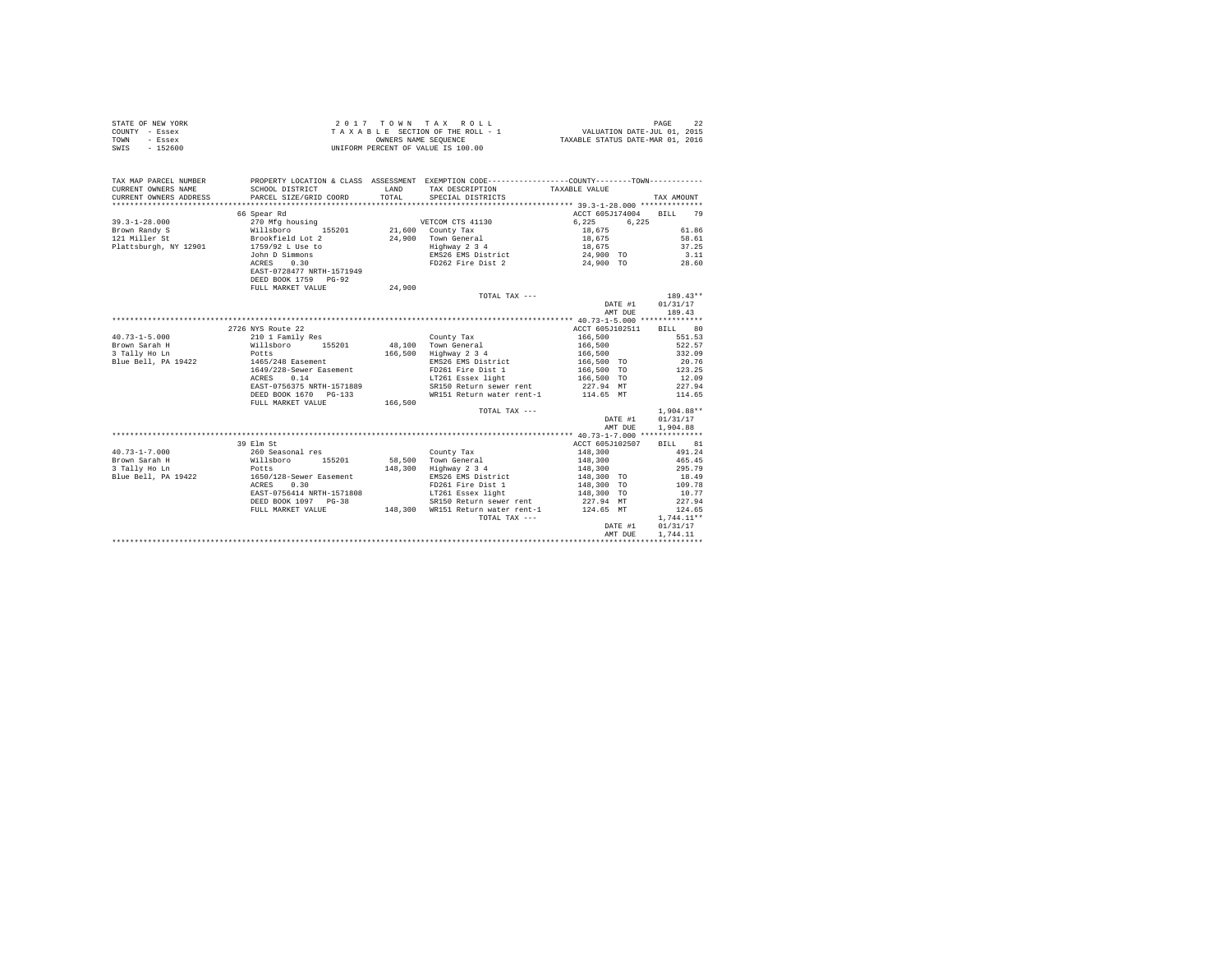| STATE OF NEW YORK<br>COUNTY - Essex<br>TOWN<br>- Essex<br>SWIS - 152600                                             | 2017 TOWN TAX ROLL<br>TAXABLE SECTION OF THE ROLL - 1<br>UNIFORM PERCENT OF VALUE IS 100.00 |         |                                                      |                        | PAGE<br>22   |
|---------------------------------------------------------------------------------------------------------------------|---------------------------------------------------------------------------------------------|---------|------------------------------------------------------|------------------------|--------------|
| TAX MAP PARCEL NUMBER PROPERTY LOCATION & CLASS ASSESSMENT EXEMPTION CODE--------------COUNTY--------TOWN---------- |                                                                                             |         |                                                      |                        |              |
| CURRENT OWNERS NAME                                                                                                 | SCHOOL DISTRICT                                                                             | LAND    | TAX DESCRIPTION                                      | TAXABLE VALUE          |              |
| CURRENT OWNERS ADDRESS                                                                                              | PARCEL SIZE/GRID COORD                                                                      | TOTAL   | SPECIAL DISTRICTS                                    |                        | TAX AMOUNT   |
|                                                                                                                     |                                                                                             |         |                                                      |                        |              |
|                                                                                                                     | 66 Spear Rd                                                                                 |         |                                                      | ACCT 605J174004        | BILL 79      |
| $39.3 - 1 - 28.000$                                                                                                 | 270 Mfg housing WETCOM CTS 41130                                                            |         |                                                      | 6.225<br>6.225         |              |
| Brown Randy S<br>121 Miller St                                                                                      | Willsboro 155201<br>Brookfield Lot 2                                                        |         | 21,600 County Tax                                    | 18,675                 | 61.86        |
|                                                                                                                     |                                                                                             |         | 24,900 Town General                                  | $18,675$<br>$18,675$   | 58.61        |
| Plattsburgh, NY 12901                                                                                               | 1759/92 L Use to                                                                            |         | Highway 2 3 4<br>EMS26 EMS District                  |                        | 37.25        |
|                                                                                                                     | John D Simmons<br>ACRES 0.30                                                                |         |                                                      | 24,900 TO              | 3.11         |
|                                                                                                                     | EAST-0728477 NRTH-1571949                                                                   |         | FD262 Fire Dist 2                                    | 24,900 TO              | 28.60        |
|                                                                                                                     | DEED BOOK 1759 PG-92                                                                        |         |                                                      |                        |              |
|                                                                                                                     | FULL MARKET VALUE                                                                           | 24,900  |                                                      |                        |              |
|                                                                                                                     |                                                                                             |         | TOTAL TAX $---$                                      |                        | $189.43**$   |
|                                                                                                                     |                                                                                             |         |                                                      | DATE #1                | 01/31/17     |
|                                                                                                                     |                                                                                             |         |                                                      | AMT DUE                | 189.43       |
|                                                                                                                     |                                                                                             |         |                                                      |                        |              |
|                                                                                                                     | 2726 NYS Route 22                                                                           |         |                                                      | ACCT 605J102511        | BILL 80      |
| $40.73 - 1 - 5.000$                                                                                                 | 210 1 Family Res                                                                            |         | County Tax                                           | 166,500                | 551.53       |
| Brown Sarah H<br>3 Tally Ho Ln                                                                                      | Willsboro 155201                                                                            |         | 48,100 Town General<br>166,500 Highway 2 3 4         | 166,500<br>166,500     | 522.57       |
|                                                                                                                     | Potts<br>1465/248 Easement                                                                  |         |                                                      |                        | 332.09       |
| Blue Bell, PA 19422                                                                                                 |                                                                                             |         | EMS26 EMS District                                   | 166,500 TO             | 20.76        |
|                                                                                                                     | 1649/228-Sewer Easement<br>ACRES 0.14                                                       |         | FD261 Fire Dist 1                                    | 166,500 TO 123.25      |              |
|                                                                                                                     |                                                                                             |         | LT261 Essex light                                    | 166,500 TO             | 12.09        |
|                                                                                                                     | EAST-0756375 NRTH-1571889                                                                   |         | SR150 Return sewer rent<br>WR151 Return water rent-1 | 227.94 MT<br>114.65 MT | 227.94       |
|                                                                                                                     | DEED BOOK 1670 PG-133<br>FULL MARKET VALUE                                                  | 166,500 |                                                      |                        | 114.65       |
|                                                                                                                     |                                                                                             |         | TOTAL TAX ---                                        |                        | $1,904.88**$ |
|                                                                                                                     |                                                                                             |         |                                                      | DATE #1                | 01/31/17     |
|                                                                                                                     |                                                                                             |         |                                                      | AMT DUE                | 1,904.88     |
|                                                                                                                     |                                                                                             |         |                                                      |                        |              |
|                                                                                                                     | 39 Elm St                                                                                   |         |                                                      | ACCT 605J102507        | BILL 81      |
| $40.73 - 1 - 7.000$                                                                                                 | 260 Seasonal res<br>Willsboro 155201<br>Potts<br>1650/128-Sewer Easement                    |         | County Tax                                           | 148,300                | 491.24       |
| Brown Sarah H                                                                                                       |                                                                                             |         | 58,500 Town General                                  | 148,300                | 465.45       |
| 3 Tally Ho Ln                                                                                                       |                                                                                             |         | 148,300 Highway 2 3 4                                | 148,300                | 295.79       |
| Blue Bell, PA 19422                                                                                                 |                                                                                             |         | EMS26 EMS District                                   | 148,300 TO             | 18.49        |
|                                                                                                                     | ACRES 0.30                                                                                  |         |                                                      | 148,300 TO             | 109.78       |
|                                                                                                                     | EAST-0756414 NRTH-1571808                                                                   |         | FD261 Fire Dist 1<br>LT261 Essex light               | 148,300 TO             | 10.77        |
|                                                                                                                     | DEED BOOK 1097 PG-38                                                                        |         | SR150 Return sewer rent                              | 227.94 MT              | 227.94       |
|                                                                                                                     | FULL MARKET VALUE                                                                           |         | 148,300 WR151 Return water rent-1 124.65 MT          |                        | 124.65       |
|                                                                                                                     |                                                                                             |         | TOTAL TAX ---                                        |                        | $1,744.11**$ |
|                                                                                                                     |                                                                                             |         |                                                      | DATE #1                | 01/31/17     |
|                                                                                                                     |                                                                                             |         |                                                      | AMT DUE                | 1.744.11     |
|                                                                                                                     |                                                                                             |         |                                                      |                        |              |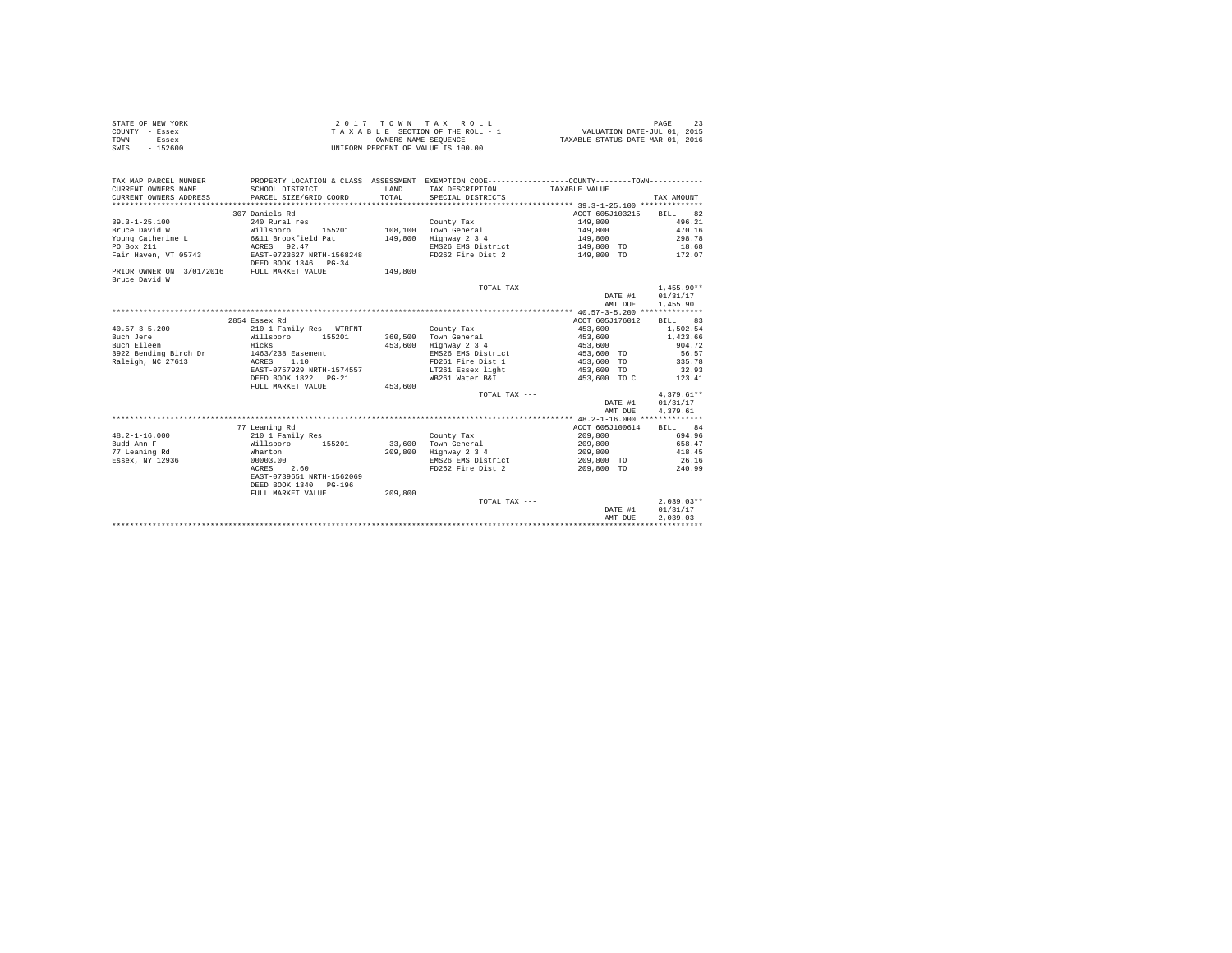| STATE OF NEW YORK | 2017 TOWN TAX ROLL                 | PAGE                             |
|-------------------|------------------------------------|----------------------------------|
| COUNTY - Essex    | TAXABLE SECTION OF THE ROLL - 1    | VALUATION DATE-JUL 01, 2015      |
| TOWN<br>- Essex   | OWNERS NAME SEOUENCE               | TAXABLE STATUS DATE-MAR 01, 2016 |
| SWIS<br>$-152600$ | UNIFORM PERCENT OF VALUE IS 100.00 |                                  |

| CURRENT OWNERS NAME<br>SCHOOL DISTRICT<br>LAND<br>TAX DESCRIPTION TAXABLE VALUE<br>TOTAL<br>CURRENT OWNERS ADDRESS PARCEL SIZE/GRID COORD<br>SPECIAL DISTRICTS<br>TAX AMOUNT<br>307 Daniels Rd<br>ACCT 605J103215 BILL 82<br>496.21<br>$39.3 - 1 - 25.100$<br>240 Rural res<br>149,800<br>County Tax<br>155201 108,100 Town General<br>470.16<br>Bruce David W<br>Willsboro 1552<br>6&11 Brookfield Pat<br>ACRES 92.47<br>149,800<br>149.800 Highway 2 3 4<br>298.78<br>Young Catherine L<br>149,800<br>18.68<br>EMS26 EMS District<br>149,800 TO<br>PO Box 211<br>Fair Haven, VT 05743 EAST-0723627 NRTH-1568248<br>FD262 Fire Dist 2<br>149,800 TO 172.07<br>DEED BOOK 1346 PG-34<br>PRIOR OWNER ON 3/01/2016 FULL MARKET VALUE<br>149,800<br>Bruce David W<br>$1,455.90**$<br>TOTAL TAX ---<br>DATE #1 01/31/17<br>AMT DUE 1,455.90<br>2854 Essex Rd<br>ACCT 605J176012 BILL 83<br>$40.57 - 3 - 5.200$<br>210 1 Family Res - WTRFNT<br>453,600<br>1,502.54<br>County Tax<br>Willsboro 155201 360,500 Town General<br>1,423.66<br>Buch Jere<br>453,600<br>Hicks<br>453,600<br>453,600 Highway 2 3 4<br>Buch Eileen<br>904.72<br>3922 Bending Birch Dr 1463/238 Easement<br>EMS26 EMS District 453,600 TO<br>56.57<br>Raleigh, NC 27613<br>ACRES 1.10<br>FD261 Fire Dist 1<br>453,600 TO<br>335.78<br>LT261 Essex light<br>EAST-0757929 NRTH-1574557<br>32.93<br>453,600 TO<br>WB261 Water B&I<br>453,600 TO C 123.41<br>DEED BOOK 1822    PG-21<br>FULL MARKET VALUE<br>453.600<br>$4,379.61**$<br>TOTAL TAX ---<br>DATE #1 01/31/17<br>4.379.61<br>AMT DUE<br>77 Leaning Rd<br>ACCT 605J100614<br>BILL 84<br>$48.2 - 1 - 16.000$<br>694.96<br>210 1 Family Res<br>209,800<br>County Tax<br>Willsboro<br>209,800<br>658.47<br>Budd Ann F<br>155201 33,600 Town General<br>77 Leaning Rd<br>209.800 Highway 2 3 4<br>418.45<br>Wharton<br>209,800<br>EMS26 EMS District<br>Essex, NY 12936<br>209,800 TO<br>26.16<br>240.99<br>00003.00<br>ACRES 2.60<br>FD262 Fire Dist 2<br>209,800 TO<br>EAST-0739651 NRTH-1562069<br>DEED BOOK 1340 PG-196<br>209,800<br>FULL MARKET VALUE<br>$2.039.03**$<br>TOTAL TAX ---<br>DATE #1 01/31/17<br>2.039.03<br>AMT DUE | TAX MAP PARCEL NUMBER |  | PROPERTY LOCATION & CLASS ASSESSMENT EXEMPTION CODE---------------COUNTY-------TOWN--------- |  |
|-------------------------------------------------------------------------------------------------------------------------------------------------------------------------------------------------------------------------------------------------------------------------------------------------------------------------------------------------------------------------------------------------------------------------------------------------------------------------------------------------------------------------------------------------------------------------------------------------------------------------------------------------------------------------------------------------------------------------------------------------------------------------------------------------------------------------------------------------------------------------------------------------------------------------------------------------------------------------------------------------------------------------------------------------------------------------------------------------------------------------------------------------------------------------------------------------------------------------------------------------------------------------------------------------------------------------------------------------------------------------------------------------------------------------------------------------------------------------------------------------------------------------------------------------------------------------------------------------------------------------------------------------------------------------------------------------------------------------------------------------------------------------------------------------------------------------------------------------------------------------------------------------------------------------------------------------------------------------------------------------------------------------------------------------------------------------------------------------------------------------------------------------------------|-----------------------|--|----------------------------------------------------------------------------------------------|--|
|                                                                                                                                                                                                                                                                                                                                                                                                                                                                                                                                                                                                                                                                                                                                                                                                                                                                                                                                                                                                                                                                                                                                                                                                                                                                                                                                                                                                                                                                                                                                                                                                                                                                                                                                                                                                                                                                                                                                                                                                                                                                                                                                                             |                       |  |                                                                                              |  |
|                                                                                                                                                                                                                                                                                                                                                                                                                                                                                                                                                                                                                                                                                                                                                                                                                                                                                                                                                                                                                                                                                                                                                                                                                                                                                                                                                                                                                                                                                                                                                                                                                                                                                                                                                                                                                                                                                                                                                                                                                                                                                                                                                             |                       |  |                                                                                              |  |
|                                                                                                                                                                                                                                                                                                                                                                                                                                                                                                                                                                                                                                                                                                                                                                                                                                                                                                                                                                                                                                                                                                                                                                                                                                                                                                                                                                                                                                                                                                                                                                                                                                                                                                                                                                                                                                                                                                                                                                                                                                                                                                                                                             |                       |  |                                                                                              |  |
|                                                                                                                                                                                                                                                                                                                                                                                                                                                                                                                                                                                                                                                                                                                                                                                                                                                                                                                                                                                                                                                                                                                                                                                                                                                                                                                                                                                                                                                                                                                                                                                                                                                                                                                                                                                                                                                                                                                                                                                                                                                                                                                                                             |                       |  |                                                                                              |  |
|                                                                                                                                                                                                                                                                                                                                                                                                                                                                                                                                                                                                                                                                                                                                                                                                                                                                                                                                                                                                                                                                                                                                                                                                                                                                                                                                                                                                                                                                                                                                                                                                                                                                                                                                                                                                                                                                                                                                                                                                                                                                                                                                                             |                       |  |                                                                                              |  |
|                                                                                                                                                                                                                                                                                                                                                                                                                                                                                                                                                                                                                                                                                                                                                                                                                                                                                                                                                                                                                                                                                                                                                                                                                                                                                                                                                                                                                                                                                                                                                                                                                                                                                                                                                                                                                                                                                                                                                                                                                                                                                                                                                             |                       |  |                                                                                              |  |
|                                                                                                                                                                                                                                                                                                                                                                                                                                                                                                                                                                                                                                                                                                                                                                                                                                                                                                                                                                                                                                                                                                                                                                                                                                                                                                                                                                                                                                                                                                                                                                                                                                                                                                                                                                                                                                                                                                                                                                                                                                                                                                                                                             |                       |  |                                                                                              |  |
|                                                                                                                                                                                                                                                                                                                                                                                                                                                                                                                                                                                                                                                                                                                                                                                                                                                                                                                                                                                                                                                                                                                                                                                                                                                                                                                                                                                                                                                                                                                                                                                                                                                                                                                                                                                                                                                                                                                                                                                                                                                                                                                                                             |                       |  |                                                                                              |  |
|                                                                                                                                                                                                                                                                                                                                                                                                                                                                                                                                                                                                                                                                                                                                                                                                                                                                                                                                                                                                                                                                                                                                                                                                                                                                                                                                                                                                                                                                                                                                                                                                                                                                                                                                                                                                                                                                                                                                                                                                                                                                                                                                                             |                       |  |                                                                                              |  |
|                                                                                                                                                                                                                                                                                                                                                                                                                                                                                                                                                                                                                                                                                                                                                                                                                                                                                                                                                                                                                                                                                                                                                                                                                                                                                                                                                                                                                                                                                                                                                                                                                                                                                                                                                                                                                                                                                                                                                                                                                                                                                                                                                             |                       |  |                                                                                              |  |
|                                                                                                                                                                                                                                                                                                                                                                                                                                                                                                                                                                                                                                                                                                                                                                                                                                                                                                                                                                                                                                                                                                                                                                                                                                                                                                                                                                                                                                                                                                                                                                                                                                                                                                                                                                                                                                                                                                                                                                                                                                                                                                                                                             |                       |  |                                                                                              |  |
|                                                                                                                                                                                                                                                                                                                                                                                                                                                                                                                                                                                                                                                                                                                                                                                                                                                                                                                                                                                                                                                                                                                                                                                                                                                                                                                                                                                                                                                                                                                                                                                                                                                                                                                                                                                                                                                                                                                                                                                                                                                                                                                                                             |                       |  |                                                                                              |  |
|                                                                                                                                                                                                                                                                                                                                                                                                                                                                                                                                                                                                                                                                                                                                                                                                                                                                                                                                                                                                                                                                                                                                                                                                                                                                                                                                                                                                                                                                                                                                                                                                                                                                                                                                                                                                                                                                                                                                                                                                                                                                                                                                                             |                       |  |                                                                                              |  |
|                                                                                                                                                                                                                                                                                                                                                                                                                                                                                                                                                                                                                                                                                                                                                                                                                                                                                                                                                                                                                                                                                                                                                                                                                                                                                                                                                                                                                                                                                                                                                                                                                                                                                                                                                                                                                                                                                                                                                                                                                                                                                                                                                             |                       |  |                                                                                              |  |
|                                                                                                                                                                                                                                                                                                                                                                                                                                                                                                                                                                                                                                                                                                                                                                                                                                                                                                                                                                                                                                                                                                                                                                                                                                                                                                                                                                                                                                                                                                                                                                                                                                                                                                                                                                                                                                                                                                                                                                                                                                                                                                                                                             |                       |  |                                                                                              |  |
|                                                                                                                                                                                                                                                                                                                                                                                                                                                                                                                                                                                                                                                                                                                                                                                                                                                                                                                                                                                                                                                                                                                                                                                                                                                                                                                                                                                                                                                                                                                                                                                                                                                                                                                                                                                                                                                                                                                                                                                                                                                                                                                                                             |                       |  |                                                                                              |  |
|                                                                                                                                                                                                                                                                                                                                                                                                                                                                                                                                                                                                                                                                                                                                                                                                                                                                                                                                                                                                                                                                                                                                                                                                                                                                                                                                                                                                                                                                                                                                                                                                                                                                                                                                                                                                                                                                                                                                                                                                                                                                                                                                                             |                       |  |                                                                                              |  |
|                                                                                                                                                                                                                                                                                                                                                                                                                                                                                                                                                                                                                                                                                                                                                                                                                                                                                                                                                                                                                                                                                                                                                                                                                                                                                                                                                                                                                                                                                                                                                                                                                                                                                                                                                                                                                                                                                                                                                                                                                                                                                                                                                             |                       |  |                                                                                              |  |
|                                                                                                                                                                                                                                                                                                                                                                                                                                                                                                                                                                                                                                                                                                                                                                                                                                                                                                                                                                                                                                                                                                                                                                                                                                                                                                                                                                                                                                                                                                                                                                                                                                                                                                                                                                                                                                                                                                                                                                                                                                                                                                                                                             |                       |  |                                                                                              |  |
|                                                                                                                                                                                                                                                                                                                                                                                                                                                                                                                                                                                                                                                                                                                                                                                                                                                                                                                                                                                                                                                                                                                                                                                                                                                                                                                                                                                                                                                                                                                                                                                                                                                                                                                                                                                                                                                                                                                                                                                                                                                                                                                                                             |                       |  |                                                                                              |  |
|                                                                                                                                                                                                                                                                                                                                                                                                                                                                                                                                                                                                                                                                                                                                                                                                                                                                                                                                                                                                                                                                                                                                                                                                                                                                                                                                                                                                                                                                                                                                                                                                                                                                                                                                                                                                                                                                                                                                                                                                                                                                                                                                                             |                       |  |                                                                                              |  |
|                                                                                                                                                                                                                                                                                                                                                                                                                                                                                                                                                                                                                                                                                                                                                                                                                                                                                                                                                                                                                                                                                                                                                                                                                                                                                                                                                                                                                                                                                                                                                                                                                                                                                                                                                                                                                                                                                                                                                                                                                                                                                                                                                             |                       |  |                                                                                              |  |
|                                                                                                                                                                                                                                                                                                                                                                                                                                                                                                                                                                                                                                                                                                                                                                                                                                                                                                                                                                                                                                                                                                                                                                                                                                                                                                                                                                                                                                                                                                                                                                                                                                                                                                                                                                                                                                                                                                                                                                                                                                                                                                                                                             |                       |  |                                                                                              |  |
|                                                                                                                                                                                                                                                                                                                                                                                                                                                                                                                                                                                                                                                                                                                                                                                                                                                                                                                                                                                                                                                                                                                                                                                                                                                                                                                                                                                                                                                                                                                                                                                                                                                                                                                                                                                                                                                                                                                                                                                                                                                                                                                                                             |                       |  |                                                                                              |  |
|                                                                                                                                                                                                                                                                                                                                                                                                                                                                                                                                                                                                                                                                                                                                                                                                                                                                                                                                                                                                                                                                                                                                                                                                                                                                                                                                                                                                                                                                                                                                                                                                                                                                                                                                                                                                                                                                                                                                                                                                                                                                                                                                                             |                       |  |                                                                                              |  |
|                                                                                                                                                                                                                                                                                                                                                                                                                                                                                                                                                                                                                                                                                                                                                                                                                                                                                                                                                                                                                                                                                                                                                                                                                                                                                                                                                                                                                                                                                                                                                                                                                                                                                                                                                                                                                                                                                                                                                                                                                                                                                                                                                             |                       |  |                                                                                              |  |
|                                                                                                                                                                                                                                                                                                                                                                                                                                                                                                                                                                                                                                                                                                                                                                                                                                                                                                                                                                                                                                                                                                                                                                                                                                                                                                                                                                                                                                                                                                                                                                                                                                                                                                                                                                                                                                                                                                                                                                                                                                                                                                                                                             |                       |  |                                                                                              |  |
|                                                                                                                                                                                                                                                                                                                                                                                                                                                                                                                                                                                                                                                                                                                                                                                                                                                                                                                                                                                                                                                                                                                                                                                                                                                                                                                                                                                                                                                                                                                                                                                                                                                                                                                                                                                                                                                                                                                                                                                                                                                                                                                                                             |                       |  |                                                                                              |  |
|                                                                                                                                                                                                                                                                                                                                                                                                                                                                                                                                                                                                                                                                                                                                                                                                                                                                                                                                                                                                                                                                                                                                                                                                                                                                                                                                                                                                                                                                                                                                                                                                                                                                                                                                                                                                                                                                                                                                                                                                                                                                                                                                                             |                       |  |                                                                                              |  |
|                                                                                                                                                                                                                                                                                                                                                                                                                                                                                                                                                                                                                                                                                                                                                                                                                                                                                                                                                                                                                                                                                                                                                                                                                                                                                                                                                                                                                                                                                                                                                                                                                                                                                                                                                                                                                                                                                                                                                                                                                                                                                                                                                             |                       |  |                                                                                              |  |
|                                                                                                                                                                                                                                                                                                                                                                                                                                                                                                                                                                                                                                                                                                                                                                                                                                                                                                                                                                                                                                                                                                                                                                                                                                                                                                                                                                                                                                                                                                                                                                                                                                                                                                                                                                                                                                                                                                                                                                                                                                                                                                                                                             |                       |  |                                                                                              |  |
|                                                                                                                                                                                                                                                                                                                                                                                                                                                                                                                                                                                                                                                                                                                                                                                                                                                                                                                                                                                                                                                                                                                                                                                                                                                                                                                                                                                                                                                                                                                                                                                                                                                                                                                                                                                                                                                                                                                                                                                                                                                                                                                                                             |                       |  |                                                                                              |  |
|                                                                                                                                                                                                                                                                                                                                                                                                                                                                                                                                                                                                                                                                                                                                                                                                                                                                                                                                                                                                                                                                                                                                                                                                                                                                                                                                                                                                                                                                                                                                                                                                                                                                                                                                                                                                                                                                                                                                                                                                                                                                                                                                                             |                       |  |                                                                                              |  |
|                                                                                                                                                                                                                                                                                                                                                                                                                                                                                                                                                                                                                                                                                                                                                                                                                                                                                                                                                                                                                                                                                                                                                                                                                                                                                                                                                                                                                                                                                                                                                                                                                                                                                                                                                                                                                                                                                                                                                                                                                                                                                                                                                             |                       |  |                                                                                              |  |
|                                                                                                                                                                                                                                                                                                                                                                                                                                                                                                                                                                                                                                                                                                                                                                                                                                                                                                                                                                                                                                                                                                                                                                                                                                                                                                                                                                                                                                                                                                                                                                                                                                                                                                                                                                                                                                                                                                                                                                                                                                                                                                                                                             |                       |  |                                                                                              |  |
|                                                                                                                                                                                                                                                                                                                                                                                                                                                                                                                                                                                                                                                                                                                                                                                                                                                                                                                                                                                                                                                                                                                                                                                                                                                                                                                                                                                                                                                                                                                                                                                                                                                                                                                                                                                                                                                                                                                                                                                                                                                                                                                                                             |                       |  |                                                                                              |  |
|                                                                                                                                                                                                                                                                                                                                                                                                                                                                                                                                                                                                                                                                                                                                                                                                                                                                                                                                                                                                                                                                                                                                                                                                                                                                                                                                                                                                                                                                                                                                                                                                                                                                                                                                                                                                                                                                                                                                                                                                                                                                                                                                                             |                       |  |                                                                                              |  |
|                                                                                                                                                                                                                                                                                                                                                                                                                                                                                                                                                                                                                                                                                                                                                                                                                                                                                                                                                                                                                                                                                                                                                                                                                                                                                                                                                                                                                                                                                                                                                                                                                                                                                                                                                                                                                                                                                                                                                                                                                                                                                                                                                             |                       |  |                                                                                              |  |
|                                                                                                                                                                                                                                                                                                                                                                                                                                                                                                                                                                                                                                                                                                                                                                                                                                                                                                                                                                                                                                                                                                                                                                                                                                                                                                                                                                                                                                                                                                                                                                                                                                                                                                                                                                                                                                                                                                                                                                                                                                                                                                                                                             |                       |  |                                                                                              |  |
|                                                                                                                                                                                                                                                                                                                                                                                                                                                                                                                                                                                                                                                                                                                                                                                                                                                                                                                                                                                                                                                                                                                                                                                                                                                                                                                                                                                                                                                                                                                                                                                                                                                                                                                                                                                                                                                                                                                                                                                                                                                                                                                                                             |                       |  |                                                                                              |  |
|                                                                                                                                                                                                                                                                                                                                                                                                                                                                                                                                                                                                                                                                                                                                                                                                                                                                                                                                                                                                                                                                                                                                                                                                                                                                                                                                                                                                                                                                                                                                                                                                                                                                                                                                                                                                                                                                                                                                                                                                                                                                                                                                                             |                       |  |                                                                                              |  |
|                                                                                                                                                                                                                                                                                                                                                                                                                                                                                                                                                                                                                                                                                                                                                                                                                                                                                                                                                                                                                                                                                                                                                                                                                                                                                                                                                                                                                                                                                                                                                                                                                                                                                                                                                                                                                                                                                                                                                                                                                                                                                                                                                             |                       |  |                                                                                              |  |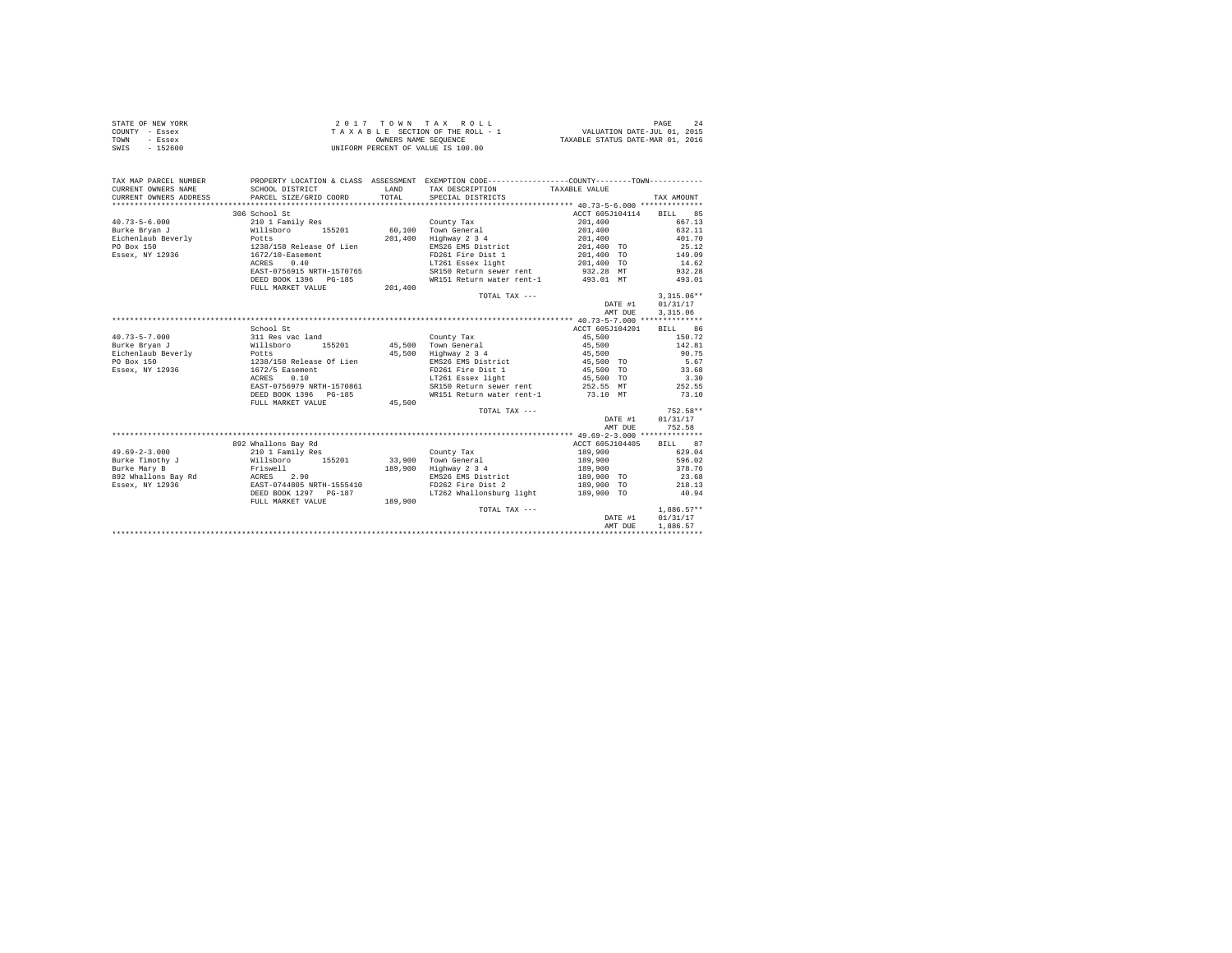| STATE OF NEW YORK | 2017 TOWN TAX ROLL                 | PAGE                             |
|-------------------|------------------------------------|----------------------------------|
| COUNTY - Essex    | TAXABLE SECTION OF THE ROLL - 1    | VALUATION DATE-JUL 01, 2015      |
| TOWN<br>- Essex   | OWNERS NAME SEOUENCE               | TAXABLE STATUS DATE-MAR 01, 2016 |
| $-152600$<br>SWIS | UNIFORM PERCENT OF VALUE IS 100.00 |                                  |

| TAX MAP PARCEL NUMBER            |                                      |         | PROPERTY LOCATION & CLASS ASSESSMENT EXEMPTION CODE---------------COUNTY-------TOWN---------- |                         |              |
|----------------------------------|--------------------------------------|---------|-----------------------------------------------------------------------------------------------|-------------------------|--------------|
| CURRENT OWNERS NAME              | SCHOOL DISTRICT                      | LAND    | TAX DESCRIPTION                                                                               | TAXABLE VALUE           |              |
| CURRENT OWNERS ADDRESS           | PARCEL SIZE/GRID COORD               | TOTAL.  | SPECIAL DISTRICTS                                                                             |                         | TAX AMOUNT   |
|                                  |                                      |         |                                                                                               |                         |              |
|                                  | 306 School St                        |         |                                                                                               | ACCT 605J104114 BILL 85 |              |
| $40.73 - 5 - 6.000$              | 210 1 Family Res                     |         | County Tax                                                                                    | 201,400                 | 667.13       |
| Burke Bryan J<br>Willsboro       |                                      |         | 155201 60,100 Town General                                                                    | 201,400                 | 632.11       |
| Eichenlaub Beverly               | Potts<br>1238/158 Release Of Lien    |         | 201.400 Highway 2 3 4                                                                         | 201,400                 | 401.70       |
| PO Box 150                       |                                      |         | EMS26 EMS District                                                                            | 201,400 TO              | 25.12        |
| Essex, NY 12936 1672/10-Easement |                                      |         | FD261 Fire Dist 1 201,400 TO 149.09                                                           |                         |              |
|                                  | ACRES 0.40                           |         |                                                                                               |                         | 14.62        |
|                                  | EAST-0756915 NRTH-1570765            |         |                                                                                               |                         | 932.28       |
|                                  | DEED BOOK 1396 PG-185                |         | WR151 Return water rent-1 493.01 MT                                                           |                         | 493.01       |
|                                  | FULL MARKET VALUE                    | 201,400 |                                                                                               |                         |              |
|                                  |                                      |         | TOTAL TAX ---                                                                                 |                         | $3,315.06**$ |
|                                  |                                      |         |                                                                                               | DATE #1                 | 01/31/17     |
|                                  |                                      |         |                                                                                               | AMT DUE                 | 3.315.06     |
|                                  |                                      |         |                                                                                               |                         |              |
|                                  | School St                            |         |                                                                                               | ACCT 605J104201         | BILL 86      |
| $40.73 - 5 - 7.000$              | 311 Res vac land                     |         | County Tax                                                                                    | 45,500                  | 150.72       |
| Burke Brvan J                    | Willsboro<br>Potts<br>155201         |         | 45,500 Town General<br>45,500 Highway 2 3 4                                                   | 45,500<br>45,500        | 142.81       |
| Eichenlaub Beverly               |                                      |         |                                                                                               |                         | 90.75        |
| PO Box 150                       | 1238/158 Release Of Lien             |         | EMS26 EMS District 45,500 TO                                                                  |                         | 5.67         |
| Essex, NY 12936                  | 1672/5 Easement                      |         | FD261 Fire Dist 1                                                                             | 45,500 TO<br>45,500 TO  | 33.68        |
|                                  | ACRES<br>0.10                        |         | LT261 Essex light                                                                             |                         | 3.30         |
|                                  | EAST-0756979 NRTH-1570861            |         | SR150 Return sewer rent 252.55 MT 252.55                                                      |                         |              |
|                                  | DEED BOOK 1396 PG-185                |         | WR151 Return water rent-1 73.10 MT                                                            |                         | 73.10        |
|                                  | FULL MARKET VALUE                    | 45,500  |                                                                                               |                         |              |
|                                  |                                      |         | TOTAL TAX ---                                                                                 |                         | 752.58**     |
|                                  |                                      |         |                                                                                               | DATE #1                 | 01/31/17     |
|                                  |                                      |         |                                                                                               | AMT DUE                 | 752.58       |
|                                  |                                      |         |                                                                                               |                         |              |
|                                  | 892 Whallons Bay Rd                  |         |                                                                                               | ACCT 605J104405         | BILL 87      |
| $49.69 - 2 - 3.000$              | 210 1 Family Res<br>Willsboro 155201 |         | County Tax                                                                                    | 189,900<br>189,900      | 629.04       |
| Burke Timothy J                  |                                      |         | 33,900 Town General                                                                           |                         | 596.02       |
| Burke Mary B                     | Friswell                             |         | 189,900 Highway 2 3 4                                                                         | 189,900                 | 378.76       |
|                                  |                                      |         | EMS26 EMS District 189,900 TO<br>FD262 Fire Dist 2 189,900 TO                                 |                         | 23.68        |
|                                  |                                      |         |                                                                                               |                         | 218.13       |
|                                  | DEED BOOK 1297 PG-187                |         | LT262 Whallonsburg light 189.900 TO                                                           |                         | 40.94        |
|                                  | FULL MARKET VALUE                    | 189,900 |                                                                                               |                         |              |
|                                  |                                      |         | TOTAL TAX ---                                                                                 |                         | $1,886.57**$ |
|                                  |                                      |         |                                                                                               | DATE #1                 | 01/31/17     |
|                                  |                                      |         |                                                                                               | AMT DUE                 | 1,886.57     |
|                                  |                                      |         |                                                                                               |                         |              |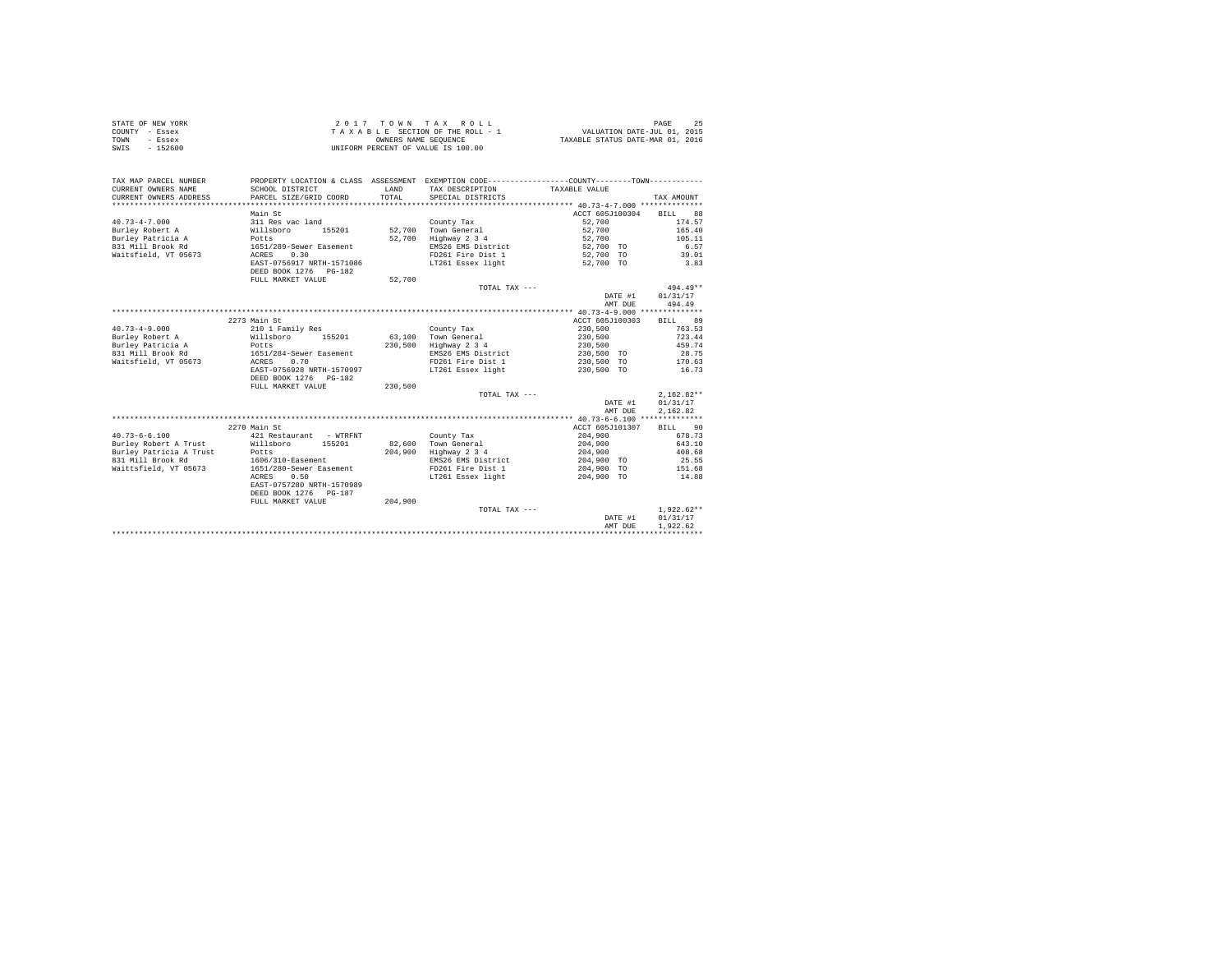| STATE OF NEW YORK | 2017 TOWN TAX ROLL                 | PAGE                             |
|-------------------|------------------------------------|----------------------------------|
| COUNTY - Essex    | TAXABLE SECTION OF THE ROLL - 1    | VALUATION DATE-JUL 01, 2015      |
| TOWN<br>- Essex   | OWNERS NAME SEOUENCE               | TAXABLE STATUS DATE-MAR 01, 2016 |
| SWIS<br>$-152600$ | UNIFORM PERCENT OF VALUE IS 100.00 |                                  |

| TAX MAP PARCEL NUMBER<br>CURRENT OWNERS NAME<br>CURRENT OWNERS ADDRESS | SCHOOL DISTRICT<br>PARCEL SIZE/GRID COORD | <b>T.AND</b><br>TOTAL | PROPERTY LOCATION & CLASS ASSESSMENT EXEMPTION CODE---------------COUNTY-------TOWN----------<br>TAX DESCRIPTION<br>SPECIAL DISTRICTS | TAXABLE VALUE   | TAX AMOUNT        |
|------------------------------------------------------------------------|-------------------------------------------|-----------------------|---------------------------------------------------------------------------------------------------------------------------------------|-----------------|-------------------|
|                                                                        |                                           |                       |                                                                                                                                       | ACCT 605J100304 | BTLL.             |
|                                                                        | Main St                                   |                       |                                                                                                                                       |                 | 88                |
| $40.73 - 4 - 7.000$                                                    | 311 Res vac land                          |                       | County Tax                                                                                                                            | 52,700          | 174.57            |
| Burley Robert A                                                        | Willsboro<br>155201                       | 52,700                | Town General                                                                                                                          | 52,700          | 165.40            |
| Burley Patricia A                                                      | Potts                                     | 52,700                | Highway 2 3 4                                                                                                                         | 52,700          | 105.11            |
| 831 Mill Brook Rd                                                      | 1651/289-Sewer Easement                   |                       | EMS26 EMS District                                                                                                                    | 52,700 TO       | 6.57              |
| Waitsfield, VT 05673                                                   | 0.30<br>ACRES                             |                       | FD261 Fire Dist 1                                                                                                                     | 52,700 TO       | 39.01             |
|                                                                        | EAST-0756917 NRTH-1571086                 |                       | LT261 Essex light                                                                                                                     | 52,700 TO       | 3.83              |
|                                                                        | DEED BOOK 1276 PG-182                     |                       |                                                                                                                                       |                 |                   |
|                                                                        | FULL MARKET VALUE                         | 52,700                |                                                                                                                                       |                 |                   |
|                                                                        |                                           |                       | TOTAL TAX $---$                                                                                                                       |                 | $494.49**$        |
|                                                                        |                                           |                       |                                                                                                                                       | DATE #1         | 01/31/17          |
|                                                                        |                                           |                       |                                                                                                                                       | AMT DUE         | 494.49            |
|                                                                        |                                           |                       |                                                                                                                                       |                 |                   |
|                                                                        | 2273 Main St                              |                       |                                                                                                                                       | ACCT 605J100303 | 89<br>BILL        |
| $40.73 - 4 - 9.000$                                                    | 210 1 Family Res                          |                       | County Tax                                                                                                                            | 230,500         | 763.53            |
| Burley Robert A                                                        | Willsboro<br>155201                       | 63,100                | Town General                                                                                                                          | 230,500         | 723.44            |
| Burley Patricia A                                                      | Potts                                     | 230,500               | Highway 2 3 4                                                                                                                         | 230,500         | 459.74            |
| 831 Mill Brook Rd                                                      | 1651/284-Sewer Easement                   |                       | EMS26 EMS District                                                                                                                    | 230,500 TO      | 28.75             |
| Waitsfield, VT 05673                                                   | 0.70<br>ACRES                             |                       | FD261 Fire Dist 1                                                                                                                     | 230,500 TO      | 170.63            |
|                                                                        | EAST-0756928 NRTH-1570997                 |                       | LT261 Essex light                                                                                                                     | 230,500 TO      | 16.73             |
|                                                                        |                                           |                       |                                                                                                                                       |                 |                   |
|                                                                        | DEED BOOK 1276 PG-182                     |                       |                                                                                                                                       |                 |                   |
|                                                                        | FULL MARKET VALUE                         | 230.500               |                                                                                                                                       |                 |                   |
|                                                                        |                                           |                       | TOTAL TAX ---                                                                                                                         |                 | $2.162.82**$      |
|                                                                        |                                           |                       |                                                                                                                                       | DATE #1         | 01/31/17          |
|                                                                        |                                           |                       |                                                                                                                                       | AMT DUE         | 2.162.82          |
|                                                                        |                                           |                       |                                                                                                                                       |                 |                   |
|                                                                        | 2270 Main St                              |                       |                                                                                                                                       | ACCT 605J101307 | <b>BILL</b><br>90 |
| $40.73 - 6 - 6.100$                                                    | 421 Restaurant - WTRFNT                   |                       | County Tax                                                                                                                            | 204,900         | 678.73            |
| Burley Robert A Trust                                                  | Willsboro<br>155201                       | 82,600                | Town General                                                                                                                          | 204,900         | 643.10            |
| Burley Patricia A Trust                                                | Potts                                     | 204,900               | Highway 2 3 4                                                                                                                         | 204,900         | 408.68            |
| 831 Mill Brook Rd                                                      | 1606/310-Easement                         |                       | EMS26 EMS District                                                                                                                    | 204,900 TO      | 25.55             |
| Waittsfield, VT 05673                                                  | 1651/280-Sewer Easement                   |                       | FD261 Fire Dist 1                                                                                                                     | 204,900 TO      | 151.68            |
|                                                                        | 0.50<br>ACRES                             |                       | LT261 Essex light                                                                                                                     | 204,900 TO      | 14.88             |
|                                                                        | EAST-0757280 NRTH-1570989                 |                       |                                                                                                                                       |                 |                   |
|                                                                        | DEED BOOK 1276 PG-187                     |                       |                                                                                                                                       |                 |                   |
|                                                                        | FULL MARKET VALUE                         | 204,900               |                                                                                                                                       |                 |                   |
|                                                                        |                                           |                       | TOTAL TAX ---                                                                                                                         |                 | $1,922.62**$      |
|                                                                        |                                           |                       |                                                                                                                                       | DATE #1         | 01/31/17          |
|                                                                        |                                           |                       |                                                                                                                                       | AMT DUE         | 1.922.62          |
|                                                                        |                                           |                       |                                                                                                                                       |                 |                   |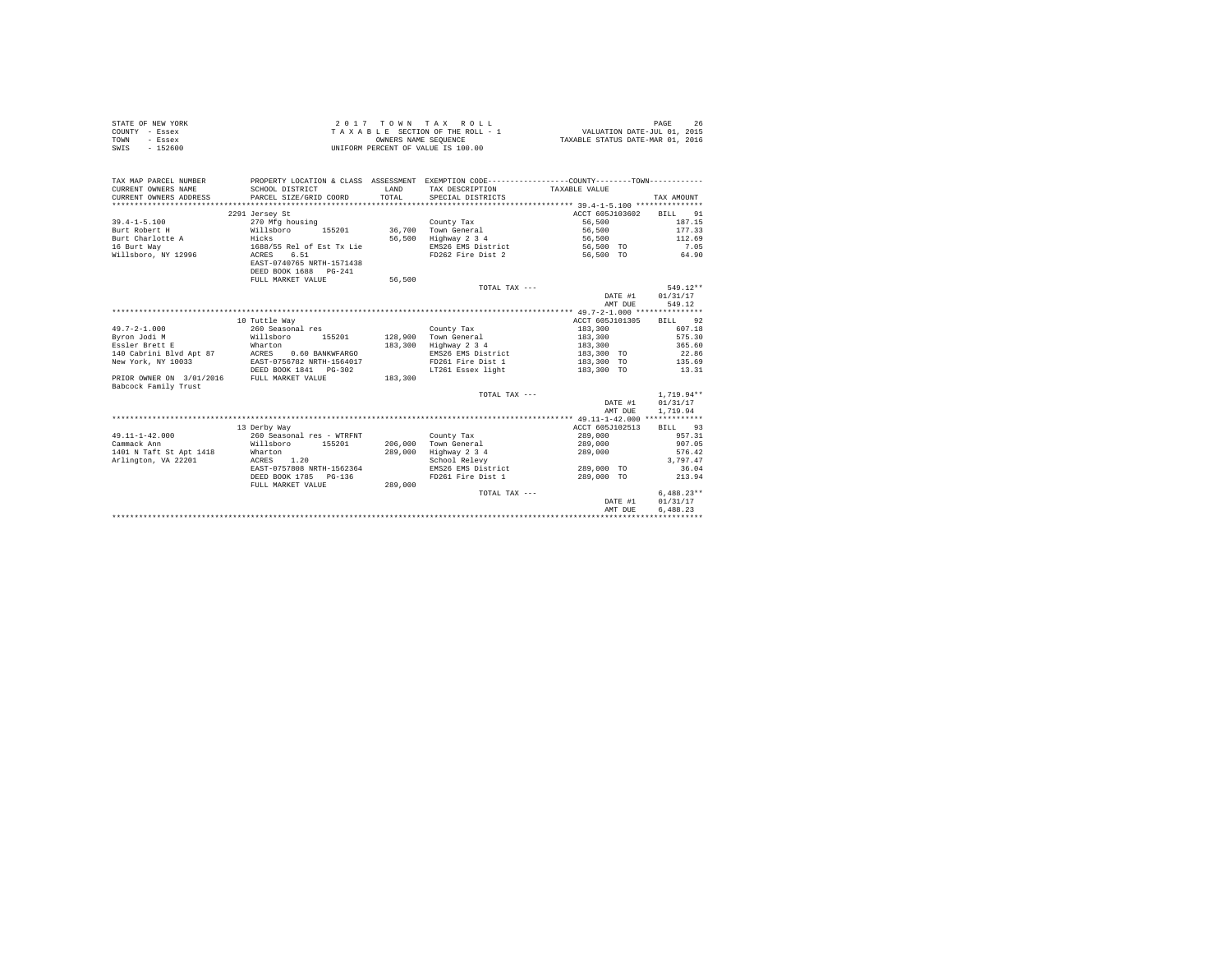| STATE OF NEW YORK | 2017 TOWN TAX ROLL                 | 26<br>PAGE                       |
|-------------------|------------------------------------|----------------------------------|
| COUNTY - Essex    | TAXABLE SECTION OF THE ROLL - 1    | VALUATION DATE-JUL 01, 2015      |
| TOWN<br>- Essex   | OWNERS NAME SEOUENCE               | TAXABLE STATUS DATE-MAR 01, 2016 |
| SWIS<br>$-152600$ | UNIFORM PERCENT OF VALUE IS 100.00 |                                  |

| TAX MAP PARCEL NUMBER<br>CURRENT OWNERS NAME<br>CURRENT OWNERS ADDRESS | SCHOOL DISTRICT<br>PARCEL SIZE/GRID COORD                                | <b>T.AND</b><br>TOTAL | PROPERTY LOCATION & CLASS ASSESSMENT EXEMPTION CODE---------------COUNTY-------TOWN----------<br>TAX DESCRIPTION<br>SPECIAL DISTRICTS | TAXABLE VALUE      | TAX AMOUNT         |
|------------------------------------------------------------------------|--------------------------------------------------------------------------|-----------------------|---------------------------------------------------------------------------------------------------------------------------------------|--------------------|--------------------|
|                                                                        | 2291 Jersey St                                                           |                       |                                                                                                                                       | ACCT 605J103602    | 91<br>BILL         |
| $39.4 - 1 - 5.100$                                                     | 270 Mfg housing                                                          |                       | County Tax                                                                                                                            | 56,500             | 187.15             |
| Burt Robert H                                                          | Willsboro<br>155201                                                      | 36,700                | Town General                                                                                                                          | 56,500             | 177.33             |
|                                                                        |                                                                          |                       |                                                                                                                                       |                    |                    |
| Burt Charlotte A                                                       | Hicks                                                                    | 56,500                | Highway 2 3 4                                                                                                                         | 56,500             | 112.69             |
| 16 Burt Way                                                            | 1688/55 Rel of Est Tx Lie                                                |                       | EMS26 EMS District                                                                                                                    | 56,500 TO          | 7.05               |
| Willsboro, NY 12996                                                    | 6.51<br>ACRES<br>EAST-0740765 NRTH-1571438<br>DEED BOOK 1688<br>$PG-241$ |                       | FD262 Fire Dist 2                                                                                                                     | 56,500 TO          | 64.90              |
|                                                                        | FULL MARKET VALUE                                                        | 56,500                |                                                                                                                                       |                    |                    |
|                                                                        |                                                                          |                       | TOTAL TAX ---                                                                                                                         |                    | 549.12**           |
|                                                                        |                                                                          |                       |                                                                                                                                       | DATE #1<br>AMT DUE | 01/31/17<br>549.12 |
|                                                                        |                                                                          |                       |                                                                                                                                       |                    |                    |
|                                                                        | 10 Tuttle Way                                                            |                       |                                                                                                                                       | ACCT 605J101305    | BILL 92            |
| $49.7 - 2 - 1.000$                                                     | 260 Seasonal res                                                         |                       | County Tax                                                                                                                            | 183,300            | 607.18             |
| Byron Jodi M                                                           | Willsboro<br>155201                                                      | 128,900               | Town General                                                                                                                          | 183,300            | 575.30             |
| Essler Brett E                                                         | Wharton                                                                  | 183,300               | Highway 2 3 4                                                                                                                         | 183,300            | 365.60             |
| 140 Cabrini Blvd Apt 87                                                | ACRES<br>0.60 BANKWFARGO                                                 |                       | EMS26 EMS District                                                                                                                    | 183,300 TO         | 22.86              |
| New York, NY 10033                                                     | EAST-0756782 NRTH-1564017                                                |                       | FD261 Fire Dist 1                                                                                                                     | 183,300 TO         | 135.69             |
|                                                                        | DEED BOOK 1841 PG-302                                                    |                       | LT261 Essex light                                                                                                                     | 183,300 TO         | 13.31              |
| PRIOR OWNER ON 3/01/2016<br>Babcock Family Trust                       | FULL MARKET VALUE                                                        | 183,300               |                                                                                                                                       |                    |                    |
|                                                                        |                                                                          |                       | TOTAL TAX ---                                                                                                                         |                    | $1.719.94**$       |
|                                                                        |                                                                          |                       |                                                                                                                                       | DATE #1            | 01/31/17           |
|                                                                        |                                                                          |                       |                                                                                                                                       | AMT DUE            | 1,719.94           |
|                                                                        |                                                                          |                       |                                                                                                                                       |                    |                    |
|                                                                        | 13 Derby Way                                                             |                       |                                                                                                                                       | ACCT 605J102513    | BILL 93            |
| $49.11 - 1 - 42.000$                                                   | 260 Seasonal res - WTRFNT                                                |                       |                                                                                                                                       | 289,000            | 957.31             |
|                                                                        |                                                                          | 206,000               | County Tax                                                                                                                            |                    | 907.05             |
| Cammack Ann                                                            | Willsboro 155201                                                         |                       | Town General                                                                                                                          | 289,000            |                    |
| 1401 N Taft St Apt 1418                                                | Wharton                                                                  | 289,000               | Highway 2 3 4                                                                                                                         | 289,000            | 576.42             |
| Arlington, VA 22201                                                    | 1.20<br>ACRES                                                            |                       | School Relevy                                                                                                                         |                    | 3.797.47           |
|                                                                        | EAST-0757808 NRTH-1562364                                                |                       | EMS26 EMS District                                                                                                                    | 289,000 TO         | 36.04              |
|                                                                        | DEED BOOK 1785<br>$PG-136$                                               |                       | FD261 Fire Dist 1                                                                                                                     | 289,000 TO         | 213.94             |
|                                                                        | FULL MARKET VALUE                                                        | 289,000               |                                                                                                                                       |                    |                    |
|                                                                        |                                                                          |                       | TOTAL TAX ---                                                                                                                         |                    | $6.488.23**$       |
|                                                                        |                                                                          |                       |                                                                                                                                       | DATE #1            | 01/31/17           |
|                                                                        |                                                                          |                       |                                                                                                                                       | AMT DUE            | 6.488.23           |
|                                                                        |                                                                          |                       |                                                                                                                                       |                    |                    |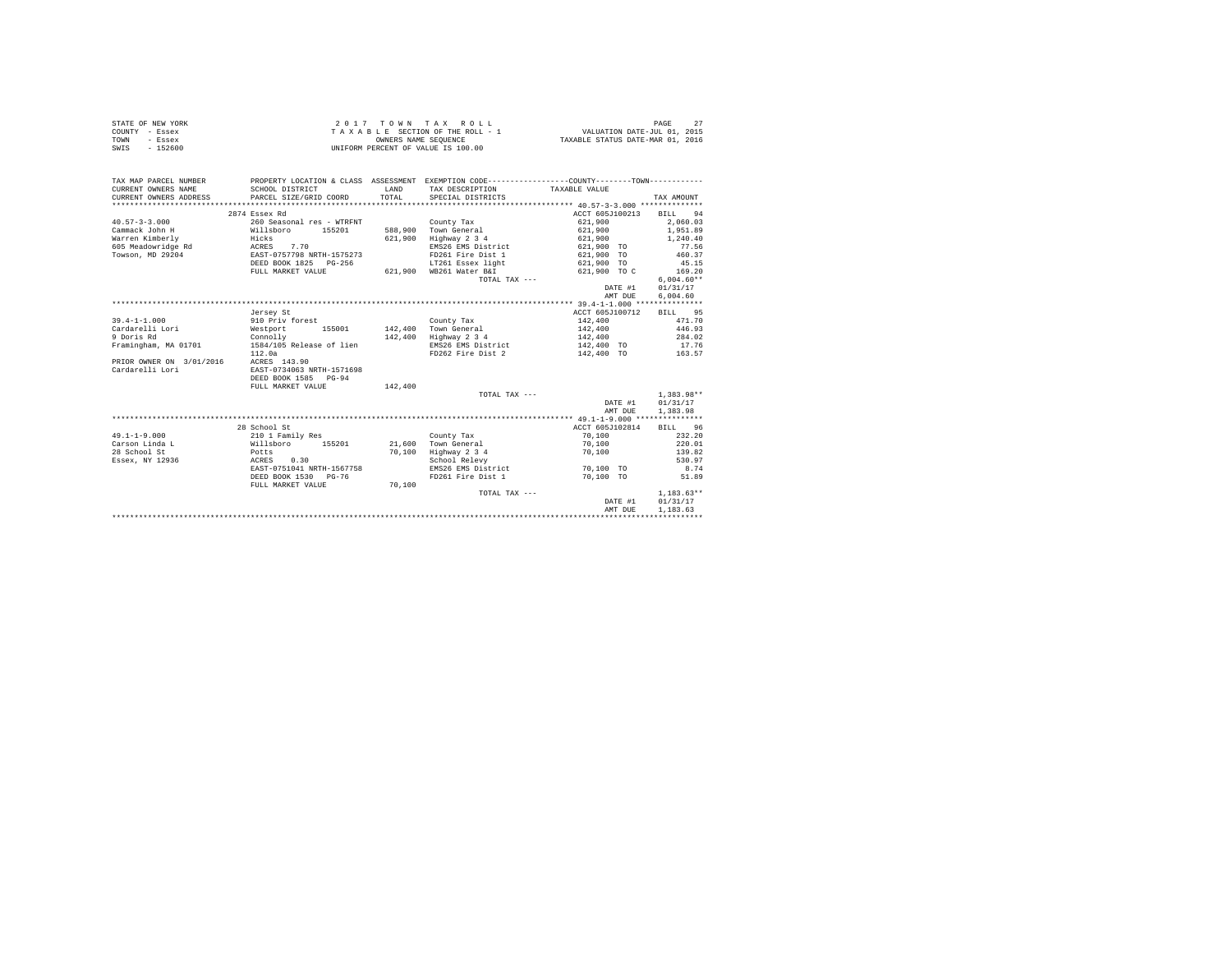| STATE OF NEW YORK | 2017 TOWN TAX ROLL                 | PAGE                             |
|-------------------|------------------------------------|----------------------------------|
| COUNTY - Essex    | TAXABLE SECTION OF THE ROLL - 1    | VALUATION DATE-JUL 01, 2015      |
| TOWN<br>- Essex   | OWNERS NAME SEOUENCE               | TAXABLE STATUS DATE-MAR 01, 2016 |
| SWIS<br>$-152600$ | UNIFORM PERCENT OF VALUE IS 100.00 |                                  |

| TAX MAP PARCEL NUMBER<br>CURRENT OWNERS NAME<br>CURRENT OWNERS ADDRESS | SCHOOL DISTRICT<br>PARCEL SIZE/GRID COORD | LAND<br>TOTAL | PROPERTY LOCATION & CLASS ASSESSMENT EXEMPTION CODE----------------COUNTY--------TOWN----------<br>TAX DESCRIPTION TAXABLE VALUE<br>SPECIAL DISTRICTS |                 | TAX AMOUNT   |
|------------------------------------------------------------------------|-------------------------------------------|---------------|-------------------------------------------------------------------------------------------------------------------------------------------------------|-----------------|--------------|
|                                                                        | 2874 Essex Rd                             |               |                                                                                                                                                       | ACCT 605J100213 | BILL 94      |
| $40.57 - 3 - 3.000$                                                    | 260 Seasonal res - WTRFNT                 |               | County Tax                                                                                                                                            | 621,900         | 2.060.03     |
| Cammack John H                                                         | Willsboro 155201                          |               | 588,900 Town General                                                                                                                                  | 621,900         | 1,951.89     |
| Warren Kimberly                                                        | Hicks                                     | 621,900       | Highway 2 3 4                                                                                                                                         | 621,900         | 1,240.40     |
| 605 Meadowridge Rd ACRES                                               | 7.70                                      |               | EMS26 EMS District                                                                                                                                    | 621,900 TO      | 77.56        |
| Towson, MD 29204                                                       | EAST-0757798 NRTH-1575273                 |               | FD261 Fire Dist 1                                                                                                                                     | 621,900 TO      | 460.37       |
|                                                                        | DEED BOOK 1825 PG-256                     |               | LT261 Essex light                                                                                                                                     | 621,900 TO      | 45.15        |
|                                                                        | FULL MARKET VALUE                         |               | 621,900 WB261 Water B&I                                                                                                                               | 621,900 TO C    | 169.20       |
|                                                                        |                                           |               | TOTAL TAX ---                                                                                                                                         |                 | $6.004.60**$ |
|                                                                        |                                           |               |                                                                                                                                                       | DATE #1         | 01/31/17     |
|                                                                        |                                           |               |                                                                                                                                                       | AMT DUE         | 6.004.60     |
|                                                                        |                                           |               |                                                                                                                                                       |                 |              |
|                                                                        | Jersey St                                 |               |                                                                                                                                                       | ACCT 605J100712 | BILL 95      |
| $39.4 - 1 - 1.000$                                                     | 910 Priv forest                           |               | County Tax                                                                                                                                            | 142,400         | 471.70       |
| Cardarelli Lori                                                        | Westport                                  |               | 155001 142,400 Town General                                                                                                                           | 142,400         | 446.93       |
| 9 Doris Rd                                                             | Connolly                                  |               | 142,400 Highway 2 3 4                                                                                                                                 | 142,400         | 284.02       |
| Framingham, MA 01701                                                   | 1584/105 Release of lien                  |               | EMS26 EMS District                                                                                                                                    | 142,400 TO      | 17.76        |
|                                                                        | 112.0a                                    |               | FD262 Fire Dist 2                                                                                                                                     | 142,400 TO      | 163.57       |
| PRIOR OWNER ON 3/01/2016                                               | ACRES 143.90                              |               |                                                                                                                                                       |                 |              |
| Cardarelli Lori                                                        | EAST-0734063 NRTH-1571698                 |               |                                                                                                                                                       |                 |              |
|                                                                        | DEED BOOK 1585 PG-94                      |               |                                                                                                                                                       |                 |              |
|                                                                        | FULL MARKET VALUE                         | 142,400       |                                                                                                                                                       |                 |              |
|                                                                        |                                           |               | TOTAL TAX ---                                                                                                                                         |                 | $1.383.98**$ |
|                                                                        |                                           |               |                                                                                                                                                       | DATE #1         | 01/31/17     |
|                                                                        |                                           |               |                                                                                                                                                       | AMT DUE         | 1,383.98     |
|                                                                        |                                           |               |                                                                                                                                                       |                 |              |
|                                                                        | 28 School St                              |               |                                                                                                                                                       | ACCT 605J102814 | BILL 96      |
| $49.1 - 1 - 9.000$                                                     | 210 1 Family Res                          |               | County Tax                                                                                                                                            | 70,100          | 232.20       |
| Carson Linda L                                                         | Willsboro<br>155201                       |               | 21,600 Town General                                                                                                                                   | 70,100          | 220.01       |
| 28 School St                                                           | Potts                                     | 70,100        | Highway 2 3 4                                                                                                                                         | 70,100          | 139.82       |
| Essex, NY 12936                                                        | <b>ACRES</b><br>0.30                      |               | School Relevy                                                                                                                                         |                 | 530.97       |
|                                                                        | EAST-0751041 NRTH-1567758                 |               | EMS26 EMS District                                                                                                                                    | 70.100 TO       | 8.74         |
|                                                                        | DEED BOOK 1530 PG-76                      |               | FD261 Fire Dist 1                                                                                                                                     | 70.100 TO       | 51.89        |
|                                                                        | FULL MARKET VALUE                         | 70,100        |                                                                                                                                                       |                 |              |
|                                                                        |                                           |               | TOTAL TAX ---                                                                                                                                         |                 | $1.183.63**$ |
|                                                                        |                                           |               |                                                                                                                                                       | DATE #1         | 01/31/17     |
|                                                                        |                                           |               |                                                                                                                                                       | AMT DUE         | 1,183.63     |
|                                                                        |                                           |               |                                                                                                                                                       |                 |              |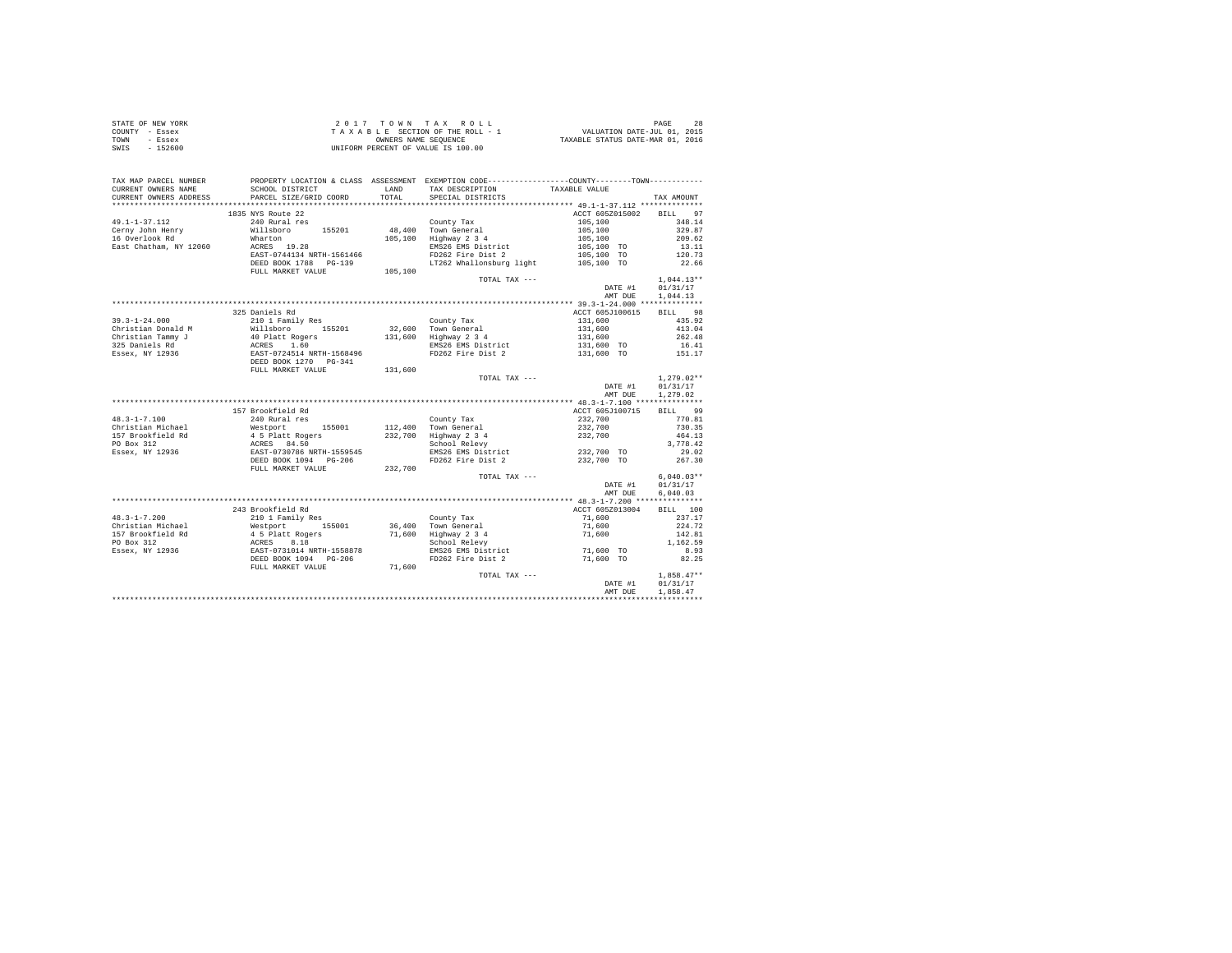|      | STATE OF NEW YORK | 2017 TOWN TAX ROLL                 | PAGE                             |
|------|-------------------|------------------------------------|----------------------------------|
|      | COUNTY - Essex    | TAXABLE SECTION OF THE ROLL - 1    | VALUATION DATE-JUL 01, 2015      |
| TOWN | - Essex           | OWNERS NAME SEOUENCE               | TAXABLE STATUS DATE-MAR 01, 2016 |
| SWIS | - 152600          | UNIFORM PERCENT OF VALUE IS 100.00 |                                  |

| TAX MAP PARCEL NUMBER<br>CURRENT OWNERS NAME | PROPERTY LOCATION & CLASS ASSESSMENT EXEMPTION CODE----------------COUNTY--------TOWN----------<br>SCHOOL DISTRICT                                                                                                                           | LAND    | TAX DESCRIPTION                               | TAXABLE VALUE                                                                |              |
|----------------------------------------------|----------------------------------------------------------------------------------------------------------------------------------------------------------------------------------------------------------------------------------------------|---------|-----------------------------------------------|------------------------------------------------------------------------------|--------------|
| CURRENT OWNERS ADDRESS                       | PARCEL SIZE/GRID COORD                                                                                                                                                                                                                       | TOTAL   | SPECIAL DISTRICTS                             |                                                                              | TAX AMOUNT   |
| **********************                       | ******************************                                                                                                                                                                                                               |         |                                               |                                                                              |              |
|                                              | 1835 NYS Route 22                                                                                                                                                                                                                            |         |                                               | ACCT 605Z015002 BILL 97                                                      |              |
| $49.1 - 1 - 37.112$                          | 240 Rural res                                                                                                                                                                                                                                |         | County Tax                                    | $105,100$<br>$105,100$<br>$105,100$<br>$105,100$ TO                          | 348.14       |
| Cerny John Henry                             | 240 Kurai res<br>Willsboro 155201<br>Wharton                                                                                                                                                                                                 |         | County Tax<br>48,400 Town General             |                                                                              | 329.87       |
| 16 Overlook Rd                               |                                                                                                                                                                                                                                              |         | 105,100 Highway 2 3 4                         |                                                                              | 209.62       |
| East Chatham, NY 12060                       | ACRES 19.28                                                                                                                                                                                                                                  |         | EMS26 EMS District                            |                                                                              | 13.11        |
|                                              | EAST-0744134 NRTH-1561466                                                                                                                                                                                                                    |         | FD262 Fire Dist 2                             | 105,100 TO                                                                   | 120.73       |
|                                              | DEED BOOK 1788 PG-139<br>FULL MARKET VALUE 105,100                                                                                                                                                                                           |         | LT262 Whallonsburg light 105,100 TO 22.66     |                                                                              |              |
|                                              |                                                                                                                                                                                                                                              |         |                                               |                                                                              |              |
|                                              |                                                                                                                                                                                                                                              |         | TOTAL TAX ---                                 |                                                                              | $1,044.13**$ |
|                                              |                                                                                                                                                                                                                                              |         |                                               | DATE #1                                                                      | 01/31/17     |
|                                              |                                                                                                                                                                                                                                              |         |                                               | AMT DUE                                                                      | 1,044.13     |
|                                              |                                                                                                                                                                                                                                              |         |                                               |                                                                              |              |
|                                              | 325 Daniels Rd                                                                                                                                                                                                                               |         |                                               | ACCT 605J100615                                                              | BILL 98      |
|                                              |                                                                                                                                                                                                                                              |         | County Tax                                    |                                                                              | 435.92       |
|                                              |                                                                                                                                                                                                                                              |         | 32,600 Town General                           |                                                                              | 413.04       |
|                                              |                                                                                                                                                                                                                                              |         | 131,600 Highway 2 3 4                         | 131,600<br>131,600<br>131,600                                                | 262.48       |
|                                              |                                                                                                                                                                                                                                              |         | EMS26 EMS District                            | $131,600$ TO                                                                 | 16.41        |
|                                              |                                                                                                                                                                                                                                              |         | FD262 Fire Dist 2 131,600 TO                  |                                                                              | 151.17       |
|                                              | 39.3-1-24.000<br>Christian Donald M (2010 1 Family Res<br>Christian Donald M (40 Platt Rogers<br>235 Daniels Rd (40 Platt Rogers<br>235 Daniels Rd (40 RCRS)<br>236 DESED BOOK 1270 PG-341<br>26 DESED BOOK 1270 PG-341<br>DEDL MRKKET VALUE |         |                                               |                                                                              |              |
|                                              |                                                                                                                                                                                                                                              | 131,600 |                                               |                                                                              |              |
|                                              |                                                                                                                                                                                                                                              |         | TOTAL TAX ---                                 |                                                                              | $1.279.02**$ |
|                                              |                                                                                                                                                                                                                                              |         |                                               | DATE #1                                                                      | 01/31/17     |
|                                              |                                                                                                                                                                                                                                              |         |                                               | AMT DUE                                                                      | 1,279.02     |
|                                              |                                                                                                                                                                                                                                              |         |                                               |                                                                              |              |
|                                              | 157 Brookfield Rd                                                                                                                                                                                                                            |         |                                               | ACCT 605J100715                                                              | BILL 99      |
| $48.3 - 1 - 7.100$                           | 240 Rural res                                                                                                                                                                                                                                |         | County Tax                                    | 232.700 770.81                                                               |              |
|                                              |                                                                                                                                                                                                                                              |         | 112,400 Town General<br>232,700 Highway 2 3 4 | 232,700<br>232,700                                                           | 730.35       |
|                                              | Christian Michael Mestport 155001<br>157 Brookfield Rd 4 5 Platt Rogers<br>16 Branch 12936<br>20 Box 312<br>28 Branch 12936<br>28 Branch 1980 DEED BOOK 1094<br>2017 Pack 1994<br>2017 DEED BOOK 1094<br>2017 Pack 1994<br>2018              |         |                                               |                                                                              | 464.13       |
|                                              |                                                                                                                                                                                                                                              |         | School Relevy                                 |                                                                              | 3,778.42     |
|                                              |                                                                                                                                                                                                                                              |         | EMS26 EMS District 232,700 TO                 |                                                                              | 29.02        |
|                                              |                                                                                                                                                                                                                                              |         | FD262 Fire Dist 2                             | 232,700 TO                                                                   | 267.30       |
|                                              | FULL MARKET VALUE 232,700                                                                                                                                                                                                                    |         |                                               |                                                                              |              |
|                                              |                                                                                                                                                                                                                                              |         | TOTAL TAX ---                                 |                                                                              | $6.040.03**$ |
|                                              |                                                                                                                                                                                                                                              |         |                                               | DATE #1                                                                      | 01/31/17     |
|                                              |                                                                                                                                                                                                                                              |         |                                               | AMT DUE                                                                      | 6,040.03     |
|                                              |                                                                                                                                                                                                                                              |         |                                               |                                                                              |              |
|                                              | 243 Brookfield Rd                                                                                                                                                                                                                            |         |                                               | ACCT 605Z013004                                                              | BILL 100     |
| $48.3 - 1 - 7.200$                           | 210 1 Family Res                                                                                                                                                                                                                             |         | County Tax                                    | 71,600                                                                       | 237.17       |
| Christian Michael                            |                                                                                                                                                                                                                                              |         | 36,400 Town General                           | $71,600$<br>$71,600$                                                         | 224.72       |
| 157 Brookfield Rd                            |                                                                                                                                                                                                                                              |         | 71,600 Highway 2 3 4<br>School Relevy         |                                                                              | 142.81       |
| PO Box 312                                   |                                                                                                                                                                                                                                              |         |                                               |                                                                              | 1,162.59     |
| Essex, NY 12936                              |                                                                                                                                                                                                                                              |         | EMS26 EMS District 71,600 TO                  |                                                                              | 8.93         |
|                                              |                                                                                                                                                                                                                                              |         | FD262 Fire Dist 2                             | 71,600 TO                                                                    | 82.25        |
|                                              | FULL MARKET VALUE                                                                                                                                                                                                                            | 71,600  |                                               |                                                                              |              |
|                                              |                                                                                                                                                                                                                                              |         | TOTAL TAX ---                                 | $\begin{minipage}{.4\linewidth} \textbf{DATE} & \textbf{\#1} \end{minipage}$ | $1,858.47**$ |
|                                              |                                                                                                                                                                                                                                              |         |                                               |                                                                              | 01/31/17     |
|                                              |                                                                                                                                                                                                                                              |         |                                               | AMT DUE                                                                      | 1,858.47     |
|                                              |                                                                                                                                                                                                                                              |         |                                               |                                                                              |              |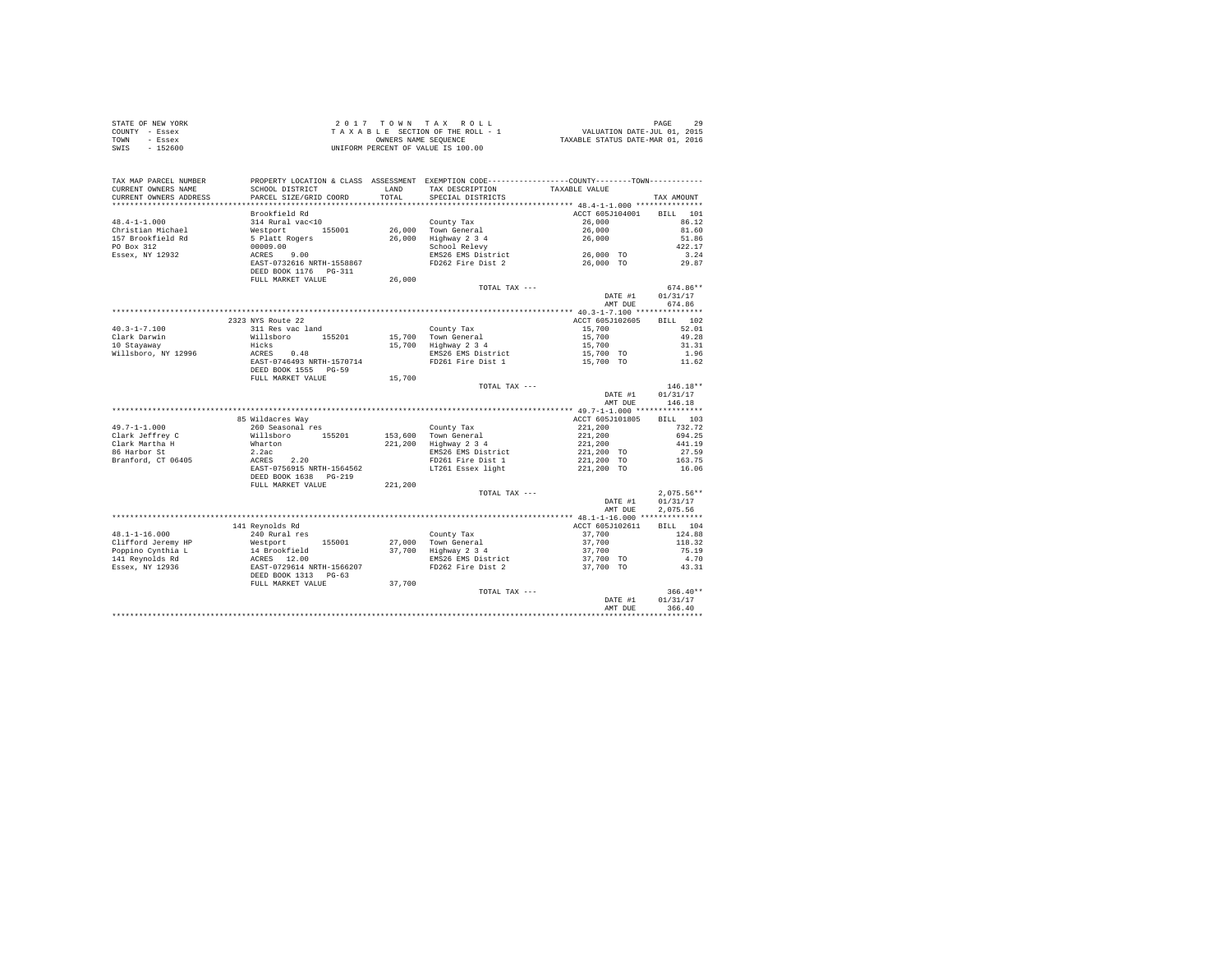|      | STATE OF NEW YORK | 2017 TOWN TAX ROLL                 | PAGE                             |  |
|------|-------------------|------------------------------------|----------------------------------|--|
|      | COUNTY - Essex    | TAXABLE SECTION OF THE ROLL - 1    | VALUATION DATE-JUL 01, 2015      |  |
| TOWN | - Essex           | OWNERS NAME SEOUENCE               | TAXABLE STATUS DATE-MAR 01, 2016 |  |
| SWIS | - 152600          | UNIFORM PERCENT OF VALUE IS 100.00 |                                  |  |

| TAX MAP PARCEL NUMBER                           |                                                                                                              |         | PROPERTY LOCATION & CLASS ASSESSMENT EXEMPTION CODE---------------COUNTY-------TOWN--------- |                                             |                    |
|-------------------------------------------------|--------------------------------------------------------------------------------------------------------------|---------|----------------------------------------------------------------------------------------------|---------------------------------------------|--------------------|
| CURRENT OWNERS NAME                             | SCHOOL DISTRICT                                                                                              | LAND    | TAX DESCRIPTION                                                                              | TAXABLE VALUE                               |                    |
| CURRENT OWNERS ADDRESS<br>********************* | PARCEL SIZE/GRID COORD                                                                                       | TOTAL   | SPECIAL DISTRICTS                                                                            |                                             | TAX AMOUNT         |
|                                                 |                                                                                                              |         |                                                                                              |                                             |                    |
|                                                 | Brookfield Rd                                                                                                |         |                                                                                              | ACCT 605J104001                             | BILL<br>101        |
| $48.4 - 1 - 1.000$                              | 314 Rural vac<10                                                                                             |         | County Tax                                                                                   | 26,000                                      | 86.12              |
| Christian Michael                               |                                                                                                              |         | 26,000 Town General                                                                          | 26,000                                      | 81.60              |
| 157 Brookfield Rd                               |                                                                                                              |         | 26,000 Highway 2 3 4<br>School Relevy<br>EMS26 EMS District 26,000 TO                        |                                             | 51.86              |
| PO Box 312                                      |                                                                                                              |         |                                                                                              |                                             | 422.17             |
| Essex, NY 12932                                 |                                                                                                              |         |                                                                                              |                                             | 3.24               |
|                                                 | 314 Kural Vac<10<br>Westport 155001<br>5 Platt Rogers<br>00009.00<br>ACRES 9.00<br>EAST-0732616 NRTH-1558867 |         | FD262 Fire Dist 2                                                                            | 26,000 TO                                   | 29.87              |
|                                                 | DEED BOOK 1176    PG-311                                                                                     |         |                                                                                              |                                             |                    |
|                                                 | FULL MARKET VALUE                                                                                            | 26,000  |                                                                                              |                                             |                    |
|                                                 |                                                                                                              |         | TOTAL TAX ---                                                                                |                                             | 674.86**           |
|                                                 |                                                                                                              |         |                                                                                              | DATE #1                                     | 01/31/17           |
|                                                 |                                                                                                              |         |                                                                                              | AMT DUE                                     | 674.86             |
|                                                 |                                                                                                              |         |                                                                                              |                                             |                    |
|                                                 | 2323 NYS Route 22                                                                                            |         |                                                                                              | ACCT 605J102605                             | 102<br><b>BILL</b> |
| $40.3 - 1 - 7.100$                              | 311 Res vac land                                                                                             |         | County Tax                                                                                   | 15,700                                      | 52.01              |
| Clark Darwin                                    | Willsboro 155201<br>Hicks                                                                                    |         | 15,700 Town General<br>15,700 Highway 2 3 4                                                  | 15,700<br>15,700                            | 49.28              |
| 10 Stavaway                                     |                                                                                                              |         |                                                                                              |                                             | 31.31              |
| Willsboro, NY 12996                             | -----<br>ACRES 0.48<br>EAST-0746493 NRTH-1570714                                                             |         | EMS26 EMS District                                                                           | 15,700 TO<br>15,700 TO                      | 1.96               |
|                                                 |                                                                                                              |         | FD261 Fire Dist 1                                                                            |                                             | 11.62              |
|                                                 | DEED BOOK 1555 PG-59                                                                                         |         |                                                                                              |                                             |                    |
|                                                 | FULL MARKET VALUE                                                                                            | 15,700  |                                                                                              |                                             |                    |
|                                                 |                                                                                                              |         | TOTAL TAX ---                                                                                |                                             | $146.18**$         |
|                                                 |                                                                                                              |         |                                                                                              | DATE #1                                     | 01/31/17           |
|                                                 |                                                                                                              |         |                                                                                              | AMT DUE                                     | 146.18             |
|                                                 |                                                                                                              |         |                                                                                              |                                             |                    |
|                                                 | 85 Wildacres Way                                                                                             |         |                                                                                              | ACCT 605J101805                             | BILL 103           |
|                                                 |                                                                                                              |         | County Tax                                                                                   |                                             | 732.72             |
|                                                 |                                                                                                              |         | 153,600 Town General                                                                         |                                             | 694.25             |
|                                                 |                                                                                                              |         | 221,200 Highway 2 3 4                                                                        | 221,200<br>221,200<br>221,200<br>221,200 TO | 441.19             |
|                                                 |                                                                                                              |         | EMS26 EMS District                                                                           |                                             | 27.59              |
|                                                 |                                                                                                              |         | FD261 Fire Dist 1                                                                            |                                             | 163.75             |
|                                                 |                                                                                                              |         | LT261 Essex light                                                                            | 221,200 TO<br>221,200 TO                    | 16.06              |
|                                                 | DEED BOOK 1638 PG-219                                                                                        |         |                                                                                              |                                             |                    |
|                                                 | FULL MARKET VALUE                                                                                            | 221,200 |                                                                                              |                                             |                    |
|                                                 |                                                                                                              |         | TOTAL TAX ---                                                                                |                                             | $2,075.56**$       |
|                                                 |                                                                                                              |         |                                                                                              | DATE #1                                     | 01/31/17           |
|                                                 |                                                                                                              |         |                                                                                              | AMT DUE                                     | 2,075.56           |
|                                                 |                                                                                                              |         |                                                                                              |                                             |                    |
|                                                 | 141 Revnolds Rd                                                                                              |         |                                                                                              | ACCT 605J102611                             | BILL 104           |
|                                                 |                                                                                                              |         | County Tax                                                                                   | 37,700                                      | 124.88             |
|                                                 |                                                                                                              |         | 155001 27,000 Town General<br>37,700 Highway 2 3 4<br>$\frac{11}{37}$ Highway 2 3 4          |                                             | 118.32             |
|                                                 |                                                                                                              |         |                                                                                              | 37,700<br>37,700<br>37,700 TO               | 75.19              |
|                                                 |                                                                                                              |         | EMS26 EMS District                                                                           |                                             | 4.70               |
|                                                 |                                                                                                              |         | FD262 Fire Dist 2                                                                            |                                             |                    |
|                                                 |                                                                                                              |         |                                                                                              | 37,700 TO                                   | 43.31              |
|                                                 |                                                                                                              |         |                                                                                              |                                             |                    |
|                                                 | FULL MARKET VALUE                                                                                            | 37,700  |                                                                                              |                                             |                    |
|                                                 |                                                                                                              |         | TOTAL TAX ---                                                                                |                                             | $366.40**$         |
|                                                 |                                                                                                              |         |                                                                                              | DATE #1                                     | 01/31/17           |
|                                                 |                                                                                                              |         |                                                                                              | AMT DUE                                     | 366.40             |
|                                                 |                                                                                                              |         |                                                                                              |                                             |                    |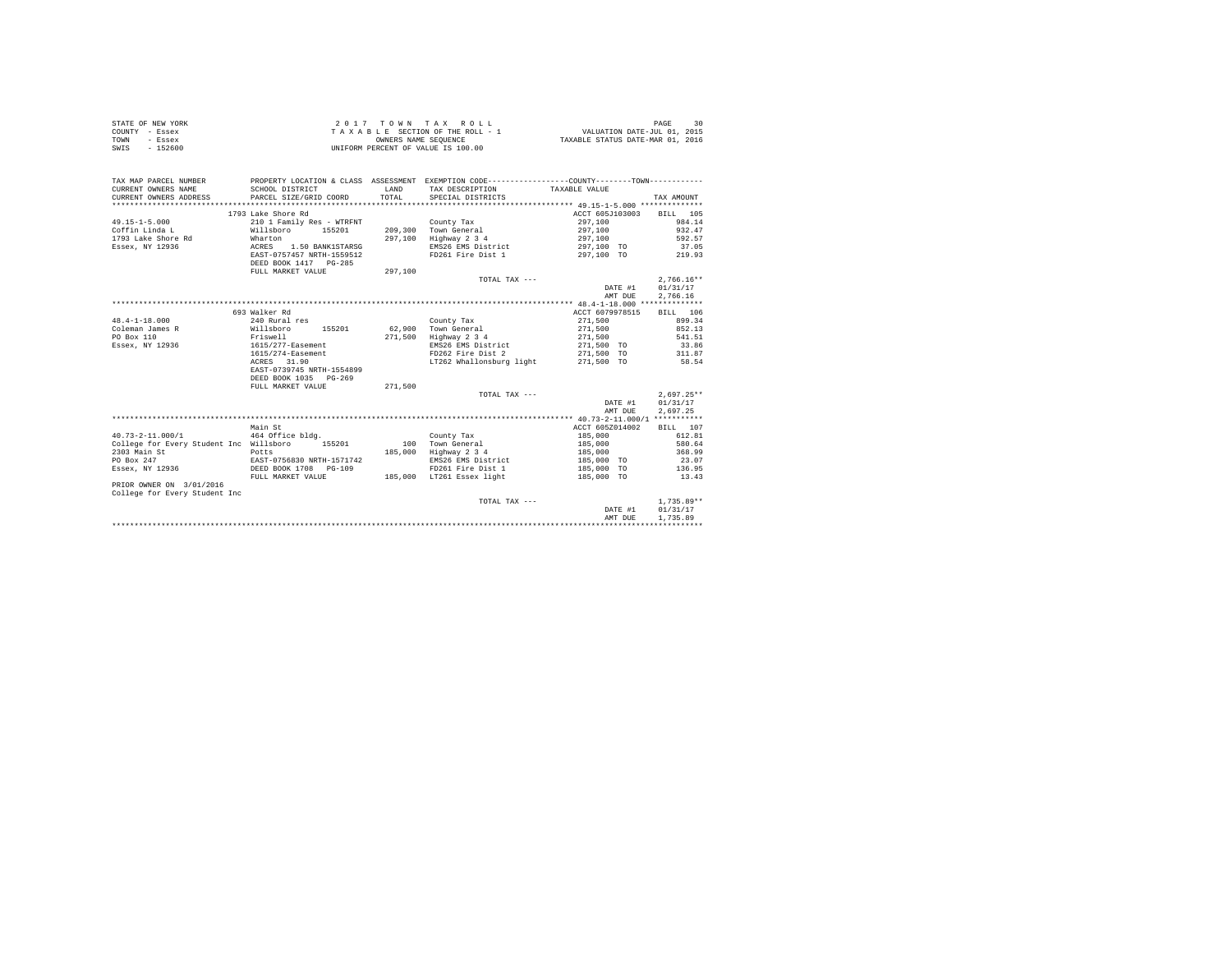| STATE OF NEW YORK | 2017 TOWN TAX ROLL                 | 30<br>PAGE                       |
|-------------------|------------------------------------|----------------------------------|
| COUNTY - Essex    | TAXABLE SECTION OF THE ROLL - 1    | VALUATION DATE-JUL 01, 2015      |
| TOWN<br>- Essex   | OWNERS NAME SEOUENCE               | TAXABLE STATUS DATE-MAR 01, 2016 |
| $-152600$<br>SWIS | UNIFORM PERCENT OF VALUE IS 100.00 |                                  |

| TAX MAP PARCEL NUMBER<br>CURRENT OWNERS NAME<br>CURRENT OWNERS ADDRESS | SCHOOL DISTRICT<br>PARCEL SIZE/GRID COORD          | LAND<br>TOTAL. | PROPERTY LOCATION & CLASS ASSESSMENT EXEMPTION CODE----------------COUNTY--------TOWN----------<br>TAX DESCRIPTION TAXABLE VALUE<br>SPECIAL DISTRICTS |                 | TAX AMOUNT   |
|------------------------------------------------------------------------|----------------------------------------------------|----------------|-------------------------------------------------------------------------------------------------------------------------------------------------------|-----------------|--------------|
|                                                                        | 1793 Lake Shore Rd                                 |                |                                                                                                                                                       | ACCT 605J103003 | BILL 105     |
| $49.15 - 1 - 5.000$                                                    | 210 1 Family Res - WTRFNT                          |                | County Tax                                                                                                                                            | 297,100         | 984.14       |
| Coffin Linda L                                                         | Willsboro 155201                                   |                | 209,300 Town General                                                                                                                                  | 297.100         | 932.47       |
| 1793 Lake Shore Rd<br>Wharton                                          |                                                    | 297.100        | Highway 2 3 4                                                                                                                                         | 297,100         | 592.57       |
| Essex, NY 12936                                                        | ACRES<br>1.50 BANK1STARSG                          |                | EMS26 EMS District                                                                                                                                    | 297,100 TO      | 37.05        |
|                                                                        | EAST-0757457 NRTH-1559512                          |                | FD261 Fire Dist 1                                                                                                                                     | 297,100 TO      | 219.93       |
|                                                                        | DEED BOOK 1417 PG-285                              |                |                                                                                                                                                       |                 |              |
|                                                                        | FULL MARKET VALUE                                  | 297,100        |                                                                                                                                                       |                 |              |
|                                                                        |                                                    |                | TOTAL TAX ---                                                                                                                                         |                 | $2.766.16**$ |
|                                                                        |                                                    |                |                                                                                                                                                       | DATE #1         | 01/31/17     |
|                                                                        |                                                    |                |                                                                                                                                                       | AMT DUE         | 2.766.16     |
|                                                                        |                                                    |                |                                                                                                                                                       |                 |              |
|                                                                        | 693 Walker Rd                                      |                |                                                                                                                                                       | ACCT 6079978515 | BILL 106     |
| $48.4 - 1 - 18.000$                                                    | 240 Rural res                                      |                | County Tax                                                                                                                                            | 271,500         | 899.34       |
| Coleman James R                                                        | 155201 62,900<br>Willsboro                         |                | Town General                                                                                                                                          | 271,500         | 852.13       |
| PO Box 110                                                             | Friswell                                           | 271,500        | Highway 2 3 4                                                                                                                                         | 271,500         | 541.51       |
| Essex, NY 12936                                                        | 1615/277-Easement                                  |                | EMS26 EMS District                                                                                                                                    | 271,500 TO      | 33.86        |
|                                                                        | 1615/274-Easement                                  |                | FD262 Fire Dist 2                                                                                                                                     | $271,500$ TO    | 311.87       |
|                                                                        | ACRES 31.90                                        |                | LT262 Whallonsburg light $271.500$ TO 58.54                                                                                                           |                 |              |
|                                                                        | EAST-0739745 NRTH-1554899                          |                |                                                                                                                                                       |                 |              |
|                                                                        | DEED BOOK 1035 PG-269                              |                |                                                                                                                                                       |                 |              |
|                                                                        | FULL MARKET VALUE                                  | 271.500        |                                                                                                                                                       |                 |              |
|                                                                        |                                                    |                | TOTAL TAX ---                                                                                                                                         |                 | $2.697.25**$ |
|                                                                        |                                                    |                |                                                                                                                                                       | DATE #1         | 01/31/17     |
|                                                                        |                                                    |                |                                                                                                                                                       | AMT DUE         | 2.697.25     |
|                                                                        |                                                    |                |                                                                                                                                                       |                 |              |
|                                                                        | Main St                                            |                |                                                                                                                                                       | ACCT 605Z014002 | BTLL 107     |
| $40.73 - 2 - 11.000 / 1$                                               | 464 Office bldg.                                   |                | County Tax                                                                                                                                            | 185,000         | 612.81       |
| College for Every Student Inc Willsboro                                | 155201                                             |                | 100 Town General                                                                                                                                      | 185,000         | 580.64       |
| 2303 Main St                                                           | Potts                                              | 185,000        | Highway 2 3 4                                                                                                                                         | 185,000         | 368.99       |
| PO Box 247                                                             |                                                    |                | EMS26 EMS District                                                                                                                                    | 185,000 TO      | 23.07        |
| Essex, NY 12936                                                        | EAST-0756830 NRTH-1571742<br>DEED BOOK 1708 PG-109 |                | FD261 Fire Dist 1                                                                                                                                     | 185,000 TO      | 136.95       |
|                                                                        | FULL MARKET VALUE                                  |                | 185.000 LT261 Essex light                                                                                                                             | 185,000 TO      | 13.43        |
| PRIOR OWNER ON 3/01/2016                                               |                                                    |                |                                                                                                                                                       |                 |              |
| College for Every Student Inc                                          |                                                    |                |                                                                                                                                                       |                 |              |
|                                                                        |                                                    |                | TOTAL TAX ---                                                                                                                                         |                 | $1.735.89**$ |
|                                                                        |                                                    |                |                                                                                                                                                       | DATE #1         | 01/31/17     |
|                                                                        |                                                    |                |                                                                                                                                                       | AMT DUE         | 1,735.89     |
|                                                                        |                                                    |                |                                                                                                                                                       |                 |              |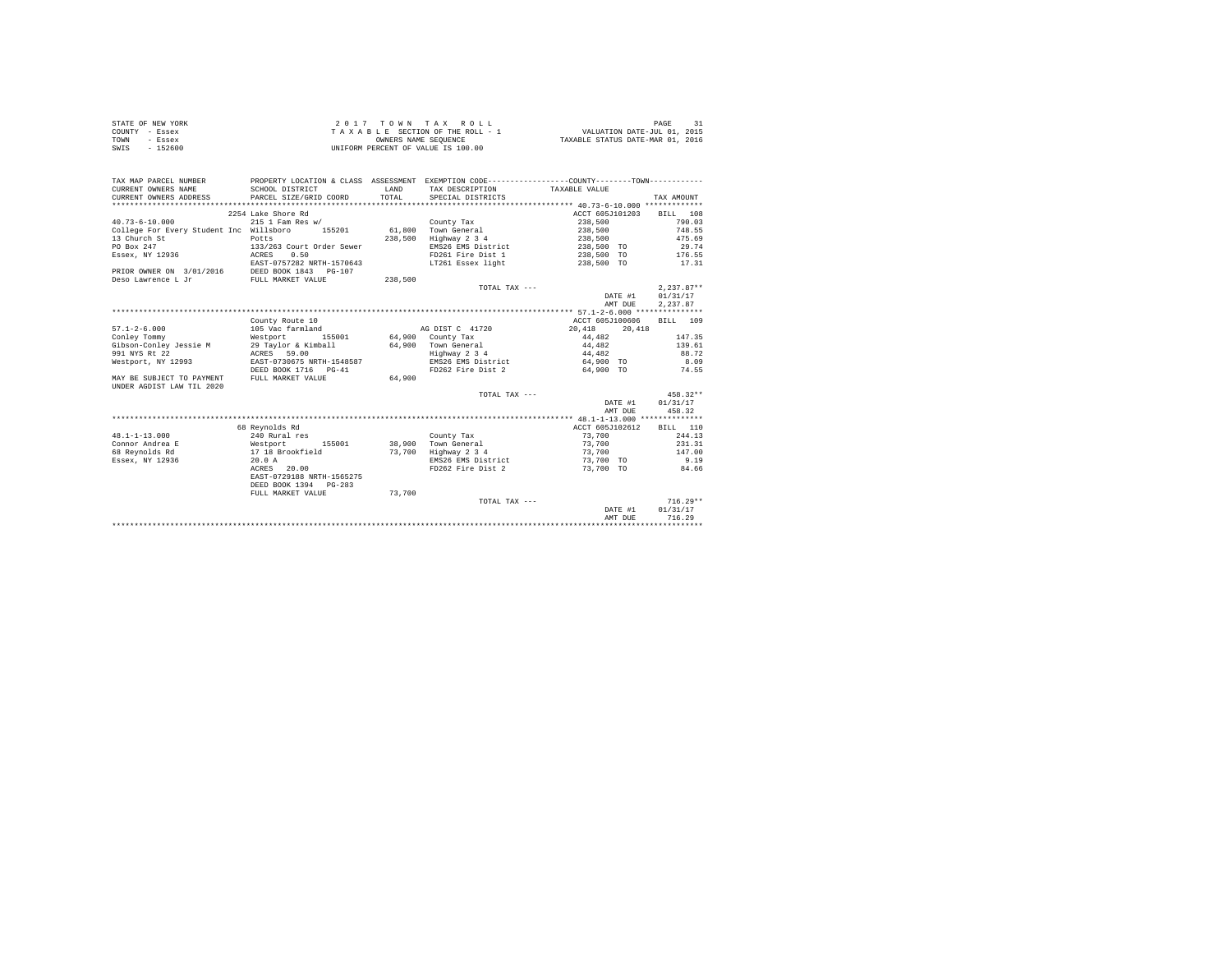|                | STATE OF NEW YORK | 2017 TOWN TAX ROLL                 | PAGE                             |
|----------------|-------------------|------------------------------------|----------------------------------|
| COUNTY - Essex |                   | TAXABLE SECTION OF THE ROLL - 1    | VALUATION DATE-JUL 01, 2015      |
| TOWN           | - Essex           | OWNERS NAME SEOUENCE               | TAXABLE STATUS DATE-MAR 01, 2016 |
| SWIS           | - 152600          | UNIFORM PERCENT OF VALUE IS 100.00 |                                  |

| TAX MAP PARCEL NUMBER<br>CURRENT OWNERS NAME<br>CURRENT OWNERS ADDRESS | SCHOOL DISTRICT<br>PARCEL SIZE/GRID COORD  | LAND<br>TOTAL. | PROPERTY LOCATION & CLASS ASSESSMENT EXEMPTION CODE---------------COUNTY-------TOWN----------<br>TAX DESCRIPTION<br>SPECIAL DISTRICTS | TAXABLE VALUE    | TAX AMOUNT   |
|------------------------------------------------------------------------|--------------------------------------------|----------------|---------------------------------------------------------------------------------------------------------------------------------------|------------------|--------------|
|                                                                        | 2254 Lake Shore Rd                         |                |                                                                                                                                       | ACCT 605J101203  | BILL 108     |
| $40.73 - 6 - 10.000$                                                   | $215$ 1 Fam Res w/                         |                | County Tax                                                                                                                            | 238,500          | 790.03       |
| College For Every Student Inc Willsboro                                | 155201                                     | 61,800         | Town General                                                                                                                          | 238,500          | 748.55       |
| 13 Church St                                                           | Potts                                      | 238,500        | Highway 2 3 4                                                                                                                         | 238,500          | 475.69       |
| PO Box 247                                                             |                                            |                | EMS26 EMS District                                                                                                                    | 238,500 TO       | 29.74        |
|                                                                        | 133/263 Court Order Sewer                  |                | FD261 Fire Dist 1                                                                                                                     |                  | 176.55       |
| Essex, NY 12936                                                        | 0.50<br>ACRES<br>EAST-0757282 NRTH-1570643 |                |                                                                                                                                       | 238,500 TO       |              |
|                                                                        |                                            |                | LT261 Essex light                                                                                                                     | 238,500 TO       | 17.31        |
| PRIOR OWNER ON 3/01/2016 DEED BOOK 1843 PG-107                         |                                            |                |                                                                                                                                       |                  |              |
| Deso Lawrence L Jr                                                     | FULL MARKET VALUE                          | 238,500        |                                                                                                                                       |                  |              |
|                                                                        |                                            |                | TOTAL TAX ---                                                                                                                         |                  | $2.237.87**$ |
|                                                                        |                                            |                |                                                                                                                                       | DATE #1          | 01/31/17     |
|                                                                        |                                            |                |                                                                                                                                       | AMT DUE          | 2,237.87     |
|                                                                        |                                            |                |                                                                                                                                       |                  |              |
|                                                                        | County Route 10                            |                |                                                                                                                                       | ACCT 605J100606  | BILL 109     |
| $57.1 - 2 - 6.000$                                                     | 105 Vac farmland                           |                | AG DIST C 41720                                                                                                                       | 20,418<br>20,418 |              |
| Conley Tommy                                                           | Westport<br>155001                         |                | 64,900 County Tax                                                                                                                     | 44.482           | 147.35       |
| Gibson-Conlev Jessie M                                                 | 29 Taylor & Kimball                        |                | 64,900 Town General<br>Highway 2 3 4                                                                                                  | 44,482           | 139.61       |
| 991 NYS Rt 22                                                          | ACRES 59.00                                |                |                                                                                                                                       | 44,482           | 88.72        |
| Westport, NY 12993                                                     | EAST-0730675 NRTH-1548587                  |                | EMS26 EMS District                                                                                                                    | 64,900 TO        | 8.09         |
|                                                                        | DEED BOOK 1716<br>$PG-41$                  |                | FD262 Fire Dist 2                                                                                                                     | 64,900 TO        | 74.55        |
| MAY BE SUBJECT TO PAYMENT                                              | FULL MARKET VALUE                          | 64,900         |                                                                                                                                       |                  |              |
| UNDER AGDIST LAW TIL 2020                                              |                                            |                |                                                                                                                                       |                  |              |
|                                                                        |                                            |                | TOTAL TAX ---                                                                                                                         |                  | $458.32**$   |
|                                                                        |                                            |                |                                                                                                                                       | DATE #1          | 01/31/17     |
|                                                                        |                                            |                |                                                                                                                                       | AMT DUE          | 458.32       |
|                                                                        |                                            |                |                                                                                                                                       |                  |              |
|                                                                        | 68 Revnolds Rd                             |                |                                                                                                                                       | ACCT 605J102612  | RTLL 110     |
| $48.1 - 1 - 13.000$                                                    | 240 Rural res                              |                | County Tax                                                                                                                            | 73,700           | 244.13       |
| Connor Andrea E                                                        | 155001<br>Westport                         | 38,900         | Town General                                                                                                                          | 73,700           | 231.31       |
| 68 Revnolds Rd                                                         | 17 18 Brookfield                           | 73,700         | Highway 2 3 4                                                                                                                         | 73,700           | 147.00       |
| Essex, NY 12936                                                        | 20.0 A                                     |                | EMS26 EMS District                                                                                                                    | 73,700 TO        | 9.19         |
|                                                                        | ACRES 20.00                                |                | FD262 Fire Dist 2                                                                                                                     | 73,700 TO        | 84.66        |
|                                                                        | EAST-0729188 NRTH-1565275                  |                |                                                                                                                                       |                  |              |
|                                                                        | DEED BOOK 1394<br>$PG-283$                 |                |                                                                                                                                       |                  |              |
|                                                                        | FULL MARKET VALUE                          | 73,700         |                                                                                                                                       |                  |              |
|                                                                        |                                            |                | TOTAL TAX ---                                                                                                                         |                  | $716.29**$   |
|                                                                        |                                            |                |                                                                                                                                       | DATE #1          | 01/31/17     |
|                                                                        |                                            |                |                                                                                                                                       | AMT DUE          | 716.29       |
|                                                                        |                                            |                |                                                                                                                                       |                  |              |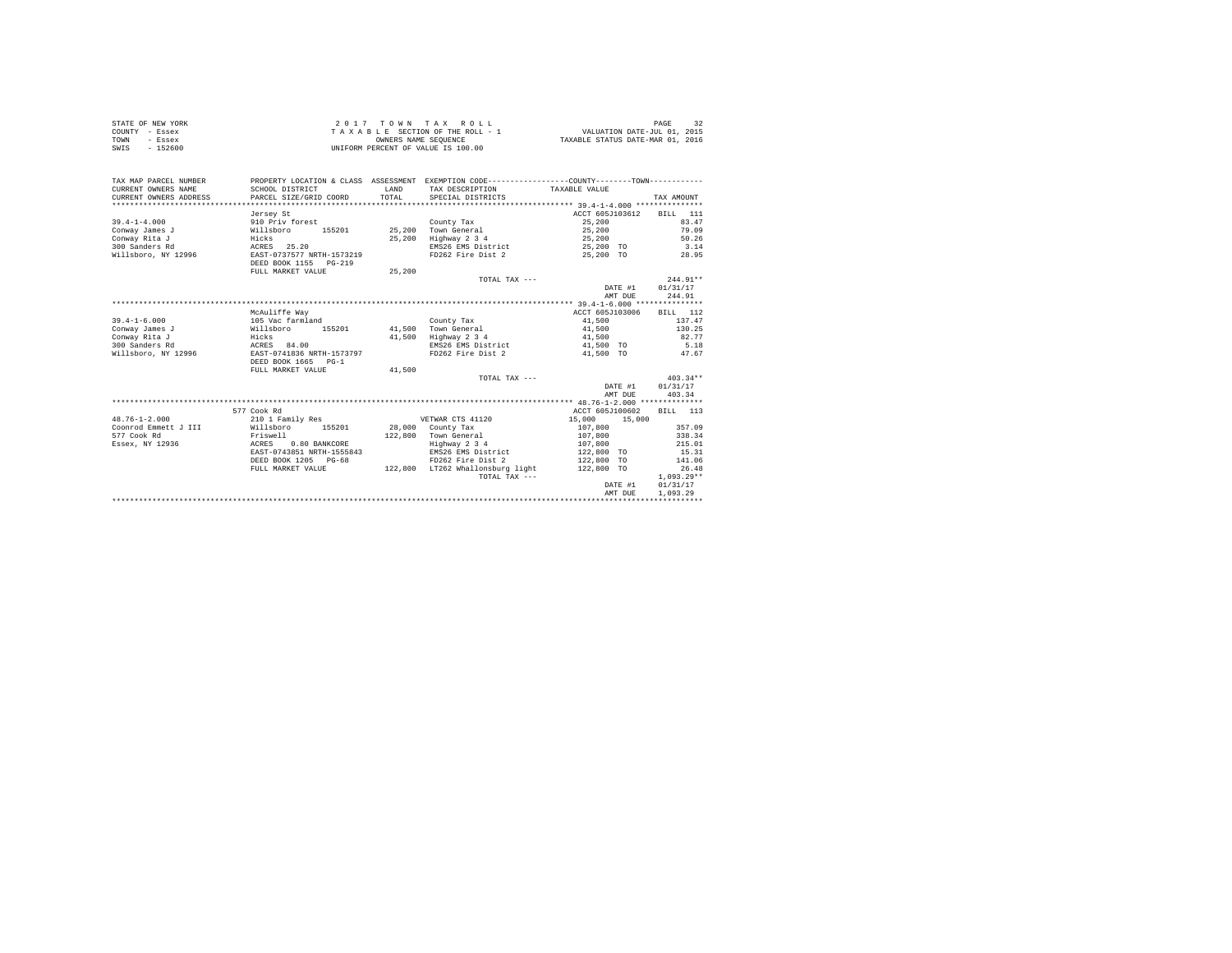|                | STATE OF NEW YORK | 2017 TOWN TAX ROLL                 | PAGE                             |
|----------------|-------------------|------------------------------------|----------------------------------|
| COUNTY - Essex |                   | TAXABLE SECTION OF THE ROLL - 1    | VALUATION DATE-JUL 01, 2015      |
| TOWN           | - Essex           | OWNERS NAME SEOUENCE               | TAXABLE STATUS DATE-MAR 01, 2016 |
| SWIS           | $-152600$         | UNIFORM PERCENT OF VALUE IS 100.00 |                                  |

| TAX MAP PARCEL NUMBER<br>CURRENT OWNERS NAME<br>CURRENT OWNERS ADDRESS<br>***************** | SCHOOL DISTRICT<br>PARCEL SIZE/GRID COORD | LAND<br>TOTAL | PROPERTY LOCATION & CLASS ASSESSMENT EXEMPTION CODE----------------COUNTY-------TOWN----------<br>TAX DESCRIPTION TAXABLE VALUE<br>SPECIAL DISTRICTS |                  | TAX AMOUNT       |
|---------------------------------------------------------------------------------------------|-------------------------------------------|---------------|------------------------------------------------------------------------------------------------------------------------------------------------------|------------------|------------------|
|                                                                                             | Jersey St                                 |               |                                                                                                                                                      | ACCT 605J103612  | BILL 111         |
| $39.4 - 1 - 4.000$                                                                          | 910 Priv forest                           |               | County Tax                                                                                                                                           | 25,200           | 83.47            |
| Conway James J                                                                              | 155201<br>Willsboro                       | 25,200        | Town General                                                                                                                                         | 25,200           | 79.09            |
| Conway Rita J                                                                               | Hicks                                     | 25,200        | Highway 2 3 4                                                                                                                                        | 25,200           | 50.26            |
| 300 Sanders Rd                                                                              | ACRES 25.20                               |               | EMS26 EMS District                                                                                                                                   | 25,200 TO        | 3.14             |
| Willsboro, NY 12996                                                                         | EAST-0737577 NRTH-1573219                 |               | FD262 Fire Dist 2 25.200 TO                                                                                                                          |                  | 28.95            |
|                                                                                             | DEED BOOK 1155 PG-219                     |               |                                                                                                                                                      |                  |                  |
|                                                                                             | FULL MARKET VALUE                         | 25,200        |                                                                                                                                                      |                  |                  |
|                                                                                             |                                           |               | TOTAL TAX ---                                                                                                                                        |                  | $244.91**$       |
|                                                                                             |                                           |               |                                                                                                                                                      |                  | DATE #1 01/31/17 |
|                                                                                             |                                           |               |                                                                                                                                                      | AMT DUE          | 244.91           |
|                                                                                             |                                           |               |                                                                                                                                                      |                  |                  |
|                                                                                             | McAuliffe Way                             |               |                                                                                                                                                      | ACCT 605J103006  | <b>BILL</b> 112  |
| $39.4 - 1 - 6.000$                                                                          | 105 Vac farmland                          |               | County Tax                                                                                                                                           | 41,500           | 137.47           |
| Conway James J                                                                              | Willsboro<br>155201                       |               | 41.500 Town General                                                                                                                                  | 41,500           | 130.25           |
| Conway Rita J                                                                               | Hicks                                     |               | 41.500 Highway 2 3 4                                                                                                                                 | 41,500           | 82.77            |
| 300 Sanders Rd                                                                              | ACRES 84.00                               |               | EMS26 EMS District                                                                                                                                   | 41,500 TO        | 5.18             |
| Willsboro, NY 12996                                                                         | EAST-0741836 NRTH-1573797                 |               | FD262 Fire Dist 2                                                                                                                                    | 41,500 TO        | 47.67            |
|                                                                                             | DEED BOOK 1665 PG-1                       |               |                                                                                                                                                      |                  |                  |
|                                                                                             | FULL MARKET VALUE                         | 41,500        |                                                                                                                                                      |                  |                  |
|                                                                                             |                                           |               | TOTAL TAX ---                                                                                                                                        |                  | $403.34**$       |
|                                                                                             |                                           |               |                                                                                                                                                      | DATE #1          | 01/31/17         |
|                                                                                             |                                           |               |                                                                                                                                                      | AMT DUE          | 403.34           |
|                                                                                             |                                           |               |                                                                                                                                                      |                  |                  |
|                                                                                             | 577 Cook Rd                               |               |                                                                                                                                                      | ACCT 605J100602  | BILL 113         |
| $48.76 - 1 - 2.000$                                                                         | 210 1 Family Res                          |               | VETWAR CTS 41120                                                                                                                                     | 15,000<br>15,000 |                  |
| Coonrod Emmett J III                                                                        | Willsboro<br>155201                       |               | 28,000 County Tax                                                                                                                                    | 107,800          | 357.09           |
| 577 Cook Rd                                                                                 | Friswell                                  | 122,800       | Town General                                                                                                                                         | 107,800          | 338.34           |
| Essex, NY 12936                                                                             | 0.80 BANKCORE<br>ACRES                    |               | Highway 2 3 4                                                                                                                                        | 107,800          | 215.01           |
|                                                                                             | EAST-0743851 NRTH-1555843                 |               | EMS26 EMS District                                                                                                                                   | 122,800 TO       | 15.31            |
|                                                                                             | DEED BOOK 1205 PG-68                      |               | FD262 Fire Dist 2                                                                                                                                    | 122,800 TO       | 141.06           |
|                                                                                             | FULL MARKET VALUE                         |               | 122,800 LT262 Whallonsburg light 122,800 TO                                                                                                          |                  | 26.48            |
|                                                                                             |                                           |               | TOTAL TAX ---                                                                                                                                        |                  | $1.093.29**$     |
|                                                                                             |                                           |               |                                                                                                                                                      | DATE #1          | 01/31/17         |
|                                                                                             |                                           |               |                                                                                                                                                      | AMT DUE          | 1,093.29         |
|                                                                                             |                                           |               |                                                                                                                                                      |                  |                  |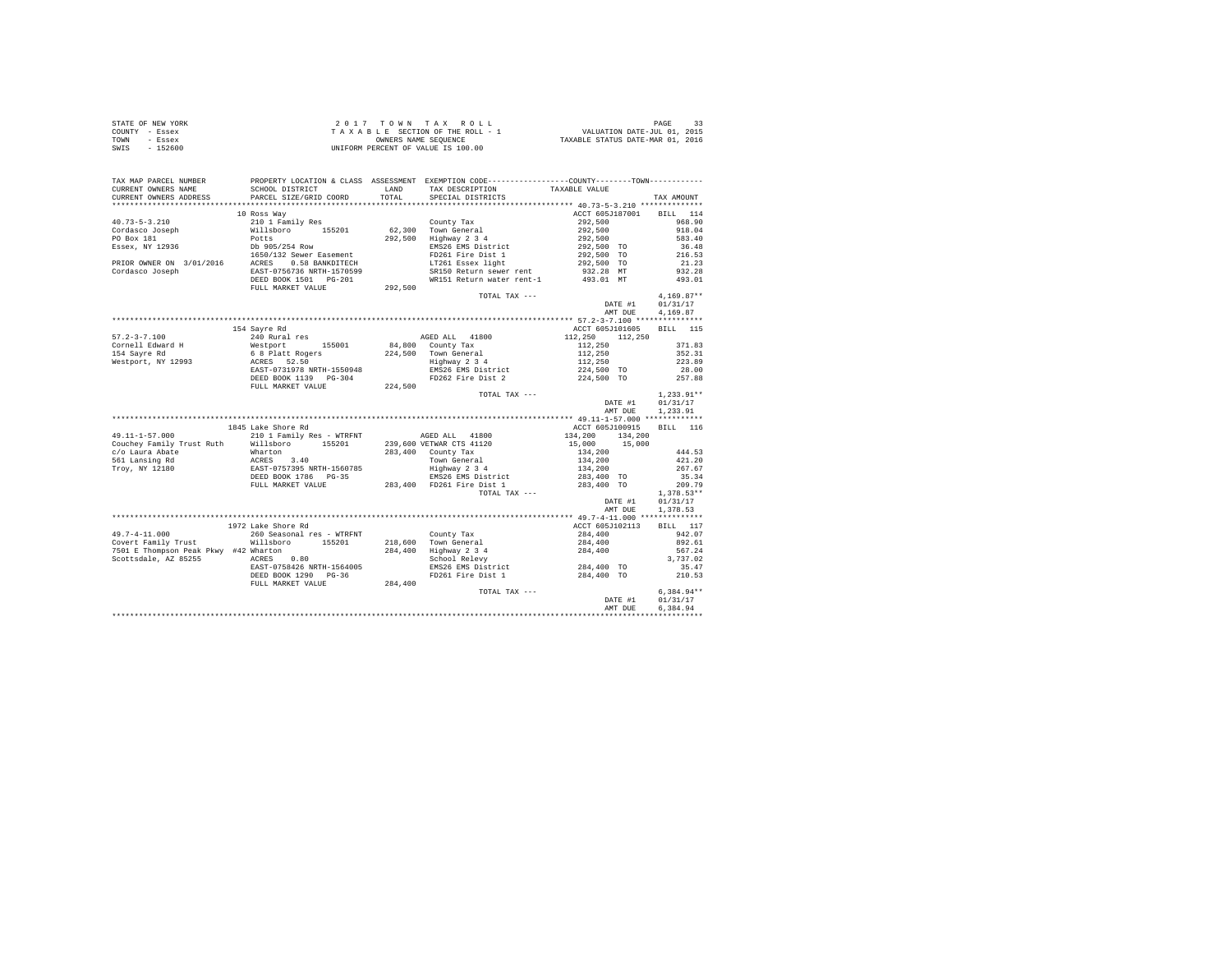| STATE OF NEW YORK | $2.017$ TOWN TAX ROLL              | PAGE                             |
|-------------------|------------------------------------|----------------------------------|
| COUNTY - Essex    | TAXABLE SECTION OF THE ROLL - 1    | VALUATION DATE-JUL 01, 2015      |
| TOWN<br>- Essex   | OWNERS NAME SEOUENCE               | TAXABLE STATUS DATE-MAR 01, 2016 |
| $-152600$<br>SWIS | UNIFORM PERCENT OF VALUE IS 100.00 |                                  |

| TAX MAP PARCEL NUMBER                 |                                                                                                                                                                                                                                                                                                                                                                                                |         | PROPERTY LOCATION & CLASS ASSESSMENT EXEMPTION CODE---------------COUNTY-------TOWN---------                            |                                                                                                                                                                |              |
|---------------------------------------|------------------------------------------------------------------------------------------------------------------------------------------------------------------------------------------------------------------------------------------------------------------------------------------------------------------------------------------------------------------------------------------------|---------|-------------------------------------------------------------------------------------------------------------------------|----------------------------------------------------------------------------------------------------------------------------------------------------------------|--------------|
| CURRENT OWNERS NAME                   | SCHOOL DISTRICT<br>CURRENT OWNERS ADDRESS PARCEL SIZE/GRID COORD                                                                                                                                                                                                                                                                                                                               |         | LAND TAX DESCRIPTION<br>TOTAL SPECIAL DISTRICTS                                                                         | TAXABLE VALUE                                                                                                                                                  |              |
|                                       |                                                                                                                                                                                                                                                                                                                                                                                                |         |                                                                                                                         |                                                                                                                                                                | TAX AMOUNT   |
|                                       |                                                                                                                                                                                                                                                                                                                                                                                                |         |                                                                                                                         |                                                                                                                                                                |              |
|                                       | 10 Ross Way                                                                                                                                                                                                                                                                                                                                                                                    |         |                                                                                                                         | ACCT 605J187001 BILL 114                                                                                                                                       |              |
|                                       | $\begin{tabular}{l c c c c} \multicolumn{1}{c}{\textbf{40.73--5-3.210}} & \multicolumn{1}{c}{\textbf{40.73--5-3.210}} & \multicolumn{1}{c}{\textbf{40.73--8}~\textbf{~}~\textbf{40.73--8}} & \multicolumn{1}{c}{\textbf{40.73--8}} & \multicolumn{1}{c}{\textbf{40.73--8}} & \multicolumn{1}{c}{\textbf{40.73--8}} & \multicolumn{1}{c}{\textbf{40.73--8}} & \multicolumn{1}{c}{\textbf{40.73$ |         | County Tax                                                                                                              | 292,500                                                                                                                                                        | 968.90       |
|                                       |                                                                                                                                                                                                                                                                                                                                                                                                |         | 62,300 Town General<br>292,500 Highway 2 3 4                                                                            | 292,500<br>292,500                                                                                                                                             | 918.04       |
|                                       |                                                                                                                                                                                                                                                                                                                                                                                                |         |                                                                                                                         |                                                                                                                                                                | 583.40       |
|                                       |                                                                                                                                                                                                                                                                                                                                                                                                |         | EMS26 EMS District                                                                                                      | 292,500 TO                                                                                                                                                     | 36.48        |
|                                       |                                                                                                                                                                                                                                                                                                                                                                                                |         | FD261 Fire Dist 1<br>LT261 Essex light                                                                                  | 292,500 TO                                                                                                                                                     | 216.53       |
|                                       |                                                                                                                                                                                                                                                                                                                                                                                                |         |                                                                                                                         | 292,500 TO                                                                                                                                                     | 21.23        |
|                                       |                                                                                                                                                                                                                                                                                                                                                                                                |         | SRI50 Return sewer rent 1932.28 MT 1232.28<br>RRI50 Return sewer rent 1932.28 MT 932.28                                 |                                                                                                                                                                |              |
|                                       | DEED BOOK 1501    PG-201                                                                                                                                                                                                                                                                                                                                                                       |         |                                                                                                                         |                                                                                                                                                                |              |
|                                       | FULL MARKET VALUE                                                                                                                                                                                                                                                                                                                                                                              | 292,500 |                                                                                                                         |                                                                                                                                                                |              |
|                                       |                                                                                                                                                                                                                                                                                                                                                                                                |         |                                                                                                                         | TOTAL TAX ---<br>DATE #1 01/31/17<br>$\begin{bmatrix} . & . & . & . \\ 0.1 & . & . & . \\ 0.1 & . & . & . \\ 0.1 & . & . & . \\ 0.0 & . & . & . \end{bmatrix}$ |              |
|                                       |                                                                                                                                                                                                                                                                                                                                                                                                |         |                                                                                                                         |                                                                                                                                                                |              |
|                                       |                                                                                                                                                                                                                                                                                                                                                                                                |         |                                                                                                                         | AMT DUE                                                                                                                                                        | 4,169.87     |
|                                       |                                                                                                                                                                                                                                                                                                                                                                                                |         |                                                                                                                         |                                                                                                                                                                |              |
|                                       | 154 Savre Rd                                                                                                                                                                                                                                                                                                                                                                                   |         |                                                                                                                         | ACCT 605J101605 BILL 115                                                                                                                                       |              |
| $57.2 - 3 - 7.100$                    | 240 Rural res                                                                                                                                                                                                                                                                                                                                                                                  |         | AGED ALL 41800                                                                                                          | 112, 250 112, 250                                                                                                                                              |              |
| Cornell Edward H                      | 240 Rural res<br>Westport 155001<br>6 8 Platt Rogers<br>ACRES 52.50<br>EAST-0731978 NRTH-1550948                                                                                                                                                                                                                                                                                               |         | 84,800 County Tax                                                                                                       |                                                                                                                                                                | 371.83       |
| 154 Savre Rd                          |                                                                                                                                                                                                                                                                                                                                                                                                |         |                                                                                                                         | $112,250$<br>$112,250$<br>$112,250$<br>$224,500$ TO                                                                                                            | 352.31       |
| Westport, NY 12993                    |                                                                                                                                                                                                                                                                                                                                                                                                |         | 224,500 Town General<br>Highway 2 3 4                                                                                   |                                                                                                                                                                | 223.89       |
|                                       |                                                                                                                                                                                                                                                                                                                                                                                                |         | EMS26 EMS District                                                                                                      |                                                                                                                                                                | 28.00        |
|                                       | DEED BOOK 1139 PG-304                                                                                                                                                                                                                                                                                                                                                                          |         | FD262 Fire Dist 2                                                                                                       | 224,500 TO                                                                                                                                                     | 257.88       |
|                                       |                                                                                                                                                                                                                                                                                                                                                                                                |         |                                                                                                                         |                                                                                                                                                                |              |
|                                       |                                                                                                                                                                                                                                                                                                                                                                                                |         | TOTAL TAX ---                                                                                                           |                                                                                                                                                                | $1.233.91**$ |
|                                       |                                                                                                                                                                                                                                                                                                                                                                                                |         |                                                                                                                         |                                                                                                                                                                |              |
|                                       |                                                                                                                                                                                                                                                                                                                                                                                                |         |                                                                                                                         | DATE #1                                                                                                                                                        | 01/31/17     |
|                                       |                                                                                                                                                                                                                                                                                                                                                                                                |         |                                                                                                                         | AMT DUE                                                                                                                                                        | 1,233.91     |
|                                       |                                                                                                                                                                                                                                                                                                                                                                                                |         |                                                                                                                         |                                                                                                                                                                |              |
|                                       | 1845 Lake Shore Rd                                                                                                                                                                                                                                                                                                                                                                             |         |                                                                                                                         | ACCT 605J100915                                                                                                                                                | BILL 116     |
| 49.11-1-57.000                        | 210 1 Family Res - WTRFNT AGED ALL 41800                                                                                                                                                                                                                                                                                                                                                       |         |                                                                                                                         | 134,200 134,200                                                                                                                                                |              |
|                                       |                                                                                                                                                                                                                                                                                                                                                                                                |         |                                                                                                                         | 15,000 15,000                                                                                                                                                  |              |
|                                       | Couchey Family Trust Ruth (1990)<br>Couchey Family Trust Ruth (1990)<br>Couchey Family Trust Ruth (1990)<br>Couchey Family Trust Ruth (1990)<br>283,400 County Tax (2001)<br>283,400 County Transfers (2001)<br>283,400 County Transfers (                                                                                                                                                     |         |                                                                                                                         | 134,200                                                                                                                                                        | 444.53       |
|                                       |                                                                                                                                                                                                                                                                                                                                                                                                |         |                                                                                                                         | 134,200                                                                                                                                                        | 421.20       |
|                                       |                                                                                                                                                                                                                                                                                                                                                                                                |         |                                                                                                                         | 134,200                                                                                                                                                        | 267.67       |
|                                       |                                                                                                                                                                                                                                                                                                                                                                                                |         |                                                                                                                         | 283,400 TO                                                                                                                                                     | 35.34        |
|                                       | FULL MARKET VALUE                                                                                                                                                                                                                                                                                                                                                                              |         | 283,400 FD261 Fire Dist 1                                                                                               | 283,400 TO                                                                                                                                                     | 209.79       |
|                                       |                                                                                                                                                                                                                                                                                                                                                                                                |         | TOTAL TAX ---                                                                                                           |                                                                                                                                                                | $1,378.53**$ |
|                                       |                                                                                                                                                                                                                                                                                                                                                                                                |         |                                                                                                                         | DATE #1                                                                                                                                                        | 01/31/17     |
|                                       |                                                                                                                                                                                                                                                                                                                                                                                                |         |                                                                                                                         | AMT DUE                                                                                                                                                        | 1,378.53     |
|                                       |                                                                                                                                                                                                                                                                                                                                                                                                |         |                                                                                                                         |                                                                                                                                                                |              |
|                                       | 1972 Lake Shore Rd                                                                                                                                                                                                                                                                                                                                                                             |         |                                                                                                                         | ACCT 605J102113                                                                                                                                                | BILL 117     |
| $49.7 - 4 - 11.000$                   | 260 Seasonal res - WTRFNT County Tax                                                                                                                                                                                                                                                                                                                                                           |         |                                                                                                                         | 284,400                                                                                                                                                        | 942.07       |
| Covert Family Trust                   | Willsboro 155201 218,600 Town General                                                                                                                                                                                                                                                                                                                                                          |         | 221,000 10000 10000 10000 10000 10000 10000 1<br>284,400 Highway 2 3 4<br>284,400 School Relevy<br>284,400 1<br>2011 11 |                                                                                                                                                                | 892.61       |
| 7501 E Thompson Peak Pkwy #42 Wharton | $ACRES$ 0.80                                                                                                                                                                                                                                                                                                                                                                                   |         |                                                                                                                         |                                                                                                                                                                | 567.24       |
| Scottsdale, AZ 85255                  |                                                                                                                                                                                                                                                                                                                                                                                                |         |                                                                                                                         |                                                                                                                                                                | 3,737.02     |
|                                       | EAST-0758426 NRTH-1564005                                                                                                                                                                                                                                                                                                                                                                      |         | EMS26 EMS District                                                                                                      | 284,400 TO                                                                                                                                                     | 35.47        |
|                                       | DEED BOOK 1290 PG-36                                                                                                                                                                                                                                                                                                                                                                           |         | FD261 Fire Dist 1 284,400 TO 210.53                                                                                     |                                                                                                                                                                |              |
|                                       | FULL MARKET VALUE                                                                                                                                                                                                                                                                                                                                                                              | 284,400 |                                                                                                                         |                                                                                                                                                                |              |
|                                       |                                                                                                                                                                                                                                                                                                                                                                                                |         | TOTAL TAX ---                                                                                                           |                                                                                                                                                                | $6.384.94**$ |
|                                       |                                                                                                                                                                                                                                                                                                                                                                                                |         |                                                                                                                         | DATE #1                                                                                                                                                        | 01/31/17     |
|                                       |                                                                                                                                                                                                                                                                                                                                                                                                |         |                                                                                                                         | AMT DUE                                                                                                                                                        | 6,384.94     |
|                                       |                                                                                                                                                                                                                                                                                                                                                                                                |         |                                                                                                                         |                                                                                                                                                                |              |
|                                       |                                                                                                                                                                                                                                                                                                                                                                                                |         |                                                                                                                         |                                                                                                                                                                |              |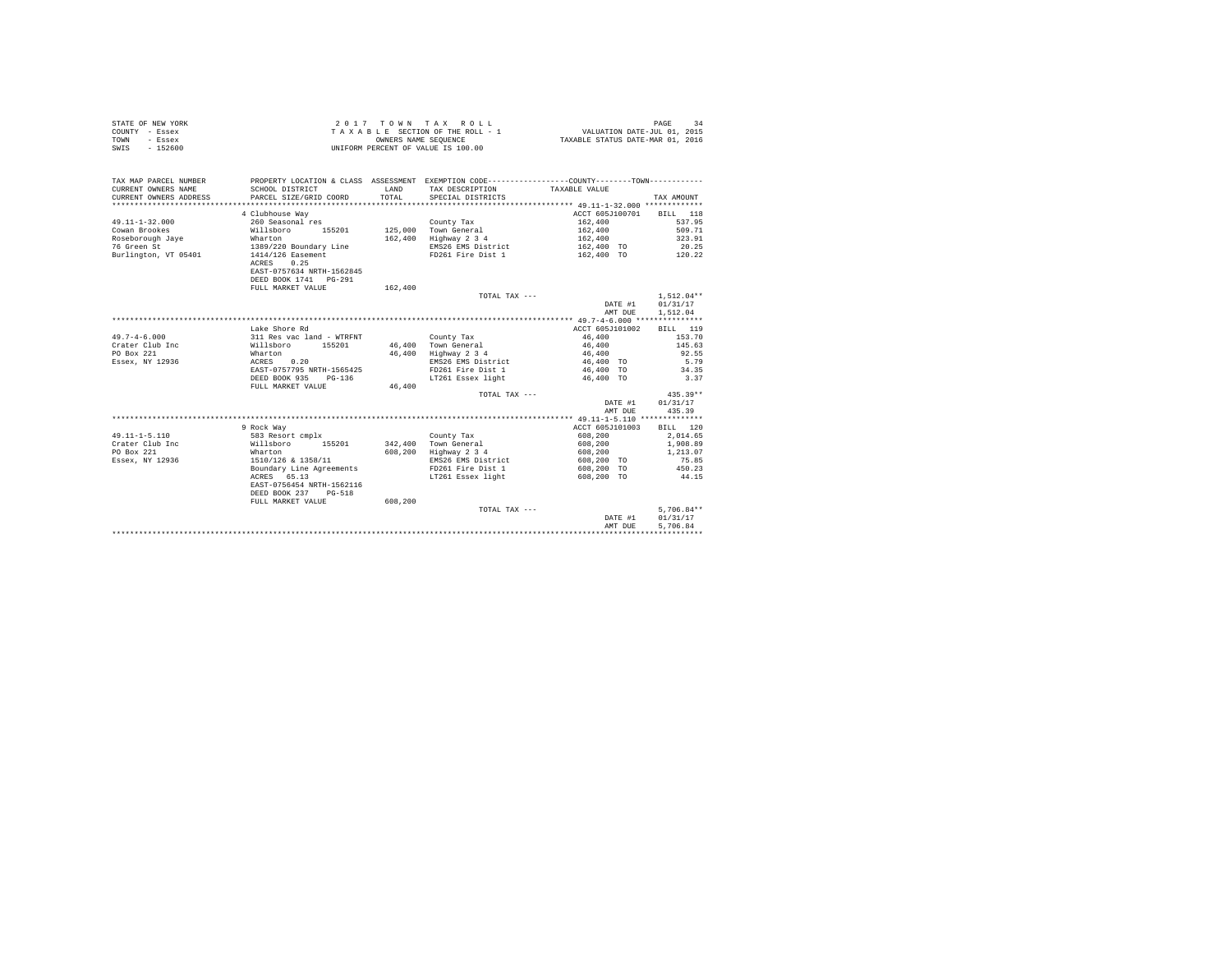| STATE OF NEW YORK | 2017 TOWN TAX ROLL                 | PAGE<br>-24                      |
|-------------------|------------------------------------|----------------------------------|
| COUNTY - Essex    | TAXABLE SECTION OF THE ROLL - 1    | VALUATION DATE-JUL 01, 2015      |
| TOWN<br>- Essex   | OWNERS NAME SEOUENCE               | TAXABLE STATUS DATE-MAR 01, 2016 |
| SWIS<br>$-152600$ | UNIFORM PERCENT OF VALUE IS 100.00 |                                  |

| TAX MAP PARCEL NUMBER<br>CURRENT OWNERS NAME<br>CURRENT OWNERS ADDRESS | SCHOOL DISTRICT<br>PARCEL SIZE/GRID COORD            | LAND<br>TOTAL | PROPERTY LOCATION & CLASS ASSESSMENT EXEMPTION CODE----------------COUNTY-------TOWN----------<br>TAX DESCRIPTION<br>SPECIAL DISTRICTS | TAXABLE VALUE            | TAX AMOUNT   |
|------------------------------------------------------------------------|------------------------------------------------------|---------------|----------------------------------------------------------------------------------------------------------------------------------------|--------------------------|--------------|
|                                                                        |                                                      |               |                                                                                                                                        |                          |              |
|                                                                        | 4 Clubhouse Way                                      |               |                                                                                                                                        | ACCT 605J100701 BILL 118 |              |
| $49.11 - 1 - 32.000$                                                   | 260 Seasonal res                                     |               | County Tax                                                                                                                             | 162,400                  | 537.95       |
| Cowan Brookes                                                          | 155201<br>Willsboro                                  |               | 125,000 Town General                                                                                                                   | 162,400                  | 509.71       |
| Roseborough Jaye                                                       | Wharton                                              | 162,400       | Highway 2 3 4                                                                                                                          | 162,400                  | 323.91       |
| 76 Green St                                                            | 1389/220 Boundary Line                               |               | EMS26 EMS District                                                                                                                     | 162,400 TO               | 20.25        |
| Burlington, VT 05401                                                   | 1414/126 Easement<br>0.25<br>ACRES                   |               | FD261 Fire Dist 1                                                                                                                      | 162.400 TO 120.22        |              |
|                                                                        | EAST-0757634 NRTH-1562845<br>DEED BOOK 1741   PG-291 |               |                                                                                                                                        |                          |              |
|                                                                        | FULL MARKET VALUE                                    | 162,400       |                                                                                                                                        |                          |              |
|                                                                        |                                                      |               | TOTAL TAX ---                                                                                                                          |                          | $1.512.04**$ |
|                                                                        |                                                      |               |                                                                                                                                        | DATE #1                  | 01/31/17     |
|                                                                        |                                                      |               |                                                                                                                                        | AMT DUE                  | 1,512.04     |
|                                                                        |                                                      |               |                                                                                                                                        |                          |              |
|                                                                        | Lake Shore Rd                                        |               |                                                                                                                                        | ACCT 605J101002          | BILL 119     |
| $49.7 - 4 - 6.000$                                                     | 311 Res vac land - WTRFNT                            |               | County Tax                                                                                                                             | 46,400                   | 153.70       |
| Crater Club Inc                                                        | Willsboro<br>155201                                  |               | 46,400 Town General                                                                                                                    | 46,400                   | 145.63       |
| PO Box 221                                                             | Wharton                                              | 46,400        | Highway 2 3 4                                                                                                                          | 46,400                   | 92.55        |
| Essex, NY 12936                                                        | 0.20<br>ACRES                                        |               | EMS26 EMS District                                                                                                                     | 46,400 TO                | 5.79         |
|                                                                        | EAST-0757795 NRTH-1565425                            |               | FD261 Fire Dist 1                                                                                                                      | 46,400 TO                | 34.35        |
|                                                                        | DEED BOOK 935 PG-136                                 |               | LT261 Essex light                                                                                                                      | 46,400 TO                | 3.37         |
|                                                                        | FULL MARKET VALUE                                    | 46,400        |                                                                                                                                        |                          |              |
|                                                                        |                                                      |               | TOTAL TAX ---                                                                                                                          |                          | $435.39**$   |
|                                                                        |                                                      |               |                                                                                                                                        | DATE #1                  | 01/31/17     |
|                                                                        |                                                      |               |                                                                                                                                        | AMT DUE                  | 435.39       |
|                                                                        |                                                      |               |                                                                                                                                        |                          |              |
|                                                                        | 9 Rock Way                                           |               |                                                                                                                                        | ACCT 605J101003          | BILL 120     |
| $49.11 - 1 - 5.110$                                                    | 583 Resort cmplx                                     |               | County Tax                                                                                                                             | 608,200                  | 2,014.65     |
| Crater Club Inc                                                        | Willsboro 155201                                     | 342,400       | Town General                                                                                                                           | 608,200                  | 1,908.89     |
| PO Box 221                                                             | Wharton                                              | 608,200       | Highway 2 3 4                                                                                                                          | 608,200                  | 1,213.07     |
| Essex, NY 12936                                                        | 1510/126 & 1358/11                                   |               | EMS26 EMS District                                                                                                                     | 608,200 TO               | 75.85        |
|                                                                        | Boundary Line Agreements                             |               | FD261 Fire Dist 1                                                                                                                      | 608,200 TO               | 450.23       |
|                                                                        | ACRES 65.13                                          |               | LT261 Essex light                                                                                                                      | 608,200 TO               | 44.15        |
|                                                                        | EAST-0756454 NRTH-1562116                            |               |                                                                                                                                        |                          |              |
|                                                                        | DEED BOOK 237 PG-518                                 |               |                                                                                                                                        |                          |              |
|                                                                        | FULL MARKET VALUE                                    | 608,200       |                                                                                                                                        |                          |              |
|                                                                        |                                                      |               | TOTAL TAX ---                                                                                                                          |                          | $5.706.84**$ |
|                                                                        |                                                      |               |                                                                                                                                        | DATE #1                  | 01/31/17     |
|                                                                        |                                                      |               |                                                                                                                                        | AMT DUE                  | 5,706.84     |
|                                                                        |                                                      |               |                                                                                                                                        |                          |              |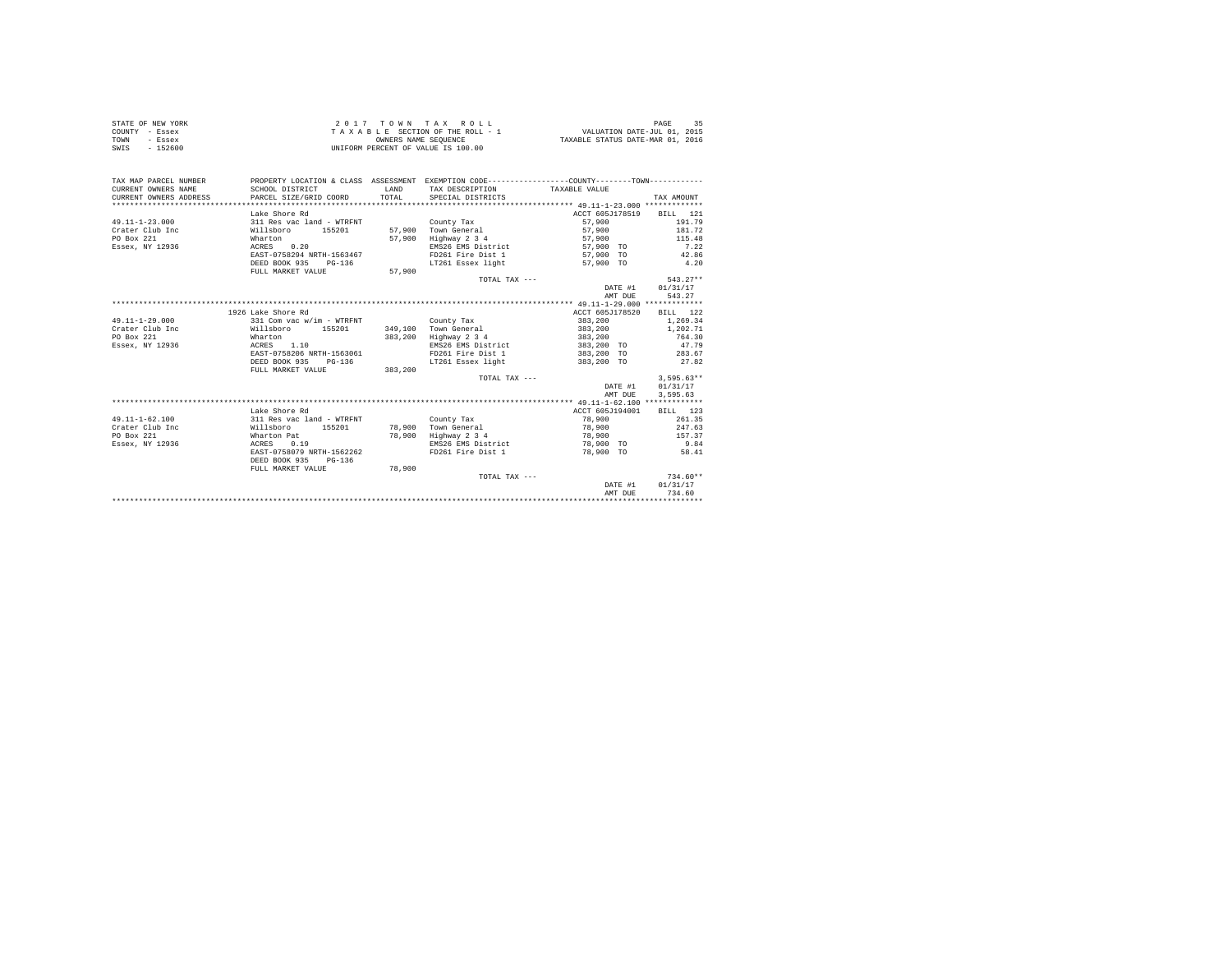| STATE OF NEW YORK | 2017 TOWN TAX ROLL                 | PAGE                             |
|-------------------|------------------------------------|----------------------------------|
| COUNTY - Essex    | TAXABLE SECTION OF THE ROLL - 1    | VALUATION DATE-JUL 01, 2015      |
| TOWN<br>- Essex   | OWNERS NAME SEOUENCE               | TAXABLE STATUS DATE-MAR 01, 2016 |
| SWIS<br>- 152600  | UNIFORM PERCENT OF VALUE IS 100.00 |                                  |

| Lake Shore Rd<br>ACCT 605J178519 BILL 121<br>311 Res vac land - WTRFNT<br>County Tax<br>57,900<br>57,900 Town General<br>57,900<br>Willsboro 155201<br>Highway 2 3 4<br>Wharton<br>57,900<br>57,900<br>ACRES 0.20<br>EMS26 EMS District<br>57,900 TO<br>EAST-0758294 NRTH-1563467<br>FD261 Fire Dist 1<br>57,900 TO<br>DEED BOOK 935 PG-136<br>LT261 Essex light<br>57,900 TO<br>57,900<br>FULL MARKET VALUE<br>TOTAL TAX ---<br>DATE #1 01/31/17<br>543.27<br>AMT DUE<br>1926 Lake Shore Rd<br>ACCT 605J178520<br>383,200<br>331 Com vac w/im - WTRFNT<br>County Tax<br>349.100 Town General<br>383,200<br>Willsboro<br>155201<br>383,200 Highway 2 3 4<br>383,200<br>Wharton<br>ACRES 1.10<br>383,200 TO<br>EMS26 EMS District<br>EAST-0758206 NRTH-1563061<br>FD261 Fire Dist 1 383,200 TO 283.67<br>DEED BOOK 935<br>LT261 Essex light 583,200 TO<br>$PG-136$<br>FULL MARKET VALUE 383,200<br>$3.595.63**$<br>TOTAL TAX ---<br>DATE #1 01/31/17<br>3.595.63<br>AMT DUE<br>Lake Shore Rd<br>ACCT 605J194001<br>BILL 123<br>78,900<br>261.35<br>311 Res vac land - WTRFNT<br>County Tax<br>78.900 Town General<br>247.63<br>Willsboro<br>155201<br>78,900 | TAX MAP PARCEL NUMBER<br>CURRENT OWNERS NAME<br>$\mathbb{R}^3$<br>CURRENT OWNERS ADDRESS | SCHOOL DISTRICT<br>PARCEL SIZE/GRID COORD | T.AND<br>TOTAL. | PROPERTY LOCATION & CLASS ASSESSMENT EXEMPTION CODE----------------COUNTY-------TOWN----------<br>TAX DESCRIPTION TAXABLE VALUE<br>SPECIAL DISTRICTS | TAX AMOUNT |
|-------------------------------------------------------------------------------------------------------------------------------------------------------------------------------------------------------------------------------------------------------------------------------------------------------------------------------------------------------------------------------------------------------------------------------------------------------------------------------------------------------------------------------------------------------------------------------------------------------------------------------------------------------------------------------------------------------------------------------------------------------------------------------------------------------------------------------------------------------------------------------------------------------------------------------------------------------------------------------------------------------------------------------------------------------------------------------------------------------------------------------------------------------------|------------------------------------------------------------------------------------------|-------------------------------------------|-----------------|------------------------------------------------------------------------------------------------------------------------------------------------------|------------|
|                                                                                                                                                                                                                                                                                                                                                                                                                                                                                                                                                                                                                                                                                                                                                                                                                                                                                                                                                                                                                                                                                                                                                             |                                                                                          |                                           |                 |                                                                                                                                                      |            |
| $49.11 - 1 - 23.000$<br>Crater Club Inc<br>PO Box 221<br>Essex, NY 12936<br>$49.11 - 1 - 29.000$<br>Crater Club Inc<br>PO Box 221<br>Essex, NY 12936<br>$49.11 - 1 - 62.100$<br>Crater Club Inc.                                                                                                                                                                                                                                                                                                                                                                                                                                                                                                                                                                                                                                                                                                                                                                                                                                                                                                                                                            |                                                                                          |                                           |                 |                                                                                                                                                      |            |
|                                                                                                                                                                                                                                                                                                                                                                                                                                                                                                                                                                                                                                                                                                                                                                                                                                                                                                                                                                                                                                                                                                                                                             |                                                                                          |                                           |                 |                                                                                                                                                      | 191.79     |
|                                                                                                                                                                                                                                                                                                                                                                                                                                                                                                                                                                                                                                                                                                                                                                                                                                                                                                                                                                                                                                                                                                                                                             |                                                                                          |                                           |                 |                                                                                                                                                      | 181.72     |
|                                                                                                                                                                                                                                                                                                                                                                                                                                                                                                                                                                                                                                                                                                                                                                                                                                                                                                                                                                                                                                                                                                                                                             |                                                                                          |                                           |                 |                                                                                                                                                      | 115.48     |
|                                                                                                                                                                                                                                                                                                                                                                                                                                                                                                                                                                                                                                                                                                                                                                                                                                                                                                                                                                                                                                                                                                                                                             |                                                                                          |                                           |                 |                                                                                                                                                      | 7.22       |
|                                                                                                                                                                                                                                                                                                                                                                                                                                                                                                                                                                                                                                                                                                                                                                                                                                                                                                                                                                                                                                                                                                                                                             |                                                                                          |                                           |                 |                                                                                                                                                      | 42.86      |
|                                                                                                                                                                                                                                                                                                                                                                                                                                                                                                                                                                                                                                                                                                                                                                                                                                                                                                                                                                                                                                                                                                                                                             |                                                                                          |                                           |                 |                                                                                                                                                      | 4.20       |
|                                                                                                                                                                                                                                                                                                                                                                                                                                                                                                                                                                                                                                                                                                                                                                                                                                                                                                                                                                                                                                                                                                                                                             |                                                                                          |                                           |                 |                                                                                                                                                      |            |
|                                                                                                                                                                                                                                                                                                                                                                                                                                                                                                                                                                                                                                                                                                                                                                                                                                                                                                                                                                                                                                                                                                                                                             |                                                                                          |                                           |                 |                                                                                                                                                      | $543.27**$ |
|                                                                                                                                                                                                                                                                                                                                                                                                                                                                                                                                                                                                                                                                                                                                                                                                                                                                                                                                                                                                                                                                                                                                                             |                                                                                          |                                           |                 |                                                                                                                                                      |            |
|                                                                                                                                                                                                                                                                                                                                                                                                                                                                                                                                                                                                                                                                                                                                                                                                                                                                                                                                                                                                                                                                                                                                                             |                                                                                          |                                           |                 |                                                                                                                                                      |            |
|                                                                                                                                                                                                                                                                                                                                                                                                                                                                                                                                                                                                                                                                                                                                                                                                                                                                                                                                                                                                                                                                                                                                                             |                                                                                          |                                           |                 |                                                                                                                                                      |            |
|                                                                                                                                                                                                                                                                                                                                                                                                                                                                                                                                                                                                                                                                                                                                                                                                                                                                                                                                                                                                                                                                                                                                                             |                                                                                          |                                           |                 |                                                                                                                                                      | BILL 122   |
|                                                                                                                                                                                                                                                                                                                                                                                                                                                                                                                                                                                                                                                                                                                                                                                                                                                                                                                                                                                                                                                                                                                                                             |                                                                                          |                                           |                 |                                                                                                                                                      | 1,269.34   |
|                                                                                                                                                                                                                                                                                                                                                                                                                                                                                                                                                                                                                                                                                                                                                                                                                                                                                                                                                                                                                                                                                                                                                             |                                                                                          |                                           |                 |                                                                                                                                                      | 1,202.71   |
|                                                                                                                                                                                                                                                                                                                                                                                                                                                                                                                                                                                                                                                                                                                                                                                                                                                                                                                                                                                                                                                                                                                                                             |                                                                                          |                                           |                 |                                                                                                                                                      | 764.30     |
|                                                                                                                                                                                                                                                                                                                                                                                                                                                                                                                                                                                                                                                                                                                                                                                                                                                                                                                                                                                                                                                                                                                                                             |                                                                                          |                                           |                 |                                                                                                                                                      | 47.79      |
|                                                                                                                                                                                                                                                                                                                                                                                                                                                                                                                                                                                                                                                                                                                                                                                                                                                                                                                                                                                                                                                                                                                                                             |                                                                                          |                                           |                 |                                                                                                                                                      |            |
|                                                                                                                                                                                                                                                                                                                                                                                                                                                                                                                                                                                                                                                                                                                                                                                                                                                                                                                                                                                                                                                                                                                                                             |                                                                                          |                                           |                 |                                                                                                                                                      | 27.82      |
|                                                                                                                                                                                                                                                                                                                                                                                                                                                                                                                                                                                                                                                                                                                                                                                                                                                                                                                                                                                                                                                                                                                                                             |                                                                                          |                                           |                 |                                                                                                                                                      |            |
|                                                                                                                                                                                                                                                                                                                                                                                                                                                                                                                                                                                                                                                                                                                                                                                                                                                                                                                                                                                                                                                                                                                                                             |                                                                                          |                                           |                 |                                                                                                                                                      |            |
|                                                                                                                                                                                                                                                                                                                                                                                                                                                                                                                                                                                                                                                                                                                                                                                                                                                                                                                                                                                                                                                                                                                                                             |                                                                                          |                                           |                 |                                                                                                                                                      |            |
|                                                                                                                                                                                                                                                                                                                                                                                                                                                                                                                                                                                                                                                                                                                                                                                                                                                                                                                                                                                                                                                                                                                                                             |                                                                                          |                                           |                 |                                                                                                                                                      |            |
|                                                                                                                                                                                                                                                                                                                                                                                                                                                                                                                                                                                                                                                                                                                                                                                                                                                                                                                                                                                                                                                                                                                                                             |                                                                                          |                                           |                 |                                                                                                                                                      |            |
|                                                                                                                                                                                                                                                                                                                                                                                                                                                                                                                                                                                                                                                                                                                                                                                                                                                                                                                                                                                                                                                                                                                                                             |                                                                                          |                                           |                 |                                                                                                                                                      |            |
|                                                                                                                                                                                                                                                                                                                                                                                                                                                                                                                                                                                                                                                                                                                                                                                                                                                                                                                                                                                                                                                                                                                                                             |                                                                                          |                                           |                 |                                                                                                                                                      |            |
|                                                                                                                                                                                                                                                                                                                                                                                                                                                                                                                                                                                                                                                                                                                                                                                                                                                                                                                                                                                                                                                                                                                                                             |                                                                                          |                                           |                 |                                                                                                                                                      |            |
| PO Box 221<br>78,900<br>Highway 2 3 4<br>Wharton Pat<br>78,900                                                                                                                                                                                                                                                                                                                                                                                                                                                                                                                                                                                                                                                                                                                                                                                                                                                                                                                                                                                                                                                                                              |                                                                                          |                                           |                 |                                                                                                                                                      | 157.37     |
| Essex, NY 12936<br>0.19<br>EMS26 EMS District<br>ACRES<br>78,900 TO                                                                                                                                                                                                                                                                                                                                                                                                                                                                                                                                                                                                                                                                                                                                                                                                                                                                                                                                                                                                                                                                                         |                                                                                          |                                           |                 |                                                                                                                                                      | 9.84       |
| EAST-0758079 NRTH-1562262<br>FD261 Fire Dist 1<br>78,900 TO                                                                                                                                                                                                                                                                                                                                                                                                                                                                                                                                                                                                                                                                                                                                                                                                                                                                                                                                                                                                                                                                                                 |                                                                                          |                                           |                 |                                                                                                                                                      | 58.41      |
| DEED BOOK 935<br>$PG-136$                                                                                                                                                                                                                                                                                                                                                                                                                                                                                                                                                                                                                                                                                                                                                                                                                                                                                                                                                                                                                                                                                                                                   |                                                                                          |                                           |                 |                                                                                                                                                      |            |
| 78,900<br>FULL MARKET VALUE                                                                                                                                                                                                                                                                                                                                                                                                                                                                                                                                                                                                                                                                                                                                                                                                                                                                                                                                                                                                                                                                                                                                 |                                                                                          |                                           |                 |                                                                                                                                                      | $734.60**$ |
| TOTAL TAX ---<br>DATE #1                                                                                                                                                                                                                                                                                                                                                                                                                                                                                                                                                                                                                                                                                                                                                                                                                                                                                                                                                                                                                                                                                                                                    |                                                                                          |                                           |                 |                                                                                                                                                      | 01/31/17   |
| 734.60<br>AMT DUE                                                                                                                                                                                                                                                                                                                                                                                                                                                                                                                                                                                                                                                                                                                                                                                                                                                                                                                                                                                                                                                                                                                                           |                                                                                          |                                           |                 |                                                                                                                                                      |            |
|                                                                                                                                                                                                                                                                                                                                                                                                                                                                                                                                                                                                                                                                                                                                                                                                                                                                                                                                                                                                                                                                                                                                                             |                                                                                          |                                           |                 |                                                                                                                                                      |            |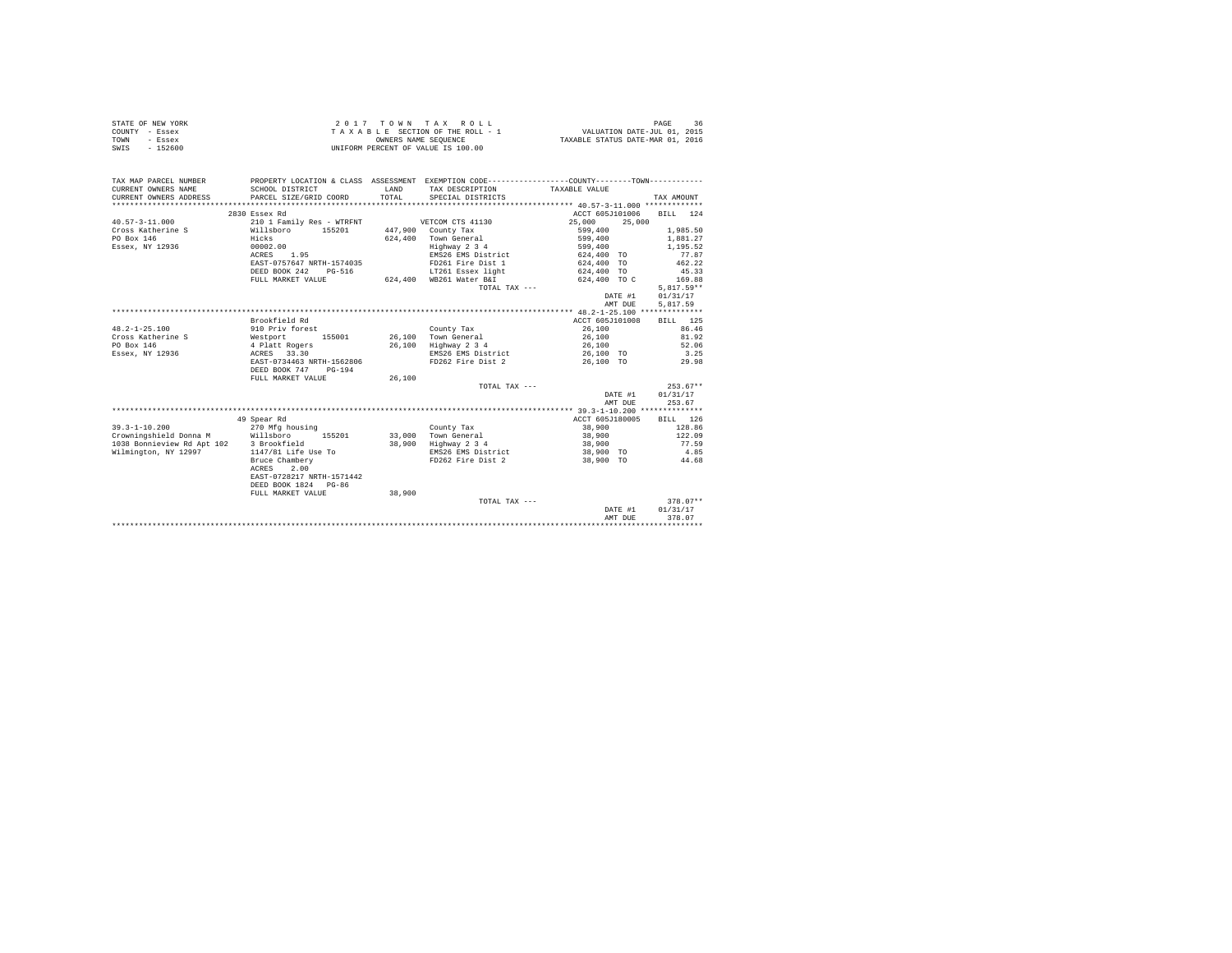|                | STATE OF NEW YORK |  |  |  | $2.017$ TOWN TAX ROLL              |  |  |  |  | 36<br>PAGE                       |
|----------------|-------------------|--|--|--|------------------------------------|--|--|--|--|----------------------------------|
| COUNTY - Essex |                   |  |  |  | TAXABLE SECTION OF THE ROLL - 1    |  |  |  |  | VALUATION DATE-JUL 01, 2015      |
| TOWN           | - Essex           |  |  |  | OWNERS NAME SEOUENCE               |  |  |  |  | TAXABLE STATUS DATE-MAR 01, 2016 |
| SWIS           | - 152600          |  |  |  | UNIFORM PERCENT OF VALUE IS 100.00 |  |  |  |  |                                  |

| TAX MAP PARCEL NUMBER  |                                                                                                                       |        |                         | PROPERTY LOCATION & CLASS ASSESSMENT EXEMPTION CODE---------------COUNTY-------TOWN--------- |              |
|------------------------|-----------------------------------------------------------------------------------------------------------------------|--------|-------------------------|----------------------------------------------------------------------------------------------|--------------|
| CURRENT OWNERS NAME    | SCHOOL DISTRICT                                                                                                       | LAND   | TAX DESCRIPTION         | TAXABLE VALUE                                                                                |              |
| CURRENT OWNERS ADDRESS | PARCEL SIZE/GRID COORD                                                                                                | TOTAL  | SPECIAL DISTRICTS       |                                                                                              | TAX AMOUNT   |
|                        |                                                                                                                       |        |                         |                                                                                              |              |
|                        | 2830 Essex Rd                                                                                                         |        |                         | ACCT 605J101006                                                                              | BILL 124     |
| $40.57 - 3 - 11.000$   | 210 1 Family Res - WTRFNT                                                                                             |        | VETCOM CTS 41130        | 25,000<br>25,000                                                                             |              |
|                        | Cross Katherine S Willsboro 155201 447,900 County Tax                                                                 |        |                         | 599,400                                                                                      | 1,985.50     |
| PO Box 146             | Hicks                                                                                                                 |        | 624.400 Town General    | 599,400                                                                                      | 1,881.27     |
| Essex, NY 12936        | 00002.00                                                                                                              |        | Highway 2 3 4           | 599,400                                                                                      | 1,195.52     |
|                        | ACRES 1.95                                                                                                            |        | EMS26 EMS District      | 624,400 TO                                                                                   | 77.87        |
|                        | EAST-0757647 NRTH-1574035                                                                                             |        | FD261 Fire Dist 1       | 624,400 TO                                                                                   | 462.22       |
|                        | DEED BOOK 242<br>PG-516                                                                                               |        | LT261 Essex light       | 624,400 TO                                                                                   | 45.33        |
|                        | FULL MARKET VALUE                                                                                                     |        | 624,400 WB261 Water B&I | 624,400 TO C                                                                                 | 169.88       |
|                        |                                                                                                                       |        | TOTAL TAX ---           |                                                                                              | $5,817.59**$ |
|                        |                                                                                                                       |        |                         | DATE #1                                                                                      | 01/31/17     |
|                        |                                                                                                                       |        |                         | AMT DUE                                                                                      | 5,817.59     |
|                        |                                                                                                                       |        |                         |                                                                                              |              |
|                        | Brookfield Rd                                                                                                         |        |                         | ACCT 605J101008                                                                              | BILL 125     |
| $48.2 - 1 - 25.100$    | 910 Priv forest                                                                                                       |        | County Tax              | 26,100                                                                                       | 86.46        |
| Cross Katherine S      | Westport 155001<br>4 Platt Rogers                                                                                     |        | 26.100 Town General     | 26,100                                                                                       | 81.92        |
| PO Box 146             |                                                                                                                       |        | 26,100 Highway 2 3 4    | 26,100                                                                                       | 52.06        |
| Essex, NY 12936        | ACRES 33.30                                                                                                           |        |                         | EMS26 EMS District 26,100 TO                                                                 | 3.25         |
|                        | EAST-0734463 NRTH-1562806                                                                                             |        |                         | FD262 Fire Dist 2 26.100 TO 29.98                                                            |              |
|                        | DEED BOOK 747<br>$PG-194$                                                                                             |        |                         |                                                                                              |              |
|                        | FULL MARKET VALUE                                                                                                     | 26,100 |                         |                                                                                              |              |
|                        |                                                                                                                       |        | TOTAL TAX ---           |                                                                                              | $253.67**$   |
|                        |                                                                                                                       |        |                         | DATE #1                                                                                      | 01/31/17     |
|                        |                                                                                                                       |        |                         | AMT DUE                                                                                      | 253.67       |
|                        |                                                                                                                       |        |                         |                                                                                              |              |
|                        | 49 Spear Rd                                                                                                           |        |                         | ACCT 605J180005                                                                              | BILL 126     |
|                        |                                                                                                                       |        | County Tax              | 38,900                                                                                       | 128.86       |
|                        | 39.3-1-10.200 270 Mfg housing<br>Crowningshield Donna M = Willsboro 155201<br>1038 Bonnieview Rd Apt 102 3 Brookfield |        | 33.000 Town General     | 38,900                                                                                       | 122.09       |
|                        |                                                                                                                       |        | 38,900 Highway 2 3 4    | 38,900                                                                                       | 77.59        |
| Wilmington, NY 12997   | 1147/81 Life Use To                                                                                                   |        | EMS26 EMS District      | 38,900 TO                                                                                    | 4.85         |
|                        | Bruce Chambery                                                                                                        |        | FD262 Fire Dist 2       | 38,900 TO                                                                                    | 44.68        |
|                        | ACRES<br>2.00                                                                                                         |        |                         |                                                                                              |              |
|                        | EAST-0728217 NRTH-1571442                                                                                             |        |                         |                                                                                              |              |
|                        | DEED BOOK 1824 PG-86                                                                                                  |        |                         |                                                                                              |              |
|                        | FULL MARKET VALUE                                                                                                     | 38,900 |                         |                                                                                              |              |
|                        |                                                                                                                       |        | TOTAL TAX ---           |                                                                                              | $378.07**$   |
|                        |                                                                                                                       |        |                         | DATE #1                                                                                      | 01/31/17     |
|                        |                                                                                                                       |        |                         | AMT DUE                                                                                      | 378.07       |
|                        |                                                                                                                       |        |                         |                                                                                              |              |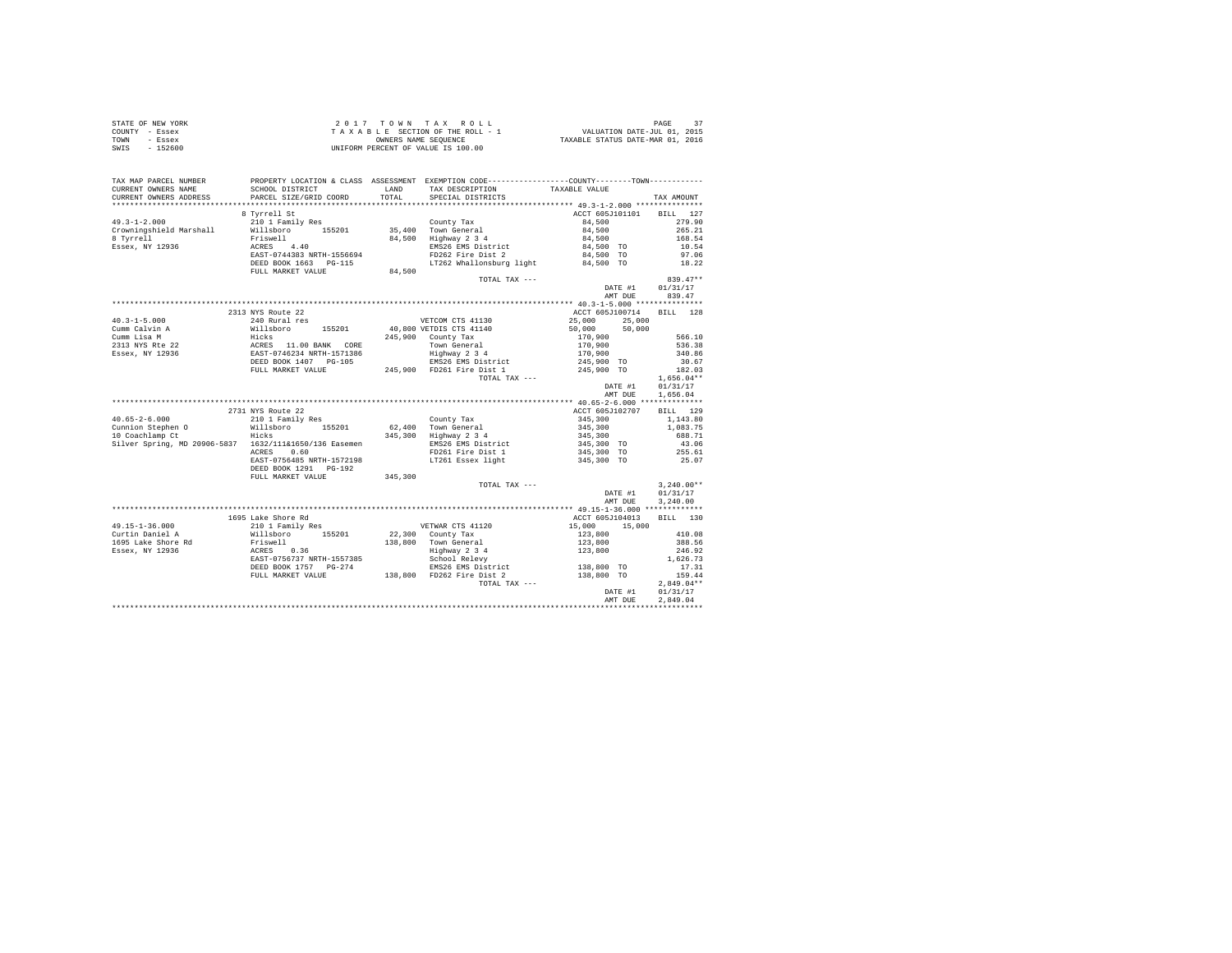| STATE OF NEW YORK | 2017 TOWN TAX ROLL                 | PAGE                             |
|-------------------|------------------------------------|----------------------------------|
| COUNTY - Essex    | TAXABLE SECTION OF THE ROLL - 1    | VALUATION DATE-JUL 01, 2015      |
| TOWN<br>- Essex   | OWNERS NAME SEOUENCE               | TAXABLE STATUS DATE-MAR 01, 2016 |
| SWIS<br>$-152600$ | UNIFORM PERCENT OF VALUE IS 100.00 |                                  |

| TAX MAP PARCEL NUMBER<br>CURRENT OWNERS NAME                                                                                                                                                                                                     | SCHOOL DISTRICT<br>PARCEL SIZE/GRID COORD |         | PROPERTY LOCATION & CLASS ASSESSMENT EXEMPTION CODE---------------COUNTY--------TOWN----------<br>LAND TAX DESCRIPTION<br>TOTAL SPECIAL DISTRICTS | TAXABLE VALUE                                                                                            |                                      |
|--------------------------------------------------------------------------------------------------------------------------------------------------------------------------------------------------------------------------------------------------|-------------------------------------------|---------|---------------------------------------------------------------------------------------------------------------------------------------------------|----------------------------------------------------------------------------------------------------------|--------------------------------------|
| CURRENT OWNERS ADDRESS                                                                                                                                                                                                                           |                                           |         |                                                                                                                                                   |                                                                                                          | TAX AMOUNT                           |
|                                                                                                                                                                                                                                                  |                                           |         |                                                                                                                                                   |                                                                                                          |                                      |
|                                                                                                                                                                                                                                                  | 8 Tyrrell St                              |         |                                                                                                                                                   | ACCT 605J101101 BILL 127                                                                                 |                                      |
| $49.3 - 1 - 2.000$                                                                                                                                                                                                                               |                                           |         |                                                                                                                                                   | 84,500                                                                                                   | 279.90                               |
| Crowningshield Marshall                                                                                                                                                                                                                          |                                           |         |                                                                                                                                                   |                                                                                                          | 265.21                               |
| 8 Tyrrell                                                                                                                                                                                                                                        |                                           |         |                                                                                                                                                   | $84,500$<br>$84,500$<br>$84,500$ TO<br>$84,500$ TO                                                       | 168.54                               |
| Essex, NY 12936                                                                                                                                                                                                                                  |                                           |         |                                                                                                                                                   |                                                                                                          | 10.54<br>97.06                       |
|                                                                                                                                                                                                                                                  |                                           |         |                                                                                                                                                   |                                                                                                          |                                      |
|                                                                                                                                                                                                                                                  |                                           |         | LT262 Whallonsburg light 84,500 TO                                                                                                                |                                                                                                          | 18.22                                |
|                                                                                                                                                                                                                                                  | FULL MARKET VALUE                         | 84,500  |                                                                                                                                                   |                                                                                                          |                                      |
|                                                                                                                                                                                                                                                  |                                           |         | TOTAL TAX $---$                                                                                                                                   |                                                                                                          | 839.47**                             |
|                                                                                                                                                                                                                                                  |                                           |         |                                                                                                                                                   | DATE #1                                                                                                  | 01/31/17                             |
|                                                                                                                                                                                                                                                  |                                           |         |                                                                                                                                                   | AMT DUE                                                                                                  | 839.47                               |
| 40.3–1–5.000<br>2313 NYS Route 22<br>Cumm Lisa M Willshoro 155201<br>240 Rural res<br>245,900 VETOM CTS 41130<br>Cumm Lisa M Willshoro 155201<br>246,900 VETDIS CTS 41140<br>245,900 County Tax<br>245,900 Tom General<br>245,900 PD261 Fire Dis |                                           |         |                                                                                                                                                   |                                                                                                          |                                      |
|                                                                                                                                                                                                                                                  |                                           |         |                                                                                                                                                   |                                                                                                          |                                      |
|                                                                                                                                                                                                                                                  |                                           |         |                                                                                                                                                   |                                                                                                          |                                      |
|                                                                                                                                                                                                                                                  |                                           |         |                                                                                                                                                   |                                                                                                          |                                      |
|                                                                                                                                                                                                                                                  |                                           |         |                                                                                                                                                   |                                                                                                          |                                      |
|                                                                                                                                                                                                                                                  |                                           |         |                                                                                                                                                   |                                                                                                          |                                      |
|                                                                                                                                                                                                                                                  |                                           |         |                                                                                                                                                   |                                                                                                          |                                      |
|                                                                                                                                                                                                                                                  |                                           |         |                                                                                                                                                   |                                                                                                          |                                      |
|                                                                                                                                                                                                                                                  |                                           |         |                                                                                                                                                   |                                                                                                          |                                      |
|                                                                                                                                                                                                                                                  |                                           |         |                                                                                                                                                   |                                                                                                          |                                      |
|                                                                                                                                                                                                                                                  |                                           |         |                                                                                                                                                   |                                                                                                          | DATE #1 01/31/17<br>AMT DUE 1,656.04 |
|                                                                                                                                                                                                                                                  |                                           |         |                                                                                                                                                   |                                                                                                          |                                      |
|                                                                                                                                                                                                                                                  |                                           |         |                                                                                                                                                   |                                                                                                          |                                      |
|                                                                                                                                                                                                                                                  | 2731 NYS Route 22                         |         |                                                                                                                                                   | ACCT 605J102707 BILL 129                                                                                 |                                      |
|                                                                                                                                                                                                                                                  |                                           |         |                                                                                                                                                   |                                                                                                          |                                      |
|                                                                                                                                                                                                                                                  |                                           |         |                                                                                                                                                   |                                                                                                          |                                      |
|                                                                                                                                                                                                                                                  |                                           |         |                                                                                                                                                   | 45, 300 1, 143.80<br>345, 300 1, 083.75<br>345, 300 1, 083.75<br>345, 300 TO 43.06<br>345, 300 TO 255.61 |                                      |
| Silver Spring, MD 20906-5837 1632/111&1650/136 Easemen 200826 EMS District ACRES 0.60 PD261 Fire Dist 1                                                                                                                                          |                                           |         |                                                                                                                                                   |                                                                                                          |                                      |
|                                                                                                                                                                                                                                                  |                                           |         |                                                                                                                                                   | 345,300 TO                                                                                               | 25.07                                |
|                                                                                                                                                                                                                                                  | DEED BOOK 1291 PG-192                     |         | EAST-0756485 NRTH-1572198 LT261 Essex light                                                                                                       |                                                                                                          |                                      |
|                                                                                                                                                                                                                                                  | FULL MARKET VALUE                         | 345,300 |                                                                                                                                                   |                                                                                                          |                                      |
|                                                                                                                                                                                                                                                  |                                           |         | TOTAL TAX ---                                                                                                                                     |                                                                                                          | $3.240.00**$                         |
|                                                                                                                                                                                                                                                  |                                           |         |                                                                                                                                                   | DATE #1                                                                                                  | 01/31/17                             |
|                                                                                                                                                                                                                                                  |                                           |         |                                                                                                                                                   | AMT DUE                                                                                                  | 3.240.00                             |
|                                                                                                                                                                                                                                                  |                                           |         |                                                                                                                                                   |                                                                                                          |                                      |
|                                                                                                                                                                                                                                                  | 1695 Lake Shore Rd                        |         |                                                                                                                                                   | ACCT 605J104013 BILL 130                                                                                 |                                      |
| $49.15 - 1 - 36.000$                                                                                                                                                                                                                             |                                           |         |                                                                                                                                                   |                                                                                                          |                                      |
|                                                                                                                                                                                                                                                  |                                           |         |                                                                                                                                                   |                                                                                                          | 410.08                               |
|                                                                                                                                                                                                                                                  |                                           |         |                                                                                                                                                   |                                                                                                          | 388.56                               |
|                                                                                                                                                                                                                                                  |                                           |         |                                                                                                                                                   |                                                                                                          | 246.92                               |
|                                                                                                                                                                                                                                                  |                                           |         |                                                                                                                                                   |                                                                                                          | 1,626.73                             |
|                                                                                                                                                                                                                                                  |                                           |         |                                                                                                                                                   |                                                                                                          |                                      |
|                                                                                                                                                                                                                                                  |                                           |         |                                                                                                                                                   |                                                                                                          | 17.31<br>159.44                      |
|                                                                                                                                                                                                                                                  |                                           |         | TOTAL TAX ---                                                                                                                                     |                                                                                                          |                                      |
|                                                                                                                                                                                                                                                  |                                           |         |                                                                                                                                                   | $2,849.04**$<br>DATE #1 $01/31/17$                                                                       |                                      |
|                                                                                                                                                                                                                                                  |                                           |         |                                                                                                                                                   | AMT DUE                                                                                                  | 2.849.04                             |
|                                                                                                                                                                                                                                                  |                                           |         |                                                                                                                                                   |                                                                                                          |                                      |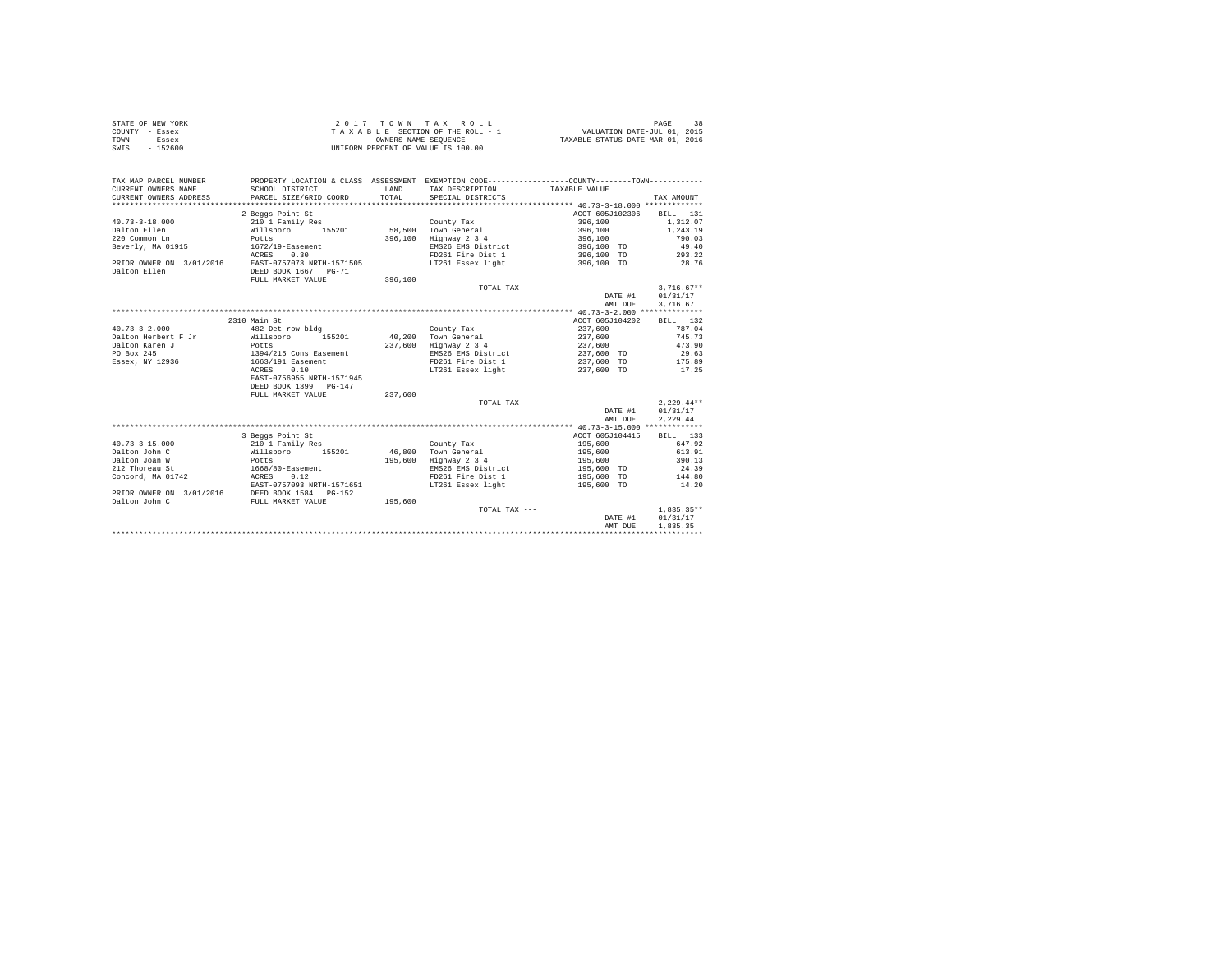| STATE OF NEW YORK | 2017 TOWN TAX ROLL                 | PAGE                             |
|-------------------|------------------------------------|----------------------------------|
| COUNTY - Essex    | TAXABLE SECTION OF THE ROLL - 1    | VALUATION DATE-JUL 01, 2015      |
| TOWN<br>- Essex   | OWNERS NAME SEOUENCE               | TAXABLE STATUS DATE-MAR 01, 2016 |
| SWIS<br>$-152600$ | UNIFORM PERCENT OF VALUE IS 100.00 |                                  |

| TAX MAP PARCEL NUMBER<br>CURRENT OWNERS NAME<br>CURRENT OWNERS ADDRESS | PROPERTY LOCATION & CLASS ASSESSMENT EXEMPTION CODE----------------COUNTY--------TOWN----------<br>SCHOOL DISTRICT<br>PARCEL SIZE/GRID COORD | <b>T.AND</b><br>TOTAL. | TAX DESCRIPTION<br>SPECIAL DISTRICTS   | TAXABLE VALUE              | TAX AMOUNT               |
|------------------------------------------------------------------------|----------------------------------------------------------------------------------------------------------------------------------------------|------------------------|----------------------------------------|----------------------------|--------------------------|
|                                                                        |                                                                                                                                              |                        |                                        |                            |                          |
|                                                                        | 2 Beggs Point St                                                                                                                             |                        |                                        | ACCT 605J102306            | BILL 131                 |
| $40.73 - 3 - 18.000$                                                   | 210 1 Family Res                                                                                                                             |                        | County Tax                             | 396,100                    | 1,312.07                 |
| Dalton Ellen                                                           | Willsboro<br>155201                                                                                                                          | 58,500                 | Town General                           | 396,100                    | 1,243.19                 |
| 220 Common Ln                                                          | Potts                                                                                                                                        | 396,100                | Highway 2 3 4                          | 396,100                    | 790.03                   |
| Beverly, MA 01915                                                      | $1672/19$ -Easement                                                                                                                          |                        | EMS26 EMS District                     | 396,100 TO                 | 49.40                    |
|                                                                        | 0.30<br>ACRES                                                                                                                                |                        | FD261 Fire Dist 1                      | 396,100 TO                 | 293.22                   |
| PRIOR OWNER ON 3/01/2016                                               | EAST-0757073 NRTH-1571505                                                                                                                    |                        | LT261 Essex light                      | 396,100 TO                 | 28.76                    |
| Dalton Ellen                                                           | DEED BOOK 1667 PG-71                                                                                                                         |                        |                                        |                            |                          |
|                                                                        | FULL MARKET VALUE                                                                                                                            | 396,100                |                                        |                            |                          |
|                                                                        |                                                                                                                                              |                        | TOTAL TAX ---                          |                            | $3.716.67**$             |
|                                                                        |                                                                                                                                              |                        |                                        | DATE #1                    | 01/31/17                 |
|                                                                        |                                                                                                                                              |                        |                                        | AMT DUE                    | 3,716.67                 |
|                                                                        |                                                                                                                                              |                        |                                        |                            |                          |
|                                                                        | 2310 Main St                                                                                                                                 |                        |                                        | ACCT 605J104202<br>237,600 | BILL 132                 |
| $40.73 - 3 - 2.000$                                                    | 482 Det row bldg                                                                                                                             |                        | County Tax                             |                            | 787.04                   |
| Dalton Herbert F Jr                                                    | 155201<br>Willsboro                                                                                                                          |                        | 40.200 Town General                    | 237,600                    | 745.73                   |
| Dalton Karen J                                                         | Potts                                                                                                                                        | 237,600                | Highway 2 3 4                          | 237.600                    | 473.90<br>29.63          |
| PO Box 245                                                             | 1394/215 Cons Easement                                                                                                                       |                        | EMS26 EMS District                     | 237,600 TO                 |                          |
| Essex, NY 12936                                                        | 1663/191 Easement                                                                                                                            |                        | FD261 Fire Dist 1                      | 237,600 TO                 | 175.89                   |
|                                                                        | ACRES<br>0.10                                                                                                                                |                        | LT261 Essex light                      | 237,600 TO                 | 17.25                    |
|                                                                        | EAST-0756955 NRTH-1571945                                                                                                                    |                        |                                        |                            |                          |
|                                                                        | DEED BOOK 1399 PG-147                                                                                                                        |                        |                                        |                            |                          |
|                                                                        | FULL MARKET VALUE                                                                                                                            | 237,600                |                                        |                            |                          |
|                                                                        |                                                                                                                                              |                        | TOTAL TAX ---                          |                            | $2,229.44**$             |
|                                                                        |                                                                                                                                              |                        |                                        | DATE #1                    | 01/31/17                 |
|                                                                        |                                                                                                                                              |                        |                                        | AMT DUE                    | 2.229.44                 |
|                                                                        |                                                                                                                                              |                        |                                        |                            | BILL 133                 |
|                                                                        | 3 Beggs Point St                                                                                                                             |                        |                                        | ACCT 605J104415            |                          |
| $40.73 - 3 - 15.000$                                                   | 210 1 Family Res                                                                                                                             |                        | County Tax                             | 195,600                    | 647.92                   |
| Dalton John C                                                          | 155201<br>Willsboro                                                                                                                          | 46,800                 | Town General                           | 195,600                    | 613.91<br>390.13         |
| Dalton Joan W                                                          | Potts                                                                                                                                        | 195,600                | Highway 2 3 4                          | 195,600                    |                          |
| 212 Thoreau St<br>Concord, MA 01742                                    | 1668/80-Easement                                                                                                                             |                        | EMS26 EMS District                     | 195,600 TO                 | 24.39                    |
|                                                                        | 0.12<br>ACRES<br>EAST-0757093 NRTH-1571651                                                                                                   |                        | FD261 Fire Dist 1<br>LT261 Essex light | 195,600 TO                 | 144.80<br>14.20          |
|                                                                        |                                                                                                                                              |                        |                                        | 195,600 TO                 |                          |
| PRIOR OWNER ON 3/01/2016                                               | DEED BOOK 1584 PG-152                                                                                                                        |                        |                                        |                            |                          |
| Dalton John C                                                          | FULL MARKET VALUE                                                                                                                            | 195,600                |                                        |                            |                          |
|                                                                        |                                                                                                                                              |                        | TOTAL TAX ---                          |                            | $1,835.35**$<br>01/31/17 |
|                                                                        |                                                                                                                                              |                        |                                        | DATE #1                    | 1.835.35                 |
|                                                                        |                                                                                                                                              |                        |                                        | AMT DUE                    |                          |
|                                                                        |                                                                                                                                              |                        |                                        |                            |                          |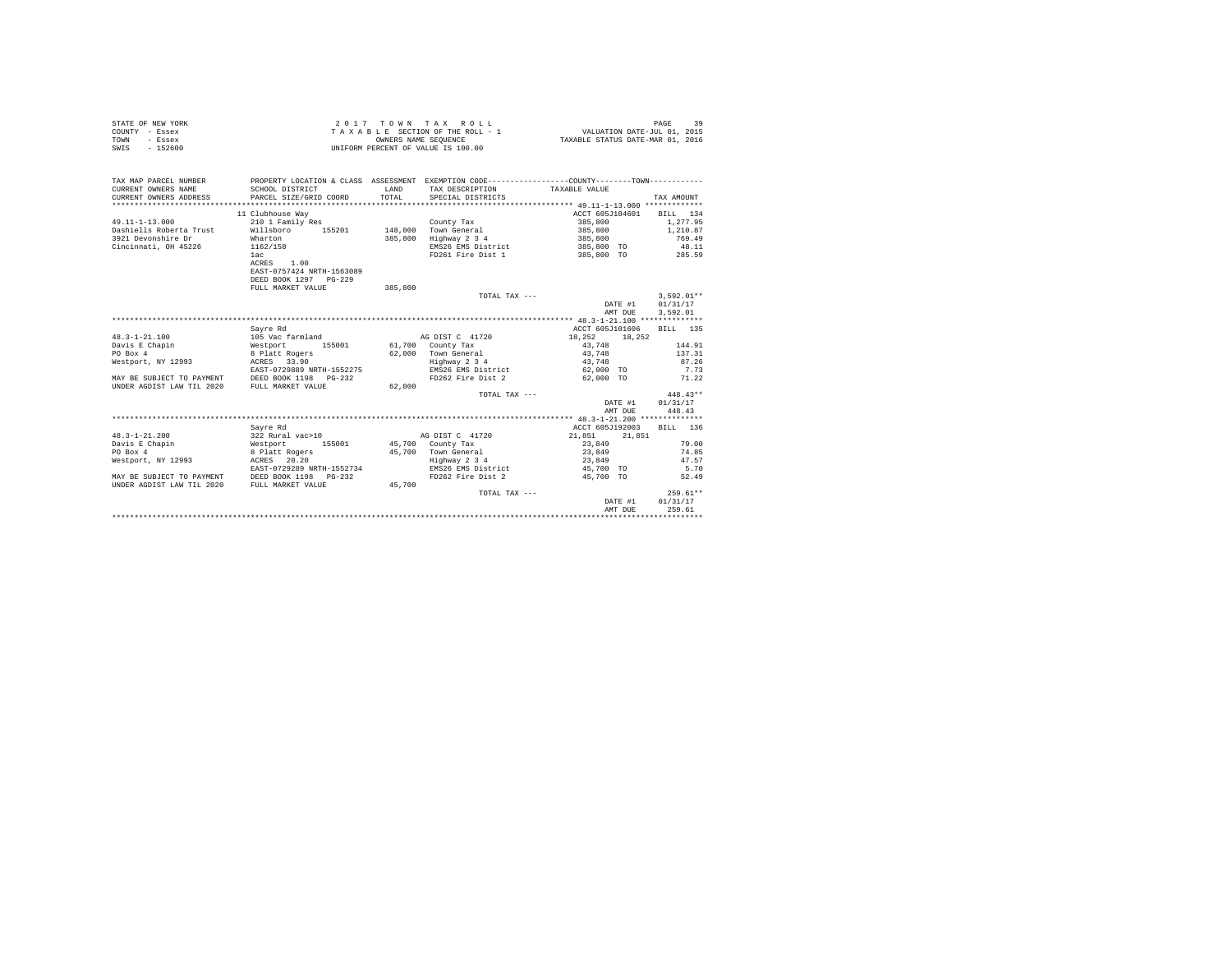| STATE OF NEW YORK | 2017 TOWN TAX ROLL                 | PAGE                             |
|-------------------|------------------------------------|----------------------------------|
| COUNTY - Essex    | TAXABLE SECTION OF THE ROLL - 1    | VALUATION DATE-JUL 01, 2015      |
| TOWN<br>- Essex   | OWNERS NAME SEOUENCE               | TAXABLE STATUS DATE-MAR 01, 2016 |
| $-152600$<br>SWIS | UNIFORM PERCENT OF VALUE IS 100.00 |                                  |

| TAX MAP PARCEL NUMBER<br>CURRENT OWNERS NAME<br>CURRENT OWNERS ADDRESS | SCHOOL DISTRICT<br>PARCEL SIZE/GRID COORD | LAND<br>TOTAL | PROPERTY LOCATION & CLASS ASSESSMENT EXEMPTION CODE----------------COUNTY--------TOWN----------<br>TAX DESCRIPTION<br>SPECIAL DISTRICTS | TAXABLE VALUE     | TAX AMOUNT   |
|------------------------------------------------------------------------|-------------------------------------------|---------------|-----------------------------------------------------------------------------------------------------------------------------------------|-------------------|--------------|
|                                                                        | 11 Clubhouse Way                          |               |                                                                                                                                         | ACCT 605J104601   | BILL 134     |
| $49.11 - 1 - 13.000$                                                   | 210 1 Family Res                          |               | County Tax                                                                                                                              | 385,800           | 1.277.95     |
| Dashiells Roberta Trust                                                | Willsboro 155201                          |               | 148,000 Town General                                                                                                                    | 385,800           | 1,210.87     |
| 3921 Devonshire Dr                                                     | Wharton                                   | 385,800       | Highway 2 3 4                                                                                                                           | 385,800           | 769.49       |
| Cincinnati, OH 45226                                                   | 1162/158                                  |               | EMS26 EMS District                                                                                                                      | 385,800 TO        | 48.11        |
|                                                                        | 1ac                                       |               | FD261 Fire Dist 1                                                                                                                       | 385,800 TO 285.59 |              |
|                                                                        | ACRES 1.00                                |               |                                                                                                                                         |                   |              |
|                                                                        | EAST-0757424 NRTH-1563089                 |               |                                                                                                                                         |                   |              |
|                                                                        | DEED BOOK 1297 PG-229                     |               |                                                                                                                                         |                   |              |
|                                                                        | FULL MARKET VALUE                         | 385,800       |                                                                                                                                         |                   |              |
|                                                                        |                                           |               | TOTAL TAX ---                                                                                                                           |                   | $3.592.01**$ |
|                                                                        |                                           |               |                                                                                                                                         | DATE #1           | 01/31/17     |
|                                                                        |                                           |               |                                                                                                                                         | AMT DUE           | 3.592.01     |
|                                                                        |                                           |               |                                                                                                                                         |                   |              |
|                                                                        | Savre Rd                                  |               |                                                                                                                                         | ACCT 605J101606   | BILL 135     |
| $48.3 - 1 - 21.100$                                                    | 105 Vac farmland                          |               | AG DIST C 41720                                                                                                                         | 18,252<br>18,252  |              |
| Davis E Chapin                                                         | 155001                                    |               | 61,700 County Tax                                                                                                                       | 43.748            | 144.91       |
| PO Box 4                                                               | Westport 155001<br>8 Platt Rogers         |               | 62.000 Town General                                                                                                                     | 43,748            | 137.31       |
| Westport, NY 12993                                                     | ACRES 33.90                               |               | Highway 2 3 4                                                                                                                           | 43.748            | 87.26        |
|                                                                        | EAST-0729889 NRTH-1552275                 |               | EMS26 EMS District                                                                                                                      | 62,000 TO         | 7.73         |
| MAY BE SUBJECT TO PAYMENT DEED BOOK 1198 PG-232                        |                                           |               | FD262 Fire Dist 2                                                                                                                       | 62,000 TO         | 71.22        |
| UNDER AGDIST LAW TIL 2020                                              | FULL MARKET VALUE                         | 62,000        |                                                                                                                                         |                   |              |
|                                                                        |                                           |               | TOTAL TAX ---                                                                                                                           |                   | $448.43**$   |
|                                                                        |                                           |               |                                                                                                                                         | DATE #1           | 01/31/17     |
|                                                                        |                                           |               |                                                                                                                                         | AMT DUE           | 448.43       |
|                                                                        |                                           |               |                                                                                                                                         |                   |              |
|                                                                        | Sayre Rd                                  |               |                                                                                                                                         | ACCT 605J192003   | BILL 136     |
| $48.3 - 1 - 21.200$                                                    | 322 Rural vac>10                          |               | AG DIST C 41720                                                                                                                         | 21,851 21,851     |              |
| Davis E Chapin                                                         |                                           |               | 45,700 County Tax                                                                                                                       | 23,849            | 79.00        |
| PO Box 4                                                               | Westport 155001<br>8 Platt Rogers         |               | 45.700 Town General                                                                                                                     | 23,849            | 74.85        |
| Westport, NY 12993                                                     | ACRES 20.20                               |               | Highway 2 3 4                                                                                                                           | 23,849            | 47.57        |
|                                                                        | EAST-0729289 NRTH-1552734                 |               | EMS26 EMS District                                                                                                                      | 45,700 TO         | 5.70         |
| MAY BE SUBJECT TO PAYMENT DEED BOOK 1198 PG-232                        |                                           |               | FD262 Fire Dist 2                                                                                                                       | 45,700 TO         | 52.49        |
| UNDER AGDIST LAW TIL 2020                                              | FULL MARKET VALUE                         | 45,700        |                                                                                                                                         |                   |              |
|                                                                        |                                           |               | TOTAL TAX ---                                                                                                                           |                   | $259.61**$   |
|                                                                        |                                           |               |                                                                                                                                         | DATE #1           | 01/31/17     |
|                                                                        |                                           |               |                                                                                                                                         | AMT DUE           | 259.61       |
|                                                                        |                                           |               |                                                                                                                                         |                   |              |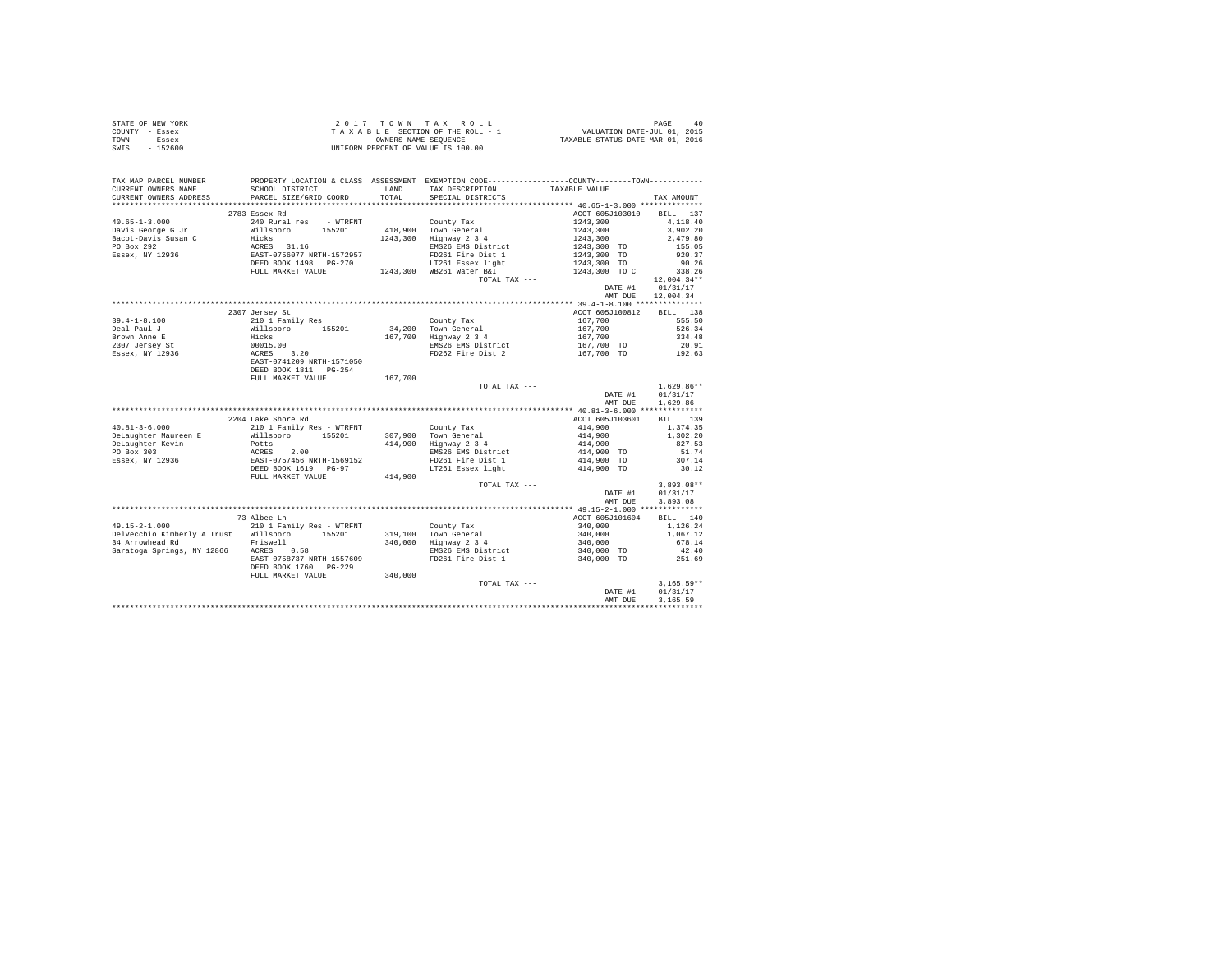|      | STATE OF NEW YORK | $2.017$ TOWN TAX ROLL              | PAGE<br>40                       |
|------|-------------------|------------------------------------|----------------------------------|
|      | COUNTY - Essex    | TAXABLE SECTION OF THE ROLL - 1    | VALUATION DATE-JUL 01, 2015      |
| TOWN | - Essex           | OWNERS NAME SEOUENCE               | TAXABLE STATUS DATE-MAR 01, 2016 |
| SWIS | $-152600$         | UNIFORM PERCENT OF VALUE IS 100.00 |                                  |

| TAX MAP PARCEL NUMBER<br>CURRENT OWNERS NAME                                | SCHOOL DISTRICT                                                                                                                      |         | PROPERTY LOCATION & CLASS ASSESSMENT EXEMPTION CODE---------------COUNTY-------TOWN---------<br>LAND TAX DESCRIPTION | TAXABLE VALUE                                                            |                   |
|-----------------------------------------------------------------------------|--------------------------------------------------------------------------------------------------------------------------------------|---------|----------------------------------------------------------------------------------------------------------------------|--------------------------------------------------------------------------|-------------------|
|                                                                             |                                                                                                                                      |         |                                                                                                                      |                                                                          |                   |
|                                                                             | 2783 Essex Rd                                                                                                                        |         |                                                                                                                      | ACCT 605J103010 BILL 137                                                 |                   |
| $40.65 - 1 - 3.000$                                                         | 240 Rural res - WTRFNT                                                                                                               |         | County Tax                                                                                                           | 1243,300                                                                 | 4,118.40          |
|                                                                             |                                                                                                                                      |         |                                                                                                                      |                                                                          | 3,902.20          |
| Davis George G Jr<br>Bacot-Davis Susan C                                    |                                                                                                                                      |         | 1243,300 Highway 2 3 4                                                                                               |                                                                          | 2,479.80          |
| PO Box 292                                                                  |                                                                                                                                      |         | EMS26 EMS District                                                                                                   |                                                                          | 155.05            |
| Essex, NY 12936                                                             |                                                                                                                                      |         | FD261 Fire Dist 1                                                                                                    | $1243,300$<br>$1243,300$<br>$1243,300$<br>$1243,300$ TO<br>$1243,300$ TO | 920.37            |
|                                                                             |                                                                                                                                      |         | LT261 Essex light                                                                                                    |                                                                          | 90.26             |
|                                                                             | FULL MARKET VALUE                                                                                                                    |         | 1243,300 WB261 Water B&I                                                                                             | $1243,300$ TO<br>$1243,300$ TO                                           | 338.26            |
|                                                                             |                                                                                                                                      |         | TOTAL TAX ---                                                                                                        |                                                                          | 12,004.34**       |
|                                                                             |                                                                                                                                      |         |                                                                                                                      | DATE #1                                                                  | 01/31/17          |
|                                                                             |                                                                                                                                      |         |                                                                                                                      |                                                                          | AMT DUE 12,004.34 |
|                                                                             |                                                                                                                                      |         |                                                                                                                      |                                                                          |                   |
|                                                                             | 2307 Jersey St                                                                                                                       |         |                                                                                                                      | ACCT 605J100812                                                          | BILL 138          |
| $39.4 - 1 - 8.100$                                                          | 210 1 Family Res                                                                                                                     |         | County Tax                                                                                                           | $167,700$ $167,700$ $167,700$                                            | 555.50            |
| Deal Paul J                                                                 |                                                                                                                                      |         | 34,200 Town General                                                                                                  |                                                                          | 526.34            |
| Brown Anne E                                                                |                                                                                                                                      |         | 167,700 Highway 2 3 4                                                                                                |                                                                          | 334.48            |
|                                                                             |                                                                                                                                      |         |                                                                                                                      |                                                                          | 20.91             |
| Brown Anne E<br>2307 Jersey St<br>Essex, NY 12936                           |                                                                                                                                      |         | EMS26 EMS District<br>FD262 Fire Dist 2                                                                              | 167,700 TO<br>167,700 TO                                                 | 192.63            |
|                                                                             | x10 - Yammir Accord<br>Willshoro 155201<br>Hicks<br>00015.00<br>ACRES 3.20<br>EAST-0741209 NRTH-1571050<br>EAST-0741209 NRTH-1571050 |         |                                                                                                                      |                                                                          |                   |
|                                                                             |                                                                                                                                      |         |                                                                                                                      |                                                                          |                   |
|                                                                             | FULL MARKET VALUE                                                                                                                    | 167,700 |                                                                                                                      |                                                                          |                   |
|                                                                             |                                                                                                                                      |         | TOTAL TAX ---                                                                                                        |                                                                          | $1,629.86**$      |
|                                                                             |                                                                                                                                      |         |                                                                                                                      | DATE #1 01/31/17                                                         |                   |
|                                                                             |                                                                                                                                      |         |                                                                                                                      | AMT DUE                                                                  | 1,629.86          |
|                                                                             |                                                                                                                                      |         |                                                                                                                      |                                                                          |                   |
|                                                                             | 2204 Lake Shore Rd                                                                                                                   |         |                                                                                                                      | ACCT 605J103601                                                          | BILL 139          |
| $40.81 - 3 - 6.000$                                                         | 210 1 Family Res - WTRFNT                                                                                                            |         | County Tax                                                                                                           | $414,900$<br>$414,900$                                                   | 1,374.35          |
| DeLaughter Maureen E                                                        | Willsboro 155201                                                                                                                     |         | 307.900 Town General                                                                                                 |                                                                          | 1,302.20          |
| DeLaughter Kevin                                                            | Potts                                                                                                                                |         | 307,900 Town General<br>414,900 Highway 2 3 4                                                                        | 414,900                                                                  | 827.53            |
| PO Box 303                                                                  |                                                                                                                                      |         | EMS26 EMS District                                                                                                   | 414,900 TO                                                               | 51.74             |
| Essex, NY 12936                                                             |                                                                                                                                      |         | FD261 Fire Dist 1                                                                                                    | 414,900 TO                                                               | 307.14            |
|                                                                             | -0008<br>RACRES 2.00<br>EAST-0757456 NRTH-1569152<br>DEED BOOK 1619 PG-97                                                            |         | LT261 Essex light 414,900 TO                                                                                         |                                                                          | 30.12             |
|                                                                             | FULL MARKET VALUE                                                                                                                    | 414,900 |                                                                                                                      |                                                                          |                   |
|                                                                             |                                                                                                                                      |         | TOTAL TAX ---                                                                                                        |                                                                          | $3,893.08**$      |
|                                                                             |                                                                                                                                      |         |                                                                                                                      | DATE #1                                                                  | 01/31/17          |
|                                                                             |                                                                                                                                      |         |                                                                                                                      | AMT DUE                                                                  | 3.893.08          |
|                                                                             |                                                                                                                                      |         |                                                                                                                      |                                                                          |                   |
|                                                                             | 73 Albee Ln                                                                                                                          |         |                                                                                                                      | ACCT 605J101604 BILL 140                                                 |                   |
| $49.15 - 2 - 1.000$                                                         | 21001 Family Res - WTRFNT<br>Trust Willshoro 155201 319,100 Town General<br>Frust Willshoro 155201 340,000 Highway 2 34              |         |                                                                                                                      | 340,000<br>340,000<br>340,000                                            | 1,126.24          |
| DelVecchio Kimberly A Trust Willsboro 155201                                |                                                                                                                                      |         |                                                                                                                      |                                                                          | 1,067.12          |
| Friswell                                                                    |                                                                                                                                      |         |                                                                                                                      |                                                                          | 678.14            |
| -- www.com Ru Research Priswell<br>-- Saratoga Springs, NY 12866 ACRES 0.58 |                                                                                                                                      |         | EMS26 EMS District                                                                                                   | $340,000$ TO                                                             | 42.40             |
|                                                                             | EAST-0758737 NRTH-1557609                                                                                                            |         | FD261 Fire Dist 1                                                                                                    | 340,000 TO                                                               | 251.69            |
|                                                                             | DEED BOOK 1760 PG-229                                                                                                                |         |                                                                                                                      |                                                                          |                   |
|                                                                             | FULL MARKET VALUE                                                                                                                    | 340,000 |                                                                                                                      |                                                                          |                   |
|                                                                             |                                                                                                                                      |         | TOTAL TAX ---                                                                                                        |                                                                          | $3,165.59**$      |
|                                                                             |                                                                                                                                      |         |                                                                                                                      | DATE #1                                                                  | 01/31/17          |
|                                                                             |                                                                                                                                      |         |                                                                                                                      | AMT DUE                                                                  | 3.165.59          |
|                                                                             |                                                                                                                                      |         |                                                                                                                      |                                                                          |                   |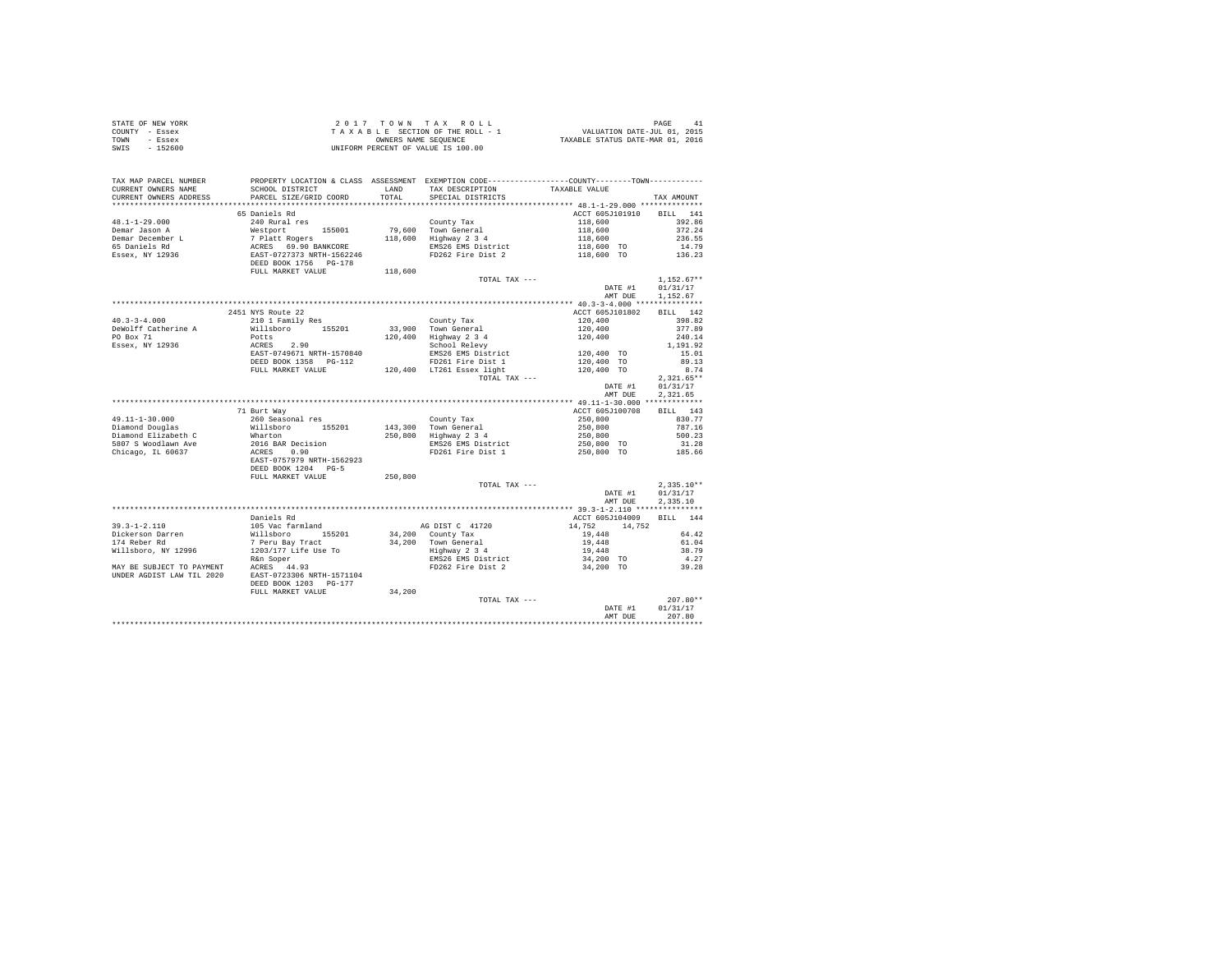| STATE OF NEW YORK | 2017 TOWN TAX ROLL                 |                                  | PAGE                        | -41 |
|-------------------|------------------------------------|----------------------------------|-----------------------------|-----|
| COUNTY - Essex    | TAXABLE SECTION OF THE ROLL - 1    |                                  | VALUATION DATE-JUL 01, 2015 |     |
| TOWN<br>- Essex   | OWNERS NAME SEOUENCE               | TAXABLE STATUS DATE-MAR 01, 2016 |                             |     |
| SWIS<br>$-152600$ | UNIFORM PERCENT OF VALUE IS 100.00 |                                  |                             |     |

| TAX MAP PARCEL NUMBER                                                                                                                                                                                                                                  | PROPERTY LOCATION & CLASS ASSESSMENT EXEMPTION CODE----------------COUNTY--------TOWN---------- |         |                                                                                                                                                                                                       |                                                                                                                          |                  |
|--------------------------------------------------------------------------------------------------------------------------------------------------------------------------------------------------------------------------------------------------------|-------------------------------------------------------------------------------------------------|---------|-------------------------------------------------------------------------------------------------------------------------------------------------------------------------------------------------------|--------------------------------------------------------------------------------------------------------------------------|------------------|
| CURRENT OWNERS NAME                                                                                                                                                                                                                                    | SCHOOL DISTRICT                                                                                 |         | LAND TAX DESCRIPTION                                                                                                                                                                                  | TAXABLE VALUE                                                                                                            |                  |
| CURRENT OWNERS ADDRESS PARCEL SIZE/GRID COORD                                                                                                                                                                                                          |                                                                                                 | TOTAL   | SPECIAL DISTRICTS                                                                                                                                                                                     |                                                                                                                          | TAX AMOUNT       |
|                                                                                                                                                                                                                                                        |                                                                                                 |         |                                                                                                                                                                                                       |                                                                                                                          |                  |
|                                                                                                                                                                                                                                                        | 65 Daniels Rd                                                                                   |         |                                                                                                                                                                                                       | ACCT 605J101910 BILL 141                                                                                                 |                  |
|                                                                                                                                                                                                                                                        |                                                                                                 |         | County Tax<br>79,600 Town General<br>118,600 372.24<br>118,600 372.24<br>Eighway 2 3 4<br>ENS26 ENS Bistrict<br>FD262 Fire Dist 2<br>118,600 TO 14.79<br>118,600 TO 136.23                            |                                                                                                                          |                  |
|                                                                                                                                                                                                                                                        |                                                                                                 |         |                                                                                                                                                                                                       |                                                                                                                          |                  |
|                                                                                                                                                                                                                                                        |                                                                                                 |         |                                                                                                                                                                                                       |                                                                                                                          |                  |
|                                                                                                                                                                                                                                                        |                                                                                                 |         |                                                                                                                                                                                                       |                                                                                                                          |                  |
|                                                                                                                                                                                                                                                        |                                                                                                 |         |                                                                                                                                                                                                       |                                                                                                                          |                  |
|                                                                                                                                                                                                                                                        |                                                                                                 |         |                                                                                                                                                                                                       |                                                                                                                          |                  |
|                                                                                                                                                                                                                                                        |                                                                                                 | 118,600 |                                                                                                                                                                                                       |                                                                                                                          |                  |
|                                                                                                                                                                                                                                                        |                                                                                                 |         | TOTAL TAX ---                                                                                                                                                                                         |                                                                                                                          | $1.152.67**$     |
|                                                                                                                                                                                                                                                        |                                                                                                 |         |                                                                                                                                                                                                       |                                                                                                                          | DATE #1 01/31/17 |
|                                                                                                                                                                                                                                                        |                                                                                                 |         |                                                                                                                                                                                                       |                                                                                                                          | AMT DUE 1.152.67 |
|                                                                                                                                                                                                                                                        |                                                                                                 |         |                                                                                                                                                                                                       |                                                                                                                          |                  |
|                                                                                                                                                                                                                                                        | 2451 NYS Route 22                                                                               |         |                                                                                                                                                                                                       | ACCT 605J101802 BILL 142                                                                                                 |                  |
|                                                                                                                                                                                                                                                        |                                                                                                 |         |                                                                                                                                                                                                       |                                                                                                                          | 398.82           |
|                                                                                                                                                                                                                                                        |                                                                                                 |         |                                                                                                                                                                                                       |                                                                                                                          | 377.89           |
|                                                                                                                                                                                                                                                        |                                                                                                 |         |                                                                                                                                                                                                       |                                                                                                                          | 240.14           |
|                                                                                                                                                                                                                                                        |                                                                                                 |         |                                                                                                                                                                                                       |                                                                                                                          | 1,191.92         |
|                                                                                                                                                                                                                                                        |                                                                                                 |         |                                                                                                                                                                                                       |                                                                                                                          | 15.01            |
|                                                                                                                                                                                                                                                        |                                                                                                 |         |                                                                                                                                                                                                       |                                                                                                                          | 89.13            |
|                                                                                                                                                                                                                                                        |                                                                                                 |         |                                                                                                                                                                                                       |                                                                                                                          | 8.74             |
|                                                                                                                                                                                                                                                        |                                                                                                 |         | ssex light<br>TOTAL TAX ---                                                                                                                                                                           |                                                                                                                          | $2.321.65**$     |
|                                                                                                                                                                                                                                                        |                                                                                                 |         |                                                                                                                                                                                                       |                                                                                                                          | DATE #1 01/31/17 |
|                                                                                                                                                                                                                                                        |                                                                                                 |         |                                                                                                                                                                                                       | AMT DUE                                                                                                                  | 2.321.65         |
|                                                                                                                                                                                                                                                        |                                                                                                 |         |                                                                                                                                                                                                       |                                                                                                                          |                  |
|                                                                                                                                                                                                                                                        | 71 Burt Way                                                                                     |         |                                                                                                                                                                                                       | ACCT 605J100708 BILL 143                                                                                                 |                  |
| 49.11-1-30.000<br>149.11-1-30.000<br>Diamond Duglas (260 Seasonal res (2010 135201 143,300 Town General<br>Diamond Blizabeth C Wharton<br>250,800 Highway 2 3 4<br>Diamond Blizabeth C Wharton<br>250,800 Highway 2 3 4<br>2507 S Woodlawn             |                                                                                                 |         |                                                                                                                                                                                                       |                                                                                                                          |                  |
|                                                                                                                                                                                                                                                        |                                                                                                 |         | County Tax 250,800<br>250,800 Town General 250,800 787.16<br>250,800 Teyr 250,800 787.16<br>250,800 Eighway 2 3 4<br>250,800 70 311.28<br>250,800 70 311.28<br>250,800 70 311.28<br>250,800 70 314.26 |                                                                                                                          |                  |
|                                                                                                                                                                                                                                                        |                                                                                                 |         |                                                                                                                                                                                                       |                                                                                                                          |                  |
|                                                                                                                                                                                                                                                        |                                                                                                 |         |                                                                                                                                                                                                       |                                                                                                                          |                  |
|                                                                                                                                                                                                                                                        |                                                                                                 |         |                                                                                                                                                                                                       |                                                                                                                          |                  |
|                                                                                                                                                                                                                                                        |                                                                                                 |         |                                                                                                                                                                                                       |                                                                                                                          |                  |
|                                                                                                                                                                                                                                                        |                                                                                                 |         |                                                                                                                                                                                                       |                                                                                                                          |                  |
|                                                                                                                                                                                                                                                        | DEED BOOK 1204 PG-5                                                                             |         |                                                                                                                                                                                                       |                                                                                                                          |                  |
|                                                                                                                                                                                                                                                        | FULL MARKET VALUE                                                                               | 250,800 |                                                                                                                                                                                                       |                                                                                                                          |                  |
|                                                                                                                                                                                                                                                        |                                                                                                 |         | TOTAL TAX ---                                                                                                                                                                                         |                                                                                                                          | $2,335.10**$     |
|                                                                                                                                                                                                                                                        |                                                                                                 |         |                                                                                                                                                                                                       |                                                                                                                          | DATE #1 01/31/17 |
|                                                                                                                                                                                                                                                        |                                                                                                 |         |                                                                                                                                                                                                       | AMT DUE                                                                                                                  | 2,335.10         |
|                                                                                                                                                                                                                                                        |                                                                                                 |         |                                                                                                                                                                                                       |                                                                                                                          |                  |
|                                                                                                                                                                                                                                                        | Daniels Rd                                                                                      |         |                                                                                                                                                                                                       | ACCT 605J104009 BILL 144                                                                                                 |                  |
| 39.3-1-2.110<br>29.3-1-2.110<br>Dickerson Darren Willsboro 155201<br>2016<br>2016<br>2017<br>2017<br>2017<br>2017<br>2017<br>2017<br>2017<br>2017<br>2017<br>2017<br>2017<br>2017<br>2017<br>2017<br>2017<br>2018<br>2019<br>2019<br>2019<br>2019<br>2 |                                                                                                 |         |                                                                                                                                                                                                       | $\begin{array}{ccccc} 14\,, 752 & & 14\,, 752 & & \\ & 19\,, 448 & & & 64\,.42 \\ & 19\,, 448 & & & 61\,.04 \end{array}$ |                  |
|                                                                                                                                                                                                                                                        |                                                                                                 |         |                                                                                                                                                                                                       |                                                                                                                          |                  |
|                                                                                                                                                                                                                                                        |                                                                                                 |         |                                                                                                                                                                                                       |                                                                                                                          |                  |
|                                                                                                                                                                                                                                                        |                                                                                                 |         |                                                                                                                                                                                                       | 19,448                                                                                                                   | 38.79            |
|                                                                                                                                                                                                                                                        |                                                                                                 |         |                                                                                                                                                                                                       | 34,200 TO<br>34,200 TO                                                                                                   | $4.27$<br>39.28  |
|                                                                                                                                                                                                                                                        |                                                                                                 |         |                                                                                                                                                                                                       |                                                                                                                          |                  |
|                                                                                                                                                                                                                                                        |                                                                                                 |         |                                                                                                                                                                                                       |                                                                                                                          |                  |
|                                                                                                                                                                                                                                                        | DEED BOOK 1203 PG-177                                                                           |         |                                                                                                                                                                                                       |                                                                                                                          |                  |
|                                                                                                                                                                                                                                                        | FULL MARKET VALUE                                                                               | 34,200  |                                                                                                                                                                                                       |                                                                                                                          |                  |
|                                                                                                                                                                                                                                                        |                                                                                                 |         | TOTAL TAX ---                                                                                                                                                                                         | $207.80**$ $01/31/17$                                                                                                    | $207.80**$       |
|                                                                                                                                                                                                                                                        |                                                                                                 |         |                                                                                                                                                                                                       |                                                                                                                          |                  |
|                                                                                                                                                                                                                                                        |                                                                                                 |         |                                                                                                                                                                                                       | AMT DUE                                                                                                                  | 207.80           |
|                                                                                                                                                                                                                                                        |                                                                                                 |         |                                                                                                                                                                                                       |                                                                                                                          |                  |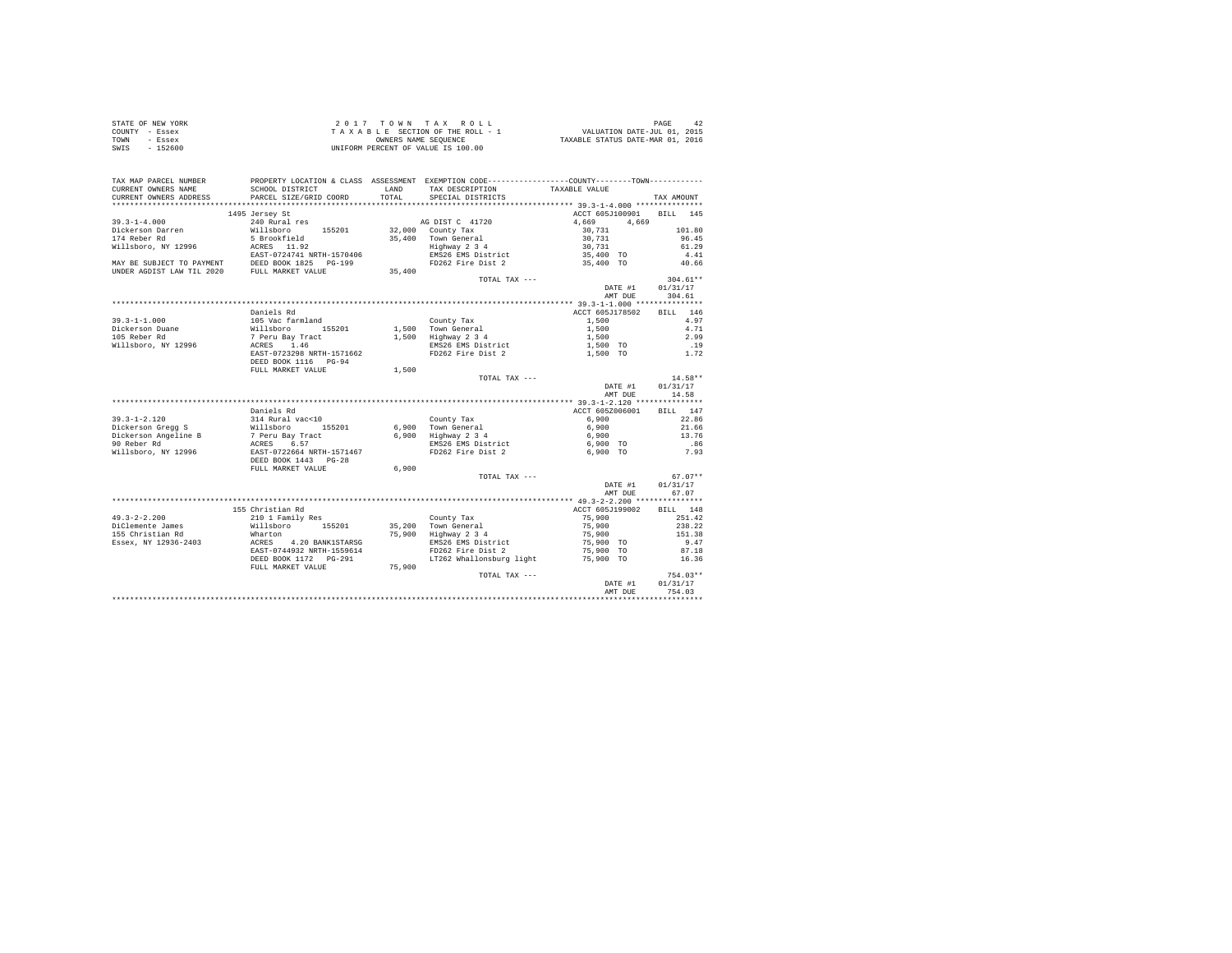|      | STATE OF NEW YORK | 2017 TOWN TAX ROLL                 | PAGE                             |
|------|-------------------|------------------------------------|----------------------------------|
|      | COUNTY - Essex    | TAXABLE SECTION OF THE ROLL - 1    | VALUATION DATE-JUL 01, 2015      |
| TOWN | - Essex           | OWNERS NAME SEOUENCE               | TAXABLE STATUS DATE-MAR 01, 2016 |
| SWIS | - 152600          | UNIFORM PERCENT OF VALUE IS 100.00 |                                  |

| TAX MAP PARCEL NUMBER                                                                                                                                                                                                                    | PROPERTY LOCATION & CLASS ASSESSMENT EXEMPTION CODE----------------COUNTY--------TOWN---------      |        |                                                                 |                          |                   |
|------------------------------------------------------------------------------------------------------------------------------------------------------------------------------------------------------------------------------------------|-----------------------------------------------------------------------------------------------------|--------|-----------------------------------------------------------------|--------------------------|-------------------|
| CURRENT OWNERS NAME                                                                                                                                                                                                                      | SCHOOL DISTRICT                                                                                     |        | LAND TAX DESCRIPTION                                            | TAXABLE VALUE            |                   |
| CURRENT OWNERS ADDRESS                                                                                                                                                                                                                   | PARCEL SIZE/GRID COORD                                                                              |        | TOTAL SPECIAL DISTRICTS                                         |                          | TAX AMOUNT        |
|                                                                                                                                                                                                                                          | 1495 Jersey St                                                                                      |        |                                                                 | ACCT 605J100901 BILL 145 |                   |
| $39.3 - 1 - 4.000$                                                                                                                                                                                                                       | 240 Rural res                                                                                       |        |                                                                 | 4,669 4,669              |                   |
|                                                                                                                                                                                                                                          |                                                                                                     |        | AG DIST C 41720<br>32,000 County Tax                            | 30,731                   | 101.80            |
|                                                                                                                                                                                                                                          |                                                                                                     |        |                                                                 |                          | 96.45             |
|                                                                                                                                                                                                                                          |                                                                                                     |        | 35,400 Town General<br>Highway 2 3 4                            | 30,731<br>30,731         | 61.29             |
|                                                                                                                                                                                                                                          |                                                                                                     |        |                                                                 |                          | 4.41              |
|                                                                                                                                                                                                                                          |                                                                                                     |        | EMS26 EMS District<br>FD262 Fire Dist 2 35,400 TO               |                          | 40.66             |
| 39.3-1-4.000<br>Dickerson Darren Millsboro 155201<br>174 Reber Rd 5 Brookfield<br>Willsboro, NY 12996 12857-0724741 NRTH-1570406<br>MAP BE SUBJECT TO PAYMENT DEED BOOK 1825 PG-199<br>NNDER AGDIST LAW TIL 2020 PULL MARKET VALUE       |                                                                                                     | 35,400 |                                                                 |                          |                   |
|                                                                                                                                                                                                                                          |                                                                                                     |        | TOTAL TAX ---                                                   |                          | $304.61**$        |
|                                                                                                                                                                                                                                          |                                                                                                     |        |                                                                 | DATE #1 01/31/17         |                   |
|                                                                                                                                                                                                                                          |                                                                                                     |        |                                                                 | AMT DUE 304.61           |                   |
|                                                                                                                                                                                                                                          |                                                                                                     |        |                                                                 |                          |                   |
|                                                                                                                                                                                                                                          | Daniels Rd                                                                                          |        |                                                                 | ACCT 605J178502 BILL 146 |                   |
| $39.3 - 1 - 1.000$                                                                                                                                                                                                                       |                                                                                                     |        | County Tax                                                      | 1,500                    | 4.97              |
| Dickerson Duane<br>105 Reber Rd                                                                                                                                                                                                          | 105 Vac farmland<br>Willsboro 155201<br>7 Peru Bay Tract<br>ACRES 1.46<br>PAST 0733308 NUTU 1571663 |        | 1,500 Town General<br>1,500 Town General<br>1,500 Highway 2 3 4 | 1,500                    | 4.71              |
|                                                                                                                                                                                                                                          |                                                                                                     |        |                                                                 | 1,500                    | 2.99              |
| Willsboro, NY 12996                                                                                                                                                                                                                      |                                                                                                     |        | EMS26 EMS District                                              | 1,500 TO                 | .19               |
|                                                                                                                                                                                                                                          | EAST-0723298 NRTH-1571662                                                                           |        | FD262 Fire Dist 2 1,500 TO 1.72                                 |                          |                   |
|                                                                                                                                                                                                                                          | DEED BOOK 1116 PG-94                                                                                |        |                                                                 |                          |                   |
|                                                                                                                                                                                                                                          | FULL MARKET VALUE                                                                                   | 1,500  |                                                                 |                          |                   |
|                                                                                                                                                                                                                                          |                                                                                                     |        | TOTAL TAX ---                                                   |                          | $14.58**$         |
|                                                                                                                                                                                                                                          |                                                                                                     |        |                                                                 | DATE #1<br>AMT DUE       | 01/31/17<br>14.58 |
|                                                                                                                                                                                                                                          |                                                                                                     |        |                                                                 |                          |                   |
|                                                                                                                                                                                                                                          | Daniels Rd                                                                                          |        |                                                                 | ACCT 605Z006001 BILL 147 |                   |
| 39.3-1-2.120<br>Dickerson Gregg S (Millaboro 155201 6,900<br>Dickerson Angeline B 7 Peru Bay Tract 6,900<br>90 Reber Rd (MIRCH) ACRES 6.57<br>Willaboro, NY 12996 EAST-0722664 NRTH-1571467<br>EAST-0722664 NRTH-1571467<br>EAST-0722664 |                                                                                                     |        | County Tax                                                      | 6,900                    | 22.86             |
|                                                                                                                                                                                                                                          |                                                                                                     |        |                                                                 | 6,900                    | 21.66             |
|                                                                                                                                                                                                                                          |                                                                                                     |        | 6,900 Town General<br>6,900 Highway 2 3 4                       | 6,900                    | 13.76             |
|                                                                                                                                                                                                                                          |                                                                                                     |        |                                                                 | 6,900 TO                 | .86               |
|                                                                                                                                                                                                                                          |                                                                                                     |        | EMS26 EMS District<br>FD262 Fire Dist 2                         | 6,900 TO                 | 7.93              |
|                                                                                                                                                                                                                                          |                                                                                                     |        |                                                                 |                          |                   |
|                                                                                                                                                                                                                                          | FULL MARKET VALUE 6,900                                                                             |        |                                                                 |                          |                   |
|                                                                                                                                                                                                                                          |                                                                                                     |        | TOTAL TAX ---                                                   |                          | $67.07**$         |
|                                                                                                                                                                                                                                          |                                                                                                     |        |                                                                 | DATE #1                  | 01/31/17          |
|                                                                                                                                                                                                                                          |                                                                                                     |        |                                                                 | AMT DUE                  | 67.07             |
|                                                                                                                                                                                                                                          |                                                                                                     |        |                                                                 |                          |                   |
|                                                                                                                                                                                                                                          | 155 Christian Rd                                                                                    |        |                                                                 | ACCT 605J199002 BILL 148 |                   |
| $49.3 - 2 - 2.200$                                                                                                                                                                                                                       |                                                                                                     |        |                                                                 | 75,900                   | 251.42            |
| DiClemente James                                                                                                                                                                                                                         |                                                                                                     |        |                                                                 | 75,900<br>75,900         | 238.22            |
| 155 Christian Rd                                                                                                                                                                                                                         |                                                                                                     |        |                                                                 |                          | 151.38            |
|                                                                                                                                                                                                                                          |                                                                                                     |        | EMS26 EMS District<br>FD262 Fire Dist 2                         | 75,900 TO<br>75,900 TO   | 9.47<br>87.18     |
|                                                                                                                                                                                                                                          |                                                                                                     |        |                                                                 |                          | 16.36             |
|                                                                                                                                                                                                                                          | FULL MARKET VALUE 75,900                                                                            |        | LT262 Whallonsburg light 75,900 TO                              |                          |                   |
|                                                                                                                                                                                                                                          |                                                                                                     |        | TOTAL TAX ---                                                   |                          | $754.03**$        |
|                                                                                                                                                                                                                                          |                                                                                                     |        |                                                                 | DATE #1                  | 01/31/17          |
|                                                                                                                                                                                                                                          |                                                                                                     |        |                                                                 | AMT DUE 754.03           |                   |
|                                                                                                                                                                                                                                          |                                                                                                     |        |                                                                 |                          |                   |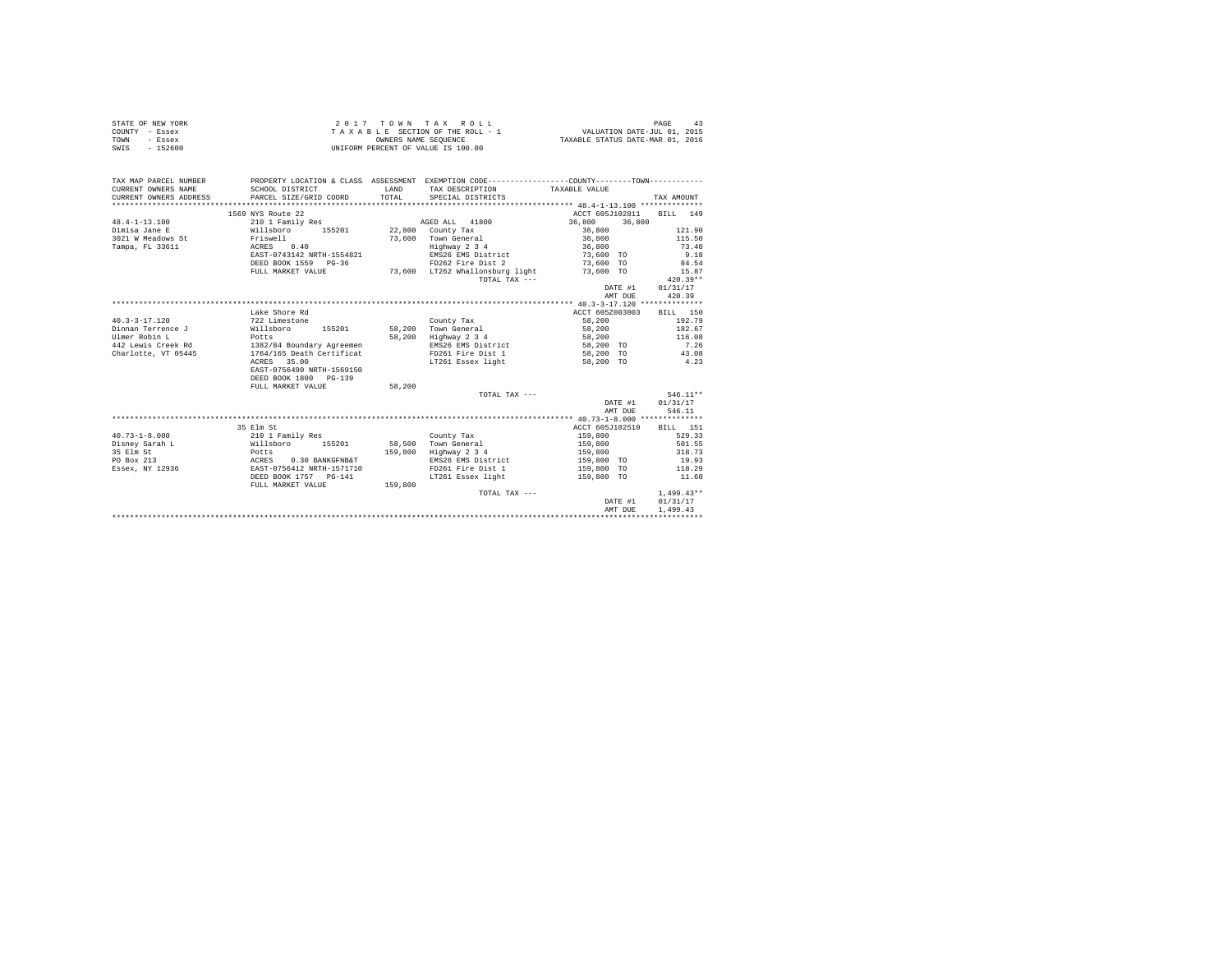| STATE OF NEW YORK<br>COUNTY - Essex<br>- Essex<br>TOWN<br>$-152600$<br>SWIS |                                                                                      |                | 2017 TOWN TAX ROLL<br>$\begin{array}{ccccccccc} 2&0&1&7&7&0&m&\text{if a}&\text{if a}&\text{if a}&\text{if a}&\text{if a}&\text{if a}&\text{if a}&\text{if a}&\text{if a}&\text{if a}&\text{if a}&\text{if a}&\text{if a}&\text{if a}&\text{if a}&\text{if a}&\text{if a}&\text{if a}&\text{if a}&\text{if a}&\text{if a}&\text{if a}&\text{if a}&\text{if a}&\text{if a}&\text{if a}&\text{if a}&\text{if a}&\text{if a}&\text{if a}&\text{if a}&\text{if a}&\text{if a$<br>UNIFORM PERCENT OF VALUE IS 100.00 |                       | PAGE<br>43          |
|-----------------------------------------------------------------------------|--------------------------------------------------------------------------------------|----------------|-----------------------------------------------------------------------------------------------------------------------------------------------------------------------------------------------------------------------------------------------------------------------------------------------------------------------------------------------------------------------------------------------------------------------------------------------------------------------------------------------------------------|-----------------------|---------------------|
| TAX MAP PARCEL NUMBER                                                       |                                                                                      |                | PROPERTY LOCATION & CLASS ASSESSMENT EXEMPTION CODE---------------COUNTY-------TOWN---------                                                                                                                                                                                                                                                                                                                                                                                                                    |                       |                     |
| CURRENT OWNERS NAME<br>CURRENT OWNERS ADDRESS                               | SCHOOL DISTRICT<br>PARCEL SIZE/GRID COORD                                            | LAND<br>TOTAL. | TAX DESCRIPTION<br>SPECIAL DISTRICTS                                                                                                                                                                                                                                                                                                                                                                                                                                                                            | TAXABLE VALUE         | TAX AMOUNT          |
|                                                                             |                                                                                      |                |                                                                                                                                                                                                                                                                                                                                                                                                                                                                                                                 |                       |                     |
|                                                                             | 1569 NYS Route 22                                                                    |                |                                                                                                                                                                                                                                                                                                                                                                                                                                                                                                                 | ACCT 605J102811       | BILL 149            |
| $48.4 - 1 - 13.100$                                                         | 210 1 Family Res                                                                     |                | AGED ALL 41800                                                                                                                                                                                                                                                                                                                                                                                                                                                                                                  | 36,800 36,800         |                     |
| Dimisa Jane E                                                               | Willsboro 155201                                                                     |                | 22,800 County Tax                                                                                                                                                                                                                                                                                                                                                                                                                                                                                               | 36,800                | 121.90              |
| 3021 W Meadows St                                                           | Friswell                                                                             |                | 73,600 Town General                                                                                                                                                                                                                                                                                                                                                                                                                                                                                             | 36,800                | 115.50              |
| Tampa, FL 33611                                                             | 0.40<br>ACRES                                                                        |                | Highway 2 3 4                                                                                                                                                                                                                                                                                                                                                                                                                                                                                                   | 36,800                | 73.40               |
|                                                                             | EAST-0743142 NRTH-1554821                                                            |                | EMS26 EMS District                                                                                                                                                                                                                                                                                                                                                                                                                                                                                              | 73,600 TO             | 9.18                |
|                                                                             | DEED BOOK 1559 PG-36                                                                 |                | FD262 Fire Dist 2                                                                                                                                                                                                                                                                                                                                                                                                                                                                                               | 73,600 TO             | 84.54               |
|                                                                             | FULL MARKET VALUE                                                                    |                | 73.600 LT262 Whallonsburg light<br>TOTAL TAX ---                                                                                                                                                                                                                                                                                                                                                                                                                                                                | 73,600 TO             | 15.87<br>$420.39**$ |
|                                                                             |                                                                                      |                |                                                                                                                                                                                                                                                                                                                                                                                                                                                                                                                 | DATE #1               | 01/31/17            |
|                                                                             |                                                                                      |                |                                                                                                                                                                                                                                                                                                                                                                                                                                                                                                                 | AMT DUE               | 420.39              |
|                                                                             |                                                                                      |                |                                                                                                                                                                                                                                                                                                                                                                                                                                                                                                                 |                       |                     |
|                                                                             | Lake Shore Rd                                                                        |                |                                                                                                                                                                                                                                                                                                                                                                                                                                                                                                                 | ACCT 605Z003003       | BILL 150            |
| $40.3 - 3 - 17.120$                                                         | 722 Limestone                                                                        |                | County Tax                                                                                                                                                                                                                                                                                                                                                                                                                                                                                                      | 58,200                | 192.79              |
| Dinnan Terrence J                                                           | Willsboro 155201                                                                     |                | 58.200 Town General                                                                                                                                                                                                                                                                                                                                                                                                                                                                                             | 58,200                | 182.67              |
| Ulmer Robin L                                                               | Potts                                                                                |                | 58,200 Highway 2 3 4                                                                                                                                                                                                                                                                                                                                                                                                                                                                                            | 58,200                | 116.08              |
| 442 Lewis Creek Rd                                                          | 1382/84 Boundary Agreemen                                                            |                | EMS26 EMS District                                                                                                                                                                                                                                                                                                                                                                                                                                                                                              | 58,200 TO             | 7.26                |
| Charlotte, VT 05445                                                         | 1764/165 Death Certificat                                                            |                | FD261 Fire Dist 1                                                                                                                                                                                                                                                                                                                                                                                                                                                                                               | 58,200 TO             | 43.08               |
|                                                                             | ACRES 35.00                                                                          |                | LT261 Essex light                                                                                                                                                                                                                                                                                                                                                                                                                                                                                               | 58,200 TO             | 4.23                |
|                                                                             | EAST-0756490 NRTH-1569150                                                            |                |                                                                                                                                                                                                                                                                                                                                                                                                                                                                                                                 |                       |                     |
|                                                                             | DEED BOOK 1800 PG-139                                                                |                |                                                                                                                                                                                                                                                                                                                                                                                                                                                                                                                 |                       |                     |
|                                                                             | FULL MARKET VALUE                                                                    | 58,200         |                                                                                                                                                                                                                                                                                                                                                                                                                                                                                                                 |                       |                     |
|                                                                             |                                                                                      |                | TOTAL TAX ---                                                                                                                                                                                                                                                                                                                                                                                                                                                                                                   |                       | 546.11**            |
|                                                                             |                                                                                      |                |                                                                                                                                                                                                                                                                                                                                                                                                                                                                                                                 | DATE #1               | 01/31/17            |
|                                                                             |                                                                                      |                |                                                                                                                                                                                                                                                                                                                                                                                                                                                                                                                 | AMT DUE               | 546.11              |
|                                                                             |                                                                                      |                |                                                                                                                                                                                                                                                                                                                                                                                                                                                                                                                 |                       |                     |
|                                                                             | 35 Elm St                                                                            |                |                                                                                                                                                                                                                                                                                                                                                                                                                                                                                                                 | ACCT 605J102510       | BTLL 151            |
| $40.73 - 1 - 8.000$                                                         | 210 1 Family Res                                                                     |                | County Tax                                                                                                                                                                                                                                                                                                                                                                                                                                                                                                      | 159,800               | 529.33              |
| Disney Sarah L                                                              | Willsboro<br>155201                                                                  |                | 58,500 Town General                                                                                                                                                                                                                                                                                                                                                                                                                                                                                             | 159,800               | 501.55              |
| 35 Elm St<br>PO Box 213                                                     | Potts<br>ACRES 0.30 BANKGFNB&T<br>EAST-0756412 NRTH-1571710<br>DEED BOOK 1757 PG-141 | 159,800        | Highway 2 3 4<br>EMS26 EMS District                                                                                                                                                                                                                                                                                                                                                                                                                                                                             | 159,800<br>159,800 TO | 318.73<br>19.93     |
| Essex, NY 12936                                                             |                                                                                      |                | FD261 Fire Dist 1                                                                                                                                                                                                                                                                                                                                                                                                                                                                                               | 159,800 TO            | 118.29              |
|                                                                             |                                                                                      |                | LT261 Essex light                                                                                                                                                                                                                                                                                                                                                                                                                                                                                               | 159,800 TO            | 11.60               |
|                                                                             | FULL MARKET VALUE                                                                    | 159,800        |                                                                                                                                                                                                                                                                                                                                                                                                                                                                                                                 |                       |                     |
|                                                                             |                                                                                      |                | TOTAL TAX ---                                                                                                                                                                                                                                                                                                                                                                                                                                                                                                   |                       | $1.499.43**$        |
|                                                                             |                                                                                      |                |                                                                                                                                                                                                                                                                                                                                                                                                                                                                                                                 | DATE #1               | 01/31/17            |
|                                                                             |                                                                                      |                |                                                                                                                                                                                                                                                                                                                                                                                                                                                                                                                 | AMT DUE               | 1,499.43            |
|                                                                             |                                                                                      |                |                                                                                                                                                                                                                                                                                                                                                                                                                                                                                                                 |                       |                     |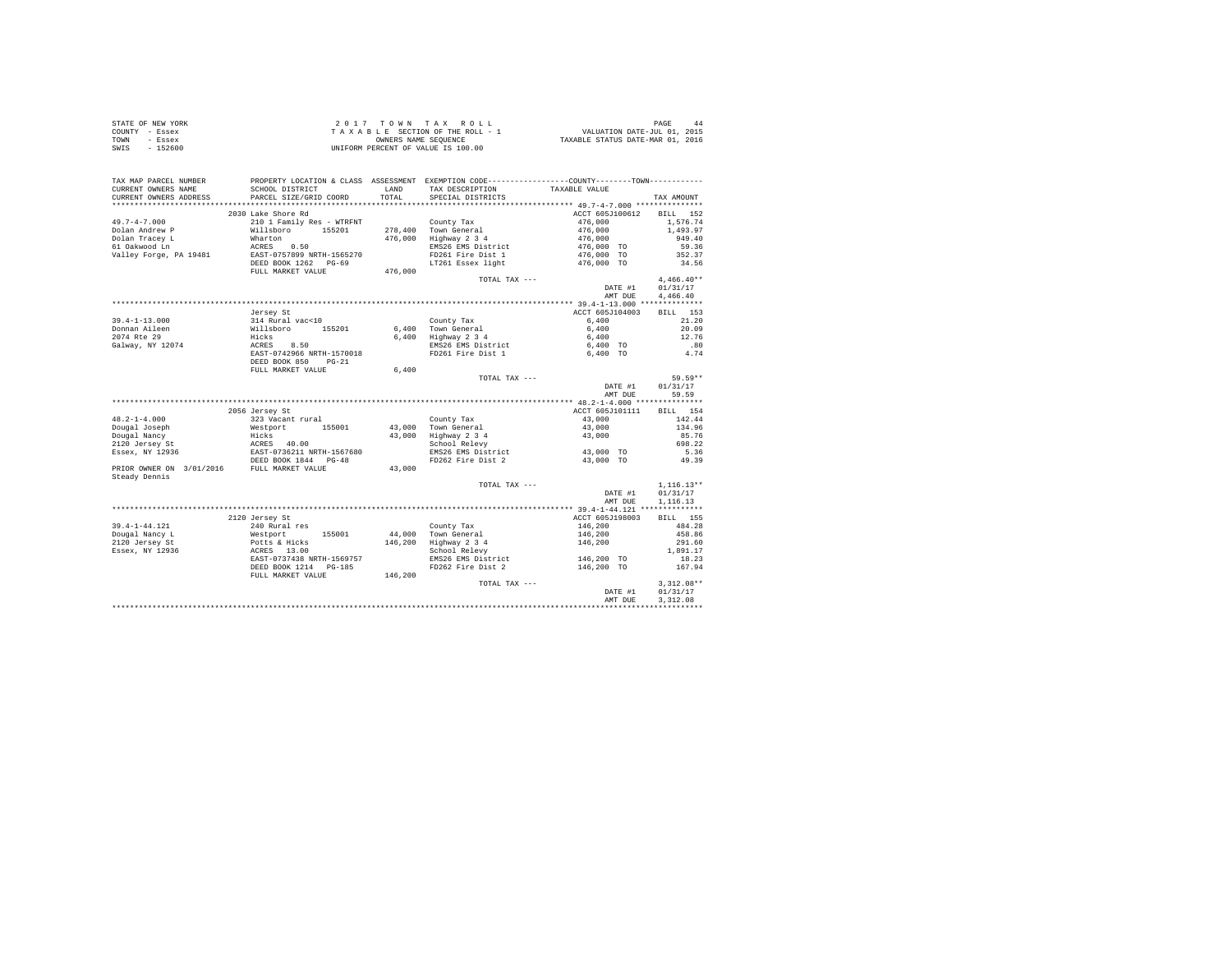| STATE OF NEW YORK |           | 2017 TOWN TAX ROLL                 | PAGE                             |
|-------------------|-----------|------------------------------------|----------------------------------|
| COUNTY - Essex    |           | TAXABLE SECTION OF THE ROLL - 1    | VALUATION DATE-JUL 01, 2015      |
| TOWN              | - Essex   | OWNERS NAME SEOUENCE               | TAXABLE STATUS DATE-MAR 01, 2016 |
| SWIS              | $-152600$ | UNIFORM PERCENT OF VALUE IS 100.00 |                                  |

| TOTAL SPECIAL DISTRICTS<br>CURRENT OWNERS ADDRESS<br>PARCEL SIZE/GRID COORD<br>TAX AMOUNT<br>2030 Lake Shore Rd<br>ACCT 605J100612 BILL 152<br>2000 Base Jones County Tax<br>2010 1 Pamily Res - WTRENT<br>Willshoro 155201 278,400 Town General<br>Marton 155201 278,400 BMSDWay 2 34<br>ACRES 0.50 28876 BMSD 28826 BMSD 261<br>EXEST-0757899 BRTH-1565270<br>EXES POR 1261 Eric DEED 1<br>$476,000$<br>$476,000$<br>$476,000$<br>1,576.74<br>1,493.97<br>949.40<br>------ -----; -<br>61 Oakwood Ln<br>Valley Forge, PA 19481<br>EMS26 EMS District<br>476,000 TO<br>59.36<br>476,000 TO<br>352.37<br>LT261 Essex light 476,000 TO<br>34.56<br>TOTAL TAX ---<br>$4,466.40**$<br>DATE #1 01/31/17<br>4,466.40<br>AMT DUE<br>ACCT 605J104003<br>BILL 153<br>Jersey St<br>6.400<br>21.20<br>$6,400$<br>$6,400$<br>20.09<br>12.76<br>.80<br>6,400 TO<br>4.74<br>6,400 TO<br>DEED BOOK 850 PG-21<br>FULL MARKET VALUE<br>6.400<br>59.59**<br>TOTAL TAX ---<br>DATE #1 01/31/17<br>59.59<br>AMT DUE<br>ACCT 605J101111 BILL 154<br>2056 Jersey St<br>323 Vacant rural<br>43,000<br>142.44<br>County Tax<br>$43,000$<br>$43,000$<br>134.96<br>85.76<br>698.22<br>EMS26 EMS District 43,000 TO<br>5.36<br>FD262 Fire Dist 2<br>49.39<br>43,000 TO<br>$1,116.13**$<br>TOTAL TAX ---<br>DATE #1<br>01/31/17<br>1,116.13<br>AMT DUE<br>ACCT 605J198003<br>2120 Jersey St<br>BILL 155<br>$\begin{tabular}{lllllllllllll} 39.4-1-44.121 & \mbox{240 Rurles} & \mbox{County Tax} & \mbox{County Tax} \\ \hline \texttt{Dougal Nancy L} & \mbox{44.000 Town General} & \mbox{Coulge 14.000 Tour General} \\ \texttt{2120 Jersey L} & \mbox{74.000 Tour General} & \mbox{84.001 Tour General} & \mbox{146.200 Hifhway 2 3 4} \\ \texttt{2120 Jersey S} & \mbox{84.002 Releyy 146,200 Rley 13$<br>146,200<br>146,200<br>484.28<br>458.86<br>146,200<br>291.60<br>1,891.17<br>146,200 TO<br>EMS26 EMS District<br>18.23<br>$^{9}$ G-185<br>146,200<br>FD262 Fire Dist 2 146,200 TO<br>DEED BOOK 1214 PG-185<br>167.94<br>FULL MARKET VALUE<br>TOTAL TAX ---<br>$3,312.08**$<br>DATE #1<br>01/31/17<br>AMT DUE<br>3,312.08 | TAX MAP PARCEL NUMBER<br>CURRENT OWNERS NAME | SCHOOL DISTRICT | PROPERTY LOCATION & CLASS ASSESSMENT EXEMPTION CODE----------------COUNTY--------TOWN----------<br>LAND TAX DESCRIPTION TAXABLE VALUE |  |
|------------------------------------------------------------------------------------------------------------------------------------------------------------------------------------------------------------------------------------------------------------------------------------------------------------------------------------------------------------------------------------------------------------------------------------------------------------------------------------------------------------------------------------------------------------------------------------------------------------------------------------------------------------------------------------------------------------------------------------------------------------------------------------------------------------------------------------------------------------------------------------------------------------------------------------------------------------------------------------------------------------------------------------------------------------------------------------------------------------------------------------------------------------------------------------------------------------------------------------------------------------------------------------------------------------------------------------------------------------------------------------------------------------------------------------------------------------------------------------------------------------------------------------------------------------------------------------------------------------------------------------------------------------------------------------------------------------------------------------------------------------------------------------------------------------------------------------------------------------------------------------------------------------------------------------------------------------------------------------------------------------------------------------------------------------------------------------------------------------|----------------------------------------------|-----------------|---------------------------------------------------------------------------------------------------------------------------------------|--|
|                                                                                                                                                                                                                                                                                                                                                                                                                                                                                                                                                                                                                                                                                                                                                                                                                                                                                                                                                                                                                                                                                                                                                                                                                                                                                                                                                                                                                                                                                                                                                                                                                                                                                                                                                                                                                                                                                                                                                                                                                                                                                                            |                                              |                 |                                                                                                                                       |  |
|                                                                                                                                                                                                                                                                                                                                                                                                                                                                                                                                                                                                                                                                                                                                                                                                                                                                                                                                                                                                                                                                                                                                                                                                                                                                                                                                                                                                                                                                                                                                                                                                                                                                                                                                                                                                                                                                                                                                                                                                                                                                                                            |                                              |                 |                                                                                                                                       |  |
|                                                                                                                                                                                                                                                                                                                                                                                                                                                                                                                                                                                                                                                                                                                                                                                                                                                                                                                                                                                                                                                                                                                                                                                                                                                                                                                                                                                                                                                                                                                                                                                                                                                                                                                                                                                                                                                                                                                                                                                                                                                                                                            |                                              |                 |                                                                                                                                       |  |
|                                                                                                                                                                                                                                                                                                                                                                                                                                                                                                                                                                                                                                                                                                                                                                                                                                                                                                                                                                                                                                                                                                                                                                                                                                                                                                                                                                                                                                                                                                                                                                                                                                                                                                                                                                                                                                                                                                                                                                                                                                                                                                            | $49.7 - 4 - 7.000$                           |                 |                                                                                                                                       |  |
|                                                                                                                                                                                                                                                                                                                                                                                                                                                                                                                                                                                                                                                                                                                                                                                                                                                                                                                                                                                                                                                                                                                                                                                                                                                                                                                                                                                                                                                                                                                                                                                                                                                                                                                                                                                                                                                                                                                                                                                                                                                                                                            | Dolan Andrew P                               |                 |                                                                                                                                       |  |
|                                                                                                                                                                                                                                                                                                                                                                                                                                                                                                                                                                                                                                                                                                                                                                                                                                                                                                                                                                                                                                                                                                                                                                                                                                                                                                                                                                                                                                                                                                                                                                                                                                                                                                                                                                                                                                                                                                                                                                                                                                                                                                            | Dolan Tracey L                               |                 |                                                                                                                                       |  |
|                                                                                                                                                                                                                                                                                                                                                                                                                                                                                                                                                                                                                                                                                                                                                                                                                                                                                                                                                                                                                                                                                                                                                                                                                                                                                                                                                                                                                                                                                                                                                                                                                                                                                                                                                                                                                                                                                                                                                                                                                                                                                                            |                                              |                 |                                                                                                                                       |  |
|                                                                                                                                                                                                                                                                                                                                                                                                                                                                                                                                                                                                                                                                                                                                                                                                                                                                                                                                                                                                                                                                                                                                                                                                                                                                                                                                                                                                                                                                                                                                                                                                                                                                                                                                                                                                                                                                                                                                                                                                                                                                                                            |                                              |                 |                                                                                                                                       |  |
|                                                                                                                                                                                                                                                                                                                                                                                                                                                                                                                                                                                                                                                                                                                                                                                                                                                                                                                                                                                                                                                                                                                                                                                                                                                                                                                                                                                                                                                                                                                                                                                                                                                                                                                                                                                                                                                                                                                                                                                                                                                                                                            |                                              |                 |                                                                                                                                       |  |
|                                                                                                                                                                                                                                                                                                                                                                                                                                                                                                                                                                                                                                                                                                                                                                                                                                                                                                                                                                                                                                                                                                                                                                                                                                                                                                                                                                                                                                                                                                                                                                                                                                                                                                                                                                                                                                                                                                                                                                                                                                                                                                            |                                              |                 |                                                                                                                                       |  |
|                                                                                                                                                                                                                                                                                                                                                                                                                                                                                                                                                                                                                                                                                                                                                                                                                                                                                                                                                                                                                                                                                                                                                                                                                                                                                                                                                                                                                                                                                                                                                                                                                                                                                                                                                                                                                                                                                                                                                                                                                                                                                                            |                                              |                 |                                                                                                                                       |  |
|                                                                                                                                                                                                                                                                                                                                                                                                                                                                                                                                                                                                                                                                                                                                                                                                                                                                                                                                                                                                                                                                                                                                                                                                                                                                                                                                                                                                                                                                                                                                                                                                                                                                                                                                                                                                                                                                                                                                                                                                                                                                                                            |                                              |                 |                                                                                                                                       |  |
|                                                                                                                                                                                                                                                                                                                                                                                                                                                                                                                                                                                                                                                                                                                                                                                                                                                                                                                                                                                                                                                                                                                                                                                                                                                                                                                                                                                                                                                                                                                                                                                                                                                                                                                                                                                                                                                                                                                                                                                                                                                                                                            |                                              |                 |                                                                                                                                       |  |
|                                                                                                                                                                                                                                                                                                                                                                                                                                                                                                                                                                                                                                                                                                                                                                                                                                                                                                                                                                                                                                                                                                                                                                                                                                                                                                                                                                                                                                                                                                                                                                                                                                                                                                                                                                                                                                                                                                                                                                                                                                                                                                            |                                              |                 |                                                                                                                                       |  |
|                                                                                                                                                                                                                                                                                                                                                                                                                                                                                                                                                                                                                                                                                                                                                                                                                                                                                                                                                                                                                                                                                                                                                                                                                                                                                                                                                                                                                                                                                                                                                                                                                                                                                                                                                                                                                                                                                                                                                                                                                                                                                                            |                                              |                 |                                                                                                                                       |  |
|                                                                                                                                                                                                                                                                                                                                                                                                                                                                                                                                                                                                                                                                                                                                                                                                                                                                                                                                                                                                                                                                                                                                                                                                                                                                                                                                                                                                                                                                                                                                                                                                                                                                                                                                                                                                                                                                                                                                                                                                                                                                                                            |                                              |                 |                                                                                                                                       |  |
|                                                                                                                                                                                                                                                                                                                                                                                                                                                                                                                                                                                                                                                                                                                                                                                                                                                                                                                                                                                                                                                                                                                                                                                                                                                                                                                                                                                                                                                                                                                                                                                                                                                                                                                                                                                                                                                                                                                                                                                                                                                                                                            |                                              |                 |                                                                                                                                       |  |
|                                                                                                                                                                                                                                                                                                                                                                                                                                                                                                                                                                                                                                                                                                                                                                                                                                                                                                                                                                                                                                                                                                                                                                                                                                                                                                                                                                                                                                                                                                                                                                                                                                                                                                                                                                                                                                                                                                                                                                                                                                                                                                            |                                              |                 |                                                                                                                                       |  |
|                                                                                                                                                                                                                                                                                                                                                                                                                                                                                                                                                                                                                                                                                                                                                                                                                                                                                                                                                                                                                                                                                                                                                                                                                                                                                                                                                                                                                                                                                                                                                                                                                                                                                                                                                                                                                                                                                                                                                                                                                                                                                                            |                                              |                 |                                                                                                                                       |  |
|                                                                                                                                                                                                                                                                                                                                                                                                                                                                                                                                                                                                                                                                                                                                                                                                                                                                                                                                                                                                                                                                                                                                                                                                                                                                                                                                                                                                                                                                                                                                                                                                                                                                                                                                                                                                                                                                                                                                                                                                                                                                                                            |                                              |                 |                                                                                                                                       |  |
|                                                                                                                                                                                                                                                                                                                                                                                                                                                                                                                                                                                                                                                                                                                                                                                                                                                                                                                                                                                                                                                                                                                                                                                                                                                                                                                                                                                                                                                                                                                                                                                                                                                                                                                                                                                                                                                                                                                                                                                                                                                                                                            |                                              |                 |                                                                                                                                       |  |
|                                                                                                                                                                                                                                                                                                                                                                                                                                                                                                                                                                                                                                                                                                                                                                                                                                                                                                                                                                                                                                                                                                                                                                                                                                                                                                                                                                                                                                                                                                                                                                                                                                                                                                                                                                                                                                                                                                                                                                                                                                                                                                            |                                              |                 |                                                                                                                                       |  |
|                                                                                                                                                                                                                                                                                                                                                                                                                                                                                                                                                                                                                                                                                                                                                                                                                                                                                                                                                                                                                                                                                                                                                                                                                                                                                                                                                                                                                                                                                                                                                                                                                                                                                                                                                                                                                                                                                                                                                                                                                                                                                                            |                                              |                 |                                                                                                                                       |  |
|                                                                                                                                                                                                                                                                                                                                                                                                                                                                                                                                                                                                                                                                                                                                                                                                                                                                                                                                                                                                                                                                                                                                                                                                                                                                                                                                                                                                                                                                                                                                                                                                                                                                                                                                                                                                                                                                                                                                                                                                                                                                                                            |                                              |                 |                                                                                                                                       |  |
|                                                                                                                                                                                                                                                                                                                                                                                                                                                                                                                                                                                                                                                                                                                                                                                                                                                                                                                                                                                                                                                                                                                                                                                                                                                                                                                                                                                                                                                                                                                                                                                                                                                                                                                                                                                                                                                                                                                                                                                                                                                                                                            |                                              |                 |                                                                                                                                       |  |
|                                                                                                                                                                                                                                                                                                                                                                                                                                                                                                                                                                                                                                                                                                                                                                                                                                                                                                                                                                                                                                                                                                                                                                                                                                                                                                                                                                                                                                                                                                                                                                                                                                                                                                                                                                                                                                                                                                                                                                                                                                                                                                            |                                              |                 |                                                                                                                                       |  |
|                                                                                                                                                                                                                                                                                                                                                                                                                                                                                                                                                                                                                                                                                                                                                                                                                                                                                                                                                                                                                                                                                                                                                                                                                                                                                                                                                                                                                                                                                                                                                                                                                                                                                                                                                                                                                                                                                                                                                                                                                                                                                                            |                                              |                 |                                                                                                                                       |  |
|                                                                                                                                                                                                                                                                                                                                                                                                                                                                                                                                                                                                                                                                                                                                                                                                                                                                                                                                                                                                                                                                                                                                                                                                                                                                                                                                                                                                                                                                                                                                                                                                                                                                                                                                                                                                                                                                                                                                                                                                                                                                                                            | $48.2 - 1 - 4.000$                           |                 |                                                                                                                                       |  |
|                                                                                                                                                                                                                                                                                                                                                                                                                                                                                                                                                                                                                                                                                                                                                                                                                                                                                                                                                                                                                                                                                                                                                                                                                                                                                                                                                                                                                                                                                                                                                                                                                                                                                                                                                                                                                                                                                                                                                                                                                                                                                                            |                                              |                 |                                                                                                                                       |  |
|                                                                                                                                                                                                                                                                                                                                                                                                                                                                                                                                                                                                                                                                                                                                                                                                                                                                                                                                                                                                                                                                                                                                                                                                                                                                                                                                                                                                                                                                                                                                                                                                                                                                                                                                                                                                                                                                                                                                                                                                                                                                                                            |                                              |                 |                                                                                                                                       |  |
|                                                                                                                                                                                                                                                                                                                                                                                                                                                                                                                                                                                                                                                                                                                                                                                                                                                                                                                                                                                                                                                                                                                                                                                                                                                                                                                                                                                                                                                                                                                                                                                                                                                                                                                                                                                                                                                                                                                                                                                                                                                                                                            |                                              |                 |                                                                                                                                       |  |
|                                                                                                                                                                                                                                                                                                                                                                                                                                                                                                                                                                                                                                                                                                                                                                                                                                                                                                                                                                                                                                                                                                                                                                                                                                                                                                                                                                                                                                                                                                                                                                                                                                                                                                                                                                                                                                                                                                                                                                                                                                                                                                            |                                              |                 |                                                                                                                                       |  |
|                                                                                                                                                                                                                                                                                                                                                                                                                                                                                                                                                                                                                                                                                                                                                                                                                                                                                                                                                                                                                                                                                                                                                                                                                                                                                                                                                                                                                                                                                                                                                                                                                                                                                                                                                                                                                                                                                                                                                                                                                                                                                                            |                                              |                 |                                                                                                                                       |  |
|                                                                                                                                                                                                                                                                                                                                                                                                                                                                                                                                                                                                                                                                                                                                                                                                                                                                                                                                                                                                                                                                                                                                                                                                                                                                                                                                                                                                                                                                                                                                                                                                                                                                                                                                                                                                                                                                                                                                                                                                                                                                                                            |                                              |                 |                                                                                                                                       |  |
|                                                                                                                                                                                                                                                                                                                                                                                                                                                                                                                                                                                                                                                                                                                                                                                                                                                                                                                                                                                                                                                                                                                                                                                                                                                                                                                                                                                                                                                                                                                                                                                                                                                                                                                                                                                                                                                                                                                                                                                                                                                                                                            | Steady Dennis                                |                 |                                                                                                                                       |  |
|                                                                                                                                                                                                                                                                                                                                                                                                                                                                                                                                                                                                                                                                                                                                                                                                                                                                                                                                                                                                                                                                                                                                                                                                                                                                                                                                                                                                                                                                                                                                                                                                                                                                                                                                                                                                                                                                                                                                                                                                                                                                                                            |                                              |                 |                                                                                                                                       |  |
|                                                                                                                                                                                                                                                                                                                                                                                                                                                                                                                                                                                                                                                                                                                                                                                                                                                                                                                                                                                                                                                                                                                                                                                                                                                                                                                                                                                                                                                                                                                                                                                                                                                                                                                                                                                                                                                                                                                                                                                                                                                                                                            |                                              |                 |                                                                                                                                       |  |
|                                                                                                                                                                                                                                                                                                                                                                                                                                                                                                                                                                                                                                                                                                                                                                                                                                                                                                                                                                                                                                                                                                                                                                                                                                                                                                                                                                                                                                                                                                                                                                                                                                                                                                                                                                                                                                                                                                                                                                                                                                                                                                            |                                              |                 |                                                                                                                                       |  |
|                                                                                                                                                                                                                                                                                                                                                                                                                                                                                                                                                                                                                                                                                                                                                                                                                                                                                                                                                                                                                                                                                                                                                                                                                                                                                                                                                                                                                                                                                                                                                                                                                                                                                                                                                                                                                                                                                                                                                                                                                                                                                                            |                                              |                 |                                                                                                                                       |  |
|                                                                                                                                                                                                                                                                                                                                                                                                                                                                                                                                                                                                                                                                                                                                                                                                                                                                                                                                                                                                                                                                                                                                                                                                                                                                                                                                                                                                                                                                                                                                                                                                                                                                                                                                                                                                                                                                                                                                                                                                                                                                                                            |                                              |                 |                                                                                                                                       |  |
|                                                                                                                                                                                                                                                                                                                                                                                                                                                                                                                                                                                                                                                                                                                                                                                                                                                                                                                                                                                                                                                                                                                                                                                                                                                                                                                                                                                                                                                                                                                                                                                                                                                                                                                                                                                                                                                                                                                                                                                                                                                                                                            |                                              |                 |                                                                                                                                       |  |
|                                                                                                                                                                                                                                                                                                                                                                                                                                                                                                                                                                                                                                                                                                                                                                                                                                                                                                                                                                                                                                                                                                                                                                                                                                                                                                                                                                                                                                                                                                                                                                                                                                                                                                                                                                                                                                                                                                                                                                                                                                                                                                            |                                              |                 |                                                                                                                                       |  |
|                                                                                                                                                                                                                                                                                                                                                                                                                                                                                                                                                                                                                                                                                                                                                                                                                                                                                                                                                                                                                                                                                                                                                                                                                                                                                                                                                                                                                                                                                                                                                                                                                                                                                                                                                                                                                                                                                                                                                                                                                                                                                                            |                                              |                 |                                                                                                                                       |  |
|                                                                                                                                                                                                                                                                                                                                                                                                                                                                                                                                                                                                                                                                                                                                                                                                                                                                                                                                                                                                                                                                                                                                                                                                                                                                                                                                                                                                                                                                                                                                                                                                                                                                                                                                                                                                                                                                                                                                                                                                                                                                                                            |                                              |                 |                                                                                                                                       |  |
|                                                                                                                                                                                                                                                                                                                                                                                                                                                                                                                                                                                                                                                                                                                                                                                                                                                                                                                                                                                                                                                                                                                                                                                                                                                                                                                                                                                                                                                                                                                                                                                                                                                                                                                                                                                                                                                                                                                                                                                                                                                                                                            |                                              |                 |                                                                                                                                       |  |
|                                                                                                                                                                                                                                                                                                                                                                                                                                                                                                                                                                                                                                                                                                                                                                                                                                                                                                                                                                                                                                                                                                                                                                                                                                                                                                                                                                                                                                                                                                                                                                                                                                                                                                                                                                                                                                                                                                                                                                                                                                                                                                            |                                              |                 |                                                                                                                                       |  |
|                                                                                                                                                                                                                                                                                                                                                                                                                                                                                                                                                                                                                                                                                                                                                                                                                                                                                                                                                                                                                                                                                                                                                                                                                                                                                                                                                                                                                                                                                                                                                                                                                                                                                                                                                                                                                                                                                                                                                                                                                                                                                                            |                                              |                 |                                                                                                                                       |  |
|                                                                                                                                                                                                                                                                                                                                                                                                                                                                                                                                                                                                                                                                                                                                                                                                                                                                                                                                                                                                                                                                                                                                                                                                                                                                                                                                                                                                                                                                                                                                                                                                                                                                                                                                                                                                                                                                                                                                                                                                                                                                                                            |                                              |                 |                                                                                                                                       |  |
|                                                                                                                                                                                                                                                                                                                                                                                                                                                                                                                                                                                                                                                                                                                                                                                                                                                                                                                                                                                                                                                                                                                                                                                                                                                                                                                                                                                                                                                                                                                                                                                                                                                                                                                                                                                                                                                                                                                                                                                                                                                                                                            |                                              |                 |                                                                                                                                       |  |
|                                                                                                                                                                                                                                                                                                                                                                                                                                                                                                                                                                                                                                                                                                                                                                                                                                                                                                                                                                                                                                                                                                                                                                                                                                                                                                                                                                                                                                                                                                                                                                                                                                                                                                                                                                                                                                                                                                                                                                                                                                                                                                            |                                              |                 |                                                                                                                                       |  |
|                                                                                                                                                                                                                                                                                                                                                                                                                                                                                                                                                                                                                                                                                                                                                                                                                                                                                                                                                                                                                                                                                                                                                                                                                                                                                                                                                                                                                                                                                                                                                                                                                                                                                                                                                                                                                                                                                                                                                                                                                                                                                                            |                                              |                 |                                                                                                                                       |  |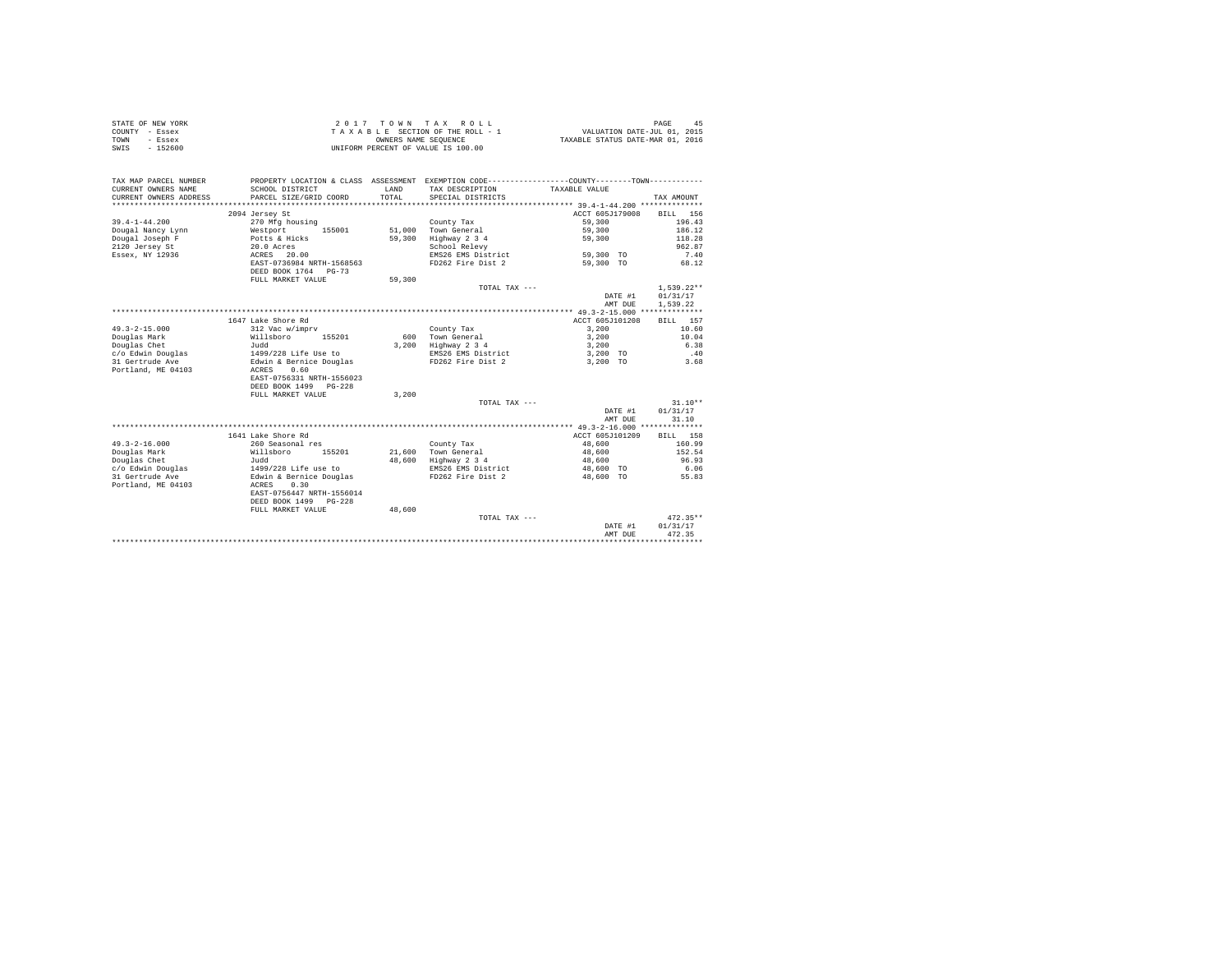|                | STATE OF NEW YORK |  |  |  | $2.017$ TOWN TAX ROLL              |  |  |  |  | 45<br>PAGE                       |
|----------------|-------------------|--|--|--|------------------------------------|--|--|--|--|----------------------------------|
| COUNTY - Essex |                   |  |  |  | TAXABLE SECTION OF THE ROLL - 1    |  |  |  |  | VALUATION DATE-JUL 01, 2015      |
| TOWN           | - Essex           |  |  |  | OWNERS NAME SEOUENCE               |  |  |  |  | TAXABLE STATUS DATE-MAR 01, 2016 |
| SWIS           | - 152600          |  |  |  | UNIFORM PERCENT OF VALUE IS 100.00 |  |  |  |  |                                  |

| TAX MAP PARCEL NUMBER<br>CURRENT OWNERS NAME<br>CURRENT OWNERS ADDRESS | PROPERTY LOCATION & CLASS ASSESSMENT EXEMPTION CODE---------------COUNTY-------TOWN----------<br>SCHOOL DISTRICT<br>PARCEL SIZE/GRID COORD | LAND<br>TOTAL.   | TAX DESCRIPTION<br>SPECIAL DISTRICTS                               | TAXABLE VALUE            | TAX AMOUNT         |
|------------------------------------------------------------------------|--------------------------------------------------------------------------------------------------------------------------------------------|------------------|--------------------------------------------------------------------|--------------------------|--------------------|
|                                                                        | ****************************                                                                                                               | **************** | ************************************ 39.4-1-44.200 *************** |                          |                    |
|                                                                        | 2094 Jersey St                                                                                                                             |                  |                                                                    | ACCT 605J179008 BILL 156 |                    |
| $39.4 - 1 - 44.200$                                                    | 270 Mfg housing                                                                                                                            |                  | County Tax                                                         | 59,300                   | 196.43             |
| Dougal Nancy Lynn                                                      | Westport<br>155001                                                                                                                         |                  | 51.000 Town General                                                | 59,300                   | 186.12             |
| Dougal Joseph F                                                        | Potts & Hicks                                                                                                                              | 59,300           | Highway 2 3 4                                                      | 59,300                   | 118.28             |
| 2120 Jersey St                                                         | 20.0 Acres                                                                                                                                 |                  | School Relevy                                                      |                          | 962.87             |
| Essex, NY 12936                                                        | ACRES 20.00                                                                                                                                |                  | EMS26 EMS District                                                 | 59,300 TO                | 7.40               |
|                                                                        | EAST-0736984 NRTH-1568563                                                                                                                  |                  | FD262 Fire Dist 2                                                  | 59,300 TO                | 68.12              |
|                                                                        | DEED BOOK 1764 PG-73                                                                                                                       |                  |                                                                    |                          |                    |
|                                                                        | FULL MARKET VALUE                                                                                                                          | 59,300           |                                                                    |                          |                    |
|                                                                        |                                                                                                                                            |                  | TOTAL TAX ---                                                      |                          | $1,539.22**$       |
|                                                                        |                                                                                                                                            |                  |                                                                    | DATE #1                  | 01/31/17           |
|                                                                        |                                                                                                                                            |                  |                                                                    | AMT DUE                  | 1.539.22           |
|                                                                        |                                                                                                                                            |                  |                                                                    |                          |                    |
|                                                                        | 1647 Lake Shore Rd                                                                                                                         |                  |                                                                    | ACCT 605J101208          | 157<br><b>BILL</b> |
| $49.3 - 2 - 15.000$                                                    | 312 Vac w/imprv                                                                                                                            |                  | County Tax                                                         | 3,200                    | 10.60              |
| Douglas Mark                                                           | Willsboro<br>155201                                                                                                                        |                  | 600 Town General                                                   | 3,200                    | 10.04              |
| Douglas Chet                                                           | Judd                                                                                                                                       |                  | 3.200 Highway 2 3 4                                                | 3,200                    | 6.38               |
| c/o Edwin Douglas                                                      | $1499/228$ Life Use to                                                                                                                     |                  | EMS26 EMS District                                                 | 3,200 TO                 | .40                |
| 31 Gertrude Ave                                                        | Edwin & Bernice Douglas                                                                                                                    |                  | FD262 Fire Dist 2                                                  | 3,200 TO                 | 3.68               |
| Portland, ME 04103                                                     | 0.60<br>ACRES                                                                                                                              |                  |                                                                    |                          |                    |
|                                                                        | EAST-0756331 NRTH-1556023                                                                                                                  |                  |                                                                    |                          |                    |
|                                                                        | DEED BOOK 1499 PG-228                                                                                                                      |                  |                                                                    |                          |                    |
|                                                                        | FULL MARKET VALUE                                                                                                                          | 3.200            |                                                                    |                          |                    |
|                                                                        |                                                                                                                                            |                  | TOTAL TAX ---                                                      |                          | $31.10**$          |
|                                                                        |                                                                                                                                            |                  |                                                                    | DATE #1                  | 01/31/17           |
|                                                                        |                                                                                                                                            |                  |                                                                    | AMT DUE                  | 31.10              |
|                                                                        |                                                                                                                                            |                  |                                                                    |                          |                    |
|                                                                        | 1641 Lake Shore Rd                                                                                                                         |                  |                                                                    | ACCT 605J101209          | BILL 158           |
| $49.3 - 2 - 16.000$                                                    | 260 Seasonal res                                                                                                                           |                  | County Tax                                                         | 48,600                   | 160.99             |
| Douglas Mark                                                           | Willsboro<br>155201                                                                                                                        |                  | 21,600 Town General                                                | 48,600                   | 152.54             |
| Douglas Chet                                                           | Judd                                                                                                                                       |                  | 48,600 Highway 2 3 4                                               | 48,600                   | 96.93              |
| c/o Edwin Douglas                                                      |                                                                                                                                            |                  | EMS26 EMS District                                                 | 48,600 TO                | 6.06               |
| 31 Gertrude Ave                                                        | 1499/228 Life use to<br>Edwin & Bernice Douglas                                                                                            |                  | FD262 Fire Dist 2                                                  | 48,600 TO                | 55.83              |
| Portland, ME 04103                                                     | 0.30<br>ACRES                                                                                                                              |                  |                                                                    |                          |                    |
|                                                                        | EAST-0756447 NRTH-1556014                                                                                                                  |                  |                                                                    |                          |                    |
|                                                                        | DEED BOOK 1499 PG-228                                                                                                                      |                  |                                                                    |                          |                    |
|                                                                        | FULL MARKET VALUE                                                                                                                          | 48,600           |                                                                    |                          |                    |
|                                                                        |                                                                                                                                            |                  | TOTAL TAX ---                                                      |                          | $472.35**$         |
|                                                                        |                                                                                                                                            |                  |                                                                    | DATE #1                  | 01/31/17           |
|                                                                        |                                                                                                                                            |                  |                                                                    | AMT DUE                  | 472.35             |
|                                                                        |                                                                                                                                            |                  |                                                                    |                          |                    |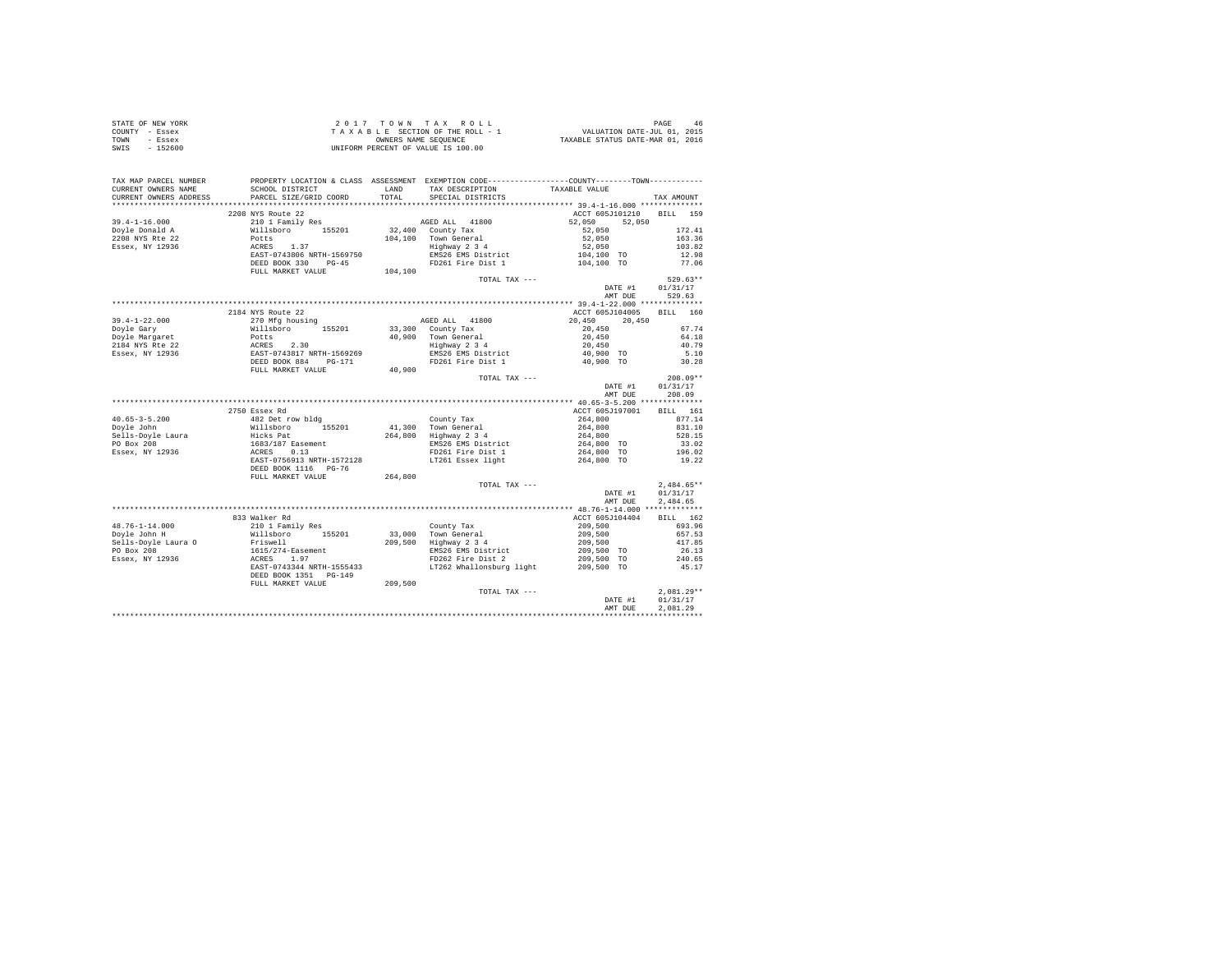| STATE OF NEW YORK                                                                                                                                                                                                                                                        |                                                                                                                                                                         |               |                                    |                          |
|--------------------------------------------------------------------------------------------------------------------------------------------------------------------------------------------------------------------------------------------------------------------------|-------------------------------------------------------------------------------------------------------------------------------------------------------------------------|---------------|------------------------------------|--------------------------|
| COUNTY - Essex                                                                                                                                                                                                                                                           |                                                                                                                                                                         |               |                                    |                          |
| TOWN - Essex                                                                                                                                                                                                                                                             | 2 0 1 7 TO W N TAX ROLL 1 DAGE 46<br>TAXABLE SECTION OF THE ROLL - 1 VALUATION DATE-JUL 01, 2015<br>UNIFORM PERCENT OF VALUE IS 100.00 TAXABLE STATUS DATE-MAR 01, 2016 |               |                                    |                          |
| SWIS - 152600                                                                                                                                                                                                                                                            |                                                                                                                                                                         |               |                                    |                          |
|                                                                                                                                                                                                                                                                          |                                                                                                                                                                         |               |                                    |                          |
|                                                                                                                                                                                                                                                                          |                                                                                                                                                                         |               |                                    |                          |
|                                                                                                                                                                                                                                                                          |                                                                                                                                                                         |               |                                    |                          |
|                                                                                                                                                                                                                                                                          |                                                                                                                                                                         |               |                                    |                          |
|                                                                                                                                                                                                                                                                          |                                                                                                                                                                         |               |                                    |                          |
|                                                                                                                                                                                                                                                                          |                                                                                                                                                                         |               |                                    |                          |
|                                                                                                                                                                                                                                                                          |                                                                                                                                                                         |               |                                    |                          |
|                                                                                                                                                                                                                                                                          | 2208 NYS Route 22                                                                                                                                                       |               | ACCT 605J101210 BILL 159           |                          |
|                                                                                                                                                                                                                                                                          |                                                                                                                                                                         |               |                                    |                          |
|                                                                                                                                                                                                                                                                          |                                                                                                                                                                         |               |                                    |                          |
|                                                                                                                                                                                                                                                                          |                                                                                                                                                                         |               |                                    |                          |
|                                                                                                                                                                                                                                                                          |                                                                                                                                                                         |               |                                    |                          |
|                                                                                                                                                                                                                                                                          |                                                                                                                                                                         |               |                                    |                          |
|                                                                                                                                                                                                                                                                          |                                                                                                                                                                         |               |                                    |                          |
|                                                                                                                                                                                                                                                                          |                                                                                                                                                                         |               |                                    |                          |
|                                                                                                                                                                                                                                                                          |                                                                                                                                                                         |               |                                    |                          |
|                                                                                                                                                                                                                                                                          |                                                                                                                                                                         | TOTAL TAX --- |                                    | $529.63**$               |
|                                                                                                                                                                                                                                                                          |                                                                                                                                                                         |               |                                    |                          |
|                                                                                                                                                                                                                                                                          |                                                                                                                                                                         |               | DATE #1 01/31/17<br>AMT DUE 529.63 |                          |
|                                                                                                                                                                                                                                                                          |                                                                                                                                                                         |               |                                    |                          |
|                                                                                                                                                                                                                                                                          | 2184 NYS Route 22                                                                                                                                                       |               | ACCT 605J104005 BILL 160           |                          |
|                                                                                                                                                                                                                                                                          |                                                                                                                                                                         |               |                                    |                          |
|                                                                                                                                                                                                                                                                          |                                                                                                                                                                         |               |                                    |                          |
|                                                                                                                                                                                                                                                                          |                                                                                                                                                                         |               |                                    |                          |
|                                                                                                                                                                                                                                                                          |                                                                                                                                                                         |               |                                    |                          |
|                                                                                                                                                                                                                                                                          |                                                                                                                                                                         |               |                                    |                          |
|                                                                                                                                                                                                                                                                          |                                                                                                                                                                         |               |                                    |                          |
|                                                                                                                                                                                                                                                                          |                                                                                                                                                                         |               |                                    |                          |
| $\begin{tabular}{l c c c c c} \hline 39.4-1-22.000 & 2184 NTS Route 22 & 40.900 & 20.450 & 20.450 & 20.450 & 20.450 & 20.450 & 20.450 & 20.450 & 20.450 & 20.450 & 20.450 & 20.450 & 20.450 & 20.450 & 20.450 & 20.450 & 20.450 & 20.450 & 20.450 & 20.450 & 20.450 & 2$ |                                                                                                                                                                         |               |                                    |                          |
|                                                                                                                                                                                                                                                                          |                                                                                                                                                                         | TOTAL TAX --- |                                    | $208.09**$               |
|                                                                                                                                                                                                                                                                          |                                                                                                                                                                         |               | DATE #1 01/31/17<br>AMT DUE 208.09 |                          |
|                                                                                                                                                                                                                                                                          |                                                                                                                                                                         |               |                                    |                          |
|                                                                                                                                                                                                                                                                          |                                                                                                                                                                         |               |                                    |                          |
|                                                                                                                                                                                                                                                                          |                                                                                                                                                                         |               |                                    |                          |
|                                                                                                                                                                                                                                                                          |                                                                                                                                                                         |               |                                    |                          |
|                                                                                                                                                                                                                                                                          |                                                                                                                                                                         |               |                                    |                          |
|                                                                                                                                                                                                                                                                          |                                                                                                                                                                         |               |                                    |                          |
|                                                                                                                                                                                                                                                                          |                                                                                                                                                                         |               |                                    |                          |
|                                                                                                                                                                                                                                                                          |                                                                                                                                                                         |               |                                    |                          |
|                                                                                                                                                                                                                                                                          |                                                                                                                                                                         |               |                                    |                          |
|                                                                                                                                                                                                                                                                          |                                                                                                                                                                         |               |                                    |                          |
|                                                                                                                                                                                                                                                                          |                                                                                                                                                                         |               |                                    |                          |
|                                                                                                                                                                                                                                                                          |                                                                                                                                                                         |               |                                    |                          |
|                                                                                                                                                                                                                                                                          |                                                                                                                                                                         |               |                                    |                          |
|                                                                                                                                                                                                                                                                          |                                                                                                                                                                         |               |                                    |                          |
|                                                                                                                                                                                                                                                                          |                                                                                                                                                                         |               | DATE #1 01/31/17                   |                          |
|                                                                                                                                                                                                                                                                          |                                                                                                                                                                         |               | AMT DUE                            | 2.484.65                 |
|                                                                                                                                                                                                                                                                          |                                                                                                                                                                         |               |                                    |                          |
|                                                                                                                                                                                                                                                                          |                                                                                                                                                                         |               |                                    |                          |
|                                                                                                                                                                                                                                                                          |                                                                                                                                                                         |               |                                    |                          |
|                                                                                                                                                                                                                                                                          |                                                                                                                                                                         |               |                                    |                          |
|                                                                                                                                                                                                                                                                          |                                                                                                                                                                         |               |                                    |                          |
|                                                                                                                                                                                                                                                                          |                                                                                                                                                                         |               |                                    |                          |
|                                                                                                                                                                                                                                                                          |                                                                                                                                                                         |               |                                    |                          |
|                                                                                                                                                                                                                                                                          |                                                                                                                                                                         |               |                                    |                          |
|                                                                                                                                                                                                                                                                          |                                                                                                                                                                         |               |                                    |                          |
|                                                                                                                                                                                                                                                                          |                                                                                                                                                                         |               |                                    |                          |
|                                                                                                                                                                                                                                                                          |                                                                                                                                                                         | TOTAL TAX --- |                                    | $2.081.29**$             |
|                                                                                                                                                                                                                                                                          |                                                                                                                                                                         |               |                                    |                          |
|                                                                                                                                                                                                                                                                          |                                                                                                                                                                         |               | DATE #1 01/31/17                   |                          |
|                                                                                                                                                                                                                                                                          |                                                                                                                                                                         |               | AMT DUE                            | 2.081.29<br>************ |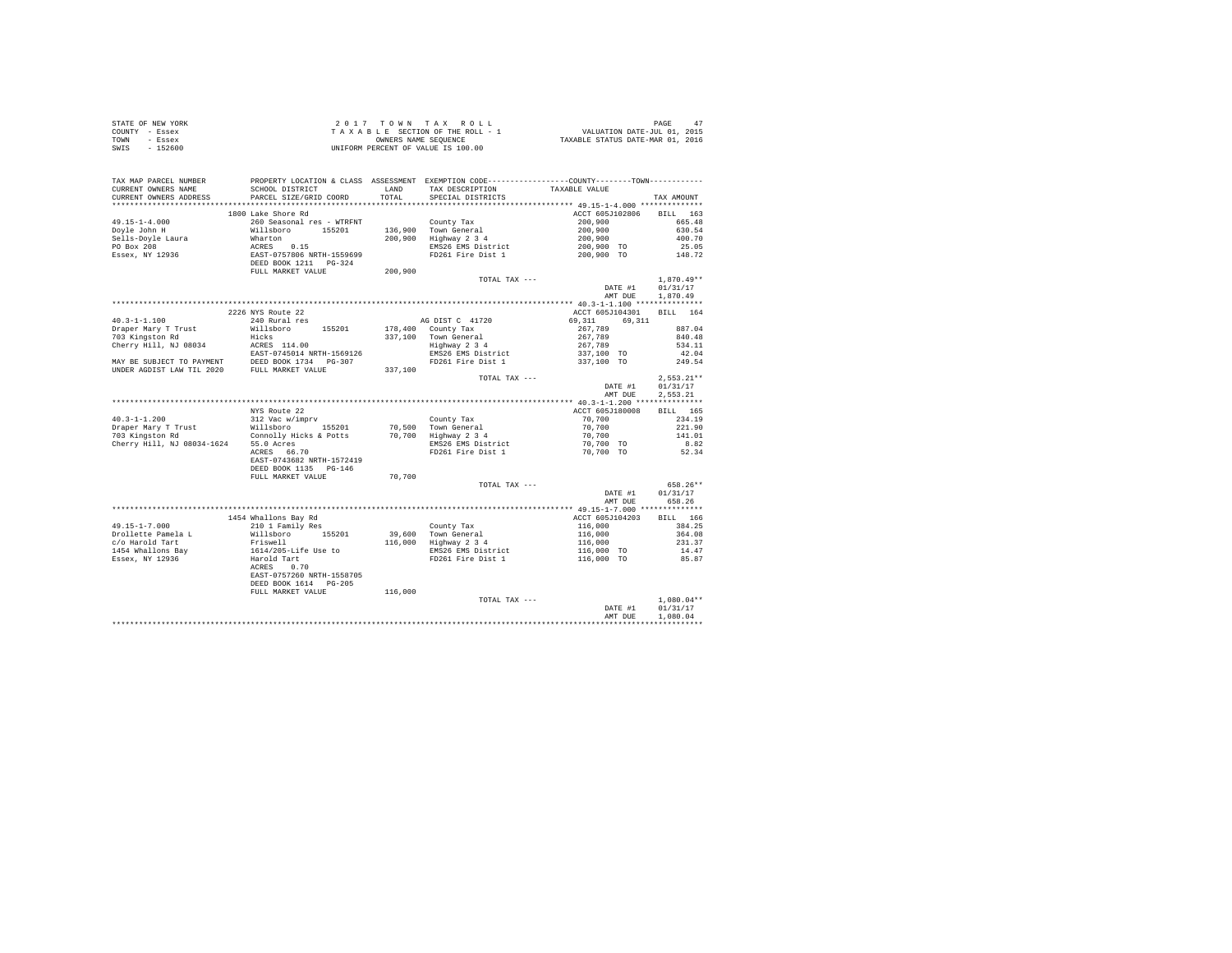| STATE OF NEW YORK | 2017 TOWN TAX ROLL                 | 47<br>PAGE                       |
|-------------------|------------------------------------|----------------------------------|
| COUNTY - Essex    | TAXABLE SECTION OF THE ROLL - 1    | VALUATION DATE-JUL 01, 2015      |
| TOWN<br>- Essex   | OWNERS NAME SEOUENCE               | TAXABLE STATUS DATE-MAR 01, 2016 |
| SWIS<br>$-152600$ | UNIFORM PERCENT OF VALUE IS 100.00 |                                  |

| TAX MAP PARCEL NUMBER<br>CURRENT OWNERS NAME | SCHOOL DISTRICT<br>PARCEL SIZE/GRID COORD                                                                                                                                      |         | LAND TAX DESCRIPTION                                       | PROPERTY LOCATION & CLASS ASSESSMENT EXEMPTION CODE----------------COUNTY-------TOWN----------<br>TAXABLE VALUE                                                                                                                                       |              |
|----------------------------------------------|--------------------------------------------------------------------------------------------------------------------------------------------------------------------------------|---------|------------------------------------------------------------|-------------------------------------------------------------------------------------------------------------------------------------------------------------------------------------------------------------------------------------------------------|--------------|
| CURRENT OWNERS ADDRESS                       |                                                                                                                                                                                |         | TOTAL SPECIAL DISTRICTS                                    |                                                                                                                                                                                                                                                       | TAX AMOUNT   |
|                                              |                                                                                                                                                                                |         |                                                            |                                                                                                                                                                                                                                                       |              |
|                                              | 1800 Lake Shore Rd                                                                                                                                                             |         |                                                            | ACCT 605J102806                                                                                                                                                                                                                                       | BILL 163     |
|                                              |                                                                                                                                                                                |         |                                                            |                                                                                                                                                                                                                                                       |              |
|                                              |                                                                                                                                                                                |         |                                                            |                                                                                                                                                                                                                                                       |              |
|                                              |                                                                                                                                                                                |         |                                                            |                                                                                                                                                                                                                                                       |              |
|                                              |                                                                                                                                                                                |         |                                                            |                                                                                                                                                                                                                                                       |              |
|                                              |                                                                                                                                                                                |         |                                                            | County Tax = 200,000<br>200,900 Town General 200,900 601.54<br>200,900 Highway 2 3 4<br>200,900 EMS26 EMS 214<br>200,900 TO 25.05<br>200,900 TO 25.05<br>200,900 TO 25.05<br>200,900 TO 25.05                                                         |              |
|                                              |                                                                                                                                                                                |         |                                                            |                                                                                                                                                                                                                                                       |              |
|                                              |                                                                                                                                                                                |         | TOTAL TAX ---                                              |                                                                                                                                                                                                                                                       | $1.870.49**$ |
|                                              |                                                                                                                                                                                |         |                                                            | DATE #1                                                                                                                                                                                                                                               | 01/31/17     |
|                                              |                                                                                                                                                                                |         |                                                            | AMT DUE                                                                                                                                                                                                                                               | 1,870.49     |
|                                              |                                                                                                                                                                                |         |                                                            |                                                                                                                                                                                                                                                       |              |
|                                              | 2226 NYS Route 22                                                                                                                                                              |         |                                                            | ACCT 605J104301 BILL 164                                                                                                                                                                                                                              |              |
| $40.3 - 1 - 1.100$                           |                                                                                                                                                                                |         |                                                            | 69,311<br>69.311                                                                                                                                                                                                                                      |              |
| Draper Mary T Trust                          | 240 Rural res<br>240 Rural res<br>Willsboro 155201 178,400 County Tax                                                                                                          |         |                                                            | $267,789$<br>$267,789$<br>$267,789$<br>$337,100$ TO                                                                                                                                                                                                   | 887.04       |
|                                              |                                                                                                                                                                                |         | 337,100 Town General                                       |                                                                                                                                                                                                                                                       | 840.48       |
|                                              |                                                                                                                                                                                |         | 0 Town General<br>Highway 2 3 4<br>EMS26 EMS District      |                                                                                                                                                                                                                                                       | 534.11       |
|                                              |                                                                                                                                                                                |         |                                                            |                                                                                                                                                                                                                                                       | 42.04        |
|                                              |                                                                                                                                                                                |         | FD261 Fire Dist 1                                          | 337,100 TO                                                                                                                                                                                                                                            | 249.54       |
|                                              |                                                                                                                                                                                |         |                                                            |                                                                                                                                                                                                                                                       |              |
|                                              |                                                                                                                                                                                |         | TOTAL TAX ---                                              |                                                                                                                                                                                                                                                       | $2,553.21**$ |
|                                              |                                                                                                                                                                                |         |                                                            | DATE #1                                                                                                                                                                                                                                               | 01/31/17     |
|                                              |                                                                                                                                                                                |         |                                                            | AMT DUE                                                                                                                                                                                                                                               | 2,553.21     |
|                                              |                                                                                                                                                                                |         |                                                            |                                                                                                                                                                                                                                                       |              |
|                                              | NYS Route 22                                                                                                                                                                   |         |                                                            | ACCT 605J180008                                                                                                                                                                                                                                       | BILL 165     |
| $40.3 - 1 - 1.200$                           |                                                                                                                                                                                |         |                                                            | 70,700                                                                                                                                                                                                                                                | 234.19       |
| Draper Mary T Trust                          |                                                                                                                                                                                |         |                                                            | 70,700                                                                                                                                                                                                                                                | 221.90       |
| 703 Kingston Rd                              | NYS Route 22<br>312 Vac w/imprv<br>Willaboro 155201 70,500 Town General<br>Connolly Hicks & Potts 70,700 Highway 234<br>1624 55.0 Acres                                        |         |                                                            | 70,700                                                                                                                                                                                                                                                | 141.01       |
|                                              | $\frac{55.0 \text{ Acras}}{200 \text{ Acras}}$ $\frac{55.0 \text{ Acras}}{66.70}$                                                                                              |         |                                                            | $70,700$ TO                                                                                                                                                                                                                                           | 8.82         |
|                                              |                                                                                                                                                                                |         | FD261 Fire Dist 1                                          | 70.700 TO                                                                                                                                                                                                                                             | 52.34        |
|                                              | EAST-0743682 NRTH-1572419                                                                                                                                                      |         |                                                            |                                                                                                                                                                                                                                                       |              |
|                                              | DEED BOOK 1135 PG-146                                                                                                                                                          |         |                                                            |                                                                                                                                                                                                                                                       |              |
|                                              | FULL MARKET VALUE                                                                                                                                                              | 70.700  |                                                            |                                                                                                                                                                                                                                                       |              |
|                                              |                                                                                                                                                                                |         | TOTAL TAX ---                                              |                                                                                                                                                                                                                                                       | 658.26**     |
|                                              |                                                                                                                                                                                |         |                                                            | DATE #1                                                                                                                                                                                                                                               | 01/31/17     |
|                                              |                                                                                                                                                                                |         |                                                            | AMT DUE                                                                                                                                                                                                                                               | 658.26       |
|                                              |                                                                                                                                                                                |         |                                                            |                                                                                                                                                                                                                                                       |              |
|                                              | 1454 Whallons Bay Rd                                                                                                                                                           |         |                                                            | ACCT 605J104203                                                                                                                                                                                                                                       | BILL 166     |
| $49.15 - 1 - 7.000$                          | 210 1 Family Res                                                                                                                                                               |         |                                                            |                                                                                                                                                                                                                                                       |              |
|                                              |                                                                                                                                                                                |         | County Tax<br>39,600 Town General<br>116,000 Highway 2 3 4 | County Tax 116,000<br>29,600 Town General 116,000<br>29,600 Tighway 2 3 4<br>29,600 Highway 2 3 4<br>29,600 Highway 2 3 4<br>29,000 To 231.37<br>29,000 To 241.47<br>29,000 To 241.47<br>29,000 To 241.47<br>29,000 To 241.47<br>29,000 To 241.47<br> |              |
|                                              |                                                                                                                                                                                |         |                                                            |                                                                                                                                                                                                                                                       |              |
|                                              |                                                                                                                                                                                |         |                                                            |                                                                                                                                                                                                                                                       |              |
|                                              |                                                                                                                                                                                |         |                                                            |                                                                                                                                                                                                                                                       |              |
|                                              | **1.3-1-*/.000<br>Drollette Pamela Land Millshoro 155201<br>1454 Whallons Bay Friswell<br>1454 Whallons Bay 1614/205-Life Use to<br>Essex, NY 12936 Harold Tart<br>Raccas 0.70 |         |                                                            |                                                                                                                                                                                                                                                       |              |
|                                              | EAST-0757260 NRTH-1558705                                                                                                                                                      |         |                                                            |                                                                                                                                                                                                                                                       |              |
|                                              | DEED BOOK 1614 PG-205                                                                                                                                                          |         |                                                            |                                                                                                                                                                                                                                                       |              |
|                                              | FULL MARKET VALUE                                                                                                                                                              | 116,000 |                                                            |                                                                                                                                                                                                                                                       |              |
|                                              |                                                                                                                                                                                |         | TOTAL TAX ---                                              | $\label{eq:1} \mathbf{D}^{\mathbf{p},\mathbf{p},\mathbf{p}}$                                                                                                                                                                                          | $1.080.04**$ |
|                                              |                                                                                                                                                                                |         |                                                            |                                                                                                                                                                                                                                                       |              |
|                                              |                                                                                                                                                                                |         |                                                            |                                                                                                                                                                                                                                                       | 01/31/17     |
|                                              |                                                                                                                                                                                |         |                                                            | AMT DUE                                                                                                                                                                                                                                               | 1,080.04     |
|                                              |                                                                                                                                                                                |         |                                                            |                                                                                                                                                                                                                                                       |              |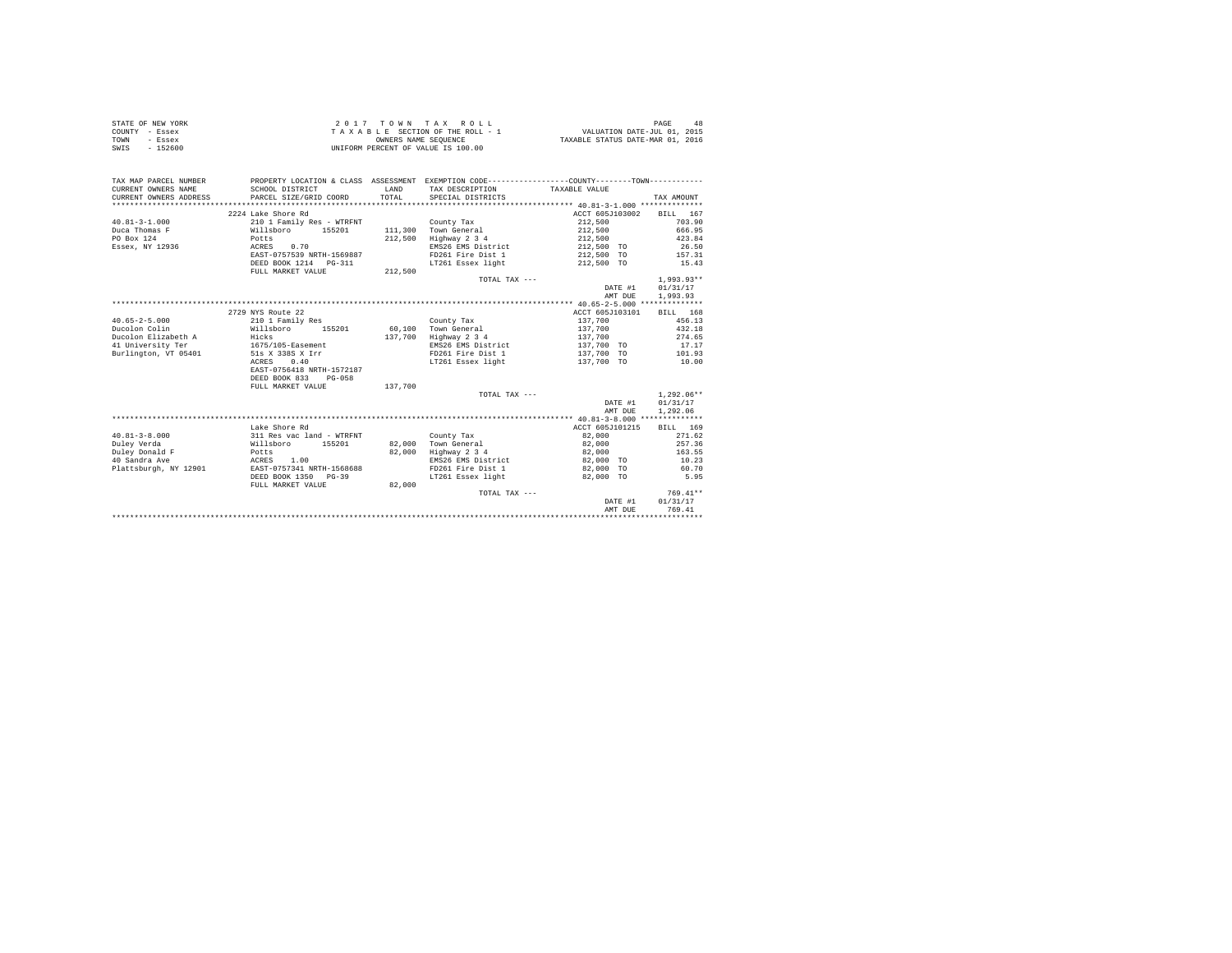| STATE OF NEW YORK | 2017 TOWN TAX ROLL                 | PAGE<br>48                       |
|-------------------|------------------------------------|----------------------------------|
| COUNTY - Essex    | TAXABLE SECTION OF THE ROLL - 1    | VALUATION DATE-JUL 01, 2015      |
| TOWN<br>- Essex   | OWNERS NAME SEOUENCE               | TAXABLE STATUS DATE-MAR 01, 2016 |
| SWIS<br>$-152600$ | UNIFORM PERCENT OF VALUE IS 100.00 |                                  |

| TAX MAP PARCEL NUMBER<br>CURRENT OWNERS NAME<br>CURRENT OWNERS ADDRESS | SCHOOL DISTRICT<br>PARCEL SIZE/GRID COORD | LAND<br>TOTAL | PROPERTY LOCATION & CLASS ASSESSMENT EXEMPTION CODE----------------COUNTY-------TOWN----------<br>TAX DESCRIPTION<br>SPECIAL DISTRICTS | TAXABLE VALUE   | TAX AMOUNT   |
|------------------------------------------------------------------------|-------------------------------------------|---------------|----------------------------------------------------------------------------------------------------------------------------------------|-----------------|--------------|
|                                                                        | 2224 Lake Shore Rd                        |               |                                                                                                                                        | ACCT 605J103002 | BILL 167     |
| $40.81 - 3 - 1.000$                                                    | 210 1 Family Res - WTRFNT                 |               | County Tax                                                                                                                             | 212,500         | 703.90       |
| Duca Thomas F                                                          | Willsboro 155201                          |               | 111,300 Town General                                                                                                                   | 212,500         | 666.95       |
| PO Box 124                                                             | Potts                                     | 212,500       | Highway 2 3 4                                                                                                                          | 212,500         | 423.84       |
| Essex, NY 12936                                                        | 0.70<br>ACRES                             |               | EMS26 EMS District                                                                                                                     | 212,500 TO      | 26.50        |
|                                                                        | EAST-0757539 NRTH-1569887                 |               | FD261 Fire Dist 1                                                                                                                      | 212,500 TO      | 157.31       |
|                                                                        | DEED BOOK 1214 PG-311                     |               | LT261 Essex light                                                                                                                      | 212,500 TO      | 15.43        |
|                                                                        | FULL MARKET VALUE                         | 212,500       |                                                                                                                                        |                 |              |
|                                                                        |                                           |               | TOTAL TAX ---                                                                                                                          |                 | $1.993.93**$ |
|                                                                        |                                           |               |                                                                                                                                        | DATE #1         | 01/31/17     |
|                                                                        |                                           |               |                                                                                                                                        | AMT DUE         | 1,993.93     |
|                                                                        |                                           |               |                                                                                                                                        |                 |              |
|                                                                        | 2729 NYS Route 22                         |               |                                                                                                                                        | ACCT 605J103101 | BILL 168     |
| $40.65 - 2 - 5.000$                                                    | 210 1 Family Res                          |               | County Tax                                                                                                                             | 137,700         | 456.13       |
| Ducolon Colin                                                          | Willsboro<br>155201                       | 60,100        | Town General                                                                                                                           | 137,700         | 432.18       |
| Ducolon Elizabeth A                                                    | Hicks<br>1675/105-Easement                | 137,700       | Highway 2 3 4                                                                                                                          | 137,700         | 274.65       |
| 41 University Ter                                                      |                                           |               | EMS26 EMS District                                                                                                                     | 137,700 TO      | 17.17        |
| Burlington, VT 05401                                                   | 51s X 338S X Irr                          |               | FD261 Fire Dist 1                                                                                                                      | 137,700 TO      | 101.93       |
|                                                                        | 0.40<br>ACRES                             |               | LT261 Essex light                                                                                                                      | 137,700 TO      | 10.00        |
|                                                                        | EAST-0756418 NRTH-1572187                 |               |                                                                                                                                        |                 |              |
|                                                                        | DEED BOOK 833 PG-058                      |               |                                                                                                                                        |                 |              |
|                                                                        | FULL MARKET VALUE                         | 137,700       |                                                                                                                                        |                 |              |
|                                                                        |                                           |               | TOTAL TAX ---                                                                                                                          |                 | $1.292.06**$ |
|                                                                        |                                           |               |                                                                                                                                        | DATE #1         | 01/31/17     |
|                                                                        |                                           |               |                                                                                                                                        | AMT DUE         | 1,292.06     |
|                                                                        |                                           |               |                                                                                                                                        |                 |              |
|                                                                        | Lake Shore Rd                             |               |                                                                                                                                        | ACCT 605J101215 | BILL 169     |
| $40.81 - 3 - 8.000$                                                    | 311 Res vac land - WTRFNT                 |               | County Tax                                                                                                                             | 82,000          | 271.62       |
| Duley Verda                                                            | Willsboro 155201                          |               | 82.000 Town General                                                                                                                    | 82,000          | 257.36       |
| Duley Donald F                                                         | Potts                                     | 82,000        | Highway 2 3 4                                                                                                                          | 82,000          | 163.55       |
| 40 Sandra Ave                                                          | ACRES<br>1.00                             |               | EMS26 EMS District                                                                                                                     | 82,000 TO       | 10.23        |
| Plattsburgh, NY 12901                                                  | EAST-0757341 NRTH-1568688                 |               | FD261 Fire Dist 1                                                                                                                      | 82,000 TO       | 60.70        |
|                                                                        | DEED BOOK 1350 PG-39                      |               | LT261 Essex light                                                                                                                      | 82,000 TO       | 5.95         |
|                                                                        | FULL MARKET VALUE                         | 82,000        |                                                                                                                                        |                 | $769.41**$   |
|                                                                        |                                           |               | TOTAL TAX ---                                                                                                                          | DATE #1         | 01/31/17     |
|                                                                        |                                           |               |                                                                                                                                        | AMT DUE         | 769.41       |
|                                                                        |                                           |               |                                                                                                                                        |                 |              |
|                                                                        |                                           |               |                                                                                                                                        |                 |              |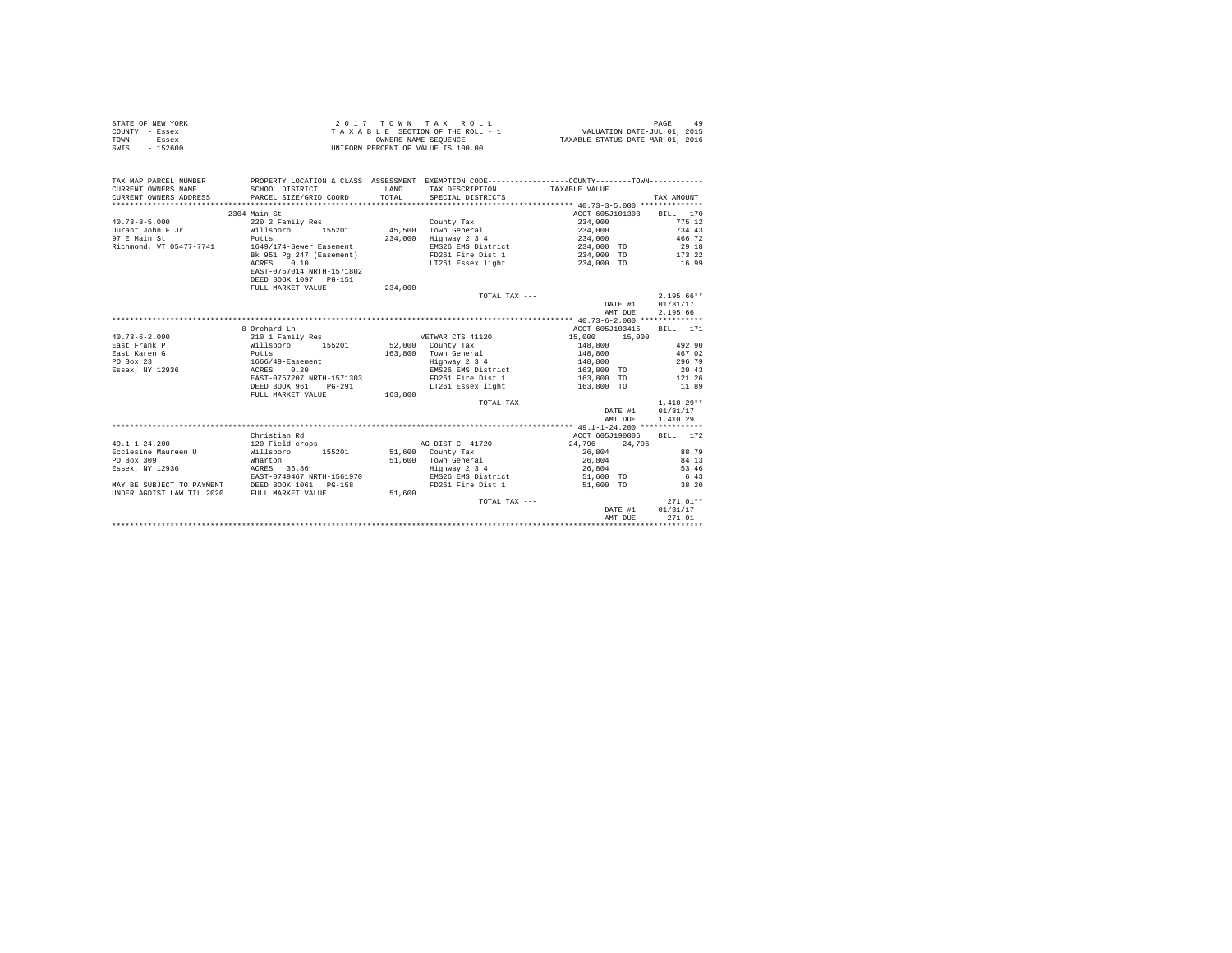|                | STATE OF NEW YORK | 2017 TOWN TAX ROLL                 | PAGE<br>49                       |
|----------------|-------------------|------------------------------------|----------------------------------|
| COUNTY - Essex |                   | TAXABLE SECTION OF THE ROLL - 1    | VALUATION DATE-JUL 01, 2015      |
| TOWN           | - Essex           | OWNERS NAME SEOUENCE               | TAXABLE STATUS DATE-MAR 01, 2016 |
| SWIS           | $-152600$         | UNIFORM PERCENT OF VALUE IS 100.00 |                                  |

| TAX MAP PARCEL NUMBER<br>CURRENT OWNERS NAME<br>CURRENT OWNERS ADDRESS | SCHOOL DISTRICT<br>PARCEL SIZE/GRID COORD | <b>T.AND</b><br>TOTAL | PROPERTY LOCATION & CLASS ASSESSMENT EXEMPTION CODE----------------COUNTY--------TOWN----------<br>TAX DESCRIPTION TAXABLE VALUE<br>SPECIAL DISTRICTS |                 |         | TAX AMOUNT       |
|------------------------------------------------------------------------|-------------------------------------------|-----------------------|-------------------------------------------------------------------------------------------------------------------------------------------------------|-----------------|---------|------------------|
|                                                                        | 2304 Main St                              |                       |                                                                                                                                                       | ACCT 605J101303 |         | BILL 170         |
| $40.73 - 3 - 5.000$                                                    | 220 2 Family Res                          |                       | County Tax                                                                                                                                            | 234,000         |         | 775.12           |
| Durant John F Jr                                                       | Willsboro 155201                          |                       | 45,500 Town General                                                                                                                                   | 234,000         |         | 734.43           |
| 97 E Main St                                                           | Potts                                     | 234,000               | Highway 2 3 4                                                                                                                                         | 234,000         |         | 466.72           |
| Richmond, VT 05477-7741                                                | 1649/174-Sewer Easement                   |                       | EMS26 EMS District                                                                                                                                    | 234,000 TO      |         | 29.18            |
|                                                                        | Bk 951 Pg 247 (Easement)                  |                       | FD261 Fire Dist 1                                                                                                                                     | 234,000 TO      |         | 173.22           |
|                                                                        | ACRES 0.10                                |                       | LT261 Essex light                                                                                                                                     | 234,000 TO      |         | 16.99            |
|                                                                        | EAST-0757014 NRTH-1571802                 |                       |                                                                                                                                                       |                 |         |                  |
|                                                                        | DEED BOOK 1097 PG-151                     |                       |                                                                                                                                                       |                 |         |                  |
|                                                                        | FULL MARKET VALUE                         | 234,000               |                                                                                                                                                       |                 |         |                  |
|                                                                        |                                           |                       | TOTAL TAX ---                                                                                                                                         |                 |         | $2.195.66**$     |
|                                                                        |                                           |                       |                                                                                                                                                       |                 |         | DATE #1 01/31/17 |
|                                                                        |                                           |                       |                                                                                                                                                       |                 |         | 2.195.66         |
|                                                                        |                                           |                       |                                                                                                                                                       |                 | AMT DUE |                  |
|                                                                        |                                           |                       |                                                                                                                                                       |                 |         |                  |
|                                                                        | 8 Orchard Ln                              |                       |                                                                                                                                                       | ACCT 605J103415 |         | BILL 171         |
| $40.73 - 6 - 2.000$                                                    | 210 1 Family Res                          |                       | VETWAR CTS 41120                                                                                                                                      | 15,000          | 15,000  |                  |
| East Frank P                                                           | Willsboro 155201<br>Potts                 |                       | 52.000 County Tax                                                                                                                                     | 148,800         |         | 492.90           |
| East Karen G                                                           |                                           | 163,800               | Town General                                                                                                                                          | 148,800         |         | 467.02           |
| PO Box 23                                                              | $1666/49 -$ Easement                      |                       | Highway 2 3 4                                                                                                                                         | 148,800         |         | 296.79           |
| Essex, NY 12936                                                        | 0.20<br>ACRES                             |                       | EMS26 EMS District                                                                                                                                    | $163,800$ TO    |         | 20.43            |
|                                                                        | EAST-0757207 NRTH-1571303                 |                       | FD261 Fire Dist 1                                                                                                                                     | 163,800 TO      |         | 121.26           |
|                                                                        | DEED BOOK 961                             | $PG-291$              | LT261 Essex light                                                                                                                                     | 163,800 TO      |         | 11.89            |
|                                                                        | FULL MARKET VALUE                         | 163,800               |                                                                                                                                                       |                 |         |                  |
|                                                                        |                                           |                       | TOTAL TAX ---                                                                                                                                         |                 |         | $1.410.29**$     |
|                                                                        |                                           |                       |                                                                                                                                                       |                 | DATE #1 | 01/31/17         |
|                                                                        |                                           |                       |                                                                                                                                                       |                 | AMT DUE | 1,410.29         |
|                                                                        |                                           |                       |                                                                                                                                                       |                 |         |                  |
|                                                                        | Christian Rd                              |                       |                                                                                                                                                       | ACCT 605J190006 |         | RTLL 172         |
| $49.1 - 1 - 24.200$                                                    | 120 Field crops                           |                       | AG DIST C 41720                                                                                                                                       | 24,796 24,796   |         |                  |
| Ecclesine Maureen U                                                    | Willsboro 155201 51,600 County Tax        |                       |                                                                                                                                                       | 26,804          |         | 88.79            |
| PO Box 309                                                             | Wharton                                   |                       | 51,600 Town General                                                                                                                                   | 26,804          |         | 84.13            |
| Essex, NY 12936                                                        | ACRES 36.86                               |                       | Highway 2 3 4                                                                                                                                         | 26,804          |         | 53.46            |
|                                                                        | EAST-0749467 NRTH-1561970                 |                       | EMS26 EMS District 51,600 TO                                                                                                                          |                 |         | 6.43             |
| MAY BE SUBJECT TO PAYMENT DEED BOOK 1061 PG-158                        |                                           |                       | FD261 Fire Dist 1                                                                                                                                     | 51,600 TO       |         | 38.20            |
| UNDER AGDIST LAW TIL 2020                                              | FULL MARKET VALUE                         | 51,600                |                                                                                                                                                       |                 |         |                  |
|                                                                        |                                           |                       | TOTAL TAX ---                                                                                                                                         |                 |         | $271.01**$       |
|                                                                        |                                           |                       |                                                                                                                                                       |                 | DATE #1 | 01/31/17         |
|                                                                        |                                           |                       |                                                                                                                                                       |                 | AMT DUE | 271.01           |
|                                                                        |                                           |                       |                                                                                                                                                       |                 |         |                  |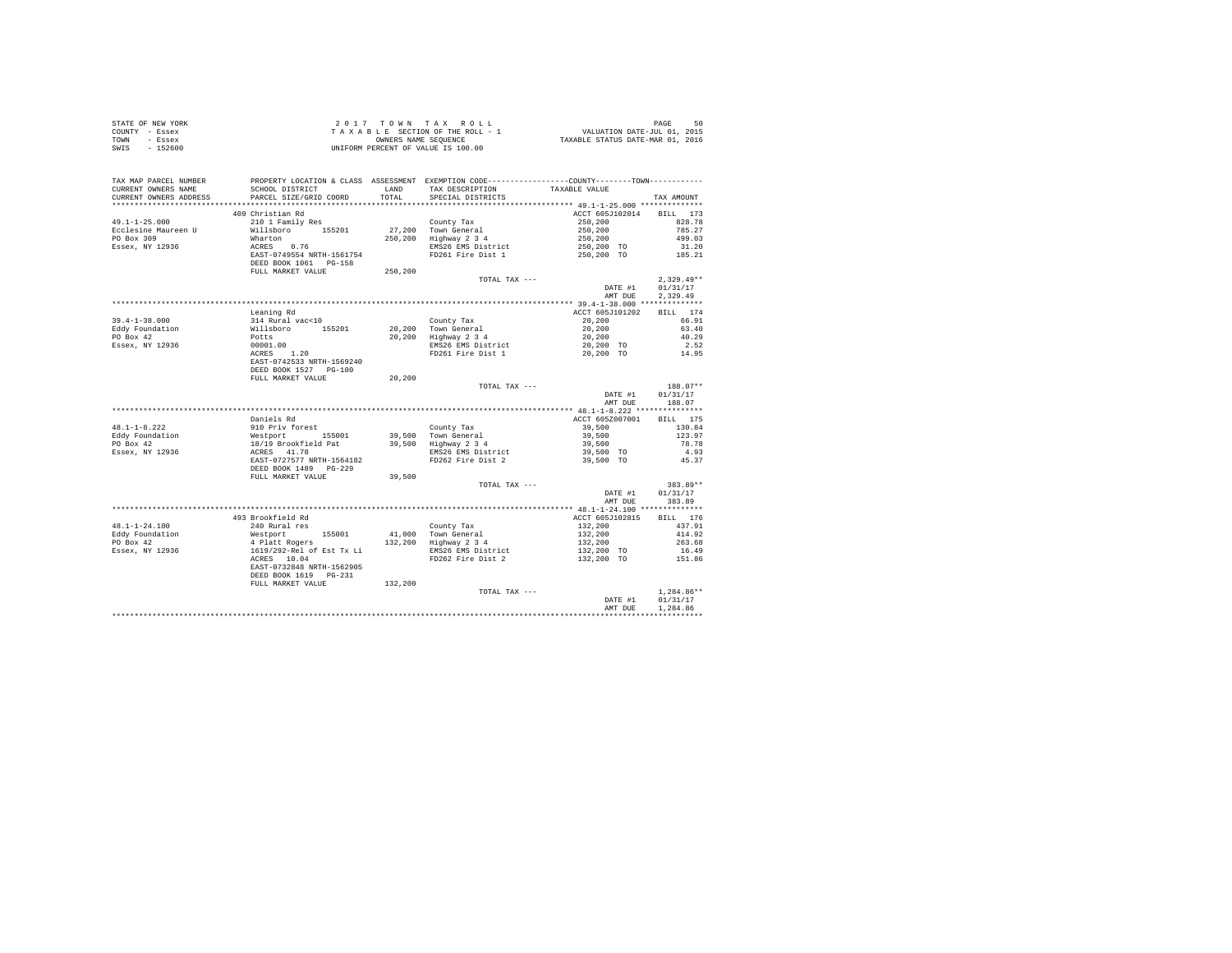|      | STATE OF NEW YORK | $2.017$ TOWN TAX ROLL              | 50<br>PAGE                       |
|------|-------------------|------------------------------------|----------------------------------|
|      | COUNTY - Essex    | TAXABLE SECTION OF THE ROLL - 1    | VALUATION DATE-JUL 01, 2015      |
| TOWN | - Essex           | OWNERS NAME SEOUENCE               | TAXABLE STATUS DATE-MAR 01, 2016 |
| SWIS | $-152600$         | UNIFORM PERCENT OF VALUE IS 100.00 |                                  |

| TAX MAP PARCEL NUMBER<br>CURRENT OWNERS NAME<br>CURRENT OWNERS ADDRESS | SCHOOL DISTRICT<br>PARCEL SIZE/GRID COORD                                                                                                                                                          |         | PROPERTY LOCATION & CLASS ASSESSMENT EXEMPTION CODE----------------COUNTY-------TOWN----------<br>LAND TAX DESCRIPTION<br>TOTAL SPECIAL DISTRICTS | TAXABLE VALUE                 | TAX AMOUNT   |
|------------------------------------------------------------------------|----------------------------------------------------------------------------------------------------------------------------------------------------------------------------------------------------|---------|---------------------------------------------------------------------------------------------------------------------------------------------------|-------------------------------|--------------|
|                                                                        |                                                                                                                                                                                                    |         |                                                                                                                                                   |                               |              |
| 49.1-1-25.000                                                          | 409 Christian Rd<br>210 1 Family Res                                                                                                                                                               |         | County Tax                                                                                                                                        | ACCT 605J102014 BILL 173      |              |
| Ecclesine Maureen U                                                    |                                                                                                                                                                                                    |         |                                                                                                                                                   |                               |              |
| PO Box 309                                                             |                                                                                                                                                                                                    |         | 27,200 Town General<br>250,200 Highway 2 3 4                                                                                                      |                               |              |
| Essex, NY 12936                                                        |                                                                                                                                                                                                    |         | EMS26 EMS District                                                                                                                                |                               |              |
|                                                                        |                                                                                                                                                                                                    |         | FD261 Fire Dist 1                                                                                                                                 |                               |              |
|                                                                        | % 210 1 Family Res<br>Willsboro 155201<br>Wharton<br>ACRES 0.76<br>EAST-0749554 NRTH-1561754<br>DEED BOOK 1061 PG-158<br>FULL MARKET VALUE                                                         | 250,200 |                                                                                                                                                   |                               |              |
|                                                                        |                                                                                                                                                                                                    |         | TOTAL TAX ---                                                                                                                                     |                               | $2,329.49**$ |
|                                                                        |                                                                                                                                                                                                    |         |                                                                                                                                                   | DATE #1                       | 01/31/17     |
|                                                                        |                                                                                                                                                                                                    |         |                                                                                                                                                   | AMT DUE                       | 2.329.49     |
|                                                                        |                                                                                                                                                                                                    |         |                                                                                                                                                   |                               |              |
|                                                                        | Leaning Rd                                                                                                                                                                                         |         |                                                                                                                                                   | ACCT 605J101202               | BILL 174     |
| $39.4 - 1 - 38.000$                                                    | 314 Rural vac<10                                                                                                                                                                                   |         | County Tax                                                                                                                                        | 20,200                        | 66.91        |
| Eddy Foundation                                                        |                                                                                                                                                                                                    |         |                                                                                                                                                   | 20,200                        | 63.40        |
| PO Box 42                                                              | Millsboro 155201<br>Potts<br>00001.00<br>ACRES 1.20                                                                                                                                                |         | 20,200 Town General<br>20,200 Highway 2 3 4                                                                                                       | $20, 200$<br>$20, 200$ TO     | 40.29        |
| Essex, NY 12936                                                        |                                                                                                                                                                                                    |         |                                                                                                                                                   |                               | 2.52         |
|                                                                        |                                                                                                                                                                                                    |         | EMS26 EMS District<br>FD261 Fire Dist 1                                                                                                           | 20,200 TO                     | 14.95        |
|                                                                        | EAST-0742533 NRTH-1569240                                                                                                                                                                          |         |                                                                                                                                                   |                               |              |
|                                                                        | DEED BOOK 1527 PG-100                                                                                                                                                                              |         |                                                                                                                                                   |                               |              |
|                                                                        | FULL MARKET VALUE                                                                                                                                                                                  | 20,200  |                                                                                                                                                   |                               |              |
|                                                                        |                                                                                                                                                                                                    |         | TOTAL TAX ---                                                                                                                                     |                               | $188.07**$   |
|                                                                        |                                                                                                                                                                                                    |         |                                                                                                                                                   | DATE #1                       | 01/31/17     |
|                                                                        |                                                                                                                                                                                                    |         |                                                                                                                                                   | AMT DUE                       | 188.07       |
|                                                                        |                                                                                                                                                                                                    |         |                                                                                                                                                   |                               |              |
|                                                                        | Daniels Rd                                                                                                                                                                                         |         |                                                                                                                                                   | ACCT 605Z007001               | BILL 175     |
| $48.1 - 1 - 8.222$                                                     | 910 Priv forest                                                                                                                                                                                    |         | County Tax                                                                                                                                        | 39,500                        | 130.84       |
| Eddy Foundation                                                        |                                                                                                                                                                                                    |         |                                                                                                                                                   | 39,500                        | 123.97       |
| PO Box 42                                                              |                                                                                                                                                                                                    |         |                                                                                                                                                   | 39,500<br>39,500 TO           | 78.78        |
| Essex, NY 12936                                                        |                                                                                                                                                                                                    |         | EMS26 EMS District                                                                                                                                |                               | 4.93         |
|                                                                        | % PID FITY TOTES<br>Neatport 155001 39,500 Town General<br>18/19 Brookfield Pat 39,500 Highway 2 3 4<br>ACRES 41.78 BMS26 BMS26 BMS26 EMST District<br>EAST-0727577 NRTH-1564182 FD262 Fire Dist 2 |         | FD262 Fire Dist 2                                                                                                                                 | 39,500 TO                     | 45.37        |
|                                                                        | DEED BOOK 1489 PG-229                                                                                                                                                                              |         |                                                                                                                                                   |                               |              |
|                                                                        | FULL MARKET VALUE                                                                                                                                                                                  | 39,500  |                                                                                                                                                   |                               |              |
|                                                                        |                                                                                                                                                                                                    |         | TOTAL TAX ---                                                                                                                                     |                               | 383.89**     |
|                                                                        |                                                                                                                                                                                                    |         |                                                                                                                                                   | DATE #1                       | 01/31/17     |
|                                                                        |                                                                                                                                                                                                    |         |                                                                                                                                                   | AMT DUE                       | 383.89       |
|                                                                        |                                                                                                                                                                                                    |         |                                                                                                                                                   |                               |              |
|                                                                        | 493 Brookfield Rd                                                                                                                                                                                  |         |                                                                                                                                                   | ACCT 605J102815               | BILL 176     |
| $48.1 - 1 - 24.100$                                                    | 240 Rural res                                                                                                                                                                                      |         | County Tax<br>41,000 Town General                                                                                                                 |                               | 437.91       |
|                                                                        |                                                                                                                                                                                                    |         |                                                                                                                                                   | 132,200<br>132,200<br>132,200 | 414.92       |
|                                                                        |                                                                                                                                                                                                    |         | 132,200 Highway 2 3 4                                                                                                                             |                               | 263.68       |
|                                                                        |                                                                                                                                                                                                    |         | EMS26 EMS District<br>FD262 Fire Dist 2                                                                                                           | 132,200 TO<br>132,200 TO      | 16.49        |
|                                                                        |                                                                                                                                                                                                    |         |                                                                                                                                                   |                               | 151.86       |
|                                                                        | EAST-0732848 NRTH-1562905                                                                                                                                                                          |         |                                                                                                                                                   |                               |              |
|                                                                        | DEED BOOK 1619 PG-231                                                                                                                                                                              |         |                                                                                                                                                   |                               |              |
|                                                                        | FULL MARKET VALUE                                                                                                                                                                                  | 132,200 |                                                                                                                                                   |                               |              |
|                                                                        |                                                                                                                                                                                                    |         | TOTAL TAX ---                                                                                                                                     |                               | $1,284.86**$ |
|                                                                        |                                                                                                                                                                                                    |         |                                                                                                                                                   | DATE #1                       | 01/31/17     |
|                                                                        |                                                                                                                                                                                                    |         |                                                                                                                                                   | AMT DUE                       | 1,284.86     |
|                                                                        |                                                                                                                                                                                                    |         |                                                                                                                                                   |                               |              |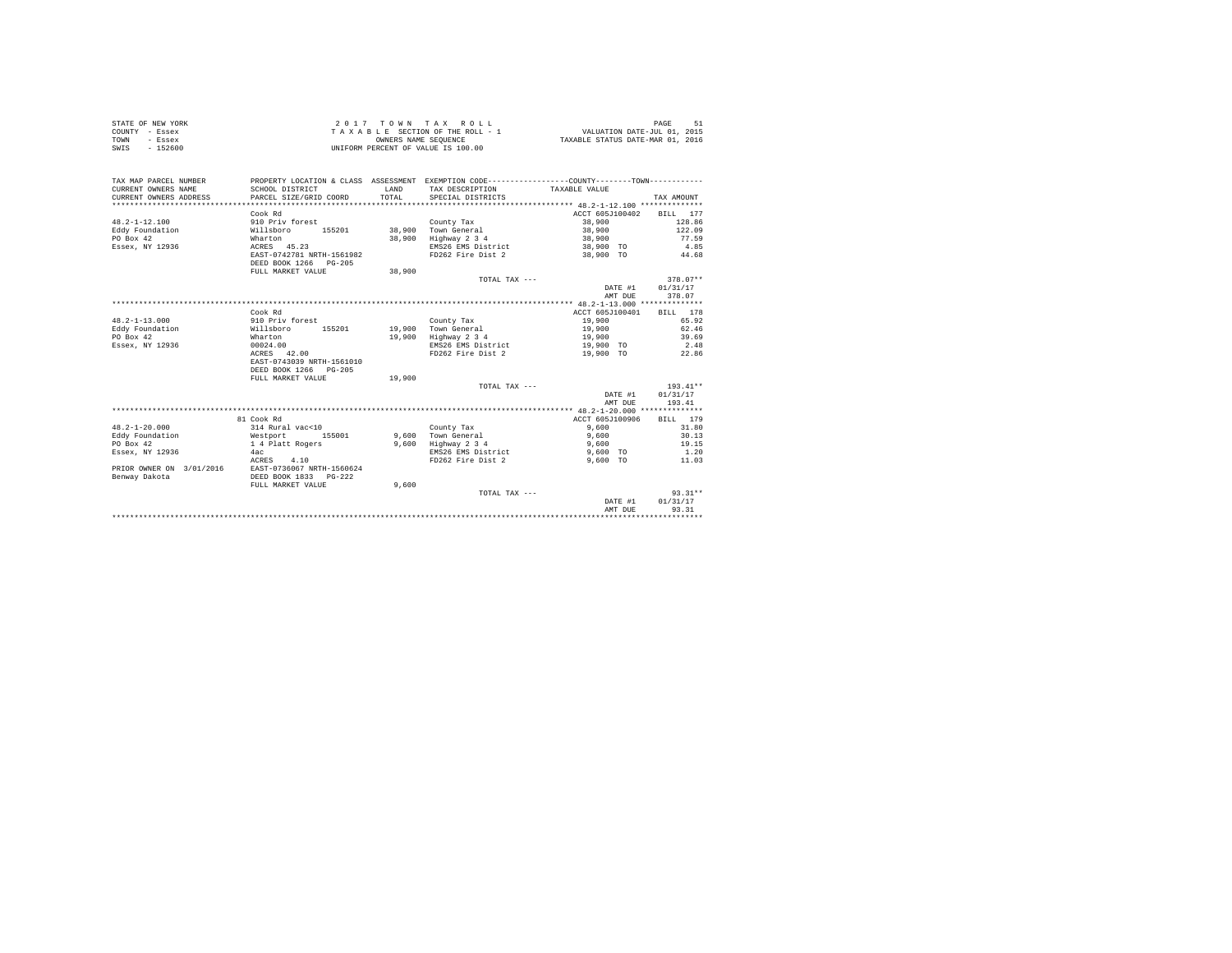| STATE OF NEW YORK | 2017 TOWN TAX ROLL                 | 51<br>PAGE                       |
|-------------------|------------------------------------|----------------------------------|
| COUNTY - Essex    | TAXABLE SECTION OF THE ROLL - 1    | VALUATION DATE-JUL 01, 2015      |
| TOWN<br>- Essex   | OWNERS NAME SEOUENCE               | TAXABLE STATUS DATE-MAR 01, 2016 |
| SWIS<br>$-152600$ | UNIFORM PERCENT OF VALUE IS 100.00 |                                  |

| TAX MAP PARCEL NUMBER<br>CURRENT OWNERS NAME<br>CURRENT OWNERS ADDRESS | SCHOOL DISTRICT<br>PARCEL SIZE/GRID COORD | <b>T.AND</b><br>TOTAL | PROPERTY LOCATION & CLASS ASSESSMENT EXEMPTION CODE---------------COUNTY-------TOWN---------<br>TAX DESCRIPTION<br>SPECIAL DISTRICTS | TAXABLE VALUE   | TAX AMOUNT |
|------------------------------------------------------------------------|-------------------------------------------|-----------------------|--------------------------------------------------------------------------------------------------------------------------------------|-----------------|------------|
|                                                                        | Cook Rd                                   |                       |                                                                                                                                      | ACCT 605J100402 | RTLL 177   |
| $48.2 - 1 - 12.100$                                                    | 910 Priv forest                           |                       | County Tax                                                                                                                           | 38,900          | 128.86     |
| Eddy Foundation                                                        | Willsboro<br>155201                       |                       | 38,900 Town General                                                                                                                  | 38,900          | 122.09     |
| PO Box 42                                                              | Wharton                                   | 38,900                | Highway 2 3 4                                                                                                                        | 38,900          | 77.59      |
| Essex, NY 12936                                                        | ACRES 45.23                               |                       | EMS26 EMS District                                                                                                                   | 38,900 TO       | 4.85       |
|                                                                        | EAST-0742781 NRTH-1561982                 |                       | FD262 Fire Dist 2                                                                                                                    | 38,900 TO       | 44.68      |
|                                                                        | DEED BOOK 1266 PG-205                     |                       |                                                                                                                                      |                 |            |
|                                                                        | FULL MARKET VALUE                         | 38,900                |                                                                                                                                      |                 |            |
|                                                                        |                                           |                       | TOTAL TAX $---$                                                                                                                      |                 | $378.07**$ |
|                                                                        |                                           |                       |                                                                                                                                      | DATE #1         | 01/31/17   |
|                                                                        |                                           |                       |                                                                                                                                      | AMT DUE         | 378.07     |
|                                                                        |                                           |                       |                                                                                                                                      |                 |            |
|                                                                        | Cook Rd                                   |                       |                                                                                                                                      | ACCT 605J100401 | BILL 178   |
| $48.2 - 1 - 13.000$                                                    | 910 Priv forest                           |                       | County Tax                                                                                                                           | 19,900          | 65.92      |
| Eddy Foundation                                                        | Willsboro<br>155201                       | 19,900                | Town General                                                                                                                         | 19,900          | 62.46      |
| PO Box 42                                                              | Wharton                                   | 19,900                | Highway 2 3 4                                                                                                                        | 19,900          | 39.69      |
| Essex, NY 12936                                                        | 00024.00                                  |                       | EMS26 EMS District                                                                                                                   | 19,900 TO       | 2.48       |
|                                                                        | ACRES 42.00                               |                       | FD262 Fire Dist 2                                                                                                                    | 19,900 TO       | 22.86      |
|                                                                        | EAST-0743039 NRTH-1561010                 |                       |                                                                                                                                      |                 |            |
|                                                                        | DEED BOOK 1266 PG-205                     |                       |                                                                                                                                      |                 |            |
|                                                                        | FULL MARKET VALUE                         | 19,900                |                                                                                                                                      |                 |            |
|                                                                        |                                           |                       | TOTAL TAX ---                                                                                                                        |                 | $193.41**$ |
|                                                                        |                                           |                       |                                                                                                                                      | DATE #1         | 01/31/17   |
|                                                                        |                                           |                       |                                                                                                                                      | AMT DUE         | 193.41     |
|                                                                        |                                           |                       |                                                                                                                                      |                 |            |
|                                                                        | 81 Cook Rd                                |                       |                                                                                                                                      | ACCT 605J100906 | BILL 179   |
| $48.2 - 1 - 20.000$                                                    | 314 Rural vac<10                          |                       | County Tax                                                                                                                           | 9,600           | 31.80      |
| Eddy Foundation                                                        | Westport 155001                           |                       | 9.600 Town General                                                                                                                   | 9,600           | 30.13      |
| PO Box 42                                                              | 1 4 Platt Rogers                          | 9,600                 | Highway 2 3 4                                                                                                                        | 9,600           | 19.15      |
| Essex, NY 12936                                                        | 4ac                                       |                       | EMS26 EMS District                                                                                                                   | $9.600$ TO      | 1.20       |
|                                                                        | 4.10<br>ACRES                             |                       | FD262 Fire Dist 2                                                                                                                    | 9,600 TO        | 11.03      |
| PRIOR OWNER ON 3/01/2016                                               | EAST-0736067 NRTH-1560624                 |                       |                                                                                                                                      |                 |            |
| Benway Dakota                                                          | DEED BOOK 1833 PG-222                     |                       |                                                                                                                                      |                 |            |
|                                                                        | FULL MARKET VALUE                         | 9,600                 |                                                                                                                                      |                 |            |
|                                                                        |                                           |                       | TOTAL TAX ---                                                                                                                        |                 | $93.31**$  |
|                                                                        |                                           |                       |                                                                                                                                      | DATE #1         | 01/31/17   |
|                                                                        |                                           |                       |                                                                                                                                      | AMT DUE         | 93.31      |
|                                                                        |                                           |                       |                                                                                                                                      |                 |            |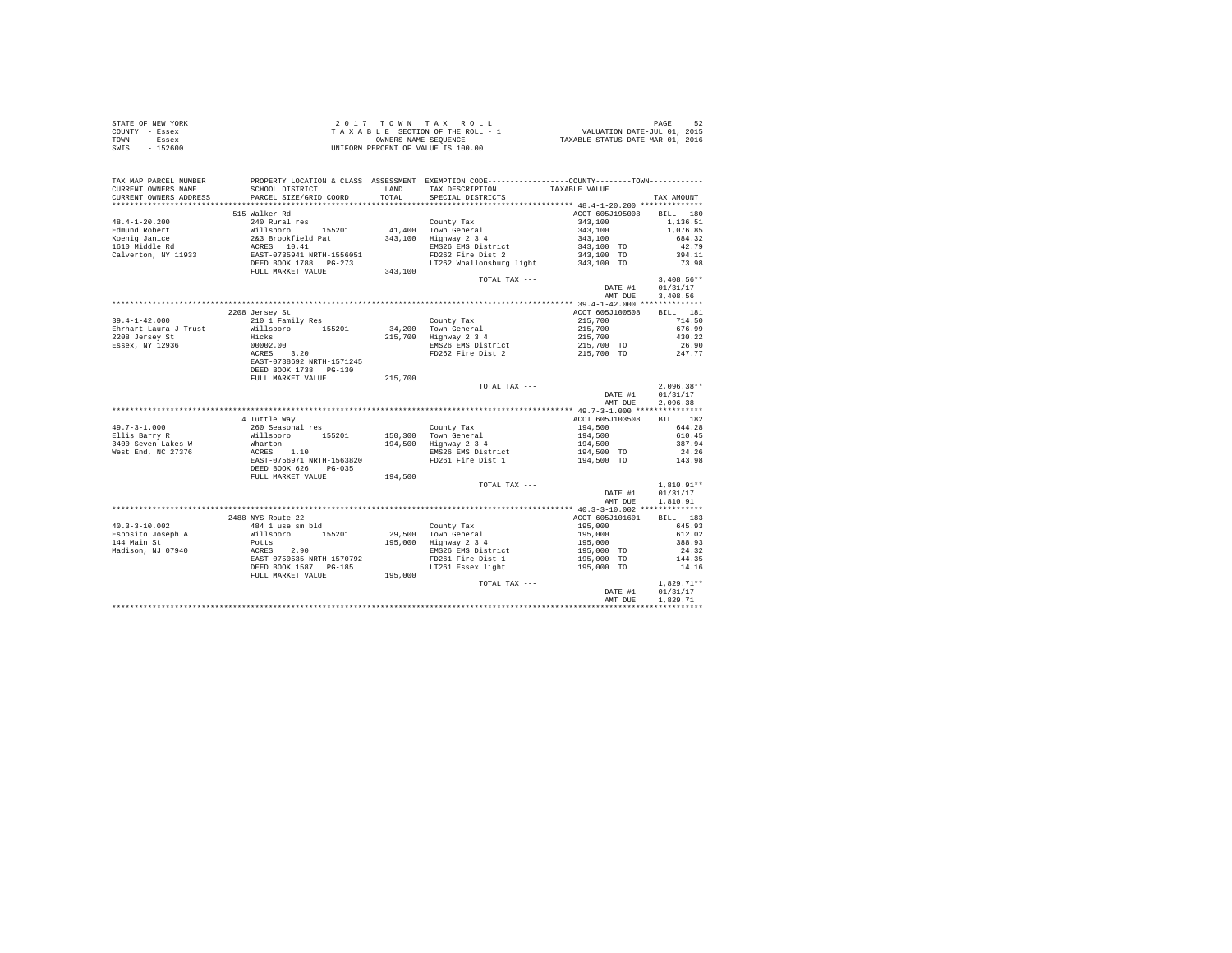| STATE OF NEW YORK | 2017 TOWN TAX ROLL                 | PAGE                             |
|-------------------|------------------------------------|----------------------------------|
| COUNTY - Essex    | TAXABLE SECTION OF THE ROLL - 1    | VALUATION DATE-JUL 01, 2015      |
| TOWN<br>- Essex   | OWNERS NAME SEOUENCE               | TAXABLE STATUS DATE-MAR 01, 2016 |
| SWIS<br>- 152600  | UNIFORM PERCENT OF VALUE IS 100.00 |                                  |

| TAX MAP PARCEL NUMBER<br>CURRENT OWNERS NAME           | SCHOOL DISTRICT                                                                                   |                   | PROPERTY LOCATION & CLASS ASSESSMENT EXEMPTION CODE----------------COUNTY--------TOWN----------<br>LAND TAX DESCRIPTION | TAXABLE VALUE                                                                                                                      |                     |
|--------------------------------------------------------|---------------------------------------------------------------------------------------------------|-------------------|-------------------------------------------------------------------------------------------------------------------------|------------------------------------------------------------------------------------------------------------------------------------|---------------------|
|                                                        |                                                                                                   |                   |                                                                                                                         |                                                                                                                                    |                     |
|                                                        |                                                                                                   |                   |                                                                                                                         |                                                                                                                                    |                     |
|                                                        | 515 Walker Rd                                                                                     |                   |                                                                                                                         | ACCT 605J195008                                                                                                                    | BILL 180            |
| $48.4 - 1 - 20.200$                                    |                                                                                                   |                   |                                                                                                                         |                                                                                                                                    | 1,136.51            |
| Edmund Robert                                          |                                                                                                   |                   |                                                                                                                         |                                                                                                                                    | 1,076.85            |
| Koenig Janice                                          |                                                                                                   |                   |                                                                                                                         |                                                                                                                                    | 684.32              |
| Koenig Janice<br>1610 Middle Rd<br>Calverton, NY 11933 |                                                                                                   |                   |                                                                                                                         |                                                                                                                                    | 42.79               |
|                                                        |                                                                                                   |                   |                                                                                                                         |                                                                                                                                    | 394.11              |
|                                                        |                                                                                                   | $-273$<br>343,100 | LT262 Whallonsburg light 343,100 TO                                                                                     |                                                                                                                                    | 73.98               |
|                                                        | FULL MARKET VALUE                                                                                 |                   |                                                                                                                         |                                                                                                                                    |                     |
|                                                        |                                                                                                   |                   | TOTAL TAX ---                                                                                                           |                                                                                                                                    | $3,408.56**$        |
|                                                        |                                                                                                   |                   |                                                                                                                         | DATE #1                                                                                                                            | 01/31/17            |
|                                                        |                                                                                                   |                   |                                                                                                                         | AMT DUE                                                                                                                            | 3,408.56            |
|                                                        |                                                                                                   |                   |                                                                                                                         |                                                                                                                                    |                     |
|                                                        | 2208 Jersey St                                                                                    |                   |                                                                                                                         | ACCT 605J100508                                                                                                                    | BILL 181            |
| $39.4 - 1 - 42.000$                                    | 210 1 Family Res                                                                                  |                   |                                                                                                                         | 215,700<br>215,700<br>215,700                                                                                                      | 714.50              |
|                                                        |                                                                                                   |                   |                                                                                                                         |                                                                                                                                    | 676.99              |
|                                                        |                                                                                                   |                   |                                                                                                                         |                                                                                                                                    | 430.22              |
| Essex, NY 12936                                        |                                                                                                   |                   | EMS26 EMS District<br>FD262 Fire Dist 2                                                                                 | 215,700 TO<br>215,700 TO                                                                                                           | $26.90$<br>$247.77$ |
|                                                        | <br>00002.00<br>ACRES 3.20<br>EAST-0738692 NRTH-1571245                                           |                   |                                                                                                                         |                                                                                                                                    |                     |
|                                                        |                                                                                                   |                   |                                                                                                                         |                                                                                                                                    |                     |
|                                                        | DEED BOOK 1738 PG-130                                                                             |                   |                                                                                                                         |                                                                                                                                    |                     |
|                                                        | FULL MARKET VALUE                                                                                 | 215,700           |                                                                                                                         |                                                                                                                                    |                     |
|                                                        |                                                                                                   |                   | TOTAL TAX ---                                                                                                           | $2,096.38**$<br>DATE #1 $01/31/17$                                                                                                 | $2,096.38**$        |
|                                                        |                                                                                                   |                   |                                                                                                                         |                                                                                                                                    |                     |
|                                                        |                                                                                                   |                   |                                                                                                                         | AMT DUE                                                                                                                            | 2,096.38            |
|                                                        |                                                                                                   |                   |                                                                                                                         |                                                                                                                                    |                     |
|                                                        | 4 Tuttle Way                                                                                      |                   |                                                                                                                         | ACCT 605J103508                                                                                                                    | BILL 182            |
|                                                        |                                                                                                   |                   |                                                                                                                         |                                                                                                                                    |                     |
| 49.7-3-1.000<br>Ellis Barry R                          | 260 Seasonal res<br>Willsboro 155201<br>Wharton 155201<br>ACRES 1.10<br>EAST-0756971 NRTH-1563820 |                   | County Tax<br>150,300 Town General<br>194,500 Highway 2 3 4<br>150.300 Town General                                     | $\begin{array}{lllll} 194, 500 & & & 644.28 \\ 194, 500 & & & 610.45 \\ 194, 500 & & & 387.94 \\ 194, 500 & & & 24.26 \end{array}$ |                     |
| 3400 Seven Lakes W                                     |                                                                                                   |                   |                                                                                                                         |                                                                                                                                    |                     |
| West End, NC 27376                                     |                                                                                                   |                   | EMS26 EMS District                                                                                                      |                                                                                                                                    |                     |
|                                                        |                                                                                                   |                   | FD261 Fire Dist 1                                                                                                       | 194,500 TO                                                                                                                         | 143.98              |
|                                                        | DEED BOOK 626 PG-035                                                                              |                   |                                                                                                                         |                                                                                                                                    |                     |
|                                                        | FULL MARKET VALUE                                                                                 | 194,500           |                                                                                                                         |                                                                                                                                    |                     |
|                                                        |                                                                                                   |                   | TOTAL TAX ---                                                                                                           |                                                                                                                                    | $1,810.91**$        |
|                                                        |                                                                                                   |                   |                                                                                                                         | DATE #1                                                                                                                            | 01/31/17            |
|                                                        |                                                                                                   |                   |                                                                                                                         | AMT DUE                                                                                                                            | 1,810.91            |
|                                                        |                                                                                                   |                   |                                                                                                                         |                                                                                                                                    |                     |
|                                                        | 2488 NYS Route 22                                                                                 |                   |                                                                                                                         | ACCT 605J101601 BILL 183                                                                                                           |                     |
|                                                        |                                                                                                   |                   |                                                                                                                         |                                                                                                                                    | 645.93              |
|                                                        |                                                                                                   |                   |                                                                                                                         |                                                                                                                                    | 612.02              |
|                                                        |                                                                                                   |                   |                                                                                                                         |                                                                                                                                    | 388.93              |
|                                                        |                                                                                                   |                   | EMS26 EMS District                                                                                                      | $195,000$<br>$195,000$<br>$195,000$<br>$195,000$ TO<br>$195,000$ TO                                                                | 24.32               |
|                                                        |                                                                                                   |                   |                                                                                                                         | 195,000 TO                                                                                                                         | 144.35              |
|                                                        |                                                                                                   |                   | LT261 Essex light 195,000 TO                                                                                            |                                                                                                                                    | 14.16               |
|                                                        |                                                                                                   |                   |                                                                                                                         |                                                                                                                                    |                     |
|                                                        |                                                                                                   |                   |                                                                                                                         | TOTAL TAX --- $\texttt{DATE} \; \#1$                                                                                               | $1,829.71**$        |
|                                                        |                                                                                                   |                   |                                                                                                                         |                                                                                                                                    | 01/31/17            |
|                                                        |                                                                                                   |                   |                                                                                                                         | AMT DUE                                                                                                                            | 1,829.71            |
|                                                        |                                                                                                   |                   |                                                                                                                         |                                                                                                                                    |                     |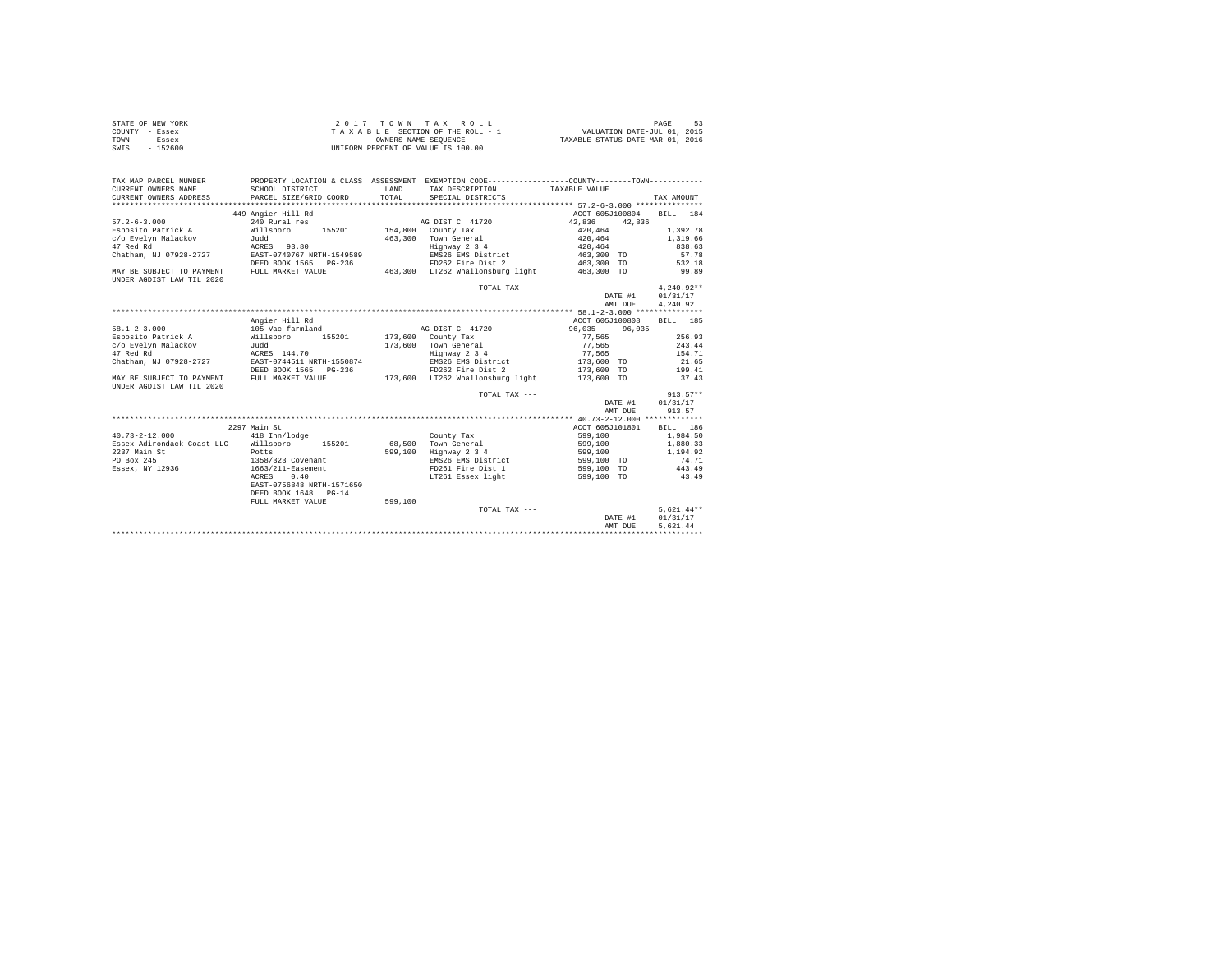| STATE OF NEW YORK | 2017 TOWN TAX ROLL                 | PAGE                             |
|-------------------|------------------------------------|----------------------------------|
| COUNTY - Essex    | TAXABLE SECTION OF THE ROLL - 1    | VALUATION DATE-JUL 01, 2015      |
| TOWN<br>- Essex   | OWNERS NAME SEOUENCE               | TAXABLE STATUS DATE-MAR 01, 2016 |
| SWIS<br>$-152600$ | UNIFORM PERCENT OF VALUE IS 100.00 |                                  |

| TAX MAP PARCEL NUMBER<br>CURRENT OWNERS NAME           | PROPERTY LOCATION & CLASS ASSESSMENT EXEMPTION CODE----------------COUNTY--------TOWN----------<br>SCHOOL DISTRICT | LAND    | TAX DESCRIPTION                  | TAXABLE VALUE         |         |              |
|--------------------------------------------------------|--------------------------------------------------------------------------------------------------------------------|---------|----------------------------------|-----------------------|---------|--------------|
| CURRENT OWNERS ADDRESS                                 | PARCEL SIZE/GRID COORD                                                                                             | TOTAL.  | SPECIAL DISTRICTS                |                       |         | TAX AMOUNT   |
|                                                        |                                                                                                                    |         |                                  |                       |         |              |
|                                                        | 449 Angier Hill Rd                                                                                                 |         |                                  | ACCT 605J100804       |         | BILL 184     |
| $57.2 - 6 - 3.000$                                     | 240 Rural res                                                                                                      |         | AG DIST C 41720                  | 42.836 42.836         |         |              |
| Esposito Patrick A                                     | Willsboro<br>155201                                                                                                |         | $154.800$ County Tax             | 420.464               |         | 1,392.78     |
| c/o Evelyn Malackov                                    | Judd                                                                                                               |         | 463.300 Town General             | $4\,2\,0$ , $4\,6\,4$ |         | 1,319.66     |
| 47 Red Rd                                              | ACRES 93.80                                                                                                        |         | Highway 2 3 4                    | 420,464               |         | 838.63       |
| Chatham, NJ 07928-2727                                 | EAST-0740767 NRTH-1549589                                                                                          |         | EMS26 EMS District               | 463,300 TO            |         | 57.78        |
|                                                        | DEED BOOK 1565 PG-236                                                                                              |         | FD262 Fire Dist 2                | 463,300 TO            |         | 532.18       |
| MAY BE SUBJECT TO PAYMENT<br>UNDER AGDIST LAW TIL 2020 | FULL MARKET VALUE                                                                                                  |         | 463,300 LT262 Whallonsburg light | 463,300 TO            |         | 99.89        |
|                                                        |                                                                                                                    |         | TOTAL TAX ---                    |                       |         | $4.240.92**$ |
|                                                        |                                                                                                                    |         |                                  |                       | DATE #1 | 01/31/17     |
|                                                        |                                                                                                                    |         |                                  |                       | AMT DUE | 4,240.92     |
|                                                        |                                                                                                                    |         |                                  |                       |         |              |
|                                                        | Angier Hill Rd                                                                                                     |         |                                  | ACCT 605J100808       |         | BILL 185     |
| $58.1 - 2 - 3.000$                                     | 105 Vac farmland                                                                                                   |         | AG DIST C 41720                  | 96.035 96.035         |         |              |
| Esposito Patrick A                                     | 155201<br>Willsboro                                                                                                |         | 173,600 County Tax               | 77.565                |         | 256.93       |
| c/o Evelyn Malackov                                    | Judd                                                                                                               |         | 173,600 Town General             | 77.565                |         | 243.44       |
| 47 Red Rd                                              | ACRES 144.70                                                                                                       |         | Highway 2 3 4                    | 77,565                |         | 154.71       |
| Chatham, NJ 07928-2727                                 | EAST-0744511 NRTH-1550874                                                                                          |         | EMS26 EMS District               | 173,600 TO            |         | 21.65        |
|                                                        | DEED BOOK 1565 PG-236                                                                                              |         | FD262 Fire Dist 2                | 173,600 TO            |         | 199.41       |
| MAY BE SUBJECT TO PAYMENT<br>UNDER AGDIST LAW TIL 2020 | FULL MARKET VALUE                                                                                                  |         | 173,600 LT262 Whallonsburg light | 173,600 TO            |         | 37.43        |
|                                                        |                                                                                                                    |         | TOTAL TAX ---                    |                       |         | $913.57**$   |
|                                                        |                                                                                                                    |         |                                  |                       | DATE #1 | 01/31/17     |
|                                                        |                                                                                                                    |         |                                  |                       | AMT DUE | 913.57       |
|                                                        |                                                                                                                    |         |                                  |                       |         |              |
|                                                        | 2297 Main St                                                                                                       |         |                                  | ACCT 605J101801       |         | BILL 186     |
| $40.73 - 2 - 12.000$                                   | 418 Inn/lodge                                                                                                      |         | County Tax                       | 599,100               |         | 1,984.50     |
| Essex Adirondack Coast LLC                             | Willsboro 155201                                                                                                   |         | 68.500 Town General              | 599,100               |         | 1,880.33     |
| 2237 Main St                                           | Potts                                                                                                              | 599,100 | Highway 2 3 4                    | 599,100               |         | 1,194.92     |
| PO Box 245                                             | 1358/323 Covenant                                                                                                  |         | EMS26 EMS District               | 599,100 TO            |         | 74.71        |
| Essex, NY 12936                                        | 1663/211-Easement                                                                                                  |         | FD261 Fire Dist 1                | 599,100 TO            |         | 443.49       |
|                                                        | ACRES<br>0.40                                                                                                      |         | LT261 Essex light                | 599,100 TO            |         | 43.49        |
|                                                        | EAST-0756848 NRTH-1571650                                                                                          |         |                                  |                       |         |              |
|                                                        | DEED BOOK 1648 PG-14                                                                                               |         |                                  |                       |         |              |
|                                                        | FULL MARKET VALUE                                                                                                  | 599,100 |                                  |                       |         |              |
|                                                        |                                                                                                                    |         | TOTAL TAX ---                    |                       |         | $5.621.44**$ |
|                                                        |                                                                                                                    |         |                                  |                       | DATE #1 | 01/31/17     |
|                                                        |                                                                                                                    |         |                                  |                       | AMT DUE | 5.621.44     |
|                                                        |                                                                                                                    |         |                                  |                       |         |              |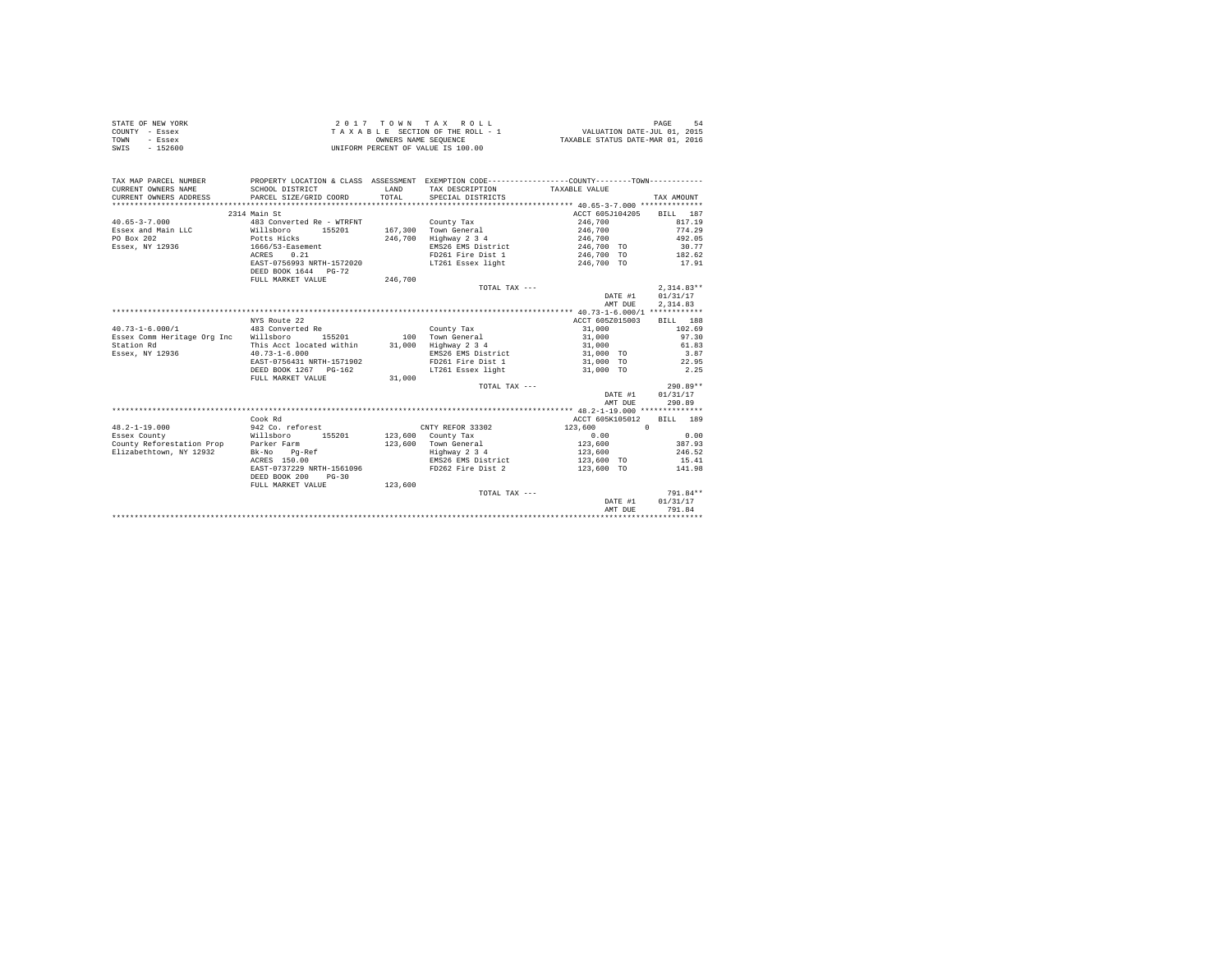|                | STATE OF NEW YORK | 2017 TOWN TAX ROLL                 | PAGE                             |
|----------------|-------------------|------------------------------------|----------------------------------|
| COUNTY - Essex |                   | TAXABLE SECTION OF THE ROLL - 1    | VALUATION DATE-JUL 01, 2015      |
| TOWN           | - Essex           | OWNERS NAME SEOUENCE               | TAXABLE STATUS DATE-MAR 01, 2016 |
| SWIS           | $-152600$         | UNIFORM PERCENT OF VALUE IS 100.00 |                                  |

| TAX MAP PARCEL NUMBER<br>CURRENT OWNERS NAME<br>CURRENT OWNERS ADDRESS | SCHOOL DISTRICT<br>PARCEL SIZE/GRID COORD             | <b>T.AND</b><br>TOTAL | PROPERTY LOCATION & CLASS ASSESSMENT EXEMPTION CODE---------------COUNTY-------TOWN----------<br>TAX DESCRIPTION TAXABLE VALUE<br>SPECIAL DISTRICTS |                    | TAX AMOUNT           |
|------------------------------------------------------------------------|-------------------------------------------------------|-----------------------|-----------------------------------------------------------------------------------------------------------------------------------------------------|--------------------|----------------------|
|                                                                        | 2314 Main St                                          |                       |                                                                                                                                                     | ACCT 605J104205    | BILL 187             |
| $40.65 - 3 - 7.000$                                                    | 483 Converted Re - WTRFNT                             |                       | County Tax                                                                                                                                          | 246,700            | 817.19               |
| Essex and Main LLC                                                     | Willsboro<br>155201                                   |                       | 167.300 Town General                                                                                                                                | 246,700            | 774.29               |
| PO Box 202                                                             | Potts Hicks                                           | 246,700               | Highway 2 3 4                                                                                                                                       | 246,700            | 492.05               |
| Essex, NY 12936 1666/53-Easement                                       |                                                       |                       | EMS26 EMS District                                                                                                                                  | 246,700 TO         | 30.77                |
|                                                                        | 0.21<br>ACRES                                         |                       | FD261 Fire Dist 1                                                                                                                                   | 246.700 TO 182.62  |                      |
|                                                                        | EAST-0756993 NRTH-1572020                             |                       | LT261 Essex light 246,700 TO                                                                                                                        |                    | 17.91                |
|                                                                        | DEED BOOK 1644 PG-72                                  |                       |                                                                                                                                                     |                    |                      |
|                                                                        | FULL MARKET VALUE                                     | 246,700               |                                                                                                                                                     |                    |                      |
|                                                                        |                                                       |                       | TOTAL TAX ---                                                                                                                                       |                    | $2.314.83**$         |
|                                                                        |                                                       |                       |                                                                                                                                                     | DATE #1<br>AMT DUE | 01/31/17<br>2,314.83 |
|                                                                        |                                                       |                       |                                                                                                                                                     |                    |                      |
|                                                                        | NYS Route 22                                          |                       |                                                                                                                                                     | ACCT 605Z015003    | BILL 188             |
| $40.73 - 1 - 6.000 / 1$                                                | 483 Converted Re                                      |                       | County Tax                                                                                                                                          | 31,000             | 102.69               |
| Essex Comm Heritage Org Inc Willsboro                                  | 155201                                                |                       | 100 Town General                                                                                                                                    | 31,000             | 97.30                |
| Station Rd                                                             | This Acct located within 31,000                       |                       | Highway 2 3 4                                                                                                                                       | 31,000             | 61.83                |
| Essex, NY 12936                                                        | $40.73 - 1 - 6.000$                                   |                       | EMS26 EMS District                                                                                                                                  | 31,000 TO          | 3.87                 |
|                                                                        | EAST-0756431 NRTH-1571902                             |                       | FD261 Fire Dist 1 31,000 TO                                                                                                                         |                    | 22.95                |
|                                                                        | DEED BOOK 1267 PG-162                                 |                       | LT261 Essex light                                                                                                                                   | 31,000 TO          | 2.25                 |
|                                                                        | FULL MARKET VALUE                                     | 31,000                |                                                                                                                                                     |                    |                      |
|                                                                        |                                                       |                       | TOTAL TAX ---                                                                                                                                       |                    | $290.89**$           |
|                                                                        |                                                       |                       |                                                                                                                                                     | DATE #1            | 01/31/17             |
|                                                                        |                                                       |                       |                                                                                                                                                     | AMT DUE            | 290.89               |
|                                                                        |                                                       |                       |                                                                                                                                                     |                    |                      |
|                                                                        | Cook Rd                                               |                       |                                                                                                                                                     | ACCT 605K105012    | RTT.T. 189           |
| $48.2 - 1 - 19.000$                                                    | 942 Co. reforest                                      |                       | CNTY REFOR 33302                                                                                                                                    | 123,600            | $\Omega$             |
| Essex County                                                           | Willsboro<br>155201                                   |                       | 123,600 County Tax                                                                                                                                  | 0.00               | 0.00                 |
| County Reforestation Prop Parker Farm                                  |                                                       |                       | 123,600 Town General                                                                                                                                | 123,600            | 387.93               |
| Elizabethtown, NY 12932                                                | Bk-No Pq-Ref                                          |                       | Highway 2 3 4                                                                                                                                       | 123,600            | 246.52               |
|                                                                        | ACRES 150.00                                          |                       | EMS26 EMS District                                                                                                                                  | 123,600 TO         | 15.41                |
|                                                                        | EAST-0737229 NRTH-1561096<br>DEED BOOK 200<br>$PG-30$ |                       | FD262 Fire Dist 2                                                                                                                                   | 123,600 TO         | 141.98               |
|                                                                        | FULL MARKET VALUE                                     | 123,600               |                                                                                                                                                     |                    |                      |
|                                                                        |                                                       |                       | TOTAL TAX ---                                                                                                                                       |                    | 791.84**             |
|                                                                        |                                                       |                       |                                                                                                                                                     | DATE #1            | 01/31/17             |
|                                                                        |                                                       |                       |                                                                                                                                                     | AMT DUE            | 791.84               |
|                                                                        |                                                       |                       |                                                                                                                                                     |                    |                      |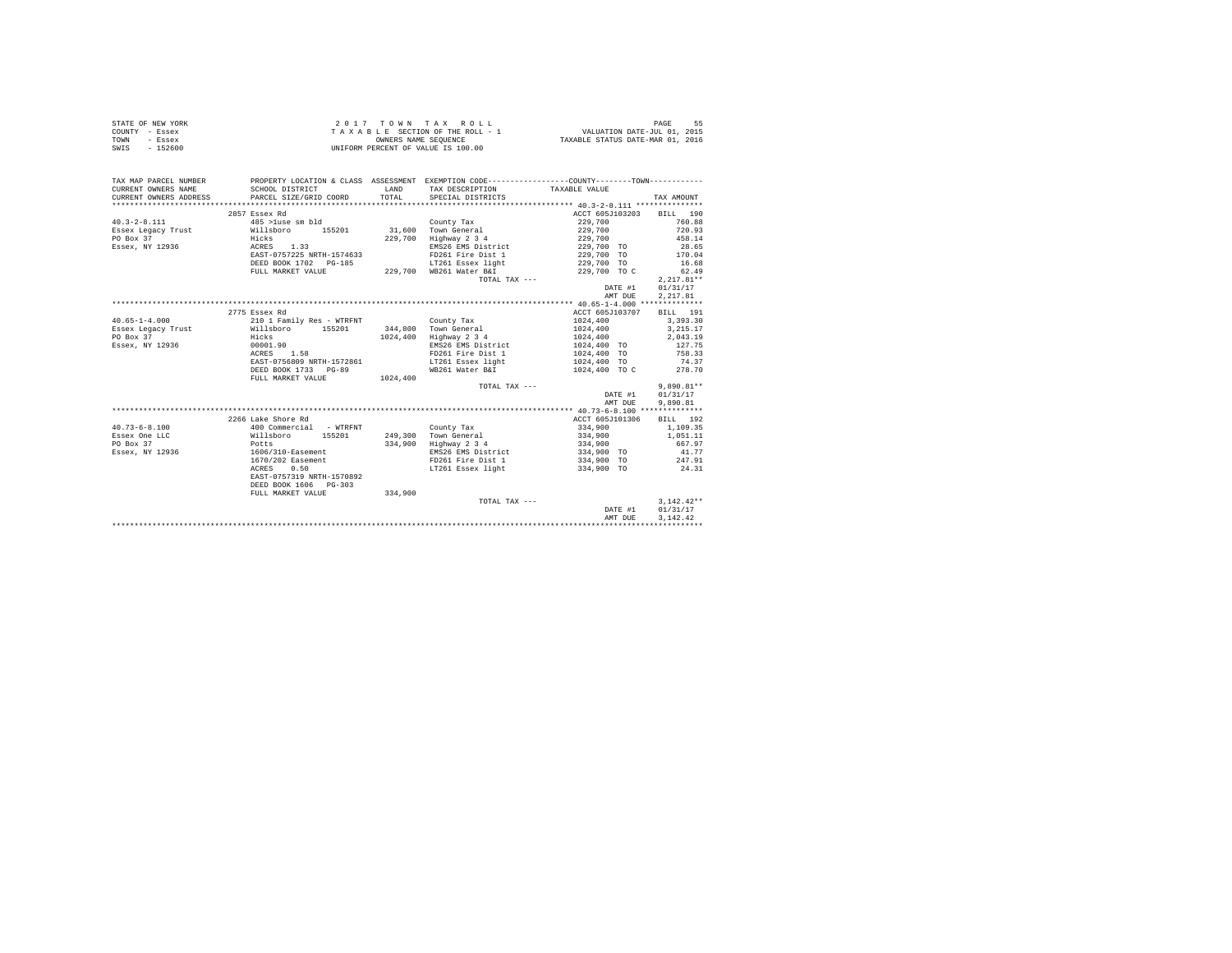|                | STATE OF NEW YORK | 2017 TOWN TAX ROLL                 |  |  |                      |  |  |  |  |  |  | PAGE                             | 55 |
|----------------|-------------------|------------------------------------|--|--|----------------------|--|--|--|--|--|--|----------------------------------|----|
| COUNTY - Essex |                   | TAXABLE SECTION OF THE ROLL - 1    |  |  |                      |  |  |  |  |  |  | VALUATION DATE-JUL 01, 2015      |    |
| TOWN           | - Essex           |                                    |  |  | OWNERS NAME SEOUENCE |  |  |  |  |  |  | TAXABLE STATUS DATE-MAR 01, 2016 |    |
| SWIS           | - 152600          | UNIFORM PERCENT OF VALUE IS 100.00 |  |  |                      |  |  |  |  |  |  |                                  |    |

| TAX MAP PARCEL NUMBER                                      | PROPERTY LOCATION & CLASS ASSESSMENT EXEMPTION CODE----------------COUNTY--------TOWN---------- |       |                                              |                          |                  |
|------------------------------------------------------------|-------------------------------------------------------------------------------------------------|-------|----------------------------------------------|--------------------------|------------------|
| CURRENT OWNERS NAME                                        | SCHOOL DISTRICT                                                                                 | LAND  | TAX DESCRIPTION                              | TAXABLE VALUE            |                  |
| CURRENT OWNERS ADDRESS PARCEL SIZE/GRID COORD              |                                                                                                 | TOTAL | SPECIAL DISTRICTS                            |                          | TAX AMOUNT       |
|                                                            |                                                                                                 |       |                                              |                          |                  |
|                                                            | 2857 Essex Rd                                                                                   |       |                                              | ACCT 605J103203 BILL 190 |                  |
| $40.3 - 2 - 8.111$                                         | 485 >luse sm bld                                                                                |       | County Tax                                   | 229,700                  | 760.88           |
| Essex Legacy Trust 6 Millsboro 155201 31,600 Town General  |                                                                                                 |       |                                              | 229,700 720.93           |                  |
|                                                            |                                                                                                 |       | 229.700 Highway 2 3 4                        | 229,700                  | 458.14           |
|                                                            |                                                                                                 |       | EMS26 EMS District                           | 229,700 TO<br>229,700 TO | 28.65            |
|                                                            |                                                                                                 |       | FD261 Fire Dist 1                            |                          | 170.04           |
|                                                            | DEED BOOK 1702 PG-185                                                                           |       | LT261 Essex light 229,700 TO                 |                          | 16.68            |
|                                                            | FULL MARKET VALUE                                                                               |       | 229,700 WB261 Water B&I 229,700 TO C         |                          | 62.49            |
|                                                            |                                                                                                 |       | TOTAL TAX ---                                |                          | $2.217.81**$     |
|                                                            |                                                                                                 |       |                                              | DATE #1 01/31/17         |                  |
|                                                            |                                                                                                 |       |                                              | AMT DUE                  | 2,217.81         |
|                                                            |                                                                                                 |       |                                              |                          |                  |
|                                                            | 2775 Essex Rd                                                                                   |       |                                              | ACCT 605J103707 BILL 191 |                  |
| $40.65 - 1 - 4.000$                                        | 210 1 Family Res - WTRFNT County Tax                                                            |       |                                              | 1024,400                 | 3,393,30         |
| Essex Legacy Trust 6 Millsboro 155201 344,800 Town General |                                                                                                 |       |                                              | 1024,400 3,215.17        |                  |
| PO Box 37                                                  | Hicks<br>00001.90                                                                               |       | 1024,400 Highway 2 3 4<br>EMS26 EMS District | 1024,400                 | 2,043.19         |
| Essex, NY 12936                                            |                                                                                                 |       |                                              | 1024,400 TO              | 127.75           |
|                                                            | ACRES 1.58                                                                                      |       | FD261 Fire Dist 1                            | 1024,400 TO 758.33       |                  |
|                                                            | EAST-0756809 NRTH-1572861                                                                       |       | LT261 Essex light                            | 1024,400 TO              | 74.37            |
|                                                            | DEED BOOK 1733 PG-89                                                                            |       | WB261 Water B&I                              | 1024,400 TO C            | 278.70           |
|                                                            | FULL MARKET VALUE 1024,400                                                                      |       |                                              |                          |                  |
|                                                            |                                                                                                 |       | TOTAL TAX ---                                |                          | $9.890.81**$     |
|                                                            |                                                                                                 |       |                                              |                          | DATE #1 01/31/17 |
|                                                            |                                                                                                 |       |                                              | AMT DUE                  | 9,890.81         |
|                                                            |                                                                                                 |       |                                              |                          |                  |
|                                                            | 2266 Lake Shore Rd                                                                              |       |                                              | ACCT 605J101306          | BILL 192         |
| $40.73 - 6 - 8.100$                                        | 400 Commercial - WTRFNT County Tax                                                              |       |                                              | 334,900                  | 1,109.35         |
| Essex One LLC                                              | Willsboro 155201 249,300 Town-General<br>Potts 334,900 Highway 2-3-4                            |       |                                              | 334,900<br>334,900       | 1,051.11         |
| PO Box 37                                                  |                                                                                                 |       |                                              |                          | 667.97           |
| Essex, NY 12936                                            | 1606/310-Easement                                                                               |       | EMS26 EMS District 334,900 TO 41.77          |                          |                  |
|                                                            |                                                                                                 |       | FD261 Fire Dist 1                            | 334,900 TO               | 247.91           |
|                                                            | $1600/310 - 240$<br>$1670/202$ Easement                                                         |       | LT261 Essex light                            | 334,900 TO               | 24.31            |
|                                                            | EAST-0757319 NRTH-1570892                                                                       |       |                                              |                          |                  |
|                                                            | DEED BOOK 1606 PG-303                                                                           |       |                                              |                          |                  |
|                                                            | FULL MARKET VALUE 334,900                                                                       |       |                                              |                          |                  |
|                                                            |                                                                                                 |       | TOTAL TAX ---                                |                          | $3.142.42**$     |
|                                                            |                                                                                                 |       |                                              |                          | DATE #1 01/31/17 |
|                                                            |                                                                                                 |       |                                              | AMT DUE                  | 3.142.42         |
|                                                            |                                                                                                 |       |                                              |                          |                  |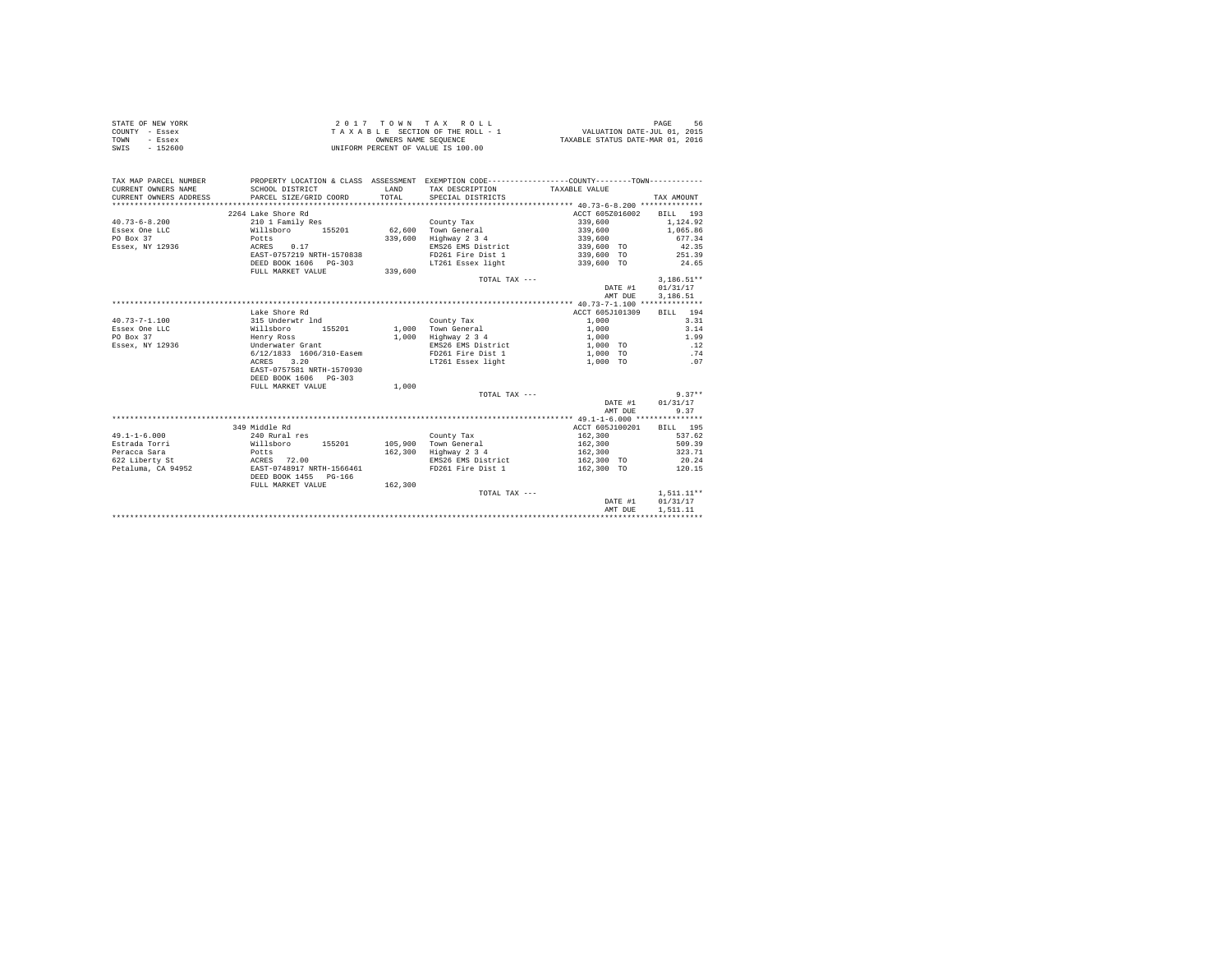|                | STATE OF NEW YORK |  |  |  | 2017 TOWN TAX ROLL                 |  |  |  |  | PAGE<br>-56                      |
|----------------|-------------------|--|--|--|------------------------------------|--|--|--|--|----------------------------------|
| COUNTY - Essex |                   |  |  |  | TAXABLE SECTION OF THE ROLL - 1    |  |  |  |  | VALUATION DATE-JUL 01, 2015      |
| TOWN           | - Essex           |  |  |  | OWNERS NAME SEOUENCE               |  |  |  |  | TAXABLE STATUS DATE-MAR 01, 2016 |
| SWIS           | - 152600          |  |  |  | UNIFORM PERCENT OF VALUE IS 100.00 |  |  |  |  |                                  |

| TAX MAP PARCEL NUMBER<br>CURRENT OWNERS NAME<br>CURRENT OWNERS ADDRESS | SCHOOL DISTRICT<br>PARCEL SIZE/GRID COORD | <b>T.AND</b><br>TOTAL. | PROPERTY LOCATION & CLASS ASSESSMENT EXEMPTION CODE----------------COUNTY--------TOWN----------<br>TAX DESCRIPTION TAXABLE VALUE<br>SPECIAL DISTRICTS |                 | TAX AMOUNT   |
|------------------------------------------------------------------------|-------------------------------------------|------------------------|-------------------------------------------------------------------------------------------------------------------------------------------------------|-----------------|--------------|
|                                                                        | 2264 Lake Shore Rd                        |                        |                                                                                                                                                       | ACCT 605Z016002 | BILL 193     |
| $40.73 - 6 - 8.200$                                                    | 210 1 Family Res                          |                        | County Tax                                                                                                                                            | 339,600         | 1.124.92     |
| Essex One LLC                                                          | Willsboro 155201                          |                        | 62.600 Town General                                                                                                                                   | 339,600         | 1,065.86     |
| PO Box 37                                                              | Potts                                     | 339,600                | Highway 2 3 4                                                                                                                                         | 339,600         | 677.34       |
| Essex, NY 12936                                                        | ACRES 0.17                                |                        | EMS26 EMS District                                                                                                                                    | 339,600 TO      | 42.35        |
|                                                                        | EAST-0757219 NRTH-1570838                 |                        | FD261 Fire Dist 1                                                                                                                                     | 339,600 TO      | 251.39       |
|                                                                        | DEED BOOK 1606 PG-303                     |                        | LT261 Essex light                                                                                                                                     | 339,600 TO      | 24.65        |
|                                                                        | FULL MARKET VALUE                         | 339,600                |                                                                                                                                                       |                 |              |
|                                                                        |                                           |                        | TOTAL TAX $---$                                                                                                                                       |                 | $3.186.51**$ |
|                                                                        |                                           |                        |                                                                                                                                                       | DATE #1         | 01/31/17     |
|                                                                        |                                           |                        |                                                                                                                                                       | AMT DUE         | 3,186.51     |
|                                                                        |                                           |                        |                                                                                                                                                       |                 |              |
|                                                                        | Lake Shore Rd                             |                        |                                                                                                                                                       | ACCT 605J101309 | BILL 194     |
| $40.73 - 7 - 1.100$                                                    | 315 Underwtr 1nd                          |                        | County Tax                                                                                                                                            | 1,000           | 3.31         |
| Essex One LLC<br>Willsboro                                             | 155201                                    |                        | 1,000 Town General                                                                                                                                    | 1,000           | 3.14         |
| PO Box 37                                                              | Henry Ross                                |                        | 1,000 Highway 2 3 4                                                                                                                                   | 1,000           | 1.99         |
| Essex, NY 12936                                                        | Underwater Grant                          |                        | EMS26 EMS District                                                                                                                                    | 1,000 TO        | .12          |
|                                                                        | 6/12/1833 1606/310-Easem                  |                        | FD261 Fire Dist 1                                                                                                                                     | 1,000 TO        | .74          |
|                                                                        | 3.20<br>ACRES                             |                        | LT261 Essex light                                                                                                                                     | 1,000 TO        | .07          |
|                                                                        | EAST-0757581 NRTH-1570930                 |                        |                                                                                                                                                       |                 |              |
|                                                                        | DEED BOOK 1606 PG-303                     |                        |                                                                                                                                                       |                 |              |
|                                                                        | FULL MARKET VALUE                         | 1,000                  |                                                                                                                                                       |                 |              |
|                                                                        |                                           |                        | TOTAL TAX ---                                                                                                                                         |                 | $9.37**$     |
|                                                                        |                                           |                        |                                                                                                                                                       | DATE #1         | 01/31/17     |
|                                                                        |                                           |                        |                                                                                                                                                       | AMT DUE         | 9.37         |
|                                                                        |                                           |                        |                                                                                                                                                       |                 |              |
|                                                                        | 349 Middle Rd                             |                        |                                                                                                                                                       | ACCT 605J100201 | BILL 195     |
| $49.1 - 1 - 6.000$                                                     | 240 Rural res                             |                        | County Tax                                                                                                                                            | 162,300         | 537.62       |
| Estrada Torri                                                          | Willsboro 155201                          |                        | 105.900 Town General                                                                                                                                  | 162,300         | 509.39       |
| Peracca Sara                                                           | Potts                                     |                        | 162.300 Highway 2 3 4                                                                                                                                 | 162,300         | 323.71       |
| 622 Liberty St                                                         | ACRES 72.00                               |                        | EMS26 EMS District                                                                                                                                    | 162,300 TO      | 20.24        |
| Petaluma, CA 94952                                                     | EAST-0748917 NRTH-1566461                 |                        | FD261 Fire Dist 1                                                                                                                                     | 162,300 TO      | 120.15       |
|                                                                        | DEED BOOK 1455 PG-166                     |                        |                                                                                                                                                       |                 |              |
|                                                                        | FULL MARKET VALUE                         | 162,300                |                                                                                                                                                       |                 |              |
|                                                                        |                                           |                        | TOTAL TAX ---                                                                                                                                         |                 | $1.511.11**$ |
|                                                                        |                                           |                        |                                                                                                                                                       | DATE #1         | 01/31/17     |
|                                                                        |                                           |                        |                                                                                                                                                       | AMT DUE         | 1,511,11     |
|                                                                        |                                           |                        |                                                                                                                                                       |                 |              |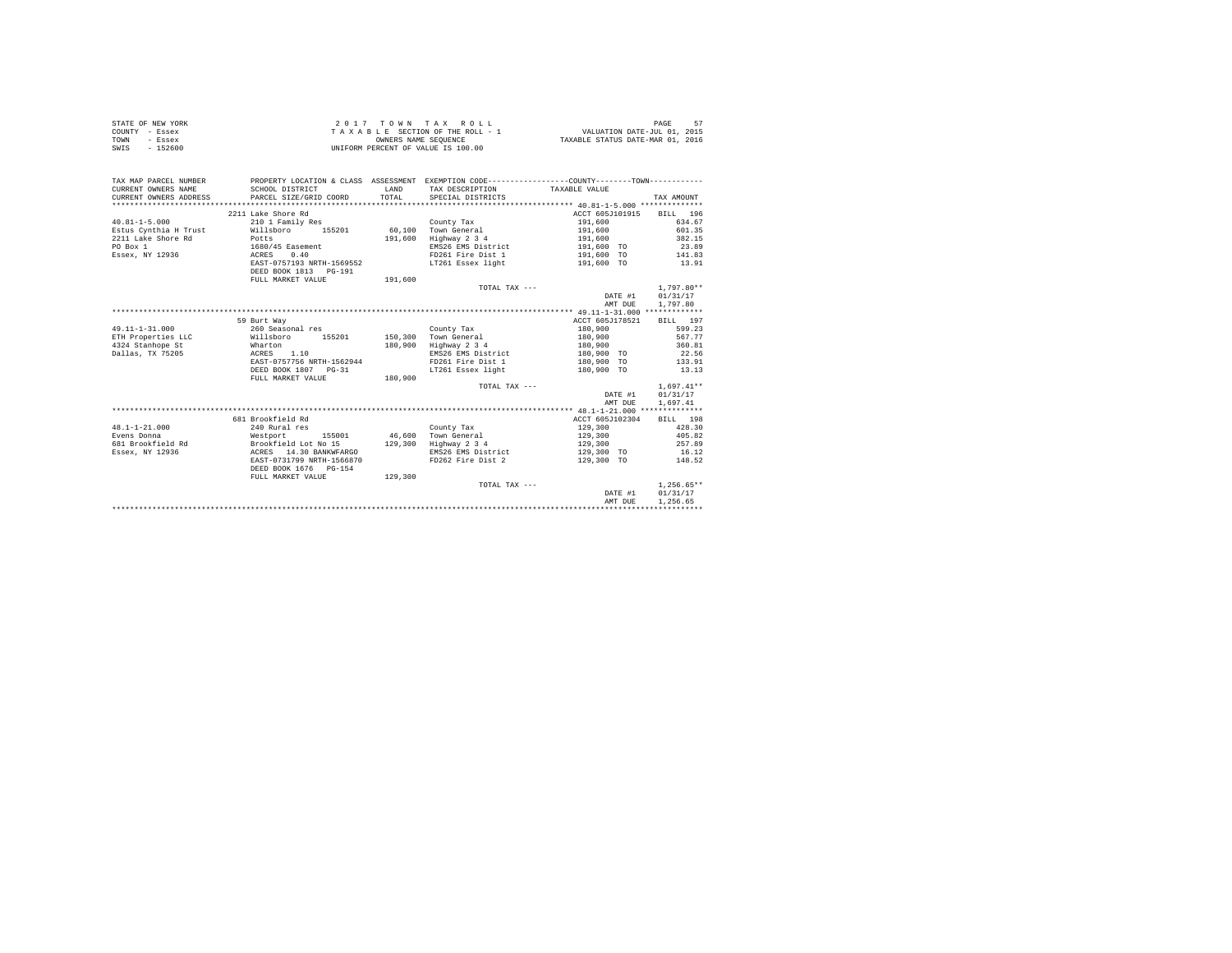|                | STATE OF NEW YORK | 2017 TOWN TAX ROLL                 | 57<br>PAGE                       |
|----------------|-------------------|------------------------------------|----------------------------------|
| COUNTY - Essex |                   | TAXABLE SECTION OF THE ROLL - 1    | VALUATION DATE-JUL 01, 2015      |
| TOWN           | - Essex           | OWNERS NAME SEOUENCE               | TAXABLE STATUS DATE-MAR 01, 2016 |
| SWIS           | $-152600$         | UNIFORM PERCENT OF VALUE IS 100.00 |                                  |

| TAX MAP PARCEL NUMBER<br>CURRENT OWNERS NAME | SCHOOL DISTRICT                     | LAND    | PROPERTY LOCATION & CLASS ASSESSMENT EXEMPTION CODE----------------COUNTY-------TOWN----------<br>TAX DESCRIPTION TAXABLE VALUE |                          |                  |
|----------------------------------------------|-------------------------------------|---------|---------------------------------------------------------------------------------------------------------------------------------|--------------------------|------------------|
|                                              | 2211 Lake Shore Rd                  |         |                                                                                                                                 | ACCT 605J101915 BILL 196 |                  |
| $40.81 - 1 - 5.000$                          | 210 1 Family Res                    |         | County Tax                                                                                                                      | 191,600                  | 634.67           |
| Estus Cynthia H Trust                        | 155201 60.100<br>Willsboro          |         | Town General                                                                                                                    | 191,600                  | 601.35           |
| 2211 Lake Shore Rd                           | Potts                               | 191,600 | Highway 2 3 4                                                                                                                   | 191,600                  | 382.15           |
| PO Box 1                                     | 1680/45 Easement                    |         | EMS26 EMS District                                                                                                              | 191,600 TO               | 23.89            |
| Essex, NY 12936                              | ACRES 0.40                          |         | FD261 Fire Dist 1                                                                                                               | 191,600 TO               | 141.83           |
|                                              | EAST-0757193 NRTH-1569552           |         | LT261 Essex light                                                                                                               | 191,600 TO               | 13.91            |
|                                              | DEED BOOK 1813 PG-191               |         |                                                                                                                                 |                          |                  |
|                                              |                                     |         |                                                                                                                                 |                          |                  |
|                                              | FULL MARKET VALUE                   | 191,600 | TOTAL TAX $---$                                                                                                                 |                          | $1.797.80**$     |
|                                              |                                     |         |                                                                                                                                 |                          |                  |
|                                              |                                     |         |                                                                                                                                 |                          | DATE #1 01/31/17 |
|                                              |                                     |         |                                                                                                                                 | AMT DUE                  | 1,797.80         |
|                                              |                                     |         |                                                                                                                                 |                          |                  |
|                                              | 59 Burt Way                         |         |                                                                                                                                 | ACCT 605J178521          | BILL 197         |
| $49.11 - 1 - 31.000$                         | 260 Seasonal res                    |         | County Tax                                                                                                                      | 180,900                  | 599.23           |
| ETH Properties LLC                           | Willsboro<br>155201                 |         | 150.300 Town General                                                                                                            | 180,900                  | 567.77           |
| 4324 Stanhope St                             | Wharton                             | 180,900 | Highway 2 3 4                                                                                                                   | 180,900                  | 360.81           |
| Dallas, TX 75205                             | ACRES 1.10                          |         | EMS26 EMS District                                                                                                              | 180,900 TO               | 22.56            |
|                                              | EAST-0757756 NRTH-1562944           |         | FD261 Fire Dist 1                                                                                                               | 180,900 TO               | 133.91           |
|                                              | DEED BOOK 1807 PG-31                |         | LT261 Essex light                                                                                                               | 180,900 TO               | 13.13            |
|                                              | FULL MARKET VALUE                   | 180,900 |                                                                                                                                 |                          |                  |
|                                              |                                     |         | TOTAL TAX ---                                                                                                                   |                          | $1.697.41**$     |
|                                              |                                     |         |                                                                                                                                 | DATE #1                  | 01/31/17         |
|                                              |                                     |         |                                                                                                                                 | AMT DUE                  | 1,697.41         |
|                                              |                                     |         |                                                                                                                                 |                          |                  |
|                                              | 681 Brookfield Rd                   |         |                                                                                                                                 | ACCT 605J102304          | BILL 198         |
| $48.1 - 1 - 21.000$                          | 240 Rural res                       |         | County Tax                                                                                                                      | 129,300                  | 428.30           |
| Evens Donna                                  | Westport 155001 46.600 Town General |         |                                                                                                                                 | 129,300                  | 405.82           |
| 681 Brookfield Rd Brookfield Lot No 15       |                                     | 129,300 | Highway 2 3 4                                                                                                                   | 129,300                  | 257.89           |
| Essex, NY 12936                              | ACRES 14.30 BANKWFARGO              |         | EMS26 EMS District                                                                                                              | 129,300 TO 16.12         |                  |
|                                              | EAST-0731799 NRTH-1566870           |         | FD262 Fire Dist 2                                                                                                               | 129,300 TO               | 148.52           |
|                                              | DEED BOOK 1676 PG-154               |         |                                                                                                                                 |                          |                  |
|                                              | FULL MARKET VALUE                   | 129,300 |                                                                                                                                 |                          |                  |
|                                              |                                     |         | TOTAL TAX ---                                                                                                                   |                          | $1.256.65**$     |
|                                              |                                     |         |                                                                                                                                 | DATE #1                  | 01/31/17         |
|                                              |                                     |         |                                                                                                                                 | AMT DUE                  | 1,256.65         |
|                                              |                                     |         |                                                                                                                                 |                          |                  |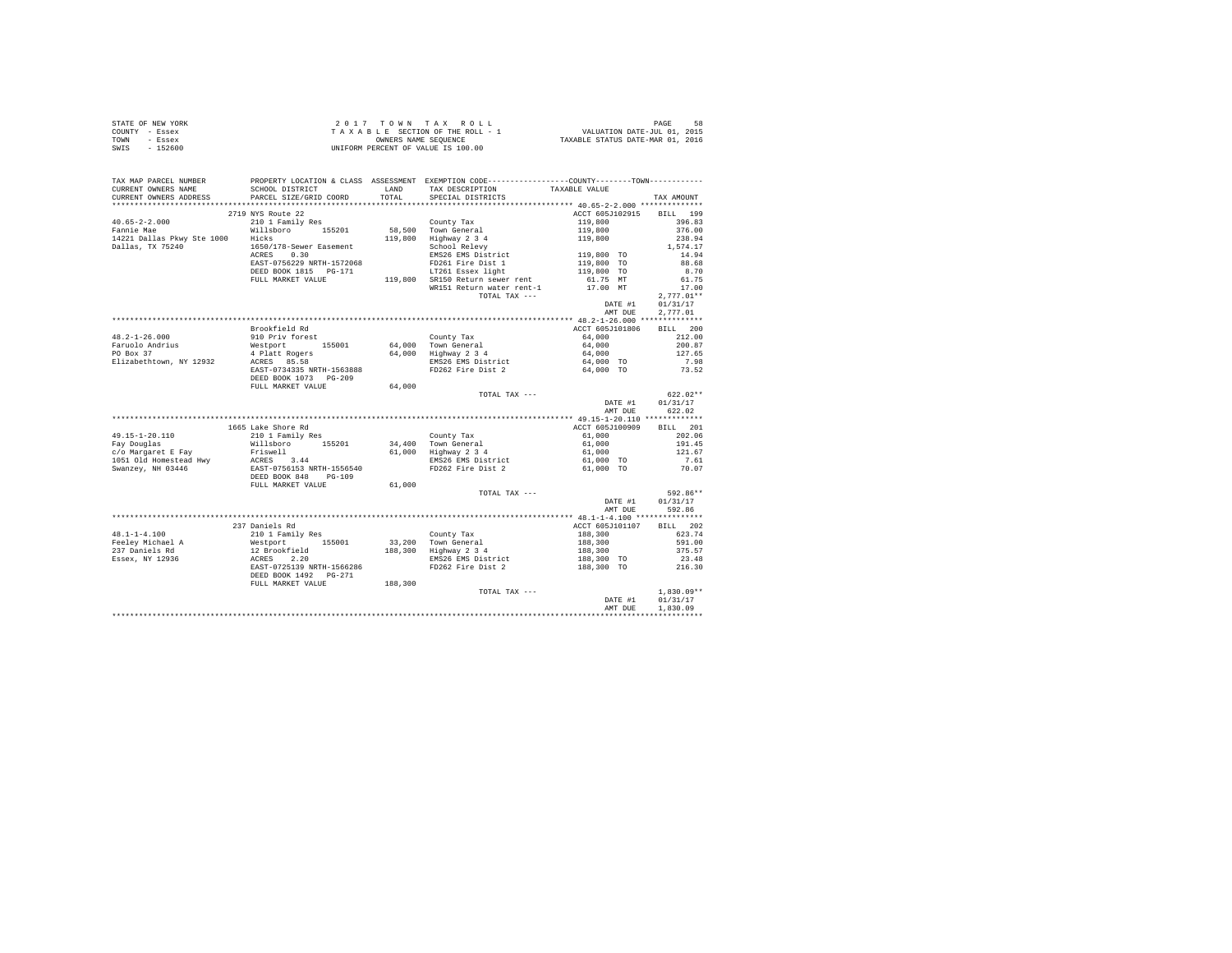|                | STATE OF NEW YORK | 2017 TOWN TAX ROLL                 | 58<br>PAGE                       |
|----------------|-------------------|------------------------------------|----------------------------------|
| COUNTY - Essex |                   | TAXABLE SECTION OF THE ROLL - 1    | VALUATION DATE-JUL 01, 2015      |
| TOWN           | - Essex           | OWNERS NAME SEOUENCE               | TAXABLE STATUS DATE-MAR 01, 2016 |
| SWIS           | $-152600$         | UNIFORM PERCENT OF VALUE IS 100.00 |                                  |

| TAX MAP PARCEL NUMBER                         |                          |       | PROPERTY LOCATION & CLASS ASSESSMENT EXEMPTION CODE---------------COUNTY--------TOWN---------- |                          |                                    |
|-----------------------------------------------|--------------------------|-------|------------------------------------------------------------------------------------------------|--------------------------|------------------------------------|
| CURRENT OWNERS NAME                           | SCHOOL DISTRICT          | LAND  | TAX DESCRIPTION                                                                                | TAXABLE VALUE            |                                    |
| CURRENT OWNERS ADDRESS PARCEL SIZE/GRID COORD |                          | TOTAL | SPECIAL DISTRICTS                                                                              |                          | TAX AMOUNT                         |
|                                               |                          |       |                                                                                                |                          |                                    |
|                                               | 2719 NYS Route 22        |       |                                                                                                | ACCT 605J102915          | BILL 199                           |
|                                               |                          |       |                                                                                                |                          | 396.83                             |
|                                               |                          |       |                                                                                                |                          | 376.00                             |
|                                               |                          |       |                                                                                                |                          | 238.94                             |
|                                               |                          |       |                                                                                                |                          | 1,574.17                           |
|                                               |                          |       |                                                                                                |                          | 14.94                              |
|                                               |                          |       |                                                                                                |                          | 88.68                              |
|                                               | DEED BOOK 1815 PG-171    |       | LT261 Essex light                                                                              | 119,800 TO               | 8.70                               |
|                                               |                          |       |                                                                                                |                          |                                    |
|                                               |                          |       | WR151 Return water rent-1                                                                      | 61.75 MT<br>17.00 MT     | 17.00                              |
|                                               |                          |       | TOTAL TAX ---                                                                                  |                          | $2.777.01**$                       |
|                                               |                          |       |                                                                                                | DATE #1 01/31/17         |                                    |
|                                               |                          |       |                                                                                                |                          |                                    |
|                                               |                          |       |                                                                                                | AMT DUE                  | 2,777.01                           |
|                                               |                          |       |                                                                                                |                          |                                    |
|                                               | Brookfield Rd            |       |                                                                                                | ACCT 605J101806          | BILL 200                           |
|                                               |                          |       |                                                                                                |                          | 212.00                             |
|                                               |                          |       |                                                                                                |                          | 200.87                             |
|                                               |                          |       |                                                                                                |                          | 127.65                             |
|                                               |                          |       |                                                                                                |                          | $7.98$<br>$73.52$                  |
|                                               |                          |       |                                                                                                |                          |                                    |
|                                               | DEED BOOK 1073 PG-209    |       |                                                                                                |                          |                                    |
|                                               | FULL MARKET VALUE 64,000 |       |                                                                                                |                          |                                    |
|                                               |                          |       | TOTAL TAX ---                                                                                  |                          | $622.02**$                         |
|                                               |                          |       |                                                                                                |                          | DATE #1 01/31/17                   |
|                                               |                          |       |                                                                                                | AMT DUE                  | 622.02                             |
|                                               |                          |       |                                                                                                |                          |                                    |
|                                               | 1665 Lake Shore Rd       |       |                                                                                                | ACCT 605J100909          | BILL 201                           |
|                                               |                          |       |                                                                                                |                          |                                    |
|                                               |                          |       |                                                                                                |                          |                                    |
|                                               |                          |       |                                                                                                |                          |                                    |
|                                               |                          |       |                                                                                                |                          |                                    |
|                                               |                          |       |                                                                                                |                          |                                    |
|                                               |                          |       |                                                                                                |                          |                                    |
|                                               |                          |       |                                                                                                |                          |                                    |
|                                               |                          |       | TOTAL TAX ---                                                                                  |                          | 592.86**                           |
|                                               |                          |       |                                                                                                |                          | DATE #1 01/31/17                   |
|                                               |                          |       |                                                                                                |                          | AMT DUE 592.86                     |
|                                               |                          |       |                                                                                                |                          |                                    |
|                                               |                          |       |                                                                                                |                          |                                    |
|                                               | 237 Daniels Rd           |       |                                                                                                | ACCT 605J101107 BILL 202 |                                    |
|                                               |                          |       |                                                                                                |                          |                                    |
|                                               |                          |       |                                                                                                |                          |                                    |
|                                               |                          |       |                                                                                                |                          |                                    |
|                                               |                          |       |                                                                                                |                          |                                    |
|                                               |                          |       |                                                                                                |                          |                                    |
|                                               |                          |       |                                                                                                |                          |                                    |
|                                               |                          |       |                                                                                                |                          |                                    |
|                                               |                          |       | TOTAL TAX ---                                                                                  |                          | $1,830.09**$<br>DATE #1 $01/31/17$ |
|                                               |                          |       |                                                                                                |                          |                                    |
|                                               |                          |       |                                                                                                | AMT DUE                  | 1,830.09                           |
|                                               |                          |       |                                                                                                |                          |                                    |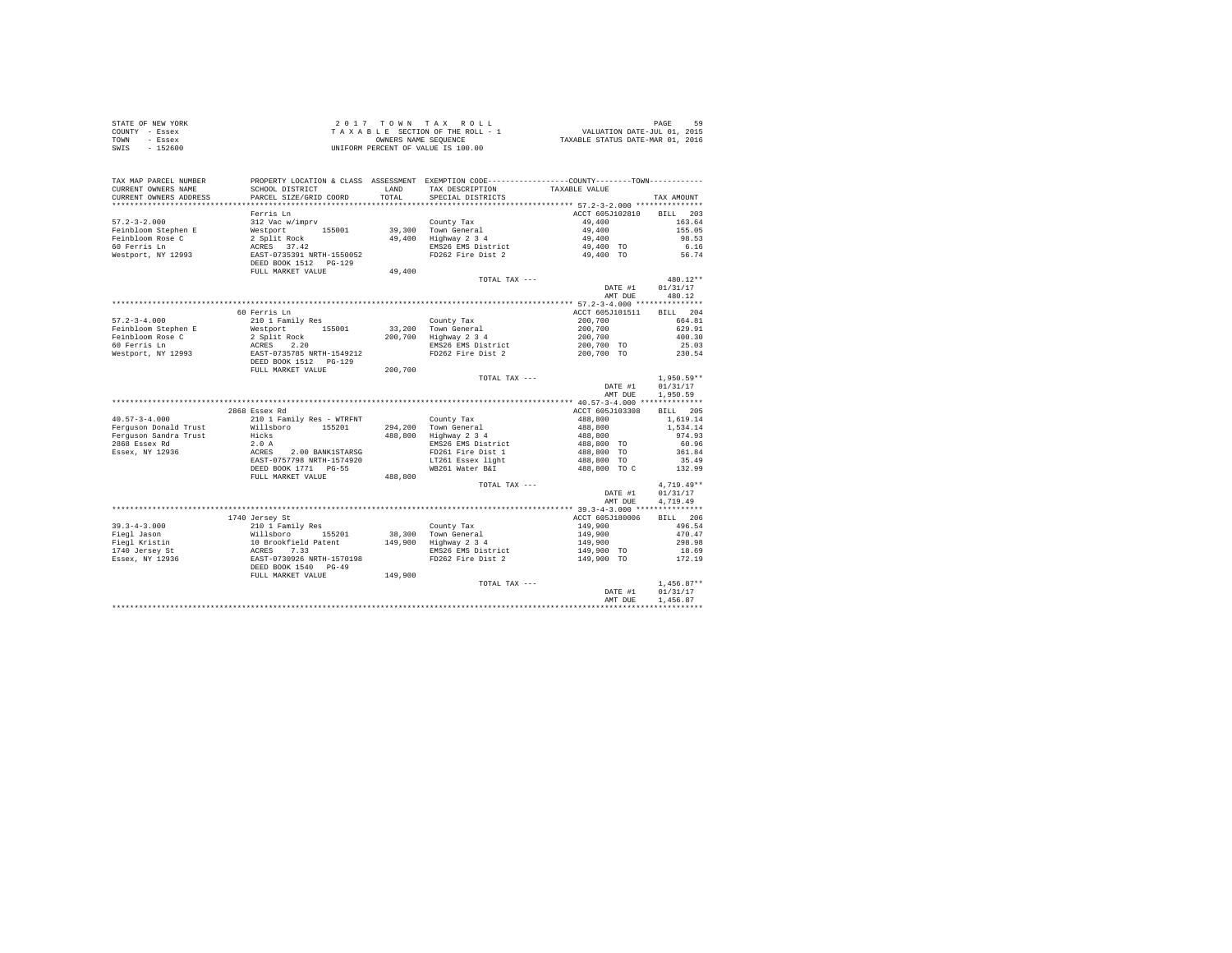| STATE OF NEW YORK      | 2 0 1 7                                                                                       |         | TOWN TAX ROLL                      |                                  | PAGE<br>59   |
|------------------------|-----------------------------------------------------------------------------------------------|---------|------------------------------------|----------------------------------|--------------|
| COUNTY - Essex         |                                                                                               |         | TAXABLE SECTION OF THE ROLL - 1    | VALUATION DATE-JUL 01, 2015      |              |
| TOWN<br>- Essex        |                                                                                               |         | OWNERS NAME SEQUENCE               | TAXABLE STATUS DATE-MAR 01, 2016 |              |
| $-152600$<br>SWIS      |                                                                                               |         | UNIFORM PERCENT OF VALUE IS 100.00 |                                  |              |
|                        |                                                                                               |         |                                    |                                  |              |
| TAX MAP PARCEL NUMBER  | PROPERTY LOCATION & CLASS ASSESSMENT EXEMPTION CODE---------------COUNTY-------TOWN---------- |         |                                    |                                  |              |
| CURRENT OWNERS NAME    | SCHOOL DISTRICT                                                                               | LAND    | TAX DESCRIPTION                    | TAXABLE VALUE                    |              |
| CURRENT OWNERS ADDRESS | PARCEL SIZE/GRID COORD                                                                        | TOTAL.  | SPECIAL DISTRICTS                  |                                  | TAX AMOUNT   |
|                        |                                                                                               |         |                                    |                                  |              |
|                        | Ferris Ln                                                                                     |         |                                    | ACCT 605J102810                  | BILL 203     |
| $57.2 - 3 - 2.000$     | 312 Vac w/imprv                                                                               |         | County Tax                         | 49,400                           | 163.64       |
| Feinbloom Stephen E    | 155001<br>Westport                                                                            | 39,300  | Town General                       | 49,400                           | 155.05       |
| Feinbloom Rose C       | 2 Split Rock                                                                                  | 49,400  | Highway 2 3 4                      | 49,400                           | 98.53        |
| 60 Ferris Ln           | ACRES 37.42                                                                                   |         | EMS26 EMS District                 | 49,400 TO                        | 6.16         |
| Westport, NY 12993     | EAST-0735391 NRTH-1550052                                                                     |         | FD262 Fire Dist 2                  | 49,400 TO                        | 56.74        |
|                        | DEED BOOK 1512 PG-129                                                                         |         |                                    |                                  |              |
|                        | FULL MARKET VALUE                                                                             | 49,400  |                                    |                                  |              |
|                        |                                                                                               |         | TOTAL TAX $---$                    |                                  | $480.12**$   |
|                        |                                                                                               |         |                                    | DATE #1                          | 01/31/17     |
|                        |                                                                                               |         |                                    | AMT DUE                          | 480.12       |
|                        |                                                                                               |         |                                    |                                  |              |
|                        | 60 Ferris Ln                                                                                  |         |                                    | ACCT 605J101511                  | BILL 204     |
| $57.2 - 3 - 4.000$     | 210 1 Family Res                                                                              |         | County Tax                         | 200,700                          | 664.81       |
| Feinbloom Stephen E    | Westport<br>155001                                                                            | 33,200  | Town General                       | 200,700                          | 629.91       |
| Feinbloom Rose C       | 2 Split Rock                                                                                  | 200,700 | Highway 2 3 4                      | 200,700                          | 400.30       |
| 60 Ferris Ln           | ACRES<br>2.20                                                                                 |         | EMS26 EMS District                 | 200,700 TO                       | 25.03        |
| Westport, NY 12993     | EAST-0735785 NRTH-1549212                                                                     |         | FD262 Fire Dist 2                  | 200,700 TO                       | 230.54       |
|                        | DEED BOOK 1512 PG-129                                                                         |         |                                    |                                  |              |
|                        | FULL MARKET VALUE                                                                             | 200,700 |                                    |                                  |              |
|                        |                                                                                               |         | TOTAL TAX ---                      |                                  | $1,950.59**$ |
|                        |                                                                                               |         |                                    | DATE #1                          | 01/31/17     |
|                        |                                                                                               |         |                                    | AMT DUE                          | 1,950.59     |
|                        |                                                                                               |         |                                    |                                  |              |
|                        | 2868 Essex Rd                                                                                 |         |                                    | ACCT 605J103308                  | BILL 205     |
| $40.57 - 3 - 4.000$    | 210 1 Family Res - WTRFNT                                                                     |         | County Tax                         | 488,800                          | 1,619.14     |
| Ferquson Donald Trust  | Willsboro<br>155201                                                                           | 294,200 | Town General                       | 488,800                          | 1,534.14     |
| Ferguson Sandra Trust  | Hicks                                                                                         | 488,800 | Highway 2 3 4                      | 488,800                          | 974.93       |
| 2868 Essex Rd          | 2.0A                                                                                          |         | EMS26 EMS District                 | 488,800 TO                       | 60.96        |
| Essex, NY 12936        | 2.00 BANK1STARSG<br>ACRES                                                                     |         | FD261 Fire Dist 1                  | 488,800 TO                       | 361.84       |
|                        | EAST-0757798 NRTH-1574920                                                                     |         | LT261 Essex light                  | 488,800 TO                       | 35.49        |
|                        | DEED BOOK 1771 PG-55                                                                          |         | WB261 Water B&I                    | 488,800 TO C                     | 132.99       |
|                        | FULL MARKET VALUE                                                                             | 488,800 |                                    |                                  |              |
|                        |                                                                                               |         | TOTAL TAX ---                      |                                  | $4.719.49**$ |
|                        |                                                                                               |         |                                    | DATE #1                          | 01/31/17     |
|                        |                                                                                               |         |                                    | AMT DUE                          | 4,719.49     |
|                        |                                                                                               |         |                                    |                                  |              |
|                        | 1740 Jersey St                                                                                |         |                                    | ACCT 605J180006                  | BILL 206     |
| $39.3 - 4 - 3.000$     | 210 1 Family Res                                                                              |         | County Tax                         | 149,900                          | 496.54       |
| Fiegl Jason            | Willsboro<br>155201                                                                           | 38,300  | Town General                       | 149,900                          | 470.47       |
| Fieql Kristin          | 10 Brookfield Patent                                                                          | 149,900 | Highway 2 3 4                      | 149,900                          | 298.98       |
| 1740 Jersey St         | 7.33<br>ACRES                                                                                 |         | EMS26 EMS District                 | 149,900 TO                       | 18.69        |
| Essex, NY 12936        | EAST-0730926 NRTH-1570198                                                                     |         | FD262 Fire Dist 2                  | 149,900 TO                       | 172.19       |
|                        | DEED BOOK 1540<br>$PG-49$                                                                     |         |                                    |                                  |              |

FULL MARKET VALUE 149,900 TOTAL TAX --- 1,456.87\*\* DATE #1 01/31/17 AMT DUE 1,456.87 \*\*\*\*\*\*\*\*\*\*\*\*\*\*\*\*\*\*\*\*\*\*\*\*\*\*\*\*\*\*\*\*\*\*\*\*\*\*\*\*\*\*\*\*\*\*\*\*\*\*\*\*\*\*\*\*\*\*\*\*\*\*\*\*\*\*\*\*\*\*\*\*\*\*\*\*\*\*\*\*\*\*\*\*\*\*\*\*\*\*\*\*\*\*\*\*\*\*\*\*\*\*\*\*\*\*\*\*\*\*\*\*\*\*\*\*\*\*\*\*\*\*\*\*\*\*\*\*\*\*\*\*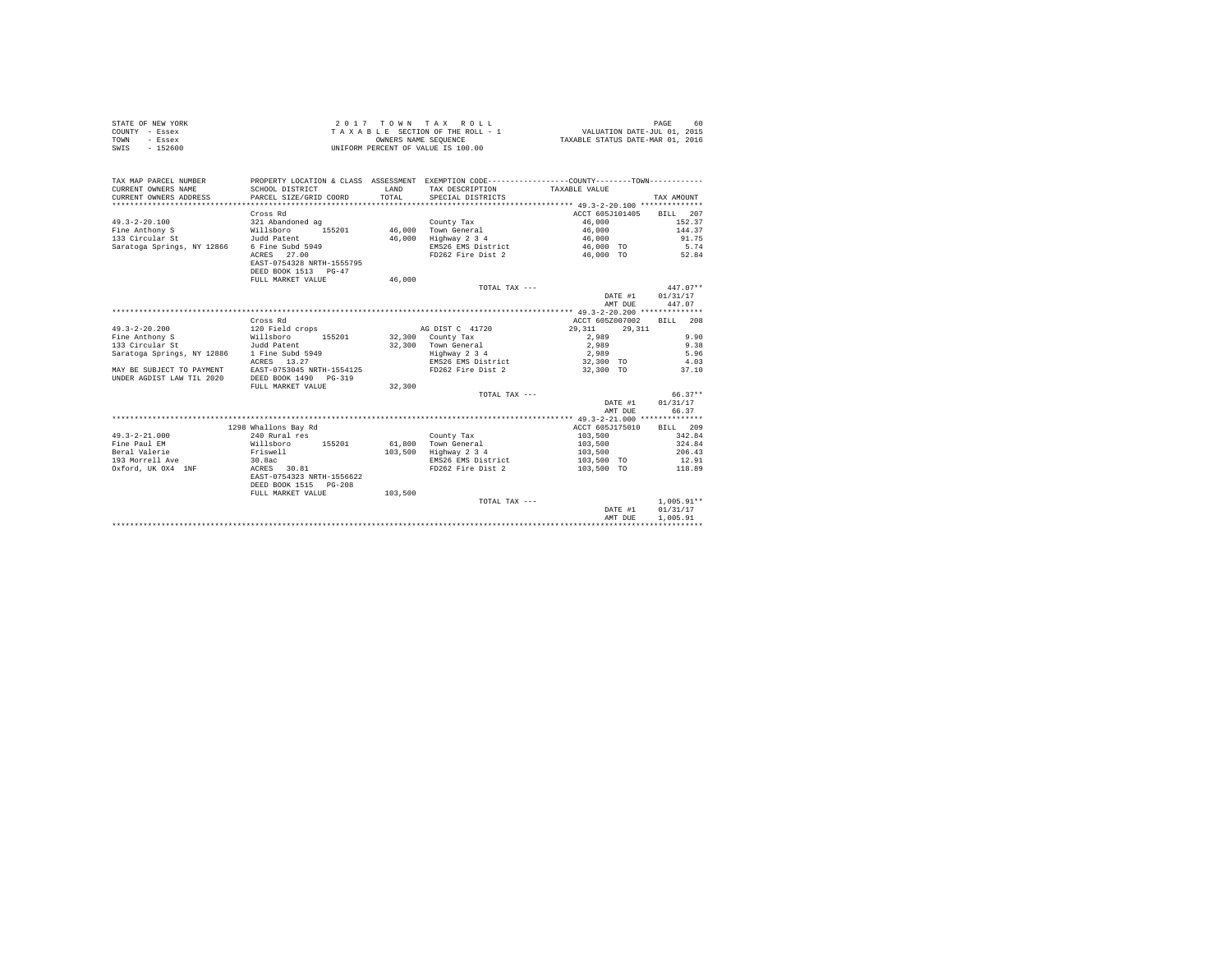| STATE OF NEW YORK | 2017 TOWN TAX ROLL                 | 60<br>PAGE                       |
|-------------------|------------------------------------|----------------------------------|
| COUNTY - Essex    | TAXABLE SECTION OF THE ROLL - 1    | VALUATION DATE-JUL 01, 2015      |
| TOWN<br>- Essex   | OWNERS NAME SEOUENCE               | TAXABLE STATUS DATE-MAR 01, 2016 |
| $-152600$<br>SWIS | UNIFORM PERCENT OF VALUE IS 100.00 |                                  |

| TAX MAP PARCEL NUMBER<br>CURRENT OWNERS NAME<br>CURRENT OWNERS ADDRESS | SCHOOL DISTRICT<br>PARCEL SIZE/GRID COORD | <b>T.AND</b><br>TOTAL | PROPERTY LOCATION & CLASS ASSESSMENT EXEMPTION CODE----------------COUNTY--------TOWN----------<br>TAX DESCRIPTION<br>SPECIAL DISTRICTS | TAXABLE VALUE    | TAX AMOUNT         |
|------------------------------------------------------------------------|-------------------------------------------|-----------------------|-----------------------------------------------------------------------------------------------------------------------------------------|------------------|--------------------|
|                                                                        |                                           |                       |                                                                                                                                         |                  |                    |
|                                                                        | Cross Rd                                  |                       |                                                                                                                                         | ACCT 605J101405  | <b>BILL</b><br>207 |
| $49.3 - 2 - 20.100$                                                    | 321 Abandoned ag                          |                       | County Tax                                                                                                                              | 46,000           | 152.37             |
| Fine Anthony S                                                         | 155201<br>Willsboro                       |                       | 46,000 Town General                                                                                                                     | 46,000           | 144.37             |
| 133 Circular St                                                        | Judd Patent                               | 46,000                | Highway 2 3 4                                                                                                                           | 46,000           | 91.75              |
| Saratoga Springs, NY 12866                                             | 6 Fine Subd 5949                          |                       | EMS26 EMS District                                                                                                                      | 46,000 TO        | 5.74               |
|                                                                        | ACRES 27.00<br>EAST-0754328 NRTH-1555795  |                       | FD262 Fire Dist 2                                                                                                                       | 46,000 TO        | 52.84              |
|                                                                        | DEED BOOK 1513 PG-47                      |                       |                                                                                                                                         |                  |                    |
|                                                                        | FULL MARKET VALUE                         | 46,000                |                                                                                                                                         |                  |                    |
|                                                                        |                                           |                       | TOTAL TAX ---                                                                                                                           |                  | $447.07**$         |
|                                                                        |                                           |                       |                                                                                                                                         | DATE #1          | 01/31/17           |
|                                                                        |                                           |                       |                                                                                                                                         | AMT DUE          | 447.07             |
|                                                                        |                                           |                       |                                                                                                                                         |                  |                    |
|                                                                        | Cross Rd                                  |                       |                                                                                                                                         | ACCT 605Z007002  | BILL 208           |
| $49.3 - 2 - 20.200$                                                    | 120 Field crops                           |                       | AG DIST C 41720                                                                                                                         | 29,311<br>29,311 |                    |
| Fine Anthony S                                                         | 155201<br>Willsboro                       |                       | $32,300$ County Tax                                                                                                                     | 2,989            | 9.90               |
| 133 Circular St                                                        | Judd Patent                               |                       | 32,300 Town General                                                                                                                     | 2,989            | 9.38               |
| Saratoga Springs, NY 12886 1 Fine Subd 5949                            |                                           |                       | Highway 2 3 4                                                                                                                           | 2,989            | 5.96               |
|                                                                        | ACRES<br>13.27                            |                       | EMS26 EMS District 32,300 TO 4.03                                                                                                       |                  |                    |
| MAY BE SUBJECT TO PAYMENT                                              | EAST-0753045 NRTH-1554125                 |                       | FD262 Fire Dist 2                                                                                                                       | 32,300 TO        | 37.10              |
| UNDER AGDIST LAW TIL 2020                                              | DEED BOOK 1490<br>$PG - 319$              |                       |                                                                                                                                         |                  |                    |
|                                                                        | FULL MARKET VALUE                         | 32,300                |                                                                                                                                         |                  |                    |
|                                                                        |                                           |                       | TOTAL TAX ---                                                                                                                           |                  | $66.37**$          |
|                                                                        |                                           |                       |                                                                                                                                         | DATE #1          | 01/31/17           |
|                                                                        |                                           |                       |                                                                                                                                         | AMT DUE          | 66.37              |
|                                                                        |                                           |                       |                                                                                                                                         |                  |                    |
|                                                                        | 1298 Whallons Bay Rd                      |                       |                                                                                                                                         | ACCT 605J175010  | BILL 209           |
| $49.3 - 2 - 21.000$                                                    | 240 Rural res                             |                       | County Tax                                                                                                                              | 103,500          | 342.84             |
| Fine Paul EM                                                           | Willsboro<br>155201                       | 61,800                | Town General                                                                                                                            | 103,500          | 324.84             |
| Beral Valerie                                                          | Friswell                                  | 103,500               | Highway 2 3 4                                                                                                                           | 103,500          | 206.43             |
| 193 Morrell Ave                                                        | 30.8ac                                    |                       | EMS26 EMS District                                                                                                                      | 103,500 TO       | 12.91              |
| Oxford, UK OX4 1NF                                                     | ACRES 30.81                               |                       | FD262 Fire Dist 2                                                                                                                       | 103,500 TO       | 118.89             |
|                                                                        | EAST-0754323 NRTH-1556622                 |                       |                                                                                                                                         |                  |                    |
|                                                                        | DEED BOOK 1515 PG-208                     |                       |                                                                                                                                         |                  |                    |
|                                                                        | FULL MARKET VALUE                         | 103,500               |                                                                                                                                         |                  |                    |
|                                                                        |                                           |                       | TOTAL TAX ---                                                                                                                           |                  | $1.005.91**$       |
|                                                                        |                                           |                       |                                                                                                                                         | DATE #1          | 01/31/17           |
|                                                                        |                                           |                       |                                                                                                                                         | AMT DUE          | 1,005.91           |
|                                                                        |                                           |                       |                                                                                                                                         |                  |                    |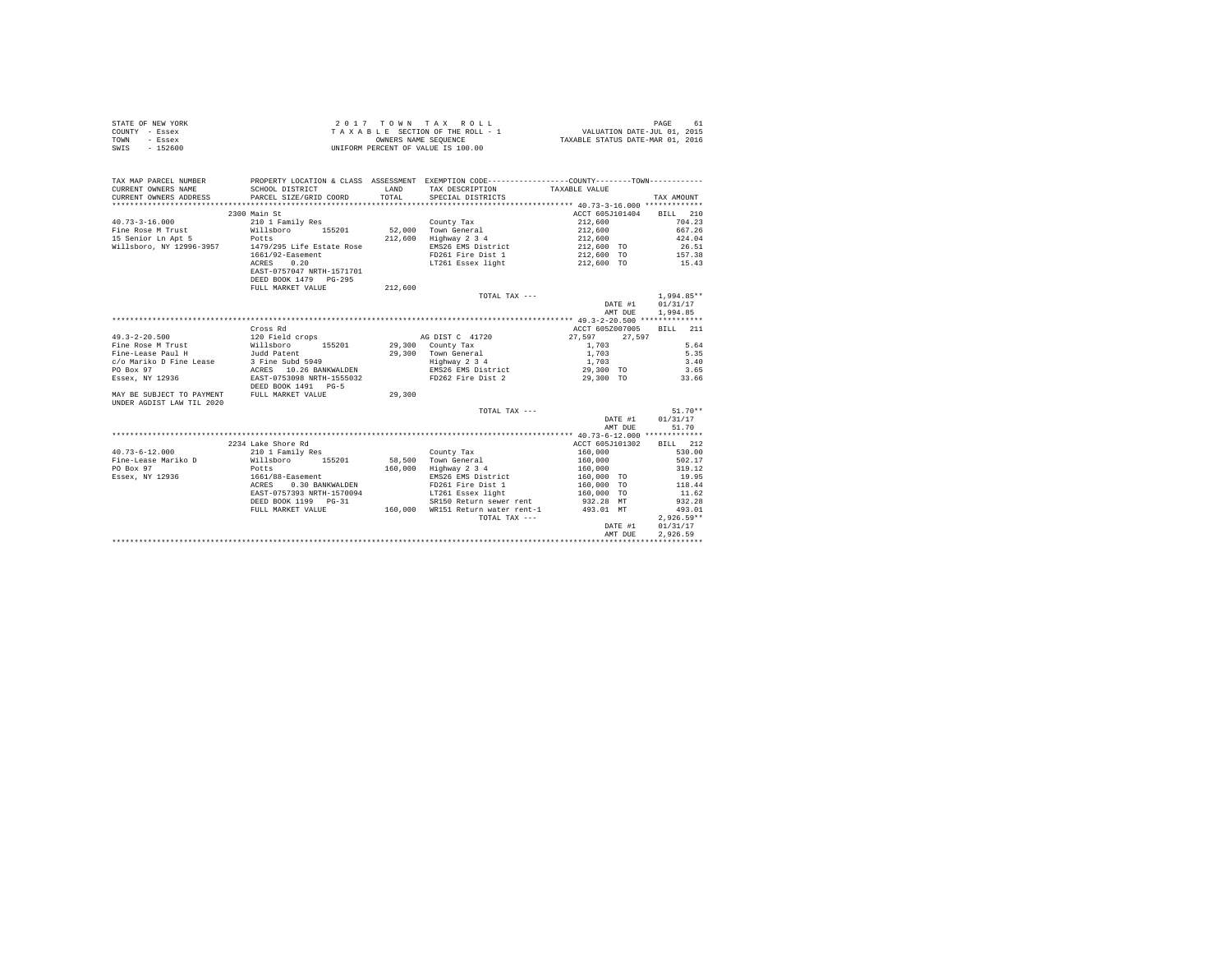| STATE OF NEW YORK | 2017 TOWN TAX ROLL                 | PAGE<br>-61                      |
|-------------------|------------------------------------|----------------------------------|
| COUNTY - Essex    | TAXABLE SECTION OF THE ROLL - 1    | VALUATION DATE-JUL 01, 2015      |
| TOWN<br>$-$ Essex | OWNERS NAME SEOUENCE               | TAXABLE STATUS DATE-MAR 01, 2016 |
| $-152600$<br>SWIS | UNIFORM PERCENT OF VALUE IS 100.00 |                                  |

| TAX MAP PARCEL NUMBER<br>CURRENT OWNERS NAME<br>CURRENT OWNERS ADDRESS | SCHOOL DISTRICT<br>PARCEL SIZE/GRID COORD      | <b>T.AND</b><br>TOTAL | PROPERTY LOCATION & CLASS ASSESSMENT EXEMPTION CODE----------------COUNTY-------TOWN----------<br>TAX DESCRIPTION<br>SPECIAL DISTRICTS | TAXABLE VALUE            | TAX AMOUNT   |
|------------------------------------------------------------------------|------------------------------------------------|-----------------------|----------------------------------------------------------------------------------------------------------------------------------------|--------------------------|--------------|
|                                                                        |                                                |                       |                                                                                                                                        |                          |              |
|                                                                        | 2300 Main St                                   |                       |                                                                                                                                        | ACCT 605J101404 BILL 210 |              |
| $40.73 - 3 - 16.000$                                                   | 210 1 Family Res                               |                       | County Tax                                                                                                                             | 212,600                  | 704.23       |
| Fine Rose M Trust Millsboro                                            | 155201                                         |                       | 52,000 Town General                                                                                                                    | 212,600                  | 667.26       |
| 15 Senior Ln Apt 5                                                     | Potts                                          |                       | 212,600 Highway 2 3 4                                                                                                                  | 212,600                  | 424.04       |
| Willsboro, NY 12996-3957 1479/295 Life Estate Rose                     |                                                |                       | EMS26 EMS District                                                                                                                     | 212,600 TO               | 26.51        |
|                                                                        | 1661/92-Easement                               |                       | FD261 Fire Dist 1                                                                                                                      | 212,600 TO               | 157.38       |
|                                                                        | 0.20<br>ACRES                                  |                       | LT261 Essex light                                                                                                                      | 212,600 TO               | 15.43        |
|                                                                        | EAST-0757047 NRTH-1571701                      |                       |                                                                                                                                        |                          |              |
|                                                                        | DEED BOOK 1479 PG-295                          |                       |                                                                                                                                        |                          |              |
|                                                                        | FULL MARKET VALUE                              | 212,600               |                                                                                                                                        |                          |              |
|                                                                        |                                                |                       | TOTAL TAX ---                                                                                                                          |                          | $1,994.85**$ |
|                                                                        |                                                |                       |                                                                                                                                        | DATE #1                  | 01/31/17     |
|                                                                        |                                                |                       |                                                                                                                                        | AMT DUE                  | 1,994.85     |
|                                                                        |                                                |                       |                                                                                                                                        |                          |              |
|                                                                        | Cross Rd                                       |                       |                                                                                                                                        | ACCT 605Z007005          | BILL<br>211  |
| $49.3 - 2 - 20.500$                                                    | 120 Field crops 5 6 6 8 8 8 8 8 8 8 9 1 8 7 20 |                       |                                                                                                                                        | 27.597<br>27.597         |              |
| Fine Rose M Trust                                                      | 155201 29,300 County Tax<br>Willsboro          |                       |                                                                                                                                        | 1,703                    | 5.64         |
| Fine-Lease Paul H                                                      | Judd Patent                                    |                       | 29,300 Town General<br>Highway 2 3 4                                                                                                   | 1,703                    | 5.35         |
| c/o Mariko D Fine Lease                                                | 3 Fine Subd 5949                               |                       |                                                                                                                                        | 1,703                    | 3.40         |
| PO Box 97                                                              | ACRES 10.26 BANKWALDEN                         |                       | EMS26 EMS District                                                                                                                     | 29,300 TO                | 3.65         |
| Essex, NY 12936                                                        | EAST-0753098 NRTH-1555032                      |                       | FD262 Fire Dist 2                                                                                                                      | 29,300 TO                | 33.66        |
|                                                                        | DEED BOOK 1491 PG-5                            |                       |                                                                                                                                        |                          |              |
| MAY BE SUBJECT TO PAYMENT                                              | FULL MARKET VALUE                              | 29,300                |                                                                                                                                        |                          |              |
| UNDER AGDIST LAW TIL 2020                                              |                                                |                       |                                                                                                                                        |                          |              |
|                                                                        |                                                |                       | TOTAL TAX ---                                                                                                                          |                          | $51.70**$    |
|                                                                        |                                                |                       |                                                                                                                                        | DATE #1                  | 01/31/17     |
|                                                                        |                                                |                       |                                                                                                                                        | AMT DUE                  | 51.70        |
|                                                                        | 2234 Lake Shore Rd                             |                       |                                                                                                                                        | ACCT 605J101302          | BILL 212     |
| $40.73 - 6 - 12.000$                                                   | 210 1 Family Res                               |                       | County Tax                                                                                                                             | 160,000                  | 530.00       |
| Fine-Lease Mariko D                                                    | Willsboro 155201                               |                       | 58.500 Town General                                                                                                                    | 160,000                  | 502.17       |
| PO Box 97                                                              | Potts                                          | 160,000               | Highway 2 3 4                                                                                                                          | 160,000                  | 319.12       |
| Essex, NY 12936                                                        | 1661/88-Easement                               |                       | EMS26 EMS District                                                                                                                     | 160,000 TO               | 19.95        |
|                                                                        | 0.30 BANKWALDEN<br>ACRES                       |                       | FD261 Fire Dist 1                                                                                                                      | 160,000 TO               | 118.44       |
|                                                                        | EAST-0757393 NRTH-1570094                      |                       | LT261 Essex light                                                                                                                      | $160,000$ TO             | 11.62        |
|                                                                        | DEED BOOK 1199    PG-31                        |                       | SR150 Return sewer rent                                                                                                                | 932.28 MT                | 932.28       |
|                                                                        | FULL MARKET VALUE                              |                       | 160,000 WR151 Return water rent-1                                                                                                      | 493.01 MT                | 493.01       |
|                                                                        |                                                |                       | TOTAL TAX ---                                                                                                                          |                          | $2.926.59**$ |
|                                                                        |                                                |                       |                                                                                                                                        | DATE #1                  | 01/31/17     |
|                                                                        |                                                |                       |                                                                                                                                        | AMT DUE                  | 2.926.59     |
|                                                                        |                                                |                       |                                                                                                                                        |                          |              |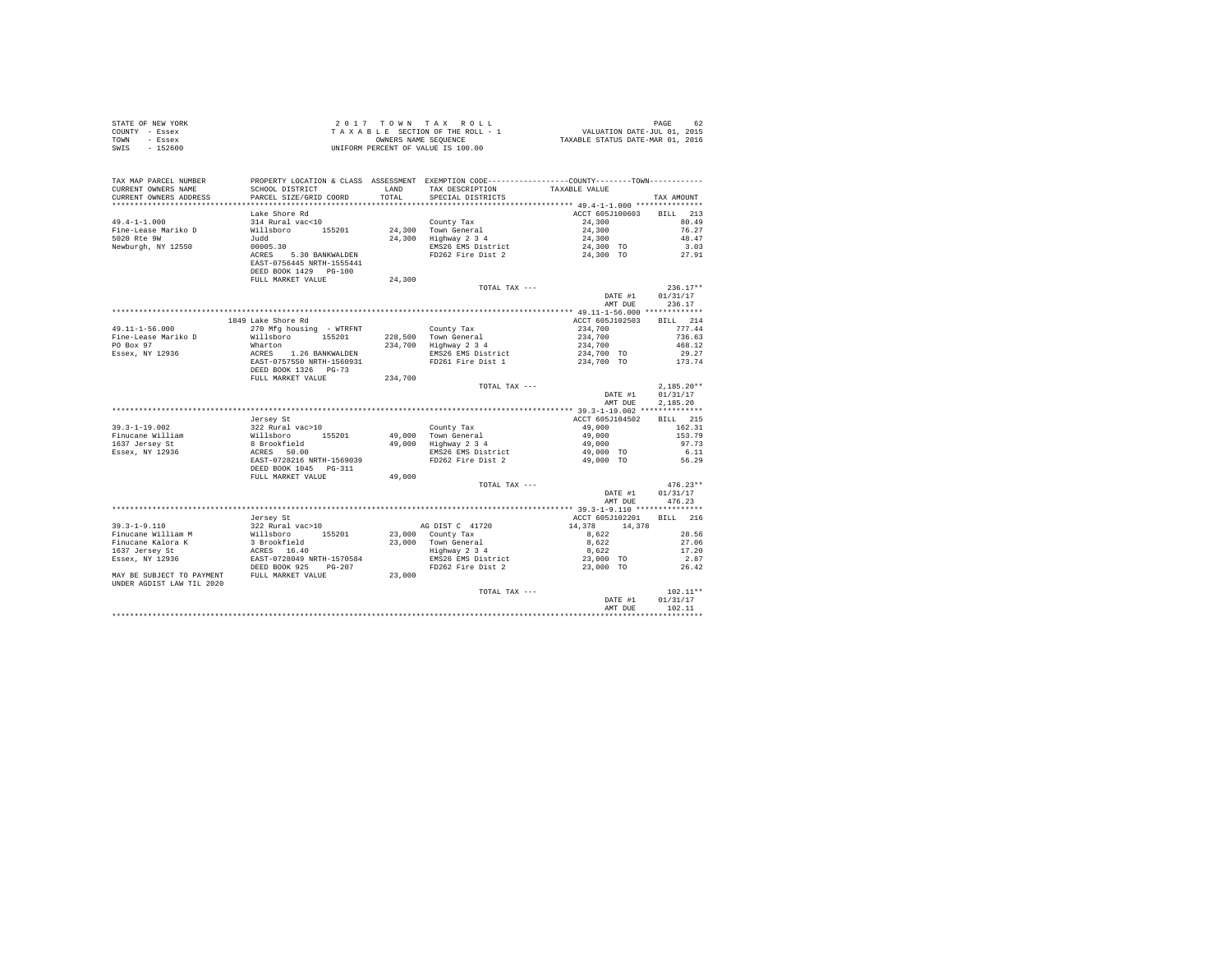| COUNTY - Essex<br>TOWN<br>- Essex<br>SWTS<br>$-152600$                   |                                                                                                                                                            | OWNERS NAME SEQUENCE | TAXABLE SECTION OF THE ROLL - 1<br>UNIFORM PERCENT OF VALUE IS 100.00                         |                                                        |                    |
|--------------------------------------------------------------------------|------------------------------------------------------------------------------------------------------------------------------------------------------------|----------------------|-----------------------------------------------------------------------------------------------|--------------------------------------------------------|--------------------|
| TAX MAP PARCEL NUMBER                                                    |                                                                                                                                                            |                      | PROPERTY LOCATION & CLASS ASSESSMENT EXEMPTION CODE---------------COUNTY-------TOWN---------- |                                                        |                    |
| CURRENT OWNERS NAME                                                      | SCHOOL DISTRICT                                                                                                                                            | LAND                 | TAX DESCRIPTION<br>SPECIAL DISTRICTS                                                          | TAXABLE VALUE                                          |                    |
| CURRENT OWNERS ADDRESS                                                   | PARCEL SIZE/GRID COORD                                                                                                                                     | TOTAL                |                                                                                               |                                                        | TAX AMOUNT         |
|                                                                          |                                                                                                                                                            |                      |                                                                                               |                                                        |                    |
|                                                                          | Lake Shore Rd                                                                                                                                              |                      |                                                                                               | ACCT 605J100603                                        | BILL 213           |
| $49.4 - 1 - 1.000$                                                       | 314 Rural vac<10                                                                                                                                           |                      | County Tax                                                                                    | 24,300<br>24,300                                       | 80.49              |
| Fine-Lease Mariko D<br>5020 Rte 9W                                       | Willsboro 155201<br>Judd                                                                                                                                   |                      | County rax<br>24,300 Town General<br>24,300 Highway 2 3 4                                     | 24,300                                                 | 76.27<br>48.47     |
| Newburgh, NY 12550                                                       | 00005.30                                                                                                                                                   |                      |                                                                                               | 24,300 TO                                              | 3.03               |
|                                                                          | ACRES 5.30 BANKWALDEN<br>EAST-0756445 NRTH-1555441                                                                                                         |                      | EMS26 EMS District<br>FD262 Fire Dist 2                                                       | 24,300 TO                                              | 27.91              |
|                                                                          | DEED BOOK 1429 PG-100                                                                                                                                      |                      |                                                                                               |                                                        |                    |
|                                                                          | FULL MARKET VALUE                                                                                                                                          | 24,300               |                                                                                               |                                                        |                    |
|                                                                          |                                                                                                                                                            |                      | TOTAL TAX ---                                                                                 |                                                        | $236.17**$         |
|                                                                          |                                                                                                                                                            |                      |                                                                                               | DATE #1                                                | 01/31/17<br>236.17 |
|                                                                          |                                                                                                                                                            |                      |                                                                                               | AMT DUE                                                |                    |
|                                                                          | 1849 Lake Shore Rd                                                                                                                                         |                      |                                                                                               | ACCT 605J102503                                        | BILL 214           |
| $49.11 - 1 - 56.000$                                                     | 270 Mfg housing - WTRFNT                                                                                                                                   |                      | County Tax                                                                                    | 234,700                                                | 777.44             |
| Fine-Lease Mariko D                                                      | Willsboro 155201                                                                                                                                           |                      | 228,500 Town General                                                                          |                                                        | 736.63             |
| PO Box 97                                                                | Wharton                                                                                                                                                    |                      | 228,500   Town General<br>234,700   Highway 2 3 4                                             | $234,700$<br>$234,700$<br>$234,700$ TO<br>$234,700$ TO | 468.12             |
| Essex, NY 12936                                                          |                                                                                                                                                            |                      | EMS26 EMS District<br>FD261 Fire Dist 1                                                       |                                                        | 29.27              |
|                                                                          | ACRES 1.26 BANKWALDEN<br>EAST-0757550 NRTH-1560931<br>DEED BOOK 1326 PG-73                                                                                 |                      |                                                                                               |                                                        | 173.74             |
|                                                                          |                                                                                                                                                            |                      |                                                                                               |                                                        |                    |
|                                                                          | FULL MARKET VALUE                                                                                                                                          | 234,700              |                                                                                               |                                                        | $2.185.20**$       |
|                                                                          |                                                                                                                                                            |                      | TOTAL TAX ---                                                                                 | DATE #1                                                | 01/31/17           |
|                                                                          |                                                                                                                                                            |                      |                                                                                               | AMT DUE                                                | 2.185.20           |
|                                                                          |                                                                                                                                                            |                      |                                                                                               |                                                        |                    |
|                                                                          | Jersey St                                                                                                                                                  |                      |                                                                                               | ACCT 605J104502                                        | <b>BILL</b> 215    |
| $39.3 - 1 - 19.002$                                                      |                                                                                                                                                            |                      | County Tax                                                                                    |                                                        | 162.31             |
| Finucane William                                                         |                                                                                                                                                            |                      | 49,000 Town General<br>49,000 Highway 2 3 4                                                   | 49,000<br>49,000                                       | 153.79             |
| 1637 Jersey St                                                           |                                                                                                                                                            |                      |                                                                                               | 49,000                                                 | 97.73              |
| Essex, NY 12936                                                          |                                                                                                                                                            |                      | EMS26 EMS District<br>FD262 Fire Dist 2                                                       | 49,000 TO<br>49,000 TO                                 | 6.11               |
|                                                                          | %322 Rural vac>10<br>%1118boro 155201<br>%1118boro 155201<br>& Brookfield<br>ACRES 50.00<br>EXBT-0728216 NRTH-1569039<br>DEED BOOK 1045 PG-311             |                      |                                                                                               |                                                        | 56.29              |
|                                                                          | FULL MARKET VALUE                                                                                                                                          | 49,000               |                                                                                               |                                                        |                    |
|                                                                          |                                                                                                                                                            |                      | TOTAL TAX ---                                                                                 |                                                        | $476.23**$         |
|                                                                          |                                                                                                                                                            |                      |                                                                                               | DATE #1<br>AMT DUE                                     | 01/31/17<br>476.23 |
|                                                                          |                                                                                                                                                            |                      |                                                                                               |                                                        |                    |
|                                                                          | Jersey St                                                                                                                                                  |                      |                                                                                               | ACCT 605J102201 BILL 216                               |                    |
| $39.3 - 1 - 9.110$                                                       |                                                                                                                                                            |                      | AG DIST C 41720                                                                               | 14,378<br>14,378                                       |                    |
| Finucane William M<br>Finucane Kalora K                                  |                                                                                                                                                            |                      |                                                                                               | 8,622                                                  | 28.56<br>27.06     |
|                                                                          |                                                                                                                                                            |                      | 23,000 County Tax<br>23,000 Town General<br>Highway 2 3 4<br>EMS26 EMS District               | 8,622<br>8,622                                         | 17.20              |
| 1637 Jersey St<br>$Essex, NY$ 12936                                      |                                                                                                                                                            |                      |                                                                                               | 23,000 TO                                              | 2.87               |
|                                                                          | % ersey st<br>322 Rural vac>10<br>31 Brookfield<br>3 Brookfield<br>ERST 15300<br>ERST 0728049 NRTH-1570584<br>DEED BOOK 925 PG-207<br>DEED BOOK 925 PG-207 |                      | FD262 Fire Dist 2                                                                             | 23,000 TO                                              | 26.42              |
| MAY BE SUBJECT TO PAYMENT FULL MARKET VALUE<br>UNDER AGDIST LAW TIL 2020 |                                                                                                                                                            | 23,000               |                                                                                               |                                                        |                    |
|                                                                          |                                                                                                                                                            |                      | TOTAL TAX ---                                                                                 |                                                        | $102.11**$         |
|                                                                          |                                                                                                                                                            |                      |                                                                                               | DATE #1                                                | 01/31/17           |
|                                                                          |                                                                                                                                                            |                      |                                                                                               | AMT DUE                                                | 102.11             |
|                                                                          |                                                                                                                                                            |                      |                                                                                               |                                                        |                    |

STATE OF NEW YORK  $2017$   $70$   $W$   $T$  A X  $R$  O  $L$  L  $L$  PAGE 62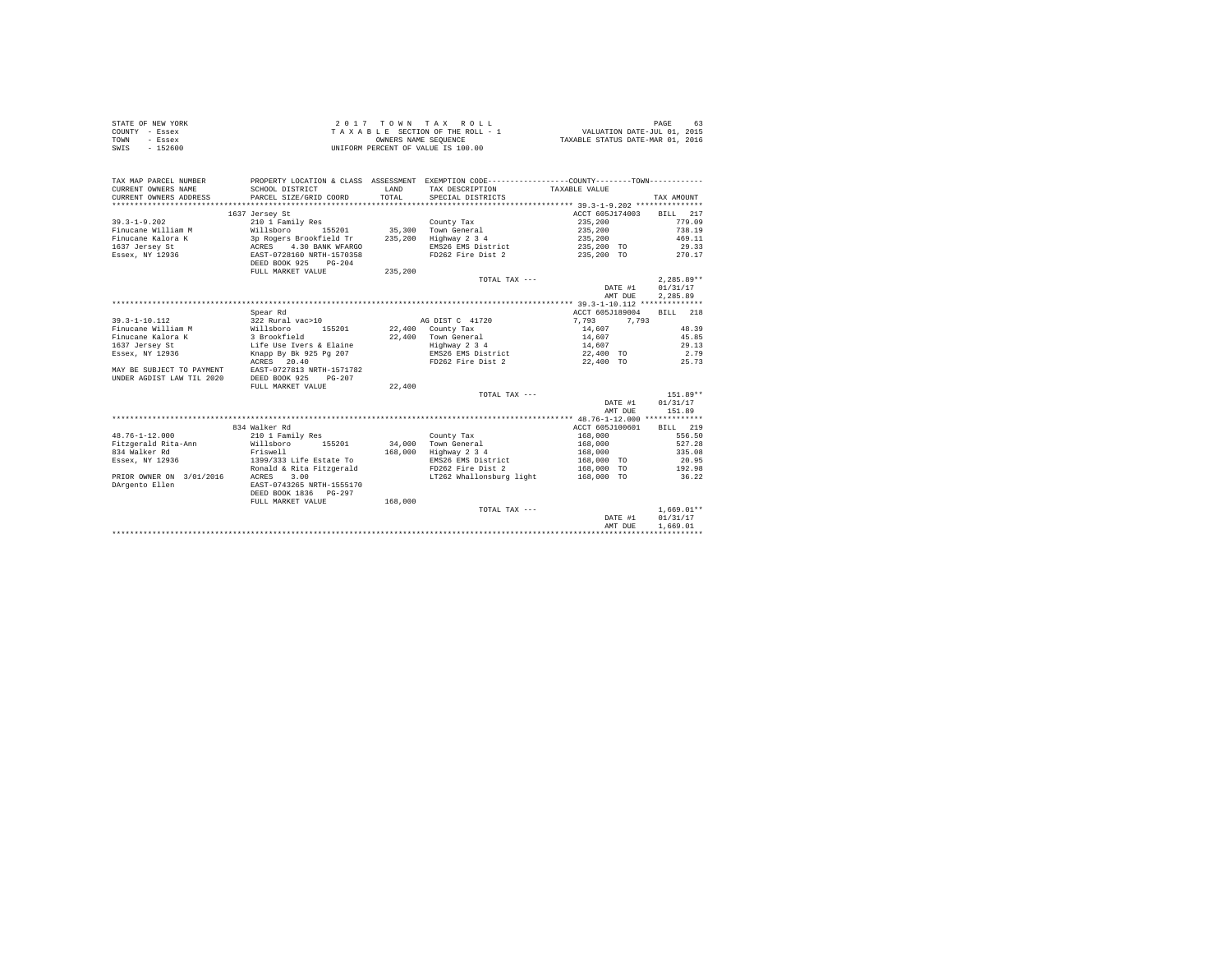| STATE OF NEW YORK | $2.017$ TOWN TAX ROLL              | 63<br>PAGE                       |
|-------------------|------------------------------------|----------------------------------|
| COUNTY - Essex    | TAXABLE SECTION OF THE ROLL - 1    | VALUATION DATE-JUL 01, 2015      |
| TOWN<br>- Essex   | OWNERS NAME SEOUENCE               | TAXABLE STATUS DATE-MAR 01, 2016 |
| $-152600$<br>SWIS | UNIFORM PERCENT OF VALUE IS 100.00 |                                  |

| TAX MAP PARCEL NUMBER<br>CURRENT OWNERS NAME<br>CURRENT OWNERS ADDRESS | SCHOOL DISTRICT<br>PARCEL SIZE/GRID COORD              | LAND<br>TOTAL. | PROPERTY LOCATION & CLASS ASSESSMENT EXEMPTION CODE---------------COUNTY-------TOWN---------<br>TAX DESCRIPTION<br>SPECIAL DISTRICTS | TAXABLE VALUE   | TAX AMOUNT   |
|------------------------------------------------------------------------|--------------------------------------------------------|----------------|--------------------------------------------------------------------------------------------------------------------------------------|-----------------|--------------|
|                                                                        |                                                        |                |                                                                                                                                      |                 |              |
|                                                                        | 1637 Jersey St                                         |                |                                                                                                                                      | ACCT 605J174003 | BILL 217     |
| $39.3 - 1 - 9.202$                                                     | 210 1 Family Res                                       |                | County Tax                                                                                                                           | 235,200         | 779.09       |
| Finucane William M                                                     | Willsboro<br>155201                                    |                | 35,300 Town General                                                                                                                  | 235,200         | 738.19       |
| Finucane Kalora K                                                      | 3p Rogers Brookfield Tr                                | 235,200        | Highway 2 3 4                                                                                                                        | 235,200         | 469.11       |
| 1637 Jersey St                                                         | ACRES 4.30 BANK WFARGO                                 |                | EMS26 EMS District                                                                                                                   | 235,200 TO      | 29.33        |
| Essex, NY 12936                                                        | EAST-0728160 NRTH-1570358<br>DEED BOOK 925<br>$PG-204$ |                | FD262 Fire Dist 2                                                                                                                    | 235,200 TO      | 270.17       |
|                                                                        | FULL MARKET VALUE                                      | 235,200        |                                                                                                                                      |                 |              |
|                                                                        |                                                        |                | TOTAL TAX ---                                                                                                                        |                 | $2.285.89**$ |
|                                                                        |                                                        |                |                                                                                                                                      | DATE #1         | 01/31/17     |
|                                                                        |                                                        |                |                                                                                                                                      | AMT DUE         | 2.285.89     |
|                                                                        |                                                        |                |                                                                                                                                      |                 |              |
|                                                                        | Spear Rd                                               |                |                                                                                                                                      | ACCT 605J189004 | BILL 218     |
| $39.3 - 1 - 10.112$                                                    | 322 Rural vac>10                                       |                | AG DIST C 41720                                                                                                                      | 7.793           | 7.793        |
| Finucane William M                                                     | Willsboro<br>155201                                    |                | 22,400 County Tax                                                                                                                    | 14,607          | 48.39        |
| Finucane Kalora K                                                      | 3 Brookfield                                           |                | 22.400 Town General                                                                                                                  | 14,607          | 45.85        |
| 1637 Jersey St                                                         | Life Use Ivers & Elaine                                |                | Highway 2 3 4                                                                                                                        | 14,607          | 29.13        |
| Essex, NY 12936                                                        | Knapp By Bk 925 Pg 207                                 |                | EMS26 EMS District                                                                                                                   | 22,400 TO       | 2.79         |
|                                                                        | ACRES 20.40                                            |                | FD262 Fire Dist 2                                                                                                                    | 22,400 TO       | 25.73        |
| MAY BE SUBJECT TO PAYMENT                                              | EAST-0727813 NRTH-1571782                              |                |                                                                                                                                      |                 |              |
| UNDER AGDIST LAW TIL 2020                                              | DEED BOOK 925<br>$PG-207$                              |                |                                                                                                                                      |                 |              |
|                                                                        | FULL MARKET VALUE                                      | 22,400         |                                                                                                                                      |                 |              |
|                                                                        |                                                        |                | TOTAL TAX ---                                                                                                                        |                 | $151.89**$   |
|                                                                        |                                                        |                |                                                                                                                                      | DATE #1         | 01/31/17     |
|                                                                        |                                                        |                |                                                                                                                                      | AMT DUE         | 151.89       |
|                                                                        |                                                        |                |                                                                                                                                      |                 |              |
|                                                                        | 834 Walker Rd                                          |                |                                                                                                                                      | ACCT 605J100601 | BILL 219     |
| $48.76 - 1 - 12.000$                                                   | 210 1 Family Res                                       |                | County Tax                                                                                                                           | 168,000         | 556.50       |
| Fitzgerald Rita-Ann                                                    | Willsboro<br>155201                                    |                | 34.000 Town General                                                                                                                  | 168,000         | 527.28       |
| 834 Walker Rd                                                          | Friswell                                               | 168,000        | Highway 2 3 4                                                                                                                        | 168,000         | 335.08       |
| Essex, NY 12936                                                        | 1399/333 Life Estate To                                |                | EMS26 EMS District                                                                                                                   | 168,000 TO      | 20.95        |
|                                                                        | Ronald & Rita Fitzgerald                               |                | FD262 Fire Dist 2                                                                                                                    | 168,000 TO      | 192.98       |
| PRIOR OWNER ON 3/01/2016                                               | ACRES<br>3.00                                          |                | LT262 Whallonsburg light                                                                                                             | 168,000 TO      | 36.22        |
| DArgento Ellen                                                         | EAST-0743265 NRTH-1555170                              |                |                                                                                                                                      |                 |              |
|                                                                        | DEED BOOK 1836 PG-297                                  |                |                                                                                                                                      |                 |              |
|                                                                        | FULL MARKET VALUE                                      | 168,000        |                                                                                                                                      |                 |              |
|                                                                        |                                                        |                | TOTAL TAX ---                                                                                                                        |                 | $1.669.01**$ |
|                                                                        |                                                        |                |                                                                                                                                      | DATE #1         | 01/31/17     |
|                                                                        |                                                        |                |                                                                                                                                      | AMT DUE         | 1,669.01     |
|                                                                        |                                                        |                |                                                                                                                                      |                 |              |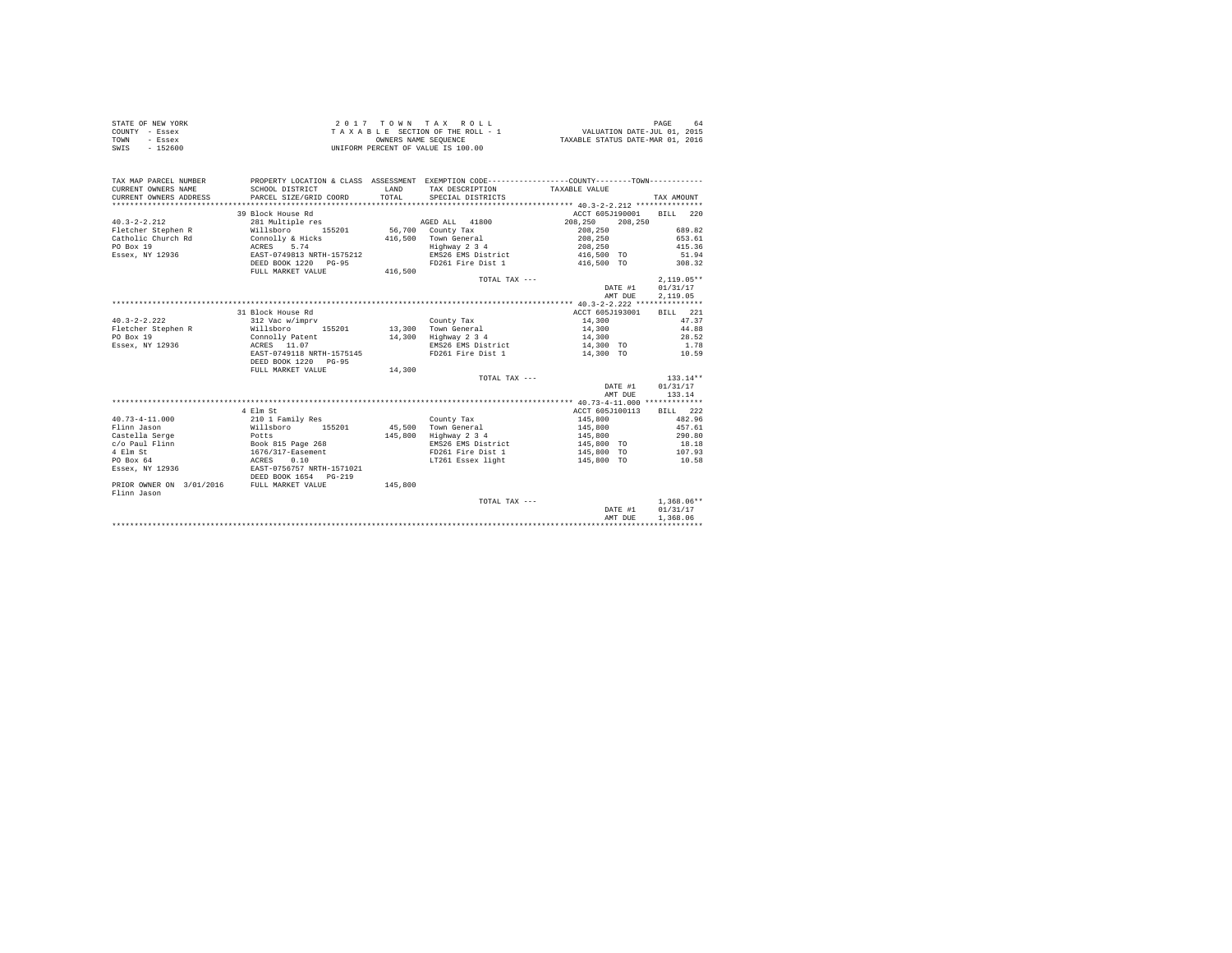| COUNTY - Essex<br>TOWN<br>- Essex                                                                                                                                                                                                                                                                                                                                                                                  | TAXABLE SECTION OF THE ROLL - 1<br>OWNERS NAME SEOUENCE                                         |         |                                                                                                                                     | VALUATION DATE-JUL 01, 2015<br>TAXABLE STATUS DATE-MAR 01, 2016 |                                                     |  |
|--------------------------------------------------------------------------------------------------------------------------------------------------------------------------------------------------------------------------------------------------------------------------------------------------------------------------------------------------------------------------------------------------------------------|-------------------------------------------------------------------------------------------------|---------|-------------------------------------------------------------------------------------------------------------------------------------|-----------------------------------------------------------------|-----------------------------------------------------|--|
| SWTS<br>$-152600$                                                                                                                                                                                                                                                                                                                                                                                                  |                                                                                                 |         | UNIFORM PERCENT OF VALUE IS 100.00                                                                                                  |                                                                 |                                                     |  |
| TAX MAP PARCEL NUMBER                                                                                                                                                                                                                                                                                                                                                                                              | PROPERTY LOCATION & CLASS ASSESSMENT EXEMPTION CODE----------------COUNTY--------TOWN---------- |         |                                                                                                                                     |                                                                 |                                                     |  |
| CURRENT OWNERS NAME                                                                                                                                                                                                                                                                                                                                                                                                |                                                                                                 |         |                                                                                                                                     |                                                                 |                                                     |  |
| CURRENT OWNERS ADDRESS                                                                                                                                                                                                                                                                                                                                                                                             | SCHOOL DISTRICT<br>PARCEL SIZE/GRID COORD                                                       |         |                                                                                                                                     |                                                                 | TAX AMOUNT                                          |  |
|                                                                                                                                                                                                                                                                                                                                                                                                                    |                                                                                                 |         |                                                                                                                                     |                                                                 |                                                     |  |
|                                                                                                                                                                                                                                                                                                                                                                                                                    | 39 Block House Rd                                                                               |         |                                                                                                                                     | ACCT 605J190001 BILL 220                                        |                                                     |  |
|                                                                                                                                                                                                                                                                                                                                                                                                                    |                                                                                                 |         |                                                                                                                                     |                                                                 |                                                     |  |
|                                                                                                                                                                                                                                                                                                                                                                                                                    |                                                                                                 |         |                                                                                                                                     |                                                                 | $208, 250$<br>208,250<br>689.82<br>653.61<br>415.36 |  |
|                                                                                                                                                                                                                                                                                                                                                                                                                    |                                                                                                 |         |                                                                                                                                     |                                                                 |                                                     |  |
|                                                                                                                                                                                                                                                                                                                                                                                                                    |                                                                                                 |         | Eighway 2 3 4 208,250<br>EMS26 EMS District 416,500 TO                                                                              |                                                                 | 415.36                                              |  |
|                                                                                                                                                                                                                                                                                                                                                                                                                    |                                                                                                 |         |                                                                                                                                     |                                                                 | 51.94                                               |  |
| $\begin{tabular}{l c c c c c c c c} \multicolumn{3}{c c c c} \multicolumn{3}{c c c} \multicolumn{3}{c c c} \multicolumn{3}{c c c} \multicolumn{3}{c c c} \multicolumn{3}{c c} \multicolumn{3}{c c} \multicolumn{3}{c c} \multicolumn{3}{c c} \multicolumn{3}{c c} \multicolumn{3}{c c} \multicolumn{3}{c c} \multicolumn{3}{c c} \multicolumn{3}{c c} \multicolumn{3}{c c} \multicolumn{3}{c c} \multicolumn{3}{c$ |                                                                                                 |         | FD261 Fire Dist 1 416,500 TO 308.32                                                                                                 |                                                                 |                                                     |  |
|                                                                                                                                                                                                                                                                                                                                                                                                                    |                                                                                                 |         | TOTAL TAX ---                                                                                                                       |                                                                 | $2,119.05**$                                        |  |
|                                                                                                                                                                                                                                                                                                                                                                                                                    |                                                                                                 |         |                                                                                                                                     | $2,119.05*$<br>DATE #1 $01/31/17$                               |                                                     |  |
|                                                                                                                                                                                                                                                                                                                                                                                                                    |                                                                                                 |         |                                                                                                                                     | AMT DUE                                                         | 2,119.05                                            |  |
|                                                                                                                                                                                                                                                                                                                                                                                                                    |                                                                                                 |         |                                                                                                                                     |                                                                 |                                                     |  |
|                                                                                                                                                                                                                                                                                                                                                                                                                    | 31 Block House Rd                                                                               |         |                                                                                                                                     | ACCT 605J193001                                                 | BILL 221                                            |  |
|                                                                                                                                                                                                                                                                                                                                                                                                                    |                                                                                                 |         |                                                                                                                                     |                                                                 |                                                     |  |
|                                                                                                                                                                                                                                                                                                                                                                                                                    |                                                                                                 |         |                                                                                                                                     |                                                                 |                                                     |  |
|                                                                                                                                                                                                                                                                                                                                                                                                                    |                                                                                                 |         |                                                                                                                                     |                                                                 |                                                     |  |
|                                                                                                                                                                                                                                                                                                                                                                                                                    |                                                                                                 |         |                                                                                                                                     |                                                                 |                                                     |  |
|                                                                                                                                                                                                                                                                                                                                                                                                                    |                                                                                                 |         |                                                                                                                                     |                                                                 |                                                     |  |
| $\begin{tabular}{lcccccc} \multicolumn{1}{c}{\textbf{F1c} \textbf{14, 300}} & $\textbf{13, 300}$ & $\textbf{13, 300}$ & $\textbf{13, 300}$ & $\textbf{22, 100}$ & $\textbf{2, 100}$ & $\textbf{2, 100}$\\ \textbf{F1c} \textbf{1c} \textbf{1d} \textbf{2d} \textbf{2e} \textbf{2d} \textbf{2e} \textbf{2d} \textbf{2e} \textbf{2d} \textbf{2e} \textbf{2d} \textbf{2e} \textbf{2d} \textbf{2$                      |                                                                                                 |         |                                                                                                                                     |                                                                 |                                                     |  |
|                                                                                                                                                                                                                                                                                                                                                                                                                    | FULL MARKET VALUE                                                                               | 14,300  |                                                                                                                                     |                                                                 |                                                     |  |
|                                                                                                                                                                                                                                                                                                                                                                                                                    |                                                                                                 |         | TOTAL TAX ---                                                                                                                       |                                                                 | $133.14**$                                          |  |
|                                                                                                                                                                                                                                                                                                                                                                                                                    |                                                                                                 |         |                                                                                                                                     | DATE #1 01/31/17<br>AMT DUE                                     | 133.14                                              |  |
|                                                                                                                                                                                                                                                                                                                                                                                                                    |                                                                                                 |         |                                                                                                                                     |                                                                 |                                                     |  |
|                                                                                                                                                                                                                                                                                                                                                                                                                    | 4 Elm St                                                                                        |         |                                                                                                                                     | ACCT 605J100113 BILL 222                                        |                                                     |  |
|                                                                                                                                                                                                                                                                                                                                                                                                                    |                                                                                                 |         |                                                                                                                                     |                                                                 |                                                     |  |
|                                                                                                                                                                                                                                                                                                                                                                                                                    |                                                                                                 |         | County Tax<br>45,500 Town General                                                                                                   | 145,800<br>145,800                                              | 482.96<br>457.61                                    |  |
|                                                                                                                                                                                                                                                                                                                                                                                                                    |                                                                                                 |         | 145,800 Highway 2 3 4                                                                                                               |                                                                 |                                                     |  |
|                                                                                                                                                                                                                                                                                                                                                                                                                    |                                                                                                 |         | 10 Highway 2 3 14<br>290.80 EMS26 EMS26 14 145,800<br>290.80 EMS26 EMS26 14 145,800 TO 18.18<br>29161 Fire Dist 1 145,800 TO 107.93 |                                                                 |                                                     |  |
|                                                                                                                                                                                                                                                                                                                                                                                                                    |                                                                                                 |         |                                                                                                                                     |                                                                 |                                                     |  |
|                                                                                                                                                                                                                                                                                                                                                                                                                    |                                                                                                 |         | LT261 Essex light                                                                                                                   | 145,800 TO                                                      | 10.58                                               |  |
|                                                                                                                                                                                                                                                                                                                                                                                                                    |                                                                                                 |         |                                                                                                                                     |                                                                 |                                                     |  |
| Flinn Jason                                                                                                                                                                                                                                                                                                                                                                                                        |                                                                                                 | 145,800 |                                                                                                                                     |                                                                 |                                                     |  |
|                                                                                                                                                                                                                                                                                                                                                                                                                    |                                                                                                 |         | TOTAL TAX ---                                                                                                                       | DATE #1                                                         | $1,368.06**$                                        |  |
|                                                                                                                                                                                                                                                                                                                                                                                                                    |                                                                                                 |         |                                                                                                                                     |                                                                 | 01/31/17                                            |  |
|                                                                                                                                                                                                                                                                                                                                                                                                                    |                                                                                                 |         |                                                                                                                                     | AMT DUE                                                         | 1,368,06                                            |  |
|                                                                                                                                                                                                                                                                                                                                                                                                                    |                                                                                                 |         |                                                                                                                                     |                                                                 |                                                     |  |

STATE OF NEW YORK 64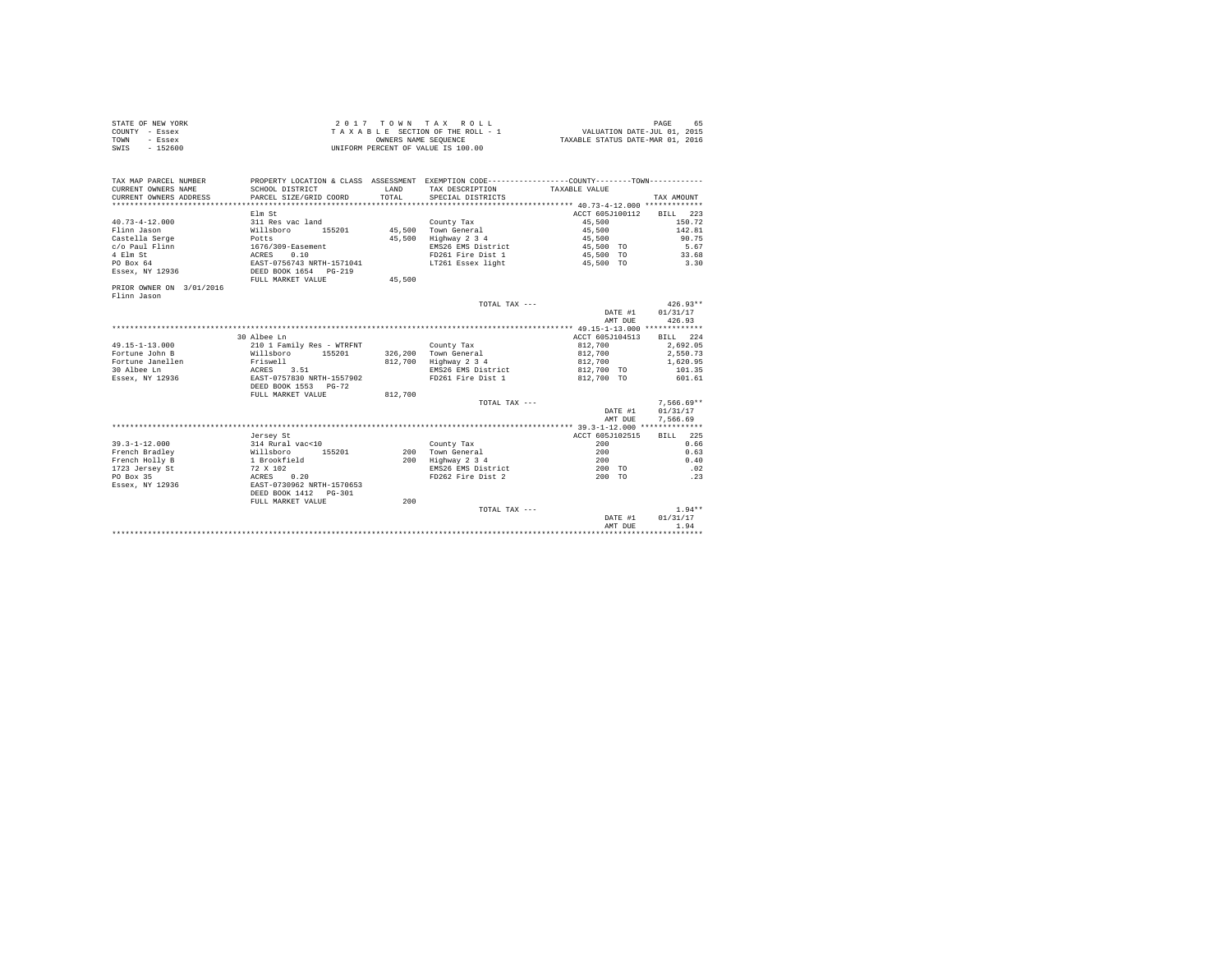| STATE OF NEW YORK | $2.017$ TOWN TAX ROLL              | PAGE<br>65                       |
|-------------------|------------------------------------|----------------------------------|
| COUNTY - Essex    | TAXABLE SECTION OF THE ROLL - 1    | VALUATION DATE-JUL 01, 2015      |
| TOWN<br>- Essex   | OWNERS NAME SEOUENCE               | TAXABLE STATUS DATE-MAR 01, 2016 |
| $-152600$<br>SWIS | UNIFORM PERCENT OF VALUE IS 100.00 |                                  |

| TAX MAP PARCEL NUMBER<br>CURRENT OWNERS NAME<br>CURRENT OWNERS ADDRESS                                              | PROPERTY LOCATION & CLASS ASSESSMENT EXEMPTION CODE----------------COUNTY-------TOWN----------<br>SCHOOL DISTRICT<br>PARCEL SIZE/GRID COORD                                 | <b>T.AND</b><br>TOTAL. | TAX DESCRIPTION<br>SPECIAL DISTRICTS                                                                               | TAXABLE VALUE                                                                        | TAX AMOUNT                                                        |
|---------------------------------------------------------------------------------------------------------------------|-----------------------------------------------------------------------------------------------------------------------------------------------------------------------------|------------------------|--------------------------------------------------------------------------------------------------------------------|--------------------------------------------------------------------------------------|-------------------------------------------------------------------|
| $40.73 - 4 - 12.000$<br>Flinn Jason<br>Castella Serge<br>c/o Paul Flinn<br>4 Elm St<br>PO Box 64<br>Essex, NY 12936 | Elm St<br>311 Res vac land<br>155201<br>Willsboro<br>Potts<br>1676/309-Easement<br>0.10<br>ACRES<br>EAST-0756743 NRTH-1571041<br>DEED BOOK 1654 PG-219<br>FULL MARKET VALUE | 45,500<br>45,500       | County Tax<br>45.500 Town General<br>Highway 2 3 4<br>EMS26 EMS District<br>FD261 Fire Dist 1<br>LT261 Essex light | ACCT 605J100112<br>45,500<br>45,500<br>45,500<br>45,500 TO<br>45,500 TO<br>45,500 TO | BILL<br>223<br>150.72<br>142.81<br>90.75<br>5.67<br>33.68<br>3.30 |
| PRIOR OWNER ON 3/01/2016<br>Flinn Jason                                                                             |                                                                                                                                                                             |                        |                                                                                                                    |                                                                                      |                                                                   |
|                                                                                                                     |                                                                                                                                                                             |                        | TOTAL TAX ---                                                                                                      | DATE #1<br>AMT DUE                                                                   | $426.93**$<br>01/31/17<br>426.93                                  |
|                                                                                                                     |                                                                                                                                                                             |                        |                                                                                                                    |                                                                                      |                                                                   |
|                                                                                                                     | 30 Albee Ln                                                                                                                                                                 |                        |                                                                                                                    | ACCT 605J104513                                                                      | BILL 224                                                          |
| $49.15 - 1 - 13.000$                                                                                                | 210 1 Family Res - WTRFNT                                                                                                                                                   |                        | County Tax                                                                                                         | 812,700                                                                              | 2.692.05                                                          |
| Fortune John B                                                                                                      | 155201<br>Willsboro                                                                                                                                                         |                        | 326,200 Town General                                                                                               | 812,700                                                                              | 2,550.73                                                          |
| Fortune Janellen                                                                                                    | Friswell                                                                                                                                                                    | 812,700                | Highway 2 3 4                                                                                                      | 812,700                                                                              | 1,620.95                                                          |
| 30 Albee Ln                                                                                                         | ACRES<br>3.51                                                                                                                                                               |                        | EMS26 EMS District                                                                                                 | 812,700 TO                                                                           | 101.35                                                            |
| Essex, NY 12936                                                                                                     | EAST-0757830 NRTH-1557902<br>DEED BOOK 1553 PG-72<br>FULL MARKET VALUE                                                                                                      | 812,700                | FD261 Fire Dist 1                                                                                                  | 812,700 TO                                                                           | 601.61                                                            |
|                                                                                                                     |                                                                                                                                                                             |                        | TOTAL TAX $---$                                                                                                    |                                                                                      | $7.566.69**$                                                      |
|                                                                                                                     |                                                                                                                                                                             |                        |                                                                                                                    | DATE #1                                                                              | 01/31/17                                                          |
|                                                                                                                     |                                                                                                                                                                             |                        |                                                                                                                    | AMT DUE                                                                              | 7.566.69                                                          |
|                                                                                                                     |                                                                                                                                                                             |                        |                                                                                                                    |                                                                                      |                                                                   |
|                                                                                                                     | Jersey St                                                                                                                                                                   |                        |                                                                                                                    | ACCT 605J102515                                                                      | BILL 225                                                          |
| $39.3 - 1 - 12.000$                                                                                                 | 314 Rural vac<10                                                                                                                                                            |                        | County Tax                                                                                                         | 200                                                                                  | 0.66                                                              |
| French Bradley                                                                                                      | 155201<br>Willsboro                                                                                                                                                         | 200                    | Town General                                                                                                       | 200                                                                                  | 0.63                                                              |
| French Holly B                                                                                                      | 1 Brookfield                                                                                                                                                                | 200                    | Highway 2 3 4                                                                                                      | 200                                                                                  | 0.40                                                              |
| 1723 Jersey St                                                                                                      | 72 X 102                                                                                                                                                                    |                        | EMS26 EMS District                                                                                                 | 200 TO                                                                               | .02                                                               |
| PO Box 35                                                                                                           | ACRES<br>0.20                                                                                                                                                               |                        | FD262 Fire Dist 2                                                                                                  | 200 TO                                                                               | .23                                                               |
| Essex, NY 12936                                                                                                     | EAST-0730962 NRTH-1570653<br>DEED BOOK 1412   PG-301                                                                                                                        |                        |                                                                                                                    |                                                                                      |                                                                   |
|                                                                                                                     | FULL MARKET VALUE                                                                                                                                                           | 200                    |                                                                                                                    |                                                                                      |                                                                   |
|                                                                                                                     |                                                                                                                                                                             |                        | TOTAL TAX ---                                                                                                      |                                                                                      | $1.94**$                                                          |
|                                                                                                                     |                                                                                                                                                                             |                        |                                                                                                                    | DATE #1                                                                              | 01/31/17                                                          |
|                                                                                                                     |                                                                                                                                                                             |                        |                                                                                                                    | AMT DUE                                                                              | 1.94                                                              |
|                                                                                                                     |                                                                                                                                                                             |                        |                                                                                                                    |                                                                                      |                                                                   |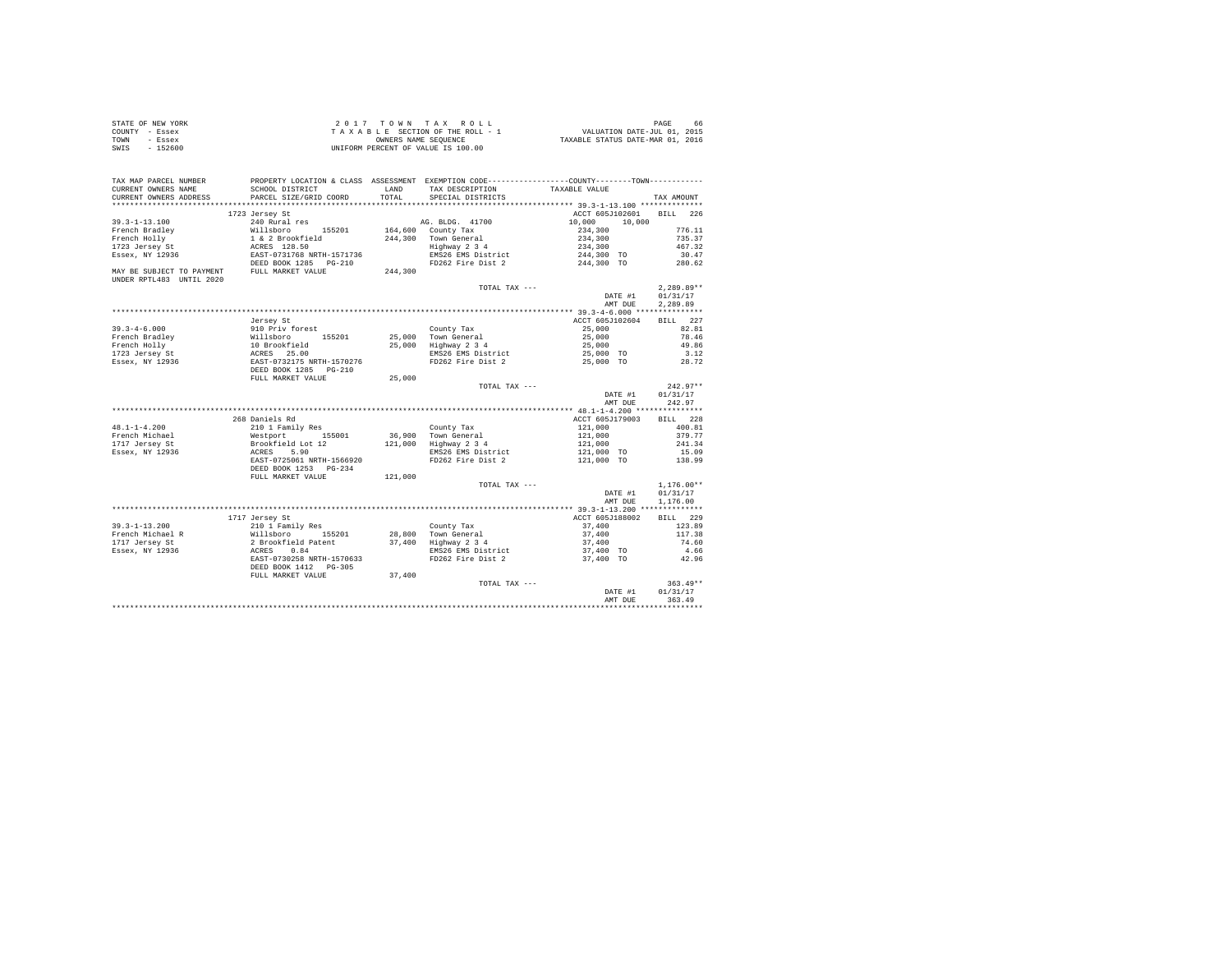|      | STATE OF NEW YORK | 2017 TOWN TAX ROLL                 | PAGE<br>66                       |
|------|-------------------|------------------------------------|----------------------------------|
|      | COUNTY - Essex    | TAXABLE SECTION OF THE ROLL - 1    | VALUATION DATE-JUL 01, 2015      |
| TOWN | - Essex           | OWNERS NAME SEOUENCE               | TAXABLE STATUS DATE-MAR 01, 2016 |
| SWIS | - 152600          | UNIFORM PERCENT OF VALUE IS 100.00 |                                  |

|                            |                                                                                                                                                                                                                                              |         |                                             | AMT DUE                      | 363.49       |
|----------------------------|----------------------------------------------------------------------------------------------------------------------------------------------------------------------------------------------------------------------------------------------|---------|---------------------------------------------|------------------------------|--------------|
|                            |                                                                                                                                                                                                                                              |         |                                             | DATE #1                      | 01/31/17     |
|                            | FULL MARKET VALUE                                                                                                                                                                                                                            | 37,400  | TOTAL TAX ---                               |                              | $363.49**$   |
|                            | DEED BOOK 1412    PG-305                                                                                                                                                                                                                     |         |                                             |                              |              |
|                            | EAST-0730258 NRTH-1570633                                                                                                                                                                                                                    |         | FD262 Fire Dist 2                           | 37,400 TO                    | 42.96        |
| Essex, NY 12936            |                                                                                                                                                                                                                                              |         | EMS26 EMS District                          | 37,400 TO                    | 4.66         |
| 1717 Jersey St             |                                                                                                                                                                                                                                              |         |                                             | 37,400                       | 74.60        |
| French Michael R           |                                                                                                                                                                                                                                              |         |                                             | 37,400                       | 117.38       |
| $39.3 - 1 - 13.200$        |                                                                                                                                                                                                                                              |         |                                             | 37,400                       | 123.89       |
|                            | 1717 Jersey St                                                                                                                                                                                                                               |         |                                             | ACCT 605J188002              | BILL 229     |
|                            |                                                                                                                                                                                                                                              |         |                                             |                              |              |
|                            |                                                                                                                                                                                                                                              |         |                                             | AMT DUE                      | 1,176.00     |
|                            |                                                                                                                                                                                                                                              |         |                                             | DATE #1                      | 01/31/17     |
|                            |                                                                                                                                                                                                                                              |         | TOTAL TAX ---                               |                              | $1,176.00**$ |
|                            | FULL MARKET VALUE                                                                                                                                                                                                                            | 121,000 |                                             |                              |              |
|                            | DEED BOOK 1253 PG-234                                                                                                                                                                                                                        |         |                                             |                              |              |
|                            |                                                                                                                                                                                                                                              |         | FD262 Fire Dist 2                           | 121,000 TO                   | 138.99       |
| Essex, NY 12936            |                                                                                                                                                                                                                                              |         | EMS26 EMS District                          | 121,000 TO                   | 15.09        |
| 1717 Jersey St             |                                                                                                                                                                                                                                              |         | 121,000 Highway 2 3 4                       | 121,000                      | 241.34       |
| French Michael             | Westport 155001<br>Brookfield Lot 12<br>ACRES 5.90<br>EAST-0725061 NRTH-1566920                                                                                                                                                              |         | 36,900 Town General                         |                              | 379.77       |
| $48.1 - 1 - 4.200$         | 210 1 Family Res                                                                                                                                                                                                                             |         | County Tax                                  | 121,000<br>121,000           | 400.81       |
|                            | 268 Daniels Rd                                                                                                                                                                                                                               |         |                                             | ACCT 605J179003              | BILL 228     |
|                            |                                                                                                                                                                                                                                              |         |                                             |                              |              |
|                            |                                                                                                                                                                                                                                              |         |                                             | AMT DUE                      | 242.97       |
|                            |                                                                                                                                                                                                                                              |         |                                             | DATE #1                      | 01/31/17     |
|                            |                                                                                                                                                                                                                                              |         | TOTAL TAX ---                               |                              | $242.97**$   |
|                            | FULL MARKET VALUE                                                                                                                                                                                                                            | 25,000  |                                             |                              |              |
|                            | % = 1.12 = 1.12 = 1.12 = 1.12 = 1.12 = 1.12 = 1.12 = 1.12 = 1.12 = 1.12 = 1.12 = 1.12 = 1.12 = 1.12 = 1.12 = 1<br>DEST = 2.5 = 1.12 = 1.12 = 1.12 = 1.12 = 1.12 = 1.12 = 1.12 = 1.12 = 1.12 = 1.12 = 1.12 = 1.12 = 1.12 = 1.12 =             |         |                                             |                              |              |
| Essex, NY 12936            |                                                                                                                                                                                                                                              |         | FD262 Fire Dist 2                           | 25,000 TO                    | 28.72        |
| 1723 Jersey St             |                                                                                                                                                                                                                                              |         | EMS26 EMS District                          | 25,000 TO                    | 3.12         |
| French Holly               |                                                                                                                                                                                                                                              |         |                                             | 25,000                       | 49.86        |
| French Bradley             |                                                                                                                                                                                                                                              |         | 25,000 Town General<br>25,000 Highway 2 3 4 | 25,000                       | 78.46        |
| $39.3 - 4 - 6.000$         | 910 Priv forest                                                                                                                                                                                                                              |         | County Tax                                  | 25,000                       | 82.81        |
|                            | Jersey St                                                                                                                                                                                                                                    |         |                                             | ACCT 605J102604              | BILL 227     |
|                            |                                                                                                                                                                                                                                              |         |                                             |                              |              |
|                            |                                                                                                                                                                                                                                              |         |                                             | AMT DUE                      | 2.289.89     |
|                            |                                                                                                                                                                                                                                              |         |                                             | DATE #1                      | 01/31/17     |
|                            |                                                                                                                                                                                                                                              |         | TOTAL TAX ---                               |                              | $2,289.89**$ |
| UNDER RPTL483 UNTIL 2020   |                                                                                                                                                                                                                                              |         |                                             |                              |              |
|                            |                                                                                                                                                                                                                                              | 244,300 |                                             |                              |              |
|                            |                                                                                                                                                                                                                                              |         |                                             | FD262 Fire Dist 2 244,300 TO | 280.62       |
|                            |                                                                                                                                                                                                                                              |         | EMS26 EMS District                          | 244,300 TO                   | 30.47        |
|                            |                                                                                                                                                                                                                                              |         | Town General<br>Highway 2 3 4               | 234,300<br>234,300           | 467.32       |
|                            |                                                                                                                                                                                                                                              |         | 244.300 Town General                        |                              | 735.37       |
|                            | 97-1-1-1-100<br>French Bradley Millsboro 155201<br>Tranch Bradley 1 & 2 Brookfield<br>1723 Jersey St<br>1723 Jersey St<br>1888 2000 1285 PG-210<br>1888 SUBJECT TO PAYMENT DEED BOOK 1285 PG-210<br>NAY BE SUBJECT TO PAYMENT TULL MARKET VA |         | 164,600 County Tax                          | 234,300                      | 776.11       |
| $39.3 - 1 - 13.100$        | 240 Rural res                                                                                                                                                                                                                                |         | AG. BLDG. 41700                             | 10,000<br>10,000             |              |
|                            | 1723 Jersey St                                                                                                                                                                                                                               |         |                                             | ACCT 605J102601              | BILL 226     |
| ************************** |                                                                                                                                                                                                                                              |         |                                             |                              |              |
| CURRENT OWNERS ADDRESS     | PARCEL SIZE/GRID COORD                                                                                                                                                                                                                       | TOTAL   | SPECIAL DISTRICTS                           |                              | TAX AMOUNT   |
| CURRENT OWNERS NAME        | SCHOOL DISTRICT                                                                                                                                                                                                                              | LAND    | TAX DESCRIPTION                             | TAXABLE VALUE                |              |
| TAX MAP PARCEL NUMBER      | PROPERTY LOCATION & CLASS ASSESSMENT EXEMPTION CODE----------------COUNTY-------TOWN---------                                                                                                                                                |         |                                             |                              |              |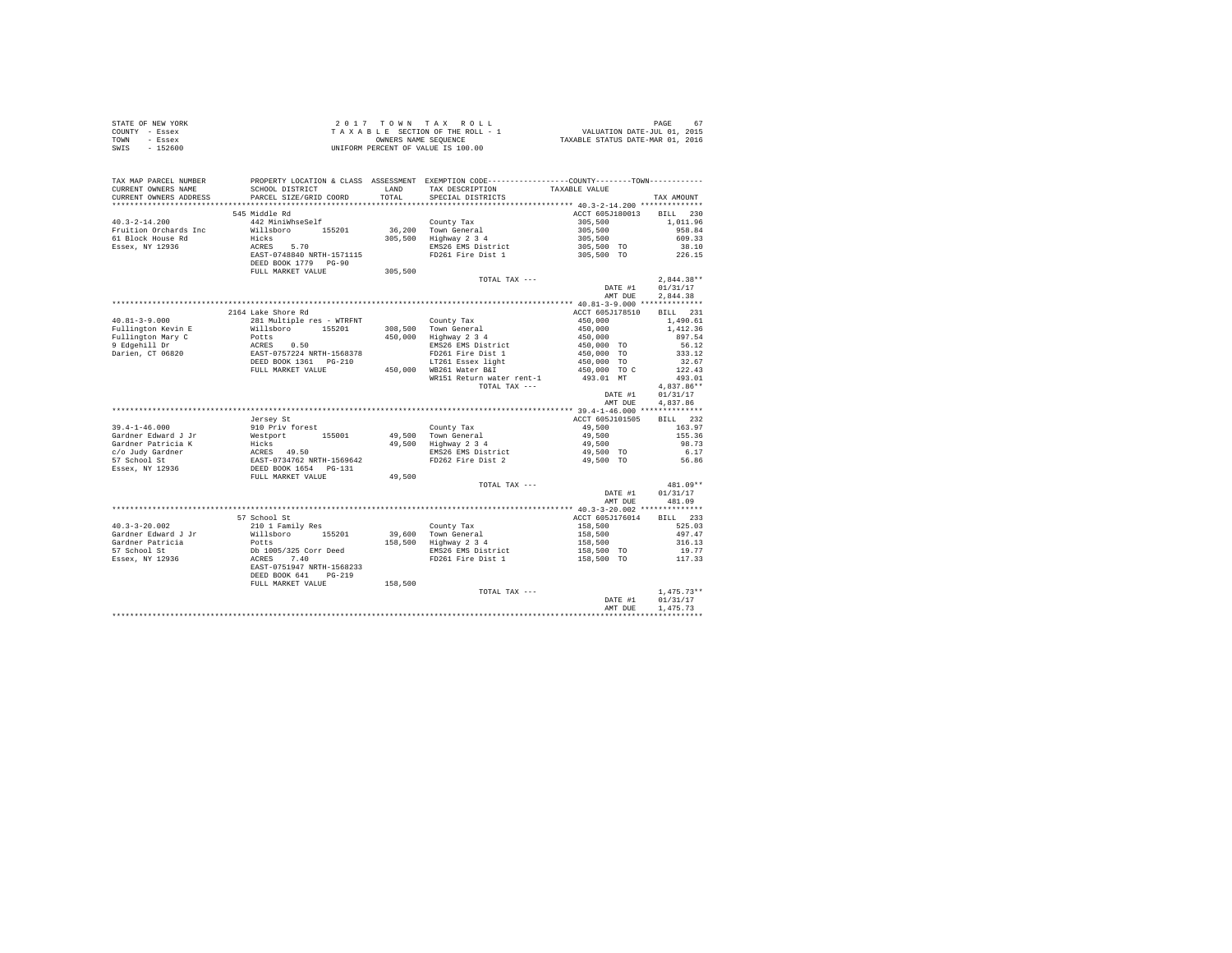| STATE OF NEW YORK | 2017 TOWN TAX ROLL                 | 67<br>PAGE                       |
|-------------------|------------------------------------|----------------------------------|
| COUNTY - Essex    | TAXABLE SECTION OF THE ROLL - 1    | VALUATION DATE-JUL 01, 2015      |
| TOWN<br>- Essex   | OWNERS NAME SEOUENCE               | TAXABLE STATUS DATE-MAR 01, 2016 |
| SWIS<br>$-152600$ | UNIFORM PERCENT OF VALUE IS 100.00 |                                  |

| TAX MAP PARCEL NUMBER<br>CURRENT OWNERS NAME         | SCHOOL DISTRICT                                                               | <b>T.AND</b> | PROPERTY LOCATION & CLASS ASSESSMENT EXEMPTION CODE---------------COUNTY-------TOWN---------<br>TAX DESCRIPTION | TAXABLE VALUE            |              |
|------------------------------------------------------|-------------------------------------------------------------------------------|--------------|-----------------------------------------------------------------------------------------------------------------|--------------------------|--------------|
| CURRENT OWNERS ADDRESS<br>************************** | PARCEL SIZE/GRID COORD                                                        | TOTAL        | SPECIAL DISTRICTS                                                                                               |                          | TAX AMOUNT   |
|                                                      |                                                                               |              |                                                                                                                 |                          |              |
|                                                      | 545 Middle Rd                                                                 |              |                                                                                                                 | ACCT 605J180013          | BILL 230     |
| $40.3 - 2 - 14.200$                                  | 442 MiniWhseSelf                                                              |              | County Tax                                                                                                      | 305,500                  | 1,011.96     |
| Fruition Orchards Inc                                | Willsboro 155201                                                              |              | 36,200 Town General                                                                                             | 305,500<br>305,500       | 958.84       |
| 61 Block House Rd                                    | Hicks                                                                         |              | 305,500 Highway 2 3 4                                                                                           |                          | 609.33       |
| Essex, NY 12936                                      | ACRES 5.70                                                                    |              | EMS26 EMS District                                                                                              | 305,500 TO               | 38.10        |
|                                                      | EAST-0748840 NRTH-1571115<br>DEED BOOK 1779 PG-90                             |              | FD261 Fire Dist 1                                                                                               | 305,500 TO               | 226.15       |
|                                                      | FULL MARKET VALUE                                                             | 305,500      |                                                                                                                 |                          |              |
|                                                      |                                                                               |              | TOTAL TAX ---                                                                                                   |                          | $2.844.38**$ |
|                                                      |                                                                               |              |                                                                                                                 | DATE #1                  | 01/31/17     |
|                                                      |                                                                               |              |                                                                                                                 | AMT DUE                  | 2,844.38     |
|                                                      |                                                                               |              |                                                                                                                 |                          |              |
|                                                      | 2164 Lake Shore Rd                                                            |              |                                                                                                                 | ACCT 605J178510          | BILL 231     |
| $40.81 - 3 - 9.000$                                  | 281 Multiple res - WTRFNT                                                     |              | County Tax                                                                                                      | 450,000                  | 1,490.61     |
| Fullington Kevin E                                   | Willsboro 155201                                                              |              | 308,500 Town General                                                                                            | 450,000                  | 1,412.36     |
| Fullington Mary C                                    |                                                                               |              | $450,000$ Highway $2\overline{3}4$                                                                              | 450,000                  | 897.54       |
| 9 Edgehill Dr                                        |                                                                               |              | EMS26 EMS District                                                                                              | 450,000 TO               | 56.12        |
| Darien, CT 06820                                     | Potts<br>ACRES 0.50<br>EAST-0757224 NRTH-1568378<br>DEED BOOK 1361 PG-210     |              | FD261 Fire Dist 1                                                                                               | 450,000 TO<br>450,000 TO | 333.12       |
|                                                      |                                                                               |              | LT261 Essex light                                                                                               |                          | 32.67        |
|                                                      | FULL MARKET VALUE                                                             |              | 450,000 WB261 Water B&I                                                                                         | 450,000 TO C             | 122.43       |
|                                                      |                                                                               |              | WR151 Return water rent-1                                                                                       | 493.01 MT                | 493.01       |
|                                                      |                                                                               |              | TOTAL TAX ---                                                                                                   |                          | $4,837.86**$ |
|                                                      |                                                                               |              |                                                                                                                 | DATE #1                  | 01/31/17     |
|                                                      |                                                                               |              |                                                                                                                 | AMT DUE                  | 4.837.86     |
|                                                      |                                                                               |              |                                                                                                                 |                          |              |
|                                                      | Jersey St                                                                     |              |                                                                                                                 | ACCT 605J101505          | BILL 232     |
| $39.4 - 1 - 46.000$                                  | 910 Priv forest                                                               |              | County Tax                                                                                                      | 49,500                   | 163.97       |
| Gardner Edward J Jr                                  | Westport 155001                                                               |              | 49,500 Town General<br>49,500 Highway 2 3 4                                                                     | 49,500                   | 155.36       |
| Gardner Patricia K                                   |                                                                               |              |                                                                                                                 | 49,500                   | 98.73        |
| c/o Judy Gardner                                     |                                                                               |              | EMS26 EMS District                                                                                              | 49,500 TO                | 6.17         |
| 57 School St                                         |                                                                               |              | FD262 Fire Dist 2                                                                                               | 49,500 TO                | 56.86        |
| Essex, NY 12936                                      | Westport<br>Hicks 49.50<br>EAST-0734762 NRTH-1569642<br>DEED BOOK 1654 PG-131 |              |                                                                                                                 |                          |              |
|                                                      | FULL MARKET VALUE                                                             | 49,500       |                                                                                                                 |                          |              |
|                                                      |                                                                               |              | TOTAL TAX ---                                                                                                   |                          | 481.09**     |
|                                                      |                                                                               |              |                                                                                                                 | DATE #1                  | 01/31/17     |
|                                                      |                                                                               |              |                                                                                                                 | AMT DUE                  | 481.09       |
|                                                      |                                                                               |              |                                                                                                                 |                          |              |
|                                                      | 57 School St                                                                  |              |                                                                                                                 | ACCT 605J176014          | BILL 233     |
| $40.3 - 3 - 20.002$                                  | 210 1 Family Res                                                              |              | County Tax                                                                                                      | 158,500<br>158,500       | 525.03       |
| Gardner Edward J Jr                                  | Willsboro 155201                                                              |              | 39,600 Town General                                                                                             |                          | 497.47       |
| Gardner Patricia                                     | Potts                                                                         |              | 158,500 Highway 2 3 4                                                                                           | 158,500                  | 316.13       |
| 57 School St                                         | Db 1005/325 Corr Deed<br>ACRES 7.40                                           |              | EMS26 EMS District                                                                                              | 158,500 TO               | 19.77        |
| Essex, NY 12936                                      |                                                                               |              | FD261 Fire Dist 1                                                                                               | 158,500 TO               | 117.33       |
|                                                      | EAST-0751947 NRTH-1568233                                                     |              |                                                                                                                 |                          |              |
|                                                      | DEED BOOK 641<br>$PG-219$                                                     |              |                                                                                                                 |                          |              |
|                                                      | FULL MARKET VALUE                                                             | 158,500      |                                                                                                                 |                          |              |
|                                                      |                                                                               |              | TOTAL TAX ---                                                                                                   |                          | $1.475.73**$ |
|                                                      |                                                                               |              |                                                                                                                 | DATE #1                  | 01/31/17     |
|                                                      |                                                                               |              |                                                                                                                 | AMT DUE                  | 1.475.73     |
|                                                      |                                                                               |              |                                                                                                                 |                          |              |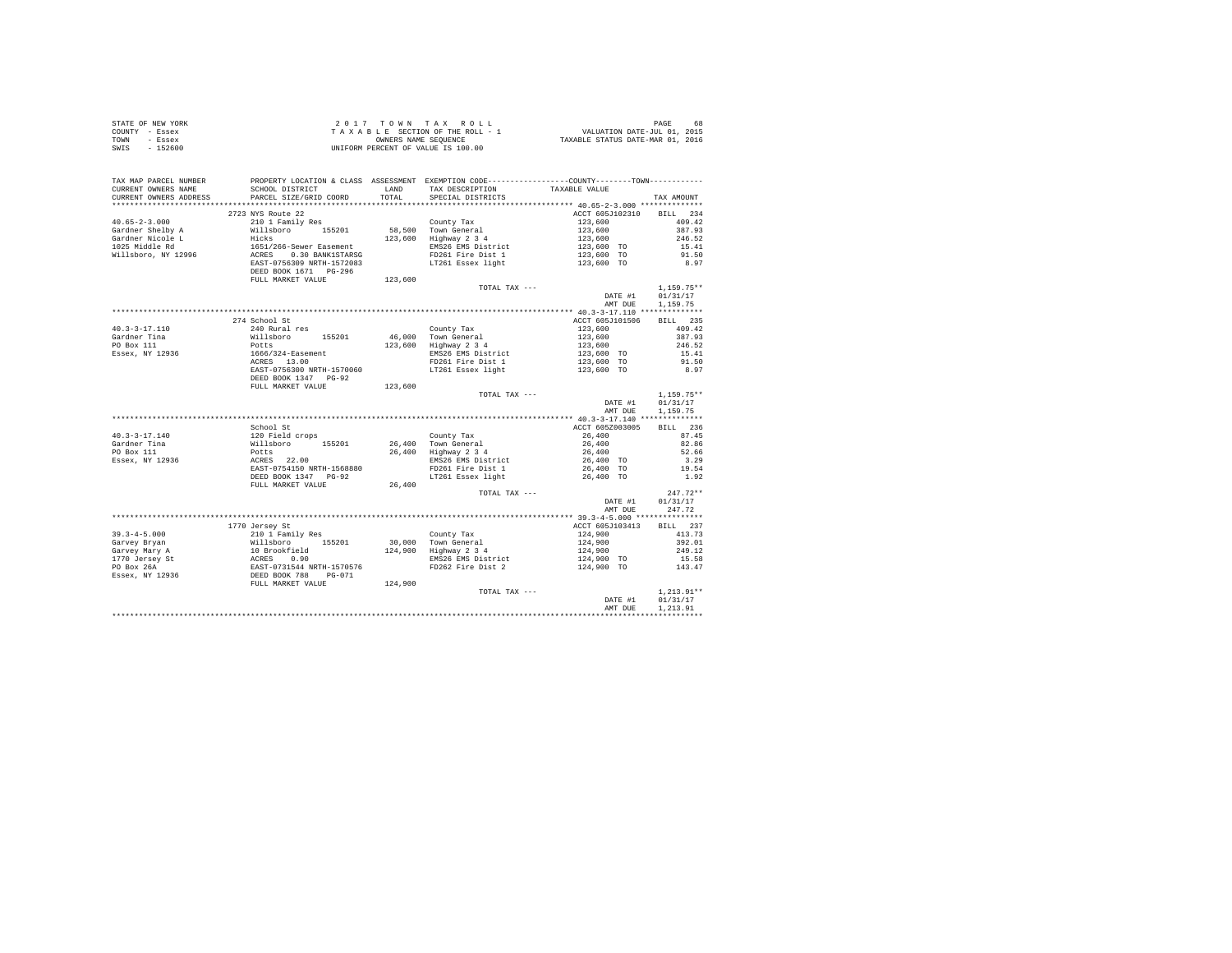|                | STATE OF NEW YORK | 2017 TOWN TAX ROLL                 | 68<br>PAGE                       |
|----------------|-------------------|------------------------------------|----------------------------------|
| COUNTY - Essex |                   | TAXABLE SECTION OF THE ROLL - 1    | VALUATION DATE-JUL 01, 2015      |
| TOWN           | - Essex           | OWNERS NAME SEOUENCE               | TAXABLE STATUS DATE-MAR 01, 2016 |
| SWIS           | $-152600$         | UNIFORM PERCENT OF VALUE IS 100.00 |                                  |

| TAX MAP PARCEL NUMBER<br>CURRENT OWNERS NAME<br>CURRENT OWNERS ADDRESS                                                                                                                                                                                                                                                                                                                                  | PROPERTY LOCATION & CLASS ASSESSMENT EXEMPTION CODE----------------COUNTY-------TOWN----------<br>SCHOOL DISTRICT<br>PARCEL SIZE/GRID COORD | TOTAL   | LAND TAX DESCRIPTION<br>SPECIAL DISTRICTS | TAXABLE VALUE                                                                              | TAX AMOUNT                  |
|---------------------------------------------------------------------------------------------------------------------------------------------------------------------------------------------------------------------------------------------------------------------------------------------------------------------------------------------------------------------------------------------------------|---------------------------------------------------------------------------------------------------------------------------------------------|---------|-------------------------------------------|--------------------------------------------------------------------------------------------|-----------------------------|
|                                                                                                                                                                                                                                                                                                                                                                                                         |                                                                                                                                             |         |                                           |                                                                                            |                             |
|                                                                                                                                                                                                                                                                                                                                                                                                         | 2723 NYS Route 22                                                                                                                           |         |                                           | ACCT 605J102310 BILL 234                                                                   |                             |
|                                                                                                                                                                                                                                                                                                                                                                                                         |                                                                                                                                             |         |                                           |                                                                                            | 409.42                      |
| $\begin{tabular}{l c c c c c} \multicolumn{1}{c c c c} \multicolumn{1}{c c c} \multicolumn{1}{c c c} \multicolumn{1}{c c c} \multicolumn{1}{c c c} \multicolumn{1}{c c c} \multicolumn{1}{c c c} \multicolumn{1}{c c c} \multicolumn{1}{c c c} \multicolumn{1}{c c c} \multicolumn{1}{c c c} \multicolumn{1}{c c c} \multicolumn{1}{c c c} \multicolumn{1}{c c c} \multicolumn{1}{c c c} \multicolumn{$ |                                                                                                                                             |         |                                           |                                                                                            | 387.93                      |
|                                                                                                                                                                                                                                                                                                                                                                                                         |                                                                                                                                             |         |                                           |                                                                                            | 246.52                      |
|                                                                                                                                                                                                                                                                                                                                                                                                         |                                                                                                                                             |         |                                           |                                                                                            |                             |
|                                                                                                                                                                                                                                                                                                                                                                                                         |                                                                                                                                             |         |                                           |                                                                                            | 15.41<br>91.50              |
|                                                                                                                                                                                                                                                                                                                                                                                                         |                                                                                                                                             |         |                                           |                                                                                            | 8.97                        |
|                                                                                                                                                                                                                                                                                                                                                                                                         | DEED BOOK 1671 PG-296                                                                                                                       |         |                                           |                                                                                            |                             |
|                                                                                                                                                                                                                                                                                                                                                                                                         |                                                                                                                                             | 123,600 |                                           |                                                                                            |                             |
|                                                                                                                                                                                                                                                                                                                                                                                                         | FULL MARKET VALUE                                                                                                                           |         | TOTAL TAX ---                             |                                                                                            |                             |
|                                                                                                                                                                                                                                                                                                                                                                                                         |                                                                                                                                             |         |                                           |                                                                                            | $1,159.75**$                |
|                                                                                                                                                                                                                                                                                                                                                                                                         |                                                                                                                                             |         |                                           | DATE #1                                                                                    | 01/31/17                    |
|                                                                                                                                                                                                                                                                                                                                                                                                         |                                                                                                                                             |         |                                           | AMT DUE                                                                                    | 1,159.75                    |
|                                                                                                                                                                                                                                                                                                                                                                                                         |                                                                                                                                             |         |                                           |                                                                                            |                             |
|                                                                                                                                                                                                                                                                                                                                                                                                         | 274 School St                                                                                                                               |         |                                           | ACCT 605J101506 BILL 235                                                                   |                             |
|                                                                                                                                                                                                                                                                                                                                                                                                         |                                                                                                                                             |         |                                           |                                                                                            | 409.42                      |
|                                                                                                                                                                                                                                                                                                                                                                                                         |                                                                                                                                             |         |                                           |                                                                                            | 387.93                      |
|                                                                                                                                                                                                                                                                                                                                                                                                         |                                                                                                                                             |         |                                           |                                                                                            | 246.52                      |
|                                                                                                                                                                                                                                                                                                                                                                                                         |                                                                                                                                             |         |                                           |                                                                                            | 15.41<br>91.50              |
|                                                                                                                                                                                                                                                                                                                                                                                                         |                                                                                                                                             |         |                                           |                                                                                            |                             |
|                                                                                                                                                                                                                                                                                                                                                                                                         |                                                                                                                                             |         |                                           |                                                                                            | 8.97                        |
|                                                                                                                                                                                                                                                                                                                                                                                                         | DEED BOOK 1347 PG-92                                                                                                                        | 123,600 |                                           |                                                                                            |                             |
|                                                                                                                                                                                                                                                                                                                                                                                                         | FULL MARKET VALUE                                                                                                                           |         |                                           |                                                                                            |                             |
|                                                                                                                                                                                                                                                                                                                                                                                                         |                                                                                                                                             |         | TOTAL TAX ---                             |                                                                                            | $1,159.75**$                |
|                                                                                                                                                                                                                                                                                                                                                                                                         |                                                                                                                                             |         |                                           | DATE #1                                                                                    | 01/31/17                    |
|                                                                                                                                                                                                                                                                                                                                                                                                         |                                                                                                                                             |         |                                           | AMT DUE                                                                                    | 1,159.75                    |
|                                                                                                                                                                                                                                                                                                                                                                                                         |                                                                                                                                             |         |                                           |                                                                                            |                             |
|                                                                                                                                                                                                                                                                                                                                                                                                         | School St                                                                                                                                   |         |                                           | ACCT 605Z003005                                                                            | BILL 236                    |
|                                                                                                                                                                                                                                                                                                                                                                                                         |                                                                                                                                             |         |                                           |                                                                                            | 87.45                       |
|                                                                                                                                                                                                                                                                                                                                                                                                         |                                                                                                                                             |         |                                           |                                                                                            | 82.86                       |
|                                                                                                                                                                                                                                                                                                                                                                                                         |                                                                                                                                             |         |                                           |                                                                                            | 52.66                       |
|                                                                                                                                                                                                                                                                                                                                                                                                         |                                                                                                                                             |         |                                           |                                                                                            | $3.29$<br>$19.54$<br>$1.92$ |
|                                                                                                                                                                                                                                                                                                                                                                                                         |                                                                                                                                             |         |                                           |                                                                                            |                             |
|                                                                                                                                                                                                                                                                                                                                                                                                         |                                                                                                                                             |         |                                           |                                                                                            |                             |
|                                                                                                                                                                                                                                                                                                                                                                                                         | FULL MARKET VALUE                                                                                                                           | 26,400  | TOTAL TAX ---                             |                                                                                            | $247.72**$                  |
|                                                                                                                                                                                                                                                                                                                                                                                                         |                                                                                                                                             |         |                                           | DATE #1                                                                                    | 01/31/17                    |
|                                                                                                                                                                                                                                                                                                                                                                                                         |                                                                                                                                             |         |                                           | AMT DUE                                                                                    | 247.72                      |
|                                                                                                                                                                                                                                                                                                                                                                                                         |                                                                                                                                             |         |                                           |                                                                                            |                             |
|                                                                                                                                                                                                                                                                                                                                                                                                         |                                                                                                                                             |         |                                           |                                                                                            |                             |
|                                                                                                                                                                                                                                                                                                                                                                                                         |                                                                                                                                             |         |                                           |                                                                                            |                             |
|                                                                                                                                                                                                                                                                                                                                                                                                         |                                                                                                                                             |         |                                           |                                                                                            |                             |
|                                                                                                                                                                                                                                                                                                                                                                                                         |                                                                                                                                             |         |                                           |                                                                                            |                             |
|                                                                                                                                                                                                                                                                                                                                                                                                         |                                                                                                                                             |         |                                           |                                                                                            |                             |
|                                                                                                                                                                                                                                                                                                                                                                                                         |                                                                                                                                             |         |                                           |                                                                                            |                             |
|                                                                                                                                                                                                                                                                                                                                                                                                         |                                                                                                                                             |         |                                           |                                                                                            |                             |
|                                                                                                                                                                                                                                                                                                                                                                                                         |                                                                                                                                             |         |                                           |                                                                                            |                             |
| 1770 Jersey St.<br>1770 Jersey St.<br>2011 Panily Res County Tax<br>2011 Panily Res 2014 1921-73<br>30,000 Town General<br>214,900 1124,900 1392.01<br>2170 Jersey Mary A 10 Brookfield<br>224,900 124,900 124,900 2493.3<br>22.01<br>224,900 22                                                                                                                                                        |                                                                                                                                             |         | TOTAL TAX ---                             |                                                                                            | $1.213.91**$                |
|                                                                                                                                                                                                                                                                                                                                                                                                         |                                                                                                                                             |         |                                           | $\begin{array}{cc} & 1\,,213\,.91^{*\,*} \\ \text{DATE #1} & 01\,/\,31\,/\,17 \end{array}$ |                             |
|                                                                                                                                                                                                                                                                                                                                                                                                         |                                                                                                                                             |         |                                           | AMT DUE                                                                                    | 1,213.91                    |
|                                                                                                                                                                                                                                                                                                                                                                                                         |                                                                                                                                             |         |                                           |                                                                                            |                             |
|                                                                                                                                                                                                                                                                                                                                                                                                         |                                                                                                                                             |         |                                           |                                                                                            |                             |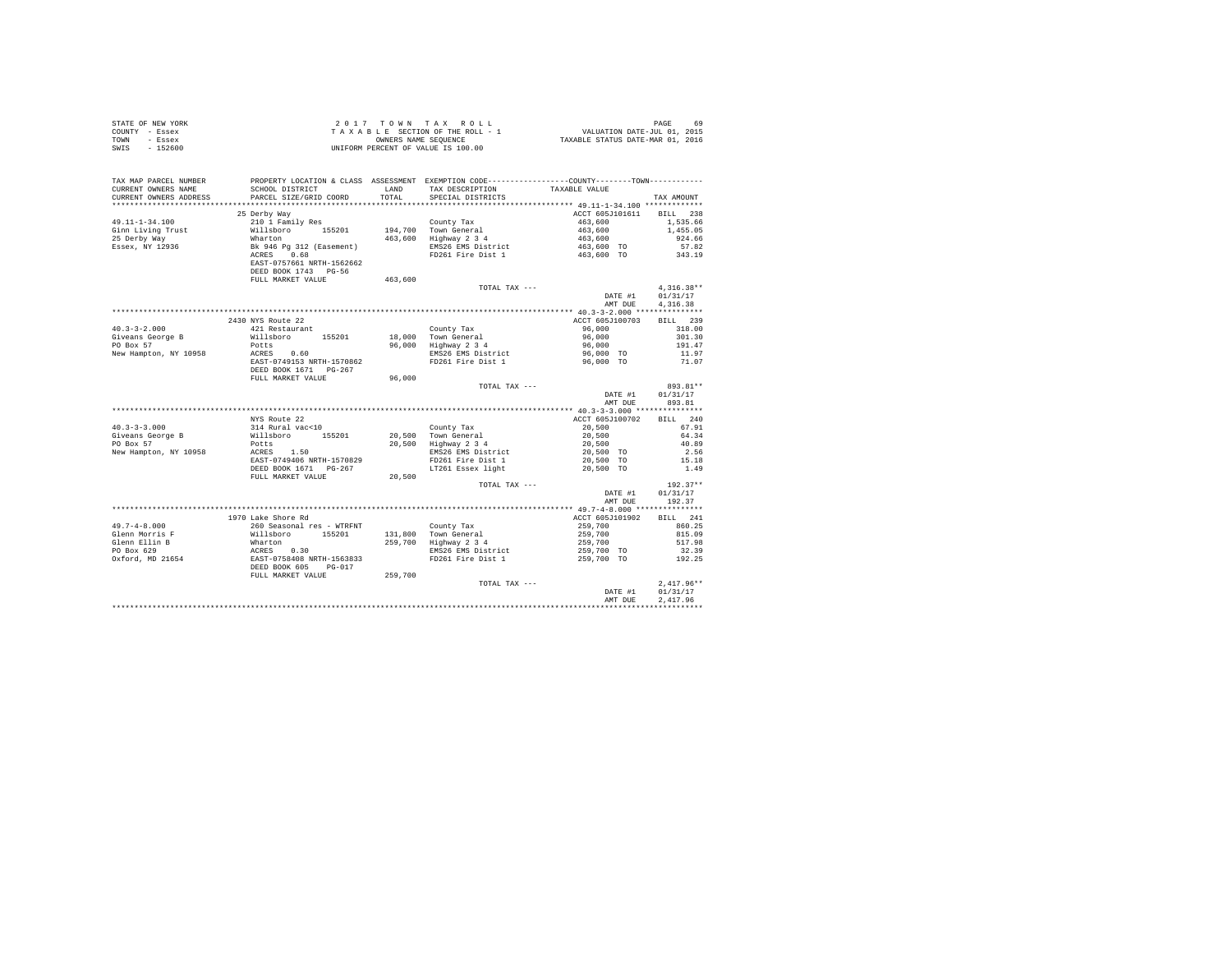| STATE OF NEW YORK |                                                                                                                                                                                                                                                                                                                                                                                                                                |               |                                   |              |
|-------------------|--------------------------------------------------------------------------------------------------------------------------------------------------------------------------------------------------------------------------------------------------------------------------------------------------------------------------------------------------------------------------------------------------------------------------------|---------------|-----------------------------------|--------------|
| COUNTY - Essex    |                                                                                                                                                                                                                                                                                                                                                                                                                                |               |                                   |              |
| TOWN - Essex      |                                                                                                                                                                                                                                                                                                                                                                                                                                |               |                                   |              |
| SWIS - 152600     |                                                                                                                                                                                                                                                                                                                                                                                                                                |               |                                   |              |
|                   |                                                                                                                                                                                                                                                                                                                                                                                                                                |               |                                   |              |
|                   |                                                                                                                                                                                                                                                                                                                                                                                                                                |               |                                   |              |
|                   |                                                                                                                                                                                                                                                                                                                                                                                                                                |               |                                   |              |
|                   |                                                                                                                                                                                                                                                                                                                                                                                                                                |               |                                   |              |
|                   |                                                                                                                                                                                                                                                                                                                                                                                                                                |               |                                   |              |
|                   |                                                                                                                                                                                                                                                                                                                                                                                                                                |               |                                   |              |
|                   |                                                                                                                                                                                                                                                                                                                                                                                                                                |               | ACCT 605J101611 BILL 238          |              |
|                   | 25 Derby Way                                                                                                                                                                                                                                                                                                                                                                                                                   |               |                                   |              |
|                   |                                                                                                                                                                                                                                                                                                                                                                                                                                |               |                                   |              |
|                   |                                                                                                                                                                                                                                                                                                                                                                                                                                |               |                                   |              |
|                   |                                                                                                                                                                                                                                                                                                                                                                                                                                |               |                                   |              |
|                   |                                                                                                                                                                                                                                                                                                                                                                                                                                |               |                                   |              |
|                   |                                                                                                                                                                                                                                                                                                                                                                                                                                |               |                                   |              |
|                   |                                                                                                                                                                                                                                                                                                                                                                                                                                |               |                                   |              |
|                   |                                                                                                                                                                                                                                                                                                                                                                                                                                |               |                                   |              |
|                   | $\begin{tabular}{l c c c c c} \multicolumn{1}{c}{49.11-1-34.100} & $\color{red}210$ & $\color{red}11$ & $\color{red}210$ & $\color{red}11$ & $\color{red}210$ & $\color{red}11$ & $\color{red}210$ & $\color{red}11$ & $\color{red}210$ & $\color{red}11$ & $\color{red}210$ & $\color{red}11$ & $\color{red}210$ & $\color{red}11$ & $\color{red}210$ & $\color{red}21$ & $\color{red}210$ & $\color{red}21$ & $\color{red}2$ |               |                                   |              |
|                   |                                                                                                                                                                                                                                                                                                                                                                                                                                | TOTAL TAX --- |                                   | $4.316.38**$ |
|                   |                                                                                                                                                                                                                                                                                                                                                                                                                                |               | DATE #1 01/31/17                  |              |
|                   |                                                                                                                                                                                                                                                                                                                                                                                                                                |               | AMT DUE 4, 316.38                 |              |
|                   |                                                                                                                                                                                                                                                                                                                                                                                                                                |               |                                   |              |
|                   | 2430 NYS Route 22                                                                                                                                                                                                                                                                                                                                                                                                              |               | ACCT 605J100703 BILL 239          |              |
|                   |                                                                                                                                                                                                                                                                                                                                                                                                                                |               |                                   |              |
|                   |                                                                                                                                                                                                                                                                                                                                                                                                                                |               |                                   |              |
|                   |                                                                                                                                                                                                                                                                                                                                                                                                                                |               |                                   |              |
|                   |                                                                                                                                                                                                                                                                                                                                                                                                                                |               |                                   |              |
|                   |                                                                                                                                                                                                                                                                                                                                                                                                                                |               |                                   |              |
|                   |                                                                                                                                                                                                                                                                                                                                                                                                                                |               |                                   |              |
|                   | FULL MARKET VALUE 96,000                                                                                                                                                                                                                                                                                                                                                                                                       |               |                                   |              |
|                   |                                                                                                                                                                                                                                                                                                                                                                                                                                |               | TOTAL TAX ---<br>DATE #1 01/31/17 | 893.81**     |
|                   |                                                                                                                                                                                                                                                                                                                                                                                                                                |               |                                   |              |
|                   |                                                                                                                                                                                                                                                                                                                                                                                                                                |               | AMT DUE 893.81                    |              |
|                   | 10.3-3-3.000<br>10.3-3.000 POL MARKET VALUE 20.500 POL MARKET VALUE 20.500 POL MARKET VALUE 20.500 POL MARKET VALUE 20.500 POL<br>20.500 POL MARKET 1570829 POL MARKET 1570829 POL MARKET 1570829<br>New Hampton, NY 10958 RCRES 1.5                                                                                                                                                                                           |               |                                   |              |
|                   |                                                                                                                                                                                                                                                                                                                                                                                                                                |               |                                   |              |
|                   |                                                                                                                                                                                                                                                                                                                                                                                                                                |               |                                   |              |
|                   |                                                                                                                                                                                                                                                                                                                                                                                                                                |               |                                   |              |
|                   |                                                                                                                                                                                                                                                                                                                                                                                                                                |               |                                   |              |
|                   |                                                                                                                                                                                                                                                                                                                                                                                                                                |               |                                   |              |
|                   |                                                                                                                                                                                                                                                                                                                                                                                                                                |               |                                   |              |
|                   |                                                                                                                                                                                                                                                                                                                                                                                                                                |               |                                   |              |
|                   |                                                                                                                                                                                                                                                                                                                                                                                                                                |               |                                   |              |
|                   |                                                                                                                                                                                                                                                                                                                                                                                                                                | TOTAL TAX --- |                                   | $192.37**$   |
|                   |                                                                                                                                                                                                                                                                                                                                                                                                                                |               | DATE #1 01/31/17                  |              |
|                   |                                                                                                                                                                                                                                                                                                                                                                                                                                |               | AMT DUE 192.37                    |              |
|                   |                                                                                                                                                                                                                                                                                                                                                                                                                                |               |                                   |              |
|                   |                                                                                                                                                                                                                                                                                                                                                                                                                                |               |                                   | BILL 241     |
|                   |                                                                                                                                                                                                                                                                                                                                                                                                                                |               |                                   | 860.25       |
|                   |                                                                                                                                                                                                                                                                                                                                                                                                                                |               |                                   | 815.09       |
|                   |                                                                                                                                                                                                                                                                                                                                                                                                                                |               |                                   | 517.98       |
|                   |                                                                                                                                                                                                                                                                                                                                                                                                                                |               |                                   | 32.39        |
|                   |                                                                                                                                                                                                                                                                                                                                                                                                                                |               |                                   | 192.25       |
|                   |                                                                                                                                                                                                                                                                                                                                                                                                                                |               |                                   |              |
|                   |                                                                                                                                                                                                                                                                                                                                                                                                                                |               |                                   |              |
|                   |                                                                                                                                                                                                                                                                                                                                                                                                                                |               |                                   | $2.417.96**$ |
|                   |                                                                                                                                                                                                                                                                                                                                                                                                                                |               | DATE #1                           | 01/31/17     |
|                   |                                                                                                                                                                                                                                                                                                                                                                                                                                |               | AMT DUE                           | 2.417.96     |
|                   |                                                                                                                                                                                                                                                                                                                                                                                                                                |               |                                   |              |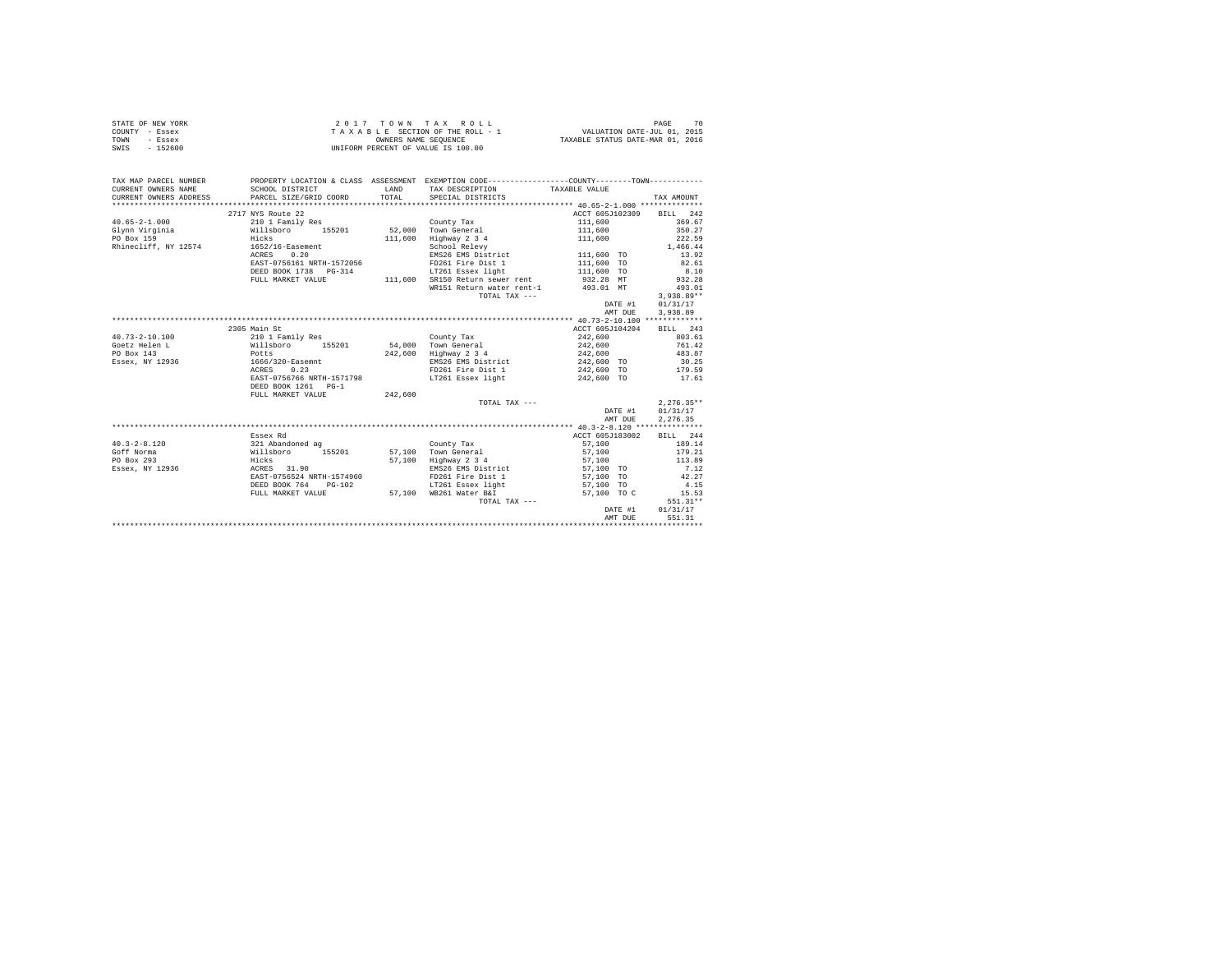|                | STATE OF NEW YORK |  |  |  | 2017 TOWN TAX ROLL                 |  |  |  |  |                                  | PAGE |  |
|----------------|-------------------|--|--|--|------------------------------------|--|--|--|--|----------------------------------|------|--|
| COUNTY - Essex |                   |  |  |  | TAXABLE SECTION OF THE ROLL - 1    |  |  |  |  | VALUATION DATE-JUL 01, 2015      |      |  |
| TOWN           | - Essex           |  |  |  | OWNERS NAME SEOUENCE               |  |  |  |  | TAXABLE STATUS DATE-MAR 01, 2016 |      |  |
| SWIS           | - 152600          |  |  |  | UNIFORM PERCENT OF VALUE IS 100.00 |  |  |  |  |                                  |      |  |

| TAX MAP PARCEL NUMBER<br>CURRENT OWNERS NAME  | PROPERTY LOCATION & CLASS ASSESSMENT EXEMPTION CODE---------------COUNTY-------TOWN----------<br>SCHOOL DISTRICT | <b>T.AND</b> |                                                                                                                                       |                                                                                     |         |                          |  |
|-----------------------------------------------|------------------------------------------------------------------------------------------------------------------|--------------|---------------------------------------------------------------------------------------------------------------------------------------|-------------------------------------------------------------------------------------|---------|--------------------------|--|
| CURRENT OWNERS ADDRESS PARCEL SIZE/GRID COORD |                                                                                                                  |              | TAX DESCRIPTION TAXABLE VALUE<br>TOTAL SPECIAL DISTRICTS                                                                              |                                                                                     |         | TAX AMOUNT               |  |
|                                               |                                                                                                                  |              |                                                                                                                                       |                                                                                     |         |                          |  |
|                                               | 2717 NYS Route 22                                                                                                |              |                                                                                                                                       |                                                                                     |         | ACCT 605J102309 BILL 242 |  |
| $40.65 - 2 - 1.000$                           |                                                                                                                  |              |                                                                                                                                       |                                                                                     |         | 369.67                   |  |
|                                               |                                                                                                                  |              |                                                                                                                                       | 111,600<br>111,600                                                                  |         | 350.27                   |  |
| Glynn Virginia                                | Hicks                                                                                                            |              |                                                                                                                                       |                                                                                     |         |                          |  |
| PO Box 159                                    |                                                                                                                  | 111,600      | Highway 2 3 4                                                                                                                         | 111,600                                                                             |         | 222.59                   |  |
| Rhinecliff, NY 12574 1652/16-Easement         |                                                                                                                  |              | $\text{Higuwy }$ $\text{Ligv}$<br>$\text{EMS26 EMS}$ District<br>$\text{MMS26 EMS}$ District<br>$\text{MMS26 EMS}$ $\text{MMS26 EMS}$ |                                                                                     |         | 1,466.44                 |  |
|                                               | ACRES 0.20                                                                                                       |              |                                                                                                                                       |                                                                                     |         | 13.92                    |  |
|                                               | EAST-0756161 NRTH-1572056                                                                                        |              |                                                                                                                                       |                                                                                     |         | 82.61                    |  |
|                                               | DEED BOOK 1738    PG-314                                                                                         |              | LT261 Essex light 111,600 TO                                                                                                          |                                                                                     |         | 8.10                     |  |
|                                               | FULL MARKET VALUE                                                                                                |              | 111,600 SR150 Return sewer rent 932.28 MT<br>WR151 Return water rent-1 493.01 MT                                                      |                                                                                     |         | 932.28                   |  |
|                                               |                                                                                                                  |              |                                                                                                                                       |                                                                                     |         | 493.01                   |  |
|                                               |                                                                                                                  |              | TOTAL TAX ---                                                                                                                         |                                                                                     |         | $3.938.89**$             |  |
|                                               |                                                                                                                  |              |                                                                                                                                       | DATE #1                                                                             |         | 01/31/17                 |  |
|                                               |                                                                                                                  |              |                                                                                                                                       |                                                                                     | AMT DUE | 3.938.89                 |  |
|                                               |                                                                                                                  |              |                                                                                                                                       |                                                                                     |         |                          |  |
|                                               | 2305 Main St                                                                                                     |              |                                                                                                                                       | ACCT 605J104204                                                                     |         | <b>BILL</b> 243          |  |
| $40.73 - 2 - 10.100$                          | 210 1 Family Res<br>Willsboro 155201<br>Potts                                                                    |              | County Tax                                                                                                                            | 242,600                                                                             |         | 803.61                   |  |
| Goetz Helen L                                 |                                                                                                                  |              | 54,000 Town General                                                                                                                   | 242,600<br>242,600                                                                  |         | 761.42                   |  |
| PO Box 143                                    |                                                                                                                  |              | 242,600 Highway 2 3 4                                                                                                                 |                                                                                     |         | 483.87                   |  |
| Essex, NY 12936 1666/320-Easemnt              |                                                                                                                  |              |                                                                                                                                       | EMS26 EMS District 242,600 TO 30.25                                                 |         |                          |  |
|                                               | 0.23<br>ACRES                                                                                                    |              |                                                                                                                                       |                                                                                     |         | 179.59                   |  |
|                                               | EAST-0756766 NRTH-1571798                                                                                        |              | FD261 Fire Dist 1<br>LT261 Essex light                                                                                                | 242,600 TO<br>242,600 TO                                                            |         | 17.61                    |  |
|                                               | DEED BOOK 1261 PG-1                                                                                              |              |                                                                                                                                       |                                                                                     |         |                          |  |
|                                               | FULL MARKET VALUE                                                                                                | 242.600      |                                                                                                                                       |                                                                                     |         |                          |  |
|                                               |                                                                                                                  |              | TOTAL TAX ---                                                                                                                         |                                                                                     |         | $2.276.35**$             |  |
|                                               |                                                                                                                  |              |                                                                                                                                       |                                                                                     | DATE #1 | 01/31/17                 |  |
|                                               |                                                                                                                  |              |                                                                                                                                       |                                                                                     | AMT DUE | 2.276.35                 |  |
|                                               |                                                                                                                  |              |                                                                                                                                       |                                                                                     |         |                          |  |
|                                               | Essex Rd                                                                                                         |              |                                                                                                                                       | ACCT 605J183002                                                                     |         | BILL 244                 |  |
| $40.3 - 2 - 8.120$                            | 321 Abandoned ag                                                                                                 |              | County Tax                                                                                                                            | 57,100                                                                              |         | 189.14                   |  |
| Goff Norma                                    | Willsboro 155201 57,100 Town General 57,100 57,100 179.21                                                        |              |                                                                                                                                       |                                                                                     |         |                          |  |
| PO Box 293                                    |                                                                                                                  |              | 57,100 Highway 2 3 4                                                                                                                  |                                                                                     |         | 113.89                   |  |
| Essex, NY 12936                               | Hicks<br>ACRES 31.90                                                                                             |              |                                                                                                                                       | Highway 2 3 4 57,100<br>EMS26 EMS District 57,100 TO<br>FD261 Fire Dist 1 57,100 TO |         | 7.12                     |  |
|                                               | EAST-0756524 NRTH-1574960                                                                                        |              |                                                                                                                                       |                                                                                     |         | 42.27                    |  |
|                                               | DEED BOOK 764<br>$PG-102$                                                                                        |              |                                                                                                                                       | LT261 Essex light 57,100 TO                                                         |         | 4.15                     |  |
|                                               | FULL MARKET VALUE 57,100 WB261 Water B&I                                                                         |              |                                                                                                                                       | 57,100 TO C                                                                         |         | 15.53                    |  |
|                                               |                                                                                                                  |              | TOTAL TAX ---                                                                                                                         |                                                                                     |         | 551.31**                 |  |
|                                               |                                                                                                                  |              |                                                                                                                                       |                                                                                     | DATE #1 | 01/31/17                 |  |
|                                               |                                                                                                                  |              |                                                                                                                                       |                                                                                     | AMT DUE | 551.31                   |  |
|                                               |                                                                                                                  |              |                                                                                                                                       |                                                                                     |         |                          |  |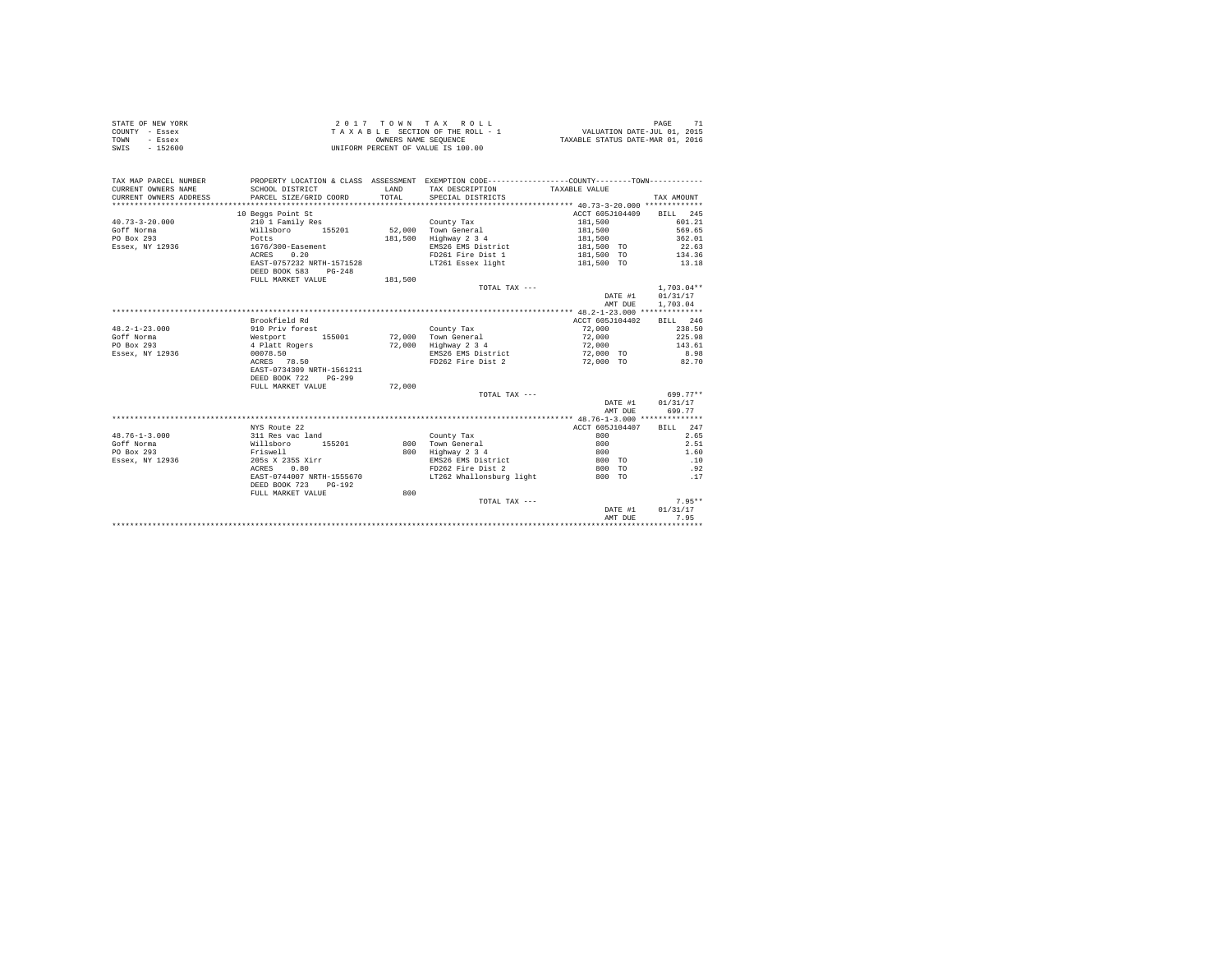| COUNTY - Essex<br>TOWN<br>- Essex<br>SWIS - 152600 |                                                                                                                     |        | TAXABLE SECTION OF THE ROLL - 1<br>OWNERS NAME SEQUENCE<br>UNIFORM PERCENT OF VALUE IS 100.00 | VALUATION DATE-JUL 01, 2015<br>TAXABLE STATUS DATE-MAR 01, 2016 |                  |  |  |
|----------------------------------------------------|---------------------------------------------------------------------------------------------------------------------|--------|-----------------------------------------------------------------------------------------------|-----------------------------------------------------------------|------------------|--|--|
|                                                    |                                                                                                                     |        |                                                                                               |                                                                 |                  |  |  |
|                                                    | TAX MAP PARCEL NUMBER PROPERTY LOCATION & CLASS ASSESSMENT EXEMPTION CODE--------------COUNTY--------TOWN---------- |        |                                                                                               |                                                                 |                  |  |  |
| CURRENT OWNERS NAME                                | SCHOOL DISTRICT                                                                                                     | LAND   | TAX DESCRIPTION TAXABLE VALUE                                                                 |                                                                 |                  |  |  |
| CURRENT OWNERS ADDRESS                             | PARCEL SIZE/GRID COORD TOTAL SPECIAL DISTRICTS                                                                      |        |                                                                                               |                                                                 | TAX AMOUNT       |  |  |
|                                                    |                                                                                                                     |        |                                                                                               |                                                                 |                  |  |  |
|                                                    | 10 Beggs Point St                                                                                                   |        |                                                                                               | ACCT 605J104409 BILL 245                                        |                  |  |  |
| $40.73 - 3 - 20.000$                               | 210 1 Family Res                                                                                                    |        | County Tax                                                                                    | 181,500                                                         | 601.21           |  |  |
| Goff Norma                                         | Willsboro 155201 52.000 Town General                                                                                |        |                                                                                               | 181,500                                                         | 569.65           |  |  |
| PO Box 293                                         | Potts                                                                                                               |        | 181,500 Highway 2 3 4                                                                         | 181,500                                                         | 362.01           |  |  |
| Essex, NY 12936                                    | $1676/300 -$ Easement<br>ACRES 0.20                                                                                 |        | EMS26 EMS District                                                                            | 181,500 TO                                                      | 22.63            |  |  |
|                                                    |                                                                                                                     |        | FD261 Fire Dist 1                                                                             | 181,500 TO                                                      | 134.36           |  |  |
|                                                    | EAST-0757232 NRTH-1571528                                                                                           |        | LT261 Essex light                                                                             | 181,500 TO                                                      | 13.18            |  |  |
|                                                    | DEED BOOK 583 PG-248                                                                                                |        |                                                                                               |                                                                 |                  |  |  |
|                                                    | FULL MARKET VALUE 181,500                                                                                           |        |                                                                                               |                                                                 |                  |  |  |
|                                                    |                                                                                                                     |        | TOTAL TAX $---$                                                                               |                                                                 | $1.703.04**$     |  |  |
|                                                    |                                                                                                                     |        |                                                                                               |                                                                 | DATE #1 01/31/17 |  |  |
|                                                    |                                                                                                                     |        |                                                                                               | AMT DUE                                                         | 1,703.04         |  |  |
|                                                    |                                                                                                                     |        |                                                                                               |                                                                 |                  |  |  |
|                                                    | Brookfield Rd                                                                                                       |        |                                                                                               | ACCT 605J104402                                                 | BILL 246         |  |  |
| $48.2 - 1 - 23.000$                                | 910 Priv forest                                                                                                     |        | County Tax                                                                                    | 72.000 238.50                                                   |                  |  |  |
| Goff Norma                                         | Westport 155001 72,000 Town General                                                                                 |        |                                                                                               | 72,000                                                          | 225.98           |  |  |
| PO Box 293                                         | 4 Platt Rogers                                                                                                      |        | 72,000 Highway 2 3 4                                                                          | 72,000                                                          | 143.61           |  |  |
| Essex, NY 12936                                    | 00078.50                                                                                                            |        | EMS26 EMS District                                                                            | 72.000 TO                                                       | 8.98             |  |  |
|                                                    | ACRES 78.50                                                                                                         |        | FD262 Fire Dist 2                                                                             | 72.000 TO                                                       | 82.70            |  |  |
|                                                    | EAST-0734309 NRTH-1561211                                                                                           |        |                                                                                               |                                                                 |                  |  |  |
|                                                    | DEED BOOK 722<br>$PG-299$                                                                                           |        |                                                                                               |                                                                 |                  |  |  |
|                                                    | FULL MARKET VALUE                                                                                                   | 72,000 |                                                                                               |                                                                 |                  |  |  |
|                                                    |                                                                                                                     |        | TOTAL TAX ---                                                                                 |                                                                 | 699.77**         |  |  |
|                                                    |                                                                                                                     |        |                                                                                               |                                                                 | DATE #1 01/31/17 |  |  |
|                                                    |                                                                                                                     |        |                                                                                               | AMT DUE                                                         | 699.77           |  |  |
|                                                    |                                                                                                                     |        |                                                                                               |                                                                 |                  |  |  |

STATE OF NEW YORK  $2017$  TO W N T A X R O L L PAGE 71

|                     |                           |     |                          | ANII DUB        |              |
|---------------------|---------------------------|-----|--------------------------|-----------------|--------------|
|                     |                           |     |                          |                 |              |
|                     | NYS Route 22              |     |                          | ACCT 605J104407 | 2.47<br>BILL |
| $48.76 - 1 - 3.000$ | 311 Res vac land          |     | County Tax               | 800             | 2.65         |
| Goff Norma          | 155201<br>Willsboro       | 800 | Town General             | 800             | 2.51         |
| PO Box 293          | Friswell                  | 800 | Highway 2 3 4            | 800             | 1.60         |
| Essex, NY 12936     | 205s X 235S Xirr          |     | EMS26 EMS District       | 800 TO          | .10          |
|                     | 0.80<br>ACRES             |     | FD262 Fire Dist 2        | 800 TO          | .92          |
|                     | EAST-0744007 NRTH-1555670 |     | LT262 Whallonsburg light | 800 TO          | .17          |
|                     | DEED BOOK 723<br>PG-192   |     |                          |                 |              |
|                     | FULL MARKET VALUE         | 800 |                          |                 |              |
|                     |                           |     | TOTAL TAX ---            |                 | $7.95**$     |
|                     |                           |     |                          | DATE #1         | 01/31/17     |
|                     |                           |     |                          | AMT DUE         | 7.95         |
|                     |                           |     |                          |                 |              |
|                     |                           |     |                          |                 |              |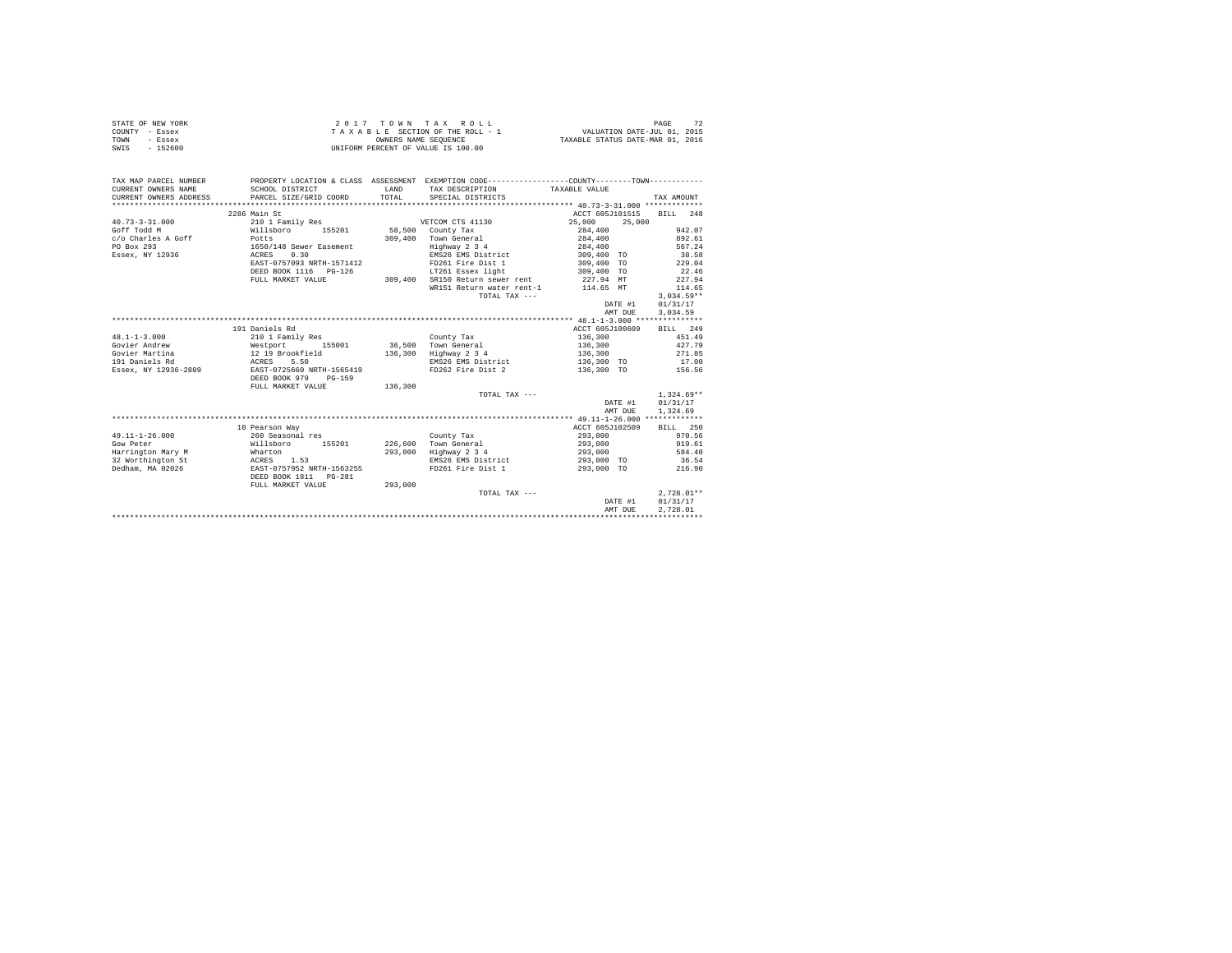| STATE OF NEW YORK<br>COUNTY - Essex<br>- Essex<br>TOWN<br>$-152600$<br>SWTS |                                                                                                                                            | OWNERS NAME SEOUENCE | 2017 TOWN TAX ROLL<br>TAXABLE SECTION OF THE ROLL - 1<br>UNIFORM PERCENT OF VALUE IS 100.00 | VALUATION DATE-JUL 01, 2015<br>TAXABLE STATUS DATE-MAR 01, 2016 | 72<br>PAGE       |
|-----------------------------------------------------------------------------|--------------------------------------------------------------------------------------------------------------------------------------------|----------------------|---------------------------------------------------------------------------------------------|-----------------------------------------------------------------|------------------|
| TAX MAP PARCEL NUMBER<br>CURRENT OWNERS NAME<br>CURRENT OWNERS ADDRESS      | PROPERTY LOCATION & CLASS ASSESSMENT EXEMPTION CODE---------------COUNTY-------TOWN----------<br>SCHOOL DISTRICT<br>PARCEL SIZE/GRID COORD | LAND<br>TOTAL        | TAX DESCRIPTION<br>SPECIAL DISTRICTS                                                        | TAXABLE VALUE                                                   | TAX AMOUNT       |
|                                                                             |                                                                                                                                            |                      |                                                                                             |                                                                 |                  |
|                                                                             | 2286 Main St                                                                                                                               |                      |                                                                                             | ACCT 605J101515                                                 | BILL 248         |
| $40.73 - 3 - 31.000$                                                        | 210 1 Family Res                                                                                                                           |                      | VETCOM CTS 41130                                                                            | 25,000<br>25,000                                                |                  |
| Goff Todd M                                                                 | Willsboro<br>155201                                                                                                                        |                      | 58,500 County Tax                                                                           | 284,400                                                         | 942.07           |
| c/o Charles A Goff                                                          | Potts                                                                                                                                      |                      | 309,400 Town General                                                                        | 284,400                                                         | 892.61           |
| PO Box 293                                                                  | 1650/148 Sewer Easement                                                                                                                    |                      | Highway 2 3 4                                                                               | 284,400                                                         | 567.24           |
| Essex, NY 12936                                                             | ACRES<br>0.30                                                                                                                              |                      | EMS26 EMS District                                                                          | 309,400 TO                                                      | 38.58            |
|                                                                             | EAST-0757093 NRTH-1571412                                                                                                                  |                      | FD261 Fire Dist 1                                                                           | 309,400 TO                                                      | 229.04           |
|                                                                             | DEED BOOK 1116   PG-126                                                                                                                    |                      | LT261 Essex light                                                                           | 309,400 TO                                                      | 22.46            |
|                                                                             | FULL MARKET VALUE                                                                                                                          |                      | 309,400 SR150 Return sewer rent<br>WR151 Return water rent-1                                | 227.94 MT<br>114.65 MT                                          | 227.94<br>114.65 |
|                                                                             |                                                                                                                                            |                      | TOTAL TAX ---                                                                               |                                                                 | $3.034.59**$     |
|                                                                             |                                                                                                                                            |                      |                                                                                             | DATE #1                                                         | 01/31/17         |
|                                                                             |                                                                                                                                            |                      |                                                                                             | AMT DUR                                                         | 3.034.59         |
|                                                                             |                                                                                                                                            |                      |                                                                                             |                                                                 |                  |
|                                                                             | 191 Daniels Rd                                                                                                                             |                      |                                                                                             | ACCT 605J100609                                                 | BILL 249         |
| $48.1 - 1 - 3.000$                                                          | 210 1 Family Res                                                                                                                           |                      | County Tax                                                                                  | 136,300                                                         | 451.49           |
| Govier Andrew                                                               | 155001<br>Westport                                                                                                                         |                      | 36,500 Town General                                                                         | 136,300                                                         | 427.79           |
| Govier Martina                                                              | 12 19 Brookfield                                                                                                                           |                      | 136,300 Highway 2 3 4                                                                       | 136,300                                                         | 271.85           |
| 191 Daniels Rd                                                              | 5.50<br>ACRES                                                                                                                              |                      | EMS26 EMS District                                                                          | 136,300 TO                                                      | 17.00            |
| Essex, NY 12936-2809                                                        | EAST-0725660 NRTH-1565419                                                                                                                  |                      | FD262 Fire Dist 2                                                                           | 136,300 TO                                                      | 156.56           |
|                                                                             | DEED BOOK 979<br>$PG-159$                                                                                                                  |                      |                                                                                             |                                                                 |                  |
|                                                                             | FULL MARKET VALUE                                                                                                                          | 136,300              |                                                                                             |                                                                 |                  |
|                                                                             |                                                                                                                                            |                      | TOTAL TAX ---                                                                               |                                                                 | $1,324.69**$     |
|                                                                             |                                                                                                                                            |                      |                                                                                             | DATE #1                                                         | 01/31/17         |
|                                                                             |                                                                                                                                            |                      |                                                                                             | AMT DUE                                                         | 1,324.69         |
|                                                                             |                                                                                                                                            |                      |                                                                                             |                                                                 |                  |
|                                                                             | 10 Pearson Way                                                                                                                             |                      |                                                                                             | ACCT 605J102509                                                 | BILL 250         |
| $49.11 - 1 - 26.000$                                                        | 260 Seasonal res                                                                                                                           |                      | County Tax                                                                                  | 293,000                                                         | 970.56           |
| Gow Peter                                                                   | Willsboro<br>155201                                                                                                                        |                      | 226,600 Town General                                                                        | 293,000                                                         | 919.61           |
| Harrington Mary M                                                           | Wharton                                                                                                                                    |                      | 293,000 Highway 2 3 4                                                                       | 293,000                                                         | 584.40           |
| 32 Worthington St                                                           | ACRES 1.53                                                                                                                                 |                      | EMS26 EMS District                                                                          | 293,000 TO                                                      | 36.54            |
| Dedham, MA 02026                                                            | EAST-0757952 NRTH-1563255                                                                                                                  |                      | FD261 Fire Dist 1                                                                           | 293,000 TO                                                      | 216.90           |
|                                                                             | DEED BOOK 1811    PG-281<br>FULL MARKET VALUE                                                                                              | 293,000              |                                                                                             |                                                                 |                  |
|                                                                             |                                                                                                                                            |                      | TOTAL TAX ---                                                                               |                                                                 | $2,728.01**$     |
|                                                                             |                                                                                                                                            |                      |                                                                                             | DATE #1                                                         | 01/31/17         |
|                                                                             |                                                                                                                                            |                      |                                                                                             | AMT DUE                                                         | 2.728.01         |
|                                                                             |                                                                                                                                            |                      |                                                                                             |                                                                 |                  |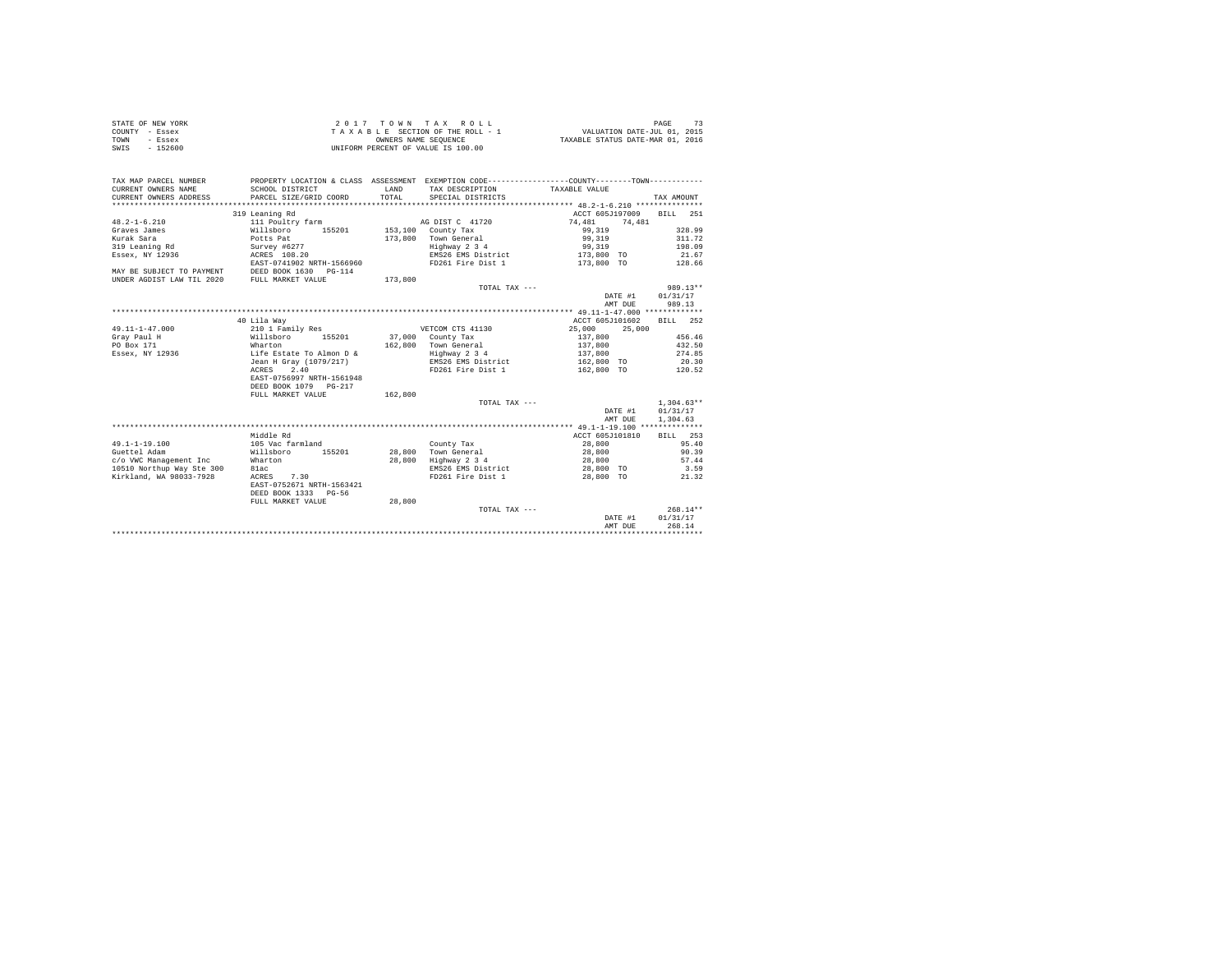| STATE OF NEW YORK | $2.017$ TOWN TAX ROLL              | PAGE                             |
|-------------------|------------------------------------|----------------------------------|
| COUNTY - Essex    | TAXABLE SECTION OF THE ROLL - 1    | VALUATION DATE-JUL 01, 2015      |
| TOWN<br>- Essex   | OWNERS NAME SEOUENCE               | TAXABLE STATUS DATE-MAR 01, 2016 |
| $-152600$<br>SWIS | UNIFORM PERCENT OF VALUE IS 100.00 |                                  |

| TAX MAP PARCEL NUMBER<br>CURRENT OWNERS NAME | SCHOOL DISTRICT           | LAND    | PROPERTY LOCATION & CLASS ASSESSMENT EXEMPTION CODE----------------COUNTY--------TOWN----------<br>TAX DESCRIPTION TAXABLE VALUE |                  |              |
|----------------------------------------------|---------------------------|---------|----------------------------------------------------------------------------------------------------------------------------------|------------------|--------------|
|                                              | PARCEL SIZE/GRID COORD    | TOTAL   | SPECIAL DISTRICTS                                                                                                                |                  |              |
| CURRENT OWNERS ADDRESS                       |                           |         |                                                                                                                                  |                  | TAX AMOUNT   |
|                                              |                           |         |                                                                                                                                  |                  |              |
|                                              | 319 Leaning Rd            |         |                                                                                                                                  | ACCT 605J197009  | BILL 251     |
| $48.2 - 1 - 6.210$                           | 111 Poultry farm          |         | AG DIST C 41720                                                                                                                  | 74,481<br>74,481 |              |
| Graves James                                 | Willsboro<br>155201       |         | 153,100 County Tax                                                                                                               | 99,319           | 328.99       |
| Kurak Sara                                   | Potts Pat                 |         | 173,800 Town General                                                                                                             | 99,319           | 311.72       |
| 319 Leaning Rd                               | Survey #6277              |         | Highway 2 3 4                                                                                                                    | 99,319           | 198.09       |
| Essex, NY 12936                              | ACRES 108.20              |         | EMS26 EMS District                                                                                                               | 173,800 TO       | 21.67        |
|                                              | EAST-0741902 NRTH-1566960 |         | FD261 Fire Dist 1                                                                                                                | 173,800 TO       | 128.66       |
| MAY BE SUBJECT TO PAYMENT                    | DEED BOOK 1630 PG-114     |         |                                                                                                                                  |                  |              |
| UNDER AGDIST LAW TIL 2020                    | FULL MARKET VALUE         | 173,800 |                                                                                                                                  |                  |              |
|                                              |                           |         | TOTAL TAX $---$                                                                                                                  |                  | 989.13**     |
|                                              |                           |         |                                                                                                                                  | DATE #1          | 01/31/17     |
|                                              |                           |         |                                                                                                                                  | AMT DUE          | 989.13       |
|                                              |                           |         |                                                                                                                                  |                  |              |
|                                              |                           |         |                                                                                                                                  |                  |              |
|                                              | 40 Lila Way               |         |                                                                                                                                  | ACCT 605J101602  | BILL 252     |
| $49.11 - 1 - 47.000$                         | 210 1 Family Res          |         | VETCOM CTS 41130                                                                                                                 | 25,000<br>25,000 |              |
| Grav Paul H                                  | Willsboro<br>155201       |         | 37,000 County Tax                                                                                                                | 137,800          | 456.46       |
| PO Box 171                                   | Wharton                   |         | 162.800 Town General                                                                                                             | 137,800          | 432.50       |
| Essex, NY 12936                              | Life Estate To Almon D &  |         | Highway 2 3 4                                                                                                                    | 137,800          | 274.85       |
|                                              | Jean H Gray (1079/217)    |         | EMS26 EMS District                                                                                                               | 162,800 TO       | 20.30        |
|                                              | 2.40<br>ACRES             |         | FD261 Fire Dist 1                                                                                                                | 162,800 TO       | 120.52       |
|                                              | EAST-0756997 NRTH-1561948 |         |                                                                                                                                  |                  |              |
|                                              | DEED BOOK 1079 PG-217     |         |                                                                                                                                  |                  |              |
|                                              | FULL MARKET VALUE         | 162,800 |                                                                                                                                  |                  |              |
|                                              |                           |         | TOTAL TAX ---                                                                                                                    |                  | $1.304.63**$ |
|                                              |                           |         |                                                                                                                                  | DATE #1          | 01/31/17     |
|                                              |                           |         |                                                                                                                                  | AMT DUE          | 1,304.63     |
|                                              |                           |         |                                                                                                                                  |                  |              |
|                                              | Middle Rd                 |         |                                                                                                                                  | ACCT 605J101810  | BILL 253     |
| $49.1 - 1 - 19.100$                          | 105 Vac farmland          |         |                                                                                                                                  | 28,800           | 95.40        |
|                                              |                           |         | County Tax                                                                                                                       |                  |              |
| Guettel Adam                                 | 155201<br>Willsboro       | 28,800  | Town General                                                                                                                     | 28,800           | 90.39        |
| c/o VWC Management Inc                       | Wharton                   | 28,800  | Highway 2 3 4                                                                                                                    | 28,800           | 57.44        |
| 10510 Northup Way Ste 300                    | 81ac                      |         | EMS26 EMS District                                                                                                               | 28,800 TO        | 3.59         |
| Kirkland, WA 98033-7928                      | ACRES<br>7.30             |         | FD261 Fire Dist 1                                                                                                                | 28,800 TO        | 21.32        |
|                                              | EAST-0752671 NRTH-1563421 |         |                                                                                                                                  |                  |              |
|                                              | DEED BOOK 1333 PG-56      |         |                                                                                                                                  |                  |              |
|                                              | FULL MARKET VALUE         | 28,800  |                                                                                                                                  |                  |              |
|                                              |                           |         | TOTAL TAX ---                                                                                                                    |                  | $268.14**$   |
|                                              |                           |         |                                                                                                                                  | DATE #1          | 01/31/17     |
|                                              |                           |         |                                                                                                                                  | AMT DUE          | 268.14       |
|                                              |                           |         |                                                                                                                                  |                  |              |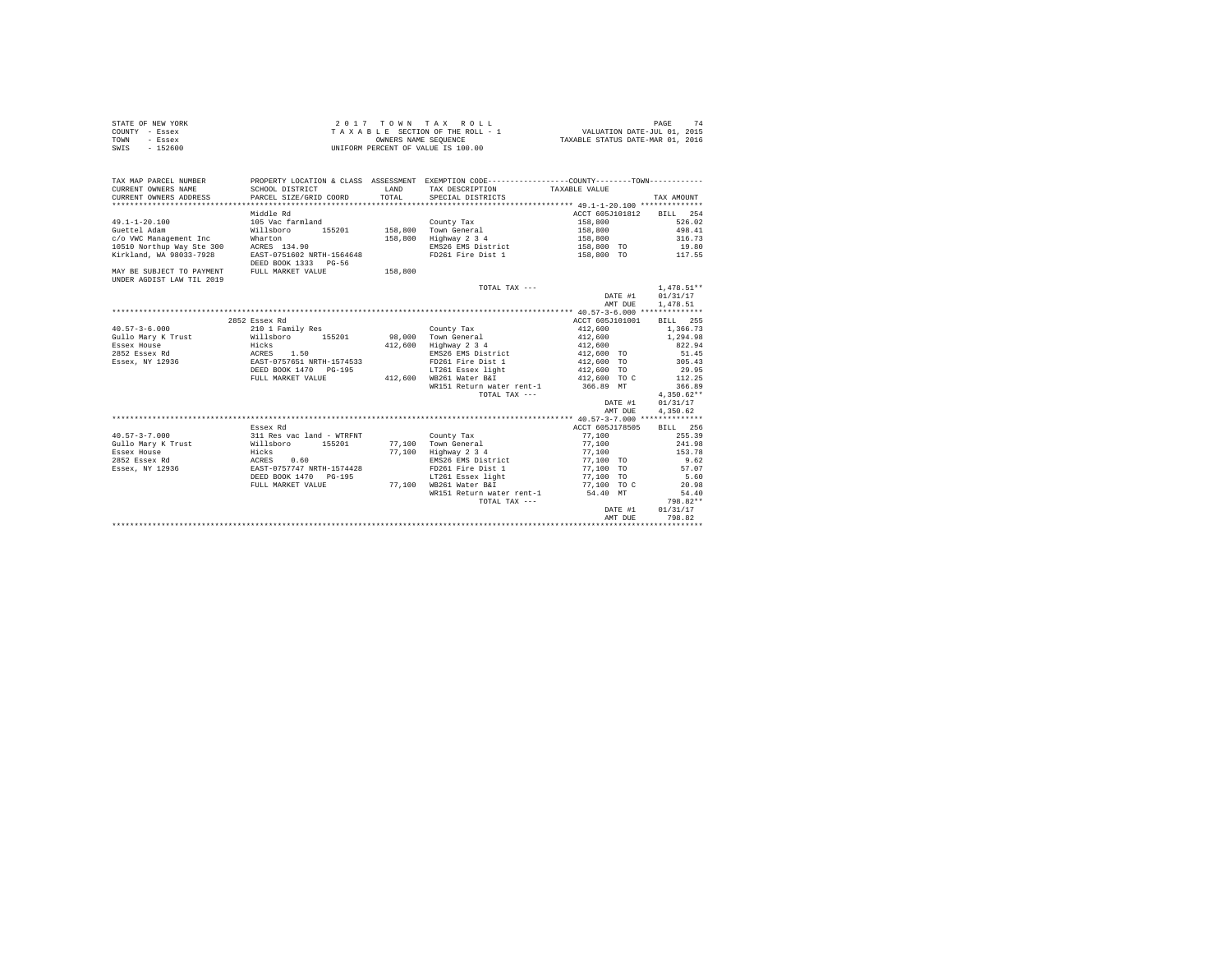| STATE OF NEW YORK | $2.017$ TOWN TAX ROLL              | PAGE                             |
|-------------------|------------------------------------|----------------------------------|
| COUNTY - Essex    | TAXABLE SECTION OF THE ROLL - 1    | VALUATION DATE-JUL 01, 2015      |
| TOWN<br>- Essex   | OWNERS NAME SEOUENCE               | TAXABLE STATUS DATE-MAR 01, 2016 |
| SWIS<br>$-152600$ | UNIFORM PERCENT OF VALUE IS 100.00 |                                  |

| TAX MAP PARCEL NUMBER                       |                                         |         | PROPERTY LOCATION & CLASS ASSESSMENT EXEMPTION CODE---------------COUNTY-------TOWN---------- |                          |              |
|---------------------------------------------|-----------------------------------------|---------|-----------------------------------------------------------------------------------------------|--------------------------|--------------|
| CURRENT OWNERS NAME                         | SCHOOL DISTRICT                         | LAND    | TAX DESCRIPTION                                                                               | TAXABLE VALUE            |              |
| CURRENT OWNERS ADDRESS                      | PARCEL SIZE/GRID COORD TOTAL            |         | SPECIAL DISTRICTS                                                                             |                          | TAX AMOUNT   |
|                                             |                                         |         |                                                                                               |                          |              |
|                                             | Middle Rd                               |         |                                                                                               | ACCT 605J101812 BILL 254 |              |
| $49.1 - 1 - 20.100$                         | 105 Vac farmland                        |         | County Tax                                                                                    | 158,800                  | 526.02       |
| Guettel Adam                                | Willsboro                               |         | 155201 158,800 Town General                                                                   | 158,800                  | 498.41       |
| c/o VWC Management Inc                      | Wharton                                 |         | 158,800 Highway 2 3 4                                                                         | 158,800                  | 316.73       |
| 10510 Northup Way Ste 300 ACRES 134.90      |                                         |         | EMS26 EMS District                                                                            | 158,800 TO 19.80         |              |
| Kirkland, WA 98033-7928                     | EAST-0751602 NRTH-1564648               |         | FD261 Fire Dist 1                                                                             | 158,800 TO               | 117.55       |
|                                             | DEED BOOK 1333 PG-56                    |         |                                                                                               |                          |              |
| MAY BE SUBJECT TO PAYMENT FULL MARKET VALUE |                                         | 158,800 |                                                                                               |                          |              |
| UNDER AGDIST LAW TIL 2019                   |                                         |         |                                                                                               |                          |              |
|                                             |                                         |         | TOTAL TAX ---                                                                                 |                          | $1.478.51**$ |
|                                             |                                         |         |                                                                                               | DATE #1 01/31/17         |              |
|                                             |                                         |         |                                                                                               | AMT DUE                  | 1,478.51     |
|                                             |                                         |         |                                                                                               |                          |              |
|                                             | 2852 Essex Rd                           |         |                                                                                               | ACCT 605J101001          | BILL 255     |
| $40.57 - 3 - 6.000$                         | 210 1 Family Res                        |         | County Tax                                                                                    | 412,600                  | 1,366.73     |
| Gullo Mary K Trust                          | Willsboro 155201                        |         | 98,000 Town General                                                                           | 412,600                  | 1,294.98     |
| Essex House                                 | Hicks                                   |         | 412,600 Highway 2 3 4                                                                         | 412,600                  | 822.94       |
| 2852 Essex Rd ACRES 1.50                    |                                         |         | EMS26 EMS District                                                                            | 412,600 TO               | 51.45        |
| Essex, NY 12936                             | EAST-0757651 NRTH-1574533               |         | FD261 Fire Dist 1                                                                             | 412,600 TO               | 305.43       |
|                                             | DEED BOOK 1470 PG-195                   |         | LT261 Essex light                                                                             | 412,600 TO               | 29.95        |
|                                             | FULL MARKET VALUE                       |         | 412,600 WB261 Water B&I                                                                       | 412,600 TO C             | 112.25       |
|                                             |                                         |         | WR151 Return water rent-1 366.89 MT                                                           |                          | 366.89       |
|                                             |                                         |         | TOTAL TAX ---                                                                                 |                          | $4.350.62**$ |
|                                             |                                         |         |                                                                                               | DATE #1                  | 01/31/17     |
|                                             |                                         |         |                                                                                               | AMT DUE                  | 4.350.62     |
|                                             |                                         |         |                                                                                               |                          |              |
|                                             | Essex Rd                                |         |                                                                                               | ACCT 605J178505          | BILL 256     |
| $40.57 - 3 - 7.000$                         | 311 Res vac land - WTRFNT               |         | County Tax                                                                                    | 77,100                   | 255.39       |
| Gullo Mary K Trust <b>Willsboro</b> 155201  |                                         |         | 77,100 Town General                                                                           | 77,100                   | 241.98       |
| Hicks<br>Essex House                        |                                         |         | 77,100 Highway 2 3 4                                                                          | 77,100                   | 153.78       |
| 2852 Essex Rd                               |                                         |         | EMS26 EMS District                                                                            | 77,100 TO                | 9.62         |
| Essex, NY 12936                             | ACRES 0.60<br>EAST-0757747 NRTH-1574428 |         | FD261 Fire Dist 1                                                                             | 77,100 TO                | 57.07        |
|                                             | DEED BOOK 1470 PG-195                   |         | LT261 Essex light                                                                             | 77,100 TO                | 5.60         |
|                                             | FULL MARKET VALUE                       |         | 77,100 WB261 Water B&I                                                                        | 77.100 TO C              | 20.98        |
|                                             |                                         |         | WR151 Return water rent-1                                                                     | 54.40 MT                 | 54.40        |
|                                             |                                         |         | TOTAL TAX ---                                                                                 |                          | 798.82**     |
|                                             |                                         |         |                                                                                               | DATE #1                  | 01/31/17     |
|                                             |                                         |         |                                                                                               | AMT DUE                  | 798.82       |
|                                             |                                         |         |                                                                                               |                          |              |
|                                             |                                         |         |                                                                                               |                          |              |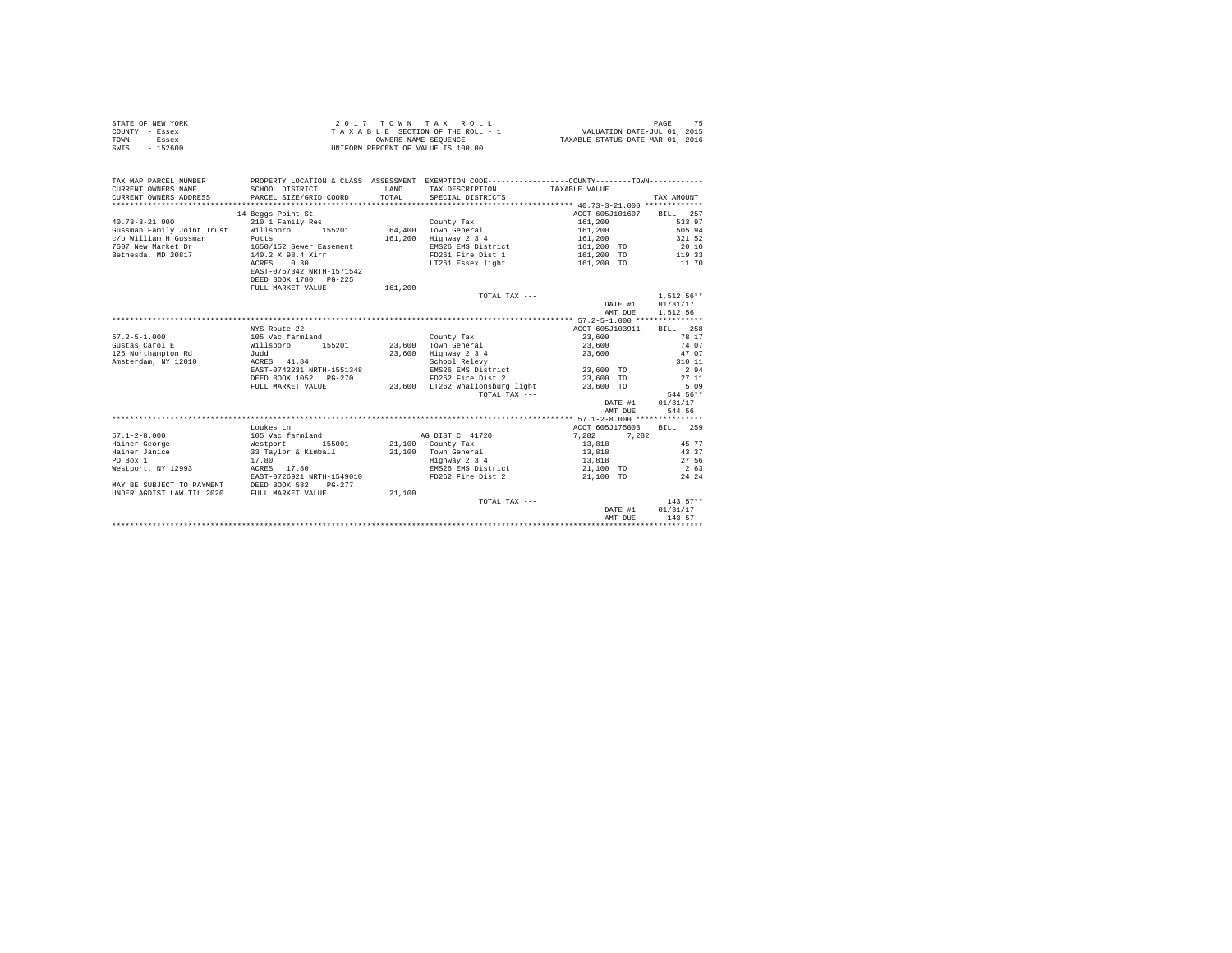|                | STATE OF NEW YORK | 2017 TOWN TAX ROLL                 | PAGE                             |
|----------------|-------------------|------------------------------------|----------------------------------|
| COUNTY - Essex |                   | TAXABLE SECTION OF THE ROLL - 1    | VALUATION DATE-JUL 01, 2015      |
| TOWN           | - Essex           | OWNERS NAME SEOUENCE               | TAXABLE STATUS DATE-MAR 01, 2016 |
| SWIS           | $-152600$         | UNIFORM PERCENT OF VALUE IS 100.00 |                                  |

| TAX MAP PARCEL NUMBER<br>CURRENT OWNERS NAME                                                                                          | SCHOOL DISTRICT                              | LAND    | PROPERTY LOCATION & CLASS ASSESSMENT EXEMPTION CODE---------------COUNTY-------TOWN----------<br>TAX DESCRIPTION | TAXABLE VALUE            |                  |
|---------------------------------------------------------------------------------------------------------------------------------------|----------------------------------------------|---------|------------------------------------------------------------------------------------------------------------------|--------------------------|------------------|
| CURRENT OWNERS ADDRESS                                                                                                                | PARCEL SIZE/GRID COORD                       | TOTAL   | SPECIAL DISTRICTS                                                                                                |                          | TAX AMOUNT       |
|                                                                                                                                       |                                              |         |                                                                                                                  |                          |                  |
|                                                                                                                                       | 14 Beggs Point St                            |         |                                                                                                                  | ACCT 605J101607 BILL 257 |                  |
| $40.73 - 3 - 21.000$                                                                                                                  | 210 1 Family Res                             |         | County Tax                                                                                                       | 161,200                  | 533.97           |
| Gussman Family Joint Trust Willsboro 155201                                                                                           |                                              |         | 64,400 Town General                                                                                              | 161,200                  | 505.94           |
| c/o William H Gussman                                                                                                                 | Potts                                        | 161,200 | Highway 2 3 4                                                                                                    | 161,200                  | 321.52           |
| 7507 New Market Dr                                                                                                                    |                                              |         | EMS26 EMS District                                                                                               | 161,200 TO               | 20.10            |
| Bethesda, MD 20817                                                                                                                    | 1650/152 Sewer Easement<br>140.2 X 98.4 Xirr |         | FD261 Fire Dist 1                                                                                                | 161,200 TO               | 119.33           |
|                                                                                                                                       | 0.30<br>ACRES                                |         | LT261 Essex light 161,200 TO                                                                                     |                          | 11.70            |
|                                                                                                                                       | EAST-0757342 NRTH-1571542                    |         |                                                                                                                  |                          |                  |
|                                                                                                                                       | DEED BOOK 1780 PG-225                        |         |                                                                                                                  |                          |                  |
|                                                                                                                                       | FULL MARKET VALUE                            | 161,200 |                                                                                                                  |                          |                  |
|                                                                                                                                       |                                              |         | TOTAL TAX ---                                                                                                    |                          | $1,512.56**$     |
|                                                                                                                                       |                                              |         |                                                                                                                  | DATE #1                  | 01/31/17         |
|                                                                                                                                       |                                              |         |                                                                                                                  |                          | AMT DUE 1,512.56 |
|                                                                                                                                       |                                              |         |                                                                                                                  |                          |                  |
|                                                                                                                                       | NYS Route 22                                 |         |                                                                                                                  | ACCT 605J103911          | BILL 258         |
| $57.2 - 5 - 1.000$                                                                                                                    | 105 Vac farmland                             |         | County Tax                                                                                                       | 23,600                   | 78.17            |
| Gustas Carol E                                                                                                                        | Willsboro 155201                             |         | 23,600 Town General                                                                                              | 23,600                   | 74.07            |
| and the state of the state of the state of the state of the state of the state of the state of the state of the<br>125 Northampton Rd |                                              | 23,600  | Highway 2 3 4                                                                                                    | 23,600                   | 47.07            |
| Amsterdam, NY 12010                                                                                                                   | ACRES 41.84                                  |         | School Relevy                                                                                                    |                          | 310.11           |
|                                                                                                                                       | EAST-0742231 NRTH-1551348                    |         |                                                                                                                  | 23,600 TO                | 2.94             |
|                                                                                                                                       | DEED BOOK 1052 PG-270                        |         | FD262 Fire Dist 2<br>TTP62 m =                                                                                   | 23,600 TO                | 27.11            |
|                                                                                                                                       | FULL MARKET VALUE                            |         | 23,600 LT262 Whallonsburg light                                                                                  | 23,600 TO                | 5.09             |
|                                                                                                                                       |                                              |         | TOTAL TAX ---                                                                                                    |                          | 544.56**         |
|                                                                                                                                       |                                              |         |                                                                                                                  | DATE #1                  | 01/31/17         |
|                                                                                                                                       |                                              |         |                                                                                                                  | AMT DUE                  | 544.56           |
|                                                                                                                                       |                                              |         |                                                                                                                  |                          |                  |
|                                                                                                                                       | Loukes Ln                                    |         |                                                                                                                  | ACCT 605J175003          | BILL 259         |
| $57.1 - 2 - 8.000$                                                                                                                    | 105 Vac farmland                             |         | AG DIST C 41720                                                                                                  | 7.282<br>7.282           |                  |
| Hainer George                                                                                                                         | Westport<br>155001                           |         | 21,100 County Tax                                                                                                | 13,818                   | 45.77            |
| Hainer Janice                                                                                                                         | 33 Tavlor & Kimball 21.100 Town General      |         |                                                                                                                  | 13,818                   | 43.37            |
| PO Box 1                                                                                                                              | 17.80                                        |         | Highway 2 3 4                                                                                                    | 13,818                   | 27.56            |
| Westport, NY 12993                                                                                                                    | ACRES 17.80                                  |         | EMS26 EMS District                                                                                               | 21,100 TO                | 2.63             |
|                                                                                                                                       | EAST-0726921 NRTH-1549010                    |         | FD262 Fire Dist 2                                                                                                | 21,100 TO                | 24.24            |
| MAY BE SUBJECT TO PAYMENT DEED BOOK 582                                                                                               | $PG-277$                                     |         |                                                                                                                  |                          |                  |
| UNDER AGDIST LAW TIL 2020                                                                                                             | FULL MARKET VALUE                            | 21,100  |                                                                                                                  |                          |                  |
|                                                                                                                                       |                                              |         | TOTAL TAX ---                                                                                                    |                          | $143.57**$       |
|                                                                                                                                       |                                              |         |                                                                                                                  | DATE #1                  | 01/31/17         |
|                                                                                                                                       |                                              |         |                                                                                                                  | AMT DUE                  | 143.57           |
|                                                                                                                                       |                                              |         |                                                                                                                  |                          |                  |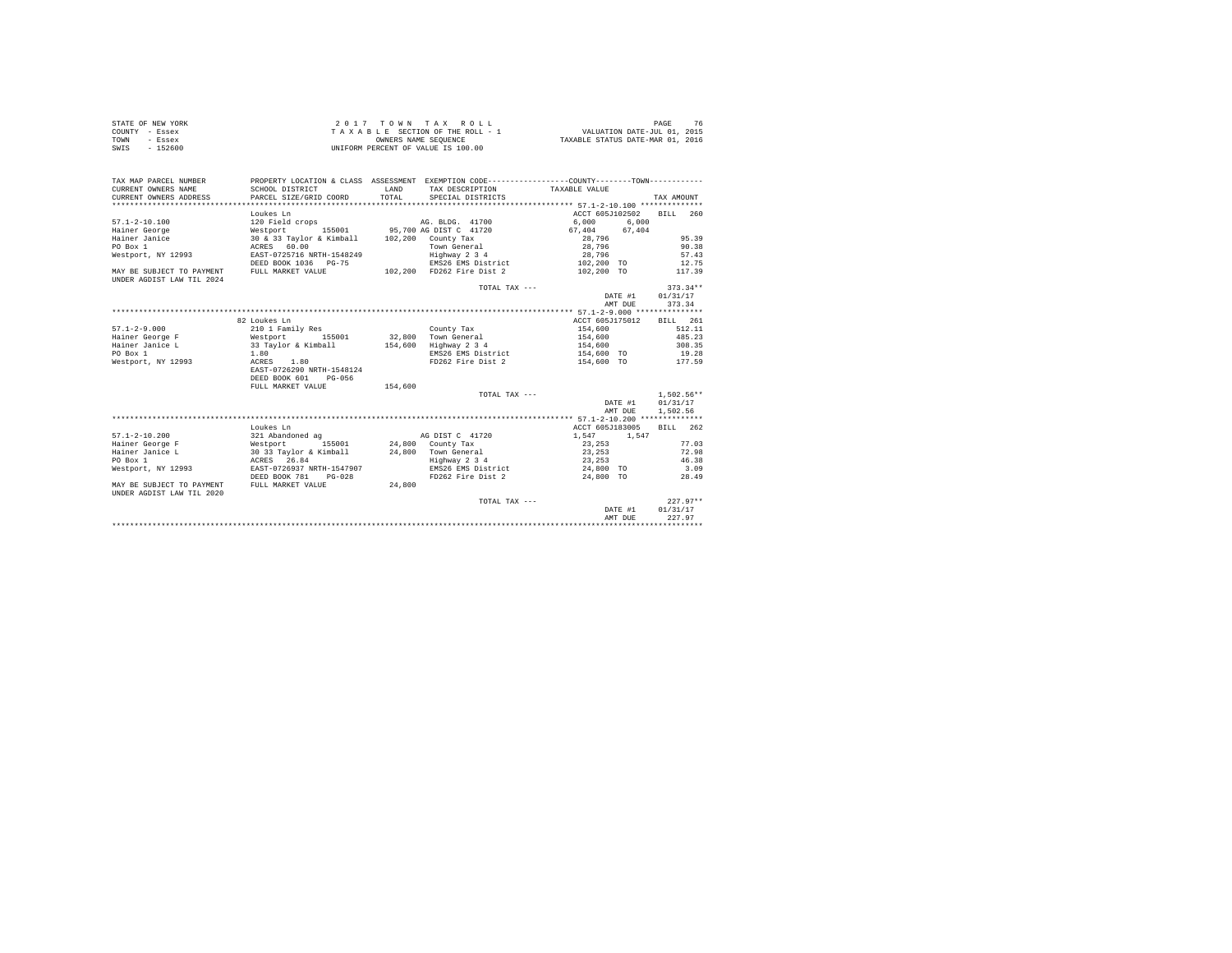| STATE OF NEW YORK | 2017 TOWN TAX ROLL                 | PAGE                             |
|-------------------|------------------------------------|----------------------------------|
| COUNTY - Essex    | TAXABLE SECTION OF THE ROLL - 1    | VALUATION DATE-JUL 01, 2015      |
| TOWN<br>- Essex   | OWNERS NAME SEOUENCE               | TAXABLE STATUS DATE-MAR 01, 2016 |
| $-152600$<br>SWIS | UNIFORM PERCENT OF VALUE IS 100.00 |                                  |

| TAX MAP PARCEL NUMBER                                  | PROPERTY LOCATION & CLASS ASSESSMENT EXEMPTION CODE----------------COUNTY--------TOWN---------- |         |                           |                   |              |
|--------------------------------------------------------|-------------------------------------------------------------------------------------------------|---------|---------------------------|-------------------|--------------|
| CURRENT OWNERS NAME                                    | SCHOOL DISTRICT                                                                                 | LAND    | TAX DESCRIPTION           | TAXABLE VALUE     |              |
| CURRENT OWNERS ADDRESS                                 | PARCEL SIZE/GRID COORD                                                                          | TOTAL.  | SPECIAL DISTRICTS         |                   | TAX AMOUNT   |
|                                                        |                                                                                                 |         |                           |                   |              |
|                                                        | Loukes Ln                                                                                       |         |                           | ACCT 605J102502   | BTLL 260     |
| $57.1 - 2 - 10.100$                                    | 120 Field crops                                                                                 |         | AG. BLDG. 41700           | 6.000<br>6.000    |              |
| Hainer George                                          | Westport 155001 95,700 AG DIST C 41720                                                          |         |                           | 67.404 67.404     |              |
| Hainer Janice                                          | 30 & 33 Taylor & Kimball 102,200 County Tax                                                     |         |                           | 28,796            | 95.39        |
| PO Box 1                                               | ACRES 60.00                                                                                     |         | Town General              | 28,796            | 90.38        |
| Westport, NY 12993                                     | EAST-0725716 NRTH-1548249                                                                       |         | Highway 2 3 4             | 28,796            | 57.43        |
|                                                        | DEED BOOK 1036 PG-75                                                                            |         | EMS26 EMS District        | 102,200 TO        | 12.75        |
| MAY BE SUBJECT TO PAYMENT<br>UNDER AGDIST LAW TIL 2024 | FULL MARKET VALUE                                                                               |         | 102,200 FD262 Fire Dist 2 | 102,200 TO        | 117.39       |
|                                                        |                                                                                                 |         | TOTAL TAX ---             |                   | $373.34**$   |
|                                                        |                                                                                                 |         |                           | DATE #1           | 01/31/17     |
|                                                        |                                                                                                 |         |                           | AMT DUE           | 373.34       |
|                                                        |                                                                                                 |         |                           |                   |              |
|                                                        | 82 Loukes Ln                                                                                    |         |                           | ACCT 605J175012   | BILL 261     |
| $57.1 - 2 - 9.000$                                     | 210 1 Family Res                                                                                |         | County Tax                | 154,600           | 512.11       |
| Hainer George F                                        | Westport 155001                                                                                 |         | 32,800 Town General       | 154,600           | 485.23       |
| Hainer Janice L                                        |                                                                                                 |         | 154,600 Highway 2 3 4     | 154,600           | 308.35       |
| PO Box 1                                               | 33 Taylor & Kimball<br>1.80                                                                     |         | EMS26 EMS District        | 154,600 TO        | 19.28        |
| Westport, NY 12993                                     | 1.80<br>ACRES                                                                                   |         | FD262 Fire Dist 2         | 154,600 TO 177.59 |              |
|                                                        | EAST-0726290 NRTH-1548124                                                                       |         |                           |                   |              |
|                                                        | DEED BOOK 601<br>$PG-0.56$                                                                      |         |                           |                   |              |
|                                                        | FULL MARKET VALUE                                                                               | 154,600 |                           |                   |              |
|                                                        |                                                                                                 |         | TOTAL TAX ---             |                   | $1.502.56**$ |
|                                                        |                                                                                                 |         |                           | DATE #1           | 01/31/17     |
|                                                        |                                                                                                 |         |                           | AMT DUE           | 1,502.56     |
|                                                        |                                                                                                 |         |                           |                   |              |
|                                                        | Loukes Ln                                                                                       |         |                           | ACCT 605J183005   | RTLL 262     |
| $57.1 - 2 - 10.200$                                    | 321 Abandoned ag                                                                                |         | AG DIST C 41720           | 1,547<br>1.547    |              |
| Hainer George F                                        | Westport<br>155001                                                                              |         | 24,800 County Tax         | 23,253            | 77.03        |
| Hainer Janice L                                        | 30 33 Taylor & Kimball                                                                          |         | 24.800 Town General       | 23, 253           | 72.98        |
| PO Box 1                                               | ACRES 26.84                                                                                     |         | Highway 2 3 4             | 23, 253           | 46.38        |
| Westport, NY 12993                                     | EAST-0726937 NRTH-1547907                                                                       |         | EMS26 EMS District        | 24,800 TO         | 3.09         |
|                                                        | DEED BOOK 781<br>$PG-0.28$                                                                      |         | FD262 Fire Dist 2         | 24,800 TO         | 28.49        |
| MAY BE SUBJECT TO PAYMENT<br>UNDER AGDIST LAW TIL 2020 | FULL MARKET VALUE                                                                               | 24,800  |                           |                   |              |
|                                                        |                                                                                                 |         | TOTAL TAX ---             |                   | $227.97**$   |
|                                                        |                                                                                                 |         |                           | DATE #1           | 01/31/17     |
|                                                        |                                                                                                 |         |                           | AMT DUE           | 227.97       |
|                                                        |                                                                                                 |         |                           |                   |              |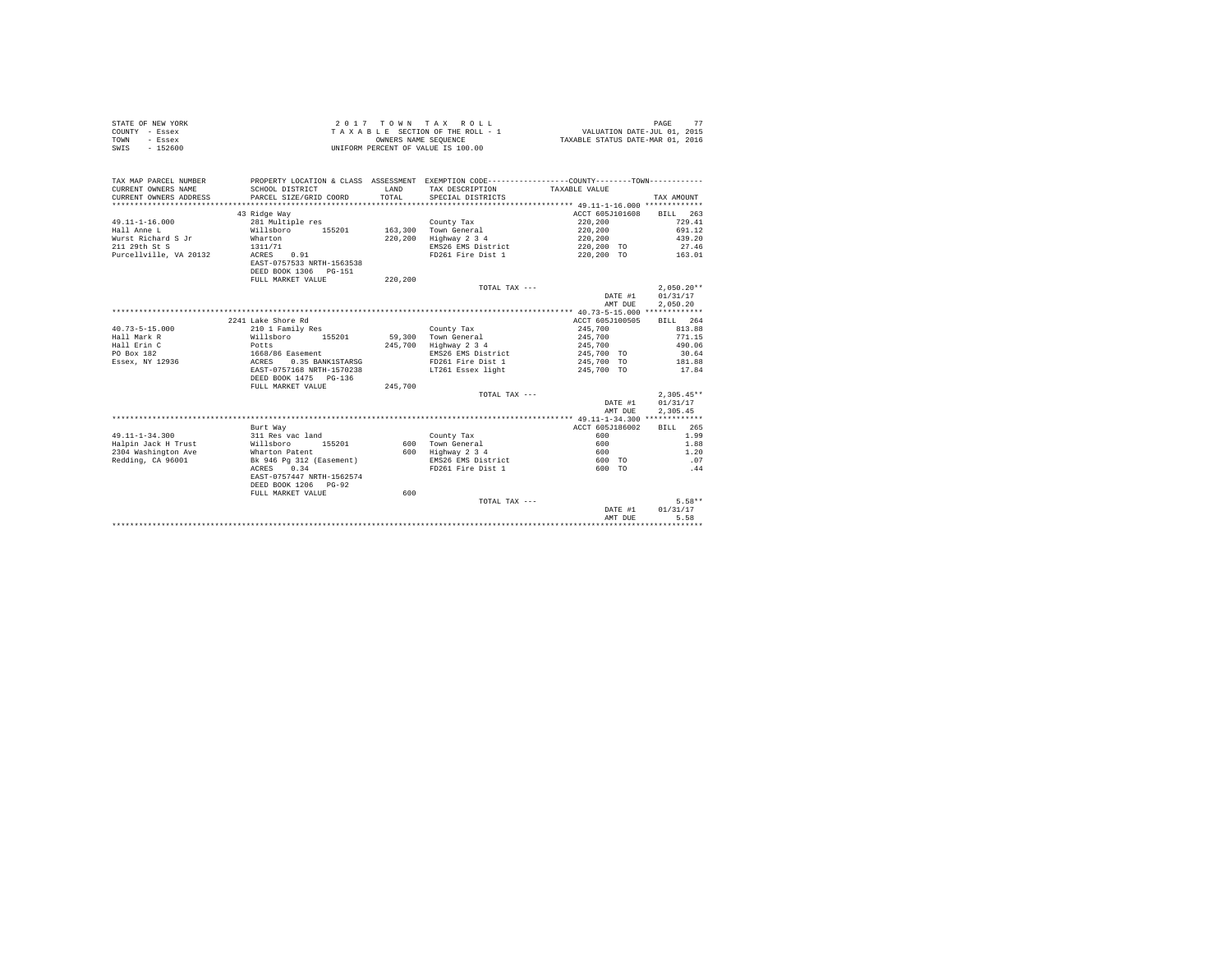| STATE OF NEW YORK | 2017 TOWN TAX ROLL                 | 77<br>PAGE                       |
|-------------------|------------------------------------|----------------------------------|
| COUNTY - Essex    | TAXABLE SECTION OF THE ROLL - 1    | VALUATION DATE-JUL 01, 2015      |
| TOWN<br>- Essex   | OWNERS NAME SEOUENCE               | TAXABLE STATUS DATE-MAR 01, 2016 |
| SWIS<br>$-152600$ | UNIFORM PERCENT OF VALUE IS 100.00 |                                  |

| TAX MAP PARCEL NUMBER<br>CURRENT OWNERS NAME<br>CURRENT OWNERS ADDRESS | SCHOOL DISTRICT<br>PARCEL SIZE/GRID COORD | <b>T.AND</b><br>TOTAL | PROPERTY LOCATION & CLASS ASSESSMENT EXEMPTION CODE---------------COUNTY-------TOWN---------<br>TAX DESCRIPTION<br>SPECIAL DISTRICTS | TAXABLE VALUE   | TAX AMOUNT   |
|------------------------------------------------------------------------|-------------------------------------------|-----------------------|--------------------------------------------------------------------------------------------------------------------------------------|-----------------|--------------|
|                                                                        | 43 Ridge Way                              |                       |                                                                                                                                      | ACCT 605J101608 | BILL 263     |
| $49.11 - 1 - 16.000$                                                   | 281 Multiple res                          |                       | County Tax                                                                                                                           | 220,200         | 729.41       |
| Hall Anne L                                                            | Willsboro<br>155201                       |                       | 163,300 Town General                                                                                                                 | 220,200         | 691.12       |
| Wurst Richard S Jr                                                     | Wharton                                   | 220,200               | Highway 2 3 4                                                                                                                        | 220,200         | 439.20       |
| 211 29th St S                                                          | 1311/71                                   |                       | EMS26 EMS District                                                                                                                   | 220,200 TO      | 27.46        |
| Purcellville, VA 20132                                                 | ACRES 0.91                                |                       | FD261 Fire Dist 1                                                                                                                    | 220.200 TO      | 163.01       |
|                                                                        | EAST-0757533 NRTH-1563538                 |                       |                                                                                                                                      |                 |              |
|                                                                        | DEED BOOK 1306 PG-151                     |                       |                                                                                                                                      |                 |              |
|                                                                        | FULL MARKET VALUE                         | 220,200               |                                                                                                                                      |                 |              |
|                                                                        |                                           |                       | TOTAL TAX ---                                                                                                                        |                 | $2.050.20**$ |
|                                                                        |                                           |                       |                                                                                                                                      | DATE #1         | 01/31/17     |
|                                                                        |                                           |                       |                                                                                                                                      | AMT DUE         | 2,050.20     |
|                                                                        |                                           |                       |                                                                                                                                      |                 |              |
|                                                                        | 2241 Lake Shore Rd                        |                       |                                                                                                                                      | ACCT 605J100505 | BILL 264     |
| $40.73 - 5 - 15.000$                                                   | 210 1 Family Res                          |                       | County Tax                                                                                                                           | 245,700         | 813.88       |
| Hall Mark R                                                            | 155201<br>Willsboro                       | 59,300                | Town General                                                                                                                         | 245,700         | 771.15       |
| Hall Erin C                                                            | Potts                                     |                       | 245,700 Highway 2 3 4                                                                                                                | 245,700         | 490.06       |
| PO Box 182                                                             | 1668/86 Easement                          |                       | EMS26 EMS District                                                                                                                   | 245,700 TO      | 30.64        |
| Essex, NY 12936                                                        | ACRES<br>0.35 BANK1STARSG                 |                       | FD261 Fire Dist 1                                                                                                                    | 245,700 TO      | 181.88       |
|                                                                        | EAST-0757168 NRTH-1570238                 |                       | LT261 Essex light                                                                                                                    | 245,700 TO      | 17.84        |
|                                                                        | DEED BOOK 1475 PG-136                     |                       |                                                                                                                                      |                 |              |
|                                                                        | FULL MARKET VALUE                         | 245,700               |                                                                                                                                      |                 |              |
|                                                                        |                                           |                       | TOTAL TAX ---                                                                                                                        |                 | $2.305.45**$ |
|                                                                        |                                           |                       |                                                                                                                                      | DATE #1         | 01/31/17     |
|                                                                        |                                           |                       |                                                                                                                                      | AMT DUE         | 2,305.45     |
|                                                                        |                                           |                       |                                                                                                                                      |                 |              |
|                                                                        | Burt Way                                  |                       |                                                                                                                                      | ACCT 605J186002 | 265<br>BILL  |
| $49.11 - 1 - 34.300$                                                   | 311 Res vac land                          |                       | County Tax                                                                                                                           | 600             | 1.99         |
| Halpin Jack H Trust                                                    | Willsboro<br>155201                       | 600                   | Town General                                                                                                                         | 600             | 1.88         |
| 2304 Washington Ave                                                    | Wharton Patent                            | 600                   | Highway 2 3 4                                                                                                                        | 600             | 1.20         |
| Redding, CA 96001                                                      | Bk 946 Pg 312 (Easement)                  |                       | EMS26 EMS District                                                                                                                   | 600 TO          | .07          |
|                                                                        | ACRES 0.34                                |                       | FD261 Fire Dist 1                                                                                                                    | 600 TO          | .44          |
|                                                                        | EAST-0757447 NRTH-1562574                 |                       |                                                                                                                                      |                 |              |
|                                                                        | DEED BOOK 1206 PG-92                      |                       |                                                                                                                                      |                 |              |
|                                                                        | FULL MARKET VALUE                         | 600                   |                                                                                                                                      |                 |              |
|                                                                        |                                           |                       | TOTAL TAX ---                                                                                                                        |                 | $5.58**$     |
|                                                                        |                                           |                       |                                                                                                                                      | DATE #1         | 01/31/17     |
|                                                                        |                                           |                       |                                                                                                                                      | AMT DUE         | 5.58         |
|                                                                        |                                           |                       |                                                                                                                                      |                 |              |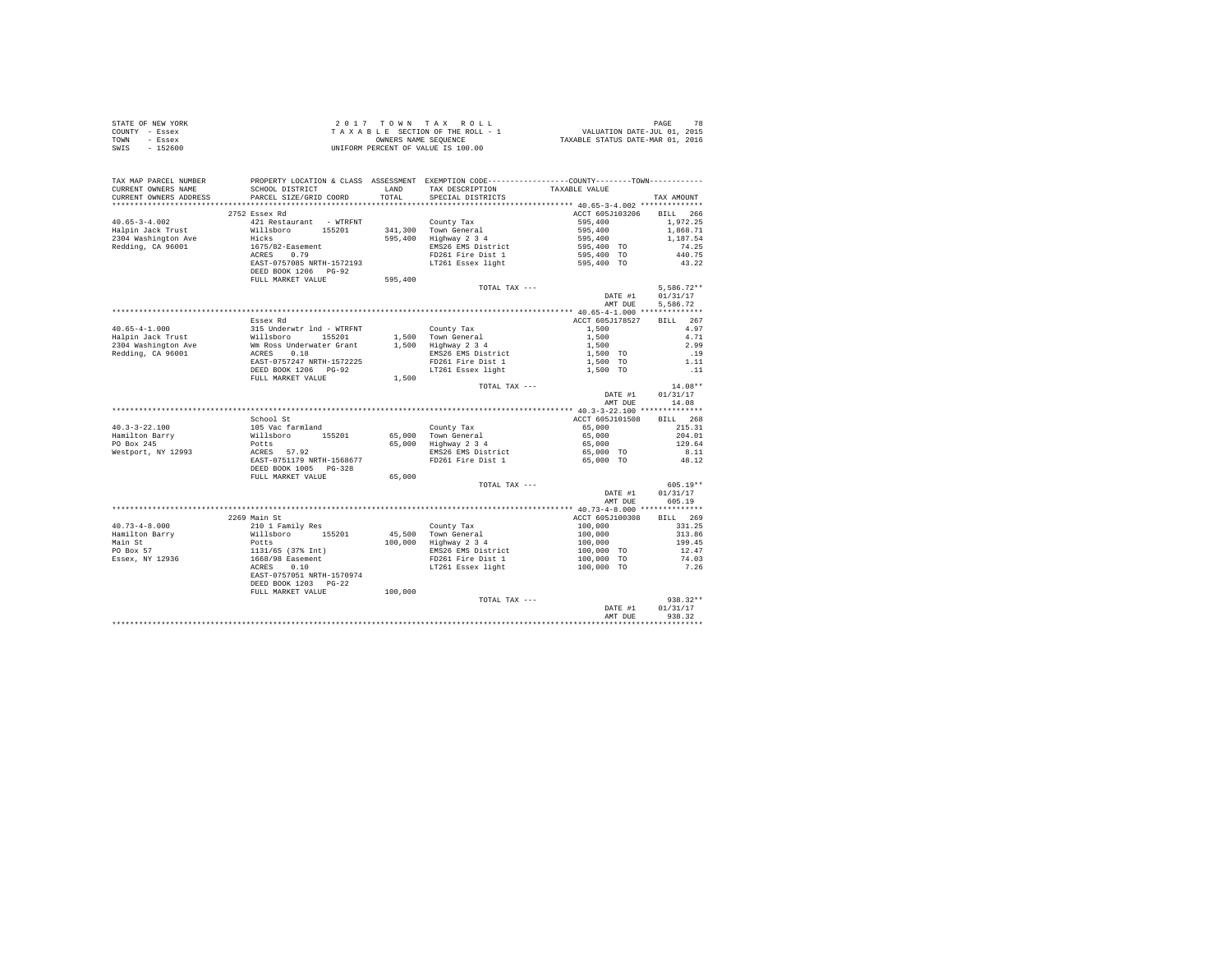|                | STATE OF NEW YORK | 2017 TOWN TAX ROLL                 | PAGE                             |
|----------------|-------------------|------------------------------------|----------------------------------|
| COUNTY - Essex |                   | TAXABLE SECTION OF THE ROLL - 1    | VALUATION DATE-JUL 01, 2015      |
| TOWN           | - Essex           | OWNERS NAME SEOUENCE               | TAXABLE STATUS DATE-MAR 01, 2016 |
| SWIS           | - 152600          | UNIFORM PERCENT OF VALUE IS 100.00 |                                  |

| TAX MAP PARCEL NUMBER<br>CURRENT OWNERS NAME | PROPERTY LOCATION & CLASS ASSESSMENT EXEMPTION CODE---------------COUNTY-------TOWN----------<br>SCHOOL DISTRICT     | LAND    | TAX DESCRIPTION                              | TAXABLE VALUE                                  |              |
|----------------------------------------------|----------------------------------------------------------------------------------------------------------------------|---------|----------------------------------------------|------------------------------------------------|--------------|
| CURRENT OWNERS ADDRESS                       | PARCEL SIZE/GRID COORD                                                                                               | TOTAL   | SPECIAL DISTRICTS                            |                                                | TAX AMOUNT   |
| *******************                          | **************************                                                                                           |         |                                              |                                                |              |
|                                              | 2752 Essex Rd                                                                                                        |         |                                              | ACCT 605J103206                                | BILL 266     |
| $40.65 - 3 - 4.002$                          | 421 Restaurant - WTRFNT                                                                                              |         | County Tax                                   | 595,400                                        | 1.972.25     |
| Halpin Jack Trust                            | Willsboro<br>155201                                                                                                  |         | 341,300 Town General                         | 595,400<br>595,400<br>595,400 TO<br>595,400 TO | 1,868.71     |
| 2304 Washington Ave                          | Hicks                                                                                                                |         | 595,400 Highway 2 3 4                        |                                                | 1,187.54     |
| Redding, CA 96001                            | 1675/82-Easement                                                                                                     |         | EMS26 EMS District                           |                                                | 74.25        |
|                                              | ACRES 0.79                                                                                                           |         | FD261 Fire Dist 1                            |                                                | 440.75       |
|                                              | EAST-0757085 NRTH-1572193                                                                                            |         | LT261 Essex light                            | 595,400 TO                                     | 43.22        |
|                                              | DEED BOOK 1206 PG-92                                                                                                 |         |                                              |                                                |              |
|                                              | FULL MARKET VALUE                                                                                                    | 595,400 |                                              |                                                |              |
|                                              |                                                                                                                      |         | TOTAL TAX ---                                |                                                | $5,586.72**$ |
|                                              |                                                                                                                      |         |                                              | DATE #1                                        | 01/31/17     |
|                                              |                                                                                                                      |         |                                              | AMT DUE                                        | 5,586.72     |
|                                              |                                                                                                                      |         |                                              |                                                |              |
|                                              | Essex Rd                                                                                                             |         |                                              | ACCT 605J178527                                | BILL 267     |
| $40.65 - 4 - 1.000$                          | 315 Underwtr 1nd - WTRFNT<br>Willsboro 155201<br>Wm Ross Underwater Grant<br>ACRES 0.18<br>EAST-0757247 NRTH-1572225 |         | County Tax                                   | 1,500                                          | 4.97         |
| Halpin Jack Trust                            |                                                                                                                      |         | 1,500 Town General                           | 1,500                                          | 4.71         |
| 2304 Washington Ave                          |                                                                                                                      |         | 1,500 Highway 2 3 4                          | 1,500                                          | 2.99         |
| Redding, CA 96001                            |                                                                                                                      |         | EMS26 EMS District                           | 1,500 TO                                       | .19          |
|                                              |                                                                                                                      |         | FD261 Fire Dist 1                            | 1,500 TO                                       | 1.11         |
|                                              | DEED BOOK 1206 PG-92                                                                                                 |         | LT261 Essex light                            | 1,500 TO                                       | $\ldots$ 11  |
|                                              | FULL MARKET VALUE                                                                                                    | 1,500   |                                              |                                                |              |
|                                              |                                                                                                                      |         | TOTAL TAX ---                                |                                                | $14.08**$    |
|                                              |                                                                                                                      |         |                                              | DATE #1                                        | 01/31/17     |
|                                              |                                                                                                                      |         |                                              | AMT DUE                                        | 14.08        |
|                                              |                                                                                                                      |         |                                              |                                                |              |
|                                              | School St                                                                                                            |         |                                              | ACCT 605J101508                                | BILL 268     |
| $40.3 - 3 - 22.100$                          |                                                                                                                      |         | County Tax                                   | 65,000                                         | 215.31       |
| Hamilton Barry                               | 105 Vac farmland<br>Willsboro 155201<br>Potts<br>ACRES 57.92                                                         |         |                                              | 65,000                                         | 204.01       |
| PO Box 245                                   |                                                                                                                      |         | 65,000 Town General<br>65,000 Highway 2 3 4  | 65,000                                         | 129.64       |
| Westport, NY 12993                           |                                                                                                                      |         | EMS26 EMS District                           | 65,000 TO                                      | 8.11         |
|                                              | EAST-0751179 NRTH-1568677                                                                                            |         | FD261 Fire Dist 1                            | 65,000 TO                                      | 48.12        |
|                                              | DEED BOOK 1005 PG-328                                                                                                |         |                                              |                                                |              |
|                                              | FULL MARKET VALUE                                                                                                    | 65,000  |                                              |                                                |              |
|                                              |                                                                                                                      |         | TOTAL TAX ---                                |                                                | $605.19**$   |
|                                              |                                                                                                                      |         |                                              | DATE #1                                        | 01/31/17     |
|                                              |                                                                                                                      |         |                                              | AMT DUE                                        | 605.19       |
|                                              |                                                                                                                      |         |                                              |                                                |              |
|                                              | 2269 Main St                                                                                                         |         |                                              | ACCT 605J100308                                | BILL 269     |
| $40.73 - 4 - 8.000$                          | 210 1 Family Res                                                                                                     |         |                                              | 100,000                                        | 331.25       |
|                                              |                                                                                                                      |         | County Tax                                   |                                                |              |
| Hamilton Barry                               | willshoro 155201<br>Potts<br>131/65 (37% Int)<br>1668/98 Easement<br>ACRES 0.10                                      |         | 45,500 Town General<br>100,000 Highway 2 3 4 | $100,000$<br>$100,000$                         | 313.86       |
| Main St<br>PO Box 57                         |                                                                                                                      |         |                                              |                                                | 199.45       |
|                                              |                                                                                                                      |         | EMS26 EMS District                           | 100,000 TO                                     | 12.47        |
| Essex, NY 12936                              |                                                                                                                      |         | FD261 Fire Dist 1                            | 100,000 TO                                     | 74.03        |
|                                              |                                                                                                                      |         | LT261 Essex light                            | 100,000 TO                                     | 7.26         |
|                                              | EAST-0757051 NRTH-1570974                                                                                            |         |                                              |                                                |              |
|                                              | DEED BOOK 1203 PG-22                                                                                                 |         |                                              |                                                |              |
|                                              | FULL MARKET VALUE                                                                                                    | 100,000 |                                              |                                                |              |
|                                              |                                                                                                                      |         | TOTAL TAX ---                                |                                                | 938.32**     |
|                                              |                                                                                                                      |         |                                              | DATE #1                                        | 01/31/17     |
|                                              |                                                                                                                      |         |                                              | AMT DUE                                        | 938.32       |
|                                              |                                                                                                                      |         |                                              |                                                |              |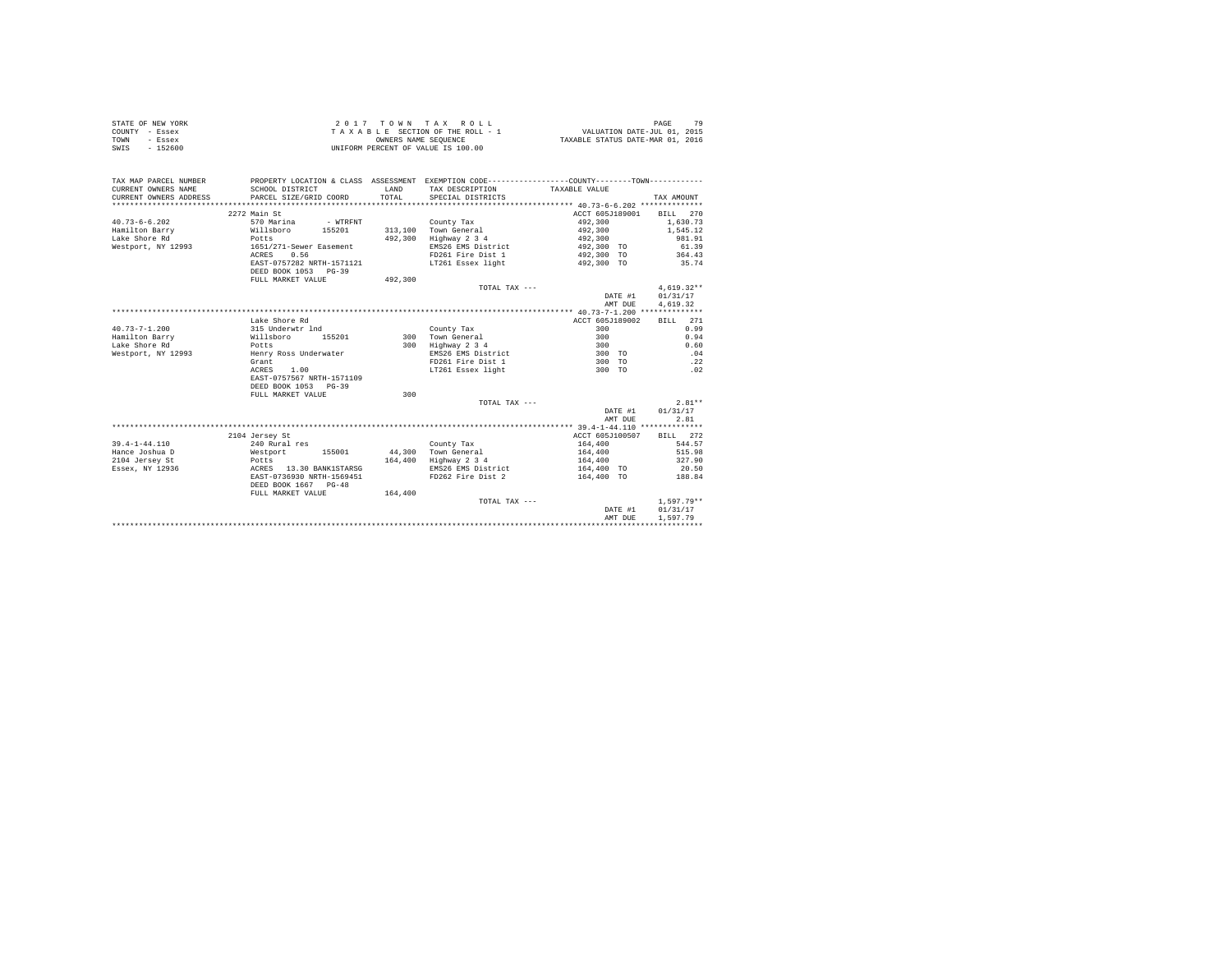|                | STATE OF NEW YORK | 2017 TOWN TAX ROLL                 | PAGE                             |
|----------------|-------------------|------------------------------------|----------------------------------|
| COUNTY - Essex |                   | TAXABLE SECTION OF THE ROLL - 1    | VALUATION DATE-JUL 01, 2015      |
| TOWN           | - Essex           | OWNERS NAME SEOUENCE               | TAXABLE STATUS DATE-MAR 01, 2016 |
| SWIS           | $-152600$         | UNIFORM PERCENT OF VALUE IS 100.00 |                                  |

| TAX MAP PARCEL NUMBER<br>CURRENT OWNERS NAME<br>CURRENT OWNERS ADDRESS | SCHOOL DISTRICT<br>PARCEL SIZE/GRID COORD | LAND<br>TOTAL. | PROPERTY LOCATION & CLASS ASSESSMENT EXEMPTION CODE----------------COUNTY--------TOWN----------<br>TAX DESCRIPTION TAXABLE VALUE<br>SPECIAL DISTRICTS |                            | TAX AMOUNT         |
|------------------------------------------------------------------------|-------------------------------------------|----------------|-------------------------------------------------------------------------------------------------------------------------------------------------------|----------------------------|--------------------|
|                                                                        | 2272 Main St                              |                |                                                                                                                                                       | ACCT 605J189001            | BILL 270           |
| $40.73 - 6 - 6.202$                                                    | 570 Marina<br>- WTRFNT                    |                | County Tax                                                                                                                                            | 492,300                    | 1,630.73           |
| Hamilton Barry                                                         | Willsboro<br>155201                       |                | 313,100 Town General                                                                                                                                  | 492,300                    | 1,545.12           |
| Lake Shore Rd                                                          | Potts                                     | 492,300        | Highway 2 3 4                                                                                                                                         | 492,300                    | 981.91             |
| Westport, NY 12993                                                     | 1651/271-Sewer Easement                   |                | EMS26 EMS District                                                                                                                                    | 492,300 TO                 | 61.39              |
|                                                                        | 0.56<br>ACRES                             |                | FD261 Fire Dist 1                                                                                                                                     | 492,300 TO                 | 364.43             |
|                                                                        | EAST-0757282 NRTH-1571121                 |                | LT261 Essex light                                                                                                                                     | 492,300 TO                 | 35.74              |
|                                                                        | DEED BOOK 1053 PG-39                      |                |                                                                                                                                                       |                            |                    |
|                                                                        | FULL MARKET VALUE                         | 492,300        |                                                                                                                                                       |                            |                    |
|                                                                        |                                           |                | TOTAL TAX ---                                                                                                                                         |                            | $4,619.32**$       |
|                                                                        |                                           |                |                                                                                                                                                       | DATE #1                    | 01/31/17           |
|                                                                        |                                           |                |                                                                                                                                                       | AMT DUE                    | 4,619.32           |
|                                                                        |                                           |                |                                                                                                                                                       |                            |                    |
|                                                                        | Lake Shore Rd                             |                |                                                                                                                                                       | ACCT 605J189002            | BILL 271           |
| $40.73 - 7 - 1.200$                                                    | 315 Underwtr 1nd                          |                | County Tax                                                                                                                                            | 300                        | 0.99               |
| Hamilton Barry                                                         | Willsboro<br>155201                       | 300            | Town General                                                                                                                                          | 300                        | 0.94               |
| Lake Shore Rd                                                          | Potts                                     |                | 300 Highway 2 3 4                                                                                                                                     | 300                        | 0.60               |
| Westport, NY 12993                                                     | Henry Ross Underwater                     |                | EMS26 EMS District                                                                                                                                    | 300 TO                     | .04                |
|                                                                        | Grant                                     |                | FD261 Fire Dist 1                                                                                                                                     | 300 TO                     | .22                |
|                                                                        | 1.00<br>ACRES                             |                | LT261 Essex light                                                                                                                                     | 300 TO                     | .02                |
|                                                                        | EAST-0757567 NRTH-1571109                 |                |                                                                                                                                                       |                            |                    |
|                                                                        | DEED BOOK 1053 PG-39                      |                |                                                                                                                                                       |                            |                    |
|                                                                        | FULL MARKET VALUE                         | 300            |                                                                                                                                                       |                            |                    |
|                                                                        |                                           |                |                                                                                                                                                       |                            | $2.81**$           |
|                                                                        |                                           |                | TOTAL TAX ---                                                                                                                                         | DATE #1                    | 01/31/17           |
|                                                                        |                                           |                |                                                                                                                                                       |                            |                    |
|                                                                        |                                           |                |                                                                                                                                                       | AMT DUE                    | 2.81               |
|                                                                        |                                           |                |                                                                                                                                                       |                            |                    |
| $39.4 - 1 - 44.110$                                                    | 2104 Jersey St<br>240 Rural res           |                |                                                                                                                                                       | ACCT 605J100507<br>164,400 | BILL 272<br>544.57 |
| Hance Joshua D                                                         | Westport                                  |                | County Tax<br>44.300 Town General                                                                                                                     |                            | 515.98             |
|                                                                        | 155001                                    |                |                                                                                                                                                       | 164,400                    | 327.90             |
| 2104 Jersey St                                                         | Potts                                     |                | 164,400 Highway 2 3 4                                                                                                                                 | 164,400                    |                    |
| Essex, NY 12936                                                        | ACRES 13.30 BANK1STARSG                   |                | EMS26 EMS District                                                                                                                                    | 164,400 TO                 | 20.50              |
|                                                                        | EAST-0736930 NRTH-1569451                 |                | FD262 Fire Dist 2                                                                                                                                     | 164,400 TO                 | 188.84             |
|                                                                        | DEED BOOK 1667 PG-48                      |                |                                                                                                                                                       |                            |                    |
|                                                                        | FULL MARKET VALUE                         | 164,400        |                                                                                                                                                       |                            |                    |
|                                                                        |                                           |                | TOTAL TAX ---                                                                                                                                         |                            | $1.597.79**$       |
|                                                                        |                                           |                |                                                                                                                                                       | DATE #1                    | 01/31/17           |
|                                                                        |                                           |                |                                                                                                                                                       | AMT DUE                    | 1.597.79           |
|                                                                        |                                           |                |                                                                                                                                                       |                            |                    |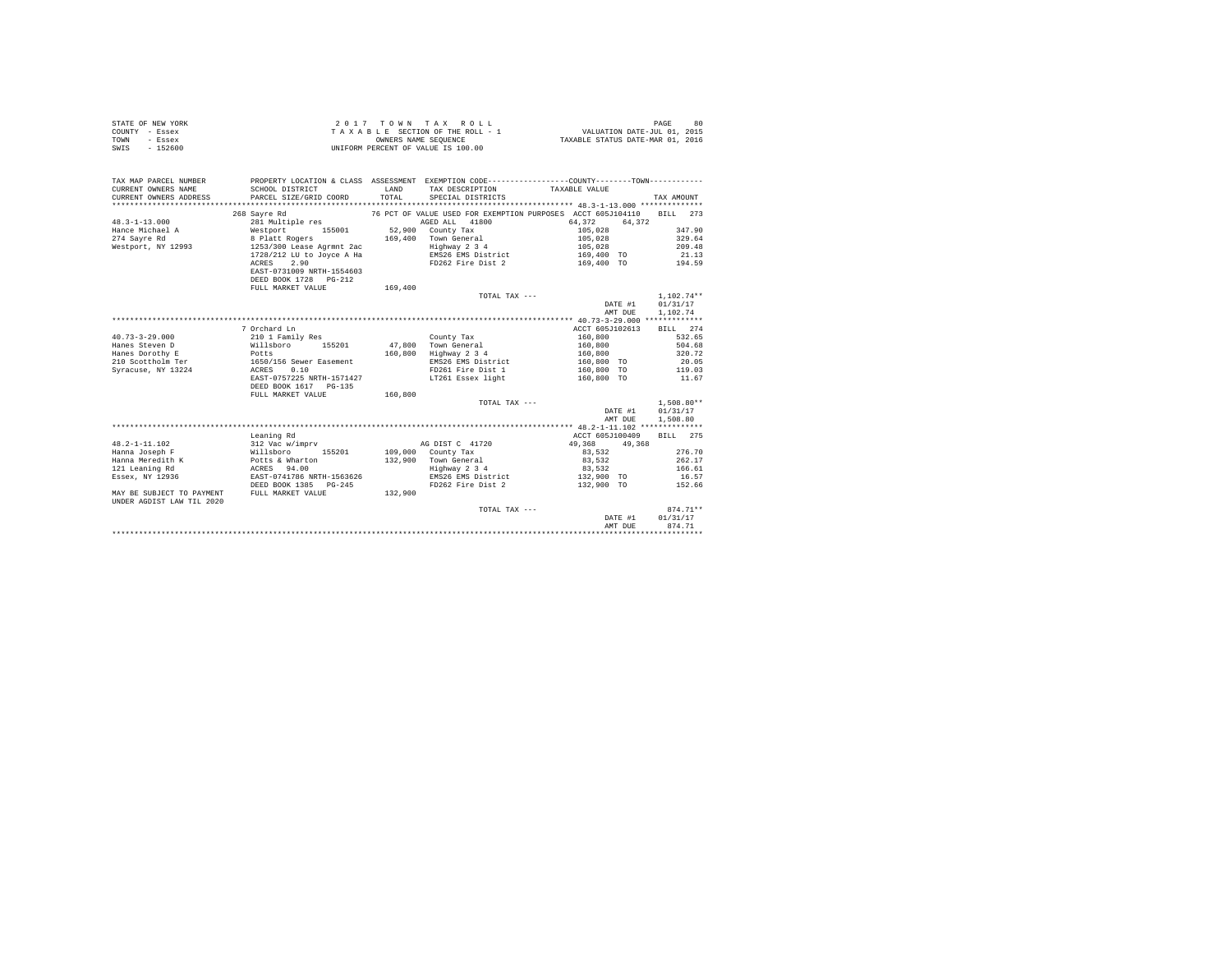| STATE OF NEW YORK<br>COUNTY - Essex<br>TOWN<br>- Essex<br>$-152600$<br>SWIS |                           | OWNERS NAME SEOUENCE | 2017 TOWN TAX ROLL<br>TAXABLE SECTION OF THE ROLL - 1<br>UNIFORM PERCENT OF VALUE IS 100.00 | VALUATION DATE-JUL 01, 2015<br>TAXABLE STATUS DATE-MAR 01, 2016                                                | PAGE<br>80           |
|-----------------------------------------------------------------------------|---------------------------|----------------------|---------------------------------------------------------------------------------------------|----------------------------------------------------------------------------------------------------------------|----------------------|
| TAX MAP PARCEL NUMBER<br>CURRENT OWNERS NAME                                | SCHOOL DISTRICT           | LAND                 | TAX DESCRIPTION                                                                             | PROPERTY LOCATION & CLASS ASSESSMENT EXEMPTION CODE---------------COUNTY-------TOWN----------<br>TAXABLE VALUE |                      |
| CURRENT OWNERS ADDRESS<br>*************************                         | PARCEL SIZE/GRID COORD    | TOTAL                | SPECIAL DISTRICTS                                                                           |                                                                                                                | TAX AMOUNT           |
|                                                                             | 268 Sayre Rd              |                      |                                                                                             | 76 PCT OF VALUE USED FOR EXEMPTION PURPOSES ACCT 605J104110                                                    | <b>BILL</b><br>273   |
| $48.3 - 1 - 13.000$                                                         | 281 Multiple res          |                      | AGED ALL 41800                                                                              | 64.372<br>64.372                                                                                               |                      |
| Hance Michael A                                                             | Westport 155001           | 52,900               | County Tax                                                                                  | 105,028                                                                                                        | 347.90               |
| 274 Savre Rd                                                                | 8 Platt Rogers            | 169,400              | Town General                                                                                | 105,028                                                                                                        | 329.64               |
| Westport, NY 12993                                                          | 1253/300 Lease Agrmnt 2ac |                      | Highway 2 3 4                                                                               | 105,028                                                                                                        | 209.48               |
|                                                                             | 1728/212 LU to Joyce A Ha |                      | EMS26 EMS District                                                                          | 169,400 TO                                                                                                     | 21.13                |
|                                                                             | 2.90<br>ACRES             |                      | FD262 Fire Dist 2                                                                           | 169,400 TO                                                                                                     | 194.59               |
|                                                                             | EAST-0731009 NRTH-1554603 |                      |                                                                                             |                                                                                                                |                      |
|                                                                             | DEED BOOK 1728 PG-212     |                      |                                                                                             |                                                                                                                |                      |
|                                                                             | FULL MARKET VALUE         | 169,400              |                                                                                             |                                                                                                                |                      |
|                                                                             |                           |                      | TOTAL TAX ---                                                                               | DATE #1                                                                                                        | $1.102.74**$         |
|                                                                             |                           |                      |                                                                                             | AMT DUE                                                                                                        | 01/31/17<br>1,102.74 |
|                                                                             |                           |                      |                                                                                             |                                                                                                                |                      |
|                                                                             | 7 Orchard Ln              |                      |                                                                                             | ACCT 605J102613                                                                                                | BILL 274             |
| $40.73 - 3 - 29.000$                                                        | 210 1 Family Res          |                      | County Tax                                                                                  | 160,800                                                                                                        | 532.65               |
| Hanes Steven D                                                              | 155201<br>Willsboro       | 47,800               | Town General                                                                                | 160,800                                                                                                        | 504.68               |
| Hanes Dorothy E                                                             | Potts                     | 160,800              | Highway 2 3 4                                                                               | 160,800                                                                                                        | 320.72               |
| 210 Scottholm Ter                                                           | 1650/156 Sewer Easement   |                      | EMS26 EMS District                                                                          | 160,800 TO                                                                                                     | 20.05                |
| Syracuse, NY 13224                                                          | 0.10<br>ACRES             |                      | FD261 Fire Dist 1                                                                           | 160,800 TO                                                                                                     | 119.03               |
|                                                                             | EAST-0757225 NRTH-1571427 |                      | LT261 Essex light                                                                           | 160,800 TO                                                                                                     | 11.67                |
|                                                                             | DEED BOOK 1617 PG-135     |                      |                                                                                             |                                                                                                                |                      |
|                                                                             | FULL MARKET VALUE         | 160,800              |                                                                                             |                                                                                                                |                      |
|                                                                             |                           |                      | TOTAL TAX ---                                                                               |                                                                                                                | $1,508.80**$         |
|                                                                             |                           |                      |                                                                                             | DATE #1                                                                                                        | 01/31/17             |
|                                                                             |                           |                      |                                                                                             | AMT DUE                                                                                                        | 1,508.80             |
|                                                                             |                           |                      |                                                                                             |                                                                                                                |                      |
|                                                                             | Leaning Rd                |                      |                                                                                             | ACCT 605J100409                                                                                                | BILL 275             |
| $48.2 - 1 - 11.102$                                                         | 312 Vac w/imprv           |                      | AG DIST C 41720                                                                             | 49.368<br>49,368                                                                                               |                      |
| Hanna Joseph F                                                              | Willsboro<br>155201       |                      | 109,000 County Tax                                                                          | 83,532                                                                                                         | 276.70               |
| Hanna Meredith K                                                            | Potts & Wharton           |                      | 132,900 Town General                                                                        | 83.532                                                                                                         | 262.17               |
| 121 Leaning Rd                                                              | ACRES 94.00               |                      | Highway 2 3 4                                                                               | 83,532                                                                                                         | 166.61               |
| Essex, NY 12936                                                             | EAST-0741786 NRTH-1563626 |                      | EMS26 EMS District                                                                          | 132,900 TO                                                                                                     | 16.57                |
|                                                                             | DEED BOOK 1385 PG-245     |                      | FD262 Fire Dist 2                                                                           | 132,900 TO                                                                                                     | 152.66               |
| MAY BE SUBJECT TO PAYMENT<br>UNDER AGDIST LAW TIL 2020                      | FULL MARKET VALUE         | 132,900              |                                                                                             |                                                                                                                |                      |
|                                                                             |                           |                      | TOTAL TAX ---                                                                               |                                                                                                                | $874.71**$           |
|                                                                             |                           |                      |                                                                                             | DATE #1                                                                                                        | 01/31/17             |
|                                                                             |                           |                      |                                                                                             | AMT DUE                                                                                                        | 874.71               |
|                                                                             |                           |                      |                                                                                             |                                                                                                                |                      |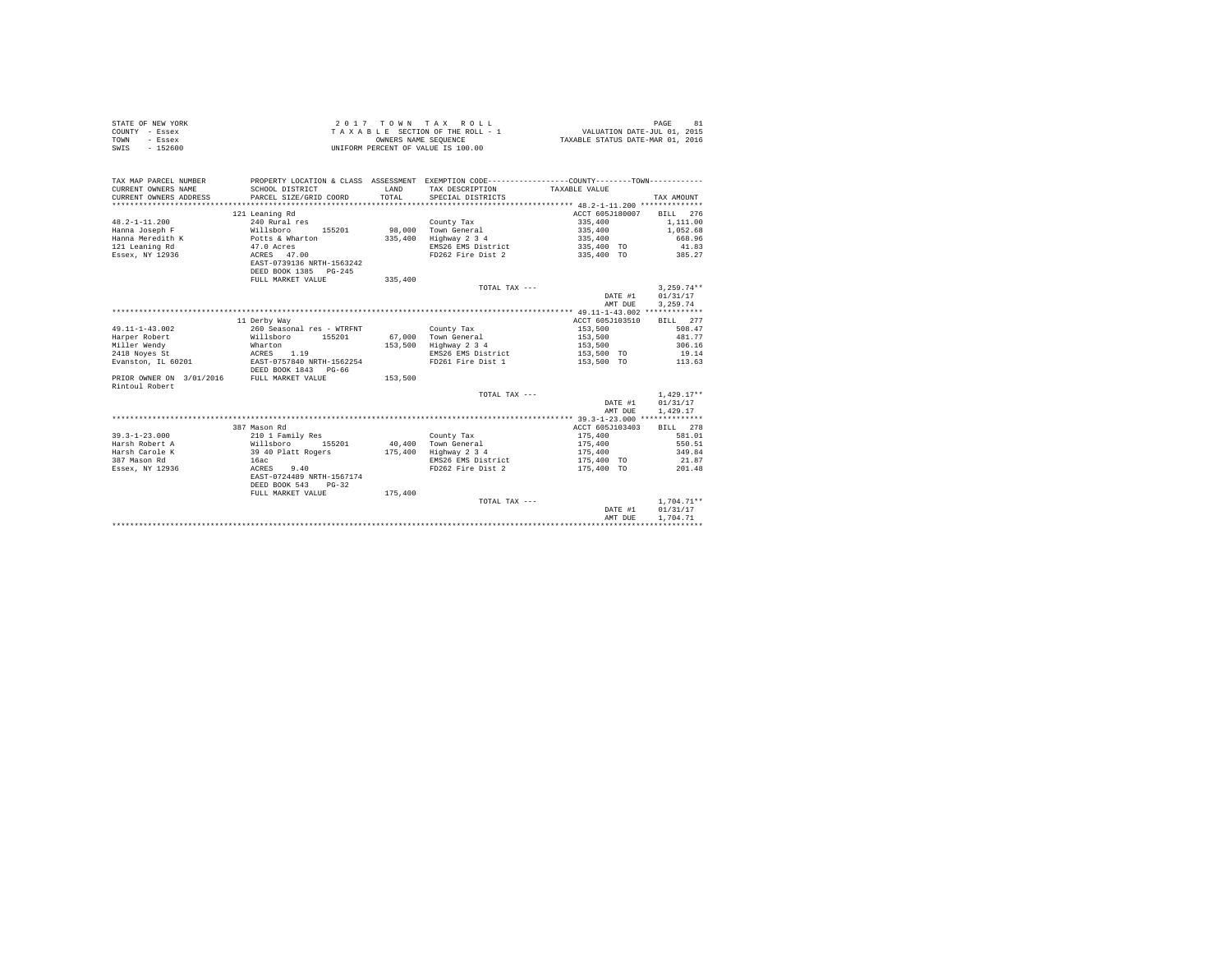| STATE OF NEW YORK | 2017 TOWN TAX ROLL                 | 81<br>PAGE                       |
|-------------------|------------------------------------|----------------------------------|
| COUNTY - Essex    | TAXABLE SECTION OF THE ROLL - 1    | VALUATION DATE-JUL 01, 2015      |
| TOWN<br>- Essex   | OWNERS NAME SEOUENCE               | TAXABLE STATUS DATE-MAR 01, 2016 |
| SWIS<br>$-152600$ | UNIFORM PERCENT OF VALUE IS 100.00 |                                  |

| TAX MAP PARCEL NUMBER<br>CURRENT OWNERS NAME | SCHOOL DISTRICT                           | LAND    | PROPERTY LOCATION & CLASS ASSESSMENT EXEMPTION CODE----------------COUNTY-------TOWN----------<br>TAX DESCRIPTION | TAXABLE VALUE            |              |
|----------------------------------------------|-------------------------------------------|---------|-------------------------------------------------------------------------------------------------------------------|--------------------------|--------------|
| CURRENT OWNERS ADDRESS                       | PARCEL SIZE/GRID COORD                    | TOTAL   | SPECIAL DISTRICTS                                                                                                 |                          | TAX AMOUNT   |
|                                              |                                           |         |                                                                                                                   |                          |              |
|                                              | 121 Leaning Rd                            |         |                                                                                                                   | ACCT 605J180007 BILL 276 |              |
| $48.2 - 1 - 11.200$                          | 240 Rural res                             |         | County Tax                                                                                                        | 335,400                  | 1,111.00     |
| Hanna Joseph F                               | Willsboro                                 |         | 155201 98,000 Town General                                                                                        | 335,400                  | 1,052.68     |
| Hanna Meredith K                             | Potts & Wharton                           | 335,400 | Highway 2 3 4                                                                                                     | 335,400                  | 668.96       |
| 121 Leaning Rd                               |                                           |         | EMS26 EMS District                                                                                                | 335,400 TO               | 41.83        |
| Essex, NY 12936                              | 47.0 Acres<br>ACRES 47.00                 |         | FD262 Fire Dist 2                                                                                                 | 335,400 TO               | 385.27       |
|                                              | EAST-0739136 NRTH-1563242                 |         |                                                                                                                   |                          |              |
|                                              | DEED BOOK 1385 PG-245                     |         |                                                                                                                   |                          |              |
|                                              | FULL MARKET VALUE                         | 335,400 |                                                                                                                   |                          |              |
|                                              |                                           |         | TOTAL TAX ---                                                                                                     |                          | $3.259.74**$ |
|                                              |                                           |         |                                                                                                                   | DATE #1 01/31/17         |              |
|                                              |                                           |         |                                                                                                                   | AMT DUE                  | 3,259.74     |
|                                              |                                           |         |                                                                                                                   |                          |              |
|                                              | 11 Derby Way                              |         |                                                                                                                   | ACCT 605J103510          | BILL 277     |
| $49.11 - 1 - 43.002$                         | 260 Seasonal res - WTRFNT                 |         | County Tax                                                                                                        | 153,500                  | 508.47       |
| Harper Robert                                |                                           |         | 67.000 Town General                                                                                               | 153,500                  | 481.77       |
| Miller Wendy                                 |                                           |         | 153,500 Highway 2 3 4                                                                                             | 153,500                  | 306.16       |
| 2418 Noves St                                | Willsboro 155201<br>Wharton<br>ACRES 1.19 |         | EMS26 EMS District                                                                                                | 153.500 TO 19.14         |              |
| Evanston, IL 60201 EAST-0757840 NRTH-1562254 |                                           |         | FD261 Fire Dist 1                                                                                                 | 153,500 TO 113.63        |              |
|                                              | DEED BOOK 1843 PG-66                      |         |                                                                                                                   |                          |              |
| PRIOR OWNER ON 3/01/2016 FULL MARKET VALUE   |                                           | 153,500 |                                                                                                                   |                          |              |
| Rintoul Robert                               |                                           |         |                                                                                                                   |                          |              |
|                                              |                                           |         | TOTAL TAX ---                                                                                                     |                          | $1,429.17**$ |
|                                              |                                           |         |                                                                                                                   | DATE #1                  | 01/31/17     |
|                                              |                                           |         |                                                                                                                   | AMT DUE                  | 1,429.17     |
|                                              |                                           |         |                                                                                                                   |                          |              |
|                                              | 387 Mason Rd                              |         |                                                                                                                   | ACCT 605J103403          | BILL 278     |
| $39.3 - 1 - 23.000$                          | 210 1 Family Res                          |         | County Tax                                                                                                        | 175,400                  | 581.01       |
| Harsh Robert A                               | Willsboro<br>$155201$ $40,400$            |         | Town General                                                                                                      | 175,400                  | 550.51       |
| Harsh Carole K                               | 39 40 Platt Rogers 175,400                |         | Highway 2 3 4                                                                                                     | 175,400                  | 349.84       |
| 387 Mason Rd                                 | 16ac                                      |         | EMS26 EMS District                                                                                                | 175,400 TO               | 21.87        |
| Essex, NY 12936                              | ACRES<br>9.40                             |         | FD262 Fire Dist 2                                                                                                 | 175,400 TO               | 201.48       |
|                                              | EAST-0724489 NRTH-1567174                 |         |                                                                                                                   |                          |              |
|                                              | DEED BOOK 543<br>$PG-32$                  |         |                                                                                                                   |                          |              |
|                                              | FULL MARKET VALUE                         | 175,400 |                                                                                                                   |                          |              |
|                                              |                                           |         | TOTAL TAX ---                                                                                                     |                          | $1.704.71**$ |
|                                              |                                           |         |                                                                                                                   | DATE #1                  | 01/31/17     |
|                                              |                                           |         |                                                                                                                   | AMT DUE                  | 1,704.71     |
|                                              |                                           |         |                                                                                                                   |                          |              |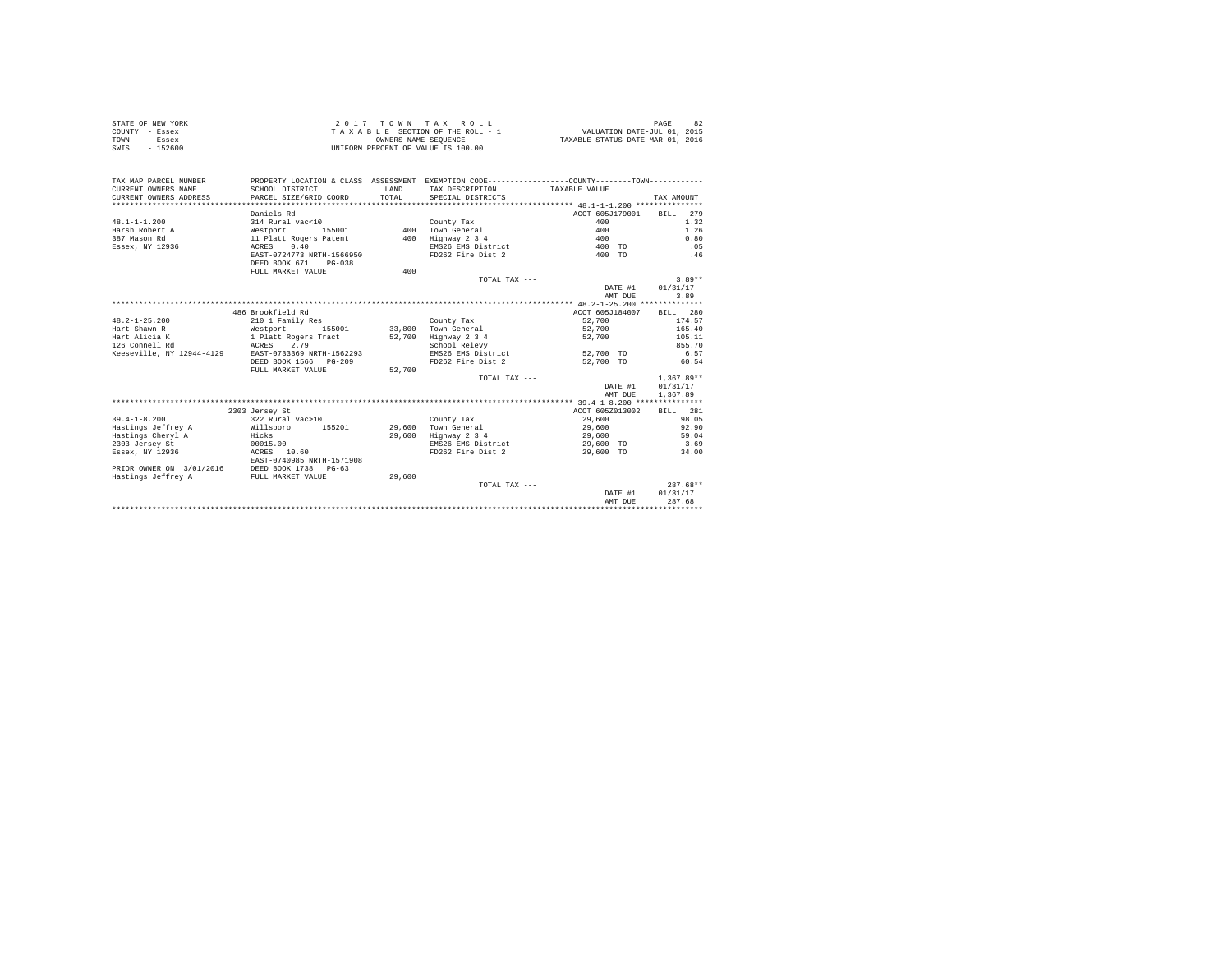| STATE OF NEW YORK<br>COUNTY - Essex<br>TOWN<br>- Essex<br>$-152600$<br>SWIS |                                                   | OWNERS NAME SEQUENCE | 2017 TOWN TAX ROLL<br>TAXABLE SECTION OF THE ROLL - 1<br>UNIFORM PERCENT OF VALUE IS 100.00  | VALUATION DATE-JUL 01, 2015<br>TAXABLE STATUS DATE-MAR 01, 2016 | PAGE<br>82    |
|-----------------------------------------------------------------------------|---------------------------------------------------|----------------------|----------------------------------------------------------------------------------------------|-----------------------------------------------------------------|---------------|
| TAX MAP PARCEL NUMBER                                                       |                                                   |                      | PROPERTY LOCATION & CLASS ASSESSMENT EXEMPTION CODE---------------COUNTY-------TOWN--------- |                                                                 |               |
| CURRENT OWNERS NAME<br>CURRENT OWNERS ADDRESS                               | SCHOOL DISTRICT<br>PARCEL SIZE/GRID COORD         | LAND<br>TOTAL.       | TAX DESCRIPTION<br>SPECIAL DISTRICTS                                                         | TAXABLE VALUE                                                   | TAX AMOUNT    |
|                                                                             |                                                   |                      |                                                                                              |                                                                 |               |
|                                                                             | Daniels Rd                                        |                      |                                                                                              | ACCT 605J179001                                                 | 2.79<br>BTLL  |
| $48.1 - 1 - 1.200$                                                          | 314 Rural vac<10                                  |                      | County Tax                                                                                   | 400                                                             | 1.32          |
| Harsh Robert A                                                              | Westport<br>155001                                |                      | 400 Town General                                                                             | 400                                                             | 1.26          |
| 387 Mason Rd                                                                | 11 Platt Rogers Patent                            | 400                  | Highway 2 3 4                                                                                | 400                                                             | 0.80          |
| Essex, NY 12936                                                             | 0.40<br>ACRES                                     |                      | EMS26 EMS District                                                                           | 400 TO                                                          | .05           |
|                                                                             | EAST-0724773 NRTH-1566950<br>DEED BOOK 671 PG-038 |                      | FD262 Fire Dist 2                                                                            | 400 TO                                                          | .46           |
|                                                                             | FULL MARKET VALUE                                 | 400                  |                                                                                              |                                                                 |               |
|                                                                             |                                                   |                      | TOTAL TAX $---$                                                                              |                                                                 | $3.89**$      |
|                                                                             |                                                   |                      |                                                                                              | DATE #1                                                         | 01/31/17      |
|                                                                             |                                                   |                      |                                                                                              | AMT DUE                                                         | 3.89          |
|                                                                             |                                                   |                      |                                                                                              |                                                                 |               |
|                                                                             | 486 Brookfield Rd                                 |                      |                                                                                              | ACCT 605J184007                                                 | BILL 280      |
| $48.2 - 1 - 25.200$                                                         | 210 1 Family Res                                  |                      | County Tax                                                                                   | 52,700                                                          | 174.57        |
| Hart Shawn R                                                                | Westport<br>155001                                | 33,800               | Town General                                                                                 | 52,700                                                          | 165.40        |
| Hart Alicia K                                                               | 1 Platt Rogers Tract                              | 52,700               | Highway 2 3 4                                                                                | 52,700                                                          | 105.11        |
| 126 Connell Rd                                                              | ACRES<br>2.79                                     |                      | School Relevy                                                                                |                                                                 | 855.70        |
| Keeseville, NY 12944-4129                                                   | EAST-0733369 NRTH-1562293                         |                      | EMS26 EMS District                                                                           | 52,700 TO                                                       | 6.57          |
|                                                                             | DEED BOOK 1566 PG-209                             |                      | FD262 Fire Dist 2                                                                            | 52,700 TO                                                       | 60.54         |
|                                                                             | FULL MARKET VALUE                                 | 52,700               |                                                                                              |                                                                 |               |
|                                                                             |                                                   |                      | TOTAL TAX $---$                                                                              |                                                                 | $1.367.89**$  |
|                                                                             |                                                   |                      |                                                                                              | DATE #1                                                         | 01/31/17      |
|                                                                             |                                                   |                      |                                                                                              | AMT DUE                                                         | 1,367.89      |
|                                                                             |                                                   |                      |                                                                                              |                                                                 |               |
|                                                                             | 2303 Jersey St                                    |                      |                                                                                              | ACCT 605Z013002                                                 | BTT.T. 281    |
| $39.4 - 1 - 8.200$                                                          | 322 Rural vac>10                                  |                      | County Tax                                                                                   | 29,600                                                          | 98.05         |
| Hastings Jeffrey A                                                          | Willsboro<br>155201                               | 29,600               | Town General                                                                                 | 29,600                                                          | 92.90         |
| Hastings Cheryl A                                                           | Hicks<br>00015.00                                 | 29,600               | Highway 2 3 4<br>EMS26 EMS District                                                          | 29,600                                                          | 59.04<br>3.69 |
| 2303 Jersey St<br>Essex, NY 12936                                           | ACRES 10.60                                       |                      | FD262 Fire Dist 2                                                                            | 29,600 TO<br>29,600 TO                                          | 34.00         |
|                                                                             | EAST-0740985 NRTH-1571908                         |                      |                                                                                              |                                                                 |               |
| PRIOR OWNER ON 3/01/2016                                                    | DEED BOOK 1738 PG-63                              |                      |                                                                                              |                                                                 |               |
| Hastings Jeffrey A                                                          | FULL MARKET VALUE                                 | 29,600               | TOTAL TAX ---                                                                                |                                                                 | $287.68**$    |
|                                                                             |                                                   |                      |                                                                                              | DATE #1                                                         | 01/31/17      |
|                                                                             |                                                   |                      |                                                                                              | AMT DUE                                                         | 287.68        |
|                                                                             |                                                   |                      |                                                                                              |                                                                 |               |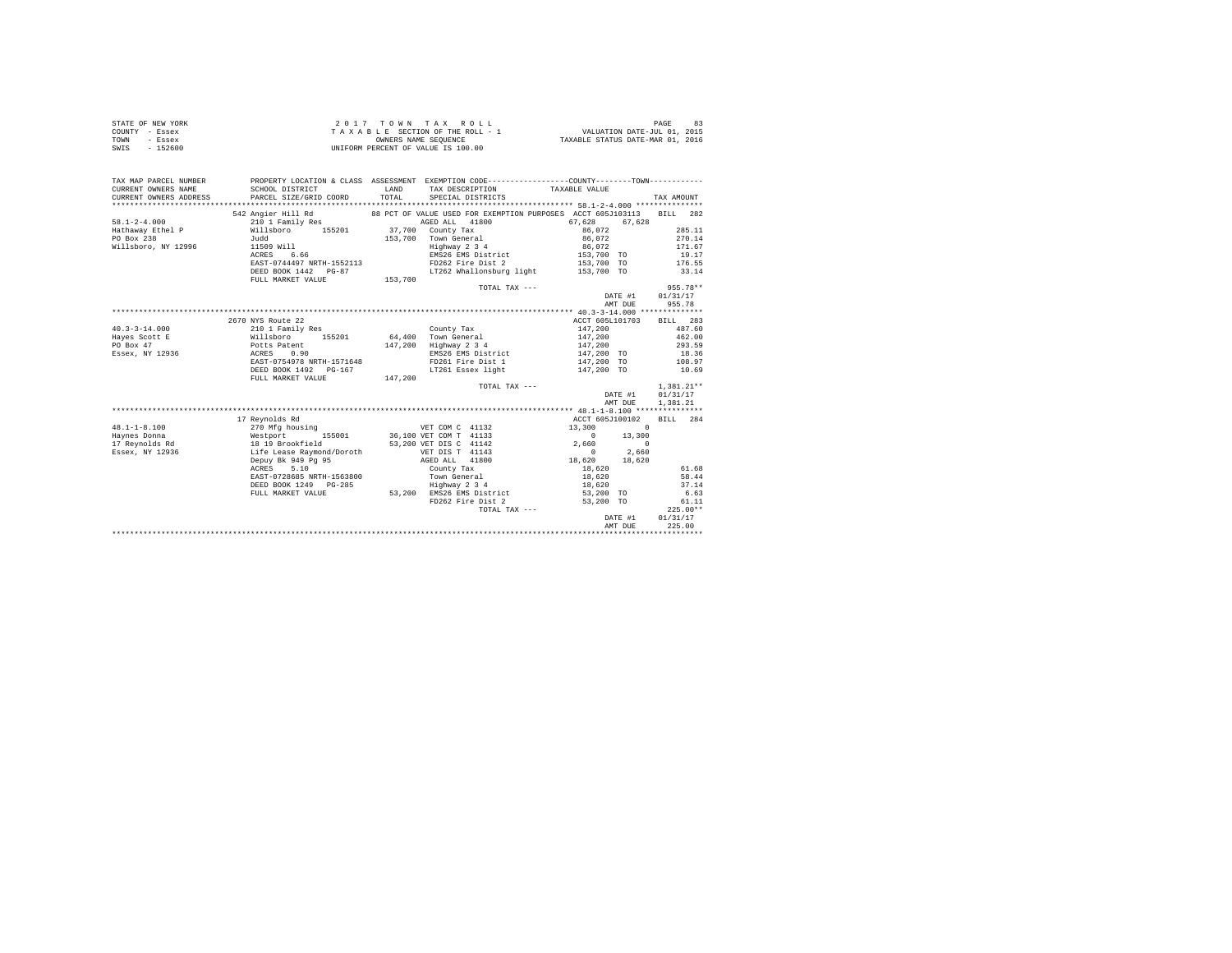| STATE OF NEW YORK<br>COUNTY - Essex<br>TOWN<br>- Essex<br>SWIS - 152600 | 2017 TOWN THE RETION OF THE ROLL - 1<br>TAXABLE SECTION OF THE ROLL - 1<br>UNIFORM PERCENT OF VALUE IS 100.00                                                |       |                                                                                                                                |                               |                     |
|-------------------------------------------------------------------------|--------------------------------------------------------------------------------------------------------------------------------------------------------------|-------|--------------------------------------------------------------------------------------------------------------------------------|-------------------------------|---------------------|
| TAX MAP PARCEL NUMBER                                                   | PROPERTY LOCATION & CLASS ASSESSMENT EXEMPTION CODE----------------COUNTY-------TOWN----------                                                               |       |                                                                                                                                |                               |                     |
| CURRENT OWNERS NAME                                                     | SCHOOL DISTRICT                                                                                                                                              |       | ${\tt LAND} \hspace{1.3cm} {\tt TAX} \hspace{2.3cm} {\tt DESCRIPTION} \hspace{3.3cm} {\tt TAXABLE} \hspace{2.3cm} {\tt VALUE}$ |                               |                     |
| CURRENT OWNERS ADDRESS                                                  | PARCEL SIZE/GRID COORD                                                                                                                                       | TOTAL | SPECIAL DISTRICTS                                                                                                              |                               | TAX AMOUNT          |
|                                                                         | 542 Angier Hill Rd                                                                                                                                           |       | 88 PCT OF VALUE USED FOR EXEMPTION PURPOSES ACCT 605J103113                                                                    |                               | BILL 282            |
| $58.1 - 2 - 4.000$                                                      | 210 1 Family Res                                                                                                                                             |       | AGED ALL 41800                                                                                                                 | 67.628<br>67.628              |                     |
| Hathaway Ethel P                                                        | 2.2.2.1.11sboro 155201 37,700 County Tax<br>Willsboro 155201 37,700 Town General                                                                             |       |                                                                                                                                | 86,072                        | 285.11              |
| PO Box 238                                                              |                                                                                                                                                              |       |                                                                                                                                | 86,072                        | 270.14              |
| Willsboro, NY 12996                                                     | 11509 Will<br>ACRES 6.66                                                                                                                                     |       | 153,700 Town General<br>Highway 2 3 4                                                                                          | 86.072                        | 171.67              |
|                                                                         |                                                                                                                                                              |       | EMS26 EMS District                                                                                                             | 153,700 TO                    | 19.17               |
|                                                                         | EAST-0744497 NRTH-1552113                                                                                                                                    |       | FD262 Fire Dist 2                                                                                                              | 153,700 TO                    | 176.55              |
|                                                                         | DEED BOOK 1442 PG-87                                                                                                                                         |       | LT262 Whallonsburg light                                                                                                       | 153,700 TO                    | 33.14               |
|                                                                         | FULL MARKET VALUE 153,700                                                                                                                                    |       |                                                                                                                                |                               |                     |
|                                                                         |                                                                                                                                                              |       | TOTAL TAX ---                                                                                                                  |                               | $955.78**$          |
|                                                                         |                                                                                                                                                              |       |                                                                                                                                | DATE #1                       | 01/31/17            |
|                                                                         |                                                                                                                                                              |       |                                                                                                                                | AMT DUE                       | 955.78              |
|                                                                         |                                                                                                                                                              |       |                                                                                                                                |                               |                     |
|                                                                         | 2670 NYS Route 22                                                                                                                                            |       |                                                                                                                                | ACCT 605L101703               | BILL 283            |
| $40.3 - 3 - 14.000$                                                     | 210 1 Family Res                                                                                                                                             |       | County Tax                                                                                                                     |                               | 487.60              |
| Hayes Scott E                                                           | Nillaboro 155201 64,400 Town General<br>Potts Patent 147,200 Highway 2 3 4<br>ACRES 0.90 EMPLE 200 EMPLE 2016<br>EAST-0754978 NRTH-1571648 FD261 Fire Dist 1 |       |                                                                                                                                | 147,200<br>147,200<br>147,200 | 462.00              |
| PO Box 47                                                               |                                                                                                                                                              |       |                                                                                                                                |                               | 293.59              |
| Essex, NY 12936                                                         |                                                                                                                                                              |       | EMS26 EMS District                                                                                                             | 147,200 TO                    | 18.36               |
|                                                                         | DEED BOOK 1492    PG-167                                                                                                                                     |       | EMS20 EMS Allo<br>FD261 Fire Dist 1<br>In Theory Light                                                                         | 147,200 TO                    | 108.97<br>10.69     |
|                                                                         | FULL MARKET VALUE 147.200                                                                                                                                    |       | LT261 Essex light 147,200 TO                                                                                                   |                               |                     |
|                                                                         |                                                                                                                                                              |       | TOTAL TAX ---                                                                                                                  |                               | $1.381.21**$        |
|                                                                         |                                                                                                                                                              |       |                                                                                                                                | DATE #1                       | 01/31/17            |
|                                                                         |                                                                                                                                                              |       |                                                                                                                                | AMT DUE                       | 1,381.21            |
|                                                                         |                                                                                                                                                              |       |                                                                                                                                |                               |                     |
|                                                                         | 17 Reynolds Rd                                                                                                                                               |       |                                                                                                                                | ACCT 605J100102               | BILL 284            |
| $48.1 - 1 - 8.100$                                                      | NET COM C 41132<br>Nestport 155001 36,100 VET COM T 41133<br>18 19 Brookfield 53,200 VET DIS C 41142<br>16 De Race Raymond/Doroth VET DIS T 41143            |       |                                                                                                                                | 13,300<br>$\sim$ 0            |                     |
| Haynes Donna                                                            |                                                                                                                                                              |       |                                                                                                                                | $\sim$ 0<br>13,300            |                     |
| 17 Reynolds Rd                                                          |                                                                                                                                                              |       |                                                                                                                                | 2,660<br>$\sim$ 0             |                     |
| Essex, NY 12936                                                         |                                                                                                                                                              |       |                                                                                                                                | 2,660<br>$\sim$ 0             |                     |
|                                                                         | Depuy Bk 949 Pg 95<br>ACRES 5.10                                                                                                                             |       | AGED ALL 41800                                                                                                                 | $18,620$ $18,620$             |                     |
|                                                                         | ACRES 5.10                                                                                                                                                   |       | County Tax                                                                                                                     | 18,620                        | 61.68               |
|                                                                         | EAST-0728685 NRTH-1563800                                                                                                                                    |       | Town General<br>Highway 2 3 4                                                                                                  | 18,620                        | 58.44               |
|                                                                         | DEED BOOK 1249 PG-285                                                                                                                                        |       |                                                                                                                                | 18,620                        | 37.14               |
|                                                                         | FULL MARKET VALUE                                                                                                                                            |       | 53,200 EMS26 EMS District                                                                                                      | 53,200 TO                     | 6.63                |
|                                                                         |                                                                                                                                                              |       | FD262 Fire Dist 2<br>TOTAL TAX ---                                                                                             | 53,200 TO                     | 61.11<br>$225.00**$ |
|                                                                         |                                                                                                                                                              |       |                                                                                                                                | DATE #1                       | 01/31/17            |
|                                                                         |                                                                                                                                                              |       |                                                                                                                                | AMT DUE                       | 225.00              |
|                                                                         |                                                                                                                                                              |       |                                                                                                                                |                               |                     |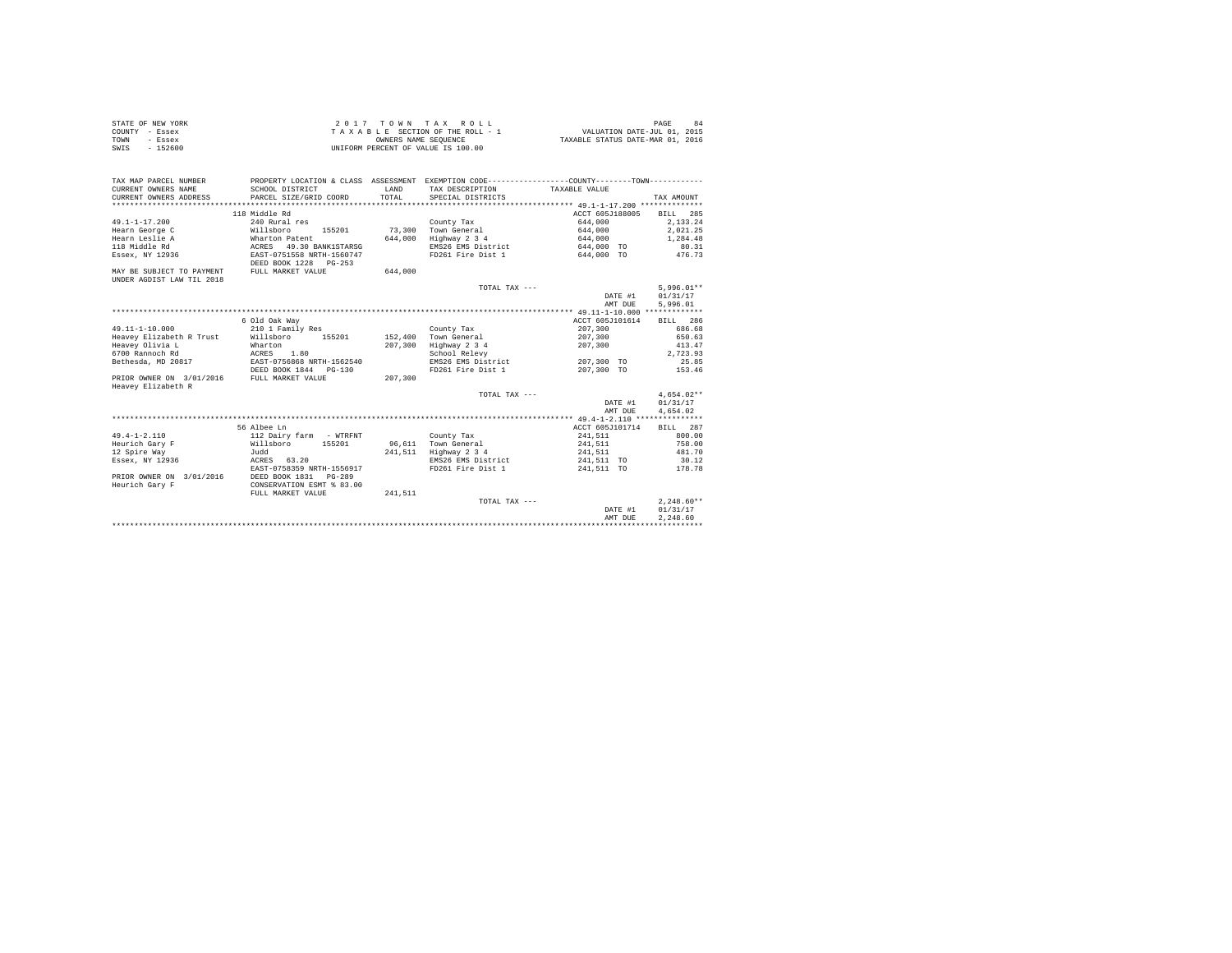| STATE OF NEW YORK | 2017 TOWN TAX ROLL                 | PAGE                             |
|-------------------|------------------------------------|----------------------------------|
| COUNTY - Essex    | TAXABLE SECTION OF THE ROLL - 1    | VALUATION DATE-JUL 01, 2015      |
| TOWN<br>- Essex   | OWNERS NAME SEOUENCE               | TAXABLE STATUS DATE-MAR 01, 2016 |
| $-152600$<br>SWIS | UNIFORM PERCENT OF VALUE IS 100.00 |                                  |

| TAX MAP PARCEL NUMBER                       | PROPERTY LOCATION & CLASS ASSESSMENT EXEMPTION CODE----------------COUNTY-------TOWN---------- |              |                            |                          |              |
|---------------------------------------------|------------------------------------------------------------------------------------------------|--------------|----------------------------|--------------------------|--------------|
| CURRENT OWNERS NAME                         | SCHOOL DISTRICT                                                                                | <b>T.AND</b> | TAX DESCRIPTION            | TAXABLE VALUE            |              |
|                                             | CURRENT OWNERS ADDRESS PARCEL SIZE/GRID COORD                                                  | TOTAL        | SPECIAL DISTRICTS          |                          | TAX AMOUNT   |
|                                             |                                                                                                |              |                            |                          |              |
|                                             | 118 Middle Rd                                                                                  |              |                            | ACCT 605J188005 BILL 285 |              |
| 49.1-1-17.200                               | 240 Rural res                                                                                  |              | County Tax                 | 644,000                  | 2.133.24     |
| Hearn George C                              | Willsboro                                                                                      |              | 155201 73.300 Town General | 644,000 2,021.25         |              |
| Hearn Leslie A                              | Wharton Patent                                                                                 |              | 644,000 Highway 2 3 4      | 644,000                  | 1,284.48     |
| 118 Middle Rd                               | ACRES 49.30 BANK1STARSG                                                                        |              | EMS26 EMS District         | 644,000 TO               | 80.31        |
| Essex, NY 12936                             | EAST-0751558 NRTH-1560747                                                                      |              | FD261 Fire Dist 1          | 644,000 TO               | 476.73       |
|                                             | DEED BOOK 1228 PG-253                                                                          |              |                            |                          |              |
| MAY BE SUBJECT TO PAYMENT FULL MARKET VALUE |                                                                                                | 644,000      |                            |                          |              |
| UNDER AGDIST LAW TIL 2018                   |                                                                                                |              |                            |                          |              |
|                                             |                                                                                                |              | TOTAL TAX ---              |                          | $5.996.01**$ |
|                                             |                                                                                                |              |                            | DATE #1                  | 01/31/17     |
|                                             |                                                                                                |              |                            | AMT DUE                  | 5,996.01     |
|                                             |                                                                                                |              |                            |                          |              |
|                                             | 6 Old Oak Way                                                                                  |              |                            | ACCT 605J101614          | BILL 286     |
| 49.11-1-10.000                              | 210 1 Family Res                                                                               |              | County Tax                 | 207,300                  | 686.68       |
|                                             | Heavey Elizabeth R Trust         Willsboro         155201             152,400     Town General |              |                            | 207,300                  | 650.63       |
| Heavev Olivia L                             | Wharton                                                                                        |              | 207,300 Highway 2 3 4      | 207,300                  | 413.47       |
| 6700 Rannoch Rd                             | ACRES 1.80                                                                                     |              | School Relevy              |                          | 2,723.93     |
|                                             |                                                                                                |              | EMS26 EMS District         | 207,300 TO               | 25.85        |
|                                             | DEED BOOK 1844 PG-130                                                                          |              | FD261 Fire Dist 1          | 207,300 TO               | 153.46       |
| PRIOR OWNER ON 3/01/2016 FULL MARKET VALUE  |                                                                                                | 207,300      |                            |                          |              |
| Heavev Elizabeth R                          |                                                                                                |              |                            |                          |              |
|                                             |                                                                                                |              | TOTAL TAX ---              |                          | $4.654.02**$ |
|                                             |                                                                                                |              |                            | DATE #1                  | 01/31/17     |
|                                             |                                                                                                |              |                            | AMT DUE                  | 4,654.02     |
|                                             |                                                                                                |              |                            |                          |              |
|                                             | 56 Albee Ln                                                                                    |              |                            | ACCT 605J101714          | BILL 287     |
| $49.4 - 1 - 2.110$                          | 112 Dairy farm - WTRFNT                                                                        |              | County Tax                 | 241,511                  | 800.00       |
| Heurich Garv F                              | Willsboro 155201                                                                               |              | 96.611 Town General        | 241,511                  | 758.00       |
| 12 Spire Way                                | Judd                                                                                           |              | 241,511 Highway 2 3 4      | 241,511                  | 481.70       |
| Essex, NY 12936                             | ACRES 63.20                                                                                    |              | EMS26 EMS District         | 241,511 TO               | 30.12        |
|                                             | EAST-0758359 NRTH-1556917                                                                      |              | FD261 Fire Dist 1          | 241,511 TO               | 178.78       |
|                                             | PRIOR OWNER ON 3/01/2016 DEED BOOK 1831 PG-289                                                 |              |                            |                          |              |
| Heurich Gary F                              | CONSERVATION ESMT % 83.00                                                                      |              |                            |                          |              |
|                                             | FULL MARKET VALUE                                                                              | 241.511      |                            |                          |              |
|                                             |                                                                                                |              | TOTAL TAX ---              |                          | $2.248.60**$ |
|                                             |                                                                                                |              |                            | DATE #1                  | 01/31/17     |
|                                             |                                                                                                |              |                            | AMT DUE                  | 2.248.60     |
|                                             |                                                                                                |              |                            |                          |              |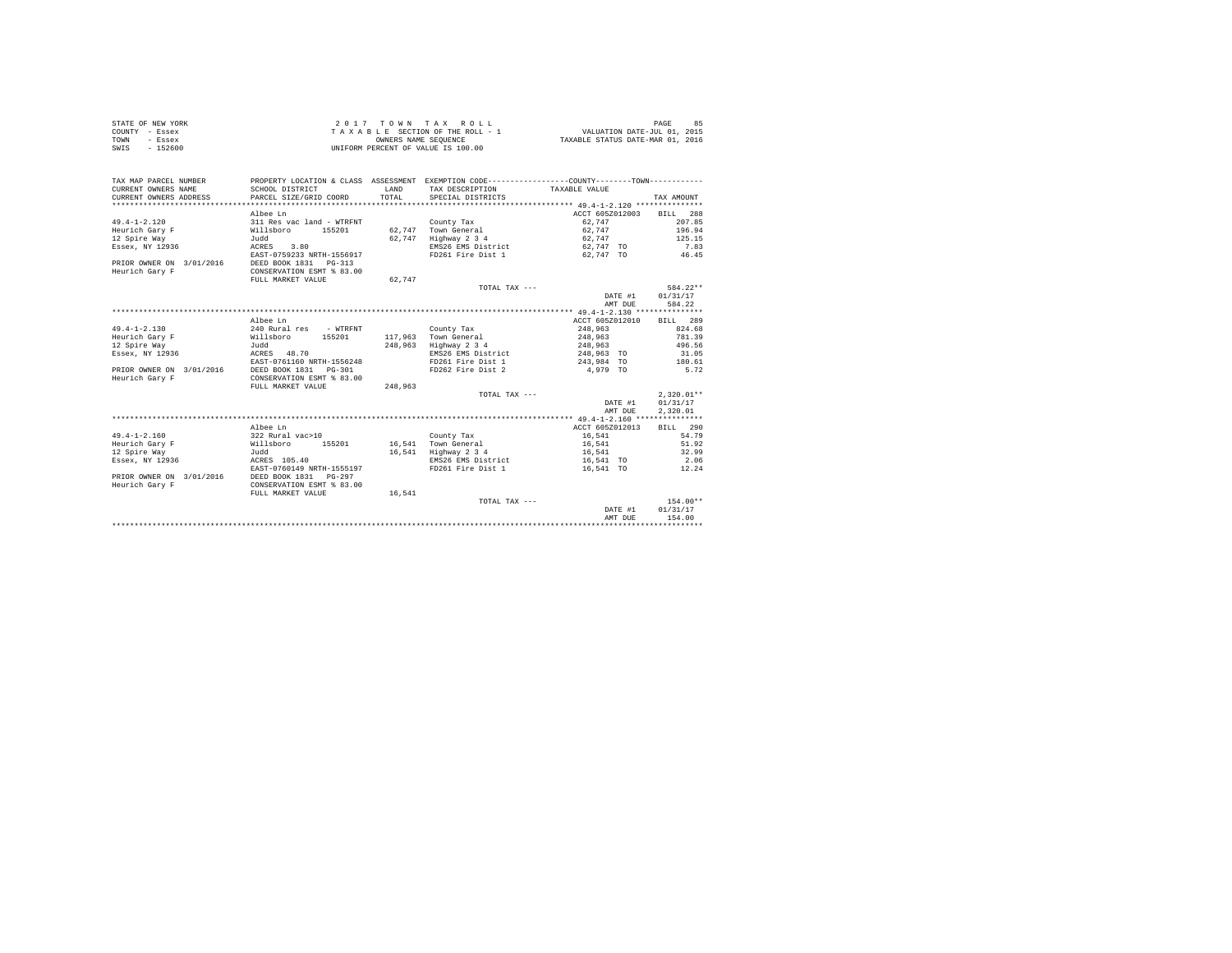|                | STATE OF NEW YORK | $2.017$ TOWN TAX ROLL              | 85<br>PAGE                       |
|----------------|-------------------|------------------------------------|----------------------------------|
| COUNTY - Essex |                   | TAXABLE SECTION OF THE ROLL - 1    | VALUATION DATE-JUL 01, 2015      |
| TOWN           | - Essex           | OWNERS NAME SEOUENCE               | TAXABLE STATUS DATE-MAR 01, 2016 |
| SWIS           | $-152600$         | UNIFORM PERCENT OF VALUE IS 100.00 |                                  |

| TAX MAP PARCEL NUMBER<br>CURRENT OWNERS NAME<br>CURRENT OWNERS ADDRESS  | SCHOOL DISTRICT<br>PARCEL SIZE/GRID COORD                                                                          | LAND<br>TOTAL    | PROPERTY LOCATION & CLASS ASSESSMENT EXEMPTION CODE----------------COUNTY--------TOWN----------<br>TAX DESCRIPTION<br>SPECIAL DISTRICTS | TAXABLE VALUE                                                           | TAX AMOUNT                                              |
|-------------------------------------------------------------------------|--------------------------------------------------------------------------------------------------------------------|------------------|-----------------------------------------------------------------------------------------------------------------------------------------|-------------------------------------------------------------------------|---------------------------------------------------------|
| $49.4 - 1 - 2.120$<br>Heurich Gary F<br>12 Spire Way<br>Essex, NY 12936 | Albee Ln<br>311 Res vac land - WTRFNT<br>Willsboro<br>155201<br>Judd<br>ACRES<br>3.80<br>EAST-0759233 NRTH-1556917 | 62.747<br>62.747 | County Tax<br>Town General<br>Highway 2 3 4<br>EMS26 EMS District<br>FD261 Fire Dist 1                                                  | ACCT 605Z012003<br>62.747<br>62.747<br>62.747<br>62,747 TO<br>62,747 TO | BILL 288<br>207.85<br>196.94<br>125.15<br>7.83<br>46.45 |
| PRIOR OWNER ON 3/01/2016<br>Heurich Gary F                              | DEED BOOK 1831   PG-313<br>CONSERVATION ESMT % 83.00<br>FULL MARKET VALUE                                          | 62.747           |                                                                                                                                         |                                                                         |                                                         |
|                                                                         |                                                                                                                    |                  | TOTAL TAX ---                                                                                                                           | DATE #1<br>AMT DUE                                                      | 584.22**<br>01/31/17<br>584.22                          |
|                                                                         |                                                                                                                    |                  |                                                                                                                                         |                                                                         |                                                         |
|                                                                         | Albee Ln                                                                                                           |                  |                                                                                                                                         | ACCT 605Z012010                                                         | BILL 289                                                |
| $49.4 - 1 - 2.130$                                                      | 240 Rural res - WTRFNT                                                                                             |                  | County Tax                                                                                                                              | 248,963                                                                 | 824.68                                                  |
| Heurich Gary F                                                          | Willsboro<br>155201                                                                                                | 117,963          | Town General                                                                                                                            | 248,963                                                                 | 781.39                                                  |
| 12 Spire Way                                                            | Judd                                                                                                               | 248.963          | Highway 2 3 4                                                                                                                           | 248,963                                                                 | 496.56                                                  |
| Essex, NY 12936                                                         | ACRES 48.70                                                                                                        |                  | EMS26 EMS District                                                                                                                      | 248,963 TO                                                              | 31.05                                                   |
|                                                                         | EAST-0761160 NRTH-1556248                                                                                          |                  | FD261 Fire Dist 1                                                                                                                       | 243,984 TO                                                              | 180.61                                                  |
| PRIOR OWNER ON 3/01/2016                                                | DEED BOOK 1831<br>PG-301                                                                                           |                  | FD262 Fire Dist 2                                                                                                                       | 4,979 TO                                                                | 5.72                                                    |
| Heurich Gary F                                                          | CONSERVATION ESMT % 83.00                                                                                          |                  |                                                                                                                                         |                                                                         |                                                         |
|                                                                         | FULL MARKET VALUE                                                                                                  | 248.963          |                                                                                                                                         |                                                                         |                                                         |
|                                                                         |                                                                                                                    |                  |                                                                                                                                         |                                                                         | $2,320.01**$                                            |
|                                                                         |                                                                                                                    |                  | TOTAL TAX ---                                                                                                                           |                                                                         | 01/31/17                                                |
|                                                                         |                                                                                                                    |                  |                                                                                                                                         | DATE #1<br>AMT DUE                                                      | 2,320.01                                                |
|                                                                         |                                                                                                                    |                  |                                                                                                                                         |                                                                         |                                                         |
|                                                                         |                                                                                                                    |                  |                                                                                                                                         |                                                                         |                                                         |
|                                                                         | Albee Ln                                                                                                           |                  |                                                                                                                                         | ACCT 605Z012013                                                         | <b>BILL</b><br>290                                      |
| $49.4 - 1 - 2.160$                                                      | 322 Rural vac>10                                                                                                   |                  | County Tax                                                                                                                              | 16,541                                                                  | 54.79                                                   |
| Heurich Gary F                                                          | Willsboro<br>155201                                                                                                | 16,541           | Town General                                                                                                                            | 16,541                                                                  | 51.92                                                   |
| 12 Spire Way                                                            | Judd                                                                                                               | 16.541           | Highway 2 3 4                                                                                                                           | 16,541                                                                  | 32.99                                                   |
| Essex, NY 12936                                                         | ACRES 105.40                                                                                                       |                  | EMS26 EMS District                                                                                                                      | 16,541 TO                                                               | 2.06                                                    |
|                                                                         | EAST-0760149 NRTH-1555197                                                                                          |                  | FD261 Fire Dist 1                                                                                                                       | 16,541 TO                                                               | 12.24                                                   |
| PRIOR OWNER ON 3/01/2016<br>Heurich Gary F                              | DEED BOOK 1831 PG-297<br>CONSERVATION ESMT % 83.00                                                                 |                  |                                                                                                                                         |                                                                         |                                                         |
|                                                                         |                                                                                                                    | 16.541           |                                                                                                                                         |                                                                         |                                                         |
|                                                                         | FULL MARKET VALUE                                                                                                  |                  |                                                                                                                                         |                                                                         | $154.00**$                                              |
|                                                                         |                                                                                                                    |                  | TOTAL TAX ---                                                                                                                           | DATE #1                                                                 | 01/31/17                                                |
|                                                                         |                                                                                                                    |                  |                                                                                                                                         |                                                                         |                                                         |
|                                                                         |                                                                                                                    |                  |                                                                                                                                         | AMT DUE                                                                 | 154.00                                                  |
|                                                                         |                                                                                                                    |                  |                                                                                                                                         |                                                                         |                                                         |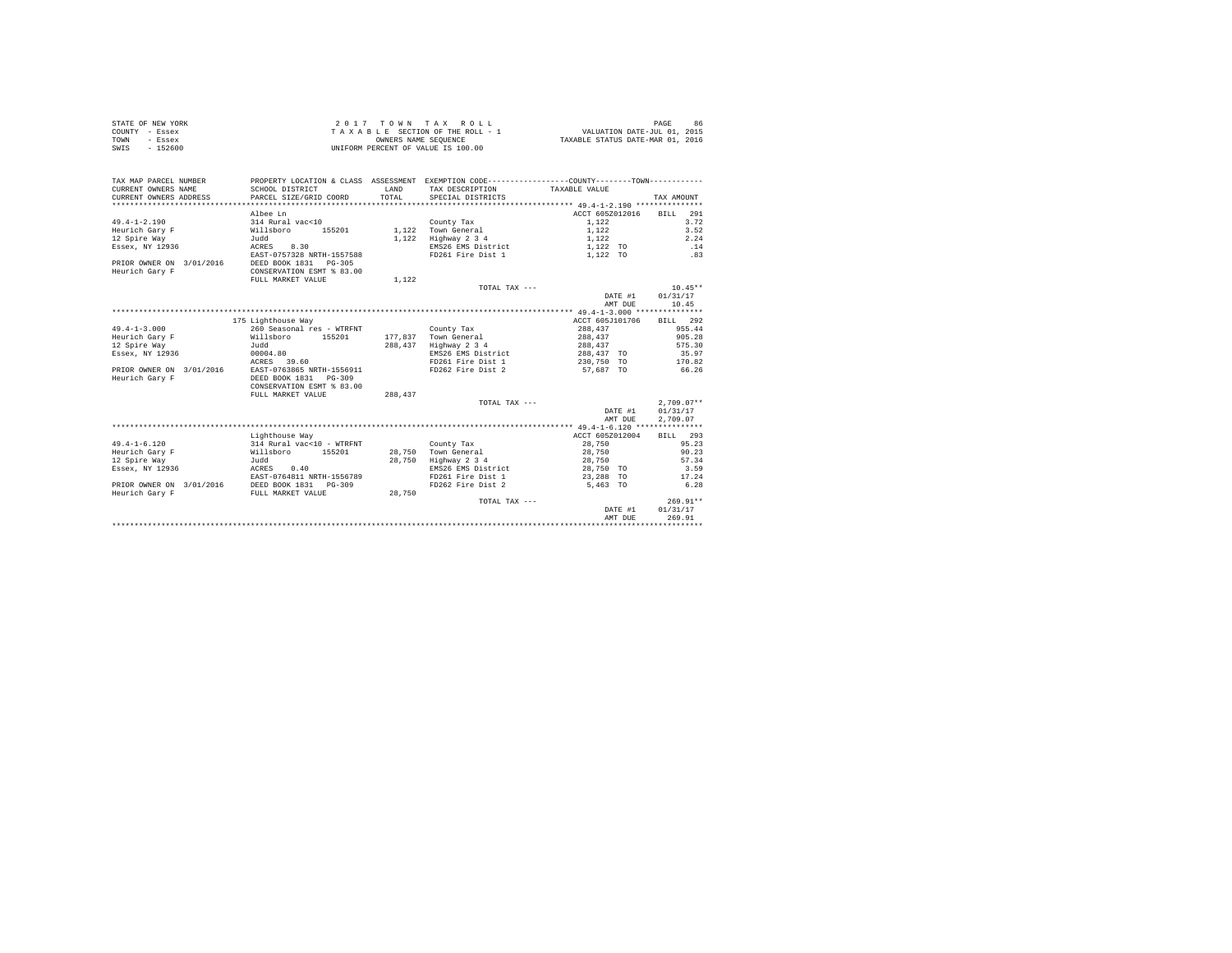|                | STATE OF NEW YORK | 2017 TOWN TAX ROLL                 | 86<br>PAGE                       |
|----------------|-------------------|------------------------------------|----------------------------------|
| COUNTY - Essex |                   | TAXABLE SECTION OF THE ROLL - 1    | VALUATION DATE-JUL 01, 2015      |
| TOWN           | - Essex           | OWNERS NAME SEOUENCE               | TAXABLE STATUS DATE-MAR 01, 2016 |
| SWIS           | $-152600$         | UNIFORM PERCENT OF VALUE IS 100.00 |                                  |

| TAX MAP PARCEL NUMBER<br>CURRENT OWNERS NAME<br>CURRENT OWNERS ADDRESS | SCHOOL DISTRICT<br>PARCEL SIZE/GRID COORD | LAND<br>TOTAL | PROPERTY LOCATION & CLASS ASSESSMENT EXEMPTION CODE---------------COUNTY-------TOWN---------<br>TAX DESCRIPTION TAXABLE VALUE<br>SPECIAL DISTRICTS |                 | TAX AMOUNT         |
|------------------------------------------------------------------------|-------------------------------------------|---------------|----------------------------------------------------------------------------------------------------------------------------------------------------|-----------------|--------------------|
|                                                                        |                                           |               |                                                                                                                                                    | ACCT 605Z012016 |                    |
|                                                                        | Albee Ln                                  |               |                                                                                                                                                    |                 | <b>BILL</b><br>291 |
| $49.4 - 1 - 2.190$                                                     | 314 Rural vac<10                          |               | County Tax                                                                                                                                         | 1,122           | 3.72               |
| Heurich Gary F                                                         | 155201<br>Willsboro                       |               | 1,122 Town General                                                                                                                                 | 1,122           | 3.52               |
| 12 Spire Way                                                           | Judd                                      | 1,122         | Highway 2 3 4                                                                                                                                      | 1.122           | 2.24               |
| Essex, NY 12936                                                        | ACRES<br>8.30                             |               | EMS26 EMS District                                                                                                                                 | 1,122 TO        | .14                |
|                                                                        | EAST-0757328 NRTH-1557588                 |               | FD261 Fire Dist 1                                                                                                                                  | 1,122 TO        | .83                |
| PRIOR OWNER ON 3/01/2016                                               | DEED BOOK 1831   PG-305                   |               |                                                                                                                                                    |                 |                    |
| Heurich Gary F                                                         | CONSERVATION ESMT % 83.00                 |               |                                                                                                                                                    |                 |                    |
|                                                                        | FULL MARKET VALUE                         | 1,122         |                                                                                                                                                    |                 |                    |
|                                                                        |                                           |               | TOTAL TAX ---                                                                                                                                      |                 | $10.45**$          |
|                                                                        |                                           |               |                                                                                                                                                    | DATE #1         | 01/31/17           |
|                                                                        |                                           |               |                                                                                                                                                    | AMT DUE         | 10.45              |
|                                                                        |                                           |               |                                                                                                                                                    |                 |                    |
|                                                                        | 175 Lighthouse Way                        |               |                                                                                                                                                    | ACCT 605J101706 | BILL 292           |
| $49.4 - 1 - 3.000$                                                     | 260 Seasonal res - WTRFNT                 |               | County Tax                                                                                                                                         | 288,437         | 955.44             |
| Heurich Gary F                                                         | Willsboro 155201                          | 177.837       | Town General                                                                                                                                       | 288,437         | 905.28             |
| 12 Spire Way                                                           | Judd                                      | 288,437       | Highway 2 3 4                                                                                                                                      | 288.437         | 575.30             |
| Essex, NY 12936                                                        | 00004.80                                  |               | EMS26 EMS District                                                                                                                                 | 288,437 TO      | 35.97              |
|                                                                        | 39.60<br>ACRES                            |               | FD261 Fire Dist 1 230.750 TO 170.82                                                                                                                |                 |                    |
| PRIOR OWNER ON 3/01/2016                                               | EAST-0763865 NRTH-1556911                 |               | FD262 Fire Dist 2                                                                                                                                  | 57,687 TO       | 66.26              |
| Heurich Gary F                                                         | DEED BOOK 1831 PG-309                     |               |                                                                                                                                                    |                 |                    |
|                                                                        | CONSERVATION ESMT % 83.00                 |               |                                                                                                                                                    |                 |                    |
|                                                                        | FULL MARKET VALUE                         | 288,437       |                                                                                                                                                    |                 |                    |
|                                                                        |                                           |               | TOTAL TAX ---                                                                                                                                      |                 | $2,709.07**$       |
|                                                                        |                                           |               |                                                                                                                                                    | DATE #1         | 01/31/17           |
|                                                                        |                                           |               |                                                                                                                                                    | AMT DUE         | 2,709.07           |
|                                                                        |                                           |               |                                                                                                                                                    |                 |                    |
|                                                                        | Lighthouse Way                            |               |                                                                                                                                                    | ACCT 605Z012004 | BILL 293           |
| $49.4 - 1 - 6.120$                                                     | 314 Rural vac<10 - WTRFNT                 |               | County Tax                                                                                                                                         | 28,750          | 95.23              |
| Heurich Garv F                                                         | Willsboro 155201                          | 28,750        | Town General                                                                                                                                       | 28,750          | 90.23              |
| 12 Spire Way                                                           | Judd                                      | 28,750        | Highway 2 3 4                                                                                                                                      | 28,750          | 57.34              |
| Essex, NY 12936                                                        | ACRES 0.40                                |               | EMS26 EMS District                                                                                                                                 | 28,750 TO       | 3.59               |
|                                                                        | EAST-0764811 NRTH-1556789                 |               | FD261 Fire Dist 1                                                                                                                                  | 23,288 TO       | 17.24              |
| PRIOR OWNER ON 3/01/2016                                               | DEED BOOK 1831 PG-309                     |               | FD262 Fire Dist 2                                                                                                                                  | 5,463 TO        | 6.28               |
|                                                                        |                                           |               |                                                                                                                                                    |                 |                    |
| Heurich Gary F                                                         | FULL MARKET VALUE                         | 28,750        |                                                                                                                                                    |                 | $269.91**$         |
|                                                                        |                                           |               | TOTAL TAX ---                                                                                                                                      |                 | 01/31/17           |
|                                                                        |                                           |               |                                                                                                                                                    | DATE #1         |                    |
|                                                                        |                                           |               |                                                                                                                                                    | AMT DUE         | 269.91             |
|                                                                        |                                           |               |                                                                                                                                                    |                 |                    |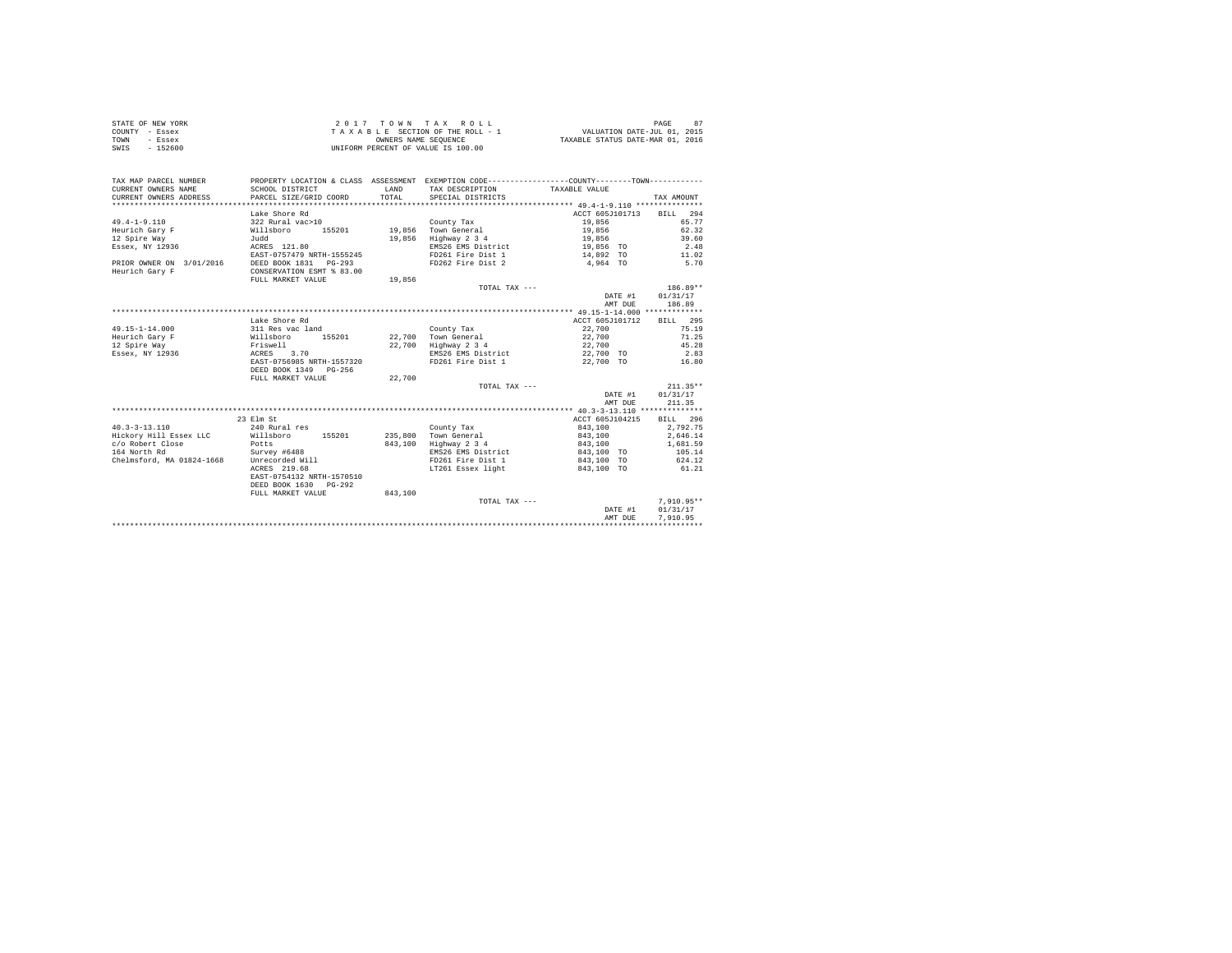| STATE OF NEW YORK | 2017 TOWN TAX ROLL                 | 87<br>PAGE                       |
|-------------------|------------------------------------|----------------------------------|
| COUNTY - Essex    | TAXABLE SECTION OF THE ROLL - 1    | VALUATION DATE-JUL 01, 2015      |
| TOWN<br>- Essex   | OWNERS NAME SEOUENCE               | TAXABLE STATUS DATE-MAR 01, 2016 |
| - 152600<br>SWIS  | UNIFORM PERCENT OF VALUE IS 100.00 |                                  |

| TAX MAP PARCEL NUMBER<br>CURRENT OWNERS NAME<br>CURRENT OWNERS ADDRESS | PROPERTY LOCATION & CLASS ASSESSMENT EXEMPTION CODE----------------COUNTY-------TOWN----------<br>SCHOOL DISTRICT<br>PARCEL SIZE/GRID COORD | LAND<br>TOTAL. | TAX DESCRIPTION TAXABLE VALUE<br>SPECIAL DISTRICTS |                 | TAX AMOUNT   |
|------------------------------------------------------------------------|---------------------------------------------------------------------------------------------------------------------------------------------|----------------|----------------------------------------------------|-----------------|--------------|
|                                                                        |                                                                                                                                             |                |                                                    |                 |              |
|                                                                        | Lake Shore Rd                                                                                                                               |                |                                                    | ACCT 605J101713 | BILL 294     |
| $49.4 - 1 - 9.110$                                                     | 322 Rural vac>10                                                                                                                            |                | County Tax                                         | 19,856          | 65.77        |
| Heurich Garv F                                                         | 155201<br>Willsboro                                                                                                                         |                | 19,856 Town General                                | 19,856          | 62.32        |
| 12 Spire Way                                                           | Judd                                                                                                                                        | 19,856         | Highway 2 3 4                                      | 19,856          | 39.60        |
| Essex, NY 12936                                                        | ACRES 121.80                                                                                                                                |                | EMS26 EMS District                                 | 19,856 TO       | 2.48         |
|                                                                        | EAST-0757479 NRTH-1555245                                                                                                                   |                | FD261 Fire Dist 1                                  | 14,892 TO       | 11.02        |
| PRIOR OWNER ON 3/01/2016                                               | DEED BOOK 1831    PG-293                                                                                                                    |                | FD262 Fire Dist 2                                  | 4,964 TO        | 5.70         |
| Heurich Gary F                                                         | CONSERVATION ESMT % 83.00                                                                                                                   |                |                                                    |                 |              |
|                                                                        | FULL MARKET VALUE                                                                                                                           | 19,856         |                                                    |                 |              |
|                                                                        |                                                                                                                                             |                | TOTAL TAX ---                                      |                 | $186.89**$   |
|                                                                        |                                                                                                                                             |                |                                                    | DATE #1         | 01/31/17     |
|                                                                        |                                                                                                                                             |                |                                                    | AMT DUE         | 186.89       |
|                                                                        |                                                                                                                                             |                |                                                    |                 |              |
|                                                                        | Lake Shore Rd                                                                                                                               |                |                                                    | ACCT 605J101712 | BILL 295     |
| $49.15 - 1 - 14.000$                                                   | 311 Res vac land                                                                                                                            |                | County Tax                                         | 22,700          | 75.19        |
| Heurich Gary F                                                         | Willsboro                                                                                                                                   |                | 155201 22.700 Town General                         | 22,700          | 71.25        |
| 12 Spire Way                                                           |                                                                                                                                             |                | 22,700 Highway 2 3 4                               | 22,700          | 45.28        |
| Essex, NY 12936                                                        | Friswell<br>ACRES<br>3.70                                                                                                                   |                | EMS26 EMS District                                 | 22,700 TO       | 2.83         |
|                                                                        | EAST-0756985 NRTH-1557320                                                                                                                   |                | FD261 Fire Dist 1                                  | 22,700 TO       | 16.80        |
|                                                                        | DEED BOOK 1349 PG-256                                                                                                                       |                |                                                    |                 |              |
|                                                                        | FULL MARKET VALUE                                                                                                                           | 22,700         |                                                    |                 |              |
|                                                                        |                                                                                                                                             |                | TOTAL TAX ---                                      |                 | $211.35**$   |
|                                                                        |                                                                                                                                             |                |                                                    | DATE #1         | 01/31/17     |
|                                                                        |                                                                                                                                             |                |                                                    | AMT DUE         | 211.35       |
|                                                                        |                                                                                                                                             |                |                                                    |                 |              |
|                                                                        | 23 Elm St                                                                                                                                   |                |                                                    | ACCT 605J104215 | BILL 296     |
| $40.3 - 3 - 13.110$                                                    | 240 Rural res                                                                                                                               |                | County Tax                                         | 843,100         | 2.792.75     |
| Hickory Hill Essex LLC                                                 | 155201<br>Willsboro                                                                                                                         |                | 235,800 Town General                               | 843,100         | 2,646.14     |
| c/o Robert Close                                                       | Potts                                                                                                                                       | 843,100        | Highway 2 3 4                                      | 843,100         | 1,681.59     |
| 164 North Rd                                                           | Survey #6488                                                                                                                                |                | EMS26 EMS District                                 | 843,100 TO      | 105.14       |
| Chelmsford, MA 01824-1668 Unrecorded Will                              |                                                                                                                                             |                | FD261 Fire Dist 1                                  | 843,100 TO      | 624.12       |
|                                                                        | ACRES 219.68                                                                                                                                |                | LT261 Essex light                                  | 843,100 TO      | 61.21        |
|                                                                        | EAST-0754132 NRTH-1570510                                                                                                                   |                |                                                    |                 |              |
|                                                                        | DEED BOOK 1630<br>PG-292                                                                                                                    |                |                                                    |                 |              |
|                                                                        | FULL MARKET VALUE                                                                                                                           | 843,100        |                                                    |                 |              |
|                                                                        |                                                                                                                                             |                | TOTAL TAX ---                                      |                 | $7.910.95**$ |
|                                                                        |                                                                                                                                             |                |                                                    | DATE #1         | 01/31/17     |
|                                                                        |                                                                                                                                             |                |                                                    | AMT DUE         | 7.910.95     |
|                                                                        |                                                                                                                                             |                |                                                    |                 |              |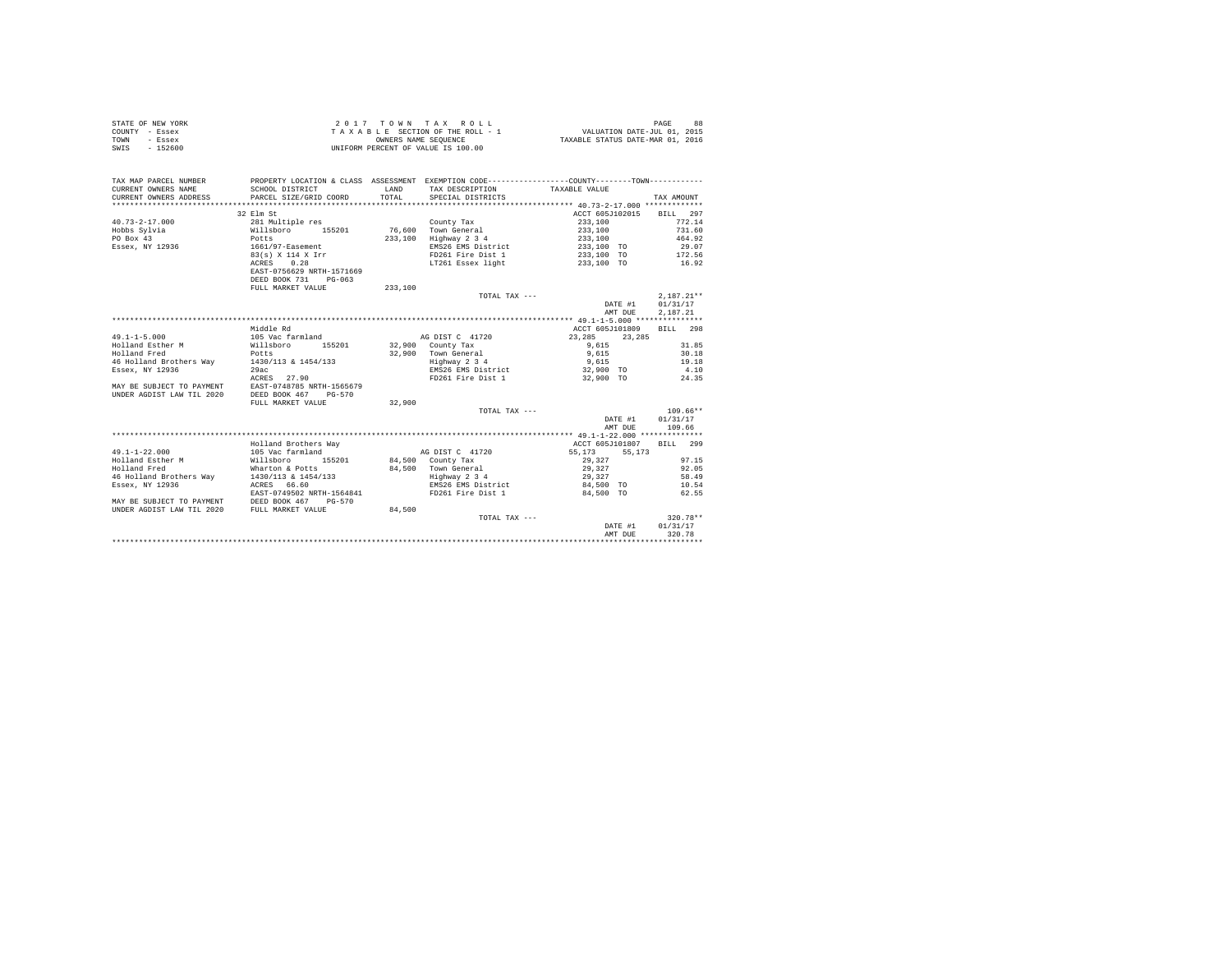| STATE OF NEW YORK | 2017 TOWN TAX ROLL                 | 88<br>PAGE                       |
|-------------------|------------------------------------|----------------------------------|
| COUNTY - Essex    | TAXABLE SECTION OF THE ROLL - 1    | VALUATION DATE-JUL 01, 2015      |
| TOWN<br>- Essex   | OWNERS NAME SEOUENCE               | TAXABLE STATUS DATE-MAR 01, 2016 |
| SWIS<br>$-152600$ | UNIFORM PERCENT OF VALUE IS 100.00 |                                  |

| TAX MAP PARCEL NUMBER<br>CURRENT OWNERS NAME<br>CURRENT OWNERS ADDRESS | SCHOOL DISTRICT<br>PARCEL SIZE/GRID COORD | <b>T.AND</b><br>TOTAL | PROPERTY LOCATION & CLASS ASSESSMENT EXEMPTION CODE----------------COUNTY-------TOWN----------<br>TAX DESCRIPTION<br>SPECIAL DISTRICTS | TAXABLE VALUE            | TAX AMOUNT   |
|------------------------------------------------------------------------|-------------------------------------------|-----------------------|----------------------------------------------------------------------------------------------------------------------------------------|--------------------------|--------------|
|                                                                        |                                           |                       |                                                                                                                                        |                          |              |
|                                                                        | 32 Elm St                                 |                       |                                                                                                                                        | ACCT 605J102015 BILL 297 |              |
| $40.73 - 2 - 17.000$                                                   | 281 Multiple res                          |                       | County Tax                                                                                                                             | 233,100                  | 772.14       |
| Hobbs Sylvia                                                           | Willsboro 155201<br>Potts                 |                       | 76,600 Town General                                                                                                                    | 233,100                  | 731.60       |
| PO Box 43                                                              |                                           |                       | 233,100 Highway 2 3 4                                                                                                                  | 233,100                  | 464.92       |
| Essex, NY 12936                                                        | 1661/97-Easement                          |                       | EMS26 EMS District                                                                                                                     | 233,100 TO               | 29.07        |
|                                                                        | 83(s) X 114 X Irr                         |                       | FD261 Fire Dist 1                                                                                                                      | 233,100 TO               | 172.56       |
|                                                                        | ACRES 0.28                                |                       | LT261 Essex light                                                                                                                      | 233,100 TO               | 16.92        |
|                                                                        | EAST-0756629 NRTH-1571669                 |                       |                                                                                                                                        |                          |              |
|                                                                        | DEED BOOK 731<br>$PG-063$                 |                       |                                                                                                                                        |                          |              |
|                                                                        | FULL MARKET VALUE                         | 233,100               |                                                                                                                                        |                          |              |
|                                                                        |                                           |                       | TOTAL TAX ---                                                                                                                          |                          | $2,187.21**$ |
|                                                                        |                                           |                       |                                                                                                                                        | DATE #1                  | 01/31/17     |
|                                                                        |                                           |                       |                                                                                                                                        | AMT DUE                  | 2.187.21     |
|                                                                        |                                           |                       |                                                                                                                                        |                          |              |
|                                                                        | Middle Rd                                 |                       |                                                                                                                                        | ACCT 605J101809          | BILL 298     |
| $49.1 - 1 - 5.000$                                                     | 105 Vac farmland MG DIST C 41720          |                       |                                                                                                                                        | 23,285<br>23,285         |              |
| Holland Esther M<br>Willsboro                                          | 155201 32,900 County Tax                  |                       |                                                                                                                                        | 9,615                    | 31.85        |
| Holland Fred                                                           | Potts                                     |                       | 32,900 Town General<br>Highway 2 3 4                                                                                                   | 9,615                    | 30.18        |
| 46 Holland Brothers Way 1430/113 & 1454/133                            |                                           |                       |                                                                                                                                        | 9,615                    | 19.18        |
| Essex, NY 12936                                                        | 29ac                                      |                       | EMS26 EMS District                                                                                                                     | 32,900 TO                | 4.10         |
|                                                                        | ACRES 27.90                               |                       | FD261 Fire Dist 1                                                                                                                      | 32,900 TO                | 24.35        |
| MAY BE SUBJECT TO PAYMENT EAST-0748785 NRTH-1565679                    |                                           |                       |                                                                                                                                        |                          |              |
| UNDER AGDIST LAW TIL 2020                                              | DEED BOOK 467<br>PG-570                   |                       |                                                                                                                                        |                          |              |
|                                                                        | FULL MARKET VALUE                         | 32,900                |                                                                                                                                        |                          |              |
|                                                                        |                                           |                       | TOTAL TAX ---                                                                                                                          |                          | $109.66**$   |
|                                                                        |                                           |                       |                                                                                                                                        | DATE #1                  | 01/31/17     |
|                                                                        |                                           |                       |                                                                                                                                        | AMT DUE                  | 109.66       |
|                                                                        | Holland Brothers Way                      |                       |                                                                                                                                        | ACCT 605J101807 BILL 299 |              |
| $49.1 - 1 - 22.000$                                                    | 105 Vac farmland                          |                       | AG DIST C 41720                                                                                                                        | 55,173 55,173            |              |
| Holland Esther M                                                       | Willsboro<br>155201                       |                       | 84.500 County Tax                                                                                                                      | 29,327                   | 97.15        |
| Holland Fred                                                           | Wharton & Potts                           |                       | 84,500 Town General                                                                                                                    | 29,327                   | 92.05        |
| 46 Holland Brothers Way                                                | $1430/113$ & $1454/133$                   |                       | Highway 2 3 4                                                                                                                          | 29,327                   | 58.49        |
| Essex, NY 12936                                                        | ACRES 66.60                               |                       | EMS26 EMS District                                                                                                                     | 84,500 TO                | 10.54        |
|                                                                        | EAST-0749502 NRTH-1564841                 |                       | FD261 Fire Dist 1                                                                                                                      | 84.500 TO                | 62.55        |
| MAY BE SUBJECT TO PAYMENT DEED BOOK 467 PG-570                         |                                           |                       |                                                                                                                                        |                          |              |
| UNDER AGDIST LAW TIL 2020 FULL MARKET VALUE                            |                                           | 84,500                |                                                                                                                                        |                          |              |
|                                                                        |                                           |                       | TOTAL TAX ---                                                                                                                          |                          | $320.78**$   |
|                                                                        |                                           |                       |                                                                                                                                        | DATE #1                  | 01/31/17     |
|                                                                        |                                           |                       |                                                                                                                                        | AMT DUE                  | 320.78       |
|                                                                        |                                           |                       |                                                                                                                                        |                          |              |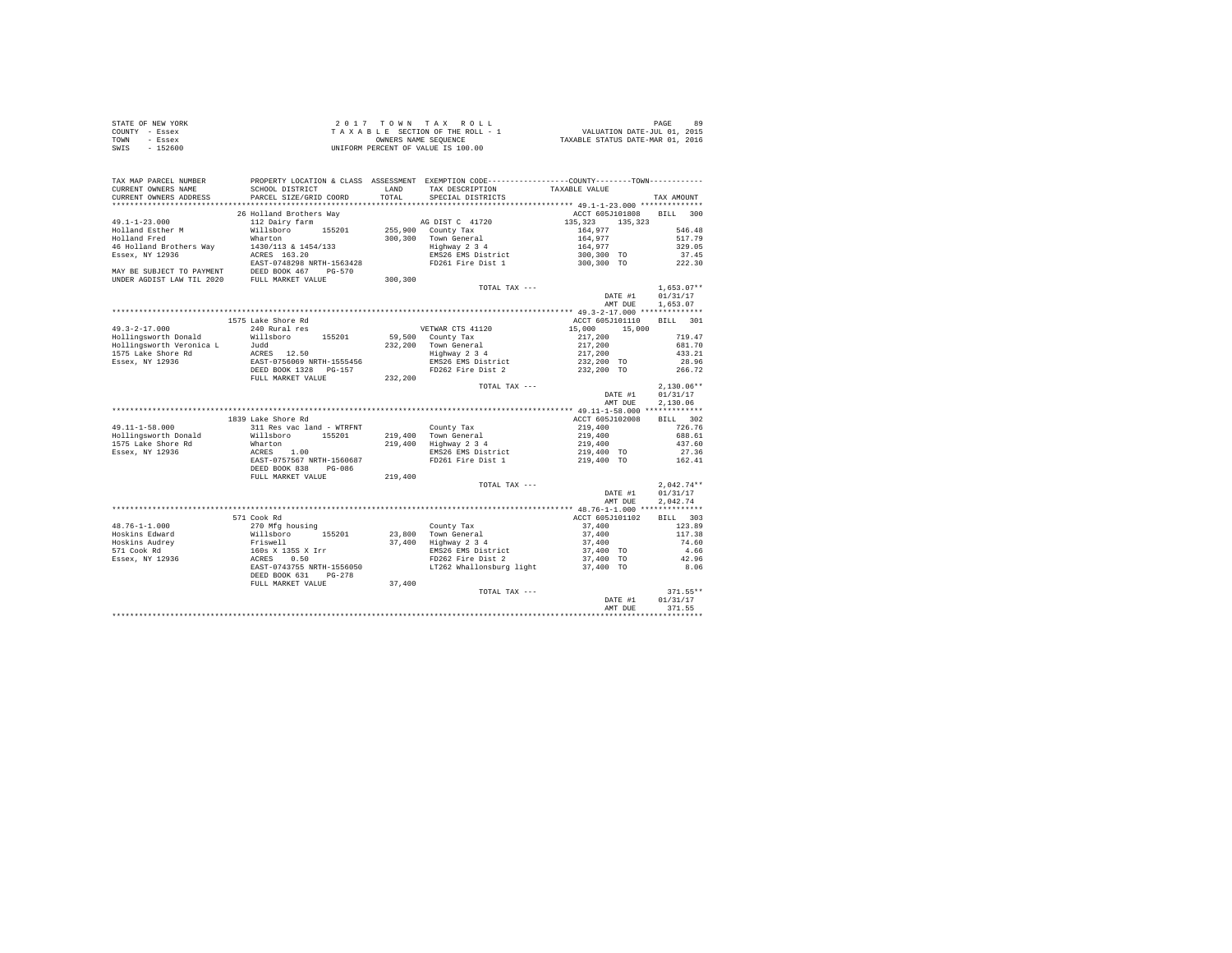| STATE OF NEW YORK |  | 2017 TOWN TAX ROLL                 |                                  | PAGE                        |  |
|-------------------|--|------------------------------------|----------------------------------|-----------------------------|--|
| COUNTY - Essex    |  | TAXABLE SECTION OF THE ROLL - 1    |                                  | VALUATION DATE-JUL 01, 2015 |  |
| TOWN<br>- Essex   |  | OWNERS NAME SEOUENCE               | TAXABLE STATUS DATE-MAR 01, 2016 |                             |  |
| $-152600$<br>SWIS |  | UNIFORM PERCENT OF VALUE IS 100.00 |                                  |                             |  |

| TAX MAP PARCEL NUMBER                              |                                                             |         | PROPERTY LOCATION & CLASS ASSESSMENT EXEMPTION CODE---------------COUNTY-------TOWN--------- |                    |                    |
|----------------------------------------------------|-------------------------------------------------------------|---------|----------------------------------------------------------------------------------------------|--------------------|--------------------|
| CURRENT OWNERS NAME                                | SCHOOL DISTRICT                                             | LAND    | TAX DESCRIPTION                                                                              | TAXABLE VALUE      |                    |
| CURRENT OWNERS ADDRESS<br>************************ | PARCEL SIZE/GRID COORD                                      | TOTAL   | SPECIAL DISTRICTS                                                                            |                    | TAX AMOUNT         |
|                                                    |                                                             |         |                                                                                              |                    |                    |
|                                                    | 26 Holland Brothers Way                                     |         |                                                                                              | ACCT 605J101808    | <b>BILL</b><br>300 |
| $49.1 - 1 - 23.000$                                | 112 Dairy farm                                              |         | AG DIST C 41720                                                                              | 135,323<br>135,323 |                    |
| Holland Esther M                                   | Willsboro 155201                                            |         | 255,900 County Tax                                                                           | 164.977            | 546.48             |
| Holland Fred                                       | Wharton                                                     |         | 300,300 Town General                                                                         | 164,977            | 517.79             |
| 46 Holland Brothers Way                            | 1430/113 & 1454/133                                         |         | Highway 2 3 4                                                                                | 164,977            | 329.05             |
| Essex, NY 12936                                    | ACRES 163.20                                                |         | EMS26 EMS District                                                                           | 300,300 TO         | 37.45              |
|                                                    | EAST-0748298 NRTH-1563428                                   |         | FD261 Fire Dist 1                                                                            | 300,300 TO         | 222.30             |
| MAY BE SUBJECT TO PAYMENT                          | DEED BOOK 467 PG-570                                        |         |                                                                                              |                    |                    |
| UNDER AGDIST LAW TIL 2020                          | FULL MARKET VALUE                                           | 300,300 |                                                                                              |                    |                    |
|                                                    |                                                             |         | TOTAL TAX ---                                                                                |                    | $1.653.07**$       |
|                                                    |                                                             |         |                                                                                              | DATE #1            | 01/31/17           |
|                                                    |                                                             |         |                                                                                              | AMT DUE            | 1,653.07           |
|                                                    |                                                             |         |                                                                                              |                    |                    |
|                                                    | 1575 Lake Shore Rd                                          |         |                                                                                              | ACCT 605J101110    | BILL 301           |
| $49.3 - 2 - 17.000$                                | 240 Rural res                                               |         | VETWAR CTS 41120                                                                             | 15,000<br>15,000   |                    |
| Hollingsworth Donald                               | Willsboro<br>155201                                         | 59,500  | County Tax                                                                                   | 217,200            | 719.47             |
| Hollingsworth Veronica L                           | Judd                                                        |         | 232,200 Town General                                                                         | 217,200            | 681.70             |
| 1575 Lake Shore Rd                                 | ACRES 12.50                                                 |         | Highway 2 3 4                                                                                | 217,200            | 433.21             |
| Essex, NY 12936                                    | EAST-0756069 NRTH-1555456                                   |         | EMS26 EMS District                                                                           | 232,200 TO         | 28.96              |
|                                                    | DEED BOOK 1328 PG-157                                       |         | FD262 Fire Dist 2                                                                            | 232,200 TO         | 266.72             |
|                                                    | FULL MARKET VALUE                                           | 232,200 |                                                                                              |                    |                    |
|                                                    |                                                             |         | TOTAL TAX ---                                                                                |                    | $2,130.06**$       |
|                                                    |                                                             |         |                                                                                              | DATE #1            | 01/31/17           |
|                                                    |                                                             |         |                                                                                              | AMT DUE            | 2,130.06           |
|                                                    |                                                             |         |                                                                                              |                    |                    |
|                                                    | 1839 Lake Shore Rd                                          |         |                                                                                              | ACCT 605J102008    | BILL 302           |
| $49.11 - 1 - 58.000$                               | 311 Res vac land - WTRFNT                                   |         | County Tax                                                                                   | 219,400            | 726.76             |
| Hollingsworth Donald                               | Willsboro<br>155201                                         |         | 219,400 Town General                                                                         | 219,400            | 688.61             |
| 1575 Lake Shore Rd                                 | Wharton                                                     |         | $219,400$ Highway $2\frac{3}{4}$                                                             | 219,400            | 437.60             |
| Essex, NY 12936                                    | ACRES 1.00                                                  |         | EMS26 EMS District                                                                           | 219,400 TO         | 27.36              |
|                                                    | EAST-0757567 NRTH-1560687                                   |         | FD261 Fire Dist 1                                                                            | 219,400 TO         | 162.41             |
|                                                    | DEED BOOK 838<br>PG-086                                     |         |                                                                                              |                    |                    |
|                                                    | FULL MARKET VALUE                                           | 219,400 |                                                                                              |                    |                    |
|                                                    |                                                             |         | TOTAL TAX ---                                                                                |                    | $2.042.74**$       |
|                                                    |                                                             |         |                                                                                              | DATE #1            | 01/31/17           |
|                                                    |                                                             |         |                                                                                              | AMT DUE            | 2.042.74           |
|                                                    |                                                             |         |                                                                                              |                    |                    |
|                                                    | 571 Cook Rd                                                 |         |                                                                                              | ACCT 605J101102    | BILL 303           |
| $48.76 - 1 - 1.000$                                | 270 Mfg housing                                             |         | County Tax                                                                                   | 37,400             | 123.89             |
| Hoskins Edward                                     | 155201                                                      |         | 23,800 Town General                                                                          | 37,400             | 117.38             |
| Hoskins Audrey                                     | willsboro 15<br>Friswell<br>160s x 135s x Irr<br>ACRES 0.50 |         | 37,400 Highway 2 3 4                                                                         | 37,400             | 74.60              |
| 571 Cook Rd                                        |                                                             |         | EMS26 EMS District                                                                           | 37,400 TO          | 4.66               |
| Essex, NY 12936                                    |                                                             |         | FD262 Fire Dist 2                                                                            | 37,400 TO          | 42.96              |
|                                                    | EAST-0743755 NRTH-1556050                                   |         | LT262 Whallonsburg light                                                                     | 37,400 TO          | 8.06               |
|                                                    | DEED BOOK 631<br>$PG-278$                                   |         |                                                                                              |                    |                    |
|                                                    | FULL MARKET VALUE                                           | 37,400  |                                                                                              |                    |                    |
|                                                    |                                                             |         | TOTAL TAX ---                                                                                |                    | 371.55**           |
|                                                    |                                                             |         |                                                                                              | DATE #1            | 01/31/17           |
|                                                    |                                                             |         |                                                                                              | AMT DUE            | 371.55             |
|                                                    |                                                             |         |                                                                                              |                    |                    |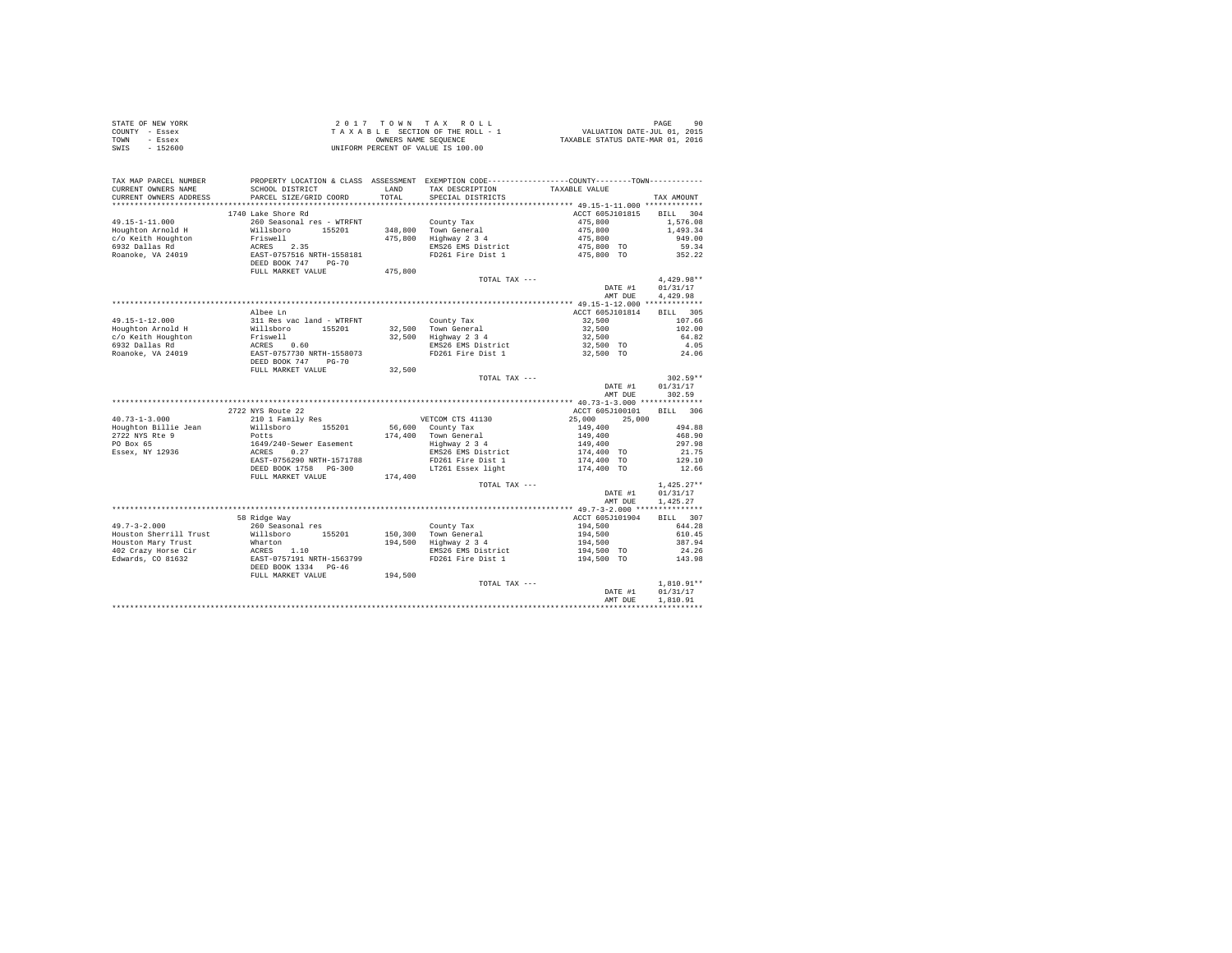|                | STATE OF NEW YORK | 2017 TOWN TAX ROLL                 | 90<br>PAGE                       |
|----------------|-------------------|------------------------------------|----------------------------------|
| COUNTY - Essex |                   | TAXABLE SECTION OF THE ROLL - 1    | VALUATION DATE-JUL 01, 2015      |
| TOWN           | - Essex           | OWNERS NAME SEOUENCE               | TAXABLE STATUS DATE-MAR 01, 2016 |
| SWIS           | $-152600$         | UNIFORM PERCENT OF VALUE IS 100.00 |                                  |

| TAX MAP PARCEL NUMBER<br>CURRENT OWNERS NAME<br>CURRENT OWNERS ADDRESS | SCHOOL DISTRICT<br>PARCEL SIZE/GRID COORD                                  | LAND<br>TOTAL | PROPERTY LOCATION & CLASS ASSESSMENT EXEMPTION CODE---------------COUNTY-------TOWN---------<br>TAX DESCRIPTION<br>SPECIAL DISTRICTS | TAXABLE VALUE                 | TAX AMOUNT               |
|------------------------------------------------------------------------|----------------------------------------------------------------------------|---------------|--------------------------------------------------------------------------------------------------------------------------------------|-------------------------------|--------------------------|
|                                                                        |                                                                            |               |                                                                                                                                      |                               |                          |
| $49.15 - 1 - 11.000$                                                   | 1740 Lake Shore Rd<br>260 Seasonal res - WTRFNT                            |               |                                                                                                                                      | ACCT 605J101815<br>475,800    | BILL 304<br>1,576.08     |
| Houghton Arnold H                                                      | Willsboro 155201                                                           |               | County Tax<br>348,800 Town General                                                                                                   |                               | 1,493.34                 |
| c/o Keith Houghton                                                     |                                                                            |               | 475,800 Highway 2 3 4                                                                                                                | 475,800<br>475,800<br>475,800 | 949.00                   |
| 6932 Dallas Rd                                                         |                                                                            |               | EMS26 EMS District                                                                                                                   | $475.800$ TO                  | 59.34                    |
| Roanoke, VA 24019                                                      | Friswell<br>ACRES 2.35<br>EAST-0757516 NRTH-1558181<br>DEED BOOK 747 PG-70 |               | FD261 Fire Dist 1                                                                                                                    | 475,800 TO                    | 352.22                   |
|                                                                        | FULL MARKET VALUE                                                          | 475,800       |                                                                                                                                      |                               |                          |
|                                                                        |                                                                            |               | TOTAL TAX ---                                                                                                                        |                               | $4.429.98**$             |
|                                                                        |                                                                            |               |                                                                                                                                      | DATE #1                       | 01/31/17                 |
|                                                                        |                                                                            |               |                                                                                                                                      | AMT DUE                       | 4.429.98                 |
|                                                                        |                                                                            |               |                                                                                                                                      |                               |                          |
|                                                                        | Albee Ln                                                                   |               |                                                                                                                                      | ACCT 605J101814               | BILL 305                 |
| 49.15-1-12.000                                                         | 311 Res vac land - WTRFNT                                                  |               | County Tax<br>32,500 Town General                                                                                                    | 32,500                        | 107.66                   |
| Houghton Arnold H                                                      |                                                                            |               |                                                                                                                                      | 32,500                        | 102.00                   |
| c/o Keith Houghton                                                     |                                                                            |               | 32,500 Highway 2 3 4                                                                                                                 | 32,500                        | 64.82                    |
| 6932 Dallas Rd                                                         |                                                                            |               | EMS26 EMS District                                                                                                                   | 32,500 TO                     | 4.05                     |
| Roanoke, VA 24019                                                      | DEED BOOK 747 PG-70                                                        |               | FD261 Fire Dist 1                                                                                                                    | 32,500 TO                     | 24.06                    |
|                                                                        | FULL MARKET VALUE                                                          | 32,500        |                                                                                                                                      |                               |                          |
|                                                                        |                                                                            |               | TOTAL TAX ---                                                                                                                        |                               | $302.59**$               |
|                                                                        |                                                                            |               |                                                                                                                                      | DATE #1                       | 01/31/17                 |
|                                                                        |                                                                            |               |                                                                                                                                      | AMT DUE                       | 302.59                   |
|                                                                        |                                                                            |               |                                                                                                                                      |                               |                          |
|                                                                        | 2722 NYS Route 22                                                          |               |                                                                                                                                      | ACCT 605J100101               | BILL 306                 |
| $40.73 - 1 - 3.000$                                                    | 210 1 Family Res                                                           |               | VETCOM CTS 41130                                                                                                                     | 25,000<br>25,000              |                          |
| Houghton Billie Jean                                                   | Willsboro 155201                                                           |               | 56,600 County Tax                                                                                                                    | 149,400                       | 494.88                   |
| 2722 NYS Rte 9                                                         | Potts                                                                      |               | 174.400 Town General                                                                                                                 | 149,400                       | 468.90                   |
| PO Box 65                                                              | -----<br>ACRES 0.27<br>EAST-0756290 NRTH-1571788                           |               | Highway 2 3 4                                                                                                                        | 149,400                       | 297.98                   |
| Essex, NY 12936                                                        |                                                                            |               | EMS26 EMS District                                                                                                                   | $174,400$ TO                  | 21.75                    |
|                                                                        | EAST-0756290 NRTH-1571788                                                  |               | FD261 Fire Dist 1                                                                                                                    | 174,400 TO                    | 129.10                   |
|                                                                        | DEED BOOK 1758 PG-300                                                      |               | LT261 Essex light                                                                                                                    | 174,400 TO                    | 12.66                    |
|                                                                        | FULL MARKET VALUE                                                          | 174,400       |                                                                                                                                      |                               |                          |
|                                                                        |                                                                            |               | TOTAL TAX ---                                                                                                                        | DATE #1                       | $1.425.27**$<br>01/31/17 |
|                                                                        |                                                                            |               |                                                                                                                                      | AMT DUE                       | 1,425.27                 |
|                                                                        |                                                                            |               |                                                                                                                                      |                               |                          |
|                                                                        | 58 Ridge Way                                                               |               |                                                                                                                                      | ACCT 605J101904               | BILL 307                 |
| $49.7 - 3 - 2.000$                                                     | 260 Seasonal res<br>Willsboro 155201                                       |               | County Tax<br>150,300 Town General                                                                                                   | 194,500                       | 644.28                   |
| Houston Sherrill Trust<br>Houston Mary Trust                           |                                                                            |               | 194,500 Highway 2 3 4                                                                                                                | 194,500                       | 610.45<br>387.94         |
| 402 Crazy Horse Cir                                                    | Wharton<br>ACRES 1.10<br>EAST-0757191 NRTH-1563799                         |               | EMS26 EMS District                                                                                                                   | 194,500<br>194,500 TO         | 24.26                    |
| Edwards, CO 81632                                                      |                                                                            |               | FD261 Fire Dist 1                                                                                                                    | 194,500 TO                    | 143.98                   |
|                                                                        | DEED BOOK 1334 PG-46                                                       |               |                                                                                                                                      |                               |                          |
|                                                                        | FULL MARKET VALUE                                                          | 194,500       |                                                                                                                                      |                               |                          |
|                                                                        |                                                                            |               | TOTAL TAX ---                                                                                                                        |                               | $1,810.91**$             |
|                                                                        |                                                                            |               |                                                                                                                                      | DATE #1                       | 01/31/17                 |
|                                                                        |                                                                            |               |                                                                                                                                      | AMT DUE                       | 1,810.91                 |
|                                                                        |                                                                            |               |                                                                                                                                      |                               |                          |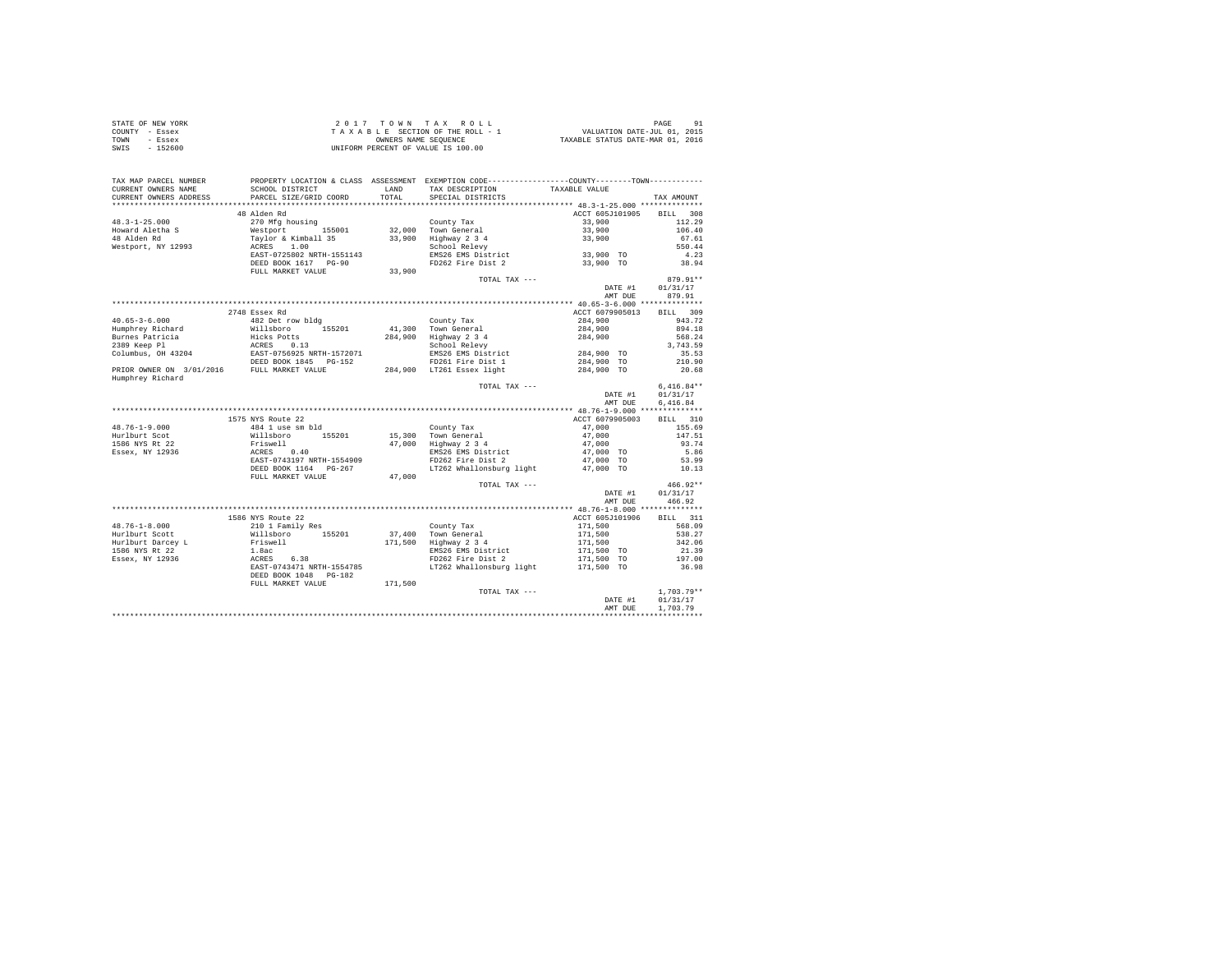| STATE OF NEW YORK | 2017 TOWN TAX ROLL                 | PAGE<br>91                       |
|-------------------|------------------------------------|----------------------------------|
| COUNTY - Essex    | TAXABLE SECTION OF THE ROLL - 1    | VALUATION DATE-JUL 01, 2015      |
| TOWN<br>- Essex   | OWNERS NAME SEOUENCE               | TAXABLE STATUS DATE-MAR 01, 2016 |
| - 152600<br>SWIS  | UNIFORM PERCENT OF VALUE IS 100.00 |                                  |

| TAX MAP PARCEL NUMBER  | PROPERTY LOCATION & CLASS ASSESSMENT EXEMPTION CODE---------------COUNTY-------TOWN----------                                                                                                                                                  |         |                                             |                                                     |              |
|------------------------|------------------------------------------------------------------------------------------------------------------------------------------------------------------------------------------------------------------------------------------------|---------|---------------------------------------------|-----------------------------------------------------|--------------|
| CURRENT OWNERS NAME    | SCHOOL DISTRICT                                                                                                                                                                                                                                | LAND    | TAX DESCRIPTION                             | TAXABLE VALUE                                       |              |
| CURRENT OWNERS ADDRESS | PARCEL SIZE/GRID COORD                                                                                                                                                                                                                         | TOTAL   | SPECIAL DISTRICTS                           |                                                     | TAX AMOUNT   |
|                        |                                                                                                                                                                                                                                                |         |                                             |                                                     |              |
|                        | 48 Alden Rd                                                                                                                                                                                                                                    |         |                                             | ACCT 605J101905                                     | BILL 308     |
| $48.3 - 1 - 25.000$    | 270 Mfg housing                                                                                                                                                                                                                                |         | County Tax                                  | 33,900                                              | 112.29       |
| Howard Aletha S        |                                                                                                                                                                                                                                                |         |                                             | 33,900                                              | 106.40       |
| 48 Alden Rd            | Westport 155001<br>Taylor & Kimball 35<br>ACRES 1.00                                                                                                                                                                                           |         | 32,000 Town General<br>33,900 Highway 2 3 4 | 33,900                                              | 67.61        |
| Westport, NY 12993     |                                                                                                                                                                                                                                                |         | School Relevy                               |                                                     | 550.44       |
|                        | EAST-0725802 NRTH-1551143                                                                                                                                                                                                                      |         | EMS26 EMS District                          | 33,900 TO                                           | 4.23         |
|                        | DEED BOOK 1617 PG-90                                                                                                                                                                                                                           |         | FD262 Fire Dist 2                           | 33,900 TO                                           | 38.94        |
|                        | FULL MARKET VALUE                                                                                                                                                                                                                              | 33,900  |                                             |                                                     |              |
|                        |                                                                                                                                                                                                                                                |         | TOTAL TAX ---                               |                                                     | $879.91**$   |
|                        |                                                                                                                                                                                                                                                |         |                                             | DATE #1                                             | 01/31/17     |
|                        |                                                                                                                                                                                                                                                |         |                                             | AMT DUE                                             | 879.91       |
|                        |                                                                                                                                                                                                                                                |         |                                             |                                                     |              |
|                        | 2748 Essex Rd                                                                                                                                                                                                                                  |         |                                             | ACCT 6079905013                                     | BILL 309     |
| $40.65 - 3 - 6.000$    |                                                                                                                                                                                                                                                |         | County Tax                                  | 284,900                                             | 943.72       |
| Humphrey Richard       | 482 Det row bldg<br>Willsboro 155201                                                                                                                                                                                                           |         | 41.300 Town General                         | 284,900                                             | 894.18       |
|                        |                                                                                                                                                                                                                                                |         |                                             | 284,900                                             | 568.24       |
|                        |                                                                                                                                                                                                                                                |         |                                             |                                                     | 3,743.59     |
|                        |                                                                                                                                                                                                                                                |         | EMS26 EMS District                          | 284,900 TO                                          | 35.53        |
|                        |                                                                                                                                                                                                                                                |         | FD261 Fire Dist 1                           | 284,900 TO                                          | 210.90       |
|                        | Augustey Richard Michael Hicks Pottant 1994<br>Hicks Pottant 284,900 Highway 2 34<br>289 Reep Pl ACRES 0.13<br>284,900 Highway 2 34<br>284,900 Highway 2 34<br>284,900 Highway 2 34<br>284,900 Highway 2 34<br>284,900 Highway 2 34<br>284,900 |         |                                             | 284,900 TO                                          | 20.68        |
| Humphrey Richard       |                                                                                                                                                                                                                                                |         |                                             |                                                     |              |
|                        |                                                                                                                                                                                                                                                |         | TOTAL TAX ---                               |                                                     | $6.416.84**$ |
|                        |                                                                                                                                                                                                                                                |         |                                             | DATE #1                                             | 01/31/17     |
|                        |                                                                                                                                                                                                                                                |         |                                             | AMT DUE                                             | 6.416.84     |
|                        |                                                                                                                                                                                                                                                |         |                                             |                                                     |              |
|                        | 1575 NYS Route 22                                                                                                                                                                                                                              |         |                                             | ACCT 6079905003                                     | BILL 310     |
| $48.76 - 1 - 9.000$    |                                                                                                                                                                                                                                                |         | County Tax                                  | 47,000                                              | 155.69       |
| Hurlburt Scot          |                                                                                                                                                                                                                                                |         | 15,300 Town General                         |                                                     | 147.51       |
| 1586 NYS Rt 22         |                                                                                                                                                                                                                                                |         | 15,300 Town General<br>47,000 Highway 2 3 4 | 47,000<br>47,000<br>47,000 TO                       | 93.74        |
| Essex, NY 12936        |                                                                                                                                                                                                                                                |         | EMS26 EMS District                          |                                                     | 5.86         |
|                        | AND NOTE 22<br>484 1 use sm bld<br>Willsboro 155201<br>Friswell<br>ACRES 0.40<br>EAST-0743197 NRTH-1554909                                                                                                                                     |         | FD262 Fire Dist 2                           | 47,000 TO                                           | 53.99        |
|                        | DEED BOOK 1164 PG-267                                                                                                                                                                                                                          |         |                                             | LT262 Whallonsburg light 47,000 TO                  | 10.13        |
|                        | FULL MARKET VALUE                                                                                                                                                                                                                              | 47,000  |                                             |                                                     |              |
|                        |                                                                                                                                                                                                                                                |         | TOTAL TAX ---                               |                                                     | $466.92**$   |
|                        |                                                                                                                                                                                                                                                |         |                                             | DATE #1                                             | 01/31/17     |
|                        |                                                                                                                                                                                                                                                |         |                                             | AMT DUE                                             | 466.92       |
|                        |                                                                                                                                                                                                                                                |         |                                             |                                                     |              |
|                        | 1586 NYS Route 22                                                                                                                                                                                                                              |         |                                             | ACCT 605J101906                                     | BILL 311     |
| $48.76 - 1 - 8.000$    | 210 1 Family Res                                                                                                                                                                                                                               |         | County Tax                                  |                                                     | 568.09       |
| Hurlburt Scott         | Willsboro<br>Friswell<br>155201                                                                                                                                                                                                                |         | 37,400 Town General                         | 171,500<br>171,500<br>171,500<br>171,500<br>175,600 | 538.27       |
| Hurlburt Darcey L      |                                                                                                                                                                                                                                                |         | 171,500 Highway 2 3 4                       |                                                     | 342.06       |
| 1586 NYS Rt 22         |                                                                                                                                                                                                                                                |         | EMS26 EMS District                          |                                                     | 21.39        |
| Essex, NY 12936        |                                                                                                                                                                                                                                                |         | FD262 Fire Dist 2                           | 171,500 TO                                          | 197.00       |
|                        | ---------<br>1.8ac<br>ACRES 6.38<br>EAST-0743471 NRTH-1554785                                                                                                                                                                                  |         | LT262 Whallonsburg light                    | 171,500 TO                                          | 36.98        |
|                        | DEED BOOK 1048    PG-182                                                                                                                                                                                                                       |         |                                             |                                                     |              |
|                        | FULL MARKET VALUE                                                                                                                                                                                                                              | 171,500 |                                             |                                                     |              |
|                        |                                                                                                                                                                                                                                                |         | TOTAL TAX ---                               |                                                     | $1,703.79**$ |
|                        |                                                                                                                                                                                                                                                |         |                                             | DATE #1                                             | 01/31/17     |
|                        |                                                                                                                                                                                                                                                |         |                                             | AMT DUE                                             | 1,703.79     |
|                        |                                                                                                                                                                                                                                                |         |                                             |                                                     |              |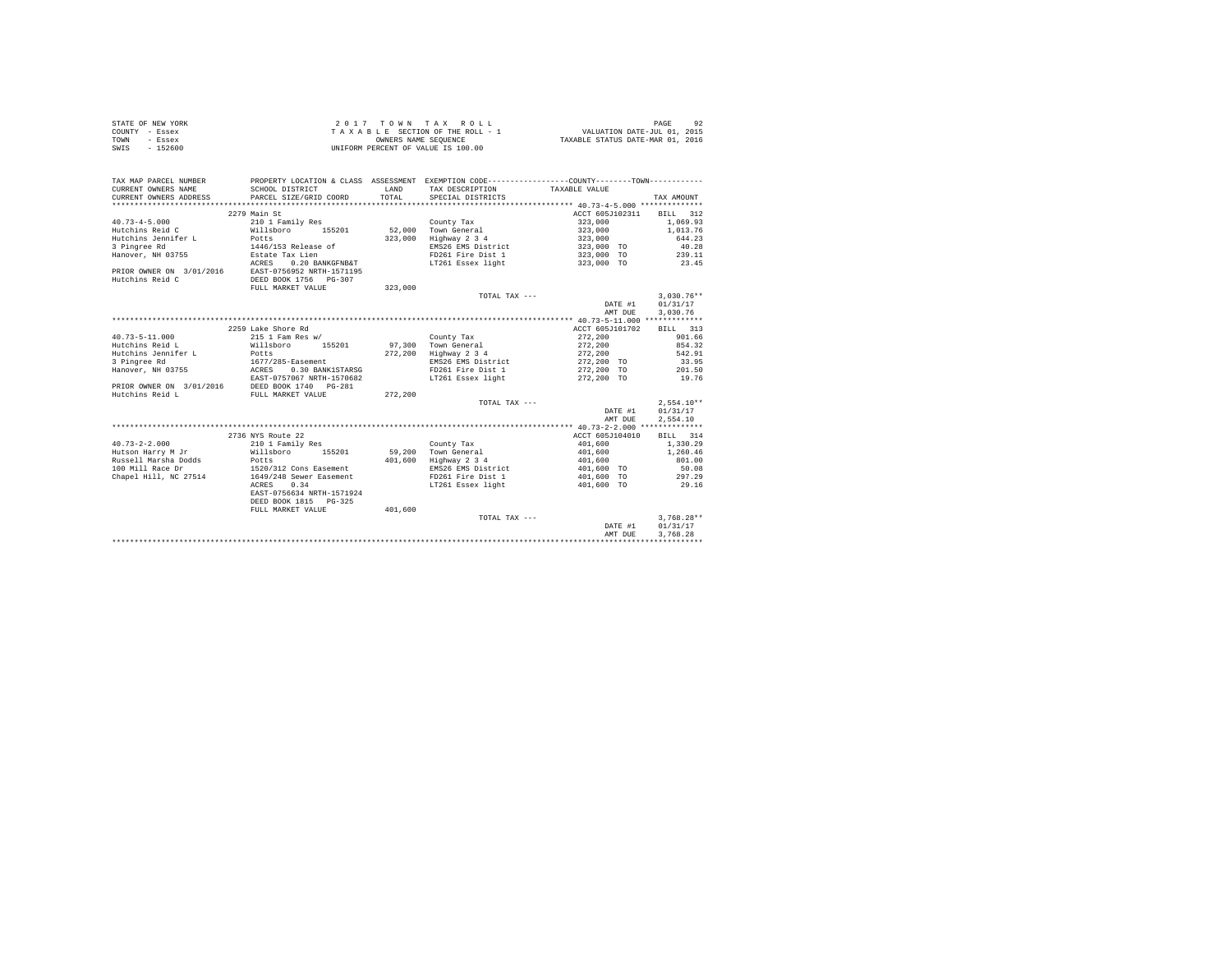|                | STATE OF NEW YORK | 2017 TOWN TAX ROLL                 | PAGE                             |
|----------------|-------------------|------------------------------------|----------------------------------|
| COUNTY - Essex |                   | TAXABLE SECTION OF THE ROLL - 1    | VALUATION DATE-JUL 01, 2015      |
| TOWN           | - Essex           | OWNERS NAME SEOUENCE               | TAXABLE STATUS DATE-MAR 01, 2016 |
| SWIS           | $-152600$         | UNIFORM PERCENT OF VALUE IS 100.00 |                                  |

| TAX MAP PARCEL NUMBER<br>CURRENT OWNERS NAME<br>CURRENT OWNERS ADDRESS | SCHOOL DISTRICT<br>PARCEL SIZE/GRID COORD | LAND<br>TOTAL. | PROPERTY LOCATION & CLASS ASSESSMENT EXEMPTION CODE----------------COUNTY--------TOWN----------<br>TAX DESCRIPTION<br>SPECIAL DISTRICTS | TAXABLE VALUE   | TAX AMOUNT   |
|------------------------------------------------------------------------|-------------------------------------------|----------------|-----------------------------------------------------------------------------------------------------------------------------------------|-----------------|--------------|
|                                                                        |                                           |                |                                                                                                                                         |                 |              |
|                                                                        | 2279 Main St                              |                |                                                                                                                                         | ACCT 605J102311 | BILL 312     |
| $40.73 - 4 - 5.000$                                                    | 210 1 Family Res                          |                | County Tax                                                                                                                              | 323,000         | 1,069.93     |
| Hutchins Reid C                                                        | Willsboro<br>155201                       | 52,000         | Town General                                                                                                                            | 323,000         | 1,013.76     |
| Hutchins Jennifer L                                                    | Potts                                     | 323,000        | Highway 2 3 4                                                                                                                           | 323,000         | 644.23       |
| 3 Pingree Rd                                                           | 1446/153 Release of                       |                | EMS26 EMS District                                                                                                                      | 323,000 TO      | 40.28        |
| Hanover, NH 03755                                                      | Estate Tax Lien                           |                | FD261 Fire Dist 1                                                                                                                       | 323,000 TO      | 239.11       |
|                                                                        | 0.20 BANKGFNB&T<br>ACRES                  |                | LT261 Essex light                                                                                                                       | 323,000 TO      | 23.45        |
| PRIOR OWNER ON 3/01/2016                                               | EAST-0756952 NRTH-1571195                 |                |                                                                                                                                         |                 |              |
| Hutchins Reid C                                                        | DEED BOOK 1756 PG-307                     |                |                                                                                                                                         |                 |              |
|                                                                        | FULL MARKET VALUE                         | 323,000        |                                                                                                                                         |                 |              |
|                                                                        |                                           |                | TOTAL TAX ---                                                                                                                           |                 | $3,030.76**$ |
|                                                                        |                                           |                |                                                                                                                                         | DATE #1         | 01/31/17     |
|                                                                        |                                           |                |                                                                                                                                         | AMT DUE         | 3,030.76     |
|                                                                        |                                           |                |                                                                                                                                         |                 |              |
|                                                                        | 2259 Lake Shore Rd                        |                |                                                                                                                                         | ACCT 605J101702 | 313<br>BILL  |
| $40.73 - 5 - 11.000$                                                   | 215 1 Fam Res w/                          |                | County Tax                                                                                                                              | 272.200         | 901.66       |
| Hutchins Reid L                                                        | Willsboro<br>155201                       |                | 97.300 Town General                                                                                                                     | 272,200         | 854.32       |
| Hutchins Jennifer L                                                    | Potts                                     | 272.200        | Highway 2 3 4                                                                                                                           | 272,200         | 542.91       |
| 3 Pingree Rd                                                           | 1677/285-Easement                         |                | EMS26 EMS District                                                                                                                      | 272,200 TO      | 33.95        |
| Hanover, NH 03755<br>ACRES                                             | 0.30 BANK1STARSG                          |                | FD261 Fire Dist 1                                                                                                                       | 272,200 TO      | 201.50       |
|                                                                        | EAST-0757067 NRTH-1570682                 |                | LT261 Essex light                                                                                                                       | 272,200 TO      | 19.76        |
| PRIOR OWNER ON 3/01/2016                                               | DEED BOOK 1740 PG-281                     |                |                                                                                                                                         |                 |              |
| Hutchins Reid L                                                        | FULL MARKET VALUE                         | 272,200        |                                                                                                                                         |                 |              |
|                                                                        |                                           |                | TOTAL TAX ---                                                                                                                           |                 | $2,554.10**$ |
|                                                                        |                                           |                |                                                                                                                                         | DATE #1         | 01/31/17     |
|                                                                        |                                           |                |                                                                                                                                         | AMT DUE         | 2,554.10     |
|                                                                        |                                           |                |                                                                                                                                         |                 |              |
|                                                                        | 2736 NYS Route 22                         |                |                                                                                                                                         | ACCT 605J104010 | BILL 314     |
| $40.73 - 2 - 2.000$                                                    | 210 1 Family Res                          |                | County Tax                                                                                                                              | 401,600         | 1,330.29     |
| Hutson Harry M Jr                                                      | Willsboro<br>155201                       |                | 59.200 Town General                                                                                                                     | 401,600         | 1,260.46     |
| Russell Marsha Dodds                                                   | Potts                                     | 401,600        | Highway 2 3 4                                                                                                                           | 401,600         | 801.00       |
| 100 Mill Race Dr                                                       | 1520/312 Cons Easement                    |                | EMS26 EMS District                                                                                                                      | 401,600 TO      | 50.08        |
| Chapel Hill, NC 27514                                                  | 1649/248 Sewer Easement                   |                | FD261 Fire Dist 1                                                                                                                       | 401,600 TO      | 297.29       |
|                                                                        | 0.34<br>ACRES                             |                | LT261 Essex light                                                                                                                       | 401,600 TO      | 29.16        |
|                                                                        | EAST-0756634 NRTH-1571924                 |                |                                                                                                                                         |                 |              |
|                                                                        | DEED BOOK 1815 PG-325                     |                |                                                                                                                                         |                 |              |
|                                                                        | FULL MARKET VALUE                         | 401,600        |                                                                                                                                         |                 |              |
|                                                                        |                                           |                | TOTAL TAX ---                                                                                                                           |                 | $3.768.28**$ |
|                                                                        |                                           |                |                                                                                                                                         | DATE #1         | 01/31/17     |
|                                                                        |                                           |                |                                                                                                                                         | AMT DUE         | 3.768.28     |
|                                                                        |                                           |                |                                                                                                                                         |                 |              |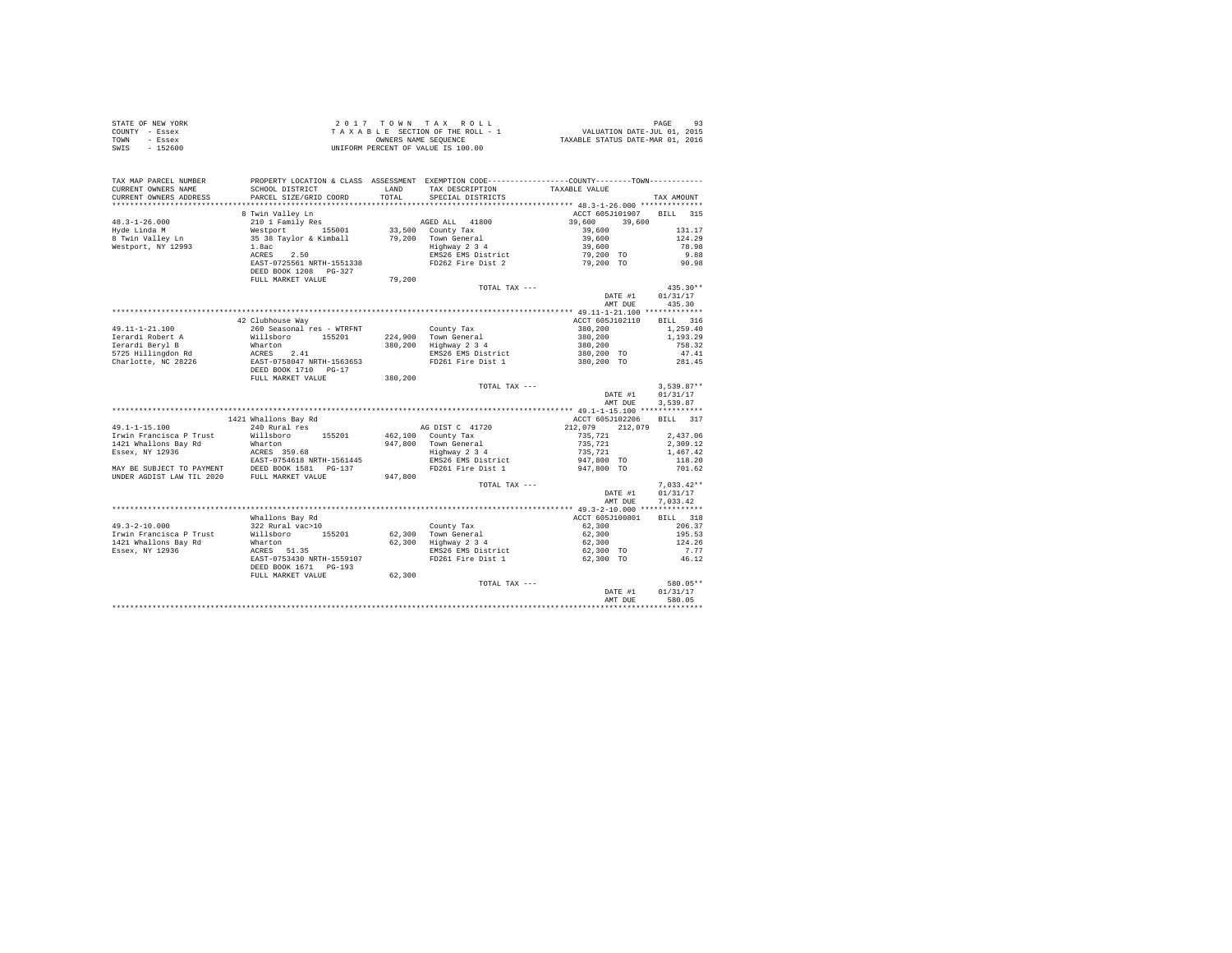| STATE OF NEW YORK       |                                                                                                                      |                                                            |                                                                          |                          |  |
|-------------------------|----------------------------------------------------------------------------------------------------------------------|------------------------------------------------------------|--------------------------------------------------------------------------|--------------------------|--|
| COUNTY - Essex          |                                                                                                                      |                                                            |                                                                          |                          |  |
| TOWN - Essex            |                                                                                                                      |                                                            |                                                                          |                          |  |
| SWIS - 152600           |                                                                                                                      |                                                            |                                                                          |                          |  |
|                         |                                                                                                                      |                                                            |                                                                          |                          |  |
|                         |                                                                                                                      |                                                            |                                                                          |                          |  |
|                         |                                                                                                                      |                                                            |                                                                          |                          |  |
|                         | TAX MAP PARCEL NUMBER PROPERTY LOCATION & CLASS ASSESSMENT EXEMPTION CODE---------------COUNTY--------TOWN---------- |                                                            |                                                                          |                          |  |
| CURRENT OWNERS NAME     | SCHOOL DISTRICT                                                                                                      | LAND TAX DESCRIPTION TAXABLE VALUE TOTAL SPECIAL DISTRICTS |                                                                          |                          |  |
| CURRENT OWNERS ADDRESS  | PARCEL SIZE/GRID COORD                                                                                               |                                                            |                                                                          | TAX AMOUNT               |  |
|                         |                                                                                                                      |                                                            |                                                                          |                          |  |
|                         |                                                                                                                      |                                                            |                                                                          | ACCT 605J101907 BILL 315 |  |
|                         |                                                                                                                      |                                                            |                                                                          |                          |  |
|                         |                                                                                                                      |                                                            | $39,600$ $39,600$ $1$<br>$39,600$ $1$<br>$39,600$ $1$<br>$39,600$ $1$    | 131.17                   |  |
|                         |                                                                                                                      |                                                            |                                                                          | 124.29                   |  |
|                         |                                                                                                                      |                                                            |                                                                          | 78.98                    |  |
|                         |                                                                                                                      |                                                            |                                                                          | 9.88                     |  |
|                         |                                                                                                                      |                                                            |                                                                          | 90.98                    |  |
|                         |                                                                                                                      |                                                            |                                                                          |                          |  |
|                         |                                                                                                                      |                                                            |                                                                          |                          |  |
|                         |                                                                                                                      | TOTAL TAX ---                                              |                                                                          | $435.30**$               |  |
|                         |                                                                                                                      |                                                            |                                                                          | DATE #1 01/31/17         |  |
|                         |                                                                                                                      |                                                            |                                                                          | AMT DUE 435.30           |  |
|                         |                                                                                                                      |                                                            |                                                                          |                          |  |
|                         | 42 Clubhouse Way                                                                                                     |                                                            |                                                                          | ACCT 605J102110 BILL 316 |  |
|                         |                                                                                                                      |                                                            |                                                                          | 1,259.40                 |  |
|                         |                                                                                                                      |                                                            | $380, 200$<br>$380, 200$<br>$380, 200$<br>$380, 200$ TO<br>$380, 200$ TO | 1,193.29                 |  |
|                         |                                                                                                                      |                                                            |                                                                          | 758.32                   |  |
|                         |                                                                                                                      |                                                            |                                                                          | 47.41                    |  |
|                         |                                                                                                                      |                                                            |                                                                          | 281.45                   |  |
|                         |                                                                                                                      |                                                            |                                                                          |                          |  |
|                         |                                                                                                                      |                                                            |                                                                          |                          |  |
|                         |                                                                                                                      | TOTAL TAX ---                                              |                                                                          | $3.539.87**$             |  |
|                         |                                                                                                                      |                                                            |                                                                          | DATE #1 01/31/17         |  |
|                         |                                                                                                                      |                                                            |                                                                          | AMT DUE<br>3.539.87      |  |
|                         |                                                                                                                      |                                                            |                                                                          |                          |  |
|                         |                                                                                                                      |                                                            | ACCT 605J102206                                                          |                          |  |
|                         | 1421 Whallons Bay Rd<br>240 Rural res                                                                                |                                                            |                                                                          | BILL 317                 |  |
|                         |                                                                                                                      |                                                            |                                                                          |                          |  |
|                         |                                                                                                                      |                                                            |                                                                          |                          |  |
|                         |                                                                                                                      |                                                            |                                                                          |                          |  |
|                         |                                                                                                                      |                                                            |                                                                          |                          |  |
|                         |                                                                                                                      |                                                            |                                                                          |                          |  |
|                         |                                                                                                                      |                                                            |                                                                          |                          |  |
|                         |                                                                                                                      |                                                            |                                                                          |                          |  |
|                         |                                                                                                                      | TOTAL TAX ---                                              |                                                                          | $7,033.42**$             |  |
|                         |                                                                                                                      |                                                            |                                                                          | DATE #1<br>01/31/17      |  |
|                         |                                                                                                                      |                                                            |                                                                          | AMT DUE<br>7.033.42      |  |
|                         |                                                                                                                      |                                                            |                                                                          |                          |  |
|                         |                                                                                                                      |                                                            |                                                                          | BILL 318                 |  |
| $49.3 - 2 - 10.000$     |                                                                                                                      |                                                            | $62,300$<br>62,300<br>62,300                                             | 206.37                   |  |
| Irwin Francisca P Trust |                                                                                                                      |                                                            |                                                                          | 195.53                   |  |
| 1421 Whallons Bay Rd    |                                                                                                                      |                                                            | 62,300                                                                   | 124.26                   |  |
| Essex, NY 12936         |                                                                                                                      |                                                            |                                                                          | 7.77                     |  |
|                         |                                                                                                                      |                                                            |                                                                          | 46.12                    |  |
|                         |                                                                                                                      |                                                            |                                                                          |                          |  |
|                         | FULL MARKET VALUE 62,300                                                                                             |                                                            |                                                                          |                          |  |
|                         |                                                                                                                      | TOTAL TAX ---                                              |                                                                          | 580.05**                 |  |
|                         |                                                                                                                      |                                                            |                                                                          | DATE #1<br>01/31/17      |  |
|                         |                                                                                                                      |                                                            |                                                                          | 580.05<br>AMT DUE        |  |
|                         |                                                                                                                      |                                                            |                                                                          |                          |  |
|                         |                                                                                                                      |                                                            |                                                                          |                          |  |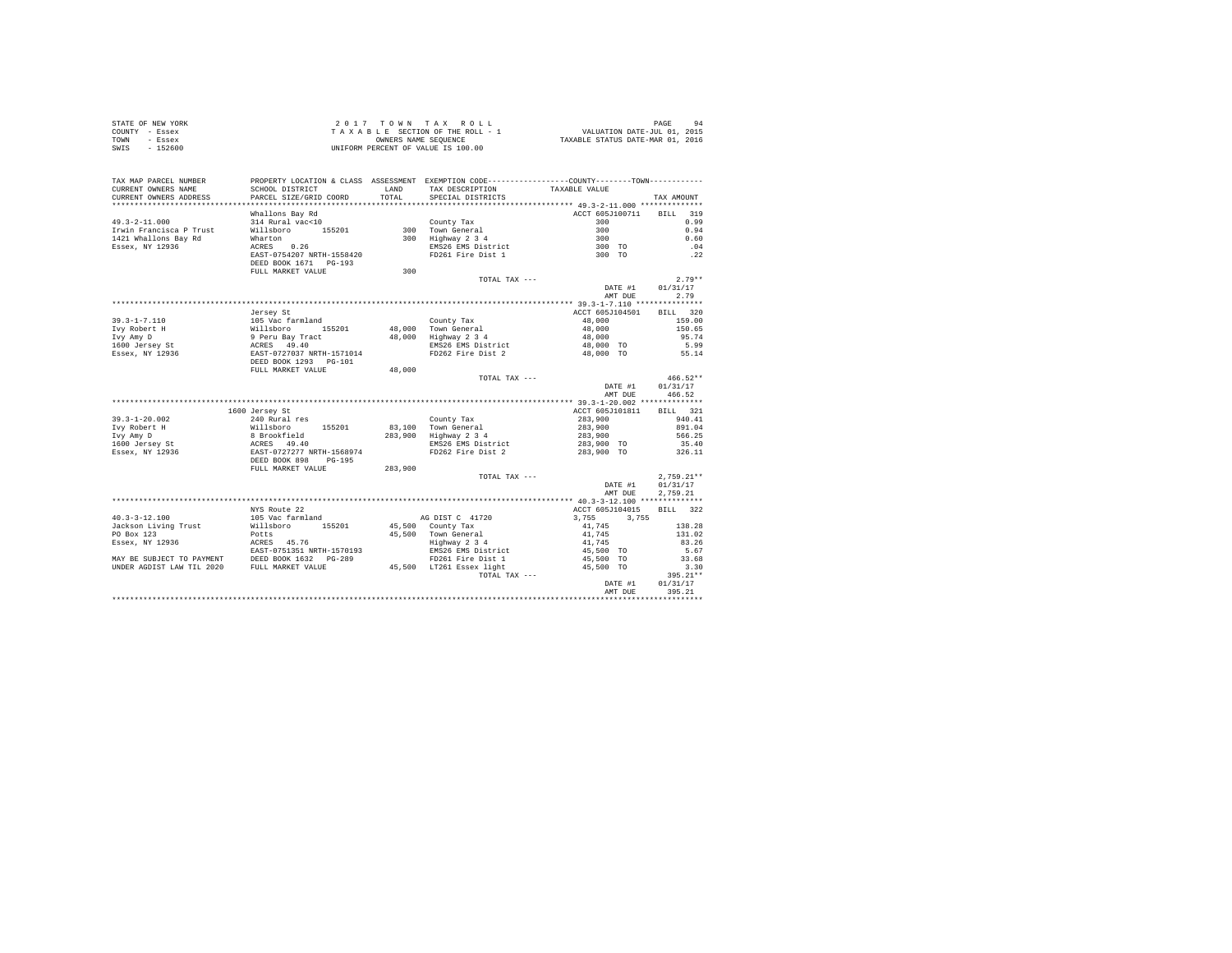| STATE OF NEW YORK |          |  | $2.017$ TOWN TAX ROLL              |  |  |                                  | PAGE | 94 |
|-------------------|----------|--|------------------------------------|--|--|----------------------------------|------|----|
| COUNTY - Essex    |          |  | TAXABLE SECTION OF THE ROLL - 1    |  |  | VALUATION DATE-JUL 01, 2015      |      |    |
| TOWN              | - Essex  |  | OWNERS NAME SEOUENCE               |  |  | TAXABLE STATUS DATE-MAR 01, 2016 |      |    |
| SWIS              | - 152600 |  | UNIFORM PERCENT OF VALUE IS 100.00 |  |  |                                  |      |    |

| TAX MAP PARCEL NUMBER<br>CURRENT OWNERS NAME                                                                                                                              | SCHOOL DISTRICT                                                                                                                                                    | LAND                         | PROPERTY LOCATION & CLASS ASSESSMENT EXEMPTION CODE---------------COUNTY-------TOWN----------<br>TAX DESCRIPTION                                                     | TAXABLE VALUE                                                                       |                                                                  |
|---------------------------------------------------------------------------------------------------------------------------------------------------------------------------|--------------------------------------------------------------------------------------------------------------------------------------------------------------------|------------------------------|----------------------------------------------------------------------------------------------------------------------------------------------------------------------|-------------------------------------------------------------------------------------|------------------------------------------------------------------|
| CURRENT OWNERS ADDRESS<br>*************************                                                                                                                       | PARCEL SIZE/GRID COORD                                                                                                                                             | TOTAL                        | SPECIAL DISTRICTS                                                                                                                                                    |                                                                                     | TAX AMOUNT                                                       |
| $49.3 - 2 - 11.000$<br>Irwin Francisca P Trust<br>1421 Whallons Bay Rd<br>Essex, NY 12936                                                                                 | Whallons Bay Rd<br>314 Rural vac<10<br>Willsboro<br>155201<br>Wharton<br>ACRES 0.26<br>EAST-0754207 NRTH-1558420<br>DEED BOOK 1671 PG-193                          |                              | County Tax<br>300 Town General<br>300 Highway 2 3 4<br>EMS26 EMS District<br>FD261 Fire Dist 1                                                                       | ACCT 605J100711<br>300<br>300<br>300<br>300 TO<br>300 TO                            | 319<br><b>BILL</b><br>0.99<br>0.94<br>0.60<br>.04<br>.22         |
|                                                                                                                                                                           | FULL MARKET VALUE                                                                                                                                                  | 300                          |                                                                                                                                                                      |                                                                                     |                                                                  |
|                                                                                                                                                                           |                                                                                                                                                                    |                              | TOTAL TAX ---                                                                                                                                                        | DATE #1<br>AMT DUE                                                                  | $2.79**$<br>01/31/17<br>2.79                                     |
|                                                                                                                                                                           |                                                                                                                                                                    |                              |                                                                                                                                                                      |                                                                                     |                                                                  |
| $39.3 - 1 - 7.110$<br>Ivy Robert H<br>Ivy Amy D<br>1600 Jersey St<br>Essex, NY 12936                                                                                      | Jersey St<br>105 Vac farmland<br>Willsboro<br>155201<br>9 Peru Bay Tract<br>ACRES 49.40<br>EAST-0727037 NRTH-1571014<br>DEED BOOK 1293 PG-101                      | 48,000                       | County Tax<br>48.000 Town General<br>Highway 2 3 4<br>EMS26 EMS District<br>FD262 Fire Dist 2                                                                        | ACCT 605J104501<br>48,000<br>48,000<br>48,000<br>48,000 TO<br>48,000 TO             | BILL 320<br>159.00<br>150.65<br>95.74<br>5.99<br>55.14           |
|                                                                                                                                                                           | FULL MARKET VALUE                                                                                                                                                  | 48,000                       |                                                                                                                                                                      |                                                                                     |                                                                  |
|                                                                                                                                                                           |                                                                                                                                                                    |                              | TOTAL TAX ---                                                                                                                                                        | DATE #1<br>AMT DUE                                                                  | $466.52**$<br>01/31/17<br>466.52                                 |
|                                                                                                                                                                           |                                                                                                                                                                    |                              |                                                                                                                                                                      |                                                                                     |                                                                  |
| $39.3 - 1 - 20.002$<br>Ivy Robert H<br>Ivy Amy D<br>1600 Jersey St<br>Essex, NY 12936                                                                                     | 1600 Jersey St<br>240 Rural res<br>155201<br>Willsboro<br>8 Brookfield<br>ACRES 49.40<br>EAST-0727277 NRTH-1568974<br>DEED BOOK 898<br>PG-195<br>FULL MARKET VALUE | 83,100<br>283,900<br>283,900 | County Tax<br>Town General<br>Highway 2 3 4<br>EMS26 EMS District<br>FD262 Fire Dist 2                                                                               | ACCT 605J101811<br>283,900<br>283,900<br>283,900<br>283,900 TO<br>283,900 TO        | 321<br>BILL<br>940.41<br>891.04<br>566.25<br>35.40<br>326.11     |
|                                                                                                                                                                           |                                                                                                                                                                    |                              | TOTAL TAX ---                                                                                                                                                        | DATE #1<br>AMT DUE                                                                  | $2.759.21**$<br>01/31/17<br>2,759.21                             |
|                                                                                                                                                                           | NYS Route 22                                                                                                                                                       |                              |                                                                                                                                                                      | ACCT 605J104015                                                                     | 322<br><b>BILL</b>                                               |
| $40.3 - 3 - 12.100$<br>Jackson Living Trust<br>PO Box 123<br>Essex, NY 12936<br>MAY BE SUBJECT TO PAYMENT DEED BOOK 1632  <br>UNDER AGDIST LAW TIL 2020 FULL MARKET VALUE | 105 Vac farmland<br>Willsboro<br>155201<br>Potts<br>ACRES 45.76<br>EAST-0751351 NRTH-1570193<br>$PG-289$                                                           |                              | AG DIST C 41720<br>45,500 County Tax<br>45.500 Town General<br>Highway 2 3 4<br>EMS26 EMS District<br>FD261 Fire Dist 1<br>45,500 LT261 Essex light<br>TOTAL TAX --- | 3,755<br>3.755<br>41,745<br>41,745<br>41,745<br>45,500 TO<br>45,500 TO<br>45,500 TO | 138.28<br>131.02<br>83.26<br>5.67<br>33.68<br>3.30<br>$395.21**$ |
|                                                                                                                                                                           |                                                                                                                                                                    |                              |                                                                                                                                                                      | DATE #1<br>AMT DUE                                                                  | 01/31/17<br>395.21                                               |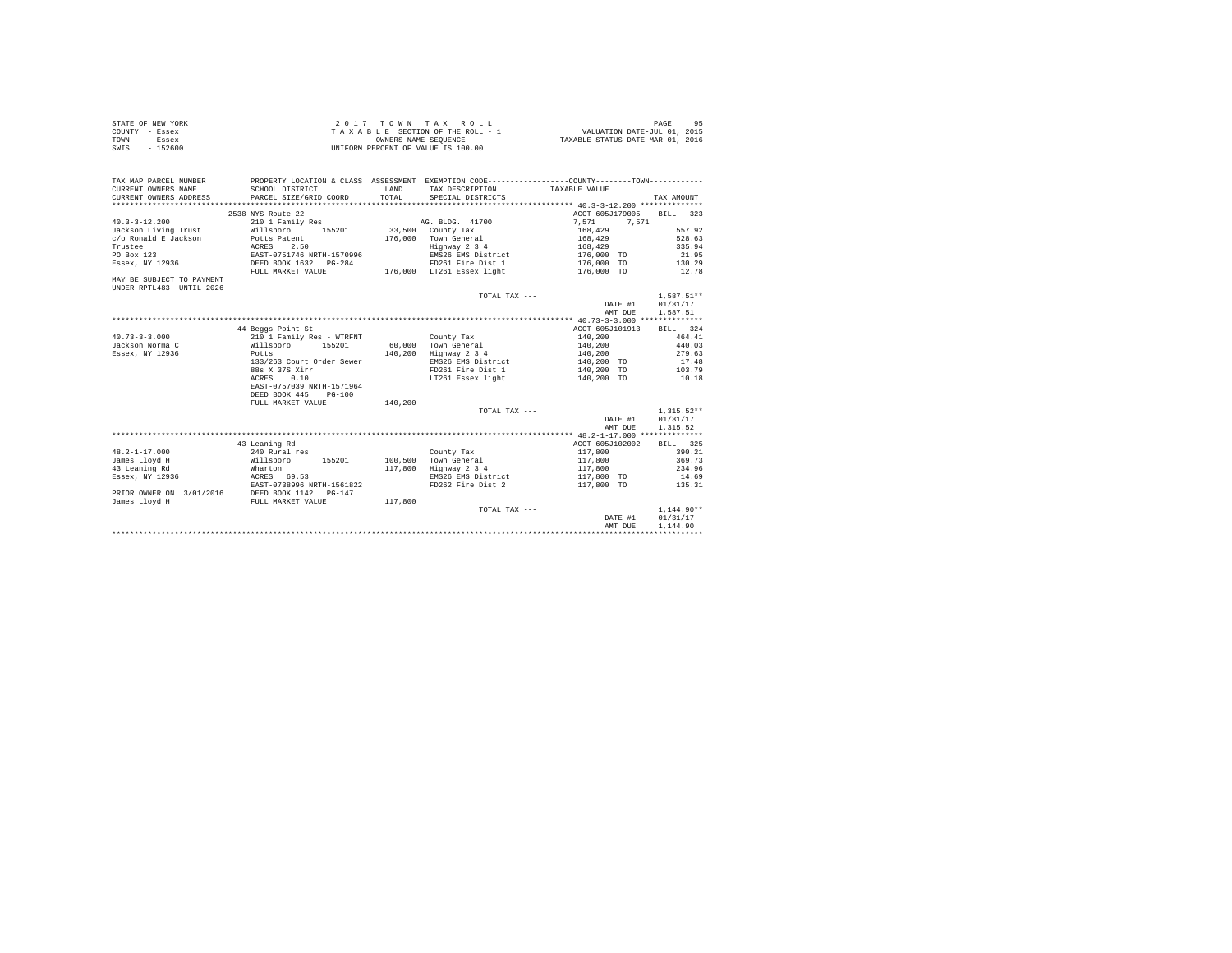| STATE OF NEW YORK | 2017 TOWN TAX ROLL                 | 95<br>PAGE                       |
|-------------------|------------------------------------|----------------------------------|
| COUNTY - Essex    | TAXABLE SECTION OF THE ROLL - 1    | VALUATION DATE-JUL 01, 2015      |
| TOWN<br>- Essex   | OWNERS NAME SEOUENCE               | TAXABLE STATUS DATE-MAR 01, 2016 |
| SWIS<br>$-152600$ | UNIFORM PERCENT OF VALUE IS 100.00 |                                  |

| TAX MAP PARCEL NUMBER<br>CURRENT OWNERS NAME          | PROPERTY LOCATION & CLASS ASSESSMENT EXEMPTION CODE----------------COUNTY--------TOWN----------<br>SCHOOL DISTRICT | <b>T.AND</b> | TAX DESCRIPTION           | TAXABLE VALUE   |              |
|-------------------------------------------------------|--------------------------------------------------------------------------------------------------------------------|--------------|---------------------------|-----------------|--------------|
| CURRENT OWNERS ADDRESS                                | PARCEL SIZE/GRID COORD                                                                                             | TOTAL.       | SPECIAL DISTRICTS         |                 | TAX AMOUNT   |
|                                                       |                                                                                                                    |              |                           |                 |              |
|                                                       | 2538 NYS Route 22                                                                                                  |              |                           | ACCT 605J179005 | BILL 323     |
| $40.3 - 3 - 12.200$                                   | 210 1 Family Res                                                                                                   |              | AG. BLDG. 41700           | 7.571<br>7.571  |              |
| Jackson Living Trust                                  | Willsboro<br>155201                                                                                                |              | 33,500 County Tax         | 168,429         | 557.92       |
| c/o Ronald E Jackson                                  | Potts Patent                                                                                                       | 176,000      | Town General              | 168,429         | 528.63       |
| Trustee                                               | 2.50<br>ACRES                                                                                                      |              | Highway 2 3 4             | 168,429         | 335.94       |
| PO Box 123                                            | EAST-0751746 NRTH-1570996                                                                                          |              | EMS26 EMS District        | 176,000 TO      | 21.95        |
| Essex, NY 12936                                       | DEED BOOK 1632 PG-284                                                                                              |              | FD261 Fire Dist 1         | 176,000 TO      | 130.29       |
|                                                       | FULL MARKET VALUE                                                                                                  |              | 176,000 LT261 Essex light | 176,000 TO      | 12.78        |
| MAY BE SUBJECT TO PAYMENT<br>UNDER RPTL483 UNTIL 2026 |                                                                                                                    |              |                           |                 |              |
|                                                       |                                                                                                                    |              | TOTAL TAX ---             |                 | $1.587.51**$ |
|                                                       |                                                                                                                    |              |                           | DATE #1         | 01/31/17     |
|                                                       |                                                                                                                    |              |                           | AMT DUE         | 1,587.51     |
|                                                       |                                                                                                                    |              |                           |                 |              |
|                                                       | 44 Beggs Point St                                                                                                  |              |                           | ACCT 605J101913 | BILL 324     |
| $40.73 - 3 - 3.000$                                   | 210 1 Family Res - WTRFNT                                                                                          |              | County Tax                | 140,200         | 464.41       |
| Jackson Norma C                                       | Willsboro<br>155201                                                                                                | 60,000       | Town General              | 140,200         | 440.03       |
| Essex, NY 12936                                       | Potts                                                                                                              | 140,200      | Highway 2 3 4             | 140,200         | 279.63       |
|                                                       | 133/263 Court Order Sewer                                                                                          |              | EMS26 EMS District        | 140,200 TO      | 17.48        |
|                                                       | 88s X 37S Xirr                                                                                                     |              | FD261 Fire Dist 1         | 140,200 TO      | 103.79       |
|                                                       | 0.10<br>ACRES                                                                                                      |              | LT261 Essex light         | 140,200 TO      | 10.18        |
|                                                       | EAST-0757039 NRTH-1571964<br>DEED BOOK 445<br>$PG-100$                                                             |              |                           |                 |              |
|                                                       | FULL MARKET VALUE                                                                                                  | 140,200      |                           |                 |              |
|                                                       |                                                                                                                    |              | TOTAL TAX ---             |                 | $1,315.52**$ |
|                                                       |                                                                                                                    |              |                           | DATE #1         | 01/31/17     |
|                                                       |                                                                                                                    |              |                           |                 |              |
|                                                       |                                                                                                                    |              |                           | AMT DUE         | 1,315.52     |
|                                                       | 43 Leaning Rd                                                                                                      |              |                           | ACCT 605J102002 | BILL 325     |
| $48.2 - 1 - 17.000$                                   | 240 Rural res                                                                                                      |              |                           | 117,800         | 390.21       |
|                                                       |                                                                                                                    | 100,500      | County Tax                |                 |              |
| James Lloyd H                                         | Willsboro<br>155201                                                                                                |              | Town General              | 117,800         | 369.73       |
| 43 Leaning Rd                                         | Wharton                                                                                                            | 117,800      | Highway 2 3 4             | 117,800         | 234.96       |
| Essex, NY 12936                                       | ACRES 69.53                                                                                                        |              | EMS26 EMS District        | 117,800 TO      | 14.69        |
|                                                       | EAST-0738996 NRTH-1561822                                                                                          |              | FD262 Fire Dist 2         | 117,800 TO      | 135.31       |
| PRIOR OWNER ON 3/01/2016                              | DEED BOOK 1142 PG-147                                                                                              |              |                           |                 |              |
| James Lloyd H                                         | FULL MARKET VALUE                                                                                                  | 117,800      |                           |                 |              |
|                                                       |                                                                                                                    |              | TOTAL TAX ---             |                 | $1,144.90**$ |
|                                                       |                                                                                                                    |              |                           | DATE #1         | 01/31/17     |
|                                                       |                                                                                                                    |              |                           | AMT DUE         | 1.144.90     |
|                                                       |                                                                                                                    |              |                           |                 |              |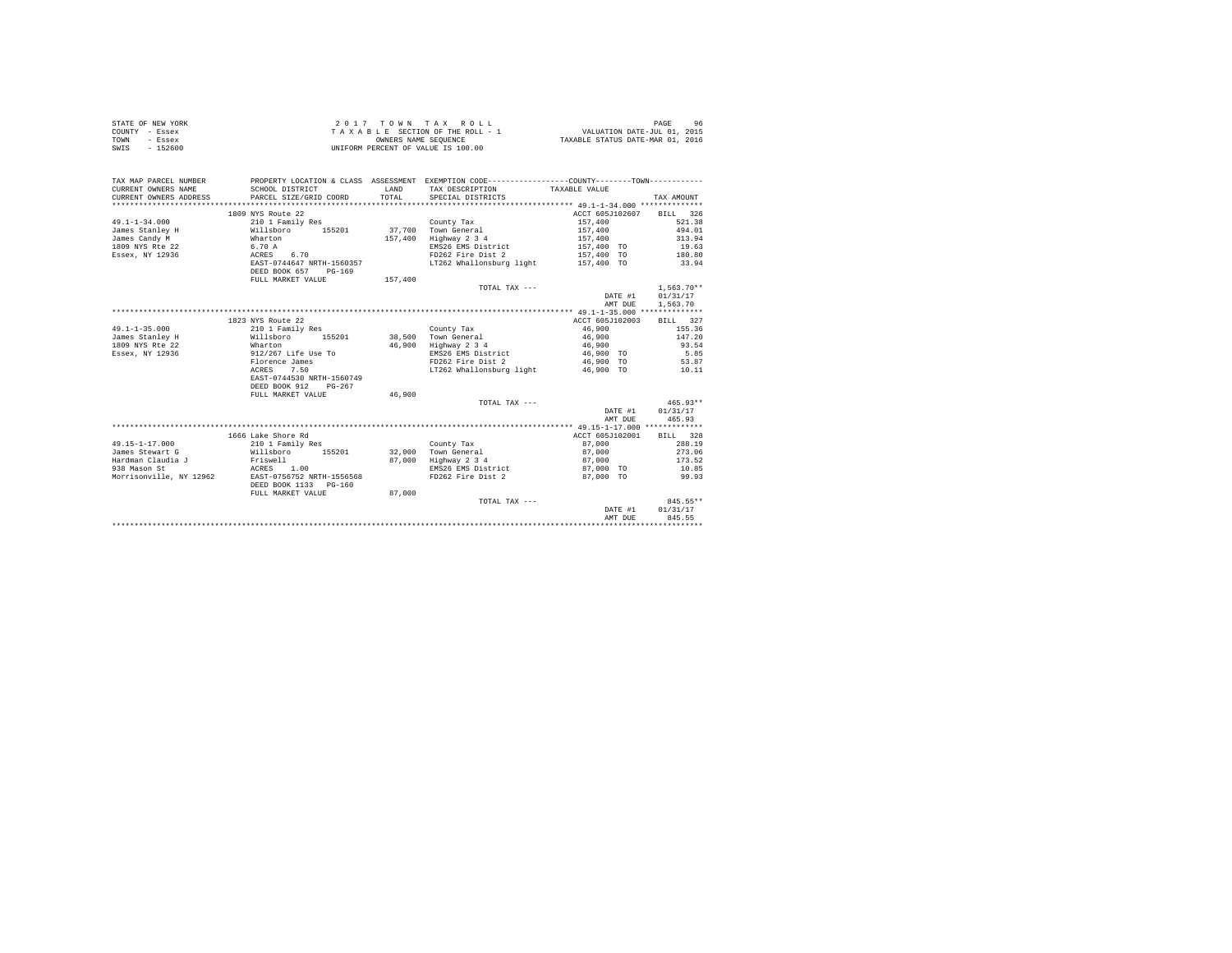|                | STATE OF NEW YORK |  |  |  | 2017 TOWN TAX ROLL                 |  |  |  |  |                                  | PAGE |  |
|----------------|-------------------|--|--|--|------------------------------------|--|--|--|--|----------------------------------|------|--|
| COUNTY - Essex |                   |  |  |  | TAXABLE SECTION OF THE ROLL - 1    |  |  |  |  | VALUATION DATE-JUL 01, 2015      |      |  |
| TOWN           | - Essex           |  |  |  | OWNERS NAME SEOUENCE               |  |  |  |  | TAXABLE STATUS DATE-MAR 01, 2016 |      |  |
| SWIS           | - 152600          |  |  |  | UNIFORM PERCENT OF VALUE IS 100.00 |  |  |  |  |                                  |      |  |

| TAX MAP PARCEL NUMBER<br>CURRENT OWNERS NAME<br>CURRENT OWNERS ADDRESS | SCHOOL DISTRICT<br>PARCEL SIZE/GRID COORD          | LAND<br>TOTAL. | PROPERTY LOCATION & CLASS ASSESSMENT EXEMPTION CODE----------------COUNTY-------TOWN----------<br>TAX DESCRIPTION TAXABLE VALUE<br>SPECIAL DISTRICTS |                 | TAX AMOUNT     |
|------------------------------------------------------------------------|----------------------------------------------------|----------------|------------------------------------------------------------------------------------------------------------------------------------------------------|-----------------|----------------|
|                                                                        | 1809 NYS Route 22                                  |                |                                                                                                                                                      | ACCT 605J102607 | BILL 326       |
| $49.1 - 1 - 34.000$                                                    | 210 1 Family Res                                   |                | County Tax                                                                                                                                           | 157,400         | 521.38         |
| James Stanley H                                                        | Willsboro 155201                                   |                | 37.700 Town General                                                                                                                                  | 157,400         | 494.01         |
| James Candy M                                                          | Wharton                                            | 157,400        | Highway 2 3 4                                                                                                                                        | 157,400         | 313.94         |
| 1809 NYS Rte 22                                                        | 6.70 A                                             |                | EMS26 EMS District                                                                                                                                   | 157,400 TO      | 19.63          |
| Essex, NY 12936                                                        | ACRES 6.70                                         |                | FD262 Fire Dist 2                                                                                                                                    | 157,400 TO      | 180.80         |
|                                                                        | EAST-0744647 NRTH-1560357                          |                | LT262 Whallonsburg light 157,400 TO                                                                                                                  |                 | 33.94          |
|                                                                        | DEED BOOK 657<br>$PG-169$                          |                |                                                                                                                                                      |                 |                |
|                                                                        | FULL MARKET VALUE                                  | 157,400        |                                                                                                                                                      |                 |                |
|                                                                        |                                                    |                | TOTAL TAX ---                                                                                                                                        |                 | $1,563.70**$   |
|                                                                        |                                                    |                |                                                                                                                                                      | DATE #1         | 01/31/17       |
|                                                                        |                                                    |                |                                                                                                                                                      | AMT DUE         | 1,563.70       |
|                                                                        |                                                    |                |                                                                                                                                                      |                 |                |
|                                                                        | 1823 NYS Route 22                                  |                |                                                                                                                                                      | ACCT 605J102003 | BILL 327       |
| $49.1 - 1 - 35.000$                                                    | 210 1 Family Res                                   |                | County Tax                                                                                                                                           | 46,900          | 155.36         |
| James Stanley H                                                        | 155201<br>Willsboro                                | 38,500         | Town General                                                                                                                                         | 46,900          | 147.20         |
| 1809 NYS Rte 22                                                        | Wharton                                            | 46,900         | Highway 2 3 4                                                                                                                                        | 46,900          | 93.54          |
| Essex, NY 12936                                                        | 912/267 Life Use To                                |                | EMS26 EMS District                                                                                                                                   | 46,900 TO       | 5.85           |
|                                                                        | Florence James                                     |                | FD262 Fire Dist 2                                                                                                                                    | 46.900 TO 53.87 |                |
|                                                                        | 7.50<br>ACRES                                      |                | LT262 Whallonsburg light 46,900 TO                                                                                                                   |                 | 10.11          |
|                                                                        | EAST-0744530 NRTH-1560749                          |                |                                                                                                                                                      |                 |                |
|                                                                        | DEED BOOK 912<br>$PG-267$                          |                |                                                                                                                                                      |                 |                |
|                                                                        | FULL MARKET VALUE                                  | 46,900         |                                                                                                                                                      |                 |                |
|                                                                        |                                                    |                | TOTAL TAX ---                                                                                                                                        |                 | $465.93**$     |
|                                                                        |                                                    |                |                                                                                                                                                      | DATE #1         | 01/31/17       |
|                                                                        |                                                    |                |                                                                                                                                                      | AMT DUE         | 465.93         |
|                                                                        |                                                    |                |                                                                                                                                                      |                 |                |
|                                                                        | 1666 Lake Shore Rd                                 |                |                                                                                                                                                      | ACCT 605J102001 | BILL 328       |
| $49.15 - 1 - 17.000$                                                   | 210 1 Family Res                                   |                | County Tax                                                                                                                                           | 87,000          | 288.19         |
| James Stewart G<br>Willsboro                                           | 155201                                             |                | 32,000 Town General                                                                                                                                  | 87,000          | 273.06         |
| Hardman Claudia J                                                      | Friswell                                           | 87,000         | Highway 2 3 4                                                                                                                                        | 87.000          | 173.52         |
| 938 Mason St                                                           | ACRES 1.00                                         |                | EMS26 EMS District<br>FD262 Fire Dist 2                                                                                                              | 87,000 TO       | 10.85<br>99.93 |
| Morrisonville, NY 12962                                                | EAST-0756752 NRTH-1556568<br>DEED BOOK 1133 PG-160 |                |                                                                                                                                                      | 87,000 TO       |                |
|                                                                        | FULL MARKET VALUE                                  | 87,000         |                                                                                                                                                      |                 |                |
|                                                                        |                                                    |                | TOTAL TAX ---                                                                                                                                        |                 | 845.55**       |
|                                                                        |                                                    |                |                                                                                                                                                      | DATE #1         | 01/31/17       |
|                                                                        |                                                    |                |                                                                                                                                                      | AMT DUE         | 845.55         |
|                                                                        |                                                    |                |                                                                                                                                                      |                 |                |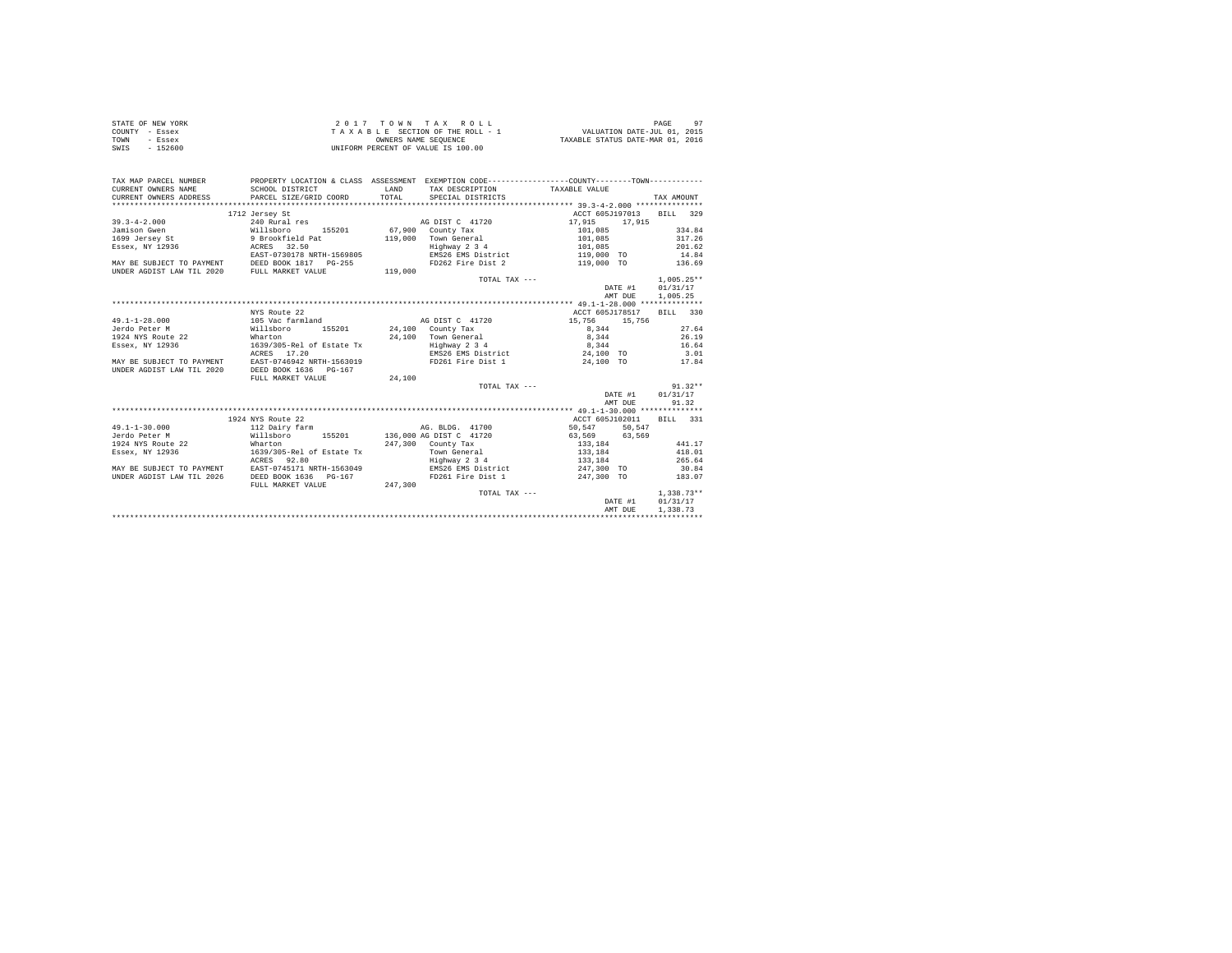| STATE OF NEW YORK | 2017 TOWN TAX ROLL                 | 97<br>PAGE                       |
|-------------------|------------------------------------|----------------------------------|
| COUNTY - Essex    | TAXABLE SECTION OF THE ROLL - 1    | VALUATION DATE-JUL 01, 2015      |
| TOWN<br>- Essex   | OWNERS NAME SEOUENCE               | TAXABLE STATUS DATE-MAR 01, 2016 |
| $-152600$<br>SWIS | UNIFORM PERCENT OF VALUE IS 100.00 |                                  |

| TAX MAP PARCEL NUMBER<br>CURRENT OWNERS NAME                                                   |                                                        | LAND    | PROPERTY LOCATION & CLASS ASSESSMENT EXEMPTION CODE---------------COUNTY-------TOWN---------<br>TAX DESCRIPTION TAXABLE VALUE |                                                                                                                                 |         |                          |
|------------------------------------------------------------------------------------------------|--------------------------------------------------------|---------|-------------------------------------------------------------------------------------------------------------------------------|---------------------------------------------------------------------------------------------------------------------------------|---------|--------------------------|
| CURRENT OWNERS ADDRESS                                                                         | SCHOOL DISTRICT<br>PARCEL SIZE/GRID COORD              |         | TOTAL SPECIAL DISTRICTS                                                                                                       |                                                                                                                                 |         | TAX AMOUNT               |
|                                                                                                |                                                        |         |                                                                                                                               |                                                                                                                                 |         |                          |
|                                                                                                | 1712 Jersey St                                         |         |                                                                                                                               |                                                                                                                                 |         | ACCT 605J197013 BILL 329 |
|                                                                                                |                                                        |         |                                                                                                                               |                                                                                                                                 |         |                          |
|                                                                                                |                                                        |         |                                                                                                                               |                                                                                                                                 |         | 334.84                   |
|                                                                                                |                                                        |         | $119,000$ Town General                                                                                                        | 101,085                                                                                                                         |         | 317.26                   |
| Essex, NY 12936 6 ACRES 32.50                                                                  |                                                        |         | Highway 2 3 4                                                                                                                 | 101.085 201.62                                                                                                                  |         |                          |
|                                                                                                | EAST-0730178 NRTH-1569805                              |         | EMS26 EMS District 119,000 TO 14.84                                                                                           |                                                                                                                                 |         |                          |
|                                                                                                |                                                        |         | FD262 Fire Dist 2                                                                                                             | 119,000 TO 136.69                                                                                                               |         |                          |
| MAY BE SUBJECT TO PAYMENT DEED BOOK 1817 PG-255<br>UNDER AGDIST LAW TIL 2020 FULL MARKET VALUE |                                                        | 119,000 |                                                                                                                               |                                                                                                                                 |         |                          |
|                                                                                                |                                                        |         | TOTAL TAX ---                                                                                                                 |                                                                                                                                 |         | $1.005.25**$             |
|                                                                                                |                                                        |         |                                                                                                                               |                                                                                                                                 |         | DATE #1 01/31/17         |
|                                                                                                |                                                        |         |                                                                                                                               |                                                                                                                                 | AMT DUE | 1,005.25                 |
|                                                                                                |                                                        |         |                                                                                                                               |                                                                                                                                 |         |                          |
|                                                                                                | NYS Route 22                                           |         |                                                                                                                               | ACCT 605J178517                                                                                                                 |         | BILL 330                 |
| 49.1-1-28.000 105 Vac farmland                                                                 |                                                        |         | AG DIST C 41720 15.756 15.756                                                                                                 |                                                                                                                                 |         |                          |
| Jerdo Peter M<br>Willsboro                                                                     |                                                        |         | 155201 24,100 County Tax                                                                                                      | 8,344                                                                                                                           |         | 27.64                    |
| 1924 NYS Route 22                                                                              |                                                        |         |                                                                                                                               |                                                                                                                                 |         |                          |
| Essex, NY 12936                                                                                | Wharton<br>1639/305-Rel of Estate Tx                   |         | 24,100 Town General<br>Highway 2 3 4                                                                                          | $8,344$<br>$8,344$                                                                                                              |         | $\frac{26}{16.64}$       |
|                                                                                                | ACRES 17.20                                            |         | EMS26 EMS District 24.100 TO 3.01                                                                                             |                                                                                                                                 |         |                          |
|                                                                                                |                                                        |         | FD261 Fire Dist 1 24,100 TO 17.84                                                                                             |                                                                                                                                 |         |                          |
| MAY BE SUBJECT TO PAYMENT EAST-0746942 NRTH-1563019<br>UNDER AGDIST LAW TIL 2020               | DEED BOOK 1636 PG-167                                  |         |                                                                                                                               |                                                                                                                                 |         |                          |
|                                                                                                |                                                        | 24,100  |                                                                                                                               |                                                                                                                                 |         |                          |
|                                                                                                | FULL MARKET VALUE                                      |         | TOTAL TAX ---                                                                                                                 |                                                                                                                                 |         | $91.32**$                |
|                                                                                                |                                                        |         |                                                                                                                               |                                                                                                                                 |         | DATE #1 01/31/17         |
|                                                                                                |                                                        |         |                                                                                                                               |                                                                                                                                 |         |                          |
|                                                                                                |                                                        |         |                                                                                                                               |                                                                                                                                 | AMT DUE | 91.32                    |
|                                                                                                |                                                        |         |                                                                                                                               |                                                                                                                                 |         |                          |
|                                                                                                | 1924 NYS Route 22                                      |         |                                                                                                                               |                                                                                                                                 |         | ACCT 605J102011 BILL 331 |
| 49.1-1-30.000 112 Dairy farm AG. BLDG. 41700                                                   |                                                        |         |                                                                                                                               | 50,547 50,547                                                                                                                   |         |                          |
| Jerdo Peter M                                                                                  |                                                        |         | Willsboro 155201 136,000 AG DIST C 41720 63,569 63,569                                                                        |                                                                                                                                 |         |                          |
| 1924 NYS Route 22                                                                              | Wharton<br>1639/305-Rel of Estate Tx<br>ACRES    92.80 |         | 247,300 County Tax                                                                                                            | $\begin{array}{c} 1\,3\,3\ , \, 1\,8\,4\  \  \, \, \, 1\,3\,3\ , \, 1\,8\,4\  \  \, \, \, \, 1\,3\,3\ , \, 1\,8\,4 \end{array}$ |         | 441.17                   |
| Essex, NY 12936                                                                                |                                                        |         | Town General<br>Highway 2 3 4                                                                                                 |                                                                                                                                 |         | 418.01                   |
|                                                                                                |                                                        |         |                                                                                                                               |                                                                                                                                 |         | 265.64                   |
| MAY BE SUBJECT TO PAYMENT EAST-0745171 NRTH-1563049                                            |                                                        |         | EMS26 EMS District 247,300 TO 30.84                                                                                           |                                                                                                                                 |         |                          |
| UNDER AGDIST LAW TIL 2026                                                                      | DEED BOOK 1636 PG-167                                  |         | FD261 Fire Dist 1 247,300 TO 183.07                                                                                           |                                                                                                                                 |         |                          |
|                                                                                                | FULL MARKET VALUE 247,300                              |         |                                                                                                                               |                                                                                                                                 |         |                          |
|                                                                                                |                                                        |         | TOTAL TAX ---                                                                                                                 |                                                                                                                                 |         | 1,338,73**               |
|                                                                                                |                                                        |         |                                                                                                                               |                                                                                                                                 |         | DATE #1 01/31/17         |
|                                                                                                |                                                        |         |                                                                                                                               |                                                                                                                                 | AMT DUE | 1,338.73                 |
|                                                                                                |                                                        |         |                                                                                                                               |                                                                                                                                 |         |                          |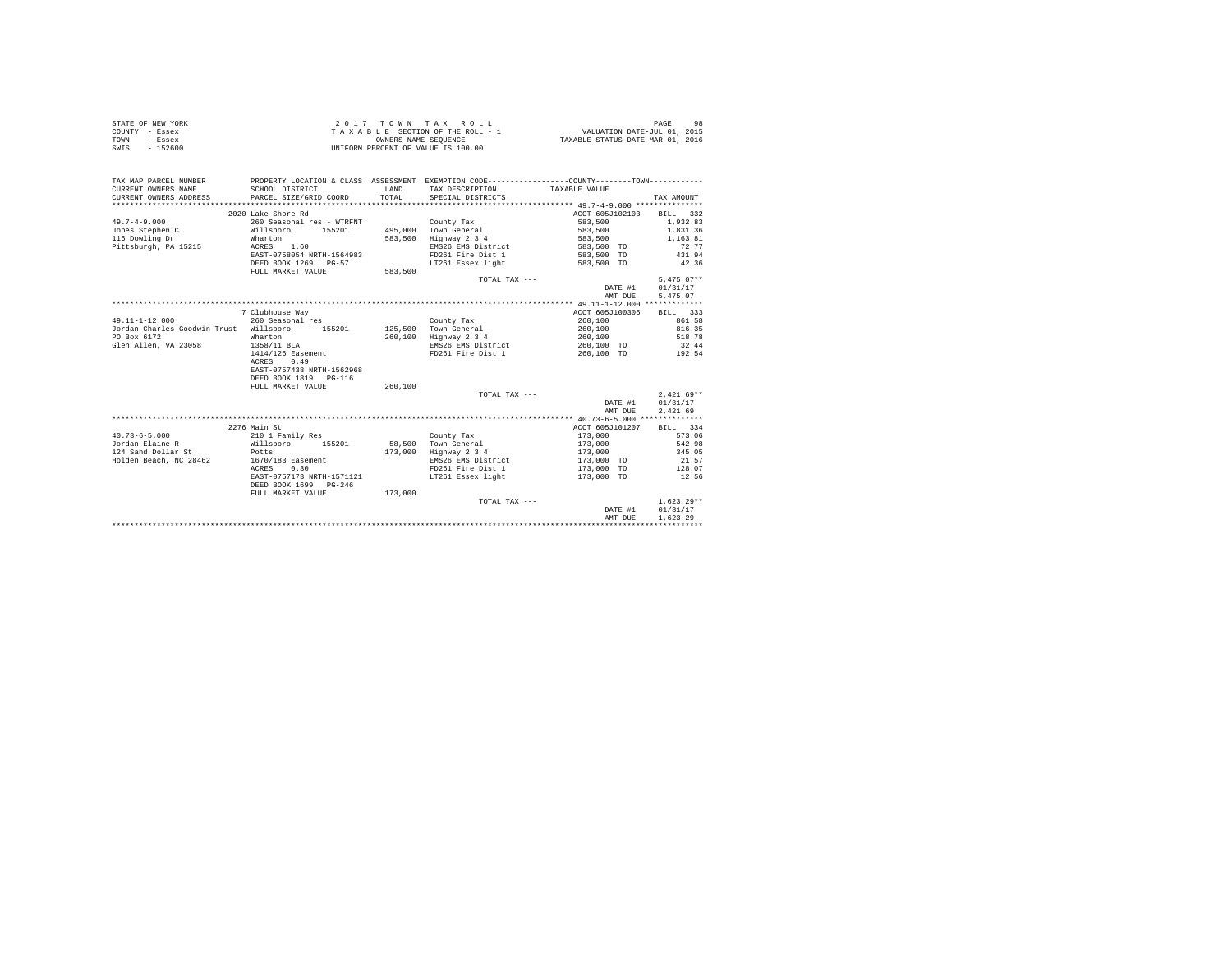| STATE OF NEW YORK |           | 2017 TOWN TAX ROLL                 | 98<br>PAGE                       |
|-------------------|-----------|------------------------------------|----------------------------------|
| COUNTY - Essex    |           | TAXABLE SECTION OF THE ROLL - 1    | VALUATION DATE-JUL 01, 2015      |
| TOWN              | - Essex   | OWNERS NAME SEOUENCE               | TAXABLE STATUS DATE-MAR 01, 2016 |
| SWIS              | $-152600$ | UNIFORM PERCENT OF VALUE IS 100.00 |                                  |

| TAX MAP PARCEL NUMBER<br>CURRENT OWNERS NAME<br>CURRENT OWNERS ADDRESS | SCHOOL DISTRICT<br>PARCEL SIZE/GRID COORD | <b>T.AND</b><br>TOTAL | PROPERTY LOCATION & CLASS ASSESSMENT EXEMPTION CODE---------------COUNTY-------TOWN----------<br>TAX DESCRIPTION<br>SPECIAL DISTRICTS | TAXABLE VALUE   | TAX AMOUNT   |
|------------------------------------------------------------------------|-------------------------------------------|-----------------------|---------------------------------------------------------------------------------------------------------------------------------------|-----------------|--------------|
|                                                                        |                                           |                       |                                                                                                                                       |                 |              |
|                                                                        | 2020 Lake Shore Rd                        |                       |                                                                                                                                       | ACCT 605J102103 | BILL 332     |
| $49.7 - 4 - 9.000$                                                     | 260 Seasonal res - WTRFNT                 |                       | County Tax                                                                                                                            | 583,500         | 1,932.83     |
| Jones Stephen C                                                        | Willsboro 155201                          |                       | 495,000 Town General                                                                                                                  | 583,500         | 1,831.36     |
| 116 Dowling Dr                                                         | Wharton                                   | 583,500               | Highway 2 3 4                                                                                                                         | 583,500         | 1,163.81     |
| Pittsburgh, PA 15215                                                   | ACRES 1.60                                |                       | EMS26 EMS District                                                                                                                    | 583,500 TO      | 72.77        |
|                                                                        | EAST-0758054 NRTH-1564983                 |                       | FD261 Fire Dist 1                                                                                                                     | 583,500 TO      | 431.94       |
|                                                                        | DEED BOOK 1269 PG-57                      |                       | LT261 Essex light                                                                                                                     | 583,500 TO      | 42.36        |
|                                                                        | FULL MARKET VALUE                         | 583,500               |                                                                                                                                       |                 |              |
|                                                                        |                                           |                       | TOTAL TAX ---                                                                                                                         |                 | $5.475.07**$ |
|                                                                        |                                           |                       |                                                                                                                                       | DATE #1         | 01/31/17     |
|                                                                        |                                           |                       |                                                                                                                                       | AMT DUE         | 5,475.07     |
|                                                                        |                                           |                       |                                                                                                                                       |                 |              |
|                                                                        | 7 Clubhouse Way                           |                       |                                                                                                                                       | ACCT 605J100306 | BILL 333     |
| $49.11 - 1 - 12.000$                                                   | 260 Seasonal res                          |                       | County Tax                                                                                                                            | 260,100         | 861.58       |
| Jordan Charles Goodwin Trust Willsboro                                 | 155201                                    |                       | 125.500 Town General                                                                                                                  | 260,100         | 816.35       |
| PO Box 6172                                                            | Wharton                                   |                       | 260,100 Highway 2 3 4                                                                                                                 | 260,100         | 518.78       |
| Glen Allen, VA 23058                                                   | 1358/11 BLA                               |                       | EMS26 EMS District                                                                                                                    | 260.100 TO      | 32.44        |
|                                                                        | 1414/126 Easement                         |                       | FD261 Fire Dist 1                                                                                                                     | 260,100 TO      | 192.54       |
|                                                                        | ACRES<br>0.49                             |                       |                                                                                                                                       |                 |              |
|                                                                        | EAST-0757438 NRTH-1562968                 |                       |                                                                                                                                       |                 |              |
|                                                                        | DEED BOOK 1819 PG-116                     |                       |                                                                                                                                       |                 |              |
|                                                                        | FULL MARKET VALUE                         | 260,100               |                                                                                                                                       |                 | $2.421.69**$ |
|                                                                        |                                           |                       | TOTAL TAX ---                                                                                                                         | DATE #1         | 01/31/17     |
|                                                                        |                                           |                       |                                                                                                                                       | AMT DUE         | 2,421.69     |
|                                                                        |                                           |                       |                                                                                                                                       |                 |              |
|                                                                        | 2276 Main St                              |                       |                                                                                                                                       | ACCT 605J101207 | BILL 334     |
| $40.73 - 6 - 5.000$                                                    | 210 1 Family Res                          |                       | County Tax                                                                                                                            | 173,000         | 573.06       |
| Jordan Elaine R                                                        | Willsboro 155201                          |                       | 58.500 Town General                                                                                                                   | 173,000         | 542.98       |
| 124 Sand Dollar St Potts                                               |                                           | 173,000               | Highway 2 3 4                                                                                                                         | 173,000         | 345.05       |
| Holden Beach, NC 28462                                                 | 1670/183 Easement                         |                       | EMS26 EMS District                                                                                                                    | 173,000 TO      | 21.57        |
|                                                                        | ACRES 0.30                                |                       | FD261 Fire Dist 1                                                                                                                     | 173,000 TO      | 128.07       |
|                                                                        | EAST-0757173 NRTH-1571121                 |                       | LT261 Essex light                                                                                                                     | 173,000 TO      | 12.56        |
|                                                                        | DEED BOOK 1699 PG-246                     |                       |                                                                                                                                       |                 |              |
|                                                                        | FULL MARKET VALUE                         | 173,000               |                                                                                                                                       |                 |              |
|                                                                        |                                           |                       | TOTAL TAX ---                                                                                                                         |                 | $1.623.29**$ |
|                                                                        |                                           |                       |                                                                                                                                       | DATE #1         | 01/31/17     |
|                                                                        |                                           |                       |                                                                                                                                       | AMT DUE         | 1,623.29     |
|                                                                        |                                           |                       |                                                                                                                                       |                 |              |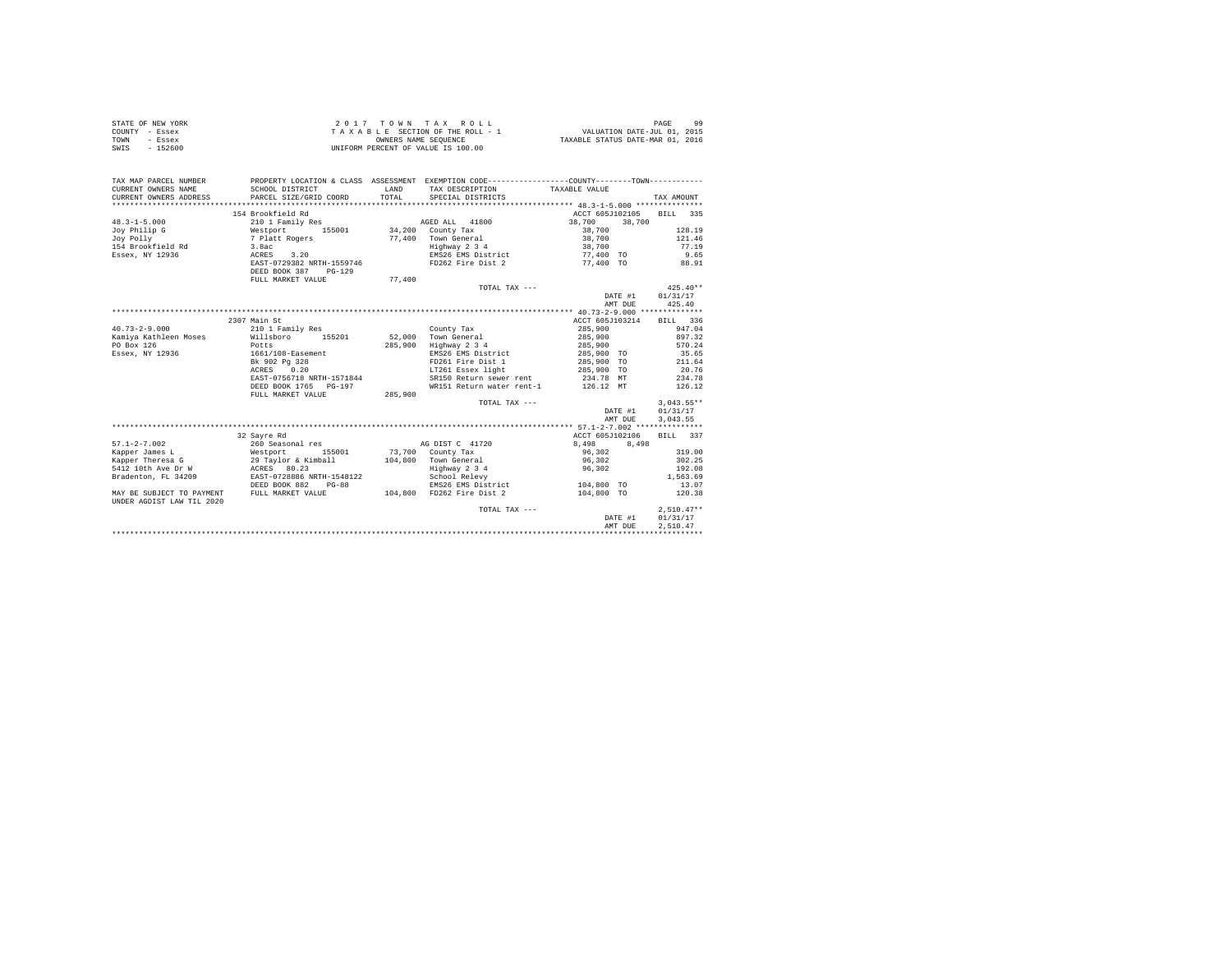| STATE OF NEW YORK<br>COUNTY - Essex<br>TOWN - Essex<br>SWIS - 152600                                                                                                                                                           |                                                   |        |                                     |                                              |              |
|--------------------------------------------------------------------------------------------------------------------------------------------------------------------------------------------------------------------------------|---------------------------------------------------|--------|-------------------------------------|----------------------------------------------|--------------|
| TAX MAP PARCEL NUMBER PROPERTY LOCATION & CLASS ASSESSMENT EXEMPTION CODE---------------COUNTY--------TOWN----------<br>CURRENT OWNERS NAME                                                                                    | SCHOOL DISTRICT                                   |        |                                     |                                              |              |
| CURRENT OWNERS ADDRESS                                                                                                                                                                                                         | PARCEL SIZE/GRID COORD                            |        |                                     |                                              | TAX AMOUNT   |
|                                                                                                                                                                                                                                |                                                   |        |                                     |                                              |              |
|                                                                                                                                                                                                                                | 154 Brookfield Rd                                 |        |                                     | ACCT 605J102105 BILL 335                     |              |
| $48.3 - 1 - 5.000$                                                                                                                                                                                                             |                                                   |        |                                     | 38,700 38,700                                |              |
|                                                                                                                                                                                                                                |                                                   |        |                                     | $38,700$<br>$38,700$<br>$128.19$<br>$121.46$ |              |
|                                                                                                                                                                                                                                |                                                   |        |                                     |                                              |              |
|                                                                                                                                                                                                                                |                                                   |        |                                     |                                              | 77.19        |
|                                                                                                                                                                                                                                |                                                   |        |                                     |                                              | 9.65         |
|                                                                                                                                                                                                                                | EAST-0729382 NRTH-1559746<br>DEED BOOK 387 PG-129 |        | FD262 Fire Dist 2                   | 77,400 TO                                    | 88.91        |
|                                                                                                                                                                                                                                | FULL MARKET VALUE                                 | 77,400 |                                     |                                              |              |
|                                                                                                                                                                                                                                |                                                   |        | TOTAL TAX ---                       |                                              | $425.40**$   |
|                                                                                                                                                                                                                                |                                                   |        |                                     | DATE #1 01/31/17                             |              |
|                                                                                                                                                                                                                                |                                                   |        |                                     | AMT DUE 425.40                               |              |
|                                                                                                                                                                                                                                |                                                   |        |                                     |                                              |              |
|                                                                                                                                                                                                                                | 2307 Main St                                      |        |                                     | ACCT 605J103214 BILL 336                     |              |
| 2307 Main St (2001 Family Res (2001 Family Res (2001 Family Res Ramiya Kathleen Moses (2011 Family Res 2016 Family Res (2001 Family Res (2001 Family Res (2001 Family Res (2016 Family Res 2016 Family Res 2016 Family Res 201 |                                                   |        |                                     |                                              |              |
|                                                                                                                                                                                                                                |                                                   |        |                                     |                                              |              |
|                                                                                                                                                                                                                                |                                                   |        |                                     |                                              |              |
| Essex, NY 12936                                                                                                                                                                                                                |                                                   |        |                                     |                                              |              |
|                                                                                                                                                                                                                                | 1661/108-Easement<br>Bk 902 Pg 328<br>ACRES 0.20  |        |                                     |                                              |              |
|                                                                                                                                                                                                                                |                                                   |        |                                     |                                              |              |
|                                                                                                                                                                                                                                |                                                   |        |                                     |                                              |              |
|                                                                                                                                                                                                                                | DEED BOOK 1765 PG-197                             |        | WR151 Return water rent-1 126.12 MT |                                              | 126.12       |
|                                                                                                                                                                                                                                | FULL MARKET VALUE 285,900                         |        |                                     |                                              |              |
|                                                                                                                                                                                                                                |                                                   |        | TOTAL TAX ---                       |                                              | $3.043.55**$ |
|                                                                                                                                                                                                                                |                                                   |        |                                     | DATE #1                                      | 01/31/17     |
|                                                                                                                                                                                                                                |                                                   |        |                                     | AMT DUE                                      |              |
|                                                                                                                                                                                                                                |                                                   |        |                                     |                                              | 3.043.55     |
|                                                                                                                                                                                                                                |                                                   |        |                                     | ACCT 605J102106 BILL 337                     |              |
|                                                                                                                                                                                                                                | 32 Sayre Rd                                       |        |                                     |                                              |              |
|                                                                                                                                                                                                                                |                                                   |        |                                     | $8,498$ $8,498$                              | 319.00       |
|                                                                                                                                                                                                                                |                                                   |        |                                     |                                              |              |
|                                                                                                                                                                                                                                |                                                   |        |                                     |                                              | 302.25       |
|                                                                                                                                                                                                                                |                                                   |        |                                     |                                              | 192.08       |
|                                                                                                                                                                                                                                |                                                   |        | EMS26 EMS District 104,800 TO       |                                              | 1,563.69     |
|                                                                                                                                                                                                                                |                                                   |        |                                     |                                              | 13.07        |
| UNDER AGDIST LAW TIL 2020                                                                                                                                                                                                      |                                                   |        |                                     | 104,800 TO                                   | 120.38       |
|                                                                                                                                                                                                                                |                                                   |        | TOTAL TAX ---                       |                                              | $2,510.47**$ |
|                                                                                                                                                                                                                                |                                                   |        |                                     | DATE #1                                      | 01/31/17     |
|                                                                                                                                                                                                                                |                                                   |        |                                     | AMT DUE                                      | 2.510.47     |
|                                                                                                                                                                                                                                |                                                   |        |                                     |                                              |              |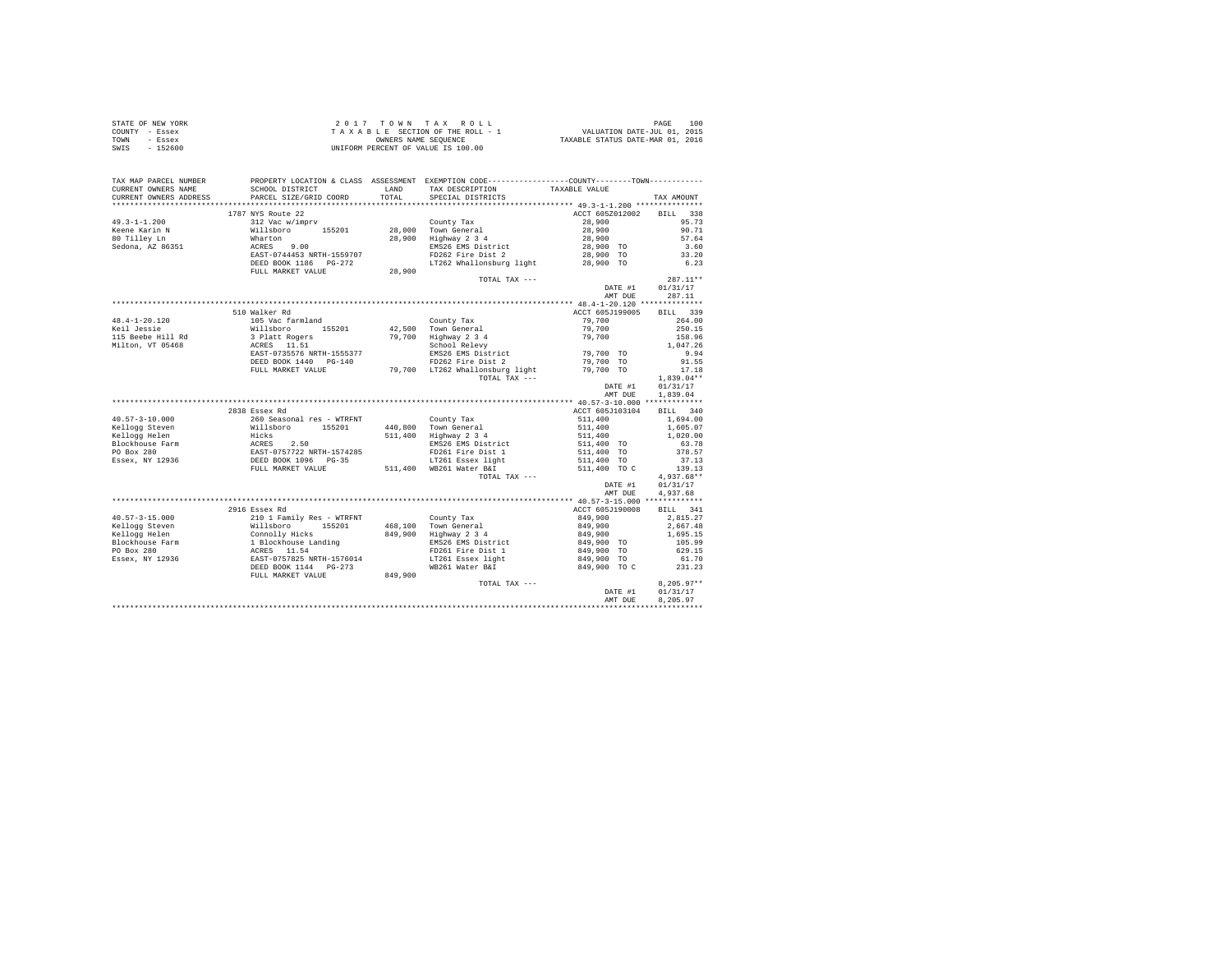| STATE OF NEW YORK | 2017 TOWN TAX ROLL                 | 100<br>PAGE                      |
|-------------------|------------------------------------|----------------------------------|
| COUNTY - Essex    | TAXABLE SECTION OF THE ROLL - 1    | VALUATION DATE-JUL 01, 2015      |
| TOWN<br>- Essex   | OWNERS NAME SEOUENCE               | TAXABLE STATUS DATE-MAR 01, 2016 |
| $-152600$<br>SWIS | UNIFORM PERCENT OF VALUE IS 100.00 |                                  |

| TAX MAP PARCEL NUMBER  |                                                                                                                                                                                                                                |         | PROPERTY LOCATION & CLASS ASSESSMENT EXEMPTION CODE----------------COUNTY--------TOWN---------- |                    |              |
|------------------------|--------------------------------------------------------------------------------------------------------------------------------------------------------------------------------------------------------------------------------|---------|-------------------------------------------------------------------------------------------------|--------------------|--------------|
| CURRENT OWNERS NAME    | SCHOOL DISTRICT                                                                                                                                                                                                                |         | LAND TAX DESCRIPTION                                                                            | TAXABLE VALUE      |              |
| CURRENT OWNERS ADDRESS | PARCEL SIZE/GRID COORD                                                                                                                                                                                                         | TOTAL   | SPECIAL DISTRICTS                                                                               |                    | TAX AMOUNT   |
|                        |                                                                                                                                                                                                                                |         |                                                                                                 |                    |              |
|                        | 1787 NYS Route 22                                                                                                                                                                                                              |         |                                                                                                 | ACCT 605Z012002    | BILL 338     |
| $49.3 - 1 - 1.200$     | 312 Vac w/imprv                                                                                                                                                                                                                |         | County Tax                                                                                      | 28,900             | 95.73        |
| Keene Karin N          | Willsboro 155201 28,000 Town General                                                                                                                                                                                           |         |                                                                                                 | 28,900<br>28,900   | 90.71        |
| 80 Tilley Ln           | Wharton                                                                                                                                                                                                                        |         | 28,900 Highway 2 3 4                                                                            |                    | 57.64        |
| Sedona, AZ 86351       | ACRES 9.00                                                                                                                                                                                                                     |         | EMS26 EMS District                                                                              | 28,900 TO          | 3.60         |
|                        | EAST-0744453 NRTH-1559707                                                                                                                                                                                                      |         | FD262 Fire Dist 2                                                                               | 28,900 TO          | 33.20        |
|                        | DEED BOOK 1186 PG-272                                                                                                                                                                                                          |         | LT262 Whallonsburg light 28,900 TO                                                              |                    | 6.23         |
|                        | FULL MARKET VALUE                                                                                                                                                                                                              | 28,900  |                                                                                                 |                    |              |
|                        |                                                                                                                                                                                                                                |         | TOTAL TAX ---                                                                                   |                    | $287.11**$   |
|                        |                                                                                                                                                                                                                                |         |                                                                                                 | DATE #1            | 01/31/17     |
|                        |                                                                                                                                                                                                                                |         |                                                                                                 | AMT DUE            | 287.11       |
|                        |                                                                                                                                                                                                                                |         |                                                                                                 |                    |              |
|                        | 510 Walker Rd                                                                                                                                                                                                                  |         |                                                                                                 | ACCT 605J199005    | BILL 339     |
| 48.4-1-20.120          | 105 Vac farmland                                                                                                                                                                                                               |         | County Tax                                                                                      | 79,700             | 264.00       |
| Keil Jessie            |                                                                                                                                                                                                                                |         | 42,500 Town General                                                                             |                    | 250.15       |
| 115 Beebe Hill Rd      | Willsboro 155201<br>3 Platt Rogers                                                                                                                                                                                             |         |                                                                                                 | 79,700<br>79,700   | 158.96       |
| Milton, VT 05468       |                                                                                                                                                                                                                                |         | 79,700 Highway 2 3 4<br>School Relevy                                                           |                    | 1,047.26     |
|                        | ACRES 11.51<br>EAST-0735576 NRTH-1555377                                                                                                                                                                                       |         | EMS26 EMS District                                                                              | 79,700 TO          | 9.94         |
|                        | DEED BOOK 1440 PG-140                                                                                                                                                                                                          |         | FD262 Fire Dist 2                                                                               | 79,700 TO          | 91.55        |
|                        | FULL MARKET VALUE                                                                                                                                                                                                              |         | 79,700 LT262 Whallonsburg light 79,700 TO                                                       |                    | 17.18        |
|                        |                                                                                                                                                                                                                                |         | TOTAL TAX ---                                                                                   |                    | $1,839.04**$ |
|                        |                                                                                                                                                                                                                                |         |                                                                                                 | DATE #1            | 01/31/17     |
|                        |                                                                                                                                                                                                                                |         |                                                                                                 | AMT DUE            | 1,839.04     |
|                        |                                                                                                                                                                                                                                |         |                                                                                                 |                    |              |
|                        | 2838 Essex Rd                                                                                                                                                                                                                  |         |                                                                                                 | ACCT 605J103104    | BILL 340     |
| $40.57 - 3 - 10.000$   | 260 Seasonal res - WTRFNT                                                                                                                                                                                                      |         | County Tax                                                                                      | 511,400            | 1,694.00     |
| Kellogg Steven         |                                                                                                                                                                                                                                |         |                                                                                                 | 511,400            | 1,605.07     |
| Kellogg Helen          |                                                                                                                                                                                                                                |         | 440,800 Town General<br>511,400 Highway 2 3 4                                                   | 511,400            | 1,020.00     |
| Blockhouse Farm        |                                                                                                                                                                                                                                |         | EMS26 EMS District                                                                              | 511,400 TO         | 63.78        |
| PO Box 280             |                                                                                                                                                                                                                                |         | FD261 Fire Dist 1                                                                               | 511,400 TO         | 378.57       |
| Essex, NY 12936        |                                                                                                                                                                                                                                |         | LT261 Essex light                                                                               | 511,400 TO         | 37.13        |
|                        | 200 Jean-Lea - Anna - Anna - Anna - Anna - Anna - Anna - Anna - Anna - Anna - Anna - Anna - Anna - Anna - Anna - Anna - Anna - Anna - Anna - Anna - Anna - Anna - Anna - Anna - Anna - Anna - Anna - Anna - Anna - Anna - Anna |         | 511,400 WB261 Water B&I                                                                         | 511,400 TO C       | 139.13       |
|                        |                                                                                                                                                                                                                                |         | TOTAL TAX ---                                                                                   |                    | $4,937.68**$ |
|                        |                                                                                                                                                                                                                                |         |                                                                                                 | DATE #1            | 01/31/17     |
|                        |                                                                                                                                                                                                                                |         |                                                                                                 | AMT DUE            | 4.937.68     |
|                        |                                                                                                                                                                                                                                |         |                                                                                                 |                    |              |
|                        | 2916 Essex Rd                                                                                                                                                                                                                  |         |                                                                                                 | ACCT 605J190008    | BILL 341     |
| $40.57 - 3 - 15.000$   | 210 1 Family Res - WTRFNT                                                                                                                                                                                                      |         | County Tax                                                                                      | 849,900            | 2.815.27     |
|                        |                                                                                                                                                                                                                                |         |                                                                                                 |                    |              |
| Kellogg Steven         | willsboro 155201<br>Connolly Hicks<br>1 Blockhouse Landing<br>ACRES 11.54<br>EAST-0757825 NRTH-1576014                                                                                                                         |         | 468,100 Town General<br>849,900 Highway 2 3 4                                                   | 849,900<br>849,900 | 2,667.48     |
| Kellogg Helen          |                                                                                                                                                                                                                                |         |                                                                                                 |                    | 1,695.15     |
| Blockhouse Farm        |                                                                                                                                                                                                                                |         | EMS26 EMS District                                                                              | 849,900 TO         | 105.99       |
| PO Box 280             |                                                                                                                                                                                                                                |         | FD261 Fire Dist 1                                                                               | 849,900 TO         | 629.15       |
| Essex, NY 12936        |                                                                                                                                                                                                                                |         | LT261 Essex light                                                                               | 849,900 TO         | 61.70        |
|                        | DEED BOOK 1144 PG-273                                                                                                                                                                                                          |         | WB261 Water B&I                                                                                 | 849,900 TO C       | 231.23       |
|                        | FULL MARKET VALUE                                                                                                                                                                                                              | 849,900 |                                                                                                 |                    |              |
|                        |                                                                                                                                                                                                                                |         | TOTAL TAX ---                                                                                   |                    | 8,205.97**   |
|                        |                                                                                                                                                                                                                                |         |                                                                                                 | DATE #1            | 01/31/17     |
|                        |                                                                                                                                                                                                                                |         |                                                                                                 | AMT DUE            | 8.205.97     |
|                        |                                                                                                                                                                                                                                |         |                                                                                                 |                    |              |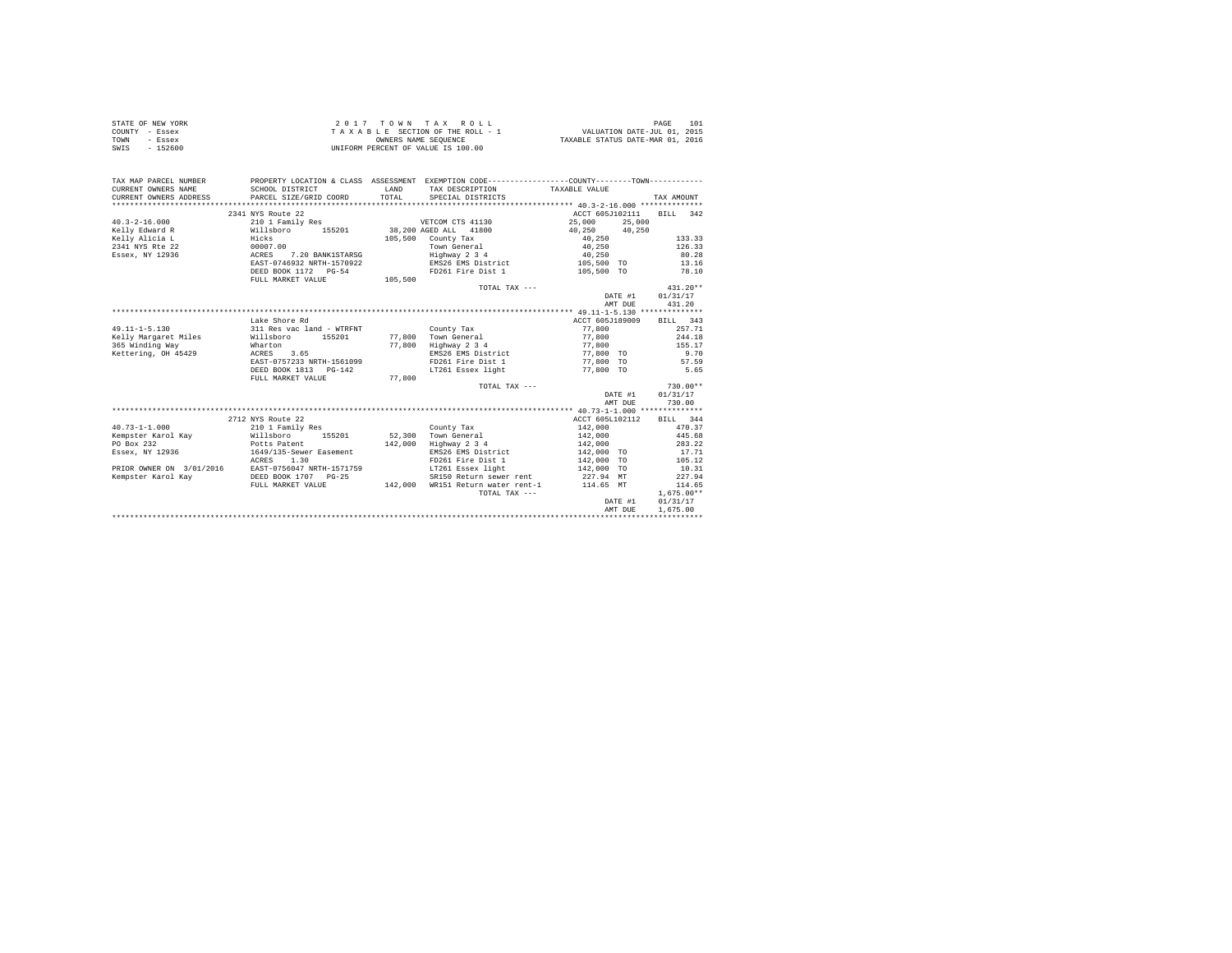| STATE OF NEW YORK | 2017 TOWN TAX ROLL                 | 101<br>PAGE                      |
|-------------------|------------------------------------|----------------------------------|
| COUNTY - Essex    | TAXABLE SECTION OF THE ROLL - 1    | VALUATION DATE-JUL 01, 2015      |
| TOWN<br>- Essex   | OWNERS NAME SEOUENCE               | TAXABLE STATUS DATE-MAR 01, 2016 |
| $-152600$<br>SWIS | UNIFORM PERCENT OF VALUE IS 100.00 |                                  |

| TAX MAP PARCEL NUMBER<br>CURRENT OWNERS NAME<br>CURRENT OWNERS ADDRESS PARCEL SIZE/GRID COORD | SCHOOL DISTRICT                         | LAND<br>TOTAL | PROPERTY LOCATION & CLASS ASSESSMENT EXEMPTION CODE----------------COUNTY--------TOWN----------<br>TAX DESCRIPTION TAXABLE VALUE<br>SPECIAL DISTRICTS |                 |         | TAX AMOUNT               |
|-----------------------------------------------------------------------------------------------|-----------------------------------------|---------------|-------------------------------------------------------------------------------------------------------------------------------------------------------|-----------------|---------|--------------------------|
|                                                                                               |                                         |               |                                                                                                                                                       |                 |         |                          |
|                                                                                               | 2341 NYS Route 22                       |               |                                                                                                                                                       | ACCT 605J102111 |         | RTLL 342                 |
| $40.3 - 2 - 16.000$                                                                           | 210 1 Family Res                        |               | VETCOM CTS 41130                                                                                                                                      | 25,000          | 25,000  |                          |
| Kelly Edward R                                                                                | Willsboro 155201                        |               | 38,200 AGED ALL 41800                                                                                                                                 | 40.250 40.250   |         |                          |
| Kelly Alicia L                                                                                | $_{\rm{Hicks}}$                         |               | 105,500 County Tax                                                                                                                                    | 40.250          |         | 133.33                   |
| 00007.00<br>2341 NYS Rte 22                                                                   |                                         |               | Town General                                                                                                                                          | 40,250          |         | 126.33                   |
| Essex, NY 12936<br><b>ACRES</b>                                                               | 7.20 BANK1STARSG                        |               | Highway 2 3 4                                                                                                                                         | 40,250          |         | 80.28                    |
|                                                                                               | EAST-0746932 NRTH-1570922               |               | EMS26 EMS District                                                                                                                                    | 105,500 TO      |         | 13.16                    |
|                                                                                               | DEED BOOK 1172 PG-54                    |               | FD261 Fire Dist 1                                                                                                                                     | 105,500 TO      |         | 78.10                    |
|                                                                                               | FULL MARKET VALUE                       | 105,500       |                                                                                                                                                       |                 |         |                          |
|                                                                                               |                                         |               | TOTAL TAX ---                                                                                                                                         |                 |         | $431.20**$               |
|                                                                                               |                                         |               |                                                                                                                                                       |                 | DATE #1 | 01/31/17                 |
|                                                                                               |                                         |               |                                                                                                                                                       |                 | AMT DUE | 431.20                   |
|                                                                                               |                                         |               |                                                                                                                                                       |                 |         |                          |
|                                                                                               | Lake Shore Rd                           |               |                                                                                                                                                       | ACCT 605J189009 |         | BILL 343                 |
| $49.11 - 1 - 5.130$                                                                           | 311 Res vac land - WTRFNT               |               | County Tax                                                                                                                                            | 77,800          |         | 257.71                   |
| Kelly Margaret Miles                                                                          | 155201<br>Willsboro                     |               | 77,800 Town General<br>77,800 Highway 2 3 4                                                                                                           | 77,800          |         | 244.18                   |
| 365 Winding Way                                                                               | Wharton                                 |               |                                                                                                                                                       | 77,800          |         | 155.17                   |
| Kettering, OH 45429                                                                           | ACRES 3.65                              |               | EMS26 EMS District 77,800 TO                                                                                                                          |                 |         | 9.70                     |
|                                                                                               | EAST-0757233 NRTH-1561099               |               | FD261 Fire Dist 1 77,800 TO                                                                                                                           |                 |         | 57.59                    |
|                                                                                               | DEED BOOK 1813 PG-142                   |               | LT261 Essex light                                                                                                                                     | 77,800 TO       |         | 5.65                     |
|                                                                                               | FULL MARKET VALUE                       | 77,800        |                                                                                                                                                       |                 |         |                          |
|                                                                                               |                                         |               | TOTAL TAX ---                                                                                                                                         |                 |         | $730.00**$               |
|                                                                                               |                                         |               |                                                                                                                                                       |                 | DATE #1 | 01/31/17                 |
|                                                                                               |                                         |               |                                                                                                                                                       |                 | AMT DUE | 730.00                   |
|                                                                                               |                                         |               |                                                                                                                                                       |                 |         |                          |
|                                                                                               | 2712 NYS Route 22                       |               |                                                                                                                                                       |                 |         | ACCT 605L102112 BILL 344 |
| $40.73 - 1 - 1.000$                                                                           | 210 1 Family Res                        |               | County Tax                                                                                                                                            | 142,000         |         | 470.37                   |
| Kempster Karol Kav Millsboro                                                                  | 155201                                  |               | 52.300 Town General                                                                                                                                   | 142,000         |         | 445.68                   |
| PO Box 232                                                                                    | Potts Patent<br>1649/135-Sewer Easement | 142,000       | Highway 2 3 4                                                                                                                                         | 142,000         |         | 283.22                   |
| Essex, NY 12936                                                                               |                                         |               | EMS26 EMS District                                                                                                                                    | 142,000 TO      |         | 17.71                    |
|                                                                                               | ACRES 1.30                              |               | FD261 Fire Dist 1                                                                                                                                     | 142,000 TO      |         | 105.12                   |
| PRIOR OWNER ON 3/01/2016                                                                      | EAST-0756047 NRTH-1571759               |               | LT261 Essex light 142,000 TO                                                                                                                          |                 |         | 10.31                    |
| Kempster Karol Kav                                                                            | DEED BOOK 1707 PG-25                    |               | SR150 Return sewer rent 227.94 MT                                                                                                                     |                 |         | 227.94                   |
|                                                                                               | FULL MARKET VALUE                       | 142,000       | WR151 Return water rent-1                                                                                                                             | 114.65 MT       |         | 114.65                   |
|                                                                                               |                                         |               | TOTAL TAX ---                                                                                                                                         |                 |         | $1.675.00**$             |
|                                                                                               |                                         |               |                                                                                                                                                       |                 | DATE #1 | 01/31/17                 |
|                                                                                               |                                         |               |                                                                                                                                                       |                 | AMT DUE | 1,675.00                 |
|                                                                                               |                                         |               |                                                                                                                                                       |                 |         |                          |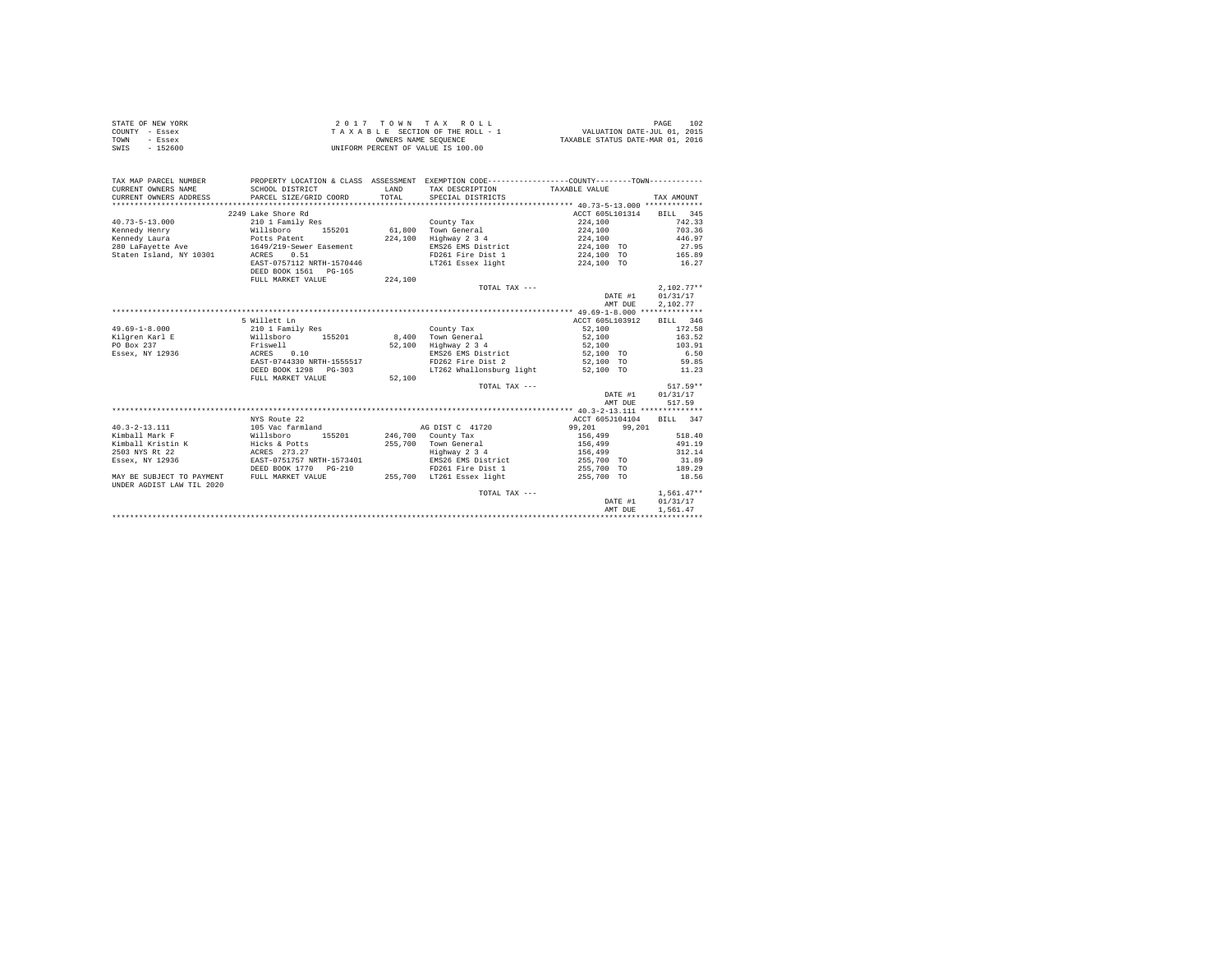| STATE OF NEW YORK | 2017 TOWN TAX ROLL                 | PAGE                             | -102 |
|-------------------|------------------------------------|----------------------------------|------|
| COUNTY - Essex    | TAXABLE SECTION OF THE ROLL - 1    | VALUATION DATE-JUL 01, 2015      |      |
| TOWN<br>- Essex   | OWNERS NAME SEOUENCE               | TAXABLE STATUS DATE-MAR 01, 2016 |      |
| $-152600$<br>SWIS | UNIFORM PERCENT OF VALUE IS 100.00 |                                  |      |

| TAX MAP PARCEL NUMBER<br>CURRENT OWNERS NAME<br>CURRENT OWNERS ADDRESS | PROPERTY LOCATION & CLASS ASSESSMENT EXEMPTION CODE----------------COUNTY--------TOWN----------<br>SCHOOL DISTRICT<br>PARCEL SIZE/GRID COORD | LAND<br>TOTAL | TAX DESCRIPTION TAXABLE VALUE<br>SPECIAL DISTRICTS |                   | TAX AMOUNT   |
|------------------------------------------------------------------------|----------------------------------------------------------------------------------------------------------------------------------------------|---------------|----------------------------------------------------|-------------------|--------------|
|                                                                        | 2249 Lake Shore Rd                                                                                                                           |               |                                                    | ACCT 605L101314   | BILL 345     |
| $40.73 - 5 - 13.000$                                                   | 210 1 Family Res                                                                                                                             |               | County Tax                                         | 224,100           | 742.33       |
| Kennedy Henry                                                          | 155201                                                                                                                                       | 61,800        | Town General                                       | 224,100           | 703.36       |
| Willsboro                                                              |                                                                                                                                              | 224,100       | Highway 2 3 4                                      | 224,100           | 446.97       |
|                                                                        |                                                                                                                                              |               | EMS26 EMS District                                 | 224,100 TO        | 27.95        |
| Staten Island, NY 10301 ACRES                                          | 0.51                                                                                                                                         |               | FD261 Fire Dist 1                                  | 224,100 TO 165.89 |              |
|                                                                        | EAST-0757112 NRTH-1570446                                                                                                                    |               | LT261 Essex light                                  | 224.100 TO 16.27  |              |
|                                                                        | DEED BOOK 1561 PG-165                                                                                                                        |               |                                                    |                   |              |
|                                                                        | FULL MARKET VALUE                                                                                                                            | 224,100       |                                                    |                   |              |
|                                                                        |                                                                                                                                              |               | TOTAL TAX ---                                      |                   | $2.102.77**$ |
|                                                                        |                                                                                                                                              |               |                                                    | DATE #1           | 01/31/17     |
|                                                                        |                                                                                                                                              |               |                                                    | AMT DUE           | 2.102.77     |
|                                                                        |                                                                                                                                              |               |                                                    |                   |              |
|                                                                        | 5 Willett Ln                                                                                                                                 |               |                                                    | ACCT 605L103912   | BILL 346     |
| $49.69 - 1 - 8.000$                                                    | 210 1 Family Res                                                                                                                             |               | County Tax                                         | 52,100            | 172.58       |
| Kilgren Karl E                                                         | Willsboro 155201                                                                                                                             | 8,400         | Town General                                       | 52,100            | 163.52       |
| PO Box 237                                                             | Friswell                                                                                                                                     | 52,100        | Highway 2 3 4                                      | 52,100            | 103.91       |
| Essex, NY 12936                                                        | ACRES 0.10                                                                                                                                   |               | EMS26 EMS District                                 | 52,100 TO         | 6.50         |
|                                                                        | EAST-0744330 NRTH-1555517                                                                                                                    |               | FD262 Fire Dist 2                                  | 52,100 TO         | 59.85        |
|                                                                        | DEED BOOK 1298 PG-303                                                                                                                        |               | LT262 Whallonsburg light 52,100 TO                 |                   | 11.23        |
|                                                                        | FULL MARKET VALUE                                                                                                                            | 52,100        |                                                    |                   |              |
|                                                                        |                                                                                                                                              |               | TOTAL TAX ---                                      |                   | $517.59**$   |
|                                                                        |                                                                                                                                              |               |                                                    | DATE #1           | 01/31/17     |
|                                                                        |                                                                                                                                              |               |                                                    | AMT DUE           | 517.59       |
|                                                                        |                                                                                                                                              |               |                                                    |                   |              |
|                                                                        | NYS Route 22                                                                                                                                 |               |                                                    | ACCT 605J104104   | BILL 347     |
| $40.3 - 2 - 13.111$                                                    | 105 Vac farmland                                                                                                                             |               | AG DIST C 41720                                    | 99,201<br>99.201  |              |
| Kimball Mark F                                                         | Willsboro<br>155201 246,700 County Tax                                                                                                       |               |                                                    | 156,499           | 518.40       |
| Kimball Kristin K                                                      | Hicks & Potts                                                                                                                                | 255,700       | Town General                                       | 156,499           | 491.19       |
| 2503 NYS Rt 22                                                         | ACRES 273.27                                                                                                                                 |               | Highway 2 3 4<br>EMS26 EMS District                | 156,499           | 312.14       |
| Essex, NY 12936                                                        | EAST-0751757 NRTH-1573401                                                                                                                    |               |                                                    | 255,700 TO        | 31.89        |
|                                                                        |                                                                                                                                              |               | FD261 Fire Dist 1                                  | 255,700 TO        | 189.29       |
| MAY BE SUBJECT TO PAYMENT<br>UNDER AGDIST LAW TIL 2020                 | FULL MARKET VALUE                                                                                                                            |               | 255,700 LT261 Essex light                          | 255,700 TO        | 18.56        |
|                                                                        |                                                                                                                                              |               | TOTAL TAX ---                                      |                   | $1.561.47**$ |
|                                                                        |                                                                                                                                              |               |                                                    | DATE #1           | 01/31/17     |
|                                                                        |                                                                                                                                              |               |                                                    | AMT DUE           | 1,561.47     |
|                                                                        |                                                                                                                                              |               |                                                    |                   |              |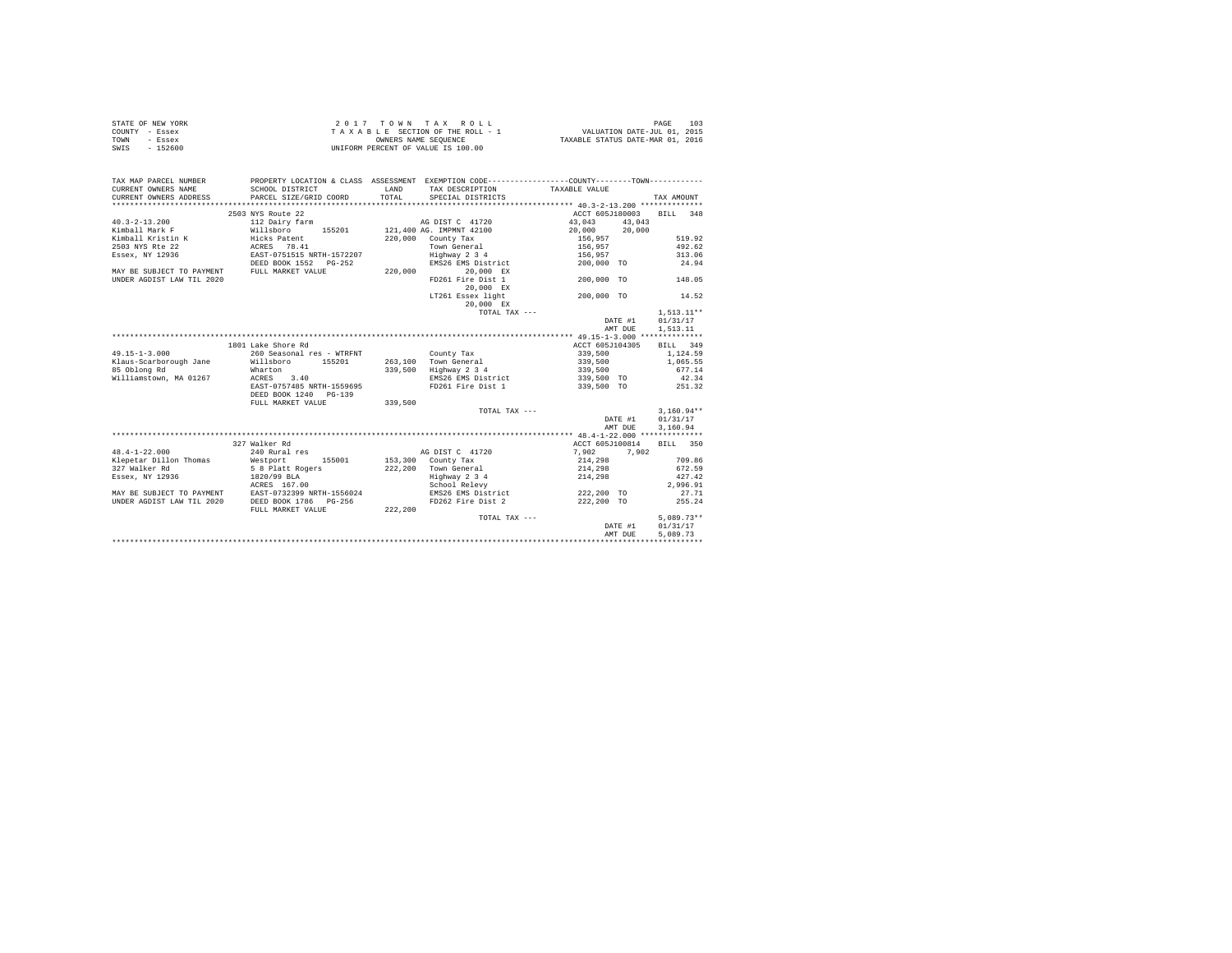|                | STATE OF NEW YORK |  |  |  | 2017 TOWN TAX ROLL                 |  |  |  | 103<br>PAGE                      |
|----------------|-------------------|--|--|--|------------------------------------|--|--|--|----------------------------------|
| COUNTY - Essex |                   |  |  |  | TAXABLE SECTION OF THE ROLL - 1    |  |  |  | VALUATION DATE-JUL 01, 2015      |
| TOWN           | - Essex           |  |  |  | OWNERS NAME SEOUENCE               |  |  |  | TAXABLE STATUS DATE-MAR 01, 2016 |
| SWIS           | $-152600$         |  |  |  | UNIFORM PERCENT OF VALUE IS 100.00 |  |  |  |                                  |

| TAX MAP PARCEL NUMBER<br>CURRENT OWNERS NAME | PROPERTY LOCATION & CLASS ASSESSMENT EXEMPTION CODE----------------COUNTY-------TOWN----------<br>SCHOOL DISTRICT | LAND    | TAX DESCRIPTION          | TAXABLE VALUE   |              |
|----------------------------------------------|-------------------------------------------------------------------------------------------------------------------|---------|--------------------------|-----------------|--------------|
| CURRENT OWNERS ADDRESS                       | PARCEL SIZE/GRID COORD                                                                                            | TOTAL.  | SPECIAL DISTRICTS        |                 | TAX AMOUNT   |
|                                              | 2503 NYS Route 22                                                                                                 |         |                          | ACCT 605J180003 | BILL 348     |
| $40.3 - 2 - 13.200$                          | 112 Dairy farm                                                                                                    |         | AG DIST C 41720          | 43,043          | 43,043       |
| Kimball Mark F                               | Willsboro<br>155201                                                                                               |         | 121,400 AG. IMPMNT 42100 | 20,000 20,000   |              |
| Kimball Kristin K                            | Hicks Patent                                                                                                      | 220,000 | County Tax               | 156.957         | 519.92       |
| 2503 NYS Rte 22                              | ACRES 78.41                                                                                                       |         | Town General             | 156,957         | 492.62       |
| Essex, NY 12936                              | EAST-0751515 NRTH-1572207                                                                                         |         | Highway 2 3 4            | 156.957         | 313.06       |
|                                              | DEED BOOK 1552 PG-252                                                                                             |         | EMS26 EMS District       | 200,000 TO      | 24.94        |
| MAY BE SUBJECT TO PAYMENT                    | FULL MARKET VALUE                                                                                                 | 220,000 | 20,000 EX                |                 |              |
| UNDER AGDIST LAW TIL 2020                    |                                                                                                                   |         | FD261 Fire Dist 1        | 200,000 TO      | 148.05       |
|                                              |                                                                                                                   |         | 20,000 EX                |                 |              |
|                                              |                                                                                                                   |         | LT261 Essex light        | 200,000 TO      | 14.52        |
|                                              |                                                                                                                   |         |                          |                 |              |
|                                              |                                                                                                                   |         | 20,000 EX                |                 |              |
|                                              |                                                                                                                   |         | TOTAL TAX ---            |                 | $1.513.11**$ |
|                                              |                                                                                                                   |         |                          | DATE #1         | 01/31/17     |
|                                              |                                                                                                                   |         |                          | AMT DUE         | 1,513.11     |
|                                              |                                                                                                                   |         |                          |                 |              |
|                                              | 1801 Lake Shore Rd                                                                                                |         |                          | ACCT 605J104305 | BILL 349     |
| $49.15 - 1 - 3.000$                          | 260 Seasonal res - WTRFNT                                                                                         |         | County Tax               | 339,500         | 1,124.59     |
| Klaus-Scarborough Jane                       | 155201<br>Willsboro                                                                                               |         | 263.100 Town General     | 339,500         | 1,065.55     |
| 85 Oblong Rd                                 | Wharton                                                                                                           | 339,500 | Highway 2 3 4            | 339,500         | 677.14       |
| Williamstown, MA 01267                       | ACRES<br>3.40                                                                                                     |         | EMS26 EMS District       | 339,500 TO      | 42.34        |
|                                              | EAST-0757485 NRTH-1559695                                                                                         |         | FD261 Fire Dist 1        | 339,500 TO      | 251.32       |
|                                              | DEED BOOK 1240 PG-139                                                                                             |         |                          |                 |              |
|                                              | FULL MARKET VALUE                                                                                                 | 339,500 |                          |                 |              |
|                                              |                                                                                                                   |         | TOTAL TAX ---            |                 | $3,160.94**$ |
|                                              |                                                                                                                   |         |                          | DATE #1         | 01/31/17     |
|                                              |                                                                                                                   |         |                          | AMT DUE         | 3,160.94     |
|                                              |                                                                                                                   |         |                          |                 |              |
|                                              | 327 Walker Rd                                                                                                     |         |                          | ACCT 605J100814 | BILL 350     |
| $48.4 - 1 - 22.000$                          | 240 Rural res                                                                                                     |         | AG DIST C 41720          | 7.902           | 7.902        |
| Klepetar Dillon Thomas                       | Westport<br>155001                                                                                                |         | 153,300 County Tax       | 214,298         | 709.86       |
| 327 Walker Rd                                | 5 8 Platt Rogers                                                                                                  |         | 222,200 Town General     | 214,298         | 672.59       |
| Essex, NY 12936                              | 1820/99 BLA                                                                                                       |         | Highway 2 3 4            | 214,298         | 427.42       |
|                                              | ACRES 167.00                                                                                                      |         | School Relevy            |                 | 2,996.91     |
| MAY BE SUBJECT TO PAYMENT                    | EAST-0732399 NRTH-1556024                                                                                         |         | EMS26 EMS District       | 222,200 TO      | 27.71        |
| UNDER AGDIST LAW TIL 2020                    | DEED BOOK 1786 PG-256                                                                                             |         | FD262 Fire Dist 2        | 222,200 TO      | 255.24       |
|                                              | FULL MARKET VALUE                                                                                                 | 222,200 |                          |                 |              |
|                                              |                                                                                                                   |         | TOTAL TAX ---            |                 | $5.089.73**$ |
|                                              |                                                                                                                   |         |                          | DATE #1         | 01/31/17     |
|                                              |                                                                                                                   |         |                          | AMT DUE         | 5,089.73     |
|                                              |                                                                                                                   |         |                          |                 |              |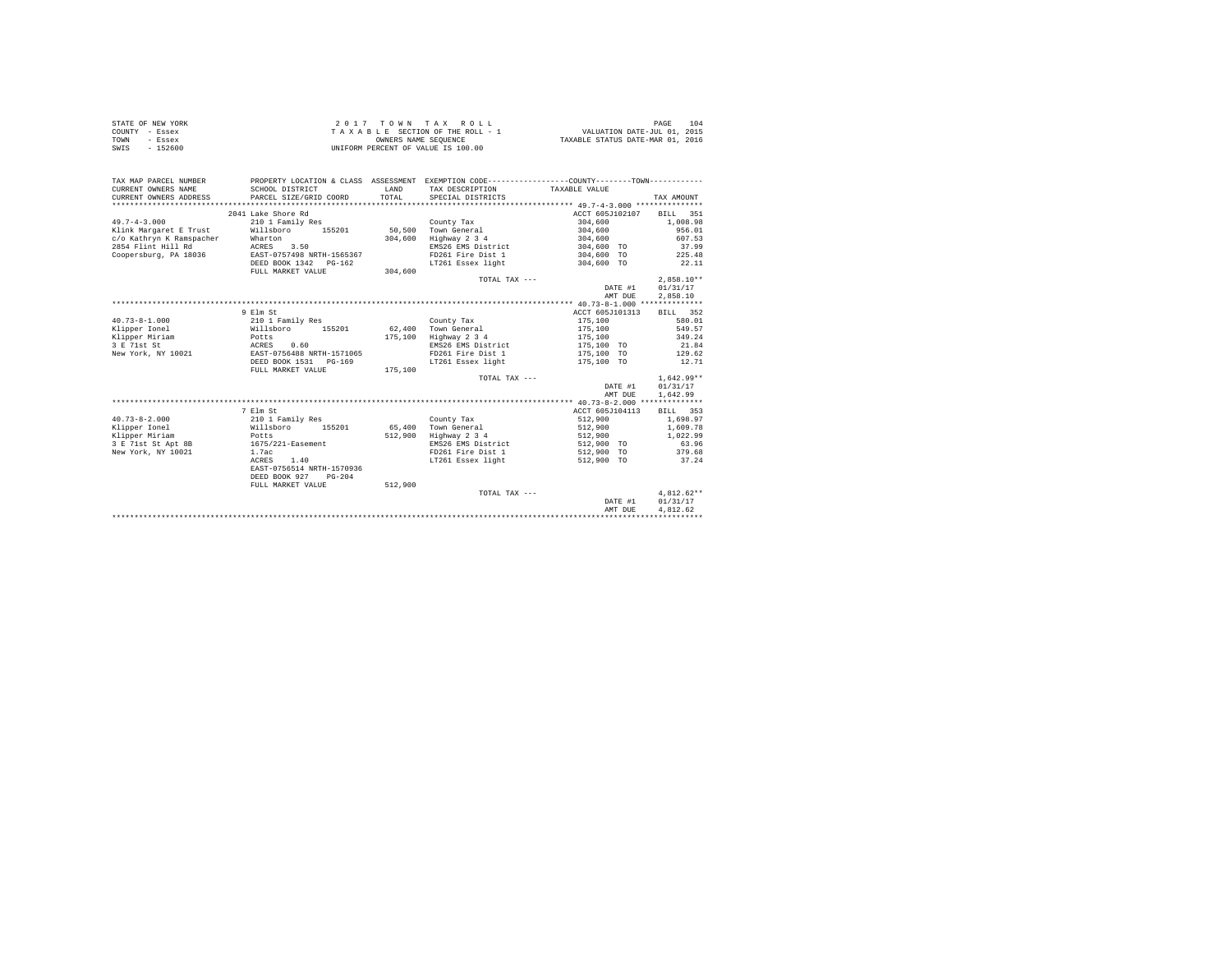| STATE OF NEW YORK | 2017 TOWN TAX ROLL                 | 104<br>PAGE                      |
|-------------------|------------------------------------|----------------------------------|
| COUNTY - Essex    | TAXABLE SECTION OF THE ROLL - 1    | VALUATION DATE-JUL 01, 2015      |
| TOWN<br>- Essex   | OWNERS NAME SEOUENCE               | TAXABLE STATUS DATE-MAR 01, 2016 |
| SWIS<br>$-152600$ | UNIFORM PERCENT OF VALUE IS 100.00 |                                  |

| TAX MAP PARCEL NUMBER    | PROPERTY LOCATION & CLASS ASSESSMENT EXEMPTION CODE----------------COUNTY--------TOWN---------- |         |                       |                 |              |
|--------------------------|-------------------------------------------------------------------------------------------------|---------|-----------------------|-----------------|--------------|
| CURRENT OWNERS NAME      | SCHOOL DISTRICT                                                                                 | LAND    | TAX DESCRIPTION       | TAXABLE VALUE   |              |
| CURRENT OWNERS ADDRESS   | PARCEL SIZE/GRID COORD                                                                          | TOTAL   | SPECIAL DISTRICTS     |                 | TAX AMOUNT   |
|                          |                                                                                                 |         |                       |                 |              |
|                          | 2041 Lake Shore Rd                                                                              |         |                       | ACCT 605J102107 | BILL 351     |
| $49.7 - 4 - 3.000$       | 210 1 Family Res                                                                                |         | County Tax            | 304,600         | 1,008.98     |
| Klink Margaret E Trust   | Willsboro 155201                                                                                |         | 50,500 Town General   | 304,600         | 956.01       |
| c/o Kathryn K Ramspacher | Wharton                                                                                         | 304,600 | Highway 2 3 4         | 304,600         | 607.53       |
| 2854 Flint Hill Rd       | ACRES<br>3.50                                                                                   |         | EMS26 EMS District    | 304,600 TO      | 37.99        |
| Coopersburg, PA 18036    | EAST-0757498 NRTH-1565367                                                                       |         | FD261 Fire Dist 1     | 304,600 TO      | 225.48       |
|                          | DEED BOOK 1342 PG-162                                                                           |         | LT261 Essex light     | 304,600 TO      | 22.11        |
|                          | FULL MARKET VALUE                                                                               | 304,600 |                       |                 |              |
|                          |                                                                                                 |         | TOTAL TAX ---         |                 | $2.858.10**$ |
|                          |                                                                                                 |         |                       | DATE #1         | 01/31/17     |
|                          |                                                                                                 |         |                       | AMT DUE         | 2,858.10     |
|                          |                                                                                                 |         |                       |                 |              |
|                          | 9 Elm St                                                                                        |         |                       | ACCT 605J101313 | BILL 352     |
| $40.73 - 8 - 1.000$      | 210 1 Family Res                                                                                |         | County Tax            | 175,100         | 580.01       |
| Klipper Ionel            | Willsboro<br>155201                                                                             |         | 62.400 Town General   | 175,100         | 549.57       |
| Klipper Miriam           |                                                                                                 |         | 175,100 Highway 2 3 4 | 175,100         | 349.24       |
| 3 E 71st St              | Potts<br>ACRES<br>0.60                                                                          |         | EMS26 EMS District    | 175,100 TO      | 21.84        |
| New York, NY 10021       | EAST-0756488 NRTH-1571065                                                                       |         | FD261 Fire Dist 1     | 175,100 TO      | 129.62       |
|                          | DEED BOOK 1531 PG-169                                                                           |         | LT261 Essex light     | 175,100 TO      | 12.71        |
|                          | FULL MARKET VALUE                                                                               | 175,100 |                       |                 |              |
|                          |                                                                                                 |         | TOTAL TAX ---         |                 | $1.642.99**$ |
|                          |                                                                                                 |         |                       | DATE #1         | 01/31/17     |
|                          |                                                                                                 |         |                       | AMT DUE         | 1,642.99     |
|                          |                                                                                                 |         |                       |                 |              |
|                          | 7 Elm St                                                                                        |         |                       | ACCT 605J104113 | BILL 353     |
| $40.73 - 8 - 2.000$      | 210 1 Family Res                                                                                |         | County Tax            | 512,900         | 1,698.97     |
| Klipper Ionel            | 155201<br>Willsboro                                                                             |         | 65.400 Town General   | 512,900         | 1,609.78     |
| Klipper Miriam           | Potts                                                                                           | 512,900 | Highway 2 3 4         | 512,900         | 1,022.99     |
| 3 E 71st St Apt 8B       | 1675/221-Easement                                                                               |         | EMS26 EMS District    | 512,900 TO      | 63.96        |
| New York, NY 10021       | 1.7ac                                                                                           |         | FD261 Fire Dist 1     | 512,900 TO      | 379.68       |
|                          | 1.40<br>ACRES                                                                                   |         | LT261 Essex light     | 512,900 TO      | 37.24        |
|                          | EAST-0756514 NRTH-1570936                                                                       |         |                       |                 |              |
|                          | DEED BOOK 927<br>$PG-204$                                                                       |         |                       |                 |              |
|                          | FULL MARKET VALUE                                                                               | 512,900 |                       |                 |              |
|                          |                                                                                                 |         | TOTAL TAX ---         |                 | $4,812.62**$ |
|                          |                                                                                                 |         |                       | DATE #1         | 01/31/17     |
|                          |                                                                                                 |         |                       | AMT DUE         | 4.812.62     |
|                          |                                                                                                 |         |                       |                 |              |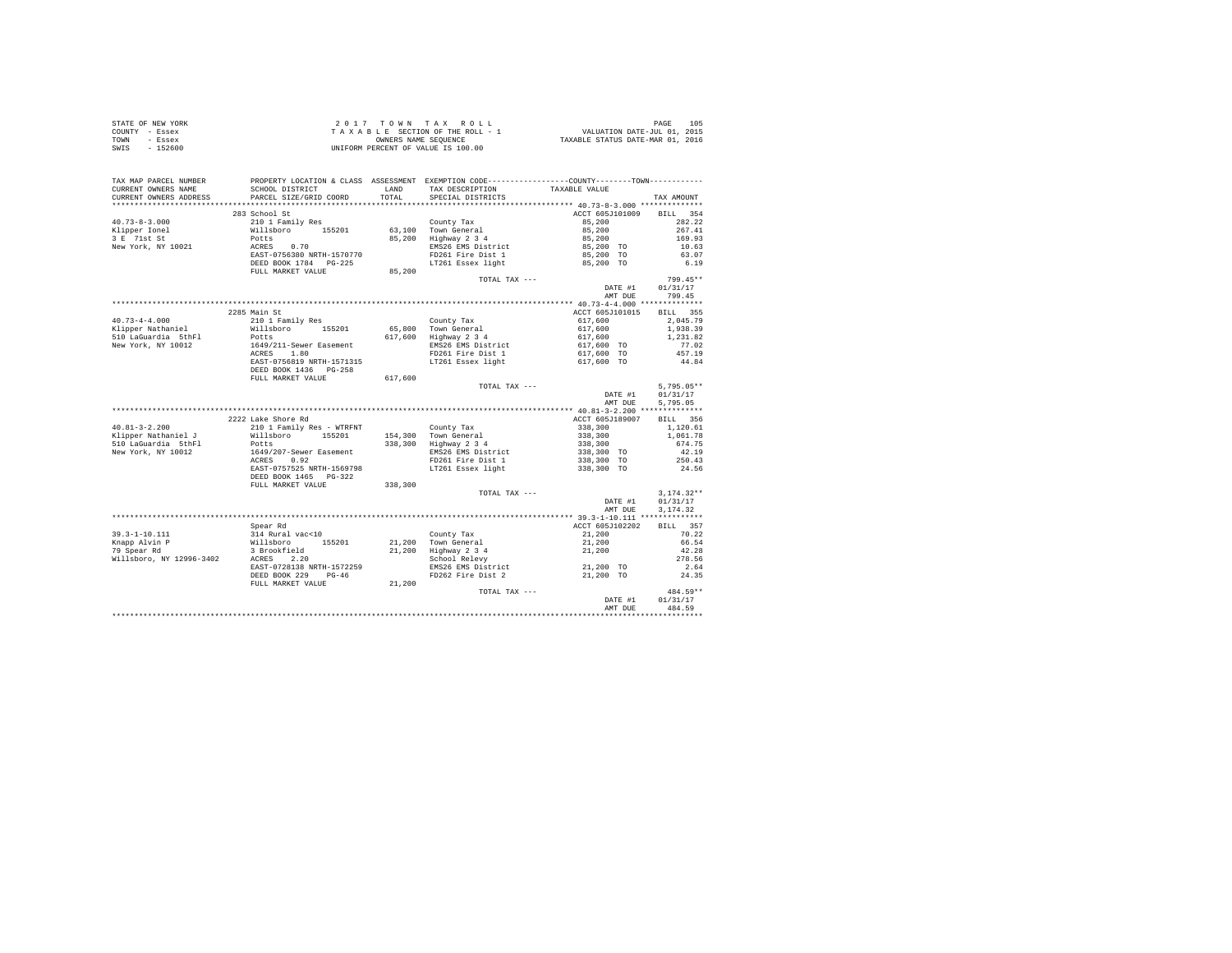|      | STATE OF NEW YORK | 2017 TOWN TAX ROLL                 | 105<br>PAGE                      |
|------|-------------------|------------------------------------|----------------------------------|
|      | COUNTY - Essex    | TAXABLE SECTION OF THE ROLL - 1    | VALUATION DATE-JUL 01, 2015      |
| TOWN | - Essex           | OWNERS NAME SEOUENCE               | TAXABLE STATUS DATE-MAR 01, 2016 |
| SWIS | - 152600          | UNIFORM PERCENT OF VALUE IS 100.00 |                                  |

| TAX MAP PARCEL NUMBER<br>CURRENT OWNERS NAME<br>CURRENT OWNERS ADDRESS | PROPERTY LOCATION & CLASS ASSESSMENT EXEMPTION CODE---------------COUNTY-------TOWN----------<br>SCHOOL DISTRICT<br>PARCEL SIZE/GRID COORD | LAND<br>TOTAL | TAX DESCRIPTION<br>SPECIAL DISTRICTS | TAXABLE VALUE                        | TAX AMOUNT         |
|------------------------------------------------------------------------|--------------------------------------------------------------------------------------------------------------------------------------------|---------------|--------------------------------------|--------------------------------------|--------------------|
| *********************                                                  | ***********************                                                                                                                    |               |                                      |                                      |                    |
|                                                                        | 283 School St                                                                                                                              |               |                                      | ACCT 605J101009                      | <b>BILL</b><br>354 |
| $40.73 - 8 - 3.000$                                                    | 210 1 Family Res                                                                                                                           |               | County Tax                           | 85,200                               | 282.22             |
| Klipper Ionel                                                          | Willsboro 155201                                                                                                                           |               | 63,100 Town General                  | 85,200                               | 267.41             |
| 3 E 71st St                                                            | Potts                                                                                                                                      | 85,200        | Highway 2 3 4                        | 85,200                               | 169.93             |
| New York, NY 10021                                                     | ACRES<br>0.70                                                                                                                              |               | EMS26 EMS District                   | 85,200 TO                            | 10.63              |
|                                                                        | EAST-0756380 NRTH-1570770                                                                                                                  |               | FD261 Fire Dist 1                    | 85,200 TO                            | 63.07              |
|                                                                        | DEED BOOK 1784 PG-225                                                                                                                      |               | LT261 Essex light                    | 85,200 TO                            | 6.19               |
|                                                                        | FULL MARKET VALUE                                                                                                                          | 85,200        |                                      |                                      |                    |
|                                                                        |                                                                                                                                            |               | TOTAL TAX ---                        |                                      | 799.45**           |
|                                                                        |                                                                                                                                            |               |                                      | DATE #1                              | 01/31/17           |
|                                                                        |                                                                                                                                            |               |                                      | AMT DUE                              | 799.45             |
|                                                                        |                                                                                                                                            |               |                                      |                                      |                    |
|                                                                        | 2285 Main St                                                                                                                               |               |                                      | ACCT 605J101015                      | BILL 355           |
| $40.73 - 4 - 4.000$                                                    | 210 1 Family Res                                                                                                                           |               | County Tax                           | 617,600                              | 2.045.79           |
| Klipper Nathaniel                                                      | Willsboro<br>155201                                                                                                                        |               | 65.800 Town General                  | 617,600                              | 1,938.39           |
| 510 LaGuardia 5thFl                                                    | Potts                                                                                                                                      | 617,600       | Highway 2 3 4                        | 617,600                              | 1.231.82           |
| New York, NY 10012                                                     | 1649/211-Sewer Easement                                                                                                                    |               | EMS26 EMS District                   | 617,600 TO                           | 77.02              |
|                                                                        | ACRES<br>1.80                                                                                                                              |               | FD261 Fire Dist 1                    | 617,600 TO                           | 457.19             |
|                                                                        | EAST-0756819 NRTH-1571315                                                                                                                  |               | LT261 Essex light                    | 617,600 TO                           | 44.84              |
|                                                                        | DEED BOOK 1436 PG-258                                                                                                                      |               |                                      |                                      |                    |
|                                                                        | FULL MARKET VALUE                                                                                                                          | 617,600       |                                      |                                      |                    |
|                                                                        |                                                                                                                                            |               | TOTAL TAX ---                        |                                      | $5,795.05**$       |
|                                                                        |                                                                                                                                            |               |                                      | DATE #1                              | 01/31/17           |
|                                                                        |                                                                                                                                            |               |                                      | AMT DUE                              | 5.795.05           |
|                                                                        |                                                                                                                                            |               |                                      | *********** 40.81-3-2.200 ***        | ***********        |
|                                                                        | 2222 Lake Shore Rd                                                                                                                         |               |                                      | ACCT 605J189007                      | BILL 356           |
| $40.81 - 3 - 2.200$                                                    | 210 1 Family Res - WTRFNT                                                                                                                  |               | County Tax                           | 338,300                              | 1,120.61           |
| Klipper Nathaniel J                                                    | Willsboro<br>155201                                                                                                                        |               | 154,300 Town General                 | 338,300                              | 1,061.78           |
| 510 LaGuardia 5thFl                                                    | Potts                                                                                                                                      | 338,300       | Highway 2 3 4                        | 338,300                              | 674.75             |
| New York, NY 10012                                                     | 1649/207-Sewer Easement                                                                                                                    |               | EMS26 EMS District                   | 338,300 TO                           | 42.19              |
|                                                                        | 0.92<br>ACRES                                                                                                                              |               | FD261 Fire Dist 1                    | 338,300 TO                           | 250.43             |
|                                                                        | EAST-0757525 NRTH-1569798                                                                                                                  |               | LT261 Essex light                    | 338,300 TO                           | 24.56              |
|                                                                        | DEED BOOK 1465 PG-322                                                                                                                      |               |                                      |                                      |                    |
|                                                                        | FULL MARKET VALUE                                                                                                                          | 338,300       |                                      |                                      |                    |
|                                                                        |                                                                                                                                            |               | TOTAL TAX ---                        |                                      | $3,174.32**$       |
|                                                                        |                                                                                                                                            |               |                                      | DATE #1                              | 01/31/17           |
|                                                                        |                                                                                                                                            |               |                                      | AMT DUE                              | 3.174.32           |
|                                                                        |                                                                                                                                            |               |                                      | ******* 39.3-1-10.111 ************** |                    |
|                                                                        | Spear Rd                                                                                                                                   |               |                                      | ACCT 605J102202                      | BILL 357           |
| $39.3 - 1 - 10.111$                                                    | 314 Rural vac<10                                                                                                                           |               | County Tax                           | 21,200                               | 70.22              |
| Knapp Alvin P                                                          | Willsboro 155201                                                                                                                           |               | 21,200 Town General                  | 21,200                               | 66.54              |
| 79 Spear Rd                                                            | 3 Brookfield                                                                                                                               |               | 21,200 Highway 2 3 4                 | 21,200                               | 42.28              |
| Willsboro, NY 12996-3402                                               | 2.20<br>ACRES                                                                                                                              |               | School Relevy                        |                                      | 278.56             |
|                                                                        | EAST-0728138 NRTH-1572259                                                                                                                  |               | EMS26 EMS District                   | 21,200 TO                            | 2.64               |
|                                                                        | DEED BOOK 229<br>$PG-46$                                                                                                                   |               | FD262 Fire Dist 2                    | 21,200 TO                            | 24.35              |
|                                                                        | FULL MARKET VALUE                                                                                                                          | 21,200        |                                      |                                      |                    |
|                                                                        |                                                                                                                                            |               | TOTAL TAX ---                        |                                      | 484.59**           |
|                                                                        |                                                                                                                                            |               |                                      | DATE #1                              | 01/31/17           |
|                                                                        |                                                                                                                                            |               |                                      | AMT DUE                              | 484.59             |
|                                                                        |                                                                                                                                            |               |                                      |                                      |                    |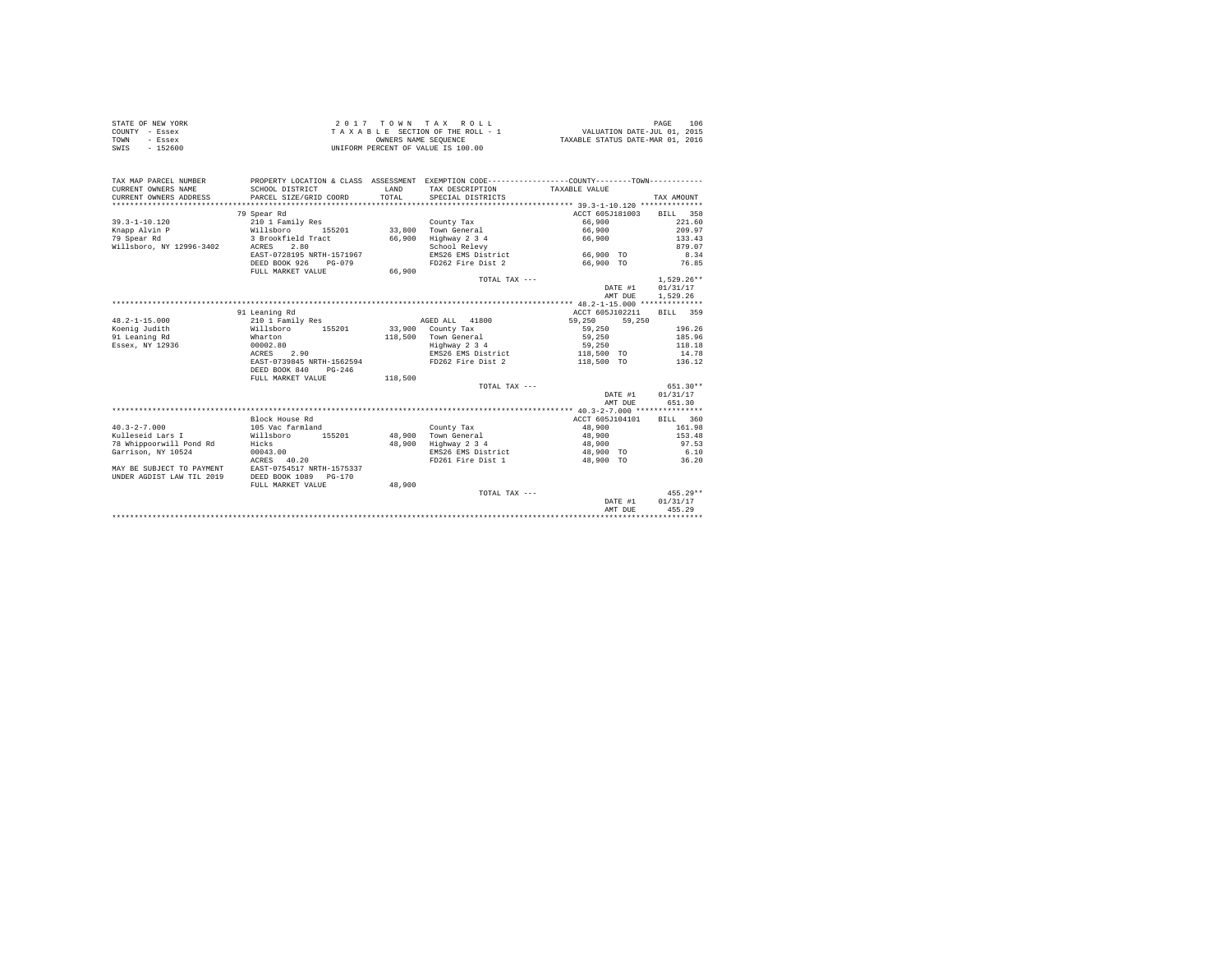| STATE OF NEW YORK | $2.017$ TOWN TAX ROLL              | 106<br>PAGE                      |
|-------------------|------------------------------------|----------------------------------|
| COUNTY - Essex    | TAXABLE SECTION OF THE ROLL - 1    | VALUATION DATE-JUL 01, 2015      |
| TOWN<br>- Essex   | OWNERS NAME SEOUENCE               | TAXABLE STATUS DATE-MAR 01, 2016 |
| SWIS<br>$-152600$ | UNIFORM PERCENT OF VALUE IS 100.00 |                                  |

| TAX MAP PARCEL NUMBER<br>CURRENT OWNERS NAME | SCHOOL DISTRICT           | <b>T.AND</b> | PROPERTY LOCATION & CLASS ASSESSMENT EXEMPTION CODE---------------COUNTY-------TOWN---------<br>TAX DESCRIPTION | TAXABLE VALUE            |              |
|----------------------------------------------|---------------------------|--------------|-----------------------------------------------------------------------------------------------------------------|--------------------------|--------------|
| CURRENT OWNERS ADDRESS                       | PARCEL SIZE/GRID COORD    | TOTAL        | SPECIAL DISTRICTS                                                                                               |                          | TAX AMOUNT   |
|                                              |                           |              |                                                                                                                 |                          |              |
|                                              | 79 Spear Rd               |              |                                                                                                                 | ACCT 605J181003          | BILL 358     |
| $39.3 - 1 - 10.120$                          | 210 1 Family Res          |              | County Tax                                                                                                      | 66,900                   | 221.60       |
| Knapp Alvin P                                | Willsboro<br>155201       |              | 33,800 Town General                                                                                             | 66,900                   | 209.97       |
| 79 Spear Rd                                  | 3 Brookfield Tract        | 66,900       | Highway 2 3 4                                                                                                   | 66,900                   | 133.43       |
| Willsboro, NY 12996-3402                     | 2.80<br>ACRES             |              | School Relevy                                                                                                   |                          | 879.07       |
|                                              | EAST-0728195 NRTH-1571967 |              | EMS26 EMS District                                                                                              | 66,900 TO                | 8.34         |
|                                              | DEED BOOK 926<br>$PG-079$ |              | FD262 Fire Dist 2                                                                                               | 66,900 TO                | 76.85        |
|                                              | FULL MARKET VALUE         | 66,900       |                                                                                                                 |                          |              |
|                                              |                           |              | TOTAL TAX ---                                                                                                   |                          | $1.529.26**$ |
|                                              |                           |              |                                                                                                                 | DATE #1                  | 01/31/17     |
|                                              |                           |              |                                                                                                                 | AMT DUE                  | 1,529.26     |
|                                              |                           |              |                                                                                                                 |                          |              |
|                                              | 91 Leaning Rd             |              |                                                                                                                 | ACCT 605J102211          | BILL 359     |
| $48.2 - 1 - 15.000$                          | 210 1 Family Res          |              | AGED ALL 41800                                                                                                  | 59,250<br>59,250         |              |
| Koenig Judith                                | Willsboro<br>155201       |              | $33.900$ County Tax                                                                                             | 59,250                   | 196.26       |
| 91 Leaning Rd                                | Wharton                   |              | 118,500 Town General                                                                                            | 59,250                   | 185.96       |
| Essex, NY 12936                              | 00002.80                  |              | Highway 2 3 4                                                                                                   | 59,250                   | 118.18       |
|                                              | ACRES 2.90                |              | EMS26 EMS District                                                                                              | 118,500 TO               | 14.78        |
|                                              | EAST-0739845 NRTH-1562594 |              | FD262 Fire Dist 2                                                                                               | 118,500 TO               | 136.12       |
|                                              | DEED BOOK 840<br>$PG-246$ |              |                                                                                                                 |                          |              |
|                                              | FULL MARKET VALUE         | 118,500      |                                                                                                                 |                          |              |
|                                              |                           |              | TOTAL TAX ---                                                                                                   |                          | $651.30**$   |
|                                              |                           |              |                                                                                                                 | DATE #1                  | 01/31/17     |
|                                              |                           |              |                                                                                                                 | AMT DUE                  | 651.30       |
|                                              |                           |              |                                                                                                                 |                          |              |
|                                              | Block House Rd            |              |                                                                                                                 | ACCT 605J104101 BILL 360 |              |
| $40.3 - 2 - 7.000$                           | 105 Vac farmland          |              | County Tax                                                                                                      | 48,900                   | 161.98       |
| Kulleseid Lars I                             | Willsboro<br>155201       | 48,900       | Town General                                                                                                    | 48,900                   | 153.48       |
| 78 Whippoorwill Pond Rd                      | Hicks                     | 48,900       | Highway 2 3 4                                                                                                   | 48,900                   | 97.53        |
| Garrison, NY 10524                           | 00043.00                  |              | EMS26 EMS District                                                                                              | 48,900 TO                | 6.10         |
|                                              | ACRES 40.20               |              | FD261 Fire Dist 1                                                                                               | 48,900 TO                | 36.20        |
| MAY BE SUBJECT TO PAYMENT                    | EAST-0754517 NRTH-1575337 |              |                                                                                                                 |                          |              |
| UNDER AGDIST LAW TIL 2019                    | DEED BOOK 1089 PG-170     |              |                                                                                                                 |                          |              |
|                                              | FULL MARKET VALUE         | 48,900       |                                                                                                                 |                          |              |
|                                              |                           |              | TOTAL TAX ---                                                                                                   |                          | $455.29**$   |
|                                              |                           |              |                                                                                                                 | DATE #1                  | 01/31/17     |
|                                              |                           |              |                                                                                                                 | AMT DUE                  | 455.29       |
|                                              |                           |              |                                                                                                                 |                          |              |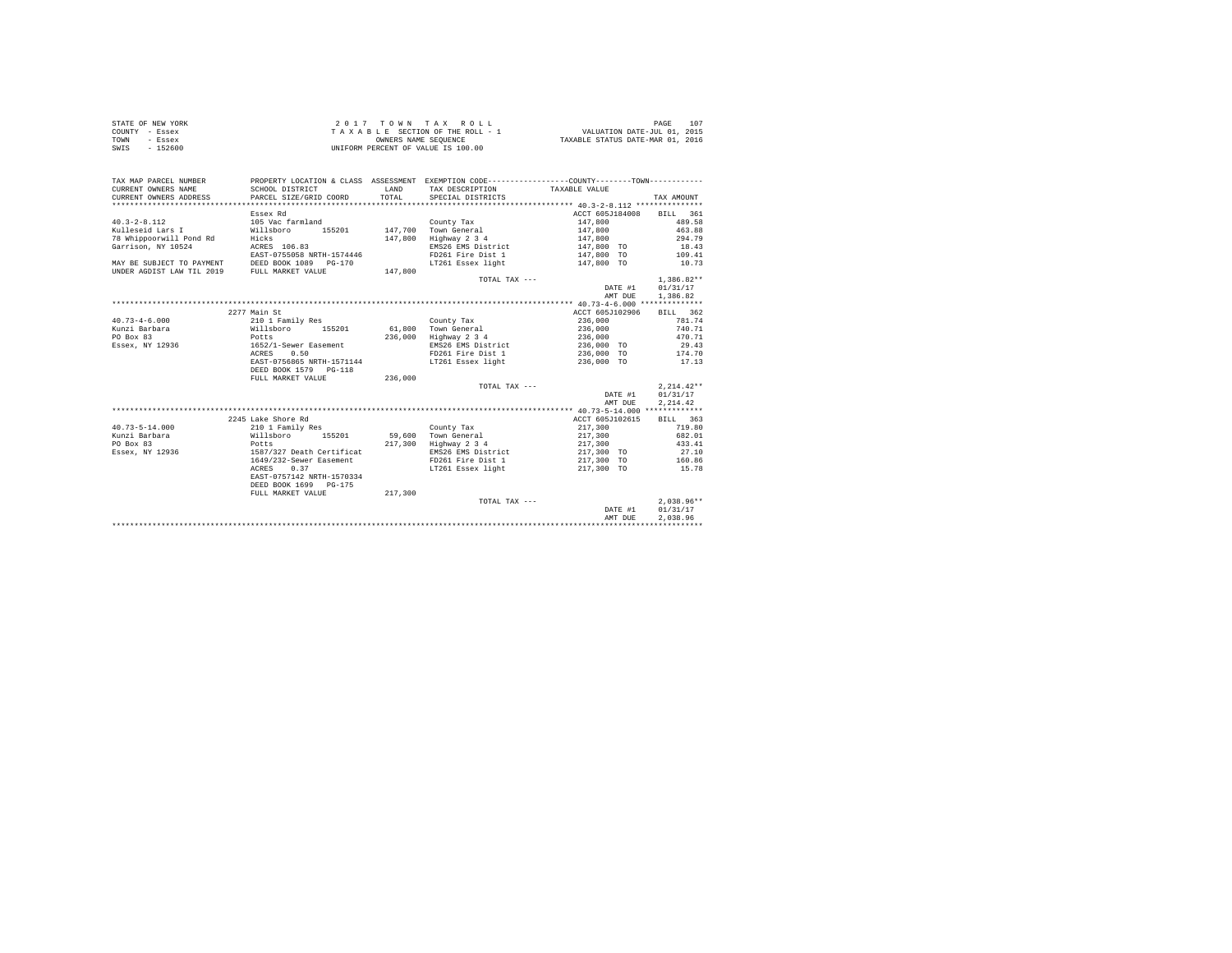|                | STATE OF NEW YORK | 2017 TOWN TAX ROLL                 | 107<br>PAGE                      |
|----------------|-------------------|------------------------------------|----------------------------------|
| COUNTY - Essex |                   | TAXABLE SECTION OF THE ROLL - 1    | VALUATION DATE-JUL 01, 2015      |
| TOWN           | - Essex           | OWNERS NAME SEOUENCE               | TAXABLE STATUS DATE-MAR 01, 2016 |
| SWIS           | $-152600$         | UNIFORM PERCENT OF VALUE IS 100.00 |                                  |

| TAX MAP PARCEL NUMBER<br>CURRENT OWNERS NAME<br>CURRENT OWNERS ADDRESS | PROPERTY LOCATION & CLASS ASSESSMENT EXEMPTION CODE----------------COUNTY-------TOWN----------<br>SCHOOL DISTRICT<br>PARCEL SIZE/GRID COORD | <b>T.AND</b><br>TOTAL | TAX DESCRIPTION TAXABLE VALUE<br>SPECIAL DISTRICTS |                 | TAX AMOUNT   |
|------------------------------------------------------------------------|---------------------------------------------------------------------------------------------------------------------------------------------|-----------------------|----------------------------------------------------|-----------------|--------------|
|                                                                        |                                                                                                                                             |                       |                                                    |                 |              |
|                                                                        | Essex Rd                                                                                                                                    |                       |                                                    | ACCT 605J184008 | BILL 361     |
| $40.3 - 2 - 8.112$                                                     | 105 Vac farmland                                                                                                                            |                       | County Tax                                         | 147,800         | 489.58       |
| Kulleseid Lars I                                                       | Willsboro<br>155201                                                                                                                         |                       | 147.700 Town General                               | 147.800         | 463.88       |
| 78 Whippoorwill Pond Rd                                                | Hicks                                                                                                                                       | 147,800               | Highway 2 3 4                                      | 147,800         | 294.79       |
| Garrison, NY 10524                                                     | ACRES 106.83                                                                                                                                |                       | EMS26 EMS District                                 | 147,800 TO      | 18.43        |
|                                                                        | EAST-0755058 NRTH-1574446                                                                                                                   |                       | FD261 Fire Dist 1                                  | 147,800 TO      | 109.41       |
| MAY BE SUBJECT TO PAYMENT                                              | DEED BOOK 1089 PG-170                                                                                                                       |                       | LT261 Essex light                                  | 147,800 TO      | 10.73        |
| UNDER AGDIST LAW TIL 2019                                              | FULL MARKET VALUE                                                                                                                           | 147,800               |                                                    |                 |              |
|                                                                        |                                                                                                                                             |                       | TOTAL TAX ---                                      |                 | $1.386.82**$ |
|                                                                        |                                                                                                                                             |                       |                                                    | DATE #1         | 01/31/17     |
|                                                                        |                                                                                                                                             |                       |                                                    | AMT DUE         | 1,386.82     |
|                                                                        |                                                                                                                                             |                       |                                                    |                 |              |
|                                                                        | 2277 Main St                                                                                                                                |                       |                                                    | ACCT 605J102906 | BILL 362     |
| $40.73 - 4 - 6.000$                                                    | 210 1 Family Res                                                                                                                            |                       | County Tax                                         | 236,000         | 781.74       |
| Kunzi Barbara                                                          | Willsboro<br>155201                                                                                                                         |                       | 61.800 Town General                                | 236,000         | 740.71       |
| PO Box 83                                                              | Potts                                                                                                                                       | 236,000               | Highway 2 3 4                                      | 236,000         | 470.71       |
| Essex, NY 12936                                                        | 1652/1-Sewer Easement                                                                                                                       |                       | EMS26 EMS District                                 | 236,000 TO      | 29.43        |
|                                                                        | 0.50<br>ACRES                                                                                                                               |                       | FD261 Fire Dist 1                                  | 236,000 TO      | 174.70       |
|                                                                        | EAST-0756865 NRTH-1571144<br>DEED BOOK 1579 PG-118                                                                                          |                       | LT261 Essex light                                  | 236,000 TO      | 17.13        |
|                                                                        | FULL MARKET VALUE                                                                                                                           | 236,000               |                                                    |                 |              |
|                                                                        |                                                                                                                                             |                       | TOTAL TAX ---                                      |                 | $2.214.42**$ |
|                                                                        |                                                                                                                                             |                       |                                                    | DATE #1         | 01/31/17     |
|                                                                        |                                                                                                                                             |                       |                                                    | AMT DUE         | 2.214.42     |
|                                                                        |                                                                                                                                             |                       |                                                    |                 |              |
|                                                                        | 2245 Lake Shore Rd                                                                                                                          |                       |                                                    | ACCT 605J102615 | BILL 363     |
| $40.73 - 5 - 14.000$                                                   | 210 1 Family Res                                                                                                                            |                       | County Tax                                         | 217,300         | 719.80       |
| Kunzi Barbara                                                          | Willsboro 155201                                                                                                                            |                       | 59,600 Town General                                | 217,300         | 682.01       |
| PO Box 83                                                              | Potts                                                                                                                                       | 217,300               | Highway 2 3 4                                      | 217,300         | 433.41       |
| Essex, NY 12936                                                        | 1587/327 Death Certificat                                                                                                                   |                       | EMS26 EMS District                                 | 217,300 TO      | 27.10        |
|                                                                        | 1649/232-Sewer Easement                                                                                                                     |                       | FD261 Fire Dist 1                                  | 217,300 TO      | 160.86       |
|                                                                        | ACRES<br>0.37                                                                                                                               |                       | LT261 Essex light                                  | 217,300 TO      | 15.78        |
|                                                                        | EAST-0757142 NRTH-1570334                                                                                                                   |                       |                                                    |                 |              |
|                                                                        | DEED BOOK 1699 PG-175                                                                                                                       |                       |                                                    |                 |              |
|                                                                        | FULL MARKET VALUE                                                                                                                           | 217,300               |                                                    |                 |              |
|                                                                        |                                                                                                                                             |                       | TOTAL TAX ---                                      |                 | $2.038.96**$ |
|                                                                        |                                                                                                                                             |                       |                                                    | DATE #1         | 01/31/17     |
|                                                                        |                                                                                                                                             |                       |                                                    | AMT DUE         | 2.038.96     |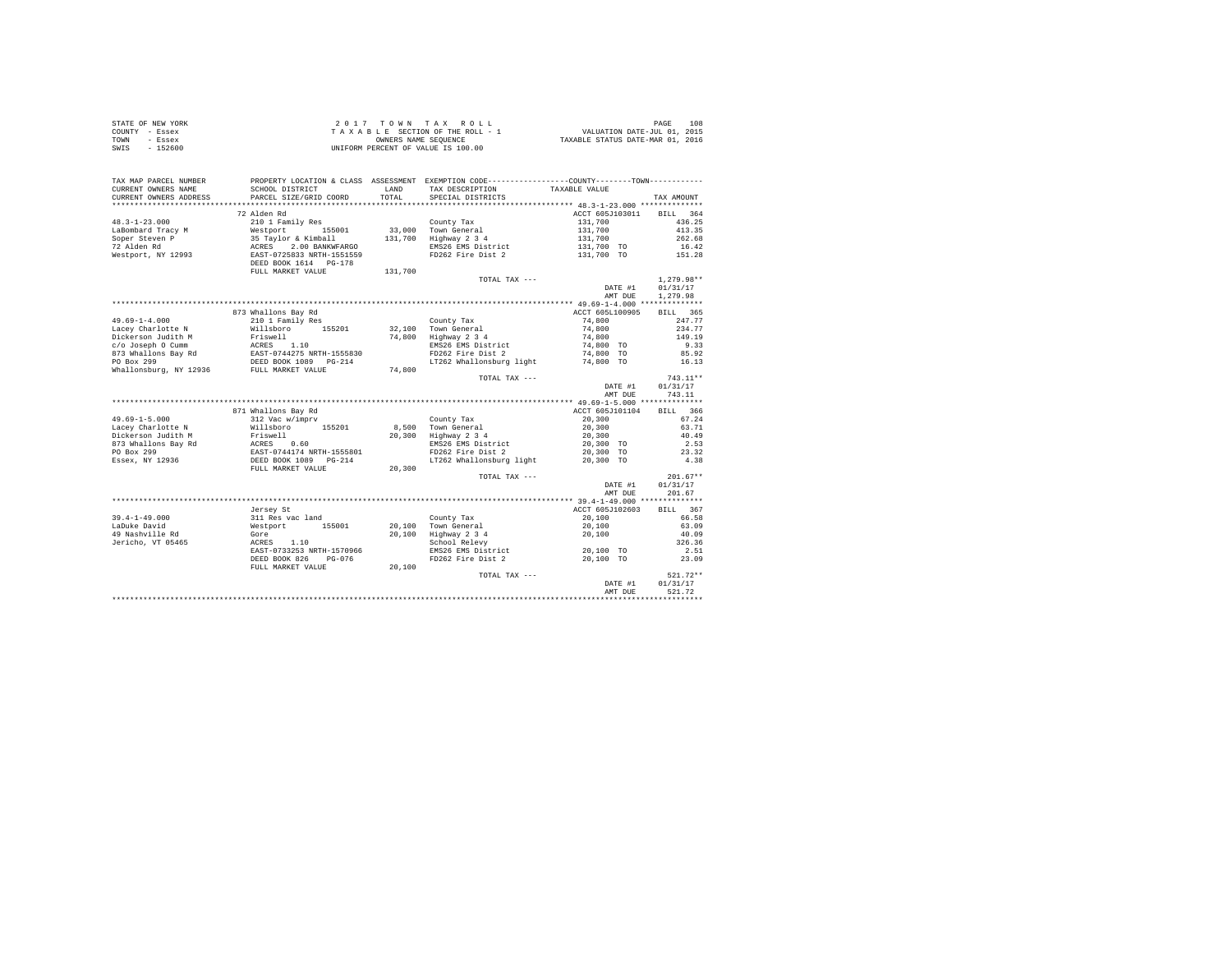|                | STATE OF NEW YORK | 2017 TOWN TAX ROLL                 | 108<br>PAGE                      |
|----------------|-------------------|------------------------------------|----------------------------------|
| COUNTY - Essex |                   | TAXABLE SECTION OF THE ROLL - 1    | VALUATION DATE-JUL 01, 2015      |
| TOWN           | - Essex           | OWNERS NAME SEOUENCE               | TAXABLE STATUS DATE-MAR 01, 2016 |
| SWIS           | $-152600$         | UNIFORM PERCENT OF VALUE IS 100.00 |                                  |

| TAX MAP PARCEL NUMBER<br>CURRENT OWNERS NAME<br>CURRENT OWNERS ADDRESS    | SCHOOL DISTRICT<br>PARCEL SIZE/GRID COORD                                                                | LAND<br>TOTAL | PROPERTY LOCATION & CLASS ASSESSMENT EXEMPTION CODE----------------COUNTY-------TOWN----------<br>TAX DESCRIPTION<br>SPECIAL DISTRICTS | TAXABLE VALUE                                                  | TAX AMOUNT                                                |
|---------------------------------------------------------------------------|----------------------------------------------------------------------------------------------------------|---------------|----------------------------------------------------------------------------------------------------------------------------------------|----------------------------------------------------------------|-----------------------------------------------------------|
| *************************                                                 |                                                                                                          |               |                                                                                                                                        |                                                                |                                                           |
| $48.3 - 1 - 23.000$<br>LaBombard Tracy M<br>Soper Steven P<br>72 Alden Rd | 72 Alden Rd<br>210 1 Family Res<br>Westport<br>155001<br>35 Taylor & Kimball<br>ACRES<br>2.00 BANKWFARGO | 131,700       | County Tax<br>33,000 Town General<br>Highway 2 3 4<br>EMS26 EMS District                                                               | ACCT 605J103011<br>131,700<br>131,700<br>131,700<br>131,700 TO | <b>BILL</b><br>364<br>436.25<br>413.35<br>262.68<br>16.42 |
| Westport, NY 12993                                                        | EAST-0725833 NRTH-1551559<br>DEED BOOK 1614 PG-178<br>FULL MARKET VALUE                                  | 131,700       | FD262 Fire Dist 2                                                                                                                      | 131,700 TO                                                     | 151.28                                                    |
|                                                                           |                                                                                                          |               | TOTAL TAX ---                                                                                                                          | DATE #1<br>AMT DUE                                             | $1.279.98**$<br>01/31/17<br>1,279.98                      |
|                                                                           |                                                                                                          |               |                                                                                                                                        |                                                                |                                                           |
|                                                                           | 873 Whallons Bay Rd                                                                                      |               |                                                                                                                                        | ACCT 605L100905                                                | BILL 365                                                  |
| $49.69 - 1 - 4.000$                                                       | 210 1 Family Res                                                                                         |               | County Tax                                                                                                                             | 74,800                                                         | 247.77                                                    |
| Lacey Charlotte N                                                         | Willsboro 155201                                                                                         | 32,100        | Town General                                                                                                                           | 74,800                                                         | 234.77                                                    |
| Dickerson Judith M<br>c/o Joseph 0 Cumm                                   | Friswell<br>ACRES<br>1.10                                                                                | 74,800        | Highway 2 3 4<br>EMS26 EMS District                                                                                                    | 74,800<br>74,800 TO                                            | 149.19<br>9.33                                            |
| 873 Whallons Bay Rd                                                       |                                                                                                          |               | FD262 Fire Dist 2                                                                                                                      | 74,800 TO                                                      | 85.92                                                     |
| PO Box 299                                                                | EAST-0744275 NRTH-1555830<br>DEED BOOK 1089 PG-214                                                       |               | LT262 Whallonsburg light                                                                                                               | 74,800 TO                                                      | 16.13                                                     |
| Whallonsburg, NY 12936                                                    | FULL MARKET VALUE                                                                                        | 74,800        |                                                                                                                                        |                                                                |                                                           |
|                                                                           |                                                                                                          |               | TOTAL TAX ---                                                                                                                          |                                                                | $743.11**$                                                |
|                                                                           |                                                                                                          |               |                                                                                                                                        | DATE #1                                                        | 01/31/17                                                  |
|                                                                           |                                                                                                          |               |                                                                                                                                        | AMT DUE                                                        | 743.11                                                    |
|                                                                           |                                                                                                          |               |                                                                                                                                        |                                                                |                                                           |
|                                                                           | 871 Whallons Bay Rd                                                                                      |               |                                                                                                                                        | ACCT 605J101104                                                | 366<br>BILL                                               |
| $49.69 - 1 - 5.000$                                                       | 312 Vac w/imprv                                                                                          |               | County Tax                                                                                                                             | 20,300                                                         | 67.24                                                     |
| Lacey Charlotte N                                                         | 155201<br>Willsboro                                                                                      | 8,500         | Town General                                                                                                                           | 20,300                                                         | 63.71                                                     |
| Dickerson Judith M                                                        | Friswell                                                                                                 | 20,300        | Highway 2 3 4                                                                                                                          | 20,300                                                         | 40.49                                                     |
| 873 Whallons Bay Rd                                                       | ACRES 0.60<br>EAST-0744174 NRTH-1555801<br>DEED BOOK 1089 PG-214                                         |               | EMS26 EMS District                                                                                                                     | 20,300 TO                                                      | 2.53                                                      |
| PO Box 299                                                                |                                                                                                          |               | FD262 Fire Dist 2                                                                                                                      | 20,300 TO                                                      | 23.32                                                     |
| Essex, NY 12936                                                           |                                                                                                          |               | LT262 Whallonsburg light                                                                                                               | 20,300 TO                                                      | 4.38                                                      |
|                                                                           | FULL MARKET VALUE                                                                                        | 20,300        |                                                                                                                                        |                                                                |                                                           |
|                                                                           |                                                                                                          |               | TOTAL TAX ---                                                                                                                          |                                                                | $201.67**$                                                |
|                                                                           |                                                                                                          |               |                                                                                                                                        | DATE #1                                                        | 01/31/17                                                  |
|                                                                           |                                                                                                          |               |                                                                                                                                        | AMT DUE                                                        | 201.67                                                    |
|                                                                           |                                                                                                          |               |                                                                                                                                        | ACCT 605J102603                                                | <b>BILL</b><br>367                                        |
|                                                                           | Jersey St                                                                                                |               |                                                                                                                                        |                                                                | 66.58                                                     |
| $39.4 - 1 - 49.000$<br>LaDuke David                                       | 311 Res vac land<br>155001<br>Westport                                                                   | 20,100        | County Tax<br>Town General                                                                                                             | 20,100<br>20,100                                               | 63.09                                                     |
| 49 Nashville Rd                                                           | Gore                                                                                                     | 20,100        | Highway 2 3 4                                                                                                                          | 20,100                                                         | 40.09                                                     |
| Jericho, VT 05465                                                         | ACRES<br>1.10                                                                                            |               | School Relevy                                                                                                                          |                                                                | 326.36                                                    |
|                                                                           | EAST-0733253 NRTH-1570966                                                                                |               | EMS26 EMS District                                                                                                                     | 20,100 TO                                                      | 2.51                                                      |
|                                                                           | DEED BOOK 826<br>$PG-076$                                                                                |               | FD262 Fire Dist 2                                                                                                                      | 20,100 TO                                                      | 23.09                                                     |
|                                                                           | FULL MARKET VALUE                                                                                        | 20,100        |                                                                                                                                        |                                                                |                                                           |
|                                                                           |                                                                                                          |               | TOTAL TAX ---                                                                                                                          |                                                                | $521.72**$                                                |
|                                                                           |                                                                                                          |               |                                                                                                                                        | DATE #1                                                        | 01/31/17                                                  |
|                                                                           |                                                                                                          |               |                                                                                                                                        | AMT DUE                                                        | 521.72                                                    |
|                                                                           |                                                                                                          |               |                                                                                                                                        |                                                                |                                                           |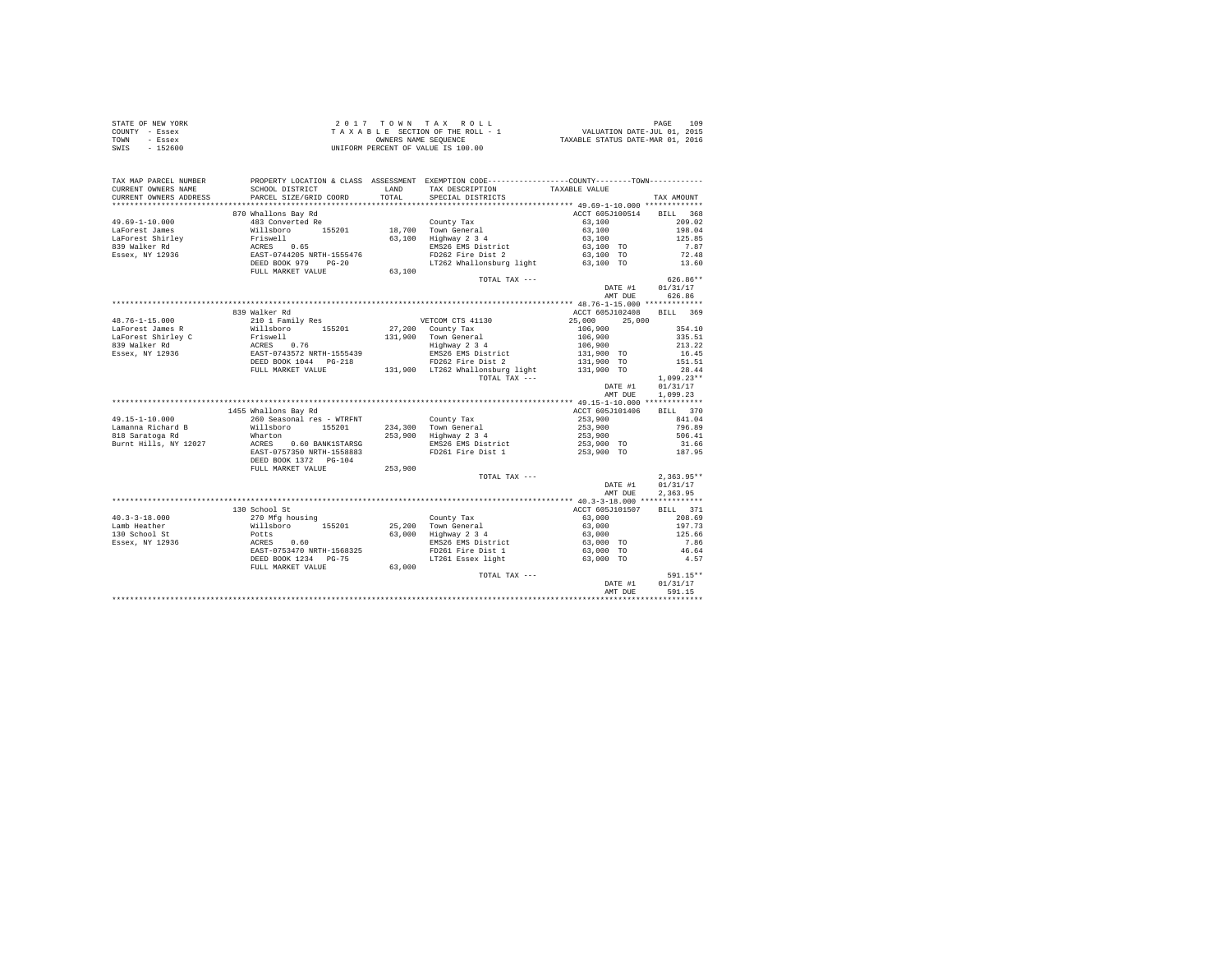|                | STATE OF NEW YORK | 2017 TOWN TAX ROLL                 | 109<br>PAGE                      |
|----------------|-------------------|------------------------------------|----------------------------------|
| COUNTY - Essex |                   | TAXABLE SECTION OF THE ROLL - 1    | VALUATION DATE-JUL 01, 2015      |
| TOWN           | - Essex           | OWNERS NAME SEOUENCE               | TAXABLE STATUS DATE-MAR 01, 2016 |
| SWIS           | - 152600          | UNIFORM PERCENT OF VALUE IS 100.00 |                                  |

| TAX MAP PARCEL NUMBER                         | PROPERTY LOCATION & CLASS ASSESSMENT EXEMPTION CODE----------------COUNTY--------TOWN----------                                                                                                                                             |        |                                                           |                                                                              |                  |
|-----------------------------------------------|---------------------------------------------------------------------------------------------------------------------------------------------------------------------------------------------------------------------------------------------|--------|-----------------------------------------------------------|------------------------------------------------------------------------------|------------------|
| CURRENT OWNERS NAME<br>CURRENT OWNERS ADDRESS | SCHOOL DISTRICT<br>PARCEL SIZE/GRID COORD                                                                                                                                                                                                   | TOTAL  | LAND TAX DESCRIPTION<br>SPECIAL DISTRICTS                 | TAXABLE VALUE                                                                | TAX AMOUNT       |
| *********************                         |                                                                                                                                                                                                                                             |        |                                                           |                                                                              |                  |
|                                               | 870 Whallons Bay Rd                                                                                                                                                                                                                         |        |                                                           | ACCT 605J100514 BILL 368                                                     |                  |
| $49.69 - 1 - 10.000$                          | % 0.0 main bas Add County Tax<br>483 Converted Re<br>155201 18,700 Town General<br>Fiswell 63,100 Highway 2 3 4<br>ACRES 0.65<br>EMS26 EMS26 EMS District<br>EMS26 Property 194205 NRTH-1555476<br>DEED BOOK 979 PG-20<br>T262 Whallonsburg |        |                                                           | $63,100$<br>$63,100$<br>$63,100$<br>$63,100$ TO                              | 209.02           |
| LaForest James                                |                                                                                                                                                                                                                                             |        |                                                           |                                                                              | 198.04           |
| LaForest Shirley<br>839 Walker Rd             |                                                                                                                                                                                                                                             |        | 63,100 Highway 2 3 4                                      |                                                                              | 125.85           |
|                                               |                                                                                                                                                                                                                                             |        | EMS26 EMS District                                        |                                                                              | 7.87             |
| Essex, NY 12936                               |                                                                                                                                                                                                                                             |        | FD262 Fire Dist 2                                         | 63,100 TO                                                                    | 72.48            |
|                                               |                                                                                                                                                                                                                                             |        | LT262 Whallonsburg light 63,100 TO 13.60                  |                                                                              |                  |
|                                               | FULL MARKET VALUE                                                                                                                                                                                                                           | 63,100 |                                                           |                                                                              |                  |
|                                               |                                                                                                                                                                                                                                             |        | TOTAL TAX ---                                             |                                                                              | $626.86**$       |
|                                               |                                                                                                                                                                                                                                             |        |                                                           | DATE #1 01/31/17                                                             |                  |
|                                               |                                                                                                                                                                                                                                             |        |                                                           | AMT DUE                                                                      | 626.86           |
|                                               |                                                                                                                                                                                                                                             |        |                                                           |                                                                              |                  |
|                                               | 839 Walker Rd                                                                                                                                                                                                                               |        |                                                           | ACCT 605J102408                                                              | BILL 369         |
|                                               |                                                                                                                                                                                                                                             |        | VETCOM CTS 41130                                          | 25,000 25,000                                                                |                  |
|                                               |                                                                                                                                                                                                                                             |        | 27,200 County Tax                                         | $106,900$<br>$106,900$<br>$106,900$                                          | 354.10           |
|                                               |                                                                                                                                                                                                                                             |        | 131,900 Town General<br>Highway 2 3 4                     |                                                                              | 335.51           |
|                                               |                                                                                                                                                                                                                                             |        |                                                           |                                                                              | 213.22           |
|                                               |                                                                                                                                                                                                                                             |        | EMS26 EMS District<br>FD262 Fire Dist 2                   | 131,900 TO                                                                   | 16.45<br>151.51  |
|                                               |                                                                                                                                                                                                                                             |        |                                                           | 131,900 TO                                                                   |                  |
|                                               | FULL MARKET VALUE                                                                                                                                                                                                                           |        | 131,900 LT262 Whallonsburg light                          | 131,900 TO                                                                   | 28.44            |
|                                               |                                                                                                                                                                                                                                             |        | TOTAL TAX ---                                             |                                                                              | $1,099.23**$     |
|                                               |                                                                                                                                                                                                                                             |        |                                                           | DATE #1                                                                      | 01/31/17         |
|                                               |                                                                                                                                                                                                                                             |        |                                                           | AMT DUE                                                                      | 1,099.23         |
|                                               |                                                                                                                                                                                                                                             |        |                                                           |                                                                              |                  |
|                                               | 1455 Whallons Bay Rd                                                                                                                                                                                                                        |        |                                                           | ACCT 605J101406                                                              | BILL 370         |
| 49.15-1-10.000                                | 260 Seasonal res - WTRFNT County Tax                                                                                                                                                                                                        |        |                                                           | 253,900                                                                      | 841.04           |
| Lamanna Richard B<br>818 Saratoga Rd          | Willsboro 155201<br>Wharton                                                                                                                                                                                                                 |        | 234,300 Town General<br>253,900 Highway 2 3 4             | 253,900<br>253,900                                                           | 796.89<br>506.41 |
|                                               |                                                                                                                                                                                                                                             |        |                                                           | 253,900 TO                                                                   |                  |
| Burnt Hills, NY 12027                         | ACRES 0.60 BANK1STARSG<br>EAST-0757350 NRTH-1558883                                                                                                                                                                                         |        | EMS26 EMS District<br>FD261 Fire Dist 1 253,900 TO 187.95 |                                                                              | 31.66            |
|                                               | DEED BOOK 1372 PG-104                                                                                                                                                                                                                       |        |                                                           |                                                                              |                  |
|                                               | FULL MARKET VALUE 253,900                                                                                                                                                                                                                   |        |                                                           |                                                                              |                  |
|                                               |                                                                                                                                                                                                                                             |        | TOTAL TAX ---                                             |                                                                              | $2.363.95**$     |
|                                               |                                                                                                                                                                                                                                             |        |                                                           | DATE #1                                                                      | 01/31/17         |
|                                               |                                                                                                                                                                                                                                             |        |                                                           | AMT DUE                                                                      | 2,363.95         |
|                                               |                                                                                                                                                                                                                                             |        |                                                           |                                                                              |                  |
|                                               | 130 School St                                                                                                                                                                                                                               |        |                                                           | ACCT 605J101507                                                              | BILL 371         |
| $40.3 - 3 - 18.000$                           | 270 Mfg housing                                                                                                                                                                                                                             |        | County Tax                                                | 63,000                                                                       | 208.69           |
| Lamb Heather                                  |                                                                                                                                                                                                                                             |        |                                                           |                                                                              | 197.73           |
| 130 School St                                 |                                                                                                                                                                                                                                             |        |                                                           | $63,000$<br>$63,000$                                                         | 125.66           |
| Essex, NY 12936                               |                                                                                                                                                                                                                                             |        |                                                           |                                                                              | 7.86             |
|                                               |                                                                                                                                                                                                                                             |        | EMS26 EMS District<br>FD261 Fire Dist 1                   | 63,000 TO<br>63,000 TO                                                       | 46.64            |
|                                               | 4. V. Highway 155201 25, 200 TOWN General<br>Potts 0.60 63, 000 Highway 2.34<br>ACRES 0.60 63, 000 Highway 2.34<br>ACRES 0.60 ENS26 EMS District<br>EXET-D753470 NRTH-1568325 FMS26 EMS District<br>DEED BOOK 1234 PG-75 17261 Essex light  |        | LT261 Essex light 63,000 TO                               |                                                                              | 4.57             |
|                                               | FULL MARKET VALUE                                                                                                                                                                                                                           | 63,000 |                                                           |                                                                              |                  |
|                                               |                                                                                                                                                                                                                                             |        | TOTAL TAX ---                                             |                                                                              | 591.15**         |
|                                               |                                                                                                                                                                                                                                             |        |                                                           | $\begin{minipage}{.4\linewidth} \textbf{DATE} & \textbf{\#1} \end{minipage}$ | 01/31/17         |
|                                               |                                                                                                                                                                                                                                             |        |                                                           | AMT DUE                                                                      | 591.15           |
|                                               |                                                                                                                                                                                                                                             |        |                                                           |                                                                              |                  |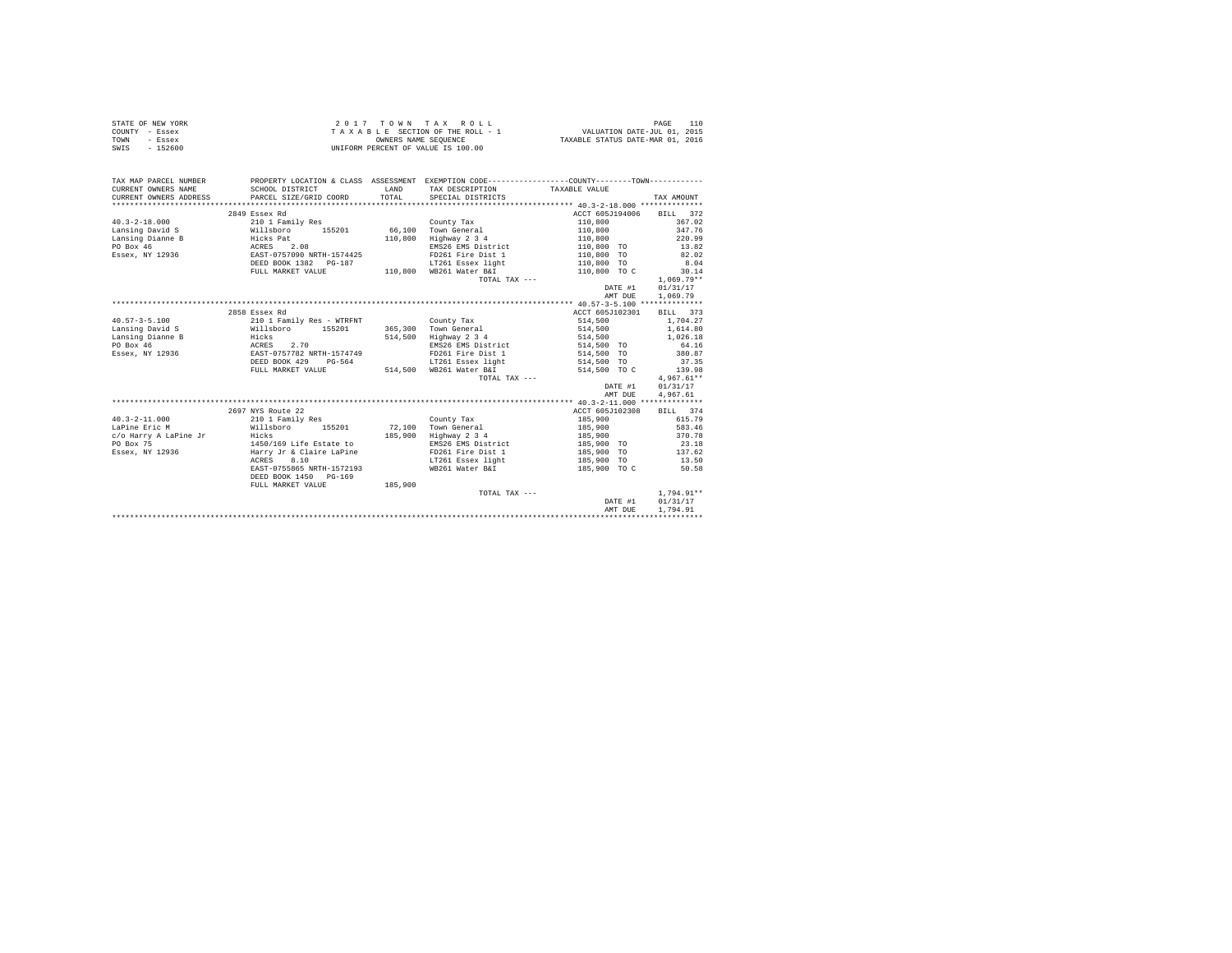| STATE OF NEW YORK | 2017 TOWN TAX ROLL                 | 110<br>PAGE                      |
|-------------------|------------------------------------|----------------------------------|
| COUNTY - Essex    | TAXABLE SECTION OF THE ROLL - 1    | VALUATION DATE-JUL 01, 2015      |
| TOWN<br>- Essex   | OWNERS NAME SEOUENCE               | TAXABLE STATUS DATE-MAR 01, 2016 |
| $-152600$<br>SWIS | UNIFORM PERCENT OF VALUE IS 100.00 |                                  |

| TAX MAP PARCEL NUMBER  | PROPERTY LOCATION & CLASS ASSESSMENT EXEMPTION CODE----------------COUNTY-------TOWN----------    |                                  |                               |                                                                                                                       |                     |
|------------------------|---------------------------------------------------------------------------------------------------|----------------------------------|-------------------------------|-----------------------------------------------------------------------------------------------------------------------|---------------------|
| CURRENT OWNERS NAME    | SCHOOL DISTRICT                                                                                   | <b>EXAMPLE AND SERVICE STATE</b> | TAX DESCRIPTION TAXABLE VALUE |                                                                                                                       |                     |
| CURRENT OWNERS ADDRESS | PARCEL SIZE/GRID COORD                                                                            | TOTAL                            | SPECIAL DISTRICTS             |                                                                                                                       | TAX AMOUNT          |
|                        |                                                                                                   |                                  |                               |                                                                                                                       |                     |
|                        | 2849 Essex Rd                                                                                     |                                  |                               | ACCT 605J194006 BILL 372                                                                                              |                     |
|                        | 40.3-2-18.000 210 1 Family Res County Tax<br>Lansing David S Willsboro 155201 66,100 Town General |                                  |                               | $110,800$<br>$110,800$                                                                                                | 367.02              |
|                        |                                                                                                   |                                  |                               |                                                                                                                       | 347.76              |
| Lansing Dianne B       | miiskovid<br>Hicks Pat<br>ACRES 2.08<br>EAST-0757090 NRTH-1574425<br>PRE-07511900 NRTH-1574425    | 110,800                          | Highway 2 3 4                 | 110.800 220.99                                                                                                        |                     |
| PO Box 46              |                                                                                                   |                                  | EMS26 EMS District            | 110,800 TO 13.82                                                                                                      |                     |
| Essex, NY 12936        |                                                                                                   |                                  | FD261 Fire Dist 1             |                                                                                                                       | 82.02               |
|                        | DEED BOOK 1382 PG-187                                                                             |                                  | LT261 Essex light             |                                                                                                                       | 8.04                |
|                        | FULL MARKET VALUE                                                                                 |                                  | 110,800 WB261 Water B&I       | $110,800$ TO<br>$110,800$ TO<br>$110,800$ TO C                                                                        | 30.14               |
|                        |                                                                                                   |                                  | TOTAL TAX ---                 |                                                                                                                       | $1,069.79**$        |
|                        |                                                                                                   |                                  |                               |                                                                                                                       | DATE #1 01/31/17    |
|                        |                                                                                                   |                                  |                               | AMT DUE                                                                                                               | 1,069.79            |
|                        |                                                                                                   |                                  |                               |                                                                                                                       |                     |
|                        | 2858 Essex Rd                                                                                     |                                  |                               | ACCT 605J102301                                                                                                       | BILL 373            |
| $40.57 - 3 - 5.100$    | 210 1 Family Res - WTRFNT County Tax                                                              |                                  |                               | 514,500                                                                                                               | 1,704.27            |
|                        |                                                                                                   |                                  | 365,300 Town General          |                                                                                                                       |                     |
|                        |                                                                                                   |                                  | 514,500 Highway 2 3 4         | $\begin{array}{lllll} 514\,, 500 && 1\,, 614\, .80 \\ 514\,, 500 && 1\,, 026\, .18 \\ 514\,, 500 && 0 \\ \end{array}$ |                     |
|                        |                                                                                                   |                                  | EMS26 EMS District            |                                                                                                                       |                     |
|                        |                                                                                                   |                                  |                               | FD261 Fire Dist 1 514,500 TO 380.87                                                                                   |                     |
|                        |                                                                                                   |                                  |                               |                                                                                                                       | 37.35               |
|                        |                                                                                                   |                                  |                               | 514,500 TO C                                                                                                          | 139.98              |
|                        |                                                                                                   |                                  | TOTAL TAX ---                 |                                                                                                                       | $4,967.61**$        |
|                        |                                                                                                   |                                  |                               | DATE #1 01/31/17                                                                                                      |                     |
|                        |                                                                                                   |                                  |                               | AMT DUE                                                                                                               | 4,967.61            |
|                        |                                                                                                   |                                  |                               |                                                                                                                       |                     |
|                        | 2697 NYS Route 22                                                                                 |                                  |                               | ACCT 605J102308 BILL 374                                                                                              |                     |
| $40.3 - 2 - 11.000$    | 210 1 Family Res                                                                                  |                                  | County Tax                    | 185,900 615.79                                                                                                        |                     |
| LaPine Eric M          | Willsboro 155201 72,100 Town General                                                              |                                  |                               | 185,900 583.46                                                                                                        |                     |
|                        |                                                                                                   |                                  | 185,900 Highway 2 3 4         | 185,900 370.78                                                                                                        |                     |
|                        |                                                                                                   |                                  | EMS26 EMS District            |                                                                                                                       |                     |
|                        |                                                                                                   |                                  |                               |                                                                                                                       | $23.18$<br>$137.62$ |
|                        | ACRES 8.10                                                                                        |                                  |                               | EMS26 EMS District 185,900 TO<br>FD261 Fire Dist 1 185,900 TO<br>LT261 Essex light 185,900 TO                         | 13.50               |
|                        | EAST-0755865 NRTH-1572193                                                                         |                                  |                               |                                                                                                                       |                     |
|                        | DEED BOOK 1450 PG-169                                                                             |                                  |                               |                                                                                                                       |                     |
|                        | FULL MARKET VALUE 185,900                                                                         |                                  |                               |                                                                                                                       |                     |
|                        |                                                                                                   |                                  | TOTAL TAX ---                 |                                                                                                                       | $1,794.91**$        |
|                        |                                                                                                   |                                  |                               |                                                                                                                       | DATE #1 01/31/17    |
|                        |                                                                                                   |                                  |                               | AMT DUE                                                                                                               | 1,794.91            |
|                        |                                                                                                   |                                  |                               |                                                                                                                       |                     |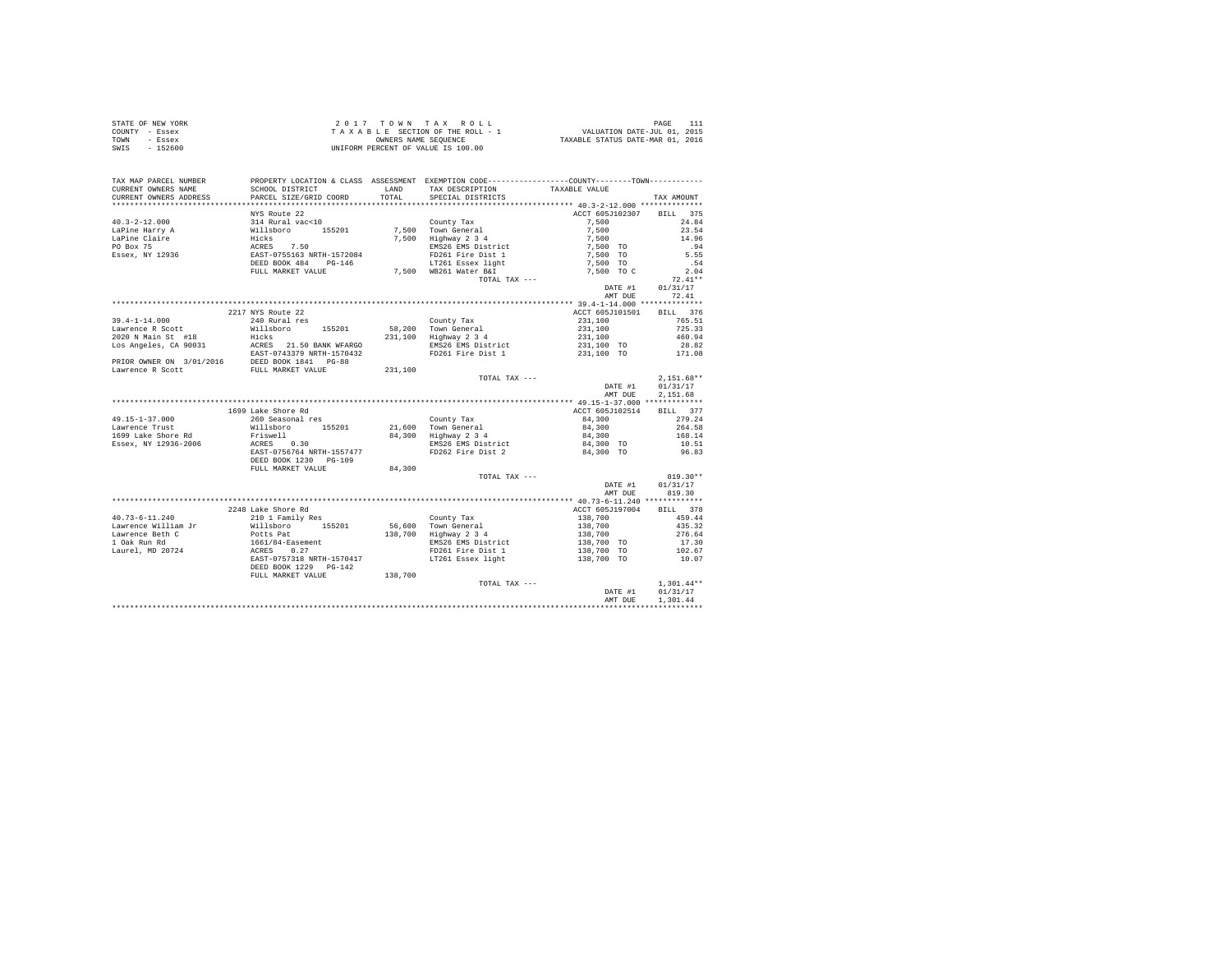| STATE OF NEW YORK | 2017 TOWN TAX ROLL                 | PAGE                             |
|-------------------|------------------------------------|----------------------------------|
| COUNTY - Essex    | TAXABLE SECTION OF THE ROLL - 1    | VALUATION DATE-JUL 01, 2015      |
| TOWN<br>- Essex   | OWNERS NAME SEOUENCE               | TAXABLE STATUS DATE-MAR 01, 2016 |
| - 152600<br>SWIS  | UNIFORM PERCENT OF VALUE IS 100.00 |                                  |

| TAX MAP PARCEL NUMBER<br>CURRENT OWNERS NAME | PROPERTY LOCATION & CLASS ASSESSMENT EXEMPTION CODE----------------COUNTY-------TOWN----------<br>SCHOOL DISTRICT | LAND    | TAX DESCRIPTION                              | TAXABLE VALUE                                          |              |
|----------------------------------------------|-------------------------------------------------------------------------------------------------------------------|---------|----------------------------------------------|--------------------------------------------------------|--------------|
| CURRENT OWNERS ADDRESS                       | PARCEL SIZE/GRID COORD                                                                                            | TOTAL   | SPECIAL DISTRICTS                            |                                                        | TAX AMOUNT   |
|                                              |                                                                                                                   |         |                                              |                                                        |              |
|                                              | NYS Route 22                                                                                                      |         |                                              | ACCT 605J102307 BILL 375                               |              |
| $40.3 - 2 - 12.000$                          | 114 Rural vac<10<br>Willsboro 155201<br>Hicks<br>RCRES 7.50<br>EAST-0755163 NRTH-1572084<br>DEED BOOK 484 PG-146  |         | County Tax                                   | 7,500                                                  | 24.84        |
| LaPine Harry A                               |                                                                                                                   |         | 7,500 Town General                           | 7.500                                                  | 23.54        |
| LaPine Claire                                |                                                                                                                   |         | 7,500 Highway 2 3 4                          | 7,500                                                  | 14.96        |
| PO Box 75                                    |                                                                                                                   |         | EMS26 EMS District                           | 7.500 TO                                               | .94          |
| Essex, NY 12936                              |                                                                                                                   |         | FD261 Fire Dist 1                            | 7,500 TO                                               | 5.55         |
|                                              |                                                                                                                   |         | LT261 Essex light                            | 7,500 TO                                               | .54          |
|                                              | FULL MARKET VALUE                                                                                                 |         | 7.500 WB261 Water B&I                        | 7.500 TO C                                             | 2.04         |
|                                              |                                                                                                                   |         | TOTAL TAX ---                                |                                                        | $72.41**$    |
|                                              |                                                                                                                   |         |                                              | DATE #1                                                | 01/31/17     |
|                                              |                                                                                                                   |         |                                              | AMT DUE                                                | 72.41        |
|                                              |                                                                                                                   |         |                                              |                                                        |              |
|                                              | 2217 NYS Route 22                                                                                                 |         |                                              | ACCT 605J101501 BILL 376                               |              |
| 39.4-1-14.000                                | 240 Rural res                                                                                                     |         | County Tax                                   | 231,100                                                | 765.51       |
| Lawrence R Scott                             | Willsboro<br>155201                                                                                               |         | 58,200 Town General                          | 231,100                                                | 725.33       |
| 2020 N Main St #18                           | Hicks                                                                                                             |         | 231,100 Highway 2 3 4                        | 231,100                                                | 460.94       |
| Los Angeles, CA 90031                        | ACRES 21.50 BANK WFARGO                                                                                           |         | EMS26 EMS District                           | $231,100$ TO                                           | 28.82        |
|                                              |                                                                                                                   |         | FD261 Fire Dist 1                            | 231,100 TO                                             | 171.08       |
|                                              |                                                                                                                   |         |                                              |                                                        |              |
|                                              | EAST-0743379 NRTH-1570432<br>PRIOR OWNER ON 3/01/2016 DEED BOOK 1841 PG-88<br>Lawrence R Scott                    | 231,100 |                                              |                                                        |              |
|                                              |                                                                                                                   |         | TOTAL TAX ---                                |                                                        | $2,151.68**$ |
|                                              |                                                                                                                   |         |                                              | DATE #1                                                | 01/31/17     |
|                                              |                                                                                                                   |         |                                              | AMT DUE                                                | 2.151.68     |
|                                              |                                                                                                                   |         |                                              |                                                        |              |
|                                              | 1699 Lake Shore Rd                                                                                                |         |                                              | ACCT 605J102514                                        | BILL 377     |
| 49.15-1-37.000                               |                                                                                                                   |         | County Tax                                   | 84,300                                                 | 279.24       |
| Lawrence Trust                               |                                                                                                                   |         |                                              | 84,300<br>84,300                                       | 264.58       |
| 1699 Lake Shore Rd                           | 260 Seasonal res<br>Willsboro       155201<br>Friswell                                                            |         | 21,600 Town General<br>84,300 Highway 2 3 4  |                                                        | 168.14       |
| Essex, NY 12936-2006                         | ACRES 0.30                                                                                                        |         | EMS26 EMS District<br>FD262 Fire Dist 2      | 84,300 TO<br>84,300 TO                                 | 10.51        |
|                                              | EAST-0756764 NRTH-1557477                                                                                         |         |                                              |                                                        | 96.83        |
|                                              | DEED BOOK 1230 PG-109                                                                                             |         |                                              |                                                        |              |
|                                              | FULL MARKET VALUE                                                                                                 | 84,300  |                                              |                                                        |              |
|                                              |                                                                                                                   |         | TOTAL TAX ---                                |                                                        | $819.30**$   |
|                                              |                                                                                                                   |         |                                              | DATE #1                                                | 01/31/17     |
|                                              |                                                                                                                   |         |                                              | AMT DUE                                                | 819.30       |
|                                              |                                                                                                                   |         |                                              |                                                        |              |
|                                              | 2248 Lake Shore Rd                                                                                                |         |                                              | ACCT 605J197004 BILL 378                               |              |
| $40.73 - 6 - 11.240$                         | 210 1 Family Res                                                                                                  |         | County Tax                                   | 138,700                                                | 459.44       |
| Lawrence William Jr                          | willsboro 155201<br>Potts Pat<br>1661/84-Easement<br>ACRES 0.27<br>EAST-0757318 NRTH-1570417                      |         | 56,600 Town General<br>138,700 Highway 2 3 4 | $138,700$<br>$138,700$<br>$138,700$ TO<br>$138,700$ TO | 435.32       |
| Lawrence Beth C                              |                                                                                                                   |         |                                              |                                                        | 276.64       |
| 1 Oak Run Rd                                 |                                                                                                                   |         | EMS26 EMS District                           |                                                        | 17.30        |
| Laurel. MD 20724                             |                                                                                                                   |         | FD261 Fire Dist 1                            |                                                        | 102.67       |
|                                              |                                                                                                                   |         | LT261 Essex light                            | 138,700 TO                                             | 10.07        |
|                                              | DEED BOOK 1229 PG-142                                                                                             |         |                                              |                                                        |              |
|                                              | FULL MARKET VALUE                                                                                                 | 138,700 |                                              |                                                        |              |
|                                              |                                                                                                                   |         | TOTAL TAX ---                                |                                                        | $1,301.44**$ |
|                                              |                                                                                                                   |         |                                              | DATE #1                                                | 01/31/17     |
|                                              |                                                                                                                   |         |                                              | AMT DUE                                                | 1,301.44     |
|                                              |                                                                                                                   |         |                                              |                                                        |              |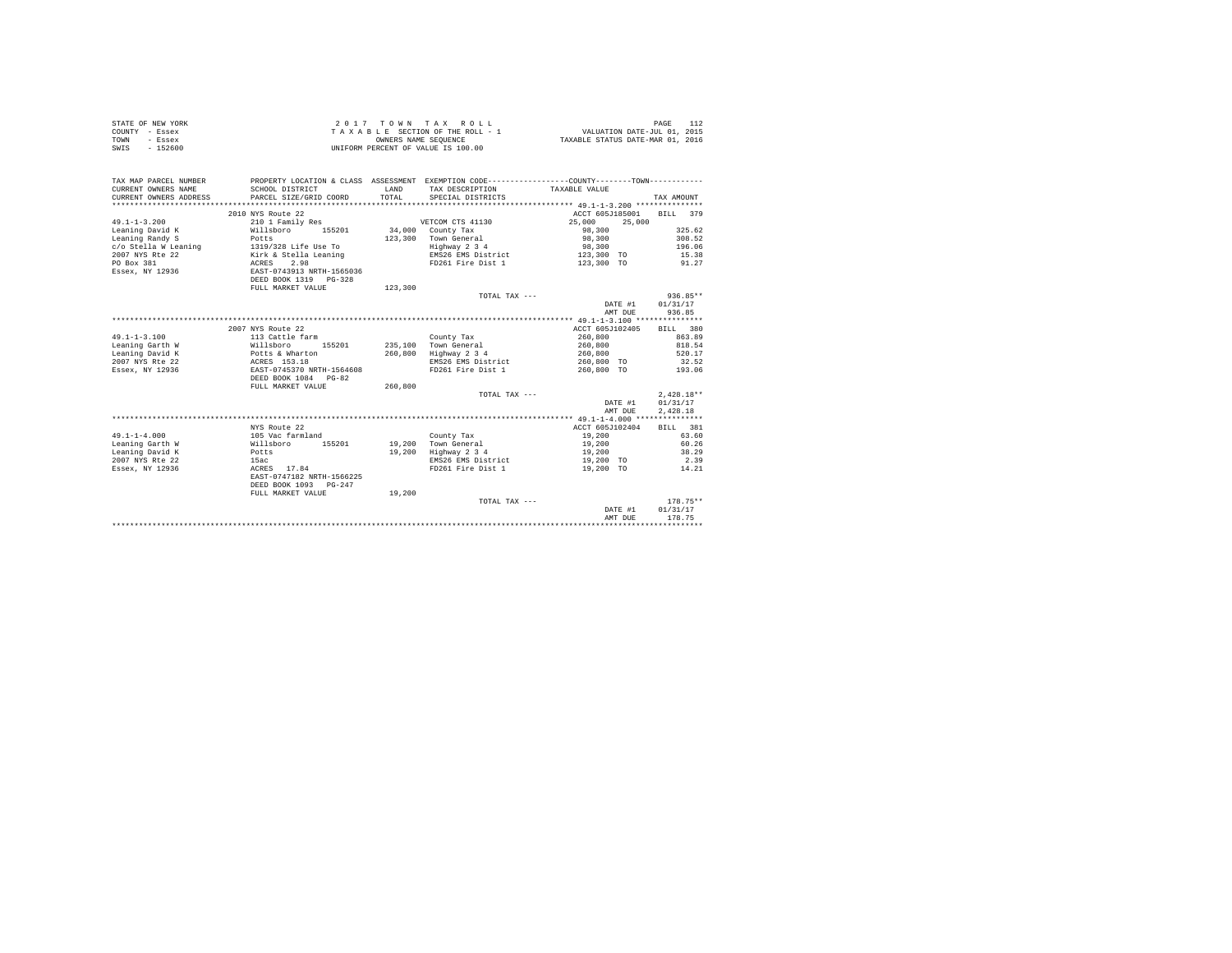|      | STATE OF NEW YORK | 2017 TOWN TAX ROLL                 | PAGE                             |
|------|-------------------|------------------------------------|----------------------------------|
|      | COUNTY - Essex    | TAXABLE SECTION OF THE ROLL - 1    | VALUATION DATE-JUL 01, 2015      |
| TOWN | $-$ Essex         | OWNERS NAME SEOUENCE               | TAXABLE STATUS DATE-MAR 01, 2016 |
| SWIS | $-152600$         | UNIFORM PERCENT OF VALUE IS 100.00 |                                  |

| TAX MAP PARCEL NUMBER<br>CURRENT OWNERS NAME<br>CURRENT OWNERS ADDRESS                                     | SCHOOL DISTRICT<br>PARCEL SIZE/GRID COORD           | <b>T.AND</b><br>TOTAL. | PROPERTY LOCATION & CLASS ASSESSMENT EXEMPTION CODE----------------COUNTY--------TOWN----------<br>TAX DESCRIPTION<br>SPECIAL DISTRICTS | TAXABLE VALUE            |         | TAX AMOUNT   |            |
|------------------------------------------------------------------------------------------------------------|-----------------------------------------------------|------------------------|-----------------------------------------------------------------------------------------------------------------------------------------|--------------------------|---------|--------------|------------|
|                                                                                                            |                                                     |                        |                                                                                                                                         |                          |         |              |            |
|                                                                                                            | 2010 NYS Route 22                                   |                        |                                                                                                                                         | ACCT 605J185001 BILL 379 |         |              |            |
| $49.1 - 1 - 3.200$                                                                                         | 210 1 Family Res                                    |                        | VETCOM CTS 41130                                                                                                                        | 25,000                   | 25,000  |              |            |
| Leaning David K                                                                                            | Willsboro 155201                                    |                        | 34,000 County Tax                                                                                                                       | 98,300                   |         |              | 325.62     |
| Leaning Randy S                                                                                            | Potts                                               |                        | 123,300 Town General                                                                                                                    | 98,300                   |         |              | 308.52     |
|                                                                                                            |                                                     |                        | Highway 2 3 4                                                                                                                           | 98,300                   |         |              | 196.06     |
| $c/o$ Stella W Leaning $1319/328$ Life Use To<br>$2007$ NYS Rte $22$ Kirk & Stella Leaning<br>$PO$ Box 381 |                                                     |                        | EMS26 EMS District                                                                                                                      | 123,300 TO               |         |              | 15.38      |
|                                                                                                            |                                                     |                        | FD261 Fire Dist 1                                                                                                                       | 123,300 TO               |         | 91.27        |            |
| Essex, NY 12936 EAST-0743913 NRTH-1565036                                                                  |                                                     |                        |                                                                                                                                         |                          |         |              |            |
|                                                                                                            | DEED BOOK 1319 PG-328                               |                        |                                                                                                                                         |                          |         |              |            |
|                                                                                                            | FULL MARKET VALUE                                   | 123,300                |                                                                                                                                         |                          |         |              |            |
|                                                                                                            |                                                     |                        | TOTAL TAX ---                                                                                                                           |                          |         |              | $936.85**$ |
|                                                                                                            |                                                     |                        |                                                                                                                                         |                          | DATE #1 | 01/31/17     |            |
|                                                                                                            |                                                     |                        |                                                                                                                                         |                          | AMT DUE | 936.85       |            |
|                                                                                                            |                                                     |                        |                                                                                                                                         |                          |         |              |            |
|                                                                                                            | 2007 NYS Route 22                                   |                        |                                                                                                                                         | ACCT 605J102405          |         | BILL 380     |            |
| $49.1 - 1 - 3.100$                                                                                         | 113 Cattle farm<br>Willsboro 15!<br>Potts & Wharton |                        | County Tax                                                                                                                              | 260,800                  |         |              | 863.89     |
| Leaning Garth W                                                                                            | 155201                                              |                        | 235.100 Town General                                                                                                                    | 260,800                  |         |              | 818.54     |
| Leaning David K                                                                                            |                                                     |                        | 260,800 Highway 2 3 4                                                                                                                   | 260,800                  |         |              | 520.17     |
| 2007 NYS Rte 22                                                                                            | ACRES 153.18                                        |                        | EMS26 EMS District 260,800 TO                                                                                                           |                          |         | 32.52        |            |
| Essex, NY 12936                                                                                            | EAST-0745370 NRTH-1564608                           |                        | FD261 Fire Dist 1                                                                                                                       | 260,800 TO               |         | 193.06       |            |
|                                                                                                            | DEED BOOK 1084 PG-82                                |                        |                                                                                                                                         |                          |         |              |            |
|                                                                                                            | FULL MARKET VALUE                                   | 260,800                |                                                                                                                                         |                          |         |              |            |
|                                                                                                            |                                                     |                        | TOTAL TAX ---                                                                                                                           |                          |         | $2.428.18**$ |            |
|                                                                                                            |                                                     |                        |                                                                                                                                         |                          | DATE #1 | 01/31/17     |            |
|                                                                                                            |                                                     |                        |                                                                                                                                         |                          | AMT DUE | 2,428.18     |            |
|                                                                                                            |                                                     |                        |                                                                                                                                         |                          |         |              |            |
|                                                                                                            | NYS Route 22                                        |                        |                                                                                                                                         | ACCT 605J102404          |         | BILL 381     |            |
| $49.1 - 1 - 4.000$                                                                                         | 105 Vac farmland                                    |                        | County Tax                                                                                                                              | 19,200                   |         |              | 63.60      |
| Leaning Garth W                                                                                            | Willsboro<br>155201                                 |                        | 19.200 Town General                                                                                                                     | 19,200                   |         |              | 60.26      |
| Leaning David K<br><b>Potts</b>                                                                            |                                                     | 19,200                 | Highway 2 3 4                                                                                                                           | 19,200                   |         |              | 38.29      |
| 2007 NYS Rte 22                                                                                            | 15ac                                                |                        | EMS26 EMS District                                                                                                                      | 19,200 TO                |         |              | 2.39       |
| Essex, NY 12936                                                                                            | ACRES 17.84                                         |                        | FD261 Fire Dist 1                                                                                                                       | 19,200 TO                |         |              | 14.21      |
|                                                                                                            | EAST-0747182 NRTH-1566225                           |                        |                                                                                                                                         |                          |         |              |            |
|                                                                                                            | DEED BOOK 1093 PG-247                               |                        |                                                                                                                                         |                          |         |              |            |
|                                                                                                            | FULL MARKET VALUE                                   | 19,200                 |                                                                                                                                         |                          |         |              |            |
|                                                                                                            |                                                     |                        | TOTAL TAX ---                                                                                                                           |                          |         |              | $178.75**$ |
|                                                                                                            |                                                     |                        |                                                                                                                                         |                          | DATE #1 | 01/31/17     |            |
|                                                                                                            |                                                     |                        |                                                                                                                                         |                          | AMT DUE | 178.75       |            |
|                                                                                                            |                                                     |                        |                                                                                                                                         |                          |         |              |            |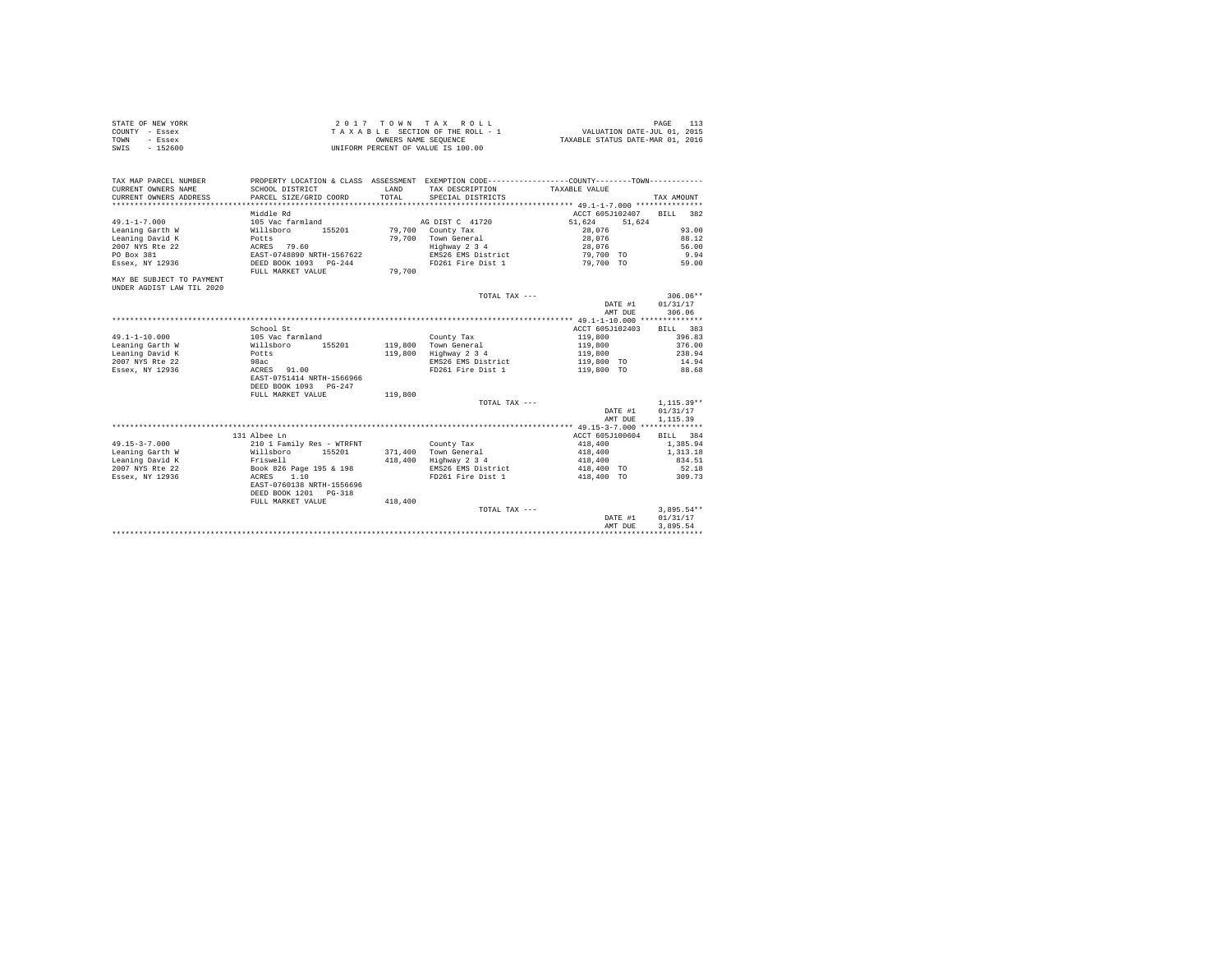| STATE OF NEW YORK | 2017 TOWN TAX ROLL                 | PAGE                             |
|-------------------|------------------------------------|----------------------------------|
| COUNTY - Essex    | TAXABLE SECTION OF THE ROLL - 1    | VALUATION DATE-JUL 01, 2015      |
| TOWN<br>- Essex   | OWNERS NAME SEOUENCE               | TAXABLE STATUS DATE-MAR 01, 2016 |
| $-152600$<br>SWIS | UNIFORM PERCENT OF VALUE IS 100.00 |                                  |

| TAX MAP PARCEL NUMBER<br>CURRENT OWNERS NAME<br>CURRENT OWNERS ADDRESS | PROPERTY LOCATION & CLASS ASSESSMENT EXEMPTION CODE---------------COUNTY-------TOWN----------<br>SCHOOL DISTRICT<br>PARCEL SIZE/GRID COORD | LAND<br>TOTAL. | TAX DESCRIPTION<br>SPECIAL DISTRICTS | TAXABLE VALUE                                 | TAX AMOUNT   |
|------------------------------------------------------------------------|--------------------------------------------------------------------------------------------------------------------------------------------|----------------|--------------------------------------|-----------------------------------------------|--------------|
|                                                                        | Middle Rd                                                                                                                                  |                |                                      | ACCT 605J102407                               | BILL.<br>382 |
| $49.1 - 1 - 7.000$                                                     | 105 Vac farmland                                                                                                                           |                | AG DIST C 41720                      | 51.624<br>51.624                              |              |
| Leaning Garth W                                                        | Willsboro<br>155201                                                                                                                        |                | 79,700 County Tax                    | 28,076                                        | 93.00        |
| Leaning David K                                                        | Potts                                                                                                                                      | 79,700         | Town General                         | 28,076                                        | 88.12        |
| 2007 NYS Rte 22                                                        | ACRES 79.60                                                                                                                                |                | Highway 2 3 4                        | 28,076                                        | 56.00        |
| PO Box 381                                                             | EAST-0748890 NRTH-1567622                                                                                                                  |                | EMS26 EMS District                   | 79,700 TO                                     | 9.94         |
| Essex, NY 12936                                                        | DEED BOOK 1093 PG-244                                                                                                                      |                | FD261 Fire Dist 1                    | 79,700 TO                                     | 59.00        |
|                                                                        | FULL MARKET VALUE                                                                                                                          | 79,700         |                                      |                                               |              |
| MAY BE SUBJECT TO PAYMENT                                              |                                                                                                                                            |                |                                      |                                               |              |
| UNDER AGDIST LAW TIL 2020                                              |                                                                                                                                            |                |                                      |                                               | $306.06**$   |
|                                                                        |                                                                                                                                            |                | TOTAL TAX ---                        | DATE #1                                       | 01/31/17     |
|                                                                        |                                                                                                                                            |                |                                      | AMT DUE                                       | 306.06       |
|                                                                        |                                                                                                                                            |                |                                      | **************** 49.1-1-10.000 ************** |              |
|                                                                        | School St                                                                                                                                  |                |                                      | ACCT 605J102403                               | BILL 383     |
| $49.1 - 1 - 10.000$                                                    | 105 Vac farmland                                                                                                                           |                | County Tax                           | 119,800                                       | 396.83       |
| Leaning Garth W                                                        | 155201<br>Willsboro                                                                                                                        | 119,800        | Town General                         | 119,800                                       | 376.00       |
| Leaning David K                                                        | Potts                                                                                                                                      | 119,800        | Highway 2 3 4                        | 119,800                                       | 238.94       |
| 2007 NYS Rte 22                                                        | 98ac                                                                                                                                       |                | EMS26 EMS District                   | 119,800 TO                                    | 14.94        |
| Essex, NY 12936                                                        | ACRES 91.00                                                                                                                                |                | FD261 Fire Dist 1                    | 119,800 TO                                    | 88.68        |
|                                                                        | EAST-0751414 NRTH-1566966                                                                                                                  |                |                                      |                                               |              |
|                                                                        | DEED BOOK 1093 PG-247                                                                                                                      |                |                                      |                                               |              |
|                                                                        | FULL MARKET VALUE                                                                                                                          | 119,800        |                                      |                                               |              |
|                                                                        |                                                                                                                                            |                | TOTAL TAX ---                        |                                               | $1.115.39**$ |
|                                                                        |                                                                                                                                            |                |                                      | DATE #1                                       | 01/31/17     |
|                                                                        |                                                                                                                                            |                |                                      | AMT DUE                                       | 1,115,39     |
|                                                                        |                                                                                                                                            |                |                                      |                                               |              |
|                                                                        | 131 Albee Ln                                                                                                                               |                |                                      | ACCT 605J100604                               | BILL 384     |
| $49.15 - 3 - 7.000$                                                    | 210 1 Family Res - WTRFNT                                                                                                                  |                | County Tax                           | 418,400                                       | 1,385.94     |
| Leaning Garth W                                                        | Willsboro<br>155201                                                                                                                        | 371,400        | Town General                         | 418,400                                       | 1,313.18     |
| Leaning David K                                                        | Friswell                                                                                                                                   | 418,400        | Highway 2 3 4                        | 418,400                                       | 834.51       |
| 2007 NYS Rte 22                                                        | Book 826 Page 195 & 198                                                                                                                    |                | EMS26 EMS District                   | 418,400 TO                                    | 52.18        |
| Essex, NY 12936                                                        | ACRES<br>1.10                                                                                                                              |                | FD261 Fire Dist 1                    | 418,400 TO                                    | 309.73       |
|                                                                        | EAST-0760138 NRTH-1556696                                                                                                                  |                |                                      |                                               |              |
|                                                                        | DEED BOOK 1201 PG-318                                                                                                                      |                |                                      |                                               |              |
|                                                                        | FULL MARKET VALUE                                                                                                                          | 418,400        |                                      |                                               |              |
|                                                                        |                                                                                                                                            |                | TOTAL TAX ---                        |                                               | $3,895.54**$ |
|                                                                        |                                                                                                                                            |                |                                      | DATE #1                                       | 01/31/17     |
|                                                                        |                                                                                                                                            |                |                                      | AMT DUE                                       | 3.895.54     |
|                                                                        |                                                                                                                                            |                |                                      |                                               |              |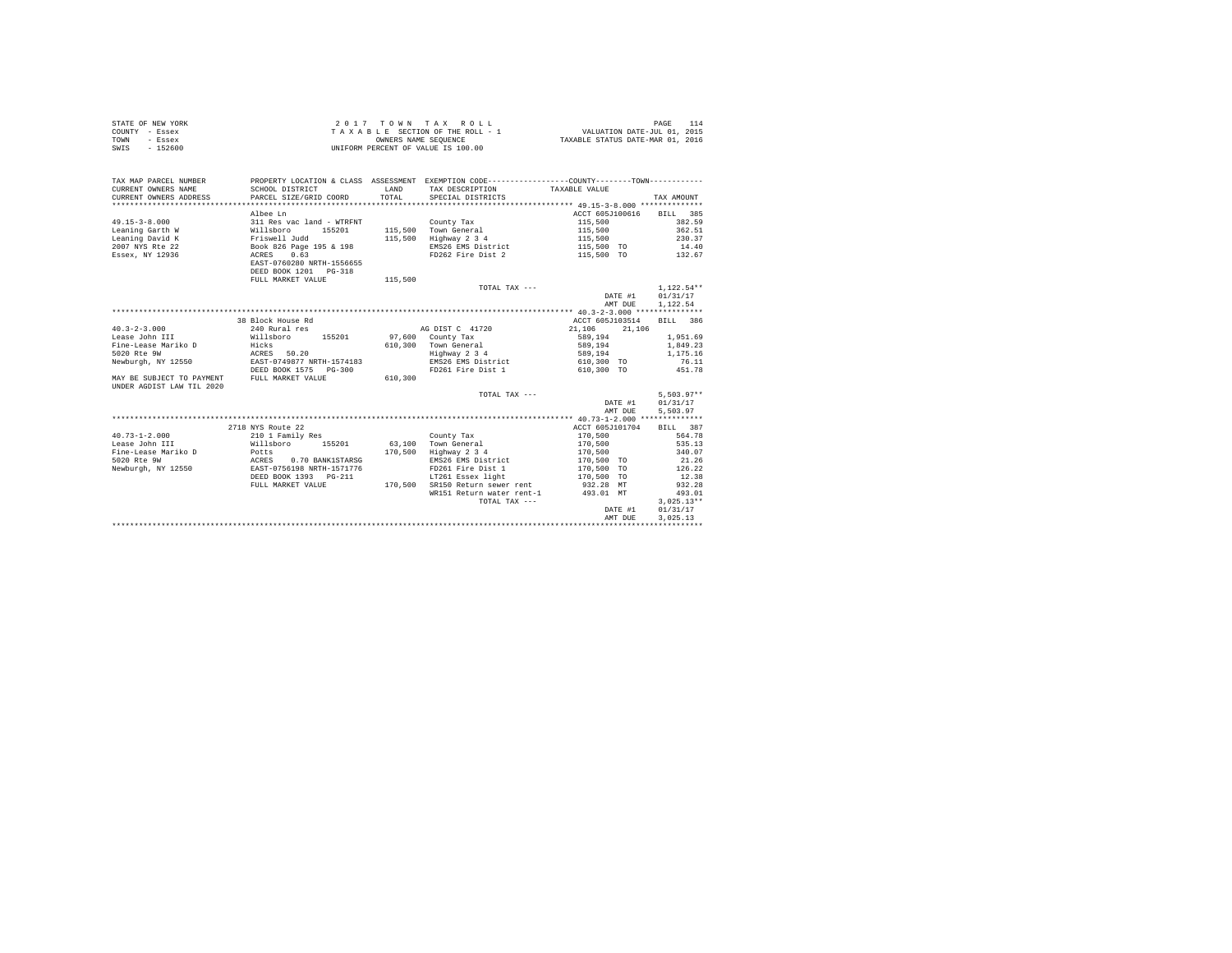| STATE OF NEW YORK | 2017 TOWN TAX ROLL                 | PAGE                             |
|-------------------|------------------------------------|----------------------------------|
| COUNTY - Essex    | TAXABLE SECTION OF THE ROLL - 1    | VALUATION DATE-JUL 01, 2015      |
| TOWN<br>- Essex   | OWNERS NAME SEOUENCE               | TAXABLE STATUS DATE-MAR 01, 2016 |
| - 152600<br>SWIS  | UNIFORM PERCENT OF VALUE IS 100.00 |                                  |

| TAX MAP PARCEL NUMBER<br>CURRENT OWNERS NAME<br>CURRENT OWNERS ADDRESS | SCHOOL DISTRICT<br>PARCEL SIZE/GRID COORD           | LAND<br>TOTAL | PROPERTY LOCATION & CLASS ASSESSMENT EXEMPTION CODE----------------COUNTY-------TOWN----------<br>TAX DESCRIPTION TAXABLE VALUE<br>SPECIAL DISTRICTS |                  | TAX AMOUNT   |
|------------------------------------------------------------------------|-----------------------------------------------------|---------------|------------------------------------------------------------------------------------------------------------------------------------------------------|------------------|--------------|
|                                                                        |                                                     |               |                                                                                                                                                      |                  |              |
|                                                                        | Albee Ln                                            |               |                                                                                                                                                      | ACCT 605J100616  | BILL 385     |
| $49.15 - 3 - 8.000$                                                    | 311 Res vac land - WTRFNT                           |               | County Tax                                                                                                                                           | 115,500          | 382.59       |
| Leaning Garth W                                                        | willsboro<br>155201                                 |               | 115,500 Town General                                                                                                                                 | 115,500          | 362.51       |
| Leaning David K                                                        | Friswell Judd                                       | 115,500       | Highway 2 3 4                                                                                                                                        | 115,500          | 230.37       |
| 2007 NYS Rte 22                                                        | Book 826 Page 195 & 198                             |               | EMS26 EMS District                                                                                                                                   | 115,500 TO       | 14.40        |
| Essex, NY 12936                                                        | 0.63<br>ACRES                                       |               | FD262 Fire Dist 2                                                                                                                                    | 115,500 TO       | 132.67       |
|                                                                        | EAST-0760280 NRTH-1556655                           |               |                                                                                                                                                      |                  |              |
|                                                                        | DEED BOOK 1201   PG-318                             |               |                                                                                                                                                      |                  |              |
|                                                                        | FULL MARKET VALUE                                   | 115,500       |                                                                                                                                                      |                  |              |
|                                                                        |                                                     |               | TOTAL TAX ---                                                                                                                                        |                  | $1,122.54**$ |
|                                                                        |                                                     |               |                                                                                                                                                      | DATE #1          | 01/31/17     |
|                                                                        |                                                     |               |                                                                                                                                                      | AMT DUE          | 1,122.54     |
|                                                                        |                                                     |               |                                                                                                                                                      |                  |              |
|                                                                        | 38 Block House Rd                                   |               |                                                                                                                                                      | ACCT 605J103514  | BILL 386     |
| $40.3 - 2 - 3.000$                                                     | 240 Rural res                                       |               | AG DIST C 41720                                                                                                                                      | 21,106<br>21,106 |              |
| Lease John III                                                         | 155201<br>Willsboro                                 |               | 97,600 County Tax                                                                                                                                    | 589,194          | 1,951.69     |
| Fine-Lease Mariko D                                                    | Hicks<br>ACRES 50.20                                |               | 610,300 Town General<br>Highway 2 3 4                                                                                                                | 589,194          | 1,849.23     |
| 5020 Rte 9W                                                            |                                                     |               |                                                                                                                                                      | 589,194          | 1,175.16     |
| Newburgh, NY 12550                                                     | EAST-0749877 NRTH-1574183                           |               | EMS26 EMS District                                                                                                                                   | 610,300 TO       | 76.11        |
|                                                                        | DEED BOOK 1575<br>$PG-300$                          |               | FD261 Fire Dist 1                                                                                                                                    | 610,300 TO       | 451.78       |
| MAY BE SUBJECT TO PAYMENT                                              | FULL MARKET VALUE                                   | 610,300       |                                                                                                                                                      |                  |              |
| UNDER AGDIST LAW TIL 2020                                              |                                                     |               |                                                                                                                                                      |                  |              |
|                                                                        |                                                     |               | TOTAL TAX $---$                                                                                                                                      |                  | $5.503.97**$ |
|                                                                        |                                                     |               |                                                                                                                                                      | DATE #1          | 01/31/17     |
|                                                                        |                                                     |               |                                                                                                                                                      | AMT DUE          | 5.503.97     |
|                                                                        |                                                     |               |                                                                                                                                                      |                  |              |
|                                                                        | 2718 NYS Route 22                                   |               |                                                                                                                                                      | ACCT 605J101704  | RTLL 387     |
| $40.73 - 1 - 2.000$                                                    | 210 1 Family Res                                    |               | County Tax                                                                                                                                           | 170,500          | 564.78       |
| Lease John III                                                         | Willsboro 155201                                    |               | 63.100 Town General                                                                                                                                  | 170,500          | 535.13       |
| Fine-Lease Mariko D                                                    | Potts                                               | 170.500       | Highway 2 3 4                                                                                                                                        | 170,500          | 340.07       |
| 5020 Rte 9W                                                            | ACRES 0.70 BANK1STARSG<br>EAST-0756198 NRTH-1571776 |               | EMS26 EMS District                                                                                                                                   | 170,500 TO       | 21.26        |
| Newburgh, NY 12550                                                     |                                                     |               | FD261 Fire Dist 1                                                                                                                                    | 170,500 TO       | 126.22       |
|                                                                        | DEED BOOK 1393 PG-211                               |               | LT261 Essex light                                                                                                                                    | 170,500 TO       | 12.38        |
|                                                                        | FULL MARKET VALUE                                   | 170,500       | SR150 Return sewer rent 932.28 MT                                                                                                                    |                  | 932.28       |
|                                                                        |                                                     |               | WR151 Return water rent-1 493.01 MT                                                                                                                  |                  | 493.01       |
|                                                                        |                                                     |               | TOTAL TAX ---                                                                                                                                        |                  | $3.025.13**$ |
|                                                                        |                                                     |               |                                                                                                                                                      | DATE #1          | 01/31/17     |
|                                                                        |                                                     |               |                                                                                                                                                      | AMT DUE          | 3.025.13     |
|                                                                        |                                                     |               |                                                                                                                                                      |                  |              |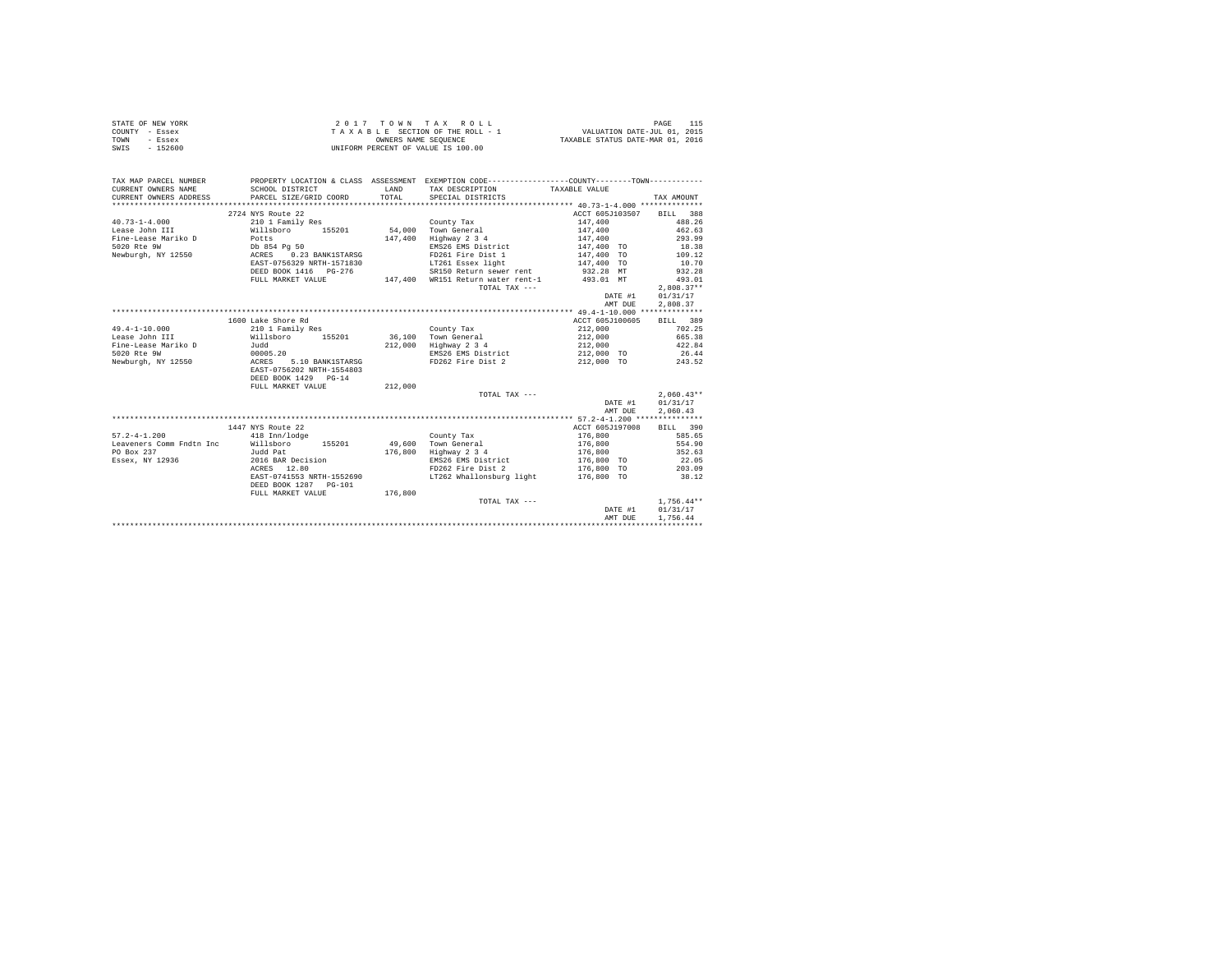|                | STATE OF NEW YORK |  |  |  | 2017 TOWN TAX ROLL                 |  |  |  |  |                                  | PAGE                        |  |
|----------------|-------------------|--|--|--|------------------------------------|--|--|--|--|----------------------------------|-----------------------------|--|
| COUNTY - Essex |                   |  |  |  | TAXABLE SECTION OF THE ROLL - 1    |  |  |  |  |                                  | VALUATION DATE-JUL 01, 2015 |  |
| TOWN           | - Essex           |  |  |  | OWNERS NAME SEOUENCE               |  |  |  |  | TAXABLE STATUS DATE-MAR 01, 2016 |                             |  |
| SWIS           | - 152600          |  |  |  | UNIFORM PERCENT OF VALUE IS 100.00 |  |  |  |  |                                  |                             |  |

| TAX MAP PARCEL NUMBER<br>CURRENT OWNERS NAME  | PROPERTY LOCATION & CLASS ASSESSMENT EXEMPTION CODE----------------COUNTY--------TOWN----------<br>SCHOOL DISTRICT                                                                                                                                                                                                                                                                                                   | <b>T.AND</b> | TAX DESCRIPTION TAXABLE VALUE                                               |                                                               |                 |
|-----------------------------------------------|----------------------------------------------------------------------------------------------------------------------------------------------------------------------------------------------------------------------------------------------------------------------------------------------------------------------------------------------------------------------------------------------------------------------|--------------|-----------------------------------------------------------------------------|---------------------------------------------------------------|-----------------|
| CURRENT OWNERS ADDRESS PARCEL SIZE/GRID COORD |                                                                                                                                                                                                                                                                                                                                                                                                                      | TOTAL        | SPECIAL DISTRICTS                                                           |                                                               | TAX AMOUNT      |
|                                               |                                                                                                                                                                                                                                                                                                                                                                                                                      |              |                                                                             |                                                               |                 |
|                                               | 2724 NYS Route 22                                                                                                                                                                                                                                                                                                                                                                                                    |              |                                                                             | ACCT 605J103507 BILL 388                                      |                 |
| $40.73 - 1 - 4.000$                           | 210 1 Family Res                                                                                                                                                                                                                                                                                                                                                                                                     |              | County Tax                                                                  | 147,400                                                       | 488.26          |
|                                               |                                                                                                                                                                                                                                                                                                                                                                                                                      |              |                                                                             | 147,400                                                       | 462.63          |
|                                               |                                                                                                                                                                                                                                                                                                                                                                                                                      |              | 147,400 Highway 2 3 4                                                       | 147,400                                                       | 293.99          |
|                                               |                                                                                                                                                                                                                                                                                                                                                                                                                      |              | EMS26 EMS District                                                          |                                                               |                 |
|                                               |                                                                                                                                                                                                                                                                                                                                                                                                                      |              | FD261 Fire Dist 1                                                           | 147,400 TO<br>147,400 TO                                      | 18.38<br>109.12 |
|                                               | EAST-0756329 NRTH-1571830 LT261 Essex light 147.400 TO                                                                                                                                                                                                                                                                                                                                                               |              |                                                                             |                                                               | 10.70           |
|                                               | DEED BOOK 1416    PG-276                                                                                                                                                                                                                                                                                                                                                                                             |              | SR150 Return sewer rent 932.28 MT                                           |                                                               | 932.28          |
|                                               | FULL MARKET VALUE                                                                                                                                                                                                                                                                                                                                                                                                    |              | 147,400 WR151 Return water rent-1 493.01 MT                                 |                                                               | 493.01          |
|                                               |                                                                                                                                                                                                                                                                                                                                                                                                                      |              | TOTAL TAX ---                                                               |                                                               | $2.808.37**$    |
|                                               |                                                                                                                                                                                                                                                                                                                                                                                                                      |              |                                                                             | DATE #1                                                       | 01/31/17        |
|                                               |                                                                                                                                                                                                                                                                                                                                                                                                                      |              |                                                                             | AMT DUE                                                       | 2,808.37        |
|                                               |                                                                                                                                                                                                                                                                                                                                                                                                                      |              |                                                                             |                                                               |                 |
|                                               | 1600 Lake Shore Rd                                                                                                                                                                                                                                                                                                                                                                                                   |              |                                                                             | ACCT 605J100605 BILL 389                                      |                 |
| $49.4 - 1 - 10.000$                           | 210 1 Family Res                                                                                                                                                                                                                                                                                                                                                                                                     |              | County Tax                                                                  | 212,000                                                       | 702.25          |
|                                               |                                                                                                                                                                                                                                                                                                                                                                                                                      |              |                                                                             | 212,000                                                       | 665.38          |
|                                               | $\begin{tabular}{lcccc} \texttt{Lease John III} & \texttt{William B} & \texttt{Millsboro} & \texttt{155201} & \texttt{36,100} & \texttt{Tom. General} \\ \texttt{File-Lase Maxiko D} & \texttt{Judd} & \texttt{36,100} & \texttt{Hglmay 2} & \texttt{34} \\ \texttt{5020 RE BWA} & \texttt{J4} & \texttt{J0005.20} & \texttt{Hglmay 2} & \texttt{BMS26 EMS} & \texttt{Hglmay 2} & \texttt{368 EMS} \\ \end{tabular}$ |              |                                                                             |                                                               |                 |
|                                               |                                                                                                                                                                                                                                                                                                                                                                                                                      |              | 212,000 Highway 2 3 4 212,000 422.84<br>EMS26 EMS District 212,000 TO 26.44 |                                                               |                 |
| Newburgh, NY 12550 ACRES                      | 5.10 BANK1STARSG                                                                                                                                                                                                                                                                                                                                                                                                     |              |                                                                             | FD262 Fire Dist 2 212,000 TO 243.52                           |                 |
|                                               | EAST-0756202 NRTH-1554803                                                                                                                                                                                                                                                                                                                                                                                            |              |                                                                             |                                                               |                 |
|                                               | DEED BOOK 1429 PG-14                                                                                                                                                                                                                                                                                                                                                                                                 |              |                                                                             |                                                               |                 |
|                                               | FULL MARKET VALUE                                                                                                                                                                                                                                                                                                                                                                                                    | 212,000      |                                                                             |                                                               |                 |
|                                               |                                                                                                                                                                                                                                                                                                                                                                                                                      |              | TOTAL TAX ---                                                               |                                                               | $2.060.43**$    |
|                                               |                                                                                                                                                                                                                                                                                                                                                                                                                      |              |                                                                             | DATE #1                                                       | 01/31/17        |
|                                               |                                                                                                                                                                                                                                                                                                                                                                                                                      |              |                                                                             |                                                               |                 |
|                                               |                                                                                                                                                                                                                                                                                                                                                                                                                      |              |                                                                             | AMT DUE                                                       | 2,060.43        |
|                                               |                                                                                                                                                                                                                                                                                                                                                                                                                      |              |                                                                             |                                                               |                 |
|                                               | 1447 NYS Route 22                                                                                                                                                                                                                                                                                                                                                                                                    |              |                                                                             | ACCT 605J197008                                               | BILL 390        |
| $57.2 - 4 - 1.200$                            | 418 Inn/lodge                                                                                                                                                                                                                                                                                                                                                                                                        |              | County Tax                                                                  | 176,800<br>176,800                                            | 585.65          |
|                                               | Leaveners Comm Fndtn Inc Willsboro 155201 49,600 Town General                                                                                                                                                                                                                                                                                                                                                        |              |                                                                             |                                                               | 554.90          |
| PO Box 237                                    | Judd Pat                                                                                                                                                                                                                                                                                                                                                                                                             |              | 176,800 Highway 2 3 4 176,800                                               |                                                               | 352.63          |
| Essex, NY 12936                               | 2016 BAR Decision                                                                                                                                                                                                                                                                                                                                                                                                    |              |                                                                             | EMS26 EMS District 176,800 TO<br>FD262 Fire Dist 2 176,800 TO | 22.05<br>203.09 |
|                                               | ACRES 12.80                                                                                                                                                                                                                                                                                                                                                                                                          |              |                                                                             |                                                               |                 |
|                                               | EAST-0741553 NRTH-1552690                                                                                                                                                                                                                                                                                                                                                                                            |              | LT262 Whallonsburg light 176,800 TO                                         |                                                               | 38.12           |
|                                               | DEED BOOK 1287 PG-101                                                                                                                                                                                                                                                                                                                                                                                                |              |                                                                             |                                                               |                 |
|                                               | FULL MARKET VALUE 176,800                                                                                                                                                                                                                                                                                                                                                                                            |              |                                                                             |                                                               |                 |
|                                               |                                                                                                                                                                                                                                                                                                                                                                                                                      |              | TOTAL TAX ---                                                               |                                                               | $1.756.44**$    |
|                                               |                                                                                                                                                                                                                                                                                                                                                                                                                      |              |                                                                             | DATE #1                                                       | 01/31/17        |
|                                               |                                                                                                                                                                                                                                                                                                                                                                                                                      |              |                                                                             | AMT DUE                                                       | 1,756.44        |
|                                               |                                                                                                                                                                                                                                                                                                                                                                                                                      |              |                                                                             |                                                               |                 |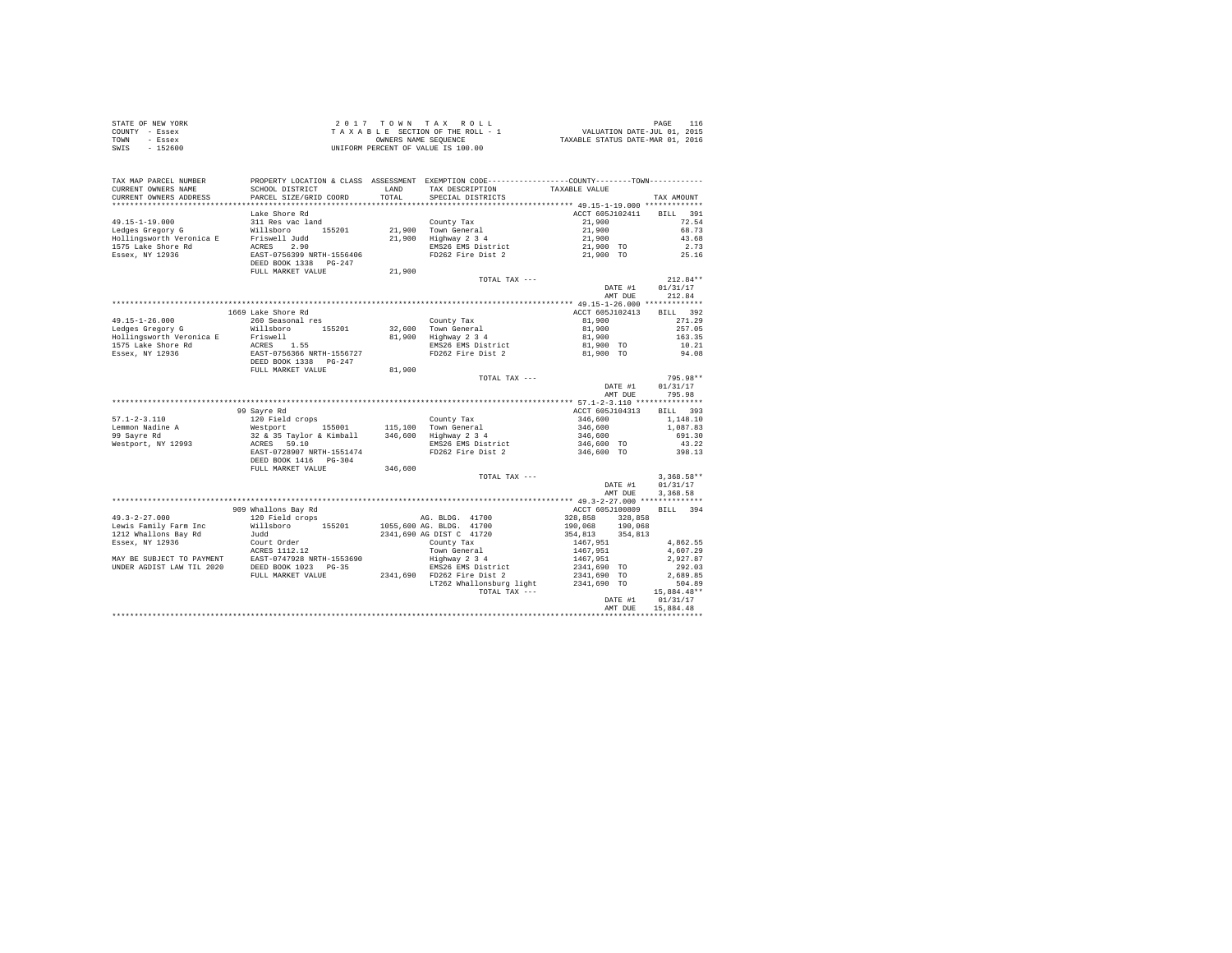| STATE OF NEW YORK | 2017 TOWN TAX ROLL                 | PAGE                             |
|-------------------|------------------------------------|----------------------------------|
| COUNTY - Essex    | TAXABLE SECTION OF THE ROLL - 1    | VALUATION DATE-JUL 01, 2015      |
| TOWN<br>- Essex   | OWNERS NAME SEOUENCE               | TAXABLE STATUS DATE-MAR 01, 2016 |
| - 152600<br>SWIS  | UNIFORM PERCENT OF VALUE IS 100.00 |                                  |

| TAX MAP PARCEL NUMBER<br>CURRENT OWNERS NAME | SCHOOL DISTRICT                                    | LAND    | PROPERTY LOCATION & CLASS ASSESSMENT EXEMPTION CODE---------------COUNTY-------TOWN----------<br>TAX DESCRIPTION | TAXABLE VALUE                              |                    |
|----------------------------------------------|----------------------------------------------------|---------|------------------------------------------------------------------------------------------------------------------|--------------------------------------------|--------------------|
| CURRENT OWNERS ADDRESS                       | PARCEL SIZE/GRID COORD                             | TOTAL   | SPECIAL DISTRICTS                                                                                                |                                            | TAX AMOUNT         |
|                                              |                                                    |         |                                                                                                                  |                                            |                    |
|                                              | Lake Shore Rd                                      |         |                                                                                                                  | ACCT 605J102411                            | 391<br><b>BILL</b> |
| $49.15 - 1 - 19.000$                         | 311 Res vac land                                   |         | County Tax                                                                                                       | 21,900                                     | 72.54              |
| Ledges Gregory G                             | 155201<br>Willsboro                                |         | 21,900 Town General                                                                                              | 21,900                                     | 68.73              |
| Hollingsworth Veronica E                     | Friswell Judd                                      | 21,900  | Highway 2 3 4                                                                                                    | 21,900                                     | 43.68              |
| 1575 Lake Shore Rd                           | ACRES<br>2.90                                      |         | EMS26 EMS District                                                                                               | 21,900 TO                                  | 2.73               |
| Essex, NY 12936                              | EAST-0756399 NRTH-1556406<br>DEED BOOK 1338 PG-247 |         | FD262 Fire Dist 2                                                                                                | 21,900 TO                                  | 25.16              |
|                                              | FULL MARKET VALUE                                  | 21,900  |                                                                                                                  |                                            |                    |
|                                              |                                                    |         | TOTAL TAX ---                                                                                                    |                                            | $212.84**$         |
|                                              |                                                    |         |                                                                                                                  | DATE #1                                    | 01/31/17           |
|                                              |                                                    |         |                                                                                                                  | AMT DUE                                    | 212.84             |
|                                              |                                                    |         |                                                                                                                  |                                            |                    |
|                                              | 1669 Lake Shore Rd                                 |         |                                                                                                                  | ACCT 605J102413                            | 392<br><b>BILL</b> |
| $49.15 - 1 - 26.000$                         | 260 Seasonal res                                   |         | County Tax                                                                                                       | 81,900                                     | 271.29             |
| Ledges Gregory G                             | Willsboro<br>155201                                |         | 32,600 Town General                                                                                              | 81,900                                     | 257.05             |
| Hollingsworth Veronica E                     | Friswell                                           |         | 81,900 Highway 2 3 4                                                                                             | 81,900                                     | 163.35             |
| 1575 Lake Shore Rd                           | ACRES 1.55                                         |         | EMS26 EMS District                                                                                               | 81,900 TO                                  | 10.21              |
| Essex, NY 12936                              | EAST-0756366 NRTH-1556727                          |         | FD262 Fire Dist 2                                                                                                | 81,900 TO                                  | 94.08              |
|                                              | DEED BOOK 1338 PG-247                              |         |                                                                                                                  |                                            |                    |
|                                              | FULL MARKET VALUE                                  | 81,900  |                                                                                                                  |                                            |                    |
|                                              |                                                    |         | TOTAL TAX ---                                                                                                    |                                            | 795.98**           |
|                                              |                                                    |         |                                                                                                                  | DATE #1                                    | 01/31/17           |
|                                              |                                                    |         |                                                                                                                  | AMT DUE                                    | 795.98             |
|                                              |                                                    |         |                                                                                                                  | ************ 57.1-2-3.110 **************** |                    |
|                                              | 99 Sayre Rd                                        |         |                                                                                                                  | ACCT 605J104313                            | <b>BILL</b><br>393 |
| $57.1 - 2 - 3.110$                           | 120 Field crops                                    |         | County Tax                                                                                                       | 346,600                                    | 1,148.10           |
| Lemmon Nadine A                              | Westport<br>155001                                 |         | 115,100 Town General                                                                                             | 346,600                                    | 1,087.83           |
| 99 Sayre Rd                                  | 32 & 35 Taylor & Kimball                           |         | 346,600 Highway 2 3 4                                                                                            | 346,600                                    | 691.30             |
| Westport, NY 12993                           | ACRES 59.10                                        |         | EMS26 EMS District                                                                                               | 346,600 TO                                 | 43.22              |
|                                              | EAST-0728907 NRTH-1551474                          |         | FD262 Fire Dist 2                                                                                                | 346,600 TO                                 | 398.13             |
|                                              | DEED BOOK 1416 PG-304                              |         |                                                                                                                  |                                            |                    |
|                                              | FULL MARKET VALUE                                  | 346,600 |                                                                                                                  |                                            |                    |
|                                              |                                                    |         | TOTAL TAX ---                                                                                                    |                                            | $3,368.58**$       |
|                                              |                                                    |         |                                                                                                                  | DATE #1                                    | 01/31/17           |
|                                              |                                                    |         |                                                                                                                  | AMT DUE                                    | 3,368.58           |
|                                              |                                                    |         |                                                                                                                  |                                            |                    |
|                                              | 909 Whallons Bay Rd                                |         |                                                                                                                  | ACCT 605J100809                            | BILL 394           |
| $49.3 - 2 - 27.000$                          | 120 Field crops                                    |         | AG. BLDG. 41700                                                                                                  | 328,858<br>328,858                         |                    |
| Lewis Family Farm Inc                        | Willsboro<br>155201                                |         | 1055,600 AG. BLDG. 41700                                                                                         | 190,068<br>190,068                         |                    |
| 1212 Whallons Bay Rd                         | Judd                                               |         | 2341,690 AG DIST C 41720                                                                                         | 354,813<br>354,813                         |                    |
| Essex, NY 12936                              | Court Order                                        |         | County Tax                                                                                                       | 1467,951                                   | 4,862.55           |
|                                              | ACRES 1112.12                                      |         | Town General                                                                                                     | 1467,951                                   | 4,607.29           |
| MAY BE SUBJECT TO PAYMENT                    | EAST-0747928 NRTH-1553690                          |         | Highway 2 3 4                                                                                                    | 1467,951                                   | 2,927.87           |
| UNDER AGDIST LAW TIL 2020                    | DEED BOOK 1023 PG-35                               |         | EMS26 EMS District                                                                                               | 2341,690 TO                                | 292.03             |
|                                              | FULL MARKET VALUE                                  |         | 2341,690 FD262 Fire Dist 2                                                                                       | 2341,690 TO                                | 2,689.85           |
|                                              |                                                    |         | LT262 Whallonsburg light                                                                                         | 2341,690 TO                                | 504.89             |
|                                              |                                                    |         | TOTAL TAX ---                                                                                                    |                                            | 15,884.48**        |
|                                              |                                                    |         |                                                                                                                  | DATE #1                                    | 01/31/17           |
|                                              |                                                    |         |                                                                                                                  | AMT DUE                                    | 15,884.48          |
|                                              |                                                    |         |                                                                                                                  |                                            |                    |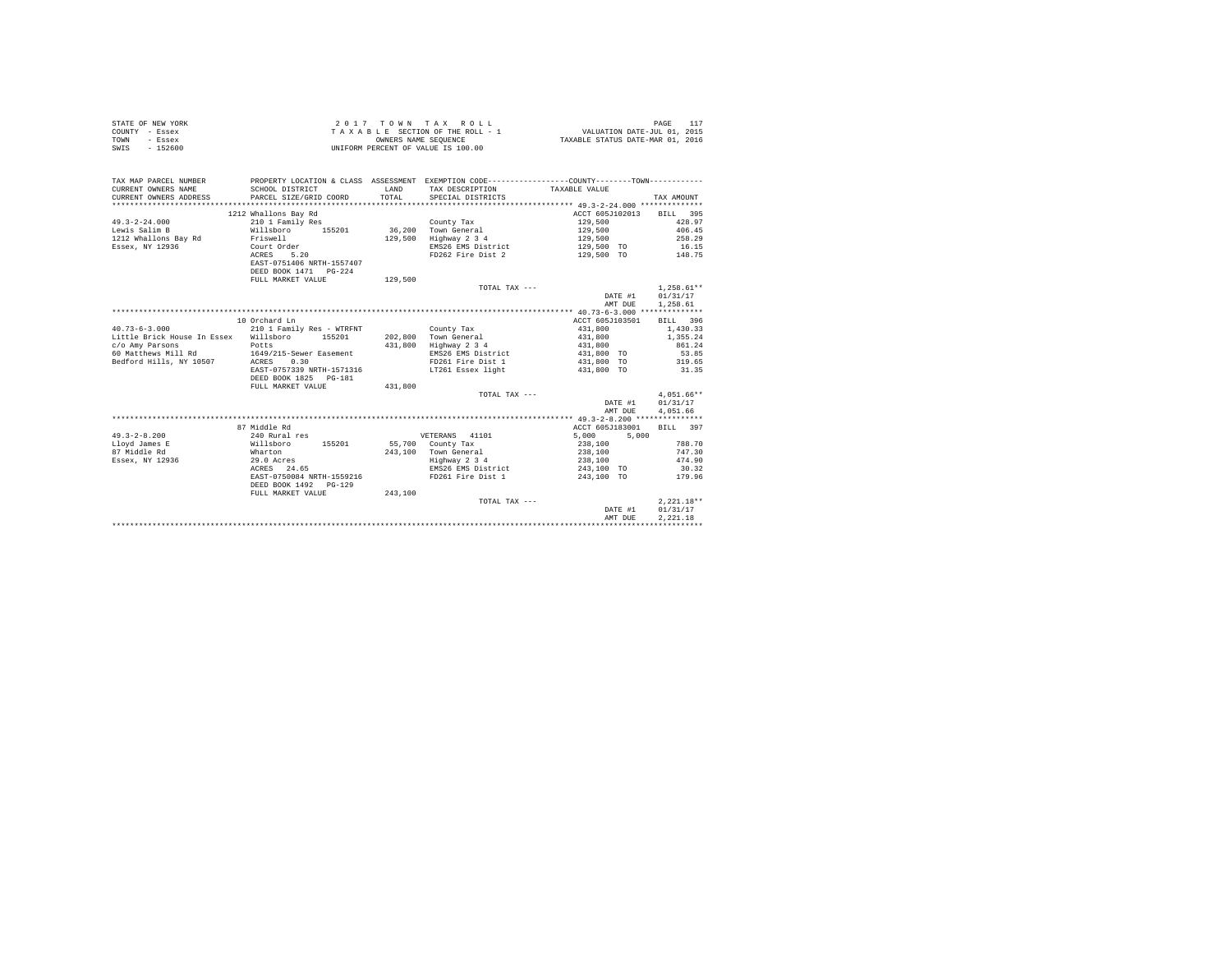| STATE OF NEW YORK<br>COUNTY - Essex<br>TOWN<br>- Essex<br>SWIS - 152600 | UNIFORM PERCENT OF VALUE IS 100.00   |         | 2017 TOWN TAX ROLL                                                                           |                                   | 117<br>PAGE  |
|-------------------------------------------------------------------------|--------------------------------------|---------|----------------------------------------------------------------------------------------------|-----------------------------------|--------------|
| TAX MAP PARCEL NUMBER                                                   |                                      |         | PROPERTY LOCATION & CLASS ASSESSMENT EXEMPTION CODE---------------COUNTY-------TOWN--------- |                                   |              |
| CURRENT OWNERS NAME                                                     | SCHOOL DISTRICT                      | T.AND   | TAX DESCRIPTION                                                                              | TAXABLE VALUE                     |              |
| CURRENT OWNERS ADDRESS                                                  | PARCEL SIZE/GRID COORD               | TOTAL   | SPECIAL DISTRICTS                                                                            |                                   | TAX AMOUNT   |
|                                                                         |                                      |         |                                                                                              |                                   |              |
|                                                                         | 1212 Whallons Bay Rd                 |         |                                                                                              | ACCT 605J102013                   | BILL 395     |
| $49.3 - 2 - 24.000$                                                     | 210 1 Family Res                     |         | County Tax                                                                                   | 129,500                           | 428.97       |
| Lewis Salim B                                                           | Willsboro 155201                     |         | 36,200 Town General                                                                          | 129,500                           | 406.45       |
| 1212 Whallons Bay Rd                                                    | Friswell                             |         | 129,500 Highway 2 3 4                                                                        | 129,500                           | 258.29       |
| Essex, NY 12936                                                         | Court Order                          |         | EMS26 EMS District                                                                           | 129,500 TO                        | 16.15        |
|                                                                         | ACRES 5.20                           |         | FD262 Fire Dist 2                                                                            | 129,500 TO 148.75                 |              |
|                                                                         | EAST-0751406 NRTH-1557407            |         |                                                                                              |                                   |              |
|                                                                         | DEED BOOK 1471   PG-224              |         |                                                                                              |                                   |              |
|                                                                         | FULL MARKET VALUE                    | 129,500 |                                                                                              |                                   |              |
|                                                                         |                                      |         | TOTAL TAX ---                                                                                |                                   | $1.258.61**$ |
|                                                                         |                                      |         |                                                                                              | DATE #1                           | 01/31/17     |
|                                                                         |                                      |         |                                                                                              | AMT DUE                           | 1,258.61     |
|                                                                         |                                      |         |                                                                                              |                                   |              |
|                                                                         | 10 Orchard Ln                        |         |                                                                                              | ACCT 605J103501                   | BILL 396     |
| $40.73 - 6 - 3.000$                                                     | 210 1 Family Res - WTRFNT County Tax |         |                                                                                              | 431,800 1,430.33                  |              |
| Little Brick House In Essex Willsboro 155201                            |                                      |         | 202,800 Town General                                                                         | 431,800                           | 1,355.24     |
| c/o Amy Parsons                                                         | Potts                                |         | $431,800$ Highway 2 3 4                                                                      | 431,800                           | 861.24       |
| 60 Matthews Mill Rd                                                     | 1649/215-Sewer Easement              |         | EMS26 EMS District                                                                           | 431,800 TO                        | 53.85        |
| Bedford Hills, NY 10507                                                 | 0.30<br>ACRES                        |         | FD261 Fire Dist 1                                                                            | 431,800 TO                        | 319.65       |
|                                                                         | EAST-0757339 NRTH-1571316            |         |                                                                                              | 431,800 TO                        | 31.35        |
|                                                                         | DEED BOOK 1825 PG-181                |         | LT261 Essex light                                                                            |                                   |              |
|                                                                         | FULL MARKET VALUE                    | 431,800 |                                                                                              |                                   |              |
|                                                                         |                                      |         | TOTAL TAX ---                                                                                |                                   | $4.051.66**$ |
|                                                                         |                                      |         |                                                                                              |                                   |              |
|                                                                         |                                      |         |                                                                                              | DATE #1                           | 01/31/17     |
|                                                                         |                                      |         |                                                                                              | AMT DUE                           | 4.051.66     |
|                                                                         |                                      |         |                                                                                              |                                   |              |
|                                                                         | 87 Middle Rd                         |         |                                                                                              | ACCT 605J183001                   | BTT.T. 397   |
| $49.3 - 2 - 8.200$                                                      | 240 Rural res                        |         | VETERANS 41101                                                                               | 5,000<br>5,000                    |              |
| Llovd James E                                                           | Willsboro 155201                     |         | 55,700 County Tax                                                                            | 238,100                           | 788.70       |
| 87 Middle Rd                                                            | Wharton                              |         | 243,100 Town General                                                                         | 238,100                           | 747.30       |
| Essex, NY 12936                                                         | 29.0 Acres<br>$ACRES$ 24.65          |         | Highway 2 3 4                                                                                | 238,100                           | 474.90       |
|                                                                         |                                      |         | EMS26 EMS District                                                                           | 243,100 TO                        | 30.32        |
|                                                                         | EAST-0750084 NRTH-1559216            |         | FD261 Fire Dist 1                                                                            | 243,100 TO                        | 179.96       |
|                                                                         | DEED BOOK 1492 PG-129                |         |                                                                                              |                                   |              |
|                                                                         | FULL MARKET VALUE                    | 243,100 |                                                                                              |                                   |              |
|                                                                         |                                      |         | TOTAL TAX ---                                                                                |                                   | $2.221.18**$ |
|                                                                         |                                      |         |                                                                                              | DATE #1                           | 01/31/17     |
|                                                                         |                                      |         |                                                                                              | AMT DUE                           | 2.221.18     |
|                                                                         |                                      |         |                                                                                              | ********************************* |              |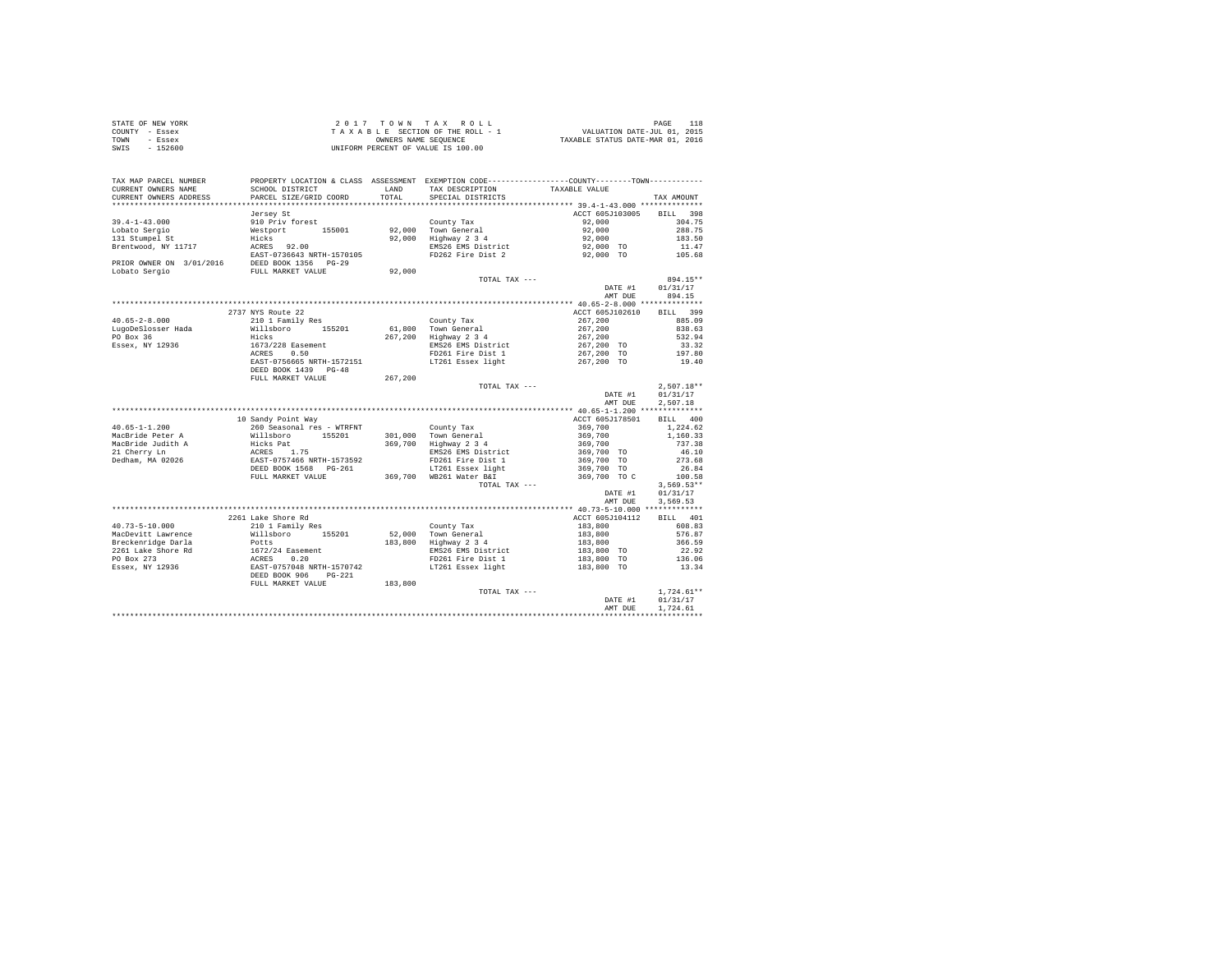| STATE OF NEW YORK | 2017 TOWN TAX ROLL                 | PAGE                             |
|-------------------|------------------------------------|----------------------------------|
| COUNTY - Essex    | TAXABLE SECTION OF THE ROLL - 1    | VALUATION DATE-JUL 01, 2015      |
| TOWN<br>- Essex   | OWNERS NAME SEOUENCE               | TAXABLE STATUS DATE-MAR 01, 2016 |
| $-152600$<br>SWIS | UNIFORM PERCENT OF VALUE IS 100.00 |                                  |

| TAX MAP PARCEL NUMBER<br>CURRENT OWNERS NAME | SCHOOL DISTRICT           | <b>T.AND</b> | PROPERTY LOCATION & CLASS ASSESSMENT EXEMPTION CODE----------------COUNTY-------TOWN----------<br>TAX DESCRIPTION | TAXABLE VALUE   |                          |
|----------------------------------------------|---------------------------|--------------|-------------------------------------------------------------------------------------------------------------------|-----------------|--------------------------|
| CURRENT OWNERS ADDRESS                       | PARCEL SIZE/GRID COORD    | TOTAL        | SPECIAL DISTRICTS                                                                                                 |                 | TAX AMOUNT               |
| ************************                     |                           |              |                                                                                                                   |                 |                          |
|                                              | Jersey St                 |              |                                                                                                                   | ACCT 605J103005 | 398<br><b>BILL</b>       |
| $39.4 - 1 - 43.000$                          | 910 Priv forest           |              | County Tax                                                                                                        | 92,000          | 304.75                   |
| Lobato Sergio                                | Westport<br>155001        | 92,000       | Town General                                                                                                      | 92,000          | 288.75                   |
| 131 Stumpel St                               | Hicks                     | 92,000       | Highway 2 3 4                                                                                                     | 92,000          | 183.50                   |
| Brentwood, NY 11717                          | ACRES<br>92.00            |              | EMS26 EMS District                                                                                                | 92,000 TO       | 11.47                    |
|                                              | EAST-0736643 NRTH-1570105 |              | FD262 Fire Dist 2                                                                                                 | 92,000 TO       | 105.68                   |
| PRIOR OWNER ON 3/01/2016                     | DEED BOOK 1356 PG-29      |              |                                                                                                                   |                 |                          |
| Lobato Sergio                                | FULL MARKET VALUE         | 92,000       |                                                                                                                   |                 |                          |
|                                              |                           |              | TOTAL TAX ---                                                                                                     |                 | 894.15**                 |
|                                              |                           |              |                                                                                                                   | DATE #1         | 01/31/17                 |
|                                              |                           |              |                                                                                                                   | AMT DUE         | 894.15                   |
|                                              |                           |              |                                                                                                                   |                 |                          |
|                                              | 2737 NYS Route 22         |              |                                                                                                                   | ACCT 605J102610 | <b>BILL</b><br>399       |
| $40.65 - 2 - 8.000$                          | 210 1 Family Res          |              | County Tax                                                                                                        | 267,200         | 885.09                   |
| LugoDeSlosser Hada                           | Willsboro<br>155201       | 61,800       | Town General                                                                                                      | 267,200         | 838.63                   |
| PO Box 36                                    | Hicks                     | 267.200      | Highway 2 3 4                                                                                                     | 267,200         | 532.94                   |
| Essex, NY 12936                              | 1673/228 Easement         |              | EMS26 EMS District                                                                                                | 267,200 TO      | 33.32                    |
|                                              | ACRES<br>0.50             |              | FD261 Fire Dist 1                                                                                                 | 267,200 TO      | 197.80                   |
|                                              | EAST-0756665 NRTH-1572151 |              | LT261 Essex light                                                                                                 | 267,200 TO      | 19.40                    |
|                                              | DEED BOOK 1439 PG-48      |              |                                                                                                                   |                 |                          |
|                                              | FULL MARKET VALUE         | 267,200      |                                                                                                                   |                 |                          |
|                                              |                           |              | TOTAL TAX ---                                                                                                     |                 | $2,507.18**$             |
|                                              |                           |              |                                                                                                                   | DATE #1         | 01/31/17                 |
|                                              |                           |              |                                                                                                                   | AMT DUE         | 2.507.18                 |
|                                              |                           |              |                                                                                                                   |                 |                          |
|                                              | 10 Sandy Point Way        |              |                                                                                                                   | ACCT 605J178501 | BILL 400                 |
| $40.65 - 1 - 1.200$                          | 260 Seasonal res - WTRFNT |              | County Tax                                                                                                        | 369,700         | 1.224.62                 |
| MacBride Peter A                             | Willsboro<br>155201       | 301,000      | Town General                                                                                                      | 369,700         | 1,160.33                 |
| MacBride Judith A                            | Hicks Pat                 | 369,700      | Highway 2 3 4                                                                                                     | 369,700         | 737.38                   |
| 21 Cherry Ln                                 | ACRES 1.75                |              | EMS26 EMS District                                                                                                | 369,700 TO      | 46.10                    |
| Dedham, MA 02026                             | EAST-0757466 NRTH-1573592 |              | FD261 Fire Dist 1                                                                                                 | 369,700 TO      | 273.68                   |
|                                              | DEED BOOK 1568 PG-261     |              | LT261 Essex light                                                                                                 | 369,700 TO      | 26.84                    |
|                                              | FULL MARKET VALUE         |              | 369,700 WB261 Water B&I                                                                                           |                 | 100.58                   |
|                                              |                           |              | TOTAL TAX ---                                                                                                     | 369,700 TO C    |                          |
|                                              |                           |              |                                                                                                                   | DATE #1         | $3,569.53**$<br>01/31/17 |
|                                              |                           |              |                                                                                                                   | AMT DUE         | 3,569.53                 |
|                                              |                           |              |                                                                                                                   |                 |                          |
|                                              | 2261 Lake Shore Rd        |              |                                                                                                                   |                 |                          |
|                                              |                           |              |                                                                                                                   | ACCT 605J104112 | BILL 401                 |
| $40.73 - 5 - 10.000$                         | 210 1 Family Res          |              | County Tax                                                                                                        | 183,800         | 608.83                   |
| MacDevitt Lawrence                           | Willsboro<br>155201       | 52,000       | Town General                                                                                                      | 183,800         | 576.87                   |
| Breckenridge Darla                           | Potts                     | 183,800      | Highway 2 3 4                                                                                                     | 183,800         | 366.59                   |
| 2261 Lake Shore Rd                           | 1672/24 Easement          |              | EMS26 EMS District                                                                                                | 183,800 TO      | 22.92                    |
| PO Box 273                                   | 0.20<br>ACRES             |              | FD261 Fire Dist 1                                                                                                 | 183,800 TO      | 136.06                   |
| Essex, NY 12936                              | EAST-0757048 NRTH-1570742 |              | LT261 Essex light                                                                                                 | 183,800 TO      | 13.34                    |
|                                              | DEED BOOK 906<br>$PG-221$ |              |                                                                                                                   |                 |                          |
|                                              | FULL MARKET VALUE         | 183,800      |                                                                                                                   |                 |                          |
|                                              |                           |              | TOTAL TAX ---                                                                                                     |                 | $1.724.61**$             |
|                                              |                           |              |                                                                                                                   | DATE #1         | 01/31/17                 |
|                                              |                           |              |                                                                                                                   | AMT DUE         | 1.724.61                 |
|                                              |                           |              |                                                                                                                   |                 |                          |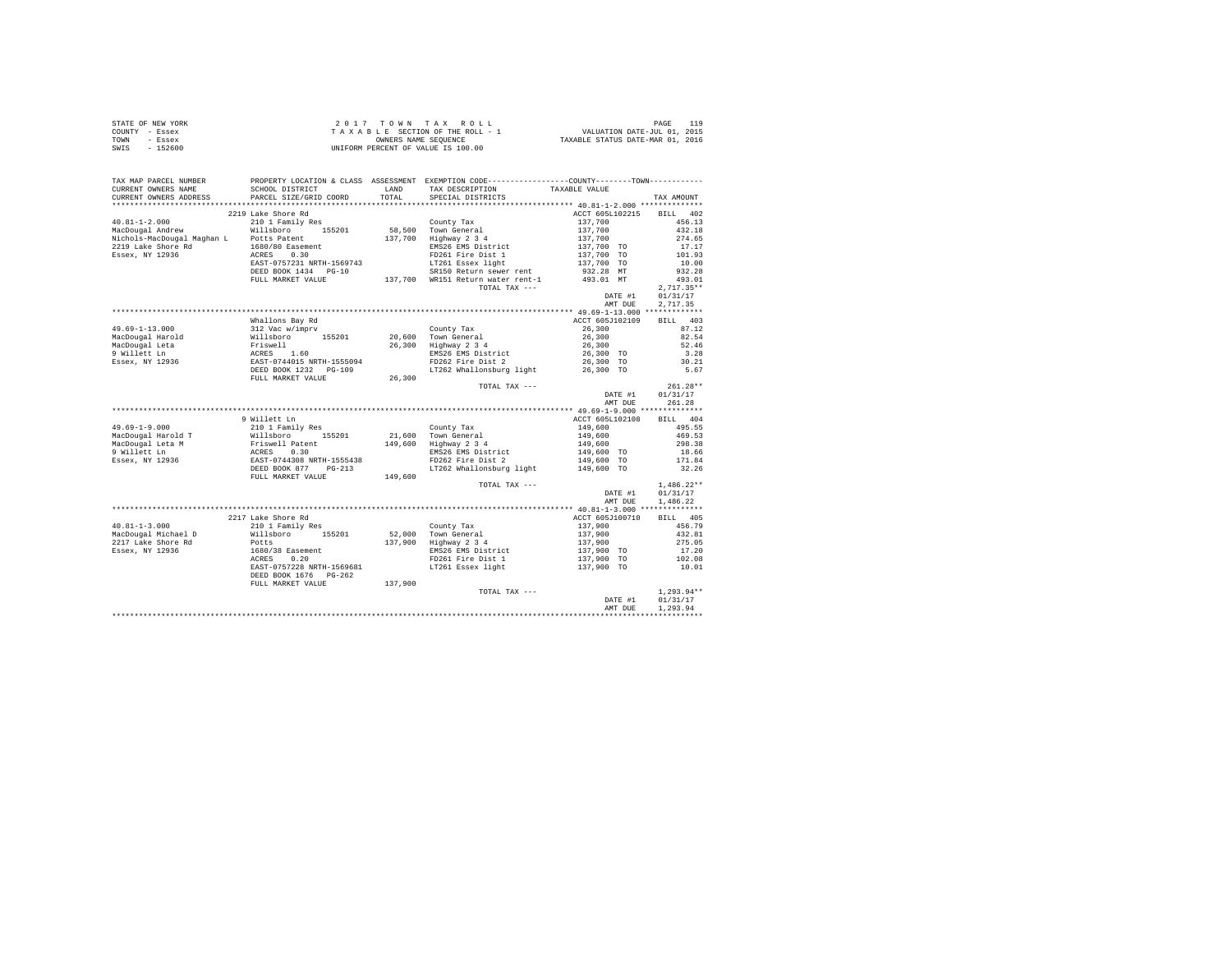| STATE OF NEW YORK | 2017 TOWN TAX ROLL                 | PAGE                             |
|-------------------|------------------------------------|----------------------------------|
| COUNTY - Essex    | TAXABLE SECTION OF THE ROLL - 1    | VALUATION DATE-JUL 01, 2015      |
| TOWN<br>- Essex   | OWNERS NAME SEOUENCE               | TAXABLE STATUS DATE-MAR 01, 2016 |
| $-152600$<br>SWIS | UNIFORM PERCENT OF VALUE IS 100.00 |                                  |

| TAX MAP PARCEL NUMBER  |                                                                                                                                                                                        | PROPERTY LOCATION & CLASS ASSESSMENT EXEMPTION CODE---------------COUNTY-------TOWN----------                                                                                                                                                                      |                                                     |                  |
|------------------------|----------------------------------------------------------------------------------------------------------------------------------------------------------------------------------------|--------------------------------------------------------------------------------------------------------------------------------------------------------------------------------------------------------------------------------------------------------------------|-----------------------------------------------------|------------------|
| CURRENT OWNERS NAME    | SCHOOL DISTRICT<br>SCHOOL DISTRICT<br>PARCEL SIZE/GRID COORD                                                                                                                           | ${\small \noindent \texttt{LAND} \hspace{1.2cm} \texttt{TAX} \hspace{1.2cm} \texttt{DESCRIPITION} \hspace{1.2cm} \texttt{TAXABLE} \hspace{1.2cm} \texttt{VALUE} \\ \texttt{TOTAL} \hspace{1.2cm} \texttt{SPECHA} \hspace{1.2cm} \texttt{DISTRICTS} \hspace{1.2cm}$ |                                                     |                  |
| CURRENT OWNERS ADDRESS |                                                                                                                                                                                        |                                                                                                                                                                                                                                                                    |                                                     | TAX AMOUNT       |
|                        |                                                                                                                                                                                        |                                                                                                                                                                                                                                                                    |                                                     |                  |
|                        | 2219 Lake Shore Rd                                                                                                                                                                     |                                                                                                                                                                                                                                                                    | ACCT 605L102215                                     | BILL 402         |
| $40.81 - 1 - 2.000$    | 210 1 Family Res                                                                                                                                                                       | County Tax<br>58,500 Town General<br>137,700 Highway 2 3 4                                                                                                                                                                                                         |                                                     |                  |
|                        | MacDougal Andrew Willsboro 155201                                                                                                                                                      |                                                                                                                                                                                                                                                                    |                                                     |                  |
|                        | Michols-MacDougal Maghan Land Rotts Patent<br>219 Lake Shore Rd<br>258ex, NY 12936<br>258ex, NY 12936<br>258ex, NY 12936<br>2587-0757231 NRTH-1569743                                  |                                                                                                                                                                                                                                                                    |                                                     |                  |
|                        |                                                                                                                                                                                        |                                                                                                                                                                                                                                                                    |                                                     |                  |
|                        |                                                                                                                                                                                        |                                                                                                                                                                                                                                                                    |                                                     |                  |
|                        |                                                                                                                                                                                        |                                                                                                                                                                                                                                                                    |                                                     |                  |
|                        |                                                                                                                                                                                        |                                                                                                                                                                                                                                                                    | 932.28 MT                                           | 932.28           |
|                        |                                                                                                                                                                                        |                                                                                                                                                                                                                                                                    |                                                     | 493.01           |
|                        |                                                                                                                                                                                        | $\begin{array}{cc}\n 1 \text{ return } \text{max} \\   \text{TOTAL TAX } \text{---}\n \end{array}$                                                                                                                                                                 |                                                     | $2,717.35**$     |
|                        |                                                                                                                                                                                        |                                                                                                                                                                                                                                                                    | DATE #1                                             | 01/31/17         |
|                        |                                                                                                                                                                                        |                                                                                                                                                                                                                                                                    | AMT DUE                                             | 2,717.35         |
|                        |                                                                                                                                                                                        |                                                                                                                                                                                                                                                                    |                                                     |                  |
|                        | Whallons Bay Rd                                                                                                                                                                        |                                                                                                                                                                                                                                                                    | ACCT 605J102109                                     | BILL 403         |
|                        |                                                                                                                                                                                        |                                                                                                                                                                                                                                                                    | 26,300                                              | 87.12            |
|                        |                                                                                                                                                                                        | County 1ax 1<br>Town General<br>Highway 2 3 4<br>Highway 2 3 4<br>EMS26 EMS District<br>DDS2 Fire Dist<br>2 5, 300 TO<br>TT262 Whallonsburg light<br>26, 300 TO<br>26, 300 TO                                                                                      |                                                     | 82.54            |
|                        |                                                                                                                                                                                        |                                                                                                                                                                                                                                                                    |                                                     | 52.46            |
|                        |                                                                                                                                                                                        | EMS26 EMS District<br>FD262 Fire Dist 2                                                                                                                                                                                                                            |                                                     | 3.28             |
|                        |                                                                                                                                                                                        |                                                                                                                                                                                                                                                                    |                                                     | 30.21            |
|                        |                                                                                                                                                                                        |                                                                                                                                                                                                                                                                    |                                                     | 5.67             |
|                        | FULL MARKET VALUE 26,300                                                                                                                                                               |                                                                                                                                                                                                                                                                    |                                                     |                  |
|                        |                                                                                                                                                                                        | TOTAL TAX ---                                                                                                                                                                                                                                                      |                                                     | $261.28**$       |
|                        |                                                                                                                                                                                        |                                                                                                                                                                                                                                                                    |                                                     | DATE #1 01/31/17 |
|                        |                                                                                                                                                                                        |                                                                                                                                                                                                                                                                    | AMT DUE                                             | 261.28           |
|                        |                                                                                                                                                                                        |                                                                                                                                                                                                                                                                    |                                                     |                  |
|                        | 9 Willett Ln                                                                                                                                                                           |                                                                                                                                                                                                                                                                    | ACCT 605L102108 BILL 404                            |                  |
|                        |                                                                                                                                                                                        |                                                                                                                                                                                                                                                                    |                                                     | 495.55           |
|                        |                                                                                                                                                                                        |                                                                                                                                                                                                                                                                    |                                                     | 469.53           |
|                        |                                                                                                                                                                                        |                                                                                                                                                                                                                                                                    | $149,600$<br>$149,600$<br>$149,600$<br>$149,600$ TO |                  |
|                        |                                                                                                                                                                                        |                                                                                                                                                                                                                                                                    |                                                     | 298.38<br>18.66  |
|                        |                                                                                                                                                                                        |                                                                                                                                                                                                                                                                    | 149,600 TO                                          | 171.84           |
|                        |                                                                                                                                                                                        | LT262 Whallonsburg light 149,600 TO 32.26                                                                                                                                                                                                                          |                                                     |                  |
|                        |                                                                                                                                                                                        |                                                                                                                                                                                                                                                                    |                                                     |                  |
|                        |                                                                                                                                                                                        | TOTAL TAX ---                                                                                                                                                                                                                                                      |                                                     | $1,486.22**$     |
|                        |                                                                                                                                                                                        |                                                                                                                                                                                                                                                                    | DATE #1                                             | 01/31/17         |
|                        |                                                                                                                                                                                        |                                                                                                                                                                                                                                                                    | AMT DUE                                             | 1,486.22         |
|                        |                                                                                                                                                                                        |                                                                                                                                                                                                                                                                    |                                                     |                  |
|                        | 2217 Lake Shore Rd                                                                                                                                                                     |                                                                                                                                                                                                                                                                    | ACCT 605J100710                                     | BILL 405         |
|                        |                                                                                                                                                                                        |                                                                                                                                                                                                                                                                    |                                                     |                  |
|                        | 40.81-1-3.000<br>MacDougal Michael D = 210 1 Family Res<br>2217 Lake Shore Rd = 155201<br>22217 Lake Shore Rd = 1680/38 Basement<br>258ex, NY 12936 = 1680/38 Basement<br>ACRES = 0.20 |                                                                                                                                                                                                                                                                    |                                                     |                  |
|                        |                                                                                                                                                                                        |                                                                                                                                                                                                                                                                    |                                                     |                  |
|                        |                                                                                                                                                                                        |                                                                                                                                                                                                                                                                    |                                                     |                  |
|                        |                                                                                                                                                                                        |                                                                                                                                                                                                                                                                    |                                                     |                  |
|                        |                                                                                                                                                                                        |                                                                                                                                                                                                                                                                    |                                                     |                  |
|                        |                                                                                                                                                                                        |                                                                                                                                                                                                                                                                    |                                                     |                  |
|                        | PULL MARKET VALUE 137,900                                                                                                                                                              |                                                                                                                                                                                                                                                                    |                                                     |                  |
|                        |                                                                                                                                                                                        | TOTAL TAX ---                                                                                                                                                                                                                                                      |                                                     | $1,293.94**$     |
|                        |                                                                                                                                                                                        |                                                                                                                                                                                                                                                                    |                                                     | DATE #1 01/31/17 |
|                        |                                                                                                                                                                                        |                                                                                                                                                                                                                                                                    | AMT DUE                                             | 1,293.94         |
|                        |                                                                                                                                                                                        |                                                                                                                                                                                                                                                                    |                                                     |                  |
|                        |                                                                                                                                                                                        |                                                                                                                                                                                                                                                                    |                                                     |                  |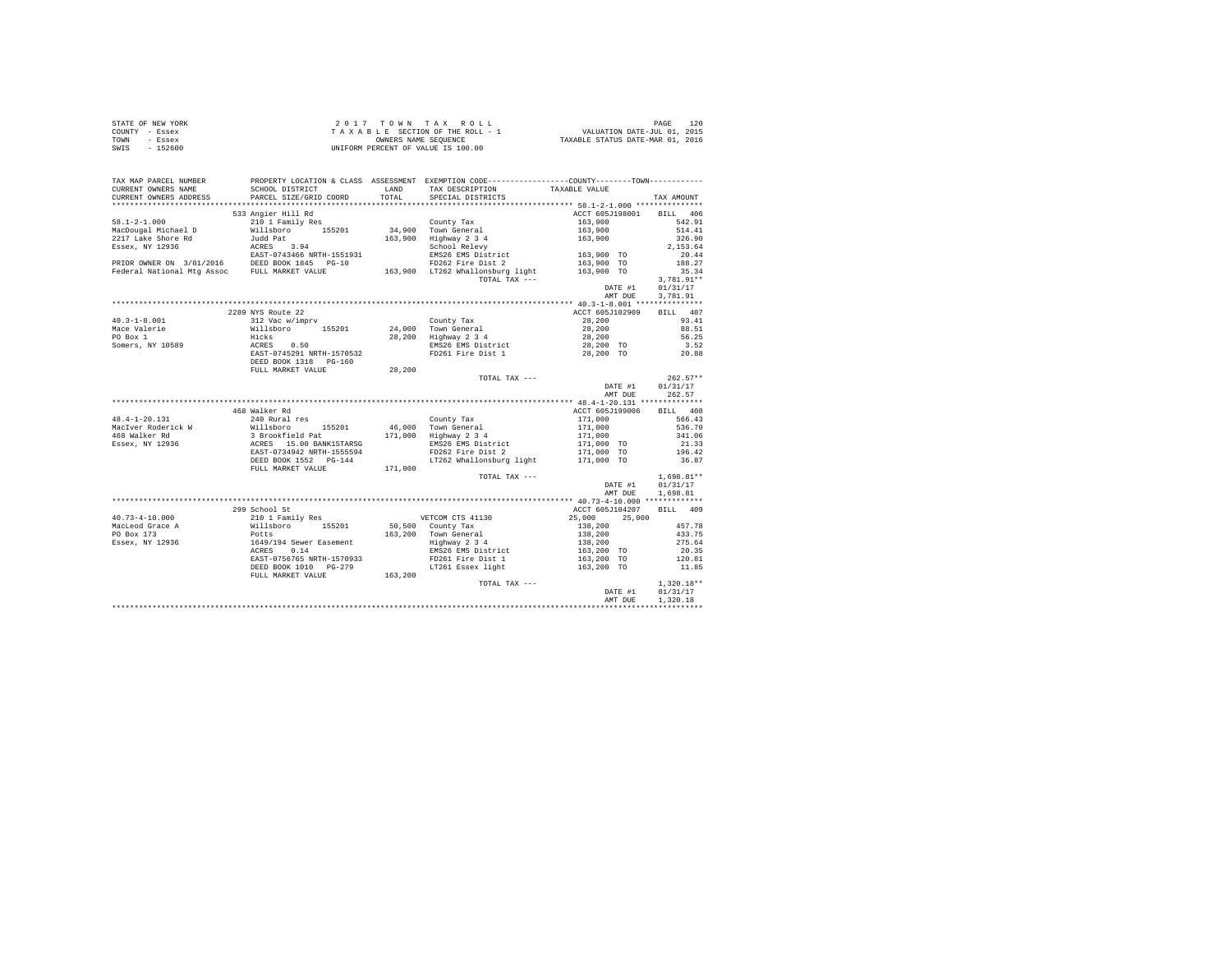| STATE OF NEW YORK | 2017 TOWN TAX ROLL                 | 120<br>PAGE                      |
|-------------------|------------------------------------|----------------------------------|
| COUNTY - Essex    | TAXABLE SECTION OF THE ROLL - 1    | VALUATION DATE-JUL 01, 2015      |
| TOWN<br>- Essex   | OWNERS NAME SEOUENCE               | TAXABLE STATUS DATE-MAR 01, 2016 |
| - 152600<br>SWIS  | UNIFORM PERCENT OF VALUE IS 100.00 |                                  |

| TAX MAP PARCEL NUMBER<br>CURRENT OWNERS NAME                                                                                                                                                                                                                                                                                                                                                                                                             | SCHOOL DISTRICT                           |                  | PROPERTY LOCATION & CLASS ASSESSMENT EXEMPTION CODE----------------COUNTY--------TOWN----------                                                                                                                                                                                                                                                                                                                                      | TAXABLE VALUE                                                              |                 |
|----------------------------------------------------------------------------------------------------------------------------------------------------------------------------------------------------------------------------------------------------------------------------------------------------------------------------------------------------------------------------------------------------------------------------------------------------------|-------------------------------------------|------------------|--------------------------------------------------------------------------------------------------------------------------------------------------------------------------------------------------------------------------------------------------------------------------------------------------------------------------------------------------------------------------------------------------------------------------------------|----------------------------------------------------------------------------|-----------------|
|                                                                                                                                                                                                                                                                                                                                                                                                                                                          | SCHOOL DISTRICT<br>PARCEL SIZE/GRID COORD |                  | LAND TAX DESCRIPTION                                                                                                                                                                                                                                                                                                                                                                                                                 |                                                                            |                 |
|                                                                                                                                                                                                                                                                                                                                                                                                                                                          |                                           |                  |                                                                                                                                                                                                                                                                                                                                                                                                                                      |                                                                            |                 |
|                                                                                                                                                                                                                                                                                                                                                                                                                                                          | 533 Angier Hill Rd                        |                  |                                                                                                                                                                                                                                                                                                                                                                                                                                      | ACCT 605J198001 BILL 406                                                   |                 |
|                                                                                                                                                                                                                                                                                                                                                                                                                                                          |                                           |                  |                                                                                                                                                                                                                                                                                                                                                                                                                                      |                                                                            | 542.91          |
|                                                                                                                                                                                                                                                                                                                                                                                                                                                          |                                           |                  |                                                                                                                                                                                                                                                                                                                                                                                                                                      |                                                                            | 514.41          |
|                                                                                                                                                                                                                                                                                                                                                                                                                                                          |                                           |                  |                                                                                                                                                                                                                                                                                                                                                                                                                                      |                                                                            | 326.90          |
|                                                                                                                                                                                                                                                                                                                                                                                                                                                          |                                           |                  |                                                                                                                                                                                                                                                                                                                                                                                                                                      |                                                                            | 2,153.64        |
|                                                                                                                                                                                                                                                                                                                                                                                                                                                          |                                           |                  |                                                                                                                                                                                                                                                                                                                                                                                                                                      |                                                                            | 20.44           |
|                                                                                                                                                                                                                                                                                                                                                                                                                                                          |                                           |                  |                                                                                                                                                                                                                                                                                                                                                                                                                                      |                                                                            | 188.27          |
|                                                                                                                                                                                                                                                                                                                                                                                                                                                          |                                           |                  |                                                                                                                                                                                                                                                                                                                                                                                                                                      |                                                                            | 35.34           |
|                                                                                                                                                                                                                                                                                                                                                                                                                                                          |                                           |                  | $\begin{array}{cc}\n\text{11} & - \\ \text{12} & - \\ \text{13} & - \\ \text{14} & - \\ \text{15} & - \\ \text{16} & - \\ \text{17} & - \\ \text{18} & - \\ \text{19} & - \\ \text{10} & - \\ \text{10} & - \\ \text{11} & - \\ \text{12} & - \\ \text{13} & - \\ \text{14} & - \\ \text{16} & - \\ \text{18} & - \\ \text{19} & - \\ \text{19} & - \\ \text{10} & - \\ \text{10} & - \\ \text{11} & - \\ \text{12} & - \\ \text{13$ |                                                                            | $3,781.91**$    |
|                                                                                                                                                                                                                                                                                                                                                                                                                                                          |                                           |                  |                                                                                                                                                                                                                                                                                                                                                                                                                                      | DATE #1 01/31/17                                                           |                 |
|                                                                                                                                                                                                                                                                                                                                                                                                                                                          |                                           |                  |                                                                                                                                                                                                                                                                                                                                                                                                                                      | AMT DUE                                                                    | 3,781.91        |
|                                                                                                                                                                                                                                                                                                                                                                                                                                                          |                                           |                  |                                                                                                                                                                                                                                                                                                                                                                                                                                      |                                                                            |                 |
| $\begin{tabular}{lllllllllllll} \multicolumn{3}{c}{40.3-1-8.001}& \multicolumn{3}{c}{2289~\text{Nys Route 22}}& \multicolumn{3}{c}{2289~\text{Nys Route 22}}& \multicolumn{3}{c}{\text{Country Tax}}\\ \multicolumn{3}{c}{\text{Nalgebite}}& \multicolumn{3}{c}{\text{Nilishevo}}& \multicolumn{3}{c}{\text{S20}}& \multicolumn{3}{c}{\text{Country Tax}}\\ \multicolumn{3}{c}{\text{Nomeral}}& \multicolumn{3}{c}{\text{Nilishevo}}& \multicolumn{3}{c$ | 2289 NYS Route 22                         |                  |                                                                                                                                                                                                                                                                                                                                                                                                                                      | ACCT 605J102909                                                            | BILL 407        |
|                                                                                                                                                                                                                                                                                                                                                                                                                                                          |                                           |                  |                                                                                                                                                                                                                                                                                                                                                                                                                                      | $28,200$<br>$28,200$<br>$28,200$<br>$28,200$<br>$28,200$ TO<br>$28,200$ TO | 93.41           |
|                                                                                                                                                                                                                                                                                                                                                                                                                                                          |                                           |                  |                                                                                                                                                                                                                                                                                                                                                                                                                                      |                                                                            | 88.51           |
|                                                                                                                                                                                                                                                                                                                                                                                                                                                          |                                           |                  |                                                                                                                                                                                                                                                                                                                                                                                                                                      |                                                                            | 56.25           |
|                                                                                                                                                                                                                                                                                                                                                                                                                                                          |                                           |                  |                                                                                                                                                                                                                                                                                                                                                                                                                                      |                                                                            | 3.52            |
|                                                                                                                                                                                                                                                                                                                                                                                                                                                          |                                           |                  |                                                                                                                                                                                                                                                                                                                                                                                                                                      |                                                                            | 20.88           |
|                                                                                                                                                                                                                                                                                                                                                                                                                                                          |                                           |                  |                                                                                                                                                                                                                                                                                                                                                                                                                                      |                                                                            |                 |
|                                                                                                                                                                                                                                                                                                                                                                                                                                                          | FULL MARKET VALUE 28, 200                 |                  |                                                                                                                                                                                                                                                                                                                                                                                                                                      |                                                                            |                 |
|                                                                                                                                                                                                                                                                                                                                                                                                                                                          |                                           |                  | TOTAL TAX ---                                                                                                                                                                                                                                                                                                                                                                                                                        |                                                                            | $262.57**$      |
|                                                                                                                                                                                                                                                                                                                                                                                                                                                          |                                           |                  |                                                                                                                                                                                                                                                                                                                                                                                                                                      | DATE #1 01/31/17<br>AMT DUE 262.57                                         |                 |
|                                                                                                                                                                                                                                                                                                                                                                                                                                                          |                                           |                  |                                                                                                                                                                                                                                                                                                                                                                                                                                      |                                                                            |                 |
|                                                                                                                                                                                                                                                                                                                                                                                                                                                          |                                           |                  |                                                                                                                                                                                                                                                                                                                                                                                                                                      |                                                                            |                 |
|                                                                                                                                                                                                                                                                                                                                                                                                                                                          | 468 Walker Rd                             |                  |                                                                                                                                                                                                                                                                                                                                                                                                                                      | ACCT 605J199006 BILL 408                                                   |                 |
|                                                                                                                                                                                                                                                                                                                                                                                                                                                          |                                           |                  | County Tax<br>171,000 556.43<br>171,000 556.43<br>171,000 556.70<br>2018 EMS26 EMS District 171,000 TO 211.35<br>2026 EMS2 EVE District 171,000 TO 2196.42<br>2026 PD262 Fire Dist 2                                                                                                                                                                                                                                                 |                                                                            |                 |
|                                                                                                                                                                                                                                                                                                                                                                                                                                                          |                                           |                  |                                                                                                                                                                                                                                                                                                                                                                                                                                      |                                                                            |                 |
|                                                                                                                                                                                                                                                                                                                                                                                                                                                          |                                           |                  |                                                                                                                                                                                                                                                                                                                                                                                                                                      |                                                                            |                 |
|                                                                                                                                                                                                                                                                                                                                                                                                                                                          |                                           |                  |                                                                                                                                                                                                                                                                                                                                                                                                                                      |                                                                            |                 |
|                                                                                                                                                                                                                                                                                                                                                                                                                                                          |                                           |                  |                                                                                                                                                                                                                                                                                                                                                                                                                                      |                                                                            |                 |
|                                                                                                                                                                                                                                                                                                                                                                                                                                                          |                                           |                  | LT262 Whallonsburg light 171,000 TO                                                                                                                                                                                                                                                                                                                                                                                                  |                                                                            | 36.87           |
|                                                                                                                                                                                                                                                                                                                                                                                                                                                          | FULL MARKET VALUE 171,000                 |                  |                                                                                                                                                                                                                                                                                                                                                                                                                                      |                                                                            |                 |
|                                                                                                                                                                                                                                                                                                                                                                                                                                                          |                                           |                  | TOTAL TAX $---$                                                                                                                                                                                                                                                                                                                                                                                                                      |                                                                            | $1,698.81**$    |
|                                                                                                                                                                                                                                                                                                                                                                                                                                                          |                                           |                  |                                                                                                                                                                                                                                                                                                                                                                                                                                      | DATE #1                                                                    | 01/31/17        |
|                                                                                                                                                                                                                                                                                                                                                                                                                                                          |                                           |                  |                                                                                                                                                                                                                                                                                                                                                                                                                                      | AMT DUE                                                                    | 1,698.81        |
|                                                                                                                                                                                                                                                                                                                                                                                                                                                          |                                           |                  |                                                                                                                                                                                                                                                                                                                                                                                                                                      |                                                                            |                 |
|                                                                                                                                                                                                                                                                                                                                                                                                                                                          | 299 School St                             |                  |                                                                                                                                                                                                                                                                                                                                                                                                                                      | ACCT 605J104207 BILL 409                                                   |                 |
|                                                                                                                                                                                                                                                                                                                                                                                                                                                          |                                           |                  |                                                                                                                                                                                                                                                                                                                                                                                                                                      | 25,000 25,000                                                              |                 |
|                                                                                                                                                                                                                                                                                                                                                                                                                                                          |                                           |                  | 50,500 County Tax<br>163,200 Town General 188,200<br>163,200 Town General 188,200<br>188,26 EMS District 163,200 To<br>200 EMS26 EMS District 163,200 TO                                                                                                                                                                                                                                                                             |                                                                            | 457.78          |
|                                                                                                                                                                                                                                                                                                                                                                                                                                                          |                                           |                  |                                                                                                                                                                                                                                                                                                                                                                                                                                      |                                                                            | 433.75          |
|                                                                                                                                                                                                                                                                                                                                                                                                                                                          |                                           |                  |                                                                                                                                                                                                                                                                                                                                                                                                                                      |                                                                            | 275.64          |
|                                                                                                                                                                                                                                                                                                                                                                                                                                                          |                                           |                  |                                                                                                                                                                                                                                                                                                                                                                                                                                      |                                                                            | 20.35<br>120.81 |
|                                                                                                                                                                                                                                                                                                                                                                                                                                                          |                                           |                  | FD261 Fire Dist 1                                                                                                                                                                                                                                                                                                                                                                                                                    | 163,200 TO                                                                 |                 |
|                                                                                                                                                                                                                                                                                                                                                                                                                                                          | DEED BOOK 1010 PG-279                     | $3-279$ 163, 200 | LT261 Essex light 163,200 TO                                                                                                                                                                                                                                                                                                                                                                                                         |                                                                            | 11.85           |
|                                                                                                                                                                                                                                                                                                                                                                                                                                                          | FULL MARKET VALUE                         |                  |                                                                                                                                                                                                                                                                                                                                                                                                                                      | TOTAL TAX --- $$\tt{DATE}$ #1                                              |                 |
|                                                                                                                                                                                                                                                                                                                                                                                                                                                          |                                           |                  |                                                                                                                                                                                                                                                                                                                                                                                                                                      |                                                                            | $1,320.18**$    |
|                                                                                                                                                                                                                                                                                                                                                                                                                                                          |                                           |                  |                                                                                                                                                                                                                                                                                                                                                                                                                                      |                                                                            | 01/31/17        |
|                                                                                                                                                                                                                                                                                                                                                                                                                                                          |                                           |                  |                                                                                                                                                                                                                                                                                                                                                                                                                                      | AMT DUE                                                                    | 1,320.18        |
|                                                                                                                                                                                                                                                                                                                                                                                                                                                          |                                           |                  |                                                                                                                                                                                                                                                                                                                                                                                                                                      |                                                                            |                 |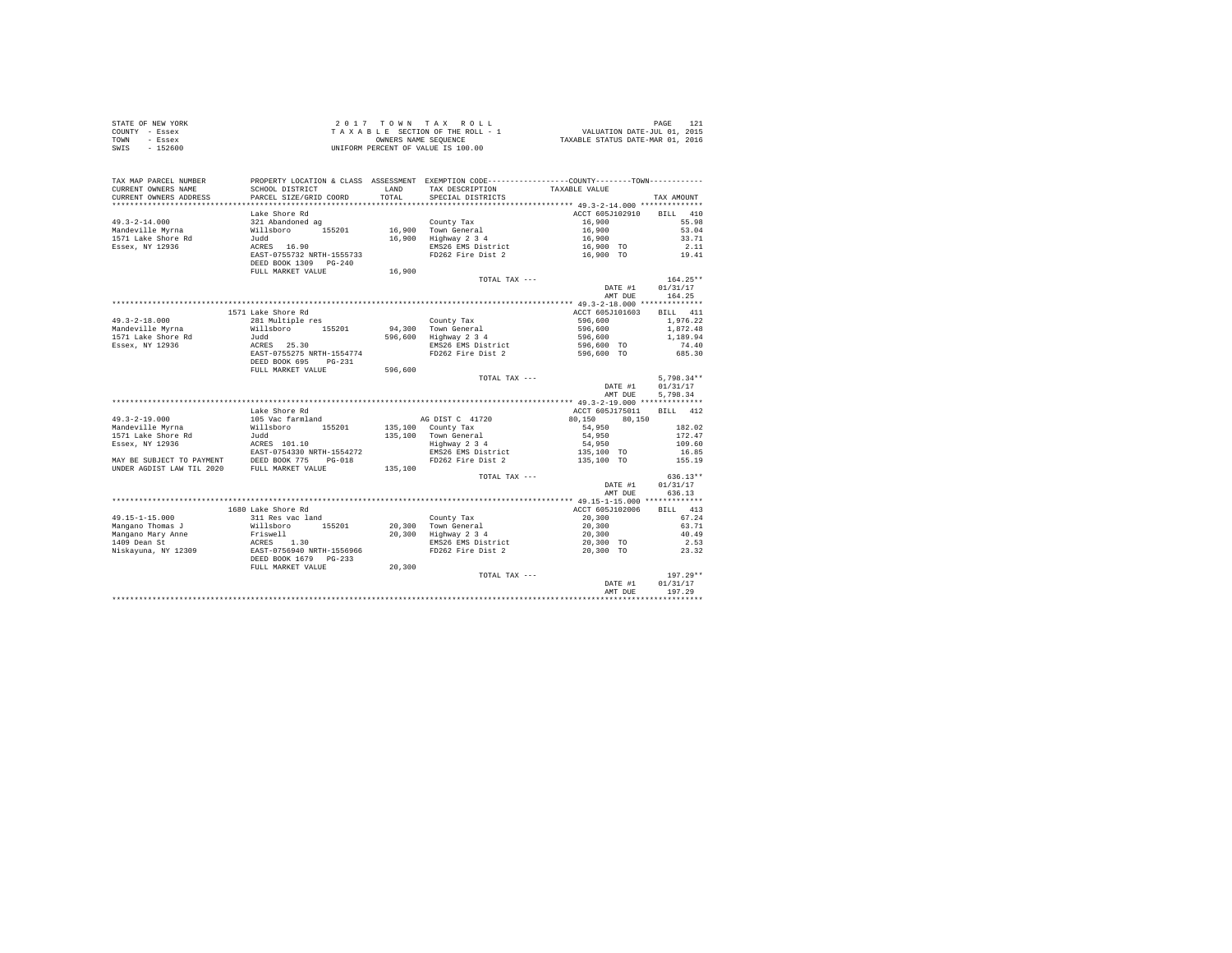| STATE OF NEW YORK | 2017 TOWN TAX ROLL                 | PAGE                             |
|-------------------|------------------------------------|----------------------------------|
| COUNTY - Essex    | TAXABLE SECTION OF THE ROLL - 1    | VALUATION DATE-JUL 01, 2015      |
| TOWN<br>- Essex   | OWNERS NAME SEOUENCE               | TAXABLE STATUS DATE-MAR 01, 2016 |
| SWIS<br>$-152600$ | UNIFORM PERCENT OF VALUE IS 100.00 |                                  |

| TAX MAP PARCEL NUMBER<br>CURRENT OWNERS NAME<br>CURRENT OWNERS ADDRESS                                                     | SCHOOL DISTRICT<br>PARCEL SIZE/GRID COORD                                                           | LAND<br>TOTAL | PROPERTY LOCATION & CLASS ASSESSMENT EXEMPTION CODE----------------COUNTY-------TOWN----------<br>TAX DESCRIPTION<br>SPECIAL DISTRICTS | TAXABLE VALUE                                              |                                                       |
|----------------------------------------------------------------------------------------------------------------------------|-----------------------------------------------------------------------------------------------------|---------------|----------------------------------------------------------------------------------------------------------------------------------------|------------------------------------------------------------|-------------------------------------------------------|
|                                                                                                                            |                                                                                                     |               |                                                                                                                                        |                                                            | TAX AMOUNT                                            |
| $49.3 - 2 - 14.000$<br>Mandeville Mvrna<br>1571 Lake Shore Rd<br>Essex, NY 12936                                           | Lake Shore Rd<br>321 Abandoned ag<br>Willsboro<br>155201<br>Judd<br>ACRES 16.90                     | 16,900        | County Tax<br>16,900 Town General<br>Highway 2 3 4<br>EMS26 EMS District                                                               | ACCT 605J102910<br>16,900<br>16,900<br>16,900<br>16,900 TO | 410<br><b>BILL</b><br>55.98<br>53.04<br>33.71<br>2.11 |
|                                                                                                                            | EAST-0755732 NRTH-1555733<br>DEED BOOK 1309 PG-240<br>FULL MARKET VALUE                             | 16,900        | FD262 Fire Dist 2                                                                                                                      | 16,900 TO                                                  | 19.41                                                 |
|                                                                                                                            |                                                                                                     |               | TOTAL TAX ---                                                                                                                          | DATE #1<br>AMT DUE                                         | $164.25**$<br>01/31/17<br>164.25                      |
|                                                                                                                            | 1571 Lake Shore Rd                                                                                  |               |                                                                                                                                        | ACCT 605J101603                                            | BILL 411                                              |
| $49.3 - 2 - 18.000$<br>Mandeville Myrna<br>1571 Lake Shore Rd<br>Essex, NY 12936                                           | 281 Multiple res<br>Willsboro<br>155201<br>Judd<br>ACRES 25.30<br>EAST-0755275 NRTH-1554774         | 596,600       | County Tax<br>94.300 Town General<br>Highway 2 3 4<br>EMS26 EMS District<br>FD262 Fire Dist 2                                          | 596,600<br>596,600<br>596,600<br>596,600 TO<br>596,600 TO  | 1,976.22<br>1,872.48<br>1,189.94<br>74.40<br>685.30   |
|                                                                                                                            | DEED BOOK 695<br>$PG-231$<br>FULL MARKET VALUE                                                      | 596,600       | TOTAL TAX ---                                                                                                                          |                                                            | $5.798.34**$                                          |
|                                                                                                                            |                                                                                                     |               |                                                                                                                                        | DATE #1<br>AMT DUE                                         | 01/31/17<br>5,798.34                                  |
|                                                                                                                            | Lake Shore Rd                                                                                       |               |                                                                                                                                        | ACCT 605J175011                                            | BILL 412                                              |
| $49.3 - 2 - 19.000$                                                                                                        | 105 Vac farmland                                                                                    |               | AG DIST C 41720                                                                                                                        | 80.150<br>80,150                                           |                                                       |
| Mandeville Myrna                                                                                                           | Willsboro<br>155201                                                                                 |               | 135,100 County Tax                                                                                                                     | 54,950                                                     | 182.02                                                |
| 1571 Lake Shore Rd                                                                                                         | Judd                                                                                                |               | 135,100 Town General                                                                                                                   | 54,950                                                     | 172.47                                                |
| Essex, NY 12936                                                                                                            | ACRES 101.10                                                                                        |               | Highway 2 3 4                                                                                                                          | 54,950                                                     | 109.60                                                |
| EAST-0754330 NRTH-1554272<br>MAY BE SUBJECT TO PAYMENT DEED BOOK 775 PG-018<br>UNDER AGDIST LAW TIL 2020 FULL MARKET VALUE |                                                                                                     | 135,100       | EMS26 EMS District<br>FD262 Fire Dist 2                                                                                                | 135,100 TO<br>135,100 TO                                   | 16.85<br>155.19                                       |
|                                                                                                                            |                                                                                                     |               | TOTAL TAX ---                                                                                                                          | DATE #1<br>AMT DUE                                         | $636.13**$<br>01/31/17<br>636.13                      |
|                                                                                                                            | 1680 Lake Shore Rd                                                                                  |               |                                                                                                                                        | ACCT 605J102006                                            | BILL 413                                              |
| 49.15-1-15.000                                                                                                             | 311 Res vac land                                                                                    |               | County Tax                                                                                                                             | 20,300                                                     | 67.24                                                 |
| Mangano Thomas J<br>Mangano Mary Anne<br>1409 Dean St<br>Niskayuna, NY 12309                                               | Willsboro<br>155201<br>Friswell<br>ACRES 1.30<br>EAST-0756940 NRTH-1556966<br>DEED BOOK 1679 PG-233 |               | 20,300 Town General<br>20,300 Highway 2 3 4<br>EMS26 EMS District<br>FD262 Fire Dist 2                                                 | 20,300<br>20,300<br>20,300 TO<br>20,300 TO                 | 63.71<br>40.49<br>2.53<br>23.32                       |
|                                                                                                                            | FULL MARKET VALUE                                                                                   | 20,300        | TOTAL TAX ---                                                                                                                          | DATE #1<br>AMT DUE                                         | $197.29**$<br>01/31/17<br>197.29                      |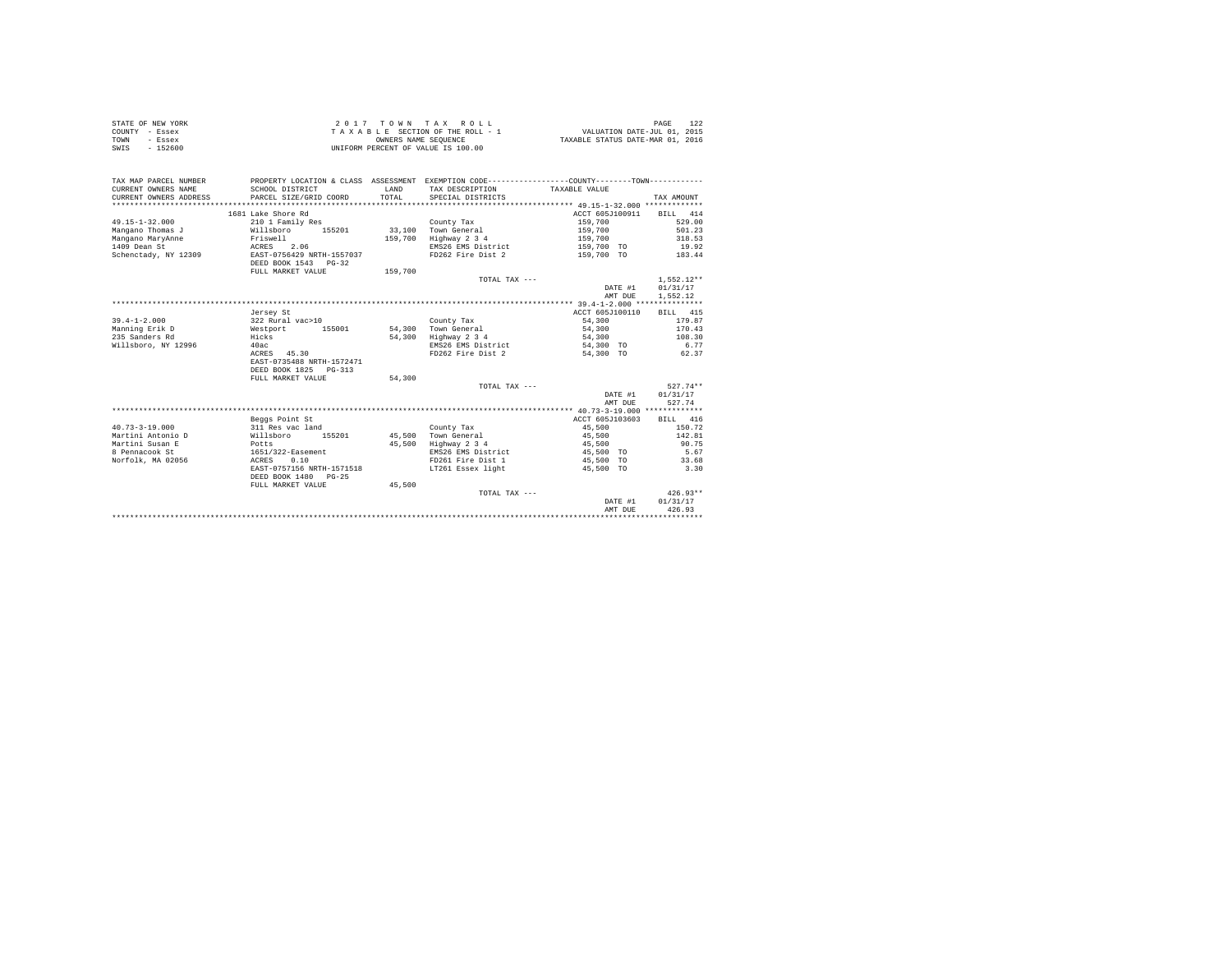| STATE OF NEW YORK | 2017 TOWN TAX ROLL                 | PAGE                             |
|-------------------|------------------------------------|----------------------------------|
| COUNTY - Essex    | TAXABLE SECTION OF THE ROLL - 1    | VALUATION DATE-JUL 01, 2015      |
| TOWN<br>- Essex   | OWNERS NAME SEOUENCE               | TAXABLE STATUS DATE-MAR 01, 2016 |
| SWIS<br>$-152600$ | UNIFORM PERCENT OF VALUE IS 100.00 |                                  |

| TAX MAP PARCEL NUMBER<br>CURRENT OWNERS NAME<br>CURRENT OWNERS ADDRESS | SCHOOL DISTRICT<br>PARCEL SIZE/GRID COORD | <b>T.AND</b><br>TOTAL | PROPERTY LOCATION & CLASS ASSESSMENT EXEMPTION CODE---------------COUNTY-------TOWN---------<br>TAX DESCRIPTION<br>SPECIAL DISTRICTS | TAXABLE VALUE       | TAX AMOUNT       |
|------------------------------------------------------------------------|-------------------------------------------|-----------------------|--------------------------------------------------------------------------------------------------------------------------------------|---------------------|------------------|
|                                                                        | 1681 Lake Shore Rd                        |                       |                                                                                                                                      | ACCT 605J100911     | BILL 414         |
| $49.15 - 1 - 32.000$                                                   | 210 1 Family Res                          |                       | County Tax                                                                                                                           | 159,700             | 529.00           |
| Mangano Thomas J                                                       | Willsboro<br>155201                       |                       | 33,100 Town General                                                                                                                  | 159,700             | 501.23           |
| Mangano MaryAnne                                                       | Friswell                                  | 159,700               | Highway 2 3 4                                                                                                                        | 159,700             | 318.53           |
| 1409 Dean St                                                           | 2.06<br>ACRES                             |                       | EMS26 EMS District                                                                                                                   | 159,700 TO          | 19.92            |
| Schenctady, NY 12309                                                   | EAST-0756429 NRTH-1557037                 |                       | FD262 Fire Dist 2                                                                                                                    | 159,700 TO          | 183.44           |
|                                                                        | DEED BOOK 1543 PG-32                      |                       |                                                                                                                                      |                     |                  |
|                                                                        | FULL MARKET VALUE                         | 159,700               |                                                                                                                                      |                     |                  |
|                                                                        |                                           |                       | TOTAL TAX $---$                                                                                                                      |                     | $1.552.12**$     |
|                                                                        |                                           |                       |                                                                                                                                      | DATE #1             | 01/31/17         |
|                                                                        |                                           |                       |                                                                                                                                      | AMT DUE             | 1,552.12         |
|                                                                        |                                           |                       |                                                                                                                                      |                     |                  |
|                                                                        | Jersey St                                 |                       |                                                                                                                                      | ACCT 605J100110     | BILL 415         |
| $39.4 - 1 - 2.000$                                                     | 322 Rural vac>10                          |                       | County Tax                                                                                                                           | 54,300              | 179.87           |
| Manning Erik D                                                         | Westport<br>155001                        | 54,300                | Town General                                                                                                                         | 54,300              | 170.43           |
| 235 Sanders Rd                                                         | Hicks                                     | 54,300                | Highway 2 3 4                                                                                                                        | 54,300              | 108.30           |
| Willsboro, NY 12996                                                    | 40ac                                      |                       | EMS26 EMS District                                                                                                                   | 54,300 TO           | 6.77             |
|                                                                        | ACRES 45.30                               |                       | FD262 Fire Dist 2                                                                                                                    | 54,300 TO           | 62.37            |
|                                                                        | EAST-0735488 NRTH-1572471                 |                       |                                                                                                                                      |                     |                  |
|                                                                        | DEED BOOK 1825 PG-313                     |                       |                                                                                                                                      |                     |                  |
|                                                                        | FULL MARKET VALUE                         | 54,300                |                                                                                                                                      |                     |                  |
|                                                                        |                                           |                       | TOTAL TAX ---                                                                                                                        |                     | $527.74**$       |
|                                                                        |                                           |                       |                                                                                                                                      | DATE #1             | 01/31/17         |
|                                                                        |                                           |                       |                                                                                                                                      | AMT DUE             | 527.74           |
|                                                                        |                                           |                       |                                                                                                                                      |                     |                  |
|                                                                        | Beggs Point St                            |                       |                                                                                                                                      | ACCT 605J103603     | BILL 416         |
| $40.73 - 3 - 19.000$<br>Martini Antonio D                              | 311 Res vac land<br>155201                | 45,500                | County Tax<br>Town General                                                                                                           | 45,500              | 150.72<br>142.81 |
|                                                                        | Willsboro                                 |                       |                                                                                                                                      | 45,500              |                  |
| Martini Susan E<br>8 Pennacook St                                      | Potts<br>1651/322-Easement                | 45,500                | Highway 2 3 4<br>EMS26 EMS District                                                                                                  | 45,500<br>45,500 TO | 90.75<br>5.67    |
| Norfolk, MA 02056                                                      | 0.10<br>ACRES                             |                       | FD261 Fire Dist 1                                                                                                                    | 45,500 TO           | 33.68            |
|                                                                        | EAST-0757156 NRTH-1571518                 |                       | LT261 Essex light                                                                                                                    | 45,500 TO           | 3.30             |
|                                                                        | DEED BOOK 1480 PG-25                      |                       |                                                                                                                                      |                     |                  |
|                                                                        | FULL MARKET VALUE                         | 45,500                |                                                                                                                                      |                     |                  |
|                                                                        |                                           |                       | TOTAL TAX ---                                                                                                                        |                     | $426.93**$       |
|                                                                        |                                           |                       |                                                                                                                                      | DATE #1             | 01/31/17         |
|                                                                        |                                           |                       |                                                                                                                                      | AMT DUE             | 426.93           |
|                                                                        |                                           |                       |                                                                                                                                      |                     |                  |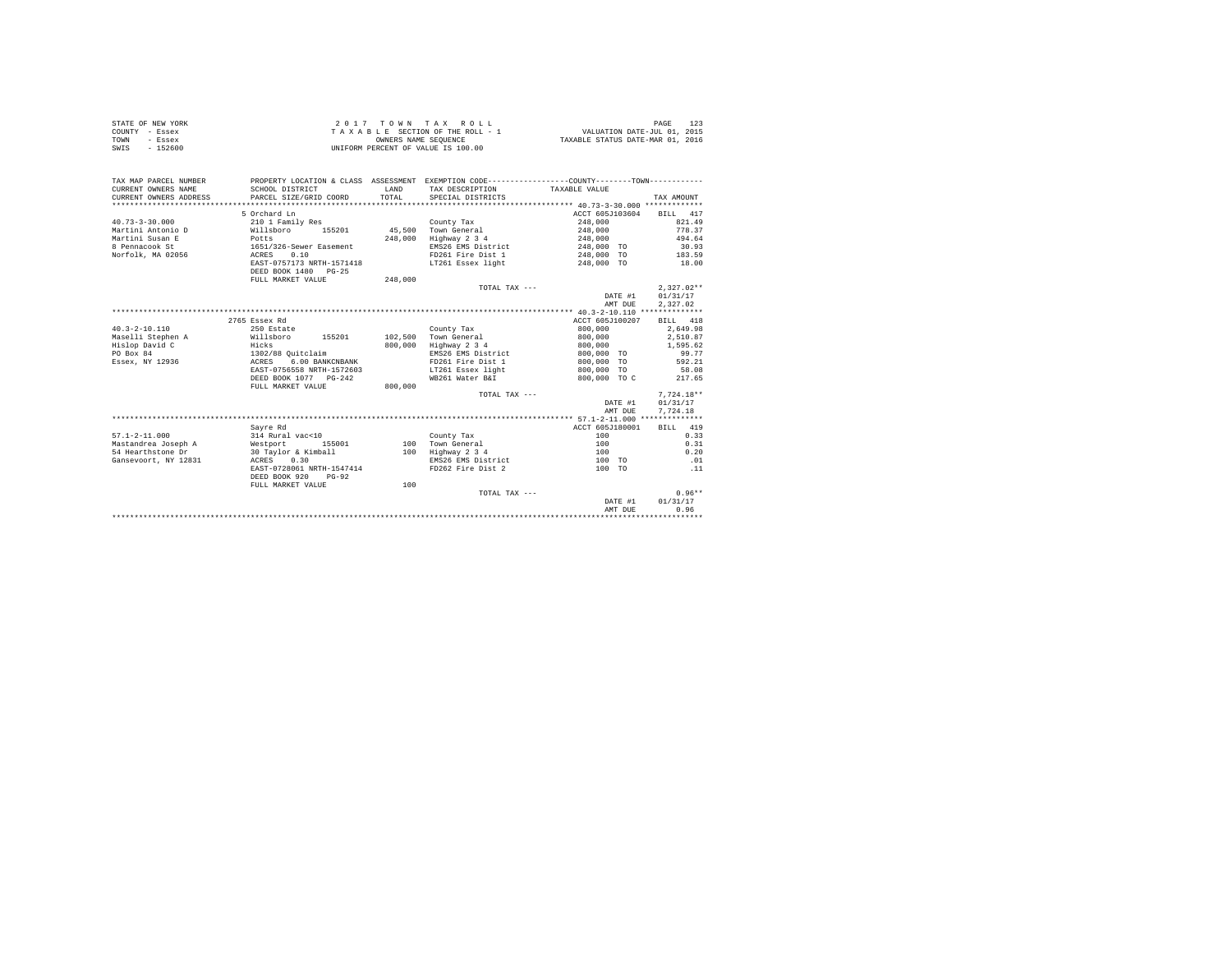| STATE OF NEW YORK | 2017 TOWN TAX ROLL                 | PAGE                             |
|-------------------|------------------------------------|----------------------------------|
| COUNTY - Essex    | TAXABLE SECTION OF THE ROLL - 1    | VALUATION DATE-JUL 01, 2015      |
| TOWN<br>- Essex   | OWNERS NAME SEOUENCE               | TAXABLE STATUS DATE-MAR 01, 2016 |
| - 152600<br>SWIS  | UNIFORM PERCENT OF VALUE IS 100.00 |                                  |

| TAX MAP PARCEL NUMBER<br>CURRENT OWNERS NAME<br>CURRENT OWNERS ADDRESS<br>*************************** | SCHOOL DISTRICT<br>PARCEL SIZE/GRID COORD             | LAND<br>TOTAL | PROPERTY LOCATION & CLASS ASSESSMENT EXEMPTION CODE----------------COUNTY-------TOWN----------<br>TAX DESCRIPTION<br>SPECIAL DISTRICTS | TAXABLE VALUE   | TAX AMOUNT   |
|-------------------------------------------------------------------------------------------------------|-------------------------------------------------------|---------------|----------------------------------------------------------------------------------------------------------------------------------------|-----------------|--------------|
|                                                                                                       | 5 Orchard Ln                                          |               |                                                                                                                                        | ACCT 605J103604 | BILL 417     |
| $40.73 - 3 - 30.000$                                                                                  | 210 1 Family Res                                      |               | County Tax                                                                                                                             | 248,000         | 821.49       |
| Martini Antonio D                                                                                     | Willsboro<br>155201                                   | 45,500        | Town General                                                                                                                           | 248,000         | 778.37       |
| Martini Susan E                                                                                       | Potts                                                 | 248,000       | Highway 2 3 4                                                                                                                          | 248,000         | 494.64       |
| 8 Pennacook St                                                                                        | 1651/326-Sewer Easement                               |               | EMS26 EMS District                                                                                                                     | 248,000 TO      | 30.93        |
| Norfolk, MA 02056                                                                                     | 0.10<br>ACRES                                         |               | FD261 Fire Dist 1                                                                                                                      | 248,000 TO      | 183.59       |
|                                                                                                       | EAST-0757173 NRTH-1571418                             |               | LT261 Essex light                                                                                                                      | 248,000 TO      | 18.00        |
|                                                                                                       | DEED BOOK 1480 PG-25                                  |               |                                                                                                                                        |                 |              |
|                                                                                                       | FULL MARKET VALUE                                     | 248,000       |                                                                                                                                        |                 |              |
|                                                                                                       |                                                       |               | TOTAL TAX ---                                                                                                                          |                 | $2.327.02**$ |
|                                                                                                       |                                                       |               |                                                                                                                                        | DATE #1         | 01/31/17     |
|                                                                                                       |                                                       |               |                                                                                                                                        | AMT DUE         | 2.327.02     |
|                                                                                                       |                                                       |               |                                                                                                                                        |                 |              |
|                                                                                                       | 2765 Essex Rd                                         |               |                                                                                                                                        | ACCT 605J100207 | BILL 418     |
| $40.3 - 2 - 10.110$                                                                                   | 250 Estate                                            |               | County Tax                                                                                                                             | 800,000         | 2.649.98     |
| Maselli Stephen A                                                                                     | Willsboro<br>155201                                   | 102,500       | Town General                                                                                                                           | 800,000         | 2,510.87     |
| Hislop David C                                                                                        | Hicks                                                 | 800,000       | Highway 2 3 4                                                                                                                          | 800,000         | 1,595.62     |
| PO Box 84                                                                                             | 1302/88 Ouitclaim                                     |               | EMS26 EMS District                                                                                                                     | 800,000 TO      | 99.77        |
| Essex, NY 12936                                                                                       | 6.00 BANKCNBANK<br>ACRES                              |               | FD261 Fire Dist 1                                                                                                                      | 800,000 TO      | 592.21       |
|                                                                                                       | EAST-0756558 NRTH-1572603                             |               | LT261 Essex light                                                                                                                      | 800,000 TO      | 58.08        |
|                                                                                                       | DEED BOOK 1077 PG-242                                 |               | WB261 Water B&I                                                                                                                        | 800,000 TO C    | 217.65       |
|                                                                                                       | FULL MARKET VALUE                                     | 800,000       |                                                                                                                                        |                 |              |
|                                                                                                       |                                                       |               | TOTAL TAX ---                                                                                                                          |                 | $7.724.18**$ |
|                                                                                                       |                                                       |               |                                                                                                                                        | DATE #1         | 01/31/17     |
|                                                                                                       |                                                       |               |                                                                                                                                        | AMT DUE         | 7,724.18     |
|                                                                                                       |                                                       |               |                                                                                                                                        |                 |              |
|                                                                                                       | Sayre Rd                                              |               |                                                                                                                                        | ACCT 605J180001 | BILL 419     |
| $57.1 - 2 - 11.000$                                                                                   | 314 Rural vac<10                                      |               | County Tax                                                                                                                             | 100             | 0.33         |
| Mastandrea Joseph A                                                                                   | Westport<br>155001                                    | 100           | Town General                                                                                                                           | 100             | 0.31         |
| 54 Hearthstone Dr                                                                                     | 30 Taylor & Kimball                                   | 100           | Highway 2 3 4                                                                                                                          | 100             | 0.20         |
| Gansevoort, NY 12831                                                                                  | ACRES<br>0.30                                         |               | EMS26 EMS District                                                                                                                     | 100 TO          | .01          |
|                                                                                                       | EAST-0728061 NRTH-1547414<br>DEED BOOK 920<br>$PG-92$ |               | FD262 Fire Dist 2                                                                                                                      | 100 TO          | .11          |
|                                                                                                       | FULL MARKET VALUE                                     | 100           |                                                                                                                                        |                 |              |
|                                                                                                       |                                                       |               | TOTAL TAX ---                                                                                                                          |                 | $0.96**$     |
|                                                                                                       |                                                       |               |                                                                                                                                        | DATE #1         | 01/31/17     |
|                                                                                                       |                                                       |               |                                                                                                                                        | AMT DUE         | 0.96         |
|                                                                                                       |                                                       |               |                                                                                                                                        |                 |              |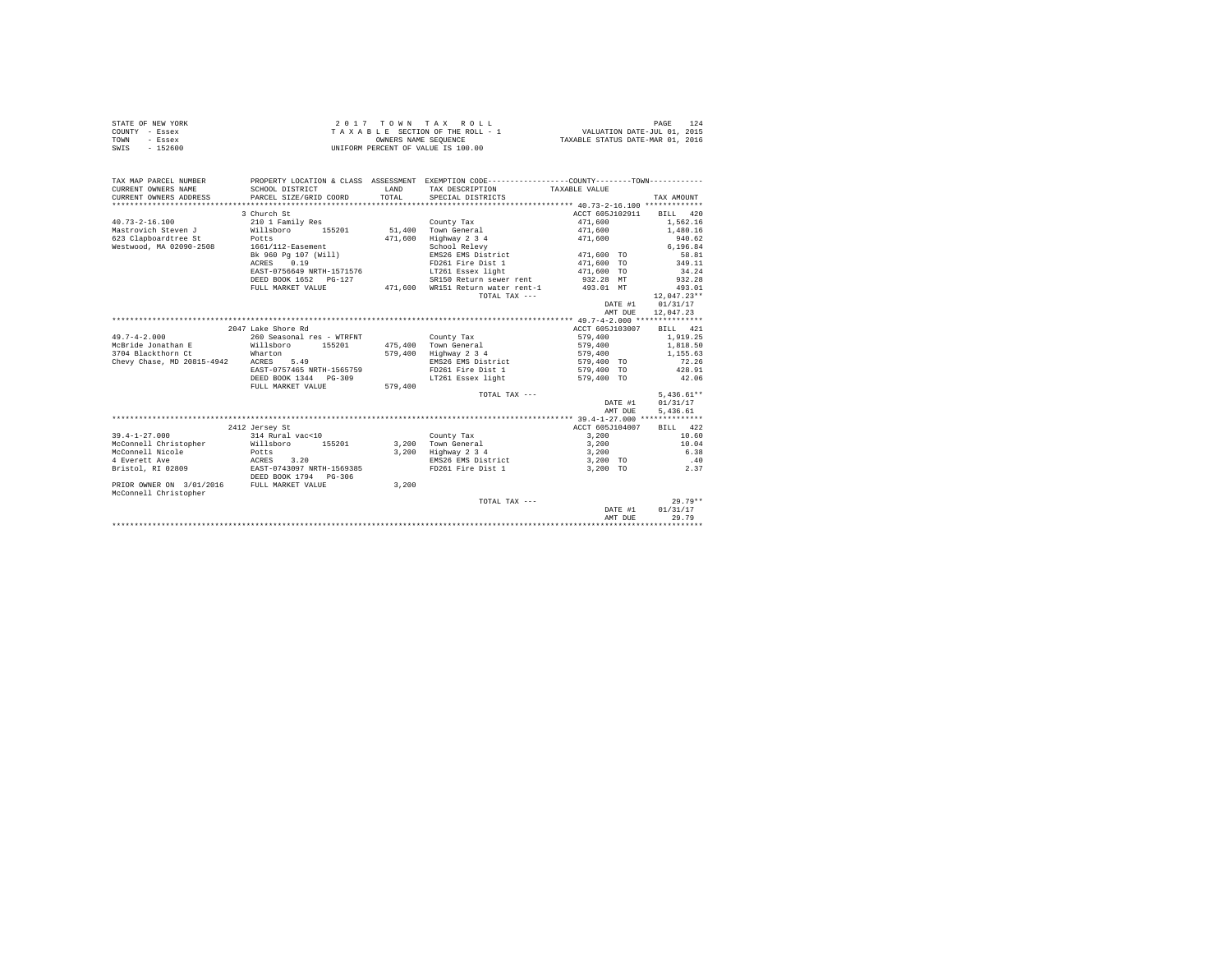| STATE OF NEW YORK | 2017 TOWN TAX ROLL                 | PAGE                             |
|-------------------|------------------------------------|----------------------------------|
| COUNTY - Essex    | TAXABLE SECTION OF THE ROLL - 1    | VALUATION DATE-JUL 01, 2015      |
| TOWN<br>- Essex   | OWNERS NAME SEOUENCE               | TAXABLE STATUS DATE-MAR 01, 2016 |
| - 152600<br>SWIS  | UNIFORM PERCENT OF VALUE IS 100.00 |                                  |

| TAX MAP PARCEL NUMBER                      | PROPERTY LOCATION & CLASS ASSESSMENT EXEMPTION CODE----------------COUNTY--------TOWN---------- |              |                                             |                          |               |
|--------------------------------------------|-------------------------------------------------------------------------------------------------|--------------|---------------------------------------------|--------------------------|---------------|
| CURRENT OWNERS NAME                        | SCHOOL DISTRICT                                                                                 | <b>T.AND</b> | TAX DESCRIPTION                             | TAXABLE VALUE            |               |
| CURRENT OWNERS ADDRESS                     | PARCEL SIZE/GRID COORD                                                                          | TOTAL        | SPECIAL DISTRICTS                           |                          | TAX AMOUNT    |
|                                            |                                                                                                 |              |                                             |                          |               |
|                                            | 3 Church St                                                                                     |              |                                             | ACCT 605J102911 BILL 420 |               |
| $40.73 - 2 - 16.100$                       | 210 1 Family Res                                                                                |              | County Tax                                  | 471,600                  | 1.562.16      |
| Mastrovich Steven J Willsboro              | 155201                                                                                          |              | 51.400 Town General                         | 471,600 1,480.16         |               |
| 623 Clapboardtree St<br>Potts              |                                                                                                 | 471.600      | Highway 2 3 4                               | 471,600                  | 940.62        |
| Westwood, MA 02090-2508                    | 1661/112-Easement                                                                               |              | School Relevy                               |                          | 6.196.84      |
|                                            | Bk 960 Pg 107 (Will)                                                                            |              | EMS26 EMS District 471.600 TO               |                          | 58.81         |
|                                            | ACRES 0.19                                                                                      |              | FD261 Fire Dist 1                           | 471,600 TO               | 349.11        |
|                                            | EAST-0756649 NRTH-1571576                                                                       |              | LT261 Essex light                           | $471,600$ TO             | 34.24         |
|                                            | DEED BOOK 1652 PG-127                                                                           |              | SR150 Return sewer rent                     | 932.28 MT                | 932.28        |
|                                            | FULL MARKET VALUE                                                                               |              | 471,600 WR151 Return water rent-1 493.01 MT |                          | 493.01        |
|                                            |                                                                                                 |              | TOTAL TAX ---                               |                          | $12.047.23**$ |
|                                            |                                                                                                 |              |                                             | DATE #1                  | 01/31/17      |
|                                            |                                                                                                 |              |                                             | AMT DUE                  | 12,047.23     |
|                                            |                                                                                                 |              |                                             |                          |               |
|                                            | 2047 Lake Shore Rd                                                                              |              |                                             | ACCT 605J103007          | BILL 421      |
| $49.7 - 4 - 2.000$                         | 260 Seasonal res - WTRFNT                                                                       |              | County Tax                                  |                          | 1,919.25      |
| McBride Jonathan E                         | Willsboro 155201                                                                                |              | 475,400 Town General                        | 579,400<br>579,400       | 1,818.50      |
| 3704 Blackthorn Ct                         | Wharton                                                                                         | 579,400      | Highway 2 3 4                               | 579,400                  | 1,155.63      |
| Chevy Chase, MD 20815-4942                 | ACRES 5.49                                                                                      |              | EMS26 EMS District                          | 579,400 TO               | 72.26         |
|                                            | EAST-0757465 NRTH-1565759                                                                       |              | FD261 Fire Dist 1                           | 579,400 TO               | 428.91        |
|                                            | DEED BOOK 1344 PG-309                                                                           |              | LT261 Essex light                           | 579,400 TO               | 42.06         |
|                                            | FULL MARKET VALUE                                                                               | 579,400      |                                             |                          |               |
|                                            |                                                                                                 |              | TOTAL TAX ---                               |                          | $5.436.61**$  |
|                                            |                                                                                                 |              |                                             | DATE #1                  | 01/31/17      |
|                                            |                                                                                                 |              |                                             | AMT DUE                  | 5,436.61      |
|                                            |                                                                                                 |              |                                             |                          |               |
|                                            | 2412 Jersey St                                                                                  |              |                                             | ACCT 605J104007          | BILL 422      |
| $39.4 - 1 - 27.000$                        | 314 Rural vac<10                                                                                |              | County Tax                                  | 3,200                    | 10.60         |
| McConnell Christopher                      | Willsboro 155201                                                                                |              | 3.200 Town General                          | 3,200                    | 10.04         |
| McConnell Nicole                           | Potts                                                                                           |              | 3,200 Highway 2 3 4                         | 3,200                    | 6.38          |
| 4 Everett Ave                              | ACRES 3.20<br>EAST-0743097 NRTH-1569385                                                         |              | EMS26 EMS District                          | 3,200 TO                 | .40           |
| Bristol, RI 02809                          |                                                                                                 |              | FD261 Fire Dist 1                           | 3,200 TO                 | 2.37          |
|                                            | DEED BOOK 1794 PG-306                                                                           |              |                                             |                          |               |
| PRIOR OWNER ON 3/01/2016 FULL MARKET VALUE |                                                                                                 | 3,200        |                                             |                          |               |
| McConnell Christopher                      |                                                                                                 |              |                                             |                          |               |
|                                            |                                                                                                 |              | TOTAL TAX ---                               |                          | $29.79**$     |
|                                            |                                                                                                 |              |                                             | DATE #1                  | 01/31/17      |
|                                            |                                                                                                 |              |                                             | AMT DUE                  | 29.79         |
|                                            |                                                                                                 |              |                                             |                          |               |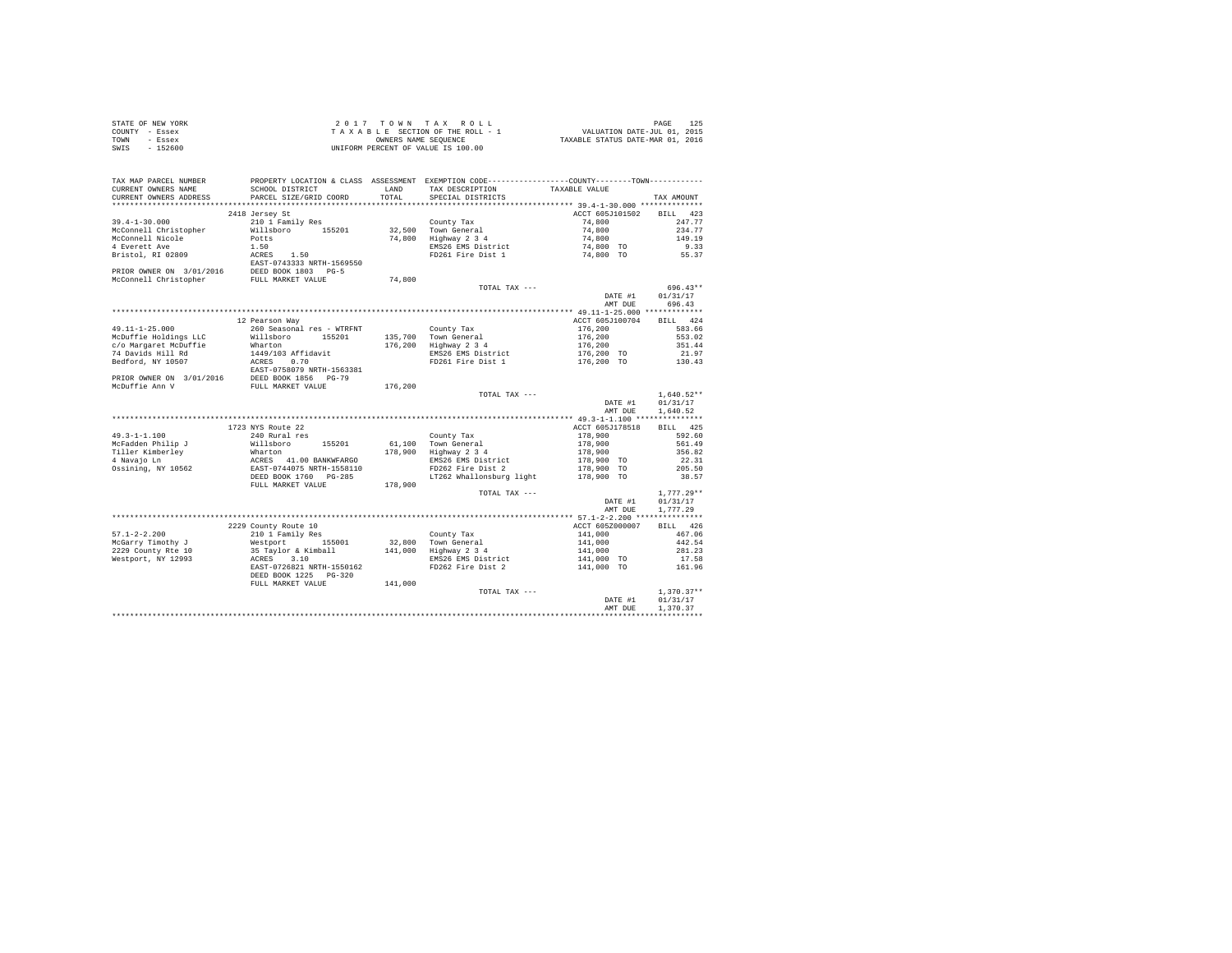| STATE OF NEW YORK | 2017 TOWN TAX ROLL                 | PAGE                             |
|-------------------|------------------------------------|----------------------------------|
| COUNTY - Essex    | TAXABLE SECTION OF THE ROLL - 1    | VALUATION DATE-JUL 01, 2015      |
| TOWN<br>- Essex   | OWNERS NAME SEOUENCE               | TAXABLE STATUS DATE-MAR 01, 2016 |
| $-152600$<br>SWIS | UNIFORM PERCENT OF VALUE IS 100.00 |                                  |

| TAX MAP PARCEL NUMBER<br>CURRENT OWNERS NAME | SCHOOL DISTRICT                                                                                                                                                                                                                                                                                                                                                                                                                  | LAND  | PROPERTY LOCATION & CLASS ASSESSMENT EXEMPTION CODE-----------------COUNTY--------TOWN----------<br>TAX DESCRIPTION | TAXABLE VALUE            |                  |
|----------------------------------------------|----------------------------------------------------------------------------------------------------------------------------------------------------------------------------------------------------------------------------------------------------------------------------------------------------------------------------------------------------------------------------------------------------------------------------------|-------|---------------------------------------------------------------------------------------------------------------------|--------------------------|------------------|
| CURRENT OWNERS ADDRESS                       | PARCEL SIZE/GRID COORD                                                                                                                                                                                                                                                                                                                                                                                                           | TOTAL | SPECIAL DISTRICTS                                                                                                   |                          | TAX AMOUNT       |
|                                              |                                                                                                                                                                                                                                                                                                                                                                                                                                  |       |                                                                                                                     |                          |                  |
|                                              | 2418 Jersey St                                                                                                                                                                                                                                                                                                                                                                                                                   |       |                                                                                                                     | ACCT 605J101502 BILL 423 |                  |
|                                              |                                                                                                                                                                                                                                                                                                                                                                                                                                  |       |                                                                                                                     |                          |                  |
|                                              |                                                                                                                                                                                                                                                                                                                                                                                                                                  |       |                                                                                                                     |                          |                  |
|                                              |                                                                                                                                                                                                                                                                                                                                                                                                                                  |       |                                                                                                                     |                          |                  |
|                                              |                                                                                                                                                                                                                                                                                                                                                                                                                                  |       |                                                                                                                     |                          |                  |
|                                              |                                                                                                                                                                                                                                                                                                                                                                                                                                  |       |                                                                                                                     |                          |                  |
|                                              |                                                                                                                                                                                                                                                                                                                                                                                                                                  |       |                                                                                                                     |                          |                  |
|                                              |                                                                                                                                                                                                                                                                                                                                                                                                                                  |       |                                                                                                                     |                          |                  |
|                                              |                                                                                                                                                                                                                                                                                                                                                                                                                                  |       | TOTAL TAX ---                                                                                                       |                          | 696.43**         |
|                                              |                                                                                                                                                                                                                                                                                                                                                                                                                                  |       |                                                                                                                     | DATE #1                  | 01/31/17         |
|                                              |                                                                                                                                                                                                                                                                                                                                                                                                                                  |       |                                                                                                                     | AMT DUE                  | 696.43           |
|                                              |                                                                                                                                                                                                                                                                                                                                                                                                                                  |       |                                                                                                                     | ACCT 605J100704 BILL 424 |                  |
|                                              | 12 Pearson Way                                                                                                                                                                                                                                                                                                                                                                                                                   |       |                                                                                                                     |                          |                  |
|                                              |                                                                                                                                                                                                                                                                                                                                                                                                                                  |       |                                                                                                                     |                          |                  |
|                                              |                                                                                                                                                                                                                                                                                                                                                                                                                                  |       |                                                                                                                     |                          |                  |
|                                              |                                                                                                                                                                                                                                                                                                                                                                                                                                  |       |                                                                                                                     |                          |                  |
|                                              |                                                                                                                                                                                                                                                                                                                                                                                                                                  |       |                                                                                                                     |                          |                  |
|                                              |                                                                                                                                                                                                                                                                                                                                                                                                                                  |       |                                                                                                                     |                          |                  |
|                                              |                                                                                                                                                                                                                                                                                                                                                                                                                                  |       |                                                                                                                     |                          |                  |
|                                              |                                                                                                                                                                                                                                                                                                                                                                                                                                  |       |                                                                                                                     |                          |                  |
|                                              |                                                                                                                                                                                                                                                                                                                                                                                                                                  |       | TOTAL TAX ---                                                                                                       |                          | $1,640.52**$     |
|                                              |                                                                                                                                                                                                                                                                                                                                                                                                                                  |       |                                                                                                                     |                          | DATE #1 01/31/17 |
|                                              |                                                                                                                                                                                                                                                                                                                                                                                                                                  |       |                                                                                                                     | AMT DUE                  | 1,640.52         |
|                                              |                                                                                                                                                                                                                                                                                                                                                                                                                                  |       |                                                                                                                     |                          |                  |
|                                              | 1723 NYS Route 22                                                                                                                                                                                                                                                                                                                                                                                                                |       |                                                                                                                     | ACCT 605J178518 BILL 425 |                  |
|                                              |                                                                                                                                                                                                                                                                                                                                                                                                                                  |       |                                                                                                                     |                          |                  |
|                                              |                                                                                                                                                                                                                                                                                                                                                                                                                                  |       |                                                                                                                     |                          |                  |
|                                              |                                                                                                                                                                                                                                                                                                                                                                                                                                  |       |                                                                                                                     |                          |                  |
|                                              |                                                                                                                                                                                                                                                                                                                                                                                                                                  |       |                                                                                                                     |                          |                  |
|                                              |                                                                                                                                                                                                                                                                                                                                                                                                                                  |       |                                                                                                                     |                          |                  |
|                                              |                                                                                                                                                                                                                                                                                                                                                                                                                                  |       |                                                                                                                     |                          |                  |
|                                              |                                                                                                                                                                                                                                                                                                                                                                                                                                  |       |                                                                                                                     |                          |                  |
|                                              |                                                                                                                                                                                                                                                                                                                                                                                                                                  |       | TOTAL TAX ---                                                                                                       |                          | $1,777.29**$     |
|                                              |                                                                                                                                                                                                                                                                                                                                                                                                                                  |       |                                                                                                                     | DATE #1                  | 01/31/17         |
|                                              |                                                                                                                                                                                                                                                                                                                                                                                                                                  |       |                                                                                                                     | AMT DUE                  | 1,777.29         |
|                                              |                                                                                                                                                                                                                                                                                                                                                                                                                                  |       |                                                                                                                     |                          |                  |
|                                              |                                                                                                                                                                                                                                                                                                                                                                                                                                  |       |                                                                                                                     |                          | BILL 426         |
|                                              |                                                                                                                                                                                                                                                                                                                                                                                                                                  |       |                                                                                                                     |                          | 467.06           |
|                                              |                                                                                                                                                                                                                                                                                                                                                                                                                                  |       |                                                                                                                     |                          | 442.54           |
|                                              |                                                                                                                                                                                                                                                                                                                                                                                                                                  |       |                                                                                                                     |                          | 281.23           |
|                                              |                                                                                                                                                                                                                                                                                                                                                                                                                                  |       |                                                                                                                     |                          | 17.58            |
|                                              |                                                                                                                                                                                                                                                                                                                                                                                                                                  |       |                                                                                                                     |                          | 161.96           |
|                                              |                                                                                                                                                                                                                                                                                                                                                                                                                                  |       |                                                                                                                     |                          |                  |
|                                              | $\begin{tabular}{lcccc} \textbf{M} & \textbf{M} & \textbf{M} & \textbf{M} & \textbf{M} & \textbf{M} & \textbf{M} & \textbf{M} & \textbf{M} & \textbf{M} & \textbf{M} & \textbf{M} & \textbf{M} & \textbf{M} & \textbf{M} & \textbf{M} & \textbf{M} & \textbf{M} & \textbf{M} & \textbf{M} & \textbf{M} & \textbf{M} & \textbf{M} & \textbf{M} & \textbf{M} & \textbf{M} & \textbf{M} & \textbf{M} & \textbf{M} & \textbf{M} & \$ |       |                                                                                                                     |                          |                  |
|                                              |                                                                                                                                                                                                                                                                                                                                                                                                                                  |       | TOTAL TAX ---                                                                                                       | DATE #1 $01/31/17$       | $1,370.37**$     |
|                                              |                                                                                                                                                                                                                                                                                                                                                                                                                                  |       |                                                                                                                     |                          |                  |
|                                              |                                                                                                                                                                                                                                                                                                                                                                                                                                  |       |                                                                                                                     | AMT DUE                  | 1,370,37         |
|                                              |                                                                                                                                                                                                                                                                                                                                                                                                                                  |       |                                                                                                                     |                          |                  |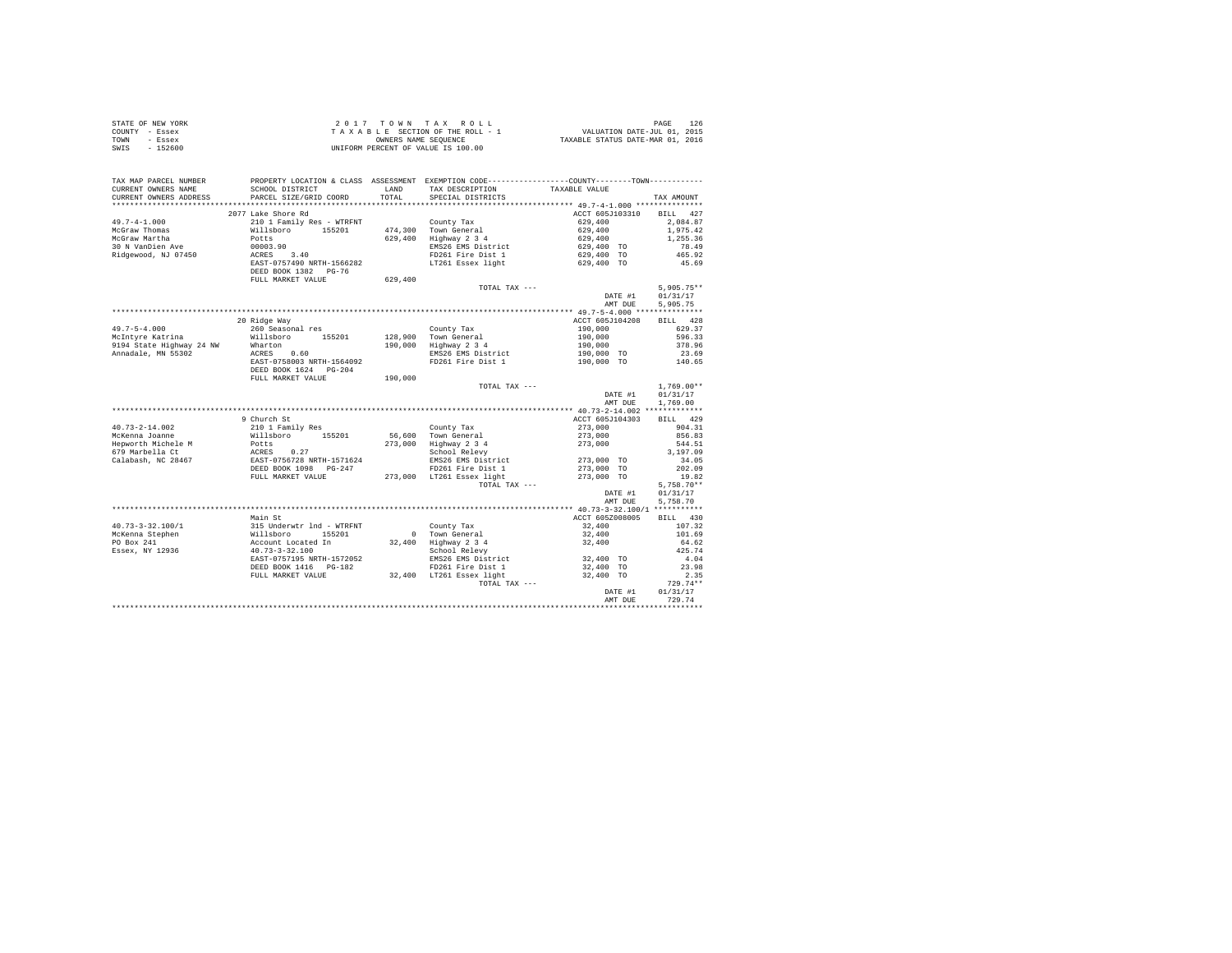| STATE OF NEW YORK | 2017 TOWN TAX ROLL                 | PAGE                             |  |
|-------------------|------------------------------------|----------------------------------|--|
| COUNTY - Essex    | TAXABLE SECTION OF THE ROLL - 1    | VALUATION DATE-JUL 01, 2015      |  |
| TOWN<br>- Essex   | OWNERS NAME SEOUENCE               | TAXABLE STATUS DATE-MAR 01, 2016 |  |
| - 152600<br>SWIS  | UNIFORM PERCENT OF VALUE IS 100.00 |                                  |  |

| TAX MAP PARCEL NUMBER<br>CURRENT OWNERS NAME<br>CURRENT OWNERS ADDRESS | PROPERTY LOCATION & CLASS ASSESSMENT EXEMPTION CODE----------------COUNTY--------TOWN----------<br>SCHOOL DISTRICT<br>PARCEL SIZE/GRID COORD | LAND<br>TOTAL | TAX DESCRIPTION<br>SPECIAL DISTRICTS          | TAXABLE VALUE              | TAX AMOUNT            |
|------------------------------------------------------------------------|----------------------------------------------------------------------------------------------------------------------------------------------|---------------|-----------------------------------------------|----------------------------|-----------------------|
| *******************                                                    | ************************                                                                                                                     |               |                                               |                            |                       |
|                                                                        | 2077 Lake Shore Rd                                                                                                                           |               |                                               |                            | BILL 427              |
| $49.7 - 4 - 1.000$                                                     | 210 1 Family Res - WTRFNT                                                                                                                    |               |                                               | ACCT 605J103310<br>629,400 |                       |
| McGraw Thomas                                                          | Willsboro 155201                                                                                                                             |               | County Tax                                    |                            | 2,084.87              |
| McGraw Martha                                                          | Potts                                                                                                                                        |               | 474,300 Town General                          | 629,400                    | 1,975.42              |
| 30 N VanDien Ave                                                       | 00003.90                                                                                                                                     | 629,400       | Highway 2 3 4<br>EMS26 EMS District           | 629,400                    | 1,255.36<br>78.49     |
|                                                                        | 3.40<br>ACRES                                                                                                                                |               |                                               | 629,400 TO                 |                       |
| Ridgewood, NJ 07450                                                    | EAST-0757490 NRTH-1566282                                                                                                                    |               | FD261 Fire Dist 1                             | 629,400 TO                 | 465.92<br>45.69       |
|                                                                        | DEED BOOK 1382 PG-76                                                                                                                         |               | LT261 Essex light                             | 629,400 TO                 |                       |
|                                                                        | FULL MARKET VALUE                                                                                                                            | 629,400       |                                               |                            |                       |
|                                                                        |                                                                                                                                              |               | TOTAL TAX ---                                 |                            | $5.905.75**$          |
|                                                                        |                                                                                                                                              |               |                                               | DATE #1                    | 01/31/17              |
|                                                                        |                                                                                                                                              |               |                                               | AMT DUE                    | 5,905.75              |
|                                                                        |                                                                                                                                              |               |                                               |                            |                       |
|                                                                        |                                                                                                                                              |               |                                               | ACCT 605J104208            | BILL 428              |
| $49.7 - 5 - 4.000$                                                     | 20 Ridge Way<br>260 Seasonal res                                                                                                             |               |                                               |                            | 629.37                |
| McIntyre Katrina                                                       | Willsboro 155201                                                                                                                             |               | County Tax<br>128,900 Town General            | 190,000<br>190,000         | 596.33                |
|                                                                        |                                                                                                                                              |               | 190,000 Highway 2 3 4                         |                            |                       |
| 9194 State Highway 24 NW<br>Annadale, MN 55302                         | Wharton<br>ACRES 0.60                                                                                                                        |               |                                               | 190,000<br>190,000 TO      | 378.96<br>23.69       |
|                                                                        | EAST-0758003 NRTH-1564092                                                                                                                    |               | EMS26 EMS District<br>FD261 Fire Dist 1       |                            | 140.65                |
|                                                                        | DEED BOOK 1624 PG-204                                                                                                                        |               |                                               | 190,000 TO                 |                       |
|                                                                        | FULL MARKET VALUE                                                                                                                            | 190,000       |                                               |                            |                       |
|                                                                        |                                                                                                                                              |               | TOTAL TAX ---                                 |                            | $1,769.00**$          |
|                                                                        |                                                                                                                                              |               |                                               | DATE #1                    | 01/31/17              |
|                                                                        |                                                                                                                                              |               |                                               | AMT DUE                    | 1,769.00              |
|                                                                        |                                                                                                                                              |               |                                               |                            |                       |
|                                                                        | 9 Church St                                                                                                                                  |               |                                               | ACCT 605J104303            | BILL 429              |
| $40.73 - 2 - 14.002$                                                   | 210 1 Family Res                                                                                                                             |               | County Tax                                    | 273,000                    | 904.31                |
| McKenna Joanne                                                         | Willsboro 155201                                                                                                                             |               | 56,600 Town General                           | 273,000                    | 856.83                |
| Hepworth Michele M                                                     | Potts                                                                                                                                        | 273,000       | Highway 2 3 4                                 | 273,000                    | 544.51                |
| 679 Marbella Ct                                                        | ACRES 0.27<br>EAST-0756728 NRTH-1571624                                                                                                      |               | School Relevy                                 | 273,000 TO                 | 3,197.09              |
| Calabash, NC 28467                                                     |                                                                                                                                              |               | EMS26 EMS District                            |                            | 34.05                 |
|                                                                        | DEED BOOK 1098 PG-247                                                                                                                        |               | FD261 Fire Dist 1                             | 273,000 TO                 | 202.09                |
|                                                                        | FULL MARKET VALUE                                                                                                                            |               | 273,000 LT261 Essex light<br>TOTAL TAX ---    | 273,000 TO                 | 19.82<br>$5.758.70**$ |
|                                                                        |                                                                                                                                              |               |                                               | DATE #1                    | 01/31/17              |
|                                                                        |                                                                                                                                              |               |                                               | AMT DUE                    | 5,758.70              |
|                                                                        |                                                                                                                                              |               |                                               |                            |                       |
|                                                                        |                                                                                                                                              |               |                                               |                            |                       |
|                                                                        | Main St                                                                                                                                      |               |                                               | ACCT 605Z008005            | BILL 430              |
| $40.73 - 3 - 32.100/1$                                                 | 315 Underwtr 1nd - WTRFNT<br>Willsboro 155201<br>Account Located In<br>40.73-3-32.100                                                        |               | County Tax<br>0 Town General                  | 32,400<br>32,400           | 107.32<br>101.69      |
| McKenna Stephen<br>PO Box 241                                          |                                                                                                                                              |               |                                               |                            | 64.62                 |
|                                                                        |                                                                                                                                              |               | 32,400 Highway 2 3 4<br>School Relevy         | 32,400                     | 425.74                |
| Essex, NY 12936                                                        | EAST-0757195 NRTH-1572052                                                                                                                    |               | EMS26 EMS District                            | 32,400 TO                  | 4.04                  |
|                                                                        |                                                                                                                                              |               |                                               |                            |                       |
|                                                                        | DEED BOOK 1416 PG-182<br>FULL MARKET VALUE                                                                                                   |               | FD261 Fire Dist 1<br>32,400 LT261 Essex light | 32,400 TO<br>32,400 TO     | 23.98<br>2.35         |
|                                                                        |                                                                                                                                              |               | TOTAL TAX ---                                 |                            | $729.74**$            |
|                                                                        |                                                                                                                                              |               |                                               |                            |                       |
|                                                                        |                                                                                                                                              |               |                                               | DATE #1<br>AMT DUE         | 01/31/17<br>729.74    |
|                                                                        |                                                                                                                                              |               |                                               |                            |                       |
|                                                                        |                                                                                                                                              |               |                                               |                            |                       |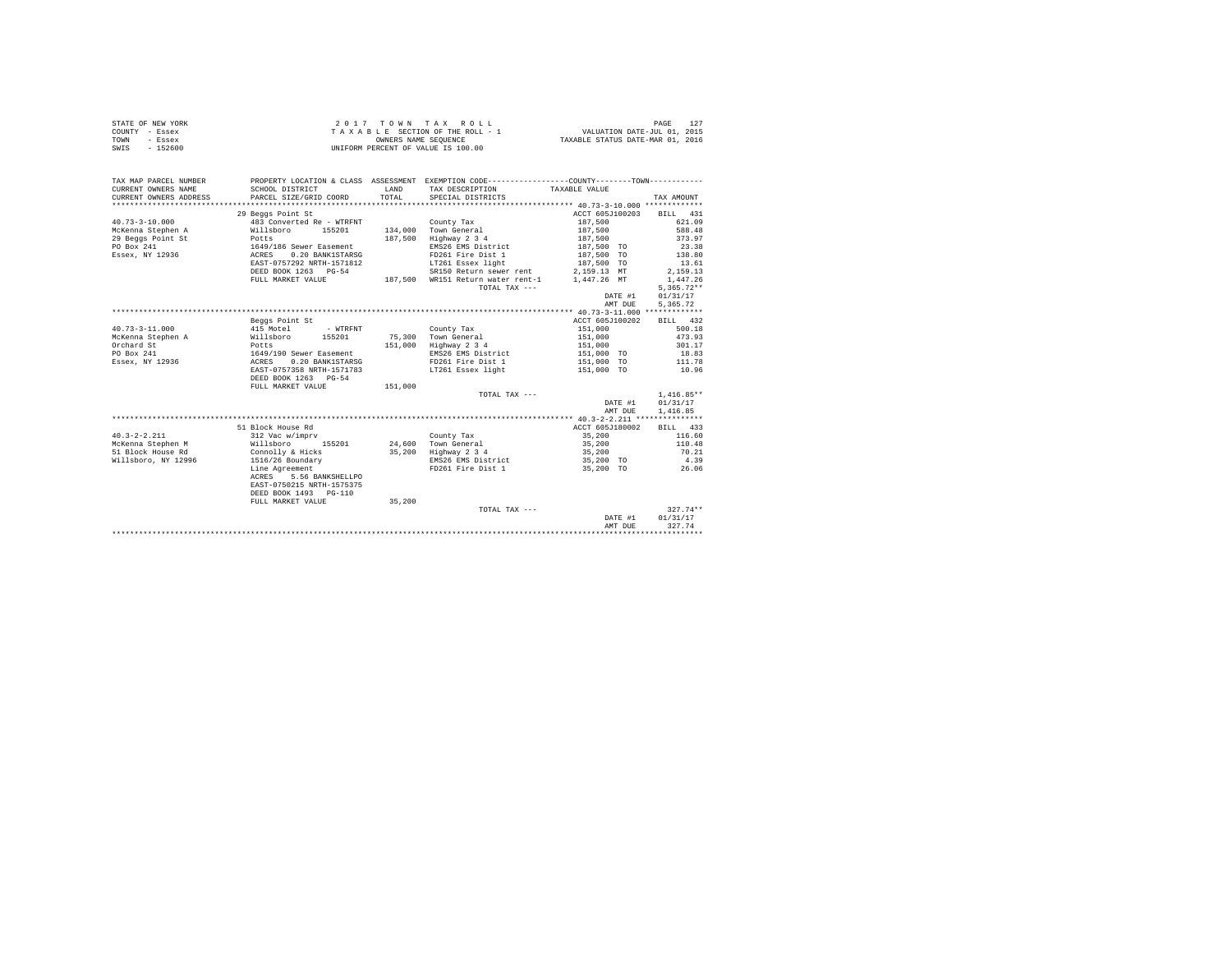| STATE OF NEW YORK<br>COUNTY - Essex<br>TOWN<br>- Essex |                                              | OWNERS NAME SEOUENCE | 2017 TOWN TAX ROLL<br>TAXABLE SECTION OF THE ROLL - 1                                         | VALUATION DATE-JUL 01, 2015<br>TAXABLE STATUS DATE-MAR 01, 2016 | 127<br>PAGE      |
|--------------------------------------------------------|----------------------------------------------|----------------------|-----------------------------------------------------------------------------------------------|-----------------------------------------------------------------|------------------|
| SWIS<br>$-152600$                                      |                                              |                      | UNIFORM PERCENT OF VALUE IS 100.00                                                            |                                                                 |                  |
| TAX MAP PARCEL NUMBER                                  |                                              |                      | PROPERTY LOCATION & CLASS ASSESSMENT EXEMPTION CODE---------------COUNTY-------TOWN---------- |                                                                 |                  |
| CURRENT OWNERS NAME                                    | SCHOOL DISTRICT                              | LAND                 | TAX DESCRIPTION                                                                               | TAXABLE VALUE                                                   |                  |
| CURRENT OWNERS ADDRESS                                 | PARCEL SIZE/GRID COORD                       | TOTAL                | SPECIAL DISTRICTS                                                                             |                                                                 | TAX AMOUNT       |
| **********************                                 |                                              |                      |                                                                                               |                                                                 |                  |
|                                                        | 29 Beggs Point St                            |                      |                                                                                               | ACCT 605J100203                                                 | BILL 431         |
| $40.73 - 3 - 10.000$                                   | 483 Converted Re - WTRFNT                    |                      | County Tax                                                                                    | 187,500                                                         | 621.09           |
| McKenna Stephen A                                      | Willsboro<br>155201                          |                      | 134,000 Town General                                                                          | 187,500                                                         | 588.48           |
| 29 Beggs Point St                                      | Potts                                        | 187.500              | Highway 2 3 4                                                                                 | 187,500                                                         | 373.97           |
| PO Box 241                                             | 1649/186 Sewer Easement                      |                      | EMS26 EMS District                                                                            | 187,500 TO                                                      | 23.38            |
| Essex, NY 12936                                        | ACRES<br>0.20 BANK1STARSG                    |                      | FD261 Fire Dist 1                                                                             | 187,500 TO                                                      | 138.80           |
|                                                        | EAST-0757292 NRTH-1571812                    |                      | LT261 Essex light                                                                             | 187,500 TO                                                      | 13.61            |
|                                                        | DEED BOOK 1263 PG-54                         |                      | SR150 Return sewer rent                                                                       | 2,159.13 MT                                                     | 2,159.13         |
|                                                        | FULL MARKET VALUE                            | 187.500              | WR151 Return water rent-1                                                                     | 1.447.26 MT                                                     | 1,447.26         |
|                                                        |                                              |                      | TOTAL TAX ---                                                                                 |                                                                 | $5,365.72**$     |
|                                                        |                                              |                      |                                                                                               | DATE #1                                                         | 01/31/17         |
|                                                        |                                              |                      |                                                                                               | AMT DUE                                                         | 5,365.72         |
|                                                        |                                              |                      |                                                                                               |                                                                 |                  |
|                                                        | Beggs Point St                               |                      |                                                                                               | ACCT 605J100202                                                 | BILL 432         |
| $40.73 - 3 - 11.000$                                   | 415 Motel<br>- WTRFNT<br>Willsboro<br>155201 |                      | County Tax                                                                                    | 151,000                                                         | 500.18<br>473.93 |
| McKenna Stephen A<br>Orchard St                        | Potts                                        | 75,300<br>151,000    | Town General<br>Highway 2 3 4                                                                 | 151,000<br>151,000                                              | 301.17           |
| PO Box 241                                             | 1649/190 Sewer Easement                      |                      | EMS26 EMS District                                                                            | 151,000 TO                                                      | 18.83            |
| Essex, NY 12936                                        | 0.20 BANK1STARSG<br>ACRES                    |                      | FD261 Fire Dist 1                                                                             | 151,000 TO                                                      | 111.78           |
|                                                        | EAST-0757358 NRTH-1571783                    |                      | LT261 Essex light                                                                             | 151,000 TO                                                      | 10.96            |
|                                                        | DEED BOOK 1263 PG-54                         |                      |                                                                                               |                                                                 |                  |
|                                                        | FULL MARKET VALUE                            | 151,000              |                                                                                               |                                                                 |                  |
|                                                        |                                              |                      | TOTAL TAX ---                                                                                 |                                                                 | $1,416.85**$     |
|                                                        |                                              |                      |                                                                                               | DATE #1                                                         | 01/31/17         |
|                                                        |                                              |                      |                                                                                               | AMT DUE                                                         | 1,416.85         |
|                                                        |                                              |                      |                                                                                               |                                                                 |                  |
|                                                        | 51 Block House Rd                            |                      |                                                                                               | ACCT 605J180002                                                 | BILL 433         |
| $40.3 - 2 - 2.211$                                     | 312 Vac w/imprv                              |                      | County Tax                                                                                    | 35,200                                                          | 116.60           |
| McKenna Stephen M                                      | 155201<br>Willsboro                          | 24,600               | Town General                                                                                  | 35,200                                                          | 110.48           |
| 51 Block House Rd                                      | Connolly & Hicks                             | 35,200               | Highway 2 3 4                                                                                 | 35,200                                                          | 70.21            |
| Willsboro, NY 12996                                    | 1516/26 Boundary                             |                      | EMS26 EMS District                                                                            | 35,200 TO                                                       | 4.39             |
|                                                        | Line Agreement                               |                      | FD261 Fire Dist 1                                                                             | 35,200 TO                                                       | 26.06            |
|                                                        | 5.56 BANKSHELLPO<br>ACRES                    |                      |                                                                                               |                                                                 |                  |
|                                                        | EAST-0750215 NRTH-1575375                    |                      |                                                                                               |                                                                 |                  |
|                                                        | DEED BOOK 1493 PG-110                        |                      |                                                                                               |                                                                 |                  |
|                                                        | FULL MARKET VALUE                            | 35,200               |                                                                                               |                                                                 |                  |
|                                                        |                                              |                      | TOTAL TAX ---                                                                                 |                                                                 | 327.74**         |
|                                                        |                                              |                      |                                                                                               | DATE #1                                                         | 01/31/17         |
|                                                        |                                              |                      |                                                                                               | AMT DUE                                                         | 327.74           |
|                                                        |                                              |                      |                                                                                               |                                                                 |                  |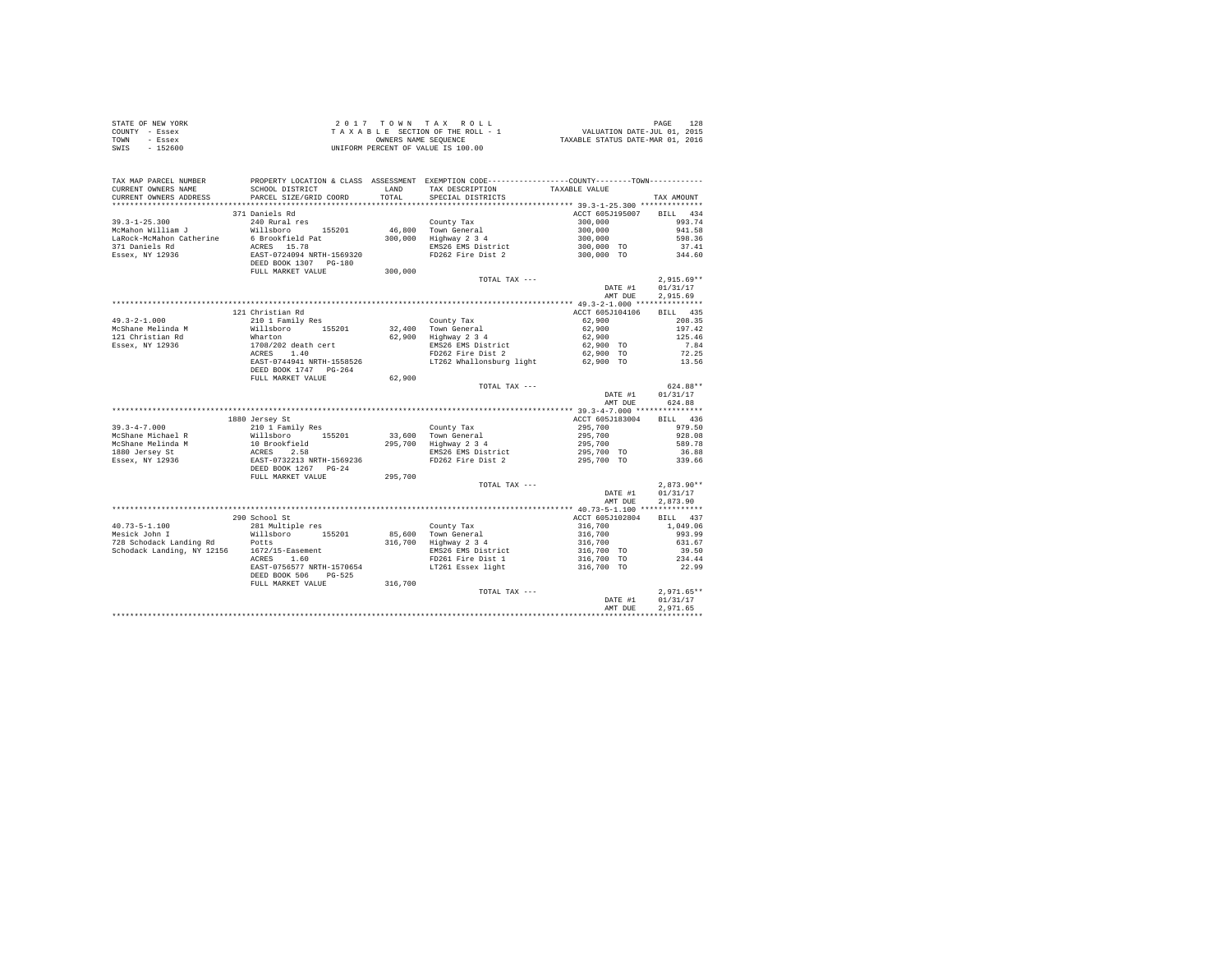|                | STATE OF NEW YORK | 2017 TOWN TAX ROLL                 | 128<br>PAGE                      |
|----------------|-------------------|------------------------------------|----------------------------------|
| COUNTY - Essex |                   | TAXABLE SECTION OF THE ROLL - 1    | VALUATION DATE-JUL 01, 2015      |
| TOWN           | - Essex           | OWNERS NAME SEOUENCE               | TAXABLE STATUS DATE-MAR 01, 2016 |
| SWIS           | $-152600$         | UNIFORM PERCENT OF VALUE IS 100.00 |                                  |

| TAX MAP PARCEL NUMBER<br>CURRENT OWNERS NAME | SCHOOL DISTRICT                                                     | <b>T.AND</b> | PROPERTY LOCATION & CLASS ASSESSMENT EXEMPTION CODE---------------COUNTY-------TOWN---------<br>TAX DESCRIPTION | TAXABLE VALUE                                                                                                    |              |
|----------------------------------------------|---------------------------------------------------------------------|--------------|-----------------------------------------------------------------------------------------------------------------|------------------------------------------------------------------------------------------------------------------|--------------|
| CURRENT OWNERS ADDRESS                       | PARCEL SIZE/GRID COORD                                              | TOTAL        | SPECIAL DISTRICTS                                                                                               |                                                                                                                  | TAX AMOUNT   |
|                                              | ***************************                                         |              |                                                                                                                 |                                                                                                                  |              |
|                                              | 371 Daniels Rd                                                      |              |                                                                                                                 | ACCT 605J195007                                                                                                  | BILL 434     |
| $39.3 - 1 - 25.300$                          | 240 Rural res                                                       |              | County Tax                                                                                                      | $300,000$<br>$300,000$<br>$300,000$<br>$300,000$ TO<br>$300,000$ TO                                              | 993.74       |
| McMahon William J                            | Willsboro 155201                                                    |              | 46,800 Town General<br>300,000 Highway 2 3 4                                                                    |                                                                                                                  | 941.58       |
|                                              |                                                                     |              |                                                                                                                 |                                                                                                                  | 598.36       |
| 371 Daniels Rd                               |                                                                     |              | $mS26$ EMS District                                                                                             |                                                                                                                  | 37.41        |
| Essex, NY 12936                              |                                                                     |              | FD262 Fire Dist 2                                                                                               |                                                                                                                  | 344.60       |
|                                              | EAST-0724094 NRTH-1569320<br>DEED BOOK 1307 PG-180                  |              |                                                                                                                 |                                                                                                                  |              |
|                                              | FULL MARKET VALUE                                                   | 300,000      |                                                                                                                 |                                                                                                                  |              |
|                                              |                                                                     |              | TOTAL TAX ---                                                                                                   |                                                                                                                  | $2,915.69**$ |
|                                              |                                                                     |              |                                                                                                                 | DATE #1                                                                                                          | 01/31/17     |
|                                              |                                                                     |              |                                                                                                                 | AMT DUE                                                                                                          | 2.915.69     |
|                                              |                                                                     |              |                                                                                                                 |                                                                                                                  |              |
|                                              | 121 Christian Rd                                                    |              |                                                                                                                 | ACCT 605J104106                                                                                                  | BILL 435     |
| $49.3 - 2 - 1.000$                           | 210 1 Family Res                                                    |              | County Tax                                                                                                      | 62,900                                                                                                           | 208.35       |
| McShane Melinda M                            | Willsboro 155201                                                    |              |                                                                                                                 |                                                                                                                  |              |
| 121 Christian Rd                             |                                                                     |              | 32,400 Town General<br>62,900 Highway 2 3 4                                                                     |                                                                                                                  |              |
| Essex, NY 12936                              | Wharton<br>1708/202 death cert<br>ACRES 1.40                        |              |                                                                                                                 |                                                                                                                  |              |
|                                              |                                                                     |              |                                                                                                                 |                                                                                                                  |              |
|                                              | EAST-0744941 NRTH-1558526                                           |              |                                                                                                                 |                                                                                                                  |              |
|                                              | DEED BOOK 1747 PG-264                                               |              |                                                                                                                 |                                                                                                                  |              |
|                                              | FULL MARKET VALUE                                                   | 62,900       |                                                                                                                 |                                                                                                                  |              |
|                                              |                                                                     |              | TOTAL TAX ---                                                                                                   |                                                                                                                  | 624.88**     |
|                                              |                                                                     |              |                                                                                                                 | DATE #1                                                                                                          | 01/31/17     |
|                                              |                                                                     |              |                                                                                                                 | AMT DUE                                                                                                          | 624.88       |
|                                              |                                                                     |              |                                                                                                                 |                                                                                                                  |              |
|                                              | 1880 Jersey St                                                      |              |                                                                                                                 | ACCT 605J183004                                                                                                  | BILL 436     |
|                                              |                                                                     |              | County Tax                                                                                                      |                                                                                                                  | 979.50       |
|                                              |                                                                     |              |                                                                                                                 |                                                                                                                  | 928.08       |
|                                              |                                                                     |              | 33,600 Town General<br>295,700 Highway 2 3 4                                                                    | $295,700$<br>$295,700$<br>$295,700$<br>$295,700$ TO                                                              | 589.78       |
|                                              |                                                                     |              | EMS26 EMS District                                                                                              |                                                                                                                  | 36.88        |
|                                              |                                                                     |              | FD262 Fire Dist 2                                                                                               | 295,700 TO                                                                                                       | 339.66       |
|                                              |                                                                     |              |                                                                                                                 |                                                                                                                  |              |
|                                              | FULL MARKET VALUE                                                   | 295,700      |                                                                                                                 |                                                                                                                  |              |
|                                              |                                                                     |              | TOTAL TAX ---                                                                                                   |                                                                                                                  | $2,873.90**$ |
|                                              |                                                                     |              |                                                                                                                 | DATE #1                                                                                                          | 01/31/17     |
|                                              |                                                                     |              |                                                                                                                 | AMT DUE                                                                                                          | 2,873.90     |
|                                              |                                                                     |              |                                                                                                                 |                                                                                                                  |              |
|                                              | 290 School St                                                       |              |                                                                                                                 | ACCT 605J102804                                                                                                  | BILL 437     |
|                                              | 281 Multiple res                                                    |              |                                                                                                                 |                                                                                                                  | 1,049.06     |
| 40.73-5-1.100<br>Mesick John I               |                                                                     |              | County Tax<br>85,600 Town General                                                                               |                                                                                                                  | 993.99       |
|                                              | Nesick John I and Willsboro 155201<br>728 Schodack Landing Rd Potts |              | 316,700 Highway 2 3 4                                                                                           | $\begin{array}{r} 316,700 \\ 316,700 \\ 316,700 \\ 316,700 \\ 316,700 \\ 70 \\ 316,700 \\ \text{TO} \end{array}$ | 631.67       |
|                                              | Schodack Landing, NY 12156 1672/15-Easement<br>ACRES 1.60           |              |                                                                                                                 |                                                                                                                  | 39.50        |
|                                              |                                                                     |              | EMS26 EMS District<br>FD261 Fire Dist 1<br>LT261 Essex light                                                    |                                                                                                                  | 234.44       |
|                                              | EAST-0756577 NRTH-1570654                                           |              |                                                                                                                 | 316,700 TO                                                                                                       | 22.99        |
|                                              | DEED BOOK 506 PG-525                                                |              |                                                                                                                 |                                                                                                                  |              |
|                                              | FULL MARKET VALUE                                                   | 316,700      |                                                                                                                 |                                                                                                                  |              |
|                                              |                                                                     |              | TOTAL TAX ---                                                                                                   |                                                                                                                  | $2,971.65**$ |
|                                              |                                                                     |              |                                                                                                                 | DATE #1                                                                                                          | 01/31/17     |
|                                              |                                                                     |              |                                                                                                                 | AMT DUE                                                                                                          | 2.971.65     |
|                                              |                                                                     |              |                                                                                                                 |                                                                                                                  |              |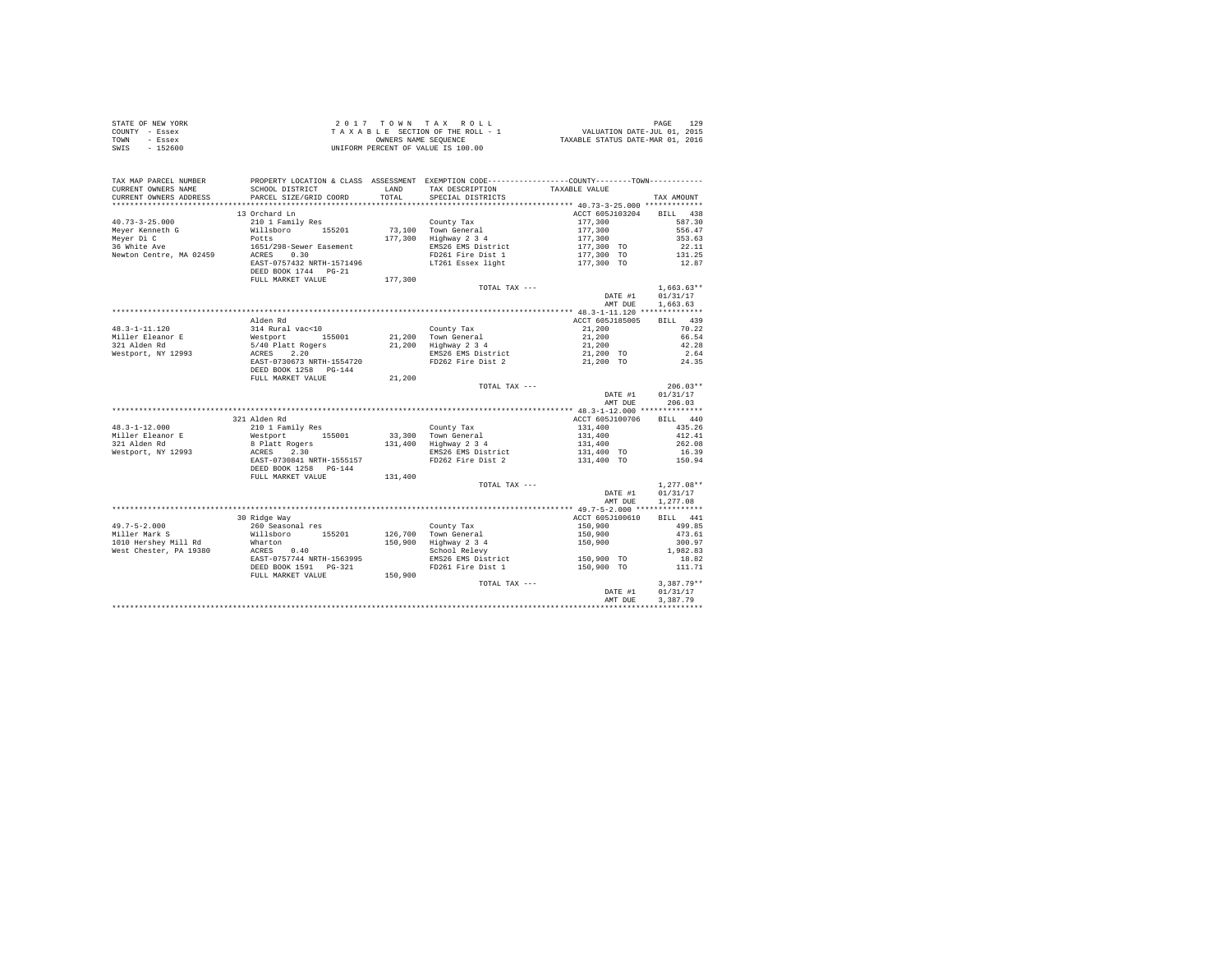| STATE OF NEW YORK | 2017 TOWN TAX ROLL                 | PAGE                             |
|-------------------|------------------------------------|----------------------------------|
| COUNTY - Essex    | TAXABLE SECTION OF THE ROLL - 1    | VALUATION DATE-JUL 01, 2015      |
| TOWN<br>- Essex   | OWNERS NAME SEOUENCE               | TAXABLE STATUS DATE-MAR 01, 2016 |
| $-152600$<br>SWIS | UNIFORM PERCENT OF VALUE IS 100.00 |                                  |

| TAX MAP PARCEL NUMBER<br>CURRENT OWNERS NAME<br>CURRENT OWNERS ADDRESS | SCHOOL DISTRICT<br>PARCEL SIZE/GRID COORD | LAND<br>TOTAL | PROPERTY LOCATION & CLASS ASSESSMENT EXEMPTION CODE---------------COUNTY-------TOWN---------<br>TAX DESCRIPTION<br>SPECIAL DISTRICTS | TAXABLE VALUE              | TAX AMOUNT         |
|------------------------------------------------------------------------|-------------------------------------------|---------------|--------------------------------------------------------------------------------------------------------------------------------------|----------------------------|--------------------|
| *************************                                              |                                           |               |                                                                                                                                      |                            |                    |
| $40.73 - 3 - 25.000$                                                   | 13 Orchard Ln<br>210 1 Family Res         |               | County Tax                                                                                                                           | ACCT 605J103204<br>177,300 | BILL 438<br>587.30 |
| Meyer Kenneth G                                                        | Willsboro 155201                          |               | 73,100 Town General                                                                                                                  | 177,300                    | 556.47             |
| Mever Di C                                                             | Potts                                     |               | 177,300 Highway 2 3 4                                                                                                                | 177,300                    | 353.63             |
| 36 White Ave                                                           | 1651/298-Sewer Easement                   |               | EMS26 EMS District                                                                                                                   | 177,300 TO                 | 22.11              |
| Newton Centre, MA 02459                                                | ACRES 0.30<br>EAST-0757432 NRTH-1571496   |               | FD261 Fire Dist 1<br>LT261 Essex light                                                                                               | 177,300 TO<br>177,300 TO   | 131.25<br>12.87    |
|                                                                        | DEED BOOK 1744 PG-21                      |               |                                                                                                                                      |                            |                    |
|                                                                        | FULL MARKET VALUE                         | 177,300       |                                                                                                                                      |                            |                    |
|                                                                        |                                           |               | TOTAL TAX ---                                                                                                                        |                            | $1,663.63**$       |
|                                                                        |                                           |               |                                                                                                                                      | DATE #1                    | 01/31/17           |
|                                                                        |                                           |               |                                                                                                                                      | AMT DUE                    | 1.663.63           |
|                                                                        |                                           |               |                                                                                                                                      |                            |                    |
|                                                                        | Alden Rd                                  |               |                                                                                                                                      | ACCT 605J185005            | BILL 439           |
| $48.3 - 1 - 11.120$                                                    | 314 Rural vac<10                          |               | County Tax                                                                                                                           | 21,200                     | 70.22              |
| Miller Eleanor E                                                       |                                           |               | 21.200 Town General                                                                                                                  | 21,200                     | 66.54              |
| 321 Alden Rd                                                           | Westport 155001<br>5/40 Platt Rogers      |               | $21,200$ Highway $2\overline{3}4$                                                                                                    | 21,200                     | 42.28              |
| Westport, NY 12993                                                     | ACRES 2.20                                |               | EMS26 EMS District                                                                                                                   | 21,200 TO                  | 2.64               |
|                                                                        | EAST-0730673 NRTH-1554720                 |               | FD262 Fire Dist 2                                                                                                                    | 21,200 TO                  | 24.35              |
|                                                                        | DEED BOOK 1258 PG-144                     |               |                                                                                                                                      |                            |                    |
|                                                                        | FULL MARKET VALUE                         | 21,200        |                                                                                                                                      |                            |                    |
|                                                                        |                                           |               | TOTAL TAX ---                                                                                                                        |                            | $206.03**$         |
|                                                                        |                                           |               |                                                                                                                                      | DATE #1                    | 01/31/17           |
|                                                                        |                                           |               |                                                                                                                                      | AMT DUE                    | 206.03             |
|                                                                        | 321 Alden Rd                              |               |                                                                                                                                      | ACCT 605J100706            | BILL 440           |
| $48.3 - 1 - 12.000$                                                    | 210 1 Family Res                          |               | County Tax                                                                                                                           | 131,400                    | 435.26             |
| Miller Eleanor E                                                       | Westport 155001                           |               | 33,300 Town General                                                                                                                  | 131,400                    | 412.41             |
| 321 Alden Rd                                                           | 8 Platt Rogers                            |               | 131,400 Highway 2 3 4                                                                                                                | 131,400                    | 262.08             |
| Westport, NY 12993                                                     | ACRES<br>2.30                             |               | EMS26 EMS District                                                                                                                   | 131,400 TO                 | 16.39              |
|                                                                        | EAST-0730841 NRTH-1555157                 |               | FD262 Fire Dist 2                                                                                                                    | 131,400 TO                 | 150.94             |
|                                                                        | DEED BOOK 1258 PG-144                     |               |                                                                                                                                      |                            |                    |
|                                                                        | FULL MARKET VALUE                         | 131,400       |                                                                                                                                      |                            |                    |
|                                                                        |                                           |               | TOTAL TAX ---                                                                                                                        |                            | $1.277.08**$       |
|                                                                        |                                           |               |                                                                                                                                      | DATE #1                    | 01/31/17           |
|                                                                        |                                           |               |                                                                                                                                      | AMT DUE                    | 1,277.08           |
|                                                                        |                                           |               |                                                                                                                                      |                            |                    |
|                                                                        | 30 Ridge Way                              |               |                                                                                                                                      | ACCT 605J100610            | BILL 441           |
| $49.7 - 5 - 2.000$                                                     | 260 Seasonal res<br>Willsboro 155201      |               | County Tax                                                                                                                           | 150,900                    | 499.85             |
| Miller Mark S<br>1010 Hershev Mill Rd                                  | Wharton                                   | 150,900       | 126.700 Town General                                                                                                                 | 150,900                    | 473.61<br>300.97   |
| West Chester, PA 19380                                                 | ACRES 0.40                                |               | Highway 2 3 4<br>School Relevy                                                                                                       | 150,900                    | 1,982.83           |
|                                                                        | EAST-0757744 NRTH-1563995                 |               | EMS26 EMS District                                                                                                                   | 150,900 TO                 | 18.82              |
|                                                                        | DEED BOOK 1591    PG-321                  |               | FD261 Fire Dist 1                                                                                                                    | 150,900 TO                 | 111.71             |
|                                                                        | FULL MARKET VALUE                         | 150,900       |                                                                                                                                      |                            |                    |
|                                                                        |                                           |               | TOTAL TAX ---                                                                                                                        |                            | $3,387.79**$       |
|                                                                        |                                           |               |                                                                                                                                      | DATE #1                    | 01/31/17           |
|                                                                        |                                           |               |                                                                                                                                      | AMT DUE                    | 3.387.79           |
|                                                                        |                                           |               |                                                                                                                                      |                            |                    |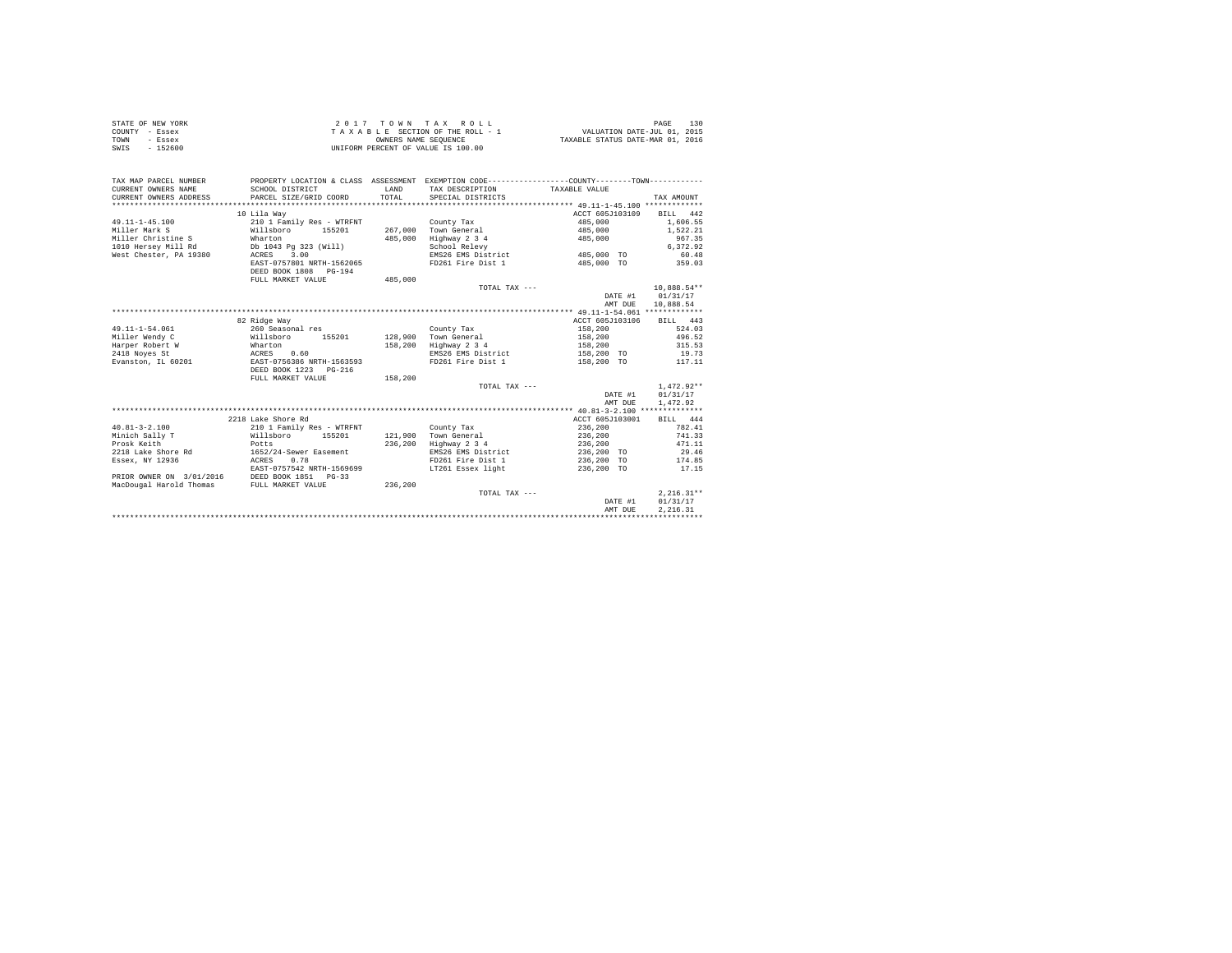| STATE OF NEW YORK | $2.017$ TOWN TAX ROLL              | 130<br>PAGE                      |
|-------------------|------------------------------------|----------------------------------|
| COUNTY - Essex    | TAXABLE SECTION OF THE ROLL - 1    | VALUATION DATE-JUL 01, 2015      |
| TOWN<br>- Essex   | OWNERS NAME SEOUENCE               | TAXABLE STATUS DATE-MAR 01, 2016 |
| SWIS<br>$-152600$ | UNIFORM PERCENT OF VALUE IS 100.00 |                                  |

| ACCT 605J103109<br>10 Lila Wav<br>$49.11 - 1 - 45.100$<br>210 1 Family Res - WTRFNT<br>485,000<br>County Tax<br>Willsboro<br>155201<br>267,000<br>Town General<br>485,000<br>Miller Mark S<br>Miller Christine S<br>485,000<br>Highway 2 3 4<br>Wharton<br>485,000<br>1010 Hersey Mill Rd<br>Db 1043 Pg 323 (Will)<br>School Relevy<br>West Chester, PA 19380<br>3.00<br>EMS26 EMS District<br>485,000 TO<br>ACRES<br>EAST-0757801 NRTH-1562065<br>FD261 Fire Dist 1<br>485,000 TO<br>DEED BOOK 1808 PG-194<br>485,000<br>FULL MARKET VALUE | BILL 442<br>1,606.55<br>1,522.21<br>967.35<br>6.372.92<br>60.48<br>359.03<br>10,888.54** |
|---------------------------------------------------------------------------------------------------------------------------------------------------------------------------------------------------------------------------------------------------------------------------------------------------------------------------------------------------------------------------------------------------------------------------------------------------------------------------------------------------------------------------------------------|------------------------------------------------------------------------------------------|
|                                                                                                                                                                                                                                                                                                                                                                                                                                                                                                                                             |                                                                                          |
|                                                                                                                                                                                                                                                                                                                                                                                                                                                                                                                                             |                                                                                          |
|                                                                                                                                                                                                                                                                                                                                                                                                                                                                                                                                             |                                                                                          |
|                                                                                                                                                                                                                                                                                                                                                                                                                                                                                                                                             |                                                                                          |
|                                                                                                                                                                                                                                                                                                                                                                                                                                                                                                                                             |                                                                                          |
|                                                                                                                                                                                                                                                                                                                                                                                                                                                                                                                                             |                                                                                          |
|                                                                                                                                                                                                                                                                                                                                                                                                                                                                                                                                             |                                                                                          |
|                                                                                                                                                                                                                                                                                                                                                                                                                                                                                                                                             |                                                                                          |
|                                                                                                                                                                                                                                                                                                                                                                                                                                                                                                                                             |                                                                                          |
| TOTAL TAX ---                                                                                                                                                                                                                                                                                                                                                                                                                                                                                                                               |                                                                                          |
| 01/31/17<br>DATE #1                                                                                                                                                                                                                                                                                                                                                                                                                                                                                                                         |                                                                                          |
| AMT DUE<br>10,888.54                                                                                                                                                                                                                                                                                                                                                                                                                                                                                                                        |                                                                                          |
|                                                                                                                                                                                                                                                                                                                                                                                                                                                                                                                                             |                                                                                          |
| 82 Ridge Way<br>ACCT 605J103106                                                                                                                                                                                                                                                                                                                                                                                                                                                                                                             | BILL 443                                                                                 |
| $49.11 - 1 - 54.061$<br>260 Seasonal res<br>158,200<br>County Tax                                                                                                                                                                                                                                                                                                                                                                                                                                                                           | 524.03                                                                                   |
| Miller Wendy C<br>Town General<br>155201<br>128,900<br>158,200<br>Willsboro                                                                                                                                                                                                                                                                                                                                                                                                                                                                 | 496.52                                                                                   |
| Harper Robert W<br>158,200<br>Highway 2 3 4<br>158,200<br>Wharton                                                                                                                                                                                                                                                                                                                                                                                                                                                                           | 315.53                                                                                   |
| ACRES 0.60<br>2418 Noves St<br>EMS26 EMS District<br>158,200 TO                                                                                                                                                                                                                                                                                                                                                                                                                                                                             | 19.73                                                                                    |
| EAST-0756386 NRTH-1563593<br>FD261 Fire Dist 1<br>Evanston, IL 60201<br>158,200 TO                                                                                                                                                                                                                                                                                                                                                                                                                                                          | 117.11                                                                                   |
| DEED BOOK 1223 PG-216                                                                                                                                                                                                                                                                                                                                                                                                                                                                                                                       |                                                                                          |
| 158,200<br>FULL MARKET VALUE                                                                                                                                                                                                                                                                                                                                                                                                                                                                                                                |                                                                                          |
| TOTAL TAX ---                                                                                                                                                                                                                                                                                                                                                                                                                                                                                                                               | $1.472.92**$                                                                             |
| DATE #1<br>01/31/17                                                                                                                                                                                                                                                                                                                                                                                                                                                                                                                         |                                                                                          |
| AMT DUE                                                                                                                                                                                                                                                                                                                                                                                                                                                                                                                                     | 1,472.92                                                                                 |
|                                                                                                                                                                                                                                                                                                                                                                                                                                                                                                                                             |                                                                                          |
| 2218 Lake Shore Rd<br>ACCT 605J103001                                                                                                                                                                                                                                                                                                                                                                                                                                                                                                       | BILL 444                                                                                 |
| $40.81 - 3 - 2.100$<br>210 1 Family Res - WTRFNT<br>236,200<br>County Tax                                                                                                                                                                                                                                                                                                                                                                                                                                                                   | 782.41                                                                                   |
| Minich Sally T<br>Willsboro<br>121,900<br>Town General<br>236,200<br>155201                                                                                                                                                                                                                                                                                                                                                                                                                                                                 | 741.33                                                                                   |
| Prosk Keith<br>236,200<br>Highway 2 3 4<br>236,200<br>Potts                                                                                                                                                                                                                                                                                                                                                                                                                                                                                 | 471.11                                                                                   |
| 2218 Lake Shore Rd<br>1652/24-Sewer Easement<br>EMS26 EMS District<br>236,200 TO                                                                                                                                                                                                                                                                                                                                                                                                                                                            | 29.46                                                                                    |
| FD261 Fire Dist 1<br>Essex, NY 12936<br>ACRES 0.78<br>236,200 TO                                                                                                                                                                                                                                                                                                                                                                                                                                                                            | 174.85                                                                                   |
| EAST-0757542 NRTH-1569699<br>LT261 Essex light<br>236,200 TO                                                                                                                                                                                                                                                                                                                                                                                                                                                                                | 17.15                                                                                    |
| PRIOR OWNER ON 3/01/2016<br>DEED BOOK 1851 PG-33                                                                                                                                                                                                                                                                                                                                                                                                                                                                                            |                                                                                          |
| MacDougal Harold Thomas<br>236,200<br>FULL MARKET VALUE                                                                                                                                                                                                                                                                                                                                                                                                                                                                                     |                                                                                          |
| TOTAL TAX ---                                                                                                                                                                                                                                                                                                                                                                                                                                                                                                                               | $2.216.31**$                                                                             |
| DATE #1                                                                                                                                                                                                                                                                                                                                                                                                                                                                                                                                     | 01/31/17                                                                                 |
| AMT DUE                                                                                                                                                                                                                                                                                                                                                                                                                                                                                                                                     |                                                                                          |
|                                                                                                                                                                                                                                                                                                                                                                                                                                                                                                                                             | 2.216.31                                                                                 |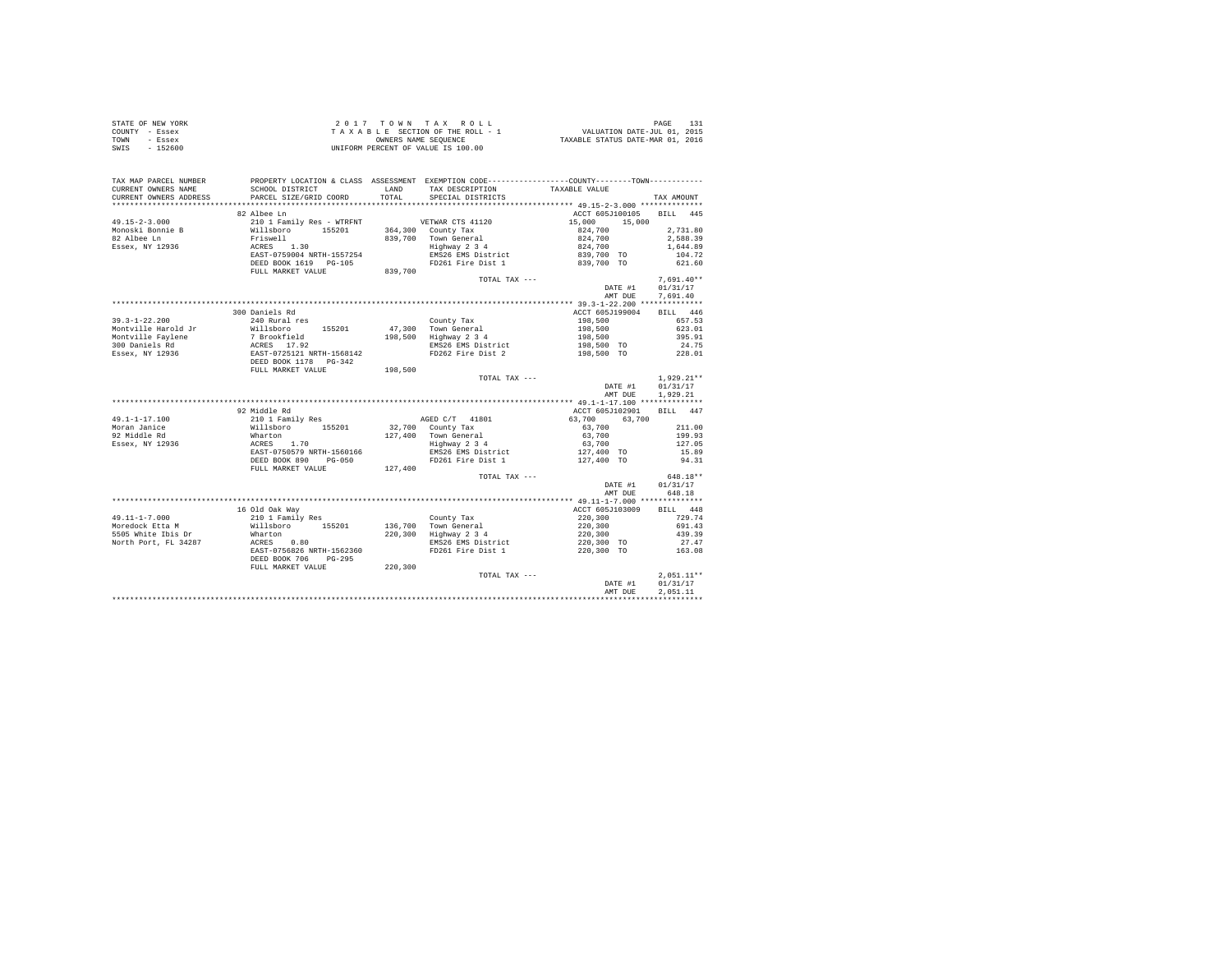| STATE OF NEW YORK<br>COUNTY - Essex<br>TOWN - Essex<br>SWIS - 152600                                                                                                                                                                                                                                                                                                                                    |                                                   |                                                                                              |         |                          |
|---------------------------------------------------------------------------------------------------------------------------------------------------------------------------------------------------------------------------------------------------------------------------------------------------------------------------------------------------------------------------------------------------------|---------------------------------------------------|----------------------------------------------------------------------------------------------|---------|--------------------------|
| TAX MAP PARCEL NUMBER<br>CURRENT OWNERS NAME<br>CURRENT OWNERS ADDRESS                                                                                                                                                                                                                                                                                                                                  |                                                   | PROPERTY LOCATION & CLASS ASSESSMENT EXEMPTION CODE---------------COUNTY-------TOWN--------- |         | TAX AMOUNT               |
|                                                                                                                                                                                                                                                                                                                                                                                                         |                                                   |                                                                                              |         |                          |
| $\begin{tabular}{l c c c c c} \multicolumn{1}{c c c c} \multicolumn{1}{c c c} \multicolumn{1}{c c c} \multicolumn{1}{c c c} \multicolumn{1}{c c c} \multicolumn{1}{c c c} \multicolumn{1}{c c c} \multicolumn{1}{c c c} \multicolumn{1}{c c c} \multicolumn{1}{c c c} \multicolumn{1}{c c c} \multicolumn{1}{c c c} \multicolumn{1}{c c c} \multicolumn{1}{c c c} \multicolumn{1}{c c c} \multicolumn{$ | 82 Albee Ln                                       |                                                                                              |         | ACCT 605J100105 BILL 445 |
|                                                                                                                                                                                                                                                                                                                                                                                                         |                                                   |                                                                                              |         |                          |
|                                                                                                                                                                                                                                                                                                                                                                                                         |                                                   |                                                                                              |         |                          |
|                                                                                                                                                                                                                                                                                                                                                                                                         |                                                   |                                                                                              |         |                          |
|                                                                                                                                                                                                                                                                                                                                                                                                         |                                                   |                                                                                              |         |                          |
|                                                                                                                                                                                                                                                                                                                                                                                                         |                                                   |                                                                                              |         |                          |
|                                                                                                                                                                                                                                                                                                                                                                                                         |                                                   |                                                                                              |         |                          |
|                                                                                                                                                                                                                                                                                                                                                                                                         |                                                   | TOTAL TAX ---                                                                                |         | $7.691.40**$             |
|                                                                                                                                                                                                                                                                                                                                                                                                         |                                                   |                                                                                              |         | DATE #1 01/31/17         |
|                                                                                                                                                                                                                                                                                                                                                                                                         |                                                   |                                                                                              |         | AMT DUE 7.691.40         |
|                                                                                                                                                                                                                                                                                                                                                                                                         |                                                   |                                                                                              |         |                          |
|                                                                                                                                                                                                                                                                                                                                                                                                         | 300 Daniels Rd                                    |                                                                                              |         | ACCT 605J199004 BILL 446 |
|                                                                                                                                                                                                                                                                                                                                                                                                         |                                                   |                                                                                              |         |                          |
|                                                                                                                                                                                                                                                                                                                                                                                                         |                                                   |                                                                                              |         |                          |
|                                                                                                                                                                                                                                                                                                                                                                                                         |                                                   |                                                                                              |         |                          |
|                                                                                                                                                                                                                                                                                                                                                                                                         |                                                   |                                                                                              |         |                          |
|                                                                                                                                                                                                                                                                                                                                                                                                         |                                                   |                                                                                              |         |                          |
|                                                                                                                                                                                                                                                                                                                                                                                                         |                                                   |                                                                                              |         |                          |
|                                                                                                                                                                                                                                                                                                                                                                                                         |                                                   |                                                                                              |         |                          |
|                                                                                                                                                                                                                                                                                                                                                                                                         |                                                   |                                                                                              |         |                          |
|                                                                                                                                                                                                                                                                                                                                                                                                         |                                                   |                                                                                              |         | DATE #1 01/31/17         |
|                                                                                                                                                                                                                                                                                                                                                                                                         |                                                   |                                                                                              |         | AMT DUE 1,929.21         |
| 19.1-1-17.100 2211.00<br>Middle Rd Rock (19.1-17.100 COLL Family Research Marton 2010 1 Family Research Marton 2010 1 Family Research Marton 2011.00<br>29. Middle Rd Whatron 155201 32,700 County Tax<br>211.00<br>211.00 211.00<br>22.                                                                                                                                                                |                                                   |                                                                                              |         |                          |
|                                                                                                                                                                                                                                                                                                                                                                                                         |                                                   |                                                                                              |         |                          |
|                                                                                                                                                                                                                                                                                                                                                                                                         |                                                   |                                                                                              |         |                          |
|                                                                                                                                                                                                                                                                                                                                                                                                         |                                                   |                                                                                              |         |                          |
|                                                                                                                                                                                                                                                                                                                                                                                                         |                                                   |                                                                                              |         |                          |
|                                                                                                                                                                                                                                                                                                                                                                                                         |                                                   |                                                                                              |         |                          |
|                                                                                                                                                                                                                                                                                                                                                                                                         |                                                   |                                                                                              |         |                          |
|                                                                                                                                                                                                                                                                                                                                                                                                         |                                                   |                                                                                              |         |                          |
|                                                                                                                                                                                                                                                                                                                                                                                                         |                                                   | TOTAL TAX ---                                                                                |         | 648.18**                 |
|                                                                                                                                                                                                                                                                                                                                                                                                         |                                                   |                                                                                              |         | DATE #1 01/31/17         |
|                                                                                                                                                                                                                                                                                                                                                                                                         |                                                   |                                                                                              |         | AMT DUE 648.18           |
|                                                                                                                                                                                                                                                                                                                                                                                                         |                                                   |                                                                                              |         |                          |
|                                                                                                                                                                                                                                                                                                                                                                                                         |                                                   |                                                                                              |         | ACCT 605J103009 BILL 448 |
|                                                                                                                                                                                                                                                                                                                                                                                                         |                                                   |                                                                                              |         | 729.74                   |
|                                                                                                                                                                                                                                                                                                                                                                                                         |                                                   |                                                                                              |         | 691.43                   |
|                                                                                                                                                                                                                                                                                                                                                                                                         |                                                   |                                                                                              |         | 439.39                   |
|                                                                                                                                                                                                                                                                                                                                                                                                         |                                                   |                                                                                              |         | 27.47                    |
|                                                                                                                                                                                                                                                                                                                                                                                                         |                                                   |                                                                                              |         | 163.08                   |
|                                                                                                                                                                                                                                                                                                                                                                                                         |                                                   |                                                                                              |         |                          |
|                                                                                                                                                                                                                                                                                                                                                                                                         | DEED BOOK 706 PG-295<br>FULL MARKET VALUE 220,300 |                                                                                              |         |                          |
|                                                                                                                                                                                                                                                                                                                                                                                                         |                                                   | TOTAL TAX ---                                                                                |         | $2.051.11**$             |
|                                                                                                                                                                                                                                                                                                                                                                                                         |                                                   |                                                                                              |         | DATE #1 01/31/17         |
|                                                                                                                                                                                                                                                                                                                                                                                                         |                                                   |                                                                                              | AMT DUE | 2.051.11                 |
|                                                                                                                                                                                                                                                                                                                                                                                                         |                                                   |                                                                                              |         |                          |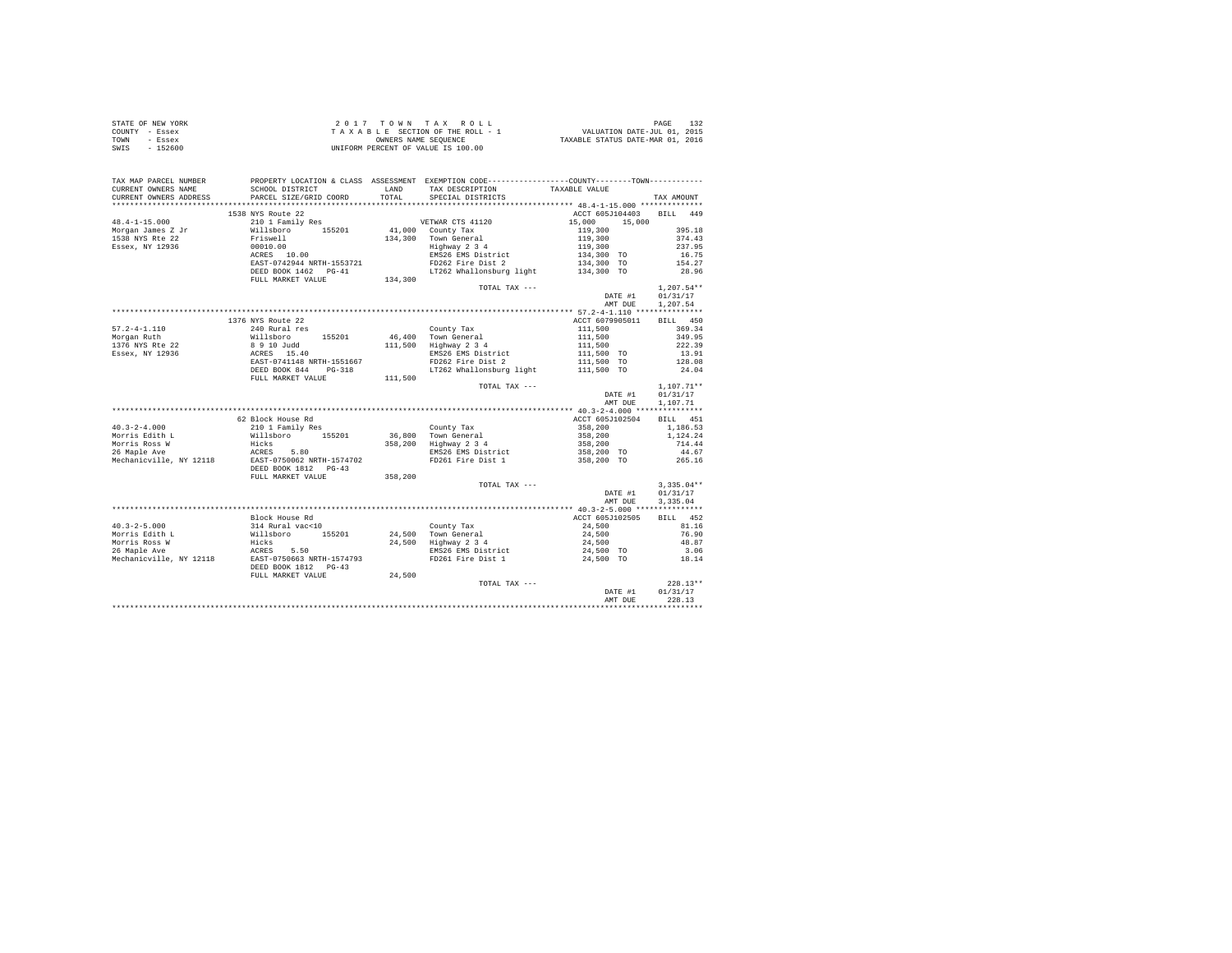| COUNTY - Essex                                  | T A X A B L E SECTION OF THE ROLL - 1 WALUATION DATE-JUL 01, 2015<br>ONNERS NAME SEQUENCE HOUSE TAXABLE STATUS DATE-MAR 01, 2016<br>UNIFORM PERCENT OF VALUE IS 100.00                                                                                                                                                                                                       |         |                                                                                            |                                                                                           |              |
|-------------------------------------------------|------------------------------------------------------------------------------------------------------------------------------------------------------------------------------------------------------------------------------------------------------------------------------------------------------------------------------------------------------------------------------|---------|--------------------------------------------------------------------------------------------|-------------------------------------------------------------------------------------------|--------------|
| TOWN - Essex                                    |                                                                                                                                                                                                                                                                                                                                                                              |         |                                                                                            |                                                                                           |              |
| SWIS - 152600                                   |                                                                                                                                                                                                                                                                                                                                                                              |         |                                                                                            |                                                                                           |              |
|                                                 |                                                                                                                                                                                                                                                                                                                                                                              |         |                                                                                            |                                                                                           |              |
|                                                 |                                                                                                                                                                                                                                                                                                                                                                              |         |                                                                                            |                                                                                           |              |
|                                                 |                                                                                                                                                                                                                                                                                                                                                                              |         |                                                                                            |                                                                                           |              |
| TAX MAP PARCEL NUMBER                           | PROPERTY LOCATION & CLASS ASSESSMENT EXEMPTION CODE----------------COUNTY-------TOWN----------                                                                                                                                                                                                                                                                               |         |                                                                                            |                                                                                           |              |
| CURRENT OWNERS NAME                             |                                                                                                                                                                                                                                                                                                                                                                              |         |                                                                                            |                                                                                           |              |
| CURRENT OWNERS ADDRESS                          |                                                                                                                                                                                                                                                                                                                                                                              |         |                                                                                            |                                                                                           | TAX AMOUNT   |
|                                                 |                                                                                                                                                                                                                                                                                                                                                                              |         |                                                                                            |                                                                                           |              |
|                                                 |                                                                                                                                                                                                                                                                                                                                                                              |         |                                                                                            |                                                                                           |              |
|                                                 | 1538 NYS Route 22                                                                                                                                                                                                                                                                                                                                                            |         |                                                                                            | ACCT 605J104403 BILL 449                                                                  |              |
|                                                 |                                                                                                                                                                                                                                                                                                                                                                              |         |                                                                                            |                                                                                           |              |
|                                                 |                                                                                                                                                                                                                                                                                                                                                                              |         |                                                                                            |                                                                                           |              |
|                                                 |                                                                                                                                                                                                                                                                                                                                                                              |         |                                                                                            |                                                                                           |              |
|                                                 |                                                                                                                                                                                                                                                                                                                                                                              |         |                                                                                            |                                                                                           |              |
|                                                 |                                                                                                                                                                                                                                                                                                                                                                              |         |                                                                                            |                                                                                           |              |
|                                                 |                                                                                                                                                                                                                                                                                                                                                                              |         |                                                                                            |                                                                                           |              |
|                                                 |                                                                                                                                                                                                                                                                                                                                                                              |         |                                                                                            |                                                                                           |              |
|                                                 |                                                                                                                                                                                                                                                                                                                                                                              |         |                                                                                            |                                                                                           |              |
|                                                 |                                                                                                                                                                                                                                                                                                                                                                              |         |                                                                                            |                                                                                           |              |
|                                                 |                                                                                                                                                                                                                                                                                                                                                                              |         | TOTAL TAX ---                                                                              |                                                                                           | $1.207.54**$ |
|                                                 |                                                                                                                                                                                                                                                                                                                                                                              |         |                                                                                            | DATE #1 01/31/17                                                                          |              |
|                                                 |                                                                                                                                                                                                                                                                                                                                                                              |         |                                                                                            | AMT DUE 1,207.54                                                                          |              |
|                                                 |                                                                                                                                                                                                                                                                                                                                                                              |         |                                                                                            |                                                                                           |              |
|                                                 |                                                                                                                                                                                                                                                                                                                                                                              |         |                                                                                            |                                                                                           |              |
|                                                 |                                                                                                                                                                                                                                                                                                                                                                              |         |                                                                                            |                                                                                           |              |
|                                                 |                                                                                                                                                                                                                                                                                                                                                                              |         |                                                                                            |                                                                                           |              |
|                                                 |                                                                                                                                                                                                                                                                                                                                                                              |         |                                                                                            |                                                                                           |              |
|                                                 |                                                                                                                                                                                                                                                                                                                                                                              |         |                                                                                            |                                                                                           |              |
|                                                 |                                                                                                                                                                                                                                                                                                                                                                              |         |                                                                                            |                                                                                           |              |
|                                                 |                                                                                                                                                                                                                                                                                                                                                                              |         |                                                                                            |                                                                                           |              |
|                                                 |                                                                                                                                                                                                                                                                                                                                                                              |         |                                                                                            |                                                                                           |              |
|                                                 |                                                                                                                                                                                                                                                                                                                                                                              |         |                                                                                            |                                                                                           |              |
|                                                 |                                                                                                                                                                                                                                                                                                                                                                              |         | $\begin{minipage}{.4\linewidth} \textbf{TCTAL} \textbf{ TAX } \textbf{---} \end{minipage}$ |                                                                                           | $1,107.71**$ |
|                                                 |                                                                                                                                                                                                                                                                                                                                                                              |         |                                                                                            | DATE #1 01/31/17                                                                          |              |
|                                                 |                                                                                                                                                                                                                                                                                                                                                                              |         |                                                                                            | AMT DUE                                                                                   | 1,107.71     |
|                                                 |                                                                                                                                                                                                                                                                                                                                                                              |         |                                                                                            |                                                                                           |              |
|                                                 | 62 Block House Rd                                                                                                                                                                                                                                                                                                                                                            |         |                                                                                            | ACCT 605J102504 BILL 451                                                                  |              |
|                                                 |                                                                                                                                                                                                                                                                                                                                                                              |         |                                                                                            |                                                                                           |              |
|                                                 |                                                                                                                                                                                                                                                                                                                                                                              |         |                                                                                            |                                                                                           |              |
|                                                 |                                                                                                                                                                                                                                                                                                                                                                              |         |                                                                                            |                                                                                           |              |
|                                                 |                                                                                                                                                                                                                                                                                                                                                                              |         |                                                                                            |                                                                                           |              |
|                                                 |                                                                                                                                                                                                                                                                                                                                                                              |         |                                                                                            |                                                                                           |              |
|                                                 |                                                                                                                                                                                                                                                                                                                                                                              |         |                                                                                            |                                                                                           |              |
|                                                 |                                                                                                                                                                                                                                                                                                                                                                              |         |                                                                                            |                                                                                           |              |
|                                                 | FULL MARKET VALUE                                                                                                                                                                                                                                                                                                                                                            | 358,200 |                                                                                            |                                                                                           |              |
|                                                 |                                                                                                                                                                                                                                                                                                                                                                              |         | TOTAL TAX ---                                                                              |                                                                                           | $3.335.04**$ |
|                                                 |                                                                                                                                                                                                                                                                                                                                                                              |         |                                                                                            | DATE #1 01/31/17                                                                          |              |
|                                                 |                                                                                                                                                                                                                                                                                                                                                                              |         |                                                                                            | AMT DUE 3.335.04                                                                          |              |
|                                                 |                                                                                                                                                                                                                                                                                                                                                                              |         |                                                                                            |                                                                                           |              |
|                                                 |                                                                                                                                                                                                                                                                                                                                                                              |         |                                                                                            |                                                                                           |              |
| $40.3 - 2 - 5.000$                              |                                                                                                                                                                                                                                                                                                                                                                              |         |                                                                                            |                                                                                           |              |
|                                                 |                                                                                                                                                                                                                                                                                                                                                                              |         |                                                                                            |                                                                                           |              |
| Morris Edith L<br>Morris Ross W<br>26 Maple Ave |                                                                                                                                                                                                                                                                                                                                                                              |         |                                                                                            |                                                                                           |              |
|                                                 |                                                                                                                                                                                                                                                                                                                                                                              |         |                                                                                            |                                                                                           |              |
|                                                 |                                                                                                                                                                                                                                                                                                                                                                              |         |                                                                                            |                                                                                           |              |
| Mechanicville, NY 12118                         | $\begin{tabular}{l c c c c c} \hline \texttt{Block House Rd} & \texttt{AUC} & \texttt{Countty Tax} & \texttt{CCT 605.1102505} & \texttt{BILL 452} \\ 314 \texttt{Rule} & \texttt{XCT 605.1102505} & \texttt{BILL 452} & \texttt{081.16} \\ \texttt{Millabor} & 155201 & 24,500 & \texttt{Tom} General & 24,500 & 81.16 \\ \texttt{Hicks} & 24,500 & 24,500 & 44,500 & 76,90$ |         |                                                                                            |                                                                                           |              |
|                                                 |                                                                                                                                                                                                                                                                                                                                                                              |         |                                                                                            |                                                                                           |              |
|                                                 | FULL MARKET VALUE 24,500                                                                                                                                                                                                                                                                                                                                                     |         |                                                                                            |                                                                                           |              |
|                                                 |                                                                                                                                                                                                                                                                                                                                                                              |         |                                                                                            | $\begin{minipage}{.4\linewidth} \texttt{TOTAL} \texttt{ TAX} \texttt{---} \end{minipage}$ | $228.13**$   |
|                                                 |                                                                                                                                                                                                                                                                                                                                                                              |         |                                                                                            | DATE #1                                                                                   | 01/31/17     |
|                                                 |                                                                                                                                                                                                                                                                                                                                                                              |         |                                                                                            | AMT DUE                                                                                   | 228.13       |
|                                                 |                                                                                                                                                                                                                                                                                                                                                                              |         |                                                                                            |                                                                                           |              |
|                                                 |                                                                                                                                                                                                                                                                                                                                                                              |         |                                                                                            |                                                                                           |              |

STATE OF NEW YORK  $2017$   $70$   $W$   $T$  A X R O L L  $2017$   $T$  O  $W$   $N$   $T$  A X R O L L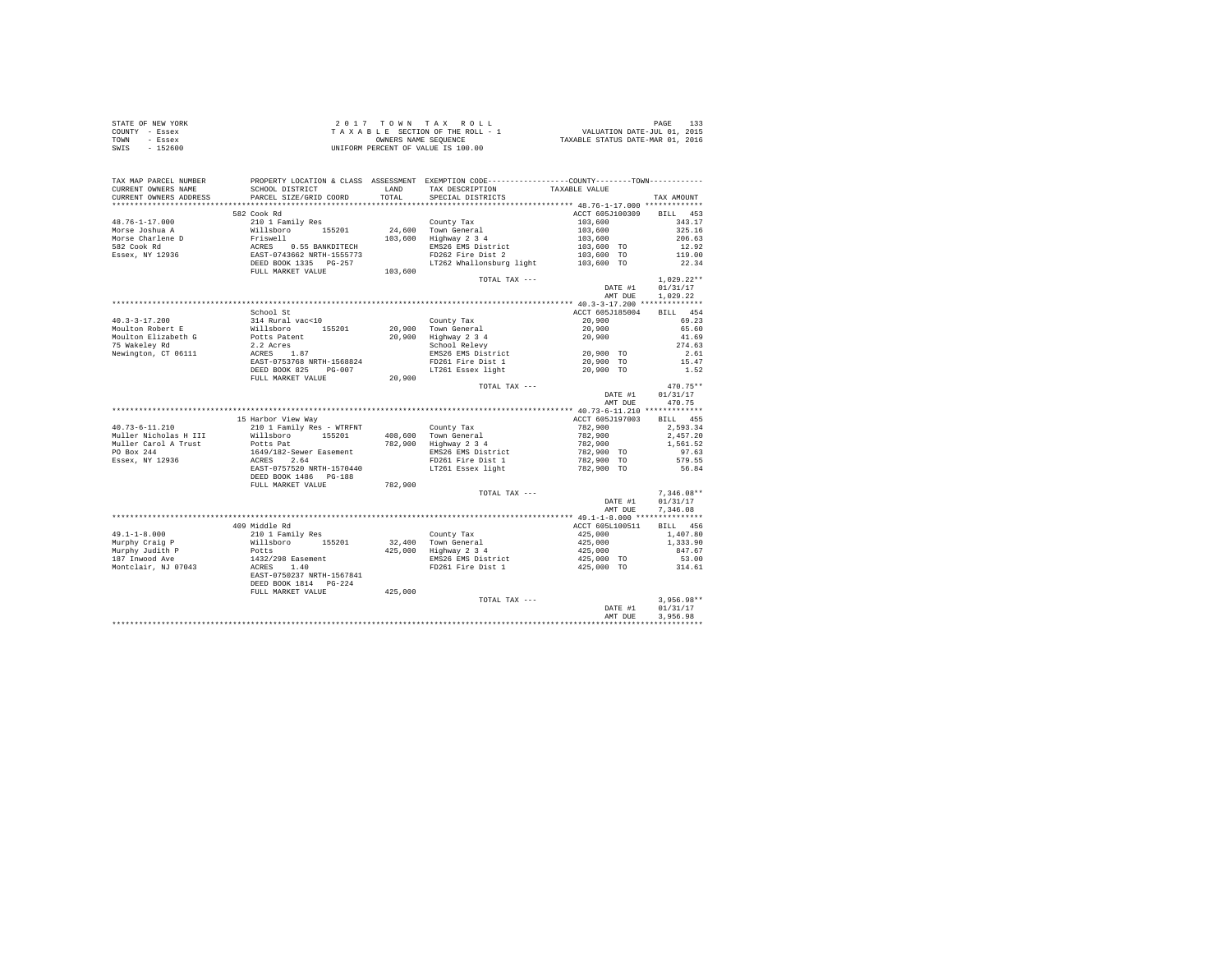| STATE OF NEW YORK | 2017 TOWN TAX ROLL                 | PAGE                             |
|-------------------|------------------------------------|----------------------------------|
| COUNTY - Essex    | TAXABLE SECTION OF THE ROLL - 1    | VALUATION DATE-JUL 01, 2015      |
| TOWN<br>- Essex   | OWNERS NAME SEOUENCE               | TAXABLE STATUS DATE-MAR 01, 2016 |
| $-152600$<br>SWIS | UNIFORM PERCENT OF VALUE IS 100.00 |                                  |

| TAX MAP PARCEL NUMBER                         |                                                                             |               | PROPERTY LOCATION & CLASS ASSESSMENT EXEMPTION CODE----------------COUNTY-------TOWN---------- |                                  |                 |
|-----------------------------------------------|-----------------------------------------------------------------------------|---------------|------------------------------------------------------------------------------------------------|----------------------------------|-----------------|
| CURRENT OWNERS NAME<br>CURRENT OWNERS ADDRESS | SCHOOL DISTRICT<br>PARCEL SIZE/GRID COORD                                   | LAND<br>TOTAL | TAX DESCRIPTION<br>SPECIAL DISTRICTS                                                           | TAXABLE VALUE                    | TAX AMOUNT      |
|                                               |                                                                             |               |                                                                                                |                                  |                 |
|                                               | 582 Cook Rd                                                                 |               |                                                                                                | ACCT 605J100309                  | BILL 453        |
| $48.76 - 1 - 17.000$                          | 210 1 Family Res                                                            |               | County Tax                                                                                     | 103,600                          | 343.17          |
| Morse Joshua A                                | Willsboro 155201<br>Friswell                                                |               | 24.600 Town General                                                                            | 103,600<br>103,600<br>103,600 TO | 325.16          |
| Morse Charlene D                              |                                                                             |               | $103,600$ Highway $2\frac{3}{4}$                                                               |                                  | 206.63          |
| 582 Cook Rd                                   | ACRES 0.55 BANKDITECH<br>EAST-0743662 NRTH-1555773<br>DEED BOOK 1335 PG-257 |               | EMS26 EMS District                                                                             |                                  | 12.92           |
| Essex, NY 12936                               |                                                                             |               | FD262 Fire Dist 2<br>LT262 Whallonsburg light 103,600 TO                                       | 103,600 TO                       | 119.00          |
|                                               | FULL MARKET VALUE                                                           | 103,600       |                                                                                                |                                  | 22.34           |
|                                               |                                                                             |               | TOTAL TAX ---                                                                                  |                                  | $1.029.22**$    |
|                                               |                                                                             |               |                                                                                                | DATE #1                          | 01/31/17        |
|                                               |                                                                             |               |                                                                                                | AMT DUE                          | 1.029.22        |
|                                               |                                                                             |               |                                                                                                |                                  |                 |
|                                               | School St                                                                   |               |                                                                                                | ACCT 605J185004                  | BILL 454        |
| $40.3 - 3 - 17.200$                           | 314 Rural vac<10                                                            |               | County Tax                                                                                     | 20,900                           | 69.23           |
| Moulton Robert E                              | Willsboro 155201<br>Potts Patent<br>2.2 Acres<br>ACRES 1.87<br>RESE 1.87    |               | 20,900 Town General                                                                            | 20,900                           | 65.60           |
| Moulton Elizabeth G                           |                                                                             |               | 20,900 Highway 2 3 4<br>School Relevy                                                          | 20,900                           | 41.69<br>274.63 |
| 75 Wakeley Rd<br>Newington, CT 06111          |                                                                             |               | EMS26 EMS District                                                                             | 20,900 TO                        | 2.61            |
|                                               | EAST-0753768 NRTH-1568824                                                   |               | FD261 Fire Dist 1                                                                              | 20,900 TO                        | 15.47           |
|                                               | DEED BOOK 825 PG-007                                                        |               | LT261 Essex light                                                                              | 20,900 TO                        | 1.52            |
|                                               | FULL MARKET VALUE                                                           | 20,900        |                                                                                                |                                  |                 |
|                                               |                                                                             |               | TOTAL TAX ---                                                                                  |                                  | 470.75**        |
|                                               |                                                                             |               |                                                                                                | DATE #1                          | 01/31/17        |
|                                               |                                                                             |               |                                                                                                | AMT DUE                          | 470.75          |
|                                               |                                                                             |               |                                                                                                |                                  |                 |
|                                               | 15 Harbor View Way                                                          |               |                                                                                                | ACCT 605J197003                  | BILL 455        |
| $40.73 - 6 - 11.210$                          | 210 1 Family Res - WTRFNT                                                   |               | County Tax                                                                                     | 782,900                          | 2,593.34        |
| Muller Nicholas H III                         | Willsboro 155201                                                            |               | 408,600 Town General                                                                           | 782,900                          | 2.457.20        |
| Muller Carol A Trust                          | Potts Pat                                                                   |               | 782,900 Highway 2 3 4                                                                          | 782,900                          | 1,561.52        |
| PO Box 244                                    | 1649/182-Sewer Easement                                                     |               | EMS26 EMS District                                                                             | 782,900 TO                       | 97.63           |
| Essex, NY 12936                               | ACRES 2.64<br>EAST-0757520 NRTH-1570440                                     |               | FD261 Fire Dist 1<br>LT261 Essex light                                                         | 782,900 TO<br>782,900 TO         | 579.55<br>56.84 |
|                                               | DEED BOOK 1486    PG-188                                                    |               |                                                                                                |                                  |                 |
|                                               | FULL MARKET VALUE                                                           | 782,900       |                                                                                                |                                  |                 |
|                                               |                                                                             |               | TOTAL TAX ---                                                                                  |                                  | $7.346.08**$    |
|                                               |                                                                             |               |                                                                                                | DATE #1                          | 01/31/17        |
|                                               |                                                                             |               |                                                                                                | AMT DUE                          | 7.346.08        |
|                                               |                                                                             |               |                                                                                                |                                  |                 |
|                                               | 409 Middle Rd                                                               |               |                                                                                                | ACCT 605L100511                  | BILL 456        |
| $49.1 - 1 - 8.000$                            | 210 1 Family Res<br>Willsboro 155201                                        |               | County Tax                                                                                     | 425,000                          | 1,407.80        |
| Murphy Craig P                                |                                                                             |               | 32,400 Town General                                                                            | 425,000                          | 1,333.90        |
| Murphy Judith P                               | Potts                                                                       |               | 425,000 Highway 2 3 4                                                                          | 425,000                          | 847.67          |
| 187 Inwood Ave                                | 1432/298 Easement<br>ACRES 1.40                                             |               | EMS26 EMS District<br>FD261 Fire Dist 1                                                        | 425,000 TO                       | 53.00<br>314.61 |
| Montclair, NJ 07043                           | EAST-0750237 NRTH-1567841                                                   |               |                                                                                                | 425,000 TO                       |                 |
|                                               | DEED BOOK 1814    PG-224                                                    |               |                                                                                                |                                  |                 |
|                                               | FULL MARKET VALUE                                                           | 425,000       |                                                                                                |                                  |                 |
|                                               |                                                                             |               | TOTAL TAX ---                                                                                  |                                  | $3.956.98**$    |
|                                               |                                                                             |               |                                                                                                | DATE #1                          | 01/31/17        |
|                                               |                                                                             |               |                                                                                                | AMT DUE                          | 3.956.98        |
|                                               |                                                                             |               |                                                                                                |                                  |                 |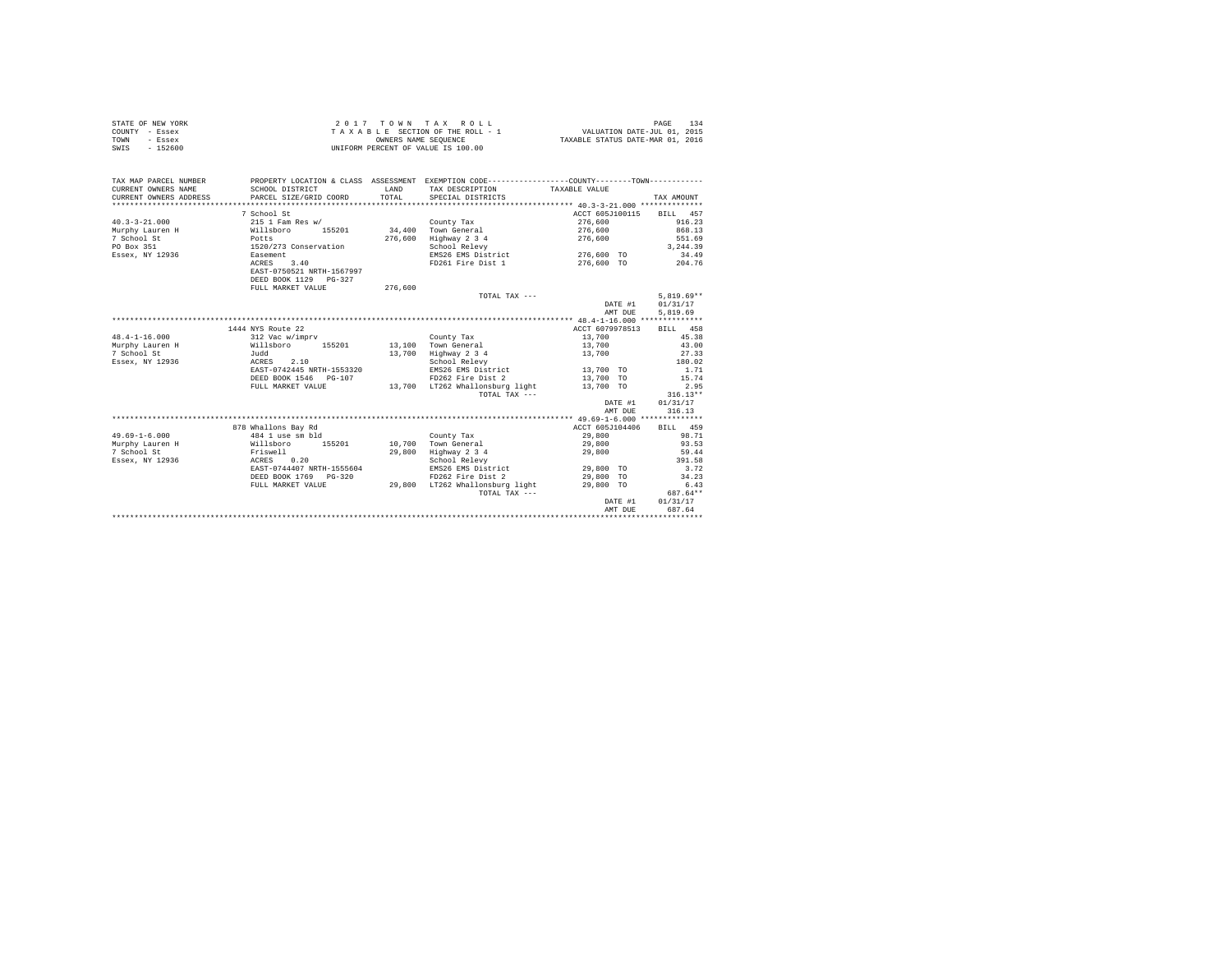|                | STATE OF NEW YORK | 2017 TOWN TAX ROLL                 | PAGE                             |
|----------------|-------------------|------------------------------------|----------------------------------|
| COUNTY - Essex |                   | TAXABLE SECTION OF THE ROLL - 1    | VALUATION DATE-JUL 01, 2015      |
| TOWN           | - Essex           | OWNERS NAME SEOUENCE               | TAXABLE STATUS DATE-MAR 01, 2016 |
| SWIS           | - 152600          | UNIFORM PERCENT OF VALUE IS 100.00 |                                  |

| 7 School St<br>ACCT 605J100115<br>BILL 457<br>$40.3 - 3 - 21.000$<br>$215$ 1 Fam Res $w/$<br>276,600<br>916.23<br>County Tax<br>34.400 Town General<br>868.13<br>155201<br>Murphy Lauren H<br>Willsboro<br>276,600<br>276,600<br>Highway 2 3 4<br>551.69<br>7 School St<br>Potts<br>276,600<br>1520/273 Conservation<br>3,244.39<br>PO Box 351<br>School Relevy<br>EMS26 EMS District 276,600 TO<br>Essex, NY 12936 Easement<br>34.49<br>FD261 Fire Dist 1 276,600 TO 204.76<br>ACRES<br>3.40<br>EAST-0750521 NRTH-1567997<br>DEED BOOK 1129 PG-327<br>FULL MARKET VALUE<br>276,600<br>$5.819.69**$<br>TOTAL TAX ---<br>01/31/17<br>DATE #1<br>AMT DUE<br>5.819.69<br>1444 NYS Route 22<br>ACCT 6079978513<br>BILL 458<br>45.38<br>$48.4 - 1 - 16.000$<br>312 Vac w/imprv<br>13,700<br>County Tax<br>Murphy Lauren H<br>Willsboro 155201<br>Judd<br>13.100 Town General<br>13,700<br>43.00<br>Highway 2 3 4<br>13,700<br>7 School St<br>13,700<br>27.33<br>ACRES 2.10<br>180.02<br>Essex, NY 12936<br>School Relevy<br>EMS26 EMS District 13,700 TO<br>EAST-0742445 NRTH-1553320<br>1.71<br>FD262 Fire Dist 2<br>15.74<br>DEED BOOK 1546    PG-107<br>13,700 TO<br>13,700 TO<br>13,700 LT262 Whallonsburg light<br>2.95<br>FULL MARKET VALUE<br>$316.13**$<br>TOTAL TAX ---<br>01/31/17<br>DATE #1<br>AMT DUE<br>316.13<br>878 Whallons Bay Rd<br>ACCT 605J104406<br>BILL 459<br>$49.69 - 1 - 6.000$<br>98.71<br>484 1 use sm bld<br>29,800<br>County Tax<br>Murphy Lauren H<br>Willsboro 155201<br>10,700 Town General<br>93.53<br>29,800<br>7 School St<br>29,800<br>Highway 2 3 4<br>29,800<br>59.44<br>Friswell<br>ACRES 0.20<br>391.58<br>Essex, NY 12936<br>School Relevy<br>EMS26 EMS District 29,800 TO<br>EAST-0744407 NRTH-1555604<br>3.72<br>DEED BOOK 1769 PG-320<br>FD262 Fire Dist 2<br>29,800 TO<br>34.23<br>29,800 LT262 Whallonsburg light<br>29,800 TO<br>6.43<br>FULL MARKET VALUE<br>687.64**<br>TOTAL TAX ---<br>01/31/17<br>DATE #1<br>687.64<br>AMT DUE | TAX MAP PARCEL NUMBER<br>CURRENT OWNERS NAME<br>CURRENT OWNERS ADDRESS PARCEL SIZE/GRID COORD | SCHOOL DISTRICT | LAND<br>TOTAL | PROPERTY LOCATION & CLASS ASSESSMENT EXEMPTION CODE----------------COUNTY-------TOWN----------<br>TAX DESCRIPTION TAXABLE VALUE<br>SPECIAL DISTRICTS | TAX AMOUNT |
|--------------------------------------------------------------------------------------------------------------------------------------------------------------------------------------------------------------------------------------------------------------------------------------------------------------------------------------------------------------------------------------------------------------------------------------------------------------------------------------------------------------------------------------------------------------------------------------------------------------------------------------------------------------------------------------------------------------------------------------------------------------------------------------------------------------------------------------------------------------------------------------------------------------------------------------------------------------------------------------------------------------------------------------------------------------------------------------------------------------------------------------------------------------------------------------------------------------------------------------------------------------------------------------------------------------------------------------------------------------------------------------------------------------------------------------------------------------------------------------------------------------------------------------------------------------------------------------------------------------------------------------------------------------------------------------------------------------------------------------------------------------------------------------------------------------------------------------------------------------------------------------------------------------------------------------------------------------------------------|-----------------------------------------------------------------------------------------------|-----------------|---------------|------------------------------------------------------------------------------------------------------------------------------------------------------|------------|
|                                                                                                                                                                                                                                                                                                                                                                                                                                                                                                                                                                                                                                                                                                                                                                                                                                                                                                                                                                                                                                                                                                                                                                                                                                                                                                                                                                                                                                                                                                                                                                                                                                                                                                                                                                                                                                                                                                                                                                                |                                                                                               |                 |               |                                                                                                                                                      |            |
|                                                                                                                                                                                                                                                                                                                                                                                                                                                                                                                                                                                                                                                                                                                                                                                                                                                                                                                                                                                                                                                                                                                                                                                                                                                                                                                                                                                                                                                                                                                                                                                                                                                                                                                                                                                                                                                                                                                                                                                |                                                                                               |                 |               |                                                                                                                                                      |            |
|                                                                                                                                                                                                                                                                                                                                                                                                                                                                                                                                                                                                                                                                                                                                                                                                                                                                                                                                                                                                                                                                                                                                                                                                                                                                                                                                                                                                                                                                                                                                                                                                                                                                                                                                                                                                                                                                                                                                                                                |                                                                                               |                 |               |                                                                                                                                                      |            |
|                                                                                                                                                                                                                                                                                                                                                                                                                                                                                                                                                                                                                                                                                                                                                                                                                                                                                                                                                                                                                                                                                                                                                                                                                                                                                                                                                                                                                                                                                                                                                                                                                                                                                                                                                                                                                                                                                                                                                                                |                                                                                               |                 |               |                                                                                                                                                      |            |
|                                                                                                                                                                                                                                                                                                                                                                                                                                                                                                                                                                                                                                                                                                                                                                                                                                                                                                                                                                                                                                                                                                                                                                                                                                                                                                                                                                                                                                                                                                                                                                                                                                                                                                                                                                                                                                                                                                                                                                                |                                                                                               |                 |               |                                                                                                                                                      |            |
|                                                                                                                                                                                                                                                                                                                                                                                                                                                                                                                                                                                                                                                                                                                                                                                                                                                                                                                                                                                                                                                                                                                                                                                                                                                                                                                                                                                                                                                                                                                                                                                                                                                                                                                                                                                                                                                                                                                                                                                |                                                                                               |                 |               |                                                                                                                                                      |            |
|                                                                                                                                                                                                                                                                                                                                                                                                                                                                                                                                                                                                                                                                                                                                                                                                                                                                                                                                                                                                                                                                                                                                                                                                                                                                                                                                                                                                                                                                                                                                                                                                                                                                                                                                                                                                                                                                                                                                                                                |                                                                                               |                 |               |                                                                                                                                                      |            |
|                                                                                                                                                                                                                                                                                                                                                                                                                                                                                                                                                                                                                                                                                                                                                                                                                                                                                                                                                                                                                                                                                                                                                                                                                                                                                                                                                                                                                                                                                                                                                                                                                                                                                                                                                                                                                                                                                                                                                                                |                                                                                               |                 |               |                                                                                                                                                      |            |
|                                                                                                                                                                                                                                                                                                                                                                                                                                                                                                                                                                                                                                                                                                                                                                                                                                                                                                                                                                                                                                                                                                                                                                                                                                                                                                                                                                                                                                                                                                                                                                                                                                                                                                                                                                                                                                                                                                                                                                                |                                                                                               |                 |               |                                                                                                                                                      |            |
|                                                                                                                                                                                                                                                                                                                                                                                                                                                                                                                                                                                                                                                                                                                                                                                                                                                                                                                                                                                                                                                                                                                                                                                                                                                                                                                                                                                                                                                                                                                                                                                                                                                                                                                                                                                                                                                                                                                                                                                |                                                                                               |                 |               |                                                                                                                                                      |            |
|                                                                                                                                                                                                                                                                                                                                                                                                                                                                                                                                                                                                                                                                                                                                                                                                                                                                                                                                                                                                                                                                                                                                                                                                                                                                                                                                                                                                                                                                                                                                                                                                                                                                                                                                                                                                                                                                                                                                                                                |                                                                                               |                 |               |                                                                                                                                                      |            |
|                                                                                                                                                                                                                                                                                                                                                                                                                                                                                                                                                                                                                                                                                                                                                                                                                                                                                                                                                                                                                                                                                                                                                                                                                                                                                                                                                                                                                                                                                                                                                                                                                                                                                                                                                                                                                                                                                                                                                                                |                                                                                               |                 |               |                                                                                                                                                      |            |
|                                                                                                                                                                                                                                                                                                                                                                                                                                                                                                                                                                                                                                                                                                                                                                                                                                                                                                                                                                                                                                                                                                                                                                                                                                                                                                                                                                                                                                                                                                                                                                                                                                                                                                                                                                                                                                                                                                                                                                                |                                                                                               |                 |               |                                                                                                                                                      |            |
|                                                                                                                                                                                                                                                                                                                                                                                                                                                                                                                                                                                                                                                                                                                                                                                                                                                                                                                                                                                                                                                                                                                                                                                                                                                                                                                                                                                                                                                                                                                                                                                                                                                                                                                                                                                                                                                                                                                                                                                |                                                                                               |                 |               |                                                                                                                                                      |            |
|                                                                                                                                                                                                                                                                                                                                                                                                                                                                                                                                                                                                                                                                                                                                                                                                                                                                                                                                                                                                                                                                                                                                                                                                                                                                                                                                                                                                                                                                                                                                                                                                                                                                                                                                                                                                                                                                                                                                                                                |                                                                                               |                 |               |                                                                                                                                                      |            |
|                                                                                                                                                                                                                                                                                                                                                                                                                                                                                                                                                                                                                                                                                                                                                                                                                                                                                                                                                                                                                                                                                                                                                                                                                                                                                                                                                                                                                                                                                                                                                                                                                                                                                                                                                                                                                                                                                                                                                                                |                                                                                               |                 |               |                                                                                                                                                      |            |
|                                                                                                                                                                                                                                                                                                                                                                                                                                                                                                                                                                                                                                                                                                                                                                                                                                                                                                                                                                                                                                                                                                                                                                                                                                                                                                                                                                                                                                                                                                                                                                                                                                                                                                                                                                                                                                                                                                                                                                                |                                                                                               |                 |               |                                                                                                                                                      |            |
|                                                                                                                                                                                                                                                                                                                                                                                                                                                                                                                                                                                                                                                                                                                                                                                                                                                                                                                                                                                                                                                                                                                                                                                                                                                                                                                                                                                                                                                                                                                                                                                                                                                                                                                                                                                                                                                                                                                                                                                |                                                                                               |                 |               |                                                                                                                                                      |            |
|                                                                                                                                                                                                                                                                                                                                                                                                                                                                                                                                                                                                                                                                                                                                                                                                                                                                                                                                                                                                                                                                                                                                                                                                                                                                                                                                                                                                                                                                                                                                                                                                                                                                                                                                                                                                                                                                                                                                                                                |                                                                                               |                 |               |                                                                                                                                                      |            |
|                                                                                                                                                                                                                                                                                                                                                                                                                                                                                                                                                                                                                                                                                                                                                                                                                                                                                                                                                                                                                                                                                                                                                                                                                                                                                                                                                                                                                                                                                                                                                                                                                                                                                                                                                                                                                                                                                                                                                                                |                                                                                               |                 |               |                                                                                                                                                      |            |
|                                                                                                                                                                                                                                                                                                                                                                                                                                                                                                                                                                                                                                                                                                                                                                                                                                                                                                                                                                                                                                                                                                                                                                                                                                                                                                                                                                                                                                                                                                                                                                                                                                                                                                                                                                                                                                                                                                                                                                                |                                                                                               |                 |               |                                                                                                                                                      |            |
|                                                                                                                                                                                                                                                                                                                                                                                                                                                                                                                                                                                                                                                                                                                                                                                                                                                                                                                                                                                                                                                                                                                                                                                                                                                                                                                                                                                                                                                                                                                                                                                                                                                                                                                                                                                                                                                                                                                                                                                |                                                                                               |                 |               |                                                                                                                                                      |            |
|                                                                                                                                                                                                                                                                                                                                                                                                                                                                                                                                                                                                                                                                                                                                                                                                                                                                                                                                                                                                                                                                                                                                                                                                                                                                                                                                                                                                                                                                                                                                                                                                                                                                                                                                                                                                                                                                                                                                                                                |                                                                                               |                 |               |                                                                                                                                                      |            |
|                                                                                                                                                                                                                                                                                                                                                                                                                                                                                                                                                                                                                                                                                                                                                                                                                                                                                                                                                                                                                                                                                                                                                                                                                                                                                                                                                                                                                                                                                                                                                                                                                                                                                                                                                                                                                                                                                                                                                                                |                                                                                               |                 |               |                                                                                                                                                      |            |
|                                                                                                                                                                                                                                                                                                                                                                                                                                                                                                                                                                                                                                                                                                                                                                                                                                                                                                                                                                                                                                                                                                                                                                                                                                                                                                                                                                                                                                                                                                                                                                                                                                                                                                                                                                                                                                                                                                                                                                                |                                                                                               |                 |               |                                                                                                                                                      |            |
|                                                                                                                                                                                                                                                                                                                                                                                                                                                                                                                                                                                                                                                                                                                                                                                                                                                                                                                                                                                                                                                                                                                                                                                                                                                                                                                                                                                                                                                                                                                                                                                                                                                                                                                                                                                                                                                                                                                                                                                |                                                                                               |                 |               |                                                                                                                                                      |            |
|                                                                                                                                                                                                                                                                                                                                                                                                                                                                                                                                                                                                                                                                                                                                                                                                                                                                                                                                                                                                                                                                                                                                                                                                                                                                                                                                                                                                                                                                                                                                                                                                                                                                                                                                                                                                                                                                                                                                                                                |                                                                                               |                 |               |                                                                                                                                                      |            |
|                                                                                                                                                                                                                                                                                                                                                                                                                                                                                                                                                                                                                                                                                                                                                                                                                                                                                                                                                                                                                                                                                                                                                                                                                                                                                                                                                                                                                                                                                                                                                                                                                                                                                                                                                                                                                                                                                                                                                                                |                                                                                               |                 |               |                                                                                                                                                      |            |
|                                                                                                                                                                                                                                                                                                                                                                                                                                                                                                                                                                                                                                                                                                                                                                                                                                                                                                                                                                                                                                                                                                                                                                                                                                                                                                                                                                                                                                                                                                                                                                                                                                                                                                                                                                                                                                                                                                                                                                                |                                                                                               |                 |               |                                                                                                                                                      |            |
|                                                                                                                                                                                                                                                                                                                                                                                                                                                                                                                                                                                                                                                                                                                                                                                                                                                                                                                                                                                                                                                                                                                                                                                                                                                                                                                                                                                                                                                                                                                                                                                                                                                                                                                                                                                                                                                                                                                                                                                |                                                                                               |                 |               |                                                                                                                                                      |            |
|                                                                                                                                                                                                                                                                                                                                                                                                                                                                                                                                                                                                                                                                                                                                                                                                                                                                                                                                                                                                                                                                                                                                                                                                                                                                                                                                                                                                                                                                                                                                                                                                                                                                                                                                                                                                                                                                                                                                                                                |                                                                                               |                 |               |                                                                                                                                                      |            |
|                                                                                                                                                                                                                                                                                                                                                                                                                                                                                                                                                                                                                                                                                                                                                                                                                                                                                                                                                                                                                                                                                                                                                                                                                                                                                                                                                                                                                                                                                                                                                                                                                                                                                                                                                                                                                                                                                                                                                                                |                                                                                               |                 |               |                                                                                                                                                      |            |
|                                                                                                                                                                                                                                                                                                                                                                                                                                                                                                                                                                                                                                                                                                                                                                                                                                                                                                                                                                                                                                                                                                                                                                                                                                                                                                                                                                                                                                                                                                                                                                                                                                                                                                                                                                                                                                                                                                                                                                                |                                                                                               |                 |               |                                                                                                                                                      |            |
|                                                                                                                                                                                                                                                                                                                                                                                                                                                                                                                                                                                                                                                                                                                                                                                                                                                                                                                                                                                                                                                                                                                                                                                                                                                                                                                                                                                                                                                                                                                                                                                                                                                                                                                                                                                                                                                                                                                                                                                |                                                                                               |                 |               |                                                                                                                                                      |            |
|                                                                                                                                                                                                                                                                                                                                                                                                                                                                                                                                                                                                                                                                                                                                                                                                                                                                                                                                                                                                                                                                                                                                                                                                                                                                                                                                                                                                                                                                                                                                                                                                                                                                                                                                                                                                                                                                                                                                                                                |                                                                                               |                 |               |                                                                                                                                                      |            |
|                                                                                                                                                                                                                                                                                                                                                                                                                                                                                                                                                                                                                                                                                                                                                                                                                                                                                                                                                                                                                                                                                                                                                                                                                                                                                                                                                                                                                                                                                                                                                                                                                                                                                                                                                                                                                                                                                                                                                                                |                                                                                               |                 |               |                                                                                                                                                      |            |
|                                                                                                                                                                                                                                                                                                                                                                                                                                                                                                                                                                                                                                                                                                                                                                                                                                                                                                                                                                                                                                                                                                                                                                                                                                                                                                                                                                                                                                                                                                                                                                                                                                                                                                                                                                                                                                                                                                                                                                                |                                                                                               |                 |               |                                                                                                                                                      |            |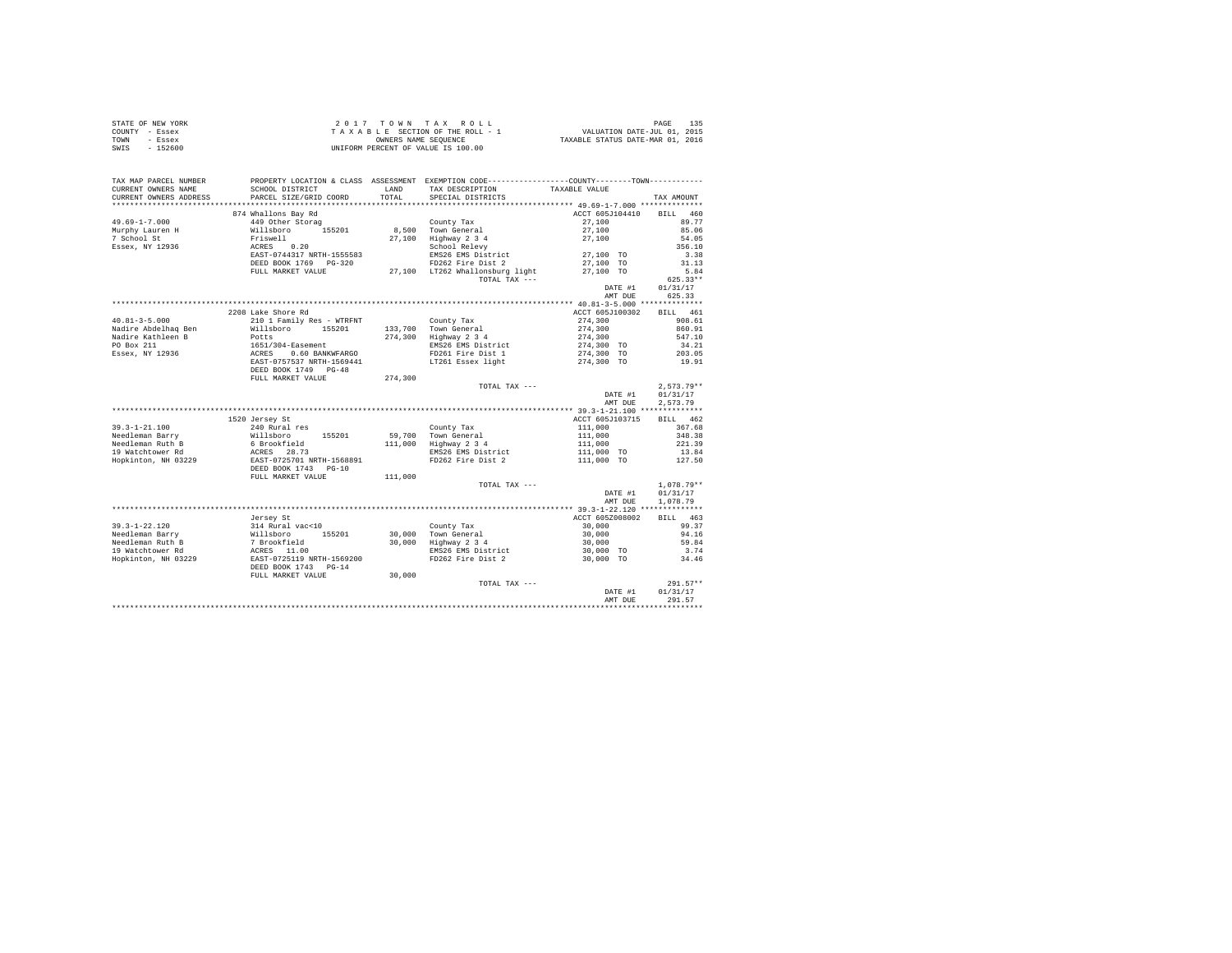| STATE OF NEW YORK | $2.017$ TOWN TAX ROLL              | 135<br>PAGE                      |
|-------------------|------------------------------------|----------------------------------|
| COUNTY - Essex    | TAXABLE SECTION OF THE ROLL - 1    | VALUATION DATE-JUL 01, 2015      |
| TOWN<br>- Essex   | OWNERS NAME SEOUENCE               | TAXABLE STATUS DATE-MAR 01, 2016 |
| SWIS<br>$-152600$ | UNIFORM PERCENT OF VALUE IS 100.00 |                                  |

| TAX MAP PARCEL NUMBER<br>CURRENT OWNERS NAME | SCHOOL DISTRICT                                                                                       | LAND    | PROPERTY LOCATION & CLASS ASSESSMENT EXEMPTION CODE----------------COUNTY-------TOWN----------<br>TAX DESCRIPTION | TAXABLE VALUE      |                    |
|----------------------------------------------|-------------------------------------------------------------------------------------------------------|---------|-------------------------------------------------------------------------------------------------------------------|--------------------|--------------------|
| CURRENT OWNERS ADDRESS                       | PARCEL SIZE/GRID COORD                                                                                | TOTAL   | SPECIAL DISTRICTS                                                                                                 |                    | TAX AMOUNT         |
| ******************                           | *************************                                                                             |         |                                                                                                                   |                    |                    |
|                                              | 874 Whallons Bay Rd                                                                                   |         |                                                                                                                   | ACCT 605J104410    | <b>BILL</b><br>460 |
| $49.69 - 1 - 7.000$                          | 449 Other Storag                                                                                      |         | County Tax                                                                                                        | 27,100             | 89.77              |
| Murphy Lauren H                              | Willsboro 155201                                                                                      |         | 8,500 Town General                                                                                                | 27,100             | 85.06              |
| 7 School St                                  | Friswell                                                                                              |         | 27,100 Highway 2 3 4<br>School Relevy                                                                             | 27,100             | 54.05              |
| Essex, NY 12936                              | 0.20<br>ACRES                                                                                         |         |                                                                                                                   |                    | 356.10             |
|                                              | EAST-0744317 NRTH-1555583                                                                             |         | EMS26 EMS District                                                                                                | 27,100 TO          | 3.38               |
|                                              | DEED BOOK 1769 PG-320                                                                                 |         | FD262 Fire Dist 2                                                                                                 | 27,100 TO          | 31.13              |
|                                              | FULL MARKET VALUE                                                                                     |         | 27,100 LT262 Whallonsburg light                                                                                   | 27,100 TO          | 5.84               |
|                                              |                                                                                                       |         | TOTAL TAX ---                                                                                                     |                    | $625.33**$         |
|                                              |                                                                                                       |         |                                                                                                                   | DATE #1            | 01/31/17           |
|                                              |                                                                                                       |         |                                                                                                                   | AMT DUE            | 625.33             |
|                                              |                                                                                                       |         |                                                                                                                   |                    |                    |
|                                              | 2208 Lake Shore Rd                                                                                    |         |                                                                                                                   | ACCT 605J100302    | BILL 461           |
| $40.81 - 3 - 5.000$                          | 210 1 Family Res - WTRFNT                                                                             |         | County Tax                                                                                                        | 274,300            | 908.61             |
| Nadire Abdelhaq Ben                          | Willsboro 155201                                                                                      |         | 133,700 Town General                                                                                              | 274,300            | 860.91             |
| Nadire Kathleen B                            | Potts                                                                                                 |         | 274,300 Highway 2 3 4                                                                                             | 274,300            | 547.10             |
| PO Box 211                                   |                                                                                                       |         | EMS26 EMS District                                                                                                | 274,300 TO         | 34.21              |
| Essex, NY 12936                              | 1651/304-Easement<br>ACRES 0.60 BANKWFARGO<br>EAST-0757537 NRTH-1569441                               |         | FD261 Fire Dist 1                                                                                                 | 274,300 TO         | 203.05             |
|                                              |                                                                                                       |         | LT261 Essex light                                                                                                 | 274,300 TO         | 19.91              |
|                                              | DEED BOOK 1749 PG-48                                                                                  |         |                                                                                                                   |                    |                    |
|                                              | FULL MARKET VALUE                                                                                     | 274,300 |                                                                                                                   |                    |                    |
|                                              |                                                                                                       |         | TOTAL TAX ---                                                                                                     |                    | $2,573.79**$       |
|                                              |                                                                                                       |         |                                                                                                                   | DATE #1            | 01/31/17           |
|                                              |                                                                                                       |         |                                                                                                                   | AMT DUE            | 2,573.79           |
|                                              |                                                                                                       |         |                                                                                                                   |                    |                    |
|                                              | 1520 Jersey St                                                                                        |         |                                                                                                                   | ACCT 605J103715    | BILL 462           |
| $39.3 - 1 - 21.100$                          | 240 Rural res                                                                                         |         | County Tax                                                                                                        | 111,000<br>111,000 | 367.68             |
| Needleman Barry                              | % Mulaboro 155201<br>6 Brookfield<br>RCRES 28.73<br>EAST-0725701 NRTH-1568891<br>DEED BOOK 1743 PG-10 |         | 59,700 Town General                                                                                               |                    | 348.38             |
| Needleman Ruth B                             |                                                                                                       |         | 111,000 Highway 2 3 4                                                                                             | 111,000            | 221.39             |
| 19 Watchtower Rd                             |                                                                                                       |         | EMS26 EMS District                                                                                                | 111,000 TO         | 13.84              |
| Hopkinton, NH 03229                          |                                                                                                       |         | FD262 Fire Dist 2                                                                                                 | 111,000 TO         | 127.50             |
|                                              |                                                                                                       |         |                                                                                                                   |                    |                    |
|                                              | FULL MARKET VALUE                                                                                     | 111,000 |                                                                                                                   |                    |                    |
|                                              |                                                                                                       |         | TOTAL TAX ---                                                                                                     |                    | $1.078.79**$       |
|                                              |                                                                                                       |         |                                                                                                                   | DATE #1            | 01/31/17           |
|                                              |                                                                                                       |         |                                                                                                                   | AMT DUE            | 1,078.79           |
|                                              |                                                                                                       |         |                                                                                                                   |                    |                    |
|                                              | Jersey St                                                                                             |         |                                                                                                                   | ACCT 605Z008002    | BILL 463           |
| 39.3-1-22.120                                |                                                                                                       |         | County Tax<br>30,000 Town General                                                                                 | 30,000             | 99.37              |
| Needleman Barry                              |                                                                                                       |         |                                                                                                                   | 30,000             | 94.16              |
| Needleman Ruth B                             |                                                                                                       |         | 30,000 Highway 2 3 4                                                                                              | 30,000             | 59.84              |
| 19 Watchtower Rd                             |                                                                                                       |         | EMS26 EMS District                                                                                                | 30,000 TO          | 3.74               |
| Hopkinton, NH 03229                          |                                                                                                       |         | FD262 Fire Dist 2                                                                                                 | 30,000 TO          | 34.46              |
|                                              | DEED BOOK 1743 PG-14                                                                                  |         |                                                                                                                   |                    |                    |
|                                              | FULL MARKET VALUE                                                                                     | 30,000  |                                                                                                                   |                    |                    |
|                                              |                                                                                                       |         | TOTAL TAX ---                                                                                                     |                    | $291.57**$         |
|                                              |                                                                                                       |         |                                                                                                                   | DATE #1            | 01/31/17           |
|                                              |                                                                                                       |         |                                                                                                                   | AMT DUE            | 291.57             |
|                                              |                                                                                                       |         |                                                                                                                   |                    |                    |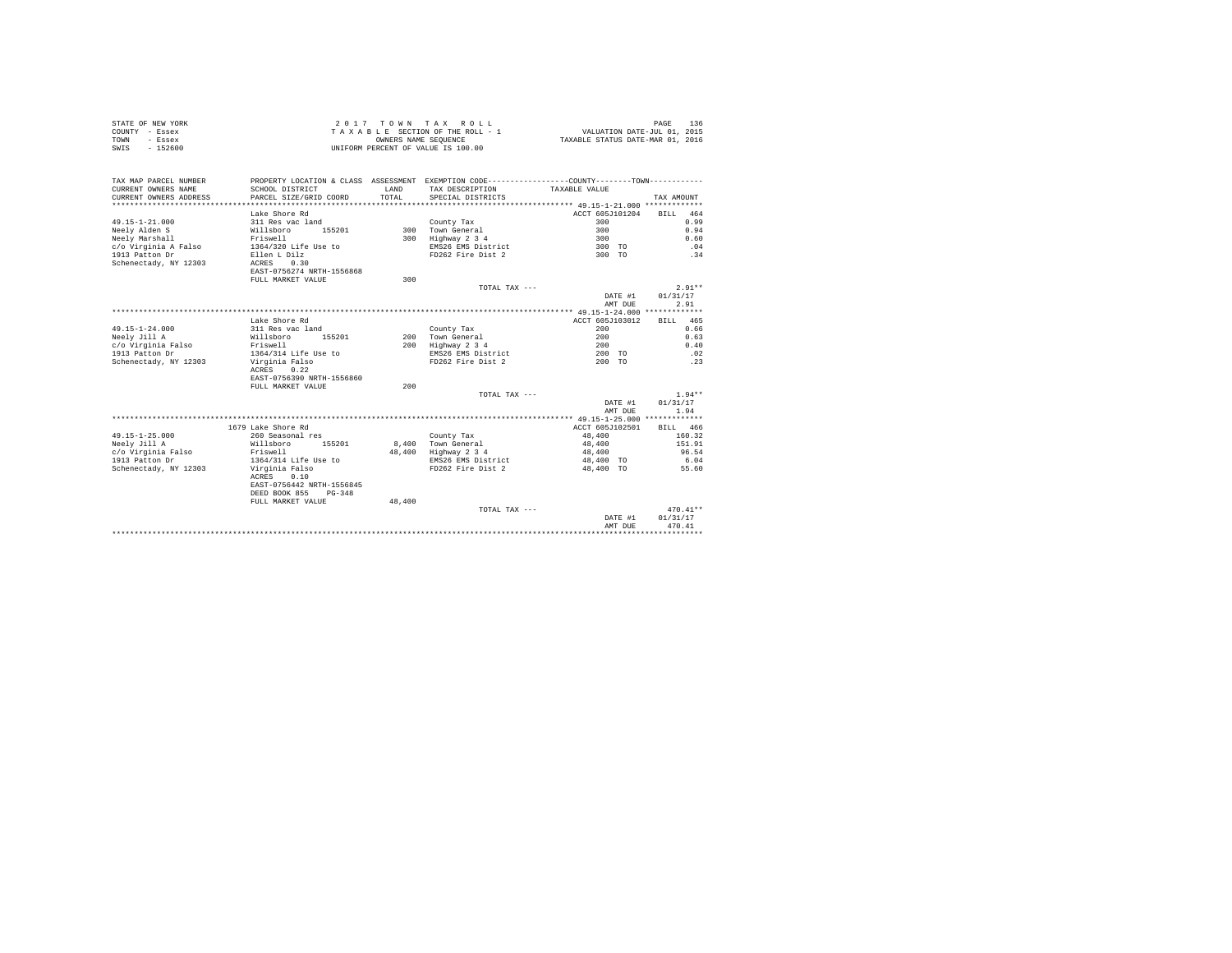| STATE OF NEW YORK | 2017 TOWN TAX ROLL                 | 136<br>PAGE                      |
|-------------------|------------------------------------|----------------------------------|
| COUNTY - Essex    | TAXABLE SECTION OF THE ROLL - 1    | VALUATION DATE-JUL 01, 2015      |
| TOWN<br>- Essex   | OWNERS NAME SEOUENCE               | TAXABLE STATUS DATE-MAR 01, 2016 |
| $-152600$<br>SWIS | UNIFORM PERCENT OF VALUE IS 100.00 |                                  |

| TAX MAP PARCEL NUMBER<br>CURRENT OWNERS NAME<br>CURRENT OWNERS ADDRESS | PROPERTY LOCATION & CLASS ASSESSMENT EXEMPTION CODE----------------COUNTY--------TOWN----------<br>SCHOOL DISTRICT<br>PARCEL SIZE/GRID COORD | LAND<br>TOTAL. | TAX DESCRIPTION<br>SPECIAL DISTRICTS | TAXABLE VALUE                              | TAX AMOUNT         |
|------------------------------------------------------------------------|----------------------------------------------------------------------------------------------------------------------------------------------|----------------|--------------------------------------|--------------------------------------------|--------------------|
|                                                                        | Lake Shore Rd                                                                                                                                |                |                                      | ACCT 605J101204                            | 464<br>BTT.L       |
| $49.15 - 1 - 21.000$                                                   | 311 Res vac land                                                                                                                             |                | County Tax                           | 300                                        | 0.99               |
| Neelv Alden S                                                          | Willsboro<br>155201                                                                                                                          | 300            | Town General                         | 300                                        | 0.94               |
| Neelv Marshall                                                         | Friswell                                                                                                                                     | 300            | Highway 2 3 4                        | 300                                        | 0.60               |
| c/o Virginia A Falso                                                   | 1364/320 Life Use to                                                                                                                         |                | EMS26 EMS District                   | 300 TO                                     | .04                |
| 1913 Patton Dr                                                         | Ellen L Dilz                                                                                                                                 |                | FD262 Fire Dist 2                    | 300 TO                                     | .34                |
| Schenectady, NY 12303                                                  | 0.30<br>ACRES                                                                                                                                |                |                                      |                                            |                    |
|                                                                        | EAST-0756274 NRTH-1556868                                                                                                                    |                |                                      |                                            |                    |
|                                                                        | FULL MARKET VALUE                                                                                                                            | 300            |                                      |                                            |                    |
|                                                                        |                                                                                                                                              |                | TOTAL TAX ---                        |                                            | $2.91**$           |
|                                                                        |                                                                                                                                              |                |                                      | DATE #1                                    | 01/31/17           |
|                                                                        |                                                                                                                                              |                |                                      | AMT DUE                                    | 2.91               |
|                                                                        |                                                                                                                                              |                |                                      |                                            |                    |
|                                                                        |                                                                                                                                              |                |                                      |                                            |                    |
|                                                                        | Lake Shore Rd                                                                                                                                |                |                                      | ACCT 605J103012                            | 465<br><b>BILL</b> |
| $49.15 - 1 - 24.000$                                                   | 311 Res vac land                                                                                                                             | 200            | County Tax                           | 200<br>200                                 | 0.66<br>0.63       |
| Neelv Jill A                                                           | Willsboro<br>155201<br>Friswell                                                                                                              | 200            | Town General                         | 200                                        |                    |
| c/o Virginia Falso                                                     |                                                                                                                                              |                | Highway 2 3 4<br>EMS26 EMS District  |                                            | 0.40               |
| 1913 Patton Dr                                                         | 1364/314 Life Use to                                                                                                                         |                |                                      | 200 TO                                     | .02                |
| Schenectady, NY 12303                                                  | Virginia Falso                                                                                                                               |                | FD262 Fire Dist 2                    | 200 TO                                     | .23                |
|                                                                        | 0.22<br>ACRES                                                                                                                                |                |                                      |                                            |                    |
|                                                                        | EAST-0756390 NRTH-1556860                                                                                                                    |                |                                      |                                            |                    |
|                                                                        | FULL MARKET VALUE                                                                                                                            | 200            |                                      |                                            |                    |
|                                                                        |                                                                                                                                              |                | TOTAL TAX ---                        |                                            | $1.94**$           |
|                                                                        |                                                                                                                                              |                |                                      | DATE #1                                    | 01/31/17           |
|                                                                        |                                                                                                                                              |                |                                      | AMT DUE                                    | 1.94               |
|                                                                        |                                                                                                                                              |                |                                      | ************* 49.15-1-25.000 ************* |                    |
|                                                                        | 1679 Lake Shore Rd                                                                                                                           |                |                                      | ACCT 605J102501                            | RTLL 466           |
| $49.15 - 1 - 25.000$                                                   | 260 Seasonal res                                                                                                                             |                | County Tax                           | 48,400                                     | 160.32             |
| Neelv Jill A                                                           | Willsboro<br>155201                                                                                                                          | 8,400          | Town General                         | 48,400                                     | 151.91             |
| c/o Virginia Falso                                                     | Friswell                                                                                                                                     | 48,400         | Highway 2 3 4                        | 48,400                                     | 96.54              |
| 1913 Patton Dr                                                         | 1364/314 Life Use to                                                                                                                         |                | EMS26 EMS District                   | 48,400 TO                                  | 6.04               |
| Schenectady, NY 12303                                                  | Virginia Falso                                                                                                                               |                | FD262 Fire Dist 2                    | 48,400 TO                                  | 55.60              |
|                                                                        | ACRES<br>0.10                                                                                                                                |                |                                      |                                            |                    |
|                                                                        | EAST-0756442 NRTH-1556845                                                                                                                    |                |                                      |                                            |                    |
|                                                                        | DEED BOOK 855<br>$PG-348$                                                                                                                    |                |                                      |                                            |                    |
|                                                                        | FULL MARKET VALUE                                                                                                                            | 48,400         |                                      |                                            |                    |
|                                                                        |                                                                                                                                              |                | TOTAL TAX ---                        |                                            | $470.41**$         |
|                                                                        |                                                                                                                                              |                |                                      | DATE #1                                    | 01/31/17           |
|                                                                        |                                                                                                                                              |                |                                      | AMT DUE                                    | 470.41             |
|                                                                        |                                                                                                                                              |                |                                      |                                            |                    |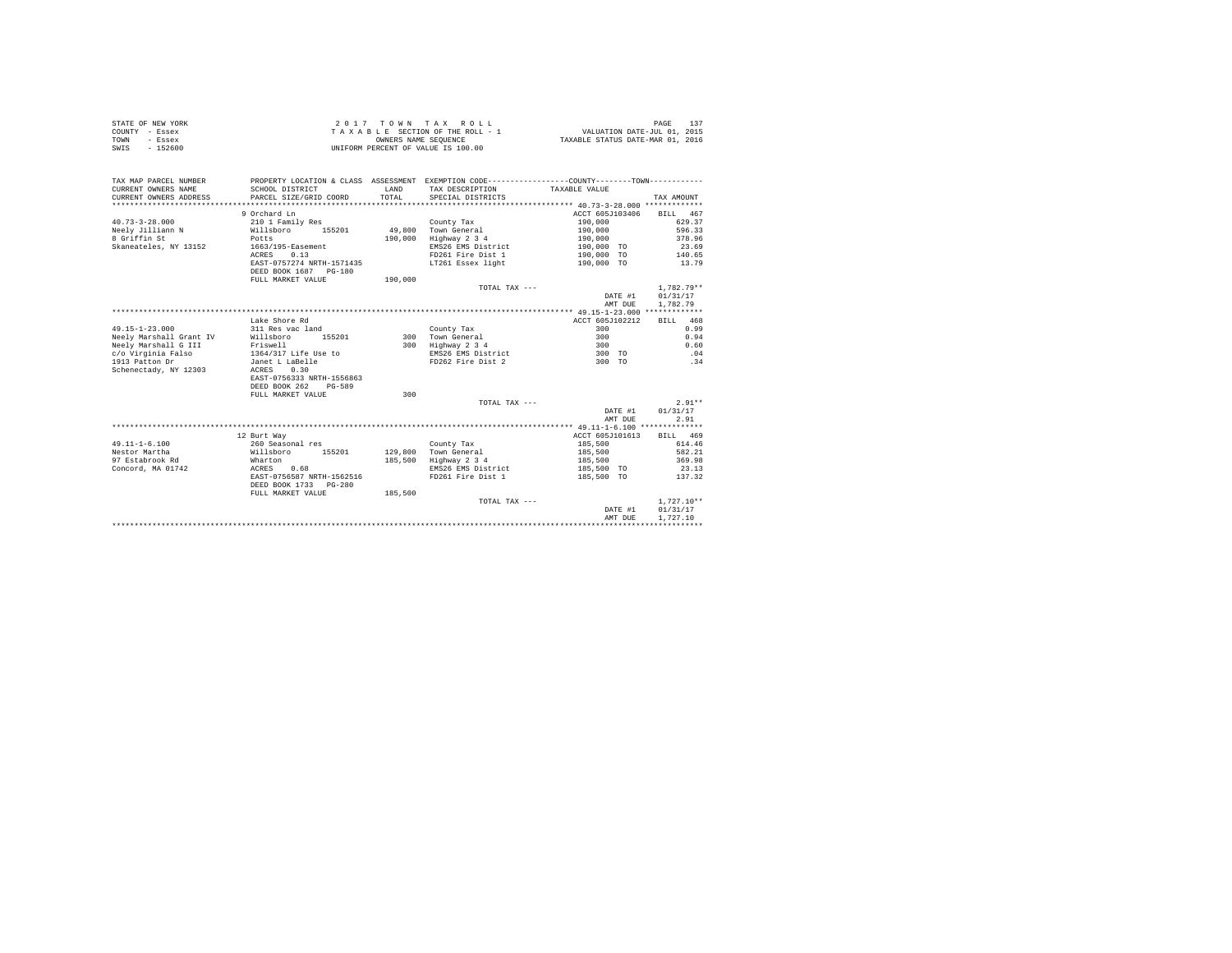|                | STATE OF NEW YORK | 2017 TOWN TAX ROLL                 | 137<br>PAGE                      |
|----------------|-------------------|------------------------------------|----------------------------------|
| COUNTY - Essex |                   | TAXABLE SECTION OF THE ROLL - 1    | VALUATION DATE-JUL 01, 2015      |
| TOWN           | - Essex           | OWNERS NAME SEOUENCE               | TAXABLE STATUS DATE-MAR 01, 2016 |
| SWIS           | $-152600$         | UNIFORM PERCENT OF VALUE IS 100.00 |                                  |

| TAX MAP PARCEL NUMBER<br>CURRENT OWNERS NAME<br>CURRENT OWNERS ADDRESS            | SCHOOL DISTRICT<br>PARCEL SIZE/GRID COORD                                                                                           | LAND<br>TOTAL. | PROPERTY LOCATION & CLASS ASSESSMENT EXEMPTION CODE----------------COUNTY--------TOWN----------<br>TAX DESCRIPTION TAXABLE VALUE<br>SPECIAL DISTRICTS |                                                                                            | TAX AMOUNT                                                         |
|-----------------------------------------------------------------------------------|-------------------------------------------------------------------------------------------------------------------------------------|----------------|-------------------------------------------------------------------------------------------------------------------------------------------------------|--------------------------------------------------------------------------------------------|--------------------------------------------------------------------|
| $40.73 - 3 - 28.000$<br>Neelv Jilliann N<br>8 Griffin St<br>Skaneateles, NY 13152 | 9 Orchard Ln<br>210 1 Family Res<br>Willsboro<br>155201<br>Potts<br>1663/195-Easement<br>0.13<br>ACRES<br>EAST-0757274 NRTH-1571435 | 190,000        | County Tax<br>49.800 Town General<br>Highway 2 3 4<br>EMS26 EMS District<br>FD261 Fire Dist 1<br>LT261 Essex light                                    | ACCT 605J103406<br>190,000<br>190,000<br>190,000<br>190.000 TO<br>190,000 TO<br>190,000 TO | BILL 467<br>629.37<br>596.33<br>378.96<br>23.69<br>140.65<br>13.79 |
|                                                                                   | DEED BOOK 1687 PG-180<br>FULL MARKET VALUE                                                                                          | 190,000        | TOTAL TAX ---                                                                                                                                         | DATE #1<br>AMT DUE                                                                         | $1.782.79**$<br>01/31/17<br>1,782.79                               |
|                                                                                   |                                                                                                                                     |                |                                                                                                                                                       |                                                                                            |                                                                    |
| $49.15 - 1 - 23.000$                                                              | Lake Shore Rd<br>311 Res vac land                                                                                                   |                | County Tax                                                                                                                                            | ACCT 605J102212<br>300                                                                     | BILL 468<br>0.99                                                   |
| Neely Marshall Grant IV                                                           | 155201<br>Willsboro                                                                                                                 |                | 300 Town General                                                                                                                                      | 300                                                                                        | 0.94                                                               |
| Neely Marshall G III                                                              | Friswell                                                                                                                            |                | 300 Highway 2 3 4                                                                                                                                     | 300                                                                                        | 0.60                                                               |
| c/o Virginia Falso                                                                | 1364/317 Life Use to                                                                                                                |                | EMS26 EMS District                                                                                                                                    | 300 TO                                                                                     | .04                                                                |
| 1913 Patton Dr<br>Schenectady, NY 12303                                           | Janet L LaBelle<br>0.30<br>ACRES<br>EAST-0756333 NRTH-1556863<br>DEED BOOK 262<br>$PG-589$                                          |                | FD262 Fire Dist 2                                                                                                                                     | 300 TO                                                                                     | .34                                                                |
|                                                                                   | FULL MARKET VALUE                                                                                                                   | 300            |                                                                                                                                                       |                                                                                            |                                                                    |
|                                                                                   |                                                                                                                                     |                | TOTAL TAX $---$                                                                                                                                       | DATE #1<br>AMT DUE                                                                         | $2.91**$<br>01/31/17<br>2.91                                       |
|                                                                                   |                                                                                                                                     |                |                                                                                                                                                       |                                                                                            |                                                                    |
|                                                                                   | 12 Burt Way                                                                                                                         |                |                                                                                                                                                       | ACCT 605J101613                                                                            | BILL 469                                                           |
| $49.11 - 1 - 6.100$                                                               | 260 Seasonal res                                                                                                                    |                | County Tax                                                                                                                                            | 185,500                                                                                    | 614.46                                                             |
| Nestor Martha                                                                     | Willsboro<br>155201                                                                                                                 |                | 129,800 Town General                                                                                                                                  | 185,500                                                                                    | 582.21                                                             |
| 97 Estabrook Rd                                                                   | Wharton                                                                                                                             | 185,500        | Highway 2 3 4                                                                                                                                         | 185,500                                                                                    | 369.98                                                             |
| Concord, MA 01742                                                                 | ACRES 0.68                                                                                                                          |                | EMS26 EMS District                                                                                                                                    | 185,500 TO                                                                                 | 23.13                                                              |
|                                                                                   | EAST-0756587 NRTH-1562516<br>DEED BOOK 1733 PG-280                                                                                  |                | FD261 Fire Dist 1                                                                                                                                     | 185,500 TO                                                                                 | 137.32                                                             |
|                                                                                   | FULL MARKET VALUE                                                                                                                   | 185,500        |                                                                                                                                                       |                                                                                            |                                                                    |
|                                                                                   |                                                                                                                                     |                | TOTAL TAX ---                                                                                                                                         |                                                                                            | $1,727.10**$                                                       |
|                                                                                   |                                                                                                                                     |                |                                                                                                                                                       | DATE #1                                                                                    | 01/31/17                                                           |
|                                                                                   |                                                                                                                                     |                |                                                                                                                                                       | AMT DUE                                                                                    | 1,727.10                                                           |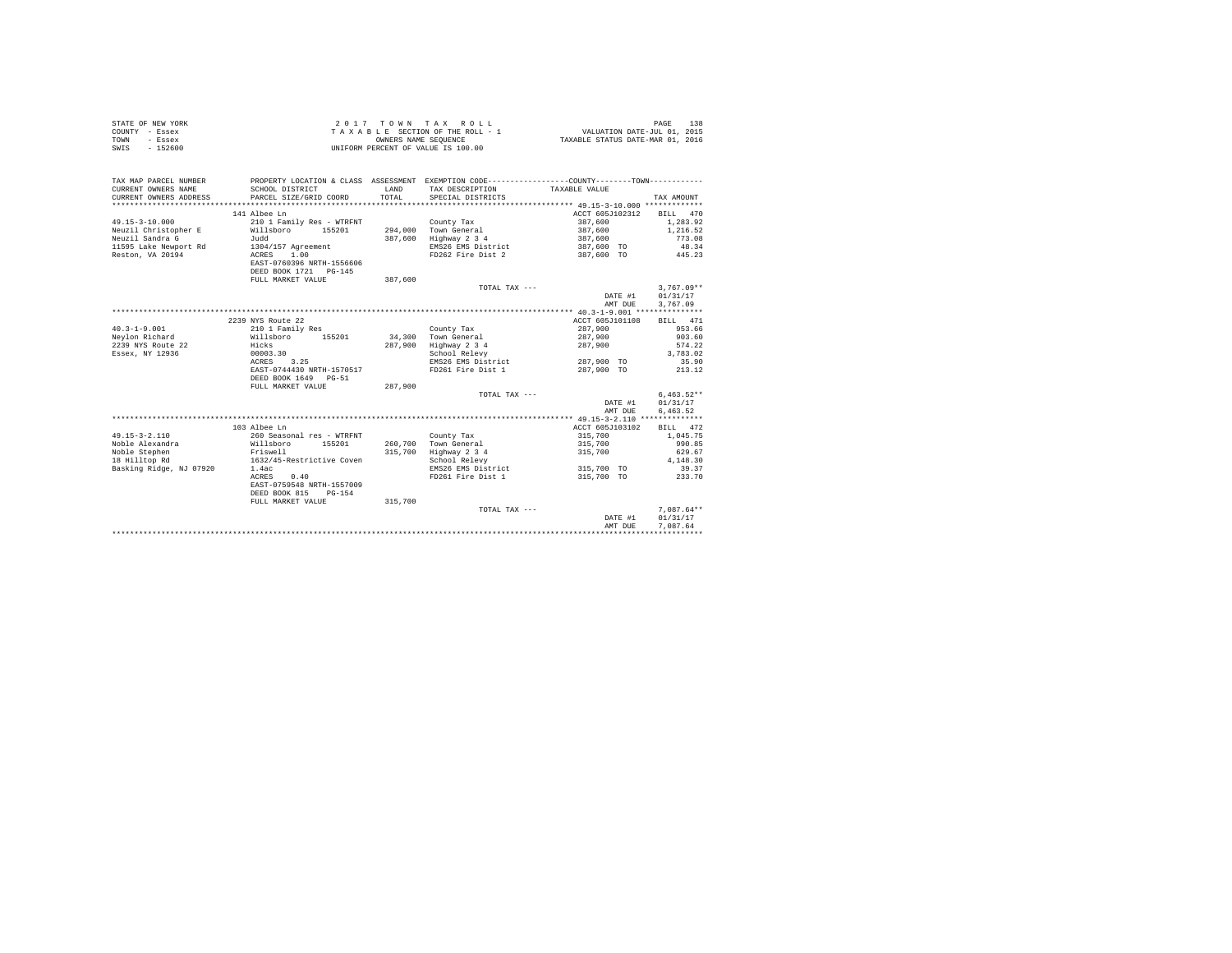| STATE OF NEW YORK | 2017 TOWN TAX ROLL                 | 138<br>PAGE                      |
|-------------------|------------------------------------|----------------------------------|
| COUNTY - Essex    | TAXABLE SECTION OF THE ROLL - 1    | VALUATION DATE-JUL 01, 2015      |
| TOWN<br>- Essex   | OWNERS NAME SEOUENCE               | TAXABLE STATUS DATE-MAR 01, 2016 |
| SWIS<br>$-152600$ | UNIFORM PERCENT OF VALUE IS 100.00 |                                  |

| TAX MAP PARCEL NUMBER<br>CURRENT OWNERS NAME<br>CURRENT OWNERS ADDRESS | SCHOOL DISTRICT<br>PARCEL SIZE/GRID COORD | <b>T.AND</b><br>TOTAL | PROPERTY LOCATION & CLASS ASSESSMENT EXEMPTION CODE----------------COUNTY-------TOWN----------<br>TAX DESCRIPTION TAXABLE VALUE<br>SPECIAL DISTRICTS |                 | TAX AMOUNT   |
|------------------------------------------------------------------------|-------------------------------------------|-----------------------|------------------------------------------------------------------------------------------------------------------------------------------------------|-----------------|--------------|
|                                                                        | 141 Albee Ln                              |                       |                                                                                                                                                      | ACCT 605J102312 | BILL 470     |
| $49.15 - 3 - 10.000$                                                   | 210 1 Family Res - WTRFNT                 |                       | County Tax                                                                                                                                           | 387,600         | 1,283.92     |
| Neuzil Christopher E                                                   | Willsboro<br>155201                       |                       | 294,000 Town General                                                                                                                                 | 387,600         | 1,216.52     |
| Neuzil Sandra G                                                        | Judd                                      | 387,600               | Highway 2 3 4                                                                                                                                        | 387,600         | 773.08       |
| 11595 Lake Newport Rd                                                  | 1304/157 Agreement                        |                       | EMS26 EMS District                                                                                                                                   | 387,600 TO      | 48.34        |
| Reston, VA 20194                                                       | 1.00<br>ACRES                             |                       | FD262 Fire Dist 2                                                                                                                                    | 387,600 TO      | 445.23       |
|                                                                        | EAST-0760396 NRTH-1556606                 |                       |                                                                                                                                                      |                 |              |
|                                                                        | DEED BOOK 1721 PG-145                     |                       |                                                                                                                                                      |                 |              |
|                                                                        | FULL MARKET VALUE                         | 387,600               |                                                                                                                                                      |                 |              |
|                                                                        |                                           |                       | TOTAL TAX $---$                                                                                                                                      |                 | $3,767.09**$ |
|                                                                        |                                           |                       |                                                                                                                                                      | DATE #1         | 01/31/17     |
|                                                                        |                                           |                       |                                                                                                                                                      | AMT DUE         | 3,767.09     |
|                                                                        |                                           |                       |                                                                                                                                                      |                 |              |
|                                                                        | 2239 NYS Route 22                         |                       |                                                                                                                                                      | ACCT 605J101108 | BILL 471     |
| $40.3 - 1 - 9.001$                                                     | 210 1 Family Res                          |                       | County Tax                                                                                                                                           | 287,900         | 953.66       |
| Nevlon Richard                                                         | Willsboro<br>155201                       |                       | 34,300 Town General                                                                                                                                  | 287,900         | 903.60       |
| 2239 NYS Route 22                                                      | Hicks                                     | 287,900               | Highway 2 3 4                                                                                                                                        | 287.900         | 574.22       |
| Essex, NY 12936                                                        | 00003.30                                  |                       | School Relevy                                                                                                                                        |                 | 3,783.02     |
|                                                                        | 3.25<br>ACRES                             |                       | EMS26 EMS District                                                                                                                                   | 287,900 TO      | 35.90        |
|                                                                        | EAST-0744430 NRTH-1570517                 |                       | FD261 Fire Dist 1                                                                                                                                    | 287,900 TO      | 213.12       |
|                                                                        | DEED BOOK 1649 PG-51                      |                       |                                                                                                                                                      |                 |              |
|                                                                        | FULL MARKET VALUE                         | 287,900               |                                                                                                                                                      |                 |              |
|                                                                        |                                           |                       | TOTAL TAX ---                                                                                                                                        |                 | $6.463.52**$ |
|                                                                        |                                           |                       |                                                                                                                                                      | DATE #1         | 01/31/17     |
|                                                                        |                                           |                       |                                                                                                                                                      | AMT DUE         | 6.463.52     |
|                                                                        |                                           |                       |                                                                                                                                                      |                 |              |
|                                                                        | 103 Albee Ln                              |                       |                                                                                                                                                      | ACCT 605J103102 | BILL 472     |
| $49.15 - 3 - 2.110$                                                    | 260 Seasonal res - WTRFNT                 |                       | County Tax                                                                                                                                           | 315,700         | 1,045.75     |
| Noble Alexandra                                                        | Willsboro<br>155201                       | 260.700               | Town General                                                                                                                                         | 315,700         | 990.85       |
| Noble Stephen                                                          | Friswell                                  | 315,700               | Highway 2 3 4                                                                                                                                        | 315,700         | 629.67       |
| 18 Hilltop Rd                                                          | 1632/45-Restrictive Coven                 |                       | School Relevy                                                                                                                                        |                 | 4,148.30     |
| Basking Ridge, NJ 07920                                                | 1.4ac                                     |                       | EMS26 EMS District                                                                                                                                   | 315,700 TO      | 39.37        |
|                                                                        | 0.40<br>ACRES                             |                       | FD261 Fire Dist 1                                                                                                                                    | 315,700 TO      | 233.70       |
|                                                                        | EAST-0759548 NRTH-1557009                 |                       |                                                                                                                                                      |                 |              |
|                                                                        | DEED BOOK 815<br>$PG-154$                 |                       |                                                                                                                                                      |                 |              |
|                                                                        | FULL MARKET VALUE                         | 315,700               |                                                                                                                                                      |                 |              |
|                                                                        |                                           |                       | TOTAL TAX ---                                                                                                                                        |                 | $7.087.64**$ |
|                                                                        |                                           |                       |                                                                                                                                                      | DATE #1         | 01/31/17     |
|                                                                        |                                           |                       |                                                                                                                                                      | AMT DUE         | 7.087.64     |
|                                                                        |                                           |                       |                                                                                                                                                      |                 |              |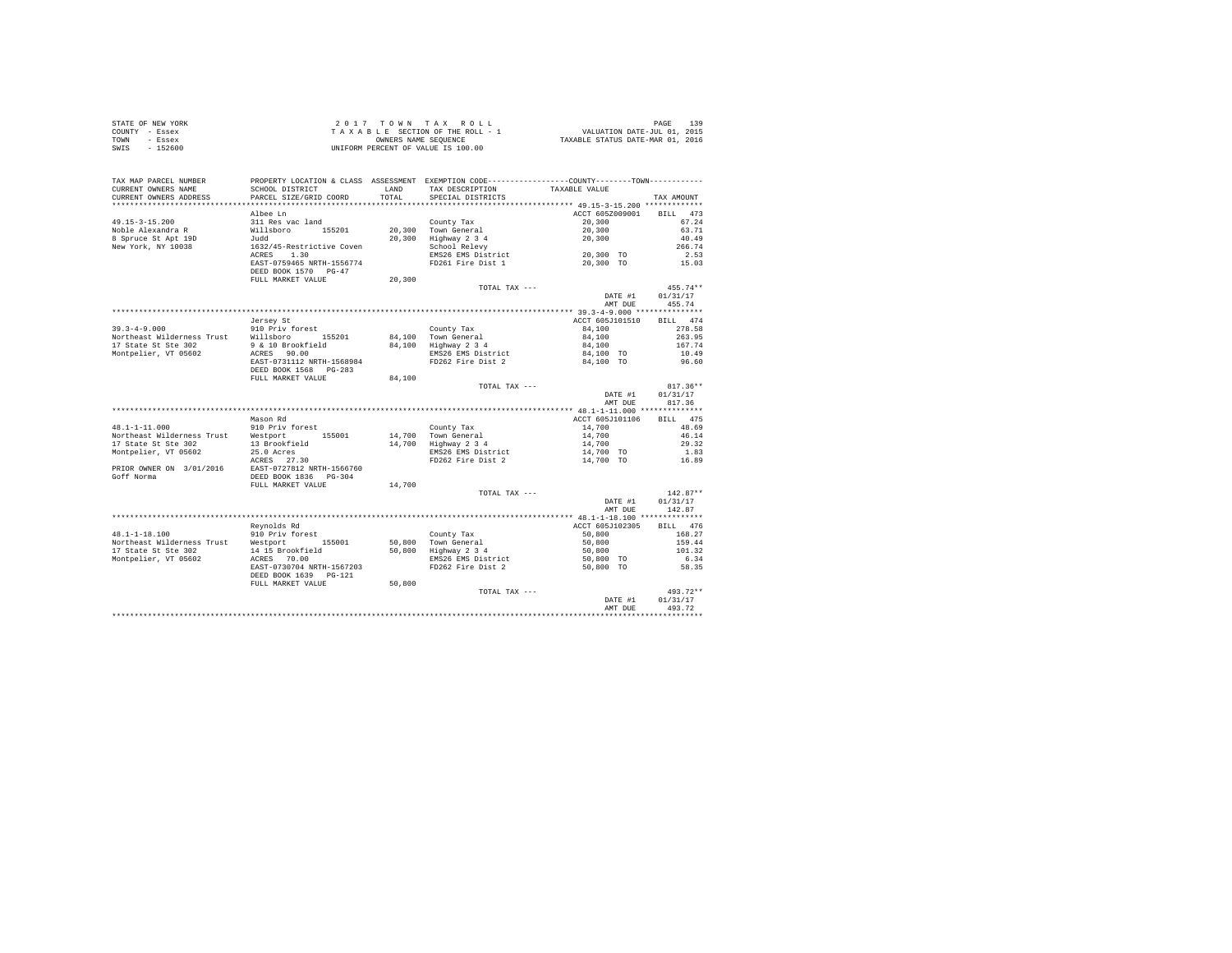| STATE OF NEW YORK | 2017 TOWN TAX ROLL                 | 139<br>PAGE                      |
|-------------------|------------------------------------|----------------------------------|
| COUNTY - Essex    | TAXABLE SECTION OF THE ROLL - 1    | VALUATION DATE-JUL 01, 2015      |
| TOWN<br>- Essex   | OWNERS NAME SEOUENCE               | TAXABLE STATUS DATE-MAR 01, 2016 |
| $-152600$<br>SWIS | UNIFORM PERCENT OF VALUE IS 100.00 |                                  |

| TAX MAP PARCEL NUMBER                      |                                                    |        | PROPERTY LOCATION & CLASS ASSESSMENT EXEMPTION CODE---------------COUNTY-------TOWN--------- |                     |                    |
|--------------------------------------------|----------------------------------------------------|--------|----------------------------------------------------------------------------------------------|---------------------|--------------------|
| CURRENT OWNERS NAME                        | SCHOOL DISTRICT                                    | LAND   | TAX DESCRIPTION                                                                              | TAXABLE VALUE       |                    |
| CURRENT OWNERS ADDRESS                     | PARCEL SIZE/GRID COORD                             | TOTAL  | SPECIAL DISTRICTS                                                                            |                     | TAX AMOUNT         |
| **********************                     |                                                    |        |                                                                                              |                     |                    |
|                                            | Albee Ln                                           |        |                                                                                              | ACCT 605Z009001     | BILL<br>473        |
| $49.15 - 3 - 15.200$                       | 311 Res vac land                                   |        | County Tax                                                                                   | 20,300              | 67.24              |
| Noble Alexandra R                          | Willsboro 155201                                   |        | 20,300 Town General                                                                          | 20,300              | 63.71              |
| 8 Spruce St Apt 19D                        | Judd                                               |        | 20,300 Highway 2 3 4<br>School Relevy                                                        | 20,300              | 40.49              |
| New York, NY 10038                         | 1632/45-Restrictive Coven                          |        |                                                                                              |                     | 266.74             |
|                                            | 1.30<br>ACRES                                      |        | EMS26 EMS District                                                                           | 20,300 TO           | 2.53               |
|                                            | EAST-0759465 NRTH-1556774                          |        | FD261 Fire Dist 1                                                                            | 20,300 TO           | 15.03              |
|                                            | DEED BOOK 1570 PG-47                               |        |                                                                                              |                     |                    |
|                                            | FULL MARKET VALUE                                  | 20,300 |                                                                                              |                     | $455.74**$         |
|                                            |                                                    |        | TOTAL TAX ---                                                                                | DATE #1             | 01/31/17           |
|                                            |                                                    |        |                                                                                              | AMT DUE             | 455.74             |
|                                            |                                                    |        |                                                                                              |                     |                    |
|                                            | Jersey St                                          |        |                                                                                              | ACCT 605J101510     | BILL 474           |
| $39.3 - 4 - 9.000$                         | 910 Priv forest                                    |        | County Tax                                                                                   | 84,100              | 278.58             |
| Northeast Wilderness Trust                 | Willsboro 155201                                   |        |                                                                                              | 84,100              | 263.95             |
| 17 State St Ste 302                        | 9 & 10 Brookfield                                  |        | 84,100 Town General<br>84,100 Highway 2 3 4                                                  | 84,100              | 167.74             |
| Montpelier, VT 05602                       | ACRES 90.00                                        |        | EMS26 EMS District                                                                           | 84,100 TO           | 10.49              |
|                                            | EAST-0731112 NRTH-1568984                          |        | FD262 Fire Dist 2                                                                            | 84,100 TO           | 96.60              |
|                                            | DEED BOOK 1568 PG-283                              |        |                                                                                              |                     |                    |
|                                            | FULL MARKET VALUE                                  | 84,100 |                                                                                              |                     |                    |
|                                            |                                                    |        | TOTAL TAX ---                                                                                |                     | $817.36**$         |
|                                            |                                                    |        |                                                                                              | DATE #1             | 01/31/17           |
|                                            |                                                    |        |                                                                                              | AMT DUE             | 817.36             |
|                                            |                                                    |        |                                                                                              |                     |                    |
|                                            | Mason Rd                                           |        |                                                                                              | ACCT 605J101106     | BILL 475           |
| $48.1 - 1 - 11.000$                        | 910 Priv forest                                    |        | County Tax                                                                                   | 14,700              | 48.69              |
| Northeast Wilderness Trust                 | Westport<br>155001                                 |        | 14,700 Town General                                                                          | 14,700              | 46.14              |
| 17 State St Ste 302                        | 13 Brookfield                                      |        | 14,700 Highway 2 3 4                                                                         | 14,700<br>14,700 TO | 29.32              |
| Montpelier, VT 05602                       | 25.0 Acres                                         |        | EMS26 EMS District                                                                           |                     | 1.83               |
|                                            | ACRES 27.30                                        |        | FD262 Fire Dist 2                                                                            | 14,700 TO           | 16.89              |
| PRIOR OWNER ON 3/01/2016                   | EAST-0727812 NRTH-1566760<br>DEED BOOK 1836 PG-304 |        |                                                                                              |                     |                    |
| Goff Norma                                 |                                                    |        |                                                                                              |                     |                    |
|                                            | FULL MARKET VALUE                                  | 14,700 |                                                                                              |                     |                    |
|                                            |                                                    |        | TOTAL TAX ---                                                                                |                     | $142.87**$         |
|                                            |                                                    |        |                                                                                              | DATE #1             | 01/31/17<br>142.87 |
|                                            |                                                    |        |                                                                                              | AMT DUE             |                    |
|                                            | Revnolds Rd                                        |        |                                                                                              | ACCT 605J102305     | BILL 476           |
| $48.1 - 1 - 18.100$                        | 910 Priv forest                                    |        | County Tax                                                                                   | 50,800              | 168.27             |
| Northeast Wilderness Trust Westport 155001 |                                                    |        |                                                                                              | 50,800              | 159.44             |
| 17 State St Ste 302                        |                                                    |        | 50,800 Town General<br>50,800 Highway 2 3 4                                                  |                     | 101.32             |
| Montpelier, VT 05602                       | 14 15 Brookfield<br>ACRES 70.00                    |        | EMS26 EMS District                                                                           | 50,800<br>50,800 TO | 6.34               |
|                                            | EAST-0730704 NRTH-1567203                          |        | FD262 Fire Dist 2                                                                            | 50,800 TO           | 58.35              |
|                                            | DEED BOOK 1639 PG-121                              |        |                                                                                              |                     |                    |
|                                            | FULL MARKET VALUE                                  | 50,800 |                                                                                              |                     |                    |
|                                            |                                                    |        | TOTAL TAX ---                                                                                |                     | 493.72**           |
|                                            |                                                    |        |                                                                                              | DATE #1             | 01/31/17           |
|                                            |                                                    |        |                                                                                              | AMT DUE             | 493.72             |
|                                            |                                                    |        |                                                                                              |                     |                    |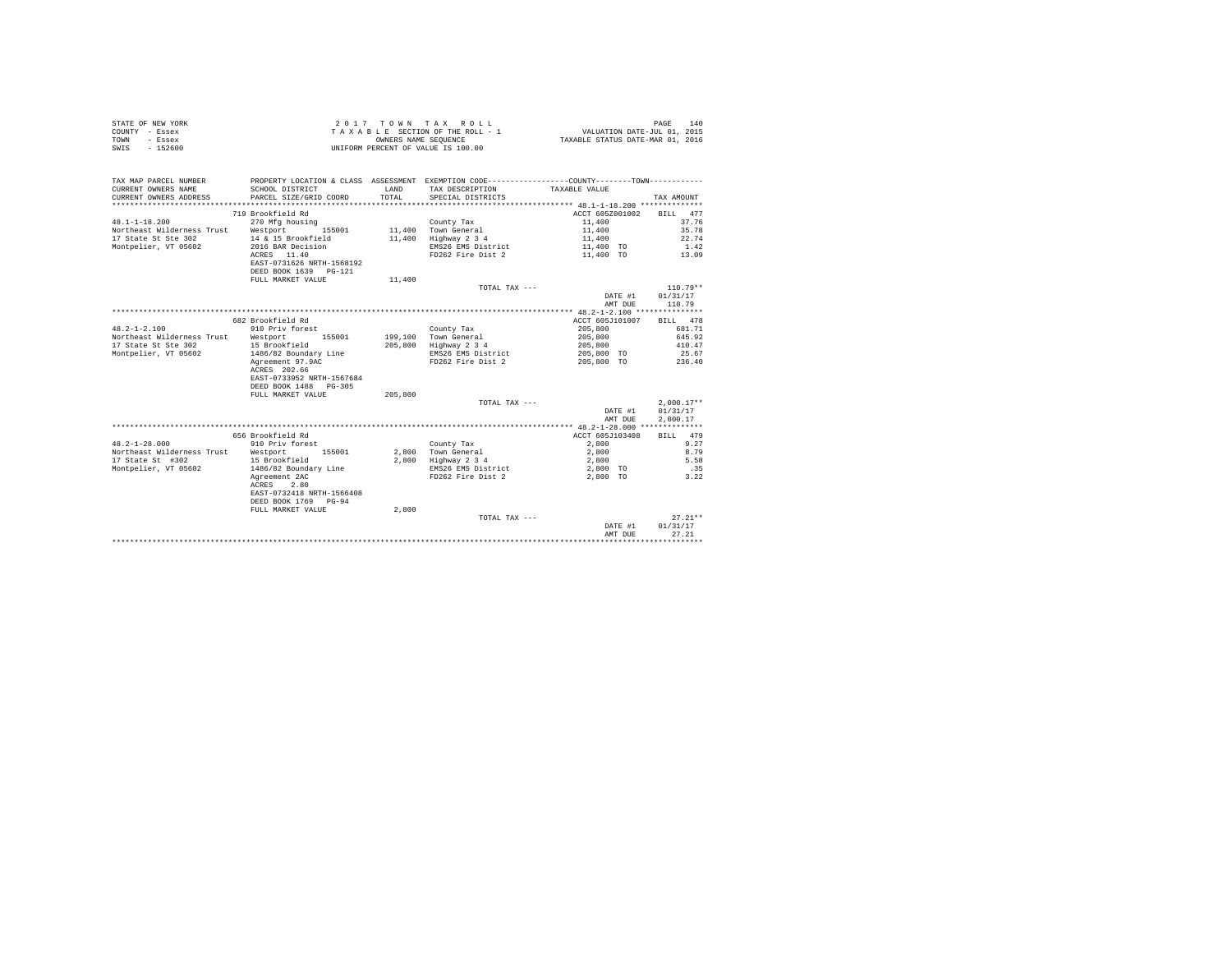|                | STATE OF NEW YORK |  |  |  | $2.017$ TOWN TAX ROLL              |  |  |  |  | 140<br>PAGE                      |
|----------------|-------------------|--|--|--|------------------------------------|--|--|--|--|----------------------------------|
| COUNTY - Essex |                   |  |  |  | TAXABLE SECTION OF THE ROLL - 1    |  |  |  |  | VALUATION DATE-JUL 01, 2015      |
| TOWN           | - Essex           |  |  |  | OWNERS NAME SEOUENCE               |  |  |  |  | TAXABLE STATUS DATE-MAR 01, 2016 |
| SWIS           | - 152600          |  |  |  | UNIFORM PERCENT OF VALUE IS 100.00 |  |  |  |  |                                  |

| TAX MAP PARCEL NUMBER<br>CURRENT OWNERS NAME<br>CURRENT OWNERS ADDRESS<br>************************* | PROPERTY LOCATION & CLASS ASSESSMENT EXEMPTION CODE---------------COUNTY-------TOWN---------<br>SCHOOL DISTRICT<br>PARCEL SIZE/GRID COORD | <b>T.AND</b><br>TOTAL | TAX DESCRIPTION TAXABLE VALUE<br>SPECIAL DISTRICTS |                 | TAX AMOUNT   |
|-----------------------------------------------------------------------------------------------------|-------------------------------------------------------------------------------------------------------------------------------------------|-----------------------|----------------------------------------------------|-----------------|--------------|
|                                                                                                     | 719 Brookfield Rd                                                                                                                         |                       |                                                    | ACCT 605Z001002 | BILL 477     |
|                                                                                                     |                                                                                                                                           |                       |                                                    |                 |              |
| $48.1 - 1 - 18.200$                                                                                 | 270 Mfg housing                                                                                                                           |                       | County Tax                                         | 11,400          | 37.76        |
| Northeast Wilderness Trust                                                                          | Westport<br>155001                                                                                                                        |                       | 11,400 Town General                                | 11,400          | 35.78        |
| 17 State St Ste 302                                                                                 | 14 & 15 Brookfield                                                                                                                        | 11,400                | Highway 2 3 4                                      | 11,400          | 22.74        |
| Montpelier, VT 05602                                                                                | 2016 BAR Decision                                                                                                                         |                       | EMS26 EMS District                                 | 11,400 TO       | 1.42         |
|                                                                                                     | ACRES 11.40                                                                                                                               |                       | FD262 Fire Dist 2                                  | 11,400 TO       | 13.09        |
|                                                                                                     | EAST-0731626 NRTH-1568192                                                                                                                 |                       |                                                    |                 |              |
|                                                                                                     | DEED BOOK 1639 PG-121                                                                                                                     |                       |                                                    |                 |              |
|                                                                                                     | FULL MARKET VALUE                                                                                                                         | 11,400                |                                                    |                 |              |
|                                                                                                     |                                                                                                                                           |                       | TOTAL TAX ---                                      |                 | $110.79**$   |
|                                                                                                     |                                                                                                                                           |                       |                                                    | DATE #1         | 01/31/17     |
|                                                                                                     |                                                                                                                                           |                       |                                                    | AMT DUE         | 110.79       |
|                                                                                                     |                                                                                                                                           |                       |                                                    |                 |              |
|                                                                                                     | 682 Brookfield Rd                                                                                                                         |                       |                                                    | ACCT 605J101007 | BILL 478     |
| $48.2 - 1 - 2.100$                                                                                  | 910 Priv forest                                                                                                                           |                       | County Tax                                         | 205,800         | 681.71       |
| Northeast Wilderness Trust                                                                          | Westport<br>155001                                                                                                                        |                       | 199.100 Town General                               | 205,800         | 645.92       |
|                                                                                                     |                                                                                                                                           |                       |                                                    |                 |              |
| 17 State St Ste 302                                                                                 | 15 Brookfield                                                                                                                             | 205,800               | Highway 2 3 4                                      | 205,800         | 410.47       |
| Montpelier, VT 05602                                                                                | 1486/82 Boundary Line                                                                                                                     |                       | EMS26 EMS District                                 | 205,800 TO      | 25.67        |
|                                                                                                     | Agreement 97.9AC                                                                                                                          |                       | FD262 Fire Dist 2                                  | 205,800 TO      | 236.40       |
|                                                                                                     | ACRES 202.66                                                                                                                              |                       |                                                    |                 |              |
|                                                                                                     | EAST-0733952 NRTH-1567684                                                                                                                 |                       |                                                    |                 |              |
|                                                                                                     | DEED BOOK 1488 PG-305                                                                                                                     |                       |                                                    |                 |              |
|                                                                                                     | FULL MARKET VALUE                                                                                                                         | 205,800               |                                                    |                 |              |
|                                                                                                     |                                                                                                                                           |                       | TOTAL TAX ---                                      |                 | $2.000.17**$ |
|                                                                                                     |                                                                                                                                           |                       |                                                    | DATE #1         | 01/31/17     |
|                                                                                                     |                                                                                                                                           |                       |                                                    | AMT DUE         | 2,000.17     |
|                                                                                                     |                                                                                                                                           |                       |                                                    |                 |              |
|                                                                                                     | 656 Brookfield Rd                                                                                                                         |                       |                                                    | ACCT 605J103408 | BILL 479     |
| $48.2 - 1 - 28.000$                                                                                 | 910 Priv forest                                                                                                                           |                       | County Tax                                         | 2,800           | 9.27         |
| Northeast Wilderness Trust Westport                                                                 | 155001                                                                                                                                    |                       | 2.800 Town General                                 | 2,800           | 8.79         |
| 17 State St #302                                                                                    | 15 Brookfield                                                                                                                             | 2.800                 | Highway 2 3 4                                      | 2,800           | 5.58         |
| Montpelier, VT 05602                                                                                | 1486/82 Boundary Line                                                                                                                     |                       | EMS26 EMS District                                 | 2.800 TO        | .35          |
|                                                                                                     | Agreement 2AC                                                                                                                             |                       | FD262 Fire Dist 2                                  | 2.800 TO        | 3.22         |
|                                                                                                     | 2.80<br>ACRES                                                                                                                             |                       |                                                    |                 |              |
|                                                                                                     | EAST-0732418 NRTH-1566408                                                                                                                 |                       |                                                    |                 |              |
|                                                                                                     |                                                                                                                                           |                       |                                                    |                 |              |
|                                                                                                     | DEED BOOK 1769 PG-94                                                                                                                      |                       |                                                    |                 |              |
|                                                                                                     | FULL MARKET VALUE                                                                                                                         | 2,800                 |                                                    |                 |              |
|                                                                                                     |                                                                                                                                           |                       | TOTAL TAX ---                                      |                 | $27.21**$    |
|                                                                                                     |                                                                                                                                           |                       |                                                    | DATE #1         | 01/31/17     |
|                                                                                                     |                                                                                                                                           |                       |                                                    | AMT DUE         | 27.21        |
|                                                                                                     |                                                                                                                                           |                       |                                                    |                 |              |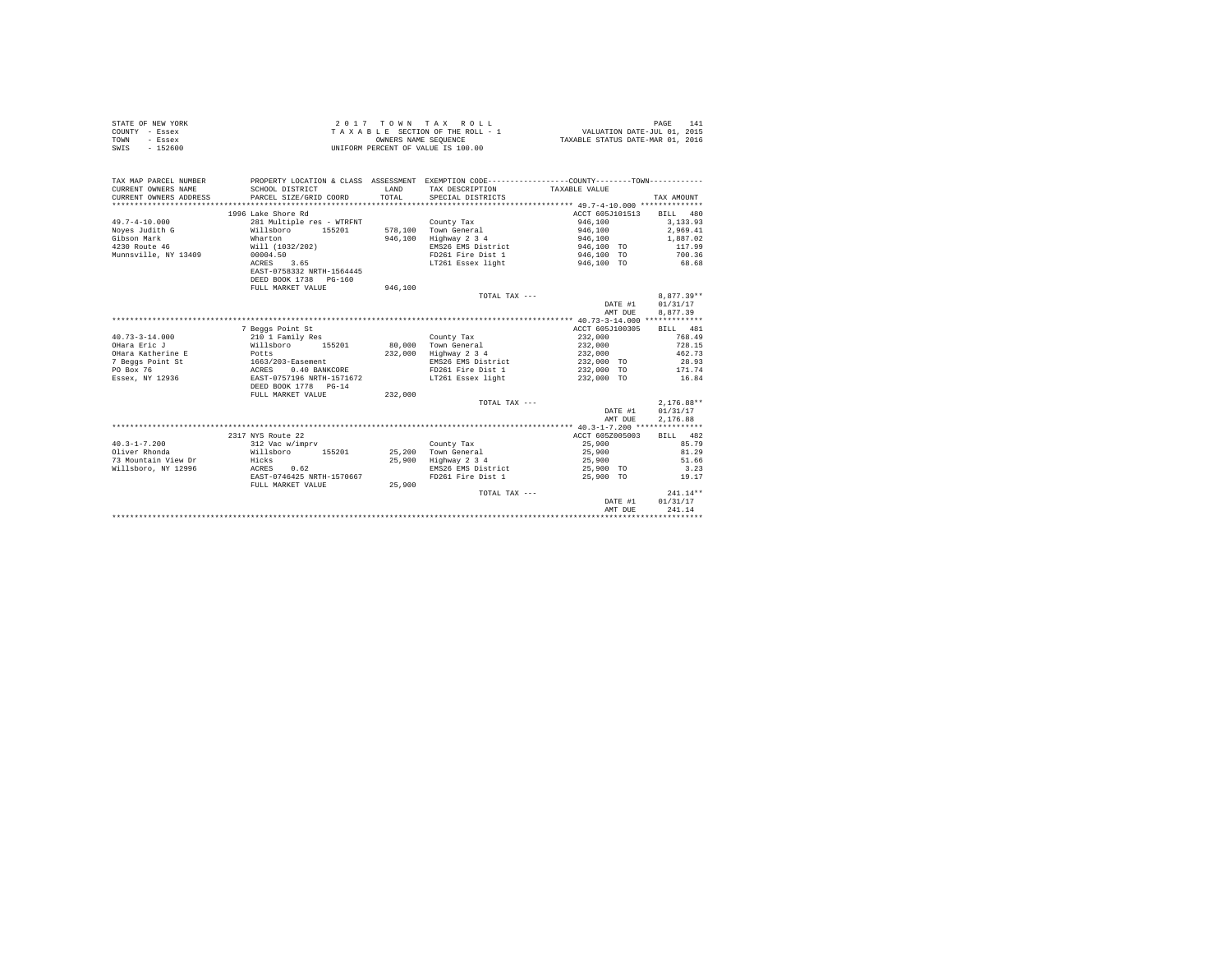| STATE OF NEW YORK | 2017 TOWN TAX ROLL                 | PAGE                             | 141 |
|-------------------|------------------------------------|----------------------------------|-----|
| COUNTY - Essex    | TAXABLE SECTION OF THE ROLL - 1    | VALUATION DATE-JUL 01, 2015      |     |
| TOWN<br>- Essex   | OWNERS NAME SEOUENCE               | TAXABLE STATUS DATE-MAR 01, 2016 |     |
| $-152600$<br>SWIS | UNIFORM PERCENT OF VALUE IS 100.00 |                                  |     |

| TAX MAP PARCEL NUMBER<br>CURRENT OWNERS NAME<br>CURRENT OWNERS ADDRESS | SCHOOL DISTRICT<br>PARCEL SIZE/GRID COORD | <b>T.AND</b><br>TOTAL. | PROPERTY LOCATION & CLASS ASSESSMENT EXEMPTION CODE---------------COUNTY-------TOWN----------<br>TAX DESCRIPTION<br>SPECIAL DISTRICTS | TAXABLE VALUE   | TAX AMOUNT   |
|------------------------------------------------------------------------|-------------------------------------------|------------------------|---------------------------------------------------------------------------------------------------------------------------------------|-----------------|--------------|
|                                                                        | 1996 Lake Shore Rd                        |                        |                                                                                                                                       | ACCT 605J101513 | BILL 480     |
| $49.7 - 4 - 10.000$                                                    | 281 Multiple res - WTRFNT                 |                        | County Tax                                                                                                                            | 946,100         | 3.133.93     |
| Noyes Judith G                                                         | Willsboro<br>155201                       |                        | 578.100 Town General                                                                                                                  | 946,100         | 2,969.41     |
| Gibson Mark                                                            | Wharton                                   | 946,100                | Highway 2 3 4                                                                                                                         | 946,100         | 1,887.02     |
| 4230 Route 46                                                          | Will (1032/202)                           |                        | EMS26 EMS District                                                                                                                    | 946,100 TO      | 117.99       |
| Munnsville, NY 13409                                                   | 00004.50                                  |                        | FD261 Fire Dist 1                                                                                                                     | 946,100 TO      | 700.36       |
|                                                                        | ACRES<br>3.65                             |                        | LT261 Essex light                                                                                                                     | 946,100 TO      | 68.68        |
|                                                                        | EAST-0758332 NRTH-1564445                 |                        |                                                                                                                                       |                 |              |
|                                                                        | DEED BOOK 1738 PG-160                     |                        |                                                                                                                                       |                 |              |
|                                                                        | FULL MARKET VALUE                         | 946,100                |                                                                                                                                       |                 |              |
|                                                                        |                                           |                        | TOTAL TAX ---                                                                                                                         |                 | $8.877.39**$ |
|                                                                        |                                           |                        |                                                                                                                                       | DATE #1         | 01/31/17     |
|                                                                        |                                           |                        |                                                                                                                                       | AMT DUR         | 8.877.39     |
|                                                                        |                                           |                        |                                                                                                                                       |                 |              |
|                                                                        | 7 Beggs Point St                          |                        |                                                                                                                                       | ACCT 605J100305 | BILL 481     |
| $40.73 - 3 - 14.000$                                                   | 210 1 Family Res                          |                        | County Tax                                                                                                                            | 232,000         | 768.49       |
| OHara Eric J                                                           | Willsboro<br>155201                       | 80,000                 | Town General                                                                                                                          | 232,000         | 728.15       |
| OHara Katherine E                                                      | Potts                                     | 232,000                | Highway 2 3 4                                                                                                                         | 232,000         | 462.73       |
| 7 Beggs Point St                                                       | 1663/203-Easement                         |                        | EMS26 EMS District                                                                                                                    | 232,000 TO      | 28.93        |
| PO Box 76                                                              | ACRES<br>0.40 BANKCORE                    |                        | FD261 Fire Dist 1                                                                                                                     | 232,000 TO      | 171.74       |
| Essex, NY 12936                                                        | EAST-0757196 NRTH-1571672                 |                        | LT261 Essex light                                                                                                                     | 232,000 TO      | 16.84        |
|                                                                        | DEED BOOK 1778 PG-14                      |                        |                                                                                                                                       |                 |              |
|                                                                        | FULL MARKET VALUE                         | 232,000                |                                                                                                                                       |                 |              |
|                                                                        |                                           |                        | TOTAL TAX ---                                                                                                                         |                 | $2,176.88**$ |
|                                                                        |                                           |                        |                                                                                                                                       | DATE #1         | 01/31/17     |
|                                                                        |                                           |                        |                                                                                                                                       | AMT DUE         | 2.176.88     |
|                                                                        |                                           |                        |                                                                                                                                       |                 |              |
|                                                                        | 2317 NYS Route 22                         |                        |                                                                                                                                       | ACCT 605Z005003 | BILL 482     |
| $40.3 - 1 - 7.200$                                                     | 312 Vac w/imprv                           |                        | County Tax                                                                                                                            | 25,900          | 85.79        |
| Oliver Rhonda                                                          | Willsboro<br>155201                       |                        | 25.200 Town General                                                                                                                   | 25,900          | 81.29        |
| 73 Mountain View Dr                                                    | Hicks                                     | 25,900                 | Highway 2 3 4                                                                                                                         | 25,900          | 51.66        |
| Willsboro, NY 12996                                                    | ACRES<br>0.62                             |                        | EMS26 EMS District                                                                                                                    | 25,900 TO       | 3.23         |
|                                                                        | EAST-0746425 NRTH-1570667                 |                        | FD261 Fire Dist 1                                                                                                                     | 25,900 TO       | 19.17        |
|                                                                        | FULL MARKET VALUE                         | 25,900                 |                                                                                                                                       |                 |              |
|                                                                        |                                           |                        | TOTAL TAX ---                                                                                                                         |                 | $241.14**$   |
|                                                                        |                                           |                        |                                                                                                                                       | DATE #1         | 01/31/17     |
|                                                                        |                                           |                        |                                                                                                                                       | AMT DUE         | 241.14       |
|                                                                        |                                           |                        |                                                                                                                                       |                 |              |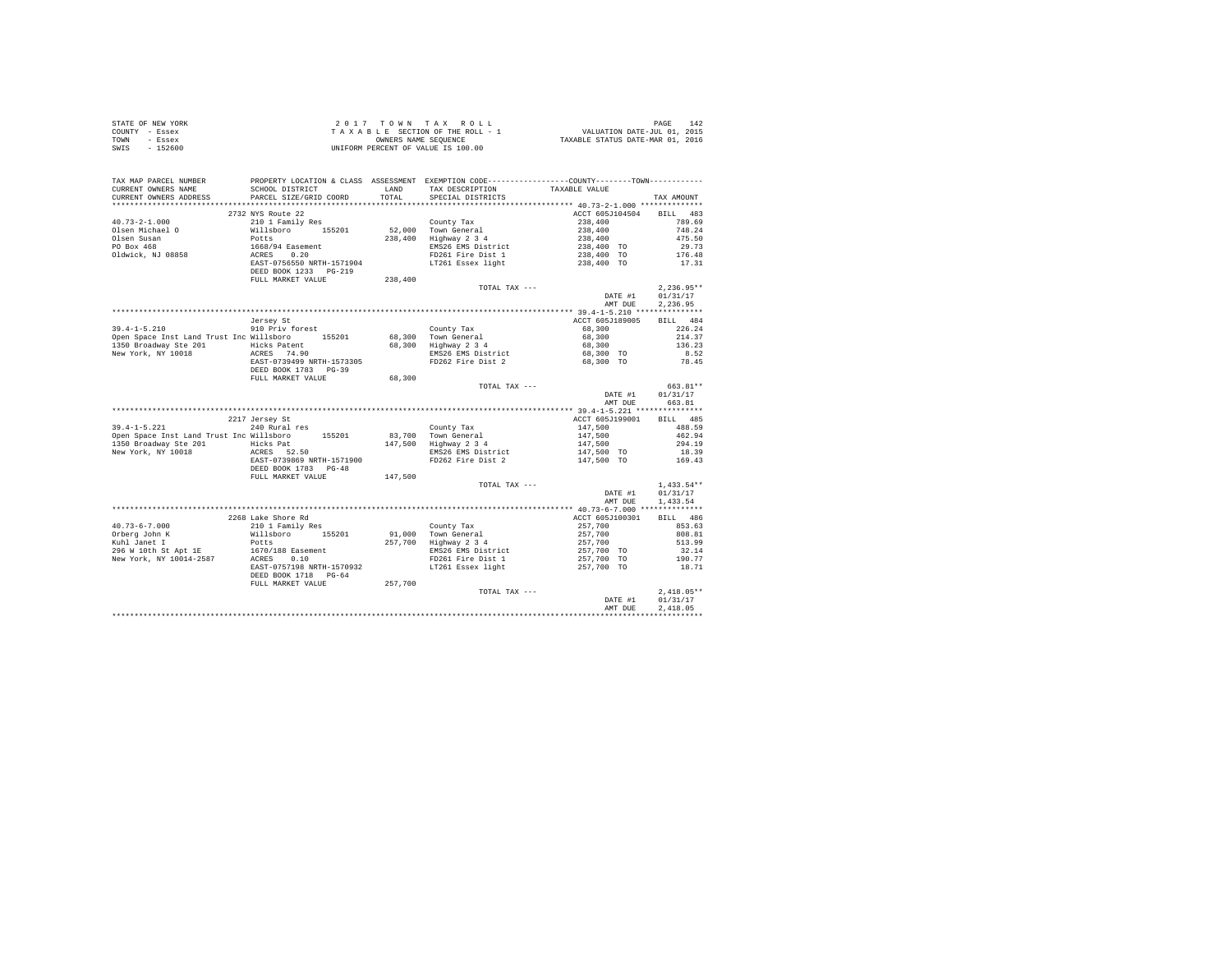| STATE OF NEW YORK | 2017 TOWN TAX ROLL                 | 142<br>PAGE                      |
|-------------------|------------------------------------|----------------------------------|
| COUNTY - Essex    | TAXABLE SECTION OF THE ROLL - 1    | VALUATION DATE-JUL 01, 2015      |
| TOWN<br>- Essex   | OWNERS NAME SEOUENCE               | TAXABLE STATUS DATE-MAR 01, 2016 |
| $-152600$<br>SWIS | UNIFORM PERCENT OF VALUE IS 100.00 |                                  |

| TAX MAP PARCEL NUMBER<br>CURRENT OWNERS NAME<br>CURRENT OWNERS ADDRESS                    | SCHOOL DISTRICT<br>PARCEL SIZE/GRID COORD                                                                                        | LAND<br>TOTAL | PROPERTY LOCATION & CLASS ASSESSMENT EXEMPTION CODE---------------COUNTY-------TOWN----------<br>TAX DESCRIPTION<br>SPECIAL DISTRICTS | TAXABLE VALUE                                                       | TAX AMOUNT         |
|-------------------------------------------------------------------------------------------|----------------------------------------------------------------------------------------------------------------------------------|---------------|---------------------------------------------------------------------------------------------------------------------------------------|---------------------------------------------------------------------|--------------------|
| *************************                                                                 | ******************************                                                                                                   |               |                                                                                                                                       |                                                                     |                    |
| $40.73 - 2 - 1.000$                                                                       | 2732 NYS Route 22                                                                                                                |               |                                                                                                                                       | ACCT 605J104504 BILL 483                                            | 789.69             |
| Olsen Michael O                                                                           | 210 1 Family Res<br>%10 1 ramily Res<br>Willsboro 155201<br>Potts<br>1668/94 Easement<br>ACRES 0.20<br>EAST-0756550 NRTH-1571904 |               | County Tax<br>52,000 Town General                                                                                                     | $238,400$<br>$238,400$<br>$238,400$<br>$238,400$ TO<br>$238,400$ TO | 748.24             |
| Olsen Susan                                                                               |                                                                                                                                  |               | 238,400 Highway 2 3 4                                                                                                                 |                                                                     | 475.50             |
| PO Box 468                                                                                |                                                                                                                                  |               | EMS26 EMS District                                                                                                                    |                                                                     | 29.73              |
| Oldwick, NJ 08858                                                                         |                                                                                                                                  |               | FD261 Fire Dist 1                                                                                                                     |                                                                     | 176.48             |
|                                                                                           |                                                                                                                                  |               | LT261 Essex light                                                                                                                     | 238,400 TO                                                          | 17.31              |
|                                                                                           | DEED BOOK 1233 PG-219                                                                                                            |               |                                                                                                                                       |                                                                     |                    |
|                                                                                           | FULL MARKET VALUE                                                                                                                | 238,400       | TOTAL TAX ---                                                                                                                         |                                                                     | $2,236.95**$       |
|                                                                                           |                                                                                                                                  |               |                                                                                                                                       | DATE #1                                                             | 01/31/17           |
|                                                                                           |                                                                                                                                  |               |                                                                                                                                       | AMT DUE                                                             | 2,236.95           |
|                                                                                           |                                                                                                                                  |               |                                                                                                                                       |                                                                     |                    |
|                                                                                           | Jersey St                                                                                                                        |               |                                                                                                                                       | ACCT 605J189005                                                     | BILL 484           |
| $39.4 - 1 - 5.210$                                                                        | 910 Priv forest                                                                                                                  |               |                                                                                                                                       | 68,300                                                              | 226.24             |
| Open Space Inst Land Trust Inc Willsboro 155201                                           |                                                                                                                                  |               | County Tax<br>68,300 Town General<br>68,300 Highway 2 3 4                                                                             | 68,300                                                              | 214.37             |
|                                                                                           |                                                                                                                                  |               |                                                                                                                                       | 68,300                                                              | 136.23             |
| 1350 Broadway Ste 201 Hicks Patent<br>New York, NY 10018 ACRES 74.90                      |                                                                                                                                  |               | EMS26 EMS District<br>FD262 Fire Dist 2                                                                                               | 68,300 TO<br>68,300 TO                                              | 8.52               |
|                                                                                           | EAST-0739499 NRTH-1573305                                                                                                        |               |                                                                                                                                       |                                                                     | 78.45              |
|                                                                                           | DEED BOOK 1783 PG-39                                                                                                             |               |                                                                                                                                       |                                                                     |                    |
|                                                                                           | FULL MARKET VALUE                                                                                                                | 68,300        |                                                                                                                                       |                                                                     |                    |
|                                                                                           |                                                                                                                                  |               | TOTAL TAX ---                                                                                                                         |                                                                     | 663.81**           |
|                                                                                           |                                                                                                                                  |               |                                                                                                                                       | DATE #1<br>AMT DUE                                                  | 01/31/17<br>663.81 |
|                                                                                           |                                                                                                                                  |               |                                                                                                                                       |                                                                     |                    |
|                                                                                           | 2217 Jersey St                                                                                                                   |               |                                                                                                                                       | ACCT 605J199001                                                     | BILL 485           |
| $39.4 - 1 - 5.221$                                                                        | 240 Rural res                                                                                                                    |               | County Tax                                                                                                                            | 147,500                                                             | 488.59             |
| Open Space Inst Land Trust Inc Willsboro 155201                                           |                                                                                                                                  |               |                                                                                                                                       |                                                                     | 462.94             |
| 1350 Broadway Ste 201                                                                     |                                                                                                                                  |               |                                                                                                                                       |                                                                     | 294.19             |
| New York, NY 10018                                                                        | Hicks Pat<br>ACRES 52.50                                                                                                         |               | $0.33, 700$ Town General<br>147,500 Highway 2 3 4<br>2 EMS26 EME District                                                             | 147,500<br>147,500<br>147,500 TO                                    | 18.39              |
|                                                                                           | EAST-0739869 NRTH-1571900                                                                                                        |               | FD262 Fire Dist 2                                                                                                                     | 147,500 TO                                                          | 169.43             |
|                                                                                           | DEED BOOK 1783 PG-48                                                                                                             |               |                                                                                                                                       |                                                                     |                    |
|                                                                                           | FULL MARKET VALUE                                                                                                                | 147,500       |                                                                                                                                       |                                                                     |                    |
|                                                                                           |                                                                                                                                  |               | TOTAL TAX ---                                                                                                                         |                                                                     | $1,433.54**$       |
|                                                                                           |                                                                                                                                  |               |                                                                                                                                       | DATE #1                                                             | 01/31/17           |
|                                                                                           |                                                                                                                                  |               |                                                                                                                                       | AMT DUE                                                             | 1,433.54           |
|                                                                                           |                                                                                                                                  |               |                                                                                                                                       | ACCT 605J100301                                                     | BILL 486           |
| $40.73 - 6 - 7.000$                                                                       | 2268 Lake Shore Rd<br>210 1 Family Res                                                                                           |               |                                                                                                                                       | 257,700<br>257,700<br>257,700<br>257,700<br>257,700<br>257,700      | 853.63             |
| Orberg John K                                                                             |                                                                                                                                  |               | County Tax<br>91,000 Town General                                                                                                     |                                                                     | 808.81             |
| Kuhl Janet I                                                                              | xio i Family Res<br>Willsboro 155201<br>Potts                                                                                    |               | 257,700 Highway 2 3 4                                                                                                                 |                                                                     | 513.99             |
|                                                                                           |                                                                                                                                  |               | EMS26 EMS District                                                                                                                    |                                                                     | 32.14              |
| 296 W 10th St Apt 1E<br>New York, NY 10014-2587<br>Rew York, NY 10014-2587<br>ACRES  0.10 |                                                                                                                                  |               | FD261 Fire Dist 1                                                                                                                     | 257,700 TO                                                          | 190.77             |
|                                                                                           | EAST-0757198 NRTH-1570932                                                                                                        |               | LT261 Essex light                                                                                                                     | 257,700 TO                                                          | 18.71              |
|                                                                                           | DEED BOOK 1718 PG-64                                                                                                             |               |                                                                                                                                       |                                                                     |                    |
|                                                                                           | FULL MARKET VALUE                                                                                                                | 257,700       |                                                                                                                                       |                                                                     |                    |
|                                                                                           |                                                                                                                                  |               | TOTAL TAX ---                                                                                                                         |                                                                     | $2.418.05**$       |
|                                                                                           |                                                                                                                                  |               |                                                                                                                                       | DATE #1                                                             | 01/31/17           |
|                                                                                           |                                                                                                                                  |               |                                                                                                                                       | AMT DUE                                                             | 2.418.05           |
|                                                                                           |                                                                                                                                  |               |                                                                                                                                       |                                                                     |                    |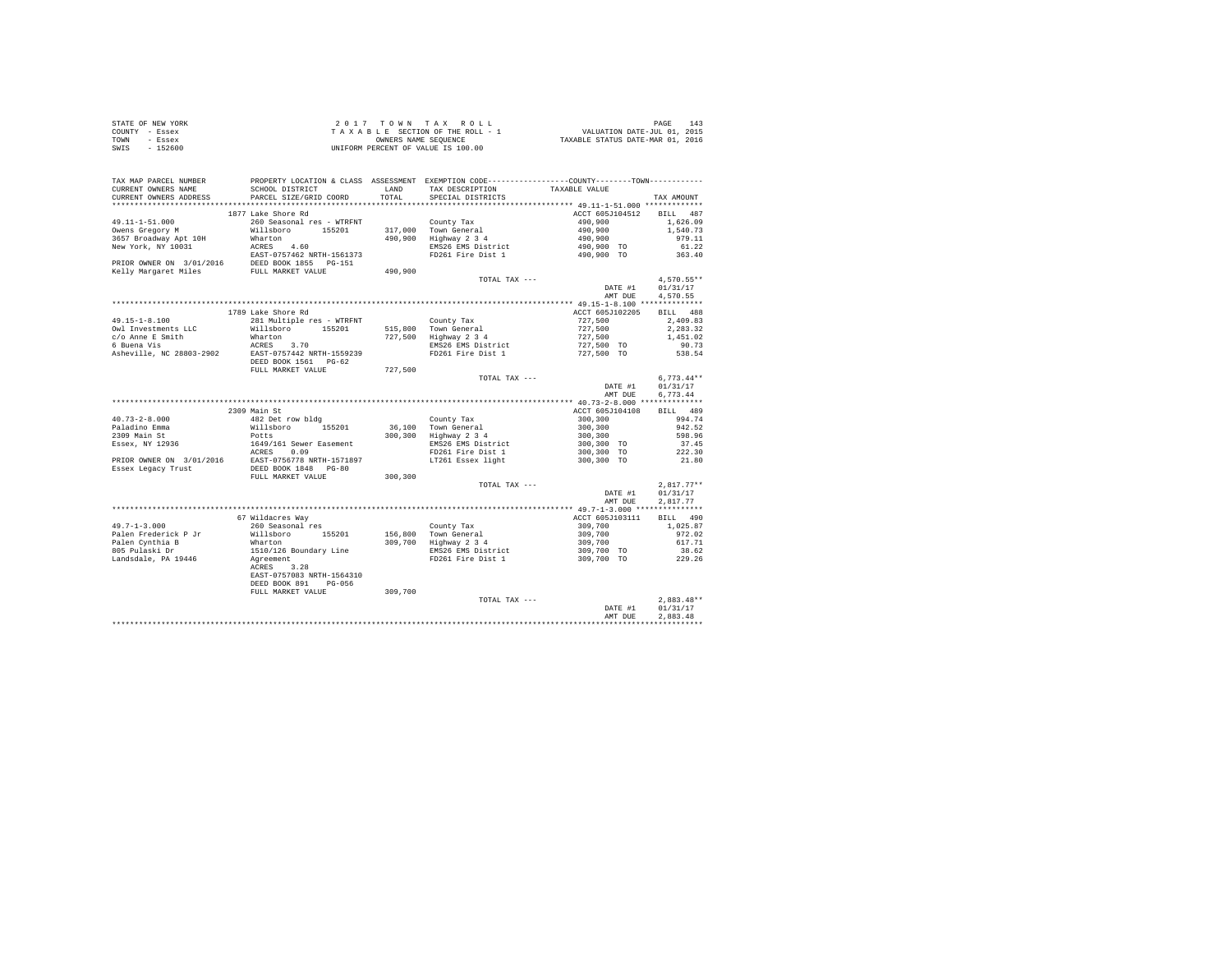| STATE OF NEW YORK | 2017 TOWN TAX ROLL                 | PAGE<br>143                      |
|-------------------|------------------------------------|----------------------------------|
| COUNTY - Essex    | TAXABLE SECTION OF THE ROLL - 1    | VALUATION DATE-JUL 01, 2015      |
| TOWN<br>- Essex   | OWNERS NAME SEOUENCE               | TAXABLE STATUS DATE-MAR 01, 2016 |
| - 152600<br>SWIS  | UNIFORM PERCENT OF VALUE IS 100.00 |                                  |

| **********************<br>**************************<br>1877 Lake Shore Rd<br>ACCT 605J104512<br>BILL 487<br>$49.11 - 1 - 51.000$<br>260 Seasonal res - WTRFNT<br>County Tax<br>490,900<br>1,626.09<br>317,000 Town General<br>490,900 Highway 2 3 4<br>$490,900$<br>$490,900$<br>$490,900$ TO<br>$490,900$ TO<br>Willsboro<br>Owens Gregory M<br>155201<br>1,540.73<br>979.11<br>3657 Broadway Apt 10H<br>Wharton<br>New York, NY 10031<br>ACRES 4.60<br>EMS26 EMS District<br>61.22<br>EAST-0757462 NRTH-1561373<br>PRIOR OWNER ON 3/01/2016 DEED BOOK 1855 PG-151<br>FD261 Fire Dist 1<br>363.40<br>Kelly Margaret Miles<br>FULL MARKET VALUE<br>490,900<br>$4,570.55**$<br>TOTAL TAX ---<br>DATE #1<br>01/31/17<br>AMT DUE<br>4,570.55<br>BILL 488<br>1789 Lake Shore Rd<br>ACCT 605J102205<br>49.15-1-8.100<br>281 Multiple res - WTRFNT<br>County Tax<br>515,800 Town General<br>727,500<br>2,409.83<br>727,500<br>Willsboro 155201<br>2.283.32<br>$727,500$<br>$727,500$ TO<br>$727,500$ TO<br>727,500 Highway 2 3 4<br>Wharton<br>1,451.02<br>EMS26 EMS District<br>ACRES 3.70<br>EAST-0757442 NRTH-1559239<br>90.73<br>Asheville, NC 28803-2902<br>FD261 Fire Dist 1<br>538.54<br>DEED BOOK 1561 PG-62<br>FULL MARKET VALUE<br>727.500<br>$6,773.44**$<br>TOTAL TAX ---<br>DATE #1<br>01/31/17<br>6.773.44<br>AMT DUE<br>2309 Main St<br>BILL 489<br>ACCT 605J104108<br>$40.73 - 2 - 8.000$<br>482 Det row bldg<br>County Tax<br>300,300<br>994.74<br>Willsboro 155201<br>Paladino Emma<br>36,100 Town General<br>300,300 Highway 2 3 4<br>300,300<br>942.52<br>Potts<br>1649/161 Sewer Easement<br>2309 Main St<br>300,300<br>598.96<br>300,300 TO<br>Essex, NY 12936<br>EMS26 EMS District<br>37.45<br>ACRES 0.09<br>300,300 TO<br>FD261 Fire Dist 1<br>222.30<br>EAST-0756778 NRTH-1571897<br>DEED BOOK 1848 PG-80<br>300,300 TO<br>LT261 Essex light<br>21.80<br>PRIOR OWNER ON 3/01/2016<br>Essex Legacy Trust<br>300,300<br>FULL MARKET VALUE<br>$2,817.77**$<br>TOTAL TAX ---<br>01/31/17<br>DATE #1<br>AMT DUE<br>2,817.77<br>67 Wildacres Way<br>ACCT 605J103111<br>BILL 490<br>260 Seasonal res<br>County Tax<br>156,800 Town General<br>309,700 Highway 2 3 4<br>309,700<br>1,025.87<br>Willsboro 155201<br>309,700<br>972.02<br>Palen Cynthia B<br>805 Pulaski Dr<br>Wharton<br>309,700<br>617.71<br>EMS26 EMS District<br>309,700 TO<br>309,700 TO<br>1510/126 Boundary Line<br>38.62<br>FD261 Fire Dist 1<br>Agreement<br>229.26<br>Landsdale, PA 19446<br>3.28<br>ACRES<br>EAST-0757083 NRTH-1564310<br>DEED BOOK 891<br>$PG-056$<br>309,700<br>FULL MARKET VALUE<br>$2.883.48**$<br>TOTAL TAX ---<br>01/31/17<br>DATE #1<br>2.883.48<br>AMT DUE | TAX MAP PARCEL NUMBER<br>CURRENT OWNERS NAME<br>CURRENT OWNERS ADDRESS | SCHOOL DISTRICT<br>PARCEL SIZE/GRID COORD | LAND<br>TOTAL | PROPERTY LOCATION & CLASS ASSESSMENT EXEMPTION CODE----------------COUNTY-------TOWN----------<br>TAX DESCRIPTION<br>SPECIAL DISTRICTS | TAXABLE VALUE | TAX AMOUNT |
|--------------------------------------------------------------------------------------------------------------------------------------------------------------------------------------------------------------------------------------------------------------------------------------------------------------------------------------------------------------------------------------------------------------------------------------------------------------------------------------------------------------------------------------------------------------------------------------------------------------------------------------------------------------------------------------------------------------------------------------------------------------------------------------------------------------------------------------------------------------------------------------------------------------------------------------------------------------------------------------------------------------------------------------------------------------------------------------------------------------------------------------------------------------------------------------------------------------------------------------------------------------------------------------------------------------------------------------------------------------------------------------------------------------------------------------------------------------------------------------------------------------------------------------------------------------------------------------------------------------------------------------------------------------------------------------------------------------------------------------------------------------------------------------------------------------------------------------------------------------------------------------------------------------------------------------------------------------------------------------------------------------------------------------------------------------------------------------------------------------------------------------------------------------------------------------------------------------------------------------------------------------------------------------------------------------------------------------------------------------------------------------------------------------------------------------------------------------------------------------------------------------------------------------------------------------------------------------------------------------------------------------------------------------------------|------------------------------------------------------------------------|-------------------------------------------|---------------|----------------------------------------------------------------------------------------------------------------------------------------|---------------|------------|
|                                                                                                                                                                                                                                                                                                                                                                                                                                                                                                                                                                                                                                                                                                                                                                                                                                                                                                                                                                                                                                                                                                                                                                                                                                                                                                                                                                                                                                                                                                                                                                                                                                                                                                                                                                                                                                                                                                                                                                                                                                                                                                                                                                                                                                                                                                                                                                                                                                                                                                                                                                                                                                                                          |                                                                        |                                           |               |                                                                                                                                        |               |            |
|                                                                                                                                                                                                                                                                                                                                                                                                                                                                                                                                                                                                                                                                                                                                                                                                                                                                                                                                                                                                                                                                                                                                                                                                                                                                                                                                                                                                                                                                                                                                                                                                                                                                                                                                                                                                                                                                                                                                                                                                                                                                                                                                                                                                                                                                                                                                                                                                                                                                                                                                                                                                                                                                          |                                                                        |                                           |               |                                                                                                                                        |               |            |
|                                                                                                                                                                                                                                                                                                                                                                                                                                                                                                                                                                                                                                                                                                                                                                                                                                                                                                                                                                                                                                                                                                                                                                                                                                                                                                                                                                                                                                                                                                                                                                                                                                                                                                                                                                                                                                                                                                                                                                                                                                                                                                                                                                                                                                                                                                                                                                                                                                                                                                                                                                                                                                                                          |                                                                        |                                           |               |                                                                                                                                        |               |            |
|                                                                                                                                                                                                                                                                                                                                                                                                                                                                                                                                                                                                                                                                                                                                                                                                                                                                                                                                                                                                                                                                                                                                                                                                                                                                                                                                                                                                                                                                                                                                                                                                                                                                                                                                                                                                                                                                                                                                                                                                                                                                                                                                                                                                                                                                                                                                                                                                                                                                                                                                                                                                                                                                          |                                                                        |                                           |               |                                                                                                                                        |               |            |
|                                                                                                                                                                                                                                                                                                                                                                                                                                                                                                                                                                                                                                                                                                                                                                                                                                                                                                                                                                                                                                                                                                                                                                                                                                                                                                                                                                                                                                                                                                                                                                                                                                                                                                                                                                                                                                                                                                                                                                                                                                                                                                                                                                                                                                                                                                                                                                                                                                                                                                                                                                                                                                                                          |                                                                        |                                           |               |                                                                                                                                        |               |            |
|                                                                                                                                                                                                                                                                                                                                                                                                                                                                                                                                                                                                                                                                                                                                                                                                                                                                                                                                                                                                                                                                                                                                                                                                                                                                                                                                                                                                                                                                                                                                                                                                                                                                                                                                                                                                                                                                                                                                                                                                                                                                                                                                                                                                                                                                                                                                                                                                                                                                                                                                                                                                                                                                          |                                                                        |                                           |               |                                                                                                                                        |               |            |
|                                                                                                                                                                                                                                                                                                                                                                                                                                                                                                                                                                                                                                                                                                                                                                                                                                                                                                                                                                                                                                                                                                                                                                                                                                                                                                                                                                                                                                                                                                                                                                                                                                                                                                                                                                                                                                                                                                                                                                                                                                                                                                                                                                                                                                                                                                                                                                                                                                                                                                                                                                                                                                                                          |                                                                        |                                           |               |                                                                                                                                        |               |            |
|                                                                                                                                                                                                                                                                                                                                                                                                                                                                                                                                                                                                                                                                                                                                                                                                                                                                                                                                                                                                                                                                                                                                                                                                                                                                                                                                                                                                                                                                                                                                                                                                                                                                                                                                                                                                                                                                                                                                                                                                                                                                                                                                                                                                                                                                                                                                                                                                                                                                                                                                                                                                                                                                          |                                                                        |                                           |               |                                                                                                                                        |               |            |
|                                                                                                                                                                                                                                                                                                                                                                                                                                                                                                                                                                                                                                                                                                                                                                                                                                                                                                                                                                                                                                                                                                                                                                                                                                                                                                                                                                                                                                                                                                                                                                                                                                                                                                                                                                                                                                                                                                                                                                                                                                                                                                                                                                                                                                                                                                                                                                                                                                                                                                                                                                                                                                                                          |                                                                        |                                           |               |                                                                                                                                        |               |            |
|                                                                                                                                                                                                                                                                                                                                                                                                                                                                                                                                                                                                                                                                                                                                                                                                                                                                                                                                                                                                                                                                                                                                                                                                                                                                                                                                                                                                                                                                                                                                                                                                                                                                                                                                                                                                                                                                                                                                                                                                                                                                                                                                                                                                                                                                                                                                                                                                                                                                                                                                                                                                                                                                          |                                                                        |                                           |               |                                                                                                                                        |               |            |
|                                                                                                                                                                                                                                                                                                                                                                                                                                                                                                                                                                                                                                                                                                                                                                                                                                                                                                                                                                                                                                                                                                                                                                                                                                                                                                                                                                                                                                                                                                                                                                                                                                                                                                                                                                                                                                                                                                                                                                                                                                                                                                                                                                                                                                                                                                                                                                                                                                                                                                                                                                                                                                                                          |                                                                        |                                           |               |                                                                                                                                        |               |            |
|                                                                                                                                                                                                                                                                                                                                                                                                                                                                                                                                                                                                                                                                                                                                                                                                                                                                                                                                                                                                                                                                                                                                                                                                                                                                                                                                                                                                                                                                                                                                                                                                                                                                                                                                                                                                                                                                                                                                                                                                                                                                                                                                                                                                                                                                                                                                                                                                                                                                                                                                                                                                                                                                          |                                                                        |                                           |               |                                                                                                                                        |               |            |
|                                                                                                                                                                                                                                                                                                                                                                                                                                                                                                                                                                                                                                                                                                                                                                                                                                                                                                                                                                                                                                                                                                                                                                                                                                                                                                                                                                                                                                                                                                                                                                                                                                                                                                                                                                                                                                                                                                                                                                                                                                                                                                                                                                                                                                                                                                                                                                                                                                                                                                                                                                                                                                                                          |                                                                        |                                           |               |                                                                                                                                        |               |            |
|                                                                                                                                                                                                                                                                                                                                                                                                                                                                                                                                                                                                                                                                                                                                                                                                                                                                                                                                                                                                                                                                                                                                                                                                                                                                                                                                                                                                                                                                                                                                                                                                                                                                                                                                                                                                                                                                                                                                                                                                                                                                                                                                                                                                                                                                                                                                                                                                                                                                                                                                                                                                                                                                          |                                                                        |                                           |               |                                                                                                                                        |               |            |
|                                                                                                                                                                                                                                                                                                                                                                                                                                                                                                                                                                                                                                                                                                                                                                                                                                                                                                                                                                                                                                                                                                                                                                                                                                                                                                                                                                                                                                                                                                                                                                                                                                                                                                                                                                                                                                                                                                                                                                                                                                                                                                                                                                                                                                                                                                                                                                                                                                                                                                                                                                                                                                                                          |                                                                        |                                           |               |                                                                                                                                        |               |            |
|                                                                                                                                                                                                                                                                                                                                                                                                                                                                                                                                                                                                                                                                                                                                                                                                                                                                                                                                                                                                                                                                                                                                                                                                                                                                                                                                                                                                                                                                                                                                                                                                                                                                                                                                                                                                                                                                                                                                                                                                                                                                                                                                                                                                                                                                                                                                                                                                                                                                                                                                                                                                                                                                          |                                                                        |                                           |               |                                                                                                                                        |               |            |
|                                                                                                                                                                                                                                                                                                                                                                                                                                                                                                                                                                                                                                                                                                                                                                                                                                                                                                                                                                                                                                                                                                                                                                                                                                                                                                                                                                                                                                                                                                                                                                                                                                                                                                                                                                                                                                                                                                                                                                                                                                                                                                                                                                                                                                                                                                                                                                                                                                                                                                                                                                                                                                                                          | Owl Investments LLC                                                    |                                           |               |                                                                                                                                        |               |            |
|                                                                                                                                                                                                                                                                                                                                                                                                                                                                                                                                                                                                                                                                                                                                                                                                                                                                                                                                                                                                                                                                                                                                                                                                                                                                                                                                                                                                                                                                                                                                                                                                                                                                                                                                                                                                                                                                                                                                                                                                                                                                                                                                                                                                                                                                                                                                                                                                                                                                                                                                                                                                                                                                          | $c/o$ Anne E Smith                                                     |                                           |               |                                                                                                                                        |               |            |
|                                                                                                                                                                                                                                                                                                                                                                                                                                                                                                                                                                                                                                                                                                                                                                                                                                                                                                                                                                                                                                                                                                                                                                                                                                                                                                                                                                                                                                                                                                                                                                                                                                                                                                                                                                                                                                                                                                                                                                                                                                                                                                                                                                                                                                                                                                                                                                                                                                                                                                                                                                                                                                                                          | 6 Buena Vis                                                            |                                           |               |                                                                                                                                        |               |            |
|                                                                                                                                                                                                                                                                                                                                                                                                                                                                                                                                                                                                                                                                                                                                                                                                                                                                                                                                                                                                                                                                                                                                                                                                                                                                                                                                                                                                                                                                                                                                                                                                                                                                                                                                                                                                                                                                                                                                                                                                                                                                                                                                                                                                                                                                                                                                                                                                                                                                                                                                                                                                                                                                          |                                                                        |                                           |               |                                                                                                                                        |               |            |
|                                                                                                                                                                                                                                                                                                                                                                                                                                                                                                                                                                                                                                                                                                                                                                                                                                                                                                                                                                                                                                                                                                                                                                                                                                                                                                                                                                                                                                                                                                                                                                                                                                                                                                                                                                                                                                                                                                                                                                                                                                                                                                                                                                                                                                                                                                                                                                                                                                                                                                                                                                                                                                                                          |                                                                        |                                           |               |                                                                                                                                        |               |            |
|                                                                                                                                                                                                                                                                                                                                                                                                                                                                                                                                                                                                                                                                                                                                                                                                                                                                                                                                                                                                                                                                                                                                                                                                                                                                                                                                                                                                                                                                                                                                                                                                                                                                                                                                                                                                                                                                                                                                                                                                                                                                                                                                                                                                                                                                                                                                                                                                                                                                                                                                                                                                                                                                          |                                                                        |                                           |               |                                                                                                                                        |               |            |
|                                                                                                                                                                                                                                                                                                                                                                                                                                                                                                                                                                                                                                                                                                                                                                                                                                                                                                                                                                                                                                                                                                                                                                                                                                                                                                                                                                                                                                                                                                                                                                                                                                                                                                                                                                                                                                                                                                                                                                                                                                                                                                                                                                                                                                                                                                                                                                                                                                                                                                                                                                                                                                                                          |                                                                        |                                           |               |                                                                                                                                        |               |            |
|                                                                                                                                                                                                                                                                                                                                                                                                                                                                                                                                                                                                                                                                                                                                                                                                                                                                                                                                                                                                                                                                                                                                                                                                                                                                                                                                                                                                                                                                                                                                                                                                                                                                                                                                                                                                                                                                                                                                                                                                                                                                                                                                                                                                                                                                                                                                                                                                                                                                                                                                                                                                                                                                          |                                                                        |                                           |               |                                                                                                                                        |               |            |
|                                                                                                                                                                                                                                                                                                                                                                                                                                                                                                                                                                                                                                                                                                                                                                                                                                                                                                                                                                                                                                                                                                                                                                                                                                                                                                                                                                                                                                                                                                                                                                                                                                                                                                                                                                                                                                                                                                                                                                                                                                                                                                                                                                                                                                                                                                                                                                                                                                                                                                                                                                                                                                                                          |                                                                        |                                           |               |                                                                                                                                        |               |            |
|                                                                                                                                                                                                                                                                                                                                                                                                                                                                                                                                                                                                                                                                                                                                                                                                                                                                                                                                                                                                                                                                                                                                                                                                                                                                                                                                                                                                                                                                                                                                                                                                                                                                                                                                                                                                                                                                                                                                                                                                                                                                                                                                                                                                                                                                                                                                                                                                                                                                                                                                                                                                                                                                          |                                                                        |                                           |               |                                                                                                                                        |               |            |
|                                                                                                                                                                                                                                                                                                                                                                                                                                                                                                                                                                                                                                                                                                                                                                                                                                                                                                                                                                                                                                                                                                                                                                                                                                                                                                                                                                                                                                                                                                                                                                                                                                                                                                                                                                                                                                                                                                                                                                                                                                                                                                                                                                                                                                                                                                                                                                                                                                                                                                                                                                                                                                                                          |                                                                        |                                           |               |                                                                                                                                        |               |            |
|                                                                                                                                                                                                                                                                                                                                                                                                                                                                                                                                                                                                                                                                                                                                                                                                                                                                                                                                                                                                                                                                                                                                                                                                                                                                                                                                                                                                                                                                                                                                                                                                                                                                                                                                                                                                                                                                                                                                                                                                                                                                                                                                                                                                                                                                                                                                                                                                                                                                                                                                                                                                                                                                          |                                                                        |                                           |               |                                                                                                                                        |               |            |
|                                                                                                                                                                                                                                                                                                                                                                                                                                                                                                                                                                                                                                                                                                                                                                                                                                                                                                                                                                                                                                                                                                                                                                                                                                                                                                                                                                                                                                                                                                                                                                                                                                                                                                                                                                                                                                                                                                                                                                                                                                                                                                                                                                                                                                                                                                                                                                                                                                                                                                                                                                                                                                                                          |                                                                        |                                           |               |                                                                                                                                        |               |            |
|                                                                                                                                                                                                                                                                                                                                                                                                                                                                                                                                                                                                                                                                                                                                                                                                                                                                                                                                                                                                                                                                                                                                                                                                                                                                                                                                                                                                                                                                                                                                                                                                                                                                                                                                                                                                                                                                                                                                                                                                                                                                                                                                                                                                                                                                                                                                                                                                                                                                                                                                                                                                                                                                          |                                                                        |                                           |               |                                                                                                                                        |               |            |
|                                                                                                                                                                                                                                                                                                                                                                                                                                                                                                                                                                                                                                                                                                                                                                                                                                                                                                                                                                                                                                                                                                                                                                                                                                                                                                                                                                                                                                                                                                                                                                                                                                                                                                                                                                                                                                                                                                                                                                                                                                                                                                                                                                                                                                                                                                                                                                                                                                                                                                                                                                                                                                                                          |                                                                        |                                           |               |                                                                                                                                        |               |            |
|                                                                                                                                                                                                                                                                                                                                                                                                                                                                                                                                                                                                                                                                                                                                                                                                                                                                                                                                                                                                                                                                                                                                                                                                                                                                                                                                                                                                                                                                                                                                                                                                                                                                                                                                                                                                                                                                                                                                                                                                                                                                                                                                                                                                                                                                                                                                                                                                                                                                                                                                                                                                                                                                          |                                                                        |                                           |               |                                                                                                                                        |               |            |
|                                                                                                                                                                                                                                                                                                                                                                                                                                                                                                                                                                                                                                                                                                                                                                                                                                                                                                                                                                                                                                                                                                                                                                                                                                                                                                                                                                                                                                                                                                                                                                                                                                                                                                                                                                                                                                                                                                                                                                                                                                                                                                                                                                                                                                                                                                                                                                                                                                                                                                                                                                                                                                                                          |                                                                        |                                           |               |                                                                                                                                        |               |            |
|                                                                                                                                                                                                                                                                                                                                                                                                                                                                                                                                                                                                                                                                                                                                                                                                                                                                                                                                                                                                                                                                                                                                                                                                                                                                                                                                                                                                                                                                                                                                                                                                                                                                                                                                                                                                                                                                                                                                                                                                                                                                                                                                                                                                                                                                                                                                                                                                                                                                                                                                                                                                                                                                          |                                                                        |                                           |               |                                                                                                                                        |               |            |
|                                                                                                                                                                                                                                                                                                                                                                                                                                                                                                                                                                                                                                                                                                                                                                                                                                                                                                                                                                                                                                                                                                                                                                                                                                                                                                                                                                                                                                                                                                                                                                                                                                                                                                                                                                                                                                                                                                                                                                                                                                                                                                                                                                                                                                                                                                                                                                                                                                                                                                                                                                                                                                                                          |                                                                        |                                           |               |                                                                                                                                        |               |            |
|                                                                                                                                                                                                                                                                                                                                                                                                                                                                                                                                                                                                                                                                                                                                                                                                                                                                                                                                                                                                                                                                                                                                                                                                                                                                                                                                                                                                                                                                                                                                                                                                                                                                                                                                                                                                                                                                                                                                                                                                                                                                                                                                                                                                                                                                                                                                                                                                                                                                                                                                                                                                                                                                          |                                                                        |                                           |               |                                                                                                                                        |               |            |
|                                                                                                                                                                                                                                                                                                                                                                                                                                                                                                                                                                                                                                                                                                                                                                                                                                                                                                                                                                                                                                                                                                                                                                                                                                                                                                                                                                                                                                                                                                                                                                                                                                                                                                                                                                                                                                                                                                                                                                                                                                                                                                                                                                                                                                                                                                                                                                                                                                                                                                                                                                                                                                                                          |                                                                        |                                           |               |                                                                                                                                        |               |            |
|                                                                                                                                                                                                                                                                                                                                                                                                                                                                                                                                                                                                                                                                                                                                                                                                                                                                                                                                                                                                                                                                                                                                                                                                                                                                                                                                                                                                                                                                                                                                                                                                                                                                                                                                                                                                                                                                                                                                                                                                                                                                                                                                                                                                                                                                                                                                                                                                                                                                                                                                                                                                                                                                          |                                                                        |                                           |               |                                                                                                                                        |               |            |
|                                                                                                                                                                                                                                                                                                                                                                                                                                                                                                                                                                                                                                                                                                                                                                                                                                                                                                                                                                                                                                                                                                                                                                                                                                                                                                                                                                                                                                                                                                                                                                                                                                                                                                                                                                                                                                                                                                                                                                                                                                                                                                                                                                                                                                                                                                                                                                                                                                                                                                                                                                                                                                                                          |                                                                        |                                           |               |                                                                                                                                        |               |            |
|                                                                                                                                                                                                                                                                                                                                                                                                                                                                                                                                                                                                                                                                                                                                                                                                                                                                                                                                                                                                                                                                                                                                                                                                                                                                                                                                                                                                                                                                                                                                                                                                                                                                                                                                                                                                                                                                                                                                                                                                                                                                                                                                                                                                                                                                                                                                                                                                                                                                                                                                                                                                                                                                          |                                                                        |                                           |               |                                                                                                                                        |               |            |
|                                                                                                                                                                                                                                                                                                                                                                                                                                                                                                                                                                                                                                                                                                                                                                                                                                                                                                                                                                                                                                                                                                                                                                                                                                                                                                                                                                                                                                                                                                                                                                                                                                                                                                                                                                                                                                                                                                                                                                                                                                                                                                                                                                                                                                                                                                                                                                                                                                                                                                                                                                                                                                                                          |                                                                        |                                           |               |                                                                                                                                        |               |            |
|                                                                                                                                                                                                                                                                                                                                                                                                                                                                                                                                                                                                                                                                                                                                                                                                                                                                                                                                                                                                                                                                                                                                                                                                                                                                                                                                                                                                                                                                                                                                                                                                                                                                                                                                                                                                                                                                                                                                                                                                                                                                                                                                                                                                                                                                                                                                                                                                                                                                                                                                                                                                                                                                          | $49.7 - 1 - 3.000$                                                     |                                           |               |                                                                                                                                        |               |            |
|                                                                                                                                                                                                                                                                                                                                                                                                                                                                                                                                                                                                                                                                                                                                                                                                                                                                                                                                                                                                                                                                                                                                                                                                                                                                                                                                                                                                                                                                                                                                                                                                                                                                                                                                                                                                                                                                                                                                                                                                                                                                                                                                                                                                                                                                                                                                                                                                                                                                                                                                                                                                                                                                          | Palen Frederick P Jr                                                   |                                           |               |                                                                                                                                        |               |            |
|                                                                                                                                                                                                                                                                                                                                                                                                                                                                                                                                                                                                                                                                                                                                                                                                                                                                                                                                                                                                                                                                                                                                                                                                                                                                                                                                                                                                                                                                                                                                                                                                                                                                                                                                                                                                                                                                                                                                                                                                                                                                                                                                                                                                                                                                                                                                                                                                                                                                                                                                                                                                                                                                          |                                                                        |                                           |               |                                                                                                                                        |               |            |
|                                                                                                                                                                                                                                                                                                                                                                                                                                                                                                                                                                                                                                                                                                                                                                                                                                                                                                                                                                                                                                                                                                                                                                                                                                                                                                                                                                                                                                                                                                                                                                                                                                                                                                                                                                                                                                                                                                                                                                                                                                                                                                                                                                                                                                                                                                                                                                                                                                                                                                                                                                                                                                                                          |                                                                        |                                           |               |                                                                                                                                        |               |            |
|                                                                                                                                                                                                                                                                                                                                                                                                                                                                                                                                                                                                                                                                                                                                                                                                                                                                                                                                                                                                                                                                                                                                                                                                                                                                                                                                                                                                                                                                                                                                                                                                                                                                                                                                                                                                                                                                                                                                                                                                                                                                                                                                                                                                                                                                                                                                                                                                                                                                                                                                                                                                                                                                          |                                                                        |                                           |               |                                                                                                                                        |               |            |
|                                                                                                                                                                                                                                                                                                                                                                                                                                                                                                                                                                                                                                                                                                                                                                                                                                                                                                                                                                                                                                                                                                                                                                                                                                                                                                                                                                                                                                                                                                                                                                                                                                                                                                                                                                                                                                                                                                                                                                                                                                                                                                                                                                                                                                                                                                                                                                                                                                                                                                                                                                                                                                                                          |                                                                        |                                           |               |                                                                                                                                        |               |            |
|                                                                                                                                                                                                                                                                                                                                                                                                                                                                                                                                                                                                                                                                                                                                                                                                                                                                                                                                                                                                                                                                                                                                                                                                                                                                                                                                                                                                                                                                                                                                                                                                                                                                                                                                                                                                                                                                                                                                                                                                                                                                                                                                                                                                                                                                                                                                                                                                                                                                                                                                                                                                                                                                          |                                                                        |                                           |               |                                                                                                                                        |               |            |
|                                                                                                                                                                                                                                                                                                                                                                                                                                                                                                                                                                                                                                                                                                                                                                                                                                                                                                                                                                                                                                                                                                                                                                                                                                                                                                                                                                                                                                                                                                                                                                                                                                                                                                                                                                                                                                                                                                                                                                                                                                                                                                                                                                                                                                                                                                                                                                                                                                                                                                                                                                                                                                                                          |                                                                        |                                           |               |                                                                                                                                        |               |            |
|                                                                                                                                                                                                                                                                                                                                                                                                                                                                                                                                                                                                                                                                                                                                                                                                                                                                                                                                                                                                                                                                                                                                                                                                                                                                                                                                                                                                                                                                                                                                                                                                                                                                                                                                                                                                                                                                                                                                                                                                                                                                                                                                                                                                                                                                                                                                                                                                                                                                                                                                                                                                                                                                          |                                                                        |                                           |               |                                                                                                                                        |               |            |
|                                                                                                                                                                                                                                                                                                                                                                                                                                                                                                                                                                                                                                                                                                                                                                                                                                                                                                                                                                                                                                                                                                                                                                                                                                                                                                                                                                                                                                                                                                                                                                                                                                                                                                                                                                                                                                                                                                                                                                                                                                                                                                                                                                                                                                                                                                                                                                                                                                                                                                                                                                                                                                                                          |                                                                        |                                           |               |                                                                                                                                        |               |            |
|                                                                                                                                                                                                                                                                                                                                                                                                                                                                                                                                                                                                                                                                                                                                                                                                                                                                                                                                                                                                                                                                                                                                                                                                                                                                                                                                                                                                                                                                                                                                                                                                                                                                                                                                                                                                                                                                                                                                                                                                                                                                                                                                                                                                                                                                                                                                                                                                                                                                                                                                                                                                                                                                          |                                                                        |                                           |               |                                                                                                                                        |               |            |
|                                                                                                                                                                                                                                                                                                                                                                                                                                                                                                                                                                                                                                                                                                                                                                                                                                                                                                                                                                                                                                                                                                                                                                                                                                                                                                                                                                                                                                                                                                                                                                                                                                                                                                                                                                                                                                                                                                                                                                                                                                                                                                                                                                                                                                                                                                                                                                                                                                                                                                                                                                                                                                                                          |                                                                        |                                           |               |                                                                                                                                        |               |            |
|                                                                                                                                                                                                                                                                                                                                                                                                                                                                                                                                                                                                                                                                                                                                                                                                                                                                                                                                                                                                                                                                                                                                                                                                                                                                                                                                                                                                                                                                                                                                                                                                                                                                                                                                                                                                                                                                                                                                                                                                                                                                                                                                                                                                                                                                                                                                                                                                                                                                                                                                                                                                                                                                          |                                                                        |                                           |               |                                                                                                                                        |               |            |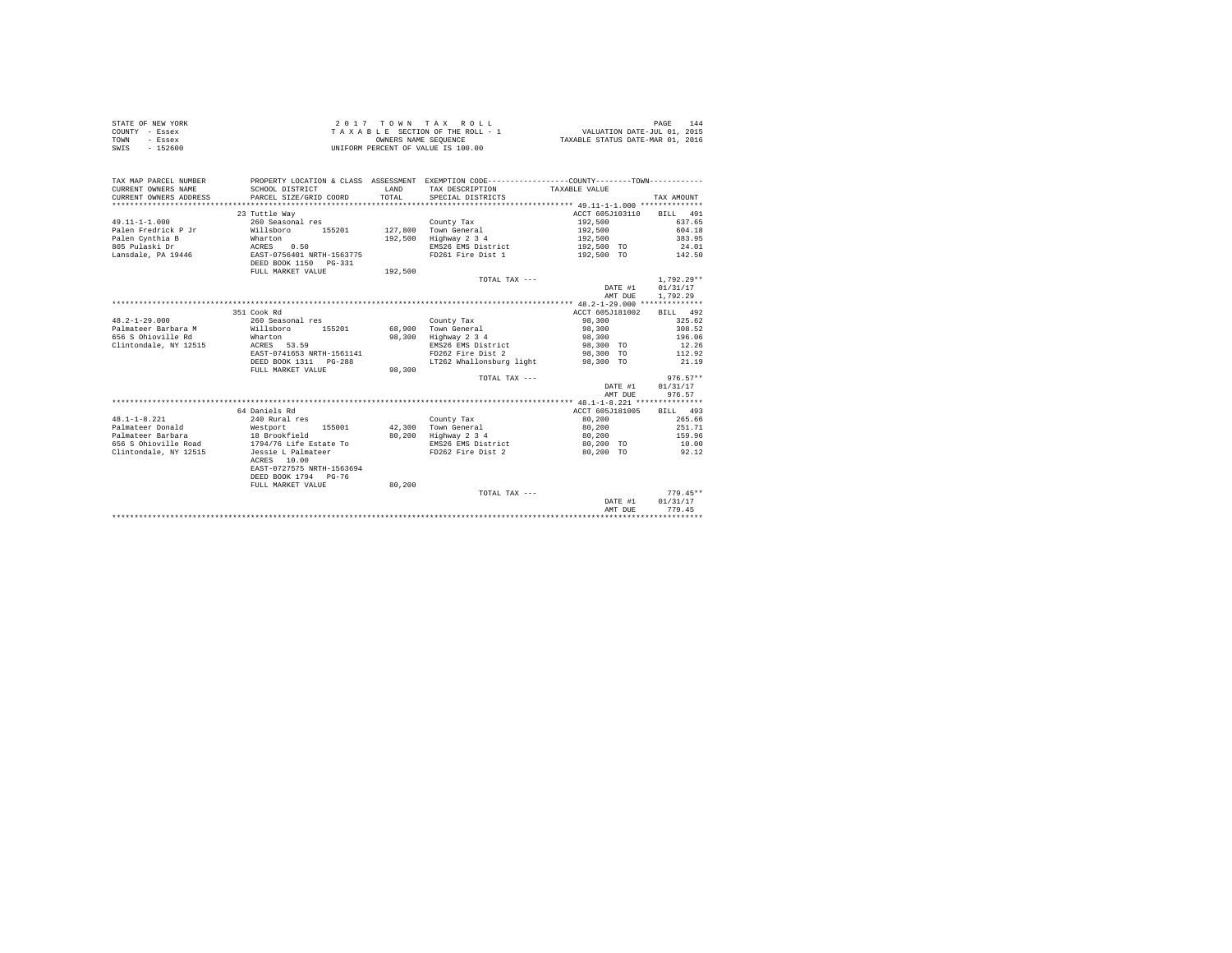| STATE OF NEW YORK<br>COUNTY - Essex<br><b>TOWN</b><br>- Essex<br>$-152600$<br>SWIS |                                                                                                |                | 2017 TOWN TAX ROLL<br>UNIFORM PERCENT OF VALUE IS 100.00 |                 | 144<br>PAGE    |
|------------------------------------------------------------------------------------|------------------------------------------------------------------------------------------------|----------------|----------------------------------------------------------|-----------------|----------------|
| TAX MAP PARCEL NUMBER                                                              | PROPERTY LOCATION & CLASS ASSESSMENT EXEMPTION CODE---------------COUNTY--------TOWN---------- |                |                                                          |                 |                |
| CURRENT OWNERS NAME<br>CURRENT OWNERS ADDRESS                                      | SCHOOL DISTRICT<br>PARCEL SIZE/GRID COORD                                                      | LAND<br>TOTAL. | TAX DESCRIPTION<br>SPECIAL DISTRICTS                     | TAXABLE VALUE   | TAX AMOUNT     |
|                                                                                    |                                                                                                |                |                                                          |                 |                |
|                                                                                    | 23 Tuttle Way                                                                                  |                |                                                          | ACCT 605J103110 | BILL 491       |
| $49.11 - 1 - 1.000$                                                                | 260 Seasonal res                                                                               |                | County Tax                                               | 192,500         | 637.65         |
| Palen Fredrick P Jr                                                                | Willsboro<br>155201                                                                            |                | 127,800 Town General                                     | 192,500         | 604.18         |
| Palen Cynthia B                                                                    | Wharton                                                                                        |                | 192,500 Highway 2 3 4                                    | 192,500         | 383.95         |
| 805 Pulaski Dr                                                                     |                                                                                                |                | EMS26 EMS District                                       | 192,500 TO      | 24.01          |
| Lansdale, PA 19446                                                                 | ACRES 0.50<br>EAST-0756401 NRTH-1563775                                                        |                | FD261 Fire Dist 1                                        | 192,500 TO      | 142.50         |
|                                                                                    | DEED BOOK 1150 PG-331                                                                          |                |                                                          |                 |                |
|                                                                                    | FULL MARKET VALUE                                                                              | 192,500        |                                                          |                 |                |
|                                                                                    |                                                                                                |                | TOTAL TAX ---                                            |                 | $1.792.29**$   |
|                                                                                    |                                                                                                |                |                                                          | DATE #1         | 01/31/17       |
|                                                                                    |                                                                                                |                |                                                          | AMT DUE         | 1,792.29       |
|                                                                                    |                                                                                                |                |                                                          |                 |                |
|                                                                                    | 351 Cook Rd                                                                                    |                |                                                          | ACCT 605J181002 | BILL 492       |
| $48.2 - 1 - 29.000$                                                                | 260 Seasonal res                                                                               |                | County Tax                                               | 98,300          | 325.62         |
| Palmateer Barbara M                                                                | Willsboro 155201                                                                               |                | 68,900 Town General                                      | 98,300          | 308.52         |
| 656 S Ohioville Rd                                                                 | Wharton                                                                                        |                | 98.300 Highway 2 3 4                                     | 98,300          | 196.06         |
| Clintondale, NY 12515                                                              | ACRES 53.59                                                                                    |                | EMS26 EMS District                                       | 98,300 TO       | 12.26          |
|                                                                                    | EAST-0741653 NRTH-1561141                                                                      |                | FD262 Fire Dist 2                                        | 98,300 TO       | 112.92         |
|                                                                                    | DEED BOOK 1311 PG-288                                                                          |                | LT262 Whallonsburg light                                 | 98,300 TO       | 21.19          |
|                                                                                    | FULL MARKET VALUE                                                                              | 98,300         |                                                          |                 |                |
|                                                                                    |                                                                                                |                | TOTAL TAX ---                                            |                 | $976.57**$     |
|                                                                                    |                                                                                                |                |                                                          | DATE #1         | 01/31/17       |
|                                                                                    |                                                                                                |                |                                                          | AMT DUE         | 976.57         |
|                                                                                    |                                                                                                |                |                                                          |                 |                |
|                                                                                    | 64 Daniels Rd                                                                                  |                |                                                          | ACCT 605J181005 | BILL 493       |
| $48.1 - 1 - 8.221$                                                                 | 240 Rural res                                                                                  |                | County Tax                                               | 80,200          | 265.66         |
| Palmateer Donald                                                                   | Westport<br>155001                                                                             |                | 42.300 Town General                                      | 80,200          | 251.71         |
| Palmateer Barbara                                                                  | 18 Brookfield<br>1794/76 Life Estate To                                                        |                | 80,200 Highway 2 3 4                                     | 80,200          | 159.96         |
| 656 S Ohioville Road                                                               |                                                                                                |                | EMS26 EMS District                                       | 80,200 TO       | 10.00          |
| Clintondale, NY 12515                                                              | Jessie L Palmateer                                                                             |                | FD262 Fire Dist 2                                        | 80.200 TO       | 92.12          |
|                                                                                    | ACRES 10.00                                                                                    |                |                                                          |                 |                |
|                                                                                    | EAST-0727575 NRTH-1563694                                                                      |                |                                                          |                 |                |
|                                                                                    | DEED BOOK 1794 PG-76                                                                           |                |                                                          |                 |                |
|                                                                                    | FULL MARKET VALUE                                                                              | 80,200         |                                                          |                 |                |
|                                                                                    |                                                                                                |                | TOTAL TAX ---                                            |                 | $779.45**$     |
|                                                                                    |                                                                                                |                |                                                          | DATE #1         | 01/31/17       |
|                                                                                    |                                                                                                |                |                                                          | AMT DUE         | 779.45         |
|                                                                                    |                                                                                                |                |                                                          |                 | ************** |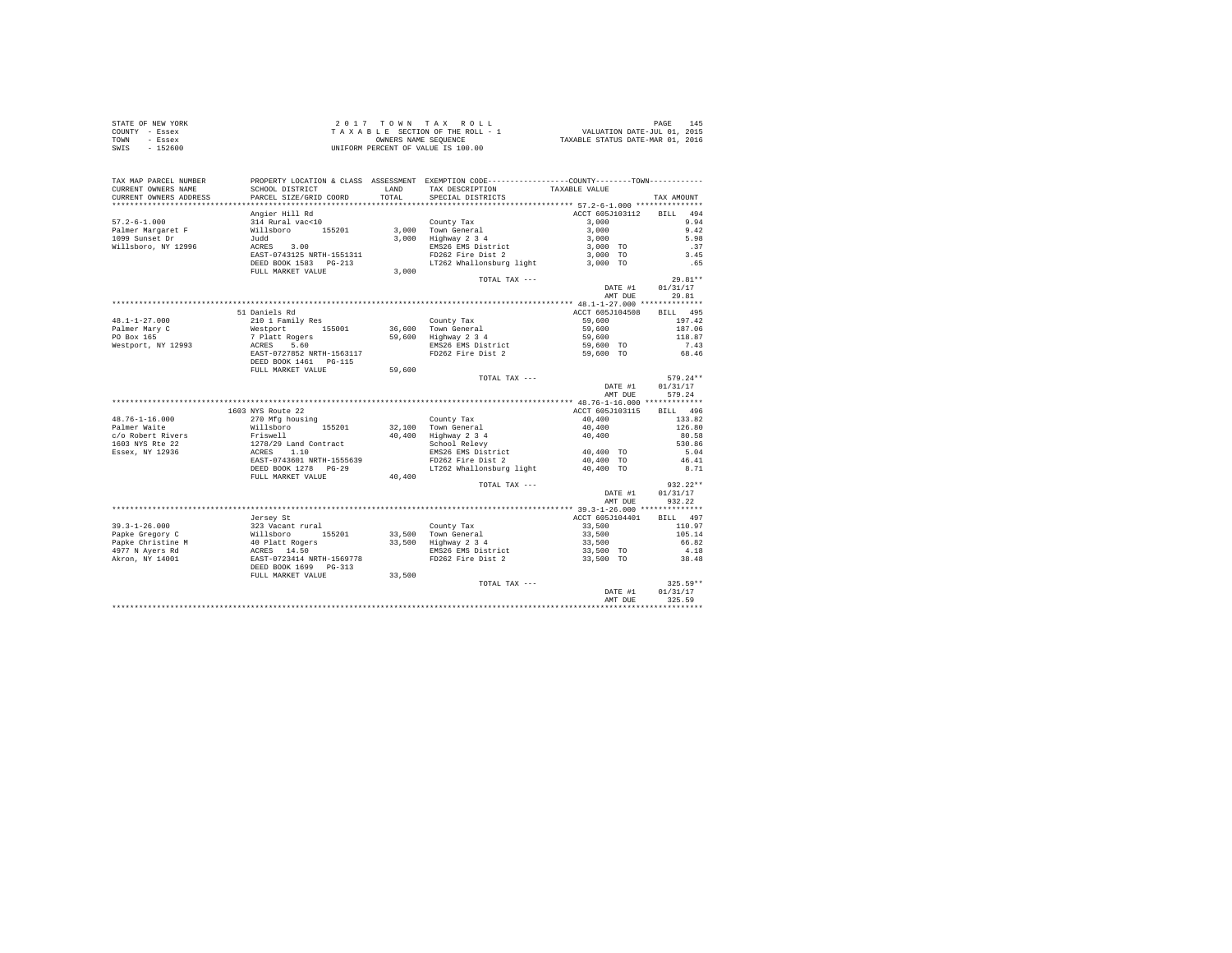| STATE OF NEW YORK | 2017 TOWN TAX ROLL                 | 145<br>PAGE                      |
|-------------------|------------------------------------|----------------------------------|
| COUNTY - Essex    | TAXABLE SECTION OF THE ROLL - 1    | VALUATION DATE-JUL 01, 2015      |
| TOWN<br>- Essex   | OWNERS NAME SEOUENCE               | TAXABLE STATUS DATE-MAR 01, 2016 |
| - 152600<br>SWIS  | UNIFORM PERCENT OF VALUE IS 100.00 |                                  |

| TAX MAP PARCEL NUMBER<br>CURRENT OWNERS NAME | SCHOOL DISTRICT                                                                                                                                                                                                                                   |        | PROPERTY LOCATION & CLASS ASSESSMENT EXEMPTION CODE----------------COUNTY--------TOWN----------<br>LAND TAX DESCRIPTION | TAXABLE VALUE              |                  |
|----------------------------------------------|---------------------------------------------------------------------------------------------------------------------------------------------------------------------------------------------------------------------------------------------------|--------|-------------------------------------------------------------------------------------------------------------------------|----------------------------|------------------|
| CURRENT OWNERS ADDRESS                       | PARCEL SIZE/GRID COORD                                                                                                                                                                                                                            |        | TOTAL SPECIAL DISTRICTS                                                                                                 |                            | TAX AMOUNT       |
|                                              |                                                                                                                                                                                                                                                   |        |                                                                                                                         |                            |                  |
|                                              | Angier Hill Rd                                                                                                                                                                                                                                    |        |                                                                                                                         | ACCT 605J103112 BILL 494   |                  |
| $57.2 - 6 - 1.000$                           |                                                                                                                                                                                                                                                   |        |                                                                                                                         | 3,000                      | 9.94             |
| Palmer Margaret F                            |                                                                                                                                                                                                                                                   |        |                                                                                                                         | $3,000$<br>$3,000$         | 9.42             |
|                                              |                                                                                                                                                                                                                                                   |        |                                                                                                                         |                            | 5.98             |
|                                              |                                                                                                                                                                                                                                                   |        | EMS26 EMS District<br>FD262 Fire Dist 2                                                                                 | $3,000$ TO<br>$3,000$ TO   | .37              |
|                                              |                                                                                                                                                                                                                                                   |        |                                                                                                                         |                            | 3.45             |
|                                              | DEED BOOK 1583 PG-213                                                                                                                                                                                                                             |        | LT262 Whallonsburg light 3,000 TO                                                                                       |                            | .65              |
|                                              | FULL MARKET VALUE                                                                                                                                                                                                                                 | 3,000  |                                                                                                                         |                            |                  |
|                                              |                                                                                                                                                                                                                                                   |        | TOTAL TAX ---                                                                                                           |                            | $29.81**$        |
|                                              |                                                                                                                                                                                                                                                   |        |                                                                                                                         |                            | DATE #1 01/31/17 |
|                                              |                                                                                                                                                                                                                                                   |        |                                                                                                                         | AMT DUE                    | 29.81            |
|                                              |                                                                                                                                                                                                                                                   |        |                                                                                                                         |                            |                  |
|                                              | 51 Daniels Rd                                                                                                                                                                                                                                     |        |                                                                                                                         | ACCT 605J104508 BILL 495   |                  |
|                                              |                                                                                                                                                                                                                                                   |        |                                                                                                                         | 59,600                     | 197.42           |
|                                              |                                                                                                                                                                                                                                                   |        |                                                                                                                         |                            | 187.06           |
|                                              |                                                                                                                                                                                                                                                   |        |                                                                                                                         | $59,600$<br>$59,600$       | 118.87           |
|                                              |                                                                                                                                                                                                                                                   |        |                                                                                                                         |                            |                  |
|                                              | 48.1-1-27.000<br>Palmer Mary County Tax (2010)<br>Palmer Mary Count (2011)<br>Po Box 165<br>Po Box 165<br>Nestport, NY 12993<br>Mestport, NY 12993<br>Mestport (2027)<br>Mary 236 5.600 Highway 234<br>Nestport (2028)<br>PO262 Fire Dist 2<br>PO |        | EMS26 EMS District<br>FD262 Fire Dist 2                                                                                 | 59,600 TO<br>59,600 TO     | $7.43$<br>68.46  |
|                                              | DEED BOOK 1461    PG-115                                                                                                                                                                                                                          |        |                                                                                                                         |                            |                  |
|                                              | FULL MARKET VALUE 59,600                                                                                                                                                                                                                          |        |                                                                                                                         |                            |                  |
|                                              |                                                                                                                                                                                                                                                   |        | TOTAL TAX ---                                                                                                           |                            | $579.24**$       |
|                                              |                                                                                                                                                                                                                                                   |        |                                                                                                                         | DATE #1                    | 01/31/17         |
|                                              |                                                                                                                                                                                                                                                   |        |                                                                                                                         | AMT DUE                    | 579.24           |
|                                              |                                                                                                                                                                                                                                                   |        |                                                                                                                         |                            |                  |
|                                              | 1603 NYS Route 22                                                                                                                                                                                                                                 |        |                                                                                                                         | ACCT 605J103115            | BILL 496         |
| $48.76 - 1 - 16.000$                         | 270 Mfg housing                                                                                                                                                                                                                                   |        | County Tax                                                                                                              | 40,400                     | 133.82           |
| Palmer Waite                                 |                                                                                                                                                                                                                                                   |        |                                                                                                                         |                            | 126.80           |
|                                              |                                                                                                                                                                                                                                                   |        |                                                                                                                         |                            | 80.58            |
|                                              |                                                                                                                                                                                                                                                   |        |                                                                                                                         |                            | 530.86           |
|                                              |                                                                                                                                                                                                                                                   |        |                                                                                                                         |                            | 5.04             |
|                                              |                                                                                                                                                                                                                                                   |        |                                                                                                                         |                            | 46.41            |
|                                              |                                                                                                                                                                                                                                                   |        |                                                                                                                         |                            | 8.71             |
|                                              | DEED BOOK 1278 PG-29 $LT262$ Whallonsburg light $40,400$ TO<br>FULL MARKET VALUE $40,400$                                                                                                                                                         |        |                                                                                                                         |                            |                  |
|                                              |                                                                                                                                                                                                                                                   |        | TOTAL TAX ---                                                                                                           |                            | $932.22**$       |
|                                              |                                                                                                                                                                                                                                                   |        |                                                                                                                         | DATE #1                    | 01/31/17         |
|                                              |                                                                                                                                                                                                                                                   |        |                                                                                                                         | AMT DUE                    | 932.22           |
|                                              |                                                                                                                                                                                                                                                   |        |                                                                                                                         |                            |                  |
|                                              | Jersev St                                                                                                                                                                                                                                         |        |                                                                                                                         | ACCT 605J104401 BILL 497   |                  |
|                                              |                                                                                                                                                                                                                                                   |        |                                                                                                                         |                            | 110.97           |
|                                              |                                                                                                                                                                                                                                                   |        |                                                                                                                         | 33,500<br>33,500<br>33,500 | 105.14           |
|                                              |                                                                                                                                                                                                                                                   |        |                                                                                                                         |                            | 66.82            |
|                                              |                                                                                                                                                                                                                                                   |        | EMS26 EMS District 33,500 TO                                                                                            |                            | 4.18             |
|                                              |                                                                                                                                                                                                                                                   |        | FD262 Fire Dist 2                                                                                                       | 33,500 TO                  | 38.48            |
|                                              |                                                                                                                                                                                                                                                   |        |                                                                                                                         |                            |                  |
|                                              | FULL MARKET VALUE                                                                                                                                                                                                                                 | 33,500 |                                                                                                                         |                            |                  |
|                                              |                                                                                                                                                                                                                                                   |        | TOTAL TAX ---                                                                                                           |                            | $325.59**$       |
|                                              |                                                                                                                                                                                                                                                   |        |                                                                                                                         | DATE #1                    | 01/31/17         |
|                                              |                                                                                                                                                                                                                                                   |        |                                                                                                                         | AMT DUE                    | 325.59           |
|                                              |                                                                                                                                                                                                                                                   |        |                                                                                                                         |                            |                  |
|                                              |                                                                                                                                                                                                                                                   |        |                                                                                                                         |                            |                  |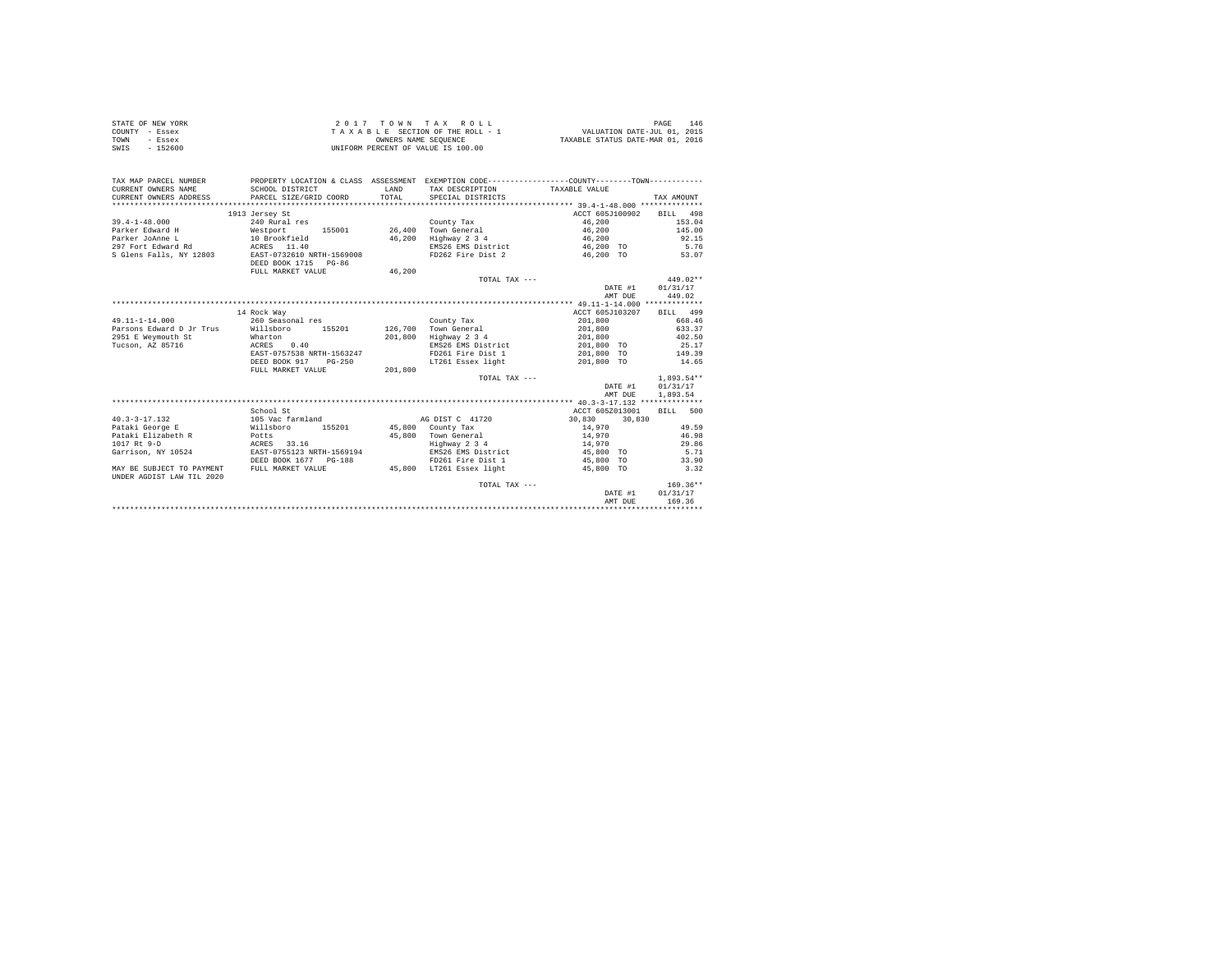|      | STATE OF NEW YORK | 2017 TOWN TAX ROLL                 | 146<br>PAGE                      |
|------|-------------------|------------------------------------|----------------------------------|
|      | COUNTY - Essex    | TAXABLE SECTION OF THE ROLL - 1    | VALUATION DATE-JUL 01, 2015      |
| TOWN | - Essex           | OWNERS NAME SEOUENCE               | TAXABLE STATUS DATE-MAR 01, 2016 |
| SWIS | - 152600          | UNIFORM PERCENT OF VALUE IS 100.00 |                                  |

| TAX MAP PARCEL NUMBER<br>CURRENT OWNERS NAME<br>CURRENT OWNERS ADDRESS | PROPERTY LOCATION & CLASS ASSESSMENT EXEMPTION CODE---------------COUNTY-------TOWN----------<br>SCHOOL DISTRICT<br>PARCEL SIZE/GRID COORD | LAND<br>TOTAL | TAX DESCRIPTION<br>SPECIAL DISTRICTS | TAXABLE VALUE    | TAX AMOUNT   |
|------------------------------------------------------------------------|--------------------------------------------------------------------------------------------------------------------------------------------|---------------|--------------------------------------|------------------|--------------|
|                                                                        | 1913 Jersey St                                                                                                                             |               |                                      | ACCT 605J100902  | BILL 498     |
| $39.4 - 1 - 48.000$                                                    | 240 Rural res                                                                                                                              |               | County Tax                           | 46,200           | 153.04       |
| Parker Edward H<br>Westport                                            | 155001                                                                                                                                     | 26,400        | Town General                         | 46,200           | 145.00       |
| Parker JoAnne L                                                        | 10 Brookfield                                                                                                                              | 46,200        | Highway 2 3 4                        | 46,200           | 92.15        |
| 297 Fort Edward Rd                                                     | ACRES 11.40                                                                                                                                |               | EMS26 EMS District                   | 46,200 TO        | 5.76         |
| S Glens Falls, NY 12803                                                | EAST-0732610 NRTH-1569008                                                                                                                  |               | FD262 Fire Dist 2                    | 46.200 TO        | 53.07        |
|                                                                        | DEED BOOK 1715 PG-86                                                                                                                       |               |                                      |                  |              |
|                                                                        | FULL MARKET VALUE                                                                                                                          | 46,200        |                                      |                  |              |
|                                                                        |                                                                                                                                            |               | TOTAL TAX ---                        |                  | $449.02**$   |
|                                                                        |                                                                                                                                            |               |                                      | DATE #1          | 01/31/17     |
|                                                                        |                                                                                                                                            |               |                                      | AMT DUE          | 449.02       |
|                                                                        |                                                                                                                                            |               |                                      |                  |              |
|                                                                        | 14 Rock Way                                                                                                                                |               |                                      | ACCT 605J103207  | BILL 499     |
| $49.11 - 1 - 14.000$                                                   | 260 Seasonal res                                                                                                                           |               | County Tax                           | 201,800          | 668.46       |
| Parsons Edward D Jr Trus                                               | Willsboro 155201                                                                                                                           |               | 126,700 Town General                 | 201,800          | 633.37       |
| 2951 E Weymouth St                                                     | Wharton                                                                                                                                    | 201,800       | Highway 2 3 4                        | 201,800          | 402.50       |
| Tucson, AZ 85716                                                       | ACRES<br>0.40                                                                                                                              |               | EMS26 EMS District                   | 201,800 TO       | 25.17        |
|                                                                        | EAST-0757538 NRTH-1563247                                                                                                                  |               | FD261 Fire Dist 1                    | 201,800 TO       | 149.39       |
|                                                                        | DEED BOOK 917<br>$PG-250$                                                                                                                  |               | LT261 Essex light                    | 201,800 TO       | 14.65        |
|                                                                        | FULL MARKET VALUE                                                                                                                          | 201,800       |                                      |                  |              |
|                                                                        |                                                                                                                                            |               | TOTAL TAX ---                        |                  | $1.893.54**$ |
|                                                                        |                                                                                                                                            |               |                                      | DATE #1          | 01/31/17     |
|                                                                        |                                                                                                                                            |               |                                      | AMT DUE          | 1,893.54     |
|                                                                        | School St                                                                                                                                  |               |                                      | ACCT 605Z013001  | BILL 500     |
| $40.3 - 3 - 17.132$                                                    | 105 Vac farmland                                                                                                                           |               | AG DIST C 41720                      | 30,830<br>30,830 |              |
| Pataki George E                                                        | 155201<br>Willsboro                                                                                                                        |               | 45,800 County Tax                    | 14,970           | 49.59        |
| Pataki Elizabeth R<br><b>Example 19 Potts</b>                          |                                                                                                                                            | 45,800        | Town General                         | 14,970           | 46.98        |
| 1017 Rt 9-D                                                            | ACRES 33.16                                                                                                                                |               | Highway 2 3 4                        | 14,970           | 29.86        |
| Garrison, NY 10524                                                     | EAST-0755123 NRTH-1569194                                                                                                                  |               | EMS26 EMS District                   | 45,800 TO        | 5.71         |
|                                                                        | DEED BOOK 1677 PG-188                                                                                                                      |               | FD261 Fire Dist 1                    | 45,800 TO        | 33.90        |
| MAY BE SUBJECT TO PAYMENT                                              | FULL MARKET VALUE                                                                                                                          |               | 45,800 LT261 Essex light             | 45,800 TO        | 3.32         |
| UNDER AGDIST LAW TIL 2020                                              |                                                                                                                                            |               |                                      |                  |              |
|                                                                        |                                                                                                                                            |               | TOTAL TAX ---                        |                  | $169.36**$   |
|                                                                        |                                                                                                                                            |               |                                      | DATE #1          | 01/31/17     |
|                                                                        |                                                                                                                                            |               |                                      | AMT DUE          | 169.36       |
|                                                                        |                                                                                                                                            |               |                                      |                  |              |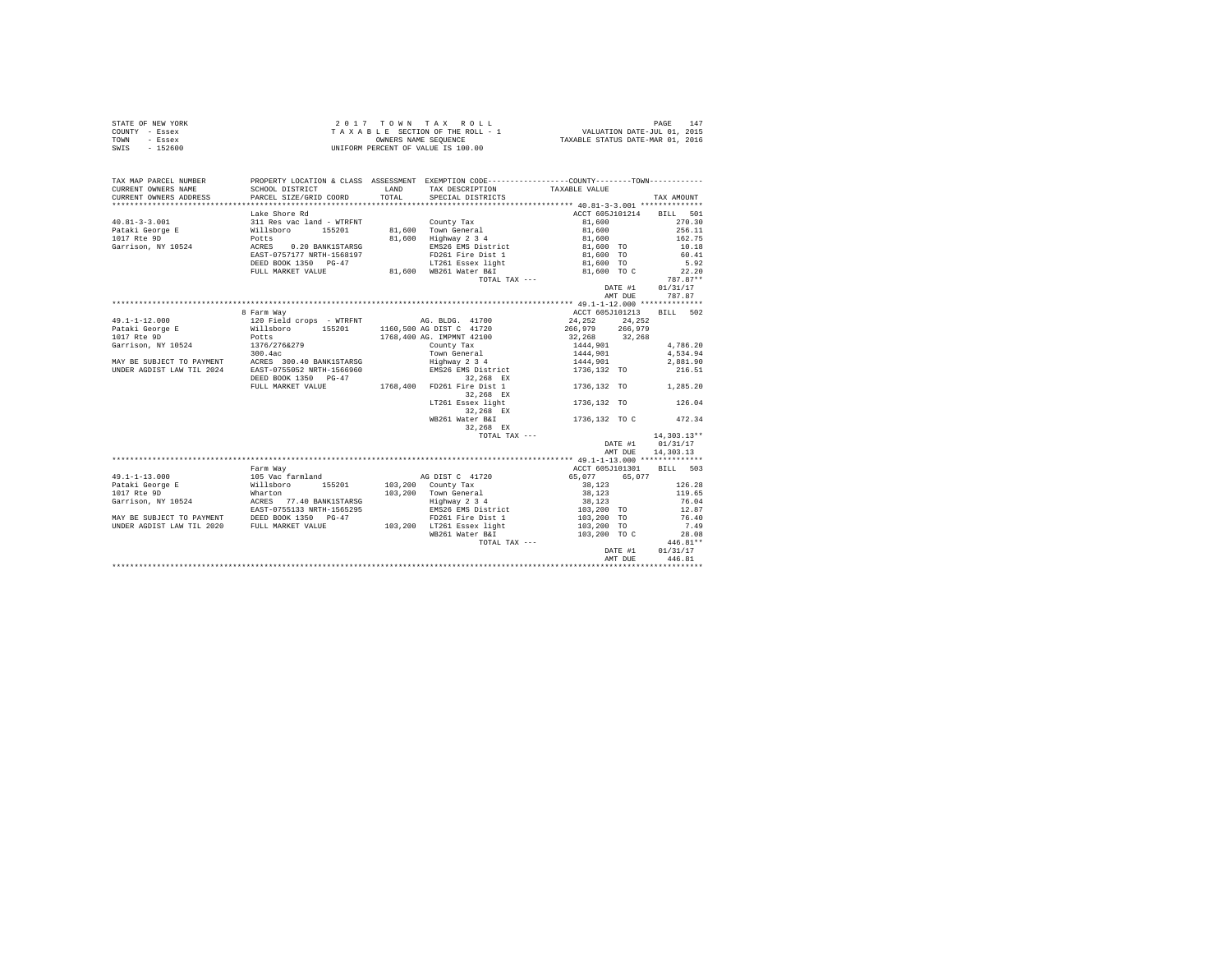| STATE OF NEW YORK | 2017 TOWN TAX ROLL                 | $14^{\circ}$<br>PAGE             |
|-------------------|------------------------------------|----------------------------------|
| COUNTY - Essex    | TAXABLE SECTION OF THE ROLL - 1    | VALUATION DATE-JUL 01, 2015      |
| TOWN<br>- Essex   | OWNERS NAME SEOUENCE               | TAXABLE STATUS DATE-MAR 01, 2016 |
| - 152600<br>SWIS  | UNIFORM PERCENT OF VALUE IS 100.00 |                                  |

| TAX MAP PARCEL NUMBER  |                                                                                                                                                                                                                                            |       | PROPERTY LOCATION & CLASS ASSESSMENT EXEMPTION CODE----------------COUNTY--------TOWN---------- |                                  |                    |                    |        |
|------------------------|--------------------------------------------------------------------------------------------------------------------------------------------------------------------------------------------------------------------------------------------|-------|-------------------------------------------------------------------------------------------------|----------------------------------|--------------------|--------------------|--------|
| CURRENT OWNERS NAME    | SCHOOL DISTRICT                                                                                                                                                                                                                            |       | LAND TAX DESCRIPTION                                                                            | TAXABLE VALUE                    |                    |                    |        |
| CURRENT OWNERS ADDRESS | PARCEL SIZE/GRID COORD                                                                                                                                                                                                                     | TOTAL | SPECIAL DISTRICTS                                                                               |                                  |                    | TAX AMOUNT         |        |
|                        |                                                                                                                                                                                                                                            |       |                                                                                                 | ACCT 605J101214                  |                    | BILL 501           |        |
|                        |                                                                                                                                                                                                                                            |       |                                                                                                 | 81,600                           |                    |                    | 270.30 |
|                        |                                                                                                                                                                                                                                            |       | 81.600 Town General                                                                             | 81,600                           |                    | 256.11             |        |
|                        |                                                                                                                                                                                                                                            |       | 81,600 Highway 2 3 4                                                                            | 81,600                           |                    | 162.75             |        |
|                        |                                                                                                                                                                                                                                            |       | EMS26 EMS District 81,600 TO                                                                    |                                  |                    | 10.18              |        |
|                        |                                                                                                                                                                                                                                            |       | FD261 Fire Dist 1                                                                               | 81,600 TO                        |                    | 60.41              |        |
|                        | DEED BOOK 1350 PG-47                                                                                                                                                                                                                       |       | LT261 Essex light                                                                               | 81,600 TO                        |                    | 5.92               |        |
|                        | FULL MARKET VALUE                                                                                                                                                                                                                          |       | 81,600 WB261 Water B&I                                                                          | 81,600 TO C                      |                    |                    | 22.20  |
|                        |                                                                                                                                                                                                                                            |       | TOTAL TAX ---                                                                                   |                                  |                    | 787.87**           |        |
|                        |                                                                                                                                                                                                                                            |       |                                                                                                 |                                  | DATE #1            | 01/31/17           |        |
|                        |                                                                                                                                                                                                                                            |       |                                                                                                 |                                  | AMT DUE            | 787.87             |        |
|                        |                                                                                                                                                                                                                                            |       |                                                                                                 |                                  |                    |                    |        |
|                        | 8 Farm Way                                                                                                                                                                                                                                 |       |                                                                                                 | ACCT 605J101213                  |                    | BILL 502           |        |
|                        |                                                                                                                                                                                                                                            |       |                                                                                                 | 24, 252 24, 252                  |                    |                    |        |
|                        |                                                                                                                                                                                                                                            |       |                                                                                                 | 266,979 266,979<br>32,268 32,268 |                    |                    |        |
|                        |                                                                                                                                                                                                                                            |       |                                                                                                 |                                  |                    |                    |        |
|                        |                                                                                                                                                                                                                                            |       |                                                                                                 | 1444,901<br>1444,901             |                    | 4,786.20           |        |
|                        |                                                                                                                                                                                                                                            |       |                                                                                                 |                                  |                    | 4,534.94           |        |
|                        |                                                                                                                                                                                                                                            |       |                                                                                                 | 1444,901<br>1736,132 TO          |                    | 2,881.90           |        |
|                        |                                                                                                                                                                                                                                            |       |                                                                                                 |                                  |                    | 216.51             |        |
|                        | DEED BOOK 1350 PG-47<br>FULL MARKET VALUE 1768,400 FD261 Fire Dist 1                                                                                                                                                                       |       |                                                                                                 |                                  |                    |                    |        |
|                        |                                                                                                                                                                                                                                            |       |                                                                                                 | 1736, 132 TO 1, 285. 20          |                    |                    |        |
|                        |                                                                                                                                                                                                                                            |       | 32.268 EX                                                                                       |                                  |                    |                    |        |
|                        |                                                                                                                                                                                                                                            |       | LT261 Essex light                                                                               | 1736,132 TO                      |                    | 126.04             |        |
|                        |                                                                                                                                                                                                                                            |       | 32.268 EX                                                                                       |                                  |                    |                    |        |
|                        |                                                                                                                                                                                                                                            |       | WB261 Water B&I                                                                                 | 1736, 132 TO C 472.34            |                    |                    |        |
|                        |                                                                                                                                                                                                                                            |       | 32,268 EX                                                                                       |                                  |                    |                    |        |
|                        |                                                                                                                                                                                                                                            |       | TOTAL TAX ---                                                                                   |                                  |                    | $14.303.13**$      |        |
|                        |                                                                                                                                                                                                                                            |       |                                                                                                 |                                  | DATE #1            | 01/31/17           |        |
|                        |                                                                                                                                                                                                                                            |       |                                                                                                 |                                  | AMT DUE            | 14,303.13          |        |
|                        |                                                                                                                                                                                                                                            |       |                                                                                                 |                                  |                    |                    |        |
|                        | Farm Way                                                                                                                                                                                                                                   |       |                                                                                                 | ACCT 605J101301                  |                    | BILL 503           |        |
|                        | 49.1-1-13.000<br>Pataki George E Millsboro 105 Vac farmland<br>1017 Rte 9D Millsboro 1155201<br>1017 Rte 9D Marton RCRSS 77.40 BANK1STARSG<br>3671769133 NRTH-1565295<br>NADER AGDIST LAW TIL 2020 PULL MARKET VALUE<br>NDBR AGDIST LAW TI |       | AG DIST C 41720                                                                                 | 65,077 65,077                    |                    | 126.28             |        |
|                        |                                                                                                                                                                                                                                            |       | 155201 103,200 County Tax                                                                       | 38,123                           |                    |                    |        |
|                        |                                                                                                                                                                                                                                            |       | 103,200 Town General<br>SG Highway 2 3 4                                                        | 38,123<br>38,123                 |                    | 119.65<br>76.04    |        |
|                        |                                                                                                                                                                                                                                            |       | EMS26 EMS District                                                                              |                                  |                    |                    |        |
|                        |                                                                                                                                                                                                                                            |       |                                                                                                 | 103,200 TO<br>103,200 TO         |                    | 12.87<br>76.40     |        |
|                        |                                                                                                                                                                                                                                            |       | FD261 Fire Dist 1                                                                               |                                  |                    |                    |        |
|                        |                                                                                                                                                                                                                                            |       | 103,200 LT261 Essex light                                                                       | 103,200 TO                       |                    | 7.49               |        |
|                        |                                                                                                                                                                                                                                            |       | WB261 Water B&I<br>TOTAL TAX ---                                                                | 103,200 TO C                     |                    | $446.81**$         | 28.08  |
|                        |                                                                                                                                                                                                                                            |       |                                                                                                 |                                  |                    |                    |        |
|                        |                                                                                                                                                                                                                                            |       |                                                                                                 |                                  | DATE #1<br>AMT DUE | 01/31/17<br>446.81 |        |
|                        |                                                                                                                                                                                                                                            |       |                                                                                                 |                                  |                    |                    |        |
|                        |                                                                                                                                                                                                                                            |       |                                                                                                 |                                  |                    |                    |        |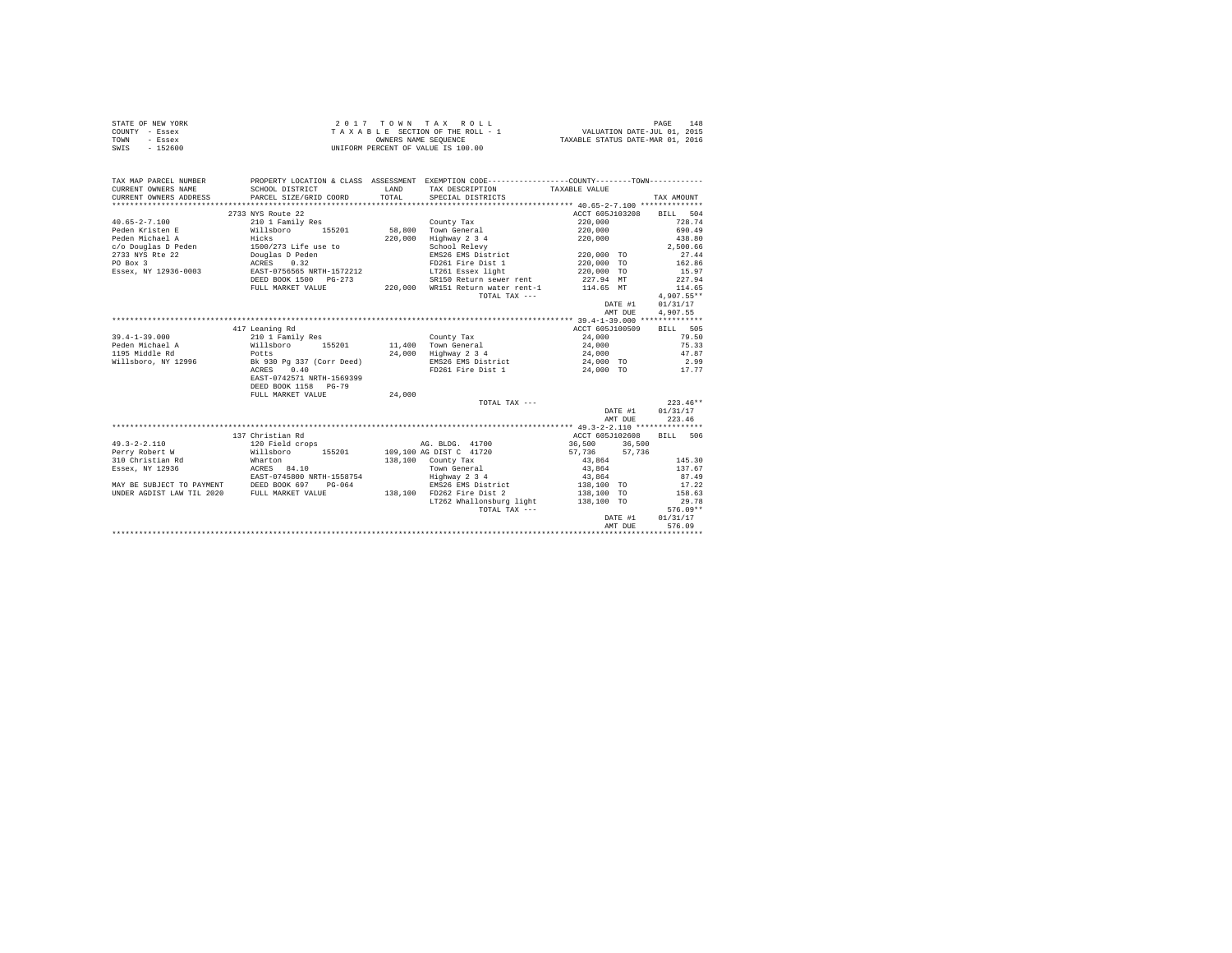| STATE OF NEW YORK | 2017 TOWN TAX ROLL                 | 148<br>PAGE                      |
|-------------------|------------------------------------|----------------------------------|
| COUNTY - Essex    | TAXABLE SECTION OF THE ROLL - 1    | VALUATION DATE-JUL 01, 2015      |
| TOWN<br>- Essex   | OWNERS NAME SEOUENCE               | TAXABLE STATUS DATE-MAR 01, 2016 |
| SWIS<br>$-152600$ | UNIFORM PERCENT OF VALUE IS 100.00 |                                  |

| TAX MAP PARCEL NUMBER                                                                                                                                                                                                   |                                                                        |        | PROPERTY LOCATION & CLASS ASSESSMENT EXEMPTION CODE---------------COUNTY-------TOWN---------- |                          |              |
|-------------------------------------------------------------------------------------------------------------------------------------------------------------------------------------------------------------------------|------------------------------------------------------------------------|--------|-----------------------------------------------------------------------------------------------|--------------------------|--------------|
| CURRENT OWNERS NAME                                                                                                                                                                                                     | SCHOOL DISTRICT                                                        | LAND   | TAX DESCRIPTION                                                                               | TAXABLE VALUE            |              |
| CURRENT OWNERS ADDRESS                                                                                                                                                                                                  | PARCEL SIZE/GRID COORD                                                 | TOTAL  | SPECIAL DISTRICTS                                                                             |                          | TAX AMOUNT   |
|                                                                                                                                                                                                                         |                                                                        |        |                                                                                               |                          |              |
|                                                                                                                                                                                                                         | 2733 NYS Route 22                                                      |        |                                                                                               | ACCT 605J103208 BILL 504 |              |
| $40.65 - 2 - 7.100$                                                                                                                                                                                                     | 210 1 Family Res                                                       |        | County Tax                                                                                    | 220,000                  | 728.74       |
| Peden Kristen E Millsboro 155201 58,800 Town General                                                                                                                                                                    |                                                                        |        |                                                                                               | 220,000                  | 690.49       |
|                                                                                                                                                                                                                         |                                                                        |        | Highway 2 3 4<br>School Relevy                                                                | 220,000                  | 438.80       |
|                                                                                                                                                                                                                         |                                                                        |        |                                                                                               |                          | 2.500.66     |
| Peden Michael A (1992)<br>Peden Michael A (1992)<br>270,000<br>2733 NYS Rte 22 Douglas D Peden<br>2733 NYS Rte 22 Douglas D Peden<br>2733 NYS Rte 22 Douglas D Peden<br>2888-2, NY 12936-0003 EAST-0756565 NRTH-1572212 |                                                                        |        | EMS26 EMS District 220,000 TO                                                                 |                          | 27.44        |
|                                                                                                                                                                                                                         |                                                                        |        | FD261 Fire Dist 1<br>LT261 Essex light                                                        | 220,000 TO<br>220,000 TO | 162.86       |
|                                                                                                                                                                                                                         |                                                                        |        |                                                                                               |                          | 15.97        |
|                                                                                                                                                                                                                         | DEED BOOK 1500 PG-273                                                  |        | SR150 Return sewer rent 227.94 MT                                                             |                          | 227.94       |
|                                                                                                                                                                                                                         | FULL MARKET VALUE                                                      |        | 220,000 WR151 Return water rent-1 114.65 MT                                                   |                          | 114.65       |
|                                                                                                                                                                                                                         |                                                                        |        | TOTAL TAX ---                                                                                 |                          | $4,907.55**$ |
|                                                                                                                                                                                                                         |                                                                        |        |                                                                                               | DATE #1                  | 01/31/17     |
|                                                                                                                                                                                                                         |                                                                        |        |                                                                                               | AMT DUE                  | 4.907.55     |
|                                                                                                                                                                                                                         |                                                                        |        |                                                                                               |                          |              |
|                                                                                                                                                                                                                         | 417 Leaning Rd                                                         |        |                                                                                               | ACCT 605J100509          | BILL 505     |
| $39.4 - 1 - 39.000$                                                                                                                                                                                                     | 210 1 Family Res                                                       |        | County Tax                                                                                    | 24,000                   | 79.50        |
| 39.4-1-33<br>Peden Michael A                                                                                                                                                                                            |                                                                        |        |                                                                                               |                          | 75.33        |
|                                                                                                                                                                                                                         | Willsboro 155201 11,400 Town-General<br>Potts 24,000 Highway 2 3 4     |        |                                                                                               | 24,000<br>24,000         | 47.87        |
| Willsboro, NY 12996 Bk 930 Pg 337 (Corr Deed)                                                                                                                                                                           |                                                                        |        | EMS26 EMS District 24,000 TO 2.99                                                             |                          |              |
|                                                                                                                                                                                                                         | ACRES 0.40                                                             |        | FD261 Fire Dist 1 24,000 TO 17.77                                                             |                          |              |
|                                                                                                                                                                                                                         | EAST-0742571 NRTH-1569399                                              |        |                                                                                               |                          |              |
|                                                                                                                                                                                                                         | DEED BOOK 1158 PG-79                                                   |        |                                                                                               |                          |              |
|                                                                                                                                                                                                                         | FULL MARKET VALUE                                                      | 24,000 |                                                                                               |                          |              |
|                                                                                                                                                                                                                         |                                                                        |        | TOTAL TAX ---                                                                                 |                          | $223.46**$   |
|                                                                                                                                                                                                                         |                                                                        |        |                                                                                               | DATE #1                  | 01/31/17     |
|                                                                                                                                                                                                                         |                                                                        |        |                                                                                               | AMT DUE                  | 223.46       |
|                                                                                                                                                                                                                         |                                                                        |        |                                                                                               |                          |              |
|                                                                                                                                                                                                                         | 137 Christian Rd                                                       |        |                                                                                               | ACCT 605J102608          | BILL 506     |
| $49.3 - 2 - 2.110$                                                                                                                                                                                                      | 120 Field crops                                                        |        | AG. BLDG. 41700                                                                               | 36,500 36,500            |              |
| Perry Robert W                                                                                                                                                                                                          |                                                                        |        |                                                                                               | 57,736 57,736            |              |
| 310 Christian Rd                                                                                                                                                                                                        | Willsboro 155201 109,100 AG DIST C 41720<br>Wharton 138,100 County Tax |        |                                                                                               | 43,864                   | 145.30       |
| Essex, NY 12936                                                                                                                                                                                                         | ACRES 84.10                                                            |        | Town General                                                                                  | 43,864                   | 137.67       |
|                                                                                                                                                                                                                         |                                                                        |        |                                                                                               |                          | 87.49        |
| EAST-0745800 NRTH-1558754<br>MAY BE SUBJECT TO PAYMENT DEED BOOK 697 PG-064                                                                                                                                             |                                                                        |        | Highway 2 3 4<br>EMS26 EMS District                                                           | $43,864$<br>138,100 TO   | 17.22        |
| UNDER AGDIST LAW TIL 2020 FULL MARKET VALUE                                                                                                                                                                             |                                                                        |        | 138,100 FD262 Fire Dist 2                                                                     | 138,100 TO               | 158.63       |
|                                                                                                                                                                                                                         |                                                                        |        | LT262 Whallonsburg light 138,100 TO                                                           |                          | 29.78        |
|                                                                                                                                                                                                                         |                                                                        |        | TOTAL TAX ---                                                                                 |                          | $576.09**$   |
|                                                                                                                                                                                                                         |                                                                        |        |                                                                                               | DATE #1                  | 01/31/17     |
|                                                                                                                                                                                                                         |                                                                        |        |                                                                                               | AMT DUE                  | 576.09       |
|                                                                                                                                                                                                                         |                                                                        |        |                                                                                               |                          |              |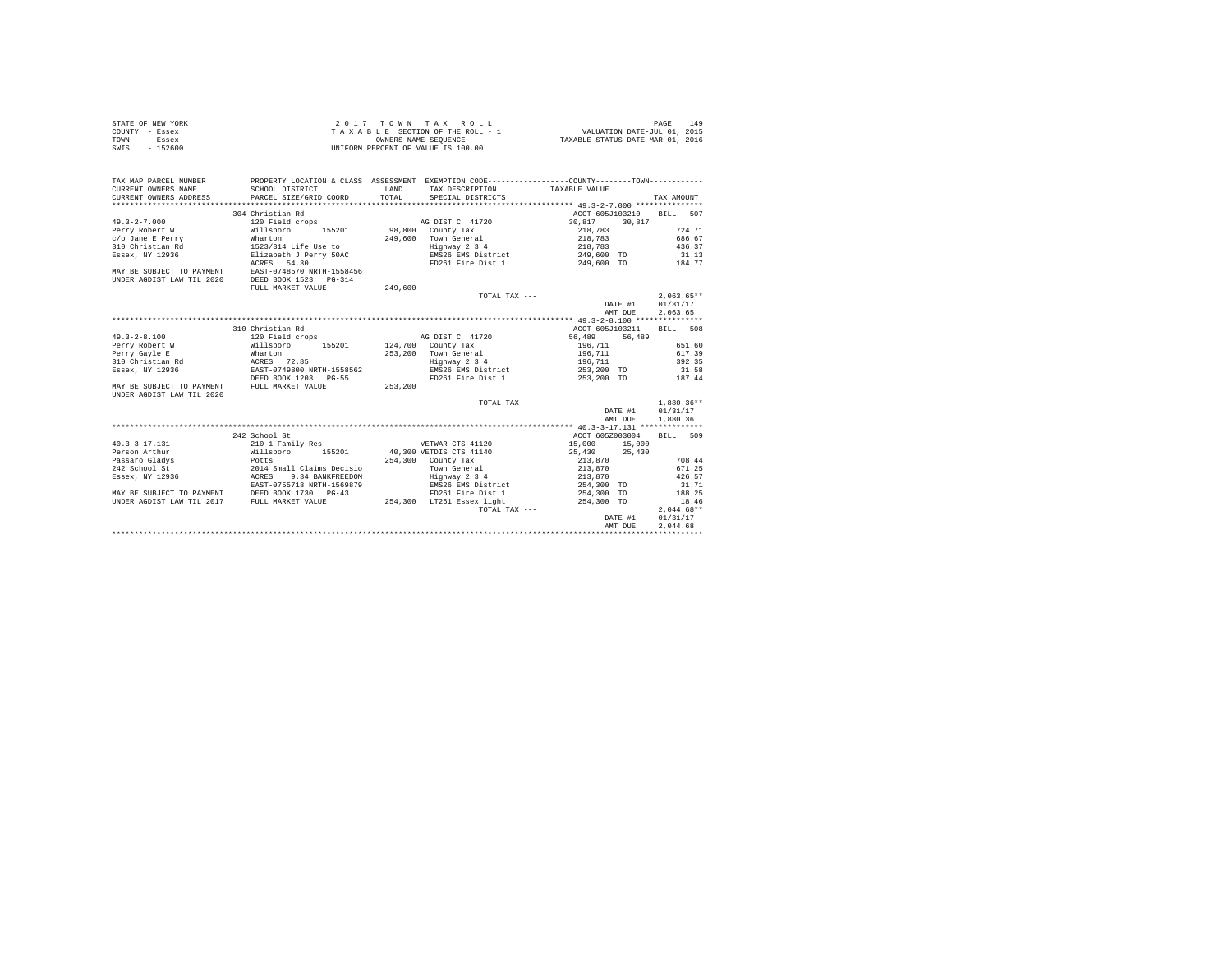| STATE OF NEW YORK | 2017 TOWN TAX ROLL                 | 149<br>PAGE                      |
|-------------------|------------------------------------|----------------------------------|
| COUNTY - Essex    | TAXABLE SECTION OF THE ROLL - 1    | VALUATION DATE-JUL 01, 2015      |
| TOWN<br>- Essex   | OWNERS NAME SEOUENCE               | TAXABLE STATUS DATE-MAR 01, 2016 |
| $-152600$<br>SWIS | UNIFORM PERCENT OF VALUE IS 100.00 |                                  |

| TAX MAP PARCEL NUMBER<br>CURRENT OWNERS NAME<br>CURRENT OWNERS ADDRESS PARCEL SIZE/GRID COORD                                                                                                                                                                                                                                                                                                                                                                                                                                                                                                                                                                                                                                                                                                                                                                                                                                                                                                                                                                                                                                                                                                                                                                                                                                                                                                                                                                                                                                                                                                                                                                                                                            | SCHOOL DISTRICT           | LAND<br>TOTAL. | PROPERTY LOCATION & CLASS ASSESSMENT EXEMPTION CODE---------------COUNTY--------TOWN----------<br>TAX DESCRIPTION TAXABLE VALUE<br>SPECIAL DISTRICTS |                          |         | TAX AMOUNT      |         |         |         |         |         |         |         |         |         |         |         |     |  |  |  |  |  |  |  |  |  |  |  |  |  |  |        |  |  |  |                                                                                                                |  |  |  |        |  |  |  |  |  |  |  |        |  |                           |  |  |  |  |  |       |                                                |  |  |                              |  |  |        |  |                                                                                  |  |  |  |  |  |  |       |  |  |  |               |  |  |              |  |  |  |  |  |  |         |          |  |  |  |  |  |  |         |          |  |  |  |  |  |  |  |  |  |
|--------------------------------------------------------------------------------------------------------------------------------------------------------------------------------------------------------------------------------------------------------------------------------------------------------------------------------------------------------------------------------------------------------------------------------------------------------------------------------------------------------------------------------------------------------------------------------------------------------------------------------------------------------------------------------------------------------------------------------------------------------------------------------------------------------------------------------------------------------------------------------------------------------------------------------------------------------------------------------------------------------------------------------------------------------------------------------------------------------------------------------------------------------------------------------------------------------------------------------------------------------------------------------------------------------------------------------------------------------------------------------------------------------------------------------------------------------------------------------------------------------------------------------------------------------------------------------------------------------------------------------------------------------------------------------------------------------------------------|---------------------------|----------------|------------------------------------------------------------------------------------------------------------------------------------------------------|--------------------------|---------|-----------------|---------|---------|---------|---------|---------|---------|---------|---------|---------|---------|---------|-----|--|--|--|--|--|--|--|--|--|--|--|--|--|--|--------|--|--|--|----------------------------------------------------------------------------------------------------------------|--|--|--|--------|--|--|--|--|--|--|--|--------|--|---------------------------|--|--|--|--|--|-------|------------------------------------------------|--|--|------------------------------|--|--|--------|--|----------------------------------------------------------------------------------|--|--|--|--|--|--|-------|--|--|--|---------------|--|--|--------------|--|--|--|--|--|--|---------|----------|--|--|--|--|--|--|---------|----------|--|--|--|--|--|--|--|--|--|
|                                                                                                                                                                                                                                                                                                                                                                                                                                                                                                                                                                                                                                                                                                                                                                                                                                                                                                                                                                                                                                                                                                                                                                                                                                                                                                                                                                                                                                                                                                                                                                                                                                                                                                                          | 304 Christian Rd          |                |                                                                                                                                                      | ACCT 605J103210 BILL 507 |         |                 |         |         |         |         |         |         |         |         |         |         |         |     |  |  |  |  |  |  |  |  |  |  |  |  |  |  |        |  |  |  |                                                                                                                |  |  |  |        |  |  |  |  |  |  |  |        |  |                           |  |  |  |  |  |       |                                                |  |  |                              |  |  |        |  |                                                                                  |  |  |  |  |  |  |       |  |  |  |               |  |  |              |  |  |  |  |  |  |         |          |  |  |  |  |  |  |         |          |  |  |  |  |  |  |  |  |  |
|                                                                                                                                                                                                                                                                                                                                                                                                                                                                                                                                                                                                                                                                                                                                                                                                                                                                                                                                                                                                                                                                                                                                                                                                                                                                                                                                                                                                                                                                                                                                                                                                                                                                                                                          |                           |                |                                                                                                                                                      |                          |         |                 |         |         |         |         |         |         |         |         |         |         |         |     |  |  |  |  |  |  |  |  |  |  |  |  |  |  |        |  |  |  |                                                                                                                |  |  |  |        |  |  |  |  |  |  |  |        |  |                           |  |  |  |  |  |       |                                                |  |  |                              |  |  |        |  |                                                                                  |  |  |  |  |  |  |       |  |  |  |               |  |  |              |  |  |  |  |  |  |         |          |  |  |  |  |  |  |         |          |  |  |  |  |  |  |  |  |  |
|                                                                                                                                                                                                                                                                                                                                                                                                                                                                                                                                                                                                                                                                                                                                                                                                                                                                                                                                                                                                                                                                                                                                                                                                                                                                                                                                                                                                                                                                                                                                                                                                                                                                                                                          |                           |                |                                                                                                                                                      |                          |         | 724.71          |         |         |         |         |         |         |         |         |         |         |         |     |  |  |  |  |  |  |  |  |  |  |  |  |  |  |        |  |  |  |                                                                                                                |  |  |  |        |  |  |  |  |  |  |  |        |  |                           |  |  |  |  |  |       |                                                |  |  |                              |  |  |        |  |                                                                                  |  |  |  |  |  |  |       |  |  |  |               |  |  |              |  |  |  |  |  |  |         |          |  |  |  |  |  |  |         |          |  |  |  |  |  |  |  |  |  |
|                                                                                                                                                                                                                                                                                                                                                                                                                                                                                                                                                                                                                                                                                                                                                                                                                                                                                                                                                                                                                                                                                                                                                                                                                                                                                                                                                                                                                                                                                                                                                                                                                                                                                                                          |                           |                |                                                                                                                                                      |                          |         |                 |         |         |         |         |         |         |         |         |         |         |         |     |  |  |  |  |  |  |  |  |  |  |  |  |  |  |        |  |  |  |                                                                                                                |  |  |  |        |  |  |  |  |  |  |  |        |  |                           |  |  |  |  |  |       |                                                |  |  |                              |  |  |        |  |                                                                                  |  |  |  |  |  |  |       |  |  |  |               |  |  |              |  |  |  |  |  |  |         |          |  |  |  |  |  |  |         |          |  |  |  |  |  |  |  |  |  |
|                                                                                                                                                                                                                                                                                                                                                                                                                                                                                                                                                                                                                                                                                                                                                                                                                                                                                                                                                                                                                                                                                                                                                                                                                                                                                                                                                                                                                                                                                                                                                                                                                                                                                                                          |                           |                | 249,600 Town General 218,783<br>Highway 2 3 4 218,783                                                                                                |                          |         |                 |         |         |         |         |         |         |         |         |         |         |         |     |  |  |  |  |  |  |  |  |  |  |  |  |  |  |        |  |  |  |                                                                                                                |  |  |  |        |  |  |  |  |  |  |  |        |  |                           |  |  |  |  |  |       |                                                |  |  |                              |  |  |        |  |                                                                                  |  |  |  |  |  |  |       |  |  |  |               |  |  |              |  |  |  |  |  |  |         |          |  |  |  |  |  |  |         |          |  |  |  |  |  |  |  |  |  |
|                                                                                                                                                                                                                                                                                                                                                                                                                                                                                                                                                                                                                                                                                                                                                                                                                                                                                                                                                                                                                                                                                                                                                                                                                                                                                                                                                                                                                                                                                                                                                                                                                                                                                                                          |                           |                |                                                                                                                                                      |                          |         |                 |         |         |         |         |         |         |         |         |         |         |         |     |  |  |  |  |  |  |  |  |  |  |  |  |  |  |        |  |  |  |                                                                                                                |  |  |  |        |  |  |  |  |  |  |  |        |  |                           |  |  |  |  |  |       |                                                |  |  |                              |  |  |        |  |                                                                                  |  |  |  |  |  |  |       |  |  |  |               |  |  |              |  |  |  |  |  |  |         |          |  |  |  |  |  |  |         |          |  |  |  |  |  |  |  |  |  |
|                                                                                                                                                                                                                                                                                                                                                                                                                                                                                                                                                                                                                                                                                                                                                                                                                                                                                                                                                                                                                                                                                                                                                                                                                                                                                                                                                                                                                                                                                                                                                                                                                                                                                                                          | ACRES 54.30               |                | FD261 Fire Dist 1 249,600 TO 184.77                                                                                                                  |                          |         |                 |         |         |         |         |         |         |         |         |         |         |         |     |  |  |  |  |  |  |  |  |  |  |  |  |  |  |        |  |  |  |                                                                                                                |  |  |  |        |  |  |  |  |  |  |  |        |  |                           |  |  |  |  |  |       |                                                |  |  |                              |  |  |        |  |                                                                                  |  |  |  |  |  |  |       |  |  |  |               |  |  |              |  |  |  |  |  |  |         |          |  |  |  |  |  |  |         |          |  |  |  |  |  |  |  |  |  |
| MAY BE SUBJECT TO PAYMENT EAST-0748570 NRTH-1558456                                                                                                                                                                                                                                                                                                                                                                                                                                                                                                                                                                                                                                                                                                                                                                                                                                                                                                                                                                                                                                                                                                                                                                                                                                                                                                                                                                                                                                                                                                                                                                                                                                                                      |                           |                |                                                                                                                                                      |                          |         |                 |         |         |         |         |         |         |         |         |         |         |         |     |  |  |  |  |  |  |  |  |  |  |  |  |  |  |        |  |  |  |                                                                                                                |  |  |  |        |  |  |  |  |  |  |  |        |  |                           |  |  |  |  |  |       |                                                |  |  |                              |  |  |        |  |                                                                                  |  |  |  |  |  |  |       |  |  |  |               |  |  |              |  |  |  |  |  |  |         |          |  |  |  |  |  |  |         |          |  |  |  |  |  |  |  |  |  |
| UNDER AGDIST LAW TIL 2020                                                                                                                                                                                                                                                                                                                                                                                                                                                                                                                                                                                                                                                                                                                                                                                                                                                                                                                                                                                                                                                                                                                                                                                                                                                                                                                                                                                                                                                                                                                                                                                                                                                                                                | DEED BOOK 1523 PG-314     |                |                                                                                                                                                      |                          |         |                 |         |         |         |         |         |         |         |         |         |         |         |     |  |  |  |  |  |  |  |  |  |  |  |  |  |  |        |  |  |  |                                                                                                                |  |  |  |        |  |  |  |  |  |  |  |        |  |                           |  |  |  |  |  |       |                                                |  |  |                              |  |  |        |  |                                                                                  |  |  |  |  |  |  |       |  |  |  |               |  |  |              |  |  |  |  |  |  |         |          |  |  |  |  |  |  |         |          |  |  |  |  |  |  |  |  |  |
|                                                                                                                                                                                                                                                                                                                                                                                                                                                                                                                                                                                                                                                                                                                                                                                                                                                                                                                                                                                                                                                                                                                                                                                                                                                                                                                                                                                                                                                                                                                                                                                                                                                                                                                          | FULL MARKET VALUE         | 249,600        |                                                                                                                                                      |                          |         |                 |         |         |         |         |         |         |         |         |         |         |         |     |  |  |  |  |  |  |  |  |  |  |  |  |  |  |        |  |  |  |                                                                                                                |  |  |  |        |  |  |  |  |  |  |  |        |  |                           |  |  |  |  |  |       |                                                |  |  |                              |  |  |        |  |                                                                                  |  |  |  |  |  |  |       |  |  |  |               |  |  |              |  |  |  |  |  |  |         |          |  |  |  |  |  |  |         |          |  |  |  |  |  |  |  |  |  |
|                                                                                                                                                                                                                                                                                                                                                                                                                                                                                                                                                                                                                                                                                                                                                                                                                                                                                                                                                                                                                                                                                                                                                                                                                                                                                                                                                                                                                                                                                                                                                                                                                                                                                                                          |                           |                | TOTAL TAX ---                                                                                                                                        |                          |         | $2.063.65**$    |         |         |         |         |         |         |         |         |         |         |         |     |  |  |  |  |  |  |  |  |  |  |  |  |  |  |        |  |  |  |                                                                                                                |  |  |  |        |  |  |  |  |  |  |  |        |  |                           |  |  |  |  |  |       |                                                |  |  |                              |  |  |        |  |                                                                                  |  |  |  |  |  |  |       |  |  |  |               |  |  |              |  |  |  |  |  |  |         |          |  |  |  |  |  |  |         |          |  |  |  |  |  |  |  |  |  |
|                                                                                                                                                                                                                                                                                                                                                                                                                                                                                                                                                                                                                                                                                                                                                                                                                                                                                                                                                                                                                                                                                                                                                                                                                                                                                                                                                                                                                                                                                                                                                                                                                                                                                                                          |                           |                |                                                                                                                                                      |                          | DATE #1 | 01/31/17        |         |         |         |         |         |         |         |         |         |         |         |     |  |  |  |  |  |  |  |  |  |  |  |  |  |  |        |  |  |  |                                                                                                                |  |  |  |        |  |  |  |  |  |  |  |        |  |                           |  |  |  |  |  |       |                                                |  |  |                              |  |  |        |  |                                                                                  |  |  |  |  |  |  |       |  |  |  |               |  |  |              |  |  |  |  |  |  |         |          |  |  |  |  |  |  |         |          |  |  |  |  |  |  |  |  |  |
|                                                                                                                                                                                                                                                                                                                                                                                                                                                                                                                                                                                                                                                                                                                                                                                                                                                                                                                                                                                                                                                                                                                                                                                                                                                                                                                                                                                                                                                                                                                                                                                                                                                                                                                          |                           |                |                                                                                                                                                      |                          | AMT DUE | 2.063.65        |         |         |         |         |         |         |         |         |         |         |         |     |  |  |  |  |  |  |  |  |  |  |  |  |  |  |        |  |  |  |                                                                                                                |  |  |  |        |  |  |  |  |  |  |  |        |  |                           |  |  |  |  |  |       |                                                |  |  |                              |  |  |        |  |                                                                                  |  |  |  |  |  |  |       |  |  |  |               |  |  |              |  |  |  |  |  |  |         |          |  |  |  |  |  |  |         |          |  |  |  |  |  |  |  |  |  |
|                                                                                                                                                                                                                                                                                                                                                                                                                                                                                                                                                                                                                                                                                                                                                                                                                                                                                                                                                                                                                                                                                                                                                                                                                                                                                                                                                                                                                                                                                                                                                                                                                                                                                                                          |                           |                |                                                                                                                                                      |                          |         |                 |         |         |         |         |         |         |         |         |         |         |         |     |  |  |  |  |  |  |  |  |  |  |  |  |  |  |        |  |  |  |                                                                                                                |  |  |  |        |  |  |  |  |  |  |  |        |  |                           |  |  |  |  |  |       |                                                |  |  |                              |  |  |        |  |                                                                                  |  |  |  |  |  |  |       |  |  |  |               |  |  |              |  |  |  |  |  |  |         |          |  |  |  |  |  |  |         |          |  |  |  |  |  |  |  |  |  |
|                                                                                                                                                                                                                                                                                                                                                                                                                                                                                                                                                                                                                                                                                                                                                                                                                                                                                                                                                                                                                                                                                                                                                                                                                                                                                                                                                                                                                                                                                                                                                                                                                                                                                                                          | 310 Christian Rd          |                |                                                                                                                                                      |                          |         | <b>BTLL</b> 508 |         |         |         |         |         |         |         |         |         |         |         |     |  |  |  |  |  |  |  |  |  |  |  |  |  |  |        |  |  |  |                                                                                                                |  |  |  |        |  |  |  |  |  |  |  |        |  |                           |  |  |  |  |  |       |                                                |  |  |                              |  |  |        |  |                                                                                  |  |  |  |  |  |  |       |  |  |  |               |  |  |              |  |  |  |  |  |  |         |          |  |  |  |  |  |  |         |          |  |  |  |  |  |  |  |  |  |
| $49.3 - 2 - 8.100$                                                                                                                                                                                                                                                                                                                                                                                                                                                                                                                                                                                                                                                                                                                                                                                                                                                                                                                                                                                                                                                                                                                                                                                                                                                                                                                                                                                                                                                                                                                                                                                                                                                                                                       |                           |                | AG DIST C 41720 56,489 56,489                                                                                                                        | ACCT 605J103211          |         |                 |         |         |         |         |         |         |         |         |         |         |         |     |  |  |  |  |  |  |  |  |  |  |  |  |  |  |        |  |  |  |                                                                                                                |  |  |  |        |  |  |  |  |  |  |  |        |  |                           |  |  |  |  |  |       |                                                |  |  |                              |  |  |        |  |                                                                                  |  |  |  |  |  |  |       |  |  |  |               |  |  |              |  |  |  |  |  |  |         |          |  |  |  |  |  |  |         |          |  |  |  |  |  |  |  |  |  |
|                                                                                                                                                                                                                                                                                                                                                                                                                                                                                                                                                                                                                                                                                                                                                                                                                                                                                                                                                                                                                                                                                                                                                                                                                                                                                                                                                                                                                                                                                                                                                                                                                                                                                                                          | 120 Field crops           |                |                                                                                                                                                      |                          |         |                 |         |         |         |         |         |         |         |         |         |         |         |     |  |  |  |  |  |  |  |  |  |  |  |  |  |  |        |  |  |  |                                                                                                                |  |  |  |        |  |  |  |  |  |  |  |        |  |                           |  |  |  |  |  |       |                                                |  |  |                              |  |  |        |  |                                                                                  |  |  |  |  |  |  |       |  |  |  |               |  |  |              |  |  |  |  |  |  |         |          |  |  |  |  |  |  |         |          |  |  |  |  |  |  |  |  |  |
| 1990)<br>1990)<br>1990)<br>1990)<br>1990)<br>1990)<br>1990)<br>1990)<br>1990)<br>1990)<br>1990)<br>1990)<br>1990)<br>1990)<br>1990)<br>1990)<br>1990)<br>1990)<br>1990)<br>1990)<br>1990)<br>1990)<br>1990)<br>1990)<br>1990)<br>1990)<br>1990)<br>1990)<br>1990)<br>1990)<br>1990)<br>1990)                                                                                                                                                                                                                                                                                                                                                                                                                                                                                                                                                                                                                                                                                                                                                                                                                                                                                                                                                                                                                                                                                                                                                                                                                                                                                                                                                                                                                             |                           |                |                                                                                                                                                      |                          |         |                 |         |         |         |         |         |         |         |         |         |         |         |     |  |  |  |  |  |  |  |  |  |  |  |  |  |  |        |  |  |  |                                                                                                                |  |  |  |        |  |  |  |  |  |  |  |        |  |                           |  |  |  |  |  |       |                                                |  |  |                              |  |  |        |  |                                                                                  |  |  |  |  |  |  |       |  |  |  |               |  |  |              |  |  |  |  |  |  |         |          |  |  |  |  |  |  |         |          |  |  |  |  |  |  |  |  |  |
|                                                                                                                                                                                                                                                                                                                                                                                                                                                                                                                                                                                                                                                                                                                                                                                                                                                                                                                                                                                                                                                                                                                                                                                                                                                                                                                                                                                                                                                                                                                                                                                                                                                                                                                          |                           |                |                                                                                                                                                      |                          |         |                 |         |         |         |         |         |         |         |         |         |         |         |     |  |  |  |  |  |  |  |  |  |  |  |  |  |  |        |  |  |  |                                                                                                                |  |  |  |        |  |  |  |  |  |  |  |        |  |                           |  |  |  |  |  |       |                                                |  |  |                              |  |  |        |  |                                                                                  |  |  |  |  |  |  |       |  |  |  |               |  |  |              |  |  |  |  |  |  |         |          |  |  |  |  |  |  |         |          |  |  |  |  |  |  |  |  |  |
|                                                                                                                                                                                                                                                                                                                                                                                                                                                                                                                                                                                                                                                                                                                                                                                                                                                                                                                                                                                                                                                                                                                                                                                                                                                                                                                                                                                                                                                                                                                                                                                                                                                                                                                          |                           |                |                                                                                                                                                      |                          |         |                 |         |         |         |         |         |         |         |         |         |         |         |     |  |  |  |  |  |  |  |  |  |  |  |  |  |  |        |  |  |  |                                                                                                                |  |  |  |        |  |  |  |  |  |  |  |        |  |                           |  |  |  |  |  |       |                                                |  |  |                              |  |  |        |  |                                                                                  |  |  |  |  |  |  |       |  |  |  |               |  |  |              |  |  |  |  |  |  |         |          |  |  |  |  |  |  |         |          |  |  |  |  |  |  |  |  |  |
|                                                                                                                                                                                                                                                                                                                                                                                                                                                                                                                                                                                                                                                                                                                                                                                                                                                                                                                                                                                                                                                                                                                                                                                                                                                                                                                                                                                                                                                                                                                                                                                                                                                                                                                          |                           |                |                                                                                                                                                      |                          |         |                 |         |         |         |         |         |         |         |         |         |         |         |     |  |  |  |  |  |  |  |  |  |  |  |  |  |  |        |  |  |  |                                                                                                                |  |  |  |        |  |  |  |  |  |  |  |        |  |                           |  |  |  |  |  |       |                                                |  |  |                              |  |  |        |  |                                                                                  |  |  |  |  |  |  |       |  |  |  |               |  |  |              |  |  |  |  |  |  |         |          |  |  |  |  |  |  |         |          |  |  |  |  |  |  |  |  |  |
|                                                                                                                                                                                                                                                                                                                                                                                                                                                                                                                                                                                                                                                                                                                                                                                                                                                                                                                                                                                                                                                                                                                                                                                                                                                                                                                                                                                                                                                                                                                                                                                                                                                                                                                          |                           |                | FD261 Fire Dist 1                                                                                                                                    | 253,200 TO               |         |                 | 187.44  |         |         |         |         |         |         |         |         |         |         |     |  |  |  |  |  |  |  |  |  |  |  |  |  |  |        |  |  |  |                                                                                                                |  |  |  |        |  |  |  |  |  |  |  |        |  |                           |  |  |  |  |  |       |                                                |  |  |                              |  |  |        |  |                                                                                  |  |  |  |  |  |  |       |  |  |  |               |  |  |              |  |  |  |  |  |  |         |          |  |  |  |  |  |  |         |          |  |  |  |  |  |  |  |  |  |
|                                                                                                                                                                                                                                                                                                                                                                                                                                                                                                                                                                                                                                                                                                                                                                                                                                                                                                                                                                                                                                                                                                                                                                                                                                                                                                                                                                                                                                                                                                                                                                                                                                                                                                                          |                           |                |                                                                                                                                                      |                          |         |                 |         |         |         |         |         |         |         |         |         |         |         |     |  |  |  |  |  |  |  |  |  |  |  |  |  |  |        |  |  |  |                                                                                                                |  |  |  |        |  |  |  |  |  |  |  |        |  |                           |  |  |  |  |  |       |                                                |  |  |                              |  |  |        |  |                                                                                  |  |  |  |  |  |  |       |  |  |  |               |  |  |              |  |  |  |  |  |  |         |          |  |  |  |  |  |  |         |          |  |  |  |  |  |  |  |  |  |
| UNDER AGDIST LAW TIL 2020                                                                                                                                                                                                                                                                                                                                                                                                                                                                                                                                                                                                                                                                                                                                                                                                                                                                                                                                                                                                                                                                                                                                                                                                                                                                                                                                                                                                                                                                                                                                                                                                                                                                                                |                           |                |                                                                                                                                                      |                          |         |                 |         |         |         |         |         |         |         |         |         |         |         |     |  |  |  |  |  |  |  |  |  |  |  |  |  |  |        |  |  |  |                                                                                                                |  |  |  |        |  |  |  |  |  |  |  |        |  |                           |  |  |  |  |  |       |                                                |  |  |                              |  |  |        |  |                                                                                  |  |  |  |  |  |  |       |  |  |  |               |  |  |              |  |  |  |  |  |  |         |          |  |  |  |  |  |  |         |          |  |  |  |  |  |  |  |  |  |
|                                                                                                                                                                                                                                                                                                                                                                                                                                                                                                                                                                                                                                                                                                                                                                                                                                                                                                                                                                                                                                                                                                                                                                                                                                                                                                                                                                                                                                                                                                                                                                                                                                                                                                                          |                           |                | TOTAL TAX ---                                                                                                                                        |                          |         | $1.880.36**$    |         |         |         |         |         |         |         |         |         |         |         |     |  |  |  |  |  |  |  |  |  |  |  |  |  |  |        |  |  |  |                                                                                                                |  |  |  |        |  |  |  |  |  |  |  |        |  |                           |  |  |  |  |  |       |                                                |  |  |                              |  |  |        |  |                                                                                  |  |  |  |  |  |  |       |  |  |  |               |  |  |              |  |  |  |  |  |  |         |          |  |  |  |  |  |  |         |          |  |  |  |  |  |  |  |  |  |
|                                                                                                                                                                                                                                                                                                                                                                                                                                                                                                                                                                                                                                                                                                                                                                                                                                                                                                                                                                                                                                                                                                                                                                                                                                                                                                                                                                                                                                                                                                                                                                                                                                                                                                                          |                           |                |                                                                                                                                                      |                          | DATE #1 | 01/31/17        |         |         |         |         |         |         |         |         |         |         |         |     |  |  |  |  |  |  |  |  |  |  |  |  |  |  |        |  |  |  |                                                                                                                |  |  |  |        |  |  |  |  |  |  |  |        |  |                           |  |  |  |  |  |       |                                                |  |  |                              |  |  |        |  |                                                                                  |  |  |  |  |  |  |       |  |  |  |               |  |  |              |  |  |  |  |  |  |         |          |  |  |  |  |  |  |         |          |  |  |  |  |  |  |  |  |  |
|                                                                                                                                                                                                                                                                                                                                                                                                                                                                                                                                                                                                                                                                                                                                                                                                                                                                                                                                                                                                                                                                                                                                                                                                                                                                                                                                                                                                                                                                                                                                                                                                                                                                                                                          |                           |                |                                                                                                                                                      |                          | AMT DUE | 1,880,36        |         |         |         |         |         |         |         |         |         |         |         |     |  |  |  |  |  |  |  |  |  |  |  |  |  |  |        |  |  |  |                                                                                                                |  |  |  |        |  |  |  |  |  |  |  |        |  |                           |  |  |  |  |  |       |                                                |  |  |                              |  |  |        |  |                                                                                  |  |  |  |  |  |  |       |  |  |  |               |  |  |              |  |  |  |  |  |  |         |          |  |  |  |  |  |  |         |          |  |  |  |  |  |  |  |  |  |
|                                                                                                                                                                                                                                                                                                                                                                                                                                                                                                                                                                                                                                                                                                                                                                                                                                                                                                                                                                                                                                                                                                                                                                                                                                                                                                                                                                                                                                                                                                                                                                                                                                                                                                                          |                           |                |                                                                                                                                                      |                          |         |                 |         |         |         |         |         |         |         |         |         |         |         |     |  |  |  |  |  |  |  |  |  |  |  |  |  |  |        |  |  |  |                                                                                                                |  |  |  |        |  |  |  |  |  |  |  |        |  |                           |  |  |  |  |  |       |                                                |  |  |                              |  |  |        |  |                                                                                  |  |  |  |  |  |  |       |  |  |  |               |  |  |              |  |  |  |  |  |  |         |          |  |  |  |  |  |  |         |          |  |  |  |  |  |  |  |  |  |
|                                                                                                                                                                                                                                                                                                                                                                                                                                                                                                                                                                                                                                                                                                                                                                                                                                                                                                                                                                                                                                                                                                                                                                                                                                                                                                                                                                                                                                                                                                                                                                                                                                                                                                                          | 242 School St             |                |                                                                                                                                                      | ACCT 605Z003004          |         | RTLL 509        |         |         |         |         |         |         |         |         |         |         |         |     |  |  |  |  |  |  |  |  |  |  |  |  |  |  |        |  |  |  |                                                                                                                |  |  |  |        |  |  |  |  |  |  |  |        |  |                           |  |  |  |  |  |       |                                                |  |  |                              |  |  |        |  |                                                                                  |  |  |  |  |  |  |       |  |  |  |               |  |  |              |  |  |  |  |  |  |         |          |  |  |  |  |  |  |         |          |  |  |  |  |  |  |  |  |  |
| $40.3 - 3 - 17.131$                                                                                                                                                                                                                                                                                                                                                                                                                                                                                                                                                                                                                                                                                                                                                                                                                                                                                                                                                                                                                                                                                                                                                                                                                                                                                                                                                                                                                                                                                                                                                                                                                                                                                                      | 210 1 Family Res          |                | VETWAR CTS 41120 15,000 15,000                                                                                                                       |                          |         |                 |         |         |         |         |         |         |         |         |         |         |         |     |  |  |  |  |  |  |  |  |  |  |  |  |  |  |        |  |  |  |                                                                                                                |  |  |  |        |  |  |  |  |  |  |  |        |  |                           |  |  |  |  |  |       |                                                |  |  |                              |  |  |        |  |                                                                                  |  |  |  |  |  |  |       |  |  |  |               |  |  |              |  |  |  |  |  |  |         |          |  |  |  |  |  |  |         |          |  |  |  |  |  |  |  |  |  |
| <table>\n<tbody>\n<tr>\n<th>Person Arthur</th>\n<th>William</th>\n<th>William</th>\n<th>William</th>\n</tr>\n<tr>\n<td>25, 430</td>\n<td>25, 430</td>\n<td>25, 430</td>\n<td>25, 430</td>\n<td>25, 430</td>\n<td>25, 430</td>\n<td>25, 430</td>\n<td>25, 430</td>\n<td>25, 430</td>\n<td>25, 430</td>\n<td>25, 430</td>\n<td>25, 430</td>\n<td>25, 430</td>\n<td>25,</td><td></td><td></td><td></td><td></td><td></td><td></td><td></td></tr><tr><td></td><td></td><td></td><td></td><td></td><td></td><td></td><td>708.44</td></tr><tr><td></td><td></td><td></td><td>1221,000<br/> Town General<br/> Highway 2 3 4<br/> EMS26 EMS District<br/> 213,870<br/> EMS26 EMS District<br/> 254,300 TO</td><td></td><td></td><td></td><td>671.25</td></tr><tr><td></td><td></td><td></td><td></td><td></td><td></td><td></td><td>426.57</td></tr><tr><td></td><td>EAST-0755718 NRTH-1569879</td><td></td><td></td><td></td><td></td><td></td><td>31.71</td></tr><tr><td>MAY BE SUBJECT TO PAYMENT DEED BOOK 1730 PG-43</td><td></td><td></td><td>FD261 Fire Dist 1 254,300 TO</td><td></td><td></td><td>188.25</td><td></td></tr><tr><td>UNDER AGDIST LAW TIL 2017 FULL MARKET VALUE 254,300 LT261 Essex light 254,300 TO</td><td></td><td></td><td></td><td></td><td></td><td></td><td>18.46</td></tr><tr><td></td><td></td><td></td><td>TOTAL TAX ---</td><td></td><td></td><td><math>2,044.68**</math></td><td></td></tr><tr><td></td><td></td><td></td><td></td><td></td><td>DATE #1</td><td>01/31/17</td><td></td></tr><tr><td></td><td></td><td></td><td></td><td></td><td>AMT DUE</td><td>2.044.68</td><td></td></tr><tr><td></td><td></td><td></td><td></td><td></td><td></td><td></td><td></td></tr></tbody></table> | Person Arthur             | William        | William                                                                                                                                              | William                  | 25, 430 | 25, 430         | 25, 430 | 25, 430 | 25, 430 | 25, 430 | 25, 430 | 25, 430 | 25, 430 | 25, 430 | 25, 430 | 25, 430 | 25, 430 | 25, |  |  |  |  |  |  |  |  |  |  |  |  |  |  | 708.44 |  |  |  | 1221,000<br>Town General<br>Highway 2 3 4<br>EMS26 EMS District<br>213,870<br>EMS26 EMS District<br>254,300 TO |  |  |  | 671.25 |  |  |  |  |  |  |  | 426.57 |  | EAST-0755718 NRTH-1569879 |  |  |  |  |  | 31.71 | MAY BE SUBJECT TO PAYMENT DEED BOOK 1730 PG-43 |  |  | FD261 Fire Dist 1 254,300 TO |  |  | 188.25 |  | UNDER AGDIST LAW TIL 2017 FULL MARKET VALUE 254,300 LT261 Essex light 254,300 TO |  |  |  |  |  |  | 18.46 |  |  |  | TOTAL TAX --- |  |  | $2,044.68**$ |  |  |  |  |  |  | DATE #1 | 01/31/17 |  |  |  |  |  |  | AMT DUE | 2.044.68 |  |  |  |  |  |  |  |  |  |
| Person Arthur                                                                                                                                                                                                                                                                                                                                                                                                                                                                                                                                                                                                                                                                                                                                                                                                                                                                                                                                                                                                                                                                                                                                                                                                                                                                                                                                                                                                                                                                                                                                                                                                                                                                                                            | William                   | William        | William                                                                                                                                              |                          |         |                 |         |         |         |         |         |         |         |         |         |         |         |     |  |  |  |  |  |  |  |  |  |  |  |  |  |  |        |  |  |  |                                                                                                                |  |  |  |        |  |  |  |  |  |  |  |        |  |                           |  |  |  |  |  |       |                                                |  |  |                              |  |  |        |  |                                                                                  |  |  |  |  |  |  |       |  |  |  |               |  |  |              |  |  |  |  |  |  |         |          |  |  |  |  |  |  |         |          |  |  |  |  |  |  |  |  |  |
| 25, 430                                                                                                                                                                                                                                                                                                                                                                                                                                                                                                                                                                                                                                                                                                                                                                                                                                                                                                                                                                                                                                                                                                                                                                                                                                                                                                                                                                                                                                                                                                                                                                                                                                                                                                                  | 25, 430                   | 25, 430        | 25, 430                                                                                                                                              | 25, 430                  | 25, 430 | 25, 430         | 25, 430 | 25, 430 | 25, 430 | 25, 430 | 25, 430 | 25, 430 | 25,     |         |         |         |         |     |  |  |  |  |  |  |  |  |  |  |  |  |  |  |        |  |  |  |                                                                                                                |  |  |  |        |  |  |  |  |  |  |  |        |  |                           |  |  |  |  |  |       |                                                |  |  |                              |  |  |        |  |                                                                                  |  |  |  |  |  |  |       |  |  |  |               |  |  |              |  |  |  |  |  |  |         |          |  |  |  |  |  |  |         |          |  |  |  |  |  |  |  |  |  |
|                                                                                                                                                                                                                                                                                                                                                                                                                                                                                                                                                                                                                                                                                                                                                                                                                                                                                                                                                                                                                                                                                                                                                                                                                                                                                                                                                                                                                                                                                                                                                                                                                                                                                                                          |                           |                |                                                                                                                                                      |                          |         |                 | 708.44  |         |         |         |         |         |         |         |         |         |         |     |  |  |  |  |  |  |  |  |  |  |  |  |  |  |        |  |  |  |                                                                                                                |  |  |  |        |  |  |  |  |  |  |  |        |  |                           |  |  |  |  |  |       |                                                |  |  |                              |  |  |        |  |                                                                                  |  |  |  |  |  |  |       |  |  |  |               |  |  |              |  |  |  |  |  |  |         |          |  |  |  |  |  |  |         |          |  |  |  |  |  |  |  |  |  |
|                                                                                                                                                                                                                                                                                                                                                                                                                                                                                                                                                                                                                                                                                                                                                                                                                                                                                                                                                                                                                                                                                                                                                                                                                                                                                                                                                                                                                                                                                                                                                                                                                                                                                                                          |                           |                | 1221,000<br>Town General<br>Highway 2 3 4<br>EMS26 EMS District<br>213,870<br>EMS26 EMS District<br>254,300 TO                                       |                          |         |                 | 671.25  |         |         |         |         |         |         |         |         |         |         |     |  |  |  |  |  |  |  |  |  |  |  |  |  |  |        |  |  |  |                                                                                                                |  |  |  |        |  |  |  |  |  |  |  |        |  |                           |  |  |  |  |  |       |                                                |  |  |                              |  |  |        |  |                                                                                  |  |  |  |  |  |  |       |  |  |  |               |  |  |              |  |  |  |  |  |  |         |          |  |  |  |  |  |  |         |          |  |  |  |  |  |  |  |  |  |
|                                                                                                                                                                                                                                                                                                                                                                                                                                                                                                                                                                                                                                                                                                                                                                                                                                                                                                                                                                                                                                                                                                                                                                                                                                                                                                                                                                                                                                                                                                                                                                                                                                                                                                                          |                           |                |                                                                                                                                                      |                          |         |                 | 426.57  |         |         |         |         |         |         |         |         |         |         |     |  |  |  |  |  |  |  |  |  |  |  |  |  |  |        |  |  |  |                                                                                                                |  |  |  |        |  |  |  |  |  |  |  |        |  |                           |  |  |  |  |  |       |                                                |  |  |                              |  |  |        |  |                                                                                  |  |  |  |  |  |  |       |  |  |  |               |  |  |              |  |  |  |  |  |  |         |          |  |  |  |  |  |  |         |          |  |  |  |  |  |  |  |  |  |
|                                                                                                                                                                                                                                                                                                                                                                                                                                                                                                                                                                                                                                                                                                                                                                                                                                                                                                                                                                                                                                                                                                                                                                                                                                                                                                                                                                                                                                                                                                                                                                                                                                                                                                                          | EAST-0755718 NRTH-1569879 |                |                                                                                                                                                      |                          |         |                 | 31.71   |         |         |         |         |         |         |         |         |         |         |     |  |  |  |  |  |  |  |  |  |  |  |  |  |  |        |  |  |  |                                                                                                                |  |  |  |        |  |  |  |  |  |  |  |        |  |                           |  |  |  |  |  |       |                                                |  |  |                              |  |  |        |  |                                                                                  |  |  |  |  |  |  |       |  |  |  |               |  |  |              |  |  |  |  |  |  |         |          |  |  |  |  |  |  |         |          |  |  |  |  |  |  |  |  |  |
| MAY BE SUBJECT TO PAYMENT DEED BOOK 1730 PG-43                                                                                                                                                                                                                                                                                                                                                                                                                                                                                                                                                                                                                                                                                                                                                                                                                                                                                                                                                                                                                                                                                                                                                                                                                                                                                                                                                                                                                                                                                                                                                                                                                                                                           |                           |                | FD261 Fire Dist 1 254,300 TO                                                                                                                         |                          |         | 188.25          |         |         |         |         |         |         |         |         |         |         |         |     |  |  |  |  |  |  |  |  |  |  |  |  |  |  |        |  |  |  |                                                                                                                |  |  |  |        |  |  |  |  |  |  |  |        |  |                           |  |  |  |  |  |       |                                                |  |  |                              |  |  |        |  |                                                                                  |  |  |  |  |  |  |       |  |  |  |               |  |  |              |  |  |  |  |  |  |         |          |  |  |  |  |  |  |         |          |  |  |  |  |  |  |  |  |  |
| UNDER AGDIST LAW TIL 2017 FULL MARKET VALUE 254,300 LT261 Essex light 254,300 TO                                                                                                                                                                                                                                                                                                                                                                                                                                                                                                                                                                                                                                                                                                                                                                                                                                                                                                                                                                                                                                                                                                                                                                                                                                                                                                                                                                                                                                                                                                                                                                                                                                         |                           |                |                                                                                                                                                      |                          |         |                 | 18.46   |         |         |         |         |         |         |         |         |         |         |     |  |  |  |  |  |  |  |  |  |  |  |  |  |  |        |  |  |  |                                                                                                                |  |  |  |        |  |  |  |  |  |  |  |        |  |                           |  |  |  |  |  |       |                                                |  |  |                              |  |  |        |  |                                                                                  |  |  |  |  |  |  |       |  |  |  |               |  |  |              |  |  |  |  |  |  |         |          |  |  |  |  |  |  |         |          |  |  |  |  |  |  |  |  |  |
|                                                                                                                                                                                                                                                                                                                                                                                                                                                                                                                                                                                                                                                                                                                                                                                                                                                                                                                                                                                                                                                                                                                                                                                                                                                                                                                                                                                                                                                                                                                                                                                                                                                                                                                          |                           |                | TOTAL TAX ---                                                                                                                                        |                          |         | $2,044.68**$    |         |         |         |         |         |         |         |         |         |         |         |     |  |  |  |  |  |  |  |  |  |  |  |  |  |  |        |  |  |  |                                                                                                                |  |  |  |        |  |  |  |  |  |  |  |        |  |                           |  |  |  |  |  |       |                                                |  |  |                              |  |  |        |  |                                                                                  |  |  |  |  |  |  |       |  |  |  |               |  |  |              |  |  |  |  |  |  |         |          |  |  |  |  |  |  |         |          |  |  |  |  |  |  |  |  |  |
|                                                                                                                                                                                                                                                                                                                                                                                                                                                                                                                                                                                                                                                                                                                                                                                                                                                                                                                                                                                                                                                                                                                                                                                                                                                                                                                                                                                                                                                                                                                                                                                                                                                                                                                          |                           |                |                                                                                                                                                      |                          | DATE #1 | 01/31/17        |         |         |         |         |         |         |         |         |         |         |         |     |  |  |  |  |  |  |  |  |  |  |  |  |  |  |        |  |  |  |                                                                                                                |  |  |  |        |  |  |  |  |  |  |  |        |  |                           |  |  |  |  |  |       |                                                |  |  |                              |  |  |        |  |                                                                                  |  |  |  |  |  |  |       |  |  |  |               |  |  |              |  |  |  |  |  |  |         |          |  |  |  |  |  |  |         |          |  |  |  |  |  |  |  |  |  |
|                                                                                                                                                                                                                                                                                                                                                                                                                                                                                                                                                                                                                                                                                                                                                                                                                                                                                                                                                                                                                                                                                                                                                                                                                                                                                                                                                                                                                                                                                                                                                                                                                                                                                                                          |                           |                |                                                                                                                                                      |                          | AMT DUE | 2.044.68        |         |         |         |         |         |         |         |         |         |         |         |     |  |  |  |  |  |  |  |  |  |  |  |  |  |  |        |  |  |  |                                                                                                                |  |  |  |        |  |  |  |  |  |  |  |        |  |                           |  |  |  |  |  |       |                                                |  |  |                              |  |  |        |  |                                                                                  |  |  |  |  |  |  |       |  |  |  |               |  |  |              |  |  |  |  |  |  |         |          |  |  |  |  |  |  |         |          |  |  |  |  |  |  |  |  |  |
|                                                                                                                                                                                                                                                                                                                                                                                                                                                                                                                                                                                                                                                                                                                                                                                                                                                                                                                                                                                                                                                                                                                                                                                                                                                                                                                                                                                                                                                                                                                                                                                                                                                                                                                          |                           |                |                                                                                                                                                      |                          |         |                 |         |         |         |         |         |         |         |         |         |         |         |     |  |  |  |  |  |  |  |  |  |  |  |  |  |  |        |  |  |  |                                                                                                                |  |  |  |        |  |  |  |  |  |  |  |        |  |                           |  |  |  |  |  |       |                                                |  |  |                              |  |  |        |  |                                                                                  |  |  |  |  |  |  |       |  |  |  |               |  |  |              |  |  |  |  |  |  |         |          |  |  |  |  |  |  |         |          |  |  |  |  |  |  |  |  |  |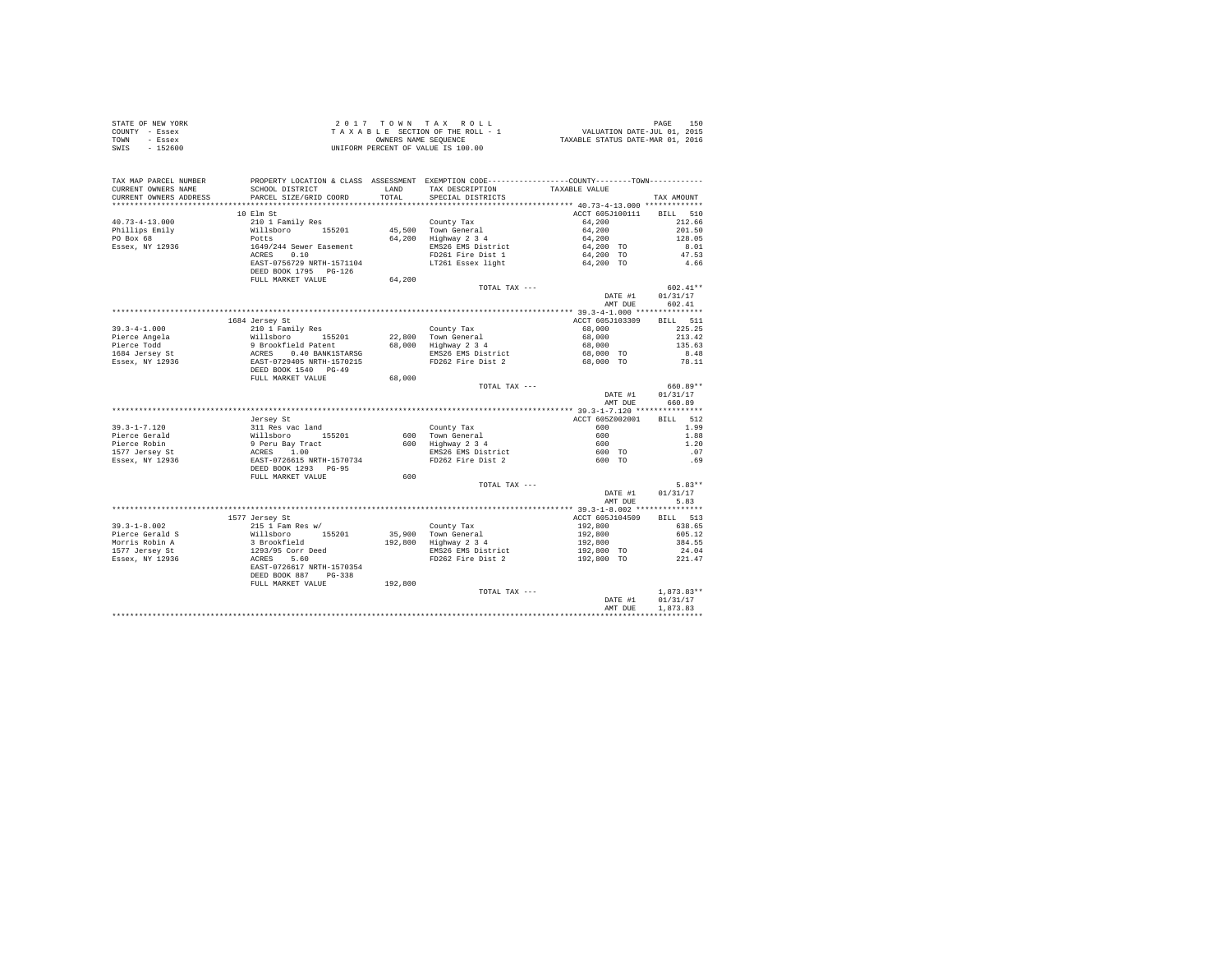| STATE OF NEW YORK |          | 2017 TOWN TAX ROLL                 | 150<br>PAGE                      |
|-------------------|----------|------------------------------------|----------------------------------|
| COUNTY - Essex    |          | TAXABLE SECTION OF THE ROLL - 1    | VALUATION DATE-JUL 01, 2015      |
| TOWN              | - Essex  | OWNERS NAME SEOUENCE               | TAXABLE STATUS DATE-MAR 01, 2016 |
| SWIS              | - 152600 | UNIFORM PERCENT OF VALUE IS 100.00 |                                  |

| TAX MAP PARCEL NUMBER<br>CURRENT OWNERS NAME<br>CURRENT OWNERS ADDRESS | SCHOOL DISTRICT<br>PARCEL SIZE/GRID COORD                                                                                                | LAND<br>TOTAL | PROPERTY LOCATION & CLASS ASSESSMENT EXEMPTION CODE----------------COUNTY-------TOWN----------<br>TAX DESCRIPTION | TAXABLE VALUE            |              |
|------------------------------------------------------------------------|------------------------------------------------------------------------------------------------------------------------------------------|---------------|-------------------------------------------------------------------------------------------------------------------|--------------------------|--------------|
| ***********************                                                | **************************                                                                                                               |               | SPECIAL DISTRICTS                                                                                                 |                          | TAX AMOUNT   |
|                                                                        | 10 Elm St                                                                                                                                |               |                                                                                                                   | ACCT 605J100111 BILL 510 |              |
| $40.73 - 4 - 13.000$                                                   |                                                                                                                                          |               | County Tax                                                                                                        | 64,200                   | 212.66       |
| Phillips Emily                                                         | 210 11 Family Res<br>Willsboro<br>Discontinue<br>Dets<br>1649/244 Sewer Easement<br>ACRES<br>CAST-0756729 NRTH-1571104                   |               | 45,500 Town General                                                                                               | 64,200                   | 201.50       |
| PO Box 68                                                              |                                                                                                                                          |               | 64,200 Highway 2 3 4                                                                                              | 64,200                   | 128.05       |
| Essex, NY 12936                                                        |                                                                                                                                          |               | EMS26 EMS District                                                                                                | 64,200 TO                | 8.01         |
|                                                                        |                                                                                                                                          |               | FD261 Fire Dist 1                                                                                                 | 64,200 TO                | 47.53        |
|                                                                        |                                                                                                                                          |               | LT261 Essex light                                                                                                 | 64,200 TO                | 4.66         |
|                                                                        | DEED BOOK 1795 PG-126                                                                                                                    |               |                                                                                                                   |                          |              |
|                                                                        | FULL MARKET VALUE                                                                                                                        | 64,200        |                                                                                                                   |                          |              |
|                                                                        |                                                                                                                                          |               | TOTAL TAX ---                                                                                                     |                          | $602.41**$   |
|                                                                        |                                                                                                                                          |               |                                                                                                                   | DATE #1                  | 01/31/17     |
|                                                                        |                                                                                                                                          |               |                                                                                                                   | AMT DUE                  | 602.41       |
|                                                                        |                                                                                                                                          |               |                                                                                                                   |                          |              |
|                                                                        | 1684 Jersey St                                                                                                                           |               |                                                                                                                   | ACCT 605J103309          | BILL 511     |
| $39.3 - 4 - 1.000$                                                     | 210 1 Family Res                                                                                                                         |               | County Tax                                                                                                        | 68,000                   | 225.25       |
| Pierce Angela                                                          |                                                                                                                                          |               | 22,800 Town General<br>68,000 Highway 2 3 4                                                                       | 68,000                   | 213.42       |
| Pierce Todd                                                            |                                                                                                                                          |               |                                                                                                                   | 68,000                   | 135.63       |
|                                                                        |                                                                                                                                          |               | EMS26 EMS District                                                                                                | 68,000 TO                | 8.48         |
| 1684 Jersey St<br>Essex, NY 12936                                      |                                                                                                                                          |               | FD262 Fire Dist 2                                                                                                 | 68,000 TO                | 78.11        |
|                                                                        | %10 1 radius<br>Willsboro 155201<br>9 Brookfield Patent<br>ACRES 0.40 BANK1STARSG<br>EAST-0729405 NRTH-1570215<br>DEED BOOK 1540 PG-49   |               |                                                                                                                   |                          |              |
|                                                                        | FULL MARKET VALUE                                                                                                                        | 68,000        |                                                                                                                   |                          |              |
|                                                                        |                                                                                                                                          |               | TOTAL TAX ---                                                                                                     |                          | 660.89**     |
|                                                                        |                                                                                                                                          |               |                                                                                                                   | DATE #1                  | 01/31/17     |
|                                                                        |                                                                                                                                          |               |                                                                                                                   | AMT DUE                  | 660.89       |
|                                                                        |                                                                                                                                          |               |                                                                                                                   |                          |              |
|                                                                        | Jersey St                                                                                                                                |               |                                                                                                                   | ACCT 605Z002001          | BILL 512     |
| $39.3 - 1 - 7.120$                                                     |                                                                                                                                          |               | County Tax                                                                                                        | 600                      | 1.99         |
| Pierce Gerald                                                          |                                                                                                                                          |               |                                                                                                                   | 600                      | 1.88         |
| Pierce Robin                                                           |                                                                                                                                          |               |                                                                                                                   | 600<br>600 TO            | 1.20         |
| 1577 Jersey St                                                         |                                                                                                                                          |               | 600 Town General<br>600 Highway 2 3 4<br>EMS26 EMS District<br>FD262 Fire Dist 2                                  |                          | .07          |
| Essex, NY 12936                                                        | Jersey St<br>311 Res vac land<br>Willsboro 155201<br>9 Peru Bay Tract<br>ACRES 1.00<br>EAST-0726615 NRTH-1570734<br>DEED BOOK 1293 PG-95 |               |                                                                                                                   | 600 TO                   | .69          |
|                                                                        |                                                                                                                                          |               |                                                                                                                   |                          |              |
|                                                                        | FULL MARKET VALUE                                                                                                                        | 600           | TOTAL TAX ---                                                                                                     |                          | $5.83**$     |
|                                                                        |                                                                                                                                          |               |                                                                                                                   | DATE #1                  | 01/31/17     |
|                                                                        |                                                                                                                                          |               |                                                                                                                   | AMT DUE                  | 5.83         |
|                                                                        |                                                                                                                                          |               |                                                                                                                   |                          |              |
|                                                                        | 1577 Jersey St                                                                                                                           |               |                                                                                                                   | ACCT 605J104509          | BILL 513     |
| $39.3 - 1 - 8.002$                                                     | 215 1 Fam Res w/                                                                                                                         |               | County Tax                                                                                                        | 192,800                  | 638.65       |
| Pierce Gerald S                                                        |                                                                                                                                          |               | 35,900 Town General                                                                                               | 192,800                  | 605.12       |
| Morris Robin A                                                         |                                                                                                                                          |               | 192,800 Highway 2 3 4                                                                                             | 192,800                  | 384.55       |
|                                                                        |                                                                                                                                          |               | EMS26 EMS District                                                                                                | 192,800 TO               | 24.04        |
| 1577 Jersey St<br>Essex, NY 12936                                      |                                                                                                                                          |               | FD262 Fire Dist 2                                                                                                 | 192,800 TO               | 221.47       |
|                                                                        | % and tame mess w/<br>Willsboro 155201<br>3 Brookfield<br>1293/95 Corr Deed<br>ACRES 5.60<br>EAST-0726617 NRTH-1570354                   |               |                                                                                                                   |                          |              |
|                                                                        | DEED BOOK 887 PG-338                                                                                                                     |               |                                                                                                                   |                          |              |
|                                                                        | FULL MARKET VALUE                                                                                                                        | 192,800       |                                                                                                                   |                          |              |
|                                                                        |                                                                                                                                          |               | TOTAL TAX ---                                                                                                     |                          | $1.873.83**$ |
|                                                                        |                                                                                                                                          |               |                                                                                                                   | DATE #1                  | 01/31/17     |
|                                                                        |                                                                                                                                          |               |                                                                                                                   | AMT DUE                  | 1,873.83     |
|                                                                        |                                                                                                                                          |               |                                                                                                                   |                          |              |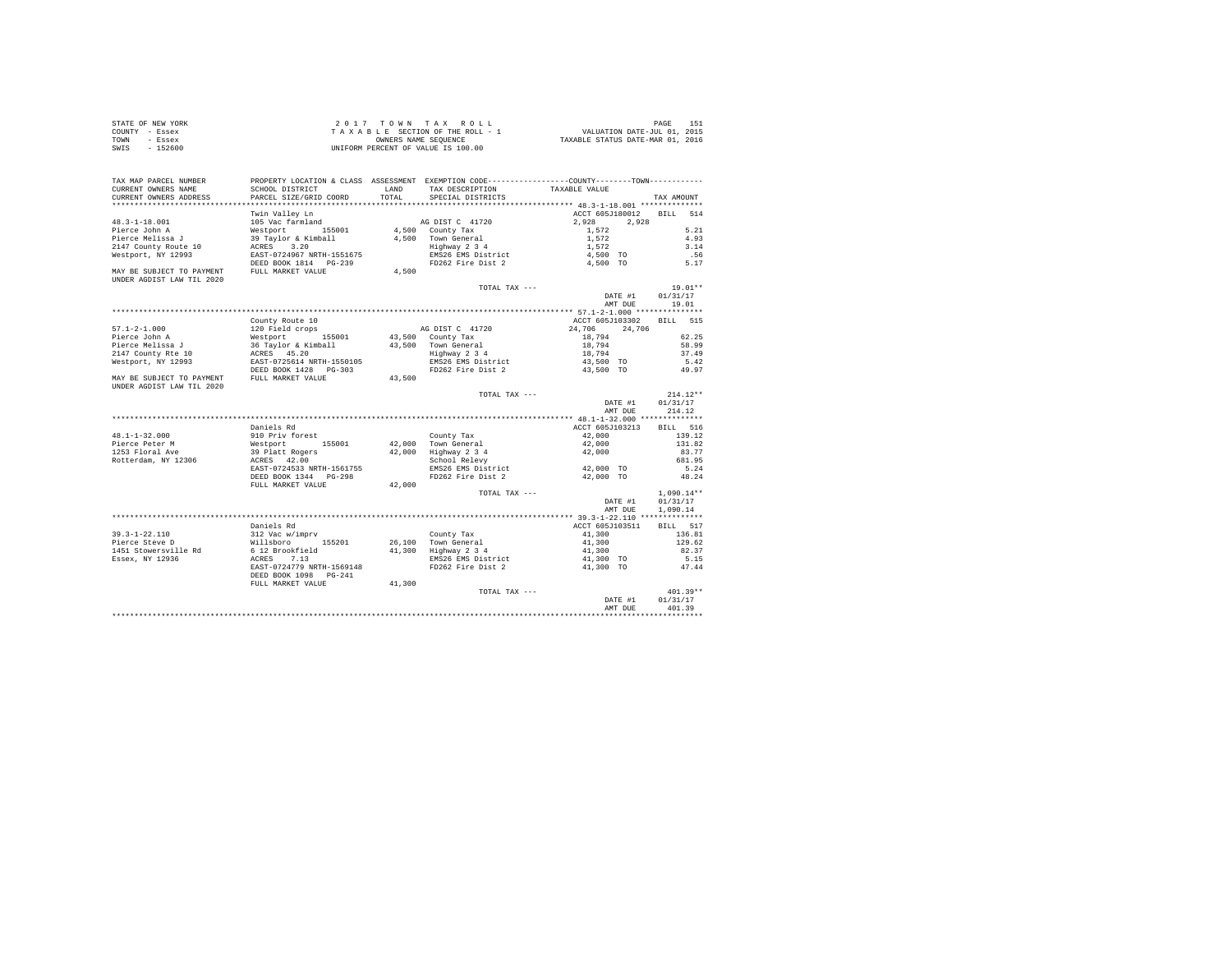| STATE OF NEW YORK | 2017 TOWN TAX ROLL                 | PAGE                             |
|-------------------|------------------------------------|----------------------------------|
| COUNTY - Essex    | TAXABLE SECTION OF THE ROLL - 1    | VALUATION DATE-JUL 01, 2015      |
| TOWN<br>- Essex   | OWNERS NAME SEOUENCE               | TAXABLE STATUS DATE-MAR 01, 2016 |
| $-152600$<br>SWIS | UNIFORM PERCENT OF VALUE IS 100.00 |                                  |

| TAX MAP PARCEL NUMBER                               |                                                                                                       |               |                                                                   | PROPERTY LOCATION & CLASS ASSESSMENT EXEMPTION CODE---------------COUNTY-------TOWN---------     |              |
|-----------------------------------------------------|-------------------------------------------------------------------------------------------------------|---------------|-------------------------------------------------------------------|--------------------------------------------------------------------------------------------------|--------------|
| CURRENT OWNERS NAME                                 | SCHOOL DISTRICT<br>PARCEL SIZE/GRID COORD                                                             | LAND<br>TOTAL | TAX DESCRIPTION                                                   | TAXABLE VALUE                                                                                    |              |
| CURRENT OWNERS ADDRESS<br>************************* |                                                                                                       |               | SPECIAL DISTRICTS                                                 |                                                                                                  | TAX AMOUNT   |
|                                                     | Twin Valley Ln                                                                                        |               |                                                                   | ACCT 605J180012 BILL                                                                             | 514          |
| $48.3 - 1 - 18.001$                                 | 105 Vac farmland                                                                                      |               | AG DIST C 41720                                                   | 2,928<br>2.928                                                                                   |              |
|                                                     |                                                                                                       |               |                                                                   |                                                                                                  | 5.21         |
| Pierce John A                                       |                                                                                                       |               | 4,500 County Tax                                                  | 1,572                                                                                            |              |
| Pierce Melissa J                                    |                                                                                                       |               | 4,500 Town General                                                | 1,572                                                                                            | 4.93<br>3.14 |
| 2147 County Route 10                                | Westport<br>Westport 155001<br>39 Taylor & Kimball<br>ACRES 3.20<br>EAST-0724967 NRTH-1551675         |               |                                                                   | Town General<br>Highway 2 3 4 1,572<br>EMS26 EMS District 4,500 TO<br>FD262 Fire Dist 2 4,500 TO |              |
| Westport, NY 12993                                  |                                                                                                       |               |                                                                   |                                                                                                  | .56          |
| MAY BE SUBJECT TO PAYMENT FULL MARKET VALUE         | DEED BOOK 1814 PG-239                                                                                 |               |                                                                   |                                                                                                  | 5.17         |
| UNDER AGDIST LAW TIL 2020                           |                                                                                                       | 4,500         |                                                                   |                                                                                                  |              |
|                                                     |                                                                                                       |               | TOTAL TAX ---                                                     |                                                                                                  | $19.01**$    |
|                                                     |                                                                                                       |               |                                                                   | DATE #1                                                                                          | 01/31/17     |
|                                                     |                                                                                                       |               |                                                                   | AMT DUE                                                                                          | 19.01        |
|                                                     |                                                                                                       |               |                                                                   |                                                                                                  |              |
|                                                     | County Route 10                                                                                       |               |                                                                   | ACCT 605J103302 BILL                                                                             | 515          |
| $57.1 - 2 - 1.000$                                  |                                                                                                       |               | AG DIST C 41720                                                   | 24,706<br>24,706                                                                                 |              |
| Pierce John A                                       |                                                                                                       |               | 43,500 County Tax                                                 | 18,794                                                                                           | 62.25        |
| Pierce Melissa J                                    |                                                                                                       |               | 43,500 Town General                                               | 18,794                                                                                           | 58.99        |
| 2147 County Rte 10                                  | 120 Field crops<br>Westport 155001<br>36 Taylor & Kimball<br>ACRES 45.20<br>EAST-0725614 NRTH-1550105 |               | Town Generai<br>Highway 2 3 4<br>EMS26 EMS District               | 18,794                                                                                           | 37.49        |
| Westport, NY 12993                                  |                                                                                                       |               |                                                                   | 43,500 TO                                                                                        | 5.42         |
|                                                     | DEED BOOK 1428    PG-303                                                                              |               | FD262 Fire Dist 2                                                 | 43,500 TO                                                                                        | 49.97        |
| MAY BE SUBJECT TO PAYMENT FULL MARKET VALUE         |                                                                                                       | 43,500        |                                                                   |                                                                                                  |              |
| UNDER AGDIST LAW TIL 2020                           |                                                                                                       |               |                                                                   |                                                                                                  |              |
|                                                     |                                                                                                       |               | TOTAL TAX ---                                                     |                                                                                                  | $214.12**$   |
|                                                     |                                                                                                       |               |                                                                   | DATE #1                                                                                          | 01/31/17     |
|                                                     |                                                                                                       |               |                                                                   | AMT DUE                                                                                          | 214.12       |
|                                                     |                                                                                                       |               |                                                                   |                                                                                                  |              |
|                                                     | Daniels Rd                                                                                            |               |                                                                   | ACCT 605J103213                                                                                  | BILL 516     |
| $48.1 - 1 - 32.000$                                 | 910 Priv forest                                                                                       |               | County Tax                                                        | 42,000                                                                                           | 139.12       |
| Pierce Peter M                                      |                                                                                                       |               | 42,000 Town General                                               | 42,000                                                                                           | 131.82       |
| 1253 Floral Ave                                     | Westport<br>Westport 155001<br>39 Platt Rogers<br>ACRES 42.00                                         |               | 42,000 Highway 2 3 4<br>School Relevy                             | 42,000                                                                                           | 83.77        |
| Rotterdam, NY 12306                                 |                                                                                                       |               |                                                                   |                                                                                                  | 681.95       |
|                                                     | EAST-0724533 NRTH-1561755                                                                             |               | EMS26 EMS District                                                | 42,000 TO                                                                                        | 5.24         |
|                                                     |                                                                                                       |               | FD262 Fire Dist 2                                                 | 42,000 TO                                                                                        | 48.24        |
|                                                     | FULL MARKET VALUE                                                                                     | 42,000        |                                                                   |                                                                                                  |              |
|                                                     |                                                                                                       |               | TOTAL TAX ---                                                     |                                                                                                  | $1,090.14**$ |
|                                                     |                                                                                                       |               |                                                                   | DATE #1                                                                                          | 01/31/17     |
|                                                     |                                                                                                       |               |                                                                   | AMT DUE                                                                                          | 1,090.14     |
|                                                     |                                                                                                       |               |                                                                   |                                                                                                  |              |
|                                                     | Daniels Rd                                                                                            |               |                                                                   | ACCT 605J103511                                                                                  | BILL 517     |
| 39.3-1-22.110                                       | 312 Vac w/imprv<br>Willsboro 155201                                                                   |               | County Tax                                                        | 41,300                                                                                           | 136.81       |
| Pierce Steve D                                      |                                                                                                       |               | 26,100 Town General                                               | 41,300                                                                                           | 129.62       |
| 1451 Stowersville Rd                                | $6\ 12\ Brootfield$                                                                                   |               | 26,100 Town General<br>41,300 Highway 2 3 4<br>EMS26 EMS District | 41,300                                                                                           | 82.37        |
| Essex, NY 12936                                     | ACRES 7.13                                                                                            |               |                                                                   | 41,300 TO                                                                                        | 5.15         |
|                                                     | EAST-0724779 NRTH-1569148                                                                             |               | FD262 Fire Dist 2                                                 | 41,300 TO                                                                                        | 47.44        |
|                                                     | DEED BOOK 1098    PG-241                                                                              |               |                                                                   |                                                                                                  |              |
|                                                     | FULL MARKET VALUE                                                                                     | 41,300        |                                                                   |                                                                                                  |              |
|                                                     |                                                                                                       |               | TOTAL TAX ---                                                     |                                                                                                  | $401.39**$   |
|                                                     |                                                                                                       |               |                                                                   | DATE #1                                                                                          | 01/31/17     |
|                                                     |                                                                                                       |               |                                                                   | AMT DUE                                                                                          | 401.39       |
|                                                     |                                                                                                       |               |                                                                   |                                                                                                  |              |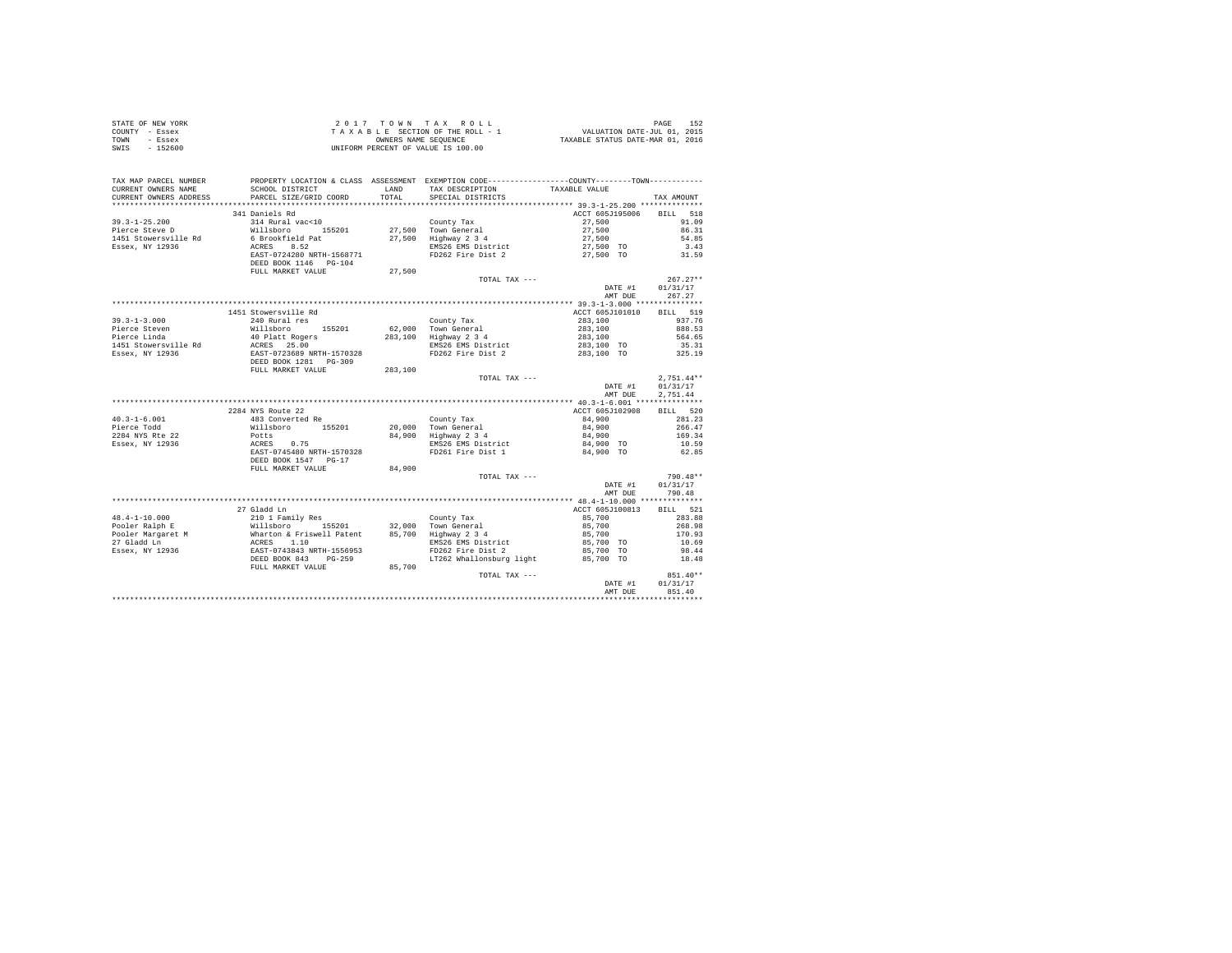| STATE OF NEW YORK | 2017 TOWN TAX ROLL                 | 152<br>PAGE                      |
|-------------------|------------------------------------|----------------------------------|
| COUNTY - Essex    | TAXABLE SECTION OF THE ROLL - 1    | VALUATION DATE-JUL 01, 2015      |
| TOWN<br>- Essex   | OWNERS NAME SEOUENCE               | TAXABLE STATUS DATE-MAR 01, 2016 |
| - 152600<br>SWIS  | UNIFORM PERCENT OF VALUE IS 100.00 |                                  |

| TAX MAP PARCEL NUMBER<br>CURRENT OWNERS NAME<br>CURRENT OWNERS ADDRESS | PROPERTY LOCATION & CLASS ASSESSMENT EXEMPTION CODE---------------COUNTY-------TOWN----------<br>SCHOOL DISTRICT<br>PARCEL SIZE/GRID COORD                                                                                             | LAND<br>TOTAL. | TAX DESCRIPTION<br>SPECIAL DISTRICTS            | TAXABLE VALUE            | TAX AMOUNT       |
|------------------------------------------------------------------------|----------------------------------------------------------------------------------------------------------------------------------------------------------------------------------------------------------------------------------------|----------------|-------------------------------------------------|--------------------------|------------------|
| *************************                                              |                                                                                                                                                                                                                                        |                |                                                 |                          |                  |
|                                                                        | 341 Daniels Rd                                                                                                                                                                                                                         |                |                                                 | ACCT 605J195006 BILL     | 518              |
| $39.3 - 1 - 25.200$                                                    | 314 Rural vac<10                                                                                                                                                                                                                       |                | County Tax<br>27,500 Town General<br>County Tax | 27,500<br>27,500         | 91.09            |
| Pierce Steve D                                                         | Willsboro 155201                                                                                                                                                                                                                       |                |                                                 |                          | 86.31            |
| 1451 Stowersville Rd                                                   | 6 Brookfield Pat<br>ACRES 8.52                                                                                                                                                                                                         |                | 27,500 Highway 2 3 4                            | 27,500<br>27,500 TO      | 54.85            |
| Essex, NY 12936                                                        |                                                                                                                                                                                                                                        |                | EMS26 EMS District                              |                          | 3.43             |
|                                                                        | EAST-0724280 NRTH-1568771                                                                                                                                                                                                              |                | FD262 Fire Dist 2                               | 27,500 TO                | 31.59            |
|                                                                        | DEED BOOK 1146 PG-104                                                                                                                                                                                                                  |                |                                                 |                          |                  |
|                                                                        | FULL MARKET VALUE                                                                                                                                                                                                                      | 27,500         |                                                 |                          |                  |
|                                                                        |                                                                                                                                                                                                                                        |                | TOTAL TAX ---                                   |                          | $267.27**$       |
|                                                                        |                                                                                                                                                                                                                                        |                |                                                 |                          | DATE #1 01/31/17 |
|                                                                        |                                                                                                                                                                                                                                        |                |                                                 | AMT DUE                  | 267.27           |
|                                                                        | 1451 Stowersville Rd                                                                                                                                                                                                                   |                |                                                 | ACCT 605J101010 BILL 519 |                  |
|                                                                        | 240 Rural res                                                                                                                                                                                                                          |                |                                                 |                          | 937.76           |
| $39.3 - 1 - 3.000$<br>Pierce Steven                                    |                                                                                                                                                                                                                                        |                | County Tax<br>62,000 Town General               | 283,100<br>283,100       | 888.53           |
| Pierce Steven<br>Pierce Linda                                          |                                                                                                                                                                                                                                        |                | 283,100 Highway 2 3 4                           | 283,100                  | 564.65           |
| 1451 Stowersville Rd                                                   |                                                                                                                                                                                                                                        |                | EMS26 EMS District                              | 283,100 TO               | 35.31            |
| Essex, NY 12936                                                        |                                                                                                                                                                                                                                        |                | FD262 Fire Dist 2 283,100 TO 325.19             |                          |                  |
|                                                                        | 240 Rural res<br>Willsboro 155201<br>40 Platt Rogers<br>Rd ACRSS 25.00<br>ERST-0723689 NRTH-1570328<br>DEED BOOK 1281 PG-309                                                                                                           |                |                                                 |                          |                  |
|                                                                        | FULL MARKET VALUE                                                                                                                                                                                                                      | 283,100        |                                                 |                          |                  |
|                                                                        |                                                                                                                                                                                                                                        |                | TOTAL TAX ---                                   |                          | $2.751.44**$     |
|                                                                        |                                                                                                                                                                                                                                        |                |                                                 | DATE #1                  | 01/31/17         |
|                                                                        |                                                                                                                                                                                                                                        |                |                                                 | AMT DUE                  | 2.751.44         |
|                                                                        |                                                                                                                                                                                                                                        |                |                                                 |                          |                  |
|                                                                        | 2284 NYS Route 22                                                                                                                                                                                                                      |                |                                                 | ACCT 605J102908          | BILL 520         |
| $40.3 - 1 - 6.001$                                                     |                                                                                                                                                                                                                                        |                | County Tax                                      | 84,900                   | 281.23           |
| Pierce Todd<br>2284 NYS Rte 22                                         |                                                                                                                                                                                                                                        |                |                                                 |                          | 266.47           |
|                                                                        |                                                                                                                                                                                                                                        |                | 20,000 Town General<br>84,900 Highway 2 3 4     | 84,900<br>84,900         | 169.34           |
| Essex, NY 12936                                                        |                                                                                                                                                                                                                                        |                | EMS26 EMS District                              | 84,900 TO                | 10.59            |
|                                                                        |                                                                                                                                                                                                                                        |                | FD261 Fire Dist 1                               | 84,900 TO                | 62.85            |
|                                                                        | DEED BOOK 1547 PG-17                                                                                                                                                                                                                   |                |                                                 |                          |                  |
|                                                                        | FULL MARKET VALUE                                                                                                                                                                                                                      | 84,900         |                                                 |                          |                  |
|                                                                        |                                                                                                                                                                                                                                        |                | TOTAL TAX ---                                   |                          | $790.48**$       |
|                                                                        |                                                                                                                                                                                                                                        |                |                                                 | DATE #1                  | 01/31/17         |
|                                                                        |                                                                                                                                                                                                                                        |                |                                                 | AMT DUE                  | 790.48           |
|                                                                        |                                                                                                                                                                                                                                        |                |                                                 |                          |                  |
|                                                                        | 27 Gladd Ln                                                                                                                                                                                                                            |                |                                                 | ACCT 605J100813          | BILL 521         |
| $48.4 - 1 - 10.000$                                                    | 210 1 Family Res                                                                                                                                                                                                                       |                | County Tax                                      | 85,700                   | 283.88           |
|                                                                        |                                                                                                                                                                                                                                        |                |                                                 | 85,700<br>85,700         | 268.98           |
|                                                                        | 46.4-1-10.000<br>Fooler Ralph E 210 1 and Millsboro 155201 32,000 County 18x<br>Pooler Margaret Millsboro 155201 32,000 County eneral<br>Pooler Margaret Markton & Friswell Patent 85,700 Highway 2 3 4<br>27 Gladd Ln EASE-0743843 NR |                |                                                 |                          | 170.93           |
|                                                                        |                                                                                                                                                                                                                                        |                | EMS26 EMS District                              | 85,700 TO                | 10.69            |
|                                                                        |                                                                                                                                                                                                                                        |                | FD262 Fire Dist 2                               | 85,700 TO                | 98.44            |
|                                                                        |                                                                                                                                                                                                                                        |                | LT262 Whallonsburg light 85,700 TO              |                          | 18.48            |
|                                                                        | FULL MARKET VALUE                                                                                                                                                                                                                      | 85,700         |                                                 |                          | 851.40**         |
|                                                                        |                                                                                                                                                                                                                                        |                | TOTAL TAX ---                                   | DATE #1                  | 01/31/17         |
|                                                                        |                                                                                                                                                                                                                                        |                |                                                 | AMT DUE                  | 851.40           |
|                                                                        |                                                                                                                                                                                                                                        |                |                                                 |                          |                  |
|                                                                        |                                                                                                                                                                                                                                        |                |                                                 |                          |                  |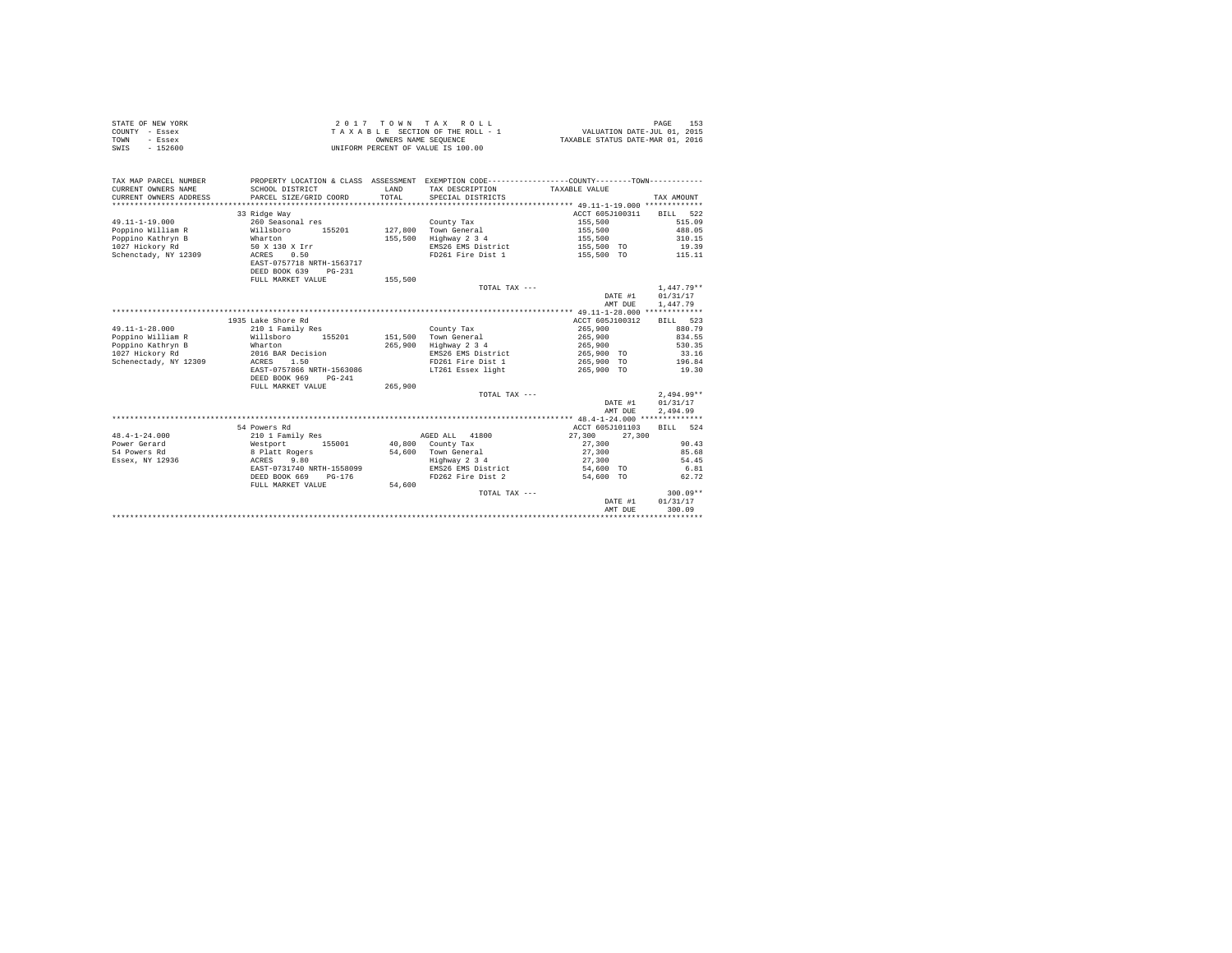| COUNTY - Essex<br><b>TOWN</b><br>- Essex |                                                                                                 | OWNERS NAME SEOUENCE | TAXABLE SECTION OF THE ROLL - 1    | VALUATION DATE-JUL 01, 2015<br>TAXABLE STATUS DATE-MAR 01, 2016 |              |
|------------------------------------------|-------------------------------------------------------------------------------------------------|----------------------|------------------------------------|-----------------------------------------------------------------|--------------|
| $-152600$<br>SWIS                        |                                                                                                 |                      | UNIFORM PERCENT OF VALUE IS 100.00 |                                                                 |              |
| TAX MAP PARCEL NUMBER                    | PROPERTY LOCATION & CLASS ASSESSMENT EXEMPTION CODE----------------COUNTY--------TOWN---------- |                      |                                    |                                                                 |              |
| CURRENT OWNERS NAME                      | SCHOOL DISTRICT                                                                                 | LAND                 | TAX DESCRIPTION                    | TAXABLE VALUE                                                   |              |
| CURRENT OWNERS ADDRESS                   | PARCEL SIZE/GRID COORD                                                                          | TOTAL                | SPECIAL DISTRICTS                  |                                                                 | TAX AMOUNT   |
|                                          |                                                                                                 |                      |                                    |                                                                 |              |
|                                          | 33 Ridge Way                                                                                    |                      |                                    | ACCT 605J100311                                                 | BILL 522     |
| $49.11 - 1 - 19.000$                     | 260 Seasonal res                                                                                |                      | County Tax                         | 155,500                                                         | 515.09       |
| Poppino William R                        | Willsboro<br>155201                                                                             | 127,800              | Town General                       | 155,500                                                         | 488.05       |
| Poppino Kathryn B                        | Wharton                                                                                         |                      | 155,500 Highway 2 3 4              | 155,500                                                         | 310.15       |
| 1027 Hickory Rd                          | 50 X 130 X Irr                                                                                  |                      | EMS26 EMS District                 | 155,500 TO                                                      | 19.39        |
| Schenctady, NY 12309                     | 0.50<br>ACRES                                                                                   |                      | FD261 Fire Dist 1                  | 155,500 TO                                                      | 115.11       |
|                                          | EAST-0757718 NRTH-1563717                                                                       |                      |                                    |                                                                 |              |
|                                          | DEED BOOK 639<br>$PG-231$                                                                       |                      |                                    |                                                                 |              |
|                                          | FULL MARKET VALUE                                                                               | 155,500              | TOTAL TAX $---$                    |                                                                 | $1.447.79**$ |
|                                          |                                                                                                 |                      |                                    | DATE #1                                                         | 01/31/17     |
|                                          |                                                                                                 |                      |                                    | AMT DUE                                                         | 1,447.79     |
|                                          |                                                                                                 |                      |                                    |                                                                 |              |
|                                          | 1935 Lake Shore Rd                                                                              |                      |                                    | ACCT 605J100312                                                 | BILL 523     |
| $49.11 - 1 - 28.000$                     | 210 1 Family Res                                                                                |                      | County Tax                         | 265,900                                                         | 880.79       |
| Poppino William R Willsboro              | 155201                                                                                          | 151,500              | Town General                       | 265,900                                                         | 834.55       |
| Poppino Kathryn B                        | Wharton                                                                                         | 265,900              | Highway 2 3 4                      | 265,900                                                         | 530.35       |
| 1027 Hickory Rd                          | 2016 BAR Decision                                                                               |                      | EMS26 EMS District                 | 265,900 TO                                                      | 33.16        |
| Schenectady, NY 12309                    | 1.50<br>ACRES                                                                                   |                      | FD261 Fire Dist 1                  | 265,900 TO                                                      | 196.84       |
|                                          | EAST-0757866 NRTH-1563086                                                                       |                      | LT261 Essex light                  | 265,900 TO                                                      | 19.30        |
|                                          | DEED BOOK 969<br>$PG-241$                                                                       |                      |                                    |                                                                 |              |
|                                          | FULL MARKET VALUE                                                                               | 265,900              |                                    |                                                                 |              |
|                                          |                                                                                                 |                      | TOTAL TAX $---$                    |                                                                 | $2.494.99**$ |
|                                          |                                                                                                 |                      |                                    | DATE #1                                                         | 01/31/17     |
|                                          |                                                                                                 |                      |                                    | AMT DUE                                                         | 2.494.99     |
|                                          |                                                                                                 |                      |                                    |                                                                 |              |
|                                          | 54 Powers Rd                                                                                    |                      |                                    | ACCT 605J101103                                                 | BILL 524     |
| $48.4 - 1 - 24.000$                      | 210 1 Family Res                                                                                |                      | 41800<br>AGED ALL                  | 27,300<br>27,300                                                |              |
| Power Gerard                             | Westport<br>155001                                                                              |                      | 40,800 County Tax                  | 27,300                                                          | 90.43        |
| 54 Powers Rd                             | 8 Platt Rogers                                                                                  | 54,600               | Town General                       | 27,300                                                          | 85.68        |

STATE OF NEW YORK  $2017$   $70$   $W$   $T$  A X R O L L  $2017$   $T$  O  $W$   $N$   $T$  A X R O L L

| Essex, NY 12936 | 9.80<br>ACRES             |        | Highway 2 3 4      | 27,300    | 54.45      |
|-----------------|---------------------------|--------|--------------------|-----------|------------|
|                 | EAST-0731740 NRTH-1558099 |        | EMS26 EMS District | 54,600 TO | 6.81       |
|                 | DEED BOOK 669<br>PG-176   |        | FD262 Fire Dist 2  | 54,600 TO | 62.72      |
|                 | FULL MARKET VALUE         | 54,600 |                    |           |            |
|                 |                           |        | TOTAL TAX ---      |           | $300.09**$ |
|                 |                           |        |                    | DATE #1   | 01/31/17   |
|                 |                           |        |                    | AMT DUR   | 300.09     |
|                 |                           |        |                    |           |            |
|                 |                           |        |                    |           |            |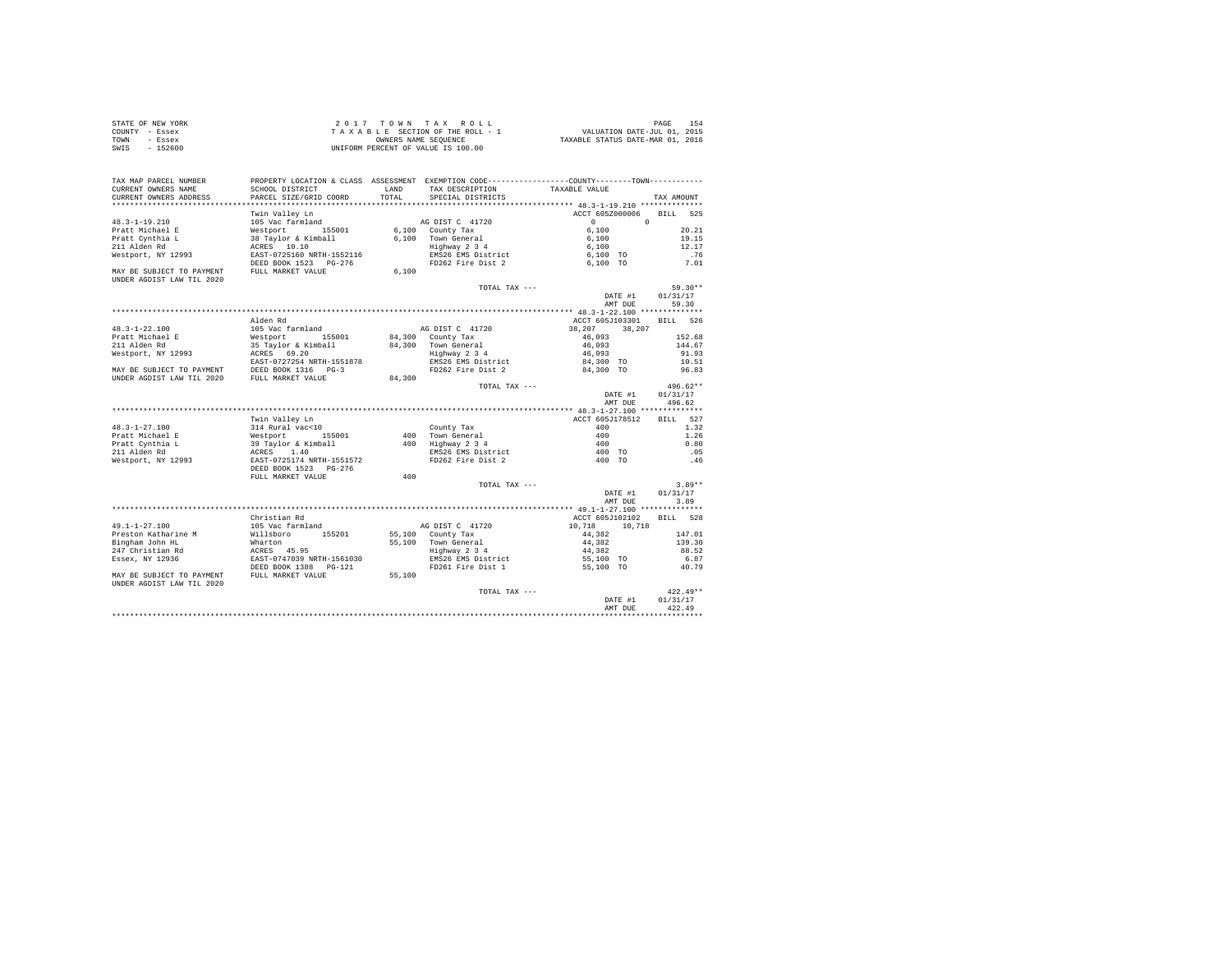| STATE OF NEW YORK | 2017 TOWN TAX ROLL                 | 154<br>PAGE                      |  |
|-------------------|------------------------------------|----------------------------------|--|
| COUNTY - Essex    | TAXABLE SECTION OF THE ROLL - 1    | VALUATION DATE-JUL 01, 2015      |  |
| TOWN<br>- Essex   | OWNERS NAME SEOUENCE               | TAXABLE STATUS DATE-MAR 01, 2016 |  |
| $-152600$<br>SWIS | UNIFORM PERCENT OF VALUE IS 100.00 |                                  |  |

| TAX MAP PARCEL NUMBER                                                                        | PROPERTY LOCATION & CLASS ASSESSMENT EXEMPTION CODE----------------COUNTY-------TOWN---------- |        |                                     |                     |                    |
|----------------------------------------------------------------------------------------------|------------------------------------------------------------------------------------------------|--------|-------------------------------------|---------------------|--------------------|
| CURRENT OWNERS NAME                                                                          | SCHOOL DISTRICT                                                                                | LAND   | TAX DESCRIPTION                     | TAXABLE VALUE       |                    |
| CURRENT OWNERS ADDRESS<br>************************                                           | PARCEL SIZE/GRID COORD                                                                         | TOTAL  | SPECIAL DISTRICTS                   |                     | TAX AMOUNT         |
|                                                                                              |                                                                                                |        |                                     |                     |                    |
|                                                                                              | Twin Valley Ln                                                                                 |        |                                     | ACCT 605Z000006     | <b>BILL</b><br>525 |
| 48.3-1-19.210                                                                                | 105 Vac farmland                                                                               |        | AG DIST C 41720                     | $\circ$<br>$\Omega$ |                    |
| Pratt Michael E                                                                              | Westport 155001                                                                                |        | 6.100 County Tax                    | 6,100               | 20.21              |
| Pratt Cynthia L                                                                              | 38 Taylor & Kimball                                                                            |        | 6,100 Town General<br>Highway 2 3 4 | 6,100               | 19.15              |
| 211 Alden Rd                                                                                 | ACRES 10.10                                                                                    |        |                                     | 6,100               | 12.17              |
| Westport, NY 12993                                                                           | EAST-0725160 NRTH-1552116                                                                      |        | EMS26 EMS District                  | 6,100 TO            | .76                |
|                                                                                              | DEED BOOK 1523 PG-276                                                                          |        | FD262 Fire Dist 2                   | 6,100 TO            | 7.01               |
| MAY BE SUBJECT TO PAYMENT<br>UNDER AGDIST LAW TIL 2020                                       | FULL MARKET VALUE                                                                              | 6.100  |                                     |                     |                    |
|                                                                                              |                                                                                                |        | TOTAL TAX ---                       |                     | $59.30**$          |
|                                                                                              |                                                                                                |        |                                     | DATE #1             | 01/31/17           |
|                                                                                              |                                                                                                |        |                                     | AMT DUE             | 59.30              |
|                                                                                              |                                                                                                |        |                                     |                     |                    |
|                                                                                              | Alden Rd                                                                                       |        |                                     | ACCT 605J103301     | BILL 526           |
| $48.3 - 1 - 22.100$                                                                          | 105 Vac farmland                                                                               |        | AG DIST C 41720                     | 38,207<br>38,207    |                    |
| Pratt Michael E                                                                              | Westport 155001                                                                                |        | 84,300 County Tax                   | 46,093              | 152.68             |
| 211 Alden Rd                                                                                 | 35 Taylor & Kimball                                                                            |        | 84,300 Town General                 | 46,093              | 144.67             |
| Westport, NY 12993                                                                           | ACRES 69.20                                                                                    |        | Highway 2 3 4                       | 46,093              | 91.93              |
|                                                                                              | EAST-0727254 NRTH-1551878                                                                      |        | EMS26 EMS District                  | 84,300 TO           | 10.51              |
| MAY BE SUBJECT TO PAYMENT DEED BOOK 1316 PG-3<br>UNDER AGDIST LAW TIL 2020 FULL MARKET VALUE |                                                                                                |        | FD262 Fire Dist 2                   | 84,300 TO           | 96.83              |
|                                                                                              |                                                                                                | 84,300 |                                     |                     |                    |
|                                                                                              |                                                                                                |        | TOTAL TAX ---                       |                     | $496.62**$         |
|                                                                                              |                                                                                                |        |                                     | DATE #1             | 01/31/17           |
|                                                                                              |                                                                                                |        |                                     | AMT DUE             | 496.62             |
|                                                                                              |                                                                                                |        |                                     |                     |                    |
|                                                                                              | Twin Valley Ln                                                                                 |        |                                     | ACCT 605J178512     | BILL 527           |
| 48.3-1-27.100                                                                                | 314 Rural vac<10                                                                               |        | County Tax                          | 400                 | 1.32               |
| Pratt Michael E                                                                              | Westport 155001                                                                                |        | 400 Town General                    | 400                 | 1.26               |
| Pratt Cynthia L                                                                              | 39 Taylor & Kimball                                                                            |        | 400 Highway 2 3 4                   | 400                 | 0.80               |
| 211 Alden Rd                                                                                 | ACRES 1.40                                                                                     |        | EMS26 EMS District                  | 400 TO              | .05                |
| Westport, NY 12993                                                                           | EAST-0725174 NRTH-1551572                                                                      |        | FD262 Fire Dist 2                   | 400 TO              | .46                |
|                                                                                              |                                                                                                |        |                                     |                     |                    |
|                                                                                              | FULL MARKET VALUE                                                                              | 400    |                                     |                     |                    |
|                                                                                              |                                                                                                |        | TOTAL TAX ---                       |                     | $3.89**$           |
|                                                                                              |                                                                                                |        |                                     | DATE #1             | 01/31/17           |
|                                                                                              |                                                                                                |        |                                     | AMT DUE             | 3.89               |
|                                                                                              |                                                                                                |        |                                     |                     |                    |
|                                                                                              | Christian Rd                                                                                   |        |                                     | ACCT 605J102102     | BILL 528           |
| $49.1 - 1 - 27.100$                                                                          | 105 Vac farmland                                                                               |        | AG DIST C 41720                     | 10.718<br>10,718    |                    |
| Preston Katharine M                                                                          | Willsboro 155201                                                                               |        | 55,100 County Tax                   | 44.382              | 147.01             |
| Bingham John HL                                                                              | Wharton                                                                                        |        | 55,100 Town General                 | 44,382              | 139.30             |
| 247 Christian Rd                                                                             | ACRES 45.95                                                                                    |        | Highway 2 3 4                       | 44,382              | 88.52              |
| Essex, NY 12936                                                                              | EAST-0747039 NRTH-1561030                                                                      |        | EMS26 EMS District                  | 55,100 TO           | 6.87               |
|                                                                                              | DEED BOOK 1388   PG-121                                                                        |        | FD261 Fire Dist 1                   | 55,100 TO           | 40.79              |
| MAY BE SUBJECT TO PAYMENT                                                                    | FULL MARKET VALUE                                                                              | 55,100 |                                     |                     |                    |
| UNDER AGDIST LAW TIL 2020                                                                    |                                                                                                |        |                                     |                     |                    |
|                                                                                              |                                                                                                |        | TOTAL TAX ---                       |                     | $422.49**$         |
|                                                                                              |                                                                                                |        |                                     | DATE #1             | 01/31/17           |
|                                                                                              |                                                                                                |        |                                     | AMT DUE             | 422.49             |
|                                                                                              |                                                                                                |        |                                     |                     |                    |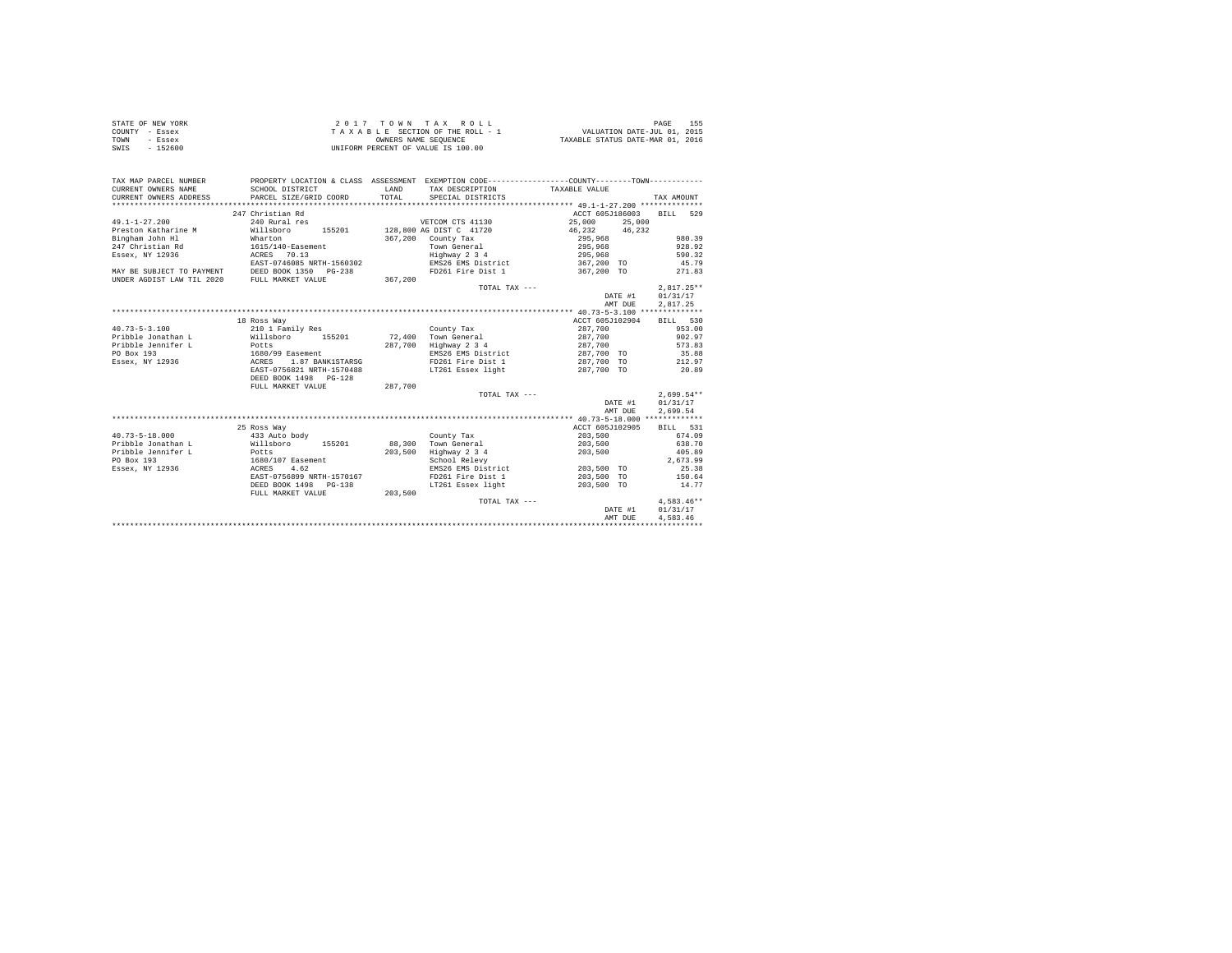| STATE OF NEW YORK | 2017 TOWN TAX ROLL                 | 155<br>PAGE                      |
|-------------------|------------------------------------|----------------------------------|
| COUNTY - Essex    | TAXABLE SECTION OF THE ROLL - 1    | VALUATION DATE-JUL 01, 2015      |
| TOWN<br>- Essex   | OWNERS NAME SEOUENCE               | TAXABLE STATUS DATE-MAR 01, 2016 |
| - 152600<br>SWIS  | UNIFORM PERCENT OF VALUE IS 100.00 |                                  |

| TAX MAP PARCEL NUMBER<br>CURRENT OWNERS NAME<br>CURRENT OWNERS ADDRESS | PROPERTY LOCATION & CLASS ASSESSMENT EXEMPTION CODE---------------COUNTY-------TOWN----------<br>SCHOOL DISTRICT<br>PARCEL SIZE/GRID COORD | <b>T.AND</b><br>TOTAL | TAX DESCRIPTION<br>SPECIAL DISTRICTS | TAXABLE VALUE      | TAX AMOUNT               |
|------------------------------------------------------------------------|--------------------------------------------------------------------------------------------------------------------------------------------|-----------------------|--------------------------------------|--------------------|--------------------------|
|                                                                        |                                                                                                                                            |                       |                                      |                    |                          |
|                                                                        | 247 Christian Rd                                                                                                                           |                       |                                      |                    | ACCT 605J186003 BILL 529 |
| $49.1 - 1 - 27.200$                                                    | 240 Rural res                                                                                                                              |                       | VETCOM CTS 41130                     | 25,000             | 25,000                   |
| Preston Katharine M                                                    | Willsboro                                                                                                                                  |                       | 155201 128,800 AG DIST C 41720       | 46,232 46,232      |                          |
| Bingham John Hl                                                        | Wharton                                                                                                                                    | 367,200               | County Tax                           | 295,968            | 980.39                   |
| 247 Christian Rd                                                       | 1615/140-Easement                                                                                                                          |                       | Town General                         | 295,968<br>295,968 | 928.92                   |
| Essex, NY 12936                                                        | ACRES 70.13                                                                                                                                |                       | Highway 2 3 4                        |                    | 590.32                   |
|                                                                        | EAST-0746085 NRTH-1560302                                                                                                                  |                       | EMS26 EMS District                   | 367,200 TO         | 45.79                    |
| MAY BE SUBJECT TO PAYMENT DEED BOOK 1350 PG-238                        |                                                                                                                                            |                       | FD261 Fire Dist 1 367,200 TO         |                    | 271.83                   |
| UNDER AGDIST LAW TIL 2020                                              | FULL MARKET VALUE                                                                                                                          | 367,200               |                                      |                    |                          |
|                                                                        |                                                                                                                                            |                       | TOTAL TAX ---                        |                    | $2.817.25**$             |
|                                                                        |                                                                                                                                            |                       |                                      |                    | 01/31/17<br>DATE #1      |
|                                                                        |                                                                                                                                            |                       |                                      |                    | 2,817.25<br>AMT DUE      |
|                                                                        |                                                                                                                                            |                       |                                      |                    |                          |
|                                                                        | 18 Ross Way                                                                                                                                |                       |                                      |                    | ACCT 605J102904 BILL 530 |
| $40.73 - 5 - 3.100$                                                    | 210 1 Family Res                                                                                                                           |                       | County Tax                           | 287,700            | 953.00                   |
| Pribble Jonathan L                                                     | Willsboro<br>155201                                                                                                                        |                       | 72.400 Town General                  | 287.700            | 902.97                   |
| Pribble Jennifer L                                                     | Potts<br>1680/99 Easement                                                                                                                  |                       | 287.700 Highway 2 3 4                | 287,700            | 573.83                   |
| PO Box 193                                                             |                                                                                                                                            |                       | EMS26 EMS District                   | 287,700 TO         | 35.88                    |
| Essex, NY 12936 ACRES                                                  | 1.87 BANK1STARSG                                                                                                                           |                       | FD261 Fire Dist 1                    | 287,700 TO         | 212.97                   |
|                                                                        | EAST-0756821 NRTH-1570488                                                                                                                  |                       | LT261 Essex light                    | 287,700 TO         | 20.89                    |
|                                                                        | DEED BOOK 1498  PG-128                                                                                                                     |                       |                                      |                    |                          |
|                                                                        | FULL MARKET VALUE                                                                                                                          | 287.700               |                                      |                    |                          |
|                                                                        |                                                                                                                                            |                       | TOTAL TAX ---                        |                    | $2.699.54**$             |
|                                                                        |                                                                                                                                            |                       |                                      |                    | 01/31/17<br>DATE #1      |
|                                                                        |                                                                                                                                            |                       |                                      |                    | 2,699.54<br>AMT DUE      |
|                                                                        |                                                                                                                                            |                       |                                      |                    |                          |
|                                                                        | 25 Ross Way                                                                                                                                |                       |                                      | ACCT 605J102905    | BILL 531                 |
| $40.73 - 5 - 18.000$                                                   | 433 Auto body                                                                                                                              |                       | County Tax                           | 203,500            | 674.09                   |
| Pribble Jonathan L                                                     | Willsboro 155201                                                                                                                           | 88,300                | Town General                         | 203,500            | 638.70                   |
| Pribble Jennifer L<br><b>Potts</b>                                     |                                                                                                                                            | 203,500               | Highway 2 3 4                        | 203,500            | 405.89                   |
| PO Box 193                                                             | 1680/107 Easement<br>ACRES 4.62                                                                                                            |                       | School Relevy                        |                    | 2.673.99                 |
| Essex, NY 12936                                                        |                                                                                                                                            |                       | EMS26 EMS District                   | 203,500 TO         | 25.38                    |
|                                                                        | EAST-0756899 NRTH-1570167                                                                                                                  |                       | FD261 Fire Dist 1                    | 203,500 TO         | 150.64                   |
|                                                                        | DEED BOOK 1498 PG-138                                                                                                                      |                       | LT261 Essex light                    | 203,500 TO         | 14.77                    |
|                                                                        | FULL MARKET VALUE                                                                                                                          | 203,500               |                                      |                    |                          |
|                                                                        |                                                                                                                                            |                       | TOTAL TAX ---                        |                    | $4.583.46**$             |
|                                                                        |                                                                                                                                            |                       |                                      |                    | 01/31/17<br>DATE #1      |
|                                                                        |                                                                                                                                            |                       |                                      |                    | 4,583.46<br>AMT DUE      |
|                                                                        |                                                                                                                                            |                       |                                      |                    |                          |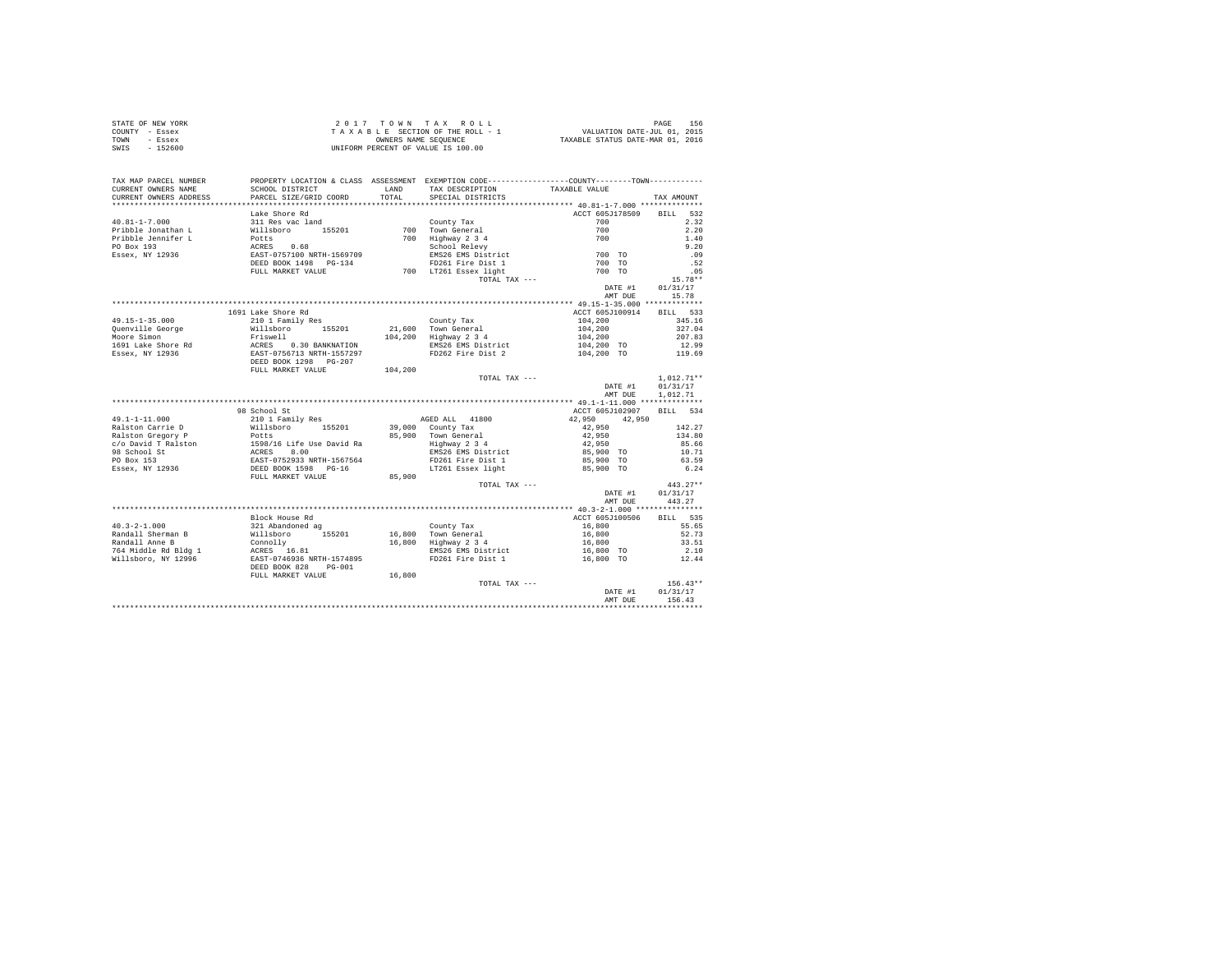|                | STATE OF NEW YORK | 2017 TOWN TAX ROLL                 | 156<br>PAGE                      |
|----------------|-------------------|------------------------------------|----------------------------------|
| COUNTY - Essex |                   | TAXABLE SECTION OF THE ROLL - 1    | VALUATION DATE-JUL 01, 2015      |
| TOWN           | - Essex           | OWNERS NAME SEOUENCE               | TAXABLE STATUS DATE-MAR 01, 2016 |
| SWIS           | $-152600$         | UNIFORM PERCENT OF VALUE IS 100.00 |                                  |

| TOTAL SPECIAL DISTRICTS<br>ACCT 605J178509 BILL 532<br>Lake Shore Rd<br>2.32<br>2.20<br>1.40<br>9.20<br>.09<br>.52<br>.05<br>$15.78**$<br>DATE #1 01/31/17<br>15.78<br>AMT DUE<br>1691 Lake Shore Rd<br>ACCT 605J100914 BILL 533<br>$104, 200$<br>$104, 200$<br>$104, 200$<br>345.16<br>327.04<br>207.83<br>104,200 TO<br>104,200 TO<br>EMS26 EMS District<br>FD262 Fire Dist 2<br>12.99<br>119.69<br>TOTAL TAX ---<br>$1,012.71**$<br>DATE #1<br>01/31/17<br>1,012.71<br>AMT DUE<br>98 School St<br>ACCT 605J102907 BILL 534<br>$\begin{tabular}{l c c c c c} \multicolumn{4}{c c c c} \multicolumn{4}{c c c} \multicolumn{4}{c c c} \multicolumn{4}{c c c} \multicolumn{4}{c c c} \multicolumn{4}{c c c} \multicolumn{4}{c c c} \multicolumn{4}{c c c} \multicolumn{4}{c c c} \multicolumn{4}{c c c} \multicolumn{4}{c c c} \multicolumn{4}{c c c} \multicolumn{4}{c c c} \multicolumn{4}{c c c} \multicolumn{4}{c c c} \multicolumn{$<br>42,950 42,950<br>$42,950$<br>$42,950$<br>$142.27$<br>$134.80$<br>85.66<br>10.71<br>63.59<br>6.24<br>$443.27**$<br>TOTAL TAX ---<br>DATE #1<br>01/31/17<br>AMT DUE 443.27<br>ACCT 605J100506 BILL 535<br>Block House Rd<br>FD261 Fire Dist 1<br>16,800 TO<br>12.44<br>16,800<br>FULL MARKET VALUE<br>$156.43**$<br>TOTAL TAX ---<br>DATE #1<br>01/31/17<br>AMT DUE 156.43 | TAX MAP PARCEL NUMBER<br>CURRENT OWNERS NAME | SCHOOL DISTRICT        | PROPERTY LOCATION & CLASS ASSESSMENT EXEMPTION CODE----------------COUNTY--------TOWN----------<br>LAND TAX DESCRIPTION | TAXABLE VALUE |            |
|----------------------------------------------------------------------------------------------------------------------------------------------------------------------------------------------------------------------------------------------------------------------------------------------------------------------------------------------------------------------------------------------------------------------------------------------------------------------------------------------------------------------------------------------------------------------------------------------------------------------------------------------------------------------------------------------------------------------------------------------------------------------------------------------------------------------------------------------------------------------------------------------------------------------------------------------------------------------------------------------------------------------------------------------------------------------------------------------------------------------------------------------------------------------------------------------------------------------------------------------------------------------------------------------------------------------|----------------------------------------------|------------------------|-------------------------------------------------------------------------------------------------------------------------|---------------|------------|
|                                                                                                                                                                                                                                                                                                                                                                                                                                                                                                                                                                                                                                                                                                                                                                                                                                                                                                                                                                                                                                                                                                                                                                                                                                                                                                                      | CURRENT OWNERS ADDRESS                       | PARCEL SIZE/GRID COORD |                                                                                                                         |               | TAX AMOUNT |
|                                                                                                                                                                                                                                                                                                                                                                                                                                                                                                                                                                                                                                                                                                                                                                                                                                                                                                                                                                                                                                                                                                                                                                                                                                                                                                                      |                                              |                        |                                                                                                                         |               |            |
|                                                                                                                                                                                                                                                                                                                                                                                                                                                                                                                                                                                                                                                                                                                                                                                                                                                                                                                                                                                                                                                                                                                                                                                                                                                                                                                      |                                              |                        |                                                                                                                         |               |            |
|                                                                                                                                                                                                                                                                                                                                                                                                                                                                                                                                                                                                                                                                                                                                                                                                                                                                                                                                                                                                                                                                                                                                                                                                                                                                                                                      |                                              |                        |                                                                                                                         |               |            |
|                                                                                                                                                                                                                                                                                                                                                                                                                                                                                                                                                                                                                                                                                                                                                                                                                                                                                                                                                                                                                                                                                                                                                                                                                                                                                                                      |                                              |                        |                                                                                                                         |               |            |
|                                                                                                                                                                                                                                                                                                                                                                                                                                                                                                                                                                                                                                                                                                                                                                                                                                                                                                                                                                                                                                                                                                                                                                                                                                                                                                                      |                                              |                        |                                                                                                                         |               |            |
|                                                                                                                                                                                                                                                                                                                                                                                                                                                                                                                                                                                                                                                                                                                                                                                                                                                                                                                                                                                                                                                                                                                                                                                                                                                                                                                      |                                              |                        |                                                                                                                         |               |            |
|                                                                                                                                                                                                                                                                                                                                                                                                                                                                                                                                                                                                                                                                                                                                                                                                                                                                                                                                                                                                                                                                                                                                                                                                                                                                                                                      |                                              |                        |                                                                                                                         |               |            |
|                                                                                                                                                                                                                                                                                                                                                                                                                                                                                                                                                                                                                                                                                                                                                                                                                                                                                                                                                                                                                                                                                                                                                                                                                                                                                                                      |                                              |                        |                                                                                                                         |               |            |
|                                                                                                                                                                                                                                                                                                                                                                                                                                                                                                                                                                                                                                                                                                                                                                                                                                                                                                                                                                                                                                                                                                                                                                                                                                                                                                                      |                                              |                        |                                                                                                                         |               |            |
|                                                                                                                                                                                                                                                                                                                                                                                                                                                                                                                                                                                                                                                                                                                                                                                                                                                                                                                                                                                                                                                                                                                                                                                                                                                                                                                      |                                              |                        |                                                                                                                         |               |            |
|                                                                                                                                                                                                                                                                                                                                                                                                                                                                                                                                                                                                                                                                                                                                                                                                                                                                                                                                                                                                                                                                                                                                                                                                                                                                                                                      |                                              |                        |                                                                                                                         |               |            |
|                                                                                                                                                                                                                                                                                                                                                                                                                                                                                                                                                                                                                                                                                                                                                                                                                                                                                                                                                                                                                                                                                                                                                                                                                                                                                                                      |                                              |                        |                                                                                                                         |               |            |
|                                                                                                                                                                                                                                                                                                                                                                                                                                                                                                                                                                                                                                                                                                                                                                                                                                                                                                                                                                                                                                                                                                                                                                                                                                                                                                                      |                                              |                        |                                                                                                                         |               |            |
|                                                                                                                                                                                                                                                                                                                                                                                                                                                                                                                                                                                                                                                                                                                                                                                                                                                                                                                                                                                                                                                                                                                                                                                                                                                                                                                      |                                              |                        |                                                                                                                         |               |            |
|                                                                                                                                                                                                                                                                                                                                                                                                                                                                                                                                                                                                                                                                                                                                                                                                                                                                                                                                                                                                                                                                                                                                                                                                                                                                                                                      |                                              |                        |                                                                                                                         |               |            |
|                                                                                                                                                                                                                                                                                                                                                                                                                                                                                                                                                                                                                                                                                                                                                                                                                                                                                                                                                                                                                                                                                                                                                                                                                                                                                                                      |                                              |                        |                                                                                                                         |               |            |
|                                                                                                                                                                                                                                                                                                                                                                                                                                                                                                                                                                                                                                                                                                                                                                                                                                                                                                                                                                                                                                                                                                                                                                                                                                                                                                                      |                                              |                        |                                                                                                                         |               |            |
|                                                                                                                                                                                                                                                                                                                                                                                                                                                                                                                                                                                                                                                                                                                                                                                                                                                                                                                                                                                                                                                                                                                                                                                                                                                                                                                      |                                              |                        |                                                                                                                         |               |            |
|                                                                                                                                                                                                                                                                                                                                                                                                                                                                                                                                                                                                                                                                                                                                                                                                                                                                                                                                                                                                                                                                                                                                                                                                                                                                                                                      |                                              |                        |                                                                                                                         |               |            |
|                                                                                                                                                                                                                                                                                                                                                                                                                                                                                                                                                                                                                                                                                                                                                                                                                                                                                                                                                                                                                                                                                                                                                                                                                                                                                                                      |                                              |                        |                                                                                                                         |               |            |
|                                                                                                                                                                                                                                                                                                                                                                                                                                                                                                                                                                                                                                                                                                                                                                                                                                                                                                                                                                                                                                                                                                                                                                                                                                                                                                                      |                                              |                        |                                                                                                                         |               |            |
|                                                                                                                                                                                                                                                                                                                                                                                                                                                                                                                                                                                                                                                                                                                                                                                                                                                                                                                                                                                                                                                                                                                                                                                                                                                                                                                      |                                              |                        |                                                                                                                         |               |            |
|                                                                                                                                                                                                                                                                                                                                                                                                                                                                                                                                                                                                                                                                                                                                                                                                                                                                                                                                                                                                                                                                                                                                                                                                                                                                                                                      |                                              |                        |                                                                                                                         |               |            |
|                                                                                                                                                                                                                                                                                                                                                                                                                                                                                                                                                                                                                                                                                                                                                                                                                                                                                                                                                                                                                                                                                                                                                                                                                                                                                                                      |                                              |                        |                                                                                                                         |               |            |
|                                                                                                                                                                                                                                                                                                                                                                                                                                                                                                                                                                                                                                                                                                                                                                                                                                                                                                                                                                                                                                                                                                                                                                                                                                                                                                                      |                                              |                        |                                                                                                                         |               |            |
|                                                                                                                                                                                                                                                                                                                                                                                                                                                                                                                                                                                                                                                                                                                                                                                                                                                                                                                                                                                                                                                                                                                                                                                                                                                                                                                      |                                              |                        |                                                                                                                         |               |            |
|                                                                                                                                                                                                                                                                                                                                                                                                                                                                                                                                                                                                                                                                                                                                                                                                                                                                                                                                                                                                                                                                                                                                                                                                                                                                                                                      |                                              |                        |                                                                                                                         |               |            |
|                                                                                                                                                                                                                                                                                                                                                                                                                                                                                                                                                                                                                                                                                                                                                                                                                                                                                                                                                                                                                                                                                                                                                                                                                                                                                                                      |                                              |                        |                                                                                                                         |               |            |
|                                                                                                                                                                                                                                                                                                                                                                                                                                                                                                                                                                                                                                                                                                                                                                                                                                                                                                                                                                                                                                                                                                                                                                                                                                                                                                                      |                                              |                        |                                                                                                                         |               |            |
|                                                                                                                                                                                                                                                                                                                                                                                                                                                                                                                                                                                                                                                                                                                                                                                                                                                                                                                                                                                                                                                                                                                                                                                                                                                                                                                      |                                              |                        |                                                                                                                         |               |            |
|                                                                                                                                                                                                                                                                                                                                                                                                                                                                                                                                                                                                                                                                                                                                                                                                                                                                                                                                                                                                                                                                                                                                                                                                                                                                                                                      |                                              |                        |                                                                                                                         |               |            |
|                                                                                                                                                                                                                                                                                                                                                                                                                                                                                                                                                                                                                                                                                                                                                                                                                                                                                                                                                                                                                                                                                                                                                                                                                                                                                                                      |                                              |                        |                                                                                                                         |               |            |
|                                                                                                                                                                                                                                                                                                                                                                                                                                                                                                                                                                                                                                                                                                                                                                                                                                                                                                                                                                                                                                                                                                                                                                                                                                                                                                                      |                                              |                        |                                                                                                                         |               |            |
|                                                                                                                                                                                                                                                                                                                                                                                                                                                                                                                                                                                                                                                                                                                                                                                                                                                                                                                                                                                                                                                                                                                                                                                                                                                                                                                      |                                              |                        |                                                                                                                         |               |            |
|                                                                                                                                                                                                                                                                                                                                                                                                                                                                                                                                                                                                                                                                                                                                                                                                                                                                                                                                                                                                                                                                                                                                                                                                                                                                                                                      |                                              |                        |                                                                                                                         |               |            |
|                                                                                                                                                                                                                                                                                                                                                                                                                                                                                                                                                                                                                                                                                                                                                                                                                                                                                                                                                                                                                                                                                                                                                                                                                                                                                                                      |                                              |                        |                                                                                                                         |               |            |
|                                                                                                                                                                                                                                                                                                                                                                                                                                                                                                                                                                                                                                                                                                                                                                                                                                                                                                                                                                                                                                                                                                                                                                                                                                                                                                                      |                                              |                        |                                                                                                                         |               |            |
|                                                                                                                                                                                                                                                                                                                                                                                                                                                                                                                                                                                                                                                                                                                                                                                                                                                                                                                                                                                                                                                                                                                                                                                                                                                                                                                      |                                              |                        |                                                                                                                         |               |            |
|                                                                                                                                                                                                                                                                                                                                                                                                                                                                                                                                                                                                                                                                                                                                                                                                                                                                                                                                                                                                                                                                                                                                                                                                                                                                                                                      |                                              |                        |                                                                                                                         |               |            |
|                                                                                                                                                                                                                                                                                                                                                                                                                                                                                                                                                                                                                                                                                                                                                                                                                                                                                                                                                                                                                                                                                                                                                                                                                                                                                                                      |                                              |                        |                                                                                                                         |               |            |
|                                                                                                                                                                                                                                                                                                                                                                                                                                                                                                                                                                                                                                                                                                                                                                                                                                                                                                                                                                                                                                                                                                                                                                                                                                                                                                                      |                                              |                        |                                                                                                                         |               |            |
|                                                                                                                                                                                                                                                                                                                                                                                                                                                                                                                                                                                                                                                                                                                                                                                                                                                                                                                                                                                                                                                                                                                                                                                                                                                                                                                      |                                              |                        |                                                                                                                         |               |            |
|                                                                                                                                                                                                                                                                                                                                                                                                                                                                                                                                                                                                                                                                                                                                                                                                                                                                                                                                                                                                                                                                                                                                                                                                                                                                                                                      |                                              |                        |                                                                                                                         |               |            |
|                                                                                                                                                                                                                                                                                                                                                                                                                                                                                                                                                                                                                                                                                                                                                                                                                                                                                                                                                                                                                                                                                                                                                                                                                                                                                                                      |                                              |                        |                                                                                                                         |               |            |
|                                                                                                                                                                                                                                                                                                                                                                                                                                                                                                                                                                                                                                                                                                                                                                                                                                                                                                                                                                                                                                                                                                                                                                                                                                                                                                                      |                                              |                        |                                                                                                                         |               |            |
|                                                                                                                                                                                                                                                                                                                                                                                                                                                                                                                                                                                                                                                                                                                                                                                                                                                                                                                                                                                                                                                                                                                                                                                                                                                                                                                      |                                              |                        |                                                                                                                         |               |            |
|                                                                                                                                                                                                                                                                                                                                                                                                                                                                                                                                                                                                                                                                                                                                                                                                                                                                                                                                                                                                                                                                                                                                                                                                                                                                                                                      |                                              |                        |                                                                                                                         |               |            |
|                                                                                                                                                                                                                                                                                                                                                                                                                                                                                                                                                                                                                                                                                                                                                                                                                                                                                                                                                                                                                                                                                                                                                                                                                                                                                                                      |                                              |                        |                                                                                                                         |               |            |
|                                                                                                                                                                                                                                                                                                                                                                                                                                                                                                                                                                                                                                                                                                                                                                                                                                                                                                                                                                                                                                                                                                                                                                                                                                                                                                                      |                                              |                        |                                                                                                                         |               |            |
|                                                                                                                                                                                                                                                                                                                                                                                                                                                                                                                                                                                                                                                                                                                                                                                                                                                                                                                                                                                                                                                                                                                                                                                                                                                                                                                      |                                              |                        |                                                                                                                         |               |            |
|                                                                                                                                                                                                                                                                                                                                                                                                                                                                                                                                                                                                                                                                                                                                                                                                                                                                                                                                                                                                                                                                                                                                                                                                                                                                                                                      |                                              |                        |                                                                                                                         |               |            |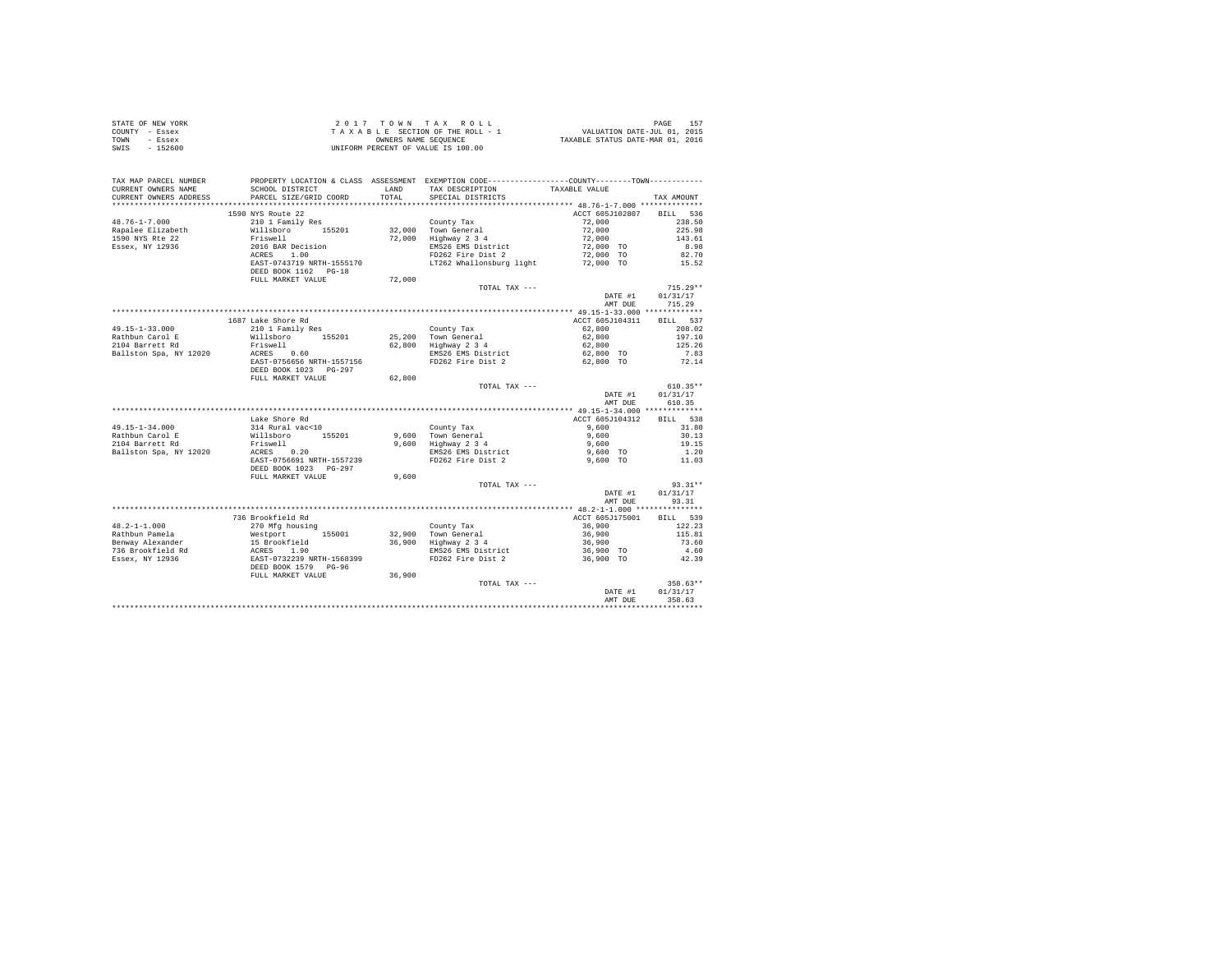| STATE OF NEW YORK | 2017 TOWN TAX ROLL                 | 157<br>PAGE                      |
|-------------------|------------------------------------|----------------------------------|
| COUNTY - Essex    | TAXABLE SECTION OF THE ROLL - 1    | VALUATION DATE-JUL 01, 2015      |
| TOWN<br>- Essex   | OWNERS NAME SEOUENCE               | TAXABLE STATUS DATE-MAR 01, 2016 |
| - 152600<br>SWIS  | UNIFORM PERCENT OF VALUE IS 100.00 |                                  |

| TAX MAP PARCEL NUMBER<br>CURRENT OWNERS NAME<br>CURRENT OWNERS ADDRESS | SCHOOL DISTRICT<br>PARCEL SIZE/GRID COORD                                                                    | LAND<br>TOTAL | PROPERTY LOCATION & CLASS ASSESSMENT EXEMPTION CODE---------------COUNTY-------TOWN---------<br>TAX DESCRIPTION<br>SPECIAL DISTRICTS | TAXABLE VALUE             | TAX AMOUNT         |
|------------------------------------------------------------------------|--------------------------------------------------------------------------------------------------------------|---------------|--------------------------------------------------------------------------------------------------------------------------------------|---------------------------|--------------------|
|                                                                        |                                                                                                              |               |                                                                                                                                      |                           |                    |
| $48.76 - 1 - 7.000$                                                    | 1590 NYS Route 22<br>210 1 Family Res                                                                        |               |                                                                                                                                      | ACCT 605J102807<br>72,000 | BILL 536<br>238.50 |
| Rapalee Elizabeth                                                      |                                                                                                              |               | County Tax<br>32,000 Town General                                                                                                    | 72,000                    | 225.98             |
| 1590 NYS Rte 22                                                        | willsboro 155201<br>Friswell 155201                                                                          |               | 72,000 Highway 2 3 4                                                                                                                 | 72,000                    | 143.61             |
| Essex, NY 12936                                                        | 2016 BAR Decision                                                                                            |               | EMS26 EMS District                                                                                                                   | 72,000 TO                 | 8.98               |
|                                                                        | ACRES 1.00                                                                                                   |               | FD262 Fire Dist 2                                                                                                                    | 72,000 TO                 | 82.70              |
|                                                                        | EAST-0743719 NRTH-1555170                                                                                    |               | LT262 Whallonsburg light 72,000 TO 15.52                                                                                             |                           |                    |
|                                                                        | DEED BOOK 1162 PG-18                                                                                         |               |                                                                                                                                      |                           |                    |
|                                                                        | FULL MARKET VALUE                                                                                            | 72,000        |                                                                                                                                      |                           |                    |
|                                                                        |                                                                                                              |               | TOTAL TAX ---                                                                                                                        |                           | $715.29**$         |
|                                                                        |                                                                                                              |               |                                                                                                                                      | DATE #1                   | 01/31/17           |
|                                                                        |                                                                                                              |               |                                                                                                                                      | AMT DUE                   | 715.29             |
|                                                                        |                                                                                                              |               |                                                                                                                                      |                           |                    |
|                                                                        | 1687 Lake Shore Rd                                                                                           |               |                                                                                                                                      | ACCT 605J104311           | BILL 537           |
| $49.15 - 1 - 33.000$                                                   | 210 1 Family Res                                                                                             |               | County Tax                                                                                                                           | 62,800                    | 208.02             |
| Rathbun Carol E                                                        | Willsboro 155201                                                                                             |               |                                                                                                                                      | 62,800                    | 197.10             |
| 2104 Barrett Rd                                                        | Friswell<br>ACRES 0.60<br>Trem :                                                                             |               | 25,200 Town General<br>62,800 Highway 2 3 4<br>EMS26 EMS District                                                                    | 62,800                    | 125.26             |
| Ballston Spa, NY 12020                                                 |                                                                                                              |               |                                                                                                                                      | 62,800 TO                 | 7.83               |
|                                                                        | EAST-0756656 NRTH-1557156<br>DEED BOOK 1023 PG-297                                                           |               | FD262 Fire Dist 2                                                                                                                    | 62.800 TO                 | 72.14              |
|                                                                        | FULL MARKET VALUE                                                                                            | 62.800        |                                                                                                                                      |                           |                    |
|                                                                        |                                                                                                              |               | TOTAL TAX ---                                                                                                                        |                           | $610.35**$         |
|                                                                        |                                                                                                              |               |                                                                                                                                      | DATE #1                   | 01/31/17           |
|                                                                        |                                                                                                              |               |                                                                                                                                      | AMT DUE                   | 610.35             |
|                                                                        |                                                                                                              |               |                                                                                                                                      |                           |                    |
| 49.15-1-34.000                                                         | Lake Shore Rd                                                                                                |               | County Tax                                                                                                                           | ACCT 605J104312<br>9,600  | BILL 538<br>31.80  |
| Rathbun Carol E                                                        | 314 Rural vac<10<br>Willsboro 155201                                                                         |               | 9,600 Town General                                                                                                                   | 9.600                     | 30.13              |
| 2104 Barrett Rd                                                        |                                                                                                              |               | 9,600 Town General<br>9,600 Highway 2 3 4<br>EMS26 EMS District                                                                      | 9,600                     | 19.15              |
| Ballston Spa, NY 12020                                                 | Friswell<br>ACRES 0.20                                                                                       |               |                                                                                                                                      | 9,600 TO                  | 1.20               |
|                                                                        | EAST-0756691 NRTH-1557239                                                                                    |               | FD262 Fire Dist 2                                                                                                                    | 9,600 TO                  | 11.03              |
|                                                                        | DEED BOOK 1023 PG-297                                                                                        |               |                                                                                                                                      |                           |                    |
|                                                                        | FULL MARKET VALUE                                                                                            | 9,600         |                                                                                                                                      |                           |                    |
|                                                                        |                                                                                                              |               | TOTAL TAX ---                                                                                                                        |                           | 93.31**            |
|                                                                        |                                                                                                              |               |                                                                                                                                      | DATE #1                   | 01/31/17           |
|                                                                        |                                                                                                              |               |                                                                                                                                      | AMT DUE                   | 93.31              |
|                                                                        |                                                                                                              |               |                                                                                                                                      |                           |                    |
|                                                                        | 736 Brookfield Rd                                                                                            |               |                                                                                                                                      | ACCT 605J175001           | BILL 539           |
| $48.2 - 1 - 1.000$                                                     | 270 Mfg housing                                                                                              |               | County Tax<br>32,900 Town General                                                                                                    | 36,900                    | 122.23             |
| Rathbun Pamela                                                         | %<br>Westport 155001<br>15 Brookfield<br>ACRES 1.90<br>EAST-0732239 NRTH-1568399<br>AST-0732239 NRTH-1568399 |               |                                                                                                                                      | 36,900                    | 115.81             |
| Benway Alexander                                                       |                                                                                                              |               | $36,900$ Highway $2\overline{3}4$<br>EMS26 EMS Dictrict                                                                              | 36,900                    | 73.60              |
| 736 Brookfield Rd                                                      |                                                                                                              |               | EMS26 EMS District                                                                                                                   | 36,900 TO                 | 4.60               |
| Essex, NY 12936                                                        |                                                                                                              |               | FD262 Fire Dist 2                                                                                                                    | 36,900 TO                 | 42.39              |
|                                                                        | DEED BOOK 1579 PG-96                                                                                         |               |                                                                                                                                      |                           |                    |
|                                                                        | FULL MARKET VALUE                                                                                            | 36,900        | TOTAL TAX ---                                                                                                                        |                           | $358.63**$         |
|                                                                        |                                                                                                              |               |                                                                                                                                      | DATE #1                   | 01/31/17           |
|                                                                        |                                                                                                              |               |                                                                                                                                      | AMT DUE                   | 358.63             |
|                                                                        |                                                                                                              |               |                                                                                                                                      |                           |                    |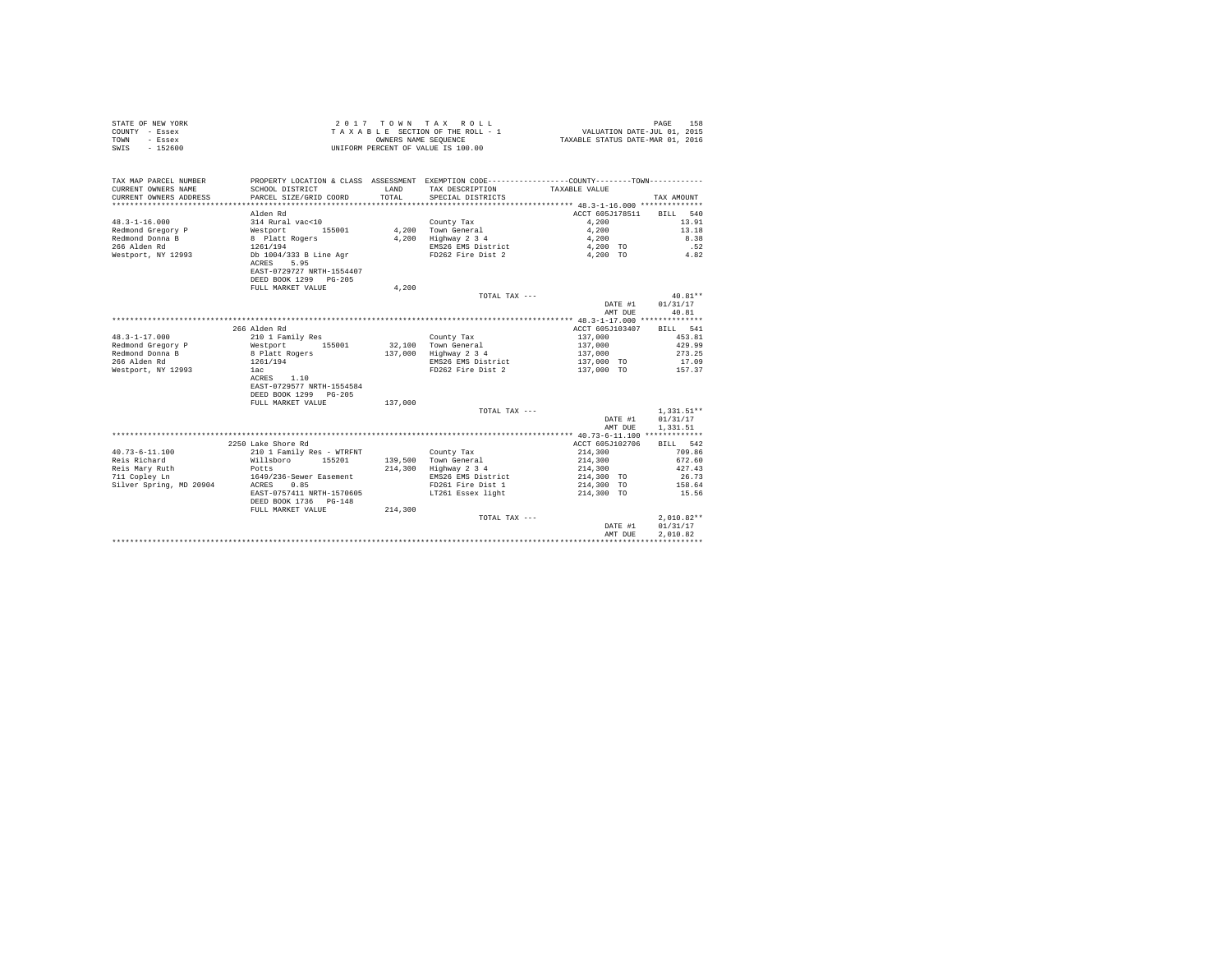|                | STATE OF NEW YORK | 2017 TOWN TAX ROLL                 | 158<br>PAGE                      |
|----------------|-------------------|------------------------------------|----------------------------------|
| COUNTY - Essex |                   | TAXABLE SECTION OF THE ROLL - 1    | VALUATION DATE-JUL 01, 2015      |
| TOWN           | - Essex           | OWNERS NAME SEOUENCE               | TAXABLE STATUS DATE-MAR 01, 2016 |
| SWIS           | $-152600$         | UNIFORM PERCENT OF VALUE IS 100.00 |                                  |

| ACCT 605J178511<br>Alden Rd<br><b>BILL</b><br>540<br>$48.3 - 1 - 16.000$<br>314 Rural vac<10<br>County Tax<br>4.200<br>13.91<br>Redmond Gregory P<br>Westport<br>4,200<br>Town General<br>4,200<br>13.18<br>155001<br>Redmond Donna B<br>4.200<br>Highway 2 3 4<br>8.38<br>8 Platt Rogers<br>4,200<br>266 Alden Rd<br>.52<br>1261/194<br>EMS26 EMS District<br>4,200 TO<br>Db 1004/333 B Line Agr<br>FD262 Fire Dist 2<br>4,200 TO<br>4.82<br>Westport, NY 12993<br>ACRES<br>5.95<br>EAST-0729727 NRTH-1554407<br>DEED BOOK 1299 PG-205<br>FULL MARKET VALUE<br>4,200<br>$40.81**$<br>TOTAL TAX ---<br>01/31/17<br>DATE #1<br>40.81<br>AMT DUE<br>266 Alden Rd<br>ACCT 605J103407<br>541<br>BILL<br>$48.3 - 1 - 17.000$<br>137,000<br>453.81<br>210 1 Family Res<br>County Tax<br>Redmond Gregory P<br>155001<br>32,100<br>Town General<br>137,000<br>429.99<br>Westport<br>Redmond Donna B<br>8 Platt Rogers<br>137,000<br>Highway 2 3 4<br>273.25<br>137,000<br>266 Alden Rd<br>1261/194<br>EMS26 EMS District<br>137,000 TO<br>17.09<br>FD262 Fire Dist 2<br>Westport, NY 12993<br>137,000 TO<br>157.37<br>1ac<br>1.10<br>ACRES<br>EAST-0729577 NRTH-1554584<br>DEED BOOK 1299 PG-205<br>FULL MARKET VALUE<br>137,000<br>$1.331.51**$<br>TOTAL TAX ---<br>01/31/17<br>DATE #1<br>AMT DUE<br>1,331.51<br>2250 Lake Shore Rd<br>ACCT 605J102706<br>RTLL 542<br>210 1 Family Res - WTRFNT<br>709.86<br>$40.73 - 6 - 11.100$<br>County Tax<br>214,300<br>Reis Richard<br>Willsboro<br>155201<br>139,500<br>Town General<br>214,300<br>672.60<br>214,300<br>Reis Mary Ruth<br>Highway 2 3 4<br>214,300<br>427.43<br>Potts<br>26.73<br>711 Copley Ln<br>1649/236-Sewer Easement<br>EMS26 EMS District<br>214,300 TO<br>Silver Spring, MD 20904<br>0.85<br>FD261 Fire Dist 1<br>214,300 TO<br>158.64<br>ACRES<br>EAST-0757411 NRTH-1570605<br>15.56<br>LT261 Essex light<br>214,300 TO<br>DEED BOOK 1736 PG-148<br>214,300<br>FULL MARKET VALUE<br>$2.010.82**$<br>TOTAL TAX ---<br>01/31/17<br>DATE #1<br>2.010.82<br>AMT DUE | TAX MAP PARCEL NUMBER<br>CURRENT OWNERS NAME<br>CURRENT OWNERS ADDRESS | SCHOOL DISTRICT<br>PARCEL SIZE/GRID COORD | LAND<br>TOTAL. | PROPERTY LOCATION & CLASS ASSESSMENT EXEMPTION CODE----------------COUNTY-------TOWN---------<br>TAX DESCRIPTION<br>SPECIAL DISTRICTS | TAXABLE VALUE | TAX AMOUNT |
|----------------------------------------------------------------------------------------------------------------------------------------------------------------------------------------------------------------------------------------------------------------------------------------------------------------------------------------------------------------------------------------------------------------------------------------------------------------------------------------------------------------------------------------------------------------------------------------------------------------------------------------------------------------------------------------------------------------------------------------------------------------------------------------------------------------------------------------------------------------------------------------------------------------------------------------------------------------------------------------------------------------------------------------------------------------------------------------------------------------------------------------------------------------------------------------------------------------------------------------------------------------------------------------------------------------------------------------------------------------------------------------------------------------------------------------------------------------------------------------------------------------------------------------------------------------------------------------------------------------------------------------------------------------------------------------------------------------------------------------------------------------------------------------------------------------------------------------------------------------------------------------------------------------------------------------------------------------------------------------------------------------------------|------------------------------------------------------------------------|-------------------------------------------|----------------|---------------------------------------------------------------------------------------------------------------------------------------|---------------|------------|
|                                                                                                                                                                                                                                                                                                                                                                                                                                                                                                                                                                                                                                                                                                                                                                                                                                                                                                                                                                                                                                                                                                                                                                                                                                                                                                                                                                                                                                                                                                                                                                                                                                                                                                                                                                                                                                                                                                                                                                                                                            |                                                                        |                                           |                |                                                                                                                                       |               |            |
|                                                                                                                                                                                                                                                                                                                                                                                                                                                                                                                                                                                                                                                                                                                                                                                                                                                                                                                                                                                                                                                                                                                                                                                                                                                                                                                                                                                                                                                                                                                                                                                                                                                                                                                                                                                                                                                                                                                                                                                                                            |                                                                        |                                           |                |                                                                                                                                       |               |            |
|                                                                                                                                                                                                                                                                                                                                                                                                                                                                                                                                                                                                                                                                                                                                                                                                                                                                                                                                                                                                                                                                                                                                                                                                                                                                                                                                                                                                                                                                                                                                                                                                                                                                                                                                                                                                                                                                                                                                                                                                                            |                                                                        |                                           |                |                                                                                                                                       |               |            |
|                                                                                                                                                                                                                                                                                                                                                                                                                                                                                                                                                                                                                                                                                                                                                                                                                                                                                                                                                                                                                                                                                                                                                                                                                                                                                                                                                                                                                                                                                                                                                                                                                                                                                                                                                                                                                                                                                                                                                                                                                            |                                                                        |                                           |                |                                                                                                                                       |               |            |
|                                                                                                                                                                                                                                                                                                                                                                                                                                                                                                                                                                                                                                                                                                                                                                                                                                                                                                                                                                                                                                                                                                                                                                                                                                                                                                                                                                                                                                                                                                                                                                                                                                                                                                                                                                                                                                                                                                                                                                                                                            |                                                                        |                                           |                |                                                                                                                                       |               |            |
|                                                                                                                                                                                                                                                                                                                                                                                                                                                                                                                                                                                                                                                                                                                                                                                                                                                                                                                                                                                                                                                                                                                                                                                                                                                                                                                                                                                                                                                                                                                                                                                                                                                                                                                                                                                                                                                                                                                                                                                                                            |                                                                        |                                           |                |                                                                                                                                       |               |            |
|                                                                                                                                                                                                                                                                                                                                                                                                                                                                                                                                                                                                                                                                                                                                                                                                                                                                                                                                                                                                                                                                                                                                                                                                                                                                                                                                                                                                                                                                                                                                                                                                                                                                                                                                                                                                                                                                                                                                                                                                                            |                                                                        |                                           |                |                                                                                                                                       |               |            |
|                                                                                                                                                                                                                                                                                                                                                                                                                                                                                                                                                                                                                                                                                                                                                                                                                                                                                                                                                                                                                                                                                                                                                                                                                                                                                                                                                                                                                                                                                                                                                                                                                                                                                                                                                                                                                                                                                                                                                                                                                            |                                                                        |                                           |                |                                                                                                                                       |               |            |
|                                                                                                                                                                                                                                                                                                                                                                                                                                                                                                                                                                                                                                                                                                                                                                                                                                                                                                                                                                                                                                                                                                                                                                                                                                                                                                                                                                                                                                                                                                                                                                                                                                                                                                                                                                                                                                                                                                                                                                                                                            |                                                                        |                                           |                |                                                                                                                                       |               |            |
|                                                                                                                                                                                                                                                                                                                                                                                                                                                                                                                                                                                                                                                                                                                                                                                                                                                                                                                                                                                                                                                                                                                                                                                                                                                                                                                                                                                                                                                                                                                                                                                                                                                                                                                                                                                                                                                                                                                                                                                                                            |                                                                        |                                           |                |                                                                                                                                       |               |            |
|                                                                                                                                                                                                                                                                                                                                                                                                                                                                                                                                                                                                                                                                                                                                                                                                                                                                                                                                                                                                                                                                                                                                                                                                                                                                                                                                                                                                                                                                                                                                                                                                                                                                                                                                                                                                                                                                                                                                                                                                                            |                                                                        |                                           |                |                                                                                                                                       |               |            |
|                                                                                                                                                                                                                                                                                                                                                                                                                                                                                                                                                                                                                                                                                                                                                                                                                                                                                                                                                                                                                                                                                                                                                                                                                                                                                                                                                                                                                                                                                                                                                                                                                                                                                                                                                                                                                                                                                                                                                                                                                            |                                                                        |                                           |                |                                                                                                                                       |               |            |
|                                                                                                                                                                                                                                                                                                                                                                                                                                                                                                                                                                                                                                                                                                                                                                                                                                                                                                                                                                                                                                                                                                                                                                                                                                                                                                                                                                                                                                                                                                                                                                                                                                                                                                                                                                                                                                                                                                                                                                                                                            |                                                                        |                                           |                |                                                                                                                                       |               |            |
|                                                                                                                                                                                                                                                                                                                                                                                                                                                                                                                                                                                                                                                                                                                                                                                                                                                                                                                                                                                                                                                                                                                                                                                                                                                                                                                                                                                                                                                                                                                                                                                                                                                                                                                                                                                                                                                                                                                                                                                                                            |                                                                        |                                           |                |                                                                                                                                       |               |            |
|                                                                                                                                                                                                                                                                                                                                                                                                                                                                                                                                                                                                                                                                                                                                                                                                                                                                                                                                                                                                                                                                                                                                                                                                                                                                                                                                                                                                                                                                                                                                                                                                                                                                                                                                                                                                                                                                                                                                                                                                                            |                                                                        |                                           |                |                                                                                                                                       |               |            |
|                                                                                                                                                                                                                                                                                                                                                                                                                                                                                                                                                                                                                                                                                                                                                                                                                                                                                                                                                                                                                                                                                                                                                                                                                                                                                                                                                                                                                                                                                                                                                                                                                                                                                                                                                                                                                                                                                                                                                                                                                            |                                                                        |                                           |                |                                                                                                                                       |               |            |
|                                                                                                                                                                                                                                                                                                                                                                                                                                                                                                                                                                                                                                                                                                                                                                                                                                                                                                                                                                                                                                                                                                                                                                                                                                                                                                                                                                                                                                                                                                                                                                                                                                                                                                                                                                                                                                                                                                                                                                                                                            |                                                                        |                                           |                |                                                                                                                                       |               |            |
|                                                                                                                                                                                                                                                                                                                                                                                                                                                                                                                                                                                                                                                                                                                                                                                                                                                                                                                                                                                                                                                                                                                                                                                                                                                                                                                                                                                                                                                                                                                                                                                                                                                                                                                                                                                                                                                                                                                                                                                                                            |                                                                        |                                           |                |                                                                                                                                       |               |            |
|                                                                                                                                                                                                                                                                                                                                                                                                                                                                                                                                                                                                                                                                                                                                                                                                                                                                                                                                                                                                                                                                                                                                                                                                                                                                                                                                                                                                                                                                                                                                                                                                                                                                                                                                                                                                                                                                                                                                                                                                                            |                                                                        |                                           |                |                                                                                                                                       |               |            |
|                                                                                                                                                                                                                                                                                                                                                                                                                                                                                                                                                                                                                                                                                                                                                                                                                                                                                                                                                                                                                                                                                                                                                                                                                                                                                                                                                                                                                                                                                                                                                                                                                                                                                                                                                                                                                                                                                                                                                                                                                            |                                                                        |                                           |                |                                                                                                                                       |               |            |
|                                                                                                                                                                                                                                                                                                                                                                                                                                                                                                                                                                                                                                                                                                                                                                                                                                                                                                                                                                                                                                                                                                                                                                                                                                                                                                                                                                                                                                                                                                                                                                                                                                                                                                                                                                                                                                                                                                                                                                                                                            |                                                                        |                                           |                |                                                                                                                                       |               |            |
|                                                                                                                                                                                                                                                                                                                                                                                                                                                                                                                                                                                                                                                                                                                                                                                                                                                                                                                                                                                                                                                                                                                                                                                                                                                                                                                                                                                                                                                                                                                                                                                                                                                                                                                                                                                                                                                                                                                                                                                                                            |                                                                        |                                           |                |                                                                                                                                       |               |            |
|                                                                                                                                                                                                                                                                                                                                                                                                                                                                                                                                                                                                                                                                                                                                                                                                                                                                                                                                                                                                                                                                                                                                                                                                                                                                                                                                                                                                                                                                                                                                                                                                                                                                                                                                                                                                                                                                                                                                                                                                                            |                                                                        |                                           |                |                                                                                                                                       |               |            |
|                                                                                                                                                                                                                                                                                                                                                                                                                                                                                                                                                                                                                                                                                                                                                                                                                                                                                                                                                                                                                                                                                                                                                                                                                                                                                                                                                                                                                                                                                                                                                                                                                                                                                                                                                                                                                                                                                                                                                                                                                            |                                                                        |                                           |                |                                                                                                                                       |               |            |
|                                                                                                                                                                                                                                                                                                                                                                                                                                                                                                                                                                                                                                                                                                                                                                                                                                                                                                                                                                                                                                                                                                                                                                                                                                                                                                                                                                                                                                                                                                                                                                                                                                                                                                                                                                                                                                                                                                                                                                                                                            |                                                                        |                                           |                |                                                                                                                                       |               |            |
|                                                                                                                                                                                                                                                                                                                                                                                                                                                                                                                                                                                                                                                                                                                                                                                                                                                                                                                                                                                                                                                                                                                                                                                                                                                                                                                                                                                                                                                                                                                                                                                                                                                                                                                                                                                                                                                                                                                                                                                                                            |                                                                        |                                           |                |                                                                                                                                       |               |            |
|                                                                                                                                                                                                                                                                                                                                                                                                                                                                                                                                                                                                                                                                                                                                                                                                                                                                                                                                                                                                                                                                                                                                                                                                                                                                                                                                                                                                                                                                                                                                                                                                                                                                                                                                                                                                                                                                                                                                                                                                                            |                                                                        |                                           |                |                                                                                                                                       |               |            |
|                                                                                                                                                                                                                                                                                                                                                                                                                                                                                                                                                                                                                                                                                                                                                                                                                                                                                                                                                                                                                                                                                                                                                                                                                                                                                                                                                                                                                                                                                                                                                                                                                                                                                                                                                                                                                                                                                                                                                                                                                            |                                                                        |                                           |                |                                                                                                                                       |               |            |
|                                                                                                                                                                                                                                                                                                                                                                                                                                                                                                                                                                                                                                                                                                                                                                                                                                                                                                                                                                                                                                                                                                                                                                                                                                                                                                                                                                                                                                                                                                                                                                                                                                                                                                                                                                                                                                                                                                                                                                                                                            |                                                                        |                                           |                |                                                                                                                                       |               |            |
|                                                                                                                                                                                                                                                                                                                                                                                                                                                                                                                                                                                                                                                                                                                                                                                                                                                                                                                                                                                                                                                                                                                                                                                                                                                                                                                                                                                                                                                                                                                                                                                                                                                                                                                                                                                                                                                                                                                                                                                                                            |                                                                        |                                           |                |                                                                                                                                       |               |            |
|                                                                                                                                                                                                                                                                                                                                                                                                                                                                                                                                                                                                                                                                                                                                                                                                                                                                                                                                                                                                                                                                                                                                                                                                                                                                                                                                                                                                                                                                                                                                                                                                                                                                                                                                                                                                                                                                                                                                                                                                                            |                                                                        |                                           |                |                                                                                                                                       |               |            |
|                                                                                                                                                                                                                                                                                                                                                                                                                                                                                                                                                                                                                                                                                                                                                                                                                                                                                                                                                                                                                                                                                                                                                                                                                                                                                                                                                                                                                                                                                                                                                                                                                                                                                                                                                                                                                                                                                                                                                                                                                            |                                                                        |                                           |                |                                                                                                                                       |               |            |
|                                                                                                                                                                                                                                                                                                                                                                                                                                                                                                                                                                                                                                                                                                                                                                                                                                                                                                                                                                                                                                                                                                                                                                                                                                                                                                                                                                                                                                                                                                                                                                                                                                                                                                                                                                                                                                                                                                                                                                                                                            |                                                                        |                                           |                |                                                                                                                                       |               |            |
|                                                                                                                                                                                                                                                                                                                                                                                                                                                                                                                                                                                                                                                                                                                                                                                                                                                                                                                                                                                                                                                                                                                                                                                                                                                                                                                                                                                                                                                                                                                                                                                                                                                                                                                                                                                                                                                                                                                                                                                                                            |                                                                        |                                           |                |                                                                                                                                       |               |            |
|                                                                                                                                                                                                                                                                                                                                                                                                                                                                                                                                                                                                                                                                                                                                                                                                                                                                                                                                                                                                                                                                                                                                                                                                                                                                                                                                                                                                                                                                                                                                                                                                                                                                                                                                                                                                                                                                                                                                                                                                                            |                                                                        |                                           |                |                                                                                                                                       |               |            |
|                                                                                                                                                                                                                                                                                                                                                                                                                                                                                                                                                                                                                                                                                                                                                                                                                                                                                                                                                                                                                                                                                                                                                                                                                                                                                                                                                                                                                                                                                                                                                                                                                                                                                                                                                                                                                                                                                                                                                                                                                            |                                                                        |                                           |                |                                                                                                                                       |               |            |
|                                                                                                                                                                                                                                                                                                                                                                                                                                                                                                                                                                                                                                                                                                                                                                                                                                                                                                                                                                                                                                                                                                                                                                                                                                                                                                                                                                                                                                                                                                                                                                                                                                                                                                                                                                                                                                                                                                                                                                                                                            |                                                                        |                                           |                |                                                                                                                                       |               |            |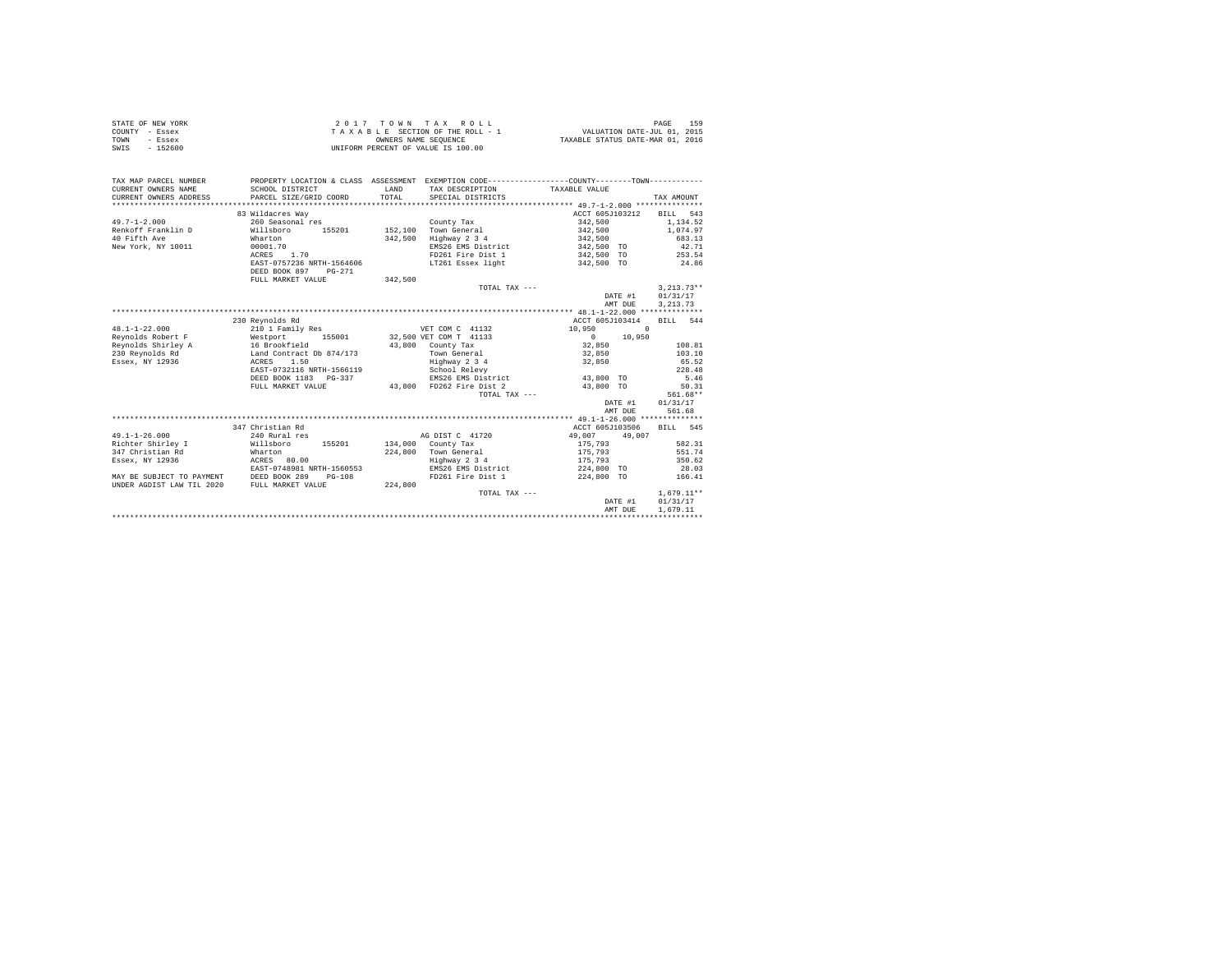| STATE OF NEW YORK | 2017 TOWN TAX ROLL                 | 159<br>PAGE                      |
|-------------------|------------------------------------|----------------------------------|
| COUNTY - Essex    | TAXABLE SECTION OF THE ROLL - 1    | VALUATION DATE-JUL 01, 2015      |
| TOWN<br>- Essex   | OWNERS NAME SEOUENCE               | TAXABLE STATUS DATE-MAR 01, 2016 |
| SWIS<br>$-152600$ | UNIFORM PERCENT OF VALUE IS 100.00 |                                  |

| TAX MAP PARCEL NUMBER<br>CURRENT OWNERS NAME<br>CURRENT OWNERS ADDRESS | SCHOOL DISTRICT<br>PARCEL SIZE/GRID COORD                                              | LAND<br>TOTAL | PROPERTY LOCATION & CLASS ASSESSMENT EXEMPTION CODE----------------COUNTY-------TOWN----------<br>TAX DESCRIPTION TAXABLE VALUE<br>SPECIAL DISTRICTS |                    | TAX AMOUNT   |
|------------------------------------------------------------------------|----------------------------------------------------------------------------------------|---------------|------------------------------------------------------------------------------------------------------------------------------------------------------|--------------------|--------------|
|                                                                        | 83 Wildacres Way                                                                       |               |                                                                                                                                                      | ACCT 605J103212    | BILL 543     |
| $49.7 - 1 - 2.000$                                                     | 260 Seasonal res                                                                       |               | County Tax                                                                                                                                           | 342,500            | 1,134.52     |
| Renkoff Franklin D                                                     | Willsboro<br>155201                                                                    | 152,100       | Town General                                                                                                                                         | 342,500            | 1,074.97     |
| 40 Fifth Ave                                                           | Wharton                                                                                | 342,500       | Highway 2 3 4                                                                                                                                        | 342,500            | 683.13       |
| New York, NY 10011                                                     | 00001.70                                                                               |               | EMS26 EMS District                                                                                                                                   | 342,500 TO         | 42.71        |
|                                                                        | 1.70<br>ACRES                                                                          |               | FD261 Fire Dist 1 342,500 TO 253.54                                                                                                                  |                    |              |
|                                                                        | EAST-0757236 NRTH-1564606<br>DEED BOOK 897<br>PG-271                                   |               | LT261 Essex light 6 342,500 TO 34.86                                                                                                                 |                    |              |
|                                                                        | FULL MARKET VALUE                                                                      | 342,500       |                                                                                                                                                      |                    |              |
|                                                                        |                                                                                        |               | TOTAL TAX ---                                                                                                                                        |                    | $3.213.73**$ |
|                                                                        |                                                                                        |               |                                                                                                                                                      | DATE #1            | 01/31/17     |
|                                                                        |                                                                                        |               |                                                                                                                                                      | AMT DUE            | 3, 213.73    |
|                                                                        |                                                                                        |               |                                                                                                                                                      |                    |              |
|                                                                        | 230 Reynolds Rd                                                                        |               |                                                                                                                                                      | ACCT 605J103414    | BILL 544     |
| $48.1 - 1 - 22.000$                                                    | 210 1 Family Res                                                                       |               | VET COM C 41132                                                                                                                                      | 10,950<br>$\Omega$ |              |
| Revnolds Robert F                                                      | Westport                                                                               |               | 155001 32,500 VET COM T 41133                                                                                                                        | $0 \t 10,950$      |              |
|                                                                        | Reynolds Shirley A 16 Brookfield<br>230 Reynolds Rd           Land Contract Db 874/173 |               | 43,800 County Tax                                                                                                                                    | 32,850             | 108.81       |
|                                                                        |                                                                                        |               | Town General                                                                                                                                         | 32,850             | 103.10       |
| Essex, NY 12936                                                        | ACRES 1.50                                                                             |               | Highway 2 3 4                                                                                                                                        | 32,850             | 65.52        |
|                                                                        | EAST-0732116 NRTH-1566119                                                              |               | School Relevy                                                                                                                                        |                    | 228.48       |
|                                                                        | DEED BOOK 1183 PG-337                                                                  |               | EMS26 EMS District                                                                                                                                   | 43,800 TO          | 5.46         |
|                                                                        | FULL MARKET VALUE                                                                      |               | 43,800 FD262 Fire Dist 2                                                                                                                             | 43,800 TO          | 50.31        |
|                                                                        |                                                                                        |               | TOTAL TAX ---                                                                                                                                        |                    | 561.68**     |
|                                                                        |                                                                                        |               |                                                                                                                                                      | DATE #1            | 01/31/17     |
|                                                                        |                                                                                        |               |                                                                                                                                                      | AMT DUE            | 561.68       |
|                                                                        |                                                                                        |               |                                                                                                                                                      |                    |              |
|                                                                        | 347 Christian Rd                                                                       |               |                                                                                                                                                      | ACCT 605J103506    | BILL 545     |
| $49.1 - 1 - 26.000$                                                    | 240 Rural res                                                                          |               | AG DIST C 41720                                                                                                                                      | 49,007<br>49.007   |              |
| Richter Shirley I                                                      | Willsboro<br>155201                                                                    |               | 134,000 County Tax                                                                                                                                   | 175,793            | 582.31       |
| 347 Christian Rd                                                       | Wharton                                                                                |               | 224.800 Town General                                                                                                                                 | 175,793            | 551.74       |
| Essex, NY 12936                                                        | ACRES 80.00                                                                            |               | Highway 2 3 4                                                                                                                                        | 175,793            | 350.62       |
|                                                                        | EAST-0748981 NRTH-1560553                                                              |               | EMS26 EMS District                                                                                                                                   | 224,800 TO         | 28.03        |
| MAY BE SUBJECT TO PAYMENT                                              | DEED BOOK 289<br>$PG-108$                                                              |               | FD261 Fire Dist 1 224,800 TO                                                                                                                         |                    | 166.41       |
| UNDER AGDIST LAW TIL 2020                                              | FULL MARKET VALUE                                                                      | 224,800       |                                                                                                                                                      |                    |              |
|                                                                        |                                                                                        |               | TOTAL TAX ---                                                                                                                                        |                    | $1.679.11**$ |
|                                                                        |                                                                                        |               |                                                                                                                                                      | DATE #1            | 01/31/17     |
|                                                                        |                                                                                        |               |                                                                                                                                                      | AMT DUE            | 1,679.11     |
|                                                                        |                                                                                        |               |                                                                                                                                                      |                    |              |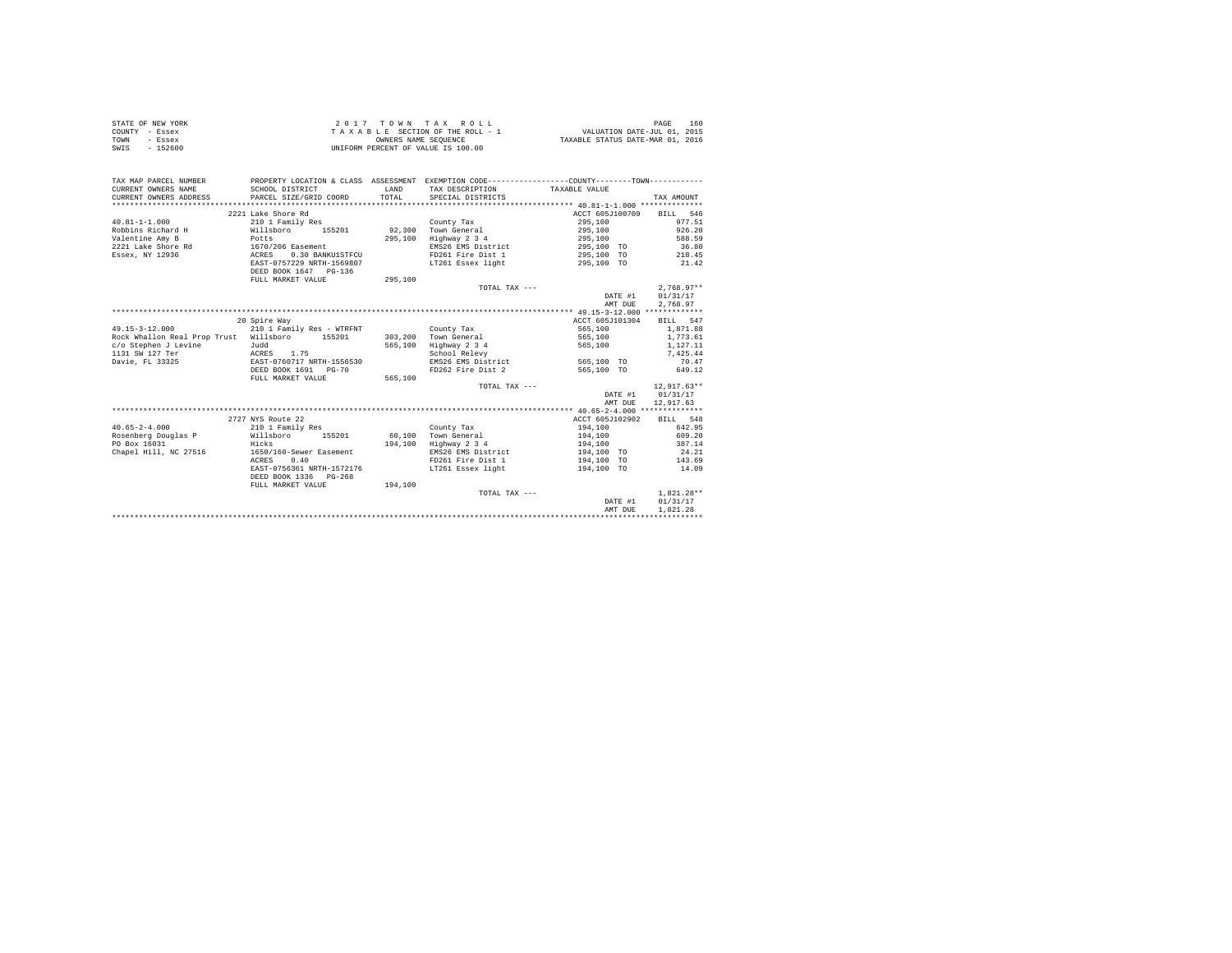| STATE OF NEW YORK | $2.017$ TOWN TAX ROLL              | 160<br>PAGE                      |
|-------------------|------------------------------------|----------------------------------|
| COUNTY - Essex    | TAXABLE SECTION OF THE ROLL - 1    | VALUATION DATE-JUL 01, 2015      |
| TOWN<br>- Essex   | OWNERS NAME SEOUENCE               | TAXABLE STATUS DATE-MAR 01, 2016 |
| SWIS<br>$-152600$ | UNIFORM PERCENT OF VALUE IS 100.00 |                                  |

| TAX MAP PARCEL NUMBER<br>CURRENT OWNERS NAME<br>CURRENT OWNERS ADDRESS | SCHOOL DISTRICT<br>PARCEL SIZE/GRID COORD | <b>T.AND</b><br>TOTAL | PROPERTY LOCATION & CLASS ASSESSMENT EXEMPTION CODE---------------COUNTY-------TOWN---------<br>TAX DESCRIPTION TAXABLE VALUE<br>SPECIAL DISTRICTS |                    | TAX AMOUNT           |
|------------------------------------------------------------------------|-------------------------------------------|-----------------------|----------------------------------------------------------------------------------------------------------------------------------------------------|--------------------|----------------------|
|                                                                        | 2221 Lake Shore Rd                        |                       |                                                                                                                                                    | ACCT 605J100709    | BILL 546             |
| $40.81 - 1 - 1.000$                                                    | 210 1 Family Res                          |                       | County Tax                                                                                                                                         | 295,100            | 977.51               |
| Robbins Richard H                                                      | Willsboro<br>155201                       |                       | 92.300 Town General                                                                                                                                | 295,100            | 926.20               |
| Valentine Amy B                                                        | Potts                                     | 295,100               | Highway 2 3 4                                                                                                                                      | 295,100            | 588.59               |
| 2221 Lake Shore Rd 1670/206 Easement                                   |                                           |                       | EMS26 EMS District                                                                                                                                 | 295,100 TO         | 36.80                |
| Essex, NY 12936                                                        | ACRES<br>0.30 BANKU1STFCU                 |                       | FD261 Fire Dist 1                                                                                                                                  | 295,100 TO         | 218.45               |
|                                                                        | EAST-0757229 NRTH-1569807                 |                       | LT261 Essex light                                                                                                                                  | 295,100 TO         | 21.42                |
|                                                                        | DEED BOOK 1647 PG-136                     |                       |                                                                                                                                                    |                    |                      |
|                                                                        | FULL MARKET VALUE                         | 295,100               |                                                                                                                                                    |                    |                      |
|                                                                        |                                           |                       | TOTAL TAX ---                                                                                                                                      |                    | $2.768.97**$         |
|                                                                        |                                           |                       |                                                                                                                                                    | DATE #1<br>AMT DUE | 01/31/17<br>2,768.97 |
|                                                                        |                                           |                       |                                                                                                                                                    |                    |                      |
|                                                                        | 20 Spire Way                              |                       |                                                                                                                                                    | ACCT 605J101304    | BILL 547             |
| $49.15 - 3 - 12.000$                                                   | 210 1 Family Res - WTRFNT                 |                       | County Tax                                                                                                                                         | 565,100            | 1,871.88             |
| Rock Whallon Real Prop Trust Willsboro                                 | 155201                                    |                       | 303,200 Town General                                                                                                                               | 565,100            | 1,773.61             |
| c/o Stephen J Levine                                                   | Judd                                      | 565,100               | Highway 2 3 4                                                                                                                                      | 565,100            | 1,127.11             |
| 1131 SW 127 Ter                                                        | ACRES 1.75                                |                       | School Relevy                                                                                                                                      |                    | 7.425.44             |
| Davie, FL 33325                                                        | EAST-0760717 NRTH-1556530                 |                       | EMS26 EMS District                                                                                                                                 | 565,100 TO         | 70.47                |
|                                                                        | DEED BOOK 1691 PG-70                      |                       | FD262 Fire Dist 2                                                                                                                                  | 565,100 TO         | 649.12               |
|                                                                        | FULL MARKET VALUE                         | 565,100               |                                                                                                                                                    |                    |                      |
|                                                                        |                                           |                       | TOTAL TAX ---                                                                                                                                      |                    | $12.917.63**$        |
|                                                                        |                                           |                       |                                                                                                                                                    | DATE #1            | 01/31/17             |
|                                                                        |                                           |                       |                                                                                                                                                    | AMT DUE            | 12,917.63            |
|                                                                        |                                           |                       |                                                                                                                                                    |                    |                      |
|                                                                        | 2727 NYS Route 22                         |                       |                                                                                                                                                    | ACCT 605J102902    | BILL 548             |
| $40.65 - 2 - 4.000$                                                    | 210 1 Family Res                          |                       | County Tax                                                                                                                                         | 194,100            | 642.95               |
| Rosenberg Douglas P Willsboro                                          | 155201                                    | 60,100                | Town General                                                                                                                                       | 194,100            | 609.20               |
| PO Box 16031                                                           | Hicks                                     | 194,100               | Highway 2 3 4                                                                                                                                      | 194,100            | 387.14               |
| Chapel Hill, NC 27516                                                  | 1650/160-Sewer Easement                   |                       | EMS26 EMS District                                                                                                                                 | 194,100 TO         | 24.21                |
|                                                                        | 0.40<br>ACRES                             |                       | FD261 Fire Dist 1                                                                                                                                  | 194,100 TO         | 143.69               |
|                                                                        | EAST-0756361 NRTH-1572176                 |                       | LT261 Essex light                                                                                                                                  | 194,100 TO         | 14.09                |
|                                                                        | DEED BOOK 1336 PG-268                     |                       |                                                                                                                                                    |                    |                      |
|                                                                        | FULL MARKET VALUE                         | 194,100               |                                                                                                                                                    |                    |                      |
|                                                                        |                                           |                       | TOTAL TAX ---                                                                                                                                      |                    | $1.821.28**$         |
|                                                                        |                                           |                       |                                                                                                                                                    | DATE #1            | 01/31/17             |
|                                                                        |                                           |                       |                                                                                                                                                    | AMT DUE            | 1,821,28             |
|                                                                        |                                           |                       |                                                                                                                                                    |                    |                      |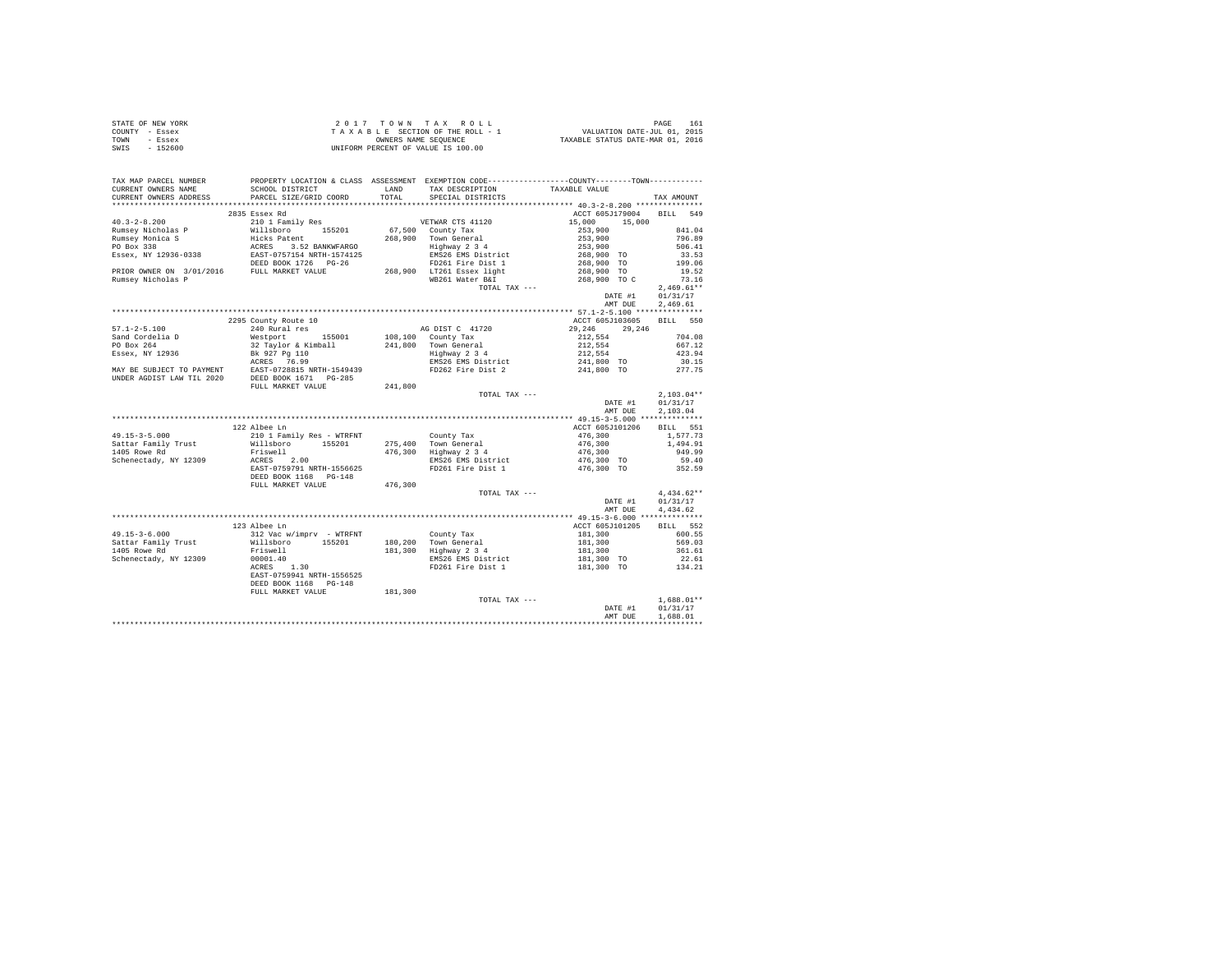|      | STATE OF NEW YORK | 2017 TOWN TAX ROLL                 | 161<br>PAGE                      |
|------|-------------------|------------------------------------|----------------------------------|
|      | COUNTY - Essex    | TAXABLE SECTION OF THE ROLL - 1    | VALUATION DATE-JUL 01, 2015      |
| TOWN | - Essex           | OWNERS NAME SEOUENCE               | TAXABLE STATUS DATE-MAR 01, 2016 |
| SWIS | - 152600          | UNIFORM PERCENT OF VALUE IS 100.00 |                                  |

| TAX MAP PARCEL NUMBER                |                                                                                                                                                                                                                                                                                                                                                                                                                                                                                                                                    |         |                                         | PROPERTY LOCATION & CLASS ASSESSMENT EXEMPTION CODE----------------COUNTY--------TOWN----------  |                     |
|--------------------------------------|------------------------------------------------------------------------------------------------------------------------------------------------------------------------------------------------------------------------------------------------------------------------------------------------------------------------------------------------------------------------------------------------------------------------------------------------------------------------------------------------------------------------------------|---------|-----------------------------------------|--------------------------------------------------------------------------------------------------|---------------------|
| CURRENT OWNERS NAME                  | SCHOOL DISTRICT                                                                                                                                                                                                                                                                                                                                                                                                                                                                                                                    |         | LAND TAX DESCRIPTION TAXABLE VALUE      |                                                                                                  |                     |
| CURRENT OWNERS ADDRESS               | PARCEL SIZE/GRID COORD                                                                                                                                                                                                                                                                                                                                                                                                                                                                                                             | TOTAL   | SPECIAL DISTRICTS                       |                                                                                                  | TAX AMOUNT          |
|                                      |                                                                                                                                                                                                                                                                                                                                                                                                                                                                                                                                    |         |                                         |                                                                                                  |                     |
|                                      | 2835 Essex Rd                                                                                                                                                                                                                                                                                                                                                                                                                                                                                                                      |         |                                         | ACCT 605J179004 BILL 549                                                                         |                     |
| $40.3 - 2 - 8.200$                   | 210 1 Family Res                                                                                                                                                                                                                                                                                                                                                                                                                                                                                                                   |         | VETWAR CTS 41120                        | 15,000 15,000                                                                                    |                     |
| Rumsey Nicholas P<br>Rumsey Monica S | 90.7–2000<br>Nullaboro 155201 67,500 County Tax<br>Rumsey Monica S<br>Rumsey Monica S<br>Rumsey Monica S<br>268,900 Town General<br>RD Box 338<br>268,900 Town Center<br>268,900 Tounty Tax<br>268,900 Highway 2 34<br>268,900 Highway 2 34<br>2682                                                                                                                                                                                                                                                                                |         |                                         | $253,900$<br>$253,900$<br>$253,900$                                                              | 841.04              |
|                                      |                                                                                                                                                                                                                                                                                                                                                                                                                                                                                                                                    |         |                                         |                                                                                                  | 796.89              |
|                                      |                                                                                                                                                                                                                                                                                                                                                                                                                                                                                                                                    |         |                                         |                                                                                                  | 506.41              |
|                                      |                                                                                                                                                                                                                                                                                                                                                                                                                                                                                                                                    |         |                                         | 268,900 TO<br>268,900 TO                                                                         | 33.53<br>199.06     |
|                                      |                                                                                                                                                                                                                                                                                                                                                                                                                                                                                                                                    |         |                                         |                                                                                                  |                     |
|                                      |                                                                                                                                                                                                                                                                                                                                                                                                                                                                                                                                    |         |                                         | 268,900 TO                                                                                       | 19.52               |
| Rumsey Nicholas P                    |                                                                                                                                                                                                                                                                                                                                                                                                                                                                                                                                    |         | WB261 Water B&I                         | 268,900 TO C                                                                                     | 73.16               |
|                                      |                                                                                                                                                                                                                                                                                                                                                                                                                                                                                                                                    |         | TOTAL TAX ---                           |                                                                                                  | $2,469.61**$        |
|                                      |                                                                                                                                                                                                                                                                                                                                                                                                                                                                                                                                    |         |                                         | DATE #1 01/31/17                                                                                 |                     |
|                                      |                                                                                                                                                                                                                                                                                                                                                                                                                                                                                                                                    |         |                                         | AMT DUE                                                                                          | 2.469.61            |
|                                      |                                                                                                                                                                                                                                                                                                                                                                                                                                                                                                                                    |         |                                         |                                                                                                  |                     |
|                                      | 2295 County Route 10                                                                                                                                                                                                                                                                                                                                                                                                                                                                                                               |         |                                         | ACCT 605J103605 BILL 550                                                                         |                     |
|                                      |                                                                                                                                                                                                                                                                                                                                                                                                                                                                                                                                    |         | AG DIST C 41720                         | 29, 246 29, 246                                                                                  |                     |
|                                      |                                                                                                                                                                                                                                                                                                                                                                                                                                                                                                                                    |         |                                         | 212,554                                                                                          | 704.08              |
|                                      |                                                                                                                                                                                                                                                                                                                                                                                                                                                                                                                                    |         |                                         | 212,554                                                                                          | 667.12              |
|                                      |                                                                                                                                                                                                                                                                                                                                                                                                                                                                                                                                    |         |                                         |                                                                                                  | 423.94              |
|                                      |                                                                                                                                                                                                                                                                                                                                                                                                                                                                                                                                    |         |                                         | 212,554<br>241,800 TO                                                                            | 30.15               |
|                                      |                                                                                                                                                                                                                                                                                                                                                                                                                                                                                                                                    |         |                                         | 241,800 TO 277.75                                                                                |                     |
|                                      |                                                                                                                                                                                                                                                                                                                                                                                                                                                                                                                                    |         |                                         |                                                                                                  |                     |
|                                      | FULL MARKET VALUE                                                                                                                                                                                                                                                                                                                                                                                                                                                                                                                  | 241,800 |                                         |                                                                                                  |                     |
|                                      |                                                                                                                                                                                                                                                                                                                                                                                                                                                                                                                                    |         | TOTAL TAX ---                           |                                                                                                  | $2.103.04**$        |
|                                      |                                                                                                                                                                                                                                                                                                                                                                                                                                                                                                                                    |         |                                         | DATE #1                                                                                          | 01/31/17            |
|                                      |                                                                                                                                                                                                                                                                                                                                                                                                                                                                                                                                    |         |                                         | AMT DUE                                                                                          | 2,103.04            |
|                                      |                                                                                                                                                                                                                                                                                                                                                                                                                                                                                                                                    |         |                                         |                                                                                                  |                     |
|                                      | 122 Albee Ln                                                                                                                                                                                                                                                                                                                                                                                                                                                                                                                       |         |                                         | ACCT 605J101206                                                                                  | BILL 551            |
|                                      | $\begin{tabular}{lcccc} $\dots$ & $\dots$ & $\dots$ & $\dots$ & $\dots$ & $\dots$ & $\dots$ & $\dots$ & $\dots$ & $\dots$ \\ \texttt{Sat} & $\mathsf{R} \text{ is a unit} & $\mathsf{N} \text{ is a unit} & $\mathsf{N} \text{ is a unit} & $\mathsf{N} \text{ is a unit} & $\mathsf{N} \text{ is a unit} & $\mathsf{N} \text{ is a unit} \\ & $\mathsf{M} \text{ is a unit} & $\mathsf{N} \text{ is a unit} & $\mathsf{N} \text{ is a unit} & $\mathsf{N} \text{ is a unit} & $\mathsf{N} \text{ is a unit} & $\mathsf{N} \text{$ |         |                                         | 476,300                                                                                          | 1,577.73            |
|                                      |                                                                                                                                                                                                                                                                                                                                                                                                                                                                                                                                    |         |                                         | $476,300$<br>$476,300$<br>$949.91$<br>$949.99$                                                   |                     |
|                                      |                                                                                                                                                                                                                                                                                                                                                                                                                                                                                                                                    |         |                                         |                                                                                                  |                     |
|                                      | Friswell 476,300<br>ACRES 2.00<br>EAST-0759791 NRTH-1556625                                                                                                                                                                                                                                                                                                                                                                                                                                                                        |         |                                         |                                                                                                  |                     |
|                                      |                                                                                                                                                                                                                                                                                                                                                                                                                                                                                                                                    |         |                                         | EMS26 EMS District<br>EMS26 EMS District 476,300 TO 59.40<br>FD261 Fire Dist 1 476,300 TO 352.59 |                     |
|                                      | DEED BOOK 1168 PG-148                                                                                                                                                                                                                                                                                                                                                                                                                                                                                                              |         |                                         |                                                                                                  |                     |
|                                      | FULL MARKET VALUE 476,300                                                                                                                                                                                                                                                                                                                                                                                                                                                                                                          |         |                                         |                                                                                                  |                     |
|                                      |                                                                                                                                                                                                                                                                                                                                                                                                                                                                                                                                    |         | TOTAL TAX ---                           |                                                                                                  | $4.434.62**$        |
|                                      |                                                                                                                                                                                                                                                                                                                                                                                                                                                                                                                                    |         |                                         | DATE #1                                                                                          | 01/31/17            |
|                                      |                                                                                                                                                                                                                                                                                                                                                                                                                                                                                                                                    |         |                                         | AMT DUE                                                                                          | 4,434.62            |
|                                      |                                                                                                                                                                                                                                                                                                                                                                                                                                                                                                                                    |         |                                         |                                                                                                  |                     |
|                                      | 123 Albee Ln                                                                                                                                                                                                                                                                                                                                                                                                                                                                                                                       |         |                                         | ACCT 605J101205                                                                                  | BILL 552            |
|                                      |                                                                                                                                                                                                                                                                                                                                                                                                                                                                                                                                    |         |                                         |                                                                                                  | 600.55              |
|                                      |                                                                                                                                                                                                                                                                                                                                                                                                                                                                                                                                    |         | County Tax<br>180,200 Town General      | $181,300$<br>$181,300$                                                                           | 569.03              |
|                                      |                                                                                                                                                                                                                                                                                                                                                                                                                                                                                                                                    |         | 181,300 Highway 2 3 4                   | 181,300                                                                                          | 361.61              |
| Schenectady, NY 12309                | 00001.40                                                                                                                                                                                                                                                                                                                                                                                                                                                                                                                           |         |                                         |                                                                                                  | 22.61               |
|                                      | $ACRES$ 1.30                                                                                                                                                                                                                                                                                                                                                                                                                                                                                                                       |         | EMS26 EMS District<br>FD261 Fire Dist 1 | 181,300 TO<br>181,300 TO                                                                         | $22.61$<br>$134.21$ |
|                                      | EAST-0759941 NRTH-1556525                                                                                                                                                                                                                                                                                                                                                                                                                                                                                                          |         |                                         |                                                                                                  |                     |
|                                      |                                                                                                                                                                                                                                                                                                                                                                                                                                                                                                                                    |         |                                         |                                                                                                  |                     |
|                                      | DEED BOOK 1168 PG-148                                                                                                                                                                                                                                                                                                                                                                                                                                                                                                              |         |                                         |                                                                                                  |                     |
|                                      | FULL MARKET VALUE                                                                                                                                                                                                                                                                                                                                                                                                                                                                                                                  | 181,300 | TOTAL TAX ---                           |                                                                                                  | $1.688.01**$        |
|                                      |                                                                                                                                                                                                                                                                                                                                                                                                                                                                                                                                    |         |                                         | DATE #1                                                                                          |                     |
|                                      |                                                                                                                                                                                                                                                                                                                                                                                                                                                                                                                                    |         |                                         |                                                                                                  | 01/31/17            |
|                                      |                                                                                                                                                                                                                                                                                                                                                                                                                                                                                                                                    |         |                                         | AMT DUE                                                                                          | 1,688.01            |
|                                      |                                                                                                                                                                                                                                                                                                                                                                                                                                                                                                                                    |         |                                         |                                                                                                  |                     |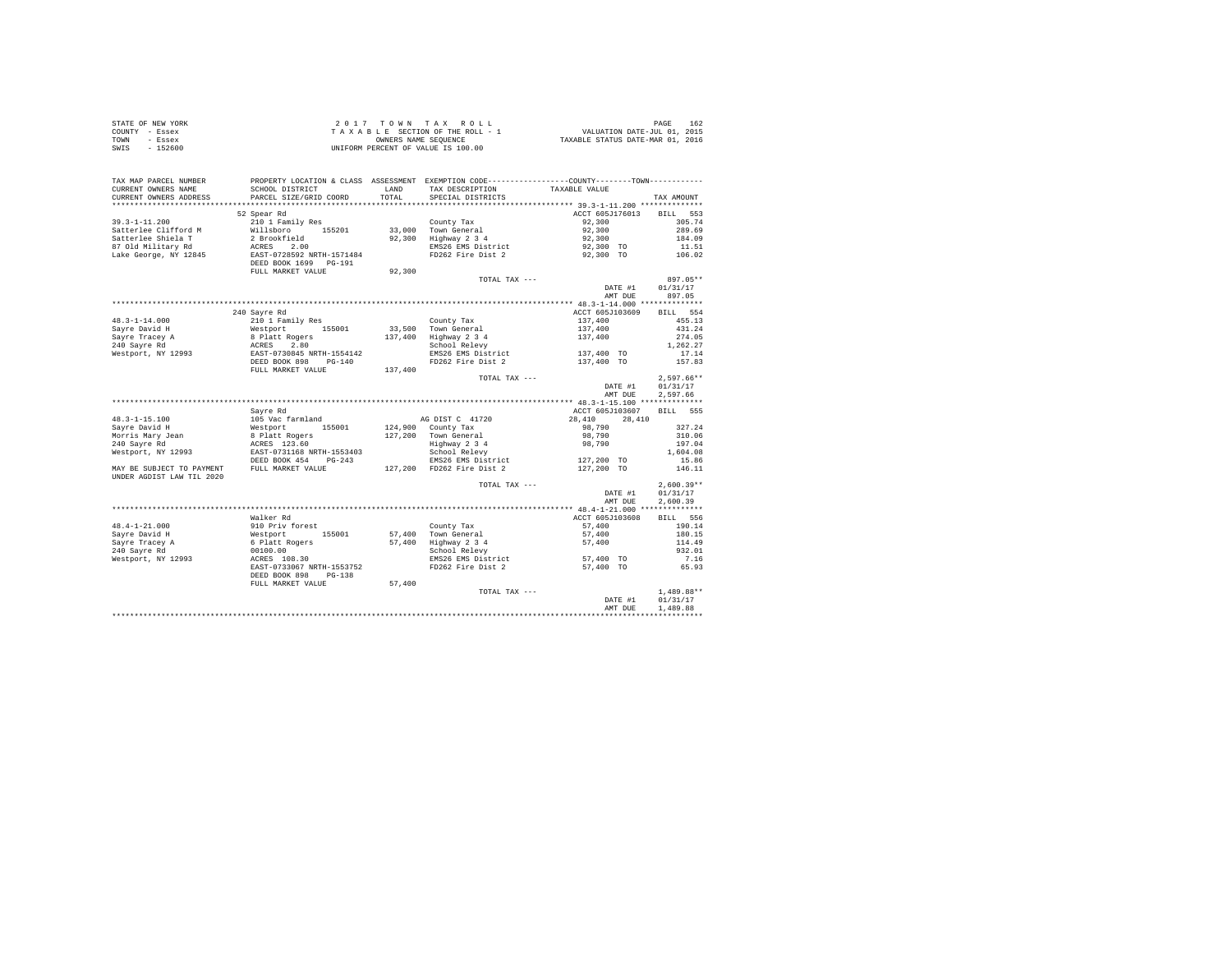| STATE OF NEW YORK | 2017 TOWN TAX ROLL                 | 162<br>PAGE                      |
|-------------------|------------------------------------|----------------------------------|
| COUNTY - Essex    | TAXABLE SECTION OF THE ROLL - 1    | VALUATION DATE-JUL 01, 2015      |
| TOWN<br>- Essex   | OWNERS NAME SEOUENCE               | TAXABLE STATUS DATE-MAR 01, 2016 |
| - 152600<br>SWIS  | UNIFORM PERCENT OF VALUE IS 100.00 |                                  |

| TAX MAP PARCEL NUMBER                         |                                                             | <b>T.AND</b> |                                      | PROPERTY LOCATION & CLASS ASSESSMENT EXEMPTION CODE---------------COUNTY-------TOWN---------- |              |
|-----------------------------------------------|-------------------------------------------------------------|--------------|--------------------------------------|-----------------------------------------------------------------------------------------------|--------------|
| CURRENT OWNERS NAME<br>CURRENT OWNERS ADDRESS | SCHOOL DISTRICT<br>PARCEL SIZE/GRID COORD                   | TOTAL        | TAX DESCRIPTION<br>SPECIAL DISTRICTS | TAXABLE VALUE                                                                                 | TAX AMOUNT   |
| .                                             |                                                             |              |                                      |                                                                                               |              |
|                                               | 52 Spear Rd                                                 |              |                                      | ACCT 605J176013                                                                               | BILL 553     |
|                                               | 210 1 Family Res                                            |              |                                      |                                                                                               |              |
| $39.3 - 1 - 11.200$                           |                                                             |              | County Tax                           | 92,300                                                                                        | 305.74       |
| Satterlee Clifford M                          | Willsboro 155201                                            | 33,000       | Town General                         | 92,300                                                                                        | 289.69       |
| Satterlee Shiela T                            | 2 Brookfield                                                | 92,300       | Highway 2 3 4                        | 92,300                                                                                        | 184.09       |
| 87 Old Military Rd                            | ACRES 2.00                                                  |              | EMS26 EMS District                   | 92,300 TO                                                                                     | 11.51        |
| Lake George, NY 12845                         | EAST-0728592 NRTH-1571484                                   |              | FD262 Fire Dist 2                    | 92,300 TO                                                                                     | 106.02       |
|                                               | DEED BOOK 1699 PG-191                                       |              |                                      |                                                                                               |              |
|                                               | FULL MARKET VALUE                                           | 92,300       |                                      |                                                                                               |              |
|                                               |                                                             |              | TOTAL TAX ---                        |                                                                                               | 897.05**     |
|                                               |                                                             |              |                                      | DATE #1                                                                                       | 01/31/17     |
|                                               |                                                             |              |                                      | AMT DUE                                                                                       | 897.05       |
|                                               |                                                             |              |                                      |                                                                                               |              |
|                                               | 240 Savre Rd                                                |              |                                      | ACCT 605J103609                                                                               | BILL 554     |
| $48.3 - 1 - 14.000$                           | 210 1 Family Res                                            |              | County Tax                           | 137,400                                                                                       | 455.13       |
| Savre David H                                 | Westport 155001<br>8 Platt Rogers<br>ACRES 2.80             |              | 33,500 Town General                  | 137,400                                                                                       | 431.24       |
| Savre Tracev A                                |                                                             | 137,400      | Highway 2 3 4                        | 137,400                                                                                       | 274.05       |
| 240 Savre Rd                                  |                                                             |              | School Relevy                        |                                                                                               | 1,262.27     |
| Westport, NY 12993                            | EAST-0730845 NRTH-1554142<br>DEED BOOK 898 PG-140           |              | EMS26 EMS District                   | 137,400 TO                                                                                    | 17.14        |
|                                               |                                                             |              | FD262 Fire Dist 2                    | 137,400 TO                                                                                    | 157.83       |
|                                               | FULL MARKET VALUE                                           | 137,400      |                                      |                                                                                               |              |
|                                               |                                                             |              | TOTAL TAX ---                        |                                                                                               | $2,597.66**$ |
|                                               |                                                             |              |                                      | DATE #1                                                                                       | 01/31/17     |
|                                               |                                                             |              |                                      | AMT DUE                                                                                       | 2,597.66     |
|                                               |                                                             |              |                                      |                                                                                               |              |
|                                               | Sayre Rd                                                    |              |                                      | ACCT 605J103607                                                                               | BTLL 555     |
| $48.3 - 1 - 15.100$                           | 105 Vac farmland                                            |              | AG DIST C 41720                      | 28,410<br>28,410                                                                              |              |
| Savre David H                                 | Westport<br>155001                                          |              | 124,900 County Tax                   | 98,790                                                                                        | 327.24       |
| Morris Mary Jean                              | 8 Platt Rogers                                              |              | 127,200 Town General                 | 98,790                                                                                        | 310.06       |
| 240 Savre Rd                                  | ACRES 123.60                                                |              | Highway 2 3 4                        | 98,790                                                                                        | 197.04       |
| Westport, NY 12993                            | EAST-0731168 NRTH-1553403                                   |              | School Relevy                        |                                                                                               | 1,604.08     |
|                                               | DEED BOOK 454 PG-243                                        |              | EMS26 EMS District                   | 127,200 TO                                                                                    | 15.86        |
| MAY BE SUBJECT TO PAYMENT                     | FULL MARKET VALUE                                           |              | 127,200 FD262 Fire Dist 2            | 127,200 TO                                                                                    | 146.11       |
| UNDER AGDIST LAW TIL 2020                     |                                                             |              |                                      |                                                                                               |              |
|                                               |                                                             |              | TOTAL TAX ---                        |                                                                                               | $2,600.39**$ |
|                                               |                                                             |              |                                      | DATE #1                                                                                       | 01/31/17     |
|                                               |                                                             |              |                                      | AMT DUE                                                                                       | 2,600.39     |
|                                               |                                                             |              |                                      |                                                                                               |              |
|                                               | Walker Rd                                                   |              |                                      | ACCT 605J103608                                                                               | BILL 556     |
| $48.4 - 1 - 21.000$                           | 910 Priv forest                                             |              | County Tax                           | 57,400                                                                                        | 190.14       |
| Sayre David H                                 | 155001                                                      | 57,400       | Town General                         | 57,400                                                                                        | 180.15       |
| Sayre Tracey A                                | <sub>סבל</sub> Friv Forest<br>Westport 1!<br>6 Platt Rogers |              | 57,400 Highway 2 3 4                 | 57,400                                                                                        | 114.49       |
| 240 Savre Rd                                  | 00100.00                                                    |              | School Relevy                        |                                                                                               | 932.01       |
| Westport, NY 12993                            | ACRES 108.30                                                |              | EMS26 EMS District                   | 57,400 TO                                                                                     | 7.16         |
|                                               | EAST-0733067 NRTH-1553752                                   |              | FD262 Fire Dist 2                    | 57,400 TO                                                                                     | 65.93        |
|                                               |                                                             |              |                                      |                                                                                               |              |
|                                               | DEED BOOK 898<br>$PG-138$                                   | 57,400       |                                      |                                                                                               |              |
|                                               | FULL MARKET VALUE                                           |              |                                      |                                                                                               |              |
|                                               |                                                             |              | TOTAL TAX ---                        |                                                                                               | $1,489.88**$ |
|                                               |                                                             |              |                                      | DATE #1                                                                                       | 01/31/17     |
|                                               |                                                             |              |                                      | AMT DUE                                                                                       | 1,489.88     |
|                                               |                                                             |              |                                      |                                                                                               |              |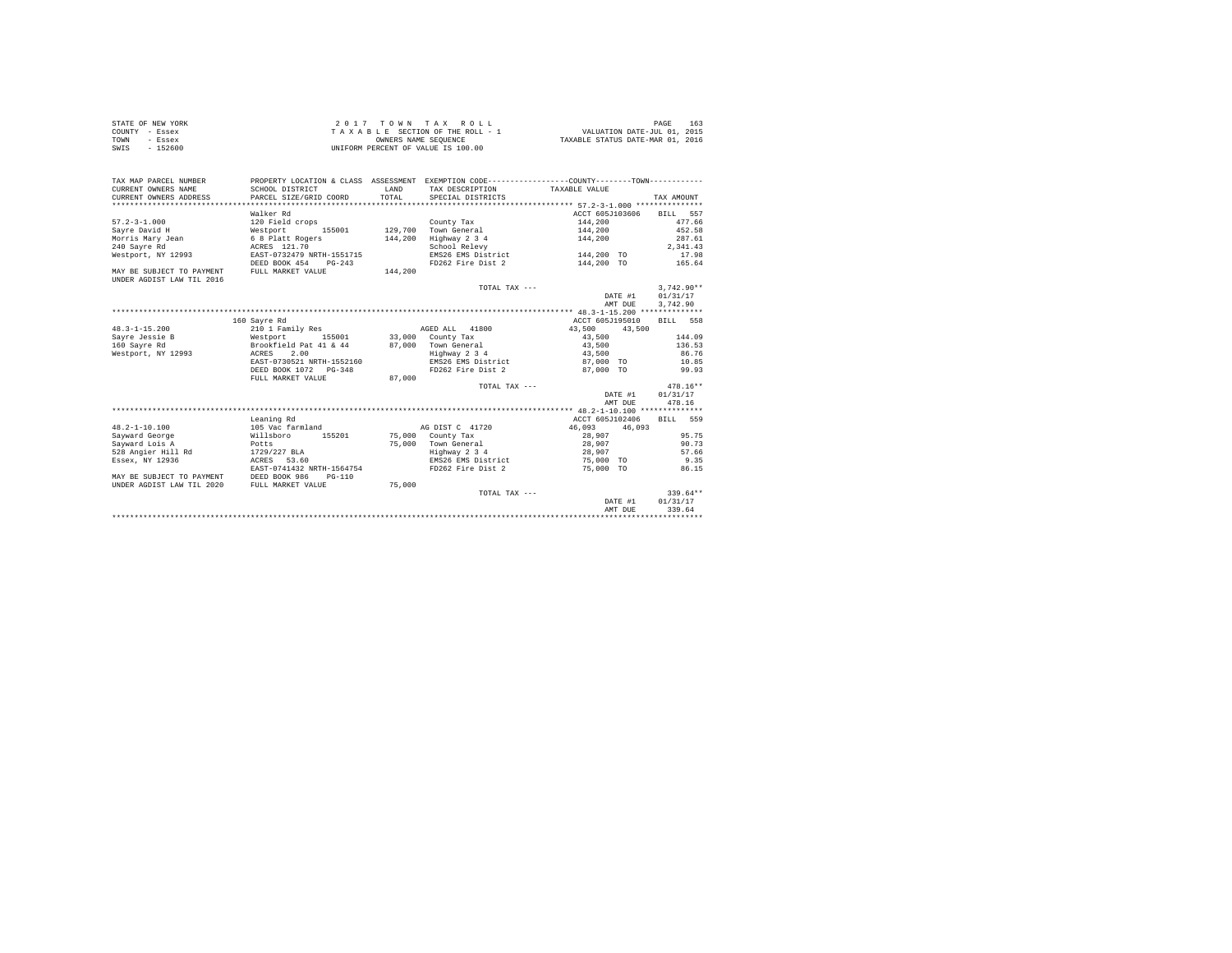| STATE OF NEW YORK | 2017 TOWN TAX ROLL                 | 163<br>PAGE                      |
|-------------------|------------------------------------|----------------------------------|
| COUNTY - Essex    | TAXABLE SECTION OF THE ROLL - 1    | VALUATION DATE-JUL 01, 2015      |
| TOWN<br>- Essex   | OWNERS NAME SEOUENCE               | TAXABLE STATUS DATE-MAR 01, 2016 |
| SWIS<br>$-152600$ | UNIFORM PERCENT OF VALUE IS 100.00 |                                  |

| TAX MAP PARCEL NUMBER<br>CURRENT OWNERS NAME<br>CURRENT OWNERS ADDRESS | PROPERTY LOCATION & CLASS ASSESSMENT EXEMPTION CODE---------------COUNTY-------TOWN----------<br>SCHOOL DISTRICT<br>PARCEL SIZE/GRID COORD | <b>T.AND</b> | TAX DESCRIPTION TAXABLE VALUE<br>TOTAL SPECIAL DISTRICTS |                                    | TAX AMOUNT       |
|------------------------------------------------------------------------|--------------------------------------------------------------------------------------------------------------------------------------------|--------------|----------------------------------------------------------|------------------------------------|------------------|
|                                                                        | Walker Rd                                                                                                                                  |              |                                                          | ACCT 605J103606 BILL 557           |                  |
| $57.2 - 3 - 1.000$                                                     | 120 Field crops                                                                                                                            |              | County Tax                                               | 144,200                            | 477.66           |
|                                                                        |                                                                                                                                            |              |                                                          | 144,200                            | 452.58           |
|                                                                        |                                                                                                                                            |              |                                                          |                                    | 287.61           |
|                                                                        |                                                                                                                                            |              | Highway 2 3 4                                            | 144,200                            |                  |
|                                                                        |                                                                                                                                            |              | School Relevy                                            |                                    | 2.341.43         |
| Westport, NY 12993 EAST-0732479 NRTH-1551715                           |                                                                                                                                            |              | EMS26 EMS District 144,200 TO                            |                                    | 17.98            |
|                                                                        | DEED BOOK 454 PG-243                                                                                                                       |              | FD262 Fire Dist 2                                        | 144,200 TO                         | 165.64           |
| MAY BE SUBJECT TO PAYMENT                                              | FULL MARKET VALUE 144,200                                                                                                                  |              |                                                          |                                    |                  |
| UNDER AGDIST LAW TIL 2016                                              |                                                                                                                                            |              |                                                          |                                    |                  |
|                                                                        |                                                                                                                                            |              | TOTAL TAX $---$                                          |                                    | $3.742.90**$     |
|                                                                        |                                                                                                                                            |              |                                                          | DATE #1                            | 01/31/17         |
|                                                                        |                                                                                                                                            |              |                                                          | AMT DUE                            | 3,742.90         |
|                                                                        |                                                                                                                                            |              |                                                          |                                    |                  |
|                                                                        | 160 Savre Rd                                                                                                                               |              |                                                          | ACCT 605J195010                    | BILL 558         |
| $48.3 - 1 - 15.200$                                                    | 210 1 Family Res                                                                                                                           |              | AGED ALL 41800 43,500                                    | 43,500                             |                  |
|                                                                        |                                                                                                                                            |              | 33,000 County Tax                                        | 43,500                             | 144.09           |
|                                                                        |                                                                                                                                            |              | 87,000 Town General                                      | 43,500                             | 136.53           |
| Westport, NY 12993 ACRES 2.00                                          |                                                                                                                                            |              | Highway 2 3 4                                            | 43,500                             | 86.76            |
|                                                                        | EAST-0730521 NRTH-1552160                                                                                                                  |              |                                                          | EMS26 EMS District 67.000 TO 10.85 |                  |
|                                                                        | DEED BOOK 1072 PG-348                                                                                                                      |              | FD262 Fire Dist 2 87,000 TO                              |                                    | 99.93            |
|                                                                        | FULL MARKET VALUE                                                                                                                          | 87,000       |                                                          |                                    |                  |
|                                                                        |                                                                                                                                            |              | TOTAL TAX ---                                            |                                    | $478.16**$       |
|                                                                        |                                                                                                                                            |              |                                                          |                                    | DATE #1 01/31/17 |
|                                                                        |                                                                                                                                            |              |                                                          | AMT DUE                            | 478.16           |
|                                                                        |                                                                                                                                            |              |                                                          |                                    |                  |
|                                                                        | Leaning Rd                                                                                                                                 |              |                                                          | ACCT 605J102406 BILL 559           |                  |
| $48.2 - 1 - 10.100$                                                    |                                                                                                                                            |              | AG DIST C 41720 46.093 46.093                            |                                    |                  |
|                                                                        | 105 Vac farmland                                                                                                                           |              |                                                          |                                    |                  |
| Sayward George                                                         | Willsboro 155201 75,000 County Tax                                                                                                         |              |                                                          | 28,907                             | 95.75            |
| Sayward Lois A                                                         | Potts<br>Rd 1729/227 BLA                                                                                                                   |              | 75,000 Town General                                      | 28,907                             | 90.73            |
| 528 Angier Hill Rd                                                     |                                                                                                                                            |              | Highway 2 3 4                                            | 28,907                             | 57.66            |
| Essex, NY 12936                                                        | ACRES 53.60                                                                                                                                |              |                                                          | EMS26 EMS District 75,000 TO       | 9.35             |
|                                                                        | EAST-0741432 NRTH-1564754                                                                                                                  |              |                                                          | FD262 Fire Dist 2 75,000 TO 86.15  |                  |
| MAY BE SUBJECT TO PAYMENT                                              | DEED BOOK 986<br>PG-110                                                                                                                    |              |                                                          |                                    |                  |
| UNDER AGDIST LAW TIL 2020                                              | FULL MARKET VALUE                                                                                                                          | 75,000       |                                                          |                                    |                  |
|                                                                        |                                                                                                                                            |              | TOTAL TAX ---                                            |                                    | $339.64**$       |
|                                                                        |                                                                                                                                            |              |                                                          |                                    | DATE #1 01/31/17 |
|                                                                        |                                                                                                                                            |              |                                                          | AMT DUE                            | 339.64           |
|                                                                        |                                                                                                                                            |              |                                                          |                                    |                  |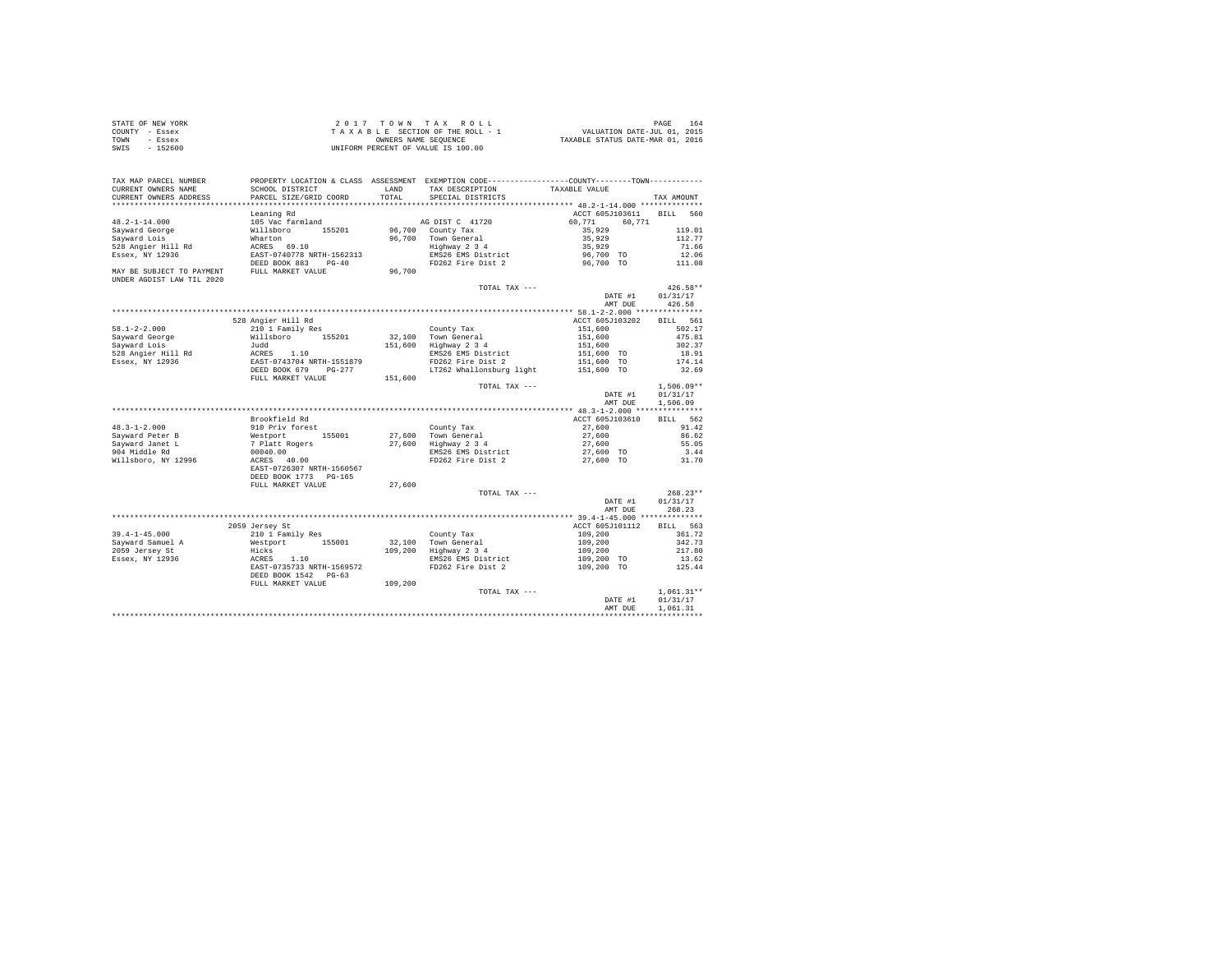| STATE OF NEW YORK | 2017 TOWN TAX ROLL                 | 164<br>PAGE                      |  |
|-------------------|------------------------------------|----------------------------------|--|
| COUNTY - Essex    | TAXABLE SECTION OF THE ROLL - 1    | VALUATION DATE-JUL 01, 2015      |  |
| TOWN<br>- Essex   | OWNERS NAME SEOUENCE               | TAXABLE STATUS DATE-MAR 01, 2016 |  |
| $-152600$<br>SWIS | UNIFORM PERCENT OF VALUE IS 100.00 |                                  |  |

| TAX MAP PARCEL NUMBER                                  |                                                                 |              | PROPERTY LOCATION & CLASS ASSESSMENT EXEMPTION CODE----------------COUNTY-------TOWN---------- |                     |                          |
|--------------------------------------------------------|-----------------------------------------------------------------|--------------|------------------------------------------------------------------------------------------------|---------------------|--------------------------|
| CURRENT OWNERS NAME                                    | SCHOOL DISTRICT                                                 | <b>T.AND</b> | TAX DESCRIPTION                                                                                | TAXABLE VALUE       |                          |
| CURRENT OWNERS ADDRESS                                 | PARCEL SIZE/GRID COORD                                          | TOTAL        | SPECIAL DISTRICTS                                                                              |                     | TAX AMOUNT               |
|                                                        |                                                                 |              |                                                                                                |                     |                          |
|                                                        | Leaning Rd                                                      |              |                                                                                                | ACCT 605J103611     | BILL 560                 |
| $48.2 - 1 - 14.000$                                    | 105 Vac farmland                                                |              | AG DIST C 41720                                                                                | 60,771<br>60.771    |                          |
| Sayward George                                         | Willsboro 155201                                                | 96,700       | County Tax                                                                                     | 35,929              | 119.01                   |
| Sayward Lois                                           | Wharton                                                         |              | 96,700 Town General                                                                            | 35,929              | 112.77                   |
| 528 Angier Hill Rd                                     | ACRES 69.10                                                     |              | Highway 2 3 4                                                                                  | 35,929              | 71.66                    |
| Essex, NY 12936                                        | EAST-0740778 NRTH-1562313                                       |              | EMS26 EMS District                                                                             | 96,700 TO           | 12.06                    |
|                                                        | DEED BOOK 883 PG-40                                             |              | FD262 Fire Dist 2                                                                              | 96,700 TO           | 111.08                   |
| MAY BE SUBJECT TO PAYMENT<br>UNDER AGDIST LAW TIL 2020 | FULL MARKET VALUE                                               | 96,700       |                                                                                                |                     |                          |
|                                                        |                                                                 |              | TOTAL TAX ---                                                                                  |                     | $426.58**$               |
|                                                        |                                                                 |              |                                                                                                | DATE #1             | 01/31/17                 |
|                                                        |                                                                 |              |                                                                                                | AMT DUE             | 426.58                   |
|                                                        |                                                                 |              |                                                                                                |                     |                          |
|                                                        | 528 Angier Hill Rd                                              |              |                                                                                                | ACCT 605J103202     | BILL 561                 |
| $58.1 - 2 - 2.000$                                     | 210 1 Family Res                                                |              | County Tax<br>County Tax<br>32,100 Town General                                                | 151,600             | 502.17                   |
| Sayward George                                         | Willsboro 155201                                                |              |                                                                                                | 151,600             | 475.81                   |
| Sayward Lois                                           | Judd                                                            |              | 151,600 Highway 2 3 4                                                                          | 151,600             | 302.37                   |
| 528 Angier Hill Rd                                     | ACRES 1.10<br>EAST-0743704 NRTH-1551879<br>DEED BOOK 679 PG-277 |              | EMS26 EMS District                                                                             | 151,600 TO          | 18.91                    |
| Essex, NY 12936                                        |                                                                 |              | FD262 Fire Dist 2                                                                              | 151,600 TO          | 174.14                   |
|                                                        |                                                                 |              | LT262 Whallonsburg light                                                                       | 151,600 TO          | 32.69                    |
|                                                        | FULL MARKET VALUE                                               | 151,600      |                                                                                                |                     |                          |
|                                                        |                                                                 |              | TOTAL TAX ---                                                                                  | DATE #1             | $1,506.09**$<br>01/31/17 |
|                                                        |                                                                 |              |                                                                                                | AMT DUE             | 1,506.09                 |
|                                                        |                                                                 |              |                                                                                                |                     |                          |
|                                                        | Brookfield Rd                                                   |              |                                                                                                | ACCT 605J103610     | BILL 562                 |
| $48.3 - 1 - 2.000$                                     | 910 Priv forest                                                 |              | County Tax                                                                                     | 27,600              | 91.42                    |
| Sayward Peter B                                        | 155001                                                          |              | 27,600 Town General                                                                            | 27,600              | 86.62                    |
| Savward Janet L                                        | Westport<br>7 Platt Rogers                                      |              | $27,600$ $Highway$ $234$                                                                       |                     | 55.05                    |
| 904 Middle Rd                                          | 00040.00                                                        |              | EMS26 EMS District                                                                             | 27,600<br>27,600 TO | 3.44                     |
| Willsboro, NY 12996                                    | ACRES 40.00                                                     |              | FD262 Fire Dist 2                                                                              |                     | 31.70                    |
|                                                        | EAST-0726307 NRTH-1560567                                       |              |                                                                                                | 27,600 TO           |                          |
|                                                        | DEED BOOK 1773 PG-165                                           |              |                                                                                                |                     |                          |
|                                                        | FULL MARKET VALUE                                               | 27,600       |                                                                                                |                     |                          |
|                                                        |                                                                 |              | TOTAL TAX ---                                                                                  |                     | $268.23**$               |
|                                                        |                                                                 |              |                                                                                                | DATE #1             | 01/31/17                 |
|                                                        |                                                                 |              |                                                                                                | AMT DUE             | 268.23                   |
|                                                        |                                                                 |              |                                                                                                |                     |                          |
|                                                        | 2059 Jersey St                                                  |              |                                                                                                | ACCT 605J101112     | BILL 563                 |
| $39.4 - 1 - 45.000$                                    | 210 1 Family Res                                                |              | County Tax                                                                                     | 109,200             | 361.72                   |
| Sayward Samuel A                                       | Westport 155001                                                 |              | 32,100 Town General                                                                            | 109,200             | 342.73                   |
| 2059 Jersey St                                         | Hicks                                                           |              | 109,200 Highway 2 3 4                                                                          | 109,200             | 217.80                   |
| Essex, NY 12936                                        | ACRES 1.10                                                      |              | EMS26 EMS District                                                                             | 109,200 TO          | 13.62                    |
|                                                        | EAST-0735733 NRTH-1569572                                       |              | FD262 Fire Dist 2                                                                              | 109,200 TO          | 125.44                   |
|                                                        | DEED BOOK 1542 PG-63                                            |              |                                                                                                |                     |                          |
|                                                        | FULL MARKET VALUE                                               | 109,200      |                                                                                                |                     |                          |
|                                                        |                                                                 |              | TOTAL TAX ---                                                                                  |                     | $1,061.31**$             |
|                                                        |                                                                 |              |                                                                                                | DATE #1             | 01/31/17                 |
|                                                        |                                                                 |              |                                                                                                | AMT DUE             | 1,061.31                 |
|                                                        |                                                                 |              |                                                                                                |                     |                          |
|                                                        |                                                                 |              |                                                                                                |                     |                          |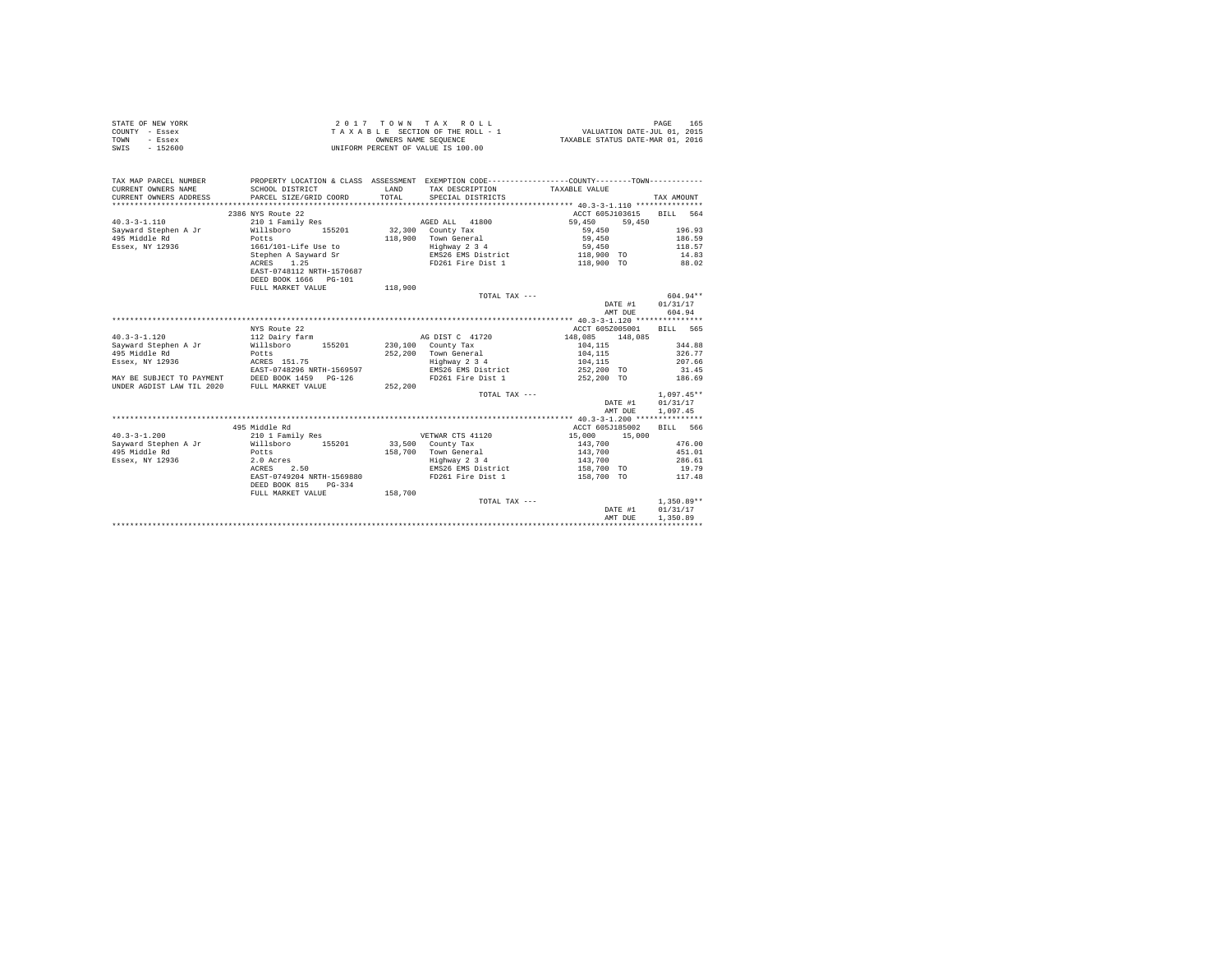| STATE OF NEW YORK | 2017 TOWN TAX ROLL                 | 165<br>PAGE                      |
|-------------------|------------------------------------|----------------------------------|
| COUNTY - Essex    | TAXABLE SECTION OF THE ROLL - 1    | VALUATION DATE-JUL 01, 2015      |
| TOWN<br>- Essex   | OWNERS NAME SEOUENCE               | TAXABLE STATUS DATE-MAR 01, 2016 |
| $-152600$<br>SWIS | UNIFORM PERCENT OF VALUE IS 100.00 |                                  |

| TAX MAP PARCEL NUMBER<br>CURRENT OWNERS NAME<br>CURRENT OWNERS ADDRESS PARCEL SIZE/GRID COORD | SCHOOL DISTRICT                    | <b>T.AND</b><br>TOTAL. | PROPERTY LOCATION & CLASS ASSESSMENT EXEMPTION CODE---------------COUNTY-------TOWN----------<br>TAX DESCRIPTION TAXABLE VALUE<br>SPECIAL DISTRICTS |                          |                  | TAX AMOUNT   |        |
|-----------------------------------------------------------------------------------------------|------------------------------------|------------------------|-----------------------------------------------------------------------------------------------------------------------------------------------------|--------------------------|------------------|--------------|--------|
|                                                                                               |                                    |                        |                                                                                                                                                     |                          |                  |              |        |
|                                                                                               | 2386 NYS Route 22                  |                        |                                                                                                                                                     | ACCT 605J103615 BILL 564 |                  |              |        |
| $40.3 - 3 - 1.110$                                                                            | 210 1 Family Res                   |                        | AGED ALL 41800                                                                                                                                      | $59,450$ $59,450$        |                  |              |        |
| Savward Stephen A Jr           Willsboro       155201           32,300   County Tax           |                                    |                        |                                                                                                                                                     | 59,450                   |                  | 196.93       |        |
| 495 Middle Rd                                                                                 | Potts                              |                        | 118,900 Town General                                                                                                                                | 59,450                   |                  | 186.59       |        |
| Essex, NY 12936 1661/101-Life Use to                                                          |                                    |                        | Highway 2 3 4<br>EMS26 EMS District                                                                                                                 | 59,450                   |                  |              | 118.57 |
|                                                                                               | Stephen A Sayward Sr<br>ACRES 1.25 |                        |                                                                                                                                                     | 118,900 TO               |                  |              | 14.83  |
|                                                                                               |                                    |                        | FD261 Fire Dist 1 118,900 TO 88.02                                                                                                                  |                          |                  |              |        |
|                                                                                               | EAST-0748112 NRTH-1570687          |                        |                                                                                                                                                     |                          |                  |              |        |
|                                                                                               | DEED BOOK 1666 PG-101              |                        |                                                                                                                                                     |                          |                  |              |        |
|                                                                                               | FULL MARKET VALUE                  | 118,900                |                                                                                                                                                     |                          |                  |              |        |
|                                                                                               |                                    |                        | TOTAL TAX ---                                                                                                                                       |                          |                  | 604.94**     |        |
|                                                                                               |                                    |                        |                                                                                                                                                     |                          | DATE #1 01/31/17 |              |        |
|                                                                                               |                                    |                        |                                                                                                                                                     |                          | AMT DUE 604.94   |              |        |
|                                                                                               |                                    |                        |                                                                                                                                                     |                          |                  |              |        |
|                                                                                               | NYS Route 22                       |                        |                                                                                                                                                     | ACCT 605Z005001          |                  | BTLL 565     |        |
| $40.3 - 3 - 1.120$                                                                            |                                    |                        |                                                                                                                                                     | 148,085 148,085          |                  |              |        |
| Sayward Stephen A Jr                                                                          |                                    |                        |                                                                                                                                                     | 104,115<br>104,115       |                  |              | 344.88 |
| 495 Middle Rd                                                                                 |                                    |                        | 252, 200 Town General                                                                                                                               |                          |                  | 326.77       |        |
| Essex, NY 12936<br>ACRES 151.75                                                               |                                    |                        | Highway 2 3 4                                                                                                                                       | 104,115 207.66           |                  |              |        |
|                                                                                               | EAST-0748296 NRTH-1569597          |                        | EMS26 EMS District<br>FD261 Fire Dist 1                                                                                                             | 252,200 TO               |                  |              | 31.45  |
| MAY BE SUBJECT TO PAYMENT DEED BOOK 1459 PG-126                                               |                                    |                        |                                                                                                                                                     | 252,200 TO               |                  |              | 186.69 |
| UNDER AGDIST LAW TIL 2020 FULL MARKET VALUE                                                   |                                    | 252,200                |                                                                                                                                                     |                          |                  |              |        |
|                                                                                               |                                    |                        | TOTAL TAX ---                                                                                                                                       |                          |                  | $1.097.45**$ |        |
|                                                                                               |                                    |                        |                                                                                                                                                     |                          | DATE #1          | 01/31/17     |        |
|                                                                                               |                                    |                        |                                                                                                                                                     |                          | AMT DUE          | 1,097.45     |        |
|                                                                                               |                                    |                        |                                                                                                                                                     |                          |                  |              |        |
|                                                                                               | 495 Middle Rd                      |                        |                                                                                                                                                     | ACCT 605J185002          |                  | RTLL 566     |        |
| $40.3 - 3 - 1.200$                                                                            | 210 1 Family Res                   |                        | VETWAR CTS 41120                                                                                                                                    | $15,000$ $15,000$        |                  |              |        |
|                                                                                               |                                    |                        |                                                                                                                                                     | 143,700                  |                  | 476.00       |        |
| 495 Middle Rd                                                                                 | Potts                              |                        | 158.700 Town General                                                                                                                                | 143,700                  |                  | 451.01       |        |
| Essex, NY 12936                                                                               | $2.0$ Acres<br>- mnc $2.50$        |                        | Highway 2 3 4                                                                                                                                       | 143,700<br>158,700 TO    |                  | 286.61       |        |
|                                                                                               |                                    |                        | EMS26 EMS District                                                                                                                                  |                          |                  |              | 19.79  |
|                                                                                               | EAST-0749204 NRTH-1569880          |                        | FD261 Fire Dist 1                                                                                                                                   | 158.700 TO 117.48        |                  |              |        |
|                                                                                               | DEED BOOK 815<br>$PG-334$          |                        |                                                                                                                                                     |                          |                  |              |        |
|                                                                                               | FULL MARKET VALUE 158,700          |                        |                                                                                                                                                     |                          |                  |              |        |
|                                                                                               |                                    |                        | TOTAL TAX ---                                                                                                                                       |                          |                  | $1,350.89**$ |        |
|                                                                                               |                                    |                        |                                                                                                                                                     |                          | DATE #1          | 01/31/17     |        |
|                                                                                               |                                    |                        |                                                                                                                                                     |                          | AMT DUE          | 1,350.89     |        |
|                                                                                               |                                    |                        |                                                                                                                                                     |                          |                  |              |        |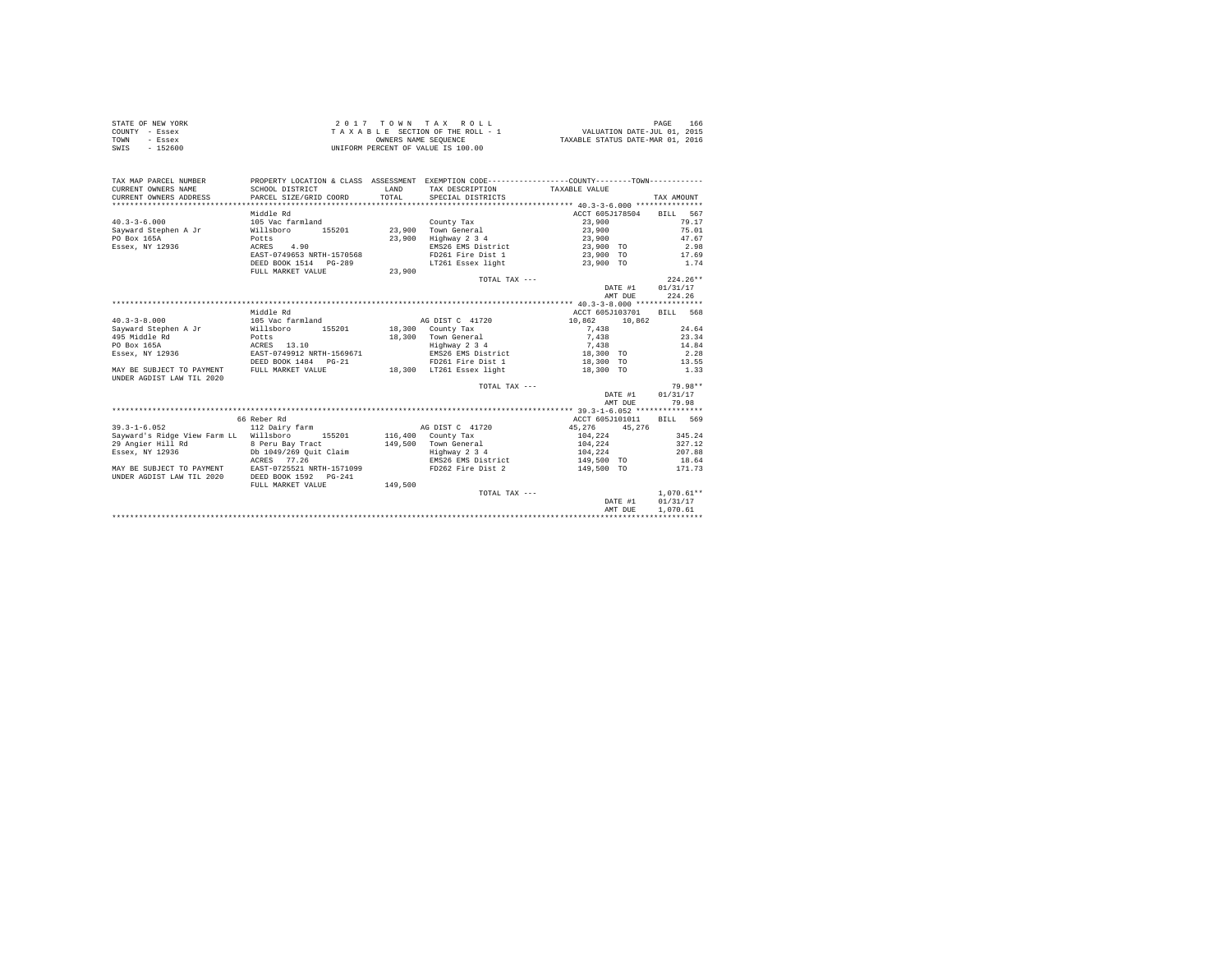| STATE OF NEW YORK | 2017 TOWN TAX ROLL                 | 166<br>PAGE                      |
|-------------------|------------------------------------|----------------------------------|
| COUNTY - Essex    | TAXABLE SECTION OF THE ROLL - 1    | VALUATION DATE-JUL 01, 2015      |
| TOWN<br>- Essex   | OWNERS NAME SEOUENCE               | TAXABLE STATUS DATE-MAR 01, 2016 |
| SWIS<br>$-152600$ | UNIFORM PERCENT OF VALUE IS 100.00 |                                  |

| TAX MAP PARCEL NUMBER<br>CURRENT OWNERS NAME<br>CURRENT OWNERS ADDRESS | PROPERTY LOCATION & CLASS ASSESSMENT EXEMPTION CODE----------------COUNTY--------TOWN----------<br>SCHOOL DISTRICT<br>PARCEL SIZE/GRID COORD | <b>T.AND</b><br>TOTAL | TAX DESCRIPTION TAXABLE VALUE<br>SPECIAL DISTRICTS |                 | TAX AMOUNT               |
|------------------------------------------------------------------------|----------------------------------------------------------------------------------------------------------------------------------------------|-----------------------|----------------------------------------------------|-----------------|--------------------------|
|                                                                        | Middle Rd                                                                                                                                    |                       |                                                    | ACCT 605J178504 | 567<br>BILL              |
| $40.3 - 3 - 6.000$                                                     | 105 Vac farmland                                                                                                                             |                       | County Tax                                         | 23,900          | 79.17                    |
| Sayward Stephen A Jr                                                   | Willsboro<br>155201                                                                                                                          |                       | 23,900 Town General                                | 23,900          | 75.01                    |
| PO Box 165A                                                            | Potts                                                                                                                                        | 23,900                | Highway 2 3 4                                      | 23,900          | 47.67                    |
| Essex, NY 12936                                                        | 4.90<br>ACRES                                                                                                                                |                       | EMS26 EMS District 23,900 TO                       |                 | 2.98                     |
|                                                                        | EAST-0749653 NRTH-1570568                                                                                                                    |                       | FD261 Fire Dist 1                                  | 23,900 TO       | 17.69                    |
|                                                                        | DEED BOOK 1514 PG-289                                                                                                                        |                       | LT261 Essex light                                  | 23,900 TO       | 1.74                     |
|                                                                        | FULL MARKET VALUE                                                                                                                            | 23,900                |                                                    |                 |                          |
|                                                                        |                                                                                                                                              |                       | TOTAL TAX $---$                                    |                 | $224.26**$               |
|                                                                        |                                                                                                                                              |                       |                                                    | DATE #1         | 01/31/17                 |
|                                                                        |                                                                                                                                              |                       |                                                    | AMT DUE         | 224.26                   |
|                                                                        |                                                                                                                                              |                       |                                                    |                 |                          |
|                                                                        | Middle Rd                                                                                                                                    |                       |                                                    | ACCT 605J103701 | <b>BTLL</b> 568          |
| $40.3 - 3 - 8.000$                                                     | 105 Vac farmland                                                                                                                             |                       | AG DIST C 41720                                    | 10,862          | 10,862                   |
| Sayward Stephen A Jr                                                   | Willsboro                                                                                                                                    |                       | 155201 18,300 County Tax                           | 7.438           | 24.64                    |
| 495 Middle Rd                                                          | Potts                                                                                                                                        |                       | 18,300 Town General                                | 7,438           | 23.34                    |
| PO Box 165A                                                            | ACRES 13.10                                                                                                                                  |                       | Highway 2 3 4                                      | 7.438           | 14.84                    |
| Essex, NY 12936                                                        | EAST-0749912 NRTH-1569671                                                                                                                    |                       | EMS26 EMS District                                 | 18,300 TO       | 2.28                     |
|                                                                        | DEED BOOK 1484 PG-21                                                                                                                         |                       | FD261 Fire Dist 1 18,300 TO                        |                 | 13.55                    |
| MAY BE SUBJECT TO PAYMENT                                              | FULL MARKET VALUE                                                                                                                            |                       | 18,300 LT261 Essex light                           | 18,300 TO       | 1.33                     |
| UNDER AGDIST LAW TIL 2020                                              |                                                                                                                                              |                       |                                                    |                 |                          |
|                                                                        |                                                                                                                                              |                       | TOTAL TAX ---                                      |                 | 79.98**                  |
|                                                                        |                                                                                                                                              |                       |                                                    | DATE #1         | 01/31/17                 |
|                                                                        |                                                                                                                                              |                       |                                                    | AMT DUE         | 79.98                    |
|                                                                        |                                                                                                                                              |                       |                                                    |                 |                          |
|                                                                        | 66 Reber Rd                                                                                                                                  |                       |                                                    |                 | ACCT 605J101011 BILL 569 |
| $39.3 - 1 - 6.052$                                                     | 112 Dairy farm                                                                                                                               |                       | AG DIST C 41720                                    | 45.276          | 45.276                   |
| Sayward's Ridge View Farm LL Willsboro                                 | 155201                                                                                                                                       |                       | $116,400$ County Tax                               | 104.224         | 345.24                   |
| 29 Angier Hill Rd                                                      | 8 Peru Bay Tract                                                                                                                             |                       | 149,500 Town General                               | 104,224         | 327.12                   |
| Essex, NY 12936                                                        | Db 1049/269 Ouit Claim                                                                                                                       |                       |                                                    | 104,224         | 207.88                   |
|                                                                        | ACRES 77.26                                                                                                                                  |                       | Highway 2 3 4<br>EMS26 EMS District                | 149,500 TO      | 18.64                    |
| MAY BE SUBJECT TO PAYMENT                                              | EAST-0725521 NRTH-1571099                                                                                                                    |                       | FD262 Fire Dist 2                                  | 149,500 TO      | 171.73                   |
| UNDER AGDIST LAW TIL 2020                                              | DEED BOOK 1592 PG-241                                                                                                                        |                       |                                                    |                 |                          |
|                                                                        | FULL MARKET VALUE                                                                                                                            | 149,500               |                                                    |                 |                          |
|                                                                        |                                                                                                                                              |                       | TOTAL TAX ---                                      |                 | $1.070.61**$             |
|                                                                        |                                                                                                                                              |                       |                                                    | DATE #1         | 01/31/17                 |
|                                                                        |                                                                                                                                              |                       |                                                    | AMT DUE         | 1,070.61                 |
|                                                                        |                                                                                                                                              |                       |                                                    |                 |                          |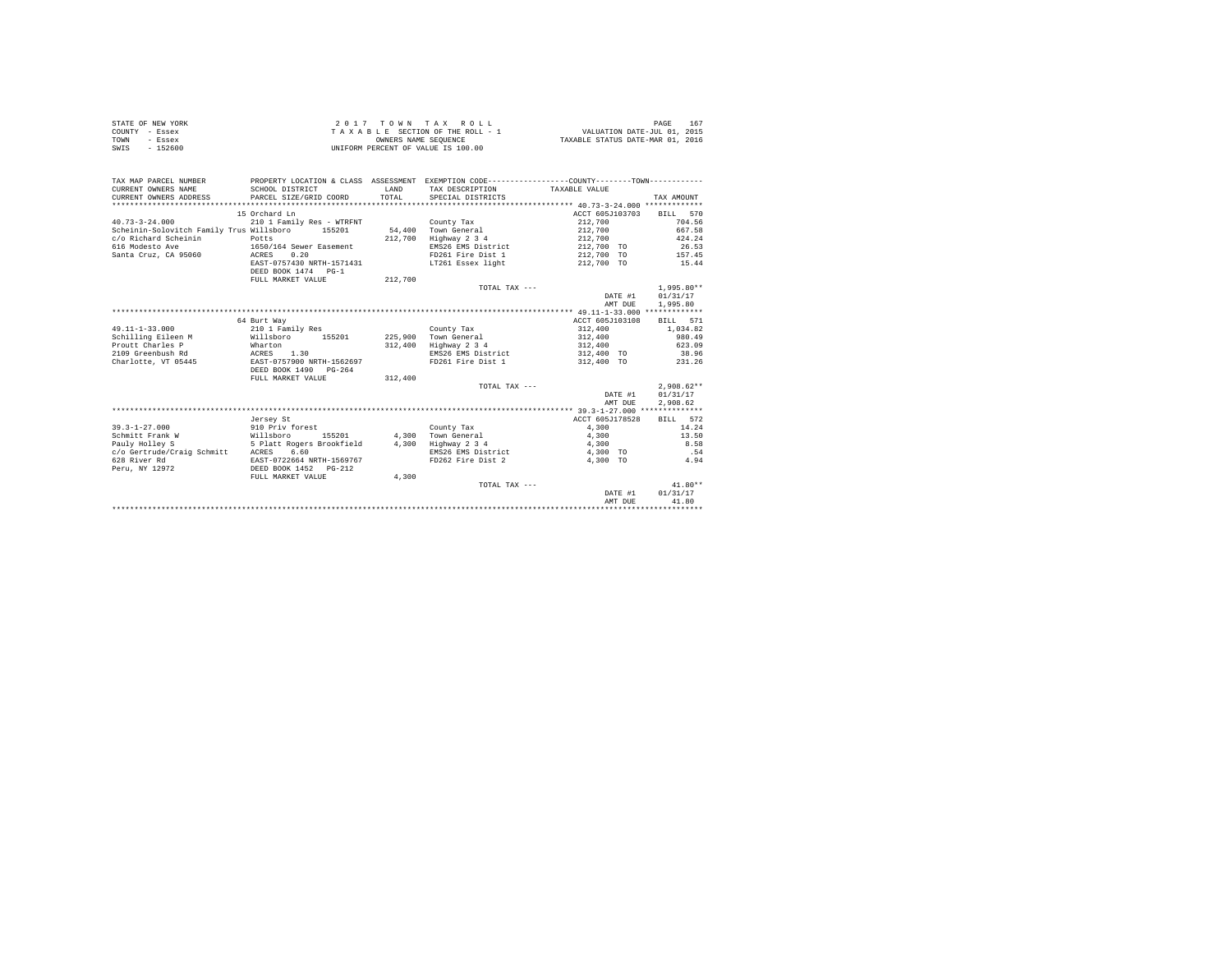|                | STATE OF NEW YORK | 2017 TOWN TAX ROLL                 | 167<br>PAGE                      |
|----------------|-------------------|------------------------------------|----------------------------------|
| COUNTY - Essex |                   | TAXABLE SECTION OF THE ROLL - 1    | VALUATION DATE-JUL 01, 2015      |
| TOWN           | - Essex           | OWNERS NAME SEOUENCE               | TAXABLE STATUS DATE-MAR 01, 2016 |
| SWIS           | $-152600$         | UNIFORM PERCENT OF VALUE IS 100.00 |                                  |

| TAX MAP PARCEL NUMBER<br>CURRENT OWNERS NAME<br>CURRENT OWNERS ADDRESS | PROPERTY LOCATION & CLASS ASSESSMENT EXEMPTION CODE---------------COUNTY-------TOWN----------<br>SCHOOL DISTRICT<br>PARCEL SIZE/GRID COORD | LAND<br>TOTAL. | TAX DESCRIPTION TAXABLE VALUE<br>SPECIAL DISTRICTS |                 | TAX AMOUNT   |
|------------------------------------------------------------------------|--------------------------------------------------------------------------------------------------------------------------------------------|----------------|----------------------------------------------------|-----------------|--------------|
|                                                                        | 15 Orchard Ln                                                                                                                              |                |                                                    | ACCT 605J103703 | 570          |
| $40.73 - 3 - 24.000$                                                   |                                                                                                                                            |                |                                                    | 212,700         | <b>BILL</b>  |
|                                                                        | 210 1 Family Res - WTRFNT                                                                                                                  |                | County Tax                                         |                 | 704.56       |
| Scheinin-Solovitch Family Trus Willsboro                               | 155201                                                                                                                                     | 54,400         | Town General                                       | 212,700         | 667.58       |
| c/o Richard Scheinin                                                   | Potts                                                                                                                                      | 212,700        | Highway 2 3 4                                      | 212,700         | 424.24       |
| 616 Modesto Ave                                                        | 1650/164 Sewer Easement                                                                                                                    |                | EMS26 EMS District                                 | 212,700 TO      | 26.53        |
| Santa Cruz, CA 95060                                                   | 0.20<br>ACRES                                                                                                                              |                | FD261 Fire Dist 1                                  | 212,700 TO      | 157.45       |
|                                                                        | EAST-0757430 NRTH-1571431                                                                                                                  |                | LT261 Essex light                                  | 212,700 TO      | 15.44        |
|                                                                        | DEED BOOK 1474 PG-1                                                                                                                        |                |                                                    |                 |              |
|                                                                        | FULL MARKET VALUE                                                                                                                          | 212,700        |                                                    |                 |              |
|                                                                        |                                                                                                                                            |                | TOTAL TAX $---$                                    |                 | $1.995.80**$ |
|                                                                        |                                                                                                                                            |                |                                                    | DATE #1         | 01/31/17     |
|                                                                        |                                                                                                                                            |                |                                                    | AMT DUE         | 1,995.80     |
|                                                                        |                                                                                                                                            |                |                                                    |                 |              |
|                                                                        | 64 Burt Way                                                                                                                                |                |                                                    | ACCT 605J103108 | RTLL 571     |
| $49.11 - 1 - 33.000$                                                   | 210 1 Family Res                                                                                                                           |                | County Tax                                         | 312,400         | 1,034.82     |
| Schilling Eileen M                                                     | Willsboro<br>155201                                                                                                                        |                | 225,900 Town General                               | 312,400         | 980.49       |
| Proutt Charles P                                                       | Wharton                                                                                                                                    | 312,400        | Highway 2 3 4                                      | 312,400         | 623.09       |
| 2109 Greenbush Rd                                                      | ACRES<br>1.30                                                                                                                              |                | EMS26 EMS District                                 | 312,400 TO      | 38.96        |
| Charlotte, VT 05445                                                    | EAST-0757900 NRTH-1562697                                                                                                                  |                | FD261 Fire Dist 1                                  | 312,400 TO      | 231.26       |
|                                                                        | DEED BOOK 1490 PG-264                                                                                                                      |                |                                                    |                 |              |
|                                                                        | FULL MARKET VALUE                                                                                                                          | 312,400        |                                                    |                 |              |
|                                                                        |                                                                                                                                            |                | TOTAL TAX $---$                                    |                 | $2.908.62**$ |
|                                                                        |                                                                                                                                            |                |                                                    | DATE #1         | 01/31/17     |
|                                                                        |                                                                                                                                            |                |                                                    | AMT DUE         | 2,908.62     |
|                                                                        |                                                                                                                                            |                |                                                    |                 |              |
|                                                                        | Jersey St                                                                                                                                  |                |                                                    | ACCT 605J178528 | BILL 572     |
| $39.3 - 1 - 27.000$                                                    | 910 Priv forest                                                                                                                            |                | County Tax                                         | 4.300           | 14.24        |
| Schmitt Frank W                                                        | Willsboro<br>155201                                                                                                                        | 4,300          | Town General                                       | 4,300           | 13.50        |
| Pauly Holley S                                                         | 5 Platt Rogers Brookfield                                                                                                                  | 4,300          | Highway 2 3 4                                      | 4,300           | 8.58         |
| c/o Gertrude/Craig Schmitt                                             | 6.60<br>ACRES                                                                                                                              |                | EMS26 EMS District                                 | 4,300 TO        | .54          |
| 628 River Rd                                                           | EAST-0722664 NRTH-1569767                                                                                                                  |                | FD262 Fire Dist 2                                  | 4,300 TO        | 4.94         |
| Peru, NY 12972                                                         | DEED BOOK 1452 PG-212                                                                                                                      |                |                                                    |                 |              |
|                                                                        | FULL MARKET VALUE                                                                                                                          | 4,300          |                                                    |                 |              |
|                                                                        |                                                                                                                                            |                | TOTAL TAX ---                                      |                 | $41.80**$    |
|                                                                        |                                                                                                                                            |                |                                                    | DATE #1         | 01/31/17     |
|                                                                        |                                                                                                                                            |                |                                                    | AMT DUR         | 41.80        |
|                                                                        |                                                                                                                                            |                |                                                    |                 |              |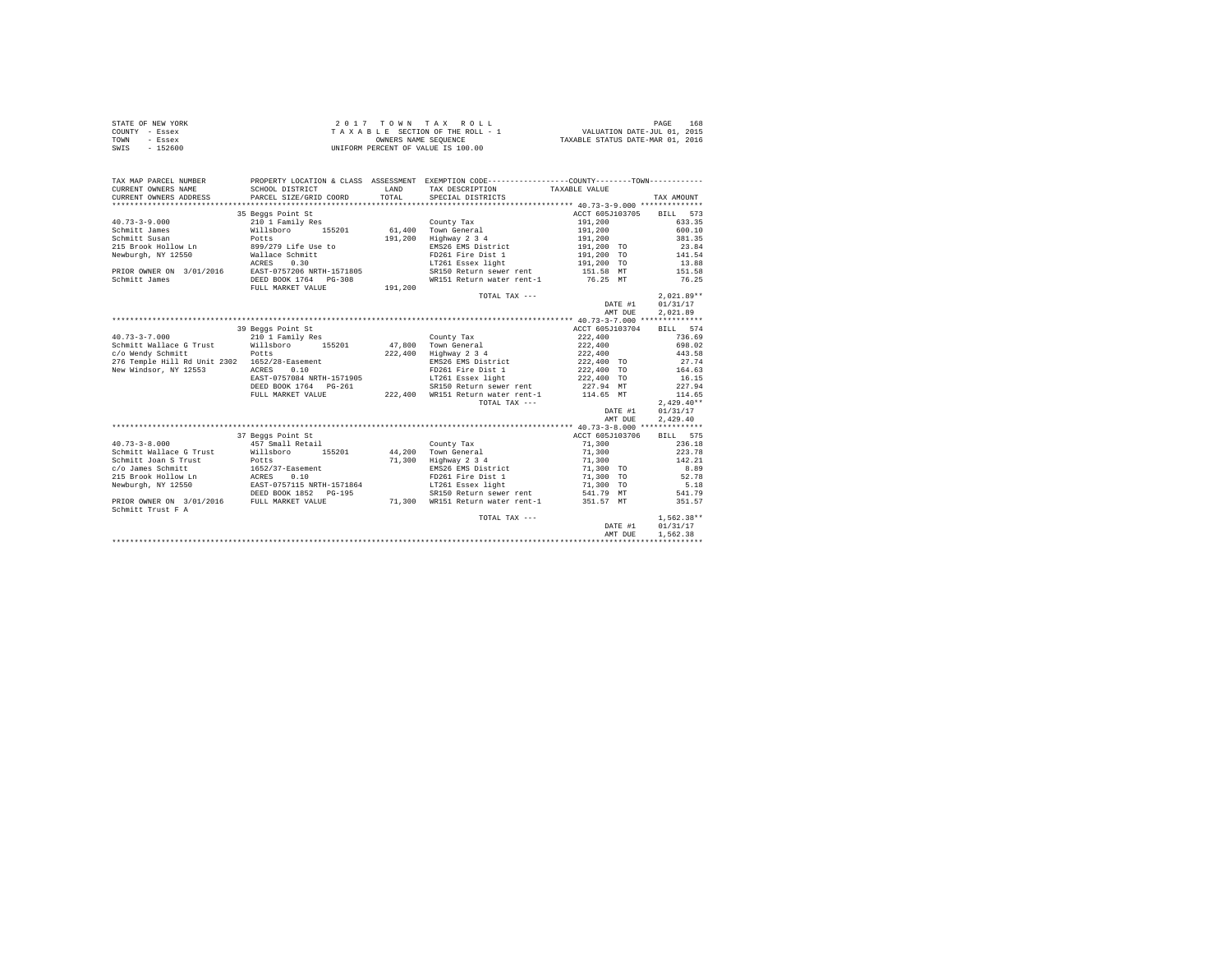|                | STATE OF NEW YORK | 2017 TOWN TAX ROLL                 | 168<br>PAGE                      |
|----------------|-------------------|------------------------------------|----------------------------------|
| COUNTY - Essex |                   | TAXABLE SECTION OF THE ROLL - 1    | VALUATION DATE-JUL 01, 2015      |
| TOWN           | - Essex           | OWNERS NAME SEOUENCE               | TAXABLE STATUS DATE-MAR 01, 2016 |
| SWIS           | $-152600$         | UNIFORM PERCENT OF VALUE IS 100.00 |                                  |

| TAX MAP PARCEL NUMBER                              | PROPERTY LOCATION & CLASS ASSESSMENT EXEMPTION CODE----------------COUNTY--------TOWN---------- |         |                                             |                                                                                              |              |
|----------------------------------------------------|-------------------------------------------------------------------------------------------------|---------|---------------------------------------------|----------------------------------------------------------------------------------------------|--------------|
| CURRENT OWNERS NAME                                | SCHOOL DISTRICT                                                                                 | LAND    | TAX DESCRIPTION                             | TAXABLE VALUE                                                                                |              |
| CURRENT OWNERS ADDRESS                             | PARCEL SIZE/GRID COORD                                                                          | TOTAL   | SPECIAL DISTRICTS                           |                                                                                              | TAX AMOUNT   |
|                                                    |                                                                                                 |         |                                             |                                                                                              |              |
|                                                    | 35 Beggs Point St                                                                               |         |                                             | ACCT 605J103705 BILL 573                                                                     |              |
| $40.73 - 3 - 9.000$                                | 210 1 Family Res                                                                                |         | County Tax                                  | 191,200                                                                                      | 633.35       |
| Schmitt James                                      | Willsboro 155201<br>Potts                                                                       |         | 61,400 Town General                         | 191,200<br>191,200                                                                           | 600.10       |
| Schmitt Susan                                      |                                                                                                 | 191,200 | $Highway$ 2 3 4                             |                                                                                              | 381.35       |
| 215 Brook Hollow Ln 899/279 Life Use to            |                                                                                                 |         |                                             | EMS26 EMS District 191,200 TO                                                                | 23.84        |
| Newburgh, NY 12550                                 | Wallace Schmitt<br>ACRES 0.30                                                                   |         | FD261 Fire Dist 1<br>LT261 Essex light      | 191,200 TO<br>191,200 TO                                                                     | 141.54       |
|                                                    |                                                                                                 |         |                                             |                                                                                              | 13.88        |
| PRIOR OWNER ON 3/01/2016 EAST-0757206 NRTH-1571805 |                                                                                                 |         |                                             | SR150 Return sewer rent 151.58 MT                                                            | 151.58       |
| Schmitt James                                      | DEED BOOK 1764 PG-308                                                                           |         | WR151 Return water rent-1                   | 76.25 MT                                                                                     | 76.25        |
|                                                    | FULL MARKET VALUE                                                                               | 191,200 |                                             |                                                                                              |              |
|                                                    |                                                                                                 |         | TOTAL TAX ---                               |                                                                                              | $2.021.89**$ |
|                                                    |                                                                                                 |         |                                             | DATE #1                                                                                      | 01/31/17     |
|                                                    |                                                                                                 |         |                                             | AMT DUE                                                                                      | 2,021.89     |
|                                                    |                                                                                                 |         |                                             |                                                                                              |              |
|                                                    | 39 Beggs Point St                                                                               |         |                                             | ACCT 605J103704                                                                              | BILL 574     |
| $40.73 - 3 - 7.000$                                | 210 1 Family Res                                                                                |         | County Tax                                  | 222,400                                                                                      | 736.69       |
| Schmitt Wallace G Trust Willsboro 155201           |                                                                                                 |         | 47,800 Town General                         | 222,400 698.02                                                                               |              |
| c/o Wendy Schmitt                                  | Potts                                                                                           |         | 222,400 Highway 2 3 4                       | 222,400                                                                                      | 443.58       |
| 276 Temple Hill Rd Unit 2302 1652/28-Easement      |                                                                                                 |         |                                             | EMS26 EMS District 222,400 TO                                                                | 27.74        |
| New Windsor, NY 12553                              | ACRES 0.10                                                                                      |         |                                             |                                                                                              | $164.63\,$   |
|                                                    | EAST-0757084 NRTH-1571905                                                                       |         | LT261 Essex light                           | FD261 Fire Dist 1 222,400 TO<br>LT261 Essex light 222,400 TO                                 | 16.15        |
|                                                    | DEED BOOK 1764    PG-261                                                                        |         | SR150 Return sewer rent 227.94 MT           |                                                                                              | 227.94       |
|                                                    | FULL MARKET VALUE                                                                               |         | 222,400 WR151 Return water rent-1 114.65 MT |                                                                                              | 114.65       |
|                                                    |                                                                                                 |         | TOTAL TAX ---                               |                                                                                              | $2,429.40**$ |
|                                                    |                                                                                                 |         |                                             | DATE #1                                                                                      | 01/31/17     |
|                                                    |                                                                                                 |         |                                             | AMT DUE                                                                                      | 2.429.40     |
|                                                    |                                                                                                 |         |                                             |                                                                                              |              |
|                                                    | 37 Beggs Point St                                                                               |         |                                             | ACCT 605J103706                                                                              | BILL 575     |
| $40.73 - 3 - 8.000$                                |                                                                                                 |         | County Tax                                  |                                                                                              | 236.18       |
| Schmitt Wallace G Trust                            | 457 Small Retail<br>Willsboro 155201                                                            |         | 44,200 Town General                         | 71,300<br>71,300                                                                             | 223.78       |
| Schmitt Joan S Trust                               | Potts                                                                                           | 71,300  | Highway 2 3 4                               | 71,300                                                                                       | 142.21       |
| c/o James Schmitt                                  | 1652/37-Easement<br>ACRES 0.10<br>EAST-0757115 NRTH-1571864                                     |         |                                             | 1,300 TO<br>EMS26 EMS District<br>FD261 Fire Dist 1 71,300 TO<br>LT261 Essex light 71,300 TO | 8.89         |
| 215 Brook Hollow Ln                                |                                                                                                 |         |                                             |                                                                                              | 52.78        |
| Newburgh, NY 12550                                 |                                                                                                 |         |                                             |                                                                                              | 5.18         |
|                                                    | DEED BOOK 1852 PG-195                                                                           |         |                                             |                                                                                              | 541.79       |
| PRIOR OWNER ON 3/01/2016 FULL MARKET VALUE         |                                                                                                 |         | 71,300 WR151 Return water rent-1            | SR150 Return sewer rent 541.79 MT<br>WR151 Return water rent-1 351.57 MT                     | 351.57       |
| Schmitt Trust F A                                  |                                                                                                 |         |                                             |                                                                                              |              |
|                                                    |                                                                                                 |         | TOTAL TAX ---                               |                                                                                              | $1,562.38**$ |
|                                                    |                                                                                                 |         |                                             | DATE #1                                                                                      | 01/31/17     |
|                                                    |                                                                                                 |         |                                             | AMT DUE                                                                                      | 1,562.38     |
|                                                    |                                                                                                 |         |                                             |                                                                                              |              |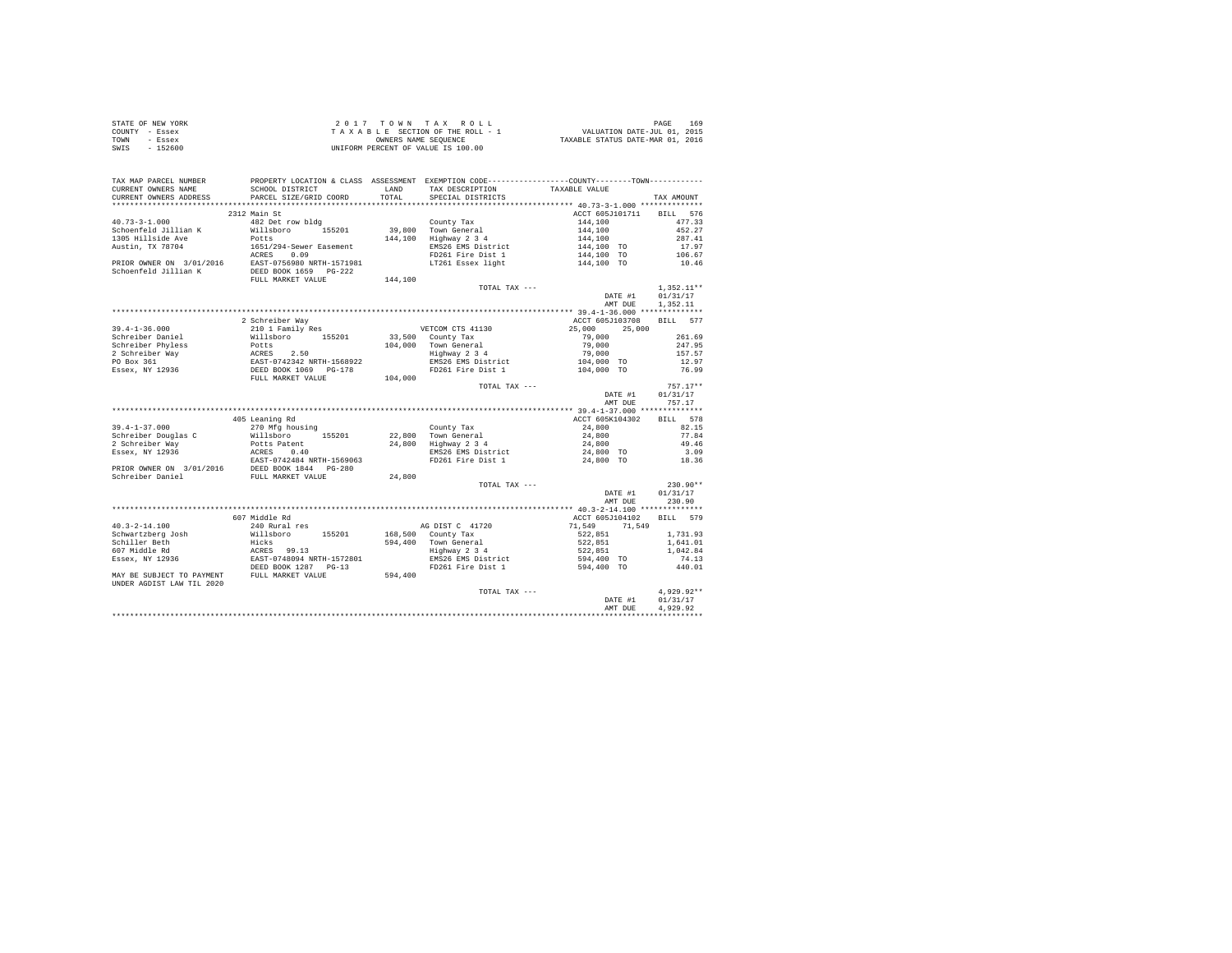| STATE OF NEW YORK | $2.017$ TOWN TAX ROLL              | 169<br>PAGE                      |
|-------------------|------------------------------------|----------------------------------|
| COUNTY - Essex    | TAXABLE SECTION OF THE ROLL - 1    | VALUATION DATE-JUL 01, 2015      |
| TOWN<br>- Essex   | OWNERS NAME SEOUENCE               | TAXABLE STATUS DATE-MAR 01, 2016 |
| - 152600<br>SWIS  | UNIFORM PERCENT OF VALUE IS 100.00 |                                  |

| TAX MAP PARCEL NUMBER<br>CURRENT OWNERS NAME | SCHOOL DISTRICT                                                                       | <b>T.AND</b> | TAX DESCRIPTION     | PROPERTY LOCATION & CLASS ASSESSMENT EXEMPTION CODE----------------COUNTY-------TOWN----------<br>TAXABLE VALUE |                    |
|----------------------------------------------|---------------------------------------------------------------------------------------|--------------|---------------------|-----------------------------------------------------------------------------------------------------------------|--------------------|
| CURRENT OWNERS ADDRESS                       | PARCEL SIZE/GRID COORD                                                                | TOTAL        | SPECIAL DISTRICTS   |                                                                                                                 | TAX AMOUNT         |
| ************************                     |                                                                                       |              |                     |                                                                                                                 |                    |
|                                              | 2312 Main St                                                                          |              |                     | ACCT 605J101711                                                                                                 | 576<br><b>BILL</b> |
| $40.73 - 3 - 1.000$                          | 482 Det row bldg                                                                      |              | County Tax          | 144,100                                                                                                         | 477.33             |
| Schoenfeld Jillian K                         | Willsboro 155201                                                                      |              | 39,800 Town General | 144,100                                                                                                         | 452.27             |
| 1305 Hillside Ave                            | Potts                                                                                 | 144,100      | Highway 2 3 4       | 144,100                                                                                                         | 287.41             |
| Austin, TX 78704                             | 1651/294-Sewer Easement                                                               |              | EMS26 EMS District  | 144,100 TO                                                                                                      | 17.97              |
|                                              | ACRES<br>0.09                                                                         |              | FD261 Fire Dist 1   | 144,100 TO                                                                                                      | 106.67             |
| PRIOR OWNER ON 3/01/2016                     | EAST-0756980 NRTH-1571981                                                             |              | LT261 Essex light   | 144,100 TO                                                                                                      | 10.46              |
| Schoenfeld Jillian K                         | DEED BOOK 1659 PG-222                                                                 |              |                     |                                                                                                                 |                    |
|                                              | FULL MARKET VALUE                                                                     | 144,100      |                     |                                                                                                                 |                    |
|                                              |                                                                                       |              | TOTAL TAX ---       |                                                                                                                 | $1.352.11**$       |
|                                              |                                                                                       |              |                     | DATE #1                                                                                                         | 01/31/17           |
|                                              |                                                                                       |              |                     | AMT DUE                                                                                                         | 1,352.11           |
|                                              |                                                                                       |              |                     |                                                                                                                 |                    |
|                                              | 2 Schreiber Way                                                                       |              |                     | ACCT 605J103708                                                                                                 | BILL 577           |
| $39.4 - 1 - 36.000$                          | 210 1 Family Res                                                                      |              | VETCOM CTS 41130    | 25,000<br>25,000                                                                                                |                    |
| Schreiber Daniel                             | Willsboro 155201                                                                      |              | 33.500 County Tax   | 79,000                                                                                                          | 261.69             |
| Schreiber Phyless                            | Potts                                                                                 | 104,000      | Town General        | 79,000                                                                                                          | 247.95             |
| 2 Schreiber Way                              |                                                                                       |              | Highway 2 3 4       | 79,000                                                                                                          | 157.57             |
| PO Box 361                                   |                                                                                       |              | EMS26 EMS District  | 104,000 TO                                                                                                      | 12.97              |
| Essex, NY 12936                              | ACRES 2.50<br>EAST-0742342 NRTH-1568922<br>DEED BOOK 1069 PG-178<br>FULL MARKET VALUE |              | FD261 Fire Dist 1   | 104,000 TO                                                                                                      | 76.99              |
|                                              |                                                                                       | 104,000      |                     |                                                                                                                 |                    |
|                                              |                                                                                       |              | TOTAL TAX ---       |                                                                                                                 | $757.17**$         |
|                                              |                                                                                       |              |                     | DATE #1<br>AMT DUE                                                                                              | 01/31/17<br>757.17 |
|                                              |                                                                                       |              |                     |                                                                                                                 |                    |
|                                              |                                                                                       |              |                     | ACCT 605K104302                                                                                                 | BILL 578           |
| $39.4 - 1 - 37.000$                          | 405 Leaning Rd<br>270 Mfg housing                                                     |              | County Tax          | 24,800                                                                                                          | 82.15              |
| Schreiber Douglas C                          | Willsboro<br>155201                                                                   | 22,800       | Town General        | 24,800                                                                                                          | 77.84              |
| 2 Schreiber Way                              | Potts Patent                                                                          | 24,800       | Highway 2 3 4       | 24,800                                                                                                          | 49.46              |
| Essex, NY 12936                              | ACRES<br>0.40                                                                         |              | EMS26 EMS District  | 24,800 TO                                                                                                       | 3.09               |
|                                              | EAST-0742484 NRTH-1569063                                                             |              | FD261 Fire Dist 1   | 24,800 TO                                                                                                       | 18.36              |
| PRIOR OWNER ON 3/01/2016                     | DEED BOOK 1844 PG-280                                                                 |              |                     |                                                                                                                 |                    |
| Schreiber Daniel                             | FULL MARKET VALUE                                                                     | 24,800       |                     |                                                                                                                 |                    |
|                                              |                                                                                       |              | TOTAL TAX ---       |                                                                                                                 | $230.90**$         |
|                                              |                                                                                       |              |                     | DATE #1                                                                                                         | 01/31/17           |
|                                              |                                                                                       |              |                     | AMT DUE                                                                                                         | 230.90             |
|                                              |                                                                                       |              |                     |                                                                                                                 |                    |
|                                              | 607 Middle Rd                                                                         |              |                     | ACCT 605J104102                                                                                                 | BILL 579           |
| $40.3 - 2 - 14.100$                          | 240 Rural res                                                                         |              | AG DIST C 41720     | 71,549<br>71.549                                                                                                |                    |
| Schwartzberg Josh                            | 155201<br>Willsboro                                                                   |              | 168,500 County Tax  | 522,851                                                                                                         | 1,731.93           |
| Schiller Beth                                | Hicks                                                                                 | 594,400      | Town General        | 522,851                                                                                                         | 1,641.01           |
| 607 Middle Rd                                | ACRES 99.13                                                                           |              | Highway 2 3 4       | 522,851                                                                                                         | 1,042.84           |
| Essex, NY 12936                              | EAST-0748094 NRTH-1572801                                                             |              | EMS26 EMS District  | 594,400 TO                                                                                                      | 74.13              |
|                                              | DEED BOOK 1287 PG-13                                                                  |              | FD261 Fire Dist 1   | 594,400 TO                                                                                                      | 440.01             |
| MAY BE SUBJECT TO PAYMENT                    | FULL MARKET VALUE                                                                     | 594,400      |                     |                                                                                                                 |                    |
| UNDER AGDIST LAW TIL 2020                    |                                                                                       |              |                     |                                                                                                                 |                    |
|                                              |                                                                                       |              | TOTAL TAX ---       |                                                                                                                 | 4.929.92**         |
|                                              |                                                                                       |              |                     | DATE #1                                                                                                         | 01/31/17           |
|                                              |                                                                                       |              |                     | AMT DUE                                                                                                         | 4.929.92           |
|                                              |                                                                                       |              |                     |                                                                                                                 |                    |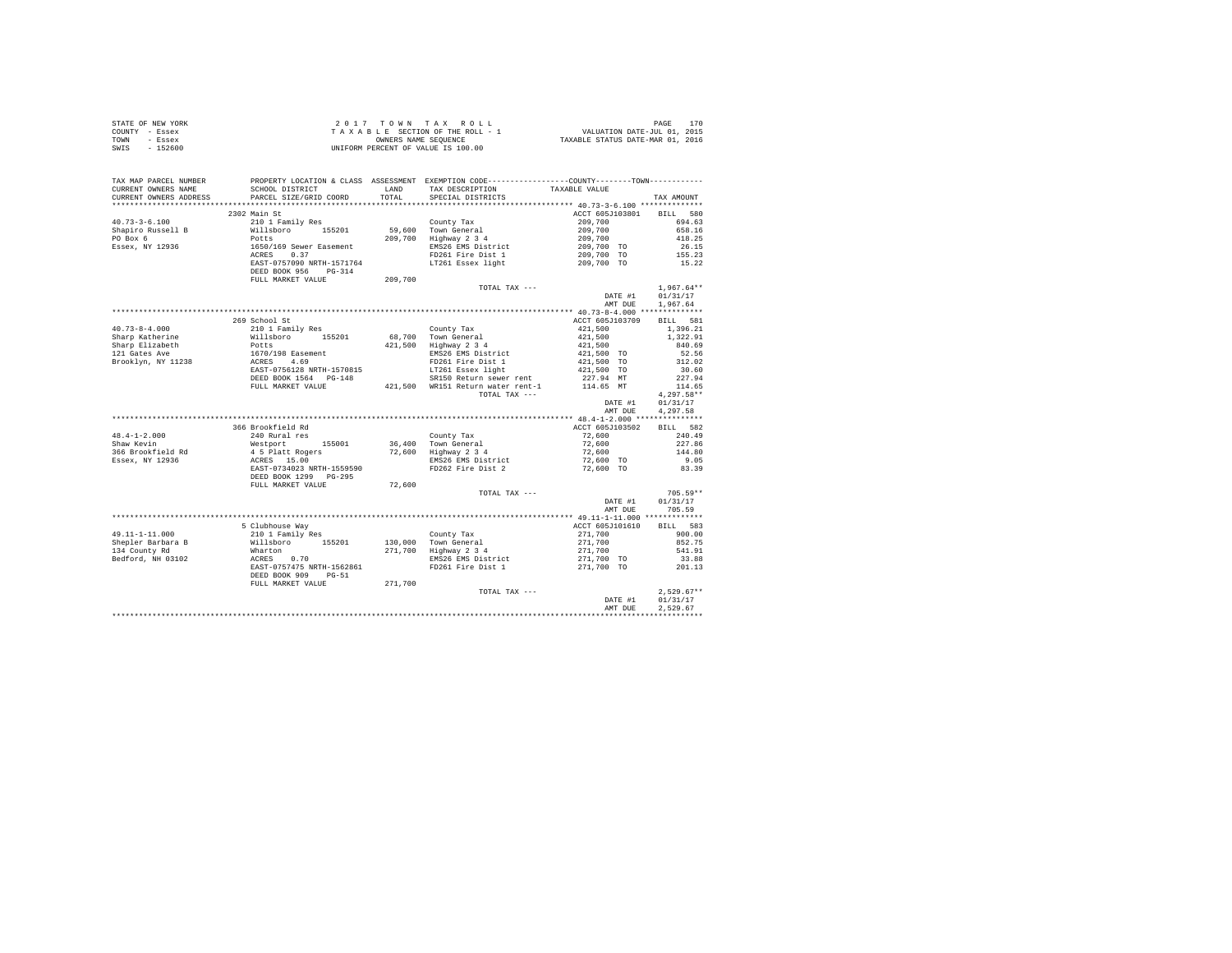| STATE OF NEW YORK | 2017 TOWN TAX ROLL                 | PAGE                             |
|-------------------|------------------------------------|----------------------------------|
| COUNTY - Essex    | TAXABLE SECTION OF THE ROLL - 1    | VALUATION DATE-JUL 01, 2015      |
| TOWN<br>- Essex   | OWNERS NAME SEOUENCE               | TAXABLE STATUS DATE-MAR 01, 2016 |
| $-152600$<br>SWIS | UNIFORM PERCENT OF VALUE IS 100.00 |                                  |

| 2302 Main St<br>ACCT 605J103801 BILL 580<br>$209,700$<br>$209,700$<br>$209,700$<br>$209,700$<br>$209,700$<br>$209,700$ TO<br>$26.15$<br>$209,700$ TO<br>$155.23$<br>EMS26 EMS District<br>FD261 Fire Dist 1<br>LT261 Essex light<br>209,700 TO<br>15.22<br>DEED BOOK 956 PG-314<br>209,700<br>FULL MARKET VALUE<br>TOTAL TAX ---<br>$1,967.64**$<br>DATE #1<br>01/31/17<br>AMT DUE<br>1,967.64<br>269 School St<br>ACCT 605J103709<br>BILL 581<br>$40.73 - 8 - 4.000$<br>210 1 Family Res<br>$\begin{array}{r@{\quad}l} \textbf{421}, \textbf{500} \\ \textbf{421}, \textbf{500} \\ \textbf{421}, \textbf{500} \\ \textbf{421}, \textbf{500} \\ \textbf{421}, \textbf{500} \textbf{ T0} \\ \textbf{421}, \textbf{500} \textbf{ T0} \\ \textbf{421}, \textbf{500} \textbf{ T0} \\ \end{array}$<br>1,396.21<br>County Tax<br>40.73-4-0.00<br>Sharp Elizabeth Millshoro 155201 68,700 County Tax<br>Sharp Elizabeth Potts (1570/198 Easement 421,500 Highway 2 34<br>121 Gates Ave Potts (1670)<br>Brooklyn, NY 11238 ACRES 4.69<br>BRDF-0756128 NRTH-1570815<br>BRDF-07<br>1,322.91<br>840.69<br>52.56<br>EMS26 EMS District<br>FD261 Fire Dist 1<br>LT261 Essex light<br>Announce away rent<br>312.02<br>30.60<br>LT261 Essex light 421,500 TO<br>SR150 Return sewer rent 227.94 MT<br>421,500 WR151 Return water rent-1 114.65 MT<br>227.94<br>114.65<br>FULL MARKET VALUE<br>$4,297.58**$<br>TOTAL TAX ---<br>DATE #1<br>01/31/17<br>AMT DUE<br>4,297.58<br>BILL 582<br>366 Brookfield Rd<br>ACCT 605J103502<br>48.4-1-2.000<br>Shaw Kevin<br>240 Rural res<br>County Tax<br>72,600<br>240.49<br>240 Nurai 1es<br>Mestport 155001<br>4 5 Platt Rogers<br>REAST-0734023 NRTH-1559590<br>DEED BOOK 1299 PG-295<br>36,400 Town General<br>72,600 Highway 2 3 4<br>$72,600$<br>$72,600$<br>227.86<br>366 Brookfield Rd<br>144.80<br>EMS26 EMS District 12,600 TO 11.000<br>2.05 PD262 Fire Dist 2 2 72,600 TO 83.39<br>Essex, NY 12936<br>FULL MARKET VALUE<br>72,600<br>$705.59**$<br>TOTAL TAX ---<br>DATE #1<br>01/31/17<br>AMT DUE<br>705.59<br>5 Clubhouse Way<br>ACCT 605J101610 BILL 583<br>49.11-1-11.000 5 Clubhouse Way<br>Shepler Barbara B 2011 Family Res County Tax<br>Shepler Barbara B Willsboro 155201 130,000 Town General<br>134 County Rd Whatton 271,700 Highway 2 34<br>Bedford, NH 03102 ACRES 0.70 EMS26 EMS Dist<br>$\begin{bmatrix} 271, 700 \\ 271, 700 \\ 271, 700 \\ 271, 700 \\ 271, 700 \\ 271, 700 \end{bmatrix} \quad \quad \begin{bmatrix} 65.7 \\ 65.7 \\ 541.91 \\ 33.88 \\ 33.88 \\ 368 \end{bmatrix}$<br>271,700 TO<br>201.13<br>DEED BOOK 909 PG-51<br>271,700<br>FULL MARKET VALUE<br>$2,529.67**$<br>TOTAL TAX ---<br>DATE #1 01/31/17<br>2.529.67<br>AMT DUE | TAX MAP PARCEL NUMBER<br>CURRENT OWNERS NAME<br>CURRENT OWNERS ADDRESS | SCHOOL DISTRICT<br>PARCEL SIZE/GRID COORD | PROPERTY LOCATION & CLASS ASSESSMENT EXEMPTION CODE---------------COUNTY-------TOWN----------<br>LAND TAX DESCRIPTION<br>TOTAL SPECIAL DISTRICTS | TAXABLE VALUE | TAX AMOUNT |
|-----------------------------------------------------------------------------------------------------------------------------------------------------------------------------------------------------------------------------------------------------------------------------------------------------------------------------------------------------------------------------------------------------------------------------------------------------------------------------------------------------------------------------------------------------------------------------------------------------------------------------------------------------------------------------------------------------------------------------------------------------------------------------------------------------------------------------------------------------------------------------------------------------------------------------------------------------------------------------------------------------------------------------------------------------------------------------------------------------------------------------------------------------------------------------------------------------------------------------------------------------------------------------------------------------------------------------------------------------------------------------------------------------------------------------------------------------------------------------------------------------------------------------------------------------------------------------------------------------------------------------------------------------------------------------------------------------------------------------------------------------------------------------------------------------------------------------------------------------------------------------------------------------------------------------------------------------------------------------------------------------------------------------------------------------------------------------------------------------------------------------------------------------------------------------------------------------------------------------------------------------------------------------------------------------------------------------------------------------------------------------------------------------------------------------------------------------------------------------------------------------------------------------------------------------------------------------------------------------------------------------------------------------------------------------------------------------|------------------------------------------------------------------------|-------------------------------------------|--------------------------------------------------------------------------------------------------------------------------------------------------|---------------|------------|
|                                                                                                                                                                                                                                                                                                                                                                                                                                                                                                                                                                                                                                                                                                                                                                                                                                                                                                                                                                                                                                                                                                                                                                                                                                                                                                                                                                                                                                                                                                                                                                                                                                                                                                                                                                                                                                                                                                                                                                                                                                                                                                                                                                                                                                                                                                                                                                                                                                                                                                                                                                                                                                                                                                     |                                                                        |                                           |                                                                                                                                                  |               |            |
|                                                                                                                                                                                                                                                                                                                                                                                                                                                                                                                                                                                                                                                                                                                                                                                                                                                                                                                                                                                                                                                                                                                                                                                                                                                                                                                                                                                                                                                                                                                                                                                                                                                                                                                                                                                                                                                                                                                                                                                                                                                                                                                                                                                                                                                                                                                                                                                                                                                                                                                                                                                                                                                                                                     |                                                                        |                                           |                                                                                                                                                  |               |            |
|                                                                                                                                                                                                                                                                                                                                                                                                                                                                                                                                                                                                                                                                                                                                                                                                                                                                                                                                                                                                                                                                                                                                                                                                                                                                                                                                                                                                                                                                                                                                                                                                                                                                                                                                                                                                                                                                                                                                                                                                                                                                                                                                                                                                                                                                                                                                                                                                                                                                                                                                                                                                                                                                                                     |                                                                        |                                           |                                                                                                                                                  |               |            |
|                                                                                                                                                                                                                                                                                                                                                                                                                                                                                                                                                                                                                                                                                                                                                                                                                                                                                                                                                                                                                                                                                                                                                                                                                                                                                                                                                                                                                                                                                                                                                                                                                                                                                                                                                                                                                                                                                                                                                                                                                                                                                                                                                                                                                                                                                                                                                                                                                                                                                                                                                                                                                                                                                                     |                                                                        |                                           |                                                                                                                                                  |               |            |
|                                                                                                                                                                                                                                                                                                                                                                                                                                                                                                                                                                                                                                                                                                                                                                                                                                                                                                                                                                                                                                                                                                                                                                                                                                                                                                                                                                                                                                                                                                                                                                                                                                                                                                                                                                                                                                                                                                                                                                                                                                                                                                                                                                                                                                                                                                                                                                                                                                                                                                                                                                                                                                                                                                     |                                                                        |                                           |                                                                                                                                                  |               |            |
|                                                                                                                                                                                                                                                                                                                                                                                                                                                                                                                                                                                                                                                                                                                                                                                                                                                                                                                                                                                                                                                                                                                                                                                                                                                                                                                                                                                                                                                                                                                                                                                                                                                                                                                                                                                                                                                                                                                                                                                                                                                                                                                                                                                                                                                                                                                                                                                                                                                                                                                                                                                                                                                                                                     |                                                                        |                                           |                                                                                                                                                  |               |            |
|                                                                                                                                                                                                                                                                                                                                                                                                                                                                                                                                                                                                                                                                                                                                                                                                                                                                                                                                                                                                                                                                                                                                                                                                                                                                                                                                                                                                                                                                                                                                                                                                                                                                                                                                                                                                                                                                                                                                                                                                                                                                                                                                                                                                                                                                                                                                                                                                                                                                                                                                                                                                                                                                                                     |                                                                        |                                           |                                                                                                                                                  |               |            |
|                                                                                                                                                                                                                                                                                                                                                                                                                                                                                                                                                                                                                                                                                                                                                                                                                                                                                                                                                                                                                                                                                                                                                                                                                                                                                                                                                                                                                                                                                                                                                                                                                                                                                                                                                                                                                                                                                                                                                                                                                                                                                                                                                                                                                                                                                                                                                                                                                                                                                                                                                                                                                                                                                                     |                                                                        |                                           |                                                                                                                                                  |               |            |
|                                                                                                                                                                                                                                                                                                                                                                                                                                                                                                                                                                                                                                                                                                                                                                                                                                                                                                                                                                                                                                                                                                                                                                                                                                                                                                                                                                                                                                                                                                                                                                                                                                                                                                                                                                                                                                                                                                                                                                                                                                                                                                                                                                                                                                                                                                                                                                                                                                                                                                                                                                                                                                                                                                     |                                                                        |                                           |                                                                                                                                                  |               |            |
|                                                                                                                                                                                                                                                                                                                                                                                                                                                                                                                                                                                                                                                                                                                                                                                                                                                                                                                                                                                                                                                                                                                                                                                                                                                                                                                                                                                                                                                                                                                                                                                                                                                                                                                                                                                                                                                                                                                                                                                                                                                                                                                                                                                                                                                                                                                                                                                                                                                                                                                                                                                                                                                                                                     |                                                                        |                                           |                                                                                                                                                  |               |            |
|                                                                                                                                                                                                                                                                                                                                                                                                                                                                                                                                                                                                                                                                                                                                                                                                                                                                                                                                                                                                                                                                                                                                                                                                                                                                                                                                                                                                                                                                                                                                                                                                                                                                                                                                                                                                                                                                                                                                                                                                                                                                                                                                                                                                                                                                                                                                                                                                                                                                                                                                                                                                                                                                                                     |                                                                        |                                           |                                                                                                                                                  |               |            |
|                                                                                                                                                                                                                                                                                                                                                                                                                                                                                                                                                                                                                                                                                                                                                                                                                                                                                                                                                                                                                                                                                                                                                                                                                                                                                                                                                                                                                                                                                                                                                                                                                                                                                                                                                                                                                                                                                                                                                                                                                                                                                                                                                                                                                                                                                                                                                                                                                                                                                                                                                                                                                                                                                                     |                                                                        |                                           |                                                                                                                                                  |               |            |
|                                                                                                                                                                                                                                                                                                                                                                                                                                                                                                                                                                                                                                                                                                                                                                                                                                                                                                                                                                                                                                                                                                                                                                                                                                                                                                                                                                                                                                                                                                                                                                                                                                                                                                                                                                                                                                                                                                                                                                                                                                                                                                                                                                                                                                                                                                                                                                                                                                                                                                                                                                                                                                                                                                     |                                                                        |                                           |                                                                                                                                                  |               |            |
|                                                                                                                                                                                                                                                                                                                                                                                                                                                                                                                                                                                                                                                                                                                                                                                                                                                                                                                                                                                                                                                                                                                                                                                                                                                                                                                                                                                                                                                                                                                                                                                                                                                                                                                                                                                                                                                                                                                                                                                                                                                                                                                                                                                                                                                                                                                                                                                                                                                                                                                                                                                                                                                                                                     |                                                                        |                                           |                                                                                                                                                  |               |            |
|                                                                                                                                                                                                                                                                                                                                                                                                                                                                                                                                                                                                                                                                                                                                                                                                                                                                                                                                                                                                                                                                                                                                                                                                                                                                                                                                                                                                                                                                                                                                                                                                                                                                                                                                                                                                                                                                                                                                                                                                                                                                                                                                                                                                                                                                                                                                                                                                                                                                                                                                                                                                                                                                                                     |                                                                        |                                           |                                                                                                                                                  |               |            |
|                                                                                                                                                                                                                                                                                                                                                                                                                                                                                                                                                                                                                                                                                                                                                                                                                                                                                                                                                                                                                                                                                                                                                                                                                                                                                                                                                                                                                                                                                                                                                                                                                                                                                                                                                                                                                                                                                                                                                                                                                                                                                                                                                                                                                                                                                                                                                                                                                                                                                                                                                                                                                                                                                                     |                                                                        |                                           |                                                                                                                                                  |               |            |
|                                                                                                                                                                                                                                                                                                                                                                                                                                                                                                                                                                                                                                                                                                                                                                                                                                                                                                                                                                                                                                                                                                                                                                                                                                                                                                                                                                                                                                                                                                                                                                                                                                                                                                                                                                                                                                                                                                                                                                                                                                                                                                                                                                                                                                                                                                                                                                                                                                                                                                                                                                                                                                                                                                     |                                                                        |                                           |                                                                                                                                                  |               |            |
|                                                                                                                                                                                                                                                                                                                                                                                                                                                                                                                                                                                                                                                                                                                                                                                                                                                                                                                                                                                                                                                                                                                                                                                                                                                                                                                                                                                                                                                                                                                                                                                                                                                                                                                                                                                                                                                                                                                                                                                                                                                                                                                                                                                                                                                                                                                                                                                                                                                                                                                                                                                                                                                                                                     |                                                                        |                                           |                                                                                                                                                  |               |            |
|                                                                                                                                                                                                                                                                                                                                                                                                                                                                                                                                                                                                                                                                                                                                                                                                                                                                                                                                                                                                                                                                                                                                                                                                                                                                                                                                                                                                                                                                                                                                                                                                                                                                                                                                                                                                                                                                                                                                                                                                                                                                                                                                                                                                                                                                                                                                                                                                                                                                                                                                                                                                                                                                                                     |                                                                        |                                           |                                                                                                                                                  |               |            |
|                                                                                                                                                                                                                                                                                                                                                                                                                                                                                                                                                                                                                                                                                                                                                                                                                                                                                                                                                                                                                                                                                                                                                                                                                                                                                                                                                                                                                                                                                                                                                                                                                                                                                                                                                                                                                                                                                                                                                                                                                                                                                                                                                                                                                                                                                                                                                                                                                                                                                                                                                                                                                                                                                                     |                                                                        |                                           |                                                                                                                                                  |               |            |
|                                                                                                                                                                                                                                                                                                                                                                                                                                                                                                                                                                                                                                                                                                                                                                                                                                                                                                                                                                                                                                                                                                                                                                                                                                                                                                                                                                                                                                                                                                                                                                                                                                                                                                                                                                                                                                                                                                                                                                                                                                                                                                                                                                                                                                                                                                                                                                                                                                                                                                                                                                                                                                                                                                     |                                                                        |                                           |                                                                                                                                                  |               |            |
|                                                                                                                                                                                                                                                                                                                                                                                                                                                                                                                                                                                                                                                                                                                                                                                                                                                                                                                                                                                                                                                                                                                                                                                                                                                                                                                                                                                                                                                                                                                                                                                                                                                                                                                                                                                                                                                                                                                                                                                                                                                                                                                                                                                                                                                                                                                                                                                                                                                                                                                                                                                                                                                                                                     |                                                                        |                                           |                                                                                                                                                  |               |            |
|                                                                                                                                                                                                                                                                                                                                                                                                                                                                                                                                                                                                                                                                                                                                                                                                                                                                                                                                                                                                                                                                                                                                                                                                                                                                                                                                                                                                                                                                                                                                                                                                                                                                                                                                                                                                                                                                                                                                                                                                                                                                                                                                                                                                                                                                                                                                                                                                                                                                                                                                                                                                                                                                                                     |                                                                        |                                           |                                                                                                                                                  |               |            |
|                                                                                                                                                                                                                                                                                                                                                                                                                                                                                                                                                                                                                                                                                                                                                                                                                                                                                                                                                                                                                                                                                                                                                                                                                                                                                                                                                                                                                                                                                                                                                                                                                                                                                                                                                                                                                                                                                                                                                                                                                                                                                                                                                                                                                                                                                                                                                                                                                                                                                                                                                                                                                                                                                                     |                                                                        |                                           |                                                                                                                                                  |               |            |
|                                                                                                                                                                                                                                                                                                                                                                                                                                                                                                                                                                                                                                                                                                                                                                                                                                                                                                                                                                                                                                                                                                                                                                                                                                                                                                                                                                                                                                                                                                                                                                                                                                                                                                                                                                                                                                                                                                                                                                                                                                                                                                                                                                                                                                                                                                                                                                                                                                                                                                                                                                                                                                                                                                     |                                                                        |                                           |                                                                                                                                                  |               |            |
|                                                                                                                                                                                                                                                                                                                                                                                                                                                                                                                                                                                                                                                                                                                                                                                                                                                                                                                                                                                                                                                                                                                                                                                                                                                                                                                                                                                                                                                                                                                                                                                                                                                                                                                                                                                                                                                                                                                                                                                                                                                                                                                                                                                                                                                                                                                                                                                                                                                                                                                                                                                                                                                                                                     |                                                                        |                                           |                                                                                                                                                  |               |            |
|                                                                                                                                                                                                                                                                                                                                                                                                                                                                                                                                                                                                                                                                                                                                                                                                                                                                                                                                                                                                                                                                                                                                                                                                                                                                                                                                                                                                                                                                                                                                                                                                                                                                                                                                                                                                                                                                                                                                                                                                                                                                                                                                                                                                                                                                                                                                                                                                                                                                                                                                                                                                                                                                                                     |                                                                        |                                           |                                                                                                                                                  |               |            |
|                                                                                                                                                                                                                                                                                                                                                                                                                                                                                                                                                                                                                                                                                                                                                                                                                                                                                                                                                                                                                                                                                                                                                                                                                                                                                                                                                                                                                                                                                                                                                                                                                                                                                                                                                                                                                                                                                                                                                                                                                                                                                                                                                                                                                                                                                                                                                                                                                                                                                                                                                                                                                                                                                                     |                                                                        |                                           |                                                                                                                                                  |               |            |
|                                                                                                                                                                                                                                                                                                                                                                                                                                                                                                                                                                                                                                                                                                                                                                                                                                                                                                                                                                                                                                                                                                                                                                                                                                                                                                                                                                                                                                                                                                                                                                                                                                                                                                                                                                                                                                                                                                                                                                                                                                                                                                                                                                                                                                                                                                                                                                                                                                                                                                                                                                                                                                                                                                     |                                                                        |                                           |                                                                                                                                                  |               |            |
|                                                                                                                                                                                                                                                                                                                                                                                                                                                                                                                                                                                                                                                                                                                                                                                                                                                                                                                                                                                                                                                                                                                                                                                                                                                                                                                                                                                                                                                                                                                                                                                                                                                                                                                                                                                                                                                                                                                                                                                                                                                                                                                                                                                                                                                                                                                                                                                                                                                                                                                                                                                                                                                                                                     |                                                                        |                                           |                                                                                                                                                  |               |            |
|                                                                                                                                                                                                                                                                                                                                                                                                                                                                                                                                                                                                                                                                                                                                                                                                                                                                                                                                                                                                                                                                                                                                                                                                                                                                                                                                                                                                                                                                                                                                                                                                                                                                                                                                                                                                                                                                                                                                                                                                                                                                                                                                                                                                                                                                                                                                                                                                                                                                                                                                                                                                                                                                                                     |                                                                        |                                           |                                                                                                                                                  |               |            |
|                                                                                                                                                                                                                                                                                                                                                                                                                                                                                                                                                                                                                                                                                                                                                                                                                                                                                                                                                                                                                                                                                                                                                                                                                                                                                                                                                                                                                                                                                                                                                                                                                                                                                                                                                                                                                                                                                                                                                                                                                                                                                                                                                                                                                                                                                                                                                                                                                                                                                                                                                                                                                                                                                                     |                                                                        |                                           |                                                                                                                                                  |               |            |
|                                                                                                                                                                                                                                                                                                                                                                                                                                                                                                                                                                                                                                                                                                                                                                                                                                                                                                                                                                                                                                                                                                                                                                                                                                                                                                                                                                                                                                                                                                                                                                                                                                                                                                                                                                                                                                                                                                                                                                                                                                                                                                                                                                                                                                                                                                                                                                                                                                                                                                                                                                                                                                                                                                     |                                                                        |                                           |                                                                                                                                                  |               |            |
|                                                                                                                                                                                                                                                                                                                                                                                                                                                                                                                                                                                                                                                                                                                                                                                                                                                                                                                                                                                                                                                                                                                                                                                                                                                                                                                                                                                                                                                                                                                                                                                                                                                                                                                                                                                                                                                                                                                                                                                                                                                                                                                                                                                                                                                                                                                                                                                                                                                                                                                                                                                                                                                                                                     |                                                                        |                                           |                                                                                                                                                  |               |            |
|                                                                                                                                                                                                                                                                                                                                                                                                                                                                                                                                                                                                                                                                                                                                                                                                                                                                                                                                                                                                                                                                                                                                                                                                                                                                                                                                                                                                                                                                                                                                                                                                                                                                                                                                                                                                                                                                                                                                                                                                                                                                                                                                                                                                                                                                                                                                                                                                                                                                                                                                                                                                                                                                                                     |                                                                        |                                           |                                                                                                                                                  |               |            |
|                                                                                                                                                                                                                                                                                                                                                                                                                                                                                                                                                                                                                                                                                                                                                                                                                                                                                                                                                                                                                                                                                                                                                                                                                                                                                                                                                                                                                                                                                                                                                                                                                                                                                                                                                                                                                                                                                                                                                                                                                                                                                                                                                                                                                                                                                                                                                                                                                                                                                                                                                                                                                                                                                                     |                                                                        |                                           |                                                                                                                                                  |               |            |
|                                                                                                                                                                                                                                                                                                                                                                                                                                                                                                                                                                                                                                                                                                                                                                                                                                                                                                                                                                                                                                                                                                                                                                                                                                                                                                                                                                                                                                                                                                                                                                                                                                                                                                                                                                                                                                                                                                                                                                                                                                                                                                                                                                                                                                                                                                                                                                                                                                                                                                                                                                                                                                                                                                     |                                                                        |                                           |                                                                                                                                                  |               |            |
|                                                                                                                                                                                                                                                                                                                                                                                                                                                                                                                                                                                                                                                                                                                                                                                                                                                                                                                                                                                                                                                                                                                                                                                                                                                                                                                                                                                                                                                                                                                                                                                                                                                                                                                                                                                                                                                                                                                                                                                                                                                                                                                                                                                                                                                                                                                                                                                                                                                                                                                                                                                                                                                                                                     |                                                                        |                                           |                                                                                                                                                  |               |            |
|                                                                                                                                                                                                                                                                                                                                                                                                                                                                                                                                                                                                                                                                                                                                                                                                                                                                                                                                                                                                                                                                                                                                                                                                                                                                                                                                                                                                                                                                                                                                                                                                                                                                                                                                                                                                                                                                                                                                                                                                                                                                                                                                                                                                                                                                                                                                                                                                                                                                                                                                                                                                                                                                                                     |                                                                        |                                           |                                                                                                                                                  |               |            |
|                                                                                                                                                                                                                                                                                                                                                                                                                                                                                                                                                                                                                                                                                                                                                                                                                                                                                                                                                                                                                                                                                                                                                                                                                                                                                                                                                                                                                                                                                                                                                                                                                                                                                                                                                                                                                                                                                                                                                                                                                                                                                                                                                                                                                                                                                                                                                                                                                                                                                                                                                                                                                                                                                                     |                                                                        |                                           |                                                                                                                                                  |               |            |
|                                                                                                                                                                                                                                                                                                                                                                                                                                                                                                                                                                                                                                                                                                                                                                                                                                                                                                                                                                                                                                                                                                                                                                                                                                                                                                                                                                                                                                                                                                                                                                                                                                                                                                                                                                                                                                                                                                                                                                                                                                                                                                                                                                                                                                                                                                                                                                                                                                                                                                                                                                                                                                                                                                     |                                                                        |                                           |                                                                                                                                                  |               |            |
|                                                                                                                                                                                                                                                                                                                                                                                                                                                                                                                                                                                                                                                                                                                                                                                                                                                                                                                                                                                                                                                                                                                                                                                                                                                                                                                                                                                                                                                                                                                                                                                                                                                                                                                                                                                                                                                                                                                                                                                                                                                                                                                                                                                                                                                                                                                                                                                                                                                                                                                                                                                                                                                                                                     |                                                                        |                                           |                                                                                                                                                  |               |            |
|                                                                                                                                                                                                                                                                                                                                                                                                                                                                                                                                                                                                                                                                                                                                                                                                                                                                                                                                                                                                                                                                                                                                                                                                                                                                                                                                                                                                                                                                                                                                                                                                                                                                                                                                                                                                                                                                                                                                                                                                                                                                                                                                                                                                                                                                                                                                                                                                                                                                                                                                                                                                                                                                                                     |                                                                        |                                           |                                                                                                                                                  |               |            |
|                                                                                                                                                                                                                                                                                                                                                                                                                                                                                                                                                                                                                                                                                                                                                                                                                                                                                                                                                                                                                                                                                                                                                                                                                                                                                                                                                                                                                                                                                                                                                                                                                                                                                                                                                                                                                                                                                                                                                                                                                                                                                                                                                                                                                                                                                                                                                                                                                                                                                                                                                                                                                                                                                                     |                                                                        |                                           |                                                                                                                                                  |               |            |
|                                                                                                                                                                                                                                                                                                                                                                                                                                                                                                                                                                                                                                                                                                                                                                                                                                                                                                                                                                                                                                                                                                                                                                                                                                                                                                                                                                                                                                                                                                                                                                                                                                                                                                                                                                                                                                                                                                                                                                                                                                                                                                                                                                                                                                                                                                                                                                                                                                                                                                                                                                                                                                                                                                     |                                                                        |                                           |                                                                                                                                                  |               |            |
|                                                                                                                                                                                                                                                                                                                                                                                                                                                                                                                                                                                                                                                                                                                                                                                                                                                                                                                                                                                                                                                                                                                                                                                                                                                                                                                                                                                                                                                                                                                                                                                                                                                                                                                                                                                                                                                                                                                                                                                                                                                                                                                                                                                                                                                                                                                                                                                                                                                                                                                                                                                                                                                                                                     |                                                                        |                                           |                                                                                                                                                  |               |            |
|                                                                                                                                                                                                                                                                                                                                                                                                                                                                                                                                                                                                                                                                                                                                                                                                                                                                                                                                                                                                                                                                                                                                                                                                                                                                                                                                                                                                                                                                                                                                                                                                                                                                                                                                                                                                                                                                                                                                                                                                                                                                                                                                                                                                                                                                                                                                                                                                                                                                                                                                                                                                                                                                                                     |                                                                        |                                           |                                                                                                                                                  |               |            |
|                                                                                                                                                                                                                                                                                                                                                                                                                                                                                                                                                                                                                                                                                                                                                                                                                                                                                                                                                                                                                                                                                                                                                                                                                                                                                                                                                                                                                                                                                                                                                                                                                                                                                                                                                                                                                                                                                                                                                                                                                                                                                                                                                                                                                                                                                                                                                                                                                                                                                                                                                                                                                                                                                                     |                                                                        |                                           |                                                                                                                                                  |               |            |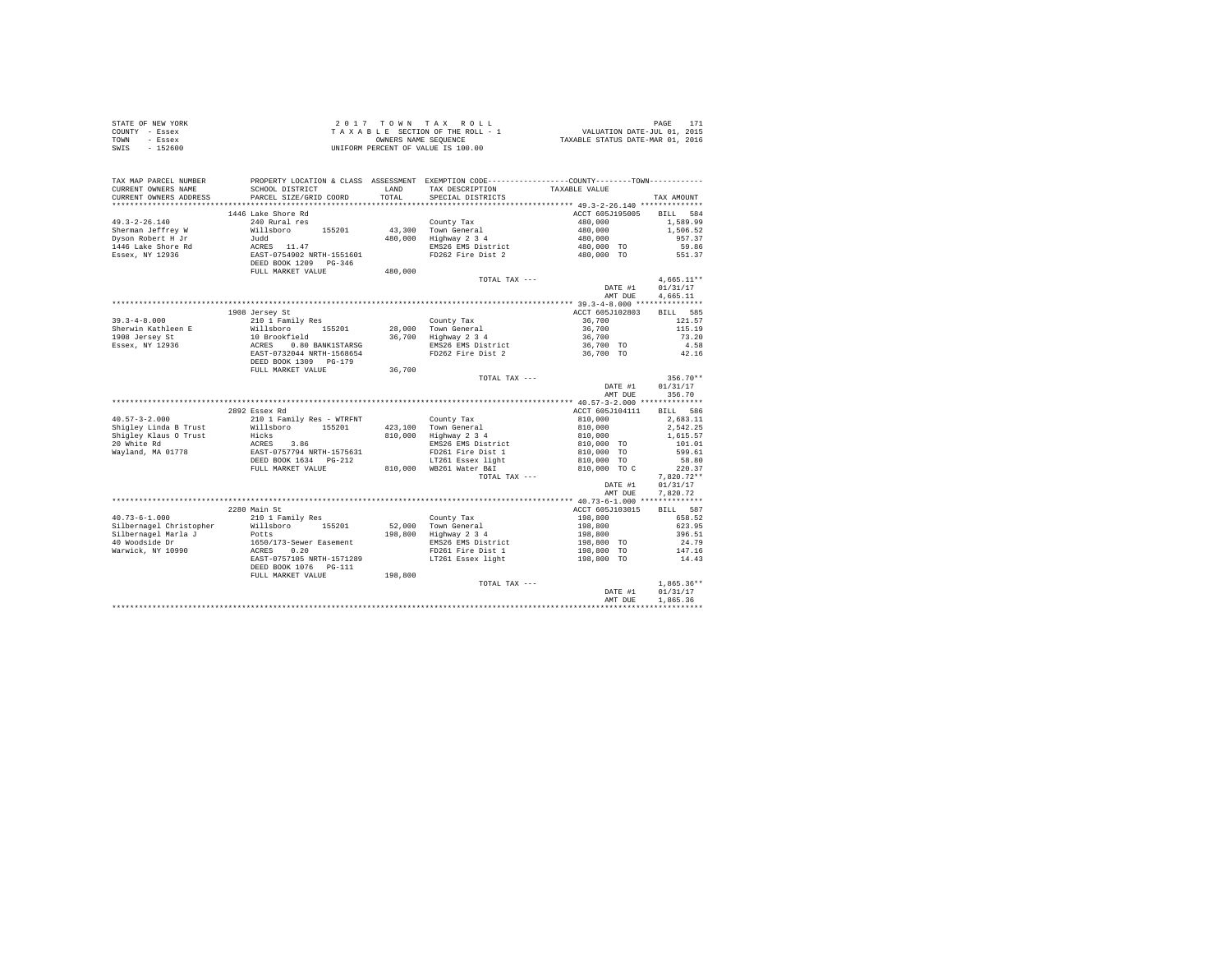| STATE OF NEW YORK | 2017 TOWN TAX ROLL                 | PAGE                             |
|-------------------|------------------------------------|----------------------------------|
| COUNTY - Essex    | TAXABLE SECTION OF THE ROLL - 1    | VALUATION DATE-JUL 01, 2015      |
| TOWN<br>- Essex   | OWNERS NAME SEOUENCE               | TAXABLE STATUS DATE-MAR 01, 2016 |
| SWIS<br>$-152600$ | UNIFORM PERCENT OF VALUE IS 100.00 |                                  |

| CURRENT OWNERS ADDRESS<br>PARCEL SIZE/GRID COORD<br>TOTAL<br>SPECIAL DISTRICTS<br>TAX AMOUNT<br>.<br>********************************** 49.3-2-26.140 **************<br>.<br>1446 Lake Shore Rd<br>ACCT 605J195005<br><b>BILL</b><br>240 Rural res<br>County Tax<br>480,000<br>1,589.99<br>Willsboro<br>155201<br>43,300<br>Town General<br>480,000<br>1,506.52 |            |
|-----------------------------------------------------------------------------------------------------------------------------------------------------------------------------------------------------------------------------------------------------------------------------------------------------------------------------------------------------------------|------------|
|                                                                                                                                                                                                                                                                                                                                                                 |            |
| $49.3 - 2 - 26.140$<br>Sherman Jeffrey W                                                                                                                                                                                                                                                                                                                        |            |
|                                                                                                                                                                                                                                                                                                                                                                 | 584        |
|                                                                                                                                                                                                                                                                                                                                                                 |            |
|                                                                                                                                                                                                                                                                                                                                                                 |            |
| Dyson Robert H Jr<br>480,000<br>Highway 2 3 4<br>Judd<br>480,000                                                                                                                                                                                                                                                                                                | 957.37     |
| 1446 Lake Shore Rd<br>EMS26 EMS District<br>ACRES 11.47<br>480,000 TO                                                                                                                                                                                                                                                                                           | 59.86      |
| Essex, NY 12936<br>EAST-0754902 NRTH-1551601<br>FD262 Fire Dist 2<br>480,000 TO<br>DEED BOOK 1209 PG-346                                                                                                                                                                                                                                                        | 551.37     |
| FULL MARKET VALUE<br>480,000                                                                                                                                                                                                                                                                                                                                    |            |
| $4,665.11**$<br>TOTAL TAX ---                                                                                                                                                                                                                                                                                                                                   |            |
| 01/31/17<br>DATE #1                                                                                                                                                                                                                                                                                                                                             |            |
| 4,665.11<br>AMT DUE                                                                                                                                                                                                                                                                                                                                             |            |
|                                                                                                                                                                                                                                                                                                                                                                 |            |
| ACCT 605J102803<br>1908 Jersey St<br>BILL 585                                                                                                                                                                                                                                                                                                                   |            |
| $39.3 - 4 - 8.000$<br>210 1 Family Res<br>36,700<br>County Tax                                                                                                                                                                                                                                                                                                  | 121.57     |
| 28,000<br>Sherwin Kathleen E<br>155201<br>Town General<br>36,700<br>Willsboro                                                                                                                                                                                                                                                                                   | 115.19     |
| 1908 Jersey St<br>36,700<br>Highway 2 3 4<br>10 Brookfield<br>36,700                                                                                                                                                                                                                                                                                            | 73.20      |
| Essex, NY 12936<br>0.80 BANK1STARSG<br>EMS26 EMS District<br>ACRES<br>36,700 TO                                                                                                                                                                                                                                                                                 | 4.58       |
| EAST-0732044 NRTH-1568654<br>FD262 Fire Dist 2<br>36,700 TO                                                                                                                                                                                                                                                                                                     | 42.16      |
| DEED BOOK 1309 PG-179                                                                                                                                                                                                                                                                                                                                           |            |
| 36,700<br>FULL MARKET VALUE                                                                                                                                                                                                                                                                                                                                     |            |
| TOTAL TAX ---                                                                                                                                                                                                                                                                                                                                                   | $356.70**$ |
|                                                                                                                                                                                                                                                                                                                                                                 |            |
| 01/31/17<br>DATE #1<br>356.70                                                                                                                                                                                                                                                                                                                                   |            |
| AMT DUE                                                                                                                                                                                                                                                                                                                                                         |            |
|                                                                                                                                                                                                                                                                                                                                                                 |            |
| 2892 Essex Rd<br>ACCT 605J104111<br><b>BILL</b>                                                                                                                                                                                                                                                                                                                 | 586        |
| $40.57 - 3 - 2.000$<br>210 1 Family Res - WTRFNT<br>810,000<br>County Tax                                                                                                                                                                                                                                                                                       | 2,683.11   |
| Shiqley Linda B Trust<br>Willsboro 155201<br>423.100 Town General<br>810,000                                                                                                                                                                                                                                                                                    | 2.542.25   |
| Shigley Klaus 0 Trust<br>810,000<br>Highway 2 3 4<br>Hicks<br>810,000                                                                                                                                                                                                                                                                                           | 1,615.57   |
| 20 White Rd<br>3.86<br>EMS26 EMS District<br>ACRES<br>810,000 TO                                                                                                                                                                                                                                                                                                | 101.01     |
| EAST-0757794 NRTH-1575631<br>Wayland, MA 01778<br>FD261 Fire Dist 1<br>810,000 TO                                                                                                                                                                                                                                                                               | 599.61     |
| DEED BOOK 1634    PG-212<br>LT261 Essex light<br>810,000 TO                                                                                                                                                                                                                                                                                                     | 58.80      |
| FULL MARKET VALUE<br>810,000 WB261 Water B&I<br>810,000 TO C                                                                                                                                                                                                                                                                                                    | 220.37     |
| TOTAL TAX ---<br>$7,820.72**$                                                                                                                                                                                                                                                                                                                                   |            |
| 01/31/17<br>DATE #1                                                                                                                                                                                                                                                                                                                                             |            |
| 7,820.72<br>AMT DUE                                                                                                                                                                                                                                                                                                                                             |            |
|                                                                                                                                                                                                                                                                                                                                                                 |            |
| 2280 Main St<br>ACCT 605J103015<br>BILL 587                                                                                                                                                                                                                                                                                                                     |            |
| $40.73 - 6 - 1.000$<br>210 1 Family Res<br>198,800<br>County Tax                                                                                                                                                                                                                                                                                                | 658.52     |
| Silbernagel Christopher<br>155201<br>52,000<br>Town General<br>Willsboro<br>198,800                                                                                                                                                                                                                                                                             | 623.95     |
| Silbernagel Marla J<br>198,800<br>Highway 2 3 4<br>198,800<br>Potts                                                                                                                                                                                                                                                                                             | 396.51     |
| 40 Woodside Dr<br>1650/173-Sewer Easement<br>EMS26 EMS District<br>198,800 TO                                                                                                                                                                                                                                                                                   | 24.79      |
| Warwick, NY 10990<br>ACRES<br>0.20<br>FD261 Fire Dist 1<br>198,800 TO                                                                                                                                                                                                                                                                                           | 147.16     |
| EAST-0757105 NRTH-1571289<br>LT261 Essex light<br>198,800 TO                                                                                                                                                                                                                                                                                                    | 14.43      |
| DEED BOOK 1076 PG-111                                                                                                                                                                                                                                                                                                                                           |            |
| 198,800<br>FULL MARKET VALUE                                                                                                                                                                                                                                                                                                                                    |            |
| $1,865.36**$<br>TOTAL TAX ---                                                                                                                                                                                                                                                                                                                                   |            |
| 01/31/17<br>DATE #1                                                                                                                                                                                                                                                                                                                                             |            |
| AMT DUE<br>1,865.36                                                                                                                                                                                                                                                                                                                                             |            |
|                                                                                                                                                                                                                                                                                                                                                                 |            |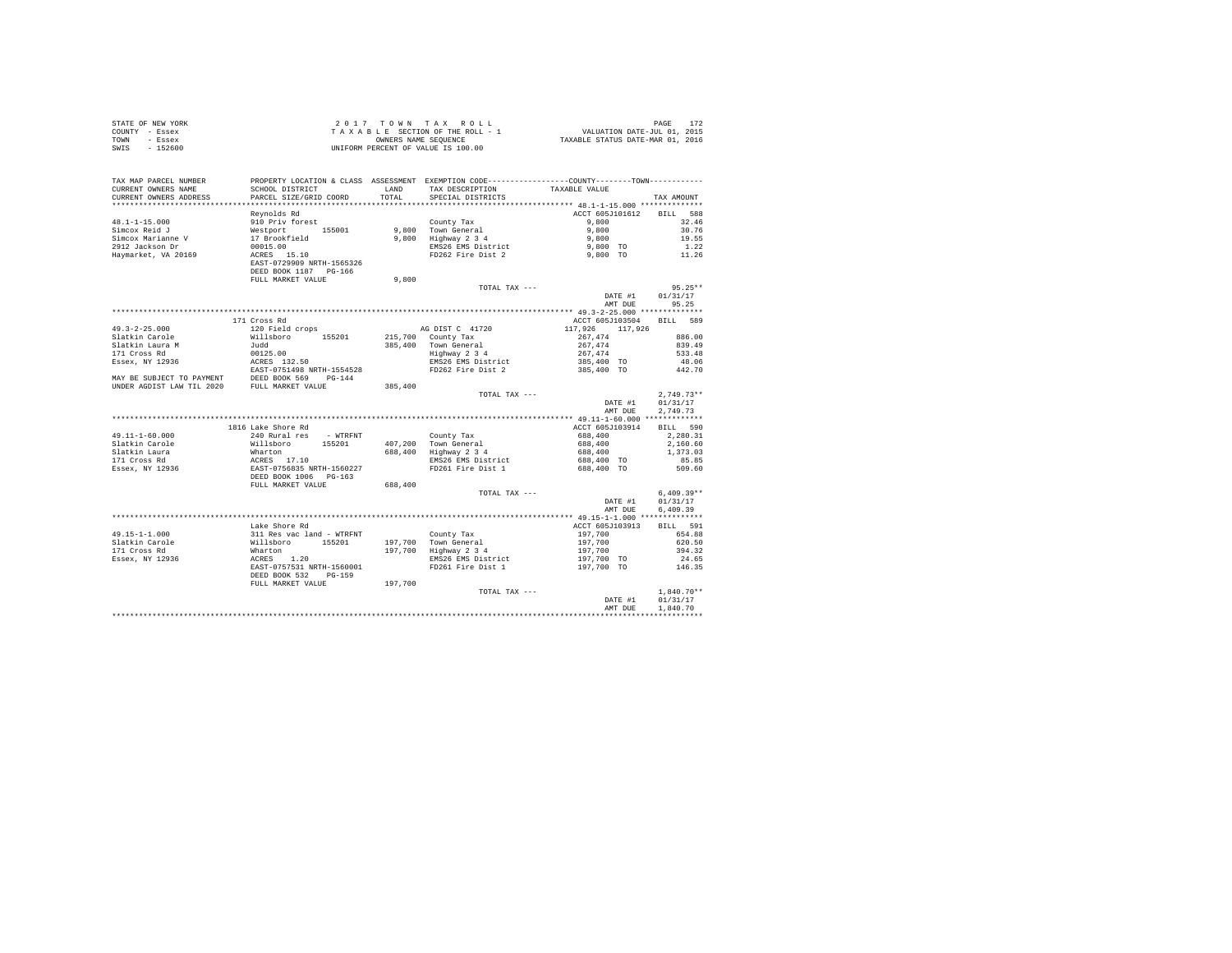|                | STATE OF NEW YORK | 2017 TOWN TAX ROLL                 | PAGE                             |
|----------------|-------------------|------------------------------------|----------------------------------|
| COUNTY - Essex |                   | TAXABLE SECTION OF THE ROLL - 1    | VALUATION DATE-JUL 01, 2015      |
| TOWN           | - Essex           | OWNERS NAME SEOUENCE               | TAXABLE STATUS DATE-MAR 01, 2016 |
| SWIS           | - 152600          | UNIFORM PERCENT OF VALUE IS 100.00 |                                  |

| Reynolds Rd<br>ACCT 605J101612<br>BILL 588<br>910 Priv forest<br>$48.1 - 1 - 15.000$<br>County Tax<br>9,800 Town General<br>9,800 Tighway 2 3 4<br>9,800 EMS26 EMS District<br>2 9,800 To EMS26 EMS<br>2 9,800 To<br>262 Fire Dist 2 9,800 To<br>32.46<br>Simcox Reid J<br>%<br>Westport 155001<br>17 Brookfield<br>00015.00<br>ACRES 15.10<br>Westport 155001<br>30.76<br>Simcox Marianne V<br>19.55<br>2912 Jackson Dr<br>$\begin{array}{c} 1.22 \\ 11.26 \end{array}$<br>Haymarket, VA 20169<br>EAST-0729909 NRTH-1565326<br>DEED BOOK 1187    PG-166<br>FULL MARKET VALUE<br>9,800<br>$95.25**$<br>TOTAL TAX ---<br>DATE #1<br>01/31/17<br>95.25<br>AMT DUE<br>171 Cross Rd<br>ACCT 605J103504 BILL 589<br>$49.3 - 2 - 25.000$<br>$\begin{tabular}{lllllllllllll} $\times$ & $\times$ & $\times$ & $\times$ & $\times$ & $\times$ & $\times$ & $\times$ & $\times$ \\ \hline \texttt{Willsboro} & 155201 & 215,700 & County Tax \\ \texttt{Judd} & $\times$ & $\times$ & $\times$ & $\times$ & $\times$ \\ \end{tabular}$<br>$117,926$ $117,926$<br>Slatkin Carole<br>$267,474$<br>$267,474$<br>$267,474$<br>$385,400$ TO<br>886.00<br>Slatkin Larver<br>Slatkin Laura M<br>171 Cross Rd<br>Essex, NY 12936<br>839.49<br>Town Generai<br>Highway 2 3 4<br>EMS26 EMS District<br>533.48<br>48.06<br>385,400 TO<br>FD262 Fire Dist 2<br>442.70<br>385,400<br>$2.749.73**$<br>TOTAL TAX ---<br>DATE #1<br>01/31/17<br>AMT DUE<br>2.749.73<br>1816 Lake Shore Rd<br>ACCT 605J103914<br>BILL 590<br>$49.11 - 1 - 60.000$<br>240 Rural res - WTRFNT<br>County Tax<br>$688,400$<br>$688,400$<br>$688,400$<br>$688,400$ TO<br>$688,400$ TO<br>$688,400$ TO<br>2,280.31<br>Nillaboro 155201 County Tax<br>Willaboro 155201 407,200 Town General<br>Mharton 155201 407,200 Town General<br>ACRES 17.10 688,400 Highway 2 3 4<br>RMS26 EMS District<br>RAST-0756835 RRTH-1560227<br>DEED BOOK 1006 PG-163<br>Slatkin Carole<br>2,160.60<br>Slatkin Laura<br>1,373.03<br>171 Cross Rd<br>Essex, NY 12936<br>EMS26 EMS District<br>85.85<br>FD261 Fire Dist 1<br>509.60<br>FULL MARKET VALUE<br>688,400<br>$6,409.39**$<br>TOTAL TAX ---<br>DATE #1<br>01/31/17<br>6,409.39<br>AMT DUE<br>Lake Shore Rd<br>ACCT 605J103913<br>BILL 591<br>Amace Annus Ruille (1997)<br>Milleboro 155201 197,700 Town General<br>Mharton 155201 197,700 Highway 234<br>ACRES 1.20<br>ACRES 10.001 EMS26 EMS DESPERANCE<br>EAST-0757531 NRTH-1560001 FD261 Fire Dist 1<br>49.15-1-1.000<br>197,700<br>654.88<br>197,700 Town General<br>197,700 Highway 2 3 4<br>Slatkin Carole<br>197,700<br>197,700<br>197,700 TO<br>620.50<br>Slatkin Carole<br>171 Cross Rd<br>Essex, NY 12936<br>394.32<br>EMS26 EMS District<br>24.65<br>FD261 Fire Dist 1<br>197,700 TO<br>146.35<br>DEED BOOK 532 PG-159<br>FULL MARKET VALUE<br>197.700<br>$1.840.70**$<br>TOTAL TAX ---<br>DATE #1<br>01/31/17<br>1,840.70<br>AMT DUE | TAX MAP PARCEL NUMBER<br>CURRENT OWNERS NAME | PROPERTY LOCATION & CLASS ASSESSMENT EXEMPTION CODE----------------COUNTY-------TOWN----------<br>SCHOOL DISTRICT | <b>T.AND</b> | TAX DESCRIPTION   | TAXABLE VALUE |            |
|--------------------------------------------------------------------------------------------------------------------------------------------------------------------------------------------------------------------------------------------------------------------------------------------------------------------------------------------------------------------------------------------------------------------------------------------------------------------------------------------------------------------------------------------------------------------------------------------------------------------------------------------------------------------------------------------------------------------------------------------------------------------------------------------------------------------------------------------------------------------------------------------------------------------------------------------------------------------------------------------------------------------------------------------------------------------------------------------------------------------------------------------------------------------------------------------------------------------------------------------------------------------------------------------------------------------------------------------------------------------------------------------------------------------------------------------------------------------------------------------------------------------------------------------------------------------------------------------------------------------------------------------------------------------------------------------------------------------------------------------------------------------------------------------------------------------------------------------------------------------------------------------------------------------------------------------------------------------------------------------------------------------------------------------------------------------------------------------------------------------------------------------------------------------------------------------------------------------------------------------------------------------------------------------------------------------------------------------------------------------------------------------------------------------------------------------------------------------------------------------------------------------------------------------------------------------------------------------------------------------------------------------------------------------------------------------------------------------------------------------------------------------------------------------------------------------------------------------------------------------------------------|----------------------------------------------|-------------------------------------------------------------------------------------------------------------------|--------------|-------------------|---------------|------------|
|                                                                                                                                                                                                                                                                                                                                                                                                                                                                                                                                                                                                                                                                                                                                                                                                                                                                                                                                                                                                                                                                                                                                                                                                                                                                                                                                                                                                                                                                                                                                                                                                                                                                                                                                                                                                                                                                                                                                                                                                                                                                                                                                                                                                                                                                                                                                                                                                                                                                                                                                                                                                                                                                                                                                                                                                                                                                                      | CURRENT OWNERS ADDRESS                       | PARCEL SIZE/GRID COORD                                                                                            | TOTAL        | SPECIAL DISTRICTS |               | TAX AMOUNT |
|                                                                                                                                                                                                                                                                                                                                                                                                                                                                                                                                                                                                                                                                                                                                                                                                                                                                                                                                                                                                                                                                                                                                                                                                                                                                                                                                                                                                                                                                                                                                                                                                                                                                                                                                                                                                                                                                                                                                                                                                                                                                                                                                                                                                                                                                                                                                                                                                                                                                                                                                                                                                                                                                                                                                                                                                                                                                                      |                                              |                                                                                                                   |              |                   |               |            |
|                                                                                                                                                                                                                                                                                                                                                                                                                                                                                                                                                                                                                                                                                                                                                                                                                                                                                                                                                                                                                                                                                                                                                                                                                                                                                                                                                                                                                                                                                                                                                                                                                                                                                                                                                                                                                                                                                                                                                                                                                                                                                                                                                                                                                                                                                                                                                                                                                                                                                                                                                                                                                                                                                                                                                                                                                                                                                      |                                              |                                                                                                                   |              |                   |               |            |
|                                                                                                                                                                                                                                                                                                                                                                                                                                                                                                                                                                                                                                                                                                                                                                                                                                                                                                                                                                                                                                                                                                                                                                                                                                                                                                                                                                                                                                                                                                                                                                                                                                                                                                                                                                                                                                                                                                                                                                                                                                                                                                                                                                                                                                                                                                                                                                                                                                                                                                                                                                                                                                                                                                                                                                                                                                                                                      |                                              |                                                                                                                   |              |                   |               |            |
|                                                                                                                                                                                                                                                                                                                                                                                                                                                                                                                                                                                                                                                                                                                                                                                                                                                                                                                                                                                                                                                                                                                                                                                                                                                                                                                                                                                                                                                                                                                                                                                                                                                                                                                                                                                                                                                                                                                                                                                                                                                                                                                                                                                                                                                                                                                                                                                                                                                                                                                                                                                                                                                                                                                                                                                                                                                                                      |                                              |                                                                                                                   |              |                   |               |            |
|                                                                                                                                                                                                                                                                                                                                                                                                                                                                                                                                                                                                                                                                                                                                                                                                                                                                                                                                                                                                                                                                                                                                                                                                                                                                                                                                                                                                                                                                                                                                                                                                                                                                                                                                                                                                                                                                                                                                                                                                                                                                                                                                                                                                                                                                                                                                                                                                                                                                                                                                                                                                                                                                                                                                                                                                                                                                                      |                                              |                                                                                                                   |              |                   |               |            |
|                                                                                                                                                                                                                                                                                                                                                                                                                                                                                                                                                                                                                                                                                                                                                                                                                                                                                                                                                                                                                                                                                                                                                                                                                                                                                                                                                                                                                                                                                                                                                                                                                                                                                                                                                                                                                                                                                                                                                                                                                                                                                                                                                                                                                                                                                                                                                                                                                                                                                                                                                                                                                                                                                                                                                                                                                                                                                      |                                              |                                                                                                                   |              |                   |               |            |
|                                                                                                                                                                                                                                                                                                                                                                                                                                                                                                                                                                                                                                                                                                                                                                                                                                                                                                                                                                                                                                                                                                                                                                                                                                                                                                                                                                                                                                                                                                                                                                                                                                                                                                                                                                                                                                                                                                                                                                                                                                                                                                                                                                                                                                                                                                                                                                                                                                                                                                                                                                                                                                                                                                                                                                                                                                                                                      |                                              |                                                                                                                   |              |                   |               |            |
|                                                                                                                                                                                                                                                                                                                                                                                                                                                                                                                                                                                                                                                                                                                                                                                                                                                                                                                                                                                                                                                                                                                                                                                                                                                                                                                                                                                                                                                                                                                                                                                                                                                                                                                                                                                                                                                                                                                                                                                                                                                                                                                                                                                                                                                                                                                                                                                                                                                                                                                                                                                                                                                                                                                                                                                                                                                                                      |                                              |                                                                                                                   |              |                   |               |            |
|                                                                                                                                                                                                                                                                                                                                                                                                                                                                                                                                                                                                                                                                                                                                                                                                                                                                                                                                                                                                                                                                                                                                                                                                                                                                                                                                                                                                                                                                                                                                                                                                                                                                                                                                                                                                                                                                                                                                                                                                                                                                                                                                                                                                                                                                                                                                                                                                                                                                                                                                                                                                                                                                                                                                                                                                                                                                                      |                                              |                                                                                                                   |              |                   |               |            |
|                                                                                                                                                                                                                                                                                                                                                                                                                                                                                                                                                                                                                                                                                                                                                                                                                                                                                                                                                                                                                                                                                                                                                                                                                                                                                                                                                                                                                                                                                                                                                                                                                                                                                                                                                                                                                                                                                                                                                                                                                                                                                                                                                                                                                                                                                                                                                                                                                                                                                                                                                                                                                                                                                                                                                                                                                                                                                      |                                              |                                                                                                                   |              |                   |               |            |
|                                                                                                                                                                                                                                                                                                                                                                                                                                                                                                                                                                                                                                                                                                                                                                                                                                                                                                                                                                                                                                                                                                                                                                                                                                                                                                                                                                                                                                                                                                                                                                                                                                                                                                                                                                                                                                                                                                                                                                                                                                                                                                                                                                                                                                                                                                                                                                                                                                                                                                                                                                                                                                                                                                                                                                                                                                                                                      |                                              |                                                                                                                   |              |                   |               |            |
|                                                                                                                                                                                                                                                                                                                                                                                                                                                                                                                                                                                                                                                                                                                                                                                                                                                                                                                                                                                                                                                                                                                                                                                                                                                                                                                                                                                                                                                                                                                                                                                                                                                                                                                                                                                                                                                                                                                                                                                                                                                                                                                                                                                                                                                                                                                                                                                                                                                                                                                                                                                                                                                                                                                                                                                                                                                                                      |                                              |                                                                                                                   |              |                   |               |            |
|                                                                                                                                                                                                                                                                                                                                                                                                                                                                                                                                                                                                                                                                                                                                                                                                                                                                                                                                                                                                                                                                                                                                                                                                                                                                                                                                                                                                                                                                                                                                                                                                                                                                                                                                                                                                                                                                                                                                                                                                                                                                                                                                                                                                                                                                                                                                                                                                                                                                                                                                                                                                                                                                                                                                                                                                                                                                                      |                                              |                                                                                                                   |              |                   |               |            |
|                                                                                                                                                                                                                                                                                                                                                                                                                                                                                                                                                                                                                                                                                                                                                                                                                                                                                                                                                                                                                                                                                                                                                                                                                                                                                                                                                                                                                                                                                                                                                                                                                                                                                                                                                                                                                                                                                                                                                                                                                                                                                                                                                                                                                                                                                                                                                                                                                                                                                                                                                                                                                                                                                                                                                                                                                                                                                      |                                              |                                                                                                                   |              |                   |               |            |
|                                                                                                                                                                                                                                                                                                                                                                                                                                                                                                                                                                                                                                                                                                                                                                                                                                                                                                                                                                                                                                                                                                                                                                                                                                                                                                                                                                                                                                                                                                                                                                                                                                                                                                                                                                                                                                                                                                                                                                                                                                                                                                                                                                                                                                                                                                                                                                                                                                                                                                                                                                                                                                                                                                                                                                                                                                                                                      |                                              |                                                                                                                   |              |                   |               |            |
|                                                                                                                                                                                                                                                                                                                                                                                                                                                                                                                                                                                                                                                                                                                                                                                                                                                                                                                                                                                                                                                                                                                                                                                                                                                                                                                                                                                                                                                                                                                                                                                                                                                                                                                                                                                                                                                                                                                                                                                                                                                                                                                                                                                                                                                                                                                                                                                                                                                                                                                                                                                                                                                                                                                                                                                                                                                                                      |                                              |                                                                                                                   |              |                   |               |            |
|                                                                                                                                                                                                                                                                                                                                                                                                                                                                                                                                                                                                                                                                                                                                                                                                                                                                                                                                                                                                                                                                                                                                                                                                                                                                                                                                                                                                                                                                                                                                                                                                                                                                                                                                                                                                                                                                                                                                                                                                                                                                                                                                                                                                                                                                                                                                                                                                                                                                                                                                                                                                                                                                                                                                                                                                                                                                                      |                                              |                                                                                                                   |              |                   |               |            |
|                                                                                                                                                                                                                                                                                                                                                                                                                                                                                                                                                                                                                                                                                                                                                                                                                                                                                                                                                                                                                                                                                                                                                                                                                                                                                                                                                                                                                                                                                                                                                                                                                                                                                                                                                                                                                                                                                                                                                                                                                                                                                                                                                                                                                                                                                                                                                                                                                                                                                                                                                                                                                                                                                                                                                                                                                                                                                      |                                              |                                                                                                                   |              |                   |               |            |
|                                                                                                                                                                                                                                                                                                                                                                                                                                                                                                                                                                                                                                                                                                                                                                                                                                                                                                                                                                                                                                                                                                                                                                                                                                                                                                                                                                                                                                                                                                                                                                                                                                                                                                                                                                                                                                                                                                                                                                                                                                                                                                                                                                                                                                                                                                                                                                                                                                                                                                                                                                                                                                                                                                                                                                                                                                                                                      |                                              |                                                                                                                   |              |                   |               |            |
|                                                                                                                                                                                                                                                                                                                                                                                                                                                                                                                                                                                                                                                                                                                                                                                                                                                                                                                                                                                                                                                                                                                                                                                                                                                                                                                                                                                                                                                                                                                                                                                                                                                                                                                                                                                                                                                                                                                                                                                                                                                                                                                                                                                                                                                                                                                                                                                                                                                                                                                                                                                                                                                                                                                                                                                                                                                                                      |                                              |                                                                                                                   |              |                   |               |            |
|                                                                                                                                                                                                                                                                                                                                                                                                                                                                                                                                                                                                                                                                                                                                                                                                                                                                                                                                                                                                                                                                                                                                                                                                                                                                                                                                                                                                                                                                                                                                                                                                                                                                                                                                                                                                                                                                                                                                                                                                                                                                                                                                                                                                                                                                                                                                                                                                                                                                                                                                                                                                                                                                                                                                                                                                                                                                                      |                                              |                                                                                                                   |              |                   |               |            |
|                                                                                                                                                                                                                                                                                                                                                                                                                                                                                                                                                                                                                                                                                                                                                                                                                                                                                                                                                                                                                                                                                                                                                                                                                                                                                                                                                                                                                                                                                                                                                                                                                                                                                                                                                                                                                                                                                                                                                                                                                                                                                                                                                                                                                                                                                                                                                                                                                                                                                                                                                                                                                                                                                                                                                                                                                                                                                      |                                              |                                                                                                                   |              |                   |               |            |
|                                                                                                                                                                                                                                                                                                                                                                                                                                                                                                                                                                                                                                                                                                                                                                                                                                                                                                                                                                                                                                                                                                                                                                                                                                                                                                                                                                                                                                                                                                                                                                                                                                                                                                                                                                                                                                                                                                                                                                                                                                                                                                                                                                                                                                                                                                                                                                                                                                                                                                                                                                                                                                                                                                                                                                                                                                                                                      |                                              |                                                                                                                   |              |                   |               |            |
|                                                                                                                                                                                                                                                                                                                                                                                                                                                                                                                                                                                                                                                                                                                                                                                                                                                                                                                                                                                                                                                                                                                                                                                                                                                                                                                                                                                                                                                                                                                                                                                                                                                                                                                                                                                                                                                                                                                                                                                                                                                                                                                                                                                                                                                                                                                                                                                                                                                                                                                                                                                                                                                                                                                                                                                                                                                                                      |                                              |                                                                                                                   |              |                   |               |            |
|                                                                                                                                                                                                                                                                                                                                                                                                                                                                                                                                                                                                                                                                                                                                                                                                                                                                                                                                                                                                                                                                                                                                                                                                                                                                                                                                                                                                                                                                                                                                                                                                                                                                                                                                                                                                                                                                                                                                                                                                                                                                                                                                                                                                                                                                                                                                                                                                                                                                                                                                                                                                                                                                                                                                                                                                                                                                                      |                                              |                                                                                                                   |              |                   |               |            |
|                                                                                                                                                                                                                                                                                                                                                                                                                                                                                                                                                                                                                                                                                                                                                                                                                                                                                                                                                                                                                                                                                                                                                                                                                                                                                                                                                                                                                                                                                                                                                                                                                                                                                                                                                                                                                                                                                                                                                                                                                                                                                                                                                                                                                                                                                                                                                                                                                                                                                                                                                                                                                                                                                                                                                                                                                                                                                      |                                              |                                                                                                                   |              |                   |               |            |
|                                                                                                                                                                                                                                                                                                                                                                                                                                                                                                                                                                                                                                                                                                                                                                                                                                                                                                                                                                                                                                                                                                                                                                                                                                                                                                                                                                                                                                                                                                                                                                                                                                                                                                                                                                                                                                                                                                                                                                                                                                                                                                                                                                                                                                                                                                                                                                                                                                                                                                                                                                                                                                                                                                                                                                                                                                                                                      |                                              |                                                                                                                   |              |                   |               |            |
|                                                                                                                                                                                                                                                                                                                                                                                                                                                                                                                                                                                                                                                                                                                                                                                                                                                                                                                                                                                                                                                                                                                                                                                                                                                                                                                                                                                                                                                                                                                                                                                                                                                                                                                                                                                                                                                                                                                                                                                                                                                                                                                                                                                                                                                                                                                                                                                                                                                                                                                                                                                                                                                                                                                                                                                                                                                                                      |                                              |                                                                                                                   |              |                   |               |            |
|                                                                                                                                                                                                                                                                                                                                                                                                                                                                                                                                                                                                                                                                                                                                                                                                                                                                                                                                                                                                                                                                                                                                                                                                                                                                                                                                                                                                                                                                                                                                                                                                                                                                                                                                                                                                                                                                                                                                                                                                                                                                                                                                                                                                                                                                                                                                                                                                                                                                                                                                                                                                                                                                                                                                                                                                                                                                                      |                                              |                                                                                                                   |              |                   |               |            |
|                                                                                                                                                                                                                                                                                                                                                                                                                                                                                                                                                                                                                                                                                                                                                                                                                                                                                                                                                                                                                                                                                                                                                                                                                                                                                                                                                                                                                                                                                                                                                                                                                                                                                                                                                                                                                                                                                                                                                                                                                                                                                                                                                                                                                                                                                                                                                                                                                                                                                                                                                                                                                                                                                                                                                                                                                                                                                      |                                              |                                                                                                                   |              |                   |               |            |
|                                                                                                                                                                                                                                                                                                                                                                                                                                                                                                                                                                                                                                                                                                                                                                                                                                                                                                                                                                                                                                                                                                                                                                                                                                                                                                                                                                                                                                                                                                                                                                                                                                                                                                                                                                                                                                                                                                                                                                                                                                                                                                                                                                                                                                                                                                                                                                                                                                                                                                                                                                                                                                                                                                                                                                                                                                                                                      |                                              |                                                                                                                   |              |                   |               |            |
|                                                                                                                                                                                                                                                                                                                                                                                                                                                                                                                                                                                                                                                                                                                                                                                                                                                                                                                                                                                                                                                                                                                                                                                                                                                                                                                                                                                                                                                                                                                                                                                                                                                                                                                                                                                                                                                                                                                                                                                                                                                                                                                                                                                                                                                                                                                                                                                                                                                                                                                                                                                                                                                                                                                                                                                                                                                                                      |                                              |                                                                                                                   |              |                   |               |            |
|                                                                                                                                                                                                                                                                                                                                                                                                                                                                                                                                                                                                                                                                                                                                                                                                                                                                                                                                                                                                                                                                                                                                                                                                                                                                                                                                                                                                                                                                                                                                                                                                                                                                                                                                                                                                                                                                                                                                                                                                                                                                                                                                                                                                                                                                                                                                                                                                                                                                                                                                                                                                                                                                                                                                                                                                                                                                                      |                                              |                                                                                                                   |              |                   |               |            |
|                                                                                                                                                                                                                                                                                                                                                                                                                                                                                                                                                                                                                                                                                                                                                                                                                                                                                                                                                                                                                                                                                                                                                                                                                                                                                                                                                                                                                                                                                                                                                                                                                                                                                                                                                                                                                                                                                                                                                                                                                                                                                                                                                                                                                                                                                                                                                                                                                                                                                                                                                                                                                                                                                                                                                                                                                                                                                      |                                              |                                                                                                                   |              |                   |               |            |
|                                                                                                                                                                                                                                                                                                                                                                                                                                                                                                                                                                                                                                                                                                                                                                                                                                                                                                                                                                                                                                                                                                                                                                                                                                                                                                                                                                                                                                                                                                                                                                                                                                                                                                                                                                                                                                                                                                                                                                                                                                                                                                                                                                                                                                                                                                                                                                                                                                                                                                                                                                                                                                                                                                                                                                                                                                                                                      |                                              |                                                                                                                   |              |                   |               |            |
|                                                                                                                                                                                                                                                                                                                                                                                                                                                                                                                                                                                                                                                                                                                                                                                                                                                                                                                                                                                                                                                                                                                                                                                                                                                                                                                                                                                                                                                                                                                                                                                                                                                                                                                                                                                                                                                                                                                                                                                                                                                                                                                                                                                                                                                                                                                                                                                                                                                                                                                                                                                                                                                                                                                                                                                                                                                                                      |                                              |                                                                                                                   |              |                   |               |            |
|                                                                                                                                                                                                                                                                                                                                                                                                                                                                                                                                                                                                                                                                                                                                                                                                                                                                                                                                                                                                                                                                                                                                                                                                                                                                                                                                                                                                                                                                                                                                                                                                                                                                                                                                                                                                                                                                                                                                                                                                                                                                                                                                                                                                                                                                                                                                                                                                                                                                                                                                                                                                                                                                                                                                                                                                                                                                                      |                                              |                                                                                                                   |              |                   |               |            |
|                                                                                                                                                                                                                                                                                                                                                                                                                                                                                                                                                                                                                                                                                                                                                                                                                                                                                                                                                                                                                                                                                                                                                                                                                                                                                                                                                                                                                                                                                                                                                                                                                                                                                                                                                                                                                                                                                                                                                                                                                                                                                                                                                                                                                                                                                                                                                                                                                                                                                                                                                                                                                                                                                                                                                                                                                                                                                      |                                              |                                                                                                                   |              |                   |               |            |
|                                                                                                                                                                                                                                                                                                                                                                                                                                                                                                                                                                                                                                                                                                                                                                                                                                                                                                                                                                                                                                                                                                                                                                                                                                                                                                                                                                                                                                                                                                                                                                                                                                                                                                                                                                                                                                                                                                                                                                                                                                                                                                                                                                                                                                                                                                                                                                                                                                                                                                                                                                                                                                                                                                                                                                                                                                                                                      |                                              |                                                                                                                   |              |                   |               |            |
|                                                                                                                                                                                                                                                                                                                                                                                                                                                                                                                                                                                                                                                                                                                                                                                                                                                                                                                                                                                                                                                                                                                                                                                                                                                                                                                                                                                                                                                                                                                                                                                                                                                                                                                                                                                                                                                                                                                                                                                                                                                                                                                                                                                                                                                                                                                                                                                                                                                                                                                                                                                                                                                                                                                                                                                                                                                                                      |                                              |                                                                                                                   |              |                   |               |            |
|                                                                                                                                                                                                                                                                                                                                                                                                                                                                                                                                                                                                                                                                                                                                                                                                                                                                                                                                                                                                                                                                                                                                                                                                                                                                                                                                                                                                                                                                                                                                                                                                                                                                                                                                                                                                                                                                                                                                                                                                                                                                                                                                                                                                                                                                                                                                                                                                                                                                                                                                                                                                                                                                                                                                                                                                                                                                                      |                                              |                                                                                                                   |              |                   |               |            |
|                                                                                                                                                                                                                                                                                                                                                                                                                                                                                                                                                                                                                                                                                                                                                                                                                                                                                                                                                                                                                                                                                                                                                                                                                                                                                                                                                                                                                                                                                                                                                                                                                                                                                                                                                                                                                                                                                                                                                                                                                                                                                                                                                                                                                                                                                                                                                                                                                                                                                                                                                                                                                                                                                                                                                                                                                                                                                      |                                              |                                                                                                                   |              |                   |               |            |
|                                                                                                                                                                                                                                                                                                                                                                                                                                                                                                                                                                                                                                                                                                                                                                                                                                                                                                                                                                                                                                                                                                                                                                                                                                                                                                                                                                                                                                                                                                                                                                                                                                                                                                                                                                                                                                                                                                                                                                                                                                                                                                                                                                                                                                                                                                                                                                                                                                                                                                                                                                                                                                                                                                                                                                                                                                                                                      |                                              |                                                                                                                   |              |                   |               |            |
|                                                                                                                                                                                                                                                                                                                                                                                                                                                                                                                                                                                                                                                                                                                                                                                                                                                                                                                                                                                                                                                                                                                                                                                                                                                                                                                                                                                                                                                                                                                                                                                                                                                                                                                                                                                                                                                                                                                                                                                                                                                                                                                                                                                                                                                                                                                                                                                                                                                                                                                                                                                                                                                                                                                                                                                                                                                                                      |                                              |                                                                                                                   |              |                   |               |            |
|                                                                                                                                                                                                                                                                                                                                                                                                                                                                                                                                                                                                                                                                                                                                                                                                                                                                                                                                                                                                                                                                                                                                                                                                                                                                                                                                                                                                                                                                                                                                                                                                                                                                                                                                                                                                                                                                                                                                                                                                                                                                                                                                                                                                                                                                                                                                                                                                                                                                                                                                                                                                                                                                                                                                                                                                                                                                                      |                                              |                                                                                                                   |              |                   |               |            |
|                                                                                                                                                                                                                                                                                                                                                                                                                                                                                                                                                                                                                                                                                                                                                                                                                                                                                                                                                                                                                                                                                                                                                                                                                                                                                                                                                                                                                                                                                                                                                                                                                                                                                                                                                                                                                                                                                                                                                                                                                                                                                                                                                                                                                                                                                                                                                                                                                                                                                                                                                                                                                                                                                                                                                                                                                                                                                      |                                              |                                                                                                                   |              |                   |               |            |
|                                                                                                                                                                                                                                                                                                                                                                                                                                                                                                                                                                                                                                                                                                                                                                                                                                                                                                                                                                                                                                                                                                                                                                                                                                                                                                                                                                                                                                                                                                                                                                                                                                                                                                                                                                                                                                                                                                                                                                                                                                                                                                                                                                                                                                                                                                                                                                                                                                                                                                                                                                                                                                                                                                                                                                                                                                                                                      |                                              |                                                                                                                   |              |                   |               |            |
|                                                                                                                                                                                                                                                                                                                                                                                                                                                                                                                                                                                                                                                                                                                                                                                                                                                                                                                                                                                                                                                                                                                                                                                                                                                                                                                                                                                                                                                                                                                                                                                                                                                                                                                                                                                                                                                                                                                                                                                                                                                                                                                                                                                                                                                                                                                                                                                                                                                                                                                                                                                                                                                                                                                                                                                                                                                                                      |                                              |                                                                                                                   |              |                   |               |            |
|                                                                                                                                                                                                                                                                                                                                                                                                                                                                                                                                                                                                                                                                                                                                                                                                                                                                                                                                                                                                                                                                                                                                                                                                                                                                                                                                                                                                                                                                                                                                                                                                                                                                                                                                                                                                                                                                                                                                                                                                                                                                                                                                                                                                                                                                                                                                                                                                                                                                                                                                                                                                                                                                                                                                                                                                                                                                                      |                                              |                                                                                                                   |              |                   |               |            |
|                                                                                                                                                                                                                                                                                                                                                                                                                                                                                                                                                                                                                                                                                                                                                                                                                                                                                                                                                                                                                                                                                                                                                                                                                                                                                                                                                                                                                                                                                                                                                                                                                                                                                                                                                                                                                                                                                                                                                                                                                                                                                                                                                                                                                                                                                                                                                                                                                                                                                                                                                                                                                                                                                                                                                                                                                                                                                      |                                              |                                                                                                                   |              |                   |               |            |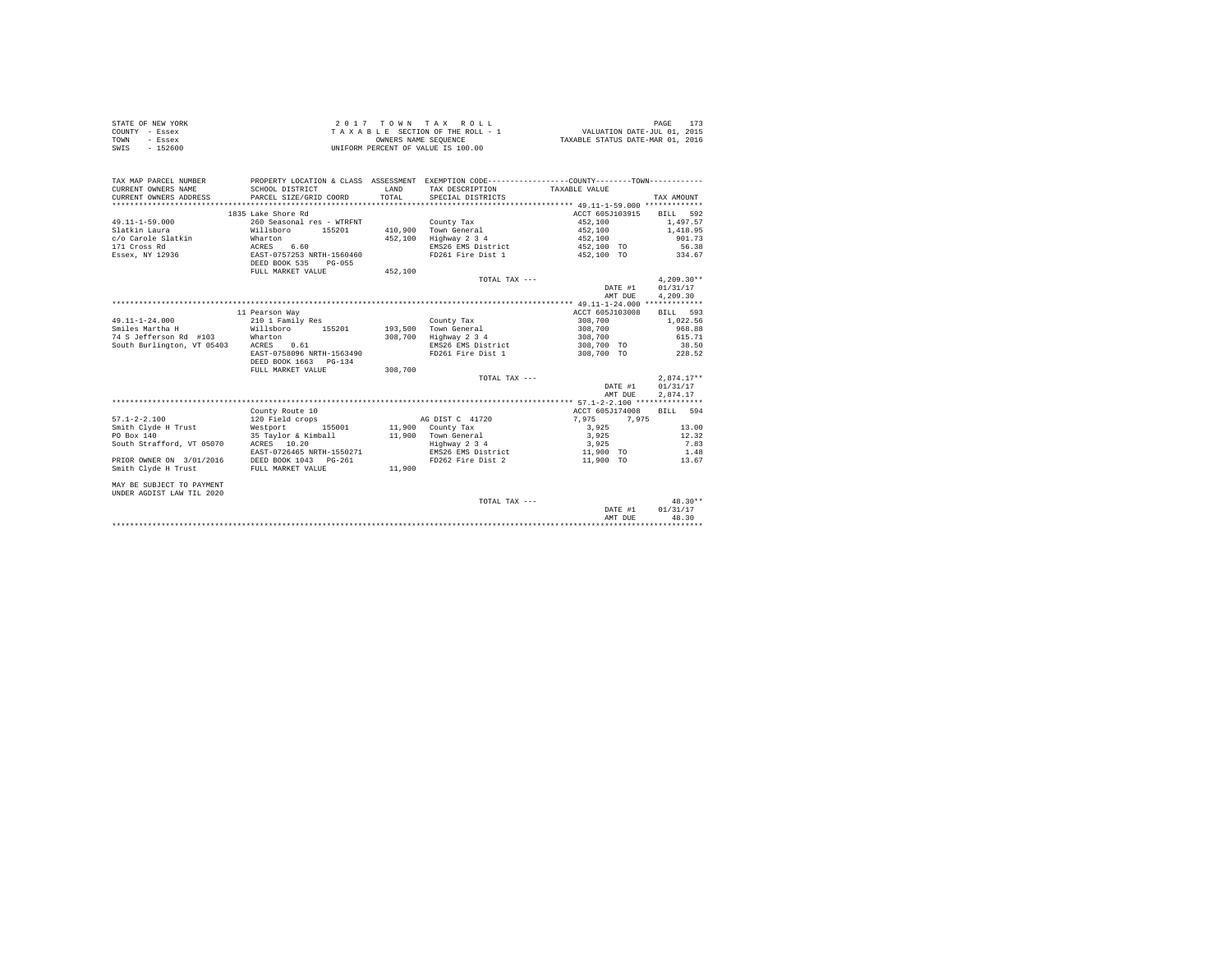| STATE OF NEW YORK | 2017 TOWN TAX ROLL                 | PAGE                             |
|-------------------|------------------------------------|----------------------------------|
| COUNTY - Essex    | TAXABLE SECTION OF THE ROLL - 1    | VALUATION DATE-JUL 01, 2015      |
| TOWN<br>- Essex   | OWNERS NAME SEOUENCE               | TAXABLE STATUS DATE-MAR 01, 2016 |
| $-152600$<br>SWIS | UNIFORM PERCENT OF VALUE IS 100.00 |                                  |

| TAX MAP PARCEL NUMBER<br>CURRENT OWNERS NAME<br>CURRENT OWNERS ADDRESS | SCHOOL DISTRICT<br>PARCEL SIZE/GRID COORD                 | <b>T.AND</b><br>TOTAL | PROPERTY LOCATION & CLASS ASSESSMENT EXEMPTION CODE----------------COUNTY--------TOWN----------<br>TAX DESCRIPTION TAXABLE VALUE<br>SPECIAL DISTRICTS |                 | TAX AMOUNT   |
|------------------------------------------------------------------------|-----------------------------------------------------------|-----------------------|-------------------------------------------------------------------------------------------------------------------------------------------------------|-----------------|--------------|
|                                                                        | 1835 Lake Shore Rd                                        |                       |                                                                                                                                                       | ACCT 605J103915 | BILL 592     |
| $49.11 - 1 - 59.000$                                                   | 260 Seasonal res - WTRFNT                                 |                       | County Tax                                                                                                                                            | 452,100         | 1,497.57     |
| Slatkin Laura                                                          | Willsboro 155201                                          |                       | 410.900 Town General                                                                                                                                  | 452,100         | 1,418.95     |
| c/o Carole Slatkin Wharton                                             |                                                           | 452,100               | Highway 2 3 4                                                                                                                                         | 452,100         | 901.73       |
| 171 Cross Rd                                                           |                                                           |                       | EMS26 EMS District                                                                                                                                    | 452,100 TO      | 56.38        |
| Essex, NY 12936                                                        | ACRES 6.60<br>EAST-0757253 N<br>EAST-0757253 NRTH-1560460 |                       | FD261 Fire Dist 1                                                                                                                                     | 452,100 TO      | 334.67       |
|                                                                        | DEED BOOK 535<br>$PG-055$                                 |                       |                                                                                                                                                       |                 |              |
|                                                                        | FULL MARKET VALUE                                         | 452,100               |                                                                                                                                                       |                 |              |
|                                                                        |                                                           |                       | TOTAL TAX ---                                                                                                                                         |                 | $4.209.30**$ |
|                                                                        |                                                           |                       |                                                                                                                                                       | DATE #1         | 01/31/17     |
|                                                                        |                                                           |                       |                                                                                                                                                       | AMT DUE         | 4,209.30     |
|                                                                        |                                                           |                       |                                                                                                                                                       |                 |              |
|                                                                        | 11 Pearson Way                                            |                       |                                                                                                                                                       | ACCT 605J103008 | BILL 593     |
| 49.11-1-24.000                                                         | 210 1 Family Res                                          |                       | County Tax                                                                                                                                            | 308,700         | 1,022.56     |
| Willsboro<br>Smiles Martha H                                           | 155201                                                    |                       | 193.500 Town General                                                                                                                                  | 308,700         | 968.88       |
| 74 S Jefferson Rd #103 Wharton                                         |                                                           | 308,700               | Highway 2 3 4                                                                                                                                         | 308,700         | 615.71       |
| South Burlington, VT 05403                                             | ACRES 0.61                                                |                       | EMS26 EMS District                                                                                                                                    | 308,700 TO      | 38.50        |
|                                                                        | EAST-0758096 NRTH-1563490                                 |                       | FD261 Fire Dist 1                                                                                                                                     | 308,700 TO      | 228.52       |
|                                                                        | DEED BOOK 1663 PG-134                                     |                       |                                                                                                                                                       |                 |              |
|                                                                        | FULL MARKET VALUE                                         | 308,700               |                                                                                                                                                       |                 |              |
|                                                                        |                                                           |                       | TOTAL TAX ---                                                                                                                                         |                 | $2.874.17**$ |
|                                                                        |                                                           |                       |                                                                                                                                                       | DATE #1         | 01/31/17     |
|                                                                        |                                                           |                       |                                                                                                                                                       | AMT DUE         | 2,874.17     |
|                                                                        |                                                           |                       |                                                                                                                                                       |                 |              |
|                                                                        | County Route 10                                           |                       |                                                                                                                                                       | ACCT 605J174008 | BILL 594     |
| $57.1 - 2 - 2.100$                                                     | 120 Field crops                                           |                       | AG DIST C 41720                                                                                                                                       | 7.975<br>7,975  |              |
| Smith Clyde H Trust                                                    | Westport<br>155001                                        |                       | 11,900 County Tax                                                                                                                                     | 3,925           | 13.00        |
| PO Box 140                                                             | 35 Taylor & Kimball                                       |                       |                                                                                                                                                       | 3,925           | 12.32        |
| South Strafford, VT 05070 ACRES 10.20                                  |                                                           |                       | 11,900 Town General<br>Highway 2 3 4                                                                                                                  | 3,925           | 7.83         |
|                                                                        | EAST-0726465 NRTH-1550271                                 |                       | EMS26 EMS District                                                                                                                                    | 11,900 TO       | 1.48         |
| PRIOR OWNER ON 3/01/2016                                               | DEED BOOK 1043 PG-261                                     |                       | FD262 Fire Dist 2                                                                                                                                     | 11,900 TO       | 13.67        |
| Smith Clyde H Trust                                                    | FULL MARKET VALUE                                         | 11,900                |                                                                                                                                                       |                 |              |
|                                                                        |                                                           |                       |                                                                                                                                                       |                 |              |
| MAY BE SUBJECT TO PAYMENT                                              |                                                           |                       |                                                                                                                                                       |                 |              |
| UNDER AGDIST LAW TIL 2020                                              |                                                           |                       |                                                                                                                                                       |                 |              |
|                                                                        |                                                           |                       | TOTAL TAX ---                                                                                                                                         |                 | $48.30**$    |
|                                                                        |                                                           |                       |                                                                                                                                                       | DATE #1         | 01/31/17     |
|                                                                        |                                                           |                       |                                                                                                                                                       | AMT DUE         | 48.30        |
|                                                                        |                                                           |                       |                                                                                                                                                       |                 |              |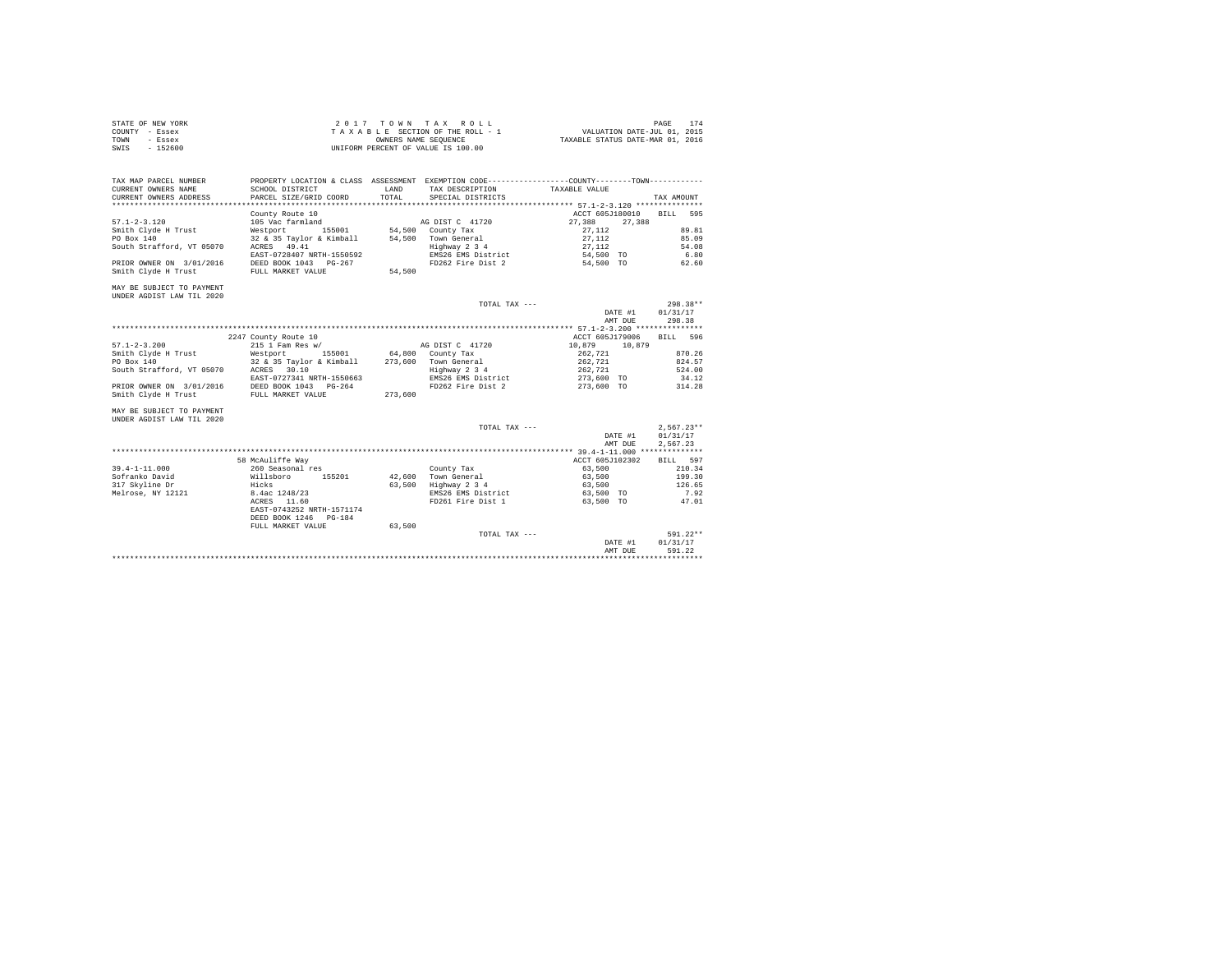| STATE OF NEW YORK | 2017 TOWN TAX ROLL                 | 174<br>PAGE                      |
|-------------------|------------------------------------|----------------------------------|
| COUNTY - Essex    | TAXABLE SECTION OF THE ROLL - 1    | VALUATION DATE-JUL 01, 2015      |
| TOWN<br>- Essex   | OWNERS NAME SEOUENCE               | TAXABLE STATUS DATE-MAR 01, 2016 |
| $-152600$<br>SWIS | UNIFORM PERCENT OF VALUE IS 100.00 |                                  |

| CURRENT OWNERS NAME                   | SCHOOL DISTRICT                                              | T.AND   | TAX DESCRIPTION              | PROPERTY LOCATION & CLASS ASSESSMENT EXEMPTION CODE---------------COUNTY-------TOWN---------<br>TAXABLE VALUE |                  |
|---------------------------------------|--------------------------------------------------------------|---------|------------------------------|---------------------------------------------------------------------------------------------------------------|------------------|
| CURRENT OWNERS ADDRESS                | PARCEL SIZE/GRID COORD                                       | TOTAL.  | SPECIAL DISTRICTS            |                                                                                                               | TAX AMOUNT       |
|                                       |                                                              |         |                              |                                                                                                               |                  |
| $57.1 - 2 - 3.120$                    | County Route 10<br>105 Vac farmland                          |         | AG DIST C 41720              | ACCT 605J180010<br>27,388 27,388                                                                              | BILL 595         |
|                                       | Smith Clyde H Trust <b>Westport</b> 155001 54,500 County Tax |         |                              | 27.112                                                                                                        | 89.81            |
| PO Box 140                            | 32 & 35 Taylor & Kimball 54,500 Town General                 |         |                              | 27.112                                                                                                        | 85.09            |
| South Strafford, VT 05070 ACRES 49.41 |                                                              |         | Highway 2 3 4 27, 112        |                                                                                                               | 54.08            |
|                                       | EAST-0728407 NRTH-1550592                                    |         | EMS26 EMS District 54,500 TO |                                                                                                               | 6.80             |
| PRIOR OWNER ON 3/01/2016              | DEED BOOK 1043 PG-267                                        |         | FD262 Fire Dist 2 54,500 TO  |                                                                                                               | 62.60            |
| Smith Clyde H Trust                   | FULL MARKET VALUE                                            | 54,500  |                              |                                                                                                               |                  |
|                                       |                                                              |         |                              |                                                                                                               |                  |
| MAY BE SUBJECT TO PAYMENT             |                                                              |         |                              |                                                                                                               |                  |
| UNDER AGDIST LAW TIL 2020             |                                                              |         |                              |                                                                                                               |                  |
|                                       |                                                              |         | TOTAL TAX $---$              |                                                                                                               | $298.38**$       |
|                                       |                                                              |         |                              |                                                                                                               | DATE #1 01/31/17 |
|                                       |                                                              |         |                              | AMT DUE                                                                                                       | 298.38           |
|                                       |                                                              |         |                              |                                                                                                               |                  |
|                                       | 2247 County Route 10                                         |         |                              | ACCT 605J179006                                                                                               | RTT.T. 596       |
| $57.1 - 2 - 3.200$                    | 215 1 Fam Res w/                                             |         | AG DIST C 41720              | 10,879 10,879                                                                                                 |                  |
| Smith Clyde H Trust                   | Westport 155001 64,800 County Tax                            |         |                              | 262,721                                                                                                       | 870.26           |
| PO Box 140                            | 32 & 35 Taylor & Kimball 273,600 Town General                |         |                              | 262,721                                                                                                       | 824.57           |
| South Strafford, VT 05070 ACRES 30.10 |                                                              |         | Highway 2 3 4                | 262,721                                                                                                       | 524.00           |
|                                       | EAST-0727341 NRTH-1550663                                    |         | EMS26 EMS District           | 273,600 TO                                                                                                    | 34.12            |
|                                       |                                                              |         |                              |                                                                                                               |                  |
|                                       |                                                              |         |                              |                                                                                                               |                  |
| PRIOR OWNER ON 3/01/2016              | DEED BOOK 1043 PG-264                                        |         | FD262 Fire Dist 2 273,600 TO |                                                                                                               | 314.28           |
| Smith Clyde H Trust                   | FULL MARKET VALUE                                            | 273,600 |                              |                                                                                                               |                  |
| MAY BE SUBJECT TO PAYMENT             |                                                              |         |                              |                                                                                                               |                  |
|                                       |                                                              |         |                              |                                                                                                               |                  |
| UNDER AGDIST LAW TIL 2020             |                                                              |         |                              |                                                                                                               |                  |
|                                       |                                                              |         | TOTAL TAX ---                |                                                                                                               | $2.567.23**$     |
|                                       |                                                              |         |                              |                                                                                                               | DATE #1 01/31/17 |
|                                       |                                                              |         |                              | AMT DUE                                                                                                       | 2,567.23         |

| $39.4 - 1 - 11.000$ | 260 Seasonal res          |        |        | County Tax         | 63,500    | 210.34     |  |
|---------------------|---------------------------|--------|--------|--------------------|-----------|------------|--|
| Sofranko David      | Willsboro                 | 155201 | 42,600 | Town General       | 63,500    | 199.30     |  |
| 317 Skyline Dr      | Hicks                     |        | 63,500 | Highway 2 3 4      | 63,500    | 126.65     |  |
| Melrose. NY 12121   | 8.4ac 1248/23             |        |        | EMS26 EMS District | 63,500 TO | 7.92       |  |
|                     | 11.60<br>ACRES            |        |        | FD261 Fire Dist 1  | 63.500 TO | 47.01      |  |
|                     | EAST-0743252 NRTH-1571174 |        |        |                    |           |            |  |
|                     | DEED BOOK 1246 PG-184     |        |        |                    |           |            |  |
|                     | FULL MARKET VALUE         |        | 63,500 |                    |           |            |  |
|                     |                           |        |        | TOTAL TAX ---      |           | $591.22**$ |  |
|                     |                           |        |        |                    | DATE #1   | 01/31/17   |  |
|                     |                           |        |        |                    | AMT DUE   | 591.22     |  |
|                     |                           |        |        |                    |           |            |  |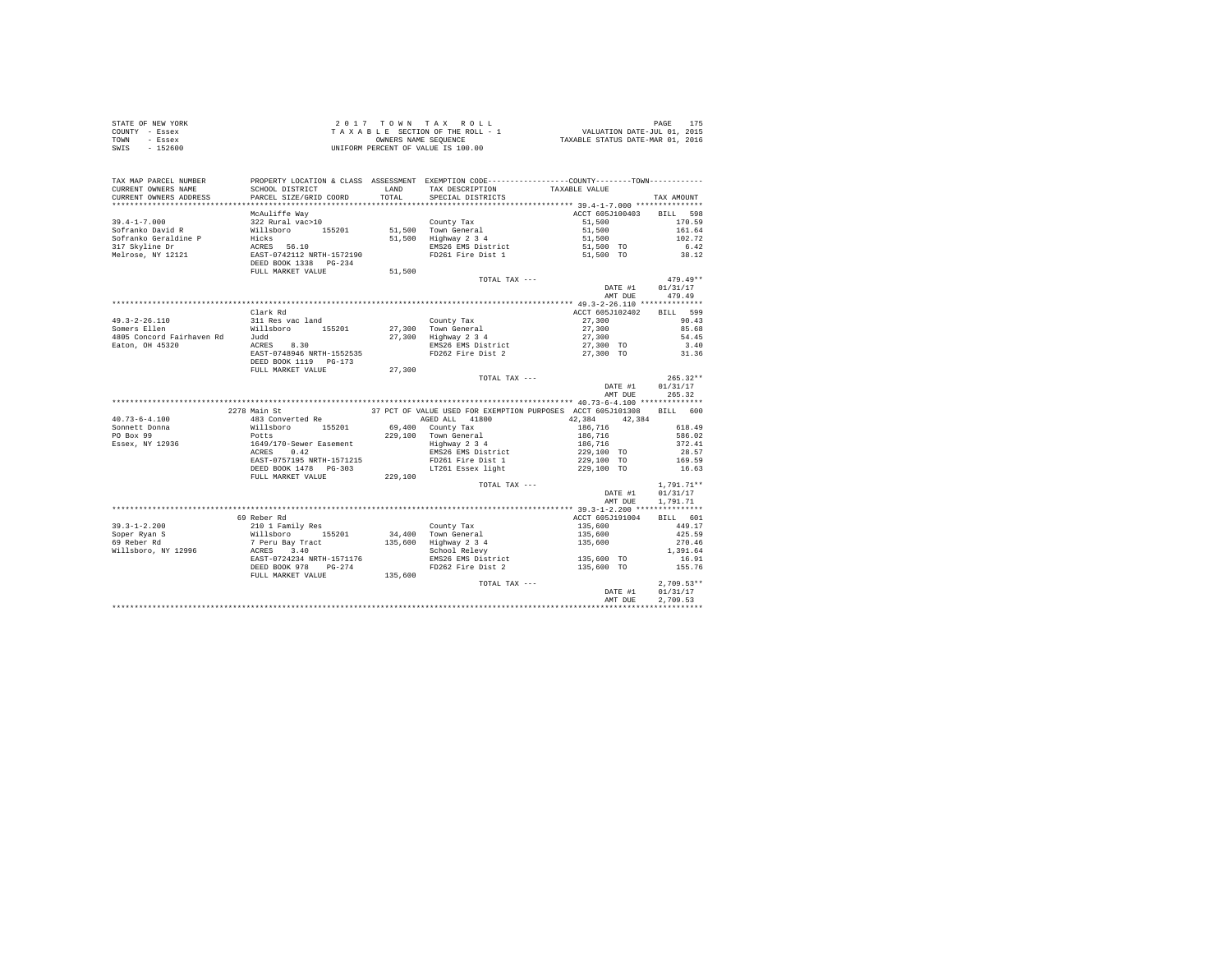| STATE OF NEW YORK | 2017 TOWN TAX ROLL                 | PAGE                             |
|-------------------|------------------------------------|----------------------------------|
| COUNTY - Essex    | TAXABLE SECTION OF THE ROLL - 1    | VALUATION DATE-JUL 01, 2015      |
| TOWN<br>- Essex   | OWNERS NAME SEOUENCE               | TAXABLE STATUS DATE-MAR 01, 2016 |
| - 152600<br>SWIS  | UNIFORM PERCENT OF VALUE IS 100.00 |                                  |

| TAX MAP PARCEL NUMBER<br>CURRENT OWNERS NAME<br>CURRENT OWNERS ADDRESS                                                                                                                                                                        | SCHOOL DISTRICT<br>PARCEL SIZE/GRID COORD                                                                                                                                                              | PROPERTY LOCATION & CLASS ASSESSMENT EXEMPTION CODE---------------COUNTY-------TOWN---------<br>LAND TAX DESCRIPTION<br>TOTAL SPECIAL DISTRICTS | TAXABLE VALUE                                                                                                                                                                                                  | TAX AMOUNT        |
|-----------------------------------------------------------------------------------------------------------------------------------------------------------------------------------------------------------------------------------------------|--------------------------------------------------------------------------------------------------------------------------------------------------------------------------------------------------------|-------------------------------------------------------------------------------------------------------------------------------------------------|----------------------------------------------------------------------------------------------------------------------------------------------------------------------------------------------------------------|-------------------|
|                                                                                                                                                                                                                                               |                                                                                                                                                                                                        |                                                                                                                                                 |                                                                                                                                                                                                                |                   |
|                                                                                                                                                                                                                                               | McAuliffe Way                                                                                                                                                                                          |                                                                                                                                                 | ACCT 605J100403 BILL 598                                                                                                                                                                                       |                   |
|                                                                                                                                                                                                                                               |                                                                                                                                                                                                        |                                                                                                                                                 |                                                                                                                                                                                                                | 170.59            |
|                                                                                                                                                                                                                                               |                                                                                                                                                                                                        |                                                                                                                                                 |                                                                                                                                                                                                                | 161.64            |
|                                                                                                                                                                                                                                               |                                                                                                                                                                                                        |                                                                                                                                                 |                                                                                                                                                                                                                | 102.72            |
|                                                                                                                                                                                                                                               |                                                                                                                                                                                                        |                                                                                                                                                 |                                                                                                                                                                                                                |                   |
|                                                                                                                                                                                                                                               |                                                                                                                                                                                                        |                                                                                                                                                 |                                                                                                                                                                                                                | $6.42$<br>$38.12$ |
|                                                                                                                                                                                                                                               |                                                                                                                                                                                                        |                                                                                                                                                 |                                                                                                                                                                                                                |                   |
|                                                                                                                                                                                                                                               |                                                                                                                                                                                                        |                                                                                                                                                 |                                                                                                                                                                                                                |                   |
|                                                                                                                                                                                                                                               |                                                                                                                                                                                                        | TOTAL TAX ---                                                                                                                                   |                                                                                                                                                                                                                | $479.49**$        |
|                                                                                                                                                                                                                                               |                                                                                                                                                                                                        |                                                                                                                                                 | DATE #1 $01/31/17$                                                                                                                                                                                             |                   |
|                                                                                                                                                                                                                                               |                                                                                                                                                                                                        |                                                                                                                                                 | AMT DUE 479.49                                                                                                                                                                                                 |                   |
|                                                                                                                                                                                                                                               |                                                                                                                                                                                                        |                                                                                                                                                 |                                                                                                                                                                                                                |                   |
|                                                                                                                                                                                                                                               |                                                                                                                                                                                                        |                                                                                                                                                 |                                                                                                                                                                                                                |                   |
| 49.3-2-26.110<br>49.3-2-26.110<br>Somers Ellen Willsboro 155201<br>4805 Concord Fairhaven Rd Judd<br>4805 Concord Fairhaven Rd Judd<br>27,300 Highway 2 34<br>27,300 Highway 2 34<br>EASCON EXAST-0748946 NRTH-1552535<br>EASCON ENSIGE RDS26 | Clark Rd                                                                                                                                                                                               |                                                                                                                                                 | ACCT 605J102402 BILL 599                                                                                                                                                                                       |                   |
|                                                                                                                                                                                                                                               |                                                                                                                                                                                                        |                                                                                                                                                 | $27,300$ 90.43<br>$27,300$ 85.68                                                                                                                                                                               |                   |
|                                                                                                                                                                                                                                               |                                                                                                                                                                                                        |                                                                                                                                                 |                                                                                                                                                                                                                |                   |
|                                                                                                                                                                                                                                               |                                                                                                                                                                                                        |                                                                                                                                                 | 27,300                                                                                                                                                                                                         | 54.45             |
|                                                                                                                                                                                                                                               |                                                                                                                                                                                                        |                                                                                                                                                 | 27,300 TO<br>27,300 TO                                                                                                                                                                                         | $3.40$<br>$31.36$ |
|                                                                                                                                                                                                                                               |                                                                                                                                                                                                        |                                                                                                                                                 |                                                                                                                                                                                                                |                   |
|                                                                                                                                                                                                                                               |                                                                                                                                                                                                        |                                                                                                                                                 |                                                                                                                                                                                                                |                   |
|                                                                                                                                                                                                                                               |                                                                                                                                                                                                        |                                                                                                                                                 |                                                                                                                                                                                                                |                   |
|                                                                                                                                                                                                                                               |                                                                                                                                                                                                        | TOTAL TAX ---                                                                                                                                   |                                                                                                                                                                                                                | $265.32**$        |
|                                                                                                                                                                                                                                               |                                                                                                                                                                                                        |                                                                                                                                                 |                                                                                                                                                                                                                |                   |
|                                                                                                                                                                                                                                               |                                                                                                                                                                                                        |                                                                                                                                                 | DATE #1 01/31/17<br>AMT DUE 265.32                                                                                                                                                                             |                   |
|                                                                                                                                                                                                                                               |                                                                                                                                                                                                        |                                                                                                                                                 |                                                                                                                                                                                                                |                   |
|                                                                                                                                                                                                                                               | 2278 Main St                                                                                                                                                                                           | 37 PCT OF VALUE USED FOR EXEMPTION PURPOSES ACCT 605J101308 BILL 600                                                                            |                                                                                                                                                                                                                |                   |
| $40.73 - 6 - 4.100$                                                                                                                                                                                                                           | 483 Converted Re                                                                                                                                                                                       | AGED ALL 41800 42,384 42,384                                                                                                                    |                                                                                                                                                                                                                |                   |
|                                                                                                                                                                                                                                               |                                                                                                                                                                                                        |                                                                                                                                                 |                                                                                                                                                                                                                |                   |
|                                                                                                                                                                                                                                               |                                                                                                                                                                                                        |                                                                                                                                                 |                                                                                                                                                                                                                |                   |
| 40.73-0-4.100 and and an est-converted results of 229.100 county Tax<br>FO Box 99 and 1649/170-Sewer Easement<br>Fassex, NY 12936 1649/170-Sewer Easement<br>ACRES 0.420 and 229.100 County Tax<br>ACRES 0.420 and 229.100 County Tax<br>     |                                                                                                                                                                                                        |                                                                                                                                                 | $\begin{tabular}{c cccc} 186,716 & & & & & 618.49 \\ 186,716 & & & 586.02 \\ 186,716 & & & 372.41 \\ 186,716 & & & 372.41 \\ 229,100 & \text{TO} & & 28.57 \\ 229,100 & \text{TO} & & 169.59 \\ \end{tabular}$ |                   |
|                                                                                                                                                                                                                                               |                                                                                                                                                                                                        |                                                                                                                                                 |                                                                                                                                                                                                                |                   |
|                                                                                                                                                                                                                                               |                                                                                                                                                                                                        |                                                                                                                                                 |                                                                                                                                                                                                                |                   |
|                                                                                                                                                                                                                                               |                                                                                                                                                                                                        |                                                                                                                                                 |                                                                                                                                                                                                                |                   |
|                                                                                                                                                                                                                                               |                                                                                                                                                                                                        |                                                                                                                                                 |                                                                                                                                                                                                                |                   |
|                                                                                                                                                                                                                                               |                                                                                                                                                                                                        |                                                                                                                                                 |                                                                                                                                                                                                                |                   |
|                                                                                                                                                                                                                                               |                                                                                                                                                                                                        | TOTAL TAX ---                                                                                                                                   |                                                                                                                                                                                                                | $1.791.71**$      |
|                                                                                                                                                                                                                                               |                                                                                                                                                                                                        |                                                                                                                                                 | DATE #1 01/31/17                                                                                                                                                                                               |                   |
|                                                                                                                                                                                                                                               |                                                                                                                                                                                                        |                                                                                                                                                 | AMT DUE                                                                                                                                                                                                        | 1,791.71          |
|                                                                                                                                                                                                                                               |                                                                                                                                                                                                        |                                                                                                                                                 |                                                                                                                                                                                                                |                   |
|                                                                                                                                                                                                                                               | 69 Reber Rd                                                                                                                                                                                            |                                                                                                                                                 | ACCT 605J191004 BILL 601                                                                                                                                                                                       |                   |
|                                                                                                                                                                                                                                               |                                                                                                                                                                                                        |                                                                                                                                                 | 135,600<br>135,600<br>135,600                                                                                                                                                                                  | 449.17            |
|                                                                                                                                                                                                                                               |                                                                                                                                                                                                        |                                                                                                                                                 |                                                                                                                                                                                                                | 425.59            |
|                                                                                                                                                                                                                                               |                                                                                                                                                                                                        |                                                                                                                                                 |                                                                                                                                                                                                                | 270.46            |
|                                                                                                                                                                                                                                               |                                                                                                                                                                                                        |                                                                                                                                                 |                                                                                                                                                                                                                |                   |
|                                                                                                                                                                                                                                               |                                                                                                                                                                                                        |                                                                                                                                                 |                                                                                                                                                                                                                |                   |
|                                                                                                                                                                                                                                               | DEED BOOK 978 PG-274                                                                                                                                                                                   |                                                                                                                                                 |                                                                                                                                                                                                                |                   |
|                                                                                                                                                                                                                                               | EAST-0724234 NRTH-1571176<br>EXED BOOK 978 PG-274 BEED BOOK 978 PG-274 BEED BOOK 978 PG-274 PDES PRESS ENS District 135,600 TO 155.76<br>PULL MARKET VALUE 135,600 PD262 Pire Dist 2 135,600 TO 155.76 |                                                                                                                                                 |                                                                                                                                                                                                                |                   |
|                                                                                                                                                                                                                                               |                                                                                                                                                                                                        |                                                                                                                                                 | TOTAL TAX ---<br>$2,709.53**$<br>$0.131/17$<br>$0.720.53*$                                                                                                                                                     | $2,709.53**$      |
|                                                                                                                                                                                                                                               |                                                                                                                                                                                                        |                                                                                                                                                 |                                                                                                                                                                                                                |                   |
|                                                                                                                                                                                                                                               |                                                                                                                                                                                                        |                                                                                                                                                 | AMT DUE                                                                                                                                                                                                        | 2.709.53          |
|                                                                                                                                                                                                                                               |                                                                                                                                                                                                        |                                                                                                                                                 |                                                                                                                                                                                                                |                   |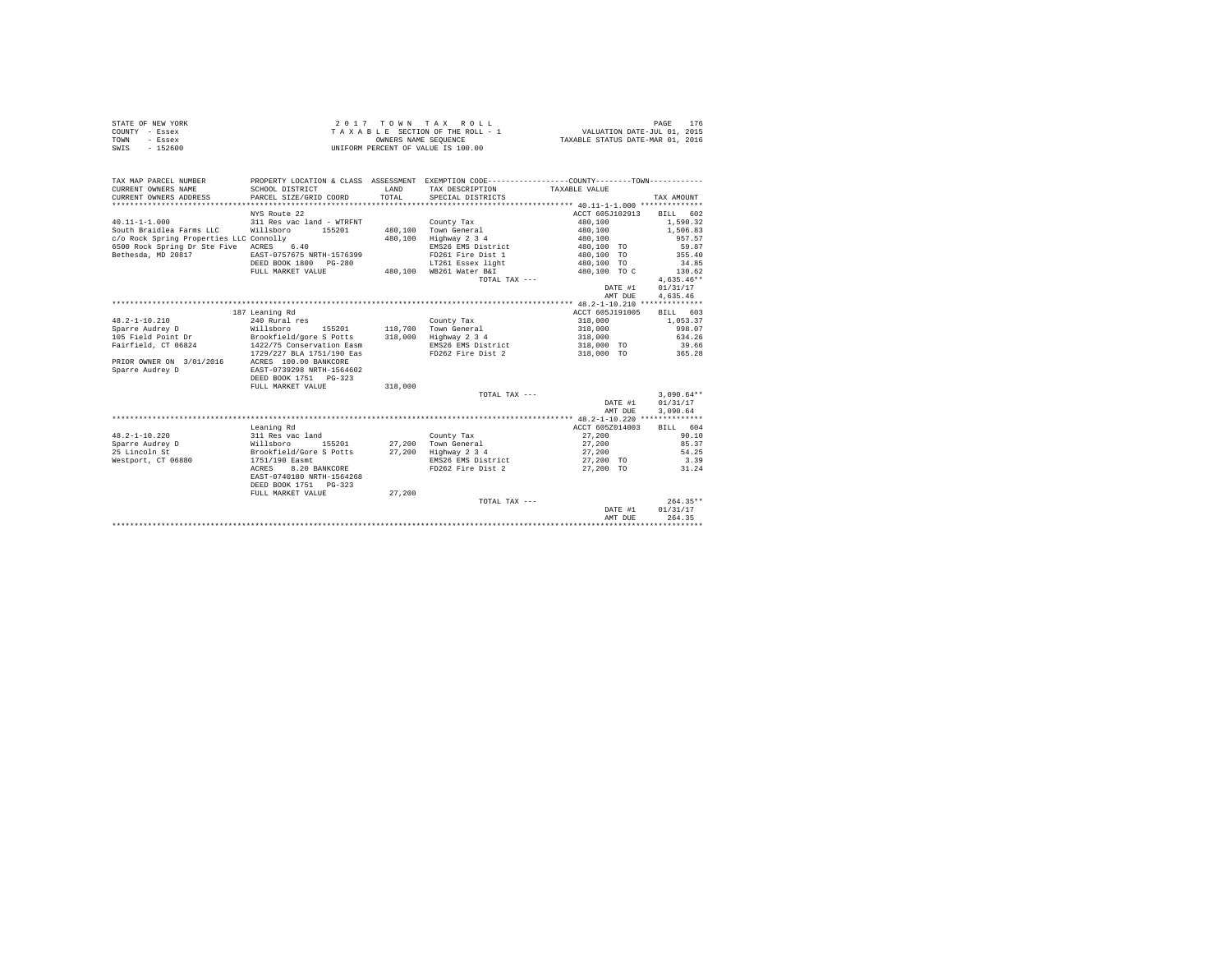| STATE OF NEW YORK | 2017 TOWN TAX ROLL                 | 176<br>PAGE                      |
|-------------------|------------------------------------|----------------------------------|
| COUNTY - Essex    | TAXABLE SECTION OF THE ROLL - 1    | VALUATION DATE-JUL 01, 2015      |
| TOWN<br>- Essex   | OWNERS NAME SEOUENCE               | TAXABLE STATUS DATE-MAR 01, 2016 |
| - 152600<br>SWIS  | UNIFORM PERCENT OF VALUE IS 100.00 |                                  |

| TAX MAP PARCEL NUMBER                   | PROPERTY LOCATION & CLASS ASSESSMENT EXEMPTION CODE---------------COUNTY-------TOWN--------- |         |                         |                          |              |
|-----------------------------------------|----------------------------------------------------------------------------------------------|---------|-------------------------|--------------------------|--------------|
| CURRENT OWNERS NAME                     | SCHOOL DISTRICT                                                                              | LAND    | TAX DESCRIPTION         | TAXABLE VALUE            |              |
| CURRENT OWNERS ADDRESS                  | PARCEL SIZE/GRID COORD                                                                       | TOTAL   | SPECIAL DISTRICTS       |                          | TAX AMOUNT   |
|                                         |                                                                                              |         |                         |                          |              |
|                                         | NYS Route 22                                                                                 |         |                         | ACCT 605J102913 BILL 602 |              |
| $40.11 - 1 - 1.000$                     | 311 Res vac land - WTRFNT                                                                    |         | County Tax              | 480,100                  | 1,590.32     |
| South Braidlea Farms LLC                | Willsboro 155201                                                                             |         | 480.100 Town General    | 480,100                  | 1,506.83     |
| c/o Rock Spring Properties LLC Connolly |                                                                                              | 480,100 | Highway 2 3 4           | 480,100                  | 957.57       |
| 6500 Rock Spring Dr Ste Five ACRES 6.40 |                                                                                              |         | EMS26 EMS District      | 480,100 TO               | 59.87        |
| Bethesda, MD 20817                      | EAST-0757675 NRTH-1576399                                                                    |         | FD261 Fire Dist 1       | 480,100 TO               | 355.40       |
|                                         | DEED BOOK 1800 PG-280                                                                        |         | LT261 Essex light       | 480,100 TO               | 34.85        |
|                                         | FULL MARKET VALUE                                                                            |         | 480,100 WB261 Water B&I | 480,100 TO C             | 130.62       |
|                                         |                                                                                              |         | TOTAL TAX ---           |                          | $4.635.46**$ |
|                                         |                                                                                              |         |                         | DATE #1                  | 01/31/17     |
|                                         |                                                                                              |         |                         | AMT DUE                  | 4,635.46     |
|                                         |                                                                                              |         |                         |                          |              |
|                                         | 187 Leaning Rd                                                                               |         |                         | ACCT 605J191005          | BILL 603     |
| $48.2 - 1 - 10.210$                     | 240 Rural res                                                                                |         | County Tax              | 318,000                  | 1,053.37     |
| Sparre Audrey D                         | 155201<br>Willsboro                                                                          |         | 118,700 Town General    | 318,000                  | 998.07       |
| 105 Field Point Dr                      | Brookfield/gore S Potts                                                                      |         | 318,000 Highway 2 3 4   | 318,000                  | 634.26       |
| Fairfield, CT 06824                     | 1422/75 Conservation Easm                                                                    |         | EMS26 EMS District      | 318,000 TO               | 39.66        |
|                                         | 1729/227 BLA 1751/190 Eas                                                                    |         | FD262 Fire Dist 2       | 318,000 TO 365.28        |              |
| PRIOR OWNER ON 3/01/2016                | ACRES 100.00 BANKCORE                                                                        |         |                         |                          |              |
| Sparre Audrey D                         | EAST-0739298 NRTH-1564602                                                                    |         |                         |                          |              |
|                                         | DEED BOOK 1751 PG-323                                                                        |         |                         |                          |              |
|                                         | FULL MARKET VALUE                                                                            | 318,000 |                         |                          |              |
|                                         |                                                                                              |         | TOTAL TAX ---           |                          | $3,090.64**$ |
|                                         |                                                                                              |         |                         | DATE #1                  | 01/31/17     |
|                                         |                                                                                              |         |                         | AMT DUE                  | 3,090.64     |
|                                         |                                                                                              |         |                         |                          |              |
|                                         | Leaning Rd                                                                                   |         |                         | ACCT 605Z014003          | BILL 604     |
| $48.2 - 1 - 10.220$                     | 311 Res vac land                                                                             |         | County Tax              | 27,200                   | 90.10        |
| Sparre Audrey D                         | Willsboro<br>155201                                                                          |         | 27,200 Town General     | 27,200                   | 85.37        |
| 25 Lincoln St                           | Brookfield/Gore S Potts                                                                      | 27,200  | Highway 2 3 4           | 27,200                   | 54.25        |
| Westport, CT 06880                      | 1751/190 Easmt                                                                               |         | EMS26 EMS District      | 27,200 TO                | 3.39         |
|                                         | ACRES<br>8.20 BANKCORE                                                                       |         | FD262 Fire Dist 2       | 27.200 TO                | 31.24        |
|                                         | EAST-0740180 NRTH-1564268                                                                    |         |                         |                          |              |
|                                         | DEED BOOK 1751 PG-323                                                                        |         |                         |                          |              |
|                                         | FULL MARKET VALUE                                                                            | 27,200  |                         |                          |              |
|                                         |                                                                                              |         | TOTAL TAX ---           |                          | $264.35**$   |
|                                         |                                                                                              |         |                         | DATE #1                  | 01/31/17     |
|                                         |                                                                                              |         |                         | AMT DUE                  | 264.35       |
|                                         |                                                                                              |         |                         |                          |              |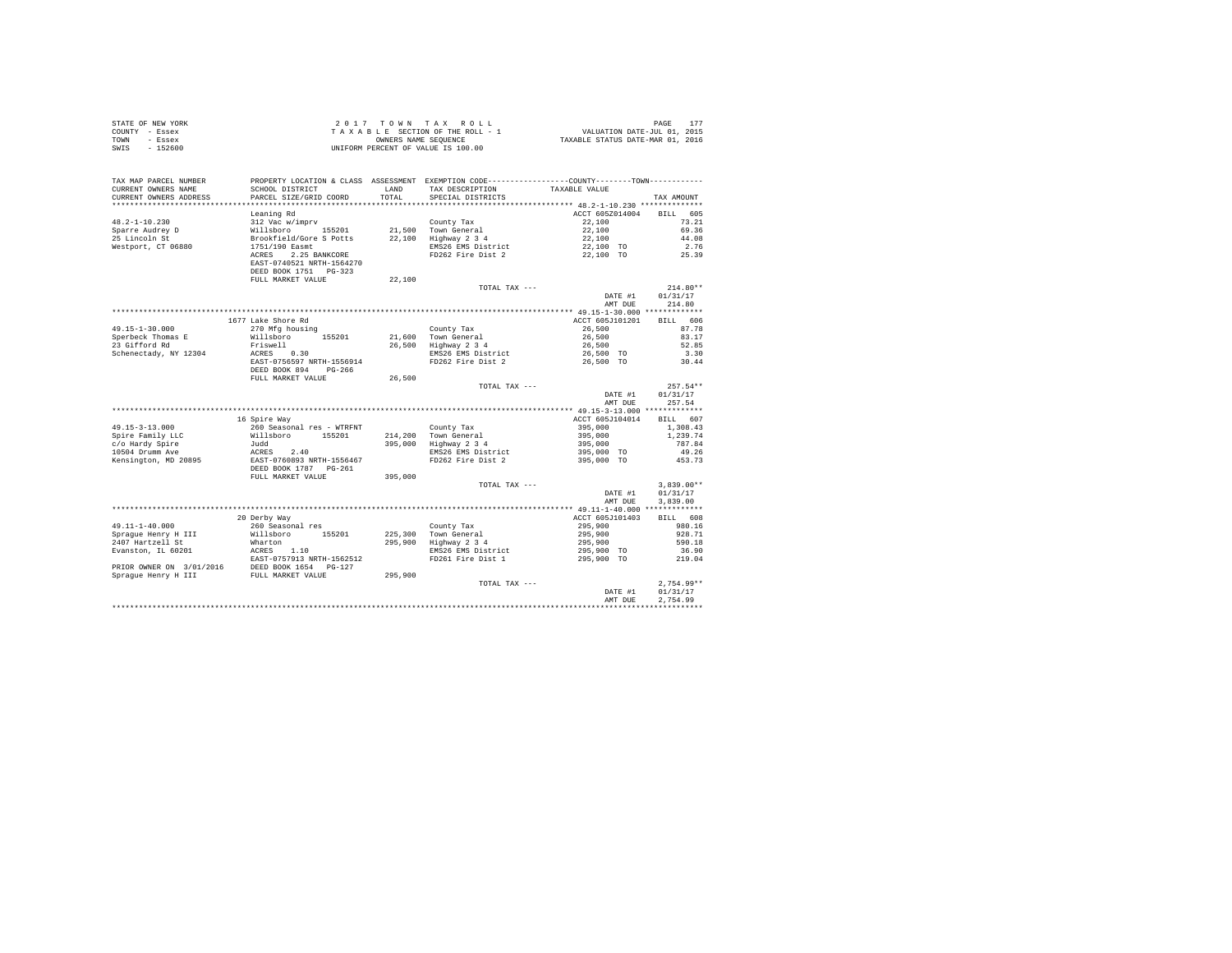|                | STATE OF NEW YORK |  | 2017 TOWN TAX ROLL                 |  |  |                                  | PAGE 177                    |  |
|----------------|-------------------|--|------------------------------------|--|--|----------------------------------|-----------------------------|--|
| COUNTY - Essex |                   |  | TAXABLE SECTION OF THE ROLL - 1    |  |  |                                  | VALUATION DATE-JUL 01, 2015 |  |
| TOWN           | - Essex           |  | OWNERS NAME SEOUENCE               |  |  | TAXABLE STATUS DATE-MAR 01, 2016 |                             |  |
| SWIS           | $-152600$         |  | UNIFORM PERCENT OF VALUE IS 100.00 |  |  |                                  |                             |  |

| TAX MAP PARCEL NUMBER<br>CURRENT OWNERS NAME<br>CURRENT OWNERS ADDRESS | PROPERTY LOCATION & CLASS ASSESSMENT EXEMPTION CODE---------------COUNTY-------TOWN---------<br>SCHOOL DISTRICT<br>PARCEL SIZE/GRID COORD | LAND<br>TOTAL | TAX DESCRIPTION<br>SPECIAL DISTRICTS | TAXABLE VALUE                               | TAX AMOUNT            |
|------------------------------------------------------------------------|-------------------------------------------------------------------------------------------------------------------------------------------|---------------|--------------------------------------|---------------------------------------------|-----------------------|
| *************************                                              |                                                                                                                                           |               |                                      |                                             |                       |
| $48.2 - 1 - 10.230$                                                    | Leaning Rd<br>312 Vac w/imprv                                                                                                             |               | County Tax                           | ACCT 605Z014004<br>22,100                   | 605<br>BTLL.<br>73.21 |
| Sparre Audrey D                                                        | Willsboro 155201                                                                                                                          |               | 21.500 Town General                  | 22,100                                      | 69.36                 |
| 25 Lincoln St                                                          | Brookfield/Gore S Potts                                                                                                                   | 22,100        | Highway 2 3 4                        | 22,100                                      | 44.08                 |
| Westport, CT 06880                                                     | 1751/190 Easmt                                                                                                                            |               | EMS26 EMS District                   | 22,100 TO                                   | 2.76                  |
|                                                                        | 2.25 BANKCORE<br>ACRES<br>EAST-0740521 NRTH-1564270<br>DEED BOOK 1751 PG-323                                                              |               | FD262 Fire Dist 2                    | 22,100 TO                                   | 25.39                 |
|                                                                        | FULL MARKET VALUE                                                                                                                         | 22,100        |                                      |                                             |                       |
|                                                                        |                                                                                                                                           |               | TOTAL TAX ---                        |                                             | $214.80**$            |
|                                                                        |                                                                                                                                           |               |                                      | DATE #1                                     | 01/31/17              |
|                                                                        |                                                                                                                                           |               |                                      | AMT DUE                                     | 214.80                |
|                                                                        |                                                                                                                                           |               | **************************           | ************** 49.15-1-30.000 ************* |                       |
|                                                                        | 1677 Lake Shore Rd                                                                                                                        |               |                                      | ACCT 605J101201                             | BILL 606              |
| $49.15 - 1 - 30.000$                                                   | 270 Mfg housing                                                                                                                           |               | County Tax                           | 26,500                                      | 87.78                 |
| Sperbeck Thomas E                                                      | Willsboro<br>155201                                                                                                                       |               | 21.600 Town General                  | 26,500                                      | 83.17                 |
| 23 Gifford Rd                                                          | Friswell                                                                                                                                  | 26,500        | Highway 2 3 4                        | 26,500                                      | 52.85                 |
| Schenectady, NY 12304                                                  | ACRES 0.30                                                                                                                                |               | EMS26 EMS District                   | 26,500 TO                                   | 3.30                  |
|                                                                        | EAST-0756597 NRTH-1556914<br>DEED BOOK 894 PG-266                                                                                         |               | FD262 Fire Dist 2                    | 26,500 TO                                   | 30.44                 |
|                                                                        | FULL MARKET VALUE                                                                                                                         | 26,500        |                                      |                                             | $257.54**$            |
|                                                                        |                                                                                                                                           |               | TOTAL TAX ---                        | DATE #1                                     | 01/31/17              |
|                                                                        |                                                                                                                                           |               |                                      | AMT DUE                                     | 257.54                |
|                                                                        |                                                                                                                                           |               |                                      |                                             |                       |
|                                                                        | 16 Spire Way                                                                                                                              |               |                                      | ACCT 605J104014                             | BILL 607              |
| $49.15 - 3 - 13.000$                                                   | 260 Seasonal res - WTRFNT                                                                                                                 |               | County Tax                           | 395,000                                     | 1,308.43              |
| Spire Family LLC                                                       | Willsboro<br>155201                                                                                                                       |               | 214.200 Town General                 | 395,000                                     | 1,239.74              |
| c/o Hardy Spire                                                        | Judd                                                                                                                                      | 395,000       | Highway 2 3 4                        | 395,000                                     | 787.84                |
| 10504 Drumm Ave                                                        | 2.40<br>ACRES                                                                                                                             |               | EMS26 EMS District                   | 395,000 TO                                  | 49.26                 |
| Kensington, MD 20895                                                   | EAST-0760893 NRTH-1556467                                                                                                                 |               | FD262 Fire Dist 2                    | 395,000 TO                                  | 453.73                |
|                                                                        | DEED BOOK 1787 PG-261                                                                                                                     |               |                                      |                                             |                       |
|                                                                        | FULL MARKET VALUE                                                                                                                         | 395,000       |                                      |                                             |                       |
|                                                                        |                                                                                                                                           |               | TOTAL TAX ---                        |                                             | $3.839.00**$          |
|                                                                        |                                                                                                                                           |               |                                      | DATE #1<br>AMT DUE                          | 01/31/17<br>3,839.00  |
|                                                                        |                                                                                                                                           |               |                                      |                                             |                       |
|                                                                        | 20 Derby Way                                                                                                                              |               |                                      | ACCT 605J101403                             | BILL 608              |
| $49.11 - 1 - 40.000$                                                   | 260 Seasonal res                                                                                                                          |               | County Tax                           | 295,900                                     | 980.16                |
| Spraque Henry H III                                                    | Willsboro 155201                                                                                                                          |               | 225,300 Town General                 | 295,900                                     | 928.71                |
| 2407 Hartzell St                                                       | Wharton                                                                                                                                   | 295,900       | Highway 2 3 4                        | 295,900                                     | 590.18                |
| Evanston, IL 60201                                                     | ACRES 1.10                                                                                                                                |               | EMS26 EMS District                   | 295,900 TO                                  | 36.90                 |
|                                                                        | EAST-0757913 NRTH-1562512                                                                                                                 |               | FD261 Fire Dist 1                    | 295,900 TO                                  | 219.04                |
| PRIOR OWNER ON 3/01/2016                                               | DEED BOOK 1654 PG-127<br>FULL MARKET VALUE                                                                                                |               |                                      |                                             |                       |
| Spraque Henry H III                                                    |                                                                                                                                           | 295,900       |                                      |                                             |                       |
|                                                                        |                                                                                                                                           |               | TOTAL TAX ---                        |                                             | $2,754.99**$          |
|                                                                        |                                                                                                                                           |               |                                      | DATE #1                                     | 01/31/17              |
|                                                                        |                                                                                                                                           |               |                                      | AMT DUE                                     | 2.754.99              |
|                                                                        |                                                                                                                                           |               |                                      |                                             |                       |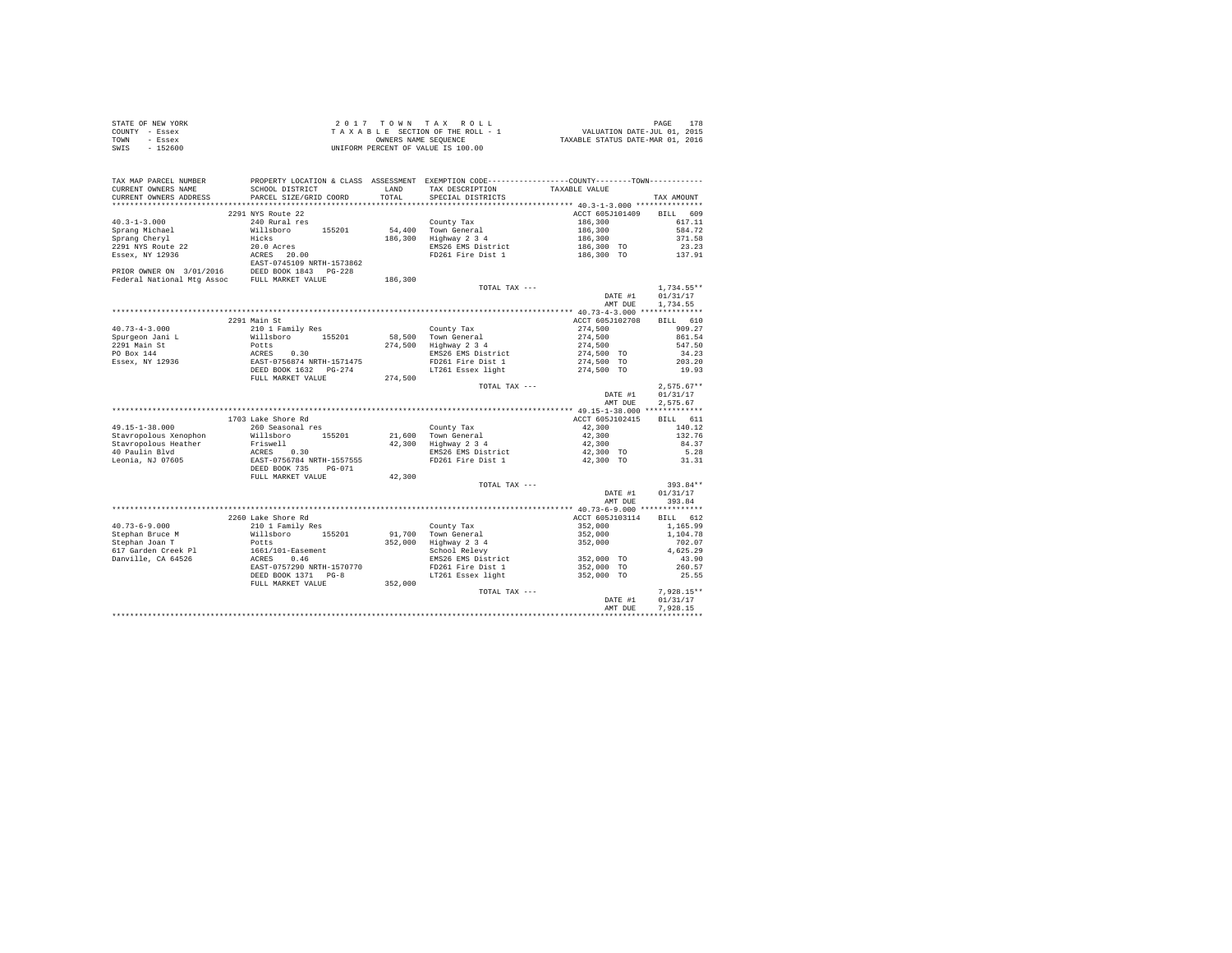| STATE OF NEW YORK | 2017 TOWN TAX ROLL                 | 178<br>PAGE                      |
|-------------------|------------------------------------|----------------------------------|
| COUNTY - Essex    | TAXABLE SECTION OF THE ROLL - 1    | VALUATION DATE-JUL 01, 2015      |
| TOWN<br>- Essex   | OWNERS NAME SEOUENCE               | TAXABLE STATUS DATE-MAR 01, 2016 |
| - 152600<br>SWIS  | UNIFORM PERCENT OF VALUE IS 100.00 |                                  |

| CURRENT OWNERS ADDRESS<br>PARCEL SIZE/GRID COORD<br>TOTAL.<br>SPECIAL DISTRICTS<br>TAX AMOUNT<br>**********************<br>***************************<br>2291 NYS Route 22<br>ACCT 605J101409<br>BILL 609<br>$40.3 - 1 - 3.000$<br>240 Rural res<br>County Tax<br>186,300<br>617.11<br>Sprang Michael<br>Willsboro 155201<br>54,400 Town General<br>186,300<br>584.72<br>Hicks<br>371.58<br>Sprang Cheryl<br>186,300<br>Highway 2 3 4<br>186,300<br>2291 NYS Route 22<br>20.0 Acres<br>EMS26 EMS District<br>186,300 TO<br>23.23<br>Essex, NY 12936<br>ACRES 20.00<br>EAST-0745109 NRTH-1573862<br>FD261 Fire Dist 1<br>186,300 TO<br>137.91<br>PRIOR OWNER ON 3/01/2016 DEED BOOK 1843 PG-228<br>Federal National Mtg Assoc FULL MARKET VALUE<br>186,300<br>1,734.55**<br>TOTAL TAX ---<br>01/31/17<br>DATE #1<br>AMT DUE<br>1,734.55<br>2291 Main St<br>610<br>ACCT 605J102708<br><b>BILL</b><br>210 1 Family Res<br>$40.73 - 4 - 3.000$<br>County Tax<br>274,500<br>909.27<br>861.54<br>Spurgeon Jani L<br>Willsboro 155201<br>58,500 Town General<br>274.500<br>2291 Main St<br>274,500 Highway 2 3 4<br>547.50<br>Potts<br>ACRES 0.30<br>EAST-0756874 NRTH-1571475<br>DEED BOOK 1632 PG-274<br>274,500<br>PO Box 144<br>274,500 TO<br>EMS26 EMS District<br>34.23<br>FD261 Fire Dist 1<br>203.20 |
|--------------------------------------------------------------------------------------------------------------------------------------------------------------------------------------------------------------------------------------------------------------------------------------------------------------------------------------------------------------------------------------------------------------------------------------------------------------------------------------------------------------------------------------------------------------------------------------------------------------------------------------------------------------------------------------------------------------------------------------------------------------------------------------------------------------------------------------------------------------------------------------------------------------------------------------------------------------------------------------------------------------------------------------------------------------------------------------------------------------------------------------------------------------------------------------------------------------------------------------------------------------------------------------------------------|
|                                                                                                                                                                                                                                                                                                                                                                                                                                                                                                                                                                                                                                                                                                                                                                                                                                                                                                                                                                                                                                                                                                                                                                                                                                                                                                        |
|                                                                                                                                                                                                                                                                                                                                                                                                                                                                                                                                                                                                                                                                                                                                                                                                                                                                                                                                                                                                                                                                                                                                                                                                                                                                                                        |
|                                                                                                                                                                                                                                                                                                                                                                                                                                                                                                                                                                                                                                                                                                                                                                                                                                                                                                                                                                                                                                                                                                                                                                                                                                                                                                        |
|                                                                                                                                                                                                                                                                                                                                                                                                                                                                                                                                                                                                                                                                                                                                                                                                                                                                                                                                                                                                                                                                                                                                                                                                                                                                                                        |
|                                                                                                                                                                                                                                                                                                                                                                                                                                                                                                                                                                                                                                                                                                                                                                                                                                                                                                                                                                                                                                                                                                                                                                                                                                                                                                        |
|                                                                                                                                                                                                                                                                                                                                                                                                                                                                                                                                                                                                                                                                                                                                                                                                                                                                                                                                                                                                                                                                                                                                                                                                                                                                                                        |
|                                                                                                                                                                                                                                                                                                                                                                                                                                                                                                                                                                                                                                                                                                                                                                                                                                                                                                                                                                                                                                                                                                                                                                                                                                                                                                        |
|                                                                                                                                                                                                                                                                                                                                                                                                                                                                                                                                                                                                                                                                                                                                                                                                                                                                                                                                                                                                                                                                                                                                                                                                                                                                                                        |
|                                                                                                                                                                                                                                                                                                                                                                                                                                                                                                                                                                                                                                                                                                                                                                                                                                                                                                                                                                                                                                                                                                                                                                                                                                                                                                        |
|                                                                                                                                                                                                                                                                                                                                                                                                                                                                                                                                                                                                                                                                                                                                                                                                                                                                                                                                                                                                                                                                                                                                                                                                                                                                                                        |
|                                                                                                                                                                                                                                                                                                                                                                                                                                                                                                                                                                                                                                                                                                                                                                                                                                                                                                                                                                                                                                                                                                                                                                                                                                                                                                        |
|                                                                                                                                                                                                                                                                                                                                                                                                                                                                                                                                                                                                                                                                                                                                                                                                                                                                                                                                                                                                                                                                                                                                                                                                                                                                                                        |
|                                                                                                                                                                                                                                                                                                                                                                                                                                                                                                                                                                                                                                                                                                                                                                                                                                                                                                                                                                                                                                                                                                                                                                                                                                                                                                        |
|                                                                                                                                                                                                                                                                                                                                                                                                                                                                                                                                                                                                                                                                                                                                                                                                                                                                                                                                                                                                                                                                                                                                                                                                                                                                                                        |
|                                                                                                                                                                                                                                                                                                                                                                                                                                                                                                                                                                                                                                                                                                                                                                                                                                                                                                                                                                                                                                                                                                                                                                                                                                                                                                        |
|                                                                                                                                                                                                                                                                                                                                                                                                                                                                                                                                                                                                                                                                                                                                                                                                                                                                                                                                                                                                                                                                                                                                                                                                                                                                                                        |
|                                                                                                                                                                                                                                                                                                                                                                                                                                                                                                                                                                                                                                                                                                                                                                                                                                                                                                                                                                                                                                                                                                                                                                                                                                                                                                        |
|                                                                                                                                                                                                                                                                                                                                                                                                                                                                                                                                                                                                                                                                                                                                                                                                                                                                                                                                                                                                                                                                                                                                                                                                                                                                                                        |
|                                                                                                                                                                                                                                                                                                                                                                                                                                                                                                                                                                                                                                                                                                                                                                                                                                                                                                                                                                                                                                                                                                                                                                                                                                                                                                        |
|                                                                                                                                                                                                                                                                                                                                                                                                                                                                                                                                                                                                                                                                                                                                                                                                                                                                                                                                                                                                                                                                                                                                                                                                                                                                                                        |
| Essex, NY 12936<br>274,500 TO<br>19.93                                                                                                                                                                                                                                                                                                                                                                                                                                                                                                                                                                                                                                                                                                                                                                                                                                                                                                                                                                                                                                                                                                                                                                                                                                                                 |
| LT261 Essex light<br>274,500 TO<br>FULL MARKET VALUE                                                                                                                                                                                                                                                                                                                                                                                                                                                                                                                                                                                                                                                                                                                                                                                                                                                                                                                                                                                                                                                                                                                                                                                                                                                   |
| 274,500                                                                                                                                                                                                                                                                                                                                                                                                                                                                                                                                                                                                                                                                                                                                                                                                                                                                                                                                                                                                                                                                                                                                                                                                                                                                                                |
| $2,575.67**$<br>TOTAL TAX ---<br>DATE #1                                                                                                                                                                                                                                                                                                                                                                                                                                                                                                                                                                                                                                                                                                                                                                                                                                                                                                                                                                                                                                                                                                                                                                                                                                                               |
| 01/31/17<br>AMT DUE<br>2.575.67                                                                                                                                                                                                                                                                                                                                                                                                                                                                                                                                                                                                                                                                                                                                                                                                                                                                                                                                                                                                                                                                                                                                                                                                                                                                        |
|                                                                                                                                                                                                                                                                                                                                                                                                                                                                                                                                                                                                                                                                                                                                                                                                                                                                                                                                                                                                                                                                                                                                                                                                                                                                                                        |
| 1703 Lake Shore Rd                                                                                                                                                                                                                                                                                                                                                                                                                                                                                                                                                                                                                                                                                                                                                                                                                                                                                                                                                                                                                                                                                                                                                                                                                                                                                     |
| ACCT 605J102415<br>BILL 611<br>$49.15 - 1 - 38.000$<br>42,300<br>140.12<br>260 Seasonal res                                                                                                                                                                                                                                                                                                                                                                                                                                                                                                                                                                                                                                                                                                                                                                                                                                                                                                                                                                                                                                                                                                                                                                                                            |
| County Tax<br>Stavropolous Xenophon<br>21,600 Town General<br>132.76<br>155201                                                                                                                                                                                                                                                                                                                                                                                                                                                                                                                                                                                                                                                                                                                                                                                                                                                                                                                                                                                                                                                                                                                                                                                                                         |
| Willsboro<br>42,300<br>Highway 2 3 4<br>Stavropolous Heather<br>42,300<br>42,300<br>84.37                                                                                                                                                                                                                                                                                                                                                                                                                                                                                                                                                                                                                                                                                                                                                                                                                                                                                                                                                                                                                                                                                                                                                                                                              |
| Friswell<br>40 Paulin Blvd<br>ACRES 0.30<br>5.28<br>EMS26 EMS District<br>42,300 TO                                                                                                                                                                                                                                                                                                                                                                                                                                                                                                                                                                                                                                                                                                                                                                                                                                                                                                                                                                                                                                                                                                                                                                                                                    |
| Leonia, NJ 07605<br>FD261 Fire Dist 1<br>42,300 TO<br>31.31                                                                                                                                                                                                                                                                                                                                                                                                                                                                                                                                                                                                                                                                                                                                                                                                                                                                                                                                                                                                                                                                                                                                                                                                                                            |
| EAST-0756784 NRTH-1557555<br>DEED BOOK 735 PG-071                                                                                                                                                                                                                                                                                                                                                                                                                                                                                                                                                                                                                                                                                                                                                                                                                                                                                                                                                                                                                                                                                                                                                                                                                                                      |
| FULL MARKET VALUE<br>42,300                                                                                                                                                                                                                                                                                                                                                                                                                                                                                                                                                                                                                                                                                                                                                                                                                                                                                                                                                                                                                                                                                                                                                                                                                                                                            |
| $393.84**$<br>TOTAL TAX ---                                                                                                                                                                                                                                                                                                                                                                                                                                                                                                                                                                                                                                                                                                                                                                                                                                                                                                                                                                                                                                                                                                                                                                                                                                                                            |
| 01/31/17<br>DATE #1                                                                                                                                                                                                                                                                                                                                                                                                                                                                                                                                                                                                                                                                                                                                                                                                                                                                                                                                                                                                                                                                                                                                                                                                                                                                                    |
| 393.84<br>AMT DUE                                                                                                                                                                                                                                                                                                                                                                                                                                                                                                                                                                                                                                                                                                                                                                                                                                                                                                                                                                                                                                                                                                                                                                                                                                                                                      |
|                                                                                                                                                                                                                                                                                                                                                                                                                                                                                                                                                                                                                                                                                                                                                                                                                                                                                                                                                                                                                                                                                                                                                                                                                                                                                                        |
| 2260 Lake Shore Rd<br>ACCT 605J103114<br>BILL 612                                                                                                                                                                                                                                                                                                                                                                                                                                                                                                                                                                                                                                                                                                                                                                                                                                                                                                                                                                                                                                                                                                                                                                                                                                                      |
| $40.73 - 6 - 9.000$<br>210 1 Family Res<br>County Tax<br>352,000<br>1,165.99                                                                                                                                                                                                                                                                                                                                                                                                                                                                                                                                                                                                                                                                                                                                                                                                                                                                                                                                                                                                                                                                                                                                                                                                                           |
| Stephan Bruce M<br>Willsboro<br>91,700<br>Town General<br>1,104.78<br>155201<br>352,000                                                                                                                                                                                                                                                                                                                                                                                                                                                                                                                                                                                                                                                                                                                                                                                                                                                                                                                                                                                                                                                                                                                                                                                                                |
| Stephan Joan T<br>352,000<br>Highway 2 3 4<br>352,000<br>Potts<br>702.07                                                                                                                                                                                                                                                                                                                                                                                                                                                                                                                                                                                                                                                                                                                                                                                                                                                                                                                                                                                                                                                                                                                                                                                                                               |
| 617 Garden Creek Pl<br>School Relevy<br>4,625.29                                                                                                                                                                                                                                                                                                                                                                                                                                                                                                                                                                                                                                                                                                                                                                                                                                                                                                                                                                                                                                                                                                                                                                                                                                                       |
| $1661/101$ -Easement<br>ACRES 0.46<br>352,000 TO<br>Danville, CA 64526<br>EMS26 EMS District<br>43.90                                                                                                                                                                                                                                                                                                                                                                                                                                                                                                                                                                                                                                                                                                                                                                                                                                                                                                                                                                                                                                                                                                                                                                                                  |
| FD261 Fire Dist 1<br>EAST-0757290 NRTH-1570770<br>260.57<br>352,000 TO                                                                                                                                                                                                                                                                                                                                                                                                                                                                                                                                                                                                                                                                                                                                                                                                                                                                                                                                                                                                                                                                                                                                                                                                                                 |
| LT261 Essex light<br>25.55<br>DEED BOOK 1371 PG-8<br>352,000 TO                                                                                                                                                                                                                                                                                                                                                                                                                                                                                                                                                                                                                                                                                                                                                                                                                                                                                                                                                                                                                                                                                                                                                                                                                                        |
| FULL MARKET VALUE<br>352,000                                                                                                                                                                                                                                                                                                                                                                                                                                                                                                                                                                                                                                                                                                                                                                                                                                                                                                                                                                                                                                                                                                                                                                                                                                                                           |
| $7.928.15**$<br>TOTAL TAX ---                                                                                                                                                                                                                                                                                                                                                                                                                                                                                                                                                                                                                                                                                                                                                                                                                                                                                                                                                                                                                                                                                                                                                                                                                                                                          |
| 01/31/17<br>DATE #1                                                                                                                                                                                                                                                                                                                                                                                                                                                                                                                                                                                                                                                                                                                                                                                                                                                                                                                                                                                                                                                                                                                                                                                                                                                                                    |
| 7.928.15<br>AMT DUE                                                                                                                                                                                                                                                                                                                                                                                                                                                                                                                                                                                                                                                                                                                                                                                                                                                                                                                                                                                                                                                                                                                                                                                                                                                                                    |
|                                                                                                                                                                                                                                                                                                                                                                                                                                                                                                                                                                                                                                                                                                                                                                                                                                                                                                                                                                                                                                                                                                                                                                                                                                                                                                        |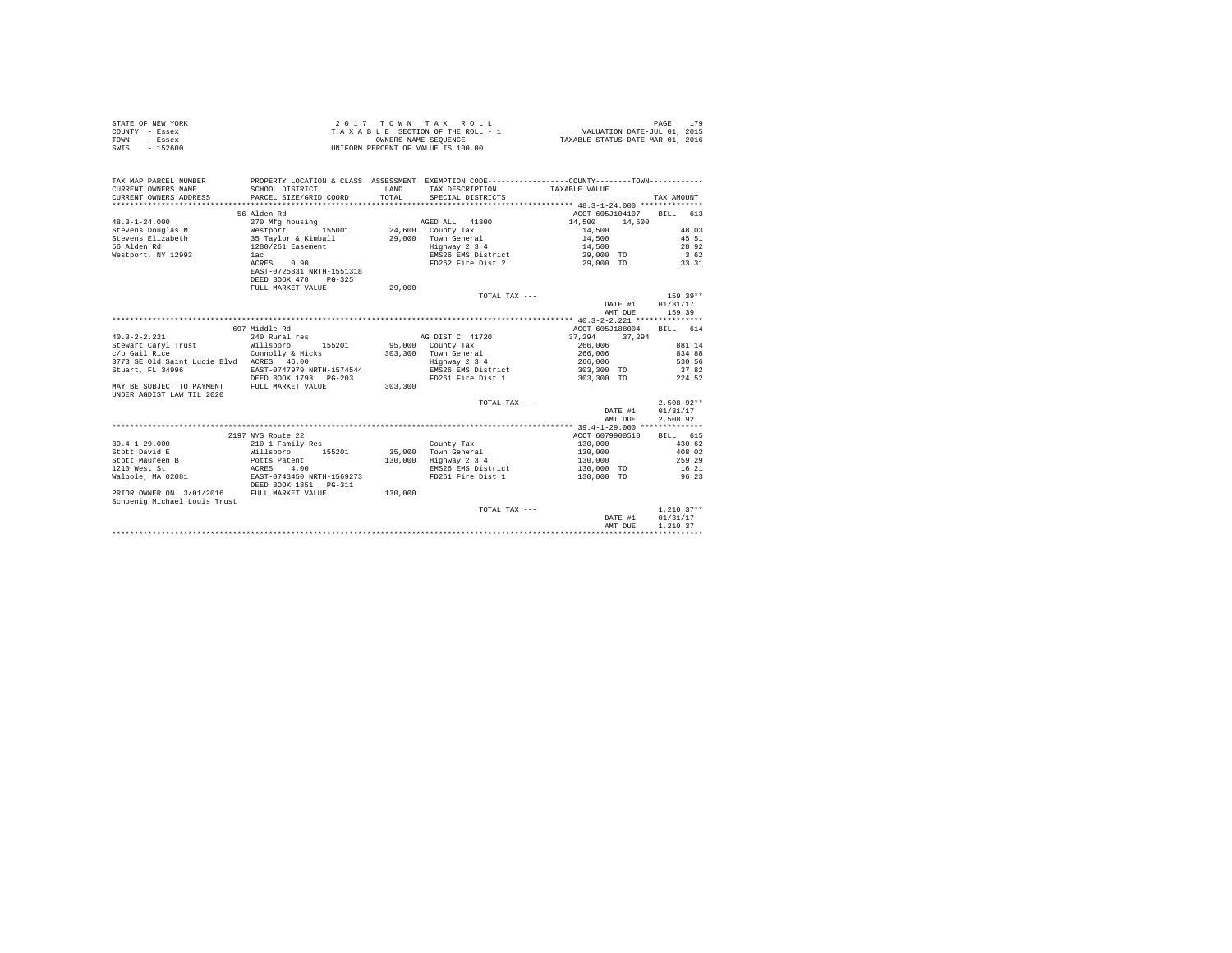| STATE OF NEW YORK | 2017 TOWN TAX ROLL                 | 179<br>PAGE                      |
|-------------------|------------------------------------|----------------------------------|
| COUNTY - Essex    | TAXABLE SECTION OF THE ROLL - 1    | VALUATION DATE-JUL 01, 2015      |
| TOWN<br>- Essex   | OWNERS NAME SEOUENCE               | TAXABLE STATUS DATE-MAR 01, 2016 |
| SWIS<br>$-152600$ | UNIFORM PERCENT OF VALUE IS 100.00 |                                  |

| TAX MAP PARCEL NUMBER<br>CURRENT OWNERS NAME<br>CURRENT OWNERS ADDRESS | SCHOOL DISTRICT<br>PARCEL SIZE/GRID COORD | LAND<br>TOTAL. | PROPERTY LOCATION & CLASS ASSESSMENT EXEMPTION CODE----------------COUNTY--------TOWN----------<br>TAX DESCRIPTION TAXABLE VALUE<br>SPECIAL DISTRICTS |                          | TAX AMOUNT   |
|------------------------------------------------------------------------|-------------------------------------------|----------------|-------------------------------------------------------------------------------------------------------------------------------------------------------|--------------------------|--------------|
|                                                                        |                                           |                |                                                                                                                                                       |                          |              |
|                                                                        | 56 Alden Rd                               |                |                                                                                                                                                       | ACCT 605J104107 BILL 613 |              |
| $48.3 - 1 - 24.000$                                                    | 270 Mfg housing                           |                | AGED ALL 41800                                                                                                                                        | 14,500<br>14,500         |              |
| Stevens Douglas M Westport 155001 24,600 County Tax                    |                                           |                |                                                                                                                                                       | 14,500                   | 48.03        |
|                                                                        |                                           |                |                                                                                                                                                       | 14,500                   | 45.51        |
|                                                                        |                                           |                |                                                                                                                                                       | 14,500                   | 28.92        |
| Westport, NY 12993 1ac                                                 |                                           |                | EMS26 EMS District 29,000 TO 3.62                                                                                                                     |                          |              |
|                                                                        | ACRES 0.90                                |                | FD262 Fire Dist 2 29,000 TO 33.31                                                                                                                     |                          |              |
|                                                                        | EAST-0725831 NRTH-1551318                 |                |                                                                                                                                                       |                          |              |
|                                                                        | DEED BOOK 478<br>$PG-325$                 |                |                                                                                                                                                       |                          |              |
|                                                                        | FULL MARKET VALUE                         | 29,000         |                                                                                                                                                       |                          |              |
|                                                                        |                                           |                | TOTAL TAX ---                                                                                                                                         |                          | $159.39**$   |
|                                                                        |                                           |                |                                                                                                                                                       | DATE #1                  | 01/31/17     |
|                                                                        |                                           |                |                                                                                                                                                       | AMT DUE                  | 159.39       |
|                                                                        |                                           |                |                                                                                                                                                       |                          |              |
|                                                                        |                                           |                |                                                                                                                                                       |                          |              |
|                                                                        | 697 Middle Rd                             |                |                                                                                                                                                       | ACCT 605J188004 BILL 614 |              |
| $40.3 - 2 - 2.221$                                                     | 240 Rural res                             |                | AG DIST C 41720                                                                                                                                       | 37,294<br>37.294         |              |
| Stewart Caryl Trust Millsboro                                          | 155201                                    |                | 95,000 County Tax                                                                                                                                     | 266,006                  | 881.14       |
| c/o Gail Rice                                                          | Connolly & Hicks                          |                | 303,300 Town General                                                                                                                                  | 266,006                  | 834.88       |
| 3773 SE Old Saint Lucie Blvd ACRES 46.00                               |                                           |                | Highway 2 3 4                                                                                                                                         | 266,006                  | 530.56       |
| Stuart, FL 34996                                                       | EAST-0747979 NRTH-1574544                 |                | EMS26 EMS District                                                                                                                                    | 303,300 TO 37.82         |              |
|                                                                        | DEED BOOK 1793 PG-203                     |                | FD261 Fire Dist 1                                                                                                                                     | 303,300 TO               | 224.52       |
| MAY BE SUBJECT TO PAYMENT FULL MARKET VALUE                            |                                           | 303,300        |                                                                                                                                                       |                          |              |
| UNDER AGDIST LAW TIL 2020                                              |                                           |                |                                                                                                                                                       |                          |              |
|                                                                        |                                           |                | TOTAL TAX ---                                                                                                                                         |                          | $2.508.92**$ |
|                                                                        |                                           |                |                                                                                                                                                       | DATE #1                  | 01/31/17     |
|                                                                        |                                           |                |                                                                                                                                                       | AMT DUE                  | 2.508.92     |
|                                                                        |                                           |                |                                                                                                                                                       |                          |              |
|                                                                        | 2197 NYS Route 22                         |                |                                                                                                                                                       | ACCT 6079900510 BILL 615 |              |
| $39.4 - 1 - 29.000$                                                    | 210 1 Family Res                          |                | County Tax                                                                                                                                            | 130,000                  | 430.62       |
| Stott David E                                                          | Willsboro 155201                          |                | 35,000 Town General                                                                                                                                   | 130,000                  | 408.02       |
| Stott Maureen B                                                        | Potts Patent                              |                | 130,000 Highway 2 3 4                                                                                                                                 | 130,000                  | 259.29       |
| 1210 West St                                                           | ACRES 4.00                                |                | EMS26 EMS District                                                                                                                                    | 130.000 TO 16.21         |              |
| Walpole, MA 02081 EAST-0743450 NRTH-1569273                            |                                           |                | FD261 Fire Dist 1                                                                                                                                     | 130,000 TO 96.23         |              |
|                                                                        | DEED BOOK 1851   PG-311                   |                |                                                                                                                                                       |                          |              |
| PRIOR OWNER ON 3/01/2016 FULL MARKET VALUE                             |                                           | 130,000        |                                                                                                                                                       |                          |              |
| Schoenig Michael Louis Trust                                           |                                           |                |                                                                                                                                                       |                          |              |
|                                                                        |                                           |                | TOTAL TAX ---                                                                                                                                         |                          | $1.210.37**$ |
|                                                                        |                                           |                |                                                                                                                                                       | DATE #1                  | 01/31/17     |
|                                                                        |                                           |                |                                                                                                                                                       | AMT DUE                  | 1,210.37     |
|                                                                        |                                           |                |                                                                                                                                                       |                          |              |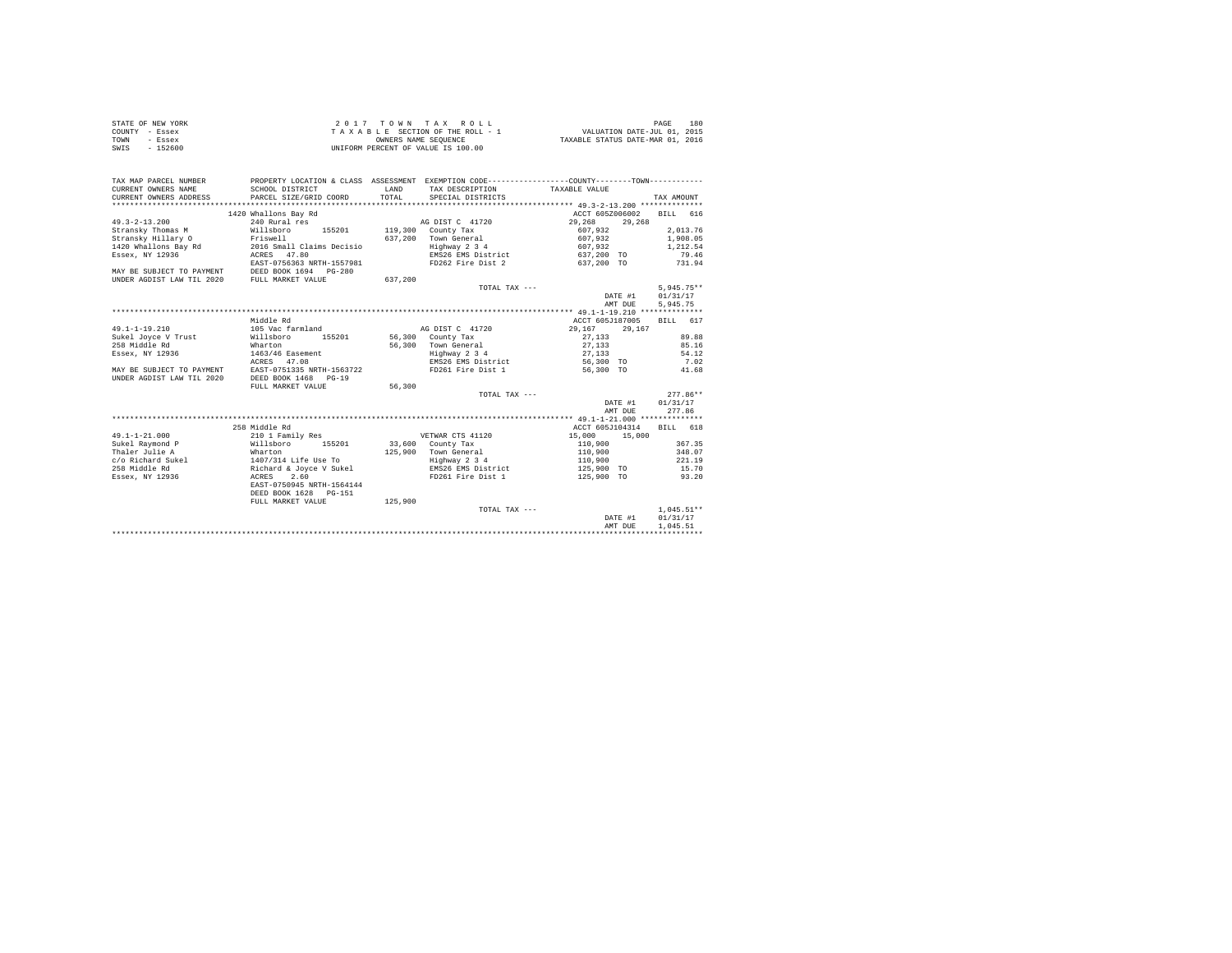| STATE OF NEW YORK | $2.017$ TOWN TAX ROLL              | 180<br>PAGE                      |
|-------------------|------------------------------------|----------------------------------|
| COUNTY - Essex    | TAXABLE SECTION OF THE ROLL - 1    | VALUATION DATE-JUL 01, 2015      |
| TOWN<br>- Essex   | OWNERS NAME SEOUENCE               | TAXABLE STATUS DATE-MAR 01, 2016 |
| SWIS<br>$-152600$ | UNIFORM PERCENT OF VALUE IS 100.00 |                                  |

| TAX MAP PARCEL NUMBER<br>CURRENT OWNERS NAME<br>CURRENT OWNERS ADDRESS                         | SCHOOL DISTRICT<br>PARCEL SIZE/GRID COORD | <b>T.AND</b><br>TOTAL. | TAX DESCRIPTION TAXABLE VALUE<br>SPECIAL DISTRICTS | PROPERTY LOCATION & CLASS ASSESSMENT EXEMPTION CODE----------------COUNTY--------TOWN---------- | TAX AMOUNT   |
|------------------------------------------------------------------------------------------------|-------------------------------------------|------------------------|----------------------------------------------------|-------------------------------------------------------------------------------------------------|--------------|
|                                                                                                |                                           |                        |                                                    |                                                                                                 |              |
|                                                                                                | 1420 Whallons Bay Rd                      |                        |                                                    | ACCT 605Z006002                                                                                 | BILL 616     |
| $49.3 - 2 - 13.200$                                                                            | 240 Rural res                             |                        | AG DIST C 41720                                    | 29,268<br>29,268                                                                                |              |
| Stransky Thomas M                                                                              | Willsboro<br>155201                       |                        | 119,300 County Tax                                 | 607.932                                                                                         | 2,013.76     |
| Stransky Hillary O                                                                             | Friswell                                  | 637.200                | Town General                                       | 607.932                                                                                         | 1,908.05     |
| 1420 Whallons Bay Rd                                                                           | 2016 Small Claims Decisio                 |                        | Highway 2 3 4                                      | 607.932                                                                                         | 1,212.54     |
| Essex, NY 12936                                                                                | ACRES 47.80                               |                        | EMS26 EMS District                                 | 637,200 TO                                                                                      | 79.46        |
|                                                                                                | EAST-0756363 NRTH-1557981                 |                        | FD262 Fire Dist 2                                  | 637,200 TO                                                                                      | 731.94       |
| MAY BE SUBJECT TO PAYMENT DEED BOOK 1694 PG-280<br>UNDER AGDIST LAW TIL 2020 FULL MARKET VALUE |                                           |                        |                                                    |                                                                                                 |              |
|                                                                                                |                                           | 637,200                |                                                    |                                                                                                 |              |
|                                                                                                |                                           |                        | TOTAL TAX $---$                                    |                                                                                                 | $5,945.75**$ |
|                                                                                                |                                           |                        |                                                    | DATE #1                                                                                         | 01/31/17     |
|                                                                                                |                                           |                        |                                                    | AMT DUE                                                                                         | 5,945.75     |
|                                                                                                |                                           |                        |                                                    |                                                                                                 |              |
|                                                                                                | Middle Rd                                 |                        |                                                    | ACCT 605J187005                                                                                 | BILL 617     |
| $49.1 - 1 - 19.210$                                                                            | 105 Vac farmland                          |                        | AG DIST C 41720                                    | 29.167 29.167                                                                                   |              |
| Sukel Joyce V Trust                                                                            | 155201<br>Willsboro                       |                        | 56,300 County Tax                                  | 27.133                                                                                          | 89.88        |
| 258 Middle Rd                                                                                  | Wharton                                   |                        | 56,300 Town General                                | 27,133                                                                                          | 85.16        |
| Essex, NY 12936                                                                                | 1463/46 Easement                          |                        | Highway 2 3 4                                      | 27,133                                                                                          | 54.12        |
|                                                                                                | ACRES 47.08                               |                        | EMS26 EMS District                                 | 56,300 TO                                                                                       | 7.02         |
| MAY BE SUBJECT TO PAYMENT                                                                      | EAST-0751335 NRTH-1563722                 |                        | FD261 Fire Dist 1                                  | 56,300 TO                                                                                       | 41.68        |
| UNDER AGDIST LAW TIL 2020                                                                      | DEED BOOK 1468 PG-19                      |                        |                                                    |                                                                                                 |              |
|                                                                                                | FULL MARKET VALUE                         | 56,300                 |                                                    |                                                                                                 |              |
|                                                                                                |                                           |                        | TOTAL TAX ---                                      |                                                                                                 | $277.86**$   |
|                                                                                                |                                           |                        |                                                    | DATE #1                                                                                         | 01/31/17     |
|                                                                                                |                                           |                        |                                                    | AMT DUE                                                                                         | 277.86       |
|                                                                                                |                                           |                        |                                                    |                                                                                                 |              |
|                                                                                                | 258 Middle Rd                             |                        |                                                    | ACCT 605J104314                                                                                 | BILL 618     |
| $49.1 - 1 - 21.000$                                                                            | 210 1 Family Res                          |                        | VETWAR CTS 41120                                   | 15,000 15,000                                                                                   |              |
| Sukel Raymond P                                                                                | Willsboro 155201                          |                        | 33,600 County Tax                                  | 110,900                                                                                         | 367.35       |
| Thaler Julie A                                                                                 | Wharton<br>1407/314 Life Use To           |                        | 125.900 Town General                               | 110,900                                                                                         | 348.07       |
| c/o Richard Sukel                                                                              |                                           |                        | Highway 2 3 4                                      | 110,900                                                                                         | 221.19       |
| 258 Middle Rd                                                                                  | Richard & Joyce V Sukel                   |                        | EMS26 EMS District                                 | 125,900 TO                                                                                      | 15.70        |
| Essex, NY 12936                                                                                | 2.60<br>ACRES                             |                        | FD261 Fire Dist 1                                  | 125,900 TO                                                                                      | 93.20        |
|                                                                                                | EAST-0750945 NRTH-1564144                 |                        |                                                    |                                                                                                 |              |
|                                                                                                | DEED BOOK 1628 PG-151                     |                        |                                                    |                                                                                                 |              |
|                                                                                                | FULL MARKET VALUE                         | 125,900                |                                                    |                                                                                                 |              |
|                                                                                                |                                           |                        | TOTAL TAX ---                                      |                                                                                                 | $1.045.51**$ |
|                                                                                                |                                           |                        |                                                    | DATE #1                                                                                         | 01/31/17     |
|                                                                                                |                                           |                        |                                                    | AMT DUE                                                                                         | 1.045.51     |
|                                                                                                |                                           |                        |                                                    |                                                                                                 |              |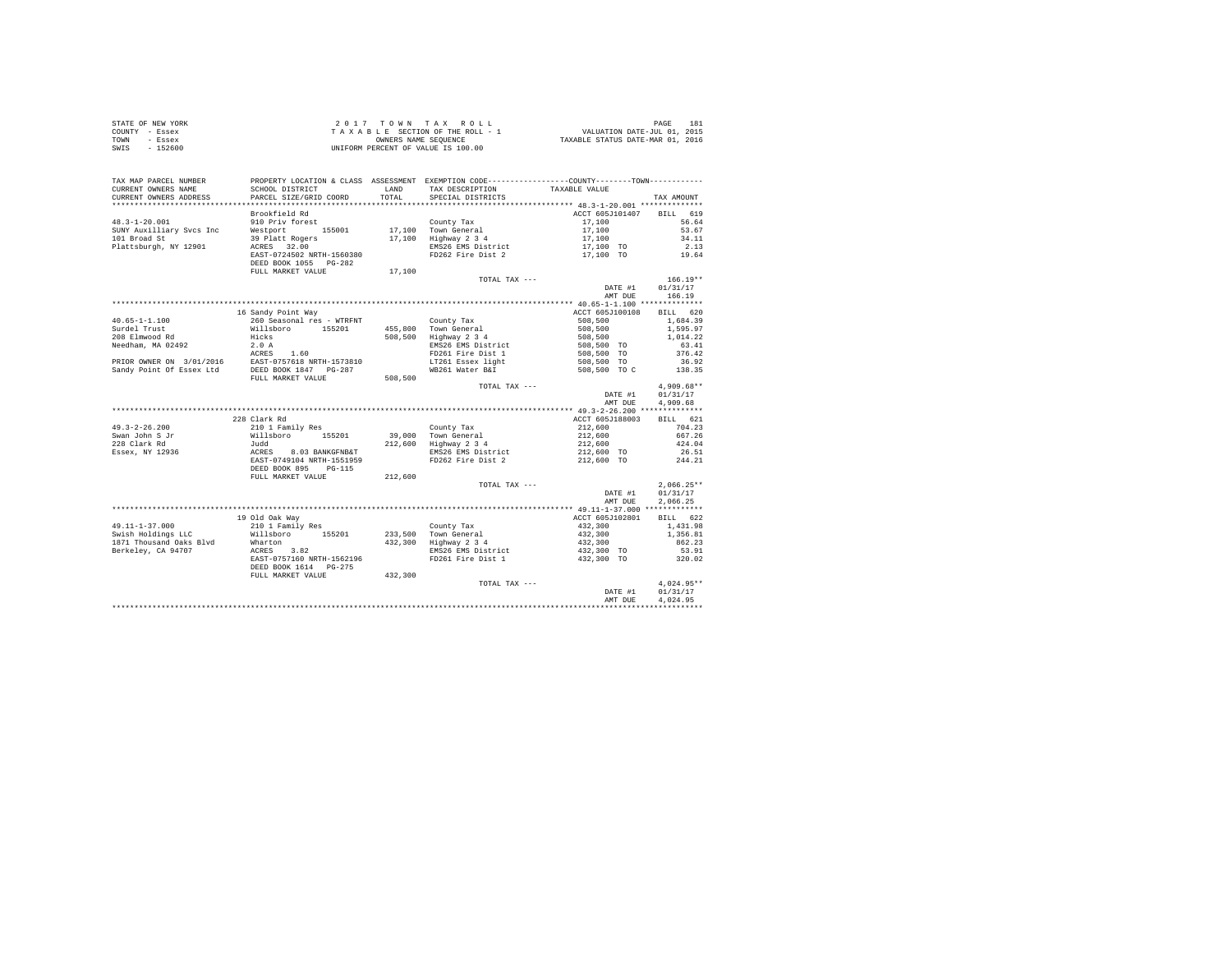| STATE OF NEW YORK | 2017 TOWN TAX ROLL                 | 181<br>PAGE                      |
|-------------------|------------------------------------|----------------------------------|
| COUNTY - Essex    | TAXABLE SECTION OF THE ROLL - 1    | VALUATION DATE-JUL 01, 2015      |
| TOWN<br>- Essex   | OWNERS NAME SEOUENCE               | TAXABLE STATUS DATE-MAR 01, 2016 |
| $-152600$<br>SWIS | UNIFORM PERCENT OF VALUE IS 100.00 |                                  |

| TAX MAP PARCEL NUMBER<br>CURRENT OWNERS NAME<br>CURRENT OWNERS ADDRESS                                                                                     | SCHOOL DISTRICT<br>PARCEL SIZE/GRID COORD                                                          | LAND<br>TOTAL | PROPERTY LOCATION & CLASS ASSESSMENT EXEMPTION CODE---------------COUNTY-------TOWN----------<br>TAX DESCRIPTION<br>SPECIAL DISTRICTS | TAXABLE VALUE                          | TAX AMOUNT           |
|------------------------------------------------------------------------------------------------------------------------------------------------------------|----------------------------------------------------------------------------------------------------|---------------|---------------------------------------------------------------------------------------------------------------------------------------|----------------------------------------|----------------------|
|                                                                                                                                                            |                                                                                                    |               |                                                                                                                                       |                                        |                      |
|                                                                                                                                                            | Brookfield Rd                                                                                      |               |                                                                                                                                       | ACCT 605J101407 BILL 619               |                      |
| $48.3 - 1 - 20.001$                                                                                                                                        | 910 Priv forest                                                                                    |               | County Tax<br>17,100 Town General                                                                                                     | 17,100                                 | 56.64                |
| SUNY Auxilliary Svcs Inc                                                                                                                                   | Westport 155001                                                                                    |               |                                                                                                                                       | 17,100                                 | 53.67                |
| 101 Broad St                                                                                                                                               | 39 Platt Rogers<br>ACRES 32.00                                                                     |               | 17,100 Highway 2 3 4<br>EMS26 EMS District                                                                                            | 17,100                                 | 34.11                |
| Plattsburgh, NY 12901                                                                                                                                      | ACRES 32.00<br>EAST-0724502 NRTH-1560380                                                           |               | FD262 Fire Dist 2                                                                                                                     | 17,100 TO                              | 2.13<br>19.64        |
|                                                                                                                                                            | DEED BOOK 1055 PG-282                                                                              |               |                                                                                                                                       | 17,100 TO                              |                      |
|                                                                                                                                                            | FULL MARKET VALUE                                                                                  | 17,100        |                                                                                                                                       |                                        |                      |
|                                                                                                                                                            |                                                                                                    |               | TOTAL TAX ---                                                                                                                         |                                        | $166.19**$           |
|                                                                                                                                                            |                                                                                                    |               |                                                                                                                                       | DATE #1                                | 01/31/17             |
|                                                                                                                                                            |                                                                                                    |               |                                                                                                                                       | AMT DUE                                | 166.19               |
|                                                                                                                                                            |                                                                                                    |               |                                                                                                                                       |                                        |                      |
|                                                                                                                                                            | 16 Sandy Point Way                                                                                 |               |                                                                                                                                       | ACCT 605J100108 BILL 620               |                      |
| $40.65 - 1 - 1.100$<br>Surdel Trust                                                                                                                        | 260 Seasonal res - WTRFNT                                                                          |               | County Tax<br>455,800 Town General                                                                                                    | 508,500<br>508,500                     | 1,684.39<br>1,595.97 |
| 208 Elmwood Rd                                                                                                                                             | Willsboro 155201<br>Hicks                                                                          | 508,500       | Highway 2 3 4                                                                                                                         |                                        |                      |
|                                                                                                                                                            |                                                                                                    |               | EMS26 EMS District                                                                                                                    | 508,500<br>508,500 TO                  | 1,014.22<br>63.41    |
|                                                                                                                                                            |                                                                                                    |               | FD261 Fire Dist 1                                                                                                                     | 508,500 TO                             | 376.42               |
| %<br>Needham, MA 02492<br>PRIOR OWNER ON 3/01/2016<br>Sandy Point Of Essex Ltd BEST-0757618 NRTH-1573810<br>Sandy Point Of Essex Ltd BEED BOOK 1847 PG-287 |                                                                                                    |               | FDZ01 FILL -<br>LT261 Essex light                                                                                                     |                                        | 36.92                |
|                                                                                                                                                            |                                                                                                    |               | WB261 Water B&I                                                                                                                       | 508,500 TO<br>508,500 TO C             | 138.35               |
|                                                                                                                                                            | FULL MARKET VALUE                                                                                  | 508,500       |                                                                                                                                       |                                        |                      |
|                                                                                                                                                            |                                                                                                    |               | TOTAL TAX ---                                                                                                                         |                                        | $4.909.68**$         |
|                                                                                                                                                            |                                                                                                    |               |                                                                                                                                       | DATE #1                                | 01/31/17             |
|                                                                                                                                                            |                                                                                                    |               |                                                                                                                                       | AMT DUE                                | 4.909.68             |
|                                                                                                                                                            |                                                                                                    |               |                                                                                                                                       |                                        |                      |
|                                                                                                                                                            | 228 Clark Rd                                                                                       |               |                                                                                                                                       | ACCT 605J188003                        | BILL 621             |
| $49.3 - 2 - 26.200$                                                                                                                                        |                                                                                                    |               | County Tax                                                                                                                            |                                        | 704.23               |
|                                                                                                                                                            |                                                                                                    |               | 39,000 Town General                                                                                                                   | 212,600<br>212,600                     | 667.26               |
| 49.3-2-2001<br>Swan John S Jr<br>228 Clark Rd<br>----- NY 12936                                                                                            |                                                                                                    |               | 212,600 Highway 2 3 4                                                                                                                 | 212,600                                | 424.04               |
|                                                                                                                                                            |                                                                                                    |               | EMS26 EMS District                                                                                                                    | 212,600 TO                             | 26.51                |
|                                                                                                                                                            | 210 1 Family Res<br>Willsboro 155201<br>Judd<br>ACRES 8.03 BANKGFNB&T<br>EAST-0749104 NRTH-1551959 |               | FD262 Fire Dist 2                                                                                                                     | 212,600 TO                             | 244.21               |
|                                                                                                                                                            | DEED BOOK 895 PG-115                                                                               |               |                                                                                                                                       |                                        |                      |
|                                                                                                                                                            | FULL MARKET VALUE                                                                                  | 212,600       |                                                                                                                                       |                                        |                      |
|                                                                                                                                                            |                                                                                                    |               | TOTAL TAX ---                                                                                                                         |                                        | $2.066.25**$         |
|                                                                                                                                                            |                                                                                                    |               |                                                                                                                                       | DATE #1                                | 01/31/17             |
|                                                                                                                                                            |                                                                                                    |               |                                                                                                                                       | AMT DUE                                | 2,066.25             |
|                                                                                                                                                            |                                                                                                    |               |                                                                                                                                       |                                        |                      |
|                                                                                                                                                            | 19 Old Oak Way                                                                                     |               |                                                                                                                                       | ACCT 605J102801                        | BILL 622             |
| 49.11-1-37.000                                                                                                                                             | 210 1 Family Res                                                                                   |               | County Tax<br>233,500 Town General                                                                                                    | 432,300                                | 1,431.98             |
| Swish Holdings LLC                                                                                                                                         | Willsboro 155201                                                                                   |               |                                                                                                                                       | $432,300$<br>$432,300$<br>$432,300$ TO | 1,356.81             |
| 1871 Thousand Oaks Blvd                                                                                                                                    | Wharton                                                                                            |               | 432,300 Highway 2 3 4                                                                                                                 |                                        | 862.23               |
| Berkeley, CA 94707                                                                                                                                         | ACRES 3.82                                                                                         |               | EMS26 EMS District                                                                                                                    |                                        | 53.91                |
|                                                                                                                                                            | EAST-0757160 NRTH-1562196<br>DEED BOOK 1614 PG-275                                                 |               | FD261 Fire Dist 1                                                                                                                     | 432,300 TO                             | 320.02               |
|                                                                                                                                                            |                                                                                                    | 432,300       |                                                                                                                                       |                                        |                      |
|                                                                                                                                                            | FULL MARKET VALUE                                                                                  |               | TOTAL TAX ---                                                                                                                         |                                        | $4,024.95**$         |
|                                                                                                                                                            |                                                                                                    |               |                                                                                                                                       | DATE #1                                | 01/31/17             |
|                                                                                                                                                            |                                                                                                    |               |                                                                                                                                       | AMT DUE                                | 4.024.95             |
|                                                                                                                                                            |                                                                                                    |               |                                                                                                                                       |                                        |                      |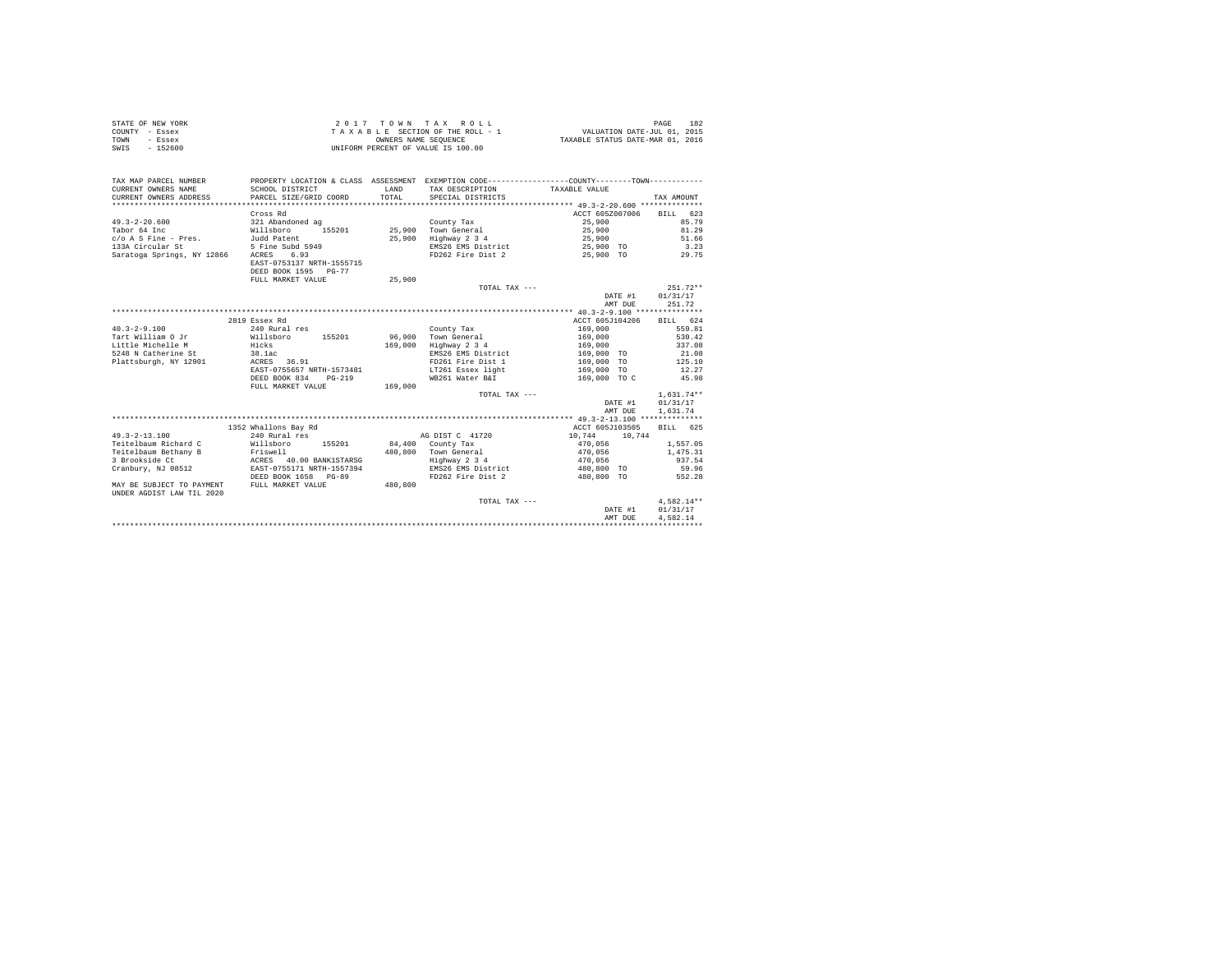| STATE OF NEW YORK | $2.0.1.7$ TOWN TAX ROLL            | 182<br>PAGE                      |
|-------------------|------------------------------------|----------------------------------|
| COUNTY - Essex    | TAXABLE SECTION OF THE ROLL - 1    | VALUATION DATE-JUL 01, 2015      |
| TOWN<br>- Essex   | OWNERS NAME SEOUENCE               | TAXABLE STATUS DATE-MAR 01, 2016 |
| $-152600$<br>SWIS | UNIFORM PERCENT OF VALUE IS 100.00 |                                  |

| TAX MAP PARCEL NUMBER<br>CURRENT OWNERS NAME<br>CURRENT OWNERS ADDRESS | SCHOOL DISTRICT<br>PARCEL SIZE/GRID COORD                          | LAND<br>TOTAL. | PROPERTY LOCATION & CLASS ASSESSMENT EXEMPTION CODE----------------COUNTY-------TOWN----------<br>TAX DESCRIPTION<br>SPECIAL DISTRICTS | TAXABLE VALUE    | TAX AMOUNT   |
|------------------------------------------------------------------------|--------------------------------------------------------------------|----------------|----------------------------------------------------------------------------------------------------------------------------------------|------------------|--------------|
|                                                                        |                                                                    |                |                                                                                                                                        |                  |              |
|                                                                        | Cross Rd                                                           |                |                                                                                                                                        | ACCT 605Z007006  | BILL 623     |
| $49.3 - 2 - 20.600$                                                    | 321 Abandoned ag                                                   |                | County Tax                                                                                                                             | 25,900           | 85.79        |
| Tabor 64 Inc                                                           | Willsboro<br>155201                                                |                | 25,900 Town General                                                                                                                    | 25,900           | 81.29        |
| c/o A S Fine - Pres.                                                   | Judd Patent                                                        | 25,900         | Highway 2 3 4                                                                                                                          | 25,900           | 51.66        |
| 133A Circular St                                                       | 5 Fine Subd 5949                                                   |                | EMS26 EMS District                                                                                                                     | 25,900 TO        | 3.23         |
| Saratoga Springs, NY 12866                                             | 6.93<br>ACRES<br>EAST-0753137 NRTH-1555715<br>DEED BOOK 1595 PG-77 |                | FD262 Fire Dist 2                                                                                                                      | 25,900 TO        | 29.75        |
|                                                                        | FULL MARKET VALUE                                                  | 25,900         |                                                                                                                                        |                  |              |
|                                                                        |                                                                    |                | TOTAL TAX ---                                                                                                                          |                  | $251.72**$   |
|                                                                        |                                                                    |                |                                                                                                                                        | DATE #1          | 01/31/17     |
|                                                                        |                                                                    |                |                                                                                                                                        | AMT DUE          | 251.72       |
|                                                                        |                                                                    |                |                                                                                                                                        |                  |              |
|                                                                        | 2819 Essex Rd                                                      |                |                                                                                                                                        | ACCT 605J104206  | BILL 624     |
| $40.3 - 2 - 9.100$                                                     | 240 Rural res                                                      |                | County Tax                                                                                                                             | 169,000          | 559.81       |
| Tart William O Jr                                                      | 155201<br>Willsboro                                                | 96,900         | Town General                                                                                                                           | 169,000          | 530.42       |
| Little Michelle M                                                      | Hicks                                                              | 169,000        | Highway 2 3 4                                                                                                                          | 169,000          | 337.08       |
| 5248 N Catherine St                                                    | 38.1ac                                                             |                | EMS26 EMS District                                                                                                                     | 169,000 TO       | 21.08        |
| Plattsburgh, NY 12901                                                  | ACRES 36.91                                                        |                | FD261 Fire Dist 1                                                                                                                      | 169,000 TO       | 125.10       |
|                                                                        | EAST-0755657 NRTH-1573481                                          |                | LT261 Essex light                                                                                                                      | 169,000 TO       | 12.27        |
|                                                                        | DEED BOOK 834<br>$PG-219$                                          |                | WB261 Water B&I                                                                                                                        | 169,000 TO C     | 45.98        |
|                                                                        | FULL MARKET VALUE                                                  | 169,000        |                                                                                                                                        |                  |              |
|                                                                        |                                                                    |                | TOTAL TAX $---$                                                                                                                        |                  | $1.631.74**$ |
|                                                                        |                                                                    |                |                                                                                                                                        | DATE #1          | 01/31/17     |
|                                                                        |                                                                    |                |                                                                                                                                        | AMT DUE          | 1,631.74     |
|                                                                        |                                                                    |                |                                                                                                                                        |                  |              |
|                                                                        | 1352 Whallons Bay Rd                                               |                |                                                                                                                                        | ACCT 605J103505  | RTLL 625     |
| $49.3 - 2 - 13.100$                                                    | 240 Rural res                                                      |                | AG DIST C 41720                                                                                                                        | 10,744<br>10.744 |              |
| Teitelbaum Richard C                                                   | Willsboro<br>155201                                                |                | 84,400 County Tax                                                                                                                      | 470.056          | 1,557.05     |
| Teitelbaum Bethany B                                                   | Friswell                                                           |                | 480.800 Town General                                                                                                                   | 470.056          | 1,475.31     |
| 3 Brookside Ct                                                         | ACRES 40.00 BANK1STARSG                                            |                | Highway 2 3 4                                                                                                                          | 470.056          | 937.54       |
| Cranbury, NJ 08512                                                     | EAST-0755171 NRTH-1557394                                          |                | EMS26 EMS District                                                                                                                     | 480.800 TO       | 59.96        |
|                                                                        | DEED BOOK 1658 PG-89                                               |                | FD262 Fire Dist 2                                                                                                                      | 480,800 TO       | 552.28       |
| MAY BE SUBJECT TO PAYMENT<br>UNDER AGDIST LAW TIL 2020                 | FULL MARKET VALUE                                                  | 480,800        |                                                                                                                                        |                  |              |
|                                                                        |                                                                    |                | TOTAL TAX ---                                                                                                                          |                  | $4,582.14**$ |
|                                                                        |                                                                    |                |                                                                                                                                        | DATE #1          | 01/31/17     |
|                                                                        |                                                                    |                |                                                                                                                                        | AMT DUE          | 4.582.14     |
|                                                                        |                                                                    |                |                                                                                                                                        |                  |              |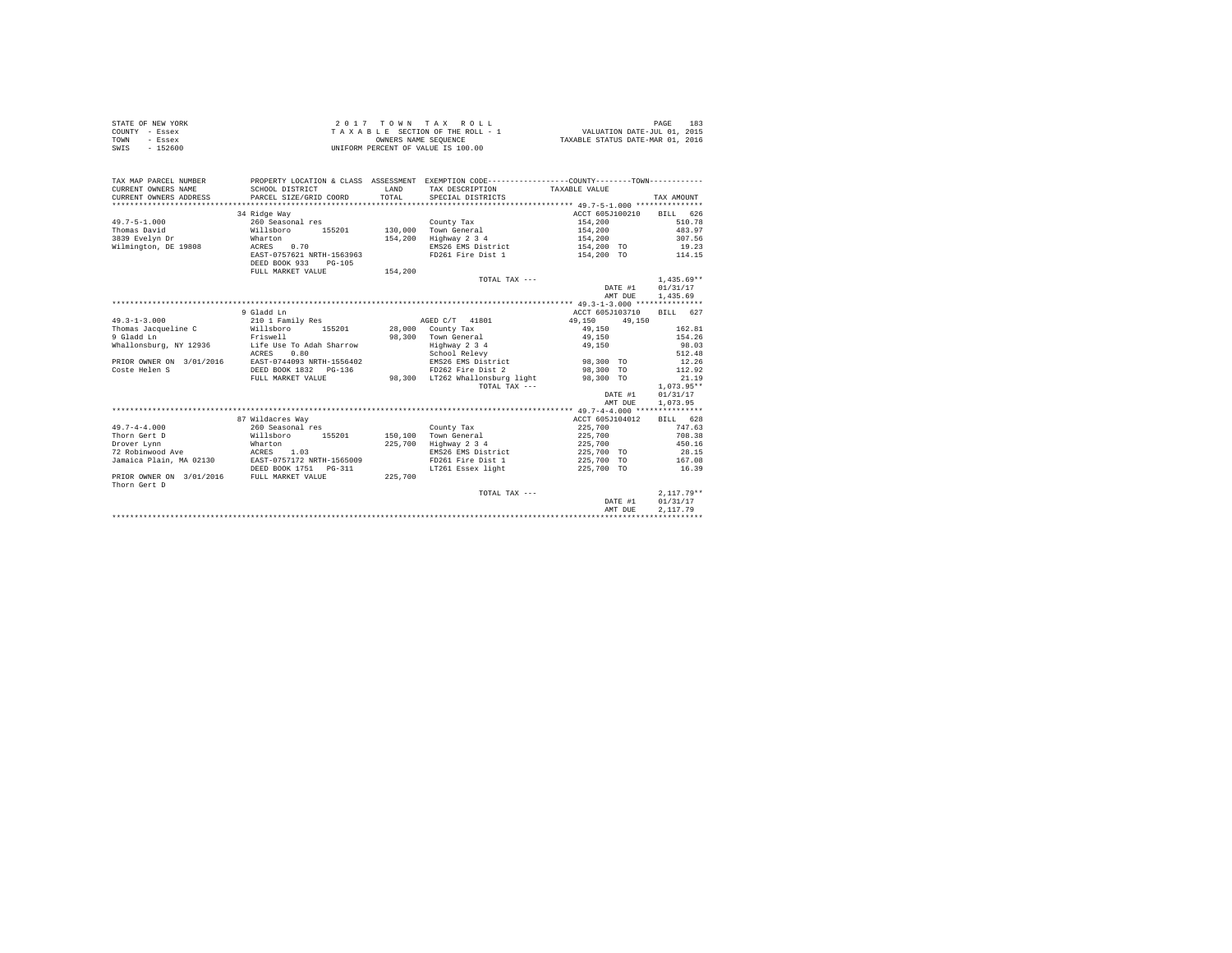| STATE OF NEW YORK | 2017 TOWN TAX ROLL                 | 183<br>PAGE                      |
|-------------------|------------------------------------|----------------------------------|
| COUNTY - Essex    | TAXABLE SECTION OF THE ROLL - 1    | VALUATION DATE-JUL 01, 2015      |
| TOWN<br>- Essex   | OWNERS NAME SEOUENCE               | TAXABLE STATUS DATE-MAR 01, 2016 |
| $-152600$<br>SWIS | UNIFORM PERCENT OF VALUE IS 100.00 |                                  |

| TAX MAP PARCEL NUMBER<br>CURRENT OWNERS NAME<br>CURRENT OWNERS ADDRESS       | SCHOOL DISTRICT<br>PARCEL SIZE/GRID COORD                                                                                                                        | LAND<br>TOTAL      | PROPERTY LOCATION & CLASS ASSESSMENT EXEMPTION CODE----------------COUNTY-------TOWN----------<br>TAX DESCRIPTION TAXABLE VALUE<br>SPECIAL DISTRICTS |                                                                                           | TAX AMOUNT                                             |
|------------------------------------------------------------------------------|------------------------------------------------------------------------------------------------------------------------------------------------------------------|--------------------|------------------------------------------------------------------------------------------------------------------------------------------------------|-------------------------------------------------------------------------------------------|--------------------------------------------------------|
| $49.7 - 5 - 1.000$<br>Thomas David<br>3839 Evelyn Dr<br>Wilmington, DE 19808 | 34 Ridge Way<br>260 Seasonal res<br>155201<br>Willsboro<br>Wharton<br>0.70<br>ACRES<br>EAST-0757621 NRTH-1563963<br>DEED BOOK 933<br>PG-105<br>FULL MARKET VALUE | 154,200<br>154,200 | County Tax<br>130,000 Town General<br>Highway 2 3 4<br>EMS26 EMS District<br>FD261 Fire Dist 1                                                       | ACCT 605J100210<br>154,200<br>154,200<br>154,200<br>154,200 TO 19.23<br>154,200 TO 114.15 | BILL 626<br>510.78<br>483.97<br>307.56<br>$1.435.69**$ |
|                                                                              |                                                                                                                                                                  |                    | TOTAL TAX ---                                                                                                                                        | DATE #1<br>AMT DUE                                                                        | 01/31/17<br>1,435.69                                   |
|                                                                              | 9 Gladd Ln                                                                                                                                                       |                    |                                                                                                                                                      | ACCT 605J103710                                                                           | BILL 627                                               |
| $49.3 - 1 - 3.000$                                                           | 210 1 Family Res                                                                                                                                                 |                    | AGED C/T 41801                                                                                                                                       | 49,150<br>49,150                                                                          |                                                        |
| Thomas Jacqueline C                                                          | Willsboro<br>155201 28,000 County Tax                                                                                                                            |                    |                                                                                                                                                      | 49,150                                                                                    | 162.81                                                 |
| 9 Gladd Ln                                                                   | Friswell                                                                                                                                                         |                    | 98,300 Town General                                                                                                                                  | 49.150                                                                                    | 154.26                                                 |
|                                                                              |                                                                                                                                                                  |                    | Highway 2 3 4                                                                                                                                        | 49,150                                                                                    | 98.03                                                  |
|                                                                              | 0.80<br>ACRES                                                                                                                                                    |                    | School Relevy                                                                                                                                        |                                                                                           | 512.48                                                 |
|                                                                              | PRIOR OWNER ON 3/01/2016 EAST-0744093 NRTH-1556402                                                                                                               |                    | EMS26 EMS District 98,300 TO                                                                                                                         |                                                                                           | 12.26                                                  |
| Coste Helen S                                                                | DEED BOOK 1832 PG-136                                                                                                                                            |                    | FD262 Fire Dist 2                                                                                                                                    | 98,300 TO                                                                                 | 112.92                                                 |
|                                                                              | FULL MARKET VALUE                                                                                                                                                |                    | 98,300 LT262 Whallonsburg light                                                                                                                      | 98,300 TO                                                                                 | 21.19                                                  |
|                                                                              |                                                                                                                                                                  |                    | TOTAL TAX ---                                                                                                                                        |                                                                                           | $1.073.95**$                                           |
|                                                                              |                                                                                                                                                                  |                    |                                                                                                                                                      | DATE #1                                                                                   | 01/31/17                                               |
|                                                                              |                                                                                                                                                                  |                    |                                                                                                                                                      | AMT DUE                                                                                   | 1,073.95                                               |
|                                                                              |                                                                                                                                                                  |                    |                                                                                                                                                      |                                                                                           |                                                        |
|                                                                              | 87 Wildacres Way                                                                                                                                                 |                    |                                                                                                                                                      | ACCT 605J104012                                                                           | BILL 628                                               |
| $49.7 - 4 - 4.000$                                                           | 260 Seasonal res                                                                                                                                                 |                    | County Tax                                                                                                                                           | 225,700                                                                                   | 747.63                                                 |
| Thorn Gert D<br>Drover Lynn                                                  | Willsboro<br>155201                                                                                                                                              | 150,100<br>225,700 | Town General                                                                                                                                         | 225,700<br>225,700                                                                        | 708.38<br>450.16                                       |
| 72 Robinwood Ave                                                             | Wharton<br>ACRES 1.03                                                                                                                                            |                    | Highway 2 3 4<br>EMS26 EMS District                                                                                                                  | 225,700 TO                                                                                | 28.15                                                  |
| Jamaica Plain, MA 02130                                                      | EAST-0757172 NRTH-1565009                                                                                                                                        |                    | FD261 Fire Dist 1                                                                                                                                    | 225,700 TO                                                                                | 167.08                                                 |
|                                                                              | DEED BOOK 1751    PG-311                                                                                                                                         |                    | LT261 Essex light                                                                                                                                    | 225,700 TO                                                                                | 16.39                                                  |
| PRIOR OWNER ON 3/01/2016 FULL MARKET VALUE<br>Thorn Gert D                   |                                                                                                                                                                  | 225,700            |                                                                                                                                                      |                                                                                           |                                                        |
|                                                                              |                                                                                                                                                                  |                    | TOTAL TAX ---                                                                                                                                        |                                                                                           | $2.117.79**$                                           |
|                                                                              |                                                                                                                                                                  |                    |                                                                                                                                                      | DATE #1                                                                                   | 01/31/17                                               |
|                                                                              |                                                                                                                                                                  |                    |                                                                                                                                                      | AMT DUE                                                                                   | 2.117.79                                               |
|                                                                              |                                                                                                                                                                  |                    |                                                                                                                                                      |                                                                                           |                                                        |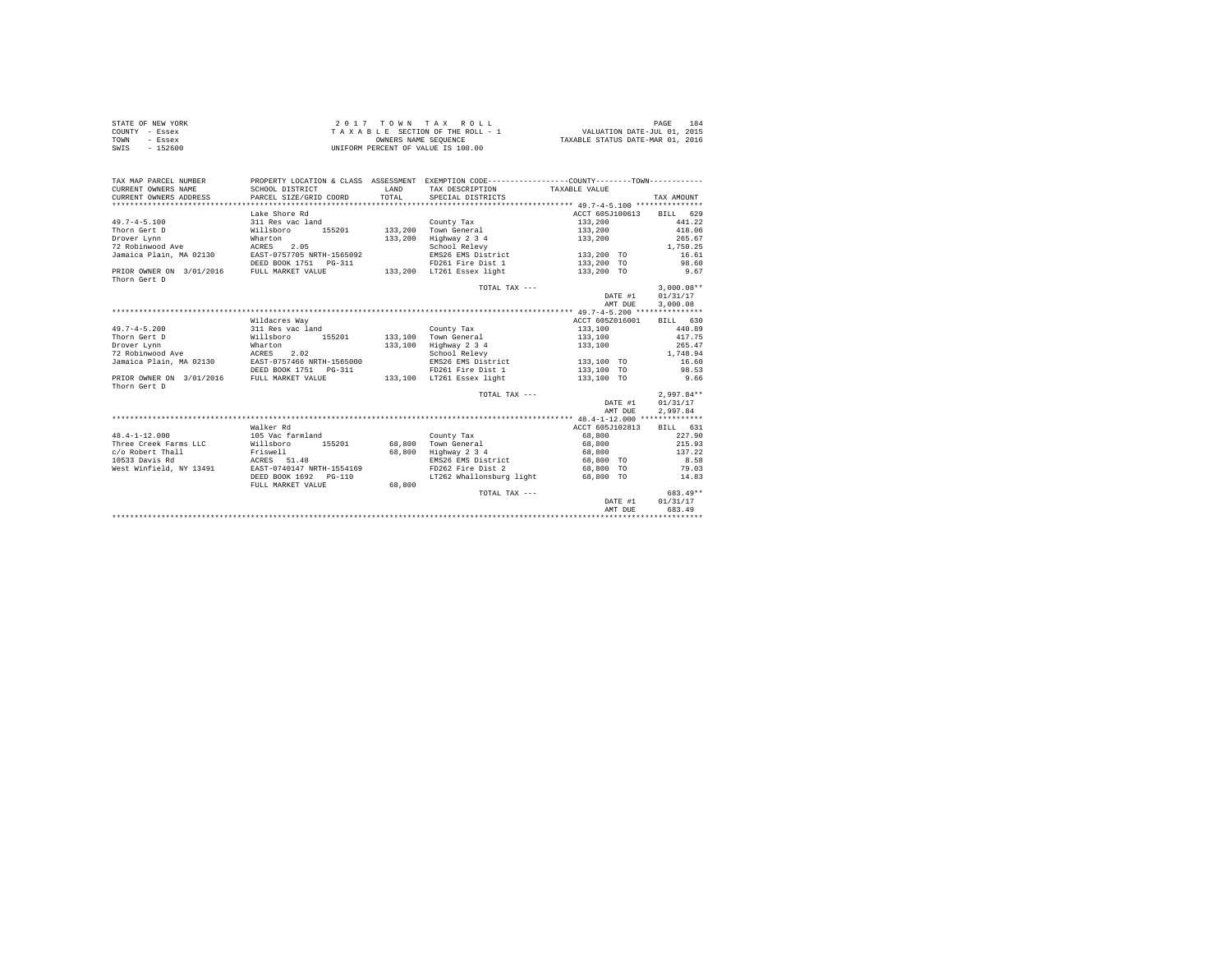| STATE OF NEW YORK | $2.017$ TOWN TAX ROLL              | 184<br>PAGE                      |
|-------------------|------------------------------------|----------------------------------|
| COUNTY - Essex    | TAXABLE SECTION OF THE ROLL - 1    | VALUATION DATE-JUL 01, 2015      |
| TOWN<br>- Essex   | OWNERS NAME SEOUENCE               | TAXABLE STATUS DATE-MAR 01, 2016 |
| SWIS<br>$-152600$ | UNIFORM PERCENT OF VALUE IS 100.00 |                                  |

| TAX MAP PARCEL NUMBER<br>CURRENT OWNERS NAME<br>CURRENT OWNERS ADDRESS | SCHOOL DISTRICT<br>PARCEL SIZE/GRID COORD | <b>T.AND</b><br>TOTAL | PROPERTY LOCATION & CLASS ASSESSMENT EXEMPTION CODE----------------COUNTY-------TOWN----------<br>TAX DESCRIPTION<br>SPECIAL DISTRICTS | TAXABLE VALUE   | TAX AMOUNT   |
|------------------------------------------------------------------------|-------------------------------------------|-----------------------|----------------------------------------------------------------------------------------------------------------------------------------|-----------------|--------------|
|                                                                        | Lake Shore Rd                             |                       |                                                                                                                                        | ACCT 605J100613 | BILL 629     |
| $49.7 - 4 - 5.100$                                                     | 311 Res vac land                          |                       | County Tax                                                                                                                             | 133,200         | 441.22       |
| Thorn Gert D                                                           | Willsboro<br>155201                       | 133,200               | Town General                                                                                                                           | 133,200         | 418.06       |
| Drover Lynn                                                            | Wharton                                   | 133,200               | Highway 2 3 4                                                                                                                          | 133,200         | 265.67       |
| 72 Robinwood Ave                                                       | 2.05<br>ACRES                             |                       | School Relevy                                                                                                                          |                 | 1,750.25     |
| Jamaica Plain, MA 02130                                                | EAST-0757705 NRTH-1565092                 |                       | EMS26 EMS District                                                                                                                     | 133,200 TO      | 16.61        |
|                                                                        | DEED BOOK 1751 PG-311                     |                       | FD261 Fire Dist 1                                                                                                                      | 133,200 TO      | 98.60        |
| PRIOR OWNER ON 3/01/2016                                               | FULL MARKET VALUE                         |                       | 133,200 LT261 Essex light                                                                                                              | 133,200 TO      | 9.67         |
| Thorn Gert D                                                           |                                           |                       |                                                                                                                                        |                 |              |
|                                                                        |                                           |                       | TOTAL TAX ---                                                                                                                          |                 | $3.000.08**$ |
|                                                                        |                                           |                       |                                                                                                                                        | DATE #1         | 01/31/17     |
|                                                                        |                                           |                       |                                                                                                                                        | AMT DUE         | 3,000.08     |
|                                                                        |                                           |                       |                                                                                                                                        |                 |              |
|                                                                        | Wildacres Way                             |                       |                                                                                                                                        | ACCT 605Z016001 | BILL 630     |
| $49.7 - 4 - 5.200$                                                     | 311 Res vac land                          |                       | County Tax                                                                                                                             | 133,100         | 440.89       |
| Thorn Gert D                                                           | Willsboro<br>155201                       | 133,100               | Town General                                                                                                                           | 133,100         | 417.75       |
| Drover Lynn                                                            | Wharton                                   | 133,100               | Highway 2 3 4                                                                                                                          | 133,100         | 265.47       |
| 72 Robinwood Ave                                                       | ACRES<br>2.02                             |                       | School Relevy                                                                                                                          |                 | 1,748.94     |
| Jamaica Plain, MA 02130                                                | EAST-0757466 NRTH-1565000                 |                       | EMS26 EMS District                                                                                                                     | 133,100 TO      | 16.60        |
|                                                                        | DEED BOOK 1751   PG-311                   |                       | FD261 Fire Dist 1                                                                                                                      | 133,100 TO      | 98.53        |
| PRIOR OWNER ON 3/01/2016<br>Thorn Gert D                               | FULL MARKET VALUE                         |                       | 133,100 LT261 Essex light                                                                                                              | 133,100 TO      | 9.66         |
|                                                                        |                                           |                       | TOTAL TAX ---                                                                                                                          |                 | $2.997.84**$ |
|                                                                        |                                           |                       |                                                                                                                                        | DATE #1         | 01/31/17     |
|                                                                        |                                           |                       |                                                                                                                                        | AMT DUE         | 2,997.84     |
|                                                                        |                                           |                       |                                                                                                                                        |                 |              |
|                                                                        | Walker Rd                                 |                       |                                                                                                                                        | ACCT 605J102813 | BILL 631     |
| $48.4 - 1 - 12.000$                                                    | 105 Vac farmland                          |                       | County Tax                                                                                                                             | 68,800          | 227.90       |
| Three Creek Farms LLC                                                  | 155201<br>Willsboro                       | 68,800                | Town General                                                                                                                           | 68,800          | 215.93       |
| c/o Robert Thall                                                       | Friswell                                  | 68,800                | Highway 2 3 4                                                                                                                          | 68,800          | 137.22       |
| 10533 Davis Rd                                                         | ACRES 51.48                               |                       | EMS26 EMS District                                                                                                                     | 68,800 TO       | 8.58         |
| West Winfield, NY 13491                                                | EAST-0740147 NRTH-1554169                 |                       | FD262 Fire Dist 2                                                                                                                      | 68,800 TO       | 79.03        |
|                                                                        | DEED BOOK 1692<br>PG-110                  |                       | LT262 Whallonsburg light                                                                                                               | 68,800 TO       | 14.83        |
|                                                                        | FULL MARKET VALUE                         | 68,800                |                                                                                                                                        |                 |              |
|                                                                        |                                           |                       | TOTAL TAX ---                                                                                                                          |                 | 683.49**     |
|                                                                        |                                           |                       |                                                                                                                                        | DATE #1         | 01/31/17     |
|                                                                        |                                           |                       |                                                                                                                                        | AMT DUE         | 683.49       |
|                                                                        |                                           |                       |                                                                                                                                        |                 |              |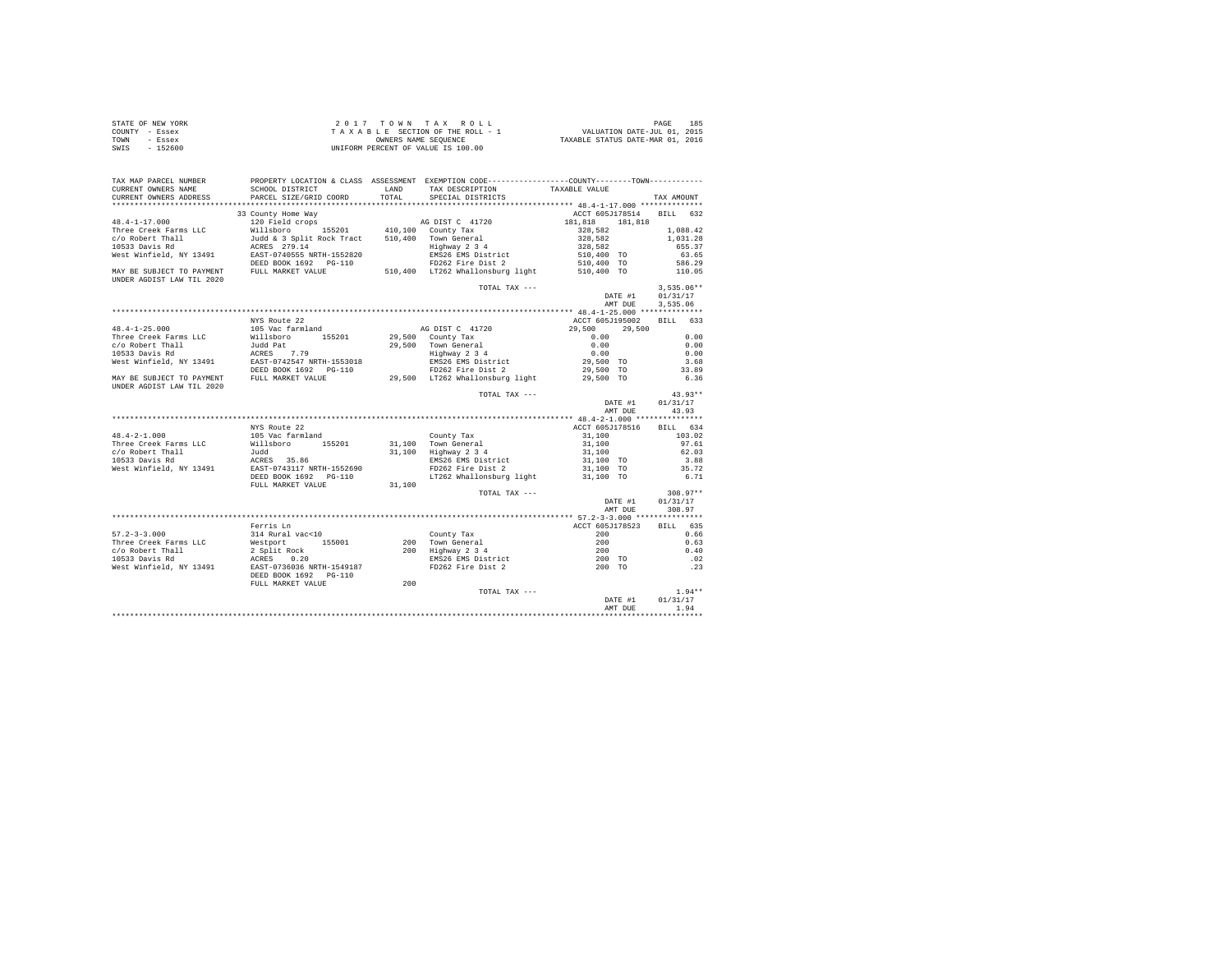| STATE OF NEW YORK | 2017 TOWN TAX ROLL                 | 185<br>PAGE                      |
|-------------------|------------------------------------|----------------------------------|
| COUNTY - Essex    | TAXABLE SECTION OF THE ROLL - 1    | VALUATION DATE-JUL 01, 2015      |
| TOWN<br>- Essex   | OWNERS NAME SEOUENCE               | TAXABLE STATUS DATE-MAR 01, 2016 |
| $-152600$<br>SWIS | UNIFORM PERCENT OF VALUE IS 100.00 |                                  |

| TAX MAP PARCEL NUMBER     |                                                                                                                                                                                                                                                | PROPERTY LOCATION & CLASS ASSESSMENT EXEMPTION CODE---------------COUNTY-------TOWN--------- |                                                                                    |                |
|---------------------------|------------------------------------------------------------------------------------------------------------------------------------------------------------------------------------------------------------------------------------------------|----------------------------------------------------------------------------------------------|------------------------------------------------------------------------------------|----------------|
| CURRENT OWNERS NAME       |                                                                                                                                                                                                                                                | LAND TAX DESCRIPTION TAXABLE VALUE                                                           |                                                                                    |                |
| CURRENT OWNERS ADDRESS    | -----<br>SCHOOL DISTRICT<br>PARCEL SIZE/GRID COORD                                                                                                                                                                                             | TOTAL SPECIAL DISTRICTS                                                                      |                                                                                    | TAX AMOUNT     |
|                           |                                                                                                                                                                                                                                                |                                                                                              |                                                                                    |                |
|                           | 33 County Home Way                                                                                                                                                                                                                             |                                                                                              | ACCT 605J178514 BILL 632                                                           |                |
|                           |                                                                                                                                                                                                                                                |                                                                                              |                                                                                    |                |
|                           |                                                                                                                                                                                                                                                |                                                                                              |                                                                                    |                |
|                           |                                                                                                                                                                                                                                                |                                                                                              |                                                                                    |                |
|                           |                                                                                                                                                                                                                                                |                                                                                              |                                                                                    |                |
|                           |                                                                                                                                                                                                                                                |                                                                                              |                                                                                    |                |
|                           |                                                                                                                                                                                                                                                |                                                                                              |                                                                                    |                |
|                           |                                                                                                                                                                                                                                                |                                                                                              |                                                                                    |                |
| UNDER AGDIST LAW TIL 2020 |                                                                                                                                                                                                                                                |                                                                                              |                                                                                    |                |
|                           |                                                                                                                                                                                                                                                | TOTAL TAX ---                                                                                |                                                                                    | $3,535.06**$   |
|                           |                                                                                                                                                                                                                                                |                                                                                              | DATE #1 01/31/17                                                                   |                |
|                           |                                                                                                                                                                                                                                                |                                                                                              | AMT DUE                                                                            | 3,535.06       |
|                           |                                                                                                                                                                                                                                                |                                                                                              |                                                                                    |                |
|                           | NYS Route 22                                                                                                                                                                                                                                   |                                                                                              | ACCT 605J195002 BILL 633                                                           |                |
|                           |                                                                                                                                                                                                                                                |                                                                                              |                                                                                    |                |
|                           |                                                                                                                                                                                                                                                |                                                                                              |                                                                                    |                |
|                           |                                                                                                                                                                                                                                                |                                                                                              |                                                                                    |                |
|                           |                                                                                                                                                                                                                                                |                                                                                              |                                                                                    |                |
|                           |                                                                                                                                                                                                                                                |                                                                                              |                                                                                    |                |
|                           |                                                                                                                                                                                                                                                |                                                                                              |                                                                                    |                |
|                           |                                                                                                                                                                                                                                                |                                                                                              |                                                                                    |                |
| UNDER AGDIST LAW TIL 2020 |                                                                                                                                                                                                                                                |                                                                                              |                                                                                    |                |
|                           |                                                                                                                                                                                                                                                | TOTAL TAX ---                                                                                |                                                                                    | $43.93**$      |
|                           |                                                                                                                                                                                                                                                |                                                                                              | DATE #1 01/31/17                                                                   |                |
|                           |                                                                                                                                                                                                                                                |                                                                                              | AMT DUE 43.93                                                                      |                |
|                           |                                                                                                                                                                                                                                                |                                                                                              |                                                                                    |                |
|                           |                                                                                                                                                                                                                                                |                                                                                              |                                                                                    |                |
|                           | NYS Route 22                                                                                                                                                                                                                                   |                                                                                              | ACCT 605J178516 BILL 634                                                           |                |
|                           |                                                                                                                                                                                                                                                |                                                                                              |                                                                                    |                |
|                           |                                                                                                                                                                                                                                                |                                                                                              |                                                                                    |                |
|                           |                                                                                                                                                                                                                                                |                                                                                              |                                                                                    |                |
|                           |                                                                                                                                                                                                                                                |                                                                                              |                                                                                    |                |
|                           |                                                                                                                                                                                                                                                |                                                                                              |                                                                                    |                |
|                           |                                                                                                                                                                                                                                                |                                                                                              |                                                                                    |                |
|                           | 48.4-2-1.000 105 Note 22<br>Three Creek Farms LLC Willsboro 155201 31,100 Town General 31,100 97.61<br>2010 105 Note farmland 21,100 Town General 31,100 97.61<br>2010 103.02<br>2010 103.02<br>2010 103.02<br>2010 103.02<br>2010 103.02<br>2 |                                                                                              |                                                                                    |                |
|                           |                                                                                                                                                                                                                                                | TOTAL TAX ---                                                                                |                                                                                    | $308.97**$     |
|                           |                                                                                                                                                                                                                                                |                                                                                              | DATE #1                                                                            | 01/31/17       |
|                           |                                                                                                                                                                                                                                                |                                                                                              |                                                                                    | AMT DUE 308.97 |
|                           |                                                                                                                                                                                                                                                |                                                                                              |                                                                                    |                |
|                           |                                                                                                                                                                                                                                                |                                                                                              |                                                                                    |                |
|                           |                                                                                                                                                                                                                                                |                                                                                              |                                                                                    |                |
|                           |                                                                                                                                                                                                                                                |                                                                                              |                                                                                    |                |
|                           |                                                                                                                                                                                                                                                |                                                                                              |                                                                                    |                |
|                           |                                                                                                                                                                                                                                                |                                                                                              |                                                                                    |                |
|                           |                                                                                                                                                                                                                                                |                                                                                              |                                                                                    |                |
|                           | 97.2–3–3.000<br>Three Creek Farms LLC March 200 (200 Forms and 200 (200 Forms LLC March 200 (200 Forms LLC March 200 (200 Forms 200 (200 Forms 200 (200 Forms 200 (300 Forms 200 (300 Forms 200 (300 Forms 200 (300 Forms 200 (3               |                                                                                              |                                                                                    |                |
|                           |                                                                                                                                                                                                                                                |                                                                                              |                                                                                    |                |
|                           | FULL MARKET VALUE 200                                                                                                                                                                                                                          | TOTAL TAX ---                                                                                | $\begin{tabular}{cc} & & & 1.94** \\ \texttt{DATE \#1} & & 01/31/17 \end{tabular}$ |                |
|                           |                                                                                                                                                                                                                                                |                                                                                              |                                                                                    |                |
|                           |                                                                                                                                                                                                                                                |                                                                                              | AMT DUE 1.94                                                                       |                |
|                           |                                                                                                                                                                                                                                                |                                                                                              |                                                                                    |                |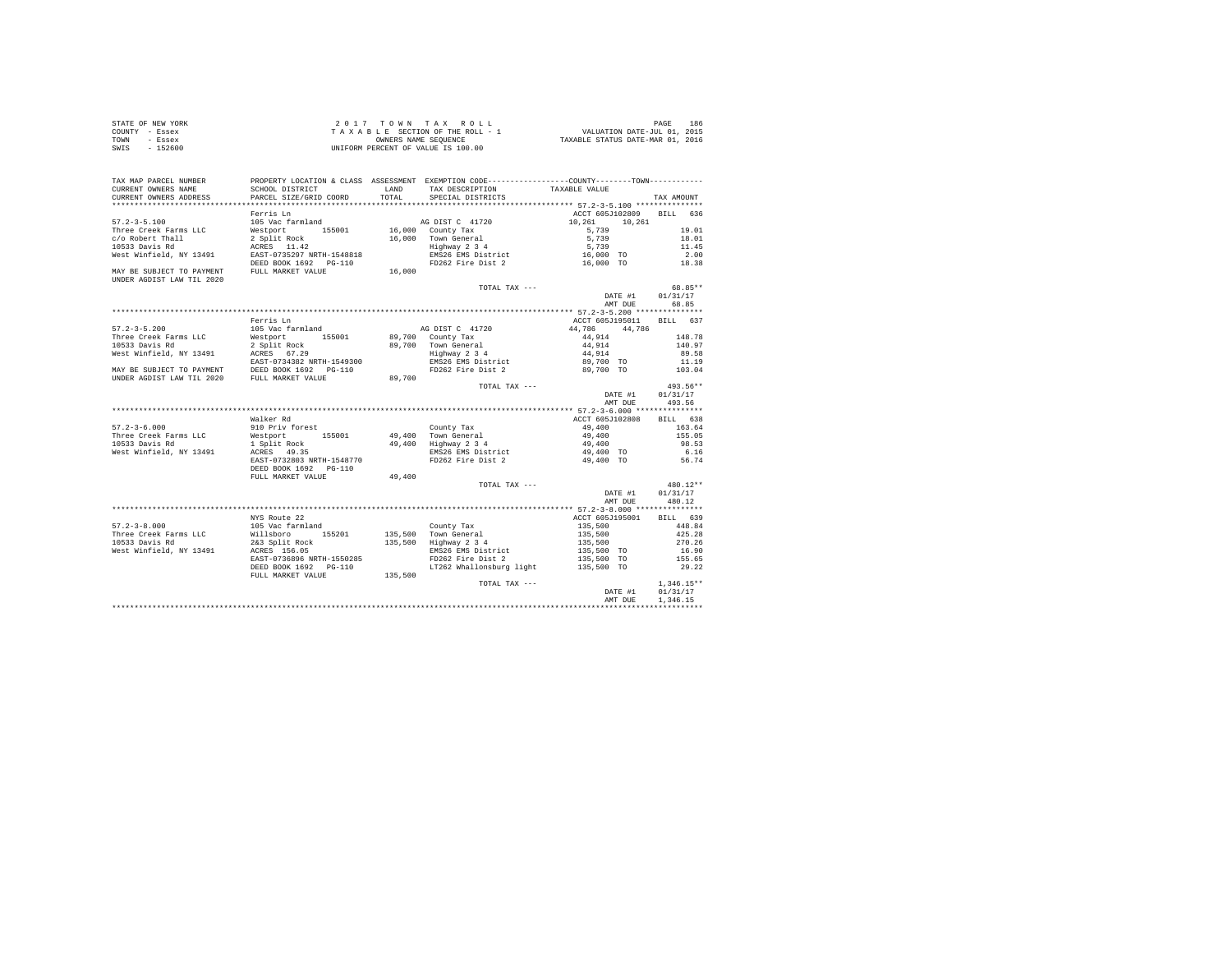| STATE OF NEW YORK | 2017 TOWN TAX ROLL                 | 186<br>PAGE                      |
|-------------------|------------------------------------|----------------------------------|
| COUNTY - Essex    | TAXABLE SECTION OF THE ROLL - 1    | VALUATION DATE-JUL 01, 2015      |
| TOWN<br>- Essex   | OWNERS NAME SEOUENCE               | TAXABLE STATUS DATE-MAR 01, 2016 |
| $-152600$<br>SWIS | UNIFORM PERCENT OF VALUE IS 100.00 |                                  |

| TAX MAP PARCEL NUMBER                                  |                                                                          |         | PROPERTY LOCATION & CLASS ASSESSMENT EXEMPTION CODE---------------COUNTY-------TOWN--------- |                                     |                 |
|--------------------------------------------------------|--------------------------------------------------------------------------|---------|----------------------------------------------------------------------------------------------|-------------------------------------|-----------------|
| CURRENT OWNERS NAME                                    | SCHOOL DISTRICT                                                          | LAND    | TAX DESCRIPTION                                                                              | TAXABLE VALUE                       |                 |
| CURRENT OWNERS ADDRESS                                 | PARCEL SIZE/GRID COORD                                                   | TOTAL.  | SPECIAL DISTRICTS                                                                            |                                     | TAX AMOUNT      |
|                                                        |                                                                          |         |                                                                                              |                                     |                 |
| $57.2 - 3 - 5.100$                                     | Ferris Ln<br>105 Vac farmland                                            |         | AG DIST C 41720                                                                              | ACCT 605J102809<br>10,261<br>10,261 | BILL 636        |
| Three Creek Farms LLC                                  | Westport 155001                                                          |         | 16,000 County Tax                                                                            | 5,739                               | 19.01           |
| c/o Robert Thall                                       | 2 Split Rock                                                             |         |                                                                                              | 5,739                               | 18.01           |
| 10533 Davis Rd                                         | ACRES 11.42                                                              |         | 16,000 Town General<br>Highway 2 3 4                                                         | 5,739                               | 11.45           |
| West Winfield, NY 13491                                | EAST-0735297 NRTH-1548818                                                |         |                                                                                              |                                     | 2.00            |
|                                                        | DEED BOOK 1692    PG-110                                                 |         | EMS26 EMS District 16,000 TO<br>FD262 Fire Dist 2 16,000 TO                                  |                                     | 18.38           |
| MAY BE SUBJECT TO PAYMENT<br>UNDER AGDIST LAW TIL 2020 | FULL MARKET VALUE                                                        | 16,000  |                                                                                              |                                     |                 |
|                                                        |                                                                          |         | TOTAL TAX ---                                                                                |                                     | 68.85**         |
|                                                        |                                                                          |         |                                                                                              | DATE #1                             | 01/31/17        |
|                                                        |                                                                          |         |                                                                                              | AMT DUE                             | 68.85           |
|                                                        |                                                                          |         |                                                                                              |                                     |                 |
|                                                        | Ferris Ln                                                                |         |                                                                                              | ACCT 605J195011 BILL 637            |                 |
| $57.2 - 3 - 5.200$                                     | 105 Vac farmland                                                         |         | AG DIST C 41720                                                                              | 44.786<br>44.786                    |                 |
| Three Creek Farms LLC                                  | Westport 155001                                                          |         | 89,700 County Tax                                                                            | 44,914                              | 148.78          |
| 10533 Davis Rd                                         | 2 Split Rock                                                             |         |                                                                                              | 44,914                              | 140.97          |
| West Winfield, NY 13491                                | ACRES 67.29                                                              |         | 89,700 County Tax<br>89,700 Town General<br>Highway 2 3 4                                    | 44,914                              | 89.58           |
|                                                        | EAST-0734382 NRTH-1549300                                                |         | EMS26 EMS District                                                                           | 89,700 TO                           | 11.19           |
|                                                        |                                                                          |         | FD262 Fire Dist 2                                                                            | 89,700 TO                           | 103.04          |
|                                                        | MAY BE SUBJECT TO PAYMENT<br>UNDER AGDIST LAW TIL 2020 FULL MARKET VALUE | 89,700  |                                                                                              |                                     |                 |
|                                                        |                                                                          |         | TOTAL TAX ---                                                                                |                                     | 493.56**        |
|                                                        |                                                                          |         |                                                                                              | DATE #1                             | 01/31/17        |
|                                                        |                                                                          |         |                                                                                              | AMT DUE                             | 493.56          |
|                                                        |                                                                          |         |                                                                                              |                                     |                 |
|                                                        | Walker Rd                                                                |         |                                                                                              | ACCT 605J102808                     | BILL 638        |
| $57.2 - 3 - 6.000$                                     | 910 Priv forest                                                          |         | County Tax                                                                                   | 49,400                              | 163.64          |
| Three Creek Farms LLC                                  | Westport 155001                                                          |         | 49.400 Town General                                                                          | 49,400                              | 155.05          |
| 10533 Davis Rd                                         | 1 Split Rock                                                             |         | 49,400 Highway 2 3 4                                                                         | 49,400                              | 98.53           |
| West Winfield, NY 13491                                | ACRES 49.35                                                              |         | EMS26 EMS District                                                                           | 49,400 TO                           | 6.16            |
|                                                        | EAST-0732803 NRTH-1548770                                                |         | FD262 Fire Dist 2                                                                            | 49,400 TO                           | 56.74           |
|                                                        | DEED BOOK 1692    PG-110                                                 |         |                                                                                              |                                     |                 |
|                                                        | FULL MARKET VALUE                                                        | 49,400  |                                                                                              |                                     |                 |
|                                                        |                                                                          |         | TOTAL TAX ---                                                                                |                                     | 480.12**        |
|                                                        |                                                                          |         |                                                                                              | DATE #1                             | 01/31/17        |
|                                                        |                                                                          |         |                                                                                              | AMT DUE                             | 480.12          |
|                                                        |                                                                          |         |                                                                                              |                                     |                 |
|                                                        | NYS Route 22                                                             |         |                                                                                              | ACCT 605J195001                     | BILL 639        |
| $57.2 - 3 - 8.000$                                     | 105 Vac farmland<br>Willsboro 155201                                     |         | County Tax<br>135,500 Town General<br>135,500 Highway 2 3 4                                  | 135,500                             | 448.84          |
| Three Creek Farms LLC                                  |                                                                          |         |                                                                                              | 135,500                             | 425.28          |
| 10533 Davis Rd                                         | 2&3 Split Rock<br>ACRES 156.05                                           |         |                                                                                              | 135,500                             | 270.26          |
| West Winfield, NY 13491                                | ACRES 156.05<br>EAST-0736896 NRTH-1550285                                |         | EMS26 EMS District<br>FD262 Fire Dist 2                                                      | 135,500 TO<br>135,500 TO            | 16.90<br>155.65 |
|                                                        | DEED BOOK 1692   PG-110                                                  |         | LT262 Whallonsburg light 135,500 TO                                                          |                                     | 29.22           |
|                                                        | FULL MARKET VALUE                                                        | 135,500 |                                                                                              |                                     |                 |
|                                                        |                                                                          |         | TOTAL TAX ---                                                                                |                                     | $1,346.15**$    |
|                                                        |                                                                          |         |                                                                                              | DATE #1                             | 01/31/17        |
|                                                        |                                                                          |         |                                                                                              | AMT DUE                             | 1.346.15        |
|                                                        |                                                                          |         |                                                                                              |                                     |                 |
|                                                        |                                                                          |         |                                                                                              |                                     |                 |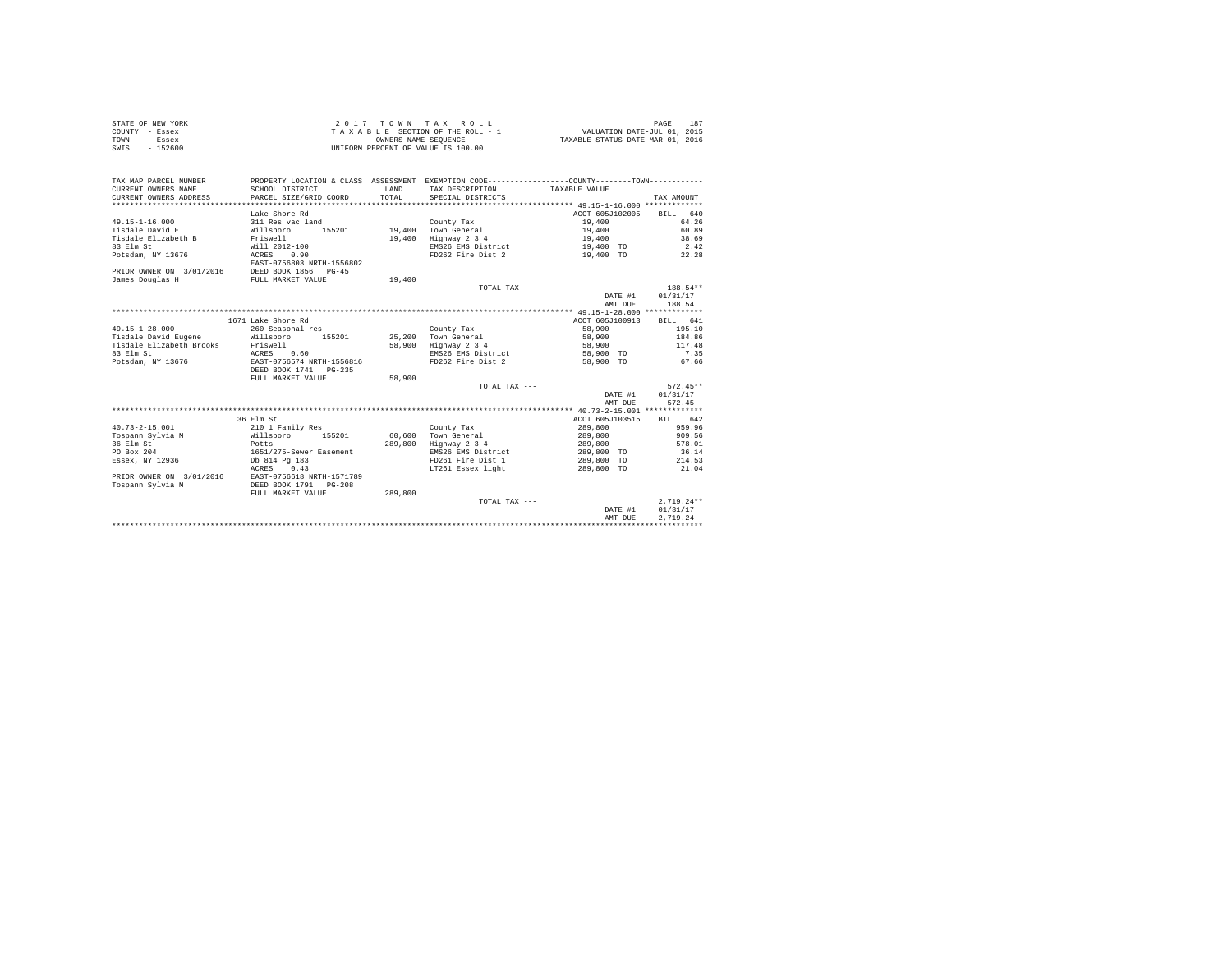| STATE OF NEW YORK | 2017 TOWN TAX ROLL                 | 187<br>PAGE                      |
|-------------------|------------------------------------|----------------------------------|
| COUNTY - Essex    | TAXABLE SECTION OF THE ROLL - 1    | VALUATION DATE-JUL 01, 2015      |
| TOWN<br>- Essex   | OWNERS NAME SEOUENCE               | TAXABLE STATUS DATE-MAR 01, 2016 |
| $-152600$<br>SWIS | UNIFORM PERCENT OF VALUE IS 100.00 |                                  |

| TAX MAP PARCEL NUMBER<br>CURRENT OWNERS NAME  | PROPERTY LOCATION & CLASS ASSESSMENT EXEMPTION CODE----------------COUNTY-------TOWN----------<br>SCHOOL DISTRICT | LAND    | TAX DESCRIPTION TAXABLE VALUE |                 |              |
|-----------------------------------------------|-------------------------------------------------------------------------------------------------------------------|---------|-------------------------------|-----------------|--------------|
| CURRENT OWNERS ADDRESS                        | PARCEL SIZE/GRID COORD                                                                                            | TOTAL.  | SPECIAL DISTRICTS             |                 | TAX AMOUNT   |
|                                               |                                                                                                                   |         |                               |                 |              |
|                                               | Lake Shore Rd                                                                                                     |         |                               | ACCT 605J102005 | BILL 640     |
| $49.15 - 1 - 16.000$                          | 311 Res vac land                                                                                                  |         | County Tax                    | 19,400          | 64.26        |
| Tisdale David E                               | Willsboro<br>155201                                                                                               |         | 19,400 Town General           | 19,400          | 60.89        |
| Tisdale Elizabeth B Friswell                  |                                                                                                                   | 19,400  | Highway 2 3 4                 | 19,400          | 38.69        |
| 83 Elm St                                     | Will 2012-100                                                                                                     |         | EMS26 EMS District            | 19,400 TO       | 2.42         |
| Potsdam, NY 13676                             | ACRES 0.90                                                                                                        |         | FD262 Fire Dist 2             | 19,400 TO       | 22.28        |
|                                               | EAST-0756803 NRTH-1556802                                                                                         |         |                               |                 |              |
| PRIOR OWNER ON 3/01/2016 DEED BOOK 1856 PG-45 |                                                                                                                   |         |                               |                 |              |
| James Douglas H                               | FULL MARKET VALUE                                                                                                 | 19,400  |                               |                 |              |
|                                               |                                                                                                                   |         | TOTAL TAX ---                 |                 | 188.54**     |
|                                               |                                                                                                                   |         |                               | DATE #1         | 01/31/17     |
|                                               |                                                                                                                   |         |                               | AMT DUE         | 188.54       |
|                                               |                                                                                                                   |         |                               |                 |              |
|                                               | 1671 Lake Shore Rd                                                                                                |         |                               | ACCT 605J100913 | BILL 641     |
| $49.15 - 1 - 28.000$                          | 260 Seasonal res                                                                                                  |         | County Tax                    | 58,900          | 195.10       |
| Tisdale David Eugene Millsboro                | 155201                                                                                                            | 25,200  | Town General                  | 58,900          | 184.86       |
| Tisdale Elizabeth Brooks                      | Friswell                                                                                                          |         | 58,900 Highway 2 3 4          | 58,900          | 117.48       |
| 83 Elm St                                     | ACRES<br>0.60                                                                                                     |         | EMS26 EMS District            | 58,900 TO       | 7.35         |
| Potsdam, NY 13676                             | EAST-0756574 NRTH-1556816                                                                                         |         | FD262 Fire Dist 2             | 58,900 TO       | 67.66        |
|                                               | DEED BOOK 1741   PG-235                                                                                           |         |                               |                 |              |
|                                               | FULL MARKET VALUE                                                                                                 | 58,900  |                               |                 |              |
|                                               |                                                                                                                   |         | TOTAL TAX ---                 |                 | $572.45**$   |
|                                               |                                                                                                                   |         |                               | DATE #1         | 01/31/17     |
|                                               |                                                                                                                   |         |                               | AMT DUE         | 572.45       |
|                                               |                                                                                                                   |         |                               |                 |              |
|                                               | 36 Elm St                                                                                                         |         |                               | ACCT 605J103515 | BILL 642     |
| $40.73 - 2 - 15.001$                          | 210 1 Family Res                                                                                                  |         | County Tax                    | 289,800         | 959.96       |
| Tospann Sylvia M                              | Willsboro<br>155201                                                                                               |         | 60,600 Town General           | 289,800         | 909.56       |
| 36 Elm St                                     | Potts                                                                                                             | 289,800 | Highway 2 3 4                 | 289,800         | 578.01       |
| PO Box 204                                    | 1651/275-Sewer Easement                                                                                           |         | EMS26 EMS District            | 289,800 TO      | 36.14        |
| Essex, NY 12936                               | Db 814 Pa 183                                                                                                     |         | FD261 Fire Dist 1             | 289,800 TO      | 214.53       |
|                                               | ACRES 0.43                                                                                                        |         | LT261 Essex light             | 289,800 TO      | 21.04        |
| PRIOR OWNER ON 3/01/2016                      | EAST-0756618 NRTH-1571789                                                                                         |         |                               |                 |              |
| Tospann Sylvia M                              | DEED BOOK 1791<br>$PG-208$                                                                                        |         |                               |                 |              |
|                                               | FULL MARKET VALUE                                                                                                 | 289,800 |                               |                 |              |
|                                               |                                                                                                                   |         | TOTAL TAX ---                 |                 | $2,719.24**$ |
|                                               |                                                                                                                   |         |                               | DATE #1         | 01/31/17     |
|                                               |                                                                                                                   |         |                               | AMT DUE         | 2.719.24     |
|                                               |                                                                                                                   |         |                               |                 |              |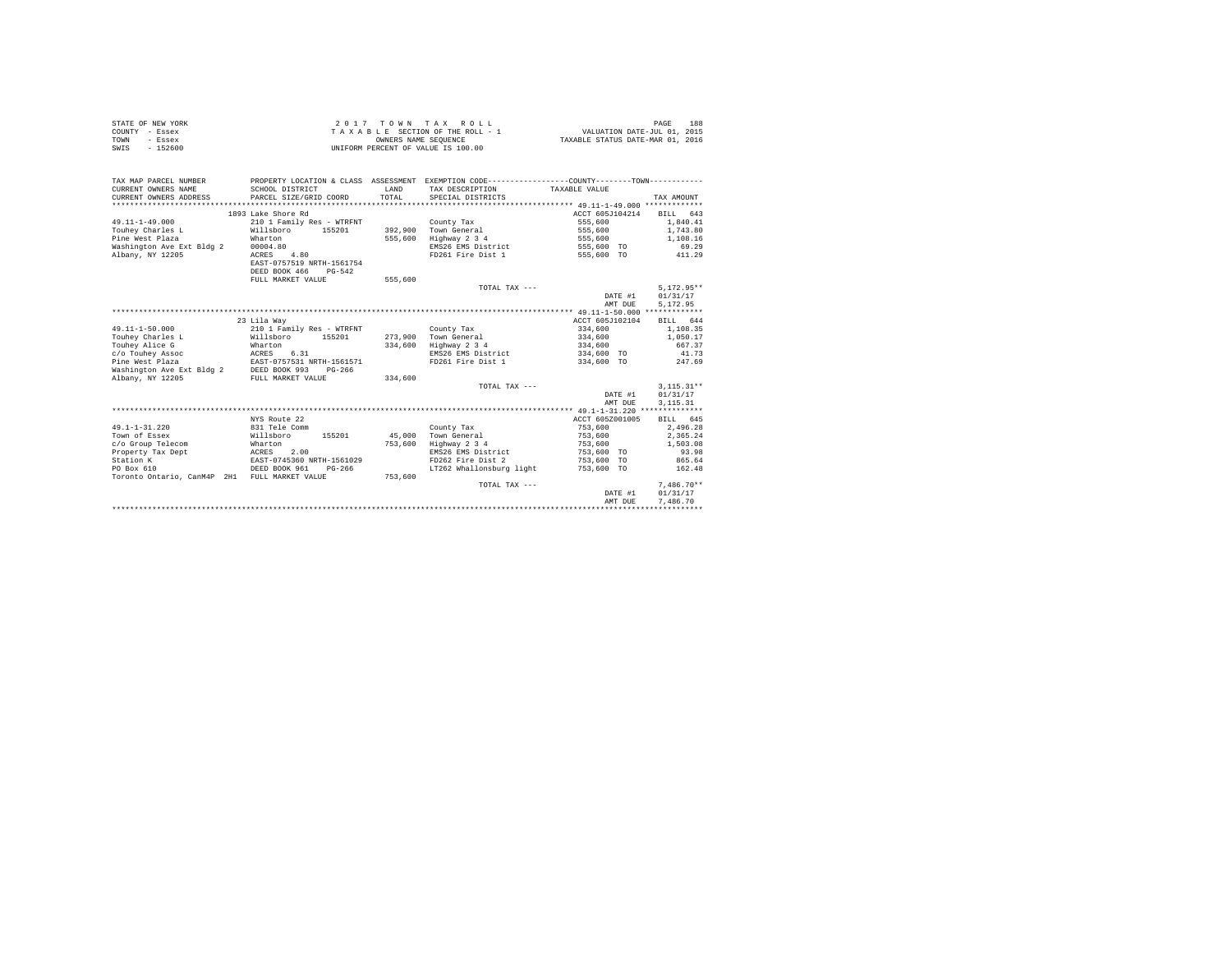| STATE OF NEW YORK | 2017 TOWN TAX ROLL                 | 188<br>PAGE                      |
|-------------------|------------------------------------|----------------------------------|
| COUNTY - Essex    | TAXABLE SECTION OF THE ROLL - 1    | VALUATION DATE-JUL 01, 2015      |
| TOWN<br>- Essex   | OWNERS NAME SEOUENCE               | TAXABLE STATUS DATE-MAR 01, 2016 |
| $-152600$<br>SWIS | UNIFORM PERCENT OF VALUE IS 100.00 |                                  |

| TAX MAP PARCEL NUMBER<br>CURRENT OWNERS NAME<br>CURRENT OWNERS ADDRESS | SCHOOL DISTRICT<br>PARCEL SIZE/GRID COORD | LAND<br>TOTAL | PROPERTY LOCATION & CLASS ASSESSMENT EXEMPTION CODE----------------COUNTY--------TOWN----------<br>TAX DESCRIPTION<br>SPECIAL DISTRICTS | TAXABLE VALUE   | TAX AMOUNT   |
|------------------------------------------------------------------------|-------------------------------------------|---------------|-----------------------------------------------------------------------------------------------------------------------------------------|-----------------|--------------|
|                                                                        | 1893 Lake Shore Rd                        |               |                                                                                                                                         | ACCT 605J104214 | BILL 643     |
| $49.11 - 1 - 49.000$                                                   | 210 1 Family Res - WTRFNT                 |               | County Tax                                                                                                                              | 555,600         | 1,840.41     |
| Touhev Charles L                                                       | Willsboro<br>155201                       | 392,900       | Town General                                                                                                                            | 555,600         | 1,743.80     |
| Pine West Plaza                                                        | Wharton                                   | 555,600       | Highway 2 3 4                                                                                                                           | 555,600         | 1,108.16     |
| Washington Ave Ext Bldg 2                                              | 00004.80                                  |               | EMS26 EMS District                                                                                                                      | 555,600 TO      | 69.29        |
|                                                                        | ACRES<br>4.80                             |               | FD261 Fire Dist 1                                                                                                                       | 555,600 TO      | 411.29       |
| Albany, NY 12205                                                       | EAST-0757519 NRTH-1561754                 |               |                                                                                                                                         |                 |              |
|                                                                        | DEED BOOK 466                             |               |                                                                                                                                         |                 |              |
|                                                                        | $PG-542$                                  |               |                                                                                                                                         |                 |              |
|                                                                        | FULL MARKET VALUE                         | 555,600       |                                                                                                                                         |                 |              |
|                                                                        |                                           |               | TOTAL TAX ---                                                                                                                           |                 | $5.172.95**$ |
|                                                                        |                                           |               |                                                                                                                                         | DATE #1         | 01/31/17     |
|                                                                        |                                           |               |                                                                                                                                         | AMT DUE         | 5.172.95     |
|                                                                        |                                           |               |                                                                                                                                         |                 |              |
|                                                                        | 23 Lila Wav                               |               |                                                                                                                                         | ACCT 605J102104 | BILL 644     |
| $49.11 - 1 - 50.000$                                                   | 210 1 Family Res - WTRFNT                 |               | County Tax                                                                                                                              | 334,600         | 1,108.35     |
| Touhev Charles L                                                       | Willsboro<br>155201                       | 273,900       | Town General                                                                                                                            | 334,600         | 1,050.17     |
| Touhey Alice G                                                         | Wharton                                   | 334,600       | Highway 2 3 4                                                                                                                           | 334,600         | 667.37       |
| c/o Touhev Assoc                                                       | ACRES<br>6.31                             |               | EMS26 EMS District                                                                                                                      | 334,600 TO      | 41.73        |
| Pine West Plaza                                                        | EAST-0757531 NRTH-1561571                 |               | FD261 Fire Dist 1                                                                                                                       | 334,600 TO      | 247.69       |
| Washington Ave Ext Bldg 2                                              | DEED BOOK 993<br>$PG-266$                 |               |                                                                                                                                         |                 |              |
| Albany, NY 12205                                                       | FULL MARKET VALUE                         | 334,600       |                                                                                                                                         |                 |              |
|                                                                        |                                           |               | TOTAL TAX ---                                                                                                                           |                 | $3.115.31**$ |
|                                                                        |                                           |               |                                                                                                                                         | DATE #1         | 01/31/17     |
|                                                                        |                                           |               |                                                                                                                                         | AMT DUE         | 3, 115. 31   |
|                                                                        |                                           |               |                                                                                                                                         |                 |              |
|                                                                        | NYS Route 22                              |               |                                                                                                                                         | ACCT 605Z001005 | BILL 645     |
| $49.1 - 1 - 31.220$                                                    | 831 Tele Comm                             |               | County Tax                                                                                                                              | 753,600         | 2.496.28     |
| Town of Essex                                                          | Willsboro<br>155201                       | 45,000        | Town General                                                                                                                            | 753,600         | 2,365.24     |
| c/o Group Telecom                                                      | Wharton                                   | 753,600       | Highway 2 3 4                                                                                                                           | 753,600         | 1,503.08     |
| Property Tax Dept<br>ACRES                                             | 2.00                                      |               | EMS26 EMS District                                                                                                                      | 753,600 TO      | 93.98        |
| Station K                                                              | EAST-0745360 NRTH-1561029                 |               | FD262 Fire Dist 2                                                                                                                       | 753,600 TO      | 865.64       |
| PO Box 610                                                             | DEED BOOK 961<br>$PG-266$                 |               | LT262 Whallonsburg light                                                                                                                | 753,600 TO      | 162.48       |
| Toronto Ontario, CanM4P 2H1 FULL MARKET VALUE                          |                                           | 753,600       |                                                                                                                                         |                 |              |
|                                                                        |                                           |               | TOTAL TAX ---                                                                                                                           |                 | $7.486.70**$ |
|                                                                        |                                           |               |                                                                                                                                         | DATE #1         | 01/31/17     |
|                                                                        |                                           |               |                                                                                                                                         | AMT DUE         | 7.486.70     |
|                                                                        |                                           |               |                                                                                                                                         |                 |              |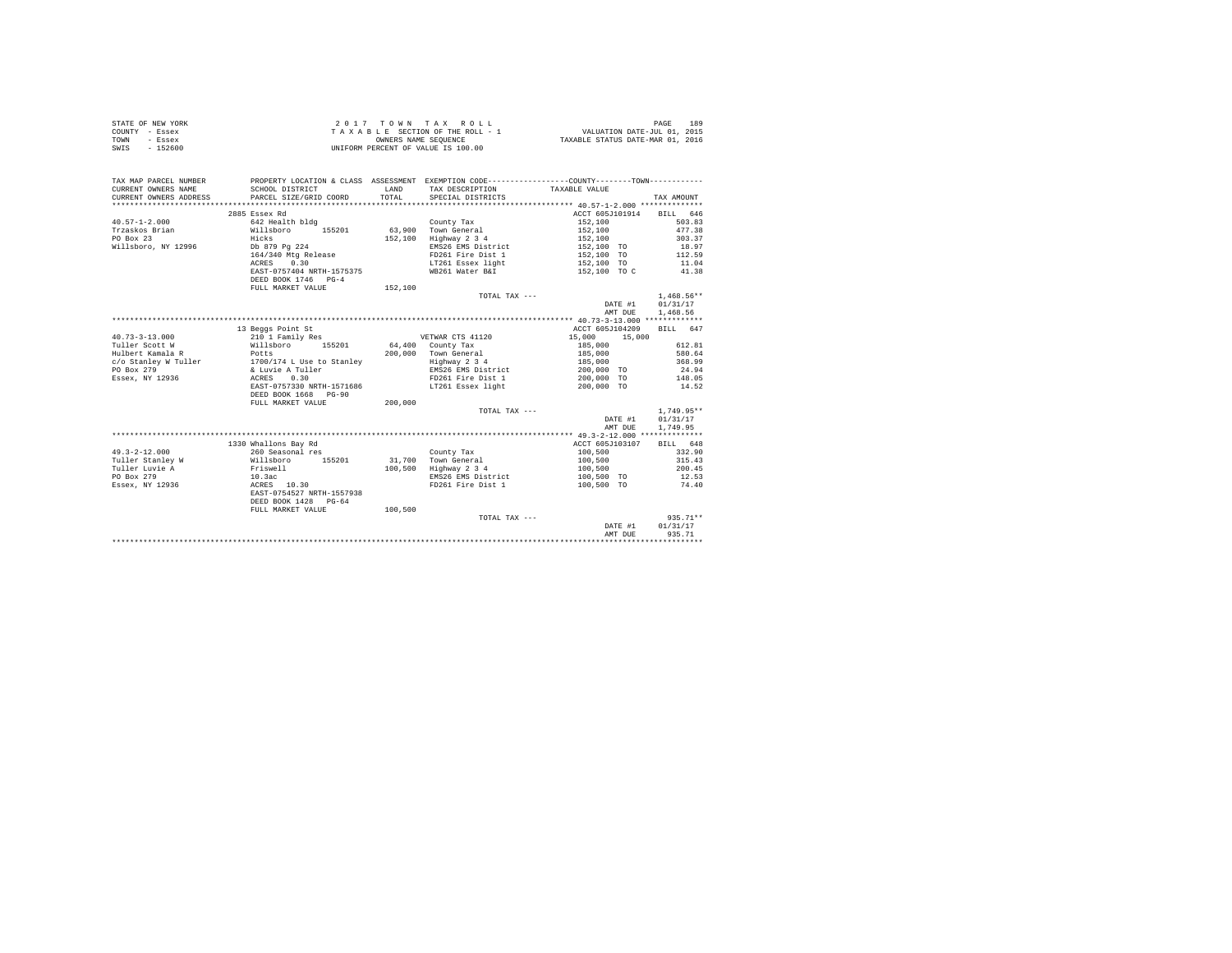|                | STATE OF NEW YORK | 2017 TOWN TAX ROLL                 | 189<br>PAGE                      |
|----------------|-------------------|------------------------------------|----------------------------------|
| COUNTY - Essex |                   | TAXABLE SECTION OF THE ROLL - 1    | VALUATION DATE-JUL 01, 2015      |
| TOWN           | - Essex           | OWNERS NAME SEOUENCE               | TAXABLE STATUS DATE-MAR 01, 2016 |
| SWIS           | $-152600$         | UNIFORM PERCENT OF VALUE IS 100.00 |                                  |

| TAX MAP PARCEL NUMBER<br>CURRENT OWNERS NAME   | PROPERTY LOCATION & CLASS ASSESSMENT EXEMPTION CODE----------------COUNTY-------TOWN----------<br>SCHOOL DISTRICT | LAND    | TAX DESCRIPTION      | TAXABLE VALUE            |              |
|------------------------------------------------|-------------------------------------------------------------------------------------------------------------------|---------|----------------------|--------------------------|--------------|
| CURRENT OWNERS ADDRESS                         | PARCEL SIZE/GRID COORD                                                                                            | TOTAL.  | SPECIAL DISTRICTS    |                          | TAX AMOUNT   |
|                                                |                                                                                                                   |         |                      |                          |              |
|                                                | 2885 Essex Rd                                                                                                     |         |                      | ACCT 605J101914 BILL 646 |              |
| $40.57 - 1 - 2.000$                            | 642 Health bldg                                                                                                   |         | County Tax           | 152,100                  | 503.83       |
| Trzaskos Brian                                 | Willsboro<br>155201                                                                                               |         | 63.900 Town General  | 152,100                  | 477.38       |
| PO Box 23                                      | Hicks                                                                                                             | 152,100 | Highway 2 3 4        | 152,100                  | 303.37       |
| Willsboro, NY 12996                            | Db 879 Pg 224                                                                                                     |         | EMS26 EMS District   | 152,100 TO               | 18.97        |
|                                                | 164/340 Mtg Release                                                                                               |         | FD261 Fire Dist 1    | 152,100 TO<br>152,100 TO | 112.59       |
|                                                | 0.30<br>ACRES                                                                                                     |         | LT261 Essex light    |                          | 11.04        |
|                                                | EAST-0757404 NRTH-1575375<br>DEED BOOK 1746 PG-4                                                                  |         | WB261 Water B&I      | 152,100 TO C             | 41.38        |
|                                                | FULL MARKET VALUE                                                                                                 | 152,100 |                      |                          |              |
|                                                |                                                                                                                   |         | TOTAL TAX ---        |                          | $1.468.56**$ |
|                                                |                                                                                                                   |         |                      | DATE #1                  | 01/31/17     |
|                                                |                                                                                                                   |         |                      | AMT DUE                  | 1,468.56     |
|                                                |                                                                                                                   |         |                      |                          |              |
|                                                | 13 Beggs Point St                                                                                                 |         |                      | ACCT 605J104209          | BILL 647     |
| $40.73 - 3 - 13.000$                           | 210 1 Family Res                                                                                                  |         | VETWAR CTS 41120     | 15,000<br>15,000         |              |
| Tuller Scott W                                 | Willsboro<br>155201                                                                                               |         | $64,400$ County Tax  | 185,000                  | 612.81       |
| Hulbert Kamala R                               | Potts                                                                                                             |         | 200,000 Town General | 185,000                  | 580.64       |
| c/o Stanley W Tuller 1700/174 L Use to Stanley |                                                                                                                   |         | Highway 2 3 4        | 185,000                  | 368.99       |
| PO Box 279                                     | & Luvie A Tuller                                                                                                  |         | EMS26 EMS District   | 200,000 TO               | 24.94        |
| Essex, NY 12936                                | ACRES 0.30                                                                                                        |         | FD261 Fire Dist 1    | 200,000 TO               | 148.05       |
|                                                | EAST-0757330 NRTH-1571686                                                                                         |         | LT261 Essex light    | 200,000 TO               | 14.52        |
|                                                | DEED BOOK 1668 PG-90                                                                                              |         |                      |                          |              |
|                                                | FULL MARKET VALUE                                                                                                 | 200,000 |                      |                          |              |
|                                                |                                                                                                                   |         | TOTAL TAX ---        |                          | $1,749.95**$ |
|                                                |                                                                                                                   |         |                      | DATE #1                  | 01/31/17     |
|                                                |                                                                                                                   |         |                      | AMT DUE                  | 1,749.95     |
|                                                |                                                                                                                   |         |                      |                          |              |
|                                                | 1330 Whallons Bay Rd                                                                                              |         |                      | ACCT 605J103107          | BILL 648     |
| $49.3 - 2 - 12.000$                            | 260 Seasonal res                                                                                                  |         | County Tax           | 100,500                  | 332.90       |
| Tuller Stanley W                               | Willsboro 155201                                                                                                  |         | 31.700 Town General  | 100,500                  | 315.43       |
| Tuller Luvie A                                 | Friswell<br>10.3ac                                                                                                | 100,500 | Highway 2 3 4        | 100,500                  | 200.45       |
| PO Box 279                                     |                                                                                                                   |         | EMS26 EMS District   | 100,500 TO               | 12.53        |
| Essex, NY 12936                                | ACRES 10.30                                                                                                       |         | FD261 Fire Dist 1    | 100,500 TO               | 74.40        |
|                                                | EAST-0754527 NRTH-1557938                                                                                         |         |                      |                          |              |
|                                                | DEED BOOK 1428 PG-64                                                                                              |         |                      |                          |              |
|                                                | FULL MARKET VALUE                                                                                                 | 100,500 |                      |                          |              |
|                                                |                                                                                                                   |         | TOTAL TAX ---        |                          | 935.71**     |
|                                                |                                                                                                                   |         |                      | DATE #1                  | 01/31/17     |
|                                                |                                                                                                                   |         |                      | AMT DUE                  | 935.71       |
|                                                |                                                                                                                   |         |                      |                          |              |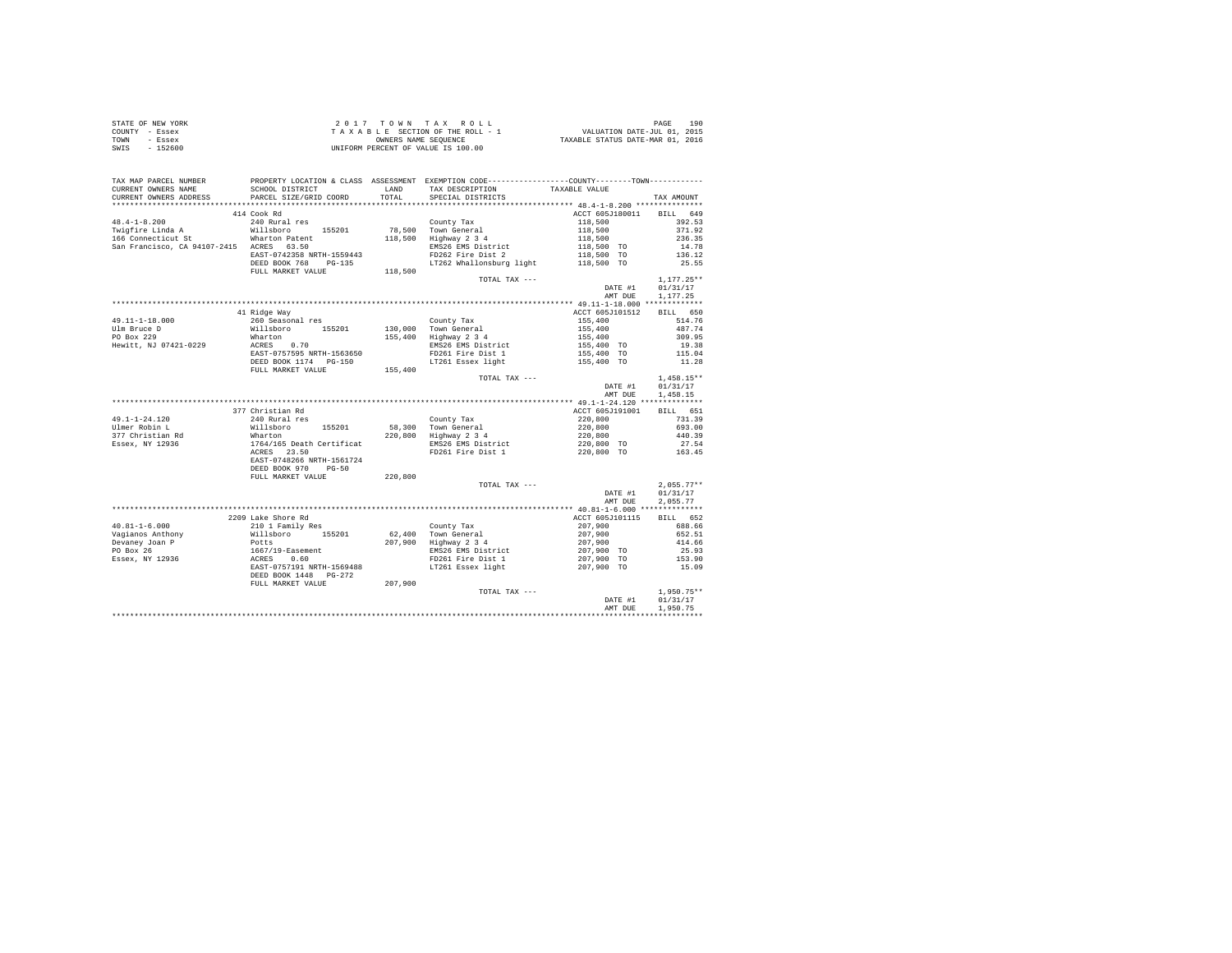| STATE OF NEW YORK | 2017 TOWN TAX ROLL                 | 190<br>PAGE                      |
|-------------------|------------------------------------|----------------------------------|
| COUNTY - Essex    | TAXABLE SECTION OF THE ROLL - 1    | VALUATION DATE-JUL 01, 2015      |
| TOWN<br>- Essex   | OWNERS NAME SEOUENCE               | TAXABLE STATUS DATE-MAR 01, 2016 |
| SWIS<br>$-152600$ | UNIFORM PERCENT OF VALUE IS 100.00 |                                  |

| TAX MAP PARCEL NUMBER<br>CURRENT OWNERS NAME<br>CURRENT OWNERS ADDRESS                                                                                        | SCHOOL DISTRICT<br>PARCEL SIZE/GRID COORD                                                       |         | PROPERTY LOCATION & CLASS ASSESSMENT EXEMPTION CODE---------------COUNTY-------TOWN---------<br>LAND TAX DESCRIPTION<br>TOTAL SPECIAL DISTRICTS | TAXABLE VALUE                                                                                        | TAX AMOUNT      |
|---------------------------------------------------------------------------------------------------------------------------------------------------------------|-------------------------------------------------------------------------------------------------|---------|-------------------------------------------------------------------------------------------------------------------------------------------------|------------------------------------------------------------------------------------------------------|-----------------|
|                                                                                                                                                               |                                                                                                 |         |                                                                                                                                                 |                                                                                                      |                 |
|                                                                                                                                                               | 414 Cook Rd                                                                                     |         |                                                                                                                                                 | ACCT 605J180011                                                                                      | BILL 649        |
| $48.4 - 1 - 8.200$                                                                                                                                            | 240 Rural res                                                                                   |         | County Tax                                                                                                                                      |                                                                                                      | 392.53          |
| Twister-olimical and the main resolution<br>Twister Linda A Willsboro 155201<br>166 Connecticut St Wharton Patent<br>San Francisco, CA 94107-2415 ACRES 63.50 |                                                                                                 |         |                                                                                                                                                 | $\begin{array}{r} 118,500\\ 118,500\\ 118,500\\ 118,500\\ 118,500\\ 118,500\\ \text{TO} \end{array}$ | 371.92          |
|                                                                                                                                                               |                                                                                                 |         | 78,500 Town General<br>118,500 Highway 2 3 4                                                                                                    |                                                                                                      | 236.35          |
|                                                                                                                                                               |                                                                                                 |         | EMS26 EMS District                                                                                                                              |                                                                                                      | 14.78           |
|                                                                                                                                                               | EAST-0742358 NRTH-1559443                                                                       |         | FD262 Fire Dist 2                                                                                                                               |                                                                                                      | 136.12          |
|                                                                                                                                                               | DEED BOOK 768 PG-135                                                                            |         | LT262 Whallonsburg light 118,500 TO                                                                                                             |                                                                                                      | 25.55           |
|                                                                                                                                                               | FULL MARKET VALUE                                                                               | 118,500 |                                                                                                                                                 |                                                                                                      |                 |
|                                                                                                                                                               |                                                                                                 |         | TOTAL TAX ---                                                                                                                                   |                                                                                                      | $1,177.25**$    |
|                                                                                                                                                               |                                                                                                 |         |                                                                                                                                                 |                                                                                                      |                 |
|                                                                                                                                                               |                                                                                                 |         |                                                                                                                                                 | DATE #1                                                                                              | 01/31/17        |
|                                                                                                                                                               |                                                                                                 |         |                                                                                                                                                 | AMT DUE                                                                                              | 1,177,25        |
|                                                                                                                                                               | 41 Ridge Way                                                                                    |         |                                                                                                                                                 | ACCT 605J101512                                                                                      | BILL 650        |
| 49.11-1-18.000                                                                                                                                                | - ---- <sub>5</sub><br>260 Seasonal res<br>Willsboro 155201<br>Wharton 2CRES 0.70<br>2CRES 0.70 |         | County Tax                                                                                                                                      | 155,400                                                                                              | 514.76          |
|                                                                                                                                                               |                                                                                                 |         | 130,000 Town General                                                                                                                            |                                                                                                      | 487.74          |
| Ulm Bruce D                                                                                                                                                   |                                                                                                 |         | 130,000   Town General<br>155,400   Highway 2 3 4                                                                                               | 155,400<br>155,400<br>155,400 TO                                                                     |                 |
| PO Box 229                                                                                                                                                    |                                                                                                 |         |                                                                                                                                                 |                                                                                                      | 309.95          |
| Hewitt, NJ 07421-0229                                                                                                                                         |                                                                                                 |         | EMS26 EMS District                                                                                                                              |                                                                                                      | 19.38           |
|                                                                                                                                                               | EAST-0757595 NRTH-1563650                                                                       |         | FD261 Fire Dist 1<br>199,400 10<br>LT261 Essex light 155,400 TO                                                                                 | 155,400 TO                                                                                           | 115.04          |
|                                                                                                                                                               | DEED BOOK 1174 PG-150<br>FULL MARKET VALUE 155,400                                              |         |                                                                                                                                                 |                                                                                                      | 11.28           |
|                                                                                                                                                               |                                                                                                 |         |                                                                                                                                                 |                                                                                                      |                 |
|                                                                                                                                                               |                                                                                                 |         | TOTAL TAX ---                                                                                                                                   |                                                                                                      | $1,458.15**$    |
|                                                                                                                                                               |                                                                                                 |         |                                                                                                                                                 | DATE #1                                                                                              | 01/31/17        |
|                                                                                                                                                               |                                                                                                 |         |                                                                                                                                                 | AMT DUE                                                                                              | 1,458.15        |
|                                                                                                                                                               |                                                                                                 |         |                                                                                                                                                 |                                                                                                      |                 |
|                                                                                                                                                               | 377 Christian Rd                                                                                |         |                                                                                                                                                 | ACCT 605J191001                                                                                      | BILL 651        |
| 49.1-1-24.120<br>Ulmer Robin L                                                                                                                                |                                                                                                 |         |                                                                                                                                                 | 220,800<br>220,800<br>220,800                                                                        | 731.39          |
|                                                                                                                                                               |                                                                                                 |         |                                                                                                                                                 |                                                                                                      | 693.00          |
| 377 Christian Rd                                                                                                                                              |                                                                                                 |         |                                                                                                                                                 |                                                                                                      | 440.39          |
| Essex, NY 12936                                                                                                                                               |                                                                                                 |         | EMS26 EMS District<br>FD261 Fire Dist 1                                                                                                         | $220,800$ TO                                                                                         | 27.54<br>163.45 |
|                                                                                                                                                               |                                                                                                 |         |                                                                                                                                                 | 220,800 TO                                                                                           |                 |
|                                                                                                                                                               | EAST-0748266 NRTH-1561724                                                                       |         |                                                                                                                                                 |                                                                                                      |                 |
|                                                                                                                                                               | DEED BOOK 970 PG-50                                                                             |         |                                                                                                                                                 |                                                                                                      |                 |
|                                                                                                                                                               | FULL MARKET VALUE                                                                               | 220,800 |                                                                                                                                                 |                                                                                                      |                 |
|                                                                                                                                                               |                                                                                                 |         | TOTAL TAX ---                                                                                                                                   |                                                                                                      | $2.055.77**$    |
|                                                                                                                                                               |                                                                                                 |         |                                                                                                                                                 | DATE #1                                                                                              | 01/31/17        |
|                                                                                                                                                               |                                                                                                 |         |                                                                                                                                                 | AMT DUE                                                                                              | 2,055.77        |
|                                                                                                                                                               |                                                                                                 |         |                                                                                                                                                 |                                                                                                      |                 |
|                                                                                                                                                               | 2209 Lake Shore Rd                                                                              |         |                                                                                                                                                 | ACCT 605J101115                                                                                      | BILL 652        |
| $40.81 - 1 - 6.000$                                                                                                                                           | 210 1 Family Res                                                                                |         |                                                                                                                                                 |                                                                                                      | 688.66          |
|                                                                                                                                                               |                                                                                                 |         | County Tax<br>62,400 Town General                                                                                                               | $207,900$<br>$207,900$<br>$207,900$                                                                  | 652.51          |
|                                                                                                                                                               |                                                                                                 |         | 207,900 Highway 2 3 4                                                                                                                           |                                                                                                      | 414.66          |
|                                                                                                                                                               |                                                                                                 |         | EMS26 EMS District                                                                                                                              | 207,900 TO                                                                                           | 25.93           |
|                                                                                                                                                               |                                                                                                 |         | FD261 Fire Dist 1                                                                                                                               | 207,900 TO                                                                                           | 25.55<br>153.90 |
|                                                                                                                                                               |                                                                                                 |         | LT261 Essex light                                                                                                                               | 207,900 TO                                                                                           | 15.09           |
|                                                                                                                                                               |                                                                                                 |         |                                                                                                                                                 |                                                                                                      |                 |
|                                                                                                                                                               | FULL MARKET VALUE                                                                               | 207,900 |                                                                                                                                                 |                                                                                                      |                 |
|                                                                                                                                                               |                                                                                                 |         | TOTAL TAX ---                                                                                                                                   |                                                                                                      | 1,950.75**      |
|                                                                                                                                                               |                                                                                                 |         |                                                                                                                                                 | DATE #1                                                                                              | 01/31/17        |
|                                                                                                                                                               |                                                                                                 |         |                                                                                                                                                 | AMT DUE                                                                                              | 1,950.75        |
|                                                                                                                                                               |                                                                                                 |         |                                                                                                                                                 |                                                                                                      |                 |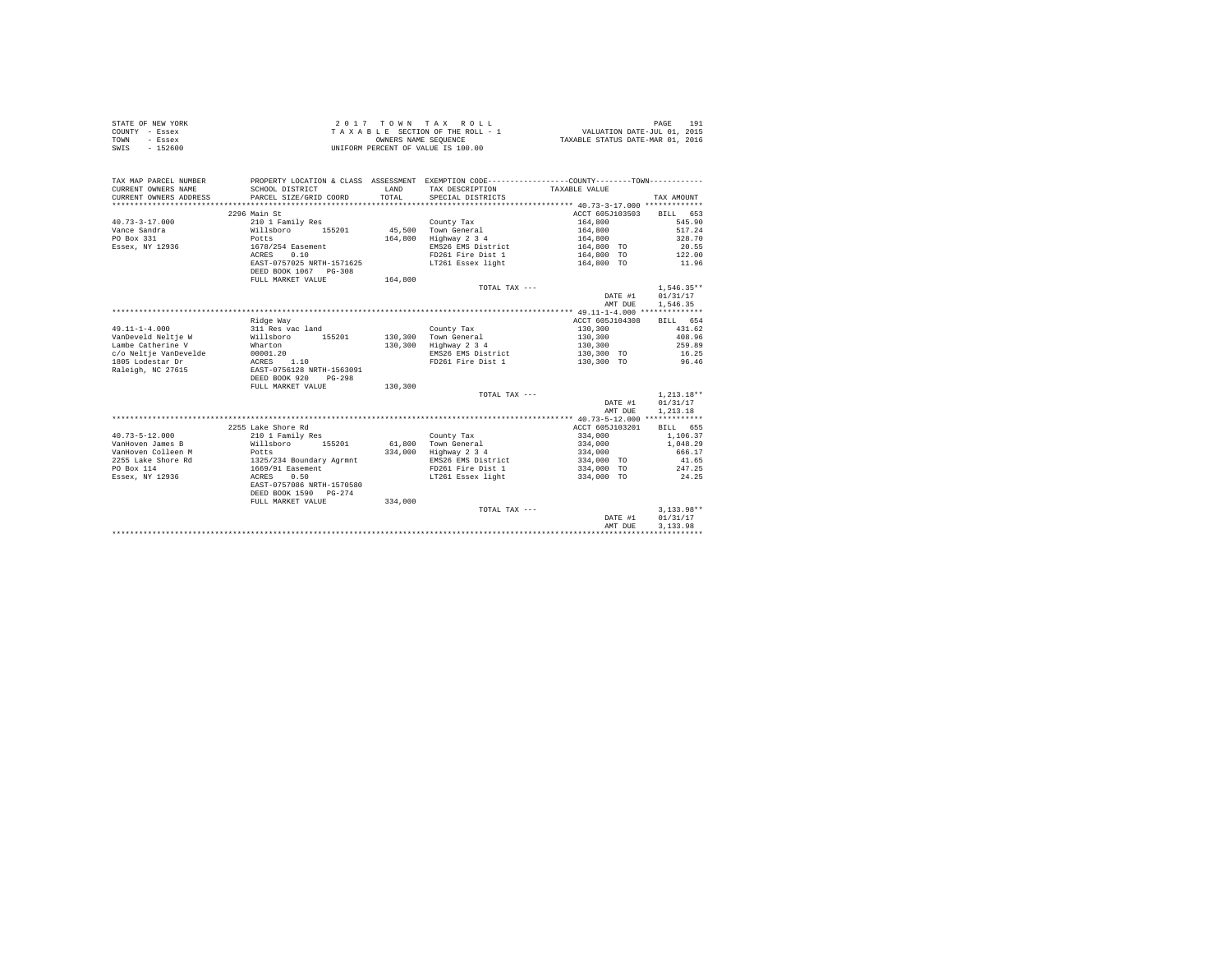| STATE OF NEW YORK | 2017 TOWN TAX ROLL                 | 191<br>PAGE                      |
|-------------------|------------------------------------|----------------------------------|
| COUNTY - Essex    | TAXABLE SECTION OF THE ROLL - 1    | VALUATION DATE-JUL 01, 2015      |
| TOWN<br>- Essex   | OWNERS NAME SEOUENCE               | TAXABLE STATUS DATE-MAR 01, 2016 |
| SWIS<br>$-152600$ | UNIFORM PERCENT OF VALUE IS 100.00 |                                  |

| TAX MAP PARCEL NUMBER<br>CURRENT OWNERS NAME<br>CURRENT OWNERS ADDRESS | SCHOOL DISTRICT<br>PARCEL SIZE/GRID COORD | <b>T.AND</b><br>TOTAL | PROPERTY LOCATION & CLASS ASSESSMENT EXEMPTION CODE---------------COUNTY-------TOWN----------<br>TAX DESCRIPTION<br>SPECIAL DISTRICTS | TAXABLE VALUE              | TAX AMOUNT   |
|------------------------------------------------------------------------|-------------------------------------------|-----------------------|---------------------------------------------------------------------------------------------------------------------------------------|----------------------------|--------------|
|                                                                        | 2296 Main St                              |                       |                                                                                                                                       | ACCT 605J103503            | BILL 653     |
| $40.73 - 3 - 17.000$                                                   | 210 1 Family Res                          |                       | County Tax                                                                                                                            | 164,800                    | 545.90       |
| Vance Sandra                                                           | Willsboro<br>155201                       |                       | 45.500 Town General                                                                                                                   | 164,800                    | 517.24       |
| PO Box 331                                                             | Potts                                     | 164,800               | Highway 2 3 4                                                                                                                         | 164,800                    | 328.70       |
| Essex, NY 12936                                                        | 1678/254 Easement                         |                       | EMS26 EMS District                                                                                                                    | 164,800 TO                 | 20.55        |
|                                                                        | 0.10<br>ACRES                             |                       | FD261 Fire Dist 1                                                                                                                     | 164,800 TO                 | 122.00       |
|                                                                        | EAST-0757025 NRTH-1571625                 |                       | LT261 Essex light                                                                                                                     | 164,800 TO                 | 11.96        |
|                                                                        | DEED BOOK 1067 PG-308                     |                       |                                                                                                                                       |                            |              |
|                                                                        |                                           | 164,800               |                                                                                                                                       |                            |              |
|                                                                        | FULL MARKET VALUE                         |                       | TOTAL TAX $---$                                                                                                                       |                            | $1,546.35**$ |
|                                                                        |                                           |                       |                                                                                                                                       |                            | 01/31/17     |
|                                                                        |                                           |                       |                                                                                                                                       | DATE #1                    |              |
|                                                                        |                                           |                       |                                                                                                                                       | AMT DUE                    | 1,546.35     |
|                                                                        |                                           |                       |                                                                                                                                       |                            |              |
|                                                                        | Ridge Way                                 |                       |                                                                                                                                       | ACCT 605J104308<br>130,300 | BILL 654     |
| $49.11 - 1 - 4.000$<br>VanDeveld Neltie W                              | 311 Res vac land                          |                       | County Tax                                                                                                                            |                            | 431.62       |
|                                                                        | Willsboro<br>155201                       |                       | 130.300 Town General                                                                                                                  | 130,300                    | 408.96       |
| Lambe Catherine V                                                      | Wharton                                   | 130,300               | Highway 2 3 4                                                                                                                         | 130,300                    | 259.89       |
| c/o Neltje VanDevelde                                                  | 00001.20                                  |                       | EMS26 EMS District                                                                                                                    | 130,300 TO                 | 16.25        |
| 1805 Lodestar Dr                                                       | 1.10<br>ACRES                             |                       | FD261 Fire Dist 1                                                                                                                     | 130,300 TO                 | 96.46        |
| Raleigh, NC 27615                                                      | EAST-0756128 NRTH-1563091                 |                       |                                                                                                                                       |                            |              |
|                                                                        | DEED BOOK 920<br>$PG-298$                 |                       |                                                                                                                                       |                            |              |
|                                                                        | FULL MARKET VALUE                         | 130,300               |                                                                                                                                       |                            |              |
|                                                                        |                                           |                       | TOTAL TAX ---                                                                                                                         |                            | $1.213.18**$ |
|                                                                        |                                           |                       |                                                                                                                                       | DATE #1                    | 01/31/17     |
|                                                                        |                                           |                       |                                                                                                                                       | AMT DUE                    | 1,213.18     |
|                                                                        |                                           |                       |                                                                                                                                       |                            |              |
|                                                                        | 2255 Lake Shore Rd                        |                       |                                                                                                                                       | ACCT 605J103201            | BILL 655     |
| $40.73 - 5 - 12.000$                                                   | 210 1 Family Res                          |                       | County Tax                                                                                                                            | 334,000                    | 1,106.37     |
| VanHoven James B                                                       | Willsboro 155201                          |                       | 61.800 Town General                                                                                                                   | 334,000                    | 1,048.29     |
| VanHoven Colleen M                                                     | Potts                                     | 334,000               | Highway 2 3 4                                                                                                                         | 334,000                    | 666.17       |
| 2255 Lake Shore Rd                                                     | 1325/234 Boundary Agrmnt                  |                       | EMS26 EMS District                                                                                                                    | 334,000 TO                 | 41.65        |
| PO Box 114                                                             | 1669/91 Easement                          |                       | FD261 Fire Dist 1                                                                                                                     | 334,000 TO                 | 247.25       |
| Essex, NY 12936                                                        | ACRES<br>0.50                             |                       | LT261 Essex light                                                                                                                     | 334,000 TO                 | 24.25        |
|                                                                        | EAST-0757086 NRTH-1570580                 |                       |                                                                                                                                       |                            |              |
|                                                                        | DEED BOOK 1590 PG-274                     |                       |                                                                                                                                       |                            |              |
|                                                                        | FULL MARKET VALUE                         | 334,000               |                                                                                                                                       |                            |              |
|                                                                        |                                           |                       | TOTAL TAX ---                                                                                                                         |                            | $3.133.98**$ |
|                                                                        |                                           |                       |                                                                                                                                       | DATE #1                    | 01/31/17     |
|                                                                        |                                           |                       |                                                                                                                                       | AMT DUE                    | 3.133.98     |
|                                                                        |                                           |                       |                                                                                                                                       |                            |              |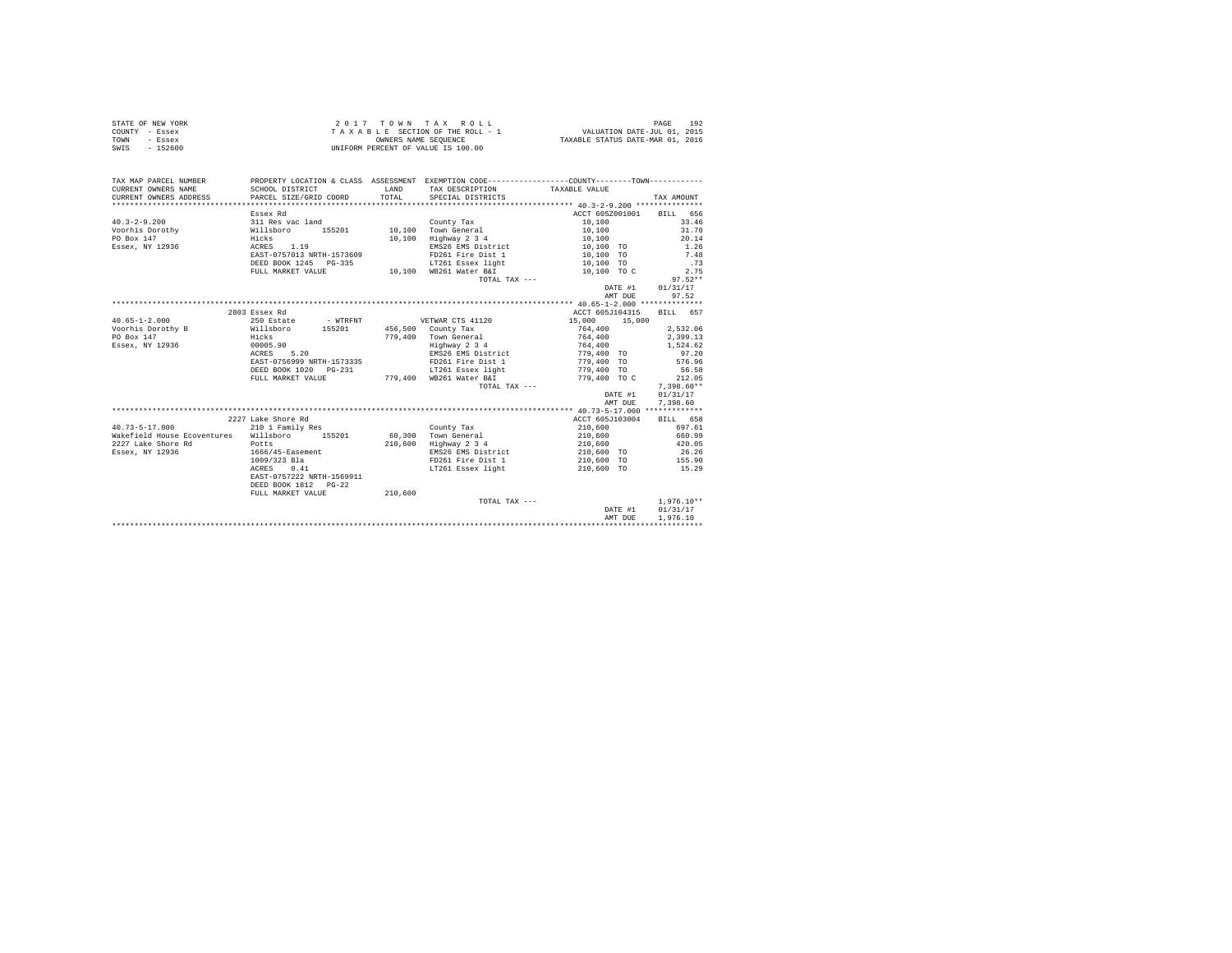| STATE OF NEW YORK | 2017 TOWN TAX ROLL                 | 192<br>PAGE                      |
|-------------------|------------------------------------|----------------------------------|
| COUNTY - Essex    | TAXABLE SECTION OF THE ROLL - 1    | VALUATION DATE-JUL 01, 2015      |
| TOWN<br>- Essex   | OWNERS NAME SEOUENCE               | TAXABLE STATUS DATE-MAR 01, 2016 |
| SWIS<br>$-152600$ | UNIFORM PERCENT OF VALUE IS 100.00 |                                  |

| TAX MAP PARCEL NUMBER<br>CURRENT OWNERS NAME          | PROPERTY LOCATION & CLASS ASSESSMENT EXEMPTION CODE----------------COUNTY-------TOWN----------<br>SCHOOL DISTRICT | T.AND | TAX DESCRIPTION                              | TAXABLE VALUE                       |                  |
|-------------------------------------------------------|-------------------------------------------------------------------------------------------------------------------|-------|----------------------------------------------|-------------------------------------|------------------|
| CURRENT OWNERS ADDRESS PARCEL SIZE/GRID COORD         |                                                                                                                   | TOTAL | SPECIAL DISTRICTS                            |                                     | TAX AMOUNT       |
|                                                       |                                                                                                                   |       |                                              |                                     |                  |
|                                                       | Essex Rd                                                                                                          |       |                                              | ACCT 605Z001001 BILL 656            |                  |
| $40.3 - 2 - 9.200$                                    | 311 Res vac land                                                                                                  |       | County Tax                                   | 10,100                              | 33.46            |
|                                                       |                                                                                                                   |       |                                              | 10,100                              | 31.70            |
| Hicks<br>PO Box 147                                   |                                                                                                                   |       | 10,100 Highway 2 3 4                         | 10,100                              | 20.14            |
| Essex, NY 12936<br>ACRES   1.19                       |                                                                                                                   |       | EMS26 EMS District                           | 10,100 TO                           | $\frac{1}{7}.48$ |
|                                                       | EAST-0757013 NRTH-1573609                                                                                         |       | FD261 Fire Dist 1                            | 10,100 TO                           |                  |
|                                                       | DEED BOOK 1245 PG-335                                                                                             |       | LT261 Essex light 6 10,100 TO                |                                     | .73              |
|                                                       | FULL MARKET VALUE                                                                                                 |       | 10,100 WB261 Water B&I 10,100 TO C           |                                     | 2.75             |
|                                                       |                                                                                                                   |       | TOTAL TAX ---                                |                                     | $97.52**$        |
|                                                       |                                                                                                                   |       |                                              | DATE #1 01/31/17                    |                  |
|                                                       |                                                                                                                   |       |                                              | AMT DUE                             | 97.52            |
|                                                       |                                                                                                                   |       |                                              |                                     |                  |
|                                                       | 2803 Essex Rd                                                                                                     |       |                                              | ACCT 605J104315                     | BILL 657         |
| $40.65 - 1 - 2.000$                                   | 250 Estate - WTRFNT - - VETWAR CTS 41120                                                                          |       |                                              | 15,000 15,000                       |                  |
| Voorhis Dorothy B Willsboro 155201 456,500 County Tax |                                                                                                                   |       |                                              | 764,400                             | 2.532.06         |
| PO Box 147                                            | Hicks<br>00005.90                                                                                                 |       | 779.400 Town General                         |                                     | 2,399.13         |
| Essex, NY 12936                                       |                                                                                                                   |       |                                              |                                     | 1,524.62         |
|                                                       | ACRES 5.20                                                                                                        |       |                                              |                                     | 97.20            |
|                                                       |                                                                                                                   |       |                                              |                                     | 576.96           |
|                                                       |                                                                                                                   |       |                                              |                                     | 56.58            |
|                                                       |                                                                                                                   |       |                                              |                                     | 212.05           |
|                                                       |                                                                                                                   |       | TOTAL TAX ---                                |                                     | $7.398.60**$     |
|                                                       |                                                                                                                   |       |                                              | DATE #1                             | 01/31/17         |
|                                                       |                                                                                                                   |       |                                              | AMT DUE                             | 7,398.60         |
|                                                       |                                                                                                                   |       |                                              |                                     |                  |
|                                                       | 2227 Lake Shore Rd                                                                                                |       |                                              | ACCT 605J103004                     | BILL 658         |
| $40.73 - 5 - 17.000$                                  | 210 1 Family Res                                                                                                  |       | County Tax                                   | 210,600                             | 697.61           |
| Wakefield House Ecoventures Willsboro 155201          |                                                                                                                   |       | 60,300 Town General<br>210,600 Highway 2 3 4 | 210,600<br>210,600                  | 660.99           |
| 2227 Lake Shore Rd Potts                              |                                                                                                                   |       |                                              |                                     | 420.05           |
| Essex, NY 12936                                       | 1666/45-Easement                                                                                                  |       |                                              | EMS26 EMS District 210,600 TO 26.26 |                  |
|                                                       | 1009/323 Bla<br>1009/323 Bla<br>ACRES 0.41                                                                        |       | FD261 Fire Dist 1 210,600 TO 155.90          |                                     |                  |
|                                                       |                                                                                                                   |       | LT261 Essex light                            | 210,600 TO                          | 15.29            |
|                                                       | EAST-0757222 NRTH-1569911                                                                                         |       |                                              |                                     |                  |
|                                                       | DEED BOOK 1812 PG-22                                                                                              |       |                                              |                                     |                  |
|                                                       | FULL MARKET VALUE 210,600                                                                                         |       |                                              |                                     |                  |
|                                                       |                                                                                                                   |       | TOTAL TAX ---                                |                                     | $1.976.10**$     |
|                                                       |                                                                                                                   |       |                                              | DATE #1                             | 01/31/17         |
|                                                       |                                                                                                                   |       |                                              | AMT DUE                             | 1,976.10         |
|                                                       |                                                                                                                   |       |                                              |                                     |                  |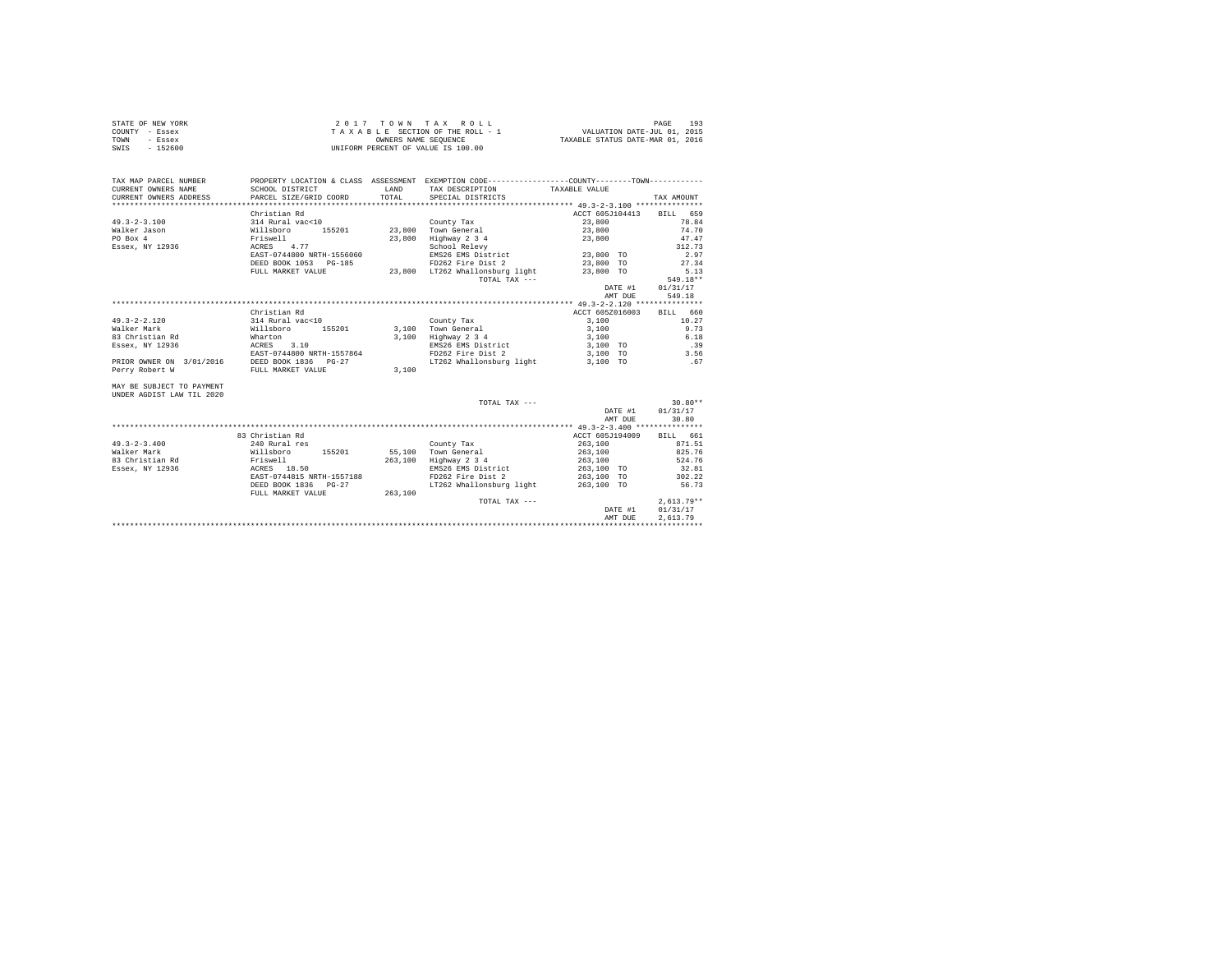|                | STATE OF NEW YORK | 2017 TOWN TAX ROLL                 | 193<br>PAGE                      |
|----------------|-------------------|------------------------------------|----------------------------------|
| COUNTY - Essex |                   | TAXABLE SECTION OF THE ROLL - 1    | VALUATION DATE-JUL 01, 2015      |
| TOWN           | - Essex           | OWNERS NAME SEOUENCE               | TAXABLE STATUS DATE-MAR 01, 2016 |
| SWIS           | - 152600          | UNIFORM PERCENT OF VALUE IS 100.00 |                                  |

| TAX MAP PARCEL NUMBER<br>CURRENT OWNERS NAME<br>CURRENT OWNERS ADDRESS | SCHOOL DISTRICT<br>PARCEL SIZE/GRID COORD | <b>T.AND</b><br>TOTAL | PROPERTY LOCATION & CLASS ASSESSMENT EXEMPTION CODE----------------COUNTY--------TOWN----------<br>TAX DESCRIPTION TAXABLE VALUE<br>SPECIAL DISTRICTS |                          | TAX AMOUNT       |
|------------------------------------------------------------------------|-------------------------------------------|-----------------------|-------------------------------------------------------------------------------------------------------------------------------------------------------|--------------------------|------------------|
|                                                                        |                                           |                       |                                                                                                                                                       |                          |                  |
|                                                                        | Christian Rd                              |                       |                                                                                                                                                       | ACCT 605J104413 BILL 659 |                  |
| $49.3 - 2 - 3.100$                                                     | 314 Rural vac<10                          |                       | County Tax                                                                                                                                            | 23,800                   | 78.84            |
| Walker Jason                                                           | willsboro 155201 23,800 Town General      |                       |                                                                                                                                                       | 23,800                   | 74.70            |
| PO Box 4                                                               | Friswell                                  | 23,800                | Highway 2 3 4                                                                                                                                         | 23,800                   | 47.47            |
| Essex, NY 12936    ACRES    4.77                                       |                                           |                       | School Relevy<br>EMS26 EMS District                                                                                                                   |                          | 312.73           |
|                                                                        | EAST-0744800 NRTH-1556060                 |                       |                                                                                                                                                       | 23,800 TO                | 2.97             |
|                                                                        | DEED BOOK 1053 PG-185                     |                       | FD262 Fire Dist 2                                                                                                                                     | 23,800 TO                | 27.34            |
|                                                                        | FULL MARKET VALUE                         |                       | 23,800 LT262 Whallonsburg light                                                                                                                       | 23,800 TO                | 5.13             |
|                                                                        |                                           |                       | TOTAL TAX ---                                                                                                                                         |                          | 549.18**         |
|                                                                        |                                           |                       |                                                                                                                                                       | DATE #1                  | 01/31/17         |
|                                                                        |                                           |                       |                                                                                                                                                       | AMT DUE                  | 549.18           |
|                                                                        |                                           |                       |                                                                                                                                                       |                          |                  |
|                                                                        | Christian Rd                              |                       |                                                                                                                                                       | ACCT 605Z016003          | BILL 660         |
| $49.3 - 2 - 2.120$                                                     | 314 Rural vac<10                          |                       | County Tax                                                                                                                                            | 3,100                    | 10.27            |
| Walker Mark                                                            | Willsboro 155201                          |                       | 3.100 Town General                                                                                                                                    | 3,100                    | 9.73             |
| 83 Christian Rd                                                        | Wharton                                   |                       | 3,100 Highway 2 3 4                                                                                                                                   | 3,100                    | 6.18             |
| Essex, NY 12936                                                        | ACRES 3.10                                |                       | EMS26 EMS District                                                                                                                                    | 3,100 TO                 | .39              |
|                                                                        | EAST-0744800 NRTH-1557864                 |                       | FD262 Fire Dist 2                                                                                                                                     | 3,100 TO                 | 3.56             |
| PRIOR OWNER ON 3/01/2016                                               | DEED BOOK 1836 PG-27                      |                       | LT262 Whallonsburg light 3.100 TO                                                                                                                     |                          | .67              |
| Perry Robert W                                                         | FULL MARKET VALUE                         | 3,100                 |                                                                                                                                                       |                          |                  |
| MAY BE SUBJECT TO PAYMENT<br>UNDER AGDIST LAW TIL 2020                 |                                           |                       |                                                                                                                                                       |                          |                  |
|                                                                        |                                           |                       | TOTAL TAX ---                                                                                                                                         |                          | $30.80**$        |
|                                                                        |                                           |                       |                                                                                                                                                       |                          | DATE #1 01/31/17 |
|                                                                        |                                           |                       |                                                                                                                                                       | AMT DUE                  | 30.80            |
|                                                                        |                                           |                       |                                                                                                                                                       |                          |                  |
|                                                                        | 83 Christian Rd                           |                       |                                                                                                                                                       | ACCT 605J194009          | BILL 661         |
| $49.3 - 2 - 3.400$                                                     | 240 Rural res                             |                       | County Tax                                                                                                                                            | 263,100                  | 871.51           |
| Walker Mark                                                            | Willsboro 155201 55.100 Town General      |                       |                                                                                                                                                       | 263,100                  | 825.76           |
| 83 Christian Rd                                                        | Friswell<br>ACRES 18.50                   |                       | 263,100 Highway 2 3 4                                                                                                                                 | 263,100                  | 524.76           |
| Essex, NY 12936                                                        |                                           |                       | EMS26 EMS District                                                                                                                                    | 263,100 TO               | 32.81            |
|                                                                        | EAST-0744815 NRTH-1557188                 |                       | FD262 Fire Dist 2                                                                                                                                     | 263,100 TO               | 302.22           |
|                                                                        | DEED BOOK 1836    PG-27                   |                       | LT262 Whallonsburg light 263.100 TO                                                                                                                   |                          | 56.73            |
|                                                                        | FULL MARKET VALUE 263,100                 |                       |                                                                                                                                                       |                          |                  |
|                                                                        |                                           |                       | TOTAL TAX ---                                                                                                                                         |                          | $2.613.79**$     |
|                                                                        |                                           |                       |                                                                                                                                                       | DATE #1                  | 01/31/17         |
|                                                                        |                                           |                       |                                                                                                                                                       | AMT DUE                  | 2.613.79         |
|                                                                        |                                           |                       |                                                                                                                                                       |                          |                  |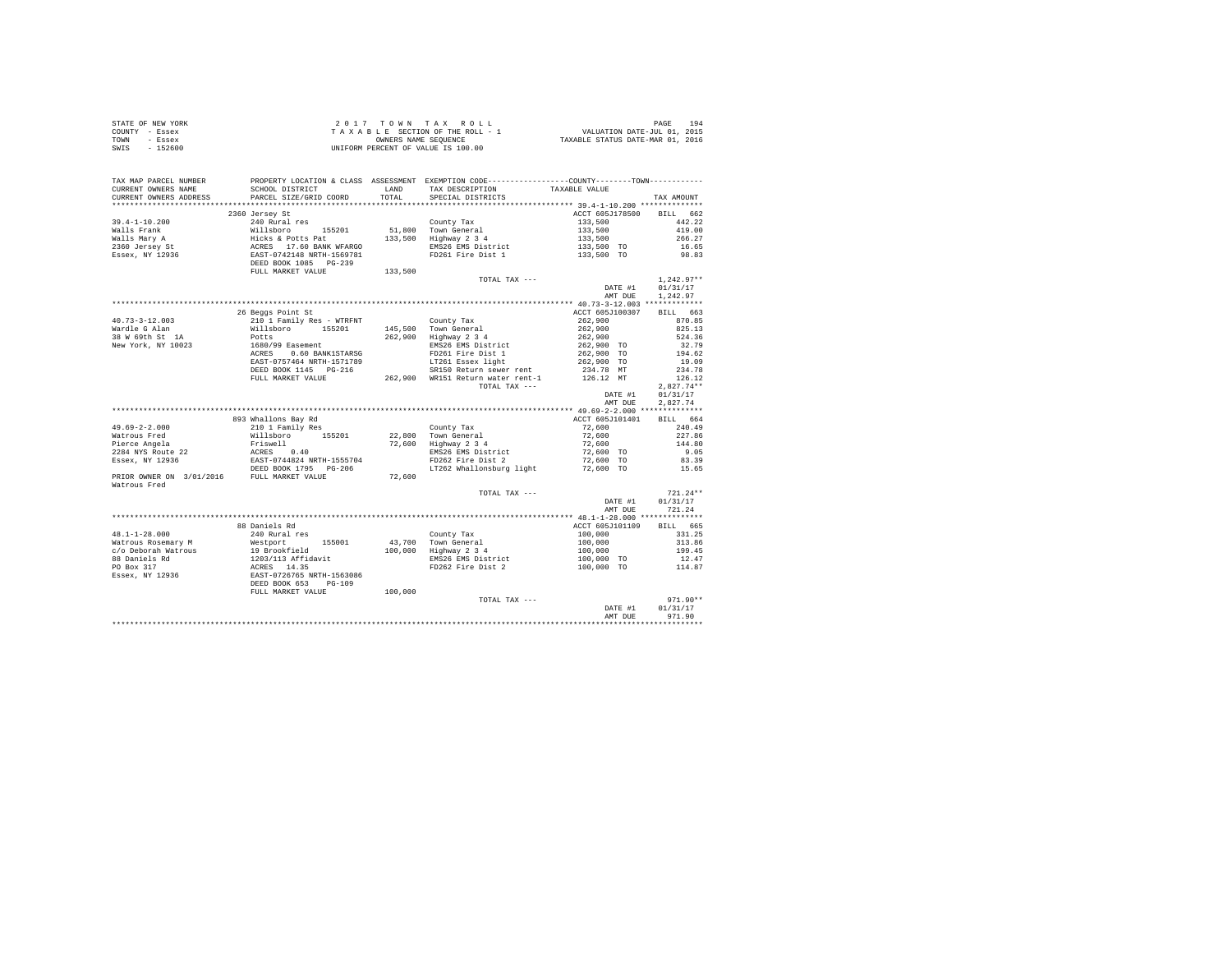| STATE OF NEW YORK | 2017 TOWN TAX ROLL                 | 194<br>PAGE                      |
|-------------------|------------------------------------|----------------------------------|
| COUNTY - Essex    | TAXABLE SECTION OF THE ROLL - 1    | VALUATION DATE-JUL 01, 2015      |
| TOWN<br>- Essex   | OWNERS NAME SEOUENCE               | TAXABLE STATUS DATE-MAR 01, 2016 |
| $-152600$<br>SWIS | UNIFORM PERCENT OF VALUE IS 100.00 |                                  |

| TAX MAP PARCEL NUMBER<br>CURRENT OWNERS NAME<br>CURRENT OWNERS ADDRESS | SCHOOL DISTRICT<br>PARCEL SIZE/GRID COORD                                                                                 | LAND<br>TOTAL | PROPERTY LOCATION & CLASS ASSESSMENT EXEMPTION CODE----------------COUNTY-------TOWN----------<br>TAX DESCRIPTION<br>SPECIAL DISTRICTS | TAXABLE VALUE            | TAX AMOUNT           |
|------------------------------------------------------------------------|---------------------------------------------------------------------------------------------------------------------------|---------------|----------------------------------------------------------------------------------------------------------------------------------------|--------------------------|----------------------|
| ***********************                                                |                                                                                                                           |               |                                                                                                                                        |                          |                      |
|                                                                        | 2360 Jersey St                                                                                                            |               |                                                                                                                                        | ACCT 605J178500          | BILL 662             |
| $39.4 - 1 - 10.200$                                                    | 240 Rural res                                                                                                             |               | County Tax                                                                                                                             | 133,500                  | 442.22               |
| Walls Frank                                                            |                                                                                                                           | 51,800        | Town General                                                                                                                           | 133,500                  | 419.00               |
| Walls Mary A                                                           |                                                                                                                           | 133,500       | Highway 2 3 4                                                                                                                          | 133,500                  | 266.27               |
| 2360 Jersey St                                                         |                                                                                                                           |               | EMS26 EMS District                                                                                                                     | 133,500 TO               | 16.65                |
| Essex, NY 12936                                                        | Willsboro 155201<br>Hicks & Potts Pat<br>ACRES 17.60 BANK WFARGO<br>EAST-0742148 NRTH-1569781<br>REP 0742148 NRTH-1569781 |               | FD261 Fire Dist 1                                                                                                                      | 133,500 TO               | 98.83                |
|                                                                        | DEED BOOK 1085 PG-239                                                                                                     |               |                                                                                                                                        |                          |                      |
|                                                                        | FULL MARKET VALUE                                                                                                         | 133,500       | TOTAL TAX ---                                                                                                                          |                          | $1.242.97**$         |
|                                                                        |                                                                                                                           |               |                                                                                                                                        |                          |                      |
|                                                                        |                                                                                                                           |               |                                                                                                                                        | DATE #1<br>AMT DUE       | 01/31/17<br>1,242.97 |
|                                                                        |                                                                                                                           |               |                                                                                                                                        |                          |                      |
|                                                                        | 26 Beggs Point St                                                                                                         |               |                                                                                                                                        | ACCT 605J100307          | BILL 663             |
| $40.73 - 3 - 12.003$                                                   | 210 1 Family Res - WTRFNT                                                                                                 |               | County Tax                                                                                                                             | 262,900                  | 870.85               |
| Wardle G Alan                                                          | Willsboro 155201                                                                                                          |               | 145,500 Town General                                                                                                                   | 262,900                  | 825.13               |
| 38 W 69th St 1A                                                        | Potts                                                                                                                     | 262,900       | Highway 2 3 4                                                                                                                          | 262,900                  | 524.36               |
| New York, NY 10023                                                     | 1680/99 Easement                                                                                                          |               | EMS26 EMS District                                                                                                                     |                          | 32.79                |
|                                                                        | ACRES 0.60 BANK1STARSG                                                                                                    |               | FD261 Fire Dist 1                                                                                                                      | 262,900 TO<br>262,900 TO | 194.62               |
|                                                                        | EAST-0757464 NRTH-1571789                                                                                                 |               | LT261 Essex light                                                                                                                      | 262,900 TO               | 19.09                |
|                                                                        | DEED BOOK 1145 PG-216                                                                                                     |               | SR150 Return sewer rent                                                                                                                | 234.78 MT                | 234.78               |
|                                                                        | FULL MARKET VALUE                                                                                                         |               | 262,900 WR151 Return water rent-1                                                                                                      | 126.12 MT                | 126.12               |
|                                                                        |                                                                                                                           |               | TOTAL TAX ---                                                                                                                          |                          | $2,827.74**$         |
|                                                                        |                                                                                                                           |               |                                                                                                                                        | DATE #1                  | 01/31/17             |
|                                                                        |                                                                                                                           |               |                                                                                                                                        | AMT DUE                  | 2.827.74             |
|                                                                        |                                                                                                                           |               |                                                                                                                                        |                          |                      |
|                                                                        | 893 Whallons Bay Rd                                                                                                       |               |                                                                                                                                        | ACCT 605J101401          | BILL 664             |
| $49.69 - 2 - 2.000$                                                    | 210 1 Family Res                                                                                                          |               | County Tax                                                                                                                             | 72,600                   | 240.49               |
| Watrous Fred                                                           | Willsboro 155201                                                                                                          |               | 22.800 Town General                                                                                                                    | 72,600                   | 227.86               |
| Pierce Angela                                                          | Friswell                                                                                                                  | 72,600        | $Highway$ 2 3 4                                                                                                                        | 72,600                   | 144.80               |
| 2284 NYS Route 22                                                      | ACRES 0.40                                                                                                                |               | EMS26 EMS District                                                                                                                     | 72,600 TO                | 9.05                 |
|                                                                        |                                                                                                                           |               | FD262 Fire Dist 2                                                                                                                      | 72.600 TO                | 83.39                |
|                                                                        |                                                                                                                           |               | LT262 Whallonsburg light                                                                                                               | 72,600 TO                | 15.65                |
|                                                                        |                                                                                                                           | 72,600        |                                                                                                                                        |                          |                      |
| Watrous Fred                                                           |                                                                                                                           |               |                                                                                                                                        |                          |                      |
|                                                                        |                                                                                                                           |               | TOTAL TAX ---                                                                                                                          |                          | $721.24**$           |
|                                                                        |                                                                                                                           |               |                                                                                                                                        | DATE #1                  | 01/31/17             |
|                                                                        |                                                                                                                           |               |                                                                                                                                        | AMT DUE                  | 721.24               |
|                                                                        |                                                                                                                           |               |                                                                                                                                        |                          |                      |
|                                                                        | 88 Daniels Rd                                                                                                             |               |                                                                                                                                        | ACCT 605J101109          | BILL 665             |
| $48.1 - 1 - 28.000$                                                    | 240 Rural res                                                                                                             |               | County Tax                                                                                                                             | 100,000                  | 331.25               |
| Watrous Rosemary M                                                     | Westport<br>155001                                                                                                        | 43,700        | Town General                                                                                                                           | 100,000                  | 313.86               |
| c/o Deborah Watrous                                                    |                                                                                                                           | 100,000       | Highway 2 3 4                                                                                                                          | 100,000                  | 199.45               |
| 88 Daniels Rd                                                          | 19 Brookfield<br>1203/113 Affidavit<br>ACRES 14.35<br>EAST-0726765 NRTH-1563086                                           |               | EMS26 EMS District                                                                                                                     | 100,000 TO               | 12.47                |
| PO Box 317                                                             |                                                                                                                           |               | FD262 Fire Dist 2                                                                                                                      | 100,000 TO               | 114.87               |
| Essex, NY 12936                                                        |                                                                                                                           |               |                                                                                                                                        |                          |                      |
|                                                                        | DEED BOOK 653<br>$PG-109$                                                                                                 |               |                                                                                                                                        |                          |                      |
|                                                                        | FULL MARKET VALUE                                                                                                         | 100,000       |                                                                                                                                        |                          | 971.90**             |
|                                                                        |                                                                                                                           |               | TOTAL TAX ---                                                                                                                          | DATE #1                  | 01/31/17             |
|                                                                        |                                                                                                                           |               |                                                                                                                                        | AMT DUE                  | 971.90               |
|                                                                        |                                                                                                                           |               |                                                                                                                                        |                          |                      |
|                                                                        |                                                                                                                           |               |                                                                                                                                        |                          |                      |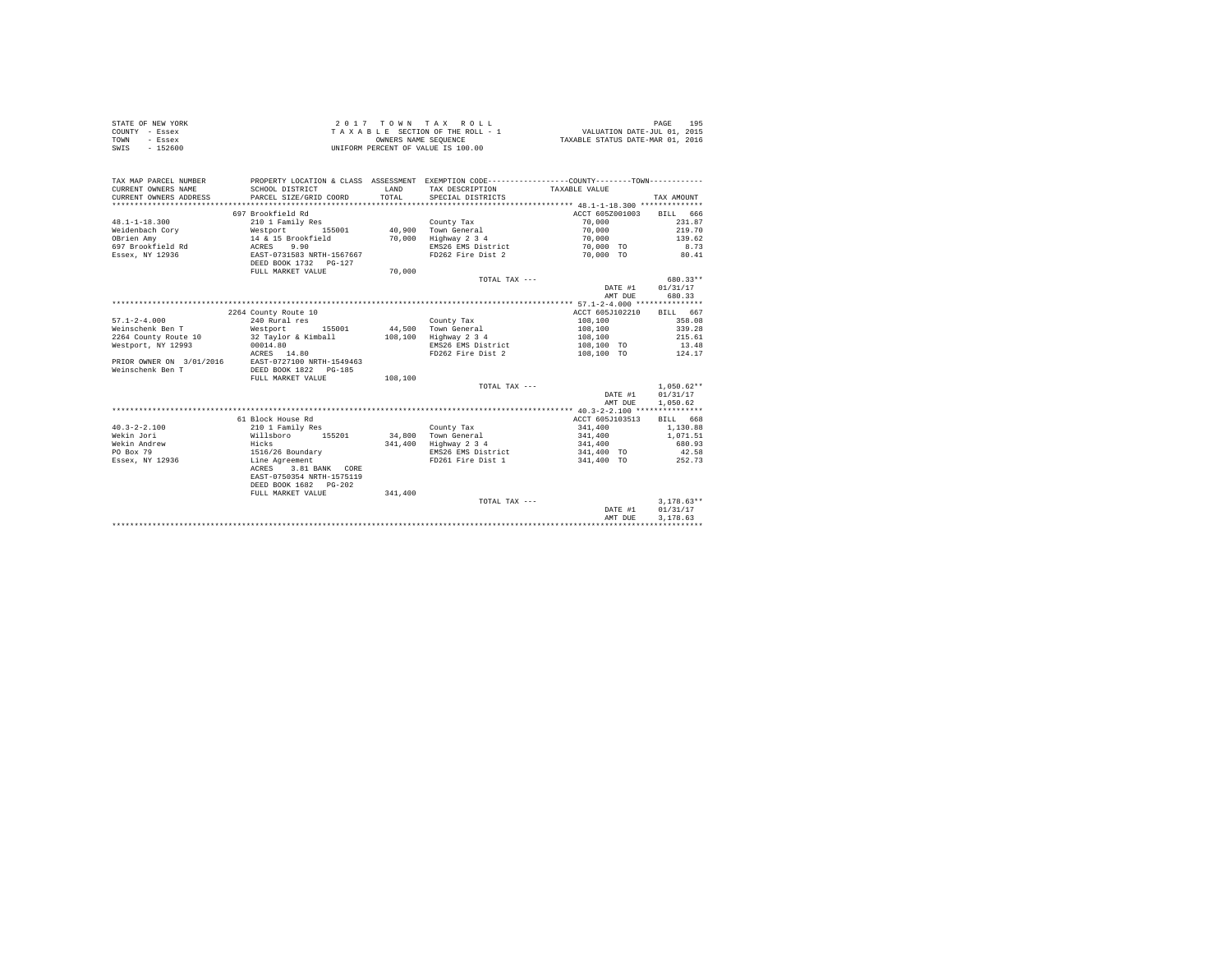|      | STATE OF NEW YORK | 2017 TOWN TAX ROLL                 | 195<br>PAGE                      |
|------|-------------------|------------------------------------|----------------------------------|
|      | COUNTY - Essex    | TAXABLE SECTION OF THE ROLL - 1    | VALUATION DATE-JUL 01, 2015      |
| TOWN | - Essex           | OWNERS NAME SEOUENCE               | TAXABLE STATUS DATE-MAR 01, 2016 |
| SWIS | $-152600$         | UNIFORM PERCENT OF VALUE IS 100.00 |                                  |

| TAX MAP PARCEL NUMBER<br>CURRENT OWNERS NAME<br>CURRENT OWNERS ADDRESS | SCHOOL DISTRICT<br>PARCEL SIZE/GRID COORD | LAND<br>TOTAL. | PROPERTY LOCATION & CLASS ASSESSMENT EXEMPTION CODE----------------COUNTY-------TOWN----------<br>TAX DESCRIPTION TAXABLE VALUE<br>SPECIAL DISTRICTS |                   | TAX AMOUNT   |
|------------------------------------------------------------------------|-------------------------------------------|----------------|------------------------------------------------------------------------------------------------------------------------------------------------------|-------------------|--------------|
|                                                                        | 697 Brookfield Rd                         |                |                                                                                                                                                      | ACCT 605Z001003   | BILL 666     |
| $48.1 - 1 - 18.300$                                                    | 210 1 Family Res                          |                | County Tax                                                                                                                                           | 70,000            | 231.87       |
| Weidenbach Corv                                                        | Westport 155001                           |                | 40,900 Town General                                                                                                                                  | 70,000            | 219.70       |
| OBrien Amv                                                             | 14 & 15 Brookfield                        | 70,000         | Highway 2 3 4                                                                                                                                        | 70,000            | 139.62       |
|                                                                        | 9.90                                      |                | EMS26 EMS District                                                                                                                                   | 70,000 TO         | 8.73         |
| 697 Brookfield Rd ACRES<br>Essex, NY 12936                             | EAST-0731583 NRTH-1567667                 |                | FD262 Fire Dist 2                                                                                                                                    | 70,000 TO         |              |
|                                                                        | DEED BOOK 1732 PG-127                     |                |                                                                                                                                                      |                   | 80.41        |
|                                                                        | FULL MARKET VALUE                         |                |                                                                                                                                                      |                   |              |
|                                                                        |                                           | 70,000         |                                                                                                                                                      |                   | 680.33**     |
|                                                                        |                                           |                | TOTAL TAX ---                                                                                                                                        |                   |              |
|                                                                        |                                           |                |                                                                                                                                                      | DATE #1           | 01/31/17     |
|                                                                        |                                           |                |                                                                                                                                                      | AMT DUE           | 680.33       |
|                                                                        |                                           |                |                                                                                                                                                      |                   |              |
|                                                                        | 2264 County Route 10                      |                |                                                                                                                                                      | ACCT 605J102210   | BILL 667     |
| $57.1 - 2 - 4.000$                                                     | 240 Rural res                             |                | County Tax                                                                                                                                           | 108,100           | 358.08       |
| Weinschenk Ben T                                                       | Westport 155001 44.500 Town General       |                |                                                                                                                                                      | 108,100           | 339.28       |
| 2264 County Route 10                                                   | 32 Taylor & Kimball 108,100               |                | Highway 2 3 4                                                                                                                                        | 108,100           | 215.61       |
| Westport, NY 12993                                                     | 00014.80                                  |                | EMS26 EMS District                                                                                                                                   | 108,100 TO        | 13.48        |
|                                                                        | ACRES 14.80                               |                | FD262 Fire Dist 2                                                                                                                                    | 108,100 TO        | 124.17       |
| PRIOR OWNER ON 3/01/2016 EAST-0727100 NRTH-1549463                     |                                           |                |                                                                                                                                                      |                   |              |
| Weinschenk Ben T                                                       | DEED BOOK 1822 PG-185                     |                |                                                                                                                                                      |                   |              |
|                                                                        | FULL MARKET VALUE                         | 108,100        |                                                                                                                                                      |                   |              |
|                                                                        |                                           |                | TOTAL TAX ---                                                                                                                                        |                   | $1.050.62**$ |
|                                                                        |                                           |                |                                                                                                                                                      | DATE #1           | 01/31/17     |
|                                                                        |                                           |                |                                                                                                                                                      | AMT DUE           | 1,050.62     |
|                                                                        |                                           |                |                                                                                                                                                      |                   |              |
|                                                                        | 61 Block House Rd                         |                |                                                                                                                                                      | ACCT 605J103513   | BILL 668     |
| $40.3 - 2 - 2.100$                                                     | 210 1 Family Res                          |                | County Tax                                                                                                                                           | 341,400           | 1,130.88     |
| Wekin Jori                                                             | Willsboro 155201                          |                | 34,800 Town General                                                                                                                                  | 341,400           | 1,071.51     |
| Wekin Andrew                                                           | Hicks                                     | 341,400        | Highway 2 3 4                                                                                                                                        | 341,400           | 680.93       |
| PO Box 79                                                              | 1516/26 Boundary                          |                | EMS26 EMS District                                                                                                                                   | 341,400 TO        | 42.58        |
| Essex, NY 12936                                                        | Line Agreement                            |                | FD261 Fire Dist 1                                                                                                                                    | 341,400 TO 252.73 |              |
|                                                                        | ACRES 3.81 BANK CORE                      |                |                                                                                                                                                      |                   |              |
|                                                                        | EAST-0750354 NRTH-1575119                 |                |                                                                                                                                                      |                   |              |
|                                                                        | DEED BOOK 1682 PG-202                     |                |                                                                                                                                                      |                   |              |
|                                                                        | FULL MARKET VALUE                         | 341,400        |                                                                                                                                                      |                   |              |
|                                                                        |                                           |                | TOTAL TAX ---                                                                                                                                        |                   | $3.178.63**$ |
|                                                                        |                                           |                |                                                                                                                                                      | DATE #1           | 01/31/17     |
|                                                                        |                                           |                |                                                                                                                                                      | AMT DUE           | 3.178.63     |
|                                                                        |                                           |                |                                                                                                                                                      |                   |              |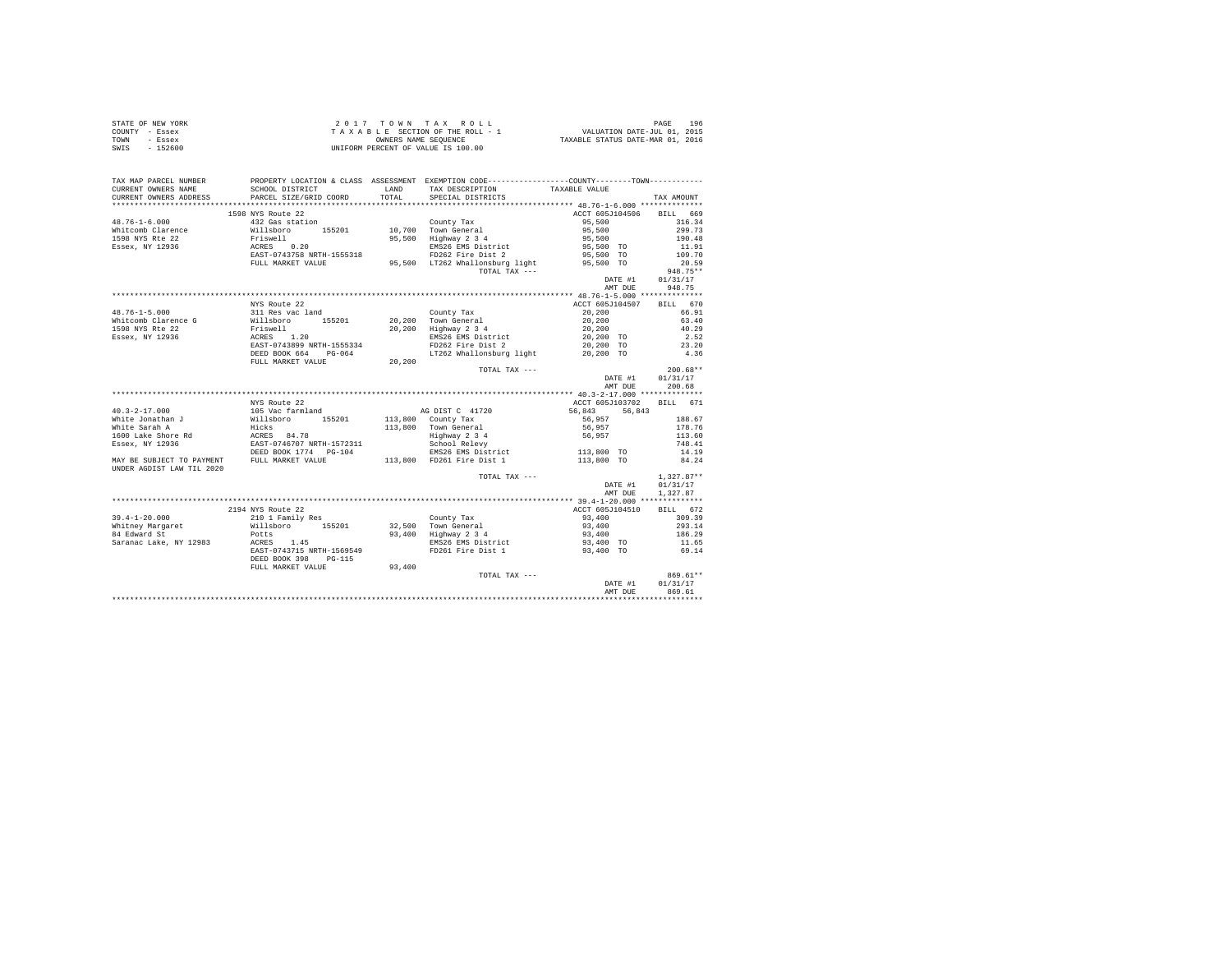| STATE OF NEW YORK | $2.017$ TOWN TAX ROLL              | 196<br>PAGE                      |
|-------------------|------------------------------------|----------------------------------|
| COUNTY - Essex    | TAXABLE SECTION OF THE ROLL - 1    | VALUATION DATE-JUL 01, 2015      |
| TOWN<br>- Essex   | OWNERS NAME SEOUENCE               | TAXABLE STATUS DATE-MAR 01, 2016 |
| SWIS<br>$-152600$ | UNIFORM PERCENT OF VALUE IS 100.00 |                                  |

| 1598 NYS Route 22<br>ACCT 605J104506 BILL 669<br>432 Gas station<br>Willsboro 155201<br>Friswell<br>ACRES 0.20<br>EAST-0743758 NRTH-1555318<br>$48.76 - 1 - 6.000$<br>95,500<br>County Tax<br>10,700 Town General<br>316.34<br>95,500<br>299.73<br>Whitcomb Clarence<br>95,500 Highway 2 3 4<br>1598 NYS Rte 22<br>190.48<br>95,500<br>95,500 TO<br>Essex, NY 12936<br>EMS26 EMS District<br>11.91<br>FD262 Fire Dist 2<br>95,500 TO<br>109.70<br>FULL MARKET VALUE 95,500 LT262 Whallonsburg light 95,500 TO<br>20.59<br>$948.75**$<br>TOTAL TAX ---<br>DATE #1<br>01/31/17<br>AMT DUE<br>NYS Route 22<br>ACCT 605J104507 BILL 670<br>$48.76 - 1 - 5.000$<br>311 Res vac land<br>Willsboro 155201<br>Priswell<br>ACRES 1.20<br>EAST-0743899 NRTH-1555334<br>20,200<br>County Tax<br>$20,200$ Town General<br>$20, 200$<br>$20, 200$<br>Whitcomb Clarence G<br>20,200 Highway 2 3 4<br>1598 NYS Rte 22<br>20,200 TO<br>Essex, NY 12936<br>EMS26 EMS District<br>FD262 Fire Dist 2<br>20,200 TO<br>DEED BOOK 664 PG-064<br>LT262 Whallonsburg light 20,200 TO<br>$\bf 20$ , $\bf 200$<br>FULL MARKET VALUE<br>TOTAL TAX ---<br>DATE #1<br>AMT DUE<br>NYS Route 22<br>ACCT 605J103702 BILL 671<br>AG DIST C 41720<br>56,843 56,843<br>113,800 County Tax<br>56,957<br>188.67<br>113,800 Town General<br>Highway 2 3 4<br>56,957<br>178.76<br>56,957<br>113.60<br>School Relevy<br>748.41<br>EMS26 EMS District 113,800 TO<br>14.19<br>113,800 FD261 Fire Dist 1<br>113,800 TO<br>84.24<br>UNDER AGDIST LAW TIL 2020<br>$1,327.87**$<br>TOTAL TAX ---<br>DATE #1<br>01/31/17<br>1,327.87<br>AMT DUE<br>2194 NYS Route 22<br>ACCT 605J104510<br>BILL 672<br>210 1 Family Res<br>309.39<br>$39.4 - 1 - 20.000$<br>93,400<br>County Tax<br>$32,500$ Town General<br>$93,400$ Highway $2\,3\,4$<br>Willsboro 155201<br>93,400<br>293.14<br>Whitney Margaret<br>93,400<br>84 Edward St<br>Potts<br>186.29<br>ACRES 1.45<br>EMS26 EMS District<br>FD261 Fire Dist 1<br>93,400 TO<br>Saranac Lake, NY 12983<br>11.65<br>EAST-0743715 NRTH-1569549<br>69.14<br>93,400 TO<br>DEED BOOK 398 PG-115<br>93,400<br>FULL MARKET VALUE<br>869.61**<br>TOTAL TAX ---<br>$\mathtt{DATE}~\#1$<br>01/31/17<br>AMT DUE<br>869.61 | TAX MAP PARCEL NUMBER<br>CURRENT OWNERS NAME | SCHOOL DISTRICT        | LAND   | PROPERTY LOCATION & CLASS ASSESSMENT EXEMPTION CODE----------------COUNTY-------TOWN----------<br>TAX DESCRIPTION | TAXABLE VALUE |            |
|-----------------------------------------------------------------------------------------------------------------------------------------------------------------------------------------------------------------------------------------------------------------------------------------------------------------------------------------------------------------------------------------------------------------------------------------------------------------------------------------------------------------------------------------------------------------------------------------------------------------------------------------------------------------------------------------------------------------------------------------------------------------------------------------------------------------------------------------------------------------------------------------------------------------------------------------------------------------------------------------------------------------------------------------------------------------------------------------------------------------------------------------------------------------------------------------------------------------------------------------------------------------------------------------------------------------------------------------------------------------------------------------------------------------------------------------------------------------------------------------------------------------------------------------------------------------------------------------------------------------------------------------------------------------------------------------------------------------------------------------------------------------------------------------------------------------------------------------------------------------------------------------------------------------------------------------------------------------------------------------------------------------------------------------------------------------------------------------------------------------------------------------------------------------------------------------------------------|----------------------------------------------|------------------------|--------|-------------------------------------------------------------------------------------------------------------------|---------------|------------|
|                                                                                                                                                                                                                                                                                                                                                                                                                                                                                                                                                                                                                                                                                                                                                                                                                                                                                                                                                                                                                                                                                                                                                                                                                                                                                                                                                                                                                                                                                                                                                                                                                                                                                                                                                                                                                                                                                                                                                                                                                                                                                                                                                                                                           | CURRENT OWNERS ADDRESS                       | PARCEL SIZE/GRID COORD | TOTAL. | SPECIAL DISTRICTS                                                                                                 |               | TAX AMOUNT |
|                                                                                                                                                                                                                                                                                                                                                                                                                                                                                                                                                                                                                                                                                                                                                                                                                                                                                                                                                                                                                                                                                                                                                                                                                                                                                                                                                                                                                                                                                                                                                                                                                                                                                                                                                                                                                                                                                                                                                                                                                                                                                                                                                                                                           |                                              |                        |        |                                                                                                                   |               |            |
|                                                                                                                                                                                                                                                                                                                                                                                                                                                                                                                                                                                                                                                                                                                                                                                                                                                                                                                                                                                                                                                                                                                                                                                                                                                                                                                                                                                                                                                                                                                                                                                                                                                                                                                                                                                                                                                                                                                                                                                                                                                                                                                                                                                                           |                                              |                        |        |                                                                                                                   |               |            |
|                                                                                                                                                                                                                                                                                                                                                                                                                                                                                                                                                                                                                                                                                                                                                                                                                                                                                                                                                                                                                                                                                                                                                                                                                                                                                                                                                                                                                                                                                                                                                                                                                                                                                                                                                                                                                                                                                                                                                                                                                                                                                                                                                                                                           |                                              |                        |        |                                                                                                                   |               |            |
|                                                                                                                                                                                                                                                                                                                                                                                                                                                                                                                                                                                                                                                                                                                                                                                                                                                                                                                                                                                                                                                                                                                                                                                                                                                                                                                                                                                                                                                                                                                                                                                                                                                                                                                                                                                                                                                                                                                                                                                                                                                                                                                                                                                                           |                                              |                        |        |                                                                                                                   |               |            |
|                                                                                                                                                                                                                                                                                                                                                                                                                                                                                                                                                                                                                                                                                                                                                                                                                                                                                                                                                                                                                                                                                                                                                                                                                                                                                                                                                                                                                                                                                                                                                                                                                                                                                                                                                                                                                                                                                                                                                                                                                                                                                                                                                                                                           |                                              |                        |        |                                                                                                                   |               |            |
|                                                                                                                                                                                                                                                                                                                                                                                                                                                                                                                                                                                                                                                                                                                                                                                                                                                                                                                                                                                                                                                                                                                                                                                                                                                                                                                                                                                                                                                                                                                                                                                                                                                                                                                                                                                                                                                                                                                                                                                                                                                                                                                                                                                                           |                                              |                        |        |                                                                                                                   |               |            |
|                                                                                                                                                                                                                                                                                                                                                                                                                                                                                                                                                                                                                                                                                                                                                                                                                                                                                                                                                                                                                                                                                                                                                                                                                                                                                                                                                                                                                                                                                                                                                                                                                                                                                                                                                                                                                                                                                                                                                                                                                                                                                                                                                                                                           |                                              |                        |        |                                                                                                                   |               |            |
|                                                                                                                                                                                                                                                                                                                                                                                                                                                                                                                                                                                                                                                                                                                                                                                                                                                                                                                                                                                                                                                                                                                                                                                                                                                                                                                                                                                                                                                                                                                                                                                                                                                                                                                                                                                                                                                                                                                                                                                                                                                                                                                                                                                                           |                                              |                        |        |                                                                                                                   |               |            |
|                                                                                                                                                                                                                                                                                                                                                                                                                                                                                                                                                                                                                                                                                                                                                                                                                                                                                                                                                                                                                                                                                                                                                                                                                                                                                                                                                                                                                                                                                                                                                                                                                                                                                                                                                                                                                                                                                                                                                                                                                                                                                                                                                                                                           |                                              |                        |        |                                                                                                                   |               |            |
|                                                                                                                                                                                                                                                                                                                                                                                                                                                                                                                                                                                                                                                                                                                                                                                                                                                                                                                                                                                                                                                                                                                                                                                                                                                                                                                                                                                                                                                                                                                                                                                                                                                                                                                                                                                                                                                                                                                                                                                                                                                                                                                                                                                                           |                                              |                        |        |                                                                                                                   |               | 948.75     |
|                                                                                                                                                                                                                                                                                                                                                                                                                                                                                                                                                                                                                                                                                                                                                                                                                                                                                                                                                                                                                                                                                                                                                                                                                                                                                                                                                                                                                                                                                                                                                                                                                                                                                                                                                                                                                                                                                                                                                                                                                                                                                                                                                                                                           |                                              |                        |        |                                                                                                                   |               |            |
|                                                                                                                                                                                                                                                                                                                                                                                                                                                                                                                                                                                                                                                                                                                                                                                                                                                                                                                                                                                                                                                                                                                                                                                                                                                                                                                                                                                                                                                                                                                                                                                                                                                                                                                                                                                                                                                                                                                                                                                                                                                                                                                                                                                                           |                                              |                        |        |                                                                                                                   |               |            |
|                                                                                                                                                                                                                                                                                                                                                                                                                                                                                                                                                                                                                                                                                                                                                                                                                                                                                                                                                                                                                                                                                                                                                                                                                                                                                                                                                                                                                                                                                                                                                                                                                                                                                                                                                                                                                                                                                                                                                                                                                                                                                                                                                                                                           |                                              |                        |        |                                                                                                                   |               | 66.91      |
|                                                                                                                                                                                                                                                                                                                                                                                                                                                                                                                                                                                                                                                                                                                                                                                                                                                                                                                                                                                                                                                                                                                                                                                                                                                                                                                                                                                                                                                                                                                                                                                                                                                                                                                                                                                                                                                                                                                                                                                                                                                                                                                                                                                                           |                                              |                        |        |                                                                                                                   |               | 63.40      |
|                                                                                                                                                                                                                                                                                                                                                                                                                                                                                                                                                                                                                                                                                                                                                                                                                                                                                                                                                                                                                                                                                                                                                                                                                                                                                                                                                                                                                                                                                                                                                                                                                                                                                                                                                                                                                                                                                                                                                                                                                                                                                                                                                                                                           |                                              |                        |        |                                                                                                                   |               | 40.29      |
|                                                                                                                                                                                                                                                                                                                                                                                                                                                                                                                                                                                                                                                                                                                                                                                                                                                                                                                                                                                                                                                                                                                                                                                                                                                                                                                                                                                                                                                                                                                                                                                                                                                                                                                                                                                                                                                                                                                                                                                                                                                                                                                                                                                                           |                                              |                        |        |                                                                                                                   |               | 2.52       |
|                                                                                                                                                                                                                                                                                                                                                                                                                                                                                                                                                                                                                                                                                                                                                                                                                                                                                                                                                                                                                                                                                                                                                                                                                                                                                                                                                                                                                                                                                                                                                                                                                                                                                                                                                                                                                                                                                                                                                                                                                                                                                                                                                                                                           |                                              |                        |        |                                                                                                                   |               | 23.20      |
|                                                                                                                                                                                                                                                                                                                                                                                                                                                                                                                                                                                                                                                                                                                                                                                                                                                                                                                                                                                                                                                                                                                                                                                                                                                                                                                                                                                                                                                                                                                                                                                                                                                                                                                                                                                                                                                                                                                                                                                                                                                                                                                                                                                                           |                                              |                        |        |                                                                                                                   |               | 4.36       |
|                                                                                                                                                                                                                                                                                                                                                                                                                                                                                                                                                                                                                                                                                                                                                                                                                                                                                                                                                                                                                                                                                                                                                                                                                                                                                                                                                                                                                                                                                                                                                                                                                                                                                                                                                                                                                                                                                                                                                                                                                                                                                                                                                                                                           |                                              |                        |        |                                                                                                                   |               |            |
|                                                                                                                                                                                                                                                                                                                                                                                                                                                                                                                                                                                                                                                                                                                                                                                                                                                                                                                                                                                                                                                                                                                                                                                                                                                                                                                                                                                                                                                                                                                                                                                                                                                                                                                                                                                                                                                                                                                                                                                                                                                                                                                                                                                                           |                                              |                        |        |                                                                                                                   |               | $200.68**$ |
|                                                                                                                                                                                                                                                                                                                                                                                                                                                                                                                                                                                                                                                                                                                                                                                                                                                                                                                                                                                                                                                                                                                                                                                                                                                                                                                                                                                                                                                                                                                                                                                                                                                                                                                                                                                                                                                                                                                                                                                                                                                                                                                                                                                                           |                                              |                        |        |                                                                                                                   |               | 01/31/17   |
|                                                                                                                                                                                                                                                                                                                                                                                                                                                                                                                                                                                                                                                                                                                                                                                                                                                                                                                                                                                                                                                                                                                                                                                                                                                                                                                                                                                                                                                                                                                                                                                                                                                                                                                                                                                                                                                                                                                                                                                                                                                                                                                                                                                                           |                                              |                        |        |                                                                                                                   |               | 200.68     |
|                                                                                                                                                                                                                                                                                                                                                                                                                                                                                                                                                                                                                                                                                                                                                                                                                                                                                                                                                                                                                                                                                                                                                                                                                                                                                                                                                                                                                                                                                                                                                                                                                                                                                                                                                                                                                                                                                                                                                                                                                                                                                                                                                                                                           |                                              |                        |        |                                                                                                                   |               |            |
|                                                                                                                                                                                                                                                                                                                                                                                                                                                                                                                                                                                                                                                                                                                                                                                                                                                                                                                                                                                                                                                                                                                                                                                                                                                                                                                                                                                                                                                                                                                                                                                                                                                                                                                                                                                                                                                                                                                                                                                                                                                                                                                                                                                                           |                                              |                        |        |                                                                                                                   |               |            |
|                                                                                                                                                                                                                                                                                                                                                                                                                                                                                                                                                                                                                                                                                                                                                                                                                                                                                                                                                                                                                                                                                                                                                                                                                                                                                                                                                                                                                                                                                                                                                                                                                                                                                                                                                                                                                                                                                                                                                                                                                                                                                                                                                                                                           |                                              |                        |        |                                                                                                                   |               |            |
|                                                                                                                                                                                                                                                                                                                                                                                                                                                                                                                                                                                                                                                                                                                                                                                                                                                                                                                                                                                                                                                                                                                                                                                                                                                                                                                                                                                                                                                                                                                                                                                                                                                                                                                                                                                                                                                                                                                                                                                                                                                                                                                                                                                                           |                                              |                        |        |                                                                                                                   |               |            |
|                                                                                                                                                                                                                                                                                                                                                                                                                                                                                                                                                                                                                                                                                                                                                                                                                                                                                                                                                                                                                                                                                                                                                                                                                                                                                                                                                                                                                                                                                                                                                                                                                                                                                                                                                                                                                                                                                                                                                                                                                                                                                                                                                                                                           |                                              |                        |        |                                                                                                                   |               |            |
|                                                                                                                                                                                                                                                                                                                                                                                                                                                                                                                                                                                                                                                                                                                                                                                                                                                                                                                                                                                                                                                                                                                                                                                                                                                                                                                                                                                                                                                                                                                                                                                                                                                                                                                                                                                                                                                                                                                                                                                                                                                                                                                                                                                                           |                                              |                        |        |                                                                                                                   |               |            |
|                                                                                                                                                                                                                                                                                                                                                                                                                                                                                                                                                                                                                                                                                                                                                                                                                                                                                                                                                                                                                                                                                                                                                                                                                                                                                                                                                                                                                                                                                                                                                                                                                                                                                                                                                                                                                                                                                                                                                                                                                                                                                                                                                                                                           |                                              |                        |        |                                                                                                                   |               |            |
|                                                                                                                                                                                                                                                                                                                                                                                                                                                                                                                                                                                                                                                                                                                                                                                                                                                                                                                                                                                                                                                                                                                                                                                                                                                                                                                                                                                                                                                                                                                                                                                                                                                                                                                                                                                                                                                                                                                                                                                                                                                                                                                                                                                                           |                                              |                        |        |                                                                                                                   |               |            |
|                                                                                                                                                                                                                                                                                                                                                                                                                                                                                                                                                                                                                                                                                                                                                                                                                                                                                                                                                                                                                                                                                                                                                                                                                                                                                                                                                                                                                                                                                                                                                                                                                                                                                                                                                                                                                                                                                                                                                                                                                                                                                                                                                                                                           |                                              |                        |        |                                                                                                                   |               |            |
|                                                                                                                                                                                                                                                                                                                                                                                                                                                                                                                                                                                                                                                                                                                                                                                                                                                                                                                                                                                                                                                                                                                                                                                                                                                                                                                                                                                                                                                                                                                                                                                                                                                                                                                                                                                                                                                                                                                                                                                                                                                                                                                                                                                                           |                                              |                        |        |                                                                                                                   |               |            |
|                                                                                                                                                                                                                                                                                                                                                                                                                                                                                                                                                                                                                                                                                                                                                                                                                                                                                                                                                                                                                                                                                                                                                                                                                                                                                                                                                                                                                                                                                                                                                                                                                                                                                                                                                                                                                                                                                                                                                                                                                                                                                                                                                                                                           |                                              |                        |        |                                                                                                                   |               |            |
|                                                                                                                                                                                                                                                                                                                                                                                                                                                                                                                                                                                                                                                                                                                                                                                                                                                                                                                                                                                                                                                                                                                                                                                                                                                                                                                                                                                                                                                                                                                                                                                                                                                                                                                                                                                                                                                                                                                                                                                                                                                                                                                                                                                                           |                                              |                        |        |                                                                                                                   |               |            |
|                                                                                                                                                                                                                                                                                                                                                                                                                                                                                                                                                                                                                                                                                                                                                                                                                                                                                                                                                                                                                                                                                                                                                                                                                                                                                                                                                                                                                                                                                                                                                                                                                                                                                                                                                                                                                                                                                                                                                                                                                                                                                                                                                                                                           |                                              |                        |        |                                                                                                                   |               |            |
|                                                                                                                                                                                                                                                                                                                                                                                                                                                                                                                                                                                                                                                                                                                                                                                                                                                                                                                                                                                                                                                                                                                                                                                                                                                                                                                                                                                                                                                                                                                                                                                                                                                                                                                                                                                                                                                                                                                                                                                                                                                                                                                                                                                                           |                                              |                        |        |                                                                                                                   |               |            |
|                                                                                                                                                                                                                                                                                                                                                                                                                                                                                                                                                                                                                                                                                                                                                                                                                                                                                                                                                                                                                                                                                                                                                                                                                                                                                                                                                                                                                                                                                                                                                                                                                                                                                                                                                                                                                                                                                                                                                                                                                                                                                                                                                                                                           |                                              |                        |        |                                                                                                                   |               |            |
|                                                                                                                                                                                                                                                                                                                                                                                                                                                                                                                                                                                                                                                                                                                                                                                                                                                                                                                                                                                                                                                                                                                                                                                                                                                                                                                                                                                                                                                                                                                                                                                                                                                                                                                                                                                                                                                                                                                                                                                                                                                                                                                                                                                                           |                                              |                        |        |                                                                                                                   |               |            |
|                                                                                                                                                                                                                                                                                                                                                                                                                                                                                                                                                                                                                                                                                                                                                                                                                                                                                                                                                                                                                                                                                                                                                                                                                                                                                                                                                                                                                                                                                                                                                                                                                                                                                                                                                                                                                                                                                                                                                                                                                                                                                                                                                                                                           |                                              |                        |        |                                                                                                                   |               |            |
|                                                                                                                                                                                                                                                                                                                                                                                                                                                                                                                                                                                                                                                                                                                                                                                                                                                                                                                                                                                                                                                                                                                                                                                                                                                                                                                                                                                                                                                                                                                                                                                                                                                                                                                                                                                                                                                                                                                                                                                                                                                                                                                                                                                                           |                                              |                        |        |                                                                                                                   |               |            |
|                                                                                                                                                                                                                                                                                                                                                                                                                                                                                                                                                                                                                                                                                                                                                                                                                                                                                                                                                                                                                                                                                                                                                                                                                                                                                                                                                                                                                                                                                                                                                                                                                                                                                                                                                                                                                                                                                                                                                                                                                                                                                                                                                                                                           |                                              |                        |        |                                                                                                                   |               |            |
|                                                                                                                                                                                                                                                                                                                                                                                                                                                                                                                                                                                                                                                                                                                                                                                                                                                                                                                                                                                                                                                                                                                                                                                                                                                                                                                                                                                                                                                                                                                                                                                                                                                                                                                                                                                                                                                                                                                                                                                                                                                                                                                                                                                                           |                                              |                        |        |                                                                                                                   |               |            |
|                                                                                                                                                                                                                                                                                                                                                                                                                                                                                                                                                                                                                                                                                                                                                                                                                                                                                                                                                                                                                                                                                                                                                                                                                                                                                                                                                                                                                                                                                                                                                                                                                                                                                                                                                                                                                                                                                                                                                                                                                                                                                                                                                                                                           |                                              |                        |        |                                                                                                                   |               |            |
|                                                                                                                                                                                                                                                                                                                                                                                                                                                                                                                                                                                                                                                                                                                                                                                                                                                                                                                                                                                                                                                                                                                                                                                                                                                                                                                                                                                                                                                                                                                                                                                                                                                                                                                                                                                                                                                                                                                                                                                                                                                                                                                                                                                                           |                                              |                        |        |                                                                                                                   |               |            |
|                                                                                                                                                                                                                                                                                                                                                                                                                                                                                                                                                                                                                                                                                                                                                                                                                                                                                                                                                                                                                                                                                                                                                                                                                                                                                                                                                                                                                                                                                                                                                                                                                                                                                                                                                                                                                                                                                                                                                                                                                                                                                                                                                                                                           |                                              |                        |        |                                                                                                                   |               |            |
|                                                                                                                                                                                                                                                                                                                                                                                                                                                                                                                                                                                                                                                                                                                                                                                                                                                                                                                                                                                                                                                                                                                                                                                                                                                                                                                                                                                                                                                                                                                                                                                                                                                                                                                                                                                                                                                                                                                                                                                                                                                                                                                                                                                                           |                                              |                        |        |                                                                                                                   |               |            |
|                                                                                                                                                                                                                                                                                                                                                                                                                                                                                                                                                                                                                                                                                                                                                                                                                                                                                                                                                                                                                                                                                                                                                                                                                                                                                                                                                                                                                                                                                                                                                                                                                                                                                                                                                                                                                                                                                                                                                                                                                                                                                                                                                                                                           |                                              |                        |        |                                                                                                                   |               |            |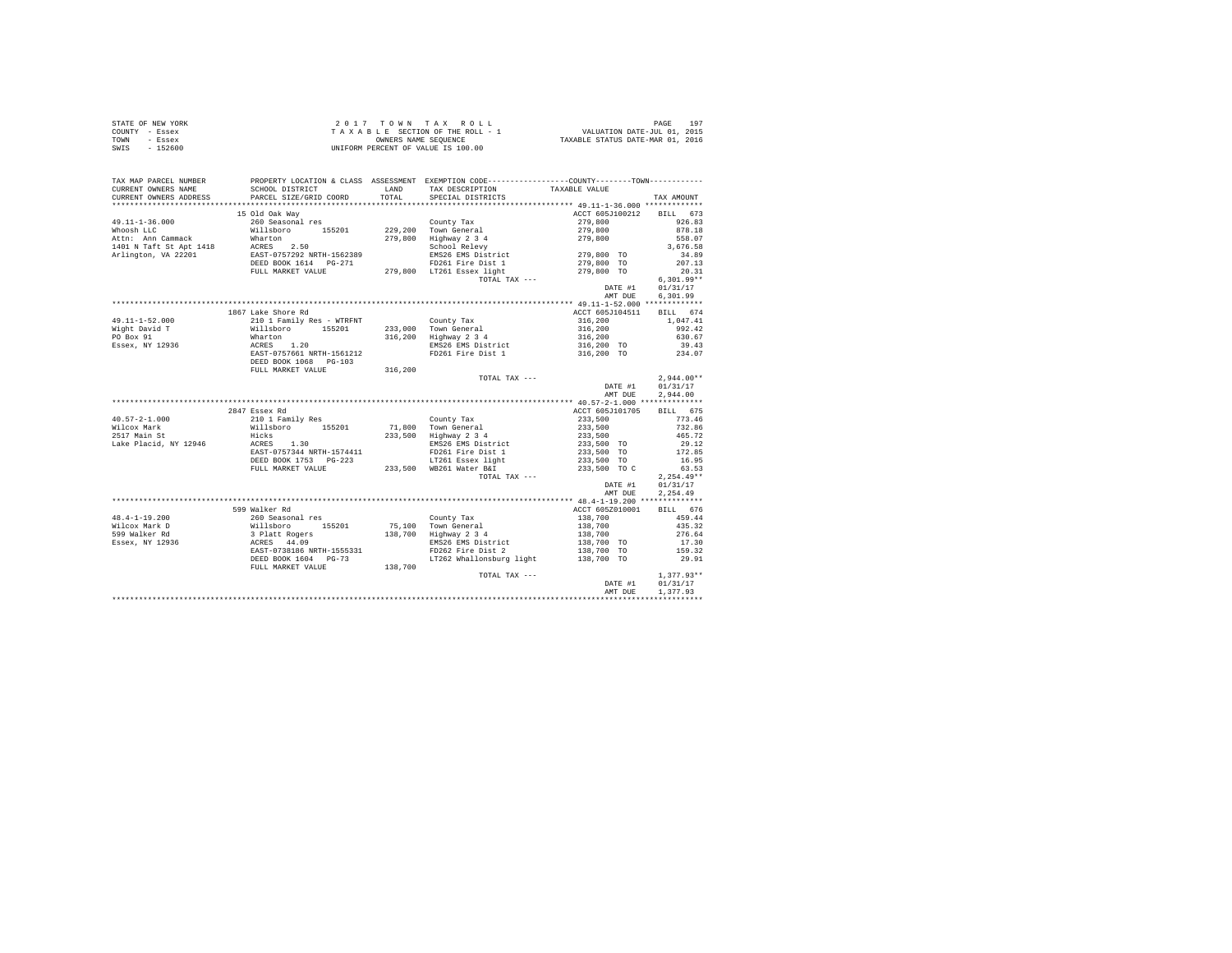|      | STATE OF NEW YORK | $2.017$ TOWN TAX ROLL              | 19 <sup>7</sup><br>PAGE          |
|------|-------------------|------------------------------------|----------------------------------|
|      | COUNTY - Essex    | TAXABLE SECTION OF THE ROLL - 1    | VALUATION DATE-JUL 01, 2015      |
| TOWN | - Essex           | OWNERS NAME SEOUENCE               | TAXABLE STATUS DATE-MAR 01, 2016 |
| SWIS | - 152600          | UNIFORM PERCENT OF VALUE IS 100.00 |                                  |

| TAX MAP PARCEL NUMBER  |                                                                                                               |         | PROPERTY LOCATION & CLASS ASSESSMENT EXEMPTION CODE---------------COUNTY-------TOWN--------- |                                  |               |
|------------------------|---------------------------------------------------------------------------------------------------------------|---------|----------------------------------------------------------------------------------------------|----------------------------------|---------------|
| CURRENT OWNERS NAME    | SCHOOL DISTRICT                                                                                               |         | LAND TAX DESCRIPTION                                                                         | TAXABLE VALUE                    |               |
| CURRENT OWNERS ADDRESS | PARCEL SIZE/GRID COORD                                                                                        |         | TOTAL SPECIAL DISTRICTS                                                                      |                                  | TAX AMOUNT    |
|                        |                                                                                                               |         |                                                                                              |                                  |               |
|                        | 15 Old Oak Wav                                                                                                |         |                                                                                              | ACCT 605J100212 BILL 673         |               |
|                        |                                                                                                               |         |                                                                                              | 279,800                          | 926.83        |
|                        |                                                                                                               |         |                                                                                              | 279,800                          | 878.18        |
|                        |                                                                                                               |         |                                                                                              | 279,800                          | 558.07        |
|                        |                                                                                                               |         | School Relevy                                                                                | 279,800 TO                       | 3,676.58      |
|                        |                                                                                                               |         | EMS26 EMS District                                                                           |                                  | 34.89         |
|                        | DEED BOOK 1614 PG-271 PD261 Fire Dist 1<br>FULL MARKET VALUE 279,800 LT261 Essex light                        |         |                                                                                              | 279,800 TO                       | 207.13        |
|                        |                                                                                                               |         |                                                                                              | 279,800 TO                       | 20.31         |
|                        |                                                                                                               |         | TOTAL TAX ---                                                                                |                                  | $6.301.99**$  |
|                        |                                                                                                               |         |                                                                                              | DATE #1                          | 01/31/17      |
|                        |                                                                                                               |         |                                                                                              | AMT DUE                          | 6,301.99      |
|                        |                                                                                                               |         |                                                                                              |                                  |               |
|                        | 1867 Lake Shore Rd                                                                                            |         |                                                                                              | ACCT 605J104511 BILL 674         |               |
| $49.11 - 1 - 52.000$   | 210 1 Family Res - WTRFNT                                                                                     |         | County Tax                                                                                   | 316,200                          | 1,047.41      |
| Wight David T          |                                                                                                               |         | 233,000 Town General                                                                         | 316,200                          | 992.42        |
| PO Box 91              |                                                                                                               |         | 316,200 Highway 2 3 4                                                                        | 316,200                          | 630.67        |
| Essex, NY 12936        |                                                                                                               |         | EMS26 EMS District                                                                           | 316,200 TO                       | 39.43         |
|                        |                                                                                                               |         | FD261 Fire Dist 1 316,200 TO                                                                 |                                  | 234.07        |
|                        | DEED BOOK 1068 PG-103                                                                                         |         |                                                                                              |                                  |               |
|                        | FULL MARKET VALUE                                                                                             | 316,200 |                                                                                              |                                  |               |
|                        |                                                                                                               |         | TOTAL TAX ---                                                                                |                                  | $2.944.00**$  |
|                        |                                                                                                               |         |                                                                                              | DATE #1                          | 01/31/17      |
|                        |                                                                                                               |         |                                                                                              | AMT DUE                          | 2.944.00      |
|                        |                                                                                                               |         |                                                                                              |                                  |               |
|                        | 2847 Essex Rd                                                                                                 |         |                                                                                              | ACCT 605J101705                  | BILL 675      |
| $40.57 - 2 - 1.000$    |                                                                                                               |         | County Tax                                                                                   | 233,500                          | 773.46        |
| Wilcox Mark            | 210 1 Family Res<br>Willsboro 155201                                                                          |         | 71,800 Town General<br>233,500 Highway 2 3 4                                                 |                                  | 732.86        |
| 2517 Main St           |                                                                                                               |         |                                                                                              |                                  |               |
|                        |                                                                                                               |         |                                                                                              |                                  |               |
|                        |                                                                                                               |         |                                                                                              | 233,500<br>233,500               | 465.72        |
| Lake Placid, NY 12946  | HICKS<br>ACRES 1.30                                                                                           |         | EMS26 EMS District                                                                           | 233,500 TO                       | 29.12         |
|                        | EAST-0757344 NRTH-1574411                                                                                     |         | FD261 Fire Dist 1                                                                            | 233,500 TO                       | 172.85        |
|                        | DEED BOOK 1753 PG-223                                                                                         |         | LT261 Essex light                                                                            | 233,500 TO                       | 16.95         |
|                        | FULL MARKET VALUE 233,500 WB261 Water B&I                                                                     |         |                                                                                              | 233,500 TO C                     | 63.53         |
|                        |                                                                                                               |         | TOTAL TAX ---                                                                                |                                  | $2, 254.49**$ |
|                        |                                                                                                               |         |                                                                                              | DATE #1                          | 01/31/17      |
|                        |                                                                                                               |         |                                                                                              | AMT DUE                          | 2,254.49      |
|                        |                                                                                                               |         |                                                                                              |                                  |               |
|                        | 599 Walker Rd                                                                                                 |         |                                                                                              | ACCT 605Z010001                  | BILL 676      |
| $48.4 - 1 - 19.200$    | 260 Seasonal res                                                                                              |         | County Tax                                                                                   | 138,700                          | 459.44        |
| Wilcox Mark D          |                                                                                                               |         |                                                                                              |                                  | 435.32        |
| 599 Walker Rd          |                                                                                                               |         | 75,100 Town General<br>138,700 Highway 2 3 4                                                 |                                  | 276.64        |
| Essex, NY 12936        |                                                                                                               |         |                                                                                              | 138,700<br>138,700<br>138,700 TO | 17.30         |
|                        |                                                                                                               |         | EMS26 EMS District<br>FD262 Fire Dist 2                                                      | 138,700 TO                       | 159.32        |
|                        | millsboro 155201<br>3 Platt Rogers 155201<br>ACRES 44.09<br>EAST-0738186 NRTH-1555331<br>DEED BOOK 1604 PG-73 |         | LT262 Whallonsburg light 138,700 TO                                                          |                                  | 29.91         |
|                        | FULL MARKET VALUE                                                                                             | 138,700 |                                                                                              |                                  |               |
|                        |                                                                                                               |         | TOTAL TAX ---                                                                                |                                  | $1.377.93**$  |
|                        |                                                                                                               |         |                                                                                              | DATE #1                          | 01/31/17      |
|                        |                                                                                                               |         |                                                                                              | AMT DUE                          | 1,377.93      |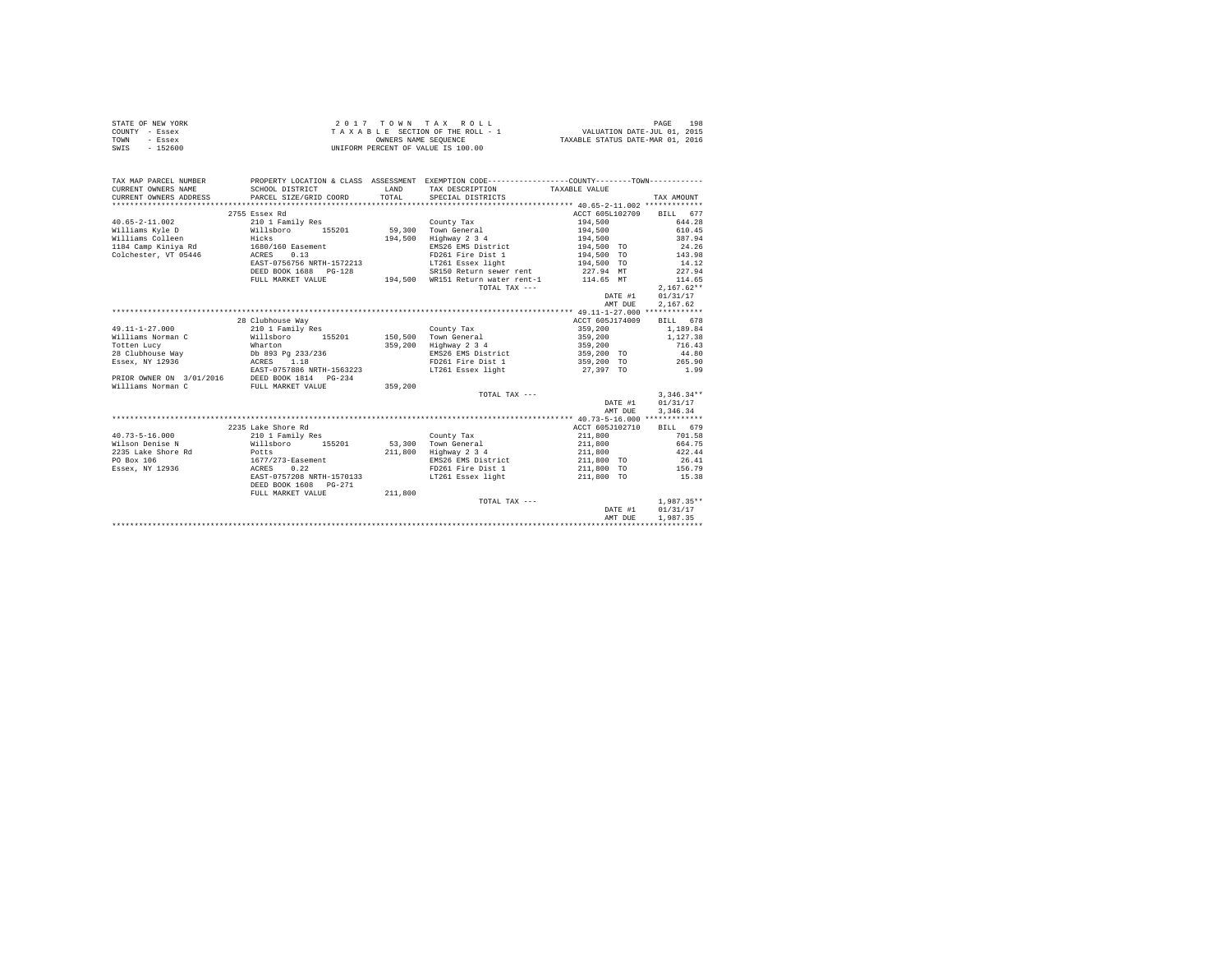| STATE OF NEW YORK | 2017 TOWN TAX ROLL                 | 198<br>PAGE                      |
|-------------------|------------------------------------|----------------------------------|
| COUNTY - Essex    | TAXABLE SECTION OF THE ROLL - 1    | VALUATION DATE-JUL 01, 2015      |
| TOWN<br>- Essex   | OWNERS NAME SEOUENCE               | TAXABLE STATUS DATE-MAR 01, 2016 |
| SWIS<br>$-152600$ | UNIFORM PERCENT OF VALUE IS 100.00 |                                  |

| TAX MAP PARCEL NUMBER<br>CURRENT OWNERS NAME | SCHOOL DISTRICT           | <b>T.AND</b> | PROPERTY LOCATION & CLASS ASSESSMENT EXEMPTION CODE---------------COUNTY-------TOWN----------<br>TAX DESCRIPTION | TAXABLE VALUE            |              |
|----------------------------------------------|---------------------------|--------------|------------------------------------------------------------------------------------------------------------------|--------------------------|--------------|
| CURRENT OWNERS ADDRESS                       | PARCEL SIZE/GRID COORD    | TOTAL        | SPECIAL DISTRICTS                                                                                                |                          | TAX AMOUNT   |
|                                              |                           |              |                                                                                                                  |                          |              |
|                                              | 2755 Essex Rd             |              |                                                                                                                  | ACCT 605L102709 BILL 677 |              |
| $40.65 - 2 - 11.002$                         | 210 1 Family Res          |              | County Tax                                                                                                       | 194,500                  | 644.28       |
| Williams Kyle D                              | Willsboro 155201          |              | 59.300 Town General                                                                                              | 194,500                  | 610.45       |
| Williams Colleen<br>Hicks                    |                           | 194,500      | Highway 2 3 4                                                                                                    | 194,500                  | 387.94       |
| 1184 Camp Kiniya Rd 1680/160 Easement        |                           |              | EMS26 EMS District                                                                                               | 194,500 TO               | 24.26        |
| Colchester, VT 05446                         | ACRES 0.13                |              | FD261 Fire Dist 1                                                                                                | 194,500 TO               | 143.98       |
|                                              | EAST-0756756 NRTH-1572213 |              | LT261 Essex light 194.500 TO                                                                                     |                          | 14.12        |
|                                              | DEED BOOK 1688 PG-128     |              | SR150 Return sewer rent 227.94 MT                                                                                |                          | 227.94       |
|                                              | FULL MARKET VALUE         |              | 194,500 WR151 Return water rent-1                                                                                | 114.65 MT                | 114.65       |
|                                              |                           |              | TOTAL TAX ---                                                                                                    |                          | $2.167.62**$ |
|                                              |                           |              |                                                                                                                  | DATE #1                  | 01/31/17     |
|                                              |                           |              |                                                                                                                  | AMT DUE                  | 2,167.62     |
|                                              |                           |              |                                                                                                                  |                          |              |
|                                              | 28 Clubhouse Way          |              |                                                                                                                  | ACCT 605J174009          | BILL 678     |
| $49.11 - 1 - 27.000$                         | 210 1 Family Res          |              | County Tax                                                                                                       | 359,200                  | 1,189.84     |
| Williams Norman C                            | Willsboro<br>155201       |              | 150.500 Town General                                                                                             | 359,200                  | 1,127.38     |
| Totten Lucy                                  | Wharton                   | 359,200      | Highway 2 3 4                                                                                                    | 359,200                  | 716.43       |
| 28 Clubhouse Way                             | Db 893 Pg 233/236         |              | EMS26 EMS District                                                                                               | 359,200 TO               | 44.80        |
| Essex, NY 12936                              | ACRES 1.18                |              | FD261 Fire Dist 1                                                                                                | 359,200 TO               | 265.90       |
|                                              | EAST-0757886 NRTH-1563223 |              | LT261 Essex light                                                                                                | 27,397 TO                | 1.99         |
| PRIOR OWNER ON 3/01/2016                     | DEED BOOK 1814 PG-234     |              |                                                                                                                  |                          |              |
| Williams Norman C                            | FULL MARKET VALUE         | 359,200      |                                                                                                                  |                          |              |
|                                              |                           |              | TOTAL TAX ---                                                                                                    |                          | $3.346.34**$ |
|                                              |                           |              |                                                                                                                  | DATE #1                  | 01/31/17     |
|                                              |                           |              |                                                                                                                  | AMT DUE                  | 3,346.34     |
|                                              |                           |              |                                                                                                                  |                          |              |
|                                              | 2235 Lake Shore Rd        |              |                                                                                                                  | ACCT 605J102710          | BILL 679     |
| $40.73 - 5 - 16.000$                         | 210 1 Family Res          |              | County Tax                                                                                                       | 211,800                  | 701.58       |
| Wilson Denise N                              | Willsboro 155201          | 53,300       | Town General                                                                                                     | 211,800                  | 664.75       |
| 2235 Lake Shore Rd<br><b>Potts</b>           |                           | 211,800      | Highway 2 3 4                                                                                                    | 211,800                  | 422.44       |
| PO Box 106                                   | $1677/273$ -Easement      |              | EMS26 EMS District                                                                                               | 211,800 TO               | 26.41        |
| Essex, NY 12936                              | ACRES 0.22                |              | FD261 Fire Dist 1                                                                                                | 211,800 TO               | 156.79       |
|                                              | EAST-0757208 NRTH-1570133 |              | LT261 Essex light                                                                                                | 211,800 TO               | 15.38        |
|                                              | DEED BOOK 1608 PG-271     |              |                                                                                                                  |                          |              |
|                                              | FULL MARKET VALUE         | 211,800      |                                                                                                                  |                          |              |
|                                              |                           |              | TOTAL TAX ---                                                                                                    |                          | $1.987.35**$ |
|                                              |                           |              |                                                                                                                  | DATE #1                  | 01/31/17     |
|                                              |                           |              |                                                                                                                  | AMT DUE                  | 1,987.35     |
|                                              |                           |              |                                                                                                                  |                          |              |
|                                              |                           |              |                                                                                                                  |                          |              |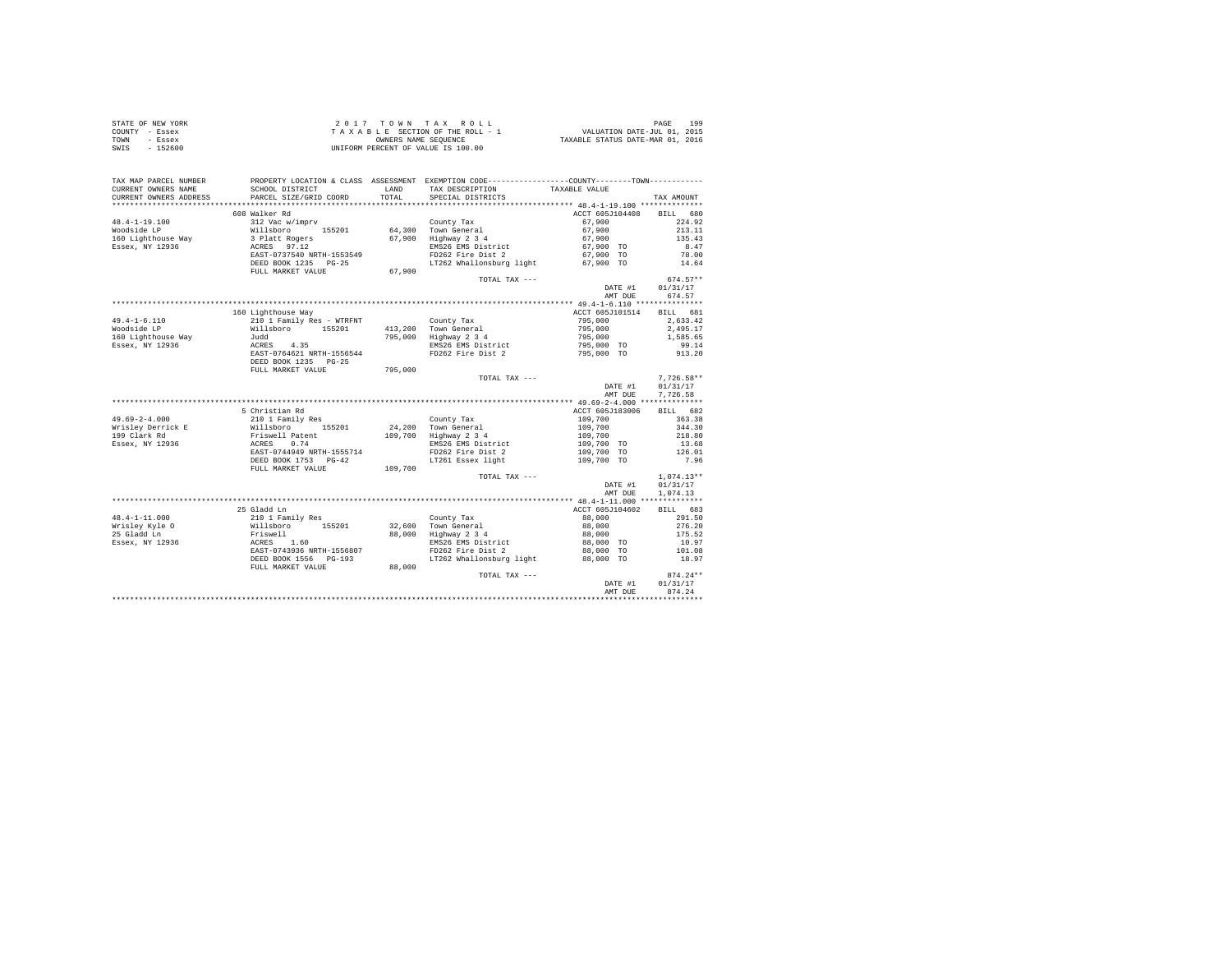|                | STATE OF NEW YORK |  |  |  | $2.017$ TOWN TAX ROLL              |  |  |  |  | 199<br>PAGE                      |
|----------------|-------------------|--|--|--|------------------------------------|--|--|--|--|----------------------------------|
| COUNTY - Essex |                   |  |  |  | TAXABLE SECTION OF THE ROLL - 1    |  |  |  |  | VALUATION DATE-JUL 01, 2015      |
| TOWN           | - Essex           |  |  |  | OWNERS NAME SEOUENCE               |  |  |  |  | TAXABLE STATUS DATE-MAR 01, 2016 |
| SWIS           | - 152600          |  |  |  | UNIFORM PERCENT OF VALUE IS 100.00 |  |  |  |  |                                  |

| TAX MAP PARCEL NUMBER<br>CURRENT OWNERS NAME<br>CURRENT OWNERS ADDRESS | SCHOOL DISTRICT<br>PARCEL SIZE/GRID COORD                              | LAND<br>TOTAL | PROPERTY LOCATION & CLASS ASSESSMENT EXEMPTION CODE---------------COUNTY-------TOWN----------<br>TAX DESCRIPTION<br>SPECIAL DISTRICTS | TAXABLE VALUE                 | TAX AMOUNT                       |
|------------------------------------------------------------------------|------------------------------------------------------------------------|---------------|---------------------------------------------------------------------------------------------------------------------------------------|-------------------------------|----------------------------------|
|                                                                        |                                                                        |               |                                                                                                                                       |                               |                                  |
| $48.4 - 1 - 19.100$                                                    | 608 Walker Rd<br>312 Vac w/imprv                                       |               | County Tax                                                                                                                            | ACCT 605J104408<br>67,900     | 680<br>BILL<br>224.92            |
| Woodside LP<br>160 Lighthouse Way<br>Essex, NY 12936                   | Willsboro 155201<br>3 Platt Rogers<br>ACRES 97.12                      |               | 64.300 Town General<br>67,900 Highway 2 3 4<br>EMS26 EMS District                                                                     | 67,900<br>67,900<br>67,900 TO | 213.11<br>135.43<br>8.47         |
|                                                                        | EAST-0737540 NRTH-1553549<br>DEED BOOK 1235 PG-25<br>FULL MARKET VALUE | 67,900        | FD262 Fire Dist 2<br>LT262 Whallonsburg light                                                                                         | 67,900 TO<br>67,900 TO        | 78.00<br>14.64                   |
|                                                                        |                                                                        |               | TOTAL TAX ---                                                                                                                         | DATE #1<br>AMT DUE            | $674.57**$<br>01/31/17<br>674.57 |
|                                                                        |                                                                        |               |                                                                                                                                       |                               |                                  |
|                                                                        | 160 Lighthouse Way                                                     |               |                                                                                                                                       | ACCT 605J101514               | BILL 681                         |
| $49.4 - 1 - 6.110$<br>Woodside LP                                      | 210 1 Family Res - WTRFNT<br>Willsboro 155201                          |               | County Tax<br>413,200 Town General                                                                                                    | 795,000<br>795,000            | 2.633.42<br>2,495.17             |
| 160 Lighthouse Way                                                     | Judd                                                                   |               | 795,000 Highway 2 3 4                                                                                                                 | 795,000                       | 1,585.65                         |
| Essex, NY 12936                                                        | ACRES 4.35                                                             |               | EMS26 EMS District                                                                                                                    | 795,000 TO                    | 99.14                            |
|                                                                        | EAST-0764621 NRTH-1556544<br>DEED BOOK 1235 PG-25                      |               | FD262 Fire Dist 2                                                                                                                     | 795,000 TO                    | 913.20                           |
|                                                                        | FULL MARKET VALUE                                                      | 795,000       |                                                                                                                                       |                               |                                  |
|                                                                        |                                                                        |               | TOTAL TAX ---                                                                                                                         | DATE #1                       | $7.726.58**$<br>01/31/17         |
|                                                                        |                                                                        |               |                                                                                                                                       | AMT DUE                       | 7,726.58                         |
|                                                                        |                                                                        |               |                                                                                                                                       |                               |                                  |
|                                                                        | 5 Christian Rd                                                         |               |                                                                                                                                       | ACCT 605J183006               | BILL 682                         |
| $49.69 - 2 - 4.000$                                                    | 210 1 Family Res                                                       |               | County Tax                                                                                                                            | 109,700                       | 363.38                           |
| Wrisley Derrick E                                                      | Willsboro<br>155201                                                    |               | 24,200 Town General                                                                                                                   | 109,700                       | 344.30                           |
| 199 Clark Rd                                                           | Friswell Patent                                                        |               | 109,700 Highway 2 3 4                                                                                                                 | 109,700                       | 218.80                           |
| Essex, NY 12936                                                        | ACRES 0.74<br>EAST-0744949 NRTH-1555714                                |               | EMS26 EMS District<br>FD262 Fire Dist 2                                                                                               | 109,700 TO<br>109,700 TO      | 13.68<br>126.01                  |
|                                                                        | DEED BOOK 1753 PG-42                                                   |               | LT261 Essex light                                                                                                                     | 109,700 TO                    | 7.96                             |
|                                                                        | FULL MARKET VALUE                                                      | 109,700       |                                                                                                                                       |                               |                                  |
|                                                                        |                                                                        |               | TOTAL TAX ---                                                                                                                         | DATE #1                       | $1.074.13**$<br>01/31/17         |
|                                                                        |                                                                        |               |                                                                                                                                       | AMT DUE                       | 1,074.13                         |
|                                                                        | 25 Gladd Ln                                                            |               |                                                                                                                                       | ACCT 605J104602               | BILL 683                         |
| $48.4 - 1 - 11.000$                                                    | 210 1 Family Res                                                       |               | County Tax                                                                                                                            | 88,000                        | 291.50                           |
| Wrisley Kyle O                                                         | Willsboro 155201                                                       |               | 32,600 Town General                                                                                                                   | 88,000                        | 276.20                           |
| 25 Gladd Ln                                                            | Friswell                                                               |               | 88,000 Highway 2 3 4                                                                                                                  | 88,000                        | 175.52                           |
| Essex, NY 12936                                                        | ACRES 1.60                                                             |               | EMS26 EMS District                                                                                                                    | 88,000 TO                     | 10.97                            |
|                                                                        | EAST-0743936 NRTH-1556807                                              |               | FD262 Fire Dist 2                                                                                                                     | 88,000 TO                     | 101.08                           |
|                                                                        | DEED BOOK 1556 PG-193<br>FULL MARKET VALUE                             | 88,000        | LT262 Whallonsburg light                                                                                                              | 88,000 TO                     | 18.97                            |
|                                                                        |                                                                        |               | TOTAL TAX ---                                                                                                                         | DATE #1                       | $874.24**$<br>01/31/17           |
|                                                                        |                                                                        |               |                                                                                                                                       | AMT DUE                       | 874.24                           |
|                                                                        |                                                                        |               |                                                                                                                                       |                               |                                  |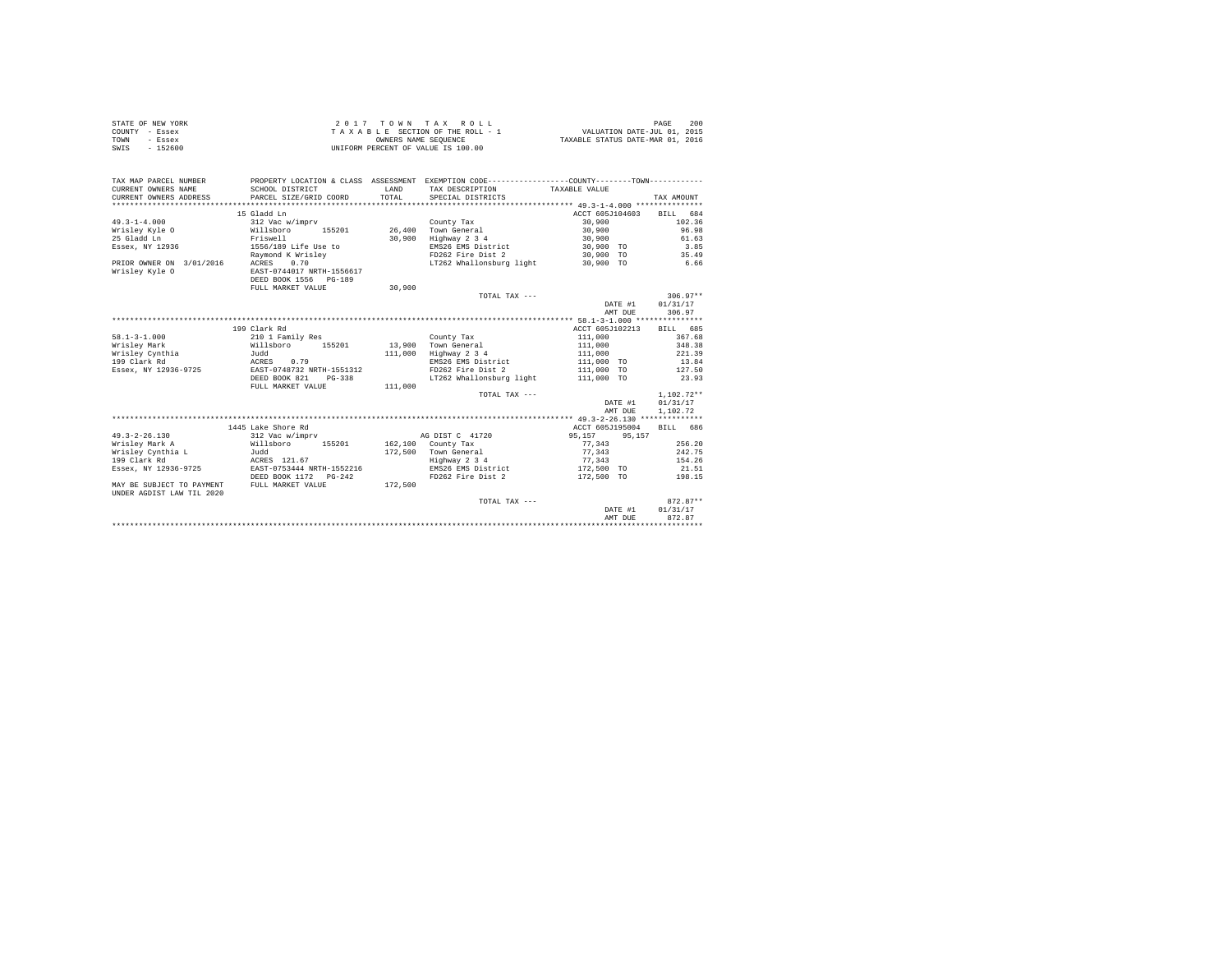| STATE OF NEW YORK | $2.0.1.7$ TOWN TAX ROLL            | 200<br>PAGE                      |
|-------------------|------------------------------------|----------------------------------|
| COUNTY - Essex    | TAXABLE SECTION OF THE ROLL - 1    | VALUATION DATE-JUL 01, 2015      |
| TOWN<br>- Essex   | OWNERS NAME SEOUENCE               | TAXABLE STATUS DATE-MAR 01, 2016 |
| $-152600$<br>SWIS | UNIFORM PERCENT OF VALUE IS 100.00 |                                  |

| TAX MAP PARCEL NUMBER<br>CURRENT OWNERS NAME<br>CURRENT OWNERS ADDRESS | SCHOOL DISTRICT<br>PARCEL SIZE/GRID COORD | T.AND<br>TOTAL. | PROPERTY LOCATION & CLASS ASSESSMENT EXEMPTION CODE----------------COUNTY--------TOWN----------<br>TAX DESCRIPTION<br>SPECIAL DISTRICTS | TAXABLE VALUE   | TAX AMOUNT               |
|------------------------------------------------------------------------|-------------------------------------------|-----------------|-----------------------------------------------------------------------------------------------------------------------------------------|-----------------|--------------------------|
|                                                                        |                                           |                 |                                                                                                                                         |                 |                          |
|                                                                        | 15 Gladd Ln                               |                 |                                                                                                                                         |                 | ACCT 605J104603 BILL 684 |
| $49.3 - 1 - 4.000$                                                     | 312 Vac w/imprv                           |                 | County Tax                                                                                                                              | 30,900          | 102.36                   |
| Wrisley Kyle O                                                         | Willsboro 155201                          |                 | 26,400 Town General                                                                                                                     | 30,900          | 96.98                    |
| 25 Gladd Ln                                                            | Friswell                                  | 30,900          | Highway 2 3 4                                                                                                                           | 30,900          | 61.63                    |
| Essex, NY 12936                                                        | 1556/189 Life Use to                      |                 | EMS26 EMS District                                                                                                                      | 30,900 TO       | 3.85                     |
|                                                                        | Raymond K Wrisley                         |                 | FD262 Fire Dist 2                                                                                                                       | 30,900 TO       | 35.49                    |
| PRIOR OWNER ON 3/01/2016                                               | 0.70<br>ACRES                             |                 | LT262 Whallonsburg light 30.900 TO                                                                                                      |                 | 6.66                     |
| Wrisley Kyle O                                                         | EAST-0744017 NRTH-1556617                 |                 |                                                                                                                                         |                 |                          |
|                                                                        | DEED BOOK 1556 PG-189                     |                 |                                                                                                                                         |                 |                          |
|                                                                        | FULL MARKET VALUE                         | 30,900          |                                                                                                                                         |                 |                          |
|                                                                        |                                           |                 | TOTAL TAX ---                                                                                                                           |                 | $306.97**$               |
|                                                                        |                                           |                 |                                                                                                                                         | DATE #1         | 01/31/17                 |
|                                                                        |                                           |                 |                                                                                                                                         | AMT DUE         | 306.97                   |
|                                                                        |                                           |                 |                                                                                                                                         |                 |                          |
|                                                                        | 199 Clark Rd                              |                 |                                                                                                                                         | ACCT 605J102213 | <b>BILL</b> 685          |
| $58.1 - 3 - 1.000$                                                     | 210 1 Family Res                          |                 | County Tax                                                                                                                              | 111,000         | 367.68                   |
| Wrislev Mark                                                           | Willsboro 155201                          |                 | 13,900 Town General                                                                                                                     | 111,000         | 348.38                   |
| Wrisley Cynthia                                                        | Judd                                      | 111,000         | Highway 2 3 4                                                                                                                           | 111,000         | 221.39                   |
| 199 Clark Rd                                                           | ACRES<br>0.79                             |                 | EMS26 EMS District                                                                                                                      | 111,000 TO      | 13.84                    |
| Essex, NY 12936-9725                                                   | EAST-0748732 NRTH-1551312                 |                 | FD262 Fire Dist 2                                                                                                                       | 111,000 TO      | 127.50                   |
|                                                                        | DEED BOOK 821<br>$PG-338$                 |                 | LT262 Whallonsburg light                                                                                                                | 111,000 TO      | 23.93                    |
|                                                                        | FULL MARKET VALUE                         | 111,000         |                                                                                                                                         |                 |                          |
|                                                                        |                                           |                 | TOTAL TAX ---                                                                                                                           |                 | $1,102.72**$             |
|                                                                        |                                           |                 |                                                                                                                                         | DATE #1         | 01/31/17                 |
|                                                                        |                                           |                 |                                                                                                                                         | AMT DUE         | 1,102.72                 |
|                                                                        |                                           |                 |                                                                                                                                         |                 |                          |
|                                                                        | 1445 Lake Shore Rd                        |                 |                                                                                                                                         | ACCT 605J195004 | BTLL 686                 |
| $49.3 - 2 - 26.130$                                                    | 312 Vac w/imprv                           |                 | AG DIST C 41720                                                                                                                         | 95.157          | 95,157                   |
| Wrisley Mark A                                                         | Willsboro 155201                          |                 | $162.100$ County Tax                                                                                                                    | 77.343          | 256.20                   |
| Wrisley Cynthia L                                                      | Judd                                      |                 | 172.500 Town General                                                                                                                    | 77,343          | 242.75                   |
| 199 Clark Rd                                                           | ACRES 121.67                              |                 | Highway 2 3 4                                                                                                                           | 77.343          | 154.26                   |
| Essex, NY 12936-9725                                                   | EAST-0753444 NRTH-1552216                 |                 | EMS26 EMS District                                                                                                                      | 172,500 TO      | 21.51                    |
|                                                                        |                                           |                 | FD262 Fire Dist 2                                                                                                                       | 172,500 TO      | 198.15                   |
| MAY BE SUBJECT TO PAYMENT                                              | FULL MARKET VALUE                         | 172,500         |                                                                                                                                         |                 |                          |
| UNDER AGDIST LAW TIL 2020                                              |                                           |                 |                                                                                                                                         |                 |                          |
|                                                                        |                                           |                 | TOTAL TAX ---                                                                                                                           |                 | $872.87**$               |
|                                                                        |                                           |                 |                                                                                                                                         | DATE #1         | 01/31/17                 |
|                                                                        |                                           |                 |                                                                                                                                         | AMT DUE         | 872.87                   |
|                                                                        |                                           |                 |                                                                                                                                         |                 |                          |
|                                                                        |                                           |                 |                                                                                                                                         |                 |                          |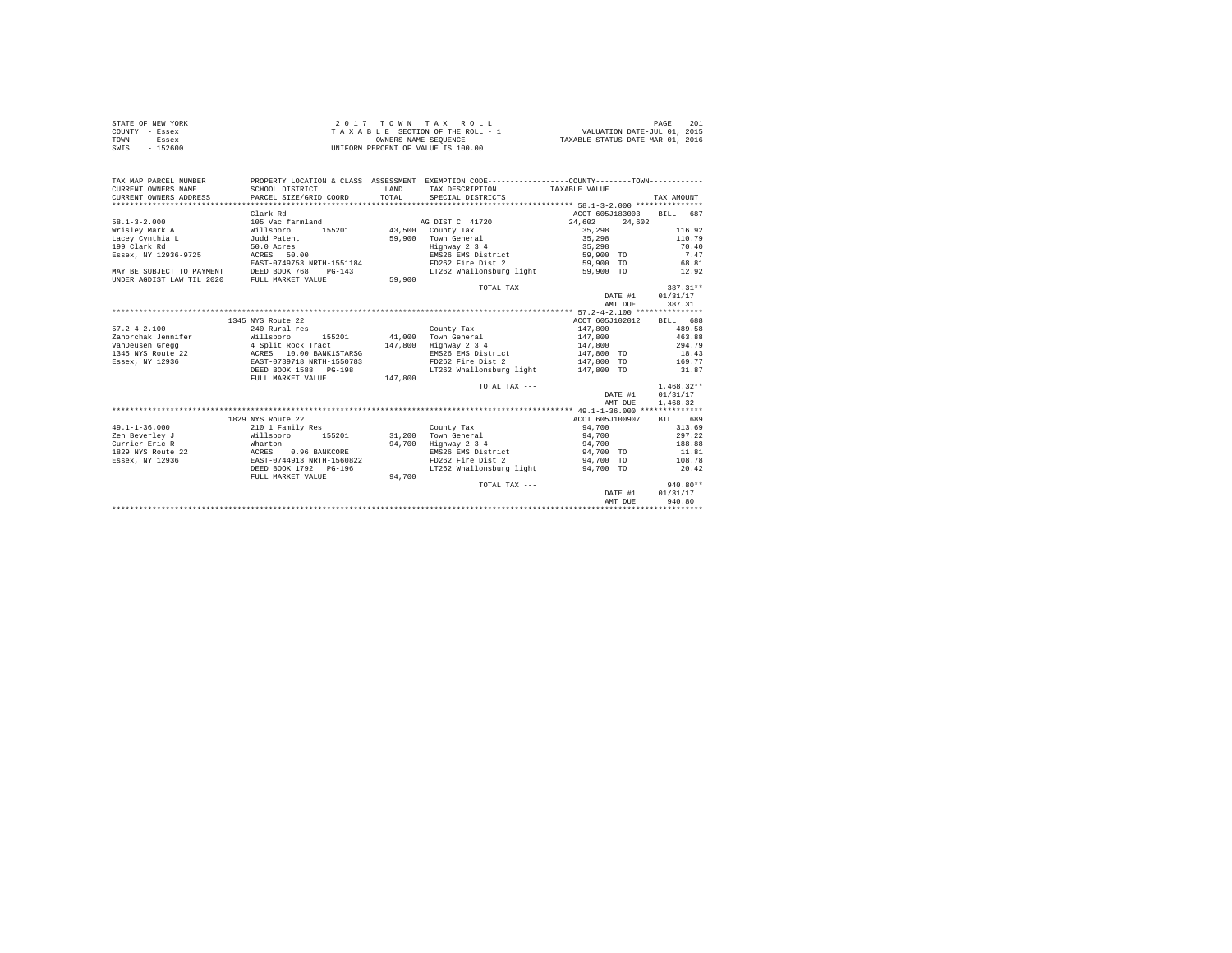| STATE OF NEW YORK | 2017 TOWN TAX ROLL                 | 201<br>PAGE                      |
|-------------------|------------------------------------|----------------------------------|
| COUNTY - Essex    | TAXABLE SECTION OF THE ROLL - 1    | VALUATION DATE-JUL 01, 2015      |
| TOWN<br>- Essex   | OWNERS NAME SEOUENCE               | TAXABLE STATUS DATE-MAR 01, 2016 |
| - 152600<br>SWIS  | UNIFORM PERCENT OF VALUE IS 100.00 |                                  |

| TAX MAP PARCEL NUMBER<br>CURRENT OWNERS NAME | PROPERTY LOCATION & CLASS ASSESSMENT EXEMPTION CODE----------------COUNTY--------TOWN----------<br>SCHOOL DISTRICT | LAND    | TAX DESCRIPTION TAXABLE VALUE       |                    |              |
|----------------------------------------------|--------------------------------------------------------------------------------------------------------------------|---------|-------------------------------------|--------------------|--------------|
| CURRENT OWNERS ADDRESS                       | PARCEL SIZE/GRID COORD                                                                                             | TOTAL   | SPECIAL DISTRICTS                   |                    | TAX AMOUNT   |
|                                              |                                                                                                                    |         |                                     |                    |              |
|                                              | Clark Rd                                                                                                           |         |                                     | ACCT 605J183003    | BILL 687     |
| $58.1 - 3 - 2.000$                           | 105 Vac farmland                                                                                                   |         | AG DIST C 41720                     | 24,602<br>24,602   |              |
| Wrislev Mark A                               | 155201<br>Willsboro                                                                                                |         | 43,500 County Tax                   | 35,298             | 116.92       |
| Lacev Cynthia L                              | Judd Patent                                                                                                        |         | 59.900 Town General                 | 35,298             | 110.79       |
| 199 Clark Rd                                 | 50.0 Acres                                                                                                         |         | Highway 2 3 4                       | 35,298             | 70.40        |
| Essex, NY 12936-9725                         | ACRES 50.00                                                                                                        |         | EMS26 EMS District                  | 59,900 TO          | 7.47         |
|                                              | EAST-0749753 NRTH-1551184                                                                                          |         | FD262 Fire Dist 2                   | 59,900 TO          | 68.81        |
| MAY BE SUBJECT TO PAYMENT                    | DEED BOOK 768<br>$PG-143$                                                                                          |         | LT262 Whallonsburg light            | 59,900 TO          | 12.92        |
| UNDER AGDIST LAW TIL 2020                    | FULL MARKET VALUE                                                                                                  | 59,900  |                                     |                    |              |
|                                              |                                                                                                                    |         | TOTAL TAX $---$                     |                    | 387.31**     |
|                                              |                                                                                                                    |         |                                     | DATE #1            | 01/31/17     |
|                                              |                                                                                                                    |         |                                     | AMT DUE            | 387.31       |
|                                              |                                                                                                                    |         |                                     |                    |              |
|                                              | 1345 NYS Route 22                                                                                                  |         |                                     | ACCT 605J102012    | BILL 688     |
| $57.2 - 4 - 2.100$                           | 240 Rural res                                                                                                      |         | County Tax                          | 147,800            | 489.58       |
|                                              |                                                                                                                    |         | 41.000 Town General                 | 147.800            | 463.88       |
|                                              |                                                                                                                    | 147.800 | Highway 2 3 4                       | 147.800            | 294.79       |
|                                              |                                                                                                                    |         | EMS26 EMS District                  | 147,800 TO         | 18.43        |
| Essex, NY 12936                              | EAST-0739718 NRTH-1550783                                                                                          |         | FD262 Fire Dist 2                   | 147,800 TO         | 169.77       |
|                                              | DEED BOOK 1588    PG-198                                                                                           |         | LT262 Whallonsburg light 147,800 TO |                    | 31.87        |
|                                              | FULL MARKET VALUE                                                                                                  | 147,800 |                                     |                    |              |
|                                              |                                                                                                                    |         | TOTAL TAX ---                       |                    | $1,468.32**$ |
|                                              |                                                                                                                    |         |                                     | DATE #1            | 01/31/17     |
|                                              |                                                                                                                    |         |                                     | AMT DUE            | 1,468.32     |
|                                              |                                                                                                                    |         |                                     |                    |              |
|                                              | 1829 NYS Route 22                                                                                                  |         |                                     | ACCT 605J100907    | BILL 689     |
| $49.1 - 1 - 36.000$                          | 210 1 Family Res                                                                                                   |         | County Tax                          | 94,700             | 313.69       |
| Zeh Beverley J                               | Willsboro 155201                                                                                                   |         | 31,200 Town General                 | 94,700             | 297.22       |
| Wharton<br>Currier Eric R                    |                                                                                                                    | 94,700  | Highway 2 3 4                       | 94,700             | 188.88       |
| <b>ACRES</b><br>1829 NYS Route 22            | 0.96 BANKCORE                                                                                                      |         | EMS26 EMS District 94,700 TO        |                    | 11.81        |
| Essex, NY 12936                              | EAST-0744913 NRTH-1560822                                                                                          |         | FD262 Fire Dist 2                   | 94,700 TO          | 108.78       |
|                                              | DEED BOOK 1792 PG-196                                                                                              |         | LT262 Whallonsburg light            | 94,700 TO          | 20.42        |
|                                              |                                                                                                                    | 94,700  |                                     |                    |              |
|                                              | FULL MARKET VALUE                                                                                                  |         | TOTAL TAX ---                       |                    | $940.80**$   |
|                                              |                                                                                                                    |         |                                     |                    | 01/31/17     |
|                                              |                                                                                                                    |         |                                     | DATE #1<br>AMT DUE | 940.80       |
|                                              |                                                                                                                    |         |                                     |                    |              |
|                                              |                                                                                                                    |         |                                     |                    |              |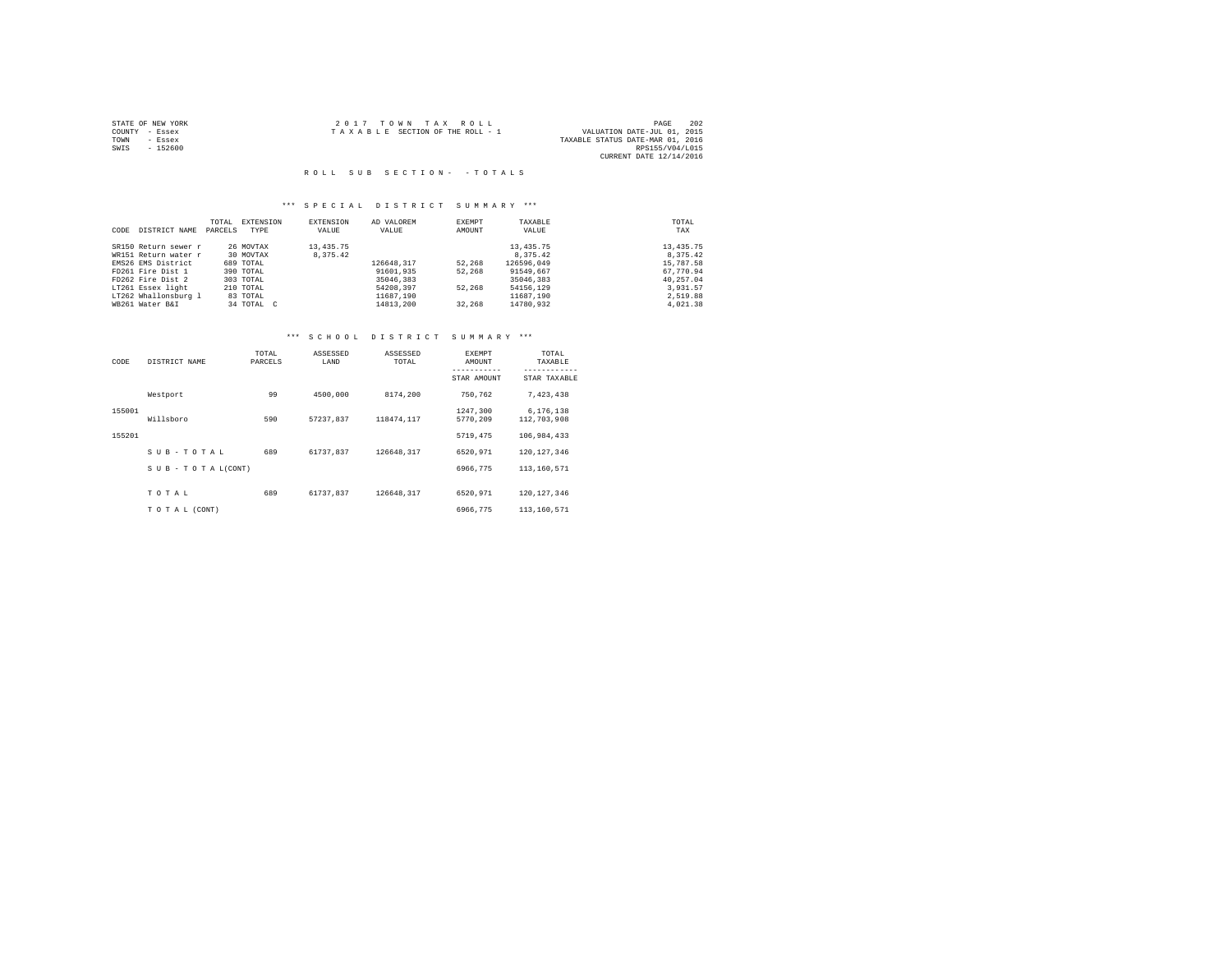|                | STATE OF NEW YORK | 2017 TOWN TAX ROLL                                             | 202<br>PAGE             |
|----------------|-------------------|----------------------------------------------------------------|-------------------------|
| COUNTY - Essex |                   | VALUATION DATE-JUL 01, 2015<br>TAXABLE SECTION OF THE ROLL - 1 |                         |
| TOWN           | - Essex           | TAXABLE STATUS DATE-MAR 01, 2016                               |                         |
| SWIS           | $-152600$         |                                                                | RPS155/V04/L015         |
|                |                   |                                                                | CURRENT DATE 12/14/2016 |

#### R O L L S U B S E C T I O N - - T O T A L S

## \*\*\* S P E C I A L D I S T R I C T S U M M A R Y \*\*\*

|      |                      | TOTAL   | EXTENSION  | <b>EXTENSION</b> | AD VALOREM | EXEMPT | TAXABLE     | TOTAL      |
|------|----------------------|---------|------------|------------------|------------|--------|-------------|------------|
| CODE | DISTRICT NAME        | PARCELS | TYPE       | VALUE            | VALUE      | AMOUNT | VALUE       | TAX        |
|      | SR150 Return sewer r |         | 26 MOVTAX  | 13,435.75        |            |        | 13, 435, 75 | 13, 435.75 |
|      | WR151 Return water r |         | 30 MOVTAX  | 8.375.42         |            |        | 8,375.42    | 8.375.42   |
|      | EMS26 EMS District   |         | 689 TOTAL  |                  | 126648.317 | 52,268 | 126596.049  | 15,787.58  |
|      | FD261 Fire Dist 1    |         | 390 TOTAL  |                  | 91601.935  | 52,268 | 91549.667   | 67.770.94  |
|      | FD262 Fire Dist 2    |         | 303 TOTAL  |                  | 35046,383  |        | 35046,383   | 40.257.04  |
|      | LT261 Essex light    |         | 210 TOTAL  |                  | 54208,397  | 52,268 | 54156.129   | 3,931.57   |
|      | LT262 Whallonsburg 1 |         | 83 TOTAL   |                  | 11687.190  |        | 11687.190   | 2.519.88   |
|      | WB261 Water B&I      |         | 34 TOTAL C |                  | 14813.200  | 32,268 | 14780.932   | 4.021.38   |

# \*\*\* S C H O O L D I S T R I C T S U M M A R Y \*\*\*

| CODE   | DISTRICT NAME      | TOTAL<br>PARCELS | ASSESSED<br>LAND | ASSESSED<br>TOTAL | <b>EXEMPT</b><br>AMOUNT<br>----------- | TOTAL<br>TAXABLE<br>------------ |
|--------|--------------------|------------------|------------------|-------------------|----------------------------------------|----------------------------------|
|        |                    |                  |                  |                   | STAR AMOUNT                            | STAR TAXABLE                     |
|        | Westport           | 99               | 4500,000         | 8174,200          | 750.762                                | 7,423,438                        |
| 155001 |                    |                  |                  |                   | 1247.300                               | 6,176,138                        |
|        | Willsboro          | 590              | 57237.837        | 118474.117        | 5770.209                               | 112,703,908                      |
| 155201 |                    |                  |                  |                   | 5719,475                               | 106,984,433                      |
|        | SUB-TOTAL          | 689              | 61737.837        | 126648.317        | 6520.971                               | 120.127.346                      |
|        | SUB - TO TAL(CONT) |                  |                  |                   | 6966.775                               | 113,160,571                      |
|        |                    |                  |                  |                   |                                        |                                  |
|        | TOTAL              | 689              | 61737.837        | 126648,317        | 6520.971                               | 120.127.346                      |
|        | TO TAL (CONT)      |                  |                  |                   | 6966,775                               | 113,160,571                      |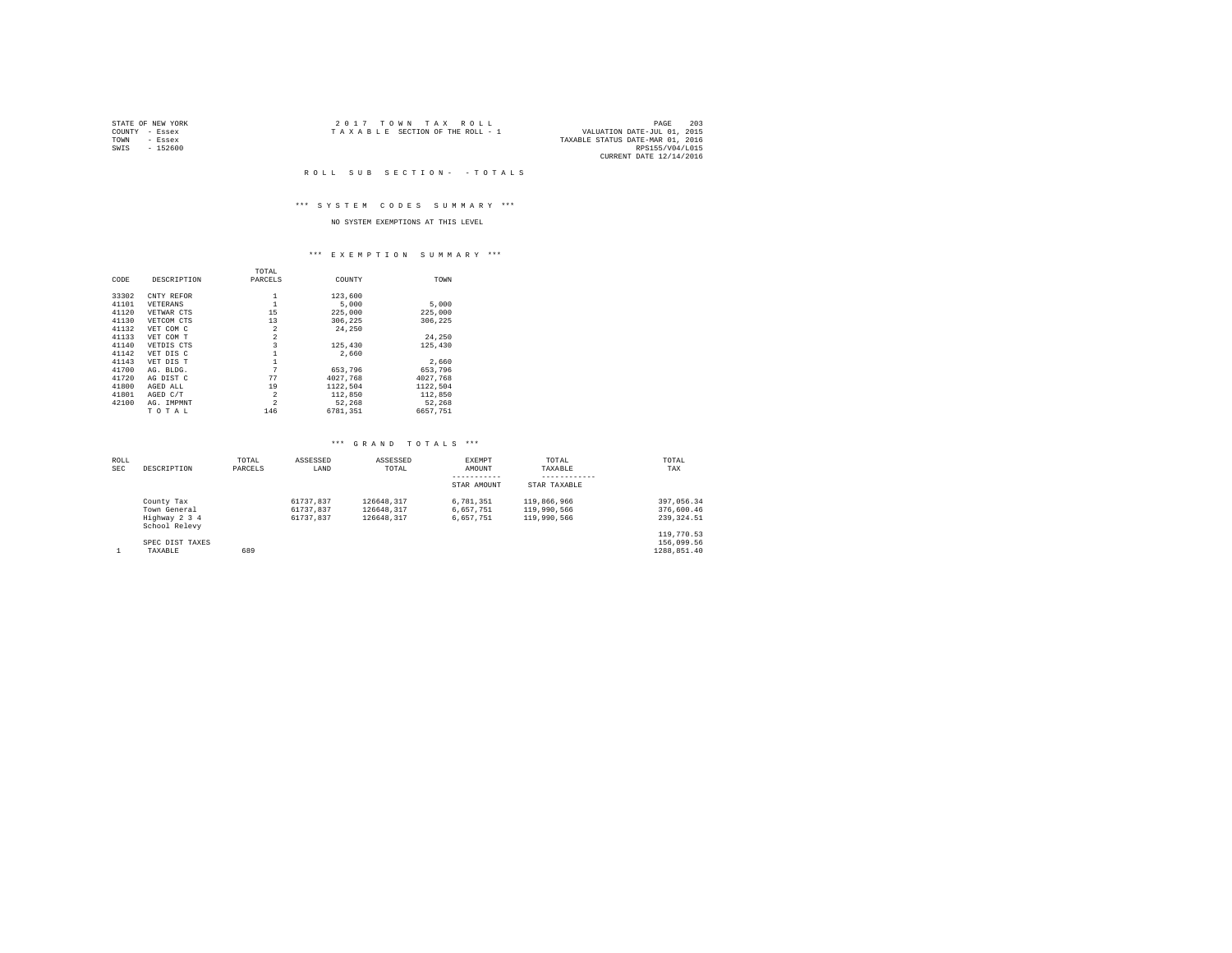| STATE OF NEW YORK | 2017 TOWN TAX ROLL              | 203<br>PAGE                      |
|-------------------|---------------------------------|----------------------------------|
| COUNTY - Essex    | TAXABLE SECTION OF THE ROLL - 1 | VALUATION DATE-JUL 01, 2015      |
| TOWN<br>- Essex   |                                 | TAXABLE STATUS DATE-MAR 01, 2016 |
| $-152600$<br>SWIS |                                 | RPS155/V04/L015                  |
|                   |                                 | CURRENT DATE 12/14/2016          |

R O L L S U B S E C T I O N - - T O T A L S

## \*\*\* S Y S T E M C O D E S S U M M A R Y \*\*\*

## NO SYSTEM EXEMPTIONS AT THIS LEVEL

#### \*\*\* E X E M P T I O N S U M M A R Y \*\*\*

|       |             | TOTAL          |          |          |  |
|-------|-------------|----------------|----------|----------|--|
| CODE  | DESCRIPTION | PARCELS        | COUNTY   | TOWN     |  |
| 33302 | CNTY REFOR  | 1              | 123,600  |          |  |
| 41101 | VETERANS    | 1              | 5,000    | 5,000    |  |
| 41120 | VETWAR CTS  | 15             | 225,000  | 225,000  |  |
| 41130 | VETCOM CTS  | 13             | 306,225  | 306,225  |  |
| 41132 | VET COM C   | $\overline{2}$ | 24,250   |          |  |
| 41133 | VET COM T   | $\overline{2}$ |          | 24.250   |  |
| 41140 | VETDIS CTS  | 3              | 125,430  | 125,430  |  |
| 41142 | VET DIS C   | 1              | 2,660    |          |  |
| 41143 | VET DIS T   | 1              |          | 2,660    |  |
| 41700 | AG. BLDG.   | 7              | 653,796  | 653,796  |  |
| 41720 | AG DIST C   | 77             | 4027.768 | 4027.768 |  |
| 41800 | AGED ALL    | 19             | 1122.504 | 1122.504 |  |
| 41801 | AGED C/T    | 2              | 112,850  | 112,850  |  |
| 42100 | AG. IMPMNT  | $\overline{2}$ | 52.268   | 52.268   |  |
|       | TOTAL       | 146            | 6781.351 | 6657.751 |  |

## \*\*\* G R A N D T O T A L S \*\*\*

| ROLL<br>SEC | DESCRIPTION                    | TOTAL<br>PARCELS | ASSESSED<br>LAND | ASSESSED<br>TOTAL | EXEMPT<br>AMOUNT<br>----------- | TOTAL<br>TAXABLE<br>------------ | TOTAL<br>TAX |
|-------------|--------------------------------|------------------|------------------|-------------------|---------------------------------|----------------------------------|--------------|
|             |                                |                  |                  |                   | STAR AMOUNT                     | STAR TAXABLE                     |              |
|             | County Tax                     |                  | 61737.837        | 126648.317        | 6.781.351                       | 119,866,966                      | 397.056.34   |
|             | Town General                   |                  | 61737.837        | 126648.317        | 6.657.751                       | 119,990,566                      | 376,600.46   |
|             | Highway 2 3 4<br>School Relevy |                  | 61737.837        | 126648.317        | 6.657.751                       | 119,990,566                      | 239, 324.51  |
|             |                                |                  |                  |                   |                                 |                                  | 119,770.53   |
|             | SPEC DIST TAXES                |                  |                  |                   |                                 |                                  | 156,099.56   |
|             | TAXABLE                        | 689              |                  |                   |                                 |                                  | 1288.851.40  |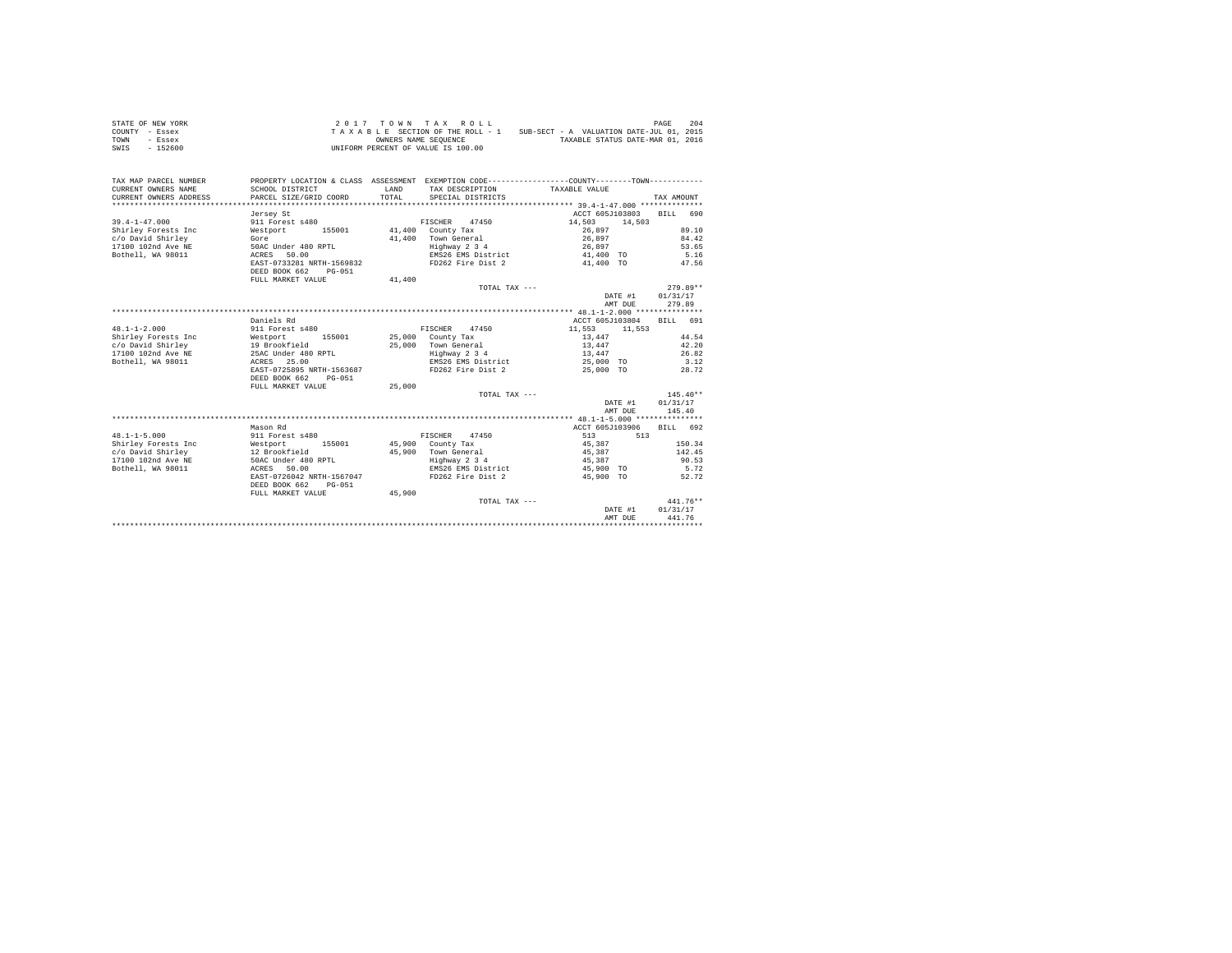| STATE OF NEW YORK | 2017 TOWN TAX ROLL                 | 204<br>PAGE                              |
|-------------------|------------------------------------|------------------------------------------|
| COUNTY - Essex    | TAXABLE SECTION OF THE ROLL - 1    | SUB-SECT - A VALUATION DATE-JUL 01, 2015 |
| TOWN<br>- Essex   | OWNERS NAME SEOUENCE               | TAXABLE STATUS DATE-MAR 01, 2016         |
| $-152600$<br>SWIS | UNIFORM PERCENT OF VALUE IS 100.00 |                                          |

| TAX MAP PARCEL NUMBER<br>CURRENT OWNERS NAME<br>CURRENT OWNERS ADDRESS | PROPERTY LOCATION & CLASS ASSESSMENT EXEMPTION CODE----------------COUNTY--------TOWN----------<br>SCHOOL DISTRICT<br>PARCEL SIZE/GRID COORD | LAND<br>TOTAL. | TAX DESCRIPTION TAXABLE VALUE<br>SPECIAL DISTRICTS |                 |         | TAX AMOUNT |            |
|------------------------------------------------------------------------|----------------------------------------------------------------------------------------------------------------------------------------------|----------------|----------------------------------------------------|-----------------|---------|------------|------------|
|                                                                        | Jersey St                                                                                                                                    |                |                                                    | ACCT 605J103803 |         | BTLL 690   |            |
| $39.4 - 1 - 47.000$                                                    | 911 Forest s480                                                                                                                              |                | FISCHER 47450                                      | 14,503          | 14,503  |            |            |
| Shirley Forests Inc                                                    | 155001<br>Westport                                                                                                                           |                | 41,400 County Tax                                  | 26,897          |         |            | 89.10      |
| c/o David Shirley                                                      | Gore                                                                                                                                         |                | 41.400 Town General                                | 26,897          |         |            | 84.42      |
| 17100 102nd Ave NE                                                     | 50AC Under 480 RPTL                                                                                                                          |                | Highway 2 3 4                                      | 26,897          |         |            | 53.65      |
| Bothell, WA 98011                                                      | ACRES 50.00                                                                                                                                  |                | EMS26 EMS District                                 | 41,400 TO       |         |            | 5.16       |
|                                                                        | EAST-0733281 NRTH-1569832<br>DEED BOOK 662<br>$PG-051$                                                                                       |                | FD262 Fire Dist 2                                  | 41,400 TO       |         |            | 47.56      |
|                                                                        | FULL MARKET VALUE                                                                                                                            | 41,400         |                                                    |                 |         |            |            |
|                                                                        |                                                                                                                                              |                | TOTAL TAX ---                                      |                 |         |            | $279.89**$ |
|                                                                        |                                                                                                                                              |                |                                                    |                 | DATE #1 | 01/31/17   |            |
|                                                                        |                                                                                                                                              |                |                                                    |                 | AMT DUE |            | 279.89     |
|                                                                        |                                                                                                                                              |                |                                                    |                 |         |            |            |
|                                                                        | Daniels Rd                                                                                                                                   |                |                                                    | ACCT 605J103804 |         | BILL 691   |            |
| $48.1 - 1 - 2.000$                                                     | 911 Forest s480                                                                                                                              |                | FISCHER 47450                                      | 11,553          | 11,553  |            |            |
| Shirley Forests Inc                                                    | Westport 155001 25,000 County Tax                                                                                                            |                |                                                    | 13,447          |         |            | 44.54      |
|                                                                        |                                                                                                                                              |                | 25,000 Town General                                | 13,447          |         |            | 42.20      |
| c/o David Shirley<br>17100 102nd Ave NE 25AC Under 480 RPTL            |                                                                                                                                              |                | Highway 2 3 4                                      | 13,447          |         |            | 26.82      |
| ACRES<br>Bothell, WA 98011                                             | 25.00                                                                                                                                        |                | EMS26 EMS District                                 | 25,000 TO       |         |            | 3.12       |
|                                                                        | EAST-0725895 NRTH-1563687                                                                                                                    |                | FD262 Fire Dist 2                                  | 25,000 TO       |         |            | 28.72      |
|                                                                        | DEED BOOK 662<br>$PG-0.51$                                                                                                                   |                |                                                    |                 |         |            |            |
|                                                                        | FULL MARKET VALUE                                                                                                                            | 25,000         |                                                    |                 |         |            |            |
|                                                                        |                                                                                                                                              |                | TOTAL TAX ---                                      |                 |         |            | $145.40**$ |
|                                                                        |                                                                                                                                              |                |                                                    |                 | DATE #1 | 01/31/17   |            |
|                                                                        |                                                                                                                                              |                |                                                    |                 | AMT DUE |            | 145.40     |
|                                                                        |                                                                                                                                              |                |                                                    |                 |         |            |            |
|                                                                        | Mason Rd                                                                                                                                     |                |                                                    | ACCT 605J103906 |         | BTLL 692   |            |
| $48.1 - 1 - 5.000$                                                     | 911 Forest s480                                                                                                                              |                | FISCHER 47450                                      | 513             | 513     |            |            |
| Shirley Forests Inc                                                    | Westport<br>155001                                                                                                                           |                | 45,900 County Tax                                  | 45,387          |         |            | 150.34     |
| c/o David Shirley                                                      | 12 Brookfield                                                                                                                                |                | 45.900 Town General                                | 45,387          |         |            | 142.45     |
| 17100 102nd Ave NE                                                     | 50AC Under 480 RPTL                                                                                                                          |                | Highway 2 3 4                                      | 45,387          |         |            | 90.53      |
| Bothell, WA 98011                                                      | ACRES 50.00                                                                                                                                  |                | EMS26 EMS District                                 | 45,900 TO       |         |            | 5.72       |
|                                                                        | EAST-0726042 NRTH-1567047<br>DEED BOOK 662                                                                                                   |                | FD262 Fire Dist 2                                  | 45,900 TO       |         |            | 52.72      |
|                                                                        | PG-051<br>FULL MARKET VALUE                                                                                                                  | 45,900         |                                                    |                 |         |            |            |
|                                                                        |                                                                                                                                              |                | TOTAL TAX ---                                      |                 |         |            | $441.76**$ |
|                                                                        |                                                                                                                                              |                |                                                    |                 | DATE #1 | 01/31/17   |            |
|                                                                        |                                                                                                                                              |                |                                                    |                 | AMT DUE |            | 441.76     |
|                                                                        |                                                                                                                                              |                |                                                    |                 |         |            |            |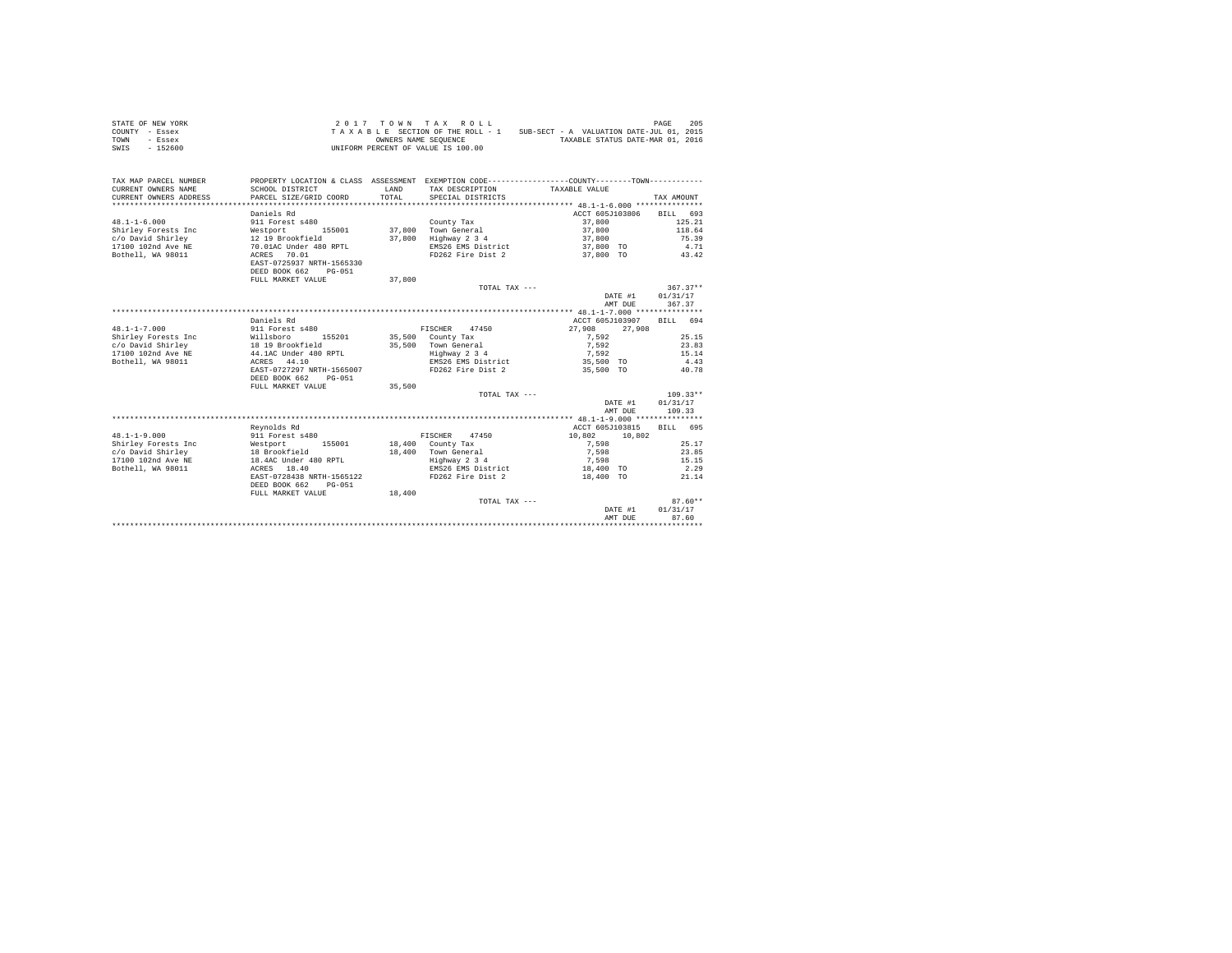| STATE OF NEW YORK | 2017 TOWN TAX ROLL                 | 205<br>PAGE                              |
|-------------------|------------------------------------|------------------------------------------|
| COUNTY - Essex    | TAXABLE SECTION OF THE ROLL - 1    | SUB-SECT - A VALUATION DATE-JUL 01, 2015 |
| TOWN<br>- Essex   | OWNERS NAME SEOUENCE               | TAXABLE STATUS DATE-MAR 01, 2016         |
| $-152600$<br>SWIS | UNIFORM PERCENT OF VALUE IS 100.00 |                                          |

| TAX MAP PARCEL NUMBER<br>CURRENT OWNERS NAME<br>CURRENT OWNERS ADDRESS<br>**************** | PROPERTY LOCATION & CLASS ASSESSMENT EXEMPTION CODE----------------COUNTY--------TOWN----------<br>SCHOOL DISTRICT<br>PARCEL SIZE/GRID COORD | LAND<br>TOTAL. | TAX DESCRIPTION TAXABLE VALUE<br>SPECIAL DISTRICTS |                    | TAX AMOUNT         |
|--------------------------------------------------------------------------------------------|----------------------------------------------------------------------------------------------------------------------------------------------|----------------|----------------------------------------------------|--------------------|--------------------|
|                                                                                            |                                                                                                                                              |                |                                                    |                    |                    |
|                                                                                            | Daniels Rd                                                                                                                                   |                |                                                    | ACCT 605J103806    | BILL 693           |
| $48.1 - 1 - 6.000$                                                                         | 911 Forest s480                                                                                                                              |                | County Tax                                         | 37,800             | 125.21             |
| Shirley Forests Inc                                                                        | Westport 155001<br>12 19 Brookfield                                                                                                          |                | 37.800 Town General                                | 37,800             | 118.64             |
| c/o David Shirley                                                                          |                                                                                                                                              |                | 37,800 Highway 2 3 4                               | 37,800             | 75.39              |
| 17100 102nd Ave NE                                                                         | 70.01AC Under 480 RPTL                                                                                                                       |                | EMS26 EMS District                                 | 37,800 TO          | 4.71               |
| Bothell, WA 98011                                                                          | ACRES 70.01<br>EAST-0725937 NRTH-1565330<br>DEED BOOK 662<br>PG-051                                                                          |                | FD262 Fire Dist 2                                  | 37,800 TO 43.42    |                    |
|                                                                                            | FULL MARKET VALUE                                                                                                                            | 37,800         |                                                    |                    |                    |
|                                                                                            |                                                                                                                                              |                | TOTAL TAX ---                                      |                    | $367.37**$         |
|                                                                                            |                                                                                                                                              |                |                                                    | DATE #1<br>AMT DUE | 01/31/17<br>367.37 |
|                                                                                            |                                                                                                                                              |                |                                                    |                    |                    |
|                                                                                            | Daniels Rd                                                                                                                                   |                |                                                    | ACCT 605J103907    | BILL 694           |
| $48.1 - 1 - 7.000$                                                                         | 911 Forest s480                                                                                                                              |                | FISCHER 47450                                      | 27,908<br>27,908   |                    |
| Shirley Forests Inc                                                                        | Willsboro<br>155201                                                                                                                          |                | 35,500 County Tax                                  | 7.592              | 25.15              |
|                                                                                            |                                                                                                                                              |                | 35,500 Town General                                | 7.592              | 23.83              |
| $\verb c/o\ David Shirley 18 19 Brookfield\\17100 102nd Ave NE 19 44.1AC Under 480 RPTL\\$ |                                                                                                                                              |                | Highway 2 3 4                                      | 7,592              | 15.14              |
| Bothell, WA 98011                                                                          | ACRES 44.10                                                                                                                                  |                | EMS26 EMS District                                 | 35,500 TO          | 4.43               |
|                                                                                            | EAST-0727297 NRTH-1565007                                                                                                                    |                | FD262 Fire Dist 2                                  | 35,500 TO          | 40.78              |
|                                                                                            | DEED BOOK 662<br>$PG-051$                                                                                                                    |                |                                                    |                    |                    |
|                                                                                            | FULL MARKET VALUE                                                                                                                            | 35,500         |                                                    |                    |                    |
|                                                                                            |                                                                                                                                              |                | TOTAL TAX ---                                      |                    | $109.33**$         |
|                                                                                            |                                                                                                                                              |                |                                                    | DATE #1            | 01/31/17           |
|                                                                                            |                                                                                                                                              |                |                                                    | AMT DUE            | 109.33             |
|                                                                                            |                                                                                                                                              |                |                                                    |                    |                    |
|                                                                                            | Revnolds Rd                                                                                                                                  |                |                                                    | ACCT 605J103815    | RTLL 695           |
| $48.1 - 1 - 9.000$                                                                         | 911 Forest s480                                                                                                                              |                | FISCHER 47450                                      | 10,802<br>10,802   |                    |
|                                                                                            | 155001                                                                                                                                       |                | 18,400 County Tax                                  | 7.598              | 25.17              |
|                                                                                            |                                                                                                                                              |                | 18,400 Town General                                | 7,598              | 23.85              |
| 17100 102nd Ave NE                                                                         | 18.4AC Under 480 RPTL                                                                                                                        |                | Highway 2 3 4                                      | 7,598              | 15.15              |
| Bothell, WA 98011                                                                          | ACRES 18.40                                                                                                                                  |                | EMS26 EMS District                                 | 18,400 TO          | 2.29               |
|                                                                                            | EAST-0728438 NRTH-1565122                                                                                                                    |                | FD262 Fire Dist 2                                  | 18,400 TO          | 21.14              |
|                                                                                            | DEED BOOK 662<br>$PG - 0.51$                                                                                                                 |                |                                                    |                    |                    |
|                                                                                            | FULL MARKET VALUE                                                                                                                            | 18,400         |                                                    |                    |                    |
|                                                                                            |                                                                                                                                              |                | TOTAL TAX ---                                      |                    | $87.60**$          |
|                                                                                            |                                                                                                                                              |                |                                                    | DATE #1            | 01/31/17           |
|                                                                                            |                                                                                                                                              |                |                                                    | AMT DUE            | 87.60              |
|                                                                                            |                                                                                                                                              |                |                                                    |                    |                    |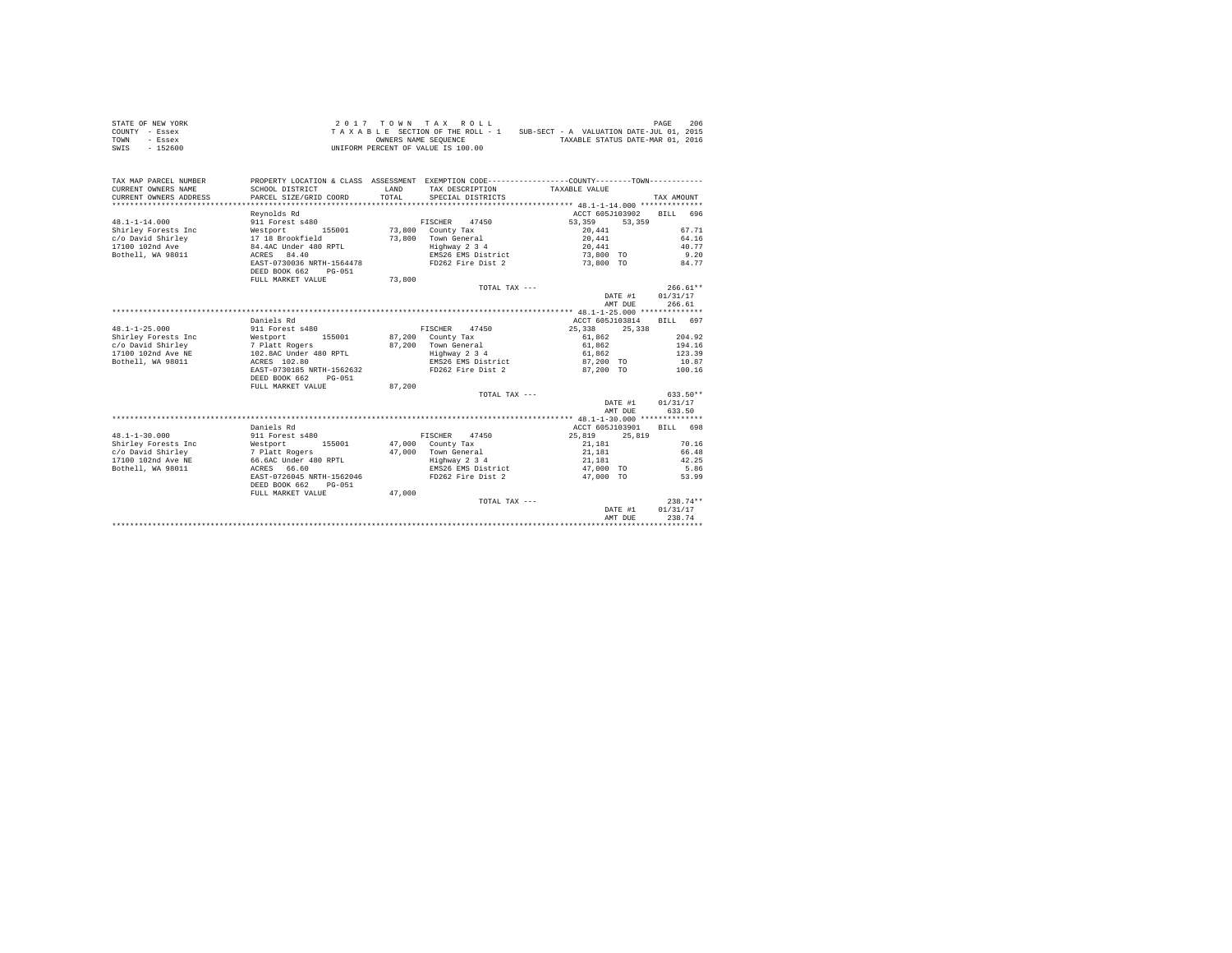| STATE OF NEW YORK | 2017 TOWN TAX ROLL                 | 206<br>PAGE                              |
|-------------------|------------------------------------|------------------------------------------|
| COUNTY - Essex    | TAXABLE SECTION OF THE ROLL - 1    | SUB-SECT - A VALUATION DATE-JUL 01, 2015 |
| TOWN<br>- Essex   | OWNERS NAME SEOUENCE               | TAXABLE STATUS DATE-MAR 01, 2016         |
| - 152600<br>SWIS  | UNIFORM PERCENT OF VALUE IS 100.00 |                                          |

| TAX MAP PARCEL NUMBER<br>CURRENT OWNERS NAME<br>CURRENT OWNERS ADDRESS | PROPERTY LOCATION & CLASS ASSESSMENT EXEMPTION CODE----------------COUNTY-------TOWN----------<br>SCHOOL DISTRICT<br>PARCEL SIZE/GRID COORD | LAND<br>TOTAL. | TAX DESCRIPTION TAXABLE VALUE<br>SPECIAL DISTRICTS |                  | TAX AMOUNT |
|------------------------------------------------------------------------|---------------------------------------------------------------------------------------------------------------------------------------------|----------------|----------------------------------------------------|------------------|------------|
|                                                                        | Revnolds Rd                                                                                                                                 |                |                                                    | ACCT 605J103902  | BTLL 696   |
| $48.1 - 1 - 14.000$                                                    | 911 Forest s480                                                                                                                             |                | FISCHER<br>47450                                   | 53,359           | 53,359     |
| Shirley Forests Inc                                                    | Westport<br>155001                                                                                                                          |                | 73.800 County Tax                                  | 20,441           | 67.71      |
| c/o David Shirley                                                      | 17 18 Brookfield                                                                                                                            |                | 73.800 Town General                                | 20,441           | 64.16      |
| 17100 102nd Ave                                                        | 84.4AC Under 480 RPTL                                                                                                                       |                | Highway 2 3 4                                      | 20.441           | 40.77      |
| Bothell, WA 98011                                                      | ACRES 84.40                                                                                                                                 |                | EMS26 EMS District                                 | 73,800 TO        | 9.20       |
|                                                                        | EAST-0730036 NRTH-1564478                                                                                                                   |                | FD262 Fire Dist 2                                  | 73,800 TO        | 84.77      |
|                                                                        | DEED BOOK 662<br>$PG-051$                                                                                                                   |                |                                                    |                  |            |
|                                                                        | FULL MARKET VALUE                                                                                                                           | 73,800         |                                                    |                  |            |
|                                                                        |                                                                                                                                             |                | TOTAL TAX ---                                      |                  | $266.61**$ |
|                                                                        |                                                                                                                                             |                |                                                    | DATE #1          | 01/31/17   |
|                                                                        |                                                                                                                                             |                |                                                    | AMT DUE          | 266.61     |
|                                                                        |                                                                                                                                             |                |                                                    |                  |            |
|                                                                        | Daniels Rd                                                                                                                                  |                |                                                    | ACCT 605J103814  | BILL 697   |
| $48.1 - 1 - 25.000$                                                    | 911 Forest s480                                                                                                                             |                | FISCHER 47450                                      | 25,338<br>25,338 |            |
| Shirley Forests Inc                                                    | Westport<br>155001                                                                                                                          |                | 87,200 County Tax                                  | 61.862           | 204.92     |
| c/o David Shirley                                                      |                                                                                                                                             |                | 87.200 Town General                                | 61.862           | 194.16     |
| 17100 102nd Ave NE                                                     | 7 Platt Rogers<br>102.8AC Under 480 RPTL                                                                                                    |                | Highway 2 3 4                                      | 61,862           | 123.39     |
| Bothell, WA 98011                                                      | ACRES 102.80                                                                                                                                |                | EMS26 EMS District                                 | 87.200 TO        | 10.87      |
|                                                                        | EAST-0730185 NRTH-1562632                                                                                                                   |                | FD262 Fire Dist 2                                  | 87.200 TO        | 100.16     |
|                                                                        | DEED BOOK 662<br>$PG-0.51$                                                                                                                  |                |                                                    |                  |            |
|                                                                        | FULL MARKET VALUE                                                                                                                           | 87.200         |                                                    |                  |            |
|                                                                        |                                                                                                                                             |                | TOTAL TAX ---                                      |                  | 633.50**   |
|                                                                        |                                                                                                                                             |                |                                                    | DATE #1          | 01/31/17   |
|                                                                        |                                                                                                                                             |                |                                                    | AMT DUE          | 633.50     |
|                                                                        |                                                                                                                                             |                |                                                    |                  |            |
|                                                                        | Daniels Rd                                                                                                                                  |                |                                                    | ACCT 605J103901  | RTLL 698   |
| $48.1 - 1 - 30.000$                                                    | 911 Forest s480                                                                                                                             |                | FISCHER 47450                                      | 25,819           | 25,819     |
| Shirley Forests Inc                                                    | Westport<br>155001                                                                                                                          |                | 47,000 County Tax                                  | 21,181           | 70.16      |
| c/o David Shirley                                                      | 7 Platt Rogers                                                                                                                              |                | 47.000 Town General                                | 21,181           | 66.48      |
| 17100 102nd Ave NE                                                     | 66.6AC Under 480 RPTL                                                                                                                       |                | Highway 2 3 4                                      | 21,181           | 42.25      |
| Bothell, WA 98011                                                      | ACRES 66.60                                                                                                                                 |                | EMS26 EMS District                                 | 47,000 TO        | 5.86       |
|                                                                        | EAST-0726045 NRTH-1562046                                                                                                                   |                | FD262 Fire Dist 2                                  | 47,000 TO        | 53.99      |
|                                                                        | DEED BOOK 662<br>$PG-051$                                                                                                                   |                |                                                    |                  |            |
|                                                                        | FULL MARKET VALUE                                                                                                                           | 47,000         |                                                    |                  |            |
|                                                                        |                                                                                                                                             |                | TOTAL TAX ---                                      |                  | $238.74**$ |
|                                                                        |                                                                                                                                             |                |                                                    | DATE #1          | 01/31/17   |
|                                                                        |                                                                                                                                             |                |                                                    | AMT DUE          | 238.74     |
|                                                                        |                                                                                                                                             |                |                                                    |                  |            |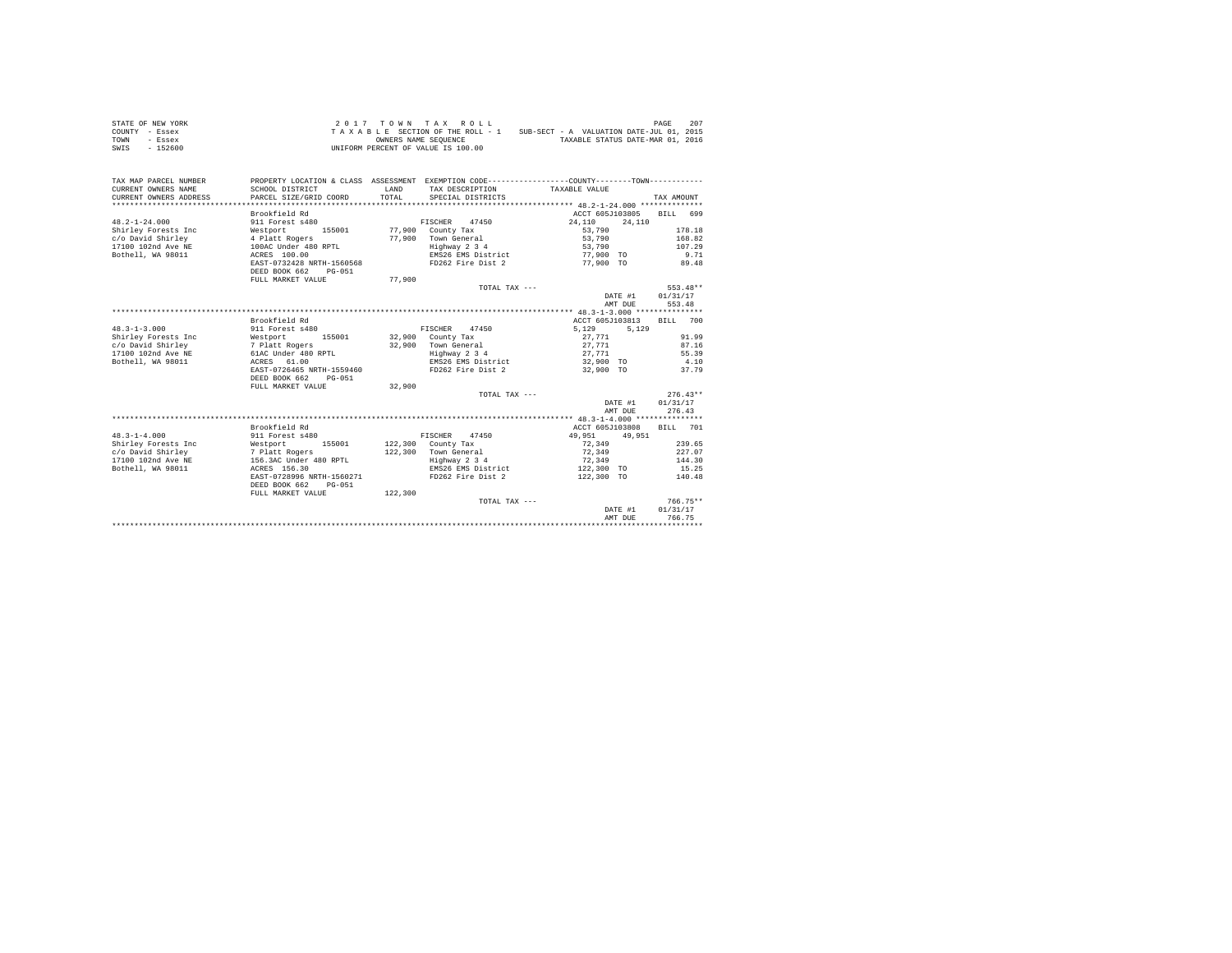| STATE OF NEW YORK | 2017 TOWN TAX ROLL                 | 207<br>PAGE                              |
|-------------------|------------------------------------|------------------------------------------|
| COUNTY - Essex    | TAXABLE SECTION OF THE ROLL - 1    | SUB-SECT - A VALUATION DATE-JUL 01, 2015 |
| TOWN<br>- Essex   | OWNERS NAME SEOUENCE               | TAXABLE STATUS DATE-MAR 01, 2016         |
| - 152600<br>SWIS  | UNIFORM PERCENT OF VALUE IS 100.00 |                                          |

| TAX MAP PARCEL NUMBER<br>CURRENT OWNERS NAME<br>CURRENT OWNERS ADDRESS | PROPERTY LOCATION & CLASS ASSESSMENT EXEMPTION CODE----------------COUNTY--------TOWN----------<br>SCHOOL DISTRICT<br>PARCEL SIZE/GRID COORD | LAND<br>TOTAL. | TAX DESCRIPTION TAXABLE VALUE<br>SPECIAL DISTRICTS |                 |         | TAX AMOUNT |        |
|------------------------------------------------------------------------|----------------------------------------------------------------------------------------------------------------------------------------------|----------------|----------------------------------------------------|-----------------|---------|------------|--------|
|                                                                        | Brookfield Rd                                                                                                                                |                |                                                    | ACCT 605J103805 |         | BILL 699   |        |
| $48.2 - 1 - 24.000$                                                    | 911 Forest s480                                                                                                                              |                | FISCHER 47450                                      | 24,110          | 24,110  |            |        |
| Shirley Forests Inc                                                    | Westport<br>155001                                                                                                                           |                | 77.900 County Tax                                  | 53,790          |         |            | 178.18 |
| c/o David Shirley                                                      | 4 Platt Rogers                                                                                                                               | 77,900         | Town General                                       | 53,790          |         |            | 168.82 |
| 17100 102nd Ave NE                                                     | 100AC Under 480 RPTL                                                                                                                         |                | Highway 2 3 4                                      | 53,790          |         |            | 107.29 |
| Bothell, WA 98011                                                      | ACRES 100.00                                                                                                                                 |                | EMS26 EMS District                                 | 77,900 TO       |         |            | 9.71   |
|                                                                        | EAST-0732428 NRTH-1560568                                                                                                                    |                | FD262 Fire Dist 2                                  | 77.900 TO       |         |            | 89.48  |
|                                                                        | DEED BOOK 662<br>$PG-051$                                                                                                                    |                |                                                    |                 |         |            |        |
|                                                                        | FULL MARKET VALUE                                                                                                                            | 77,900         |                                                    |                 |         |            |        |
|                                                                        |                                                                                                                                              |                | TOTAL TAX ---                                      |                 |         | $553.48**$ |        |
|                                                                        |                                                                                                                                              |                |                                                    |                 | DATE #1 | 01/31/17   |        |
|                                                                        |                                                                                                                                              |                |                                                    |                 | AMT DUE | 553.48     |        |
|                                                                        |                                                                                                                                              |                |                                                    |                 |         |            |        |
|                                                                        | Brookfield Rd                                                                                                                                |                |                                                    | ACCT 605J103813 |         | BILL 700   |        |
| $48.3 - 1 - 3.000$                                                     | 911 Forest s480                                                                                                                              |                | FISCHER 47450                                      | 5.129           | 5.129   |            |        |
| Shirley Forests Inc                                                    | Westport<br>155001                                                                                                                           |                | $32,900$ County Tax                                | 27,771          |         |            | 91.99  |
| c/o David Shirley                                                      |                                                                                                                                              |                | 32.900 Town General                                | 27.771          |         |            | 87.16  |
| 17100 102nd Ave NE                                                     | 7 Platt Rogers<br>61AC Under 480 RPTL                                                                                                        |                | Highway 2 3 4                                      | 27,771          |         |            | 55.39  |
| Bothell, WA 98011                                                      | ACRES 61.00                                                                                                                                  |                | EMS26 EMS District                                 | 32,900 TO       |         | 4.10       |        |
|                                                                        | EAST-0726465 NRTH-1559460                                                                                                                    |                | FD262 Fire Dist 2                                  | 32,900 TO       |         |            | 37.79  |
|                                                                        | DEED BOOK 662<br>$PG-0.51$                                                                                                                   |                |                                                    |                 |         |            |        |
|                                                                        | FULL MARKET VALUE                                                                                                                            | 32,900         |                                                    |                 |         |            |        |
|                                                                        |                                                                                                                                              |                | TOTAL TAX ---                                      |                 |         | $276.43**$ |        |
|                                                                        |                                                                                                                                              |                |                                                    |                 | DATE #1 | 01/31/17   |        |
|                                                                        |                                                                                                                                              |                |                                                    |                 | AMT DUE | 276.43     |        |
|                                                                        |                                                                                                                                              |                |                                                    |                 |         |            |        |
|                                                                        | Brookfield Rd                                                                                                                                |                |                                                    | ACCT 605J103808 |         | BTLL 701   |        |
| $48.3 - 1 - 4.000$                                                     | 911 Forest s480                                                                                                                              |                | FISCHER 47450                                      | 49.951          | 49.951  |            |        |
| Shirley Forests Inc                                                    | Westport 155001                                                                                                                              |                | $122.300$ County Tax                               | 72.349          |         |            | 239.65 |
| c/o David Shirley                                                      | 7 Platt Rogers                                                                                                                               |                | 122,300 Town General                               | 72.349          |         |            | 227.07 |
| 17100 102nd Ave NE                                                     | 156.3AC Under 480 RPTL                                                                                                                       |                | Highway 2 3 4                                      | 72.349          |         |            | 144.30 |
| Bothell, WA 98011                                                      | ACRES 156.30                                                                                                                                 |                | EMS26 EMS District                                 | 122,300 TO      |         |            | 15.25  |
|                                                                        | EAST-0728996 NRTH-1560271                                                                                                                    |                | FD262 Fire Dist 2                                  | 122,300 TO      |         |            | 140.48 |
|                                                                        | DEED BOOK 662<br>PG-051                                                                                                                      |                |                                                    |                 |         |            |        |
|                                                                        | FULL MARKET VALUE                                                                                                                            | 122,300        |                                                    |                 |         |            |        |
|                                                                        |                                                                                                                                              |                | TOTAL TAX ---                                      |                 |         | $766.75**$ |        |
|                                                                        |                                                                                                                                              |                |                                                    |                 | DATE #1 | 01/31/17   |        |
|                                                                        |                                                                                                                                              |                |                                                    |                 | AMT DUE | 766.75     |        |
|                                                                        |                                                                                                                                              |                |                                                    |                 |         |            |        |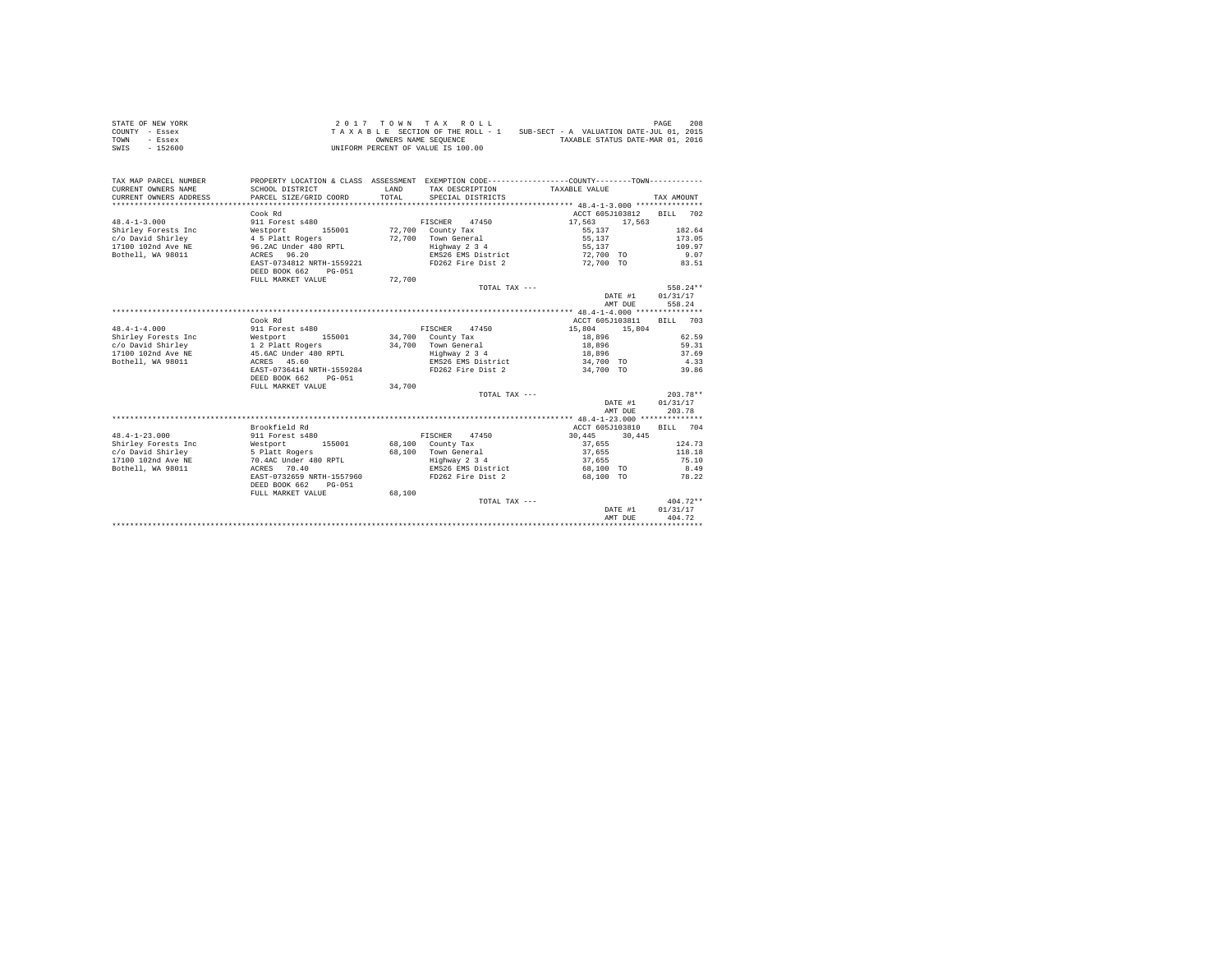| STATE OF NEW YORK | 2017 TOWN TAX ROLL                                                          | 208<br>PAGE                      |
|-------------------|-----------------------------------------------------------------------------|----------------------------------|
| COUNTY - Essex    | SUB-SECT - A VALUATION DATE-JUL 01, 2015<br>TAXABLE SECTION OF THE ROLL - 1 |                                  |
| TOWN<br>- Essex   | OWNERS NAME SEOUENCE                                                        | TAXABLE STATUS DATE-MAR 01, 2016 |
| - 152600<br>SWIS  | UNIFORM PERCENT OF VALUE IS 100.00                                          |                                  |

| TAX MAP PARCEL NUMBER<br>CURRENT OWNERS NAME<br>CURRENT OWNERS ADDRESS | PROPERTY LOCATION & CLASS ASSESSMENT EXEMPTION CODE----------------COUNTY--------TOWN----------<br>SCHOOL DISTRICT<br>PARCEL SIZE/GRID COORD | LAND<br>TOTAL. | TAX DESCRIPTION TAXABLE VALUE<br>SPECIAL DISTRICTS |                 |         | TAX AMOUNT |            |
|------------------------------------------------------------------------|----------------------------------------------------------------------------------------------------------------------------------------------|----------------|----------------------------------------------------|-----------------|---------|------------|------------|
|                                                                        | Cook Rd                                                                                                                                      |                |                                                    | ACCT 605J103812 |         | BTLL 702   |            |
| $48.4 - 1 - 3.000$                                                     | 911 Forest s480                                                                                                                              |                | 47450<br>FISCHER                                   | 17,563          | 17,563  |            |            |
| Shirley Forests Inc                                                    | Westport<br>155001                                                                                                                           |                | 72,700 County Tax                                  | 55,137          |         |            | 182.64     |
| c/o David Shirley                                                      | 4 5 Platt Rogers                                                                                                                             |                | 72.700 Town General                                | 55,137          |         |            | 173.05     |
| 17100 102nd Ave NE                                                     | 96.2AC Under 480 RPTL                                                                                                                        |                | Highway 2 3 4                                      | 55.137          |         |            | 109.97     |
| Bothell, WA 98011                                                      | ACRES 96.20                                                                                                                                  |                | EMS26 EMS District                                 | 72,700 TO       |         |            | 9.07       |
|                                                                        | EAST-0734812 NRTH-1559221                                                                                                                    |                | FD262 Fire Dist 2                                  | 72.700 TO       |         |            | 83.51      |
|                                                                        | DEED BOOK 662<br>$PG-051$                                                                                                                    |                |                                                    |                 |         |            |            |
|                                                                        | FULL MARKET VALUE                                                                                                                            | 72,700         |                                                    |                 |         |            |            |
|                                                                        |                                                                                                                                              |                | TOTAL TAX ---                                      |                 |         |            | 558.24**   |
|                                                                        |                                                                                                                                              |                |                                                    |                 | DATE #1 | 01/31/17   |            |
|                                                                        |                                                                                                                                              |                |                                                    |                 | AMT DUE |            | 558.24     |
|                                                                        |                                                                                                                                              |                |                                                    |                 |         |            |            |
|                                                                        | Cook Rd                                                                                                                                      |                |                                                    | ACCT 605J103811 |         | BILL 703   |            |
| $48.4 - 1 - 4.000$                                                     | 911 Forest s480                                                                                                                              |                | FISCHER 47450                                      | 15,804          | 15,804  |            |            |
| Shirley Forests Inc                                                    | Westport<br>155001                                                                                                                           |                | 34,700 County Tax                                  | 18,896          |         |            | 62.59      |
| c/o David Shirley                                                      |                                                                                                                                              |                | 34.700 Town General                                | 18,896          |         |            | 59.31      |
| 17100 102nd Ave NE                                                     | 1 2 Platt Rogers<br>45.6AC Under 480 RPTL                                                                                                    |                | Highway 2 3 4                                      | 18,896          |         |            | 37.69      |
| Bothell, WA 98011                                                      | ACRES 45.60                                                                                                                                  |                | EMS26 EMS District                                 | 34,700 TO       |         |            | 4.33       |
|                                                                        | EAST-0736414 NRTH-1559284                                                                                                                    |                | FD262 Fire Dist 2                                  | 34,700 TO       |         |            | 39.86      |
|                                                                        | DEED BOOK 662<br>$PG-0.51$                                                                                                                   |                |                                                    |                 |         |            |            |
|                                                                        | FULL MARKET VALUE                                                                                                                            | 34,700         |                                                    |                 |         |            |            |
|                                                                        |                                                                                                                                              |                | TOTAL TAX ---                                      |                 |         |            | $203.78**$ |
|                                                                        |                                                                                                                                              |                |                                                    |                 | DATE #1 | 01/31/17   |            |
|                                                                        |                                                                                                                                              |                |                                                    |                 | AMT DUE | 203.78     |            |
|                                                                        |                                                                                                                                              |                |                                                    |                 |         |            |            |
|                                                                        | Brookfield Rd                                                                                                                                |                |                                                    | ACCT 605J103810 |         | BTLL 704   |            |
| $48.4 - 1 - 23.000$                                                    | 911 Forest s480                                                                                                                              |                | FISCHER 47450                                      | 30,445          | 30,445  |            |            |
| Shirley Forests Inc                                                    | Westport<br>155001                                                                                                                           |                | 68.100 County Tax                                  | 37,655          |         |            | 124.73     |
| c/o David Shirley                                                      | 5 Platt Rogers                                                                                                                               |                | 68.100 Town General                                | 37,655          |         |            | 118.18     |
| 17100 102nd Ave NE                                                     | 70.4AC Under 480 RPTL                                                                                                                        |                | Highway 2 3 4                                      | 37.655          |         |            | 75.10      |
| Bothell, WA 98011                                                      | ACRES 70.40                                                                                                                                  |                | EMS26 EMS District                                 | 68,100 TO       |         |            | 8.49       |
|                                                                        | EAST-0732659 NRTH-1557960                                                                                                                    |                | FD262 Fire Dist 2                                  | 68,100 TO       |         |            | 78.22      |
|                                                                        | DEED BOOK 662<br>$PG-051$                                                                                                                    |                |                                                    |                 |         |            |            |
|                                                                        | FULL MARKET VALUE                                                                                                                            | 68,100         |                                                    |                 |         |            |            |
|                                                                        |                                                                                                                                              |                | TOTAL TAX ---                                      |                 |         |            | $404.72**$ |
|                                                                        |                                                                                                                                              |                |                                                    |                 | DATE #1 | 01/31/17   |            |
|                                                                        |                                                                                                                                              |                |                                                    |                 | AMT DUE | 404.72     |            |
|                                                                        |                                                                                                                                              |                |                                                    |                 |         |            |            |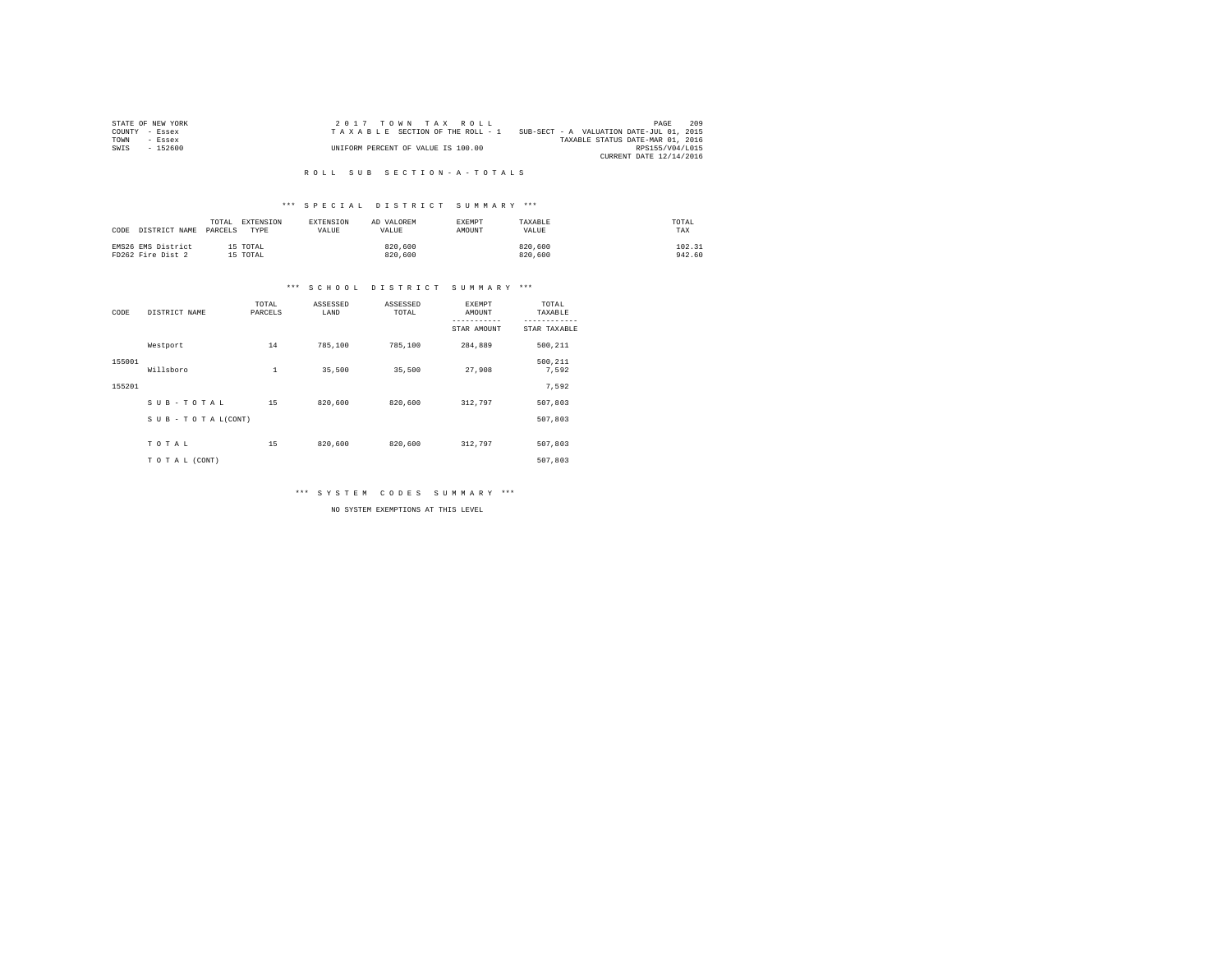| STATE OF NEW YORK | 2017 TOWN TAX ROLL                 | 209<br>PAGE                              |
|-------------------|------------------------------------|------------------------------------------|
| COUNTY - Essex    | TAXABLE SECTION OF THE ROLL - 1    | SUB-SECT - A VALUATION DATE-JUL 01, 2015 |
| TOWN<br>- Essex   |                                    | TAXABLE STATUS DATE-MAR 01, 2016         |
| $-152600$<br>SWIS | UNIFORM PERCENT OF VALUE IS 100.00 | RPS155/V04/L015                          |
|                   |                                    | CURRENT DATE 12/14/2016                  |

#### R O L L S U B S E C T I O N - A - T O T A L S

## \*\*\* S P E C I A L D I S T R I C T S U M M A R Y \*\*\*

| CODE | DISTRICT NAME                           | EXTENSION<br>TOTAL.<br>PARCELS<br>TYPE | <b>EXTENSION</b><br><b>VALUE</b> | AD VALOREM<br>VALUE. | EXEMPT<br>AMOUNT | TAXABLE<br>VALUE   | TOTAL<br>TAX     |  |
|------|-----------------------------------------|----------------------------------------|----------------------------------|----------------------|------------------|--------------------|------------------|--|
|      | EMS26 EMS District<br>FD262 Fire Dist 2 | 15 TOTAL<br>15 TOTAL                   |                                  | 820,600<br>820,600   |                  | 820,600<br>820,600 | 102.31<br>942.60 |  |

## \*\*\* S C H O O L D I S T R I C T S U M M A R Y \*\*\*

| CODE   | DISTRICT NAME      | TOTAL<br>PARCELS | ASSESSED<br>LAND | ASSESSED<br>TOTAL | <b>EXEMPT</b><br>AMOUNT | TOTAL<br>TAXABLE |
|--------|--------------------|------------------|------------------|-------------------|-------------------------|------------------|
|        |                    |                  |                  |                   | STAR AMOUNT             | STAR TAXABLE     |
|        | Westport           | 14               | 785,100          | 785,100           | 284,889                 | 500,211          |
| 155001 | Willsboro          | $\mathbf{1}$     | 35,500           | 35,500            | 27.908                  | 500,211<br>7,592 |
| 155201 |                    |                  |                  |                   |                         | 7.592            |
|        | SUB-TOTAL          | 15               | 820,600          | 820,600           | 312,797                 | 507,803          |
|        | SUB - TO TAL(CONT) |                  |                  |                   |                         | 507.803          |
|        | TOTAL              | 15               | 820,600          | 820,600           | 312,797                 | 507,803          |
|        | TO TAL (CONT)      |                  |                  |                   |                         | 507.803          |

\*\*\* S Y S T E M C O D E S S U M M A R Y \*\*\*

NO SYSTEM EXEMPTIONS AT THIS LEVEL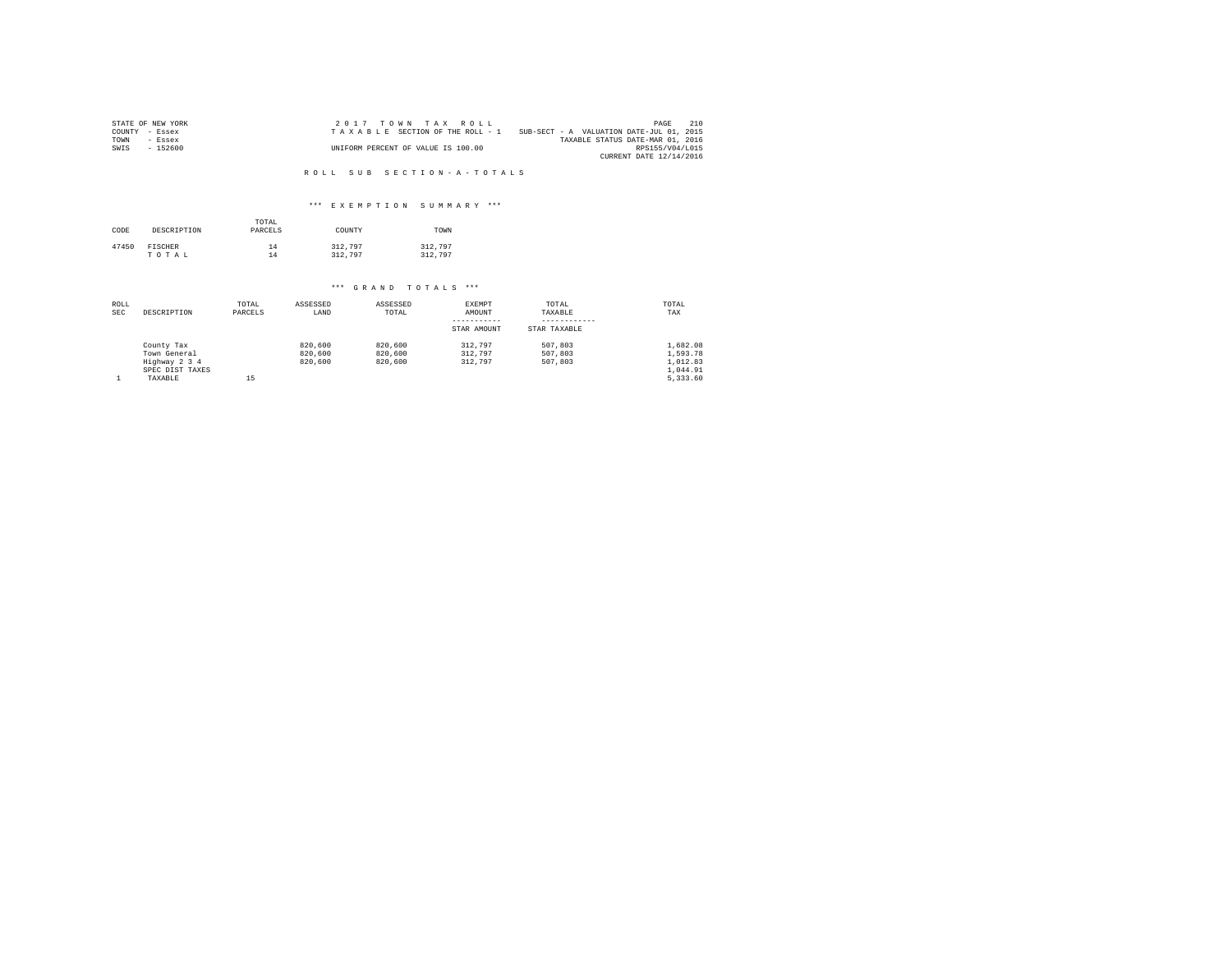|                | STATE OF NEW YORK | 2017 TOWN TAX ROLL                                                          | PAGE                             | 210 |
|----------------|-------------------|-----------------------------------------------------------------------------|----------------------------------|-----|
| COUNTY - Essex |                   | SUB-SECT - A VALUATION DATE-JUL 01, 2015<br>TAXABLE SECTION OF THE ROLL - 1 |                                  |     |
| TOWN           | $-$ Essex         |                                                                             | TAXABLE STATUS DATE-MAR 01, 2016 |     |
| SWIS           | $-152600$         | UNIFORM PERCENT OF VALUE IS 100.00                                          | RPS155/V04/L015                  |     |
|                |                   |                                                                             | CURRENT DATE 12/14/2016          |     |

R O L L S U B S E C T I O N - A - T O T A L S

## \*\*\* E X E M P T I O N S U M M A R Y \*\*\*

| CODE  | DESCRIPTION    | TOTAL<br>PARCELS | COUNTY  | TOWN    |
|-------|----------------|------------------|---------|---------|
| 47450 | <b>FISCHER</b> | 14               | 312,797 | 312,797 |
|       | TOTAL          | 14               | 312,797 | 312,797 |

# \*\*\* G R A N D T O T A L S \*\*\*

| ROLL<br><b>SEC</b> | DESCRIPTION     | TOTAL<br>PARCELS | ASSESSED<br>LAND | ASSESSED<br>TOTAL | EXEMPT<br>AMOUNT | TOTAL<br>TAXABLE | TOTAL<br>TAX |
|--------------------|-----------------|------------------|------------------|-------------------|------------------|------------------|--------------|
|                    |                 |                  |                  |                   | STAR AMOUNT      | STAR TAXABLE     |              |
|                    | County Tax      |                  | 820,600          | 820,600           | 312,797          | 507,803          | 1.682.08     |
|                    | Town General    |                  | 820,600          | 820,600           | 312.797          | 507,803          | 1,593.78     |
|                    | Highway 2 3 4   |                  | 820,600          | 820,600           | 312.797          | 507,803          | 1.012.83     |
|                    | SPEC DIST TAXES |                  |                  |                   |                  |                  | 1.044.91     |
|                    | TAXABLE         | 15               |                  |                   |                  |                  | 5.333.60     |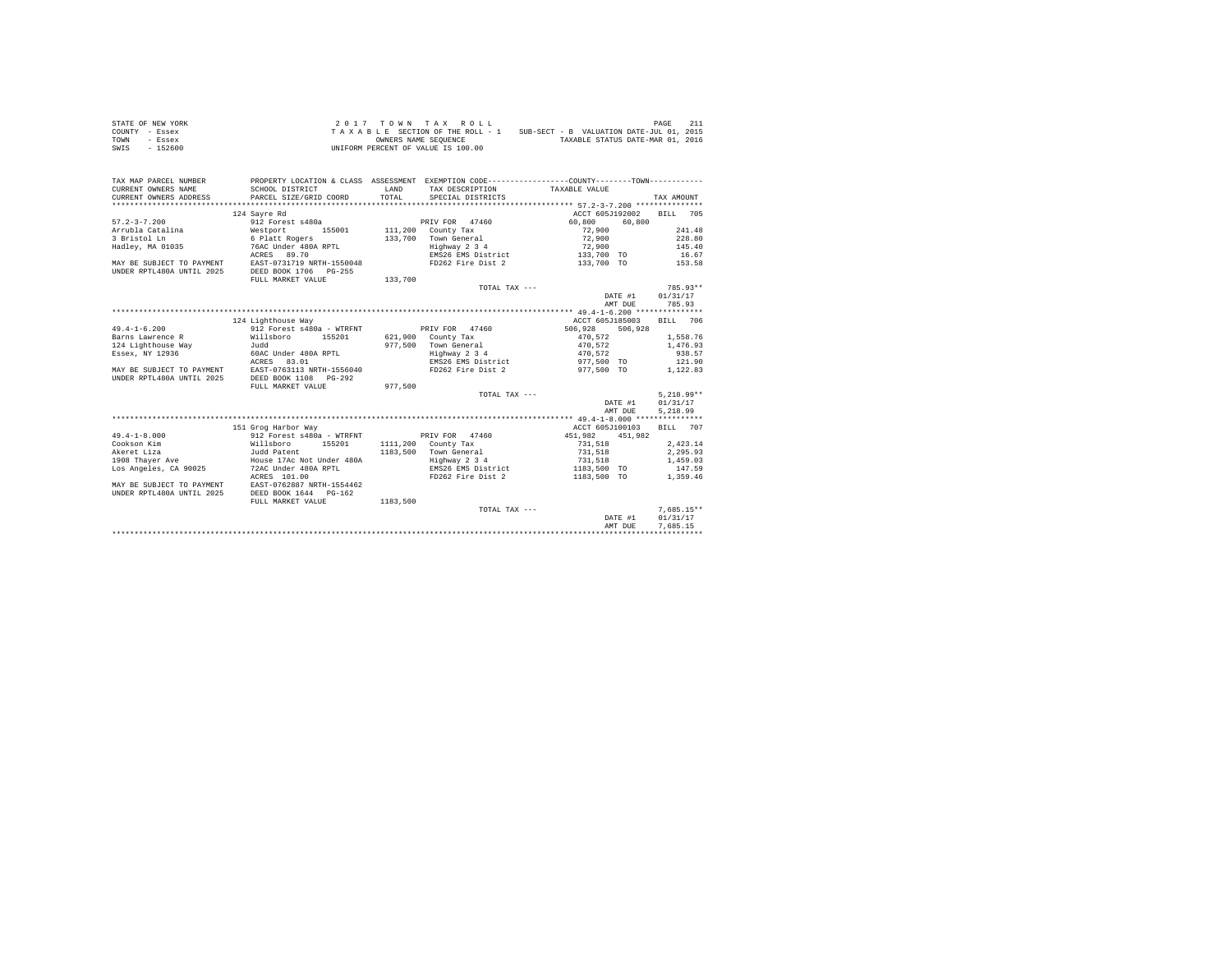| STATE OF NEW YORK | $2.017$ TOWN TAX ROLL                                                       | 211<br>PAGE                      |
|-------------------|-----------------------------------------------------------------------------|----------------------------------|
| COUNTY - Essex    | SUB-SECT - B VALUATION DATE-JUL 01, 2015<br>TAXABLE SECTION OF THE ROLL - 1 |                                  |
| TOWN<br>- Essex   | OWNERS NAME SEOUENCE                                                        | TAXABLE STATUS DATE-MAR 01, 2016 |
| SWIS<br>- 152600  | UNIFORM PERCENT OF VALUE IS 100.00                                          |                                  |

| TAX MAP PARCEL NUMBER     |                            |              |                     | PROPERTY LOCATION & CLASS ASSESSMENT EXEMPTION CODE----------------COUNTY--------TOWN---------- |                    |
|---------------------------|----------------------------|--------------|---------------------|-------------------------------------------------------------------------------------------------|--------------------|
| CURRENT OWNERS NAME       | SCHOOL DISTRICT            | <b>T.AND</b> | TAX DESCRIPTION     | TAXABLE VALUE                                                                                   |                    |
| CURRENT OWNERS ADDRESS    | PARCEL SIZE/GRID COORD     | TOTAL.       | SPECIAL DISTRICTS   |                                                                                                 | TAX AMOUNT         |
|                           |                            |              |                     |                                                                                                 |                    |
|                           | 124 Sayre Rd               |              |                     | ACCT 605J192002                                                                                 | <b>BILL</b><br>705 |
| $57.2 - 3 - 7.200$        | 912 Forest s480a           |              | PRIV FOR 47460      | 60,800<br>60,800                                                                                |                    |
| Arrubla Catalina          | Westport<br>155001         |              | 111,200 County Tax  | 72,900                                                                                          | 241.48             |
| 3 Bristol Ln              | 6 Platt Rogers             | 133,700      | Town General        | 72,900                                                                                          | 228.80             |
| Hadley, MA 01035          | 76AC Under 480A RPTL       |              | Highway 2 3 4       | 72,900                                                                                          | 145.40             |
|                           | ACRES 89.70                |              | EMS26 EMS District  | 133,700 TO                                                                                      | 16.67              |
| MAY BE SUBJECT TO PAYMENT | EAST-0731719 NRTH-1550048  |              | FD262 Fire Dist 2   | 133,700 TO                                                                                      | 153.58             |
| UNDER RPTL480A UNTIL 2025 | DEED BOOK 1706<br>$PG-255$ |              |                     |                                                                                                 |                    |
|                           | FULL MARKET VALUE          | 133,700      |                     |                                                                                                 |                    |
|                           |                            |              | TOTAL TAX ---       |                                                                                                 | 785.93**           |
|                           |                            |              |                     | DATE #1                                                                                         | 01/31/17           |
|                           |                            |              |                     | AMT DUE                                                                                         | 785.93             |
|                           |                            |              |                     |                                                                                                 |                    |
|                           | 124 Lighthouse Way         |              |                     | ACCT 605J185003                                                                                 | <b>BILL</b><br>706 |
| $49.4 - 1 - 6.200$        | 912 Forest s480a - WTRFNT  |              | PRIV FOR 47460      | 506.928<br>506,928                                                                              |                    |
| Barns Lawrence R          | Willsboro<br>155201        |              | 621,900 County Tax  | 470.572                                                                                         | 1,558.76           |
| 124 Lighthouse Way        | hhuT.                      | 977.500      | Town General        | 470.572                                                                                         | 1,476.93           |
| Essex, NY 12936           | 60AC Under 480A RPTL       |              | Highway 2 3 4       | 470,572                                                                                         | 938.57             |
|                           | 83.01<br>ACRES             |              | EMS26 EMS District  | 977,500 TO                                                                                      | 121.90             |
| MAY BE SUBJECT TO PAYMENT | EAST-0763113 NRTH-1556040  |              | FD262 Fire Dist 2   | 977.500 TO                                                                                      | 1,122.83           |
| UNDER RPTL480A UNTIL 2025 | DEED BOOK 1108<br>$PG-292$ |              |                     |                                                                                                 |                    |
|                           | FULL MARKET VALUE          | 977.500      |                     |                                                                                                 |                    |
|                           |                            |              | $TOTAI. TAX - - -$  |                                                                                                 | $5.218.99**$       |
|                           |                            |              |                     | DATE #1                                                                                         | 01/31/17           |
|                           |                            |              |                     | AMT DUE                                                                                         | 5,218.99           |
|                           |                            |              |                     |                                                                                                 |                    |
|                           | 151 Grog Harbor Way        |              |                     | ACCT 605J100103                                                                                 | <b>BILL</b><br>707 |
| $49.4 - 1 - 8.000$        | 912 Forest s480a - WTRFNT  |              | PRIV FOR 47460      | 451.982<br>451,982                                                                              |                    |
| Cookson Kim               | 155201<br>Willsboro        |              | 1111,200 County Tax | 731,518                                                                                         | 2.423.14           |
| Akeret Liza               | Judd Patent                | 1183,500     | Town General        | 731,518                                                                                         | 2,295.93           |
| 1908 Thaver Ave           | House 17Ac Not Under 480A  |              | Highway 2 3 4       | 731,518                                                                                         | 1,459.03           |
| Los Angeles, CA 90025     | 72AC Under 480A RPTL       |              | EMS26 EMS District  | 1183,500 TO                                                                                     | 147.59             |
|                           | ACRES 101.00               |              | FD262 Fire Dist 2   | 1183,500 TO                                                                                     | 1,359.46           |
| MAY BE SUBJECT TO PAYMENT | EAST-0762887 NRTH-1554462  |              |                     |                                                                                                 |                    |
| UNDER RPTL480A UNTIL 2025 | DEED BOOK 1644 PG-162      |              |                     |                                                                                                 |                    |
|                           | FULL MARKET VALUE          | 1183,500     |                     |                                                                                                 |                    |
|                           |                            |              | TOTAL TAX ---       |                                                                                                 | $7.685.15**$       |
|                           |                            |              |                     | DATE #1                                                                                         | 01/31/17           |
|                           |                            |              |                     | AMT DUE                                                                                         | 7.685.15           |
|                           |                            |              |                     |                                                                                                 |                    |
|                           |                            |              |                     |                                                                                                 |                    |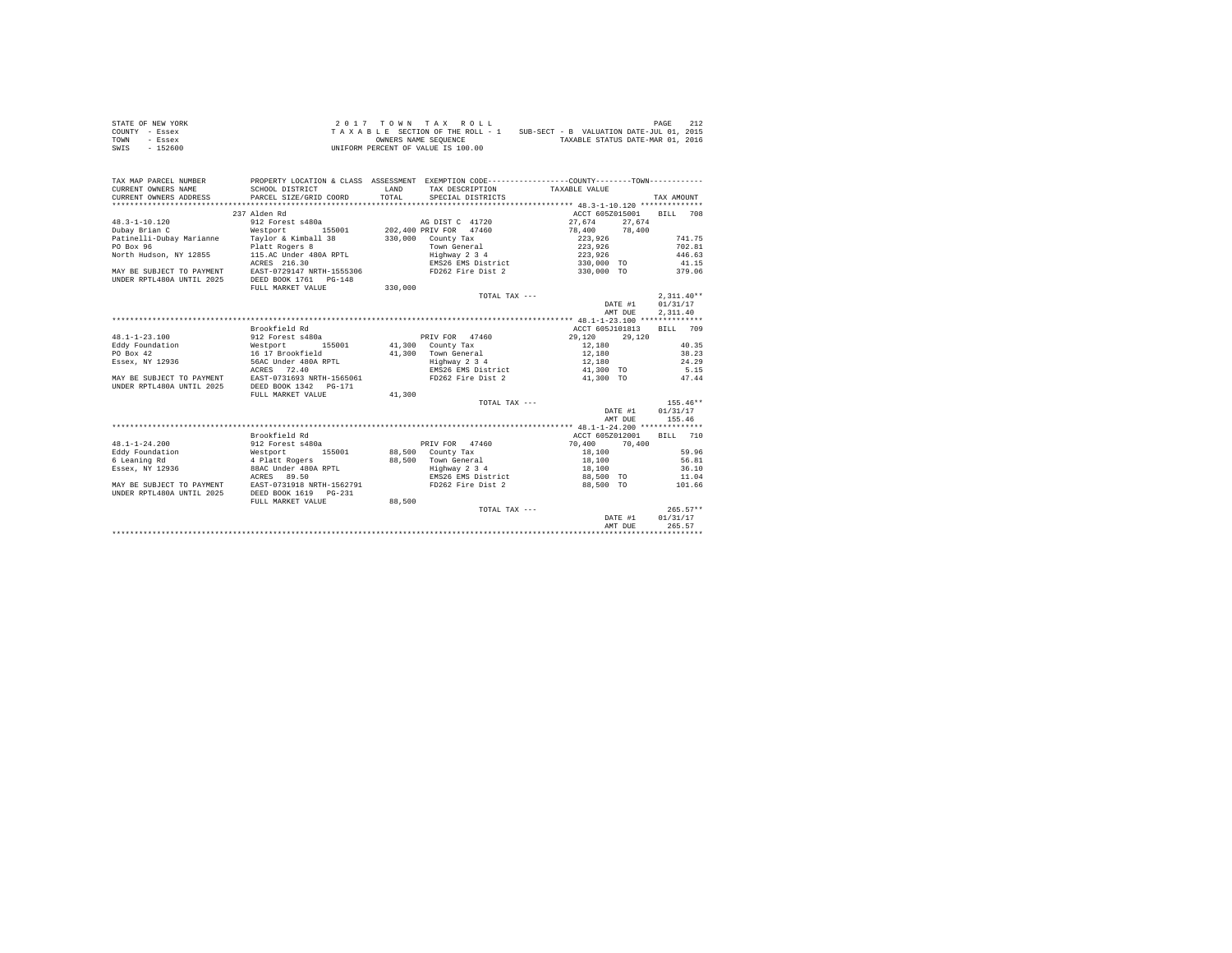| STATE OF NEW YORK | 2017 TOWN TAX ROLL                 | 212<br>PAGE                              |
|-------------------|------------------------------------|------------------------------------------|
| COUNTY - Essex    | TAXABLE SECTION OF THE ROLL - 1    | SUB-SECT - B VALUATION DATE-JUL 01, 2015 |
| TOWN<br>- Essex   | OWNERS NAME SEOUENCE               | TAXABLE STATUS DATE-MAR 01, 2016         |
| $-152600$<br>SWIS | UNIFORM PERCENT OF VALUE IS 100.00 |                                          |

| TAX MAP PARCEL NUMBER<br>CURRENT OWNERS NAME              | SCHOOL DISTRICT                                                       | LAND    | TAX DESCRIPTION       | PROPERTY LOCATION & CLASS ASSESSMENT EXEMPTION CODE---------------COUNTY-------TOWN---------<br>TAXABLE VALUE |              |
|-----------------------------------------------------------|-----------------------------------------------------------------------|---------|-----------------------|---------------------------------------------------------------------------------------------------------------|--------------|
| CURRENT OWNERS ADDRESS PARCEL SIZE/GRID COORD             |                                                                       | TOTAL   | SPECIAL DISTRICTS     |                                                                                                               | TAX AMOUNT   |
|                                                           |                                                                       |         |                       |                                                                                                               |              |
|                                                           | 237 Alden Rd                                                          |         |                       | ACCT 605Z015001 BILL 708                                                                                      |              |
| 48.3-1-10.120                                             | 912 Forest s480a                                                      |         | AG DIST C 41720       | 27,674 27,674                                                                                                 |              |
| Dubay Brian C                                             | <b>Westport</b>                                                       |         |                       | 155001 202,400 PRIV FOR 47460 78,400 78,400                                                                   |              |
|                                                           |                                                                       |         | 330,000 County Tax    | 223,926<br>223,926                                                                                            | 741.75       |
|                                                           |                                                                       |         | Town General          |                                                                                                               | 702.81       |
|                                                           | North Hudson, NY 12855 115.AC Under 480A RPTL Highway 2 3 4           |         |                       | 223,926                                                                                                       | 446.63       |
|                                                           | ACRES 216.30                                                          |         | EMS26 EMS District    | 330,000 TO                                                                                                    | 41.15        |
|                                                           | MAY BE SUBJECT TO PAYMENT EAST-0729147 NRTH-1555306                   |         | FD262 Fire Dist 2     | 330,000 TO                                                                                                    | 379.06       |
| UNDER RPTL480A UNTIL 2025 DEED BOOK 1761 PG-148           |                                                                       |         |                       |                                                                                                               |              |
|                                                           | FULL MARKET VALUE                                                     | 330.000 |                       |                                                                                                               |              |
|                                                           |                                                                       |         | TOTAL TAX ---         |                                                                                                               | $2.311.40**$ |
|                                                           |                                                                       |         |                       | DATE #1                                                                                                       | 01/31/17     |
|                                                           |                                                                       |         |                       | AMT DUE                                                                                                       | 2.311.40     |
|                                                           |                                                                       |         |                       |                                                                                                               |              |
|                                                           | Brookfield Rd                                                         |         |                       | ACCT 605J101813                                                                                               | BILL 709     |
| $48.1 - 1 - 23.100$                                       | 912 Forest s480a                                                      |         | PRIV FOR 47460 29,120 | 29,120                                                                                                        |              |
|                                                           | 155001                                                                |         | 41,300 County Tax     |                                                                                                               | 40.35        |
| Eddy Foundation Mestport 19<br>PO Box 42 16 17 Brookfield |                                                                       |         | 41,300 Town General   | 12,180<br>12,180                                                                                              | 38.23        |
|                                                           | Essex, NY 12936 56AC Under 480A RPTL                                  |         | Highway 2 3 4         | 12.180                                                                                                        | 24.29        |
|                                                           | ACRES 72.40                                                           |         | EMS26 EMS District    |                                                                                                               |              |
|                                                           | MAY BE SUBJECT TO PAYMENT EAST-0731693 NRTH-1565061                   |         | FD262 Fire Dist 2     | 41,300 TO 5.15<br>41,300 TO 47.44                                                                             |              |
| UNDER RPTL480A UNTIL 2025                                 | DEED BOOK 1342    PG-171                                              |         |                       |                                                                                                               |              |
|                                                           | FULL MARKET VALUE                                                     | 41,300  |                       |                                                                                                               |              |
|                                                           |                                                                       |         | TOTAL TAX ---         |                                                                                                               | $155.46**$   |
|                                                           |                                                                       |         |                       | DATE #1                                                                                                       | 01/31/17     |
|                                                           |                                                                       |         |                       | AMT DUE                                                                                                       | 155.46       |
|                                                           |                                                                       |         |                       |                                                                                                               |              |
|                                                           | Brookfield Rd                                                         |         |                       | ACCT 605Z012001 BILL 710                                                                                      |              |
| $48.1 - 1 - 24.200$                                       | 912 Forest s480a                                                      |         |                       | PRIV FOR 47460 70,400 70,400                                                                                  |              |
|                                                           |                                                                       |         | 88,500 County Tax     | 18,100                                                                                                        | 59.96        |
|                                                           | Eddy Foundation Mestport 155001<br>6 Leaning Rd 1914 + 4 Platt Rogers |         | 88.500 Town General   | 18,100                                                                                                        | 56.81        |
|                                                           | Essex, NY 12936 88AC Under 480A RPTL                                  |         | Highway 2 3 4         | 18,100                                                                                                        | 36.10        |
|                                                           | ACRES 89.50                                                           |         | EMS26 EMS District    | 88,500 TO 11.04                                                                                               |              |
|                                                           | MAY BE SUBJECT TO PAYMENT EAST-0731918 NRTH-1562791                   |         | FD262 Fire Dist 2     | 88,500 TO                                                                                                     | 101.66       |
| UNDER RPTL480A UNTIL 2025                                 |                                                                       |         |                       |                                                                                                               |              |
|                                                           | FULL MARKET VALUE                                                     | 88.500  |                       |                                                                                                               |              |
|                                                           |                                                                       |         | TOTAL TAX ---         |                                                                                                               | $265.57**$   |
|                                                           |                                                                       |         |                       | DATE #1                                                                                                       | 01/31/17     |
|                                                           |                                                                       |         |                       | AMT DUE                                                                                                       | 265.57       |
|                                                           |                                                                       |         |                       |                                                                                                               |              |
|                                                           |                                                                       |         |                       |                                                                                                               |              |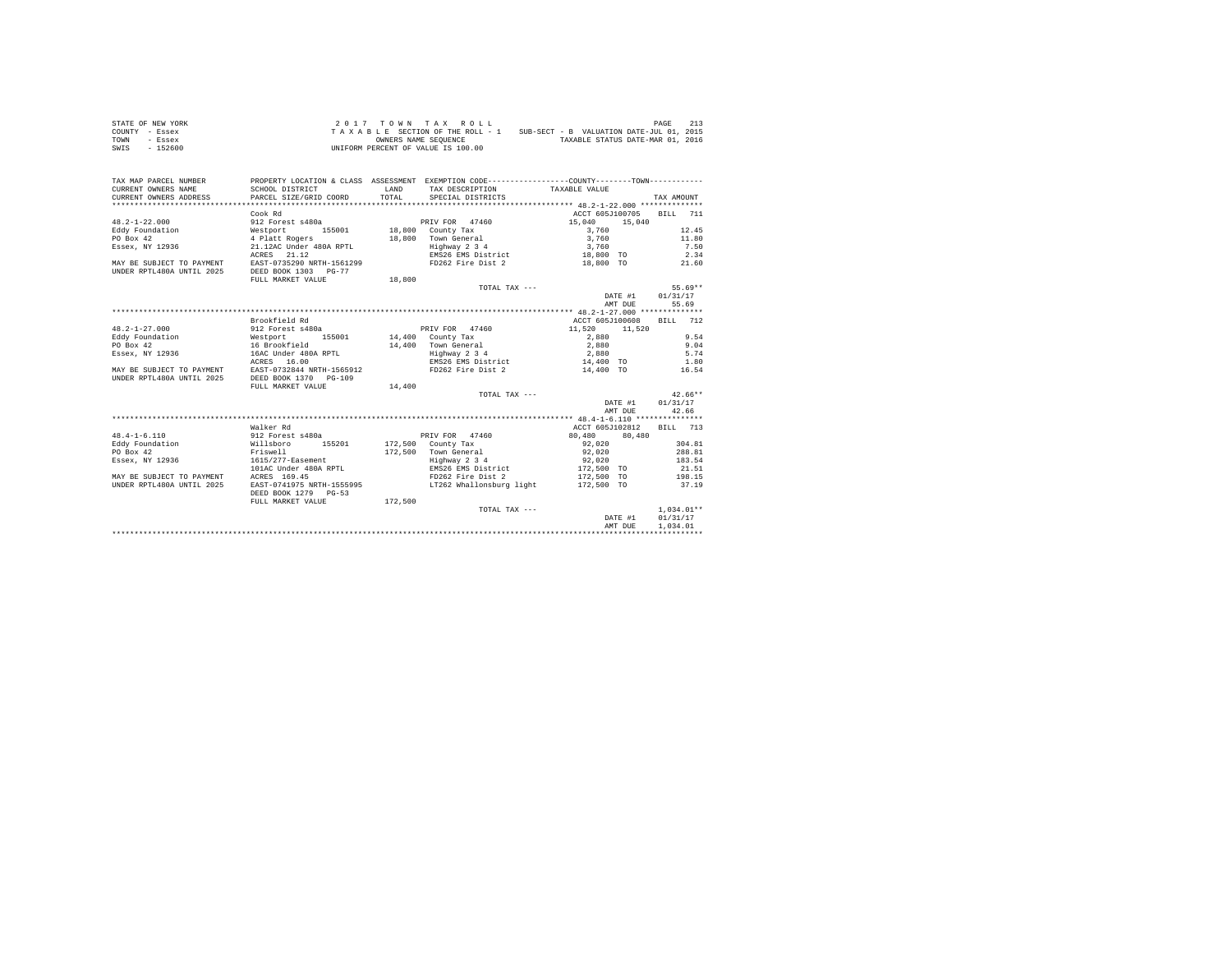| STATE OF NEW YORK | $2.017$ TOWN TAX ROLL                                                       | 213<br>PAGE                      |
|-------------------|-----------------------------------------------------------------------------|----------------------------------|
| COUNTY - Essex    | SUB-SECT - B VALUATION DATE-JUL 01, 2015<br>TAXABLE SECTION OF THE ROLL - 1 |                                  |
| TOWN<br>- Essex   | OWNERS NAME SEOUENCE                                                        | TAXABLE STATUS DATE-MAR 01, 2016 |
| SWIS<br>$-152600$ | UNIFORM PERCENT OF VALUE IS 100.00                                          |                                  |

| TAX MAP PARCEL NUMBER     |                                                     |              | PROPERTY LOCATION & CLASS ASSESSMENT EXEMPTION CODE----------------COUNTY--------TOWN---------- |                  |              |
|---------------------------|-----------------------------------------------------|--------------|-------------------------------------------------------------------------------------------------|------------------|--------------|
| CURRENT OWNERS NAME       | SCHOOL DISTRICT                                     | <b>T.AND</b> | TAX DESCRIPTION TAXABLE VALUE                                                                   |                  |              |
| CURRENT OWNERS ADDRESS    | PARCEL SIZE/GRID COORD                              | TOTAL.       | SPECIAL DISTRICTS                                                                               |                  | TAX AMOUNT   |
|                           |                                                     |              |                                                                                                 |                  |              |
|                           | Cook Rd                                             |              |                                                                                                 | ACCT 605J100705  | BILL 711     |
| $48.2 - 1 - 22.000$       | 912 Forest s480a                                    |              | PRIV FOR 47460                                                                                  | 15,040<br>15,040 |              |
| Eddy Foundation           | Westport<br>155001                                  |              | 18,800 County Tax                                                                               | 3,760            | 12.45        |
| PO Box 42                 | 4 Platt Rogers                                      |              | 18,800 Town General                                                                             | 3,760            | 11.80        |
| Essex, NY 12936           | 21.12AC Under 480A RPTL                             |              | Highway 2 3 4                                                                                   | 3,760            | 7.50         |
|                           | ACRES 21.12                                         |              | EMS26 EMS District                                                                              | 18,800 TO        | 2.34         |
| MAY BE SUBJECT TO PAYMENT | EAST-0735290 NRTH-1561299                           |              | FD262 Fire Dist 2                                                                               | 18,800 TO        | 21.60        |
| UNDER RPTL480A UNTIL 2025 | DEED BOOK 1303 PG-77                                |              |                                                                                                 |                  |              |
|                           | FULL MARKET VALUE                                   | 18,800       |                                                                                                 |                  |              |
|                           |                                                     |              | TOTAL TAX $---$                                                                                 |                  | 55.69**      |
|                           |                                                     |              |                                                                                                 | DATE #1          | 01/31/17     |
|                           |                                                     |              |                                                                                                 | AMT DUE          | 55.69        |
|                           |                                                     |              |                                                                                                 |                  |              |
|                           | Brookfield Rd                                       |              |                                                                                                 | ACCT 605J100608  | BILL 712     |
| $48.2 - 1 - 27.000$       | 912 Forest s480a                                    |              | PRIV FOR 47460                                                                                  | 11,520 11,520    |              |
| Eddy Foundation           | Westport                                            |              | 155001 14,400 County Tax                                                                        | 2,880            | 9.54         |
| PO Box 42                 | 16 Brookfield                                       |              | 14,400 Town General                                                                             | 2,880            | 9.04         |
| Essex, NY 12936           | 16AC Under 480A RPTL                                |              | Highway 2 3 4                                                                                   | 2,880            | 5.74         |
|                           | ACRES 16.00                                         |              | EMS26 EMS District                                                                              | 14,400 TO        | 1.80         |
|                           | MAY BE SUBJECT TO PAYMENT EAST-0732844 NRTH-1565912 |              | FD262 Fire Dist 2                                                                               | 14,400 TO        | 16.54        |
| UNDER RPTL480A UNTIL 2025 | DEED BOOK 1370 PG-109                               |              |                                                                                                 |                  |              |
|                           | FULL MARKET VALUE                                   | 14,400       |                                                                                                 |                  |              |
|                           |                                                     |              | TOTAL TAX ---                                                                                   |                  | $42.66**$    |
|                           |                                                     |              |                                                                                                 | DATE #1          | 01/31/17     |
|                           |                                                     |              |                                                                                                 | AMT DUE          | 42.66        |
|                           |                                                     |              |                                                                                                 |                  |              |
|                           | Walker Rd                                           |              |                                                                                                 | ACCT 605J102812  | BILL 713     |
| $48.4 - 1 - 6.110$        | 912 Forest s480a                                    |              | PRIV FOR 47460                                                                                  | 80.480 80.480    |              |
| Eddy Foundation           | 155201<br>Willsboro                                 |              | 172,500 County Tax                                                                              | 92,020           | 304.81       |
| PO Box 42                 | Friswell                                            |              | 172,500 Town General                                                                            | 92.020           | 288.81       |
| Essex, NY 12936           | 1615/277-Easement                                   |              | Highway 2 3 4                                                                                   | 92.020           | 183.54       |
|                           | 101AC Under 480A RPTL                               |              | EMS26 EMS District                                                                              | 172,500 TO       | 21.51        |
| MAY BE SUBJECT TO PAYMENT | ACRES 169.45                                        |              | FD262 Fire Dist 2                                                                               | 172.500 TO       | 198.15       |
| UNDER RPTL480A UNTIL 2025 | EAST-0741975 NRTH-1555995                           |              | LT262 Whallonsburg light                                                                        | 172,500 TO       | 37.19        |
|                           | DEED BOOK 1279 PG-53                                |              |                                                                                                 |                  |              |
|                           | FULL MARKET VALUE                                   | 172,500      |                                                                                                 |                  |              |
|                           |                                                     |              | TOTAL TAX ---                                                                                   |                  | $1.034.01**$ |
|                           |                                                     |              |                                                                                                 | DATE #1          | 01/31/17     |
|                           |                                                     |              |                                                                                                 | AMT DUE          | 1.034.01     |
|                           |                                                     |              |                                                                                                 |                  |              |
|                           |                                                     |              |                                                                                                 |                  |              |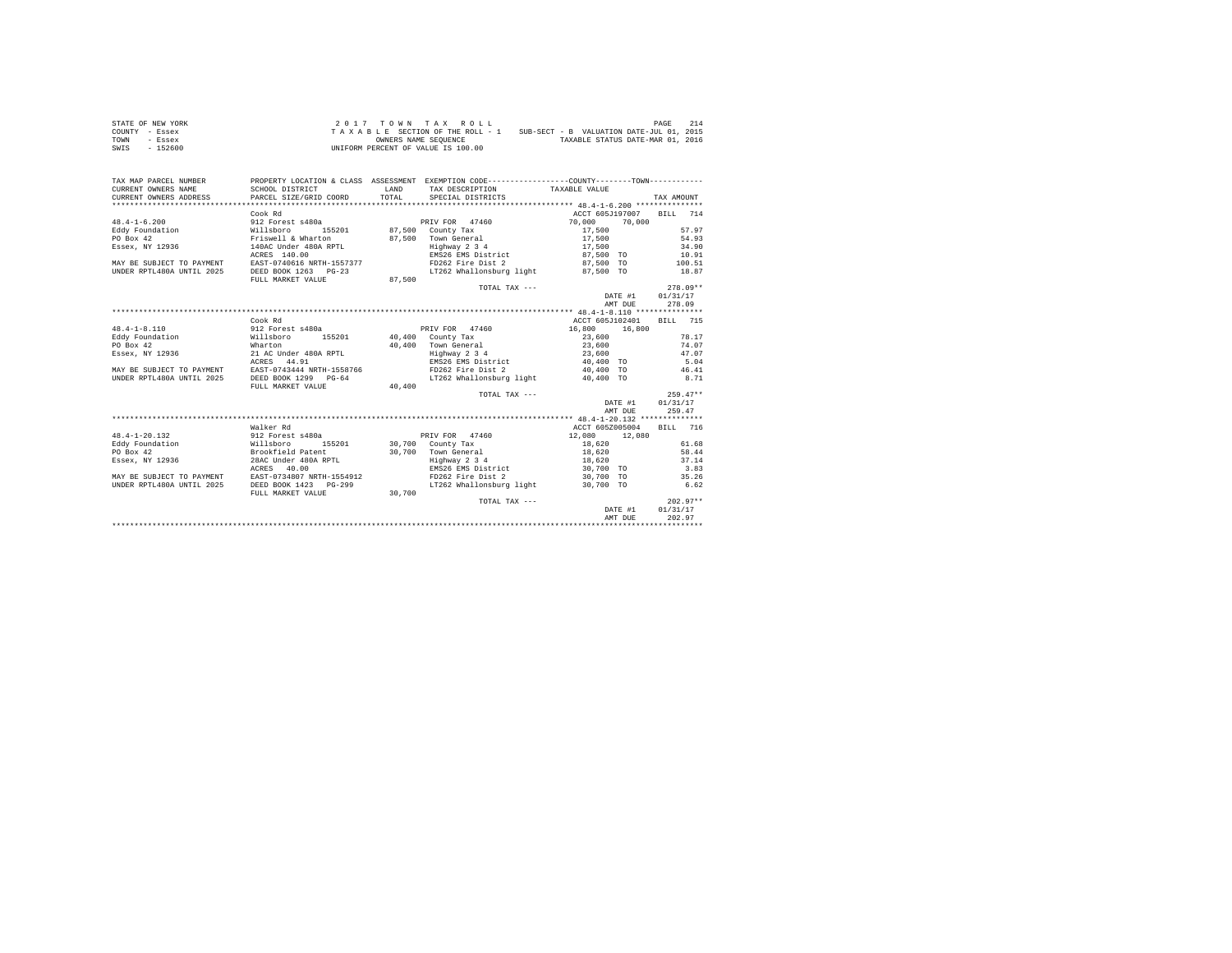| STATE OF NEW YORK | $2.017$ TOWN TAX ROLL                                                       | 214<br>PAGE                      |
|-------------------|-----------------------------------------------------------------------------|----------------------------------|
| COUNTY - Essex    | SUB-SECT - B VALUATION DATE-JUL 01, 2015<br>TAXABLE SECTION OF THE ROLL - 1 |                                  |
| TOWN<br>- Essex   | OWNERS NAME SEOUENCE                                                        | TAXABLE STATUS DATE-MAR 01, 2016 |
| $-152600$<br>SWIS | UNIFORM PERCENT OF VALUE IS 100.00                                          |                                  |

| TAX MAP PARCEL NUMBER     |                               |              | PROPERTY LOCATION & CLASS ASSESSMENT EXEMPTION CODE----------------COUNTY--------TOWN---------- |                 |                  |                 |            |
|---------------------------|-------------------------------|--------------|-------------------------------------------------------------------------------------------------|-----------------|------------------|-----------------|------------|
| CURRENT OWNERS NAME       | SCHOOL DISTRICT               | <b>T.AND</b> | TAX DESCRIPTION TAXABLE VALUE                                                                   |                 |                  |                 |            |
| CURRENT OWNERS ADDRESS    | PARCEL SIZE/GRID COORD        | TOTAL        | SPECIAL DISTRICTS                                                                               |                 |                  | TAX AMOUNT      |            |
|                           |                               |              |                                                                                                 |                 |                  |                 |            |
|                           | Cook Rd                       |              |                                                                                                 | ACCT 605J197007 |                  | BILL 714        |            |
| $48.4 - 1 - 6.200$        | 912 Forest s480a              |              | PRIV FOR 47460                                                                                  | 70,000          | 70,000           |                 |            |
| Eddy Foundation           | Willsboro<br>155201           |              | 87,500 County Tax                                                                               | 17,500          |                  |                 | 57.97      |
| PO Box 42                 | Friswell & Wharton            |              | 87,500 Town General                                                                             | 17,500          |                  |                 | 54.93      |
| Essex, NY 12936           | 140AC Under 480A RPTL         |              | Highway 2 3 4                                                                                   | 17,500          |                  |                 | 34.90      |
|                           | ACRES 140.00                  |              | EMS26 EMS District                                                                              | 87,500 TO       |                  |                 | 10.91      |
| MAY BE SUBJECT TO PAYMENT | EAST-0740616 NRTH-1557377     |              | FD262 Fire Dist 2                                                                               | 87,500 TO       |                  | 100.51          |            |
| UNDER RPTL480A UNTIL 2025 | DEED BOOK 1263 PG-23          |              | LT262 Whallonsburg light 87.500 TO                                                              |                 |                  |                 | 18.87      |
|                           | FULL MARKET VALUE             | 87,500       |                                                                                                 |                 |                  |                 |            |
|                           |                               |              | TOTAL TAX ---                                                                                   |                 |                  |                 | $278.09**$ |
|                           |                               |              |                                                                                                 |                 | DATE #1 01/31/17 |                 |            |
|                           |                               |              |                                                                                                 |                 | AMT DUE          |                 | 278.09     |
|                           |                               |              |                                                                                                 |                 |                  |                 |            |
|                           | Cook Rd                       |              |                                                                                                 | ACCT 605J102401 |                  | <b>BILL</b> 715 |            |
| $48.4 - 1 - 8.110$        | 912 Forest s480a              |              | PRIV FOR 47460                                                                                  | 16,800 16,800   |                  |                 |            |
| Eddy Foundation           | Willsboro<br>155201           |              | 40,400 County Tax                                                                               | 23,600          |                  |                 | 78.17      |
| PO Box 42                 | Wharton                       |              | 40.400 Town General                                                                             | 23,600          |                  |                 | 74.07      |
| Essex, NY 12936           | 21 AC Under 480A RPTL         |              | $Highway$ 2 3 4                                                                                 | 23,600          |                  |                 | 47.07      |
|                           | ACRES 44.91                   |              | EMS26 EMS District 40.400 TO                                                                    |                 |                  |                 | 5.04       |
| MAY BE SUBJECT TO PAYMENT | EAST-0743444 NRTH-1558766     |              | FD262 Fire Dist 2                                                                               | 40,400 TO       |                  |                 | 46.41      |
| UNDER RPTL480A UNTIL 2025 | DEED BOOK 1299 PG-64          |              | LT262 Whallonsburg light                                                                        | 40,400 TO       |                  |                 | 8.71       |
|                           | FULL MARKET VALUE             | 40,400       |                                                                                                 |                 |                  |                 |            |
|                           |                               |              |                                                                                                 |                 |                  |                 | $259.47**$ |
|                           |                               |              | TOTAL TAX ---                                                                                   |                 |                  | 01/31/17        |            |
|                           |                               |              |                                                                                                 |                 | DATE #1          |                 |            |
|                           |                               |              |                                                                                                 |                 | AMT DUE          |                 | 259.47     |
|                           |                               |              |                                                                                                 |                 |                  |                 |            |
|                           | Walker Rd                     |              |                                                                                                 | ACCT 605Z005004 |                  | BILL 716        |            |
| $48.4 - 1 - 20.132$       | 912 Forest s480a<br>Willsboro |              | PRIV FOR 47460                                                                                  | 12,080          | 12,080           |                 |            |
| Eddy Foundation           | 155201                        |              | 30,700 County Tax                                                                               | 18,620          |                  |                 | 61.68      |
| PO Box 42                 | Brookfield Patent             |              | 30.700 Town General                                                                             | 18,620          |                  |                 | 58.44      |
| Essex, NY 12936           | 28AC Under 480A RPTL          |              | Highway 2 3 4                                                                                   | 18,620          |                  |                 | 37.14      |
|                           | ACRES 40.00                   |              | EMS26 EMS District                                                                              | 30,700 TO       |                  |                 | 3.83       |
| MAY BE SUBJECT TO PAYMENT | EAST-0734807 NRTH-1554912     |              | FD262 Fire Dist 2                                                                               | 30,700 TO       |                  |                 | 35.26      |
| UNDER RPTL480A UNTIL 2025 | DEED BOOK 1423 PG-299         |              | LT262 Whallonsburg light                                                                        | 30,700 TO       |                  |                 | 6.62       |
|                           | FULL MARKET VALUE             | 30,700       |                                                                                                 |                 |                  |                 |            |
|                           |                               |              | TOTAL TAX ---                                                                                   |                 |                  |                 | $202.97**$ |
|                           |                               |              |                                                                                                 |                 | DATE #1          | 01/31/17        |            |
|                           |                               |              |                                                                                                 |                 | AMT DUE          |                 | 202.97     |
|                           |                               |              |                                                                                                 |                 |                  |                 |            |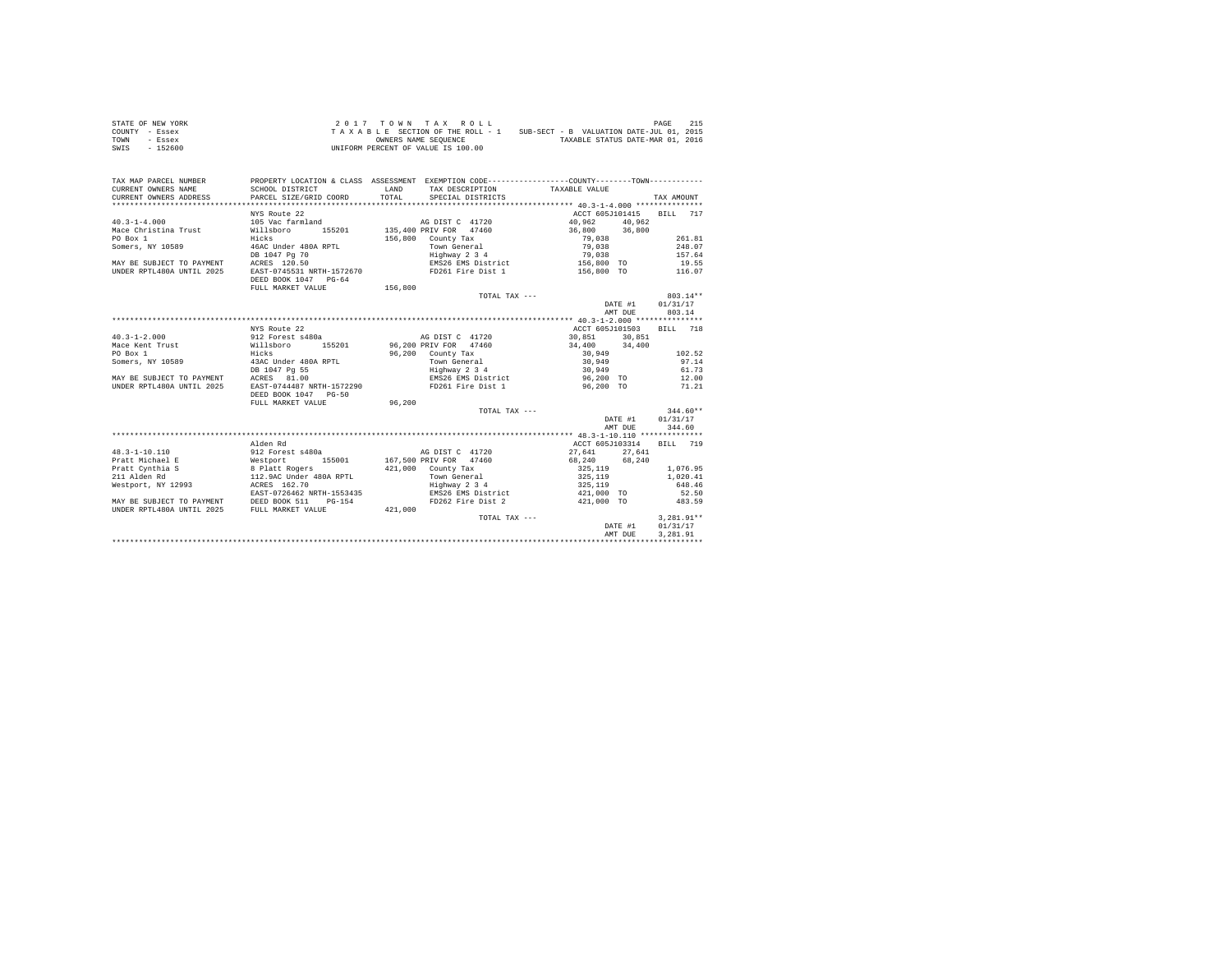| STATE OF NEW YORK | $2.017$ TOWN TAX ROLL                                                       | 215<br>PAGE                      |  |  |  |
|-------------------|-----------------------------------------------------------------------------|----------------------------------|--|--|--|
| COUNTY - Essex    | SUB-SECT - B VALUATION DATE-JUL 01, 2015<br>TAXABLE SECTION OF THE ROLL - 1 |                                  |  |  |  |
| TOWN<br>- Essex   | OWNERS NAME SEOUENCE                                                        | TAXABLE STATUS DATE-MAR 01, 2016 |  |  |  |
| SWIS<br>$-152600$ | UNIFORM PERCENT OF VALUE IS 100.00                                          |                                  |  |  |  |

| TAX MAP PARCEL NUMBER<br>CURRENT OWNERS NAME<br>CURRENT OWNERS ADDRESS PARCEL SIZE/GRID COORD         | PROPERTY LOCATION & CLASS ASSESSMENT EXEMPTION CODE---------------COUNTY-------TOWN----------<br>SCHOOL DISTRICT | <b>T.AND</b><br>TOTAL | TAX DESCRIPTION TAXABLE VALUE<br>SPECIAL DISTRICTS |                 |         | TAX AMOUNT               |
|-------------------------------------------------------------------------------------------------------|------------------------------------------------------------------------------------------------------------------|-----------------------|----------------------------------------------------|-----------------|---------|--------------------------|
|                                                                                                       |                                                                                                                  |                       |                                                    |                 |         |                          |
|                                                                                                       | NYS Route 22                                                                                                     |                       |                                                    |                 |         | ACCT 605J101415 BILL 717 |
| $40.3 - 1 - 4.000$                                                                                    | 105 Vac farmland                                                                                                 |                       | AG DIST C 41720                                    | 40.962 40.962   |         |                          |
| Mace Christina Trust Willsboro                                                                        |                                                                                                                  |                       | 155201 135,400 PRIV FOR 47460 36,800 36,800        |                 |         |                          |
| PO Box 1                                                                                              | Hicks                                                                                                            |                       | 156,800 County Tax                                 | 79,038          |         | 261.81                   |
| Somers, NY 10589 46AC Under 480A RPTL                                                                 |                                                                                                                  |                       | Town General                                       | 79,038          |         | 248.07                   |
|                                                                                                       | DB 1047 Pg 70                                                                                                    |                       | Highway 2 3 4<br>EMS26 EMS District                | 79,038          |         | 157.64                   |
| DB 1047 Pg 70<br>MAY BE SUBJECT TO PAYMENT ACRES 120.50                                               |                                                                                                                  |                       |                                                    | $156,800$ TO    |         | 19.55                    |
| UNDER RPTL480A UNTIL 2025                                                                             | EAST-0745531 NRTH-1572670 FD261 Fire Dist 1 156,800 TO 116.07                                                    |                       |                                                    |                 |         |                          |
|                                                                                                       | DEED BOOK 1047 PG-64                                                                                             |                       |                                                    |                 |         |                          |
|                                                                                                       | FULL MARKET VALUE                                                                                                | 156,800               |                                                    |                 |         |                          |
|                                                                                                       |                                                                                                                  |                       | TOTAL TAX ---                                      |                 |         | 803.14**                 |
|                                                                                                       |                                                                                                                  |                       |                                                    |                 |         | DATE #1 01/31/17         |
|                                                                                                       |                                                                                                                  |                       |                                                    |                 | AMT DUE | 803.14                   |
|                                                                                                       |                                                                                                                  |                       |                                                    |                 |         |                          |
|                                                                                                       | NYS Route 22                                                                                                     |                       |                                                    | ACCT 605J101503 |         | BILL 718                 |
| $40.3 - 1 - 2.000$                                                                                    | 912 Forest s480a and AG DIST C 41720                                                                             |                       |                                                    | 30.851 30.851   |         |                          |
| Mace Kent Trust 614,400 = 155201 = 155201 = 96,200 PRIV FOR 47460 = 34,400 = 34,400 = 34,400 = 34,400 |                                                                                                                  |                       |                                                    |                 |         |                          |
| PO Box 1                                                                                              | Hicks                                                                                                            |                       | 96,200 County Tax                                  | 30,949          |         | 102.52                   |
| Somers, NY 10589                                                                                      | 13AC Under 480A RPTL                                                                                             |                       | Town General                                       | 30,949          |         |                          |
|                                                                                                       |                                                                                                                  |                       |                                                    |                 |         | 97.14                    |
| MAY BE SUBJECT TO PAYMENT                                                                             | DB 1047 Pg 55                                                                                                    |                       | Highway 2 3 4                                      | 30,949          |         | 61.73                    |
|                                                                                                       | ACRES 81.00                                                                                                      |                       | EMS26 EMS District<br>FD261 Fire Dist 1            | 96,200 TO       |         | 12.00                    |
| IINDER RPTL480A IINTIL 2025                                                                           | EAST-0744487 NRTH-1572290                                                                                        |                       |                                                    | 96,200 TO       |         | 71.21                    |
|                                                                                                       | DEED BOOK 1047 PG-50                                                                                             |                       |                                                    |                 |         |                          |
|                                                                                                       | FULL MARKET VALUE                                                                                                | 96,200                |                                                    |                 |         |                          |
|                                                                                                       |                                                                                                                  |                       | TOTAL TAX ---                                      |                 |         | $344.60**$               |
|                                                                                                       |                                                                                                                  |                       |                                                    | DATE #1         |         | 01/31/17                 |
|                                                                                                       |                                                                                                                  |                       |                                                    |                 | AMT DUE | 344.60                   |
|                                                                                                       |                                                                                                                  |                       |                                                    |                 |         |                          |
|                                                                                                       | Alden Rd                                                                                                         |                       |                                                    | ACCT 605J103314 |         | BILL 719                 |
| 48.3-1-10.110                                                                                         |                                                                                                                  |                       |                                                    | 27,641 27,641   |         |                          |
| Pratt Michael E                                                                                       |                                                                                                                  |                       |                                                    |                 |         |                          |
| Pratt Cynthia S                                                                                       | 8 Platt Rogers<br>112.9AC Under 480A RPTL                                                                        |                       | $421.000$ County Tax                               | 325,119         |         | 1,076.95                 |
| 211 Alden Rd                                                                                          |                                                                                                                  |                       | Town General                                       | 325,119         |         | 1,020.41                 |
| Westport, NY 12993 ACRES 162.70                                                                       |                                                                                                                  |                       | Highway 2 3 4                                      | 325, 119        |         | 648.46                   |
|                                                                                                       | EAST-0726462 NRTH-1553435                                                                                        |                       | EMS26 EMS District                                 | 421,000 TO      |         | 52.50                    |
| MAY BE SUBJECT TO PAYMENT DEED BOOK 511 PG-154                                                        |                                                                                                                  |                       | FD262 Fire Dist 2                                  | 421,000 TO      |         | 483.59                   |
| UNDER RPTL480A UNTIL 2025 FULL MARKET VALUE                                                           |                                                                                                                  | 421,000               |                                                    |                 |         |                          |
|                                                                                                       |                                                                                                                  |                       | TOTAL TAX ---                                      |                 |         | $3.281.91**$             |
|                                                                                                       |                                                                                                                  |                       |                                                    |                 | DATE #1 | 01/31/17                 |
|                                                                                                       |                                                                                                                  |                       |                                                    |                 | AMT DUE | 3,281.91                 |
|                                                                                                       |                                                                                                                  |                       |                                                    |                 |         |                          |
|                                                                                                       |                                                                                                                  |                       |                                                    |                 |         |                          |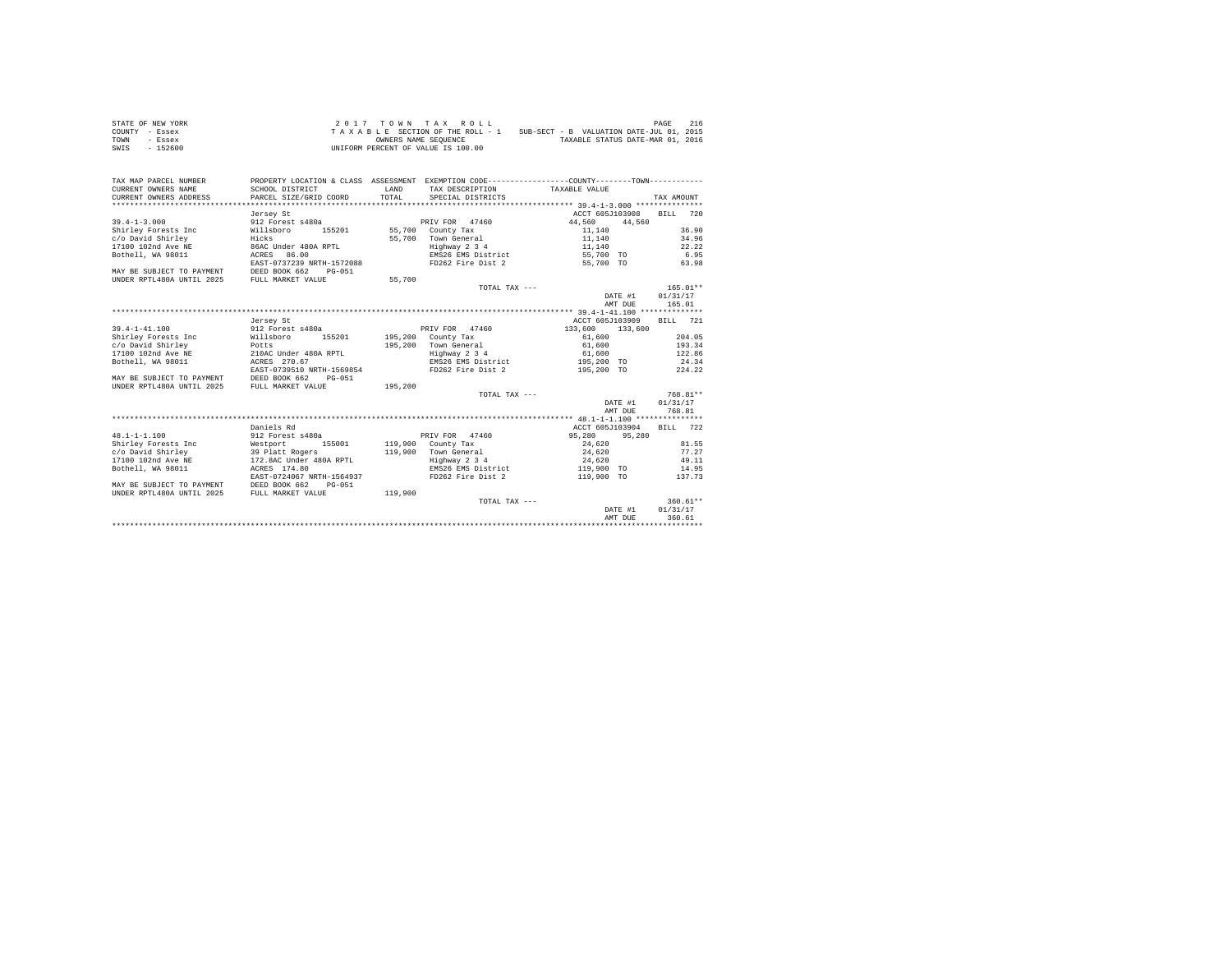| STATE OF NEW YORK | 2017 TOWN TAX ROLL                 | 216<br>PAGE                              |  |  |
|-------------------|------------------------------------|------------------------------------------|--|--|
| COUNTY - Essex    | TAXABLE SECTION OF THE ROLL - 1    | SUB-SECT - B VALUATION DATE-JUL 01, 2015 |  |  |
| TOWN<br>- Essex   | OWNERS NAME SEOUENCE               | TAXABLE STATUS DATE-MAR 01, 2016         |  |  |
| $-152600$<br>SWIS | UNIFORM PERCENT OF VALUE IS 100.00 |                                          |  |  |

| TAX MAP PARCEL NUMBER<br>CURRENT OWNERS NAME | SCHOOL DISTRICT                | LAND    | PROPERTY LOCATION & CLASS ASSESSMENT EXEMPTION CODE----------------COUNTY--------TOWN----------<br>TAX DESCRIPTION | TAXABLE VALUE   |         |                  |        |
|----------------------------------------------|--------------------------------|---------|--------------------------------------------------------------------------------------------------------------------|-----------------|---------|------------------|--------|
| CURRENT OWNERS ADDRESS                       | PARCEL SIZE/GRID COORD         | TOTAL   | SPECIAL DISTRICTS                                                                                                  |                 |         | TAX AMOUNT       |        |
|                                              |                                |         |                                                                                                                    |                 |         |                  |        |
|                                              | Jersey St                      |         |                                                                                                                    | ACCT 605J103908 |         | BTLL 720         |        |
| $39.4 - 1 - 3.000$                           | 912 Forest s480a               |         | PRIV FOR 47460                                                                                                     | 44,560          | 44.560  |                  |        |
| Shirley Forests Inc                          | Willsboro<br>155201            |         | 55,700 County Tax                                                                                                  | 11,140          |         |                  | 36.90  |
| c/o David Shirley                            | Hicks                          | 55,700  | Town General                                                                                                       | 11,140          |         |                  | 34.96  |
| 17100 102nd Ave NE                           | 86AC Under 480A RPTL           |         | Highway 2 3 4                                                                                                      | 11,140          |         |                  | 22.22  |
| Bothell, WA 98011                            | ACRES 86.00                    |         | EMS26 EMS District                                                                                                 | 55,700 TO       |         | 6.95             |        |
|                                              | EAST-0737239 NRTH-1572088      |         | FD262 Fire Dist 2                                                                                                  | 55,700 TO       |         | 63.98            |        |
| MAY BE SUBJECT TO PAYMENT DEED BOOK 662      | PG-051                         |         |                                                                                                                    |                 |         |                  |        |
| UNDER RPTL480A UNTIL 2025                    | FULL MARKET VALUE              | 55,700  |                                                                                                                    |                 |         |                  |        |
|                                              |                                |         | TOTAL TAX ---                                                                                                      |                 |         | $165.01**$       |        |
|                                              |                                |         |                                                                                                                    |                 |         | DATE #1 01/31/17 |        |
|                                              |                                |         |                                                                                                                    |                 | AMT DUE | 165.01           |        |
|                                              |                                |         |                                                                                                                    |                 |         |                  |        |
|                                              | Jersey St                      |         |                                                                                                                    | ACCT 605J103909 |         | BILL 721         |        |
| $39.4 - 1 - 41.100$                          | 912 Forest s480a               |         | PRIV FOR 47460                                                                                                     | 133,600         | 133,600 |                  |        |
| Shirley Forests Inc                          | 155201<br>Willsboro            |         | 195,200 County Tax                                                                                                 | 61,600          |         |                  | 204.05 |
| c/o David Shirley                            | Potts<br>210AC Under 480A RPTL |         | 195.200 Town General                                                                                               | 61,600          |         | 193.34           |        |
| 17100 102nd Ave NE                           |                                |         | Highway 2 3 4                                                                                                      | 61,600          |         | 122.86           |        |
| Bothell, WA 98011                            | ACRES 270.67                   |         | EMS26 EMS District 195.200 TO                                                                                      |                 |         | 24.34            |        |
|                                              | EAST-0739510 NRTH-1569854      |         | FD262 Fire Dist 2                                                                                                  | 195,200 TO      |         | 224.22           |        |
| MAY BE SUBJECT TO PAYMENT                    | DEED BOOK 662<br>$PG-0.51$     |         |                                                                                                                    |                 |         |                  |        |
| UNDER RPTL480A UNTIL 2025                    | FULL MARKET VALUE              | 195,200 |                                                                                                                    |                 |         |                  |        |
|                                              |                                |         | TOTAL TAX ---                                                                                                      |                 |         | $768.81**$       |        |
|                                              |                                |         |                                                                                                                    |                 | DATE #1 | 01/31/17         |        |
|                                              |                                |         |                                                                                                                    |                 | AMT DUE | 768.81           |        |
|                                              |                                |         |                                                                                                                    |                 |         |                  |        |
|                                              | Daniels Rd                     |         |                                                                                                                    | ACCT 605J103904 |         | BILL 722         |        |
| $48.1 - 1 - 1.100$                           | 912 Forest s480a               |         | PRIV FOR 47460                                                                                                     | 95,280          | 95,280  |                  |        |
| Shirley Forests Inc                          | 155001                         |         | 119,900 County Tax                                                                                                 | 24,620          |         |                  | 81.55  |
| c/o David Shirley                            | Westport<br>39 Platt Rogers    |         | 119.900 Town General                                                                                               | 24,620          |         |                  | 77.27  |
| 17100 102nd Ave NE                           | 172.8AC Under 480A RPTL        |         | Highway 2 3 4                                                                                                      | 24,620          |         |                  | 49.11  |
| Bothell, WA 98011                            | ACRES 174.80                   |         | EMS26 EMS District                                                                                                 | 119,900 TO      |         | 14.95            |        |
|                                              | EAST-0724067 NRTH-1564937      |         | FD262 Fire Dist 2                                                                                                  | 119,900 TO      |         | 137.73           |        |
| MAY BE SUBJECT TO PAYMENT                    | DEED BOOK 662<br>PG-051        |         |                                                                                                                    |                 |         |                  |        |
| UNDER RPTL480A UNTIL 2025                    | FULL MARKET VALUE              | 119,900 |                                                                                                                    |                 |         |                  |        |
|                                              |                                |         | TOTAL TAX ---                                                                                                      |                 |         | $360.61**$       |        |
|                                              |                                |         |                                                                                                                    |                 | DATE #1 | 01/31/17         |        |
|                                              |                                |         |                                                                                                                    |                 | AMT DUE | 360.61           |        |
|                                              |                                |         |                                                                                                                    |                 |         |                  |        |
|                                              |                                |         |                                                                                                                    |                 |         |                  |        |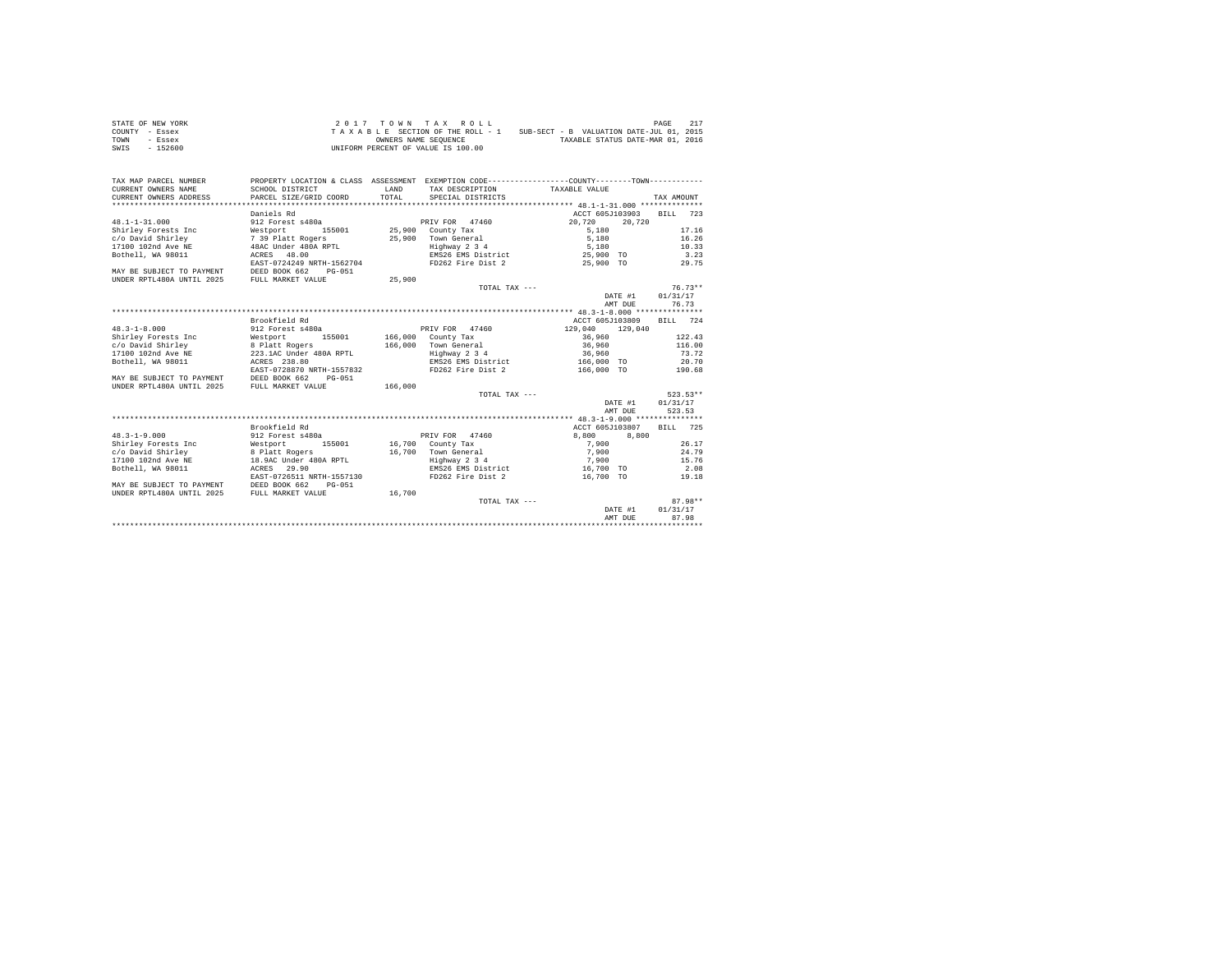| STATE OF NEW YORK | 2017 TOWN TAX ROLL                 | 217<br>PAGE                              |
|-------------------|------------------------------------|------------------------------------------|
| COUNTY - Essex    | TAXABLE SECTION OF THE ROLL - 1    | SUB-SECT - B VALUATION DATE-JUL 01, 2015 |
| TOWN<br>- Essex   | OWNERS NAME SEOUENCE               | TAXABLE STATUS DATE-MAR 01, 2016         |
| $-152600$<br>SWIS | UNIFORM PERCENT OF VALUE IS 100.00 |                                          |

| TAX MAP PARCEL NUMBER<br>CURRENT OWNERS NAME   | PROPERTY LOCATION & CLASS ASSESSMENT EXEMPTION CODE---------------COUNTY-------TOWN----------<br>SCHOOL DISTRICT | LAND    | TAX DESCRIPTION TAXABLE VALUE                            |                          |         |                  |       |
|------------------------------------------------|------------------------------------------------------------------------------------------------------------------|---------|----------------------------------------------------------|--------------------------|---------|------------------|-------|
| CURRENT OWNERS ADDRESS                         | PARCEL SIZE/GRID COORD                                                                                           | TOTAL.  | SPECIAL DISTRICTS                                        |                          |         | TAX AMOUNT       |       |
| **************************                     |                                                                                                                  |         |                                                          |                          |         |                  |       |
|                                                | Daniels Rd                                                                                                       |         |                                                          | ACCT 605J103903 BILL 723 |         |                  |       |
| $48.1 - 1 - 31.000$                            | 912 Forest s480a                                                                                                 |         | PRIV FOR 47460                                           | 20,720                   | 20.720  |                  |       |
| Shirley Forests Inc                            |                                                                                                                  |         | 25,900 County Tax                                        | 5,180                    |         |                  | 17.16 |
|                                                |                                                                                                                  |         | 25,900 Town General                                      | 5,180                    |         |                  | 16.26 |
|                                                |                                                                                                                  |         | Highway 2 3 4                                            | 5,180                    |         |                  | 10.33 |
| Bothell, WA 98011                              | ACRES 48.00                                                                                                      |         |                                                          |                          |         | 3.23             |       |
|                                                | EAST-0724249 NRTH-1562704                                                                                        |         | EMS26 EMS District 25,900 TO<br>FD262 Fire Dist 2        | 25,900 TO                |         | 29.75            |       |
| MAY BE SUBJECT TO PAYMENT DEED BOOK 662 PG-051 |                                                                                                                  |         |                                                          |                          |         |                  |       |
| UNDER RPTL480A UNTIL 2025                      | FULL MARKET VALUE                                                                                                | 25,900  |                                                          |                          |         |                  |       |
|                                                |                                                                                                                  |         |                                                          |                          |         | $76.73**$        |       |
|                                                |                                                                                                                  |         | TOTAL TAX ---                                            |                          |         |                  |       |
|                                                |                                                                                                                  |         |                                                          |                          |         | DATE #1 01/31/17 |       |
|                                                |                                                                                                                  |         |                                                          |                          | AMT DUE | 76.73            |       |
|                                                |                                                                                                                  |         |                                                          |                          |         |                  |       |
|                                                | Brookfield Rd                                                                                                    |         |                                                          | ACCT 605J103809          |         | BILL 724         |       |
| $48.3 - 1 - 8.000$                             | 912 Forest s480a                                                                                                 |         | PRIV FOR 47460                                           | 129,040 129,040          |         |                  |       |
|                                                | Shirley Forests Inc Mestport 155001                                                                              |         | 166,000 County Tax                                       | 36,960                   |         | 122.43           |       |
| c/o David Shirlev                              | 8 Platt Rogers<br>223.1AC Under 480A RPTL                                                                        |         | 166,000 Town General                                     | 36,960                   |         | 116.00           |       |
| 17100 102nd Ave NE                             |                                                                                                                  |         | 36,960 73.72 EMS26 EMS District 166,000 TO 20.70         |                          |         |                  |       |
| Bothell, WA 98011                              | ACRES 238.80                                                                                                     |         |                                                          |                          |         |                  |       |
|                                                | EAST-0728870 NRTH-1557832                                                                                        |         | FD262 Fire Dist 2 166,000 TO 190.68                      |                          |         |                  |       |
| MAY BE SUBJECT TO PAYMENT                      | DEED BOOK 662 F<br>FULL MARKET VALUE<br>PG-051                                                                   |         |                                                          |                          |         |                  |       |
| UNDER RPTL480A UNTIL 2025                      |                                                                                                                  | 166,000 |                                                          |                          |         |                  |       |
|                                                |                                                                                                                  |         | TOTAL TAX ---                                            |                          |         | $523.53**$       |       |
|                                                |                                                                                                                  |         |                                                          |                          | DATE #1 | 01/31/17         |       |
|                                                |                                                                                                                  |         |                                                          |                          | AMT DUE | 523.53           |       |
|                                                |                                                                                                                  |         |                                                          |                          |         |                  |       |
|                                                | Brookfield Rd                                                                                                    |         |                                                          | ACCT 605J103807          |         | BILL 725         |       |
| $48.3 - 1 - 9.000$                             | 912 Forest s480a                                                                                                 |         | PRIV FOR 47460                                           | 8,800 8,800              |         |                  |       |
|                                                |                                                                                                                  |         | 16,700 County Tax                                        | 7,900                    |         |                  | 26.17 |
|                                                |                                                                                                                  |         | 16,700 Town General                                      | 7,900                    |         |                  | 24.79 |
| 17100 102nd Ave NE                             | 18.9AC Under 480A RPTL                                                                                           |         |                                                          | 7,900                    |         | 15.76            |       |
| Bothell, WA 98011                              | ACRES 29.90                                                                                                      |         | Highway 2 3 4<br>EMS26 EMS District<br>FD262 Fire Dist 2 | 16,700 TO                |         | 2.08             |       |
|                                                | EAST-0726511 NRTH-1557130                                                                                        |         |                                                          | 16,700 TO                |         | 19.18            |       |
| MAY BE SUBJECT TO PAYMENT DEED BOOK 662        | PG-051                                                                                                           |         |                                                          |                          |         |                  |       |
| UNDER RPTL480A UNTIL 2025 FULL MARKET VALUE    |                                                                                                                  | 16,700  |                                                          |                          |         |                  |       |
|                                                |                                                                                                                  |         | TOTAL TAX ---                                            |                          |         | $87.98**$        |       |
|                                                |                                                                                                                  |         |                                                          |                          | DATE #1 | 01/31/17         |       |
|                                                |                                                                                                                  |         |                                                          |                          | AMT DUE | 87.98            |       |
|                                                |                                                                                                                  |         |                                                          |                          |         |                  |       |
|                                                |                                                                                                                  |         |                                                          |                          |         |                  |       |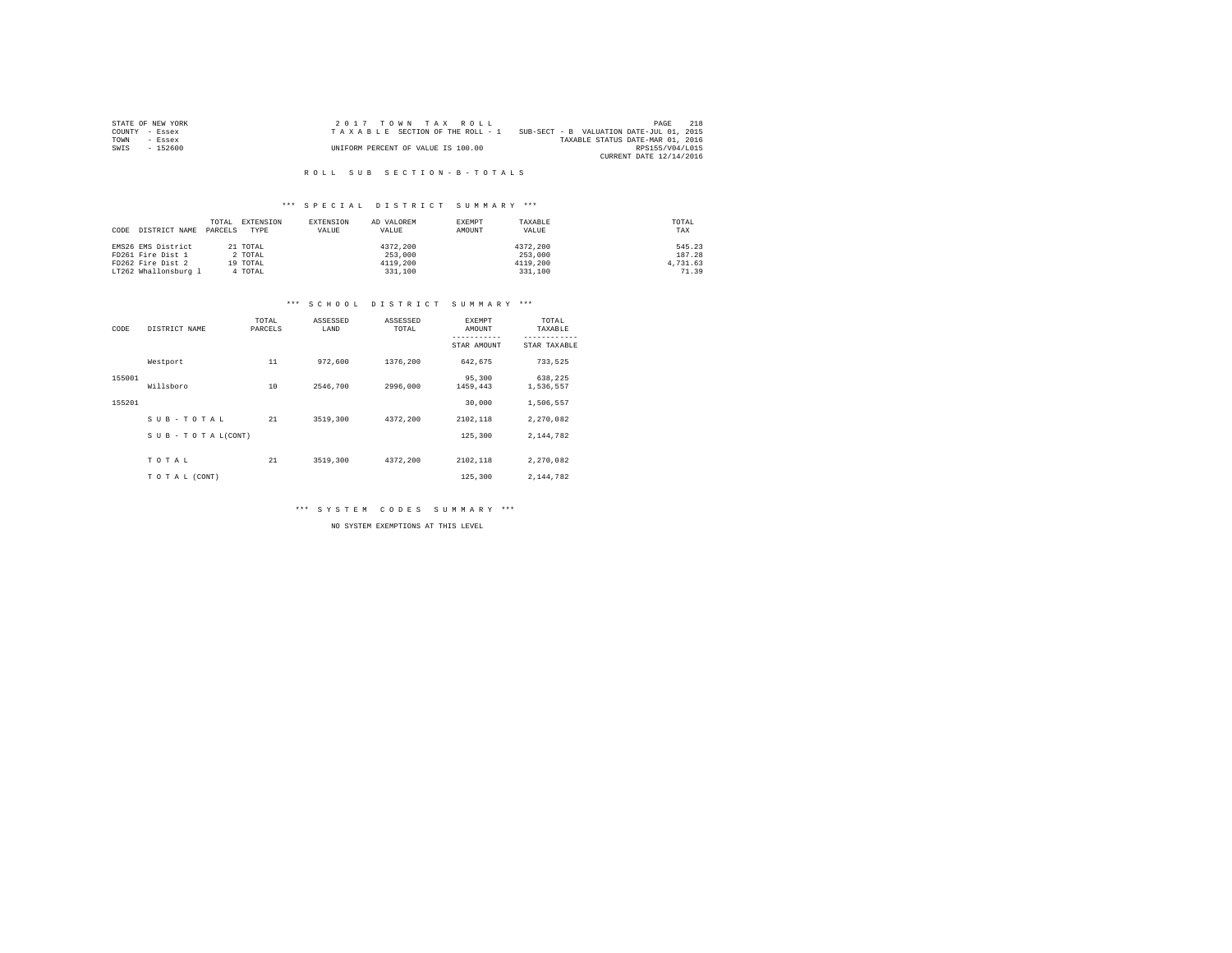| STATE OF NEW YORK | 2017 TOWN TAX ROLL                 | 2.1.8<br>PAGE                            |
|-------------------|------------------------------------|------------------------------------------|
| COUNTY - Essex    | TAXABLE SECTION OF THE ROLL - 1    | SUB-SECT - B VALUATION DATE-JUL 01, 2015 |
| TOWN<br>- Essex   |                                    | TAXABLE STATUS DATE-MAR 01, 2016         |
| $-152600$<br>SWIS | UNIFORM PERCENT OF VALUE IS 100.00 | RPS155/V04/L015                          |
|                   |                                    | CURRENT DATE 12/14/2016                  |

#### \*\*\* S P E C I A L D I S T R I C T S U M M A R Y \*\*\*

| CODE | DISTRICT NAME        | TOTAL<br>PARCELS | EXTENSION<br>TYPE | EXTENSION<br>VALUE | AD VALOREM<br>VALUE | EXEMPT<br>AMOUNT | TAXABLE<br>VALUE | TOTAL<br>TAX |
|------|----------------------|------------------|-------------------|--------------------|---------------------|------------------|------------------|--------------|
|      | EMS26 EMS District   |                  | 21 TOTAL          |                    | 4372.200            |                  | 4372.200         | 545.23       |
|      | FD261 Fire Dist 1    |                  | 2 TOTAL           |                    | 253,000             |                  | 253,000          | 187.28       |
|      | FD262 Fire Dist 2    |                  | 19 TOTAL          |                    | 4119,200            |                  | 4119,200         | 4,731.63     |
|      | LT262 Whallonsburg 1 |                  | 4 TOTAL           |                    | 331,100             |                  | 331,100          | 71.39        |

#### \*\*\* S C H O O L D I S T R I C T S U M M A R Y \*\*\*

| CODE   | DISTRICT NAME   | TOTAL<br>PARCELS | ASSESSED<br>LAND | ASSESSED<br>TOTAL | EXEMPT<br>AMOUNT   | TOTAL<br>TAXABLE     |
|--------|-----------------|------------------|------------------|-------------------|--------------------|----------------------|
|        |                 |                  |                  |                   | STAR AMOUNT        | STAR TAXABLE         |
|        | Westport        | 11               | 972,600          | 1376,200          | 642,675            | 733,525              |
| 155001 | Willsboro       | 10               | 2546,700         | 2996,000          | 95,300<br>1459,443 | 638,225<br>1,536,557 |
| 155201 |                 |                  |                  |                   | 30,000             | 1,506,557            |
|        | SUB-TOTAL       | 21               | 3519,300         | 4372.200          | 2102,118           | 2,270,082            |
|        | SUB-TOTAL(CONT) |                  |                  |                   | 125,300            | 2.144.782            |
|        | TOTAL           | 21               | 3519,300         | 4372.200          | 2102,118           | 2.270.082            |
|        | TO TAL (CONT)   |                  |                  |                   | 125,300            | 2.144.782            |

\*\*\* S Y S T E M C O D E S S U M M A R Y \*\*\*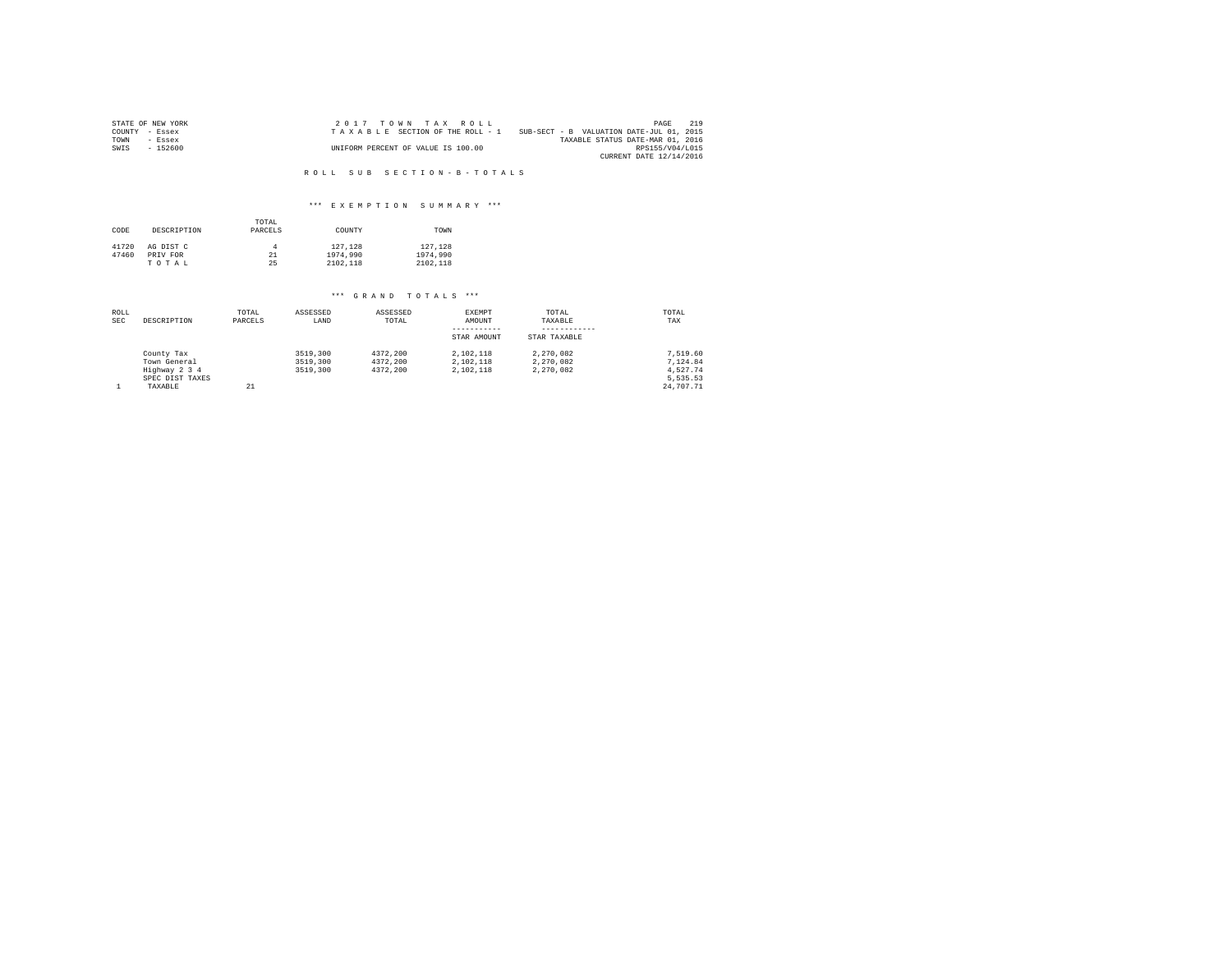|      | STATE OF NEW YORK | 2017 TOWN TAX ROLL                 |                                          | PAGE                    | 219 |
|------|-------------------|------------------------------------|------------------------------------------|-------------------------|-----|
|      | COUNTY - Essex    | TAXABLE SECTION OF THE ROLL - 1    | SUB-SECT - B VALUATION DATE-JUL 01, 2015 |                         |     |
| TOWN | - Essex           |                                    | TAXABLE STATUS DATE-MAR 01, 2016         |                         |     |
| SWIS | $-152600$         | UNIFORM PERCENT OF VALUE IS 100.00 |                                          | RPS155/V04/L015         |     |
|      |                   |                                    |                                          | CURRENT DATE 12/14/2016 |     |

#### \*\*\* E X E M P T I O N S U M M A R Y \*\*\*

| CODE  | DESCRIPTION | TOTAL<br>PARCELS | COUNTY   | TOWN     |
|-------|-------------|------------------|----------|----------|
| 41720 | AG DIST C   |                  | 127.128  | 127.128  |
| 47460 | PRIV FOR    | 21               | 1974,990 | 1974,990 |
|       | TOTAL       | 25               | 2102.118 | 2102.118 |

| ROLL<br><b>SEC</b> | DESCRIPTION                                 | TOTAL<br>PARCELS | ASSESSED<br>LAND                 | ASSESSED<br>TOTAL                | EXEMPT<br>AMOUNT                    | TOTAL<br>TAXABLE                    | TOTAL<br>TAX                     |
|--------------------|---------------------------------------------|------------------|----------------------------------|----------------------------------|-------------------------------------|-------------------------------------|----------------------------------|
|                    |                                             |                  |                                  |                                  | -----------<br>STAR AMOUNT          | STAR TAXABLE                        |                                  |
|                    | County Tax<br>Town General<br>Highway 2 3 4 |                  | 3519,300<br>3519,300<br>3519,300 | 4372.200<br>4372,200<br>4372.200 | 2.102.118<br>2.102.118<br>2.102.118 | 2.270.082<br>2.270.082<br>2.270.082 | 7.519.60<br>7.124.84<br>4.527.74 |
|                    | SPEC DIST TAXES<br>TAXABLE                  | 21               |                                  |                                  |                                     |                                     | 5.535.53<br>24,707.71            |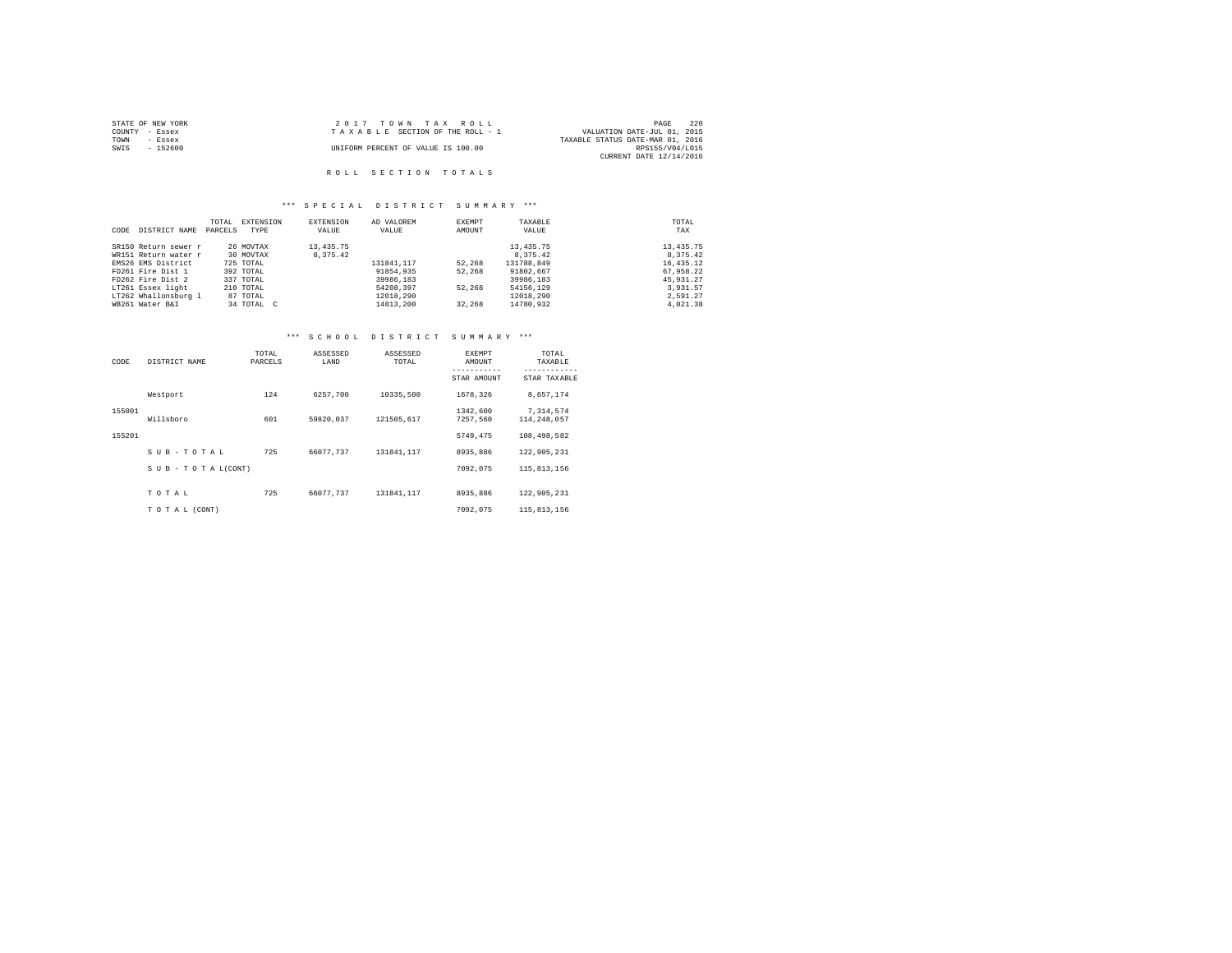| STATE OF NEW YORK |          | 2017 TOWN TAX ROLL                 |                                  | PAGE | 2.2.0 |
|-------------------|----------|------------------------------------|----------------------------------|------|-------|
| COUNTY - Essex    |          | TAXABLE SECTION OF THE ROLL - 1    | VALUATION DATE-JUL 01, 2015      |      |       |
| TOWN<br>- Essex   |          |                                    | TAXABLE STATUS DATE-MAR 01, 2016 |      |       |
| SWIS              | - 152600 | UNIFORM PERCENT OF VALUE IS 100.00 | RPS155/V04/L015                  |      |       |
|                   |          |                                    | CURRENT DATE 12/14/2016          |      |       |
|                   |          |                                    |                                  |      |       |

## \*\*\* S P E C I A L D I S T R I C T S U M M A R Y \*\*\*

|      |                      | TOTAL   | EXTENSION  | EXTENSION   | AD VALOREM | EXEMPT | TAXABLE     | TOTAL     |
|------|----------------------|---------|------------|-------------|------------|--------|-------------|-----------|
| CODE | DISTRICT NAME        | PARCELS | TYPE       | VALUE       | VALUE      | AMOUNT | VALUE       | TAX       |
|      |                      |         |            |             |            |        |             |           |
|      | SR150 Return sewer r |         | 26 MOVTAX  | 13, 435. 75 |            |        | 13, 435. 75 | 13,435.75 |
|      | WR151 Return water r |         | 30 MOVTAX  | 8,375.42    |            |        | 8,375.42    | 8.375.42  |
|      | EMS26 EMS District   |         | 725 TOTAL  |             | 131841.117 | 52,268 | 131788.849  | 16,435.12 |
|      | FD261 Fire Dist 1    |         | 392 TOTAL  |             | 91854,935  | 52,268 | 91802.667   | 67.958.22 |
|      | FD262 Fire Dist 2    |         | 337 TOTAL  |             | 39986,183  |        | 39986,183   | 45.931.27 |
|      | LT261 Essex light    |         | 210 TOTAL  |             | 54208,397  | 52,268 | 54156.129   | 3.931.57  |
|      | LT262 Whallonsburg 1 |         | 87 TOTAL   |             | 12018.290  |        | 12018.290   | 2.591.27  |
|      | WB261 Water B&I      |         | 34 TOTAL C |             | 14813,200  | 32,268 | 14780.932   | 4.021.38  |

# \*\*\* S C H O O L D I S T R I C T S U M M A R Y \*\*\*

| CODE   | DISTRICT NAME             | TOTAL<br>PARCELS | ASSESSED<br>LAND | ASSESSED<br>TOTAL | EXEMPT<br>AMOUNT<br>----------- | TOTAL<br>TAXABLE<br>------------ |
|--------|---------------------------|------------------|------------------|-------------------|---------------------------------|----------------------------------|
|        |                           |                  |                  |                   | STAR AMOUNT                     | STAR TAXABLE                     |
|        | Westport                  | 124              | 6257.700         | 10335,500         | 1678.326                        | 8.657.174                        |
| 155001 |                           |                  |                  |                   | 1342,600                        | 7,314,574                        |
|        | Willsboro                 | 601              | 59820.037        | 121505.617        | 7257.560                        | 114,248,057                      |
| 155201 |                           |                  |                  |                   | 5749.475                        | 108,498,582                      |
|        | SUB-TOTAL                 | 725              | 66077.737        | 131841.117        | 8935,886                        | 122,905,231                      |
|        | $S$ U B - T O T A L(CONT) |                  |                  |                   | 7092.075                        | 115,813,156                      |
|        | TOTAL                     | 725              | 66077.737        | 131841.117        | 8935,886                        | 122,905,231                      |
|        | TO TAL (CONT)             |                  |                  |                   | 7092.075                        | 115,813,156                      |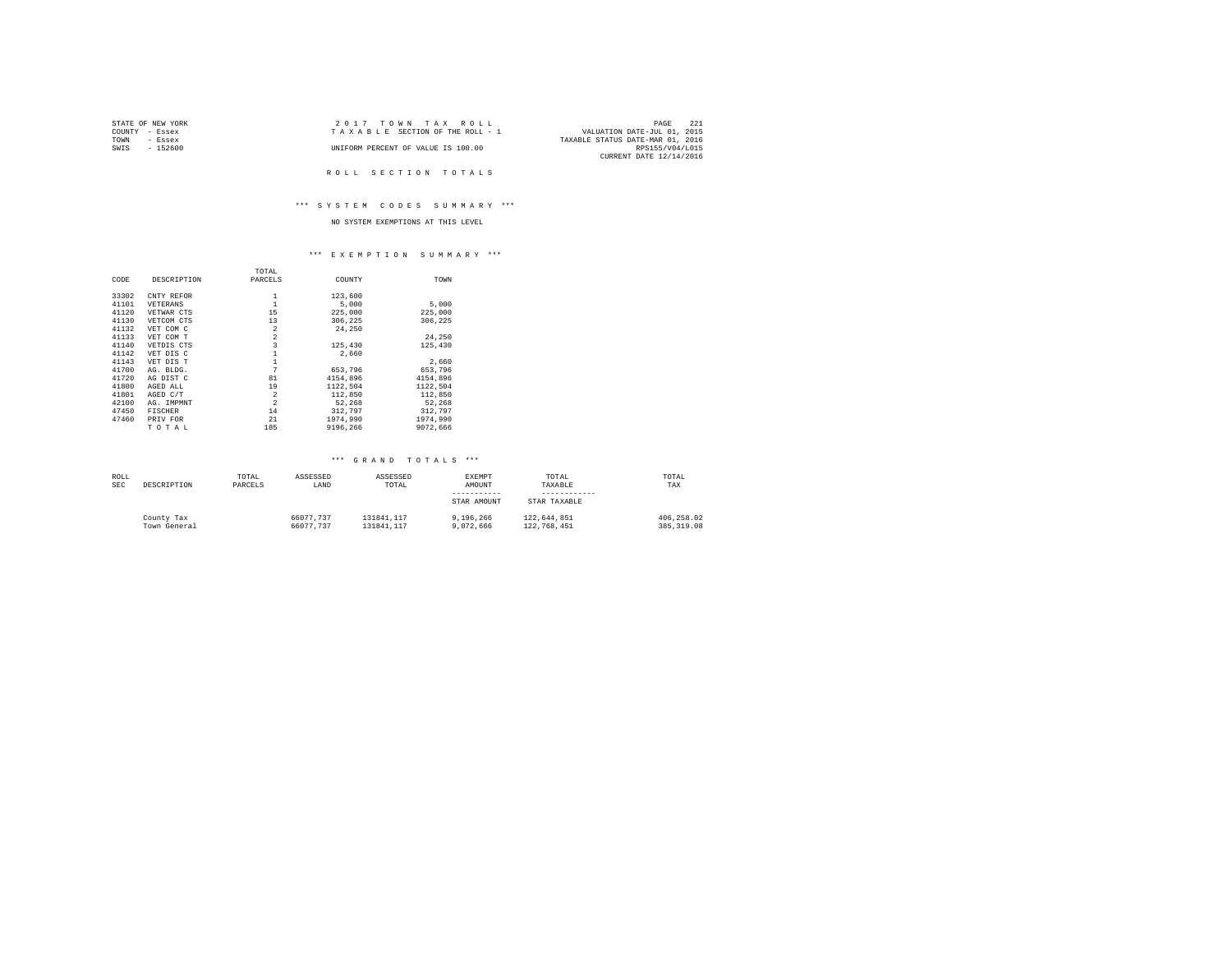|      | STATE OF NEW YORK | $2.017$ TOWN TAX ROLL              | PAGE                             | - 221 |
|------|-------------------|------------------------------------|----------------------------------|-------|
|      | COUNTY - Essex    | TAXABLE SECTION OF THE ROLL - 1    | VALUATION DATE-JUL 01, 2015      |       |
| TOWN | - Essex           |                                    | TAXABLE STATUS DATE-MAR 01, 2016 |       |
| SWIS | - 152600          | UNIFORM PERCENT OF VALUE IS 100.00 | RPS155/V04/L015                  |       |
|      |                   |                                    | CURRENT DATE 12/14/2016          |       |

#### \*\*\* S Y S T E M C O D E S S U M M A R Y \*\*\*

# NO SYSTEM EXEMPTIONS AT THIS LEVEL

#### \*\*\* E X E M P T I O N S U M M A R Y \*\*\*

|       |                | TOTAL                   |          |          |
|-------|----------------|-------------------------|----------|----------|
| CODE  | DESCRIPTION    | PARCELS                 | COUNTY   | TOWN     |
| 33302 | CNTY REFOR     |                         | 123,600  |          |
| 41101 | VETERANS       | 1                       | 5,000    | 5,000    |
| 41120 | VETWAR CTS     | 15                      | 225,000  | 225,000  |
| 41130 | VETCOM CTS     | 13                      | 306.225  | 306.225  |
| 41132 | VET COM C      | $\overline{a}$          | 24,250   |          |
| 41133 | VET COM T      | $\overline{a}$          |          | 24,250   |
| 41140 | VETDIS CTS     | $\overline{\mathbf{3}}$ | 125,430  | 125,430  |
| 41142 | VET DIS C      |                         | 2.660    |          |
| 41143 | VET DIS T      |                         |          | 2.660    |
| 41700 | AG. BLDG.      | 7                       | 653,796  | 653,796  |
| 41720 | AG DIST C      | 81                      | 4154,896 | 4154,896 |
| 41800 | AGED ALL       | 19                      | 1122,504 | 1122.504 |
| 41801 | AGED C/T       | $\overline{2}$          | 112,850  | 112,850  |
| 42100 | AG. IMPMNT     | $\overline{2}$          | 52.268   | 52.268   |
| 47450 | <b>FISCHER</b> | 14                      | 312,797  | 312,797  |
| 47460 | PRIV FOR       | 21                      | 1974,990 | 1974,990 |
|       | TOTAL          | 185                     | 9196,266 | 9072.666 |

| ROLL       |              | TOTAL   | ASSESSED  | ASSESSED   | EXEMPT      | TOTAL        | TOTAL        |
|------------|--------------|---------|-----------|------------|-------------|--------------|--------------|
| <b>SEC</b> | DESCRIPTION  | PARCELS | LAND      | TOTAL      | AMOUNT      | TAXABLE      | TAX          |
|            |              |         |           |            |             |              |              |
|            |              |         |           |            | STAR AMOUNT | STAR TAXABLE |              |
|            | County Tax   |         | 66077.737 | 131841.117 | 9.196.266   | 122.644.851  | 406.258.02   |
|            | Town General |         | 66077.737 | 131841.117 | 9,072,666   | 122,768,451  | 385, 319, 08 |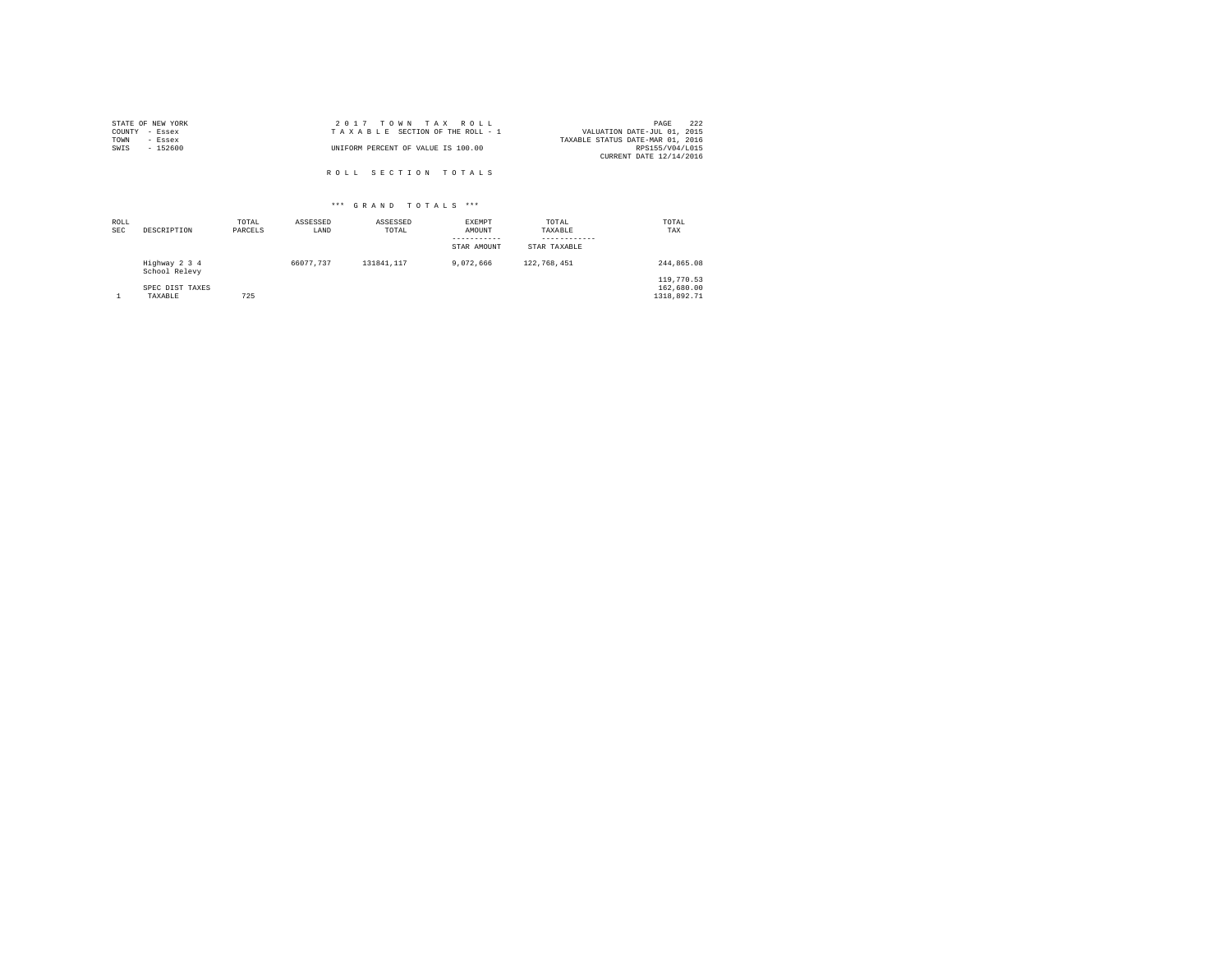| STATE OF NEW YORK | 2017 TOWN TAX ROLL                 | 222<br>PAGE                      |
|-------------------|------------------------------------|----------------------------------|
| COUNTY - Essex    | TAXABLE SECTION OF THE ROLL - 1    | VALUATION DATE-JUL 01, 2015      |
| TOWN<br>- Essex   |                                    | TAXABLE STATUS DATE-MAR 01, 2016 |
| SWIS<br>$-152600$ | UNIFORM PERCENT OF VALUE IS 100.00 | RPS155/V04/L015                  |
|                   |                                    | CURRENT DATE 12/14/2016          |
|                   | ROLL SECTION TOTALS                |                                  |

| ROLL<br><b>SEC</b> | DESCRIPTION                    | TOTAL<br>PARCELS | ASSESSED<br>LAND | ASSESSED<br>TOTAL | <b>EXEMPT</b><br>AMOUNT<br>-----------<br>STAR AMOUNT | TOTAL<br>TAXABLE<br>STAR TAXABLE | TOTAL<br>TAX                            |
|--------------------|--------------------------------|------------------|------------------|-------------------|-------------------------------------------------------|----------------------------------|-----------------------------------------|
|                    | Highway 2 3 4<br>School Relevy |                  | 66077.737        | 131841.117        | 9,072,666                                             | 122,768,451                      | 244.865.08                              |
|                    | SPEC DIST TAXES<br>TAXABLE     | 725              |                  |                   |                                                       |                                  | 119,770.53<br>162,680.00<br>1318,892.71 |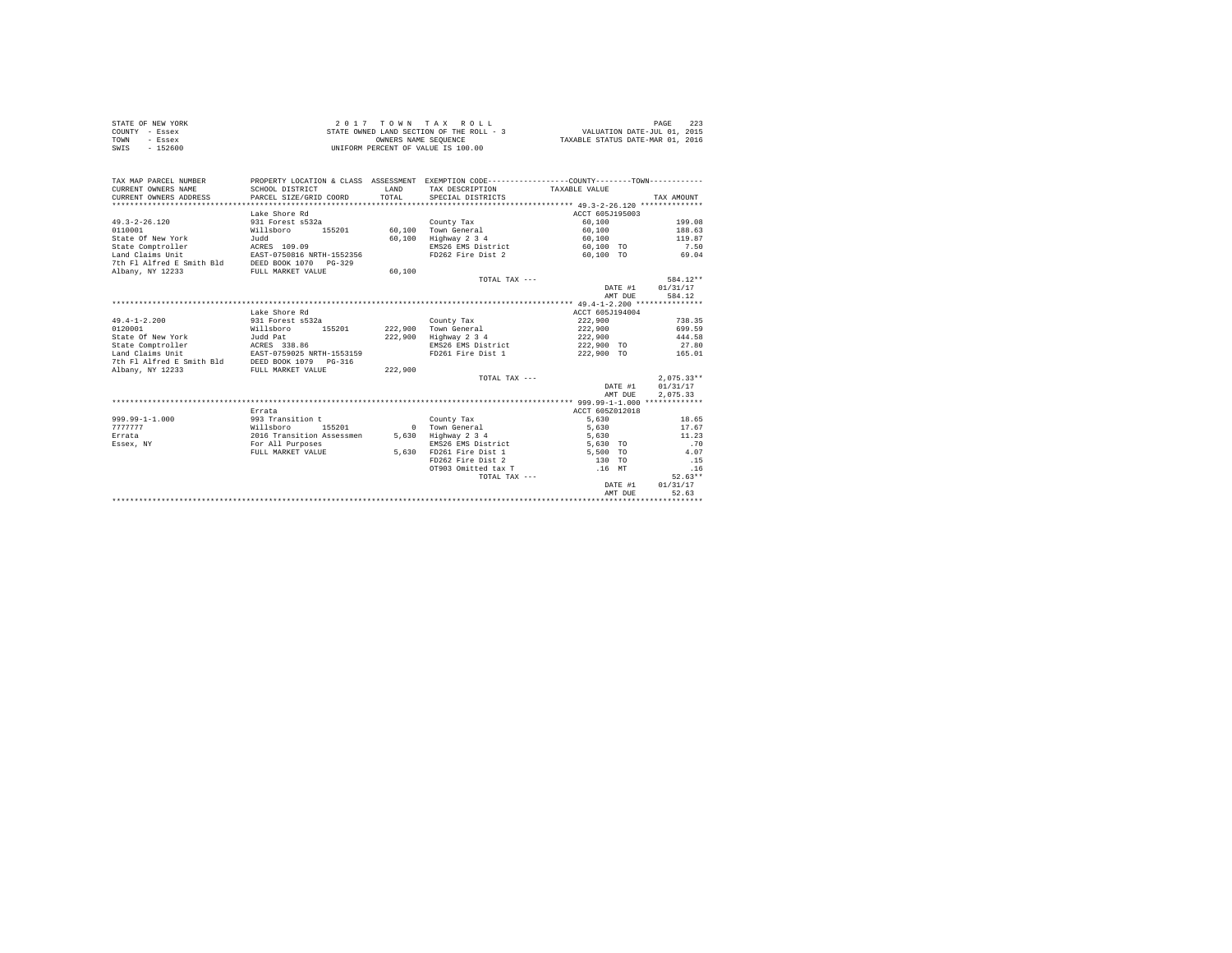| STATE OF NEW YORK | 2017 TOWN TAX ROLL                       | PAGE                             |
|-------------------|------------------------------------------|----------------------------------|
| COUNTY - Essex    | STATE OWNED LAND SECTION OF THE ROLL - 3 | VALUATION DATE-JUL 01, 2015      |
| TOWN<br>- Essex   | OWNERS NAME SEOUENCE                     | TAXABLE STATUS DATE-MAR 01, 2016 |
| $-152600$<br>SWIS | UNIFORM PERCENT OF VALUE IS 100.00       |                                  |

| TAX MAP PARCEL NUMBER<br>CURRENT OWNERS NAME    | PROPERTY LOCATION & CLASS ASSESSMENT EXEMPTION CODE---------------COUNTY-------TOWN---------<br>SCHOOL DISTRICT | LAND    | TAX DESCRIPTION TAXABLE VALUE                |                             |                  |
|-------------------------------------------------|-----------------------------------------------------------------------------------------------------------------|---------|----------------------------------------------|-----------------------------|------------------|
| CURRENT OWNERS ADDRESS                          | PARCEL SIZE/GRID COORD                                                                                          | TOTAL.  | SPECIAL DISTRICTS                            |                             | TAX AMOUNT       |
|                                                 | Lake Shore Rd                                                                                                   |         |                                              | ACCT 605J195003             |                  |
| $49.3 - 2 - 26.120$                             | 931 Forest s532a                                                                                                |         | County Tax                                   | 60,100                      | 199.08           |
| 0110001                                         | 155201<br>Willsboro                                                                                             |         | 60,100 Town General                          | 60,100                      | 188.63           |
| State Of New York                               | Judd                                                                                                            | 60,100  | Highway 2 3 4                                | 60,100                      | 119.87           |
| State Comptroller                               | ACRES 109.09                                                                                                    |         | EMS26 EMS District                           | 60,100 TO                   | 7.50             |
| Land Claims Unit                                | EAST-0750816 NRTH-1552356                                                                                       |         |                                              | FD262 Fire Dist 2 60.100 TO | 69.04            |
| 7th Fl Alfred E Smith Bld DEED BOOK 1070 PG-329 |                                                                                                                 |         |                                              |                             |                  |
| Albany, NY 12233                                | FULL MARKET VALUE                                                                                               | 60,100  |                                              |                             |                  |
|                                                 |                                                                                                                 |         | TOTAL TAX ---                                |                             | 584.12**         |
|                                                 |                                                                                                                 |         |                                              |                             | DATE #1 01/31/17 |
|                                                 |                                                                                                                 |         |                                              | AMT DUE                     | 584.12           |
|                                                 |                                                                                                                 |         |                                              |                             |                  |
|                                                 | Lake Shore Rd                                                                                                   |         |                                              | ACCT 605J194004             |                  |
| $49.4 - 1 - 2.200$                              | 931 Forest s532a                                                                                                |         | County Tax                                   | 222,900                     | 738.35           |
| 0120001                                         | Willsboro<br>155201                                                                                             |         | 222,900 Town General                         | 222,900                     | 699.59           |
| State Of New York                               | Judd Pat                                                                                                        |         | 222.900 Highway 2 3 4                        | 222,900                     | 444.58           |
| State Comptroller                               | ACRES 338.86                                                                                                    |         | EMS26 EMS District                           | 222,900 TO                  | 27.80            |
| Land Claims Unit                                | EAST-0759025 NRTH-1553159                                                                                       |         | FD261 Fire Dist 1                            | 222,900 TO                  | 165.01           |
| 7th Fl Alfred E Smith Bld DEED BOOK 1079 PG-316 |                                                                                                                 |         |                                              |                             |                  |
| Albany, NY 12233                                | FULL MARKET VALUE                                                                                               | 222,900 |                                              |                             |                  |
|                                                 |                                                                                                                 |         | TOTAL TAX $---$                              |                             | $2.075.33**$     |
|                                                 |                                                                                                                 |         |                                              |                             | DATE #1 01/31/17 |
|                                                 |                                                                                                                 |         |                                              | AMT DUE                     | 2.075.33         |
|                                                 |                                                                                                                 |         |                                              |                             |                  |
|                                                 | Errata                                                                                                          |         |                                              | ACCT 605Z012018             |                  |
| $999.99 - 1 - 1.000$                            | 993 Transition t                                                                                                |         | County Tax                                   | 5,630                       | 18.65            |
| 7777777                                         | Willsboro<br>155201                                                                                             |         | 0 Town General                               | 5,630                       | 17.67            |
| Errata                                          | 2016 Transition Assessmen                                                                                       | 5,630   | Highway 2 3 4                                | 5,630                       | 11.23<br>.70     |
| Essex, NY                                       | For All Purposes                                                                                                |         | EMS26 EMS District                           | 5,630 TO                    |                  |
|                                                 | FULL MARKET VALUE                                                                                               |         | 5,630 FD261 Fire Dist 1<br>FD262 Fire Dist 2 | 5,500 TO                    | 4.07<br>.15      |
|                                                 |                                                                                                                 |         | OT903 Omitted tax T                          | 130 TO<br>.16 MT            | .16              |
|                                                 |                                                                                                                 |         | TOTAL TAX ---                                |                             | $52.63**$        |
|                                                 |                                                                                                                 |         |                                              | DATE #1                     | 01/31/17         |
|                                                 |                                                                                                                 |         |                                              | AMT DUE                     | 52.63            |
|                                                 |                                                                                                                 |         |                                              |                             |                  |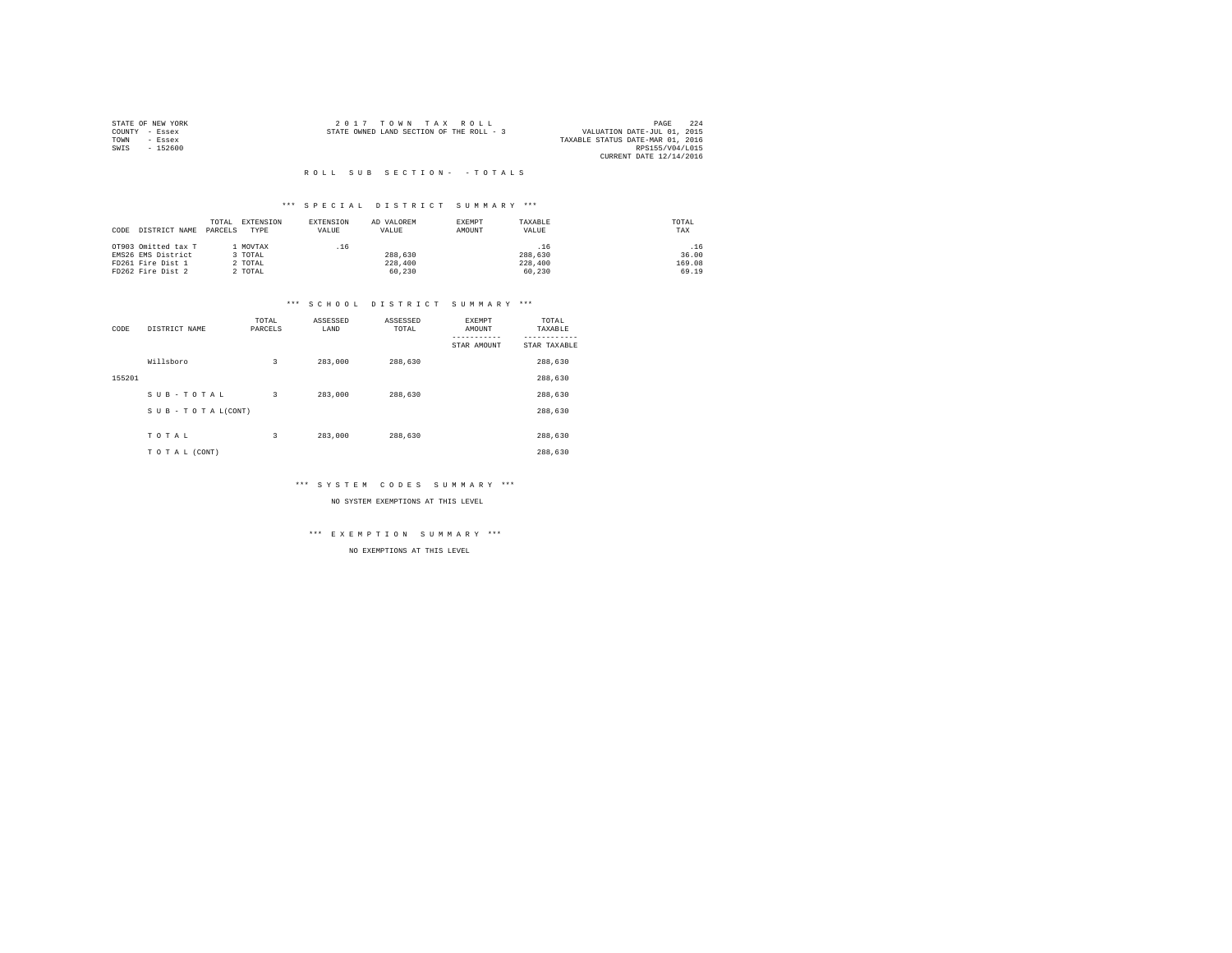|                | STATE OF NEW YORK | 2017 TOWN TAX ROLL                       |  |  |                                  | PAGE            | 224 |
|----------------|-------------------|------------------------------------------|--|--|----------------------------------|-----------------|-----|
| COUNTY - Essex |                   | STATE OWNED LAND SECTION OF THE ROLL - 3 |  |  | VALUATION DATE-JUL 01, 2015      |                 |     |
| TOWN           | - Essex           |                                          |  |  | TAXABLE STATUS DATE-MAR 01, 2016 |                 |     |
| SWIS           | $-152600$         |                                          |  |  |                                  | RPS155/V04/L015 |     |
|                |                   |                                          |  |  | CURRENT DATE 12/14/2016          |                 |     |

#### \*\*\* S P E C I A L D I S T R I C T S U M M A R Y \*\*\*

| CODE | DISTRICT NAME       | TOTAL<br>PARCELS | EXTENSION<br>TYPE | EXTENSION<br>VALUE | AD VALOREM<br>VALUE | EXEMPT<br>AMOUNT | TAXABLE<br>VALUE | TOTAL<br>TAX |
|------|---------------------|------------------|-------------------|--------------------|---------------------|------------------|------------------|--------------|
|      | OT903 Omitted tax T |                  | MOVTAX            | .16                |                     |                  | .16              | .16          |
|      | EMS26 EMS District  |                  | 3 TOTAL           |                    | 288,630             |                  | 288,630          | 36.00        |
|      | FD261 Fire Dist 1   |                  | 2 TOTAL           |                    | 228,400             |                  | 228,400          | 169.08       |
|      | FD262 Fire Dist 2   |                  | 2 TOTAL           |                    | 60.230              |                  | 60.230           | 69.19        |

# \*\*\* S C H O O L D I S T R I C T S U M M A R Y \*\*\*

| CODE   | DISTRICT NAME      | TOTAL<br>PARCELS | ASSESSED<br>LAND | ASSESSED<br>TOTAL | <b>EXEMPT</b><br>AMOUNT | TOTAL<br>TAXABLE |
|--------|--------------------|------------------|------------------|-------------------|-------------------------|------------------|
|        |                    |                  |                  |                   | STAR AMOUNT             | STAR TAXABLE     |
|        | Willsboro          | 3                | 283,000          | 288,630           |                         | 288,630          |
| 155201 |                    |                  |                  |                   |                         | 288,630          |
|        | SUB-TOTAL          | 3                | 283,000          | 288,630           |                         | 288,630          |
|        | SUB - TO TAL(CONT) |                  |                  |                   |                         | 288,630          |
|        |                    |                  |                  |                   |                         |                  |
|        | TOTAL              | 3                | 283,000          | 288,630           |                         | 288,630          |
|        | TO TAL (CONT)      |                  |                  |                   |                         | 288,630          |

#### \*\*\* S Y S T E M C O D E S S U M M A R Y \*\*\*

NO SYSTEM EXEMPTIONS AT THIS LEVEL

#### \*\*\* E X E M P T I O N S U M M A R Y \*\*\*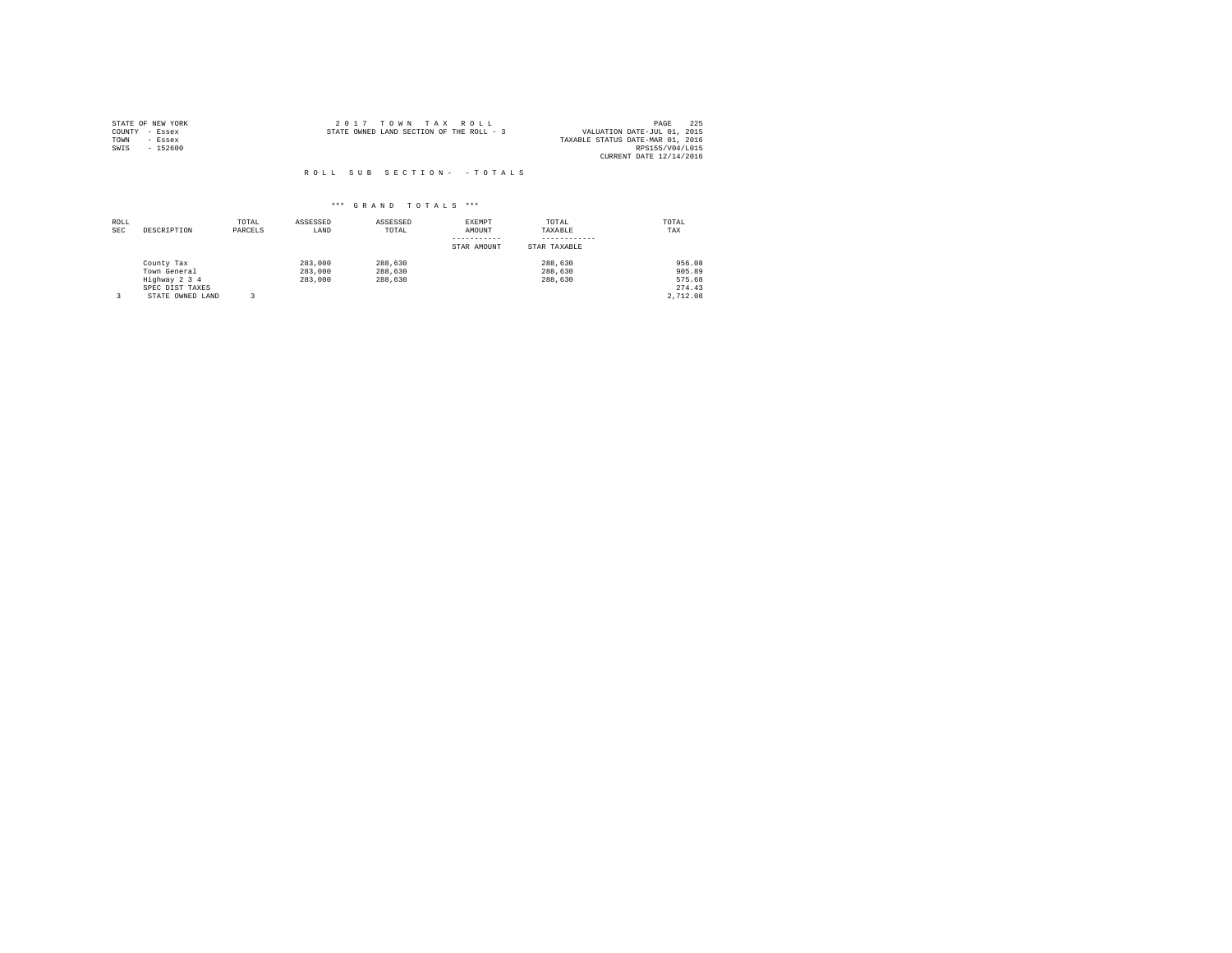| STATE OF NEW YORK | 2017 TOWN TAX ROLL                       | 225<br>PAGE                      |
|-------------------|------------------------------------------|----------------------------------|
| COUNTY - Essex    | STATE OWNED LAND SECTION OF THE ROLL - 3 | VALUATION DATE-JUL 01, 2015      |
| TOWN<br>- Essex   |                                          | TAXABLE STATUS DATE-MAR 01, 2016 |
| $-152600$<br>SWIS |                                          | RPS155/V04/L015                  |
|                   |                                          | CURRENT DATE 12/14/2016          |

| ROLL<br><b>SEC</b> | DESCRIPTION      | TOTAL<br>PARCELS | ASSESSED<br>LAND | ASSESSED<br>TOTAL | EXEMPT<br>AMOUNT | TOTAL<br>TAXABLE | TOTAL<br>TAX |
|--------------------|------------------|------------------|------------------|-------------------|------------------|------------------|--------------|
|                    |                  |                  |                  |                   | STAR AMOUNT      | STAR TAXABLE     |              |
|                    | County Tax       |                  | 283,000          | 288,630           |                  | 288,630          | 956.08       |
|                    | Town General     |                  | 283,000          | 288,630           |                  | 288,630          | 905.89       |
|                    | Highway 2 3 4    |                  | 283,000          | 288,630           |                  | 288,630          | 575.68       |
|                    | SPEC DIST TAXES  |                  |                  |                   |                  |                  | 274.43       |
|                    | STATE OWNED LAND |                  |                  |                   |                  |                  | 2.712.08     |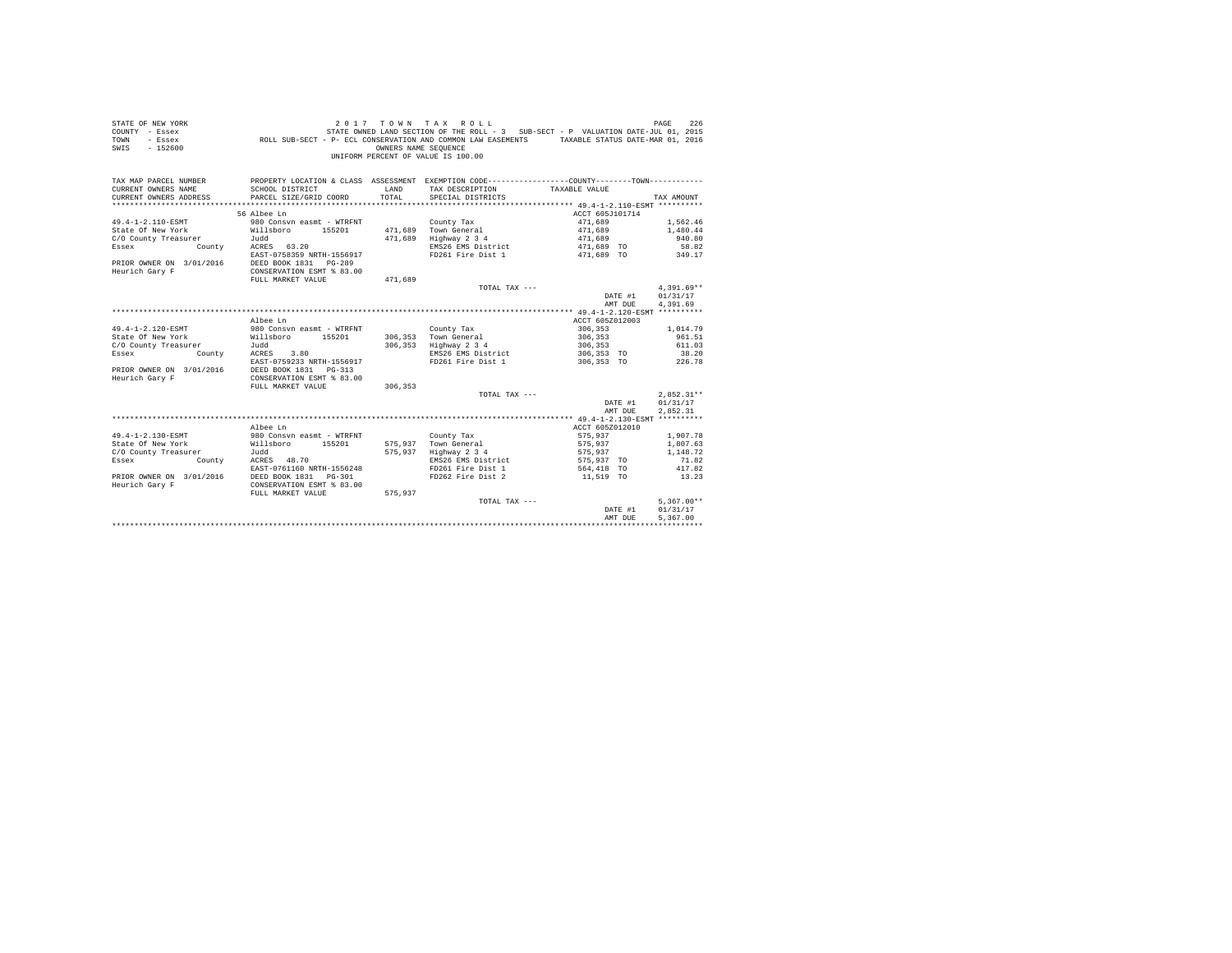|                | STATE OF NEW YORK | 2017 TOWN TAX ROLL                                                                               | PAGE | 226 |
|----------------|-------------------|--------------------------------------------------------------------------------------------------|------|-----|
| COUNTY - Essex |                   | STATE OWNED LAND SECTION OF THE ROLL - 3 SUB-SECT - P VALUATION DATE-JUL 01, 2015                |      |     |
| TOWN           | $-$ Essex         | TAXABLE STATUS DATE-MAR 01, 2016<br>ROLL SUB-SECT - P- ECL CONSERVATION AND COMMON LAW EASEMENTS |      |     |
| SWIS           | - 152600          | OWNERS NAME SEOUENCE                                                                             |      |     |
|                |                   | UNIFORM PERCENT OF VALUE IS 100.00                                                               |      |     |

| TAX MAP PARCEL NUMBER<br>CURRENT OWNERS NAME<br>CURRENT OWNERS ADDRESS | SCHOOL DISTRICT<br>PARCEL SIZE/GRID COORD | <b>T.AND</b><br>TOTAL | PROPERTY LOCATION & CLASS ASSESSMENT EXEMPTION CODE----------------COUNTY--------TOWN----------<br>TAX DESCRIPTION<br>SPECIAL DISTRICTS | TAXABLE VALUE     | TAX AMOUNT   |
|------------------------------------------------------------------------|-------------------------------------------|-----------------------|-----------------------------------------------------------------------------------------------------------------------------------------|-------------------|--------------|
|                                                                        | 56 Albee Ln                               |                       |                                                                                                                                         | ACCT 605J101714   |              |
| 49.4-1-2.110-ESMT                                                      | 980 Consyn easmt - WTRFNT                 |                       | County Tax                                                                                                                              | 471,689           | 1.562.46     |
| State Of New York                                                      | 155201<br>Willsboro                       | 471.689               | Town General                                                                                                                            | 471,689           | 1,480.44     |
| C/O County Treasurer                                                   | Judd                                      | 471.689               | Highway 2 3 4                                                                                                                           | 471,689           | 940.80       |
| County<br>Essex                                                        | ACRES 63.20                               |                       | EMS26 EMS District                                                                                                                      | 471,689 TO        | 58.82        |
|                                                                        | EAST-0758359 NRTH-1556917                 |                       | FD261 Fire Dist 1                                                                                                                       | 471,689 TO        | 349.17       |
| PRIOR OWNER ON 3/01/2016                                               | DEED BOOK 1831 PG-289                     |                       |                                                                                                                                         |                   |              |
| Heurich Gary F                                                         | CONSERVATION ESMT % 83.00                 |                       |                                                                                                                                         |                   |              |
|                                                                        | FULL MARKET VALUE                         | 471,689               |                                                                                                                                         |                   |              |
|                                                                        |                                           |                       | TOTAL TAX ---                                                                                                                           |                   | $4.391.69**$ |
|                                                                        |                                           |                       |                                                                                                                                         | DATE #1           | 01/31/17     |
|                                                                        |                                           |                       |                                                                                                                                         | AMT DUE           | 4.391.69     |
|                                                                        |                                           |                       |                                                                                                                                         |                   |              |
|                                                                        | Albee Ln                                  |                       |                                                                                                                                         | ACCT 605Z012003   |              |
| 49.4-1-2.120-ESMT                                                      | 980 Consyn easmt - WTRFNT                 |                       | County Tax                                                                                                                              | 306,353           | 1,014.79     |
| State Of New York                                                      | Willsboro 155201                          | 306,353               | Town General                                                                                                                            | 306.353           | 961.51       |
| C/O County Treasurer                                                   | Judd                                      | 306,353               | Highway 2 3 4                                                                                                                           | 306,353           | 611.03       |
| Essex<br>County                                                        | 3.80<br>ACRES                             |                       | EMS26 EMS District                                                                                                                      | 306,353 TO        | 38.20        |
|                                                                        | EAST-0759233 NRTH-1556917                 |                       | FD261 Fire Dist 1                                                                                                                       | 306.353 TO 226.78 |              |
| PRIOR OWNER ON 3/01/2016                                               | DEED BOOK 1831   PG-313                   |                       |                                                                                                                                         |                   |              |
| Heurich Gary F                                                         | CONSERVATION ESMT % 83.00                 |                       |                                                                                                                                         |                   |              |
|                                                                        | FULL MARKET VALUE                         | 306,353               |                                                                                                                                         |                   |              |
|                                                                        |                                           |                       | TOTAL TAX ---                                                                                                                           |                   | $2.852.31**$ |
|                                                                        |                                           |                       |                                                                                                                                         | DATE #1           | 01/31/17     |
|                                                                        |                                           |                       |                                                                                                                                         | AMT DUE           | 2.852.31     |
|                                                                        |                                           |                       |                                                                                                                                         |                   |              |
|                                                                        | Albee Ln                                  |                       |                                                                                                                                         | ACCT 605Z012010   |              |
| 49.4-1-2.130-ESMT                                                      | 980 Consyn easmt - WTRFNT                 |                       | County Tax                                                                                                                              | 575,937           | 1,907.78     |
| State Of New York                                                      | Willsboro<br>155201                       | 575,937               | Town General                                                                                                                            | 575,937           | 1,807.63     |
| C/O County Treasurer                                                   | Judd                                      | 575,937               | Highway 2 3 4                                                                                                                           | 575.937           | 1,148.72     |
| Essex<br>County                                                        | ACRES 48.70                               |                       | EMS26 EMS District                                                                                                                      | 575,937 TO        | 71.82        |
|                                                                        | EAST-0761160 NRTH-1556248                 |                       | FD261 Fire Dist 1                                                                                                                       | 564,418 TO        | 417.82       |
| PRIOR OWNER ON 3/01/2016                                               | DEED BOOK 1831   PG-301                   |                       | FD262 Fire Dist 2                                                                                                                       | 11,519 TO         | 13.23        |
| Heurich Gary F                                                         | CONSERVATION ESMT % 83.00                 |                       |                                                                                                                                         |                   |              |
|                                                                        | FULL MARKET VALUE                         | 575,937               |                                                                                                                                         |                   |              |
|                                                                        |                                           |                       | TOTAL TAX ---                                                                                                                           |                   | $5.367.00**$ |
|                                                                        |                                           |                       |                                                                                                                                         | DATE #1           | 01/31/17     |
|                                                                        |                                           |                       |                                                                                                                                         | AMT DUE           | 5.367.00     |
|                                                                        |                                           |                       |                                                                                                                                         |                   |              |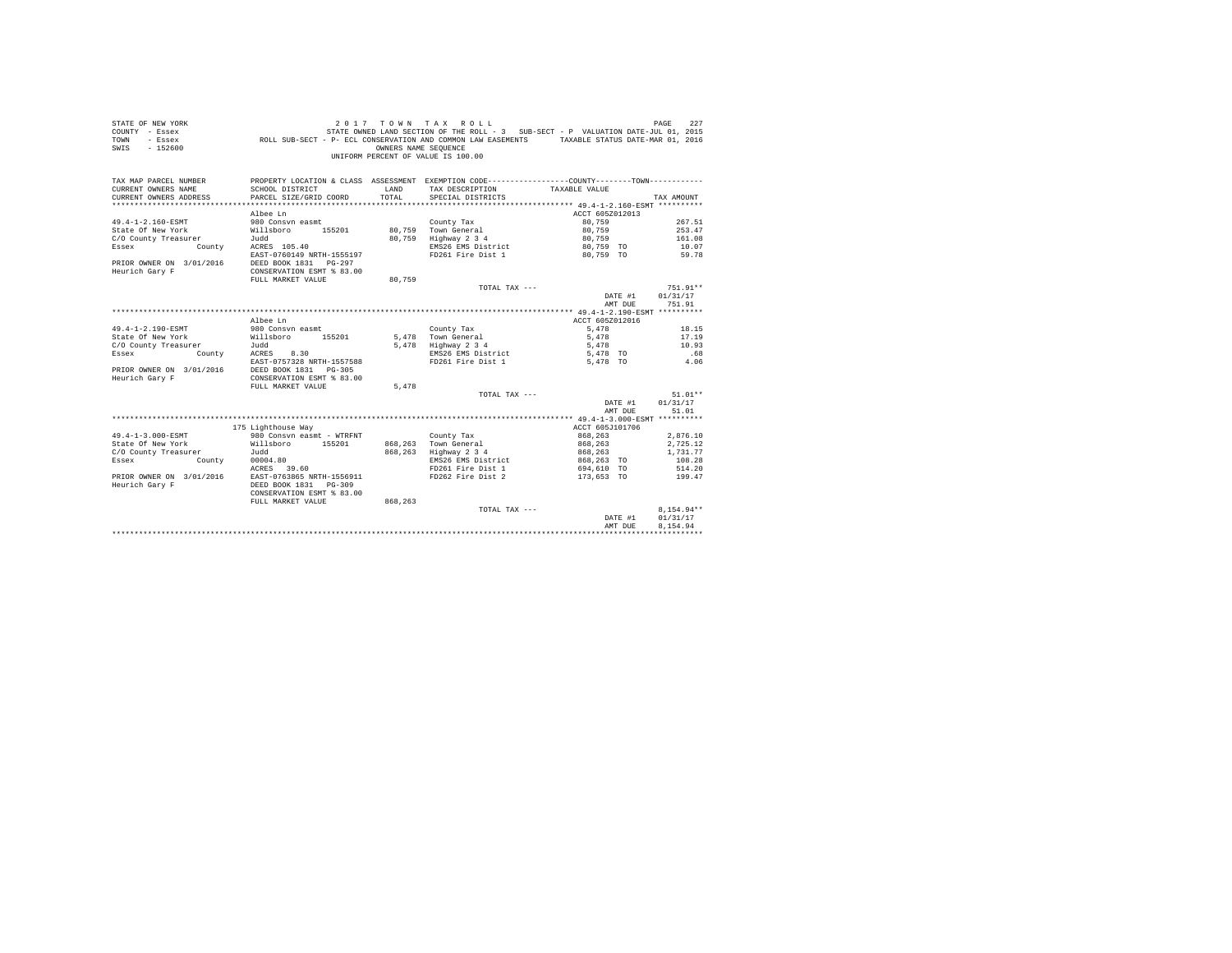| STATE OF NEW YORK                          | 2017                                                                                                                                            |         | TOWN TAX ROLL                      |                 | 227<br>PAGE |
|--------------------------------------------|-------------------------------------------------------------------------------------------------------------------------------------------------|---------|------------------------------------|-----------------|-------------|
| COUNTY - Essex                             |                                                                                                                                                 |         |                                    |                 |             |
| TOWN<br>- Essex                            | STATE OWNED LAND SECTION OF THE KOLL - 3 SOLUTION CONSERVATION AND CONSERVATION AND CONSERVATION AND EXSEMENTS TAXABLE STATUS DATE-MAR 01, 2016 |         |                                    |                 |             |
| SWIS - 152600                              |                                                                                                                                                 |         |                                    |                 |             |
|                                            |                                                                                                                                                 |         | UNIFORM PERCENT OF VALUE IS 100.00 |                 |             |
|                                            |                                                                                                                                                 |         |                                    |                 |             |
|                                            |                                                                                                                                                 |         |                                    |                 |             |
| TAX MAP PARCEL NUMBER                      | PROPERTY LOCATION & CLASS ASSESSMENT EXEMPTION CODE---------------COUNTY--------TOWN----------                                                  |         |                                    |                 |             |
| CURRENT OWNERS NAME                        | SCHOOL DISTRICT                                                                                                                                 | LAND    | TAX DESCRIPTION                    | TAXABLE VALUE   |             |
| CURRENT OWNERS ADDRESS                     | PARCEL SIZE/GRID COORD                                                                                                                          | TOTAL   | SPECIAL DISTRICTS                  |                 | TAX AMOUNT  |
|                                            |                                                                                                                                                 |         |                                    |                 |             |
|                                            | Albee Ln                                                                                                                                        |         |                                    | ACCT 605Z012013 |             |
| 49.4-1-2.160-ESMT                          | 980 Consyn easmt                                                                                                                                |         | County Tax                         | 80,759          | 267.51      |
| State Of New York                          | 155201<br>Willsboro                                                                                                                             | 80,759  | Town General                       | 80,759          | 253.47      |
| C/O County Treasurer                       | Judd                                                                                                                                            |         | 80,759 Highway 2 3 4               | 80,759          | 161.08      |
| County<br>Essex                            | ACRES 105.40                                                                                                                                    |         | EMS26 EMS District                 | 80.759 TO       | 10.07       |
|                                            | EAST-0760149 NRTH-1555197                                                                                                                       |         | FD261 Fire Dist 1                  | 80.759 TO       | 59.78       |
| PRIOR OWNER ON 3/01/2016                   | DEED BOOK 1831    PG-297                                                                                                                        |         |                                    |                 |             |
| Heurich Gary F                             | CONSERVATION ESMT % 83.00                                                                                                                       |         |                                    |                 |             |
|                                            | FULL MARKET VALUE                                                                                                                               | 80.759  |                                    |                 |             |
|                                            |                                                                                                                                                 |         | TOTAL TAX ---                      |                 | 751.91**    |
|                                            |                                                                                                                                                 |         |                                    | DATE #1         | 01/31/17    |
|                                            |                                                                                                                                                 |         |                                    | AMT DUE         | 751.91      |
|                                            |                                                                                                                                                 |         |                                    |                 |             |
|                                            | Albee Ln                                                                                                                                        |         |                                    | ACCT 605Z012016 |             |
| 49.4-1-2.190-ESMT                          | 980 Consyn easmt                                                                                                                                |         | County Tax                         | 5,478           | 18.15       |
| State Of New York                          | 155201<br>Willsboro                                                                                                                             |         | 5.478 Town General                 | 5,478           | 17.19       |
| C/O County Treasurer                       | Judd                                                                                                                                            |         | $5,478$ Highway $2,3,4$            | 5,478           | 10.93       |
| Essex<br>County                            | ACRES<br>8.30                                                                                                                                   |         | EMS26 EMS District                 | 5,478 TO        | .68         |
|                                            | EAST-0757328 NRTH-1557588                                                                                                                       |         | FD261 Fire Dist 1                  | 5,478 TO        | 4.06        |
|                                            | DEED BOOK 1831 PG-305                                                                                                                           |         |                                    |                 |             |
| PRIOR OWNER ON 3/01/2016<br>Heurich Gary F |                                                                                                                                                 |         |                                    |                 |             |
|                                            | CONSERVATION ESMT % 83.00                                                                                                                       | 5,478   |                                    |                 |             |
|                                            | FULL MARKET VALUE                                                                                                                               |         |                                    |                 |             |
|                                            |                                                                                                                                                 |         | TOTAL TAX ---                      |                 | $51.01**$   |
|                                            |                                                                                                                                                 |         |                                    | DATE #1         | 01/31/17    |
|                                            |                                                                                                                                                 |         |                                    | AMT DUE         | 51.01       |
|                                            |                                                                                                                                                 |         |                                    |                 |             |
|                                            | 175 Lighthouse Way                                                                                                                              |         |                                    | ACCT 605J101706 |             |
| 49.4-1-3.000-ESMT                          | 980 Consyn easmt - WTRFNT                                                                                                                       |         | County Tax                         | 868,263         | 2,876.10    |
| State Of New York                          | Willsboro 155201                                                                                                                                |         | 868.263 Town General               | 868,263         | 2,725.12    |
| C/O County Treasurer                       | Judd                                                                                                                                            | 868.263 | Highway 2 3 4                      | 868.263         | 1,731,77    |
| Essex<br>County                            | 00004.80                                                                                                                                        |         | EMS26 EMS District                 | 868,263 TO      | 108.28      |
|                                            | ACRES 39.60                                                                                                                                     |         | FD261 Fire Dist 1                  | 694,610 TO      | 514.20      |
| PRIOR OWNER ON 3/01/2016                   | EAST-0763865 NRTH-1556911                                                                                                                       |         | FD262 Fire Dist 2                  | 173,653 TO      | 199.47      |
| Heurich Gary F                             | DEED BOOK 1831 PG-309                                                                                                                           |         |                                    |                 |             |

CONSERVATION ESMT % 83.00

| FULL MARKET VALUE | 868,263 |               |         |              |
|-------------------|---------|---------------|---------|--------------|
|                   |         | TOTAL TAX --- |         | $8.154.94**$ |
|                   |         |               | DATE #1 | 01/31/17     |
|                   |         |               | AMT DUE | 8.154.94     |
|                   |         |               |         |              |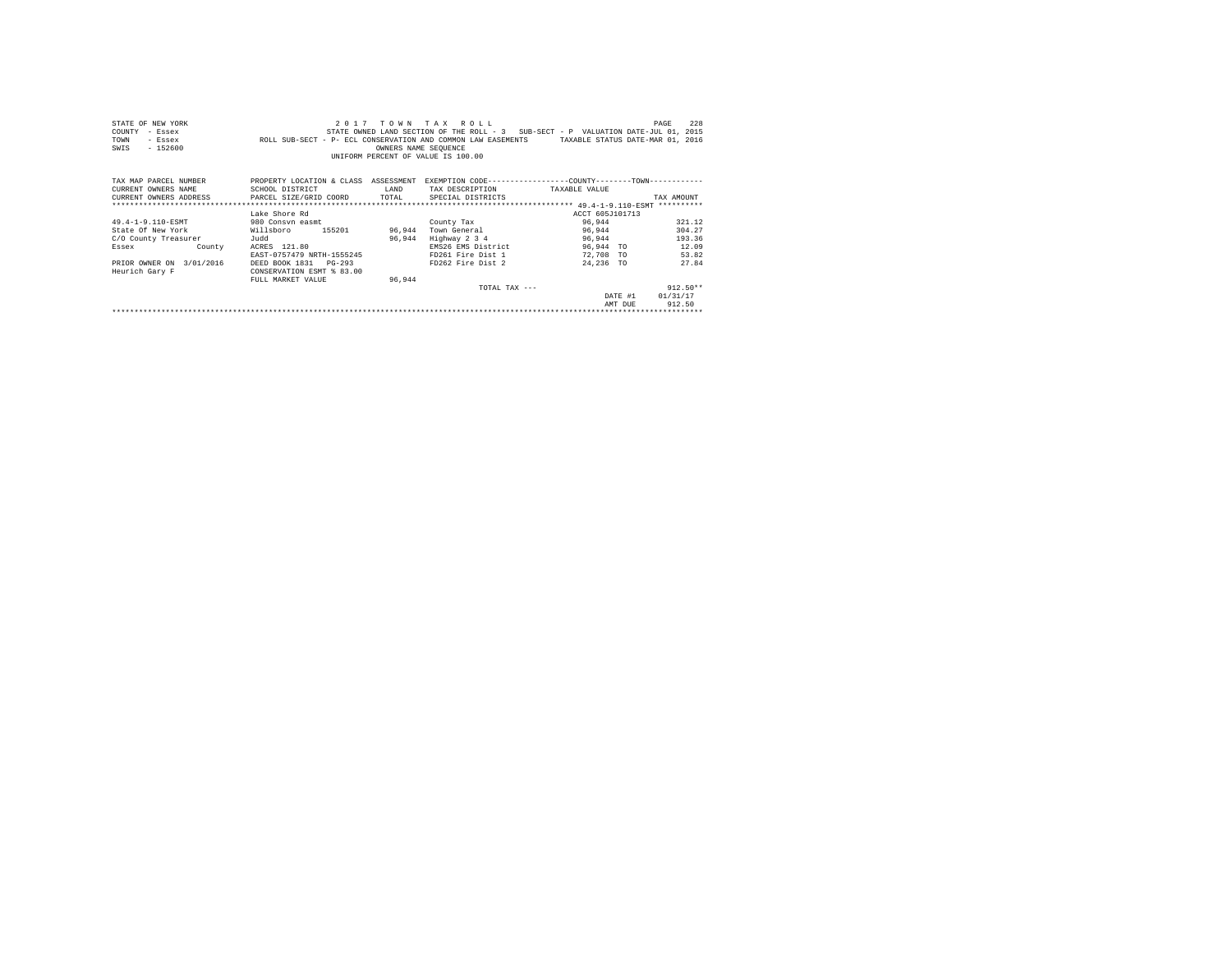| STATE OF NEW YORK                             |                                                                                               |                      | 2017 TOWN TAX ROLL                                                                |                                  | 228<br>PAGE |
|-----------------------------------------------|-----------------------------------------------------------------------------------------------|----------------------|-----------------------------------------------------------------------------------|----------------------------------|-------------|
| COUNTY<br>- Essex                             |                                                                                               |                      | STATE OWNED LAND SECTION OF THE ROLL - 3 SUB-SECT - P VALUATION DATE-JUL 01, 2015 |                                  |             |
| TOWN<br>- Essex                               | ROLL SUB-SECT - P- ECL CONSERVATION AND COMMON LAW EASEMENTS                                  |                      |                                                                                   | TAXABLE STATUS DATE-MAR 01, 2016 |             |
| $-152600$<br>SWIS                             |                                                                                               | OWNERS NAME SEQUENCE |                                                                                   |                                  |             |
|                                               |                                                                                               |                      | UNIFORM PERCENT OF VALUE IS 100.00                                                |                                  |             |
|                                               |                                                                                               |                      |                                                                                   |                                  |             |
|                                               |                                                                                               |                      |                                                                                   |                                  |             |
| TAX MAP PARCEL NUMBER                         | PROPERTY LOCATION & CLASS ASSESSMENT EXEMPTION CODE---------------COUNTY-------TOWN---------- |                      |                                                                                   |                                  |             |
| CURRENT OWNERS NAME                           | SCHOOL DISTRICT                                                                               | LAND                 | TAX DESCRIPTION TAXABLE VALUE                                                     |                                  |             |
| CURRENT OWNERS ADDRESS PARCEL SIZE/GRID COORD |                                                                                               | TOTAL                | SPECIAL DISTRICTS                                                                 |                                  | TAX AMOUNT  |
|                                               |                                                                                               |                      |                                                                                   |                                  |             |
|                                               | Lake Shore Rd                                                                                 |                      |                                                                                   | ACCT 605J101713                  |             |
| 49.4-1-9.110-ESMT                             | 980 Consyn easmt                                                                              |                      | County Tax                                                                        | 96.944                           | 321.12      |
| State Of New York                             | 155201 96,944<br>Willsboro                                                                    |                      | Town General                                                                      | 96.944                           | 304.27      |
| C/O County Treasurer                          | Judd                                                                                          | 96.944               | Highway 2 3 4                                                                     | 96,944                           | 193.36      |
| County<br>Essex                               | ACRES 121.80                                                                                  |                      | EMS26 EMS District                                                                | 96,944 TO                        | 12.09       |
|                                               | EAST-0757479 NRTH-1555245                                                                     |                      | FD261 Fire Dist 1                                                                 | 72.708 TO                        | 53.82       |
| PRIOR OWNER ON 3/01/2016                      | DEED BOOK 1831   PG-293                                                                       |                      | FD262 Fire Dist 2                                                                 | 24,236 TO                        | 27.84       |
| Heurich Gary F                                | CONSERVATION ESMT % 83.00                                                                     |                      |                                                                                   |                                  |             |
|                                               | FULL MARKET VALUE                                                                             | 96.944               |                                                                                   |                                  |             |
|                                               |                                                                                               |                      | TOTAL TAX $---$                                                                   |                                  | $912.50**$  |
|                                               |                                                                                               |                      |                                                                                   | DATE #1                          | 01/31/17    |
|                                               |                                                                                               |                      |                                                                                   | AMT DUR                          | 912.50      |
|                                               |                                                                                               |                      |                                                                                   |                                  |             |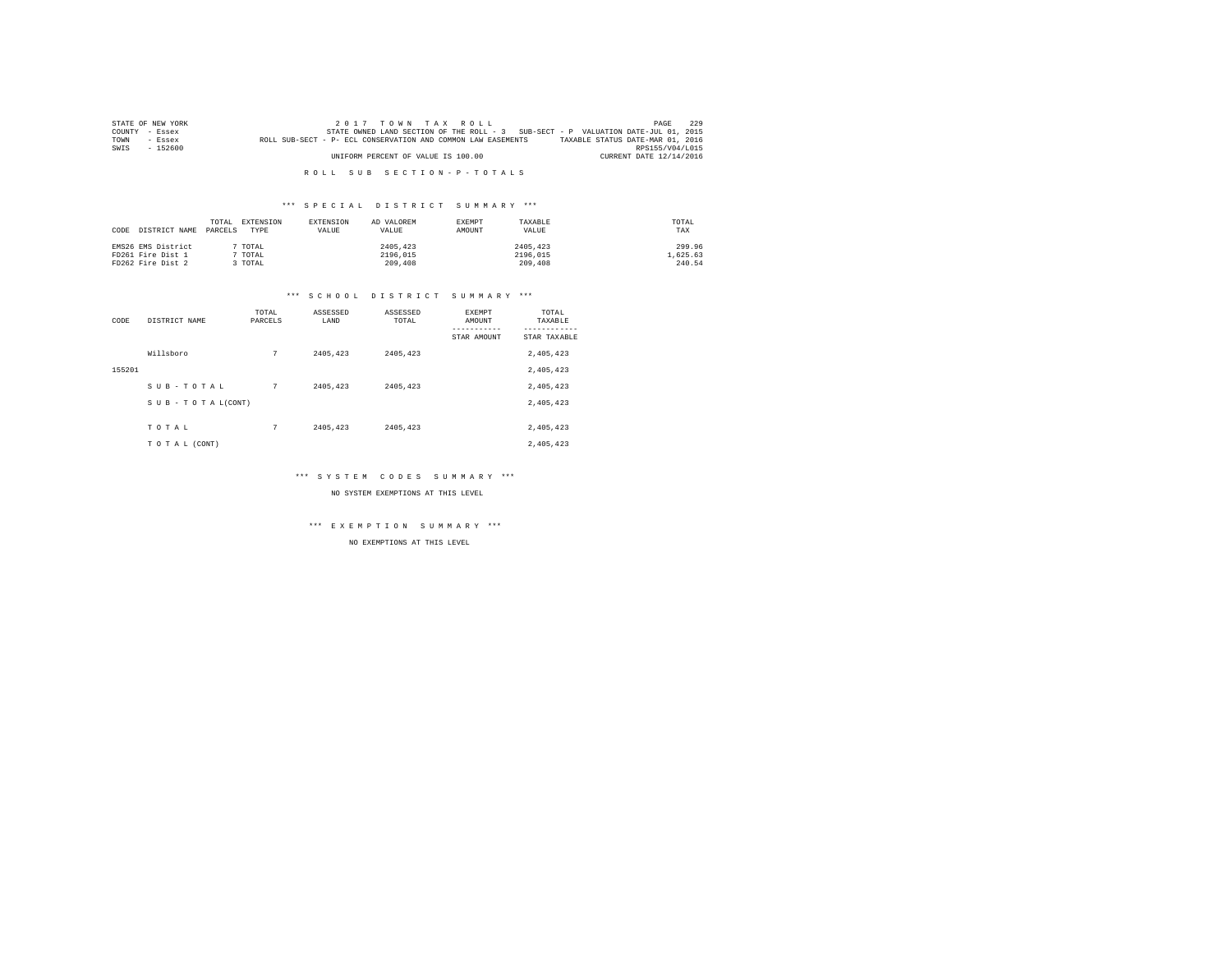| STATE OF NEW YORK | 2017 TOWN TAX ROLL                                                                               | PAGE                    | 229 |
|-------------------|--------------------------------------------------------------------------------------------------|-------------------------|-----|
| COUNTY - Essex    | STATE OWNED LAND SECTION OF THE ROLL - 3 SUB-SECT - P VALUATION DATE-JUL 01, 2015                |                         |     |
| TOWN<br>$-$ Essex | TAXABLE STATUS DATE-MAR 01, 2016<br>ROLL SUB-SECT - P- ECL CONSERVATION AND COMMON LAW EASEMENTS |                         |     |
| $-152600$<br>SWIS |                                                                                                  | RPS155/V04/L015         |     |
|                   | UNIFORM PERCENT OF VALUE IS 100.00                                                               | CURRENT DATE 12/14/2016 |     |

#### \*\*\* S P E C I A L D I S T R I C T S U M M A R Y \*\*\*

| DISTRICT NAME<br>CODE | EXTENSION<br>TOTAL.<br>PARCELS<br>TYPE | EXTENSION<br>VALUE | AD VALOREM<br>VALUE | <b>EXEMPT</b><br>AMOUNT | TAXARLE<br>VALUE | TOTAL<br>TAX |
|-----------------------|----------------------------------------|--------------------|---------------------|-------------------------|------------------|--------------|
| EMS26 EMS District    | TOTAL                                  |                    | 2405.423            |                         | 2405.423         | 299.96       |
| FD261 Fire Dist 1     | TOTAL                                  |                    | 2196.015            |                         | 2196.015         | 1,625.63     |
| FD262 Fire Dist 2     | TOTAL                                  |                    | 209,408             |                         | 209,408          | 240.54       |

#### \*\*\* S C H O O L D I S T R I C T S U M M A R Y \*\*\*

| CODE   | DISTRICT NAME      | TOTAL<br>PARCELS | ASSESSED<br>LAND | ASSESSED<br>TOTAL | EXEMPT<br>AMOUNT | TOTAL<br>TAXABLE |
|--------|--------------------|------------------|------------------|-------------------|------------------|------------------|
|        |                    |                  |                  |                   | STAR AMOUNT      | STAR TAXABLE     |
|        | Willsboro          | 7                | 2405.423         | 2405.423          |                  | 2,405,423        |
| 155201 |                    |                  |                  |                   |                  | 2,405,423        |
|        | SUB-TOTAL          | 7                | 2405.423         | 2405.423          |                  | 2,405,423        |
|        | SUB - TO TAL(CONT) |                  |                  |                   |                  | 2,405,423        |
|        |                    |                  |                  |                   |                  |                  |
|        | TOTAL              | 7                | 2405.423         | 2405.423          |                  | 2,405,423        |
|        | TO TAL (CONT)      |                  |                  |                   |                  | 2.405.423        |

\*\*\* S Y S T E M C O D E S S U M M A R Y \*\*\*

NO SYSTEM EXEMPTIONS AT THIS LEVEL

\*\*\* E X E M P T I O N S U M M A R Y \*\*\*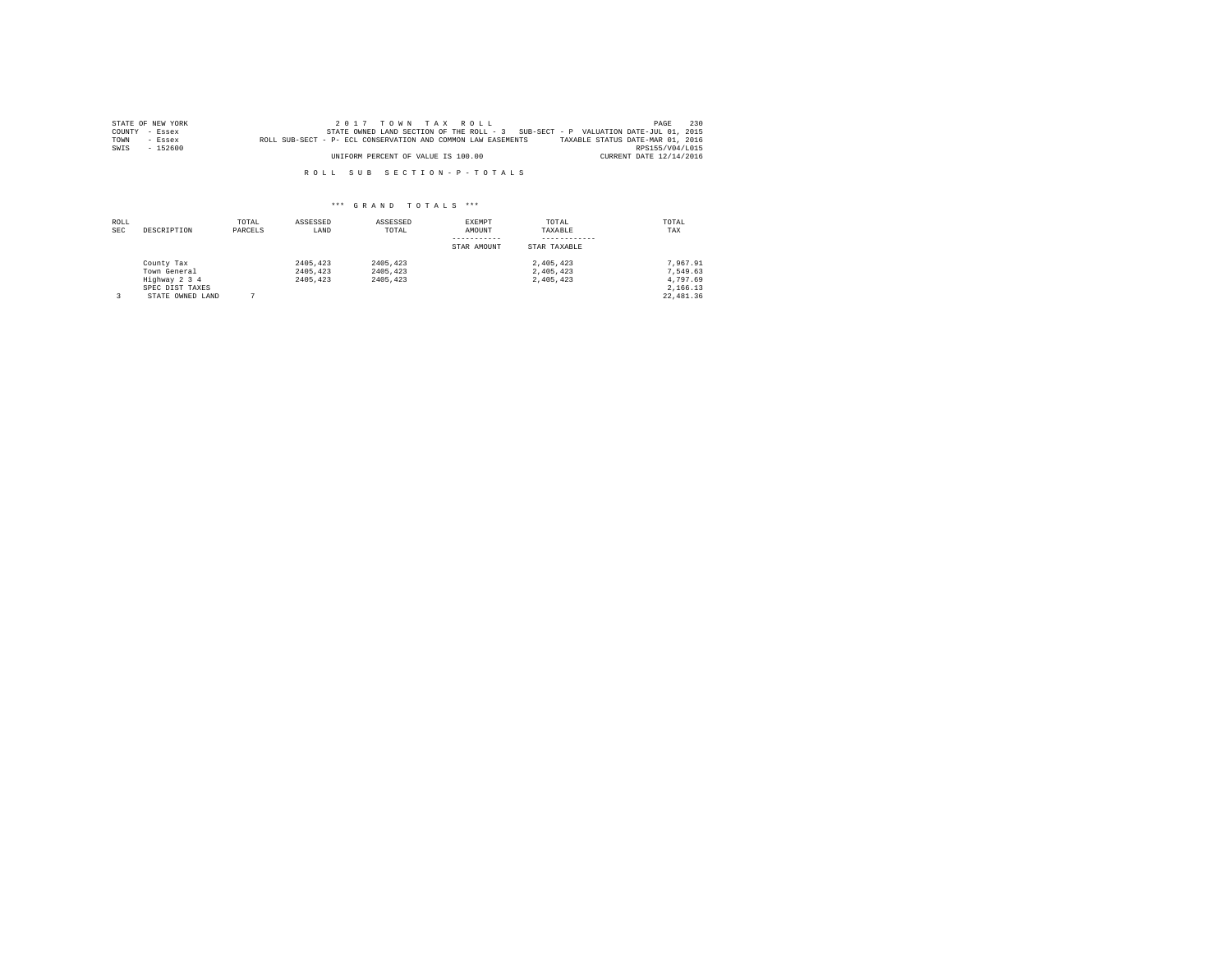|      | STATE OF NEW YORK | 2017 TOWN TAX ROLL                                                                               | PAGE            | 230 |
|------|-------------------|--------------------------------------------------------------------------------------------------|-----------------|-----|
|      | COUNTY - Essex    | STATE OWNED LAND SECTION OF THE ROLL - 3 SUB-SECT - P VALUATION DATE-JUL 01, 2015                |                 |     |
| TOWN | $-$ Essex         | TAXABLE STATUS DATE-MAR 01, 2016<br>ROLL SUB-SECT - P- ECL CONSERVATION AND COMMON LAW EASEMENTS |                 |     |
| SWIS | $-152600$         |                                                                                                  | RPS155/V04/L015 |     |
|      |                   | UNIFORM PERCENT OF VALUE IS 100.00<br>CURRENT DATE 12/14/2016                                    |                 |     |

| ROLL<br><b>SEC</b> | DESCRIPTION                                                                        | TOTAL<br>PARCELS | ASSESSED<br>LAND                 | ASSESSED<br>TOTAL                | EXEMPT<br>AMOUNT<br>STAR AMOUNT | TOTAL<br>TAXABLE<br>STAR TAXABLE    | TOTAL<br>TAX                                                |
|--------------------|------------------------------------------------------------------------------------|------------------|----------------------------------|----------------------------------|---------------------------------|-------------------------------------|-------------------------------------------------------------|
|                    | County Tax<br>Town General<br>Highway 2 3 4<br>SPEC DIST TAXES<br>STATE OWNED LAND |                  | 2405.423<br>2405,423<br>2405,423 | 2405.423<br>2405.423<br>2405.423 |                                 | 2.405.423<br>2.405.423<br>2.405.423 | 7.967.91<br>7.549.63<br>4.797.69<br>2.166.13<br>22, 481, 36 |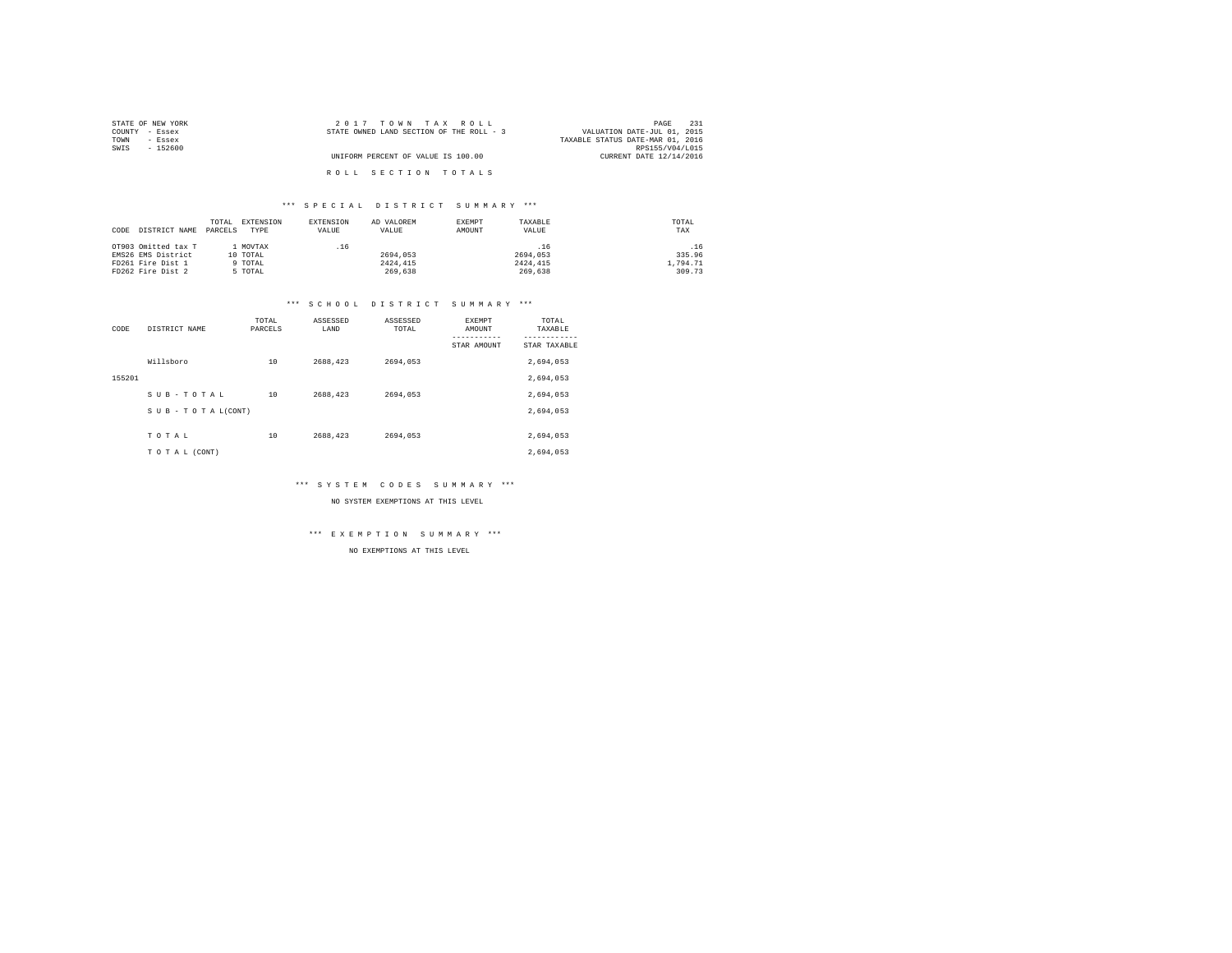| STATE OF NEW YORK | 2017 TOWN TAX ROLL                       | 231<br>PAGE                      |
|-------------------|------------------------------------------|----------------------------------|
| COUNTY - Essex    | STATE OWNED LAND SECTION OF THE ROLL - 3 | VALUATION DATE-JUL 01, 2015      |
| TOWN<br>- Essex   |                                          | TAXABLE STATUS DATE-MAR 01, 2016 |
| SWIS<br>$-152600$ |                                          | RPS155/V04/L015                  |
|                   | UNIFORM PERCENT OF VALUE IS 100.00       | CURRENT DATE 12/14/2016          |
|                   | ROLL SECTION TOTALS                      |                                  |

#### \*\*\* S P E C I A L D I S T R I C T S U M M A R Y \*\*\*

| DISTRICT NAME<br>CODE | TOTAL<br>PARCELS | EXTENSION<br>TYPE | EXTENSION<br>VALUE | AD VALOREM<br>VALUE | EXEMPT<br>AMOUNT | TAXABLE<br>VALUE | TOTAL<br>TAX |
|-----------------------|------------------|-------------------|--------------------|---------------------|------------------|------------------|--------------|
| OT903 Omitted tax T   |                  | 1 MOVTAX          | .16                |                     |                  | .16              | .16          |
| EMS26 EMS District    |                  | 10 TOTAL          |                    | 2694,053            |                  | 2694.053         | 335.96       |
| FD261 Fire Dist 1     |                  | 9 TOTAL           |                    | 2424,415            |                  | 2424.415         | 1,794.71     |
| FD262 Fire Dist 2     |                  | 5 TOTAL           |                    | 269,638             |                  | 269,638          | 309.73       |

# \*\*\* S C H O O L D I S T R I C T S U M M A R Y \*\*\*

| CODE   | DISTRICT NAME   | TOTAL<br>PARCELS | ASSESSED<br>LAND | ASSESSED<br>TOTAL | <b>EXEMPT</b><br>AMOUNT | TOTAL<br>TAXABLE       |
|--------|-----------------|------------------|------------------|-------------------|-------------------------|------------------------|
|        |                 |                  |                  |                   | STAR AMOUNT             | ------<br>STAR TAXABLE |
|        | Willsboro       | 10               | 2688.423         | 2694.053          |                         | 2,694,053              |
| 155201 |                 |                  |                  |                   |                         | 2,694,053              |
|        | SUB-TOTAL       | 10               | 2688.423         | 2694,053          |                         | 2.694.053              |
|        | SUB-TOTAL(CONT) |                  |                  |                   |                         | 2,694,053              |
|        |                 |                  |                  |                   |                         |                        |
|        | TOTAL           | 10               | 2688,423         | 2694.053          |                         | 2,694,053              |
|        | TO TAL (CONT)   |                  |                  |                   |                         | 2.694.053              |

#### \*\*\* S Y S T E M C O D E S S U M M A R Y \*\*\*

NO SYSTEM EXEMPTIONS AT THIS LEVEL

#### \*\*\* E X E M P T I O N S U M M A R Y \*\*\*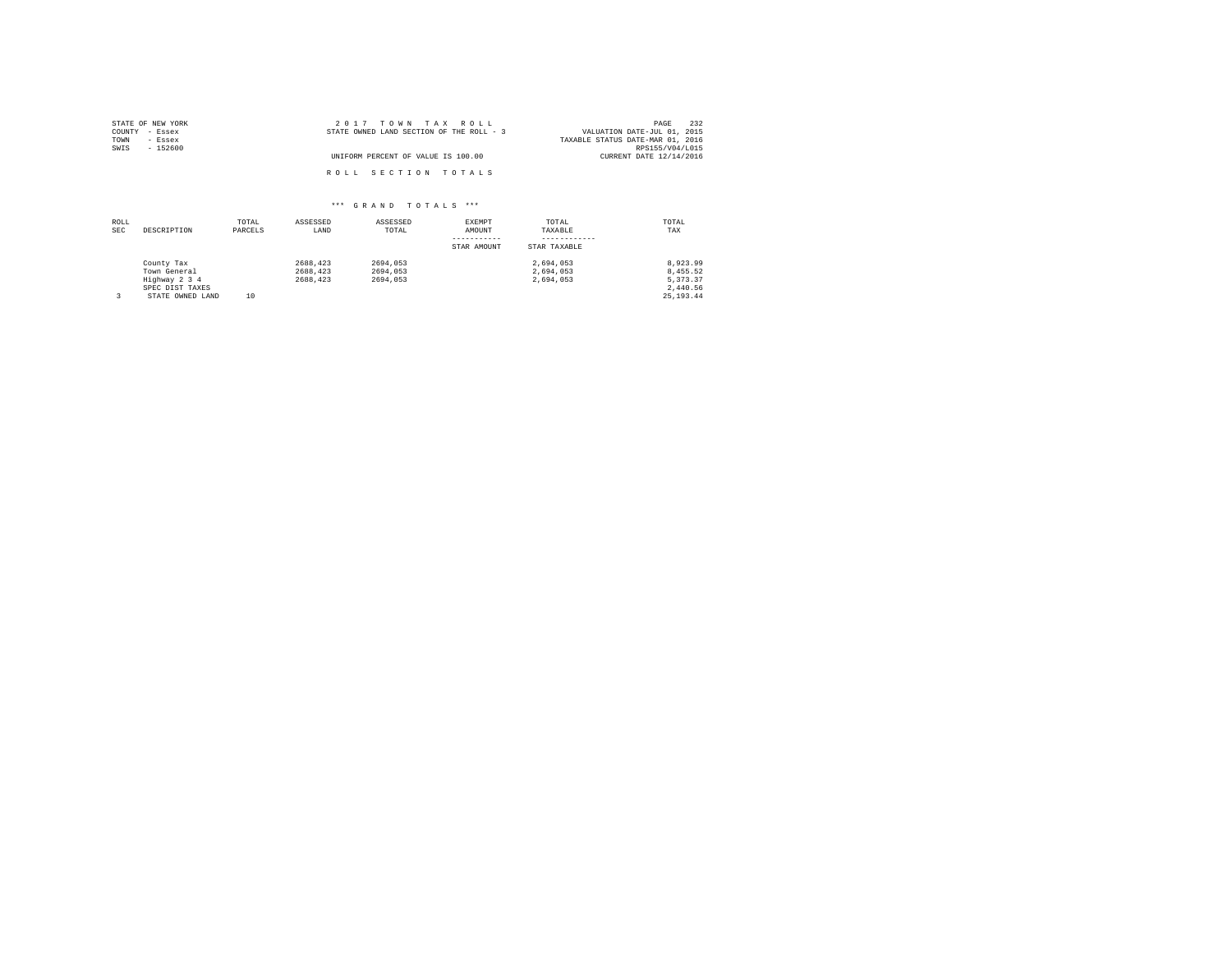| STATE OF NEW YORK | 2017 TOWN TAX ROLL                       | 232<br>PAGE                      |
|-------------------|------------------------------------------|----------------------------------|
| COUNTY - Essex    | STATE OWNED LAND SECTION OF THE ROLL - 3 | VALUATION DATE-JUL 01, 2015      |
| TOWN<br>- Essex   |                                          | TAXABLE STATUS DATE-MAR 01, 2016 |
| SWIS<br>$-152600$ |                                          | RPS155/V04/L015                  |
|                   | UNIFORM PERCENT OF VALUE IS 100.00       | CURRENT DATE 12/14/2016          |
|                   | ROLL SECTION TOTALS                      |                                  |

| ROLL<br><b>SEC</b> | DESCRIPTION      | TOTAL<br>PARCELS | ASSESSED<br>LAND | ASSESSED<br>TOTAL | EXEMPT<br>AMOUNT | TOTAL<br>TAXABLE | TOTAL<br>TAX |
|--------------------|------------------|------------------|------------------|-------------------|------------------|------------------|--------------|
|                    |                  |                  |                  |                   | STAR AMOUNT      | STAR TAXABLE     |              |
|                    | County Tax       |                  | 2688.423         | 2694.053          |                  | 2.694.053        | 8.923.99     |
|                    | Town General     |                  | 2688.423         | 2694.053          |                  | 2.694.053        | 8.455.52     |
|                    | Highway 2 3 4    |                  | 2688.423         | 2694.053          |                  | 2.694.053        | 5.373.37     |
|                    | SPEC DIST TAXES  |                  |                  |                   |                  |                  | 2.440.56     |
|                    | STATE OWNED LAND | 10               |                  |                   |                  |                  | 25, 193, 44  |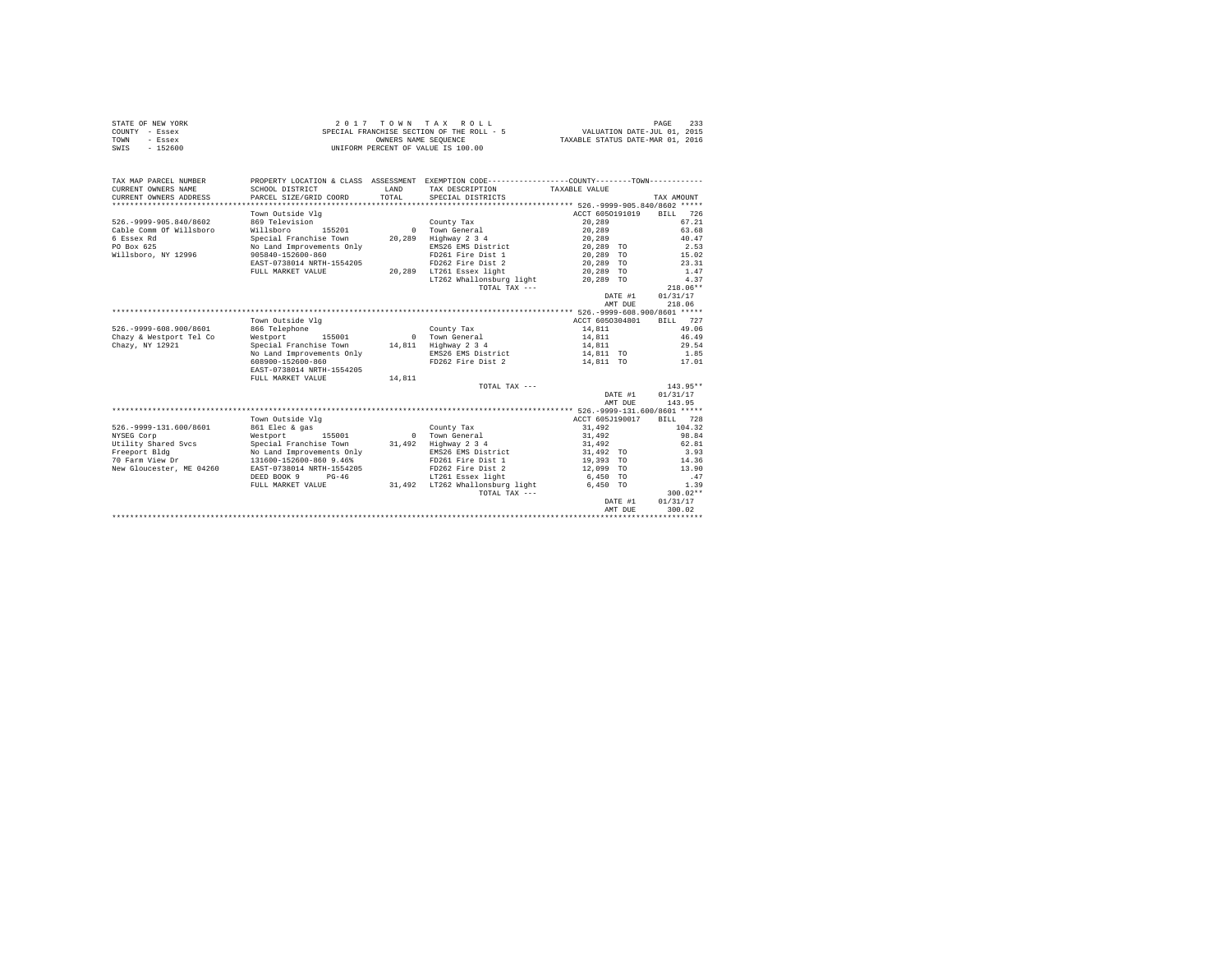|      | STATE OF NEW YORK | 2017 TOWN TAX ROLL                        | 233<br>PAGE                      |
|------|-------------------|-------------------------------------------|----------------------------------|
|      | COUNTY - Essex    | SPECIAL FRANCHISE SECTION OF THE ROLL - 5 | VALUATION DATE-JUL 01, 2015      |
| TOWN | - Essex           | OWNERS NAME SEOUENCE                      | TAXABLE STATUS DATE-MAR 01, 2016 |
| SWIS | $-152600$         | UNIFORM PERCENT OF VALUE IS 100.00        |                                  |

| TAX MAP PARCEL NUMBER<br>CURRENT OWNERS NAME | SCHOOL DISTRICT           | <b>T.AND</b> | PROPERTY LOCATION & CLASS ASSESSMENT EXEMPTION CODE---------------COUNTY-------TOWN----------<br>TAX DESCRIPTION TAXABLE VALUE |                 |         |            |
|----------------------------------------------|---------------------------|--------------|--------------------------------------------------------------------------------------------------------------------------------|-----------------|---------|------------|
| CURRENT OWNERS ADDRESS                       | PARCEL SIZE/GRID COORD    | TOTAL        | SPECIAL DISTRICTS                                                                                                              |                 |         | TAX AMOUNT |
|                                              |                           |              |                                                                                                                                |                 |         |            |
|                                              | Town Outside Vlg          |              |                                                                                                                                | ACCT 6050191019 |         | BILL 726   |
| 526. - 9999-905.840/8602                     | 869 Television            |              | County Tax                                                                                                                     | 20,289          |         | 67.21      |
| Cable Comm Of Willsboro                      | Willsboro<br>155201       |              | 0 Town General                                                                                                                 | 20,289          |         | 63.68      |
| 6 Essex Rd                                   | Special Franchise Town    | 20,289       | Highway 2 3 4                                                                                                                  | 20,289          |         | 40.47      |
| PO Box 625                                   | No Land Improvements Only |              | EMS26 EMS District                                                                                                             | 20,289 TO       |         | 2.53       |
| Willsboro, NY 12996                          | 905840-152600-860         |              | FD261 Fire Dist 1                                                                                                              | 20,289 TO       |         | 15.02      |
|                                              | EAST-0738014 NRTH-1554205 |              | FD262 Fire Dist 2                                                                                                              | 20,289 TO       |         | 23.31      |
|                                              | FULL MARKET VALUE         |              | 20,289 LT261 Essex light                                                                                                       | 20,289 TO       |         | 1.47       |
|                                              |                           |              | LT262 Whallonsburg light                                                                                                       | 20,289 TO       |         | 4.37       |
|                                              |                           |              | TOTAL TAX ---                                                                                                                  |                 |         | $218.06**$ |
|                                              |                           |              |                                                                                                                                |                 | DATE #1 | 01/31/17   |
|                                              |                           |              |                                                                                                                                |                 | AMT DUE | 218.06     |
|                                              |                           |              |                                                                                                                                |                 |         |            |
|                                              | Town Outside Vlg          |              |                                                                                                                                | ACCT 6050304801 |         | BILL 727   |
| 526. - 9999-608.900/8601                     | 866 Telephone             |              | County Tax                                                                                                                     | 14,811          |         | 49.06      |
| Chazy & Westport Tel Co                      | Westport<br>155001        |              | 0 Town General                                                                                                                 | 14,811          |         | 46.49      |
| Chazy, NY 12921                              | Special Franchise Town    |              | 14,811 Highway 2 3 4                                                                                                           | 14,811          |         | 29.54      |
|                                              | No Land Improvements Only |              | EMS26 EMS District                                                                                                             |                 |         | 1.85       |
|                                              |                           |              |                                                                                                                                | 14,811 TO       |         |            |
|                                              | 608900-152600-860         |              | FD262 Fire Dist 2 14.811 TO                                                                                                    |                 |         | 17.01      |
|                                              | EAST-0738014 NRTH-1554205 |              |                                                                                                                                |                 |         |            |
|                                              | FULL MARKET VALUE         | 14,811       |                                                                                                                                |                 |         |            |
|                                              |                           |              | TOTAL TAX ---                                                                                                                  |                 |         | $143.95**$ |
|                                              |                           |              |                                                                                                                                |                 | DATE #1 | 01/31/17   |
|                                              |                           |              |                                                                                                                                |                 | AMT DUE | 143.95     |
|                                              |                           |              |                                                                                                                                |                 |         |            |
|                                              | Town Outside Vlg          |              |                                                                                                                                | ACCT 605J190017 |         | BILL 728   |
| 526. - 9999-131.600/8601                     | 861 Elec & gas            |              | County Tax                                                                                                                     | 31,492          |         | 104.32     |
| NYSEG Corp                                   | Westport 155001           |              | 0 Town General                                                                                                                 | 31,492          |         | 98.84      |
| Utility Shared Svcs                          | Special Franchise Town    | 31,492       | Highway 2 3 4                                                                                                                  | 31,492          |         | 62.81      |
| Freeport Bldg                                | No Land Improvements Only |              | EMS26 EMS District                                                                                                             | 31,492 TO       |         | 3.93       |
| 70 Farm View Dr                              | 131600-152600-860 9.46%   |              | FD261 Fire Dist 1                                                                                                              | 19,393 TO       |         | 14.36      |
| New Gloucester, ME 04260                     | EAST-0738014 NRTH-1554205 |              | FD262 Fire Dist 2                                                                                                              | 12,099 TO       |         | 13.90      |
|                                              | DEED BOOK 9 PG-46         |              | LT261 Essex light                                                                                                              | 6,450 TO        |         | .47        |
|                                              | FULL MARKET VALUE         |              | 31,492 LT262 Whallonsburg light                                                                                                | 6,450 TO        |         | 1.39       |
|                                              |                           |              | TOTAL TAX $---$                                                                                                                |                 |         | $300.02**$ |
|                                              |                           |              |                                                                                                                                |                 | DATE #1 | 01/31/17   |
|                                              |                           |              |                                                                                                                                |                 | AMT DUE | 300.02     |
|                                              |                           |              |                                                                                                                                |                 |         |            |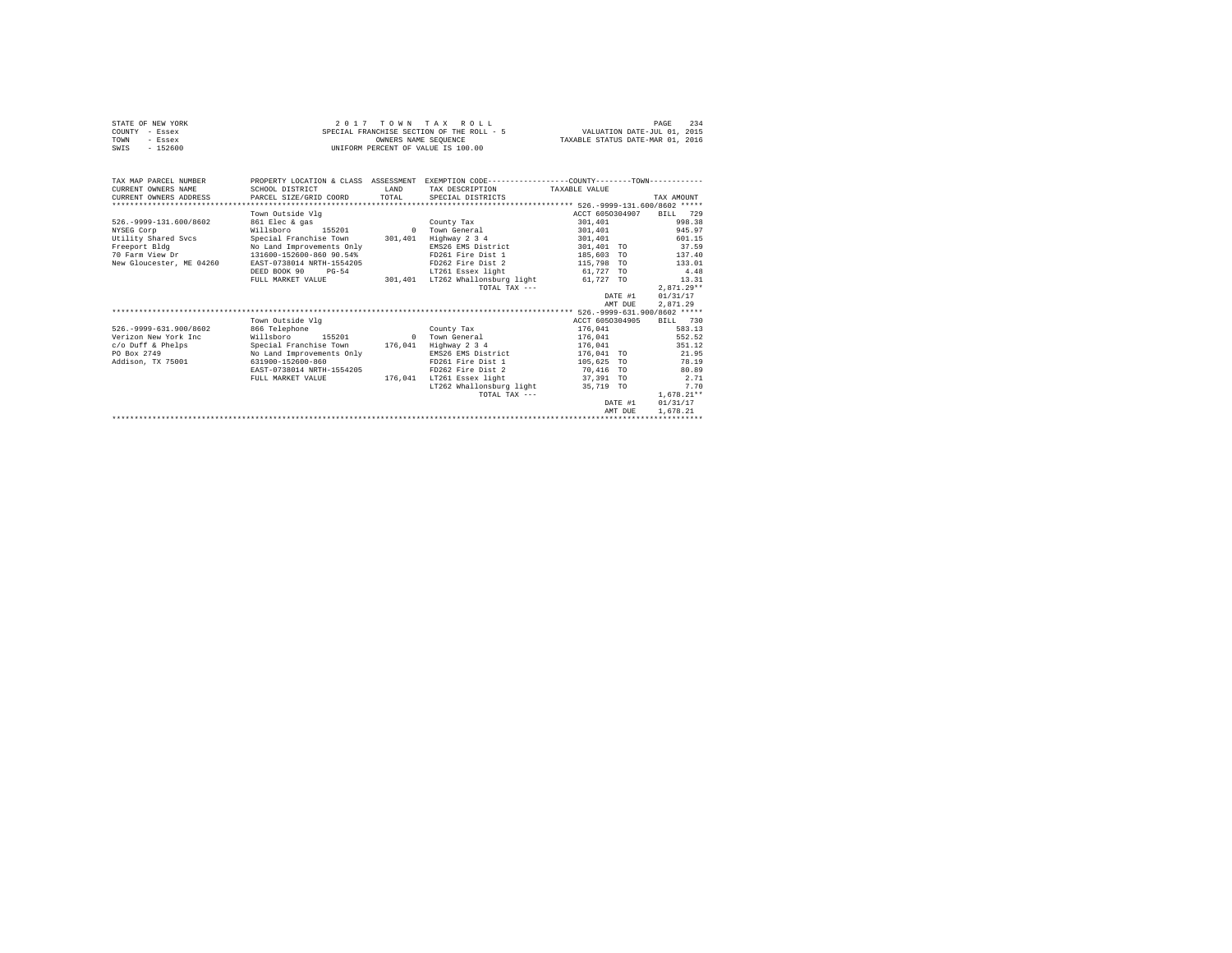| STATE OF NEW YORK<br>COUNTY - Essex<br>TOWN<br>- Essex<br>$-152600$<br>SWIS                                                   |                                                                                                                                                                                                                           |               | 2017 TOWN TAX ROLL<br>SPECIAL FRANCHISE SECTION OF THE ROLL - 5<br>OWNERS NAME SEOUENCE<br>UNIFORM PERCENT OF VALUE IS 100.00                                                                   | VALUATION DATE-JUL 01, 2015<br>TAXABLE STATUS DATE-MAR 01, 2016                                                                            | 234<br>PAGE                                                                                                                  |
|-------------------------------------------------------------------------------------------------------------------------------|---------------------------------------------------------------------------------------------------------------------------------------------------------------------------------------------------------------------------|---------------|-------------------------------------------------------------------------------------------------------------------------------------------------------------------------------------------------|--------------------------------------------------------------------------------------------------------------------------------------------|------------------------------------------------------------------------------------------------------------------------------|
| TAX MAP PARCEL NUMBER<br>CURRENT OWNERS NAME<br>CURRENT OWNERS ADDRESS                                                        | SCHOOL DISTRICT<br>PARCEL SIZE/GRID COORD                                                                                                                                                                                 | LAND<br>TOTAL | PROPERTY LOCATION & CLASS ASSESSMENT EXEMPTION CODE---------------COUNTY-------TOWN----------<br>TAX DESCRIPTION<br>SPECIAL DISTRICTS                                                           | TAXABLE VALUE                                                                                                                              | TAX AMOUNT                                                                                                                   |
|                                                                                                                               |                                                                                                                                                                                                                           |               |                                                                                                                                                                                                 |                                                                                                                                            |                                                                                                                              |
| 526. - 9999-131.600/8602<br>NYSEG Corp<br>Utility Shared Svcs<br>Freeport Bldg<br>70 Farm View Dr<br>New Gloucester, ME 04260 | Town Outside Vlg<br>861 Elec & gas<br>Willsboro<br>155201<br>Special Franchise Town<br>No Land Improvements Only<br>131600-152600-860 90.54%<br>EAST-0738014 NRTH-1554205<br>DEED BOOK 90<br>$PG-54$<br>FULL MARKET VALUE |               | County Tax<br>0 Town General<br>301,401 Highway 2 3 4<br>EMS26 EMS District<br>FD261 Fire Dist 1<br>FD262 Fire Dist 2<br>LT261 Essex light<br>301,401 LT262 Whallonsburg light<br>TOTAL TAX --- | ACCT 6050304907<br>301,401<br>301,401<br>301,401<br>301,401 TO<br>185,603 TO<br>115,798 TO<br>61,727 TO<br>61,727 TO<br>DATE #1<br>AMT DUE | BILL 729<br>998.38<br>945.97<br>601.15<br>37.59<br>137.40<br>133.01<br>4.48<br>13.31<br>$2,871.29**$<br>01/31/17<br>2,871.29 |
|                                                                                                                               |                                                                                                                                                                                                                           |               |                                                                                                                                                                                                 |                                                                                                                                            |                                                                                                                              |
| 526. - 9999-631.900/8602<br>Verizon New York Inc.<br>c/o Duff & Phelps<br>PO Box 2749<br>Addison, TX 75001                    | Town Outside Vlq<br>866 Telephone<br>Willsboro<br>155201<br>Special Franchise Town<br>No Land Improvements Only<br>631900-152600-860<br>EAST-0738014 NRTH-1554205<br>FULL MARKET VALUE                                    |               | County Tax<br>0 Town General<br>176,041 Highway 2 3 4<br>EMS26 EMS District<br>FD261 Fire Dist 1<br>FD262 Fire Dist 2<br>176.041 LT261 Essex light<br>LT262 Whallonsburg light<br>TOTAL TAX --- | ACCT 6050304905<br>176,041<br>176,041<br>176.041<br>176,041 TO<br>105,625 TO<br>70,416 TO<br>37,391 TO<br>35,719 TO<br>DATE #1<br>AMT DUE  | BILL 730<br>583.13<br>552.52<br>351.12<br>21.95<br>78.19<br>80.89<br>2.71<br>7.70<br>$1.678.21**$<br>01/31/17<br>1,678.21    |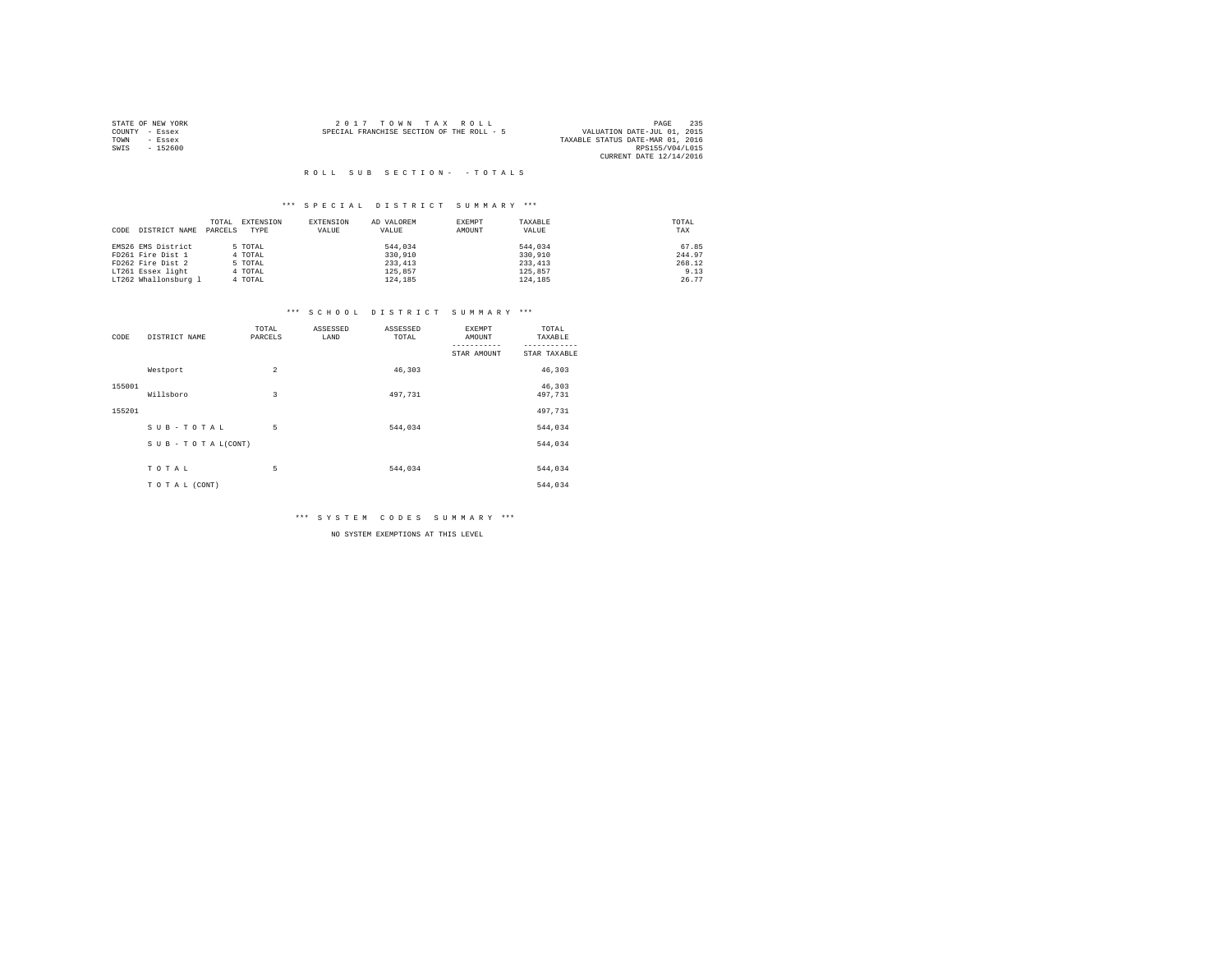|                | STATE OF NEW YORK | $2.017$ TOWN TAX ROLL                     | 235<br>PAGE                      |
|----------------|-------------------|-------------------------------------------|----------------------------------|
| COUNTY - Essex |                   | SPECIAL FRANCHISE SECTION OF THE ROLL - 5 | VALUATION DATE-JUL 01, 2015      |
| TOWN           | - Essex           |                                           | TAXABLE STATUS DATE-MAR 01, 2016 |
| SWIS           | $-152600$         |                                           | RPS155/V04/L015                  |
|                |                   |                                           | CURRENT DATE 12/14/2016          |

#### \*\*\* S P E C I A L D I S T R I C T S U M M A R Y \*\*\*

|                       | TOTAL<br>EXTENSION | EXTENSION | AD VALOREM | EXEMPT | TAXABLE  | TOTAL  |
|-----------------------|--------------------|-----------|------------|--------|----------|--------|
| DISTRICT NAME<br>CODE | PARCELS<br>TYPE    | VALUE     | VALUE      | AMOUNT | VALUE    | TAX    |
|                       |                    |           |            |        |          |        |
| EMS26 EMS District    | 5 TOTAL            |           | 544,034    |        | 544,034  | 67.85  |
| FD261 Fire Dist 1     | 4 TOTAL            |           | 330,910    |        | 330,910  | 244.97 |
| FD262 Fire Dist 2     | 5 TOTAL            |           | 233, 413   |        | 233, 413 | 268.12 |
| LT261 Essex light     | 4 TOTAL            |           | 125,857    |        | 125,857  | 9.13   |
| LT262 Whallonsburg 1  | 4 TOTAL            |           | 124,185    |        | 124,185  | 26.77  |

#### \*\*\* S C H O O L D I S T R I C T S U M M A R Y \*\*\*

| CODE   | DISTRICT NAME   | TOTAL<br>PARCELS | ASSESSED<br>LAND | ASSESSED<br>TOTAL | EXEMPT<br>AMOUNT | TOTAL<br>TAXABLE  |
|--------|-----------------|------------------|------------------|-------------------|------------------|-------------------|
|        |                 |                  |                  |                   | STAR AMOUNT      | STAR TAXABLE      |
|        | Westport        | $\overline{a}$   |                  | 46,303            |                  | 46,303            |
| 155001 | Willsboro       | 3                |                  | 497.731           |                  | 46,303<br>497,731 |
| 155201 |                 |                  |                  |                   |                  | 497,731           |
|        | SUB-TOTAL       | 5                |                  | 544.034           |                  | 544,034           |
|        | SUB-TOTAL(CONT) |                  |                  |                   |                  | 544,034           |
|        |                 |                  |                  |                   |                  |                   |
|        | TOTAL           | 5                |                  | 544,034           |                  | 544,034           |
|        | TO TAL (CONT)   |                  |                  |                   |                  | 544,034           |

\*\*\* S Y S T E M C O D E S S U M M A R Y \*\*\*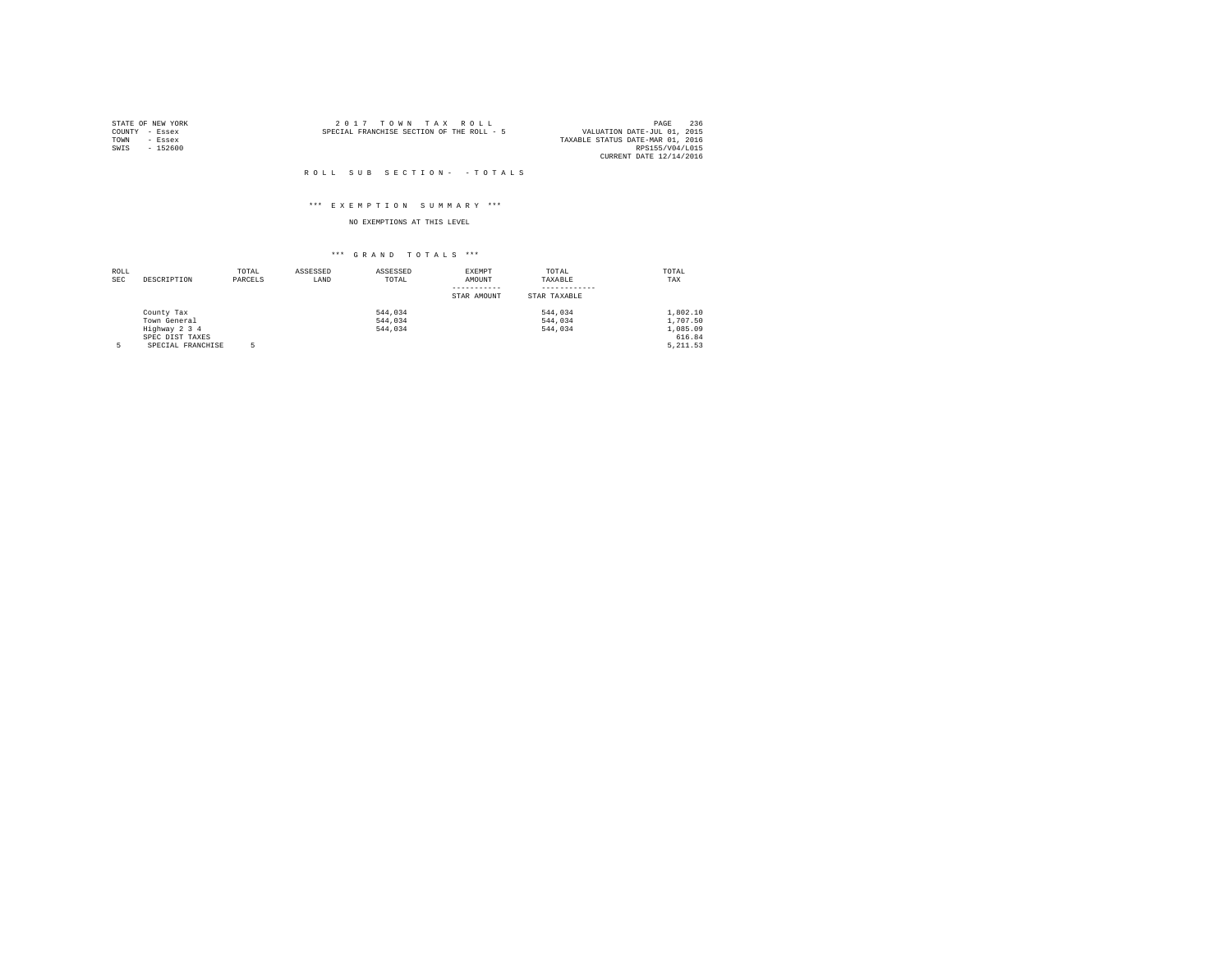| STATE OF NEW YORK |           | $2.017$ TOWN TAX ROLL                     |  |  | 236<br>PAGE                      |
|-------------------|-----------|-------------------------------------------|--|--|----------------------------------|
| COUNTY - Essex    |           | SPECIAL FRANCHISE SECTION OF THE ROLL - 5 |  |  | VALUATION DATE-JUL 01, 2015      |
| TOWN              | - Essex   |                                           |  |  | TAXABLE STATUS DATE-MAR 01, 2016 |
| SWIS              | $-152600$ |                                           |  |  | RPS155/V04/L015                  |
|                   |           |                                           |  |  | CURRENT DATE 12/14/2016          |

#### \*\*\* E X E M P T I O N S U M M A R Y \*\*\*

## NO EXEMPTIONS AT THIS LEVEL

| ROLL       |                   | TOTAL   | ASSESSED | ASSESSED | EXEMPT      | TOTAL        | TOTAL    |
|------------|-------------------|---------|----------|----------|-------------|--------------|----------|
| <b>SEC</b> | DESCRIPTION       | PARCELS | LAND     | TOTAL    | AMOUNT      | TAXABLE      | TAX      |
|            |                   |         |          |          |             |              |          |
|            |                   |         |          |          | STAR AMOUNT | STAR TAXABLE |          |
|            | County Tax        |         |          | 544.034  |             | 544,034      | 1,802.10 |
|            | Town General      |         |          | 544.034  |             | 544.034      | 1,707.50 |
|            | Highway 2 3 4     |         |          | 544.034  |             | 544.034      | 1,085.09 |
|            | SPEC DIST TAXES   |         |          |          |             |              | 616.84   |
| 5          | SPECIAL FRANCHISE |         |          |          |             |              | 5.211.53 |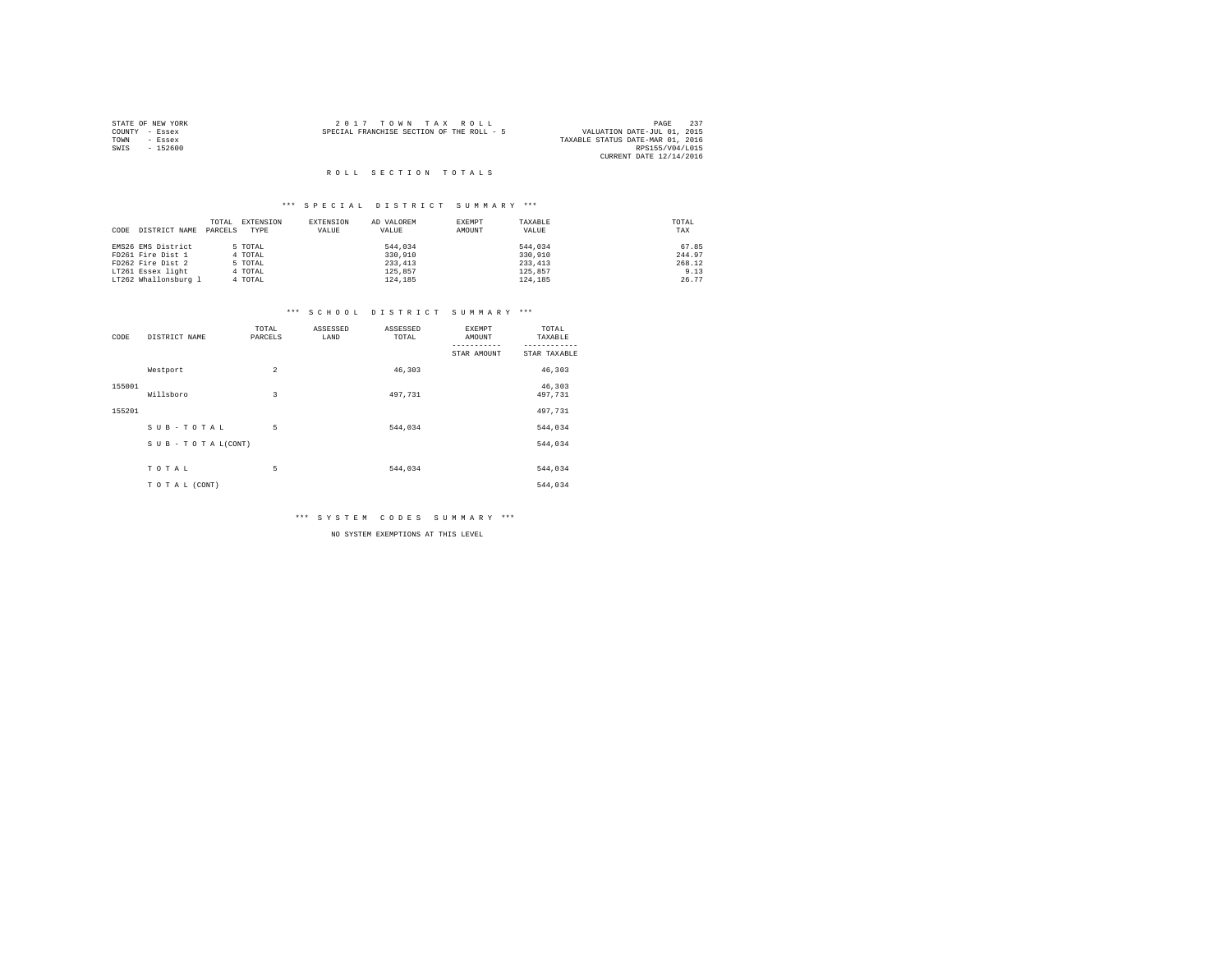|      | STATE OF NEW YORK | 2017 TOWN TAX ROLL                                                       | PAGE            | 237 |
|------|-------------------|--------------------------------------------------------------------------|-----------------|-----|
|      | COUNTY - Essex    | VALUATION DATE-JUL 01, 2015<br>SPECIAL FRANCHISE SECTION OF THE ROLL - 5 |                 |     |
| TOWN | - Essex           | TAXABLE STATUS DATE-MAR 01, 2016                                         |                 |     |
| SWIS | $-152600$         |                                                                          | RPS155/V04/L015 |     |
|      |                   | CURRENT DATE 12/14/2016                                                  |                 |     |

#### \*\*\* S P E C I A L D I S T R I C T S U M M A R Y \*\*\*

|                       | TOTAL   | EXTENSION | <b>EXTENSION</b> | AD VALOREM | EXEMPT | TAXABLE  | TOTAL  |
|-----------------------|---------|-----------|------------------|------------|--------|----------|--------|
| DISTRICT NAME<br>CODE | PARCELS | TYPE      | VALUE            | VALUE      | AMOUNT | VALUE    | TAX    |
| EMS26 EMS District    |         | 5 TOTAL   |                  | 544,034    |        | 544.034  | 67.85  |
| FD261 Fire Dist 1     |         | 4 TOTAL   |                  | 330,910    |        | 330,910  | 244.97 |
| FD262 Fire Dist 2     |         | 5 TOTAL   |                  | 233, 413   |        | 233, 413 | 268.12 |
| LT261 Essex light     |         | 4 TOTAL   |                  | 125,857    |        | 125,857  | 9.13   |
| LT262 Whallonsburg 1  |         | 4 TOTAL   |                  | 124,185    |        | 124,185  | 26.77  |

#### \*\*\* S C H O O L D I S T R I C T S U M M A R Y \*\*\*

| CODE   | DISTRICT NAME   | TOTAL<br>PARCELS | ASSESSED<br>LAND | ASSESSED<br>TOTAL | EXEMPT<br>AMOUNT | TOTAL<br>TAXABLE  |
|--------|-----------------|------------------|------------------|-------------------|------------------|-------------------|
|        |                 |                  |                  |                   | STAR AMOUNT      | STAR TAXABLE      |
|        | Westport        | $\overline{a}$   |                  | 46,303            |                  | 46,303            |
| 155001 | Willsboro       | 3                |                  | 497.731           |                  | 46,303<br>497,731 |
| 155201 |                 |                  |                  |                   |                  | 497,731           |
|        | SUB-TOTAL       | 5                |                  | 544.034           |                  | 544,034           |
|        | SUB-TOTAL(CONT) |                  |                  |                   |                  | 544,034           |
|        |                 |                  |                  |                   |                  |                   |
|        | TOTAL           | 5                |                  | 544,034           |                  | 544,034           |
|        | TO TAL (CONT)   |                  |                  |                   |                  | 544,034           |

\*\*\* S Y S T E M C O D E S S U M M A R Y \*\*\*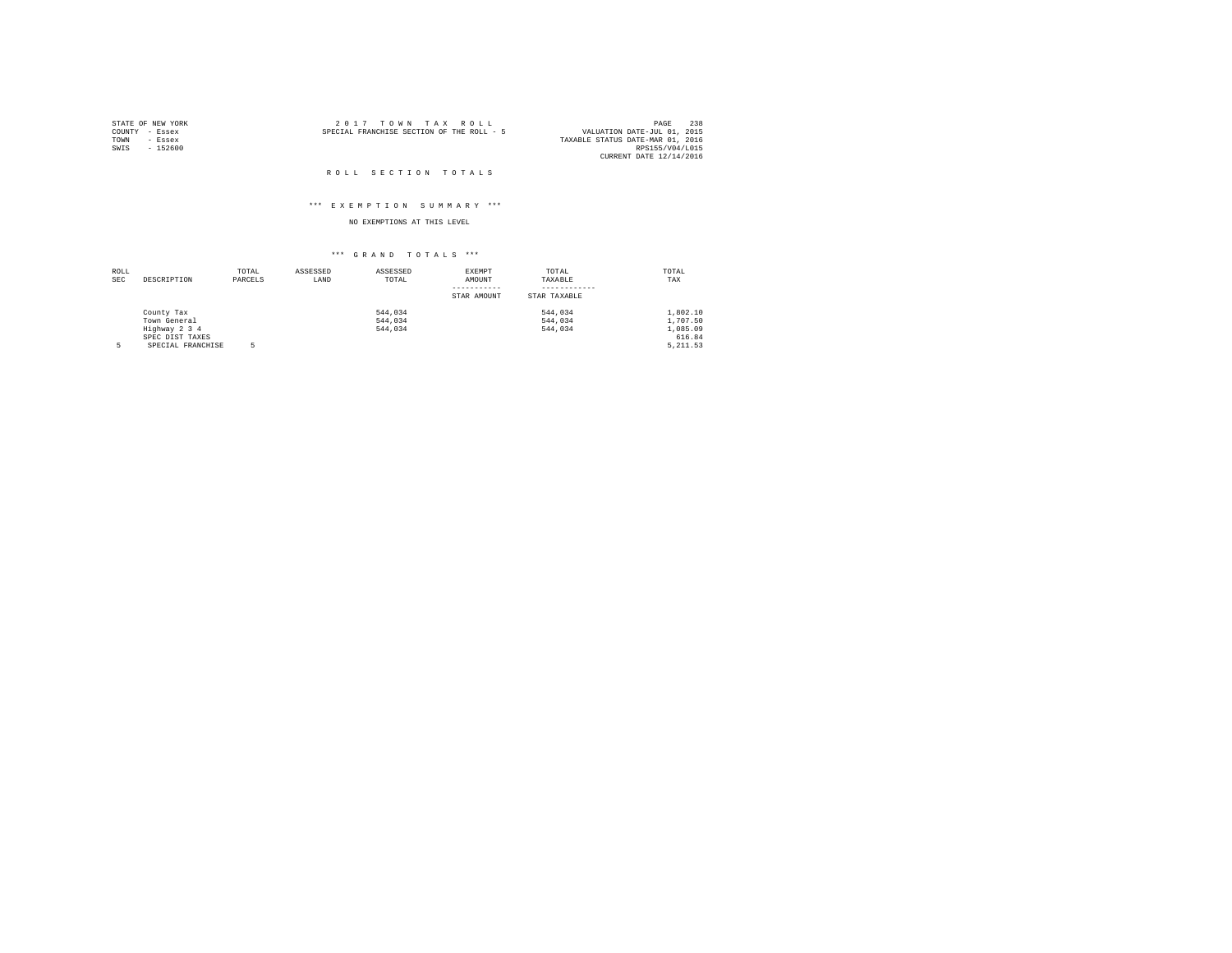| STATE OF NEW YORK |           | $2.017$ TOWN TAX ROLL                                                    | PAGE            | 238 |
|-------------------|-----------|--------------------------------------------------------------------------|-----------------|-----|
| COUNTY - Essex    |           | VALUATION DATE-JUL 01, 2015<br>SPECIAL FRANCHISE SECTION OF THE ROLL - 5 |                 |     |
| TOWN              | - Essex   | TAXABLE STATUS DATE-MAR 01, 2016                                         |                 |     |
| SWIS              | $-152600$ |                                                                          | RPS155/V04/L015 |     |
|                   |           | CURRENT DATE 12/14/2016                                                  |                 |     |

#### ROLL SECTION TOTALS

#### \*\*\* E X E M P T I O N S U M M A R Y \*\*\*

## NO EXEMPTIONS AT THIS LEVEL

| ROLL       |                   | TOTAL   | ASSESSED | ASSESSED | EXEMPT      | TOTAL        | TOTAL    |
|------------|-------------------|---------|----------|----------|-------------|--------------|----------|
| <b>SEC</b> | DESCRIPTION       | PARCELS | LAND     | TOTAL    | AMOUNT      | TAXABLE      | TAX      |
|            |                   |         |          |          |             |              |          |
|            |                   |         |          |          | STAR AMOUNT | STAR TAXABLE |          |
|            | County Tax        |         |          | 544.034  |             | 544,034      | 1,802.10 |
|            | Town General      |         |          | 544.034  |             | 544.034      | 1,707.50 |
|            | Highway 2 3 4     |         |          | 544.034  |             | 544.034      | 1,085.09 |
|            | SPEC DIST TAXES   |         |          |          |             |              | 616.84   |
| 5          | SPECIAL FRANCHISE |         |          |          |             |              | 5.211.53 |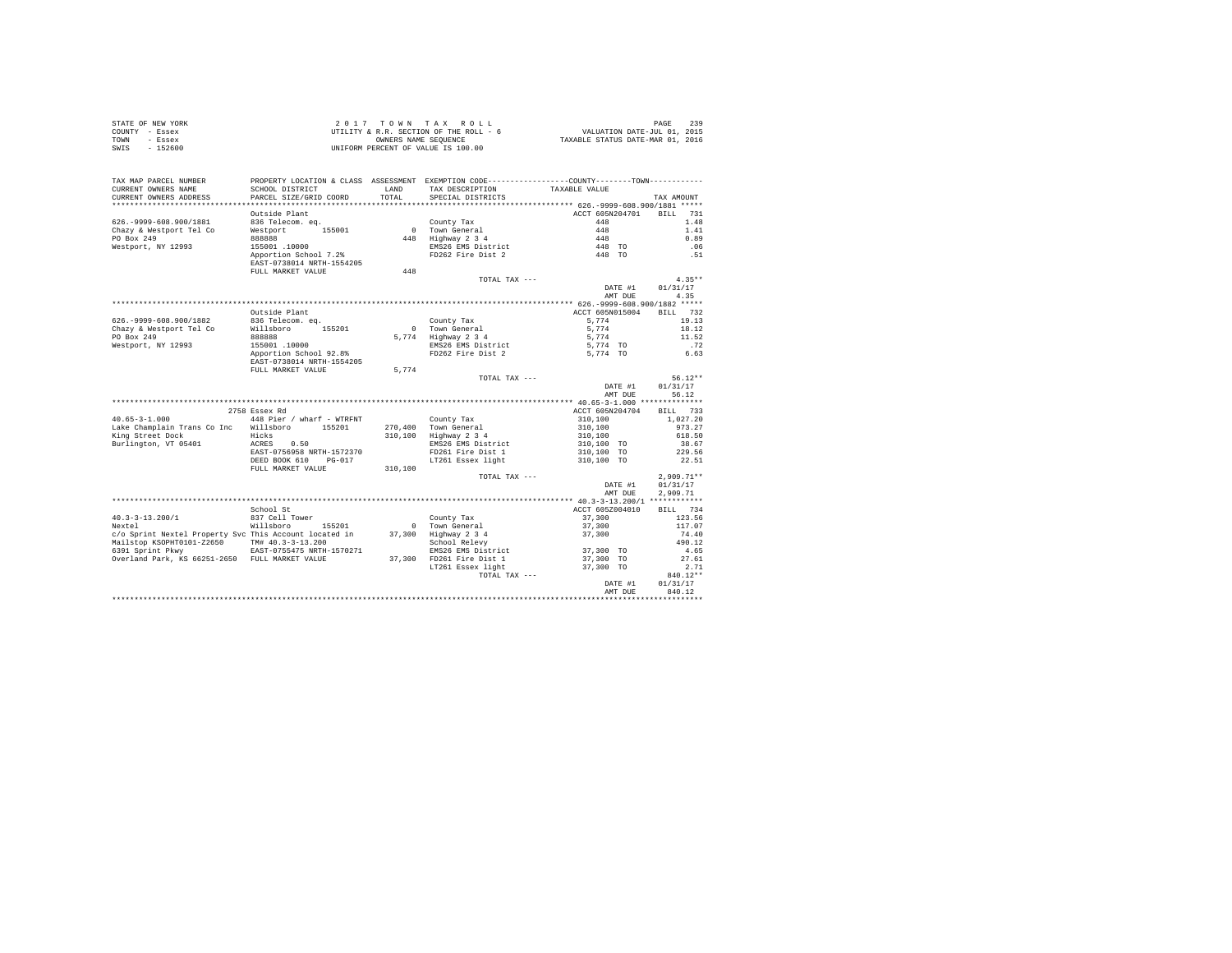|                | STATE OF NEW YORK | 2017 TOWN TAX ROLL                     | <b>PAGE 239</b>                  |
|----------------|-------------------|----------------------------------------|----------------------------------|
| COUNTY - Essex |                   | UTILITY & R.R. SECTION OF THE ROLL - 6 | VALUATION DATE-JUL 01, 2015      |
| TOWN           | - Essex           | OWNERS NAME SEOUENCE                   | TAXABLE STATUS DATE-MAR 01, 2016 |
| SWIS           | - 152600          | UNIFORM PERCENT OF VALUE IS 100.00     |                                  |

| TAX MAP PARCEL NUMBER<br>CURRENT OWNERS NAME<br>CURRENT OWNERS ADDRESS<br>********************** | SCHOOL DISTRICT<br>PARCEL SIZE/GRID COORD<br>************************ | <b>T.AND</b><br>TOTAL | PROPERTY LOCATION & CLASS ASSESSMENT EXEMPTION CODE----------------COUNTY-------TOWN----------<br>TAX DESCRIPTION<br>SPECIAL DISTRICTS | TAXABLE VALUE                               |                    | TAX AMOUNT                     |
|--------------------------------------------------------------------------------------------------|-----------------------------------------------------------------------|-----------------------|----------------------------------------------------------------------------------------------------------------------------------------|---------------------------------------------|--------------------|--------------------------------|
|                                                                                                  | Outside Plant                                                         |                       |                                                                                                                                        | ACCT 605N204701                             |                    | <b>BILL</b><br>731             |
| 626. - 9999-608. 900/1881                                                                        | 836 Telecom. eq.                                                      |                       | County Tax                                                                                                                             | 448                                         |                    | 1.48                           |
| Chazy & Westport Tel Co                                                                          | Westport<br>155001                                                    | $\Omega$              | Town General                                                                                                                           | 448                                         |                    | 1.41                           |
| PO Box 249                                                                                       | 888888                                                                | 448                   | Highway 2 3 4                                                                                                                          | 448                                         |                    | 0.89                           |
| Westport, NY 12993                                                                               | 155001.10000                                                          |                       | EMS26 EMS District                                                                                                                     | 448 TO                                      |                    | .06                            |
|                                                                                                  | Apportion School 7.2%                                                 |                       | FD262 Fire Dist 2                                                                                                                      | 448 TO                                      |                    | .51                            |
|                                                                                                  | EAST-0738014 NRTH-1554205                                             |                       |                                                                                                                                        |                                             |                    |                                |
|                                                                                                  | FULL MARKET VALUE                                                     | 448                   |                                                                                                                                        |                                             |                    |                                |
|                                                                                                  |                                                                       |                       | TOTAL TAX ---                                                                                                                          |                                             |                    | $4.35**$                       |
|                                                                                                  |                                                                       |                       |                                                                                                                                        |                                             | DATE #1<br>AMT DUE | 01/31/17<br>4.35               |
|                                                                                                  |                                                                       |                       |                                                                                                                                        | ************** 626.-9999-608.900/1882 ***** |                    |                                |
|                                                                                                  | Outside Plant                                                         |                       |                                                                                                                                        | ACCT 605N015004                             |                    | BTLL.<br>732                   |
| 626. - 9999 - 608. 900/1882                                                                      | 836 Telecom. ea.                                                      |                       | County Tax                                                                                                                             | 5,774                                       |                    | 19.13                          |
| Chazy & Westport Tel Co                                                                          | Willsboro<br>155201                                                   | $^{\circ}$            | Town General                                                                                                                           | 5.774                                       |                    | 18.12                          |
| PO Box 249                                                                                       | 888888                                                                |                       | 5,774 Highway 2 3 4                                                                                                                    | 5.774                                       |                    | 11.52                          |
| Westport, NY 12993                                                                               | 155001 .10000                                                         |                       | EMS26 EMS District                                                                                                                     | 5,774 TO                                    |                    | .72                            |
|                                                                                                  | Apportion School 92.8%                                                |                       | FD262 Fire Dist 2                                                                                                                      | 5.774 TO                                    |                    | 6.63                           |
|                                                                                                  | EAST-0738014 NRTH-1554205                                             |                       |                                                                                                                                        |                                             |                    |                                |
|                                                                                                  | FULL MARKET VALUE                                                     | 5.774                 |                                                                                                                                        |                                             |                    |                                |
|                                                                                                  |                                                                       |                       | TOTAL TAX ---                                                                                                                          |                                             |                    | $56.12**$                      |
|                                                                                                  |                                                                       |                       |                                                                                                                                        |                                             | DATE #1            | 01/31/17                       |
|                                                                                                  |                                                                       |                       |                                                                                                                                        |                                             | AMT DUE            | 56.12                          |
|                                                                                                  | 2758 Essex Rd                                                         |                       |                                                                                                                                        | ACCT 605N204704                             |                    |                                |
| $40.65 - 3 - 1.000$                                                                              | 448 Pier / wharf - WTRFNT                                             |                       |                                                                                                                                        | 310,100                                     |                    | 733<br><b>BILL</b><br>1.027.20 |
| Lake Champlain Trans Co Inc Willsboro                                                            | 155201                                                                | 270,400               | County Tax<br>Town General                                                                                                             | 310,100                                     |                    | 973.27                         |
| King Street Dock                                                                                 | Hicks                                                                 | 310,100               | Highway 2 3 4                                                                                                                          | 310,100                                     |                    | 618.50                         |
| Burlington, VT 05401                                                                             | ACRES<br>0.50                                                         |                       | EMS26 EMS District                                                                                                                     | 310,100 TO                                  |                    | 38.67                          |
|                                                                                                  | EAST-0756958 NRTH-1572370                                             |                       | FD261 Fire Dist 1                                                                                                                      | 310,100 TO                                  |                    | 229.56                         |
|                                                                                                  | DEED BOOK 610<br>$PG-017$                                             |                       | LT261 Essex light                                                                                                                      | 310,100 TO                                  |                    | 22.51                          |
|                                                                                                  | FULL MARKET VALUE                                                     | 310,100               |                                                                                                                                        |                                             |                    |                                |
|                                                                                                  |                                                                       |                       | TOTAL TAX ---                                                                                                                          |                                             |                    | $2,909.71**$                   |
|                                                                                                  |                                                                       |                       |                                                                                                                                        |                                             | DATE #1            | 01/31/17                       |
|                                                                                                  |                                                                       |                       |                                                                                                                                        |                                             | AMT DUE            | 2.909.71                       |
|                                                                                                  |                                                                       |                       |                                                                                                                                        |                                             |                    |                                |
|                                                                                                  | School St                                                             |                       |                                                                                                                                        | ACCT 605Z004010                             |                    | <b>BILL</b><br>734             |
| $40.3 - 3 - 13.200 / 1$<br>Nextel                                                                | 837 Cell Tower<br>Willsboro<br>155201                                 | $\Omega$              | County Tax<br>Town General                                                                                                             | 37,300<br>37,300                            |                    | 123.56<br>117.07               |
| c/o Sprint Nextel Property Svc This Account located in                                           |                                                                       | 37,300                | Highway 2 3 4                                                                                                                          | 37,300                                      |                    | 74.40                          |
| Mailstop KSOPHT0101-Z2650                                                                        | TM# $40.3 - 3 - 13.200$                                               |                       | School Relevy                                                                                                                          |                                             |                    | 490.12                         |
| 6391 Sprint Pkwy                                                                                 | EAST-0755475 NRTH-1570271                                             |                       | EMS26 EMS District                                                                                                                     | 37,300 TO                                   |                    | 4.65                           |
| Overland Park, KS 66251-2650 FULL MARKET VALUE                                                   |                                                                       |                       | 37,300 FD261 Fire Dist 1                                                                                                               | 37,300 TO                                   |                    | 27.61                          |
|                                                                                                  |                                                                       |                       | LT261 Essex light                                                                                                                      | 37,300 TO                                   |                    | 2.71                           |
|                                                                                                  |                                                                       |                       | TOTAL TAX ---                                                                                                                          |                                             |                    | 840.12**                       |
|                                                                                                  |                                                                       |                       |                                                                                                                                        |                                             | DATE #1            | 01/31/17                       |
|                                                                                                  |                                                                       |                       |                                                                                                                                        |                                             | AMT DUE            | 840.12                         |
|                                                                                                  |                                                                       |                       |                                                                                                                                        |                                             |                    |                                |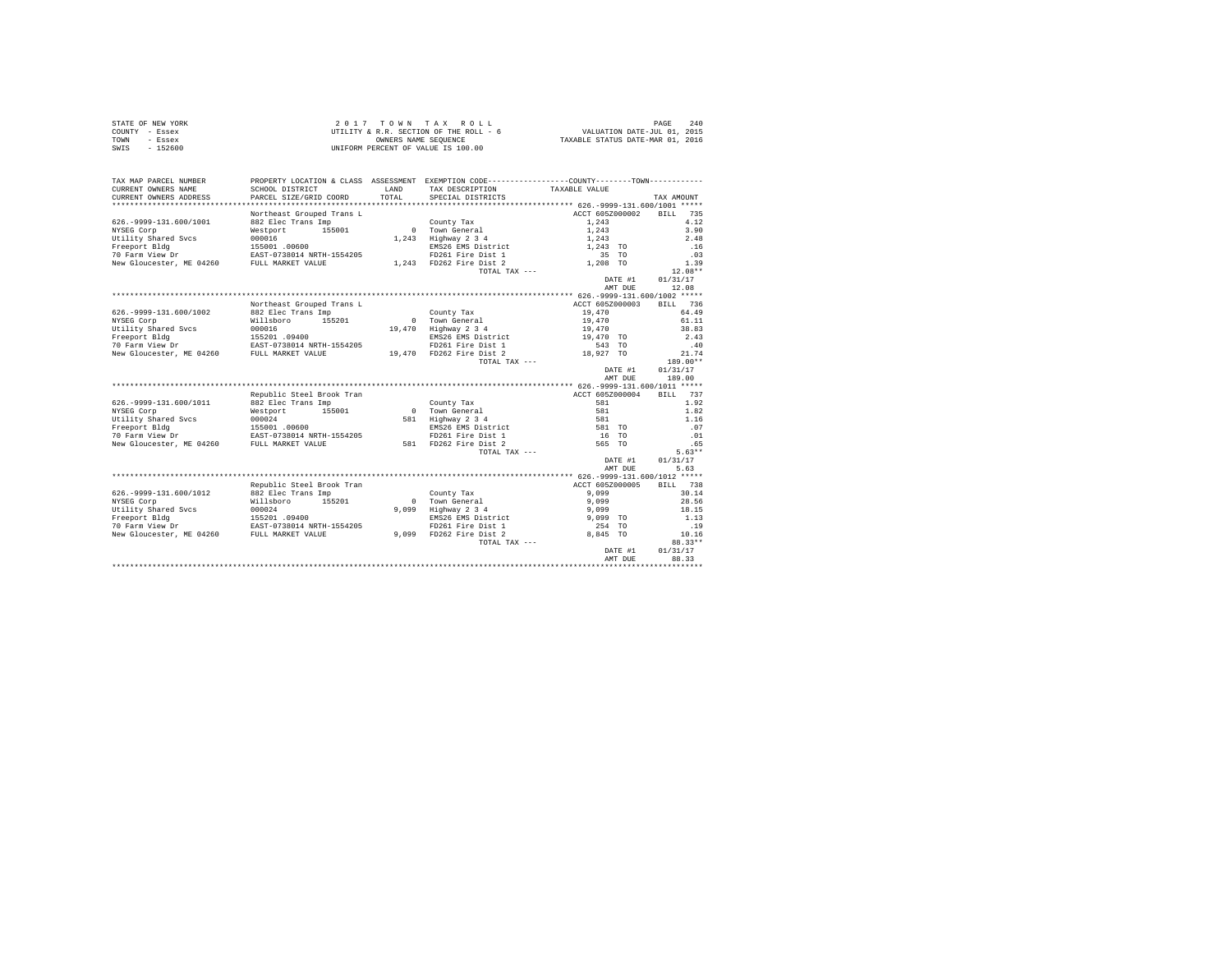|                | STATE OF NEW YORK | 2017 TOWN TAX ROLL                     |                                  | PAGE | 2.40 |
|----------------|-------------------|----------------------------------------|----------------------------------|------|------|
| COUNTY - Essex |                   | UTILITY & R.R. SECTION OF THE ROLL - 6 | VALUATION DATE-JUL 01, 2015      |      |      |
| TOWN           | - Essex           | OWNERS NAME SEOUENCE                   | TAXABLE STATUS DATE-MAR 01, 2016 |      |      |
| SWIS           | $-152600$         | UNIFORM PERCENT OF VALUE IS 100.00     |                                  |      |      |

| TAX MAP PARCEL NUMBER<br>CURRENT OWNERS NAME<br>CURRENT OWNERS ADDRESS | SCHOOL DISTRICT<br>PARCEL SIZE/GRID COORD | LAND<br>TOTAL | PROPERTY LOCATION & CLASS ASSESSMENT EXEMPTION CODE----------------COUNTY-------TOWN----------<br>TAX DESCRIPTION<br>SPECIAL DISTRICTS | TAXABLE VALUE   |         | TAX AMOUNT         |
|------------------------------------------------------------------------|-------------------------------------------|---------------|----------------------------------------------------------------------------------------------------------------------------------------|-----------------|---------|--------------------|
|                                                                        |                                           |               |                                                                                                                                        |                 |         |                    |
|                                                                        | Northeast Grouped Trans L                 |               |                                                                                                                                        | ACCT 605Z000002 |         | 735<br><b>BILL</b> |
| 626. - 9999-131.600/1001                                               | 882 Elec Trans Imp                        |               | County Tax                                                                                                                             | 1,243           |         | 4.12               |
| NYSEG Corp                                                             | 155001<br>Westport                        |               | 0 Town General                                                                                                                         | 1,243           |         | 3.90               |
| Utility Shared Svcs                                                    | 000016                                    | 1,243         | Highway 2 3 4                                                                                                                          | 1,243           |         | 2.48               |
| Freeport Bldg                                                          | 155001 .00600                             |               | EMS26 EMS District                                                                                                                     | 1,243 TO        |         | .16                |
| 70 Farm View Dr                                                        | EAST-0738014 NRTH-1554205                 |               | FD261 Fire Dist 1                                                                                                                      | 35 TO           |         | .03                |
| New Gloucester, ME 04260                                               | FULL MARKET VALUE                         |               | 1,243 FD262 Fire Dist 2                                                                                                                | 1,208 TO        |         | 1.39               |
|                                                                        |                                           |               | TOTAL TAX ---                                                                                                                          |                 |         | $12.08**$          |
|                                                                        |                                           |               |                                                                                                                                        |                 | DATE #1 | 01/31/17           |
|                                                                        |                                           |               |                                                                                                                                        |                 | AMT DUE | 12.08              |
|                                                                        |                                           |               |                                                                                                                                        |                 |         |                    |
|                                                                        | Northeast Grouped Trans L                 |               |                                                                                                                                        | ACCT 605Z000003 |         | <b>BILL</b><br>736 |
| 626. - 9999 - 131. 600/1002                                            | 882 Elec Trans Imp                        |               | County Tax                                                                                                                             | 19,470          |         | 64.49              |
| NYSEG Corp                                                             | 155201<br>Willsboro                       | $\Omega$      | Town General                                                                                                                           | 19,470          |         | 61.11              |
| Utility Shared Svcs                                                    | 000016                                    | 19,470        | Highway 2 3 4                                                                                                                          | 19,470          |         | 38.83              |
| Freeport Bldg                                                          | 155201 .09400                             |               | EMS26 EMS District                                                                                                                     | 19,470 TO       |         | 2.43               |
| 70 Farm View Dr                                                        | EAST-0738014 NRTH-1554205                 |               | FD261 Fire Dist 1                                                                                                                      | 543 TO          |         | .40                |
| New Gloucester, ME 04260                                               | FULL MARKET VALUE                         |               | 19,470 FD262 Fire Dist 2                                                                                                               | 18,927 TO       |         | 21.74              |
|                                                                        |                                           |               | TOTAL TAX ---                                                                                                                          |                 |         | 189.00**           |
|                                                                        |                                           |               |                                                                                                                                        |                 | DATE #1 | 01/31/17           |
|                                                                        |                                           |               |                                                                                                                                        |                 | AMT DUE | 189.00             |
|                                                                        |                                           |               |                                                                                                                                        |                 |         |                    |
|                                                                        | Republic Steel Brook Tran                 |               |                                                                                                                                        | ACCT 605Z000004 |         | 737<br>BTLL.       |
| 626. - 9999-131.600/1011                                               | 882 Elec Trans Imp                        |               | County Tax                                                                                                                             | 581             |         | 1.92               |
| NYSEG Corp                                                             | 155001<br>Westport                        | $\sim$ 0      | Town General                                                                                                                           | 581             |         | 1.82               |
| Utility Shared Sycs                                                    | 000024                                    | 581           | Highway 2 3 4                                                                                                                          | 581             |         | 1.16               |
| Freeport Bldg                                                          | 155001 .00600                             |               | EMS26 EMS District                                                                                                                     | 581 TO          |         | .07                |
| 70 Farm View Dr                                                        | EAST-0738014 NRTH-1554205                 |               | FD261 Fire Dist 1                                                                                                                      | 16 TO           |         | .01                |
| New Gloucester, ME 04260                                               | FULL MARKET VALUE                         |               | 581 FD262 Fire Dist 2                                                                                                                  | 565 TO          |         | .65                |
|                                                                        |                                           |               | TOTAL TAX ---                                                                                                                          |                 |         | $5.63**$           |
|                                                                        |                                           |               |                                                                                                                                        |                 | DATE #1 | 01/31/17           |
|                                                                        |                                           |               |                                                                                                                                        |                 | AMT DUE | 5.63               |
|                                                                        |                                           |               |                                                                                                                                        |                 |         |                    |
|                                                                        | Republic Steel Brook Tran                 |               |                                                                                                                                        | ACCT 605Z000005 |         | 738<br>RTLL.       |
| 626. - 9999 - 131. 600/1012                                            | 882 Elec Trans Imp                        |               | County Tax                                                                                                                             | 9.099           |         | 30.14              |
| NYSEG Corp                                                             | Willsboro<br>155201                       | $\Omega$      | Town General                                                                                                                           | 9.099           |         | 28.56              |
| Utility Shared Svcs                                                    | 000024                                    | 9.099         | Highway 2 3 4                                                                                                                          | 9.099           |         | 18.15              |
| Freeport Bldg                                                          | 155201.09400                              |               | EMS26 EMS District                                                                                                                     | 9,099 TO        |         | 1.13               |
| 70 Farm View Dr                                                        | EAST-0738014 NRTH-1554205                 |               | FD261 Fire Dist 1                                                                                                                      | 254 TO          |         | .19                |
| New Gloucester, ME 04260                                               | FULL MARKET VALUE                         | 9.099         | FD262 Fire Dist 2                                                                                                                      | 8.845 TO        |         | 10.16              |
|                                                                        |                                           |               | TOTAL TAX ---                                                                                                                          |                 |         | 88.33**            |
|                                                                        |                                           |               |                                                                                                                                        |                 | DATE #1 | 01/31/17           |
|                                                                        |                                           |               |                                                                                                                                        |                 | AMT DUE | 88.33              |
|                                                                        |                                           |               |                                                                                                                                        |                 |         |                    |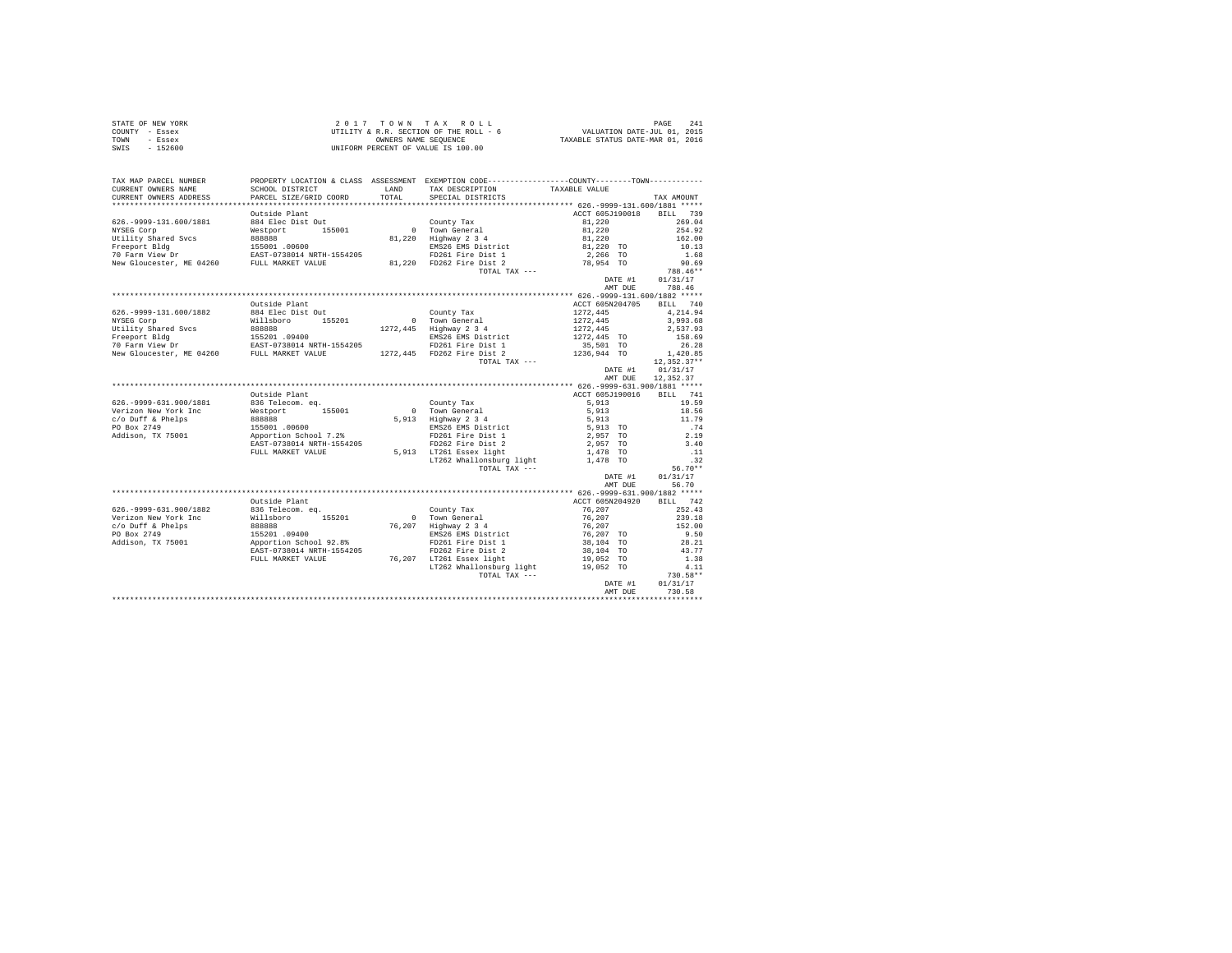|                | STATE OF NEW YORK | $2.017$ TOWN TAX ROLL                  | 2.41<br>PAGE                     |  |
|----------------|-------------------|----------------------------------------|----------------------------------|--|
| COUNTY - Essex |                   | UTILITY & R.R. SECTION OF THE ROLL - 6 | VALUATION DATE-JUL 01, 2015      |  |
| TOWN           | - Essex           | OWNERS NAME SEOUENCE                   | TAXABLE STATUS DATE-MAR 01, 2016 |  |
| SWIS           | $-152600$         | UNIFORM PERCENT OF VALUE IS 100.00     |                                  |  |

| TAX MAP PARCEL NUMBER<br>CURRENT OWNERS NAME<br>CURRENT OWNERS ADDRESS                                                                                                                                                                    | SCHOOL DISTRICT<br>PARCEL SIZE/GRID COORD                                                          | LAND<br>TOTAL. | PROPERTY LOCATION & CLASS ASSESSMENT EXEMPTION CODE---------------COUNTY-------TOWN----------<br>TAX DESCRIPTION<br>SPECIAL DISTRICTS | TAXABLE VALUE                                             | TAX AMOUNT  |
|-------------------------------------------------------------------------------------------------------------------------------------------------------------------------------------------------------------------------------------------|----------------------------------------------------------------------------------------------------|----------------|---------------------------------------------------------------------------------------------------------------------------------------|-----------------------------------------------------------|-------------|
|                                                                                                                                                                                                                                           |                                                                                                    |                |                                                                                                                                       |                                                           |             |
|                                                                                                                                                                                                                                           | Outside Plant                                                                                      |                |                                                                                                                                       | ACCT 605J190018 BILL 739                                  |             |
| 626. - 9999-131. 600/1881                                                                                                                                                                                                                 | 884 Elec Dist Out                                                                                  |                | County Tax<br>0 Town General                                                                                                          |                                                           | 269.04      |
| NYSEG Corp                                                                                                                                                                                                                                | Westport 155001                                                                                    |                |                                                                                                                                       |                                                           | 254.92      |
| Utility Shared Svcs and 1,220 Highway 2 3 4<br>Freeport Bldg<br>Treeport Bldg 155001.00600 10500 EXPS ENS26 ENS District<br>10 Farm View Dr EAST-0738014 NRTH-1554205 PD262 Fire Dist 1<br>New Gloucester, ME 04260 FULL MARKET VALUE     |                                                                                                    |                | 81,220 Highway 2 3 4                                                                                                                  | $81,220$<br>$81,220$<br>$81,220$<br>$81,220$ TO           | 162.00      |
|                                                                                                                                                                                                                                           |                                                                                                    |                |                                                                                                                                       |                                                           | 10.13       |
|                                                                                                                                                                                                                                           |                                                                                                    |                |                                                                                                                                       | 2,266 TO                                                  | 1.68        |
|                                                                                                                                                                                                                                           |                                                                                                    |                |                                                                                                                                       | 78,954 TO                                                 | 90.69       |
|                                                                                                                                                                                                                                           |                                                                                                    |                | TOTAL TAX ---                                                                                                                         |                                                           | 788.46**    |
|                                                                                                                                                                                                                                           |                                                                                                    |                |                                                                                                                                       | DATE #1                                                   | 01/31/17    |
|                                                                                                                                                                                                                                           |                                                                                                    |                |                                                                                                                                       | AMT DUE                                                   | 788.46      |
|                                                                                                                                                                                                                                           |                                                                                                    |                |                                                                                                                                       |                                                           |             |
|                                                                                                                                                                                                                                           |                                                                                                    |                |                                                                                                                                       |                                                           |             |
|                                                                                                                                                                                                                                           | Outside Plant                                                                                      |                |                                                                                                                                       | ACCT 605N204705                                           | BILL 740    |
| 626. - 9999-131.600/1882                                                                                                                                                                                                                  | 884 Elec Dist Out                                                                                  |                | County Tax                                                                                                                            | 1272.445<br>1272,445<br>1272,445                          | 4.214.94    |
| NYSEG Corp                                                                                                                                                                                                                                | Willsboro 155201                                                                                   |                | 0 Town General                                                                                                                        |                                                           | 3,993.68    |
|                                                                                                                                                                                                                                           |                                                                                                    |                |                                                                                                                                       |                                                           | 2,537.93    |
|                                                                                                                                                                                                                                           |                                                                                                    |                |                                                                                                                                       |                                                           | 158.69      |
|                                                                                                                                                                                                                                           |                                                                                                    |                |                                                                                                                                       |                                                           | 26.28       |
| NIGHT NEW 1272, 445<br>NEW THE SERVE 155001.09400<br>THE SERVE 155001.09400<br>THE SERVE 1272, 445<br>TO FATE IS TO THE SERVE THE DISC TRING TO THE 2001.127445<br>TO FATE IS THE DISC TRING TO THE 2015 2014<br>NEW Gloucester, ME 04260 |                                                                                                    |                |                                                                                                                                       |                                                           | 1,420.85    |
|                                                                                                                                                                                                                                           |                                                                                                    |                | TOTAL TAX ---                                                                                                                         |                                                           | 12,352.37** |
|                                                                                                                                                                                                                                           |                                                                                                    |                |                                                                                                                                       | DATE #1                                                   | 01/31/17    |
|                                                                                                                                                                                                                                           |                                                                                                    |                |                                                                                                                                       | AMT DUE                                                   | 12,352,37   |
|                                                                                                                                                                                                                                           |                                                                                                    |                |                                                                                                                                       |                                                           |             |
|                                                                                                                                                                                                                                           | Outside Plant                                                                                      |                |                                                                                                                                       | ACCT 605J190016                                           | BILL 741    |
| 626. - 9999-631.900/1881                                                                                                                                                                                                                  | 836 Telecom. eq.                                                                                   |                | County Tax                                                                                                                            | 5,913                                                     | 19.59       |
| Verizon New York Inc                                                                                                                                                                                                                      |                                                                                                    |                | 0 County Land<br>5,913 Highway 2 3 4<br>EMS26 EMS District<br>FD261 Fire Dist 1                                                       |                                                           | 18.56       |
| c/o Duff & Phelps                                                                                                                                                                                                                         | Westport 155001<br>88888<br>155001 .00600<br>Apportion School 7.2%<br>RAST-0738014 NRTH-1554205    |                |                                                                                                                                       | 5,913<br>5,913                                            | 11.79       |
| PO Box 2749                                                                                                                                                                                                                               |                                                                                                    |                |                                                                                                                                       |                                                           |             |
|                                                                                                                                                                                                                                           |                                                                                                    |                |                                                                                                                                       | 5,913 TO                                                  | .74         |
| Addison, TX 75001                                                                                                                                                                                                                         |                                                                                                    |                |                                                                                                                                       | 2,957 TO                                                  | 2.19        |
|                                                                                                                                                                                                                                           |                                                                                                    |                | FD262 Fire Dist 2                                                                                                                     | 2,957 TO                                                  | 3.40        |
|                                                                                                                                                                                                                                           | FULL MARKET VALUE                                                                                  |                | 5,913 LT261 Essex light                                                                                                               | 1,478 TO<br>1,478 TO                                      | $\ldots$ 11 |
|                                                                                                                                                                                                                                           |                                                                                                    |                | LT262 Whallonsburg light                                                                                                              |                                                           | .32         |
|                                                                                                                                                                                                                                           |                                                                                                    |                | TOTAL TAX ---                                                                                                                         |                                                           | $56.70**$   |
|                                                                                                                                                                                                                                           |                                                                                                    |                |                                                                                                                                       | DATE #1                                                   | 01/31/17    |
|                                                                                                                                                                                                                                           |                                                                                                    |                |                                                                                                                                       | AMT DUE                                                   | 56.70       |
|                                                                                                                                                                                                                                           |                                                                                                    |                |                                                                                                                                       |                                                           |             |
|                                                                                                                                                                                                                                           | Outside Plant                                                                                      |                |                                                                                                                                       | ACCT 605N204920 BILL 742                                  |             |
| 626.-9999-631.900/1882 836 Telecom. eq.                                                                                                                                                                                                   |                                                                                                    |                | County Tax                                                                                                                            | 76,207                                                    | 252.43      |
| Verizon New York Inc                                                                                                                                                                                                                      |                                                                                                    |                | 0 Town General                                                                                                                        | 76,207                                                    | 239.18      |
| c/o Duff & Phelps                                                                                                                                                                                                                         | Willsboro 155201<br>888888<br>155201 .09400<br>Apportion School 92.8%<br>EAST-0738014 NRTH-1554205 |                | 76,207 Highway 2 3 4                                                                                                                  | $76, 207$<br>$76, 207$ TO<br>$38, 104$ TO<br>$38, 104$ TO | 152.00      |
| PO Box 2749                                                                                                                                                                                                                               |                                                                                                    |                | EMS26 EMS District                                                                                                                    |                                                           | 9.50        |
| Addison, TX 75001                                                                                                                                                                                                                         |                                                                                                    |                | FD261 Fire Dist 1                                                                                                                     |                                                           | 28.21       |
|                                                                                                                                                                                                                                           |                                                                                                    |                | FD262 Fire Dist 2                                                                                                                     |                                                           | 43.77       |
|                                                                                                                                                                                                                                           | FULL MARKET VALUE                                                                                  |                | 76,207 LT261 Essex light                                                                                                              | 19,052 TO                                                 | 1.38        |
|                                                                                                                                                                                                                                           |                                                                                                    |                | LT262 Whallonsburg light 19,052 TO                                                                                                    |                                                           | 4.11        |
|                                                                                                                                                                                                                                           |                                                                                                    |                | TOTAL TAX ---                                                                                                                         |                                                           | $730.58**$  |
|                                                                                                                                                                                                                                           |                                                                                                    |                |                                                                                                                                       | DATE #1                                                   | 01/31/17    |
|                                                                                                                                                                                                                                           |                                                                                                    |                |                                                                                                                                       |                                                           |             |
|                                                                                                                                                                                                                                           |                                                                                                    |                |                                                                                                                                       | AMT DUE                                                   | 730.58      |
|                                                                                                                                                                                                                                           |                                                                                                    |                |                                                                                                                                       |                                                           |             |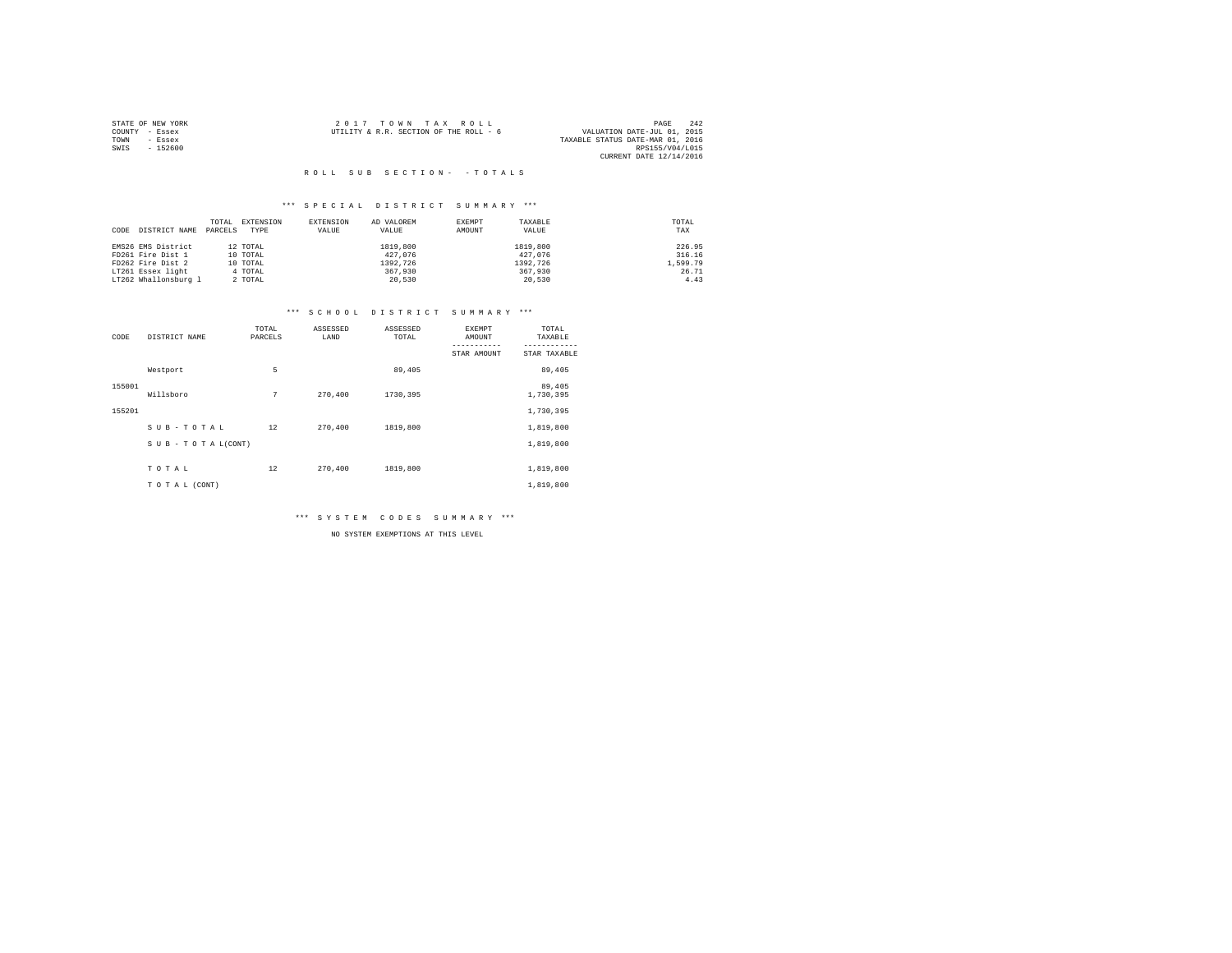|                | STATE OF NEW YORK | 2017 TOWN TAX ROLL                     |  |                                  | PAGE            | 242 |
|----------------|-------------------|----------------------------------------|--|----------------------------------|-----------------|-----|
| COUNTY - Essex |                   | UTILITY & R.R. SECTION OF THE ROLL - 6 |  | VALUATION DATE-JUL 01, 2015      |                 |     |
| TOWN           | - Essex           |                                        |  | TAXABLE STATUS DATE-MAR 01, 2016 |                 |     |
| SWIS           | $-152600$         |                                        |  |                                  | RPS155/V04/L015 |     |
|                |                   |                                        |  | CURRENT DATE 12/14/2016          |                 |     |

#### \*\*\* S P E C I A L D I S T R I C T S U M M A R Y \*\*\*

|                       | TOTAL   | EXTENSION | EXTENSION | AD VALOREM | EXEMPT | TAXABLE  | TOTAL    |
|-----------------------|---------|-----------|-----------|------------|--------|----------|----------|
| DISTRICT NAME<br>CODE | PARCELS | TYPE      | VALUE     | VALUE      | AMOUNT | VALUE    | TAX      |
|                       |         |           |           |            |        |          |          |
| EMS26 EMS District    |         | 12 TOTAL  |           | 1819,800   |        | 1819,800 | 226.95   |
| FD261 Fire Dist 1     |         | 10 TOTAL  |           | 427,076    |        | 427,076  | 316.16   |
| FD262 Fire Dist 2     |         | 10 TOTAL  |           | 1392.726   |        | 1392.726 | 1,599.79 |
| LT261 Essex light     |         | 4 TOTAL   |           | 367,930    |        | 367,930  | 26.71    |
| LT262 Whallonsburg 1  |         | 2 TOTAL   |           | 20,530     |        | 20,530   | 4.43     |

#### \*\*\* S C H O O L D I S T R I C T S U M M A R Y \*\*\*

| CODE   | DISTRICT NAME      | TOTAL<br>PARCELS | ASSESSED<br>LAND | ASSESSED<br>TOTAL | EXEMPT<br>AMOUNT | TOTAL<br>TAXABLE    |
|--------|--------------------|------------------|------------------|-------------------|------------------|---------------------|
|        |                    |                  |                  |                   | STAR AMOUNT      | STAR TAXABLE        |
|        | Westport           | 5                |                  | 89,405            |                  | 89,405              |
| 155001 | Willsboro          | 7                | 270,400          | 1730,395          |                  | 89,405<br>1,730,395 |
| 155201 |                    |                  |                  |                   |                  | 1,730,395           |
|        | SUB-TOTAL          | 12               | 270,400          | 1819,800          |                  | 1,819,800           |
|        | SUB - TO TAL(CONT) |                  |                  |                   |                  | 1,819,800           |
|        | TOTAL              | 12               | 270,400          | 1819,800          |                  | 1,819,800           |
|        | TO TAL (CONT)      |                  |                  |                   |                  | 1,819,800           |

\*\*\* S Y S T E M C O D E S S U M M A R Y \*\*\*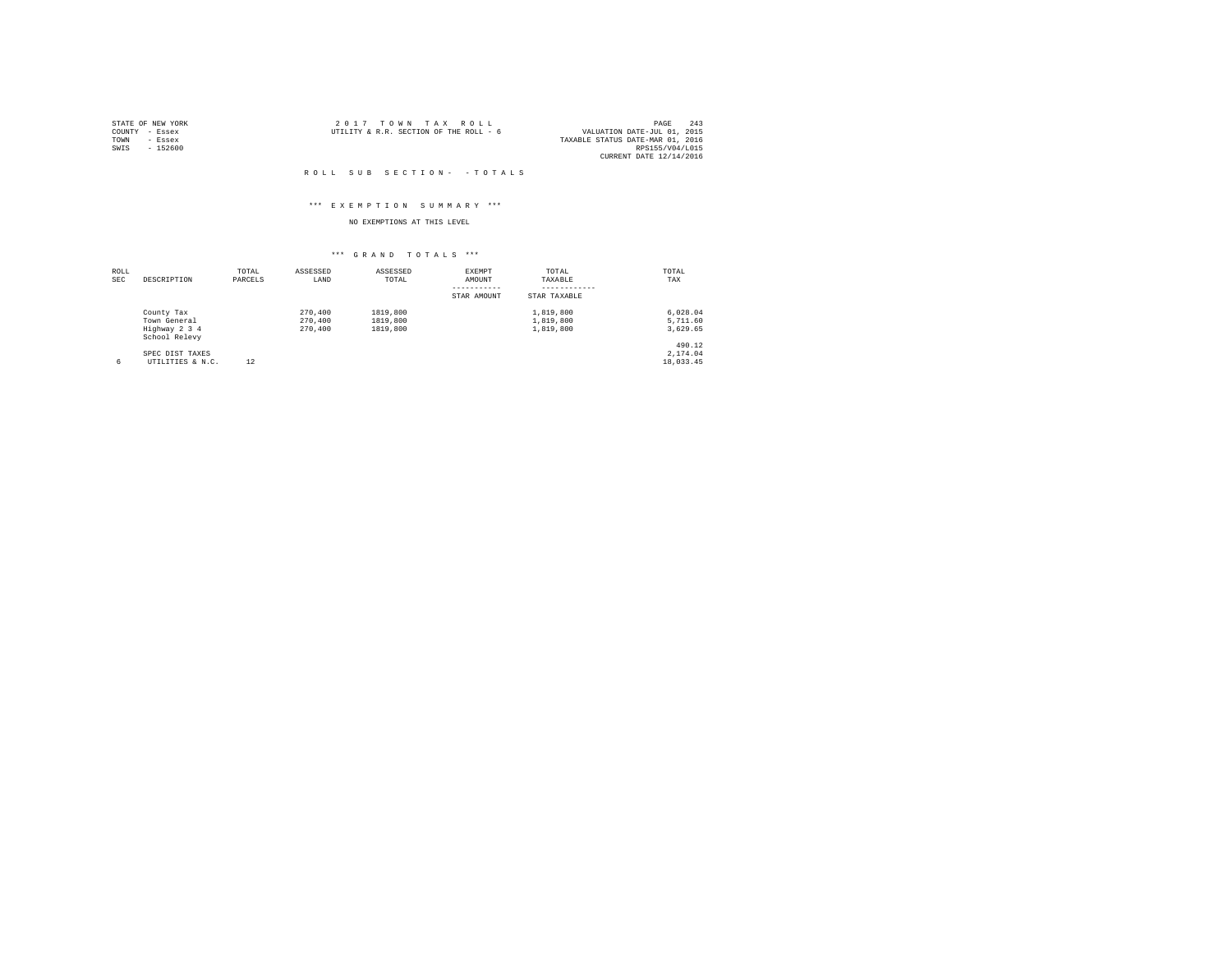| STATE OF NEW YORK |           | $2.017$ TOWN TAX ROLL                  |  |                                  | PAGE                    | 243 |
|-------------------|-----------|----------------------------------------|--|----------------------------------|-------------------------|-----|
| COUNTY - Essex    |           | UTILITY & R.R. SECTION OF THE ROLL - 6 |  | VALUATION DATE-JUL 01, 2015      |                         |     |
| TOWN              | - Essex   |                                        |  | TAXABLE STATUS DATE-MAR 01, 2016 |                         |     |
| SWIS              | $-152600$ |                                        |  |                                  | RPS155/V04/L015         |     |
|                   |           |                                        |  |                                  | CURRENT DATE 12/14/2016 |     |

#### \*\*\* E X E M P T I O N S U M M A R Y \*\*\*

## NO EXEMPTIONS AT THIS LEVEL

| ROLL<br><b>SEC</b> | DESCRIPTION                    | TOTAL<br>PARCELS | ASSESSED<br>LAND | ASSESSED<br>TOTAL | EXEMPT<br>AMOUNT | TOTAL<br>TAXABLE | TOTAL<br>TAX |
|--------------------|--------------------------------|------------------|------------------|-------------------|------------------|------------------|--------------|
|                    |                                |                  |                  |                   | STAR AMOUNT      | STAR TAXABLE     |              |
|                    | County Tax                     |                  | 270,400          | 1819,800          |                  | 1,819,800        | 6.028.04     |
|                    | Town General                   |                  | 270,400          | 1819,800          |                  | 1,819,800        | 5,711.60     |
|                    | Highway 2 3 4<br>School Relevy |                  | 270,400          | 1819,800          |                  | 1,819,800        | 3,629.65     |
|                    |                                |                  |                  |                   |                  |                  | 490.12       |
|                    | SPEC DIST TAXES                |                  |                  |                   |                  |                  | 2.174.04     |
| 6                  | UTILITIES & N.C.               | 12               |                  |                   |                  |                  | 18,033.45    |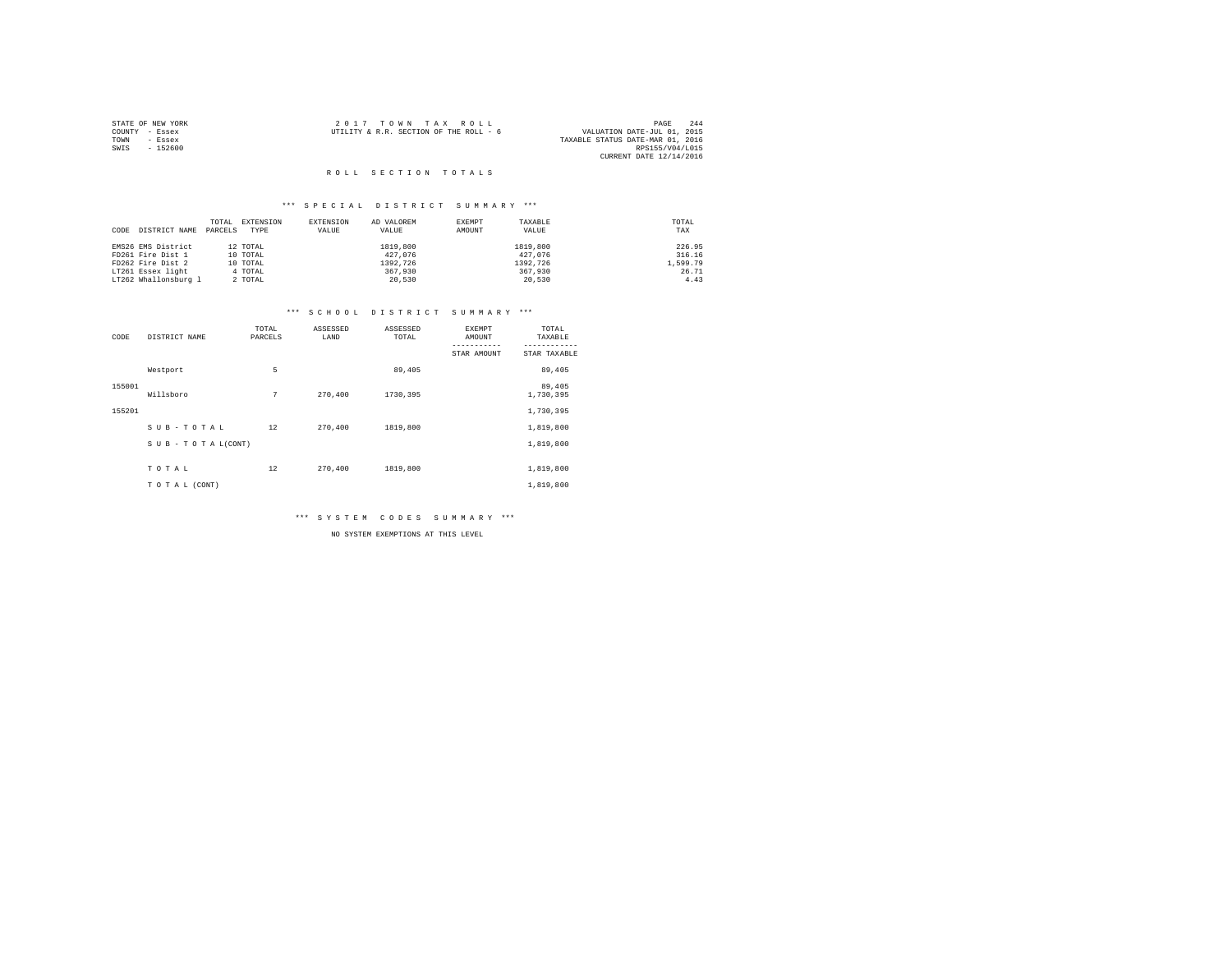|      | STATE OF NEW YORK | 2017 TOWN TAX ROLL                                                    | PAGE            | 244 |
|------|-------------------|-----------------------------------------------------------------------|-----------------|-----|
|      | COUNTY - Essex    | VALUATION DATE-JUL 01, 2015<br>UTILITY & R.R. SECTION OF THE ROLL - 6 |                 |     |
| TOWN | - Essex           | TAXABLE STATUS DATE-MAR 01, 2016                                      |                 |     |
| SWIS | $-152600$         |                                                                       | RPS155/V04/L015 |     |
|      |                   | CURRENT DATE 12/14/2016                                               |                 |     |

#### \*\*\* S P E C I A L D I S T R I C T S U M M A R Y \*\*\*

|                       | TOTAL   | EXTENSION | EXTENSION | AD VALOREM | EXEMPT | TAXABLE  | TOTAL    |
|-----------------------|---------|-----------|-----------|------------|--------|----------|----------|
| DISTRICT NAME<br>CODE | PARCELS | TYPE      | VALUE     | VALUE      | AMOUNT | VALUE    | TAX      |
|                       |         |           |           |            |        |          |          |
| EMS26 EMS District    |         | 12 TOTAL  |           | 1819,800   |        | 1819,800 | 226.95   |
| FD261 Fire Dist 1     |         | 10 TOTAL  |           | 427.076    |        | 427.076  | 316.16   |
| FD262 Fire Dist 2     |         | 10 TOTAL  |           | 1392.726   |        | 1392.726 | 1,599.79 |
| LT261 Essex light     |         | 4 TOTAL   |           | 367,930    |        | 367,930  | 26.71    |
| LT262 Whallonsburg 1  |         | 2 TOTAL   |           | 20.530     |        | 20.530   | 4.43     |

#### \*\*\* S C H O O L D I S T R I C T S U M M A R Y \*\*\*

| CODE   | DISTRICT NAME      | TOTAL<br>PARCELS | ASSESSED<br>LAND | ASSESSED<br>TOTAL | <b>EXEMPT</b><br>AMOUNT | TOTAL<br>TAXABLE    |
|--------|--------------------|------------------|------------------|-------------------|-------------------------|---------------------|
|        |                    |                  |                  |                   | STAR AMOUNT             | STAR TAXABLE        |
|        | Westport           | 5                |                  | 89,405            |                         | 89,405              |
| 155001 | Willsboro          | 7                | 270,400          | 1730,395          |                         | 89,405<br>1,730,395 |
| 155201 |                    |                  |                  |                   |                         | 1,730,395           |
|        | SUB-TOTAL          | 12               | 270,400          | 1819,800          |                         | 1,819,800           |
|        | SUB - TO TAL(CONT) |                  |                  |                   |                         | 1,819,800           |
|        | TOTAL              | 12               | 270,400          | 1819,800          |                         | 1,819,800           |
|        | TO TAL (CONT)      |                  |                  |                   |                         | 1,819,800           |

\*\*\* S Y S T E M C O D E S S U M M A R Y \*\*\*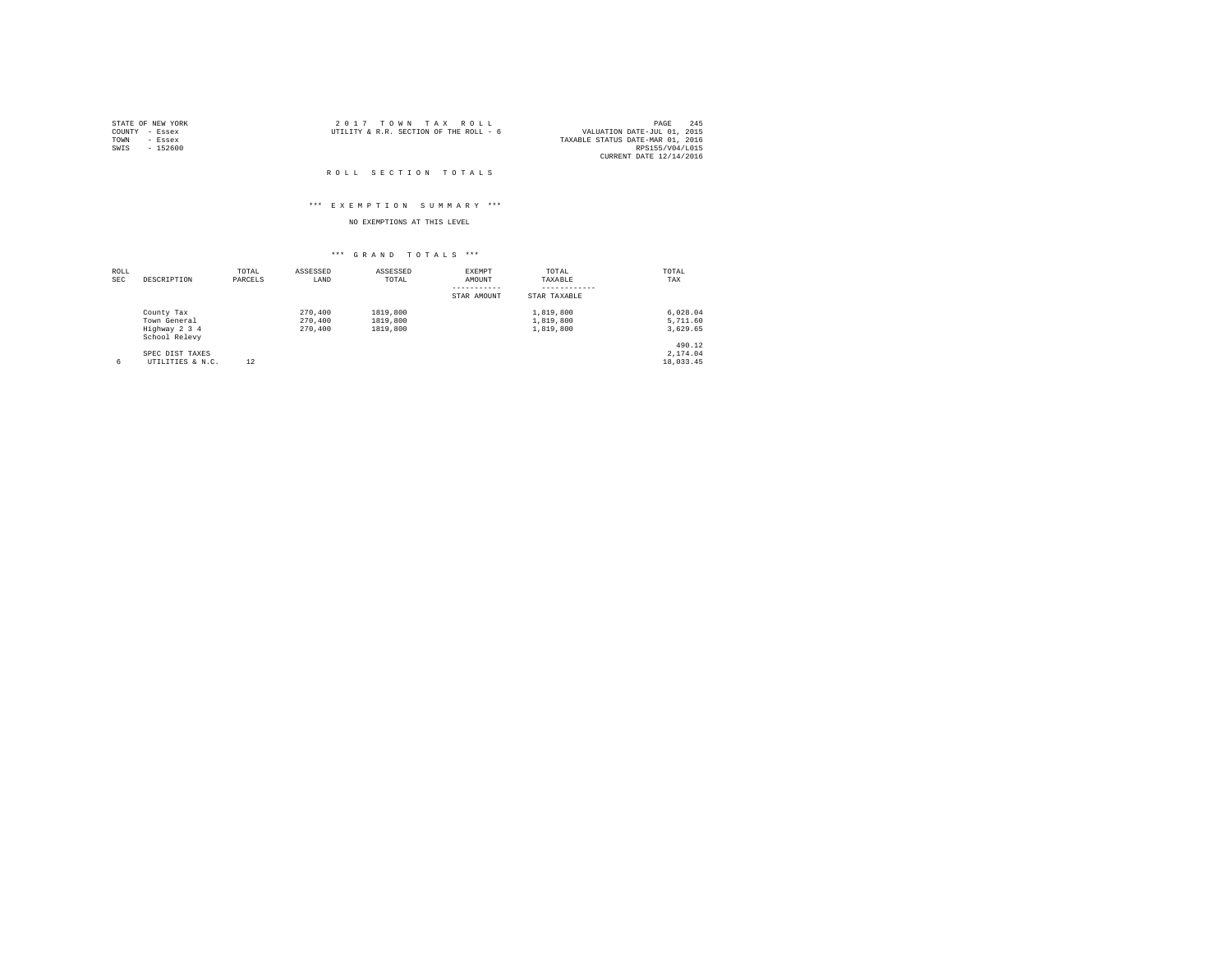|                | STATE OF NEW YORK | 2017 TOWN TAX ROLL                                                    | PAGE            | 245 |
|----------------|-------------------|-----------------------------------------------------------------------|-----------------|-----|
| COUNTY - Essex |                   | VALUATION DATE-JUL 01, 2015<br>UTILITY & R.R. SECTION OF THE ROLL - 6 |                 |     |
| TOWN           | - Essex           | TAXABLE STATUS DATE-MAR 01, 2016                                      |                 |     |
| SWIS           | - 152600          |                                                                       | RPS155/V04/L015 |     |
|                |                   | CURRENT DATE 12/14/2016                                               |                 |     |

#### ROLL SECTION TOTALS

#### \*\*\* E X E M P T I O N S U M M A R Y \*\*\*

## NO EXEMPTIONS AT THIS LEVEL

| ROLL<br><b>SEC</b> | DESCRIPTION                    | TOTAL<br>PARCELS | ASSESSED<br>LAND | ASSESSED<br>TOTAL | EXEMPT<br>AMOUNT | TOTAL<br>TAXABLE | TOTAL<br>TAX |
|--------------------|--------------------------------|------------------|------------------|-------------------|------------------|------------------|--------------|
|                    |                                |                  |                  |                   | STAR AMOUNT      | STAR TAXABLE     |              |
|                    | County Tax                     |                  | 270,400          | 1819,800          |                  | 1,819,800        | 6.028.04     |
|                    | Town General                   |                  | 270,400          | 1819,800          |                  | 1,819,800        | 5,711.60     |
|                    | Highway 2 3 4<br>School Relevy |                  | 270,400          | 1819,800          |                  | 1,819,800        | 3,629.65     |
|                    |                                |                  |                  |                   |                  |                  | 490.12       |
|                    | SPEC DIST TAXES                |                  |                  |                   |                  |                  | 2.174.04     |
| 6                  | UTILITIES & N.C.               | 12               |                  |                   |                  |                  | 18,033.45    |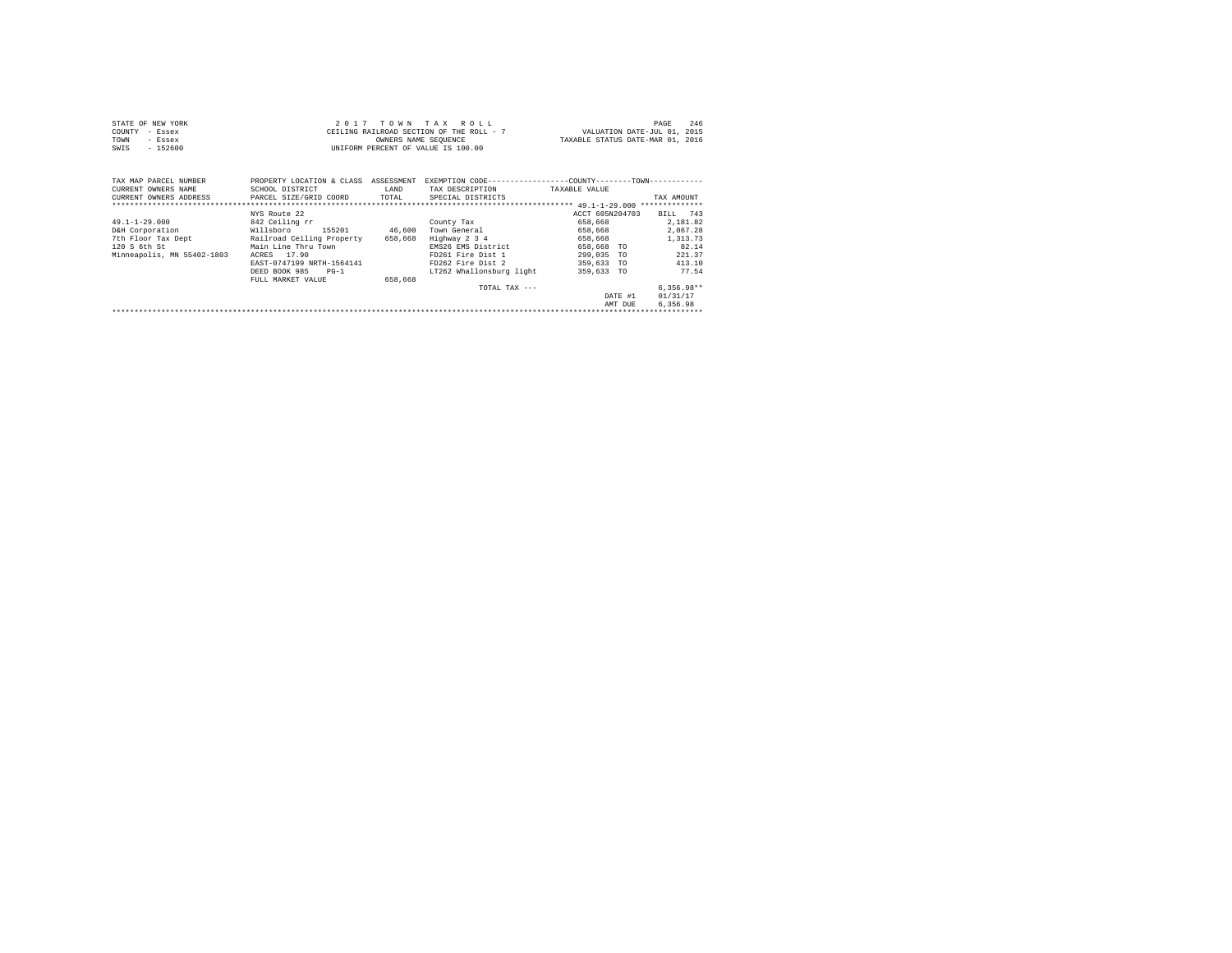| STATE OF NEW YORK |           | 2017 TOWN TAX ROLL                       | 246<br>PAGE                      |
|-------------------|-----------|------------------------------------------|----------------------------------|
| COUNTY - Essex    |           | CEILING RAILROAD SECTION OF THE ROLL - 7 | VALUATION DATE-JUL 01, 2015      |
| TOWN              | - Essex   | OWNERS NAME SEOUENCE                     | TAXABLE STATUS DATE-MAR 01, 2016 |
| SWIS              | $-152600$ | UNIFORM PERCENT OF VALUE IS 100.00       |                                  |

| TAX MAP PARCEL NUMBER<br>CURRENT OWNERS NAME<br>CURRENT OWNERS ADDRESS                                     | PROPERTY LOCATION & CLASS<br>SCHOOL DISTRICT<br>PARCEL SIZE/GRID COORD                                                                                                                                   | ASSESSMENT<br>LAND<br>TOTAL  | EXEMPTION CODE--<br>TAX DESCRIPTION<br>SPECIAL DISTRICTS                                                                                                 | -----------------COUNTY--------TOWN------------<br>TAXABLE VALUE                                                                                      | TAX AMOUNT<br>**************                                                                                                  |
|------------------------------------------------------------------------------------------------------------|----------------------------------------------------------------------------------------------------------------------------------------------------------------------------------------------------------|------------------------------|----------------------------------------------------------------------------------------------------------------------------------------------------------|-------------------------------------------------------------------------------------------------------------------------------------------------------|-------------------------------------------------------------------------------------------------------------------------------|
| $49.1 - 1 - 29.000$<br>D&H Corporation<br>7th Floor Tax Dept<br>120 S 6th St<br>Minneapolis, MN 55402-1803 | NYS Route 22<br>842 Ceiling rr<br>155201<br>Willsboro<br>Railroad Ceiling Property<br>Main Line Thru Town<br>17.90<br>ACRES<br>EAST-0747199 NRTH-1564141<br>DEED BOOK 985<br>$PG-1$<br>FULL MARKET VALUE | 46,600<br>658,668<br>658,668 | County Tax<br>Town General<br>Highway 2 3 4<br>EMS26 EMS District<br>FD261 Fire Dist 1<br>FD262 Fire Dist 2<br>LT262 Whallonsburg light<br>TOTAL TAX --- | ACCT 605N204703<br>658,668<br>658,668<br>658,668<br>658,668<br>TO<br>299,035<br><b>TO</b><br>359,633<br><b>TO</b><br>359,633 TO<br>DATE #1<br>AMT DUE | 743<br>BILL<br>2.181.82<br>2.067.28<br>1,313.73<br>82.14<br>221.37<br>413.10<br>77.54<br>$6.356.98**$<br>01/31/17<br>6.356.98 |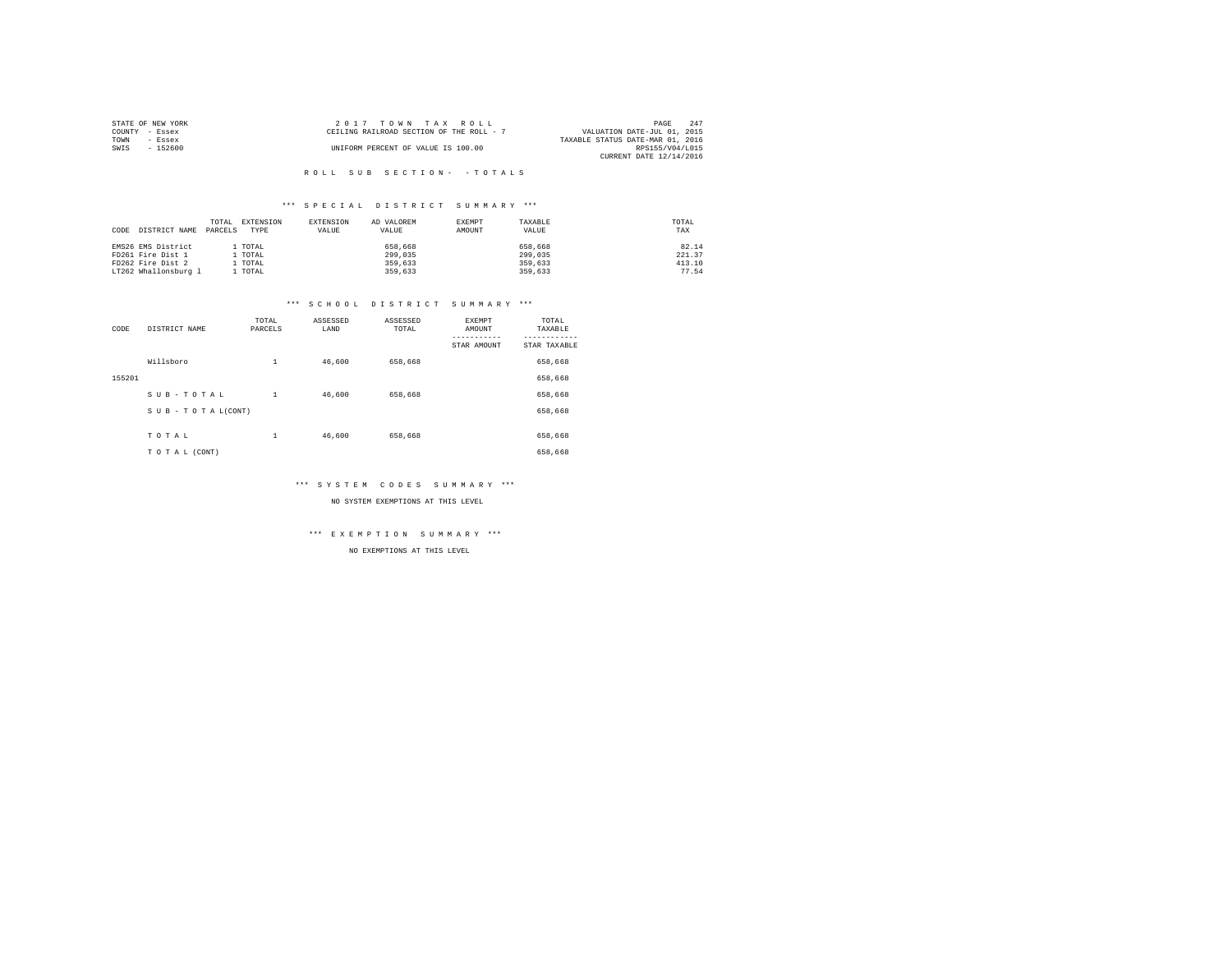| STATE OF NEW YORK | $2.017$ TOWN TAX ROLL                    | 247<br>PAGE                      |
|-------------------|------------------------------------------|----------------------------------|
| COUNTY - Essex    | CEILING RAILROAD SECTION OF THE ROLL - 7 | VALUATION DATE-JUL 01, 2015      |
| TOWN<br>- Essex   |                                          | TAXABLE STATUS DATE-MAR 01, 2016 |
| $-152600$<br>SWIS | UNIFORM PERCENT OF VALUE IS 100.00       | RPS155/V04/L015                  |
|                   |                                          | CURRENT DATE 12/14/2016          |

#### \*\*\* S P E C I A L D I S T R I C T S U M M A R Y \*\*\*

| CODE | DISTRICT NAME        | TOTAL<br>PARCELS | EXTENSION<br>TYPE | EXTENSION<br>VALUE | AD VALOREM<br>VALUE | EXEMPT<br>AMOUNT | TAXABLE<br>VALUE | TOTAL<br>TAX |
|------|----------------------|------------------|-------------------|--------------------|---------------------|------------------|------------------|--------------|
|      | EMS26 EMS District   |                  | . TOTAL           |                    | 658,668             |                  | 658,668          | 82.14        |
|      | FD261 Fire Dist 1    |                  | . TOTAL           |                    | 299,035             |                  | 299,035          | 221.37       |
|      | FD262 Fire Dist 2    |                  | . TOTAL           |                    | 359,633             |                  | 359,633          | 413.10       |
|      | LT262 Whallonsburg 1 |                  | TOTAL             |                    | 359,633             |                  | 359,633          | 77.54        |

#### \*\*\* S C H O O L D I S T R I C T S U M M A R Y \*\*\*

| CODE   | DISTRICT NAME      | TOTAL<br>PARCELS | ASSESSED<br>LAND | ASSESSED<br>TOTAL | <b>EXEMPT</b><br>AMOUNT | TOTAL<br>TAXABLE |
|--------|--------------------|------------------|------------------|-------------------|-------------------------|------------------|
|        |                    |                  |                  |                   | STAR AMOUNT             | STAR TAXABLE     |
|        | Willsboro          | $\mathbf{1}$     | 46,600           | 658,668           |                         | 658,668          |
| 155201 |                    |                  |                  |                   |                         | 658,668          |
|        | SUB-TOTAL          | $\mathbf{1}$     | 46,600           | 658,668           |                         | 658,668          |
|        | SUB - TO TAL(CONT) |                  |                  |                   |                         | 658,668          |
|        |                    |                  |                  |                   |                         |                  |
|        | TOTAL              | $\mathbf{1}$     | 46,600           | 658,668           |                         | 658,668          |
|        | TO TAL (CONT)      |                  |                  |                   |                         | 658,668          |

#### \*\*\* S Y S T E M C O D E S S U M M A R Y \*\*\*

NO SYSTEM EXEMPTIONS AT THIS LEVEL

#### \*\*\* E X E M P T I O N S U M M A R Y \*\*\*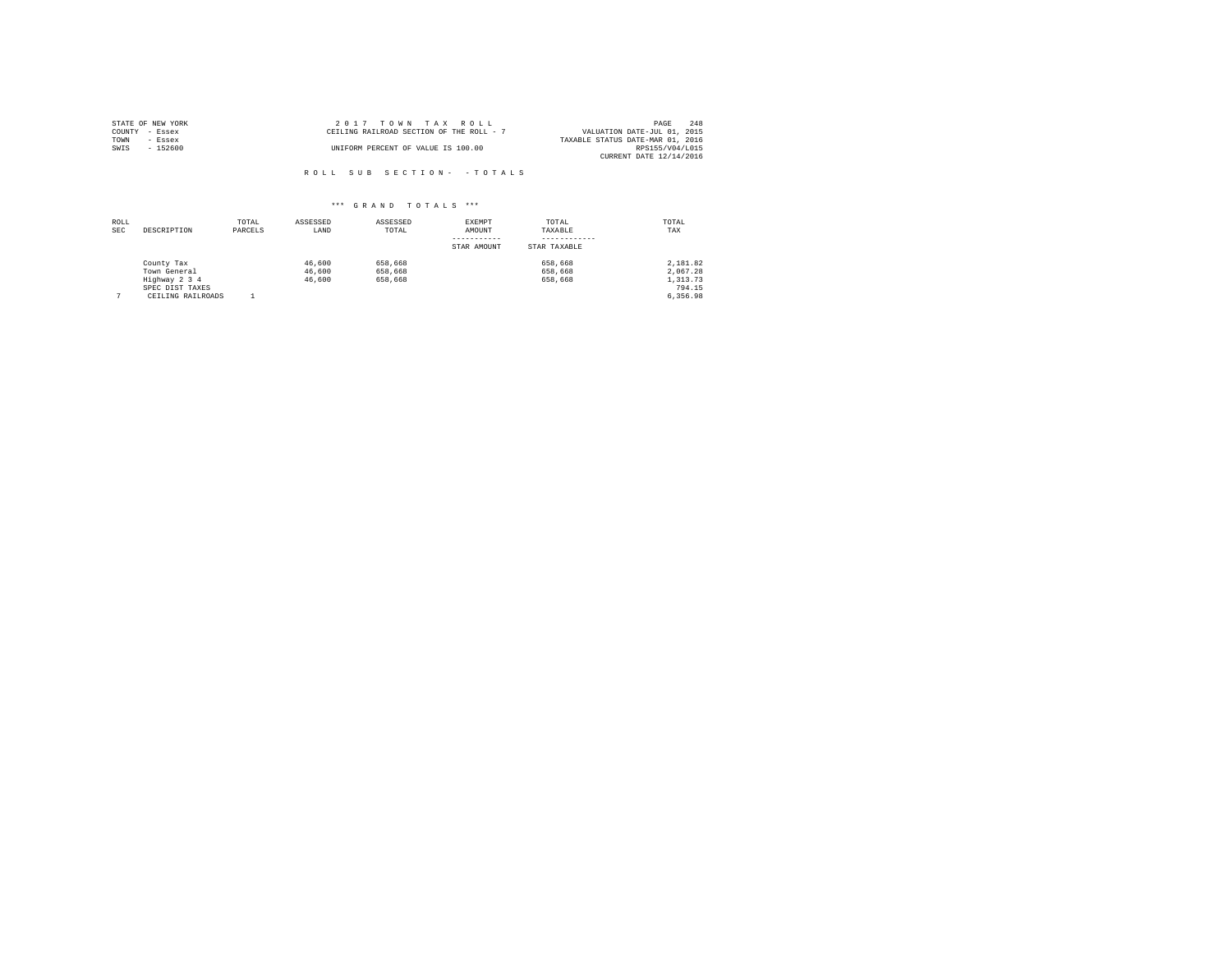| STATE OF NEW YORK | 2017 TOWN TAX ROLL                       | 248<br>PAGE                      |
|-------------------|------------------------------------------|----------------------------------|
| COUNTY - Essex    | CEILING RAILROAD SECTION OF THE ROLL - 7 | VALUATION DATE-JUL 01, 2015      |
| TOWN<br>- Essex   |                                          | TAXABLE STATUS DATE-MAR 01, 2016 |
| SWIS<br>$-152600$ | UNIFORM PERCENT OF VALUE IS 100.00       | RPS155/V04/L015                  |
|                   |                                          | CURRENT DATE 12/14/2016          |

| ROLL<br><b>SEC</b> | DESCRIPTION                                                                         | TOTAL<br>PARCELS | ASSESSED<br>LAND           | ASSESSED<br>TOTAL             | EXEMPT<br>AMOUNT<br>STAR AMOUNT | TOTAL<br>TAXABLE<br>STAR TAXABLE | TOTAL<br>TAX                                           |
|--------------------|-------------------------------------------------------------------------------------|------------------|----------------------------|-------------------------------|---------------------------------|----------------------------------|--------------------------------------------------------|
|                    | County Tax<br>Town General<br>Highway 2 3 4<br>SPEC DIST TAXES<br>CEILING RAILROADS |                  | 46,600<br>46,600<br>46,600 | 658,668<br>658,668<br>658,668 |                                 | 658,668<br>658,668<br>658,668    | 2,181.82<br>2.067.28<br>1,313.73<br>794.15<br>6.356.98 |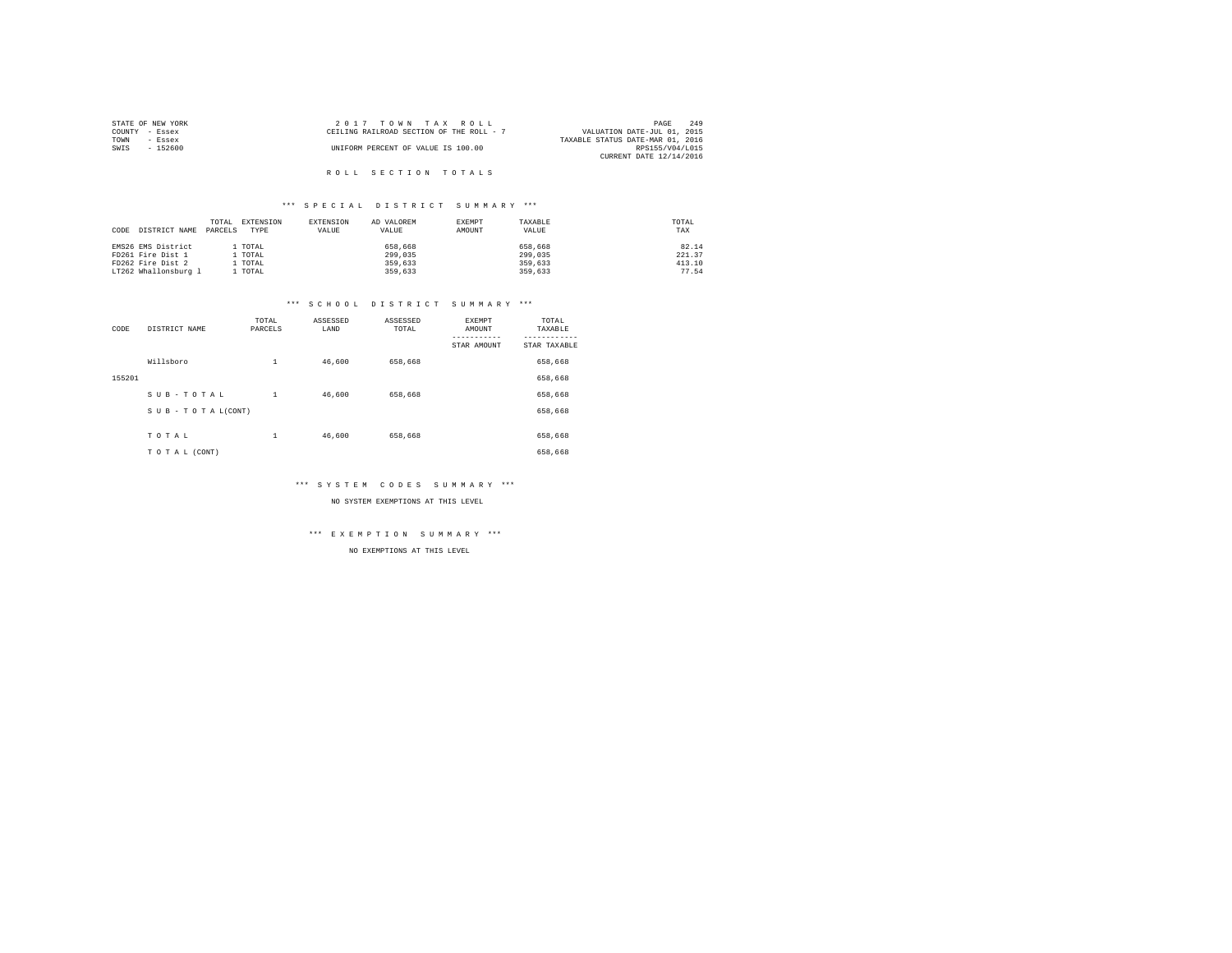| STATE OF NEW YORK | $2.017$ TOWN TAX ROLL                    | 249<br>PAGE                      |
|-------------------|------------------------------------------|----------------------------------|
| COUNTY - Essex    | CEILING RAILROAD SECTION OF THE ROLL - 7 | VALUATION DATE-JUL 01, 2015      |
| TOWN<br>- Essex   |                                          | TAXABLE STATUS DATE-MAR 01, 2016 |
| SWIS<br>- 152600  | UNIFORM PERCENT OF VALUE IS 100.00       | RPS155/V04/L015                  |
|                   |                                          | CURRENT DATE 12/14/2016          |
|                   |                                          |                                  |

#### \*\*\* S P E C I A L D I S T R I C T S U M M A R Y \*\*\*

| CODE<br>DISTRICT NAME | EXTENSION<br>TOTAL<br>PARCELS<br>TYPE | EXTENSION<br>VALUE | AD VALOREM<br>VALUE | EXEMPT<br>AMOUNT | TAXABLE<br>VALUE | TOTAL<br>TAX |
|-----------------------|---------------------------------------|--------------------|---------------------|------------------|------------------|--------------|
| EMS26 EMS District    | . TOTAL                               |                    | 658,668             |                  | 658,668          | 82.14        |
| FD261 Fire Dist 1     | L TOTAL                               |                    | 299,035             |                  | 299,035          | 221.37       |
| FD262 Fire Dist 2     | L TOTAL                               |                    | 359,633             |                  | 359,633          | 413.10       |
| LT262 Whallonsburg 1  | . TOTAL                               |                    | 359,633             |                  | 359,633          | 77.54        |

#### \*\*\* S C H O O L D I S T R I C T S U M M A R Y \*\*\*

| CODE   | DISTRICT NAME      | TOTAL<br>PARCELS | ASSESSED<br>LAND | ASSESSED<br>TOTAL | <b>EXEMPT</b><br>AMOUNT | TOTAL<br>TAXABLE |
|--------|--------------------|------------------|------------------|-------------------|-------------------------|------------------|
|        |                    |                  |                  |                   | STAR AMOUNT             | STAR TAXABLE     |
|        | Willsboro          | $\mathbf{1}$     | 46,600           | 658,668           |                         | 658,668          |
| 155201 |                    |                  |                  |                   |                         | 658.668          |
|        | SUB-TOTAL          | $\mathbf{1}$     | 46,600           | 658,668           |                         | 658,668          |
|        | SUB - TO TAL(CONT) |                  |                  |                   |                         | 658,668          |
|        |                    |                  |                  |                   |                         |                  |
|        | TOTAL              | $\mathbf{1}$     | 46,600           | 658,668           |                         | 658.668          |
|        | TO TAL (CONT)      |                  |                  |                   |                         | 658,668          |

#### \*\*\* S Y S T E M C O D E S S U M M A R Y \*\*\*

NO SYSTEM EXEMPTIONS AT THIS LEVEL

#### \*\*\* E X E M P T I O N S U M M A R Y \*\*\*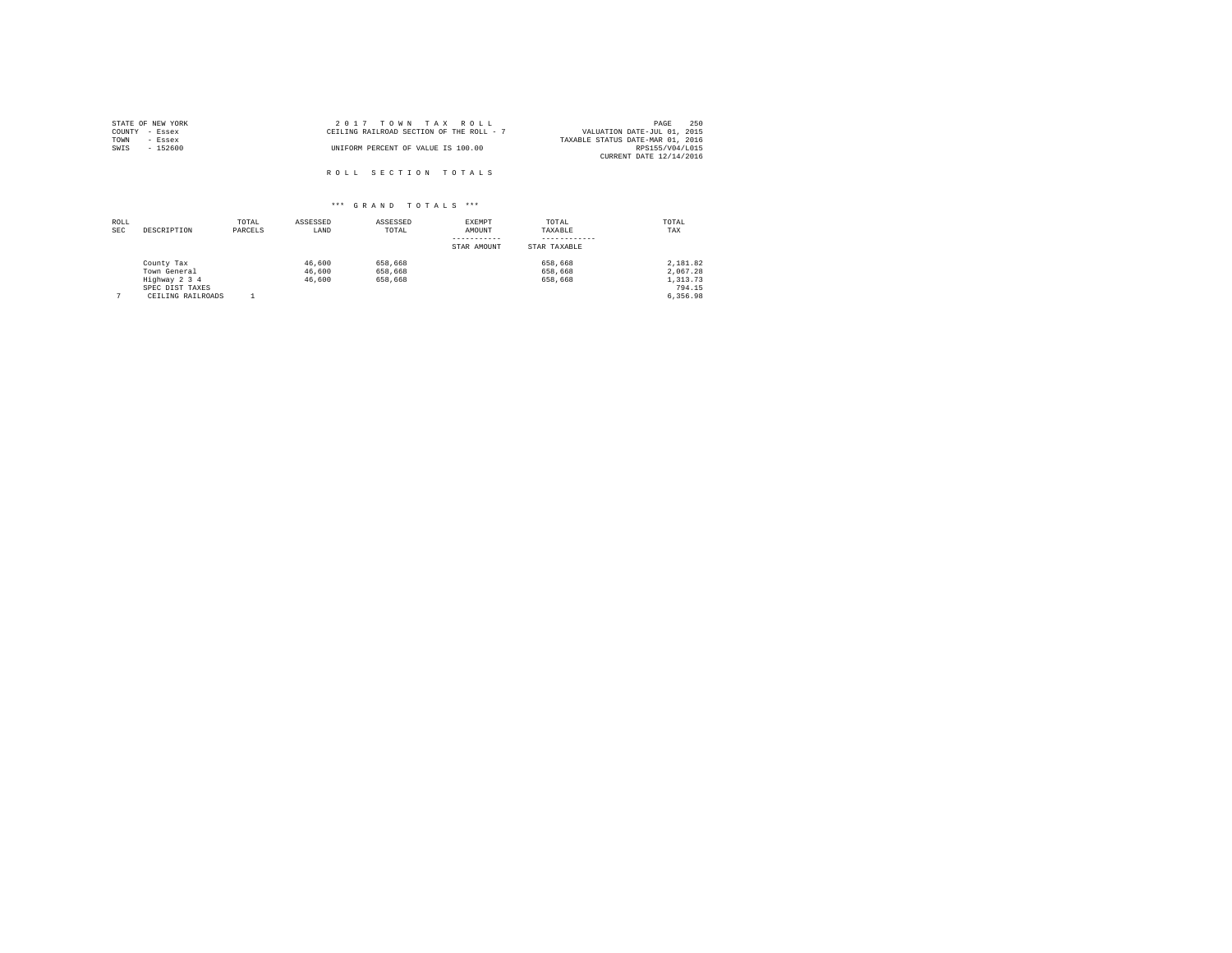| STATE OF NEW YORK | 2017 TOWN TAX ROLL                       | 250<br>PAGE                      |
|-------------------|------------------------------------------|----------------------------------|
| COUNTY - Essex    | CEILING RAILROAD SECTION OF THE ROLL - 7 | VALUATION DATE-JUL 01, 2015      |
| TOWN<br>- Essex   |                                          | TAXABLE STATUS DATE-MAR 01, 2016 |
| SWIS<br>$-152600$ | UNIFORM PERCENT OF VALUE IS 100.00       | RPS155/V04/L015                  |
|                   |                                          | CURRENT DATE 12/14/2016          |
|                   | ROLL SECTION TOTALS                      |                                  |

| ROLL<br><b>SEC</b> | DESCRIPTION                                                                         | TOTAL<br>PARCELS | ASSESSED<br>LAND           | ASSESSED<br>TOTAL             | EXEMPT<br>AMOUNT<br>-----------<br>STAR AMOUNT | TOTAL<br>TAXABLE<br>STAR TAXABLE | TOTAL<br>TAX                                           |
|--------------------|-------------------------------------------------------------------------------------|------------------|----------------------------|-------------------------------|------------------------------------------------|----------------------------------|--------------------------------------------------------|
|                    | County Tax<br>Town General<br>Highway 2 3 4<br>SPEC DIST TAXES<br>CEILING RAILROADS |                  | 46,600<br>46,600<br>46,600 | 658,668<br>658,668<br>658,668 |                                                | 658,668<br>658,668<br>658,668    | 2.181.82<br>2.067.28<br>1,313.73<br>794.15<br>6,356.98 |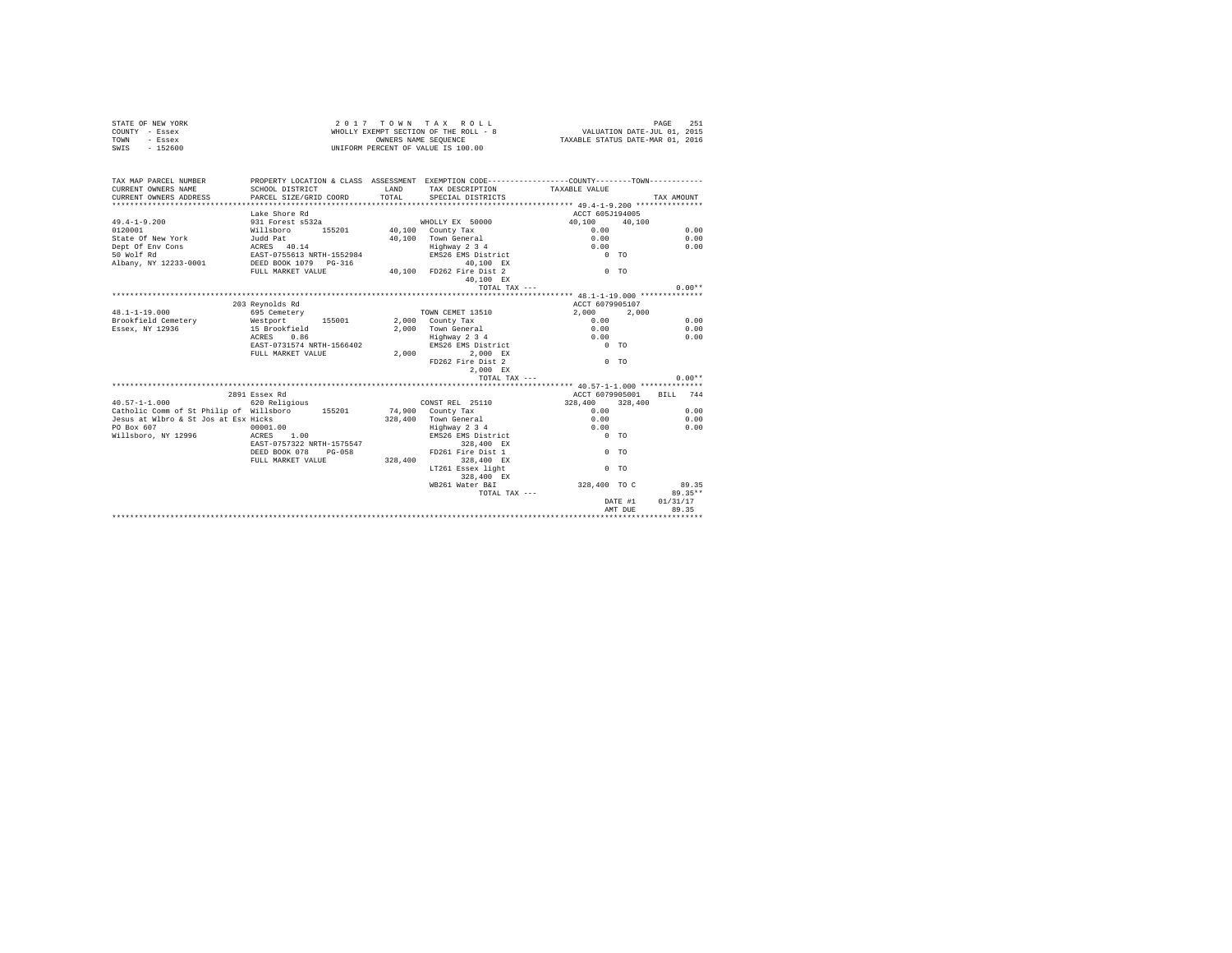|                | STATE OF NEW YORK | 2017 TOWN TAX ROLL                    | 251<br>PAGE                      |
|----------------|-------------------|---------------------------------------|----------------------------------|
| COUNTY - Essex |                   | WHOLLY EXEMPT SECTION OF THE ROLL - 8 | VALUATION DATE-JUL 01, 2015      |
| TOWN           | - Essex           | OWNERS NAME SEOUENCE                  | TAXABLE STATUS DATE-MAR 01, 2016 |
| SWIS           | $-152600$         | UNIFORM PERCENT OF VALUE IS 100.00    |                                  |

| TAX MAP PARCEL NUMBER                                           | PROPERTY LOCATION & CLASS ASSESSMENT EXEMPTION CODE----------------COUNTY--------TOWN----------                |              |                                                          |                 |                |            |
|-----------------------------------------------------------------|----------------------------------------------------------------------------------------------------------------|--------------|----------------------------------------------------------|-----------------|----------------|------------|
|                                                                 |                                                                                                                | <b>T.AND</b> | TAX DESCRIPTION TAXABLE VALUE<br>TOTAL SPECIAL DISTRICTS |                 |                |            |
|                                                                 |                                                                                                                |              |                                                          |                 |                | TAX AMOUNT |
|                                                                 |                                                                                                                |              |                                                          |                 |                |            |
|                                                                 | Lake Shore Rd                                                                                                  |              |                                                          | ACCT 605J194005 |                |            |
| $49.4 - 1 - 9.200$                                              | 931 Forest s532a                                                                                               |              | WHOLLY EX 50000                                          | 40,100 40,100   |                |            |
| 0120001                                                         | Willsboro 155201 40,100 County Tax<br>Judd Pat 155201 40,100 Town General                                      |              |                                                          | 0.00            |                | 0.00       |
| State Of New York                                               |                                                                                                                |              | 40,100 Town General                                      | 0.00            |                | 0.00       |
| Dept Of Env Cons ACRES 40.14                                    | 19 ACRES 40.14 Fighway 2 3 4 CRES 40.14 Fighway 2 3 4 CRES 40.14 Fighway 2 3 4 CRES 6 CONTEX 2 2 3 4 CRES 6 CO |              |                                                          |                 |                | 0.00       |
| 50 Wolf Rd                                                      |                                                                                                                |              |                                                          |                 |                |            |
| Albany, NY 12233-0001 DEED BOOK 1079 PG-316                     |                                                                                                                |              | $40,100$ EX                                              |                 |                |            |
|                                                                 | FULL MARKET VALUE 40,100 FD262 Fire Dist 2                                                                     |              |                                                          | $0$ TO          |                |            |
|                                                                 |                                                                                                                |              | 40.100 EX                                                |                 |                |            |
|                                                                 |                                                                                                                |              | TOTAL TAX ---                                            |                 |                | $0.00**$   |
|                                                                 |                                                                                                                |              |                                                          |                 |                |            |
|                                                                 | 203 Reynolds Rd                                                                                                |              |                                                          | ACCT 6079905107 |                |            |
| $48.1 - 1 - 19.000$                                             | 695 Cemetery                                                                                                   |              | TOWN CEMET 13510                                         | 2,000 2,000     |                |            |
| Brookfield Cemetery 6 Mestport 155001 2,000 County Tax          |                                                                                                                |              |                                                          | 0.00            |                | 0.00       |
| Essex, NY 12936                                                 | 15 Brookfield                                                                                                  |              | 2,000 Town General                                       | 0.00            |                | 0.00       |
|                                                                 | ACRES 0.86                                                                                                     |              |                                                          | 0.00            |                | 0.00       |
|                                                                 | EAST-0731574 NRTH-1566402                                                                                      |              | Highway 2 3 4<br>EMS26 EMS District                      | $0$ TO          |                |            |
|                                                                 | FULL MARKET VALUE                                                                                              |              | 2.000 2.000 EX                                           |                 |                |            |
|                                                                 |                                                                                                                |              | FD262 Fire Dist 2                                        | $0$ TO          |                |            |
|                                                                 |                                                                                                                |              | 2,000 EX                                                 |                 |                |            |
|                                                                 |                                                                                                                |              | TOTAL TAX ---                                            |                 |                | $0.00**$   |
|                                                                 |                                                                                                                |              |                                                          |                 |                |            |
|                                                                 | 2891 Essex Rd                                                                                                  |              |                                                          | ACCT 6079905001 |                | BILL 744   |
| $40.57 - 1 - 1.000$                                             | 620 Religious                                                                                                  |              | CONST REL 25110                                          | 328,400 328,400 |                |            |
| Catholic Comm of St Philip of Willsboro 155201 15900 County Tax |                                                                                                                |              |                                                          | 0.00            |                | 0.00       |
| Jesus at Wlbro & St Jos at Esx Hicks                            |                                                                                                                |              | 328,400 Town General                                     | 0.00            |                | 0.00       |
| PO Box 607                                                      | 00001.00                                                                                                       |              | Highway 2 3 4                                            | 0.00            |                | 0.00       |
| Willsboro, NY 12996 ACRES 1.00                                  |                                                                                                                |              | EMS26 EMS District 0 TO                                  |                 |                |            |
|                                                                 | EAST-0757322 NRTH-1575547                                                                                      |              | 328,400 EX                                               |                 |                |            |
|                                                                 | DEED BOOK 078 PG-058                                                                                           |              | FD261 Fire Dist 1                                        | $0$ TO          |                |            |
|                                                                 | FULL MARKET VALUE 328,400                                                                                      |              | 328,400 EX                                               |                 |                |            |
|                                                                 |                                                                                                                |              | LT261 Essex light                                        |                 | 0 <sub>0</sub> |            |
|                                                                 |                                                                                                                |              |                                                          |                 |                |            |
|                                                                 |                                                                                                                |              | 328,400 EX                                               | 328,400 TO C    |                |            |
|                                                                 |                                                                                                                |              | WB261 Water B&I                                          |                 |                | 89.35      |
|                                                                 |                                                                                                                |              | TOTAL TAX ---                                            |                 |                | 89.35**    |
|                                                                 |                                                                                                                |              |                                                          |                 | DATE #1        | 01/31/17   |
|                                                                 |                                                                                                                |              |                                                          |                 | AMT DUE        | 89.35      |
|                                                                 |                                                                                                                |              |                                                          |                 |                |            |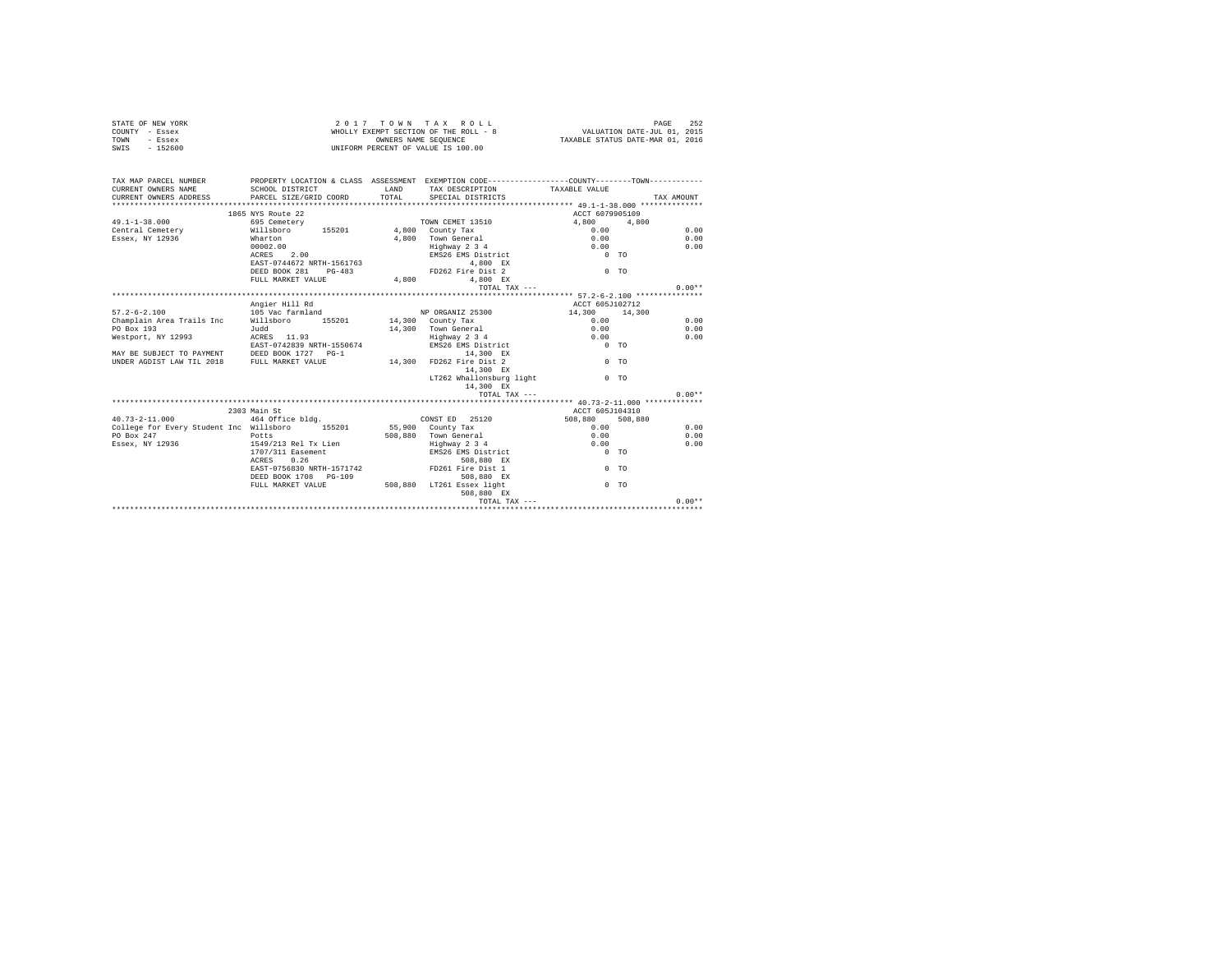|      | STATE OF NEW YORK | 2017 TOWN TAX ROLL                    | 252<br>PAGE                      |
|------|-------------------|---------------------------------------|----------------------------------|
|      | COUNTY - Essex    | WHOLLY EXEMPT SECTION OF THE ROLL - 8 | VALUATION DATE-JUL 01, 2015      |
| TOWN | - Essex           | OWNERS NAME SEOUENCE                  | TAXABLE STATUS DATE-MAR 01, 2016 |
| SWIS | $-152600$         | UNIFORM PERCENT OF VALUE IS 100.00    |                                  |

| TAX MAP PARCEL NUMBER<br>CURRENT OWNERS NAME<br>CURRENT OWNERS ADDRESS | PROPERTY LOCATION & CLASS ASSESSMENT EXEMPTION CODE---------------COUNTY-------TOWN---------<br>SCHOOL DISTRICT<br>PARCEL SIZE/GRID COORD | LAND<br>TOTAL | SPECIAL DISTRICTS         | TAX DESCRIPTION TAXABLE VALUE | TAX AMOUNT     |
|------------------------------------------------------------------------|-------------------------------------------------------------------------------------------------------------------------------------------|---------------|---------------------------|-------------------------------|----------------|
|                                                                        | 1865 NYS Route 22                                                                                                                         |               |                           | ACCT 6079905109               |                |
| $49.1 - 1 - 38.000$                                                    | 695 Cemetery                                                                                                                              |               | TOWN CEMET 13510          | 4,800                         | 4,800          |
| Central Cemetery Millsboro                                             | 155201 4,800 County Tax                                                                                                                   |               |                           | 0.00                          | 0.00           |
| Essex, NY 12936<br>Wharton                                             |                                                                                                                                           |               | 4.800 Town General        | 0.00                          | 0.00           |
|                                                                        | 00002.00                                                                                                                                  |               | Highway 2 3 4             | 0.00                          | 0.00           |
|                                                                        | ACRES 2.00                                                                                                                                |               | EMS26 EMS District        | $0$ TO                        |                |
|                                                                        | EAST-0744672 NRTH-1561763                                                                                                                 |               | 4.800 EX                  |                               |                |
|                                                                        | DEED BOOK 281 PG-483                                                                                                                      |               | FD262 Fire Dist 2         | $0$ TO                        |                |
|                                                                        | FULL MARKET VALUE                                                                                                                         |               | 4.800 EX                  |                               |                |
|                                                                        |                                                                                                                                           | 4,800         |                           |                               | $0.00**$       |
|                                                                        |                                                                                                                                           |               | TOTAL TAX ---             |                               |                |
|                                                                        |                                                                                                                                           |               |                           | ACCT 605J102712               |                |
|                                                                        | Angier Hill Rd                                                                                                                            |               |                           |                               |                |
| $57.2 - 6 - 2.100$                                                     | 105 Vac farmland                                                                                                                          |               | NP ORGANIZ 25300          | 14,300 14,300                 |                |
| Champlain Area Trails Inc Willsboro                                    |                                                                                                                                           |               | 155201 14,300 County Tax  | 0.00                          | 0.00           |
| PO Box 193                                                             | Judd                                                                                                                                      |               | 14.300 Town General       | 0.00                          | 0.00           |
| Westport, NY 12993                                                     | ACRES 11.93                                                                                                                               |               | Highway 2 3 4             | 0.00                          | 0.00           |
|                                                                        | EAST-0742839 NRTH-1550674                                                                                                                 |               | EMS26 EMS District        | $0$ TO                        |                |
| MAY BE SUBJECT TO PAYMENT DEED BOOK 1727 PG-1                          |                                                                                                                                           |               | 14,300 EX                 |                               |                |
| UNDER AGDIST LAW TIL 2018 FULL MARKET VALUE                            |                                                                                                                                           | 14,300        | FD262 Fire Dist 2         |                               | 0 <sub>0</sub> |
|                                                                        |                                                                                                                                           |               | 14,300 EX                 |                               |                |
|                                                                        |                                                                                                                                           |               | LT262 Whallonsburg light  | $0$ TO                        |                |
|                                                                        |                                                                                                                                           |               | 14,300 EX                 |                               |                |
|                                                                        |                                                                                                                                           |               | TOTAL TAX $---$           |                               | $0.00**$       |
|                                                                        |                                                                                                                                           |               |                           |                               |                |
|                                                                        | 2303 Main St                                                                                                                              |               |                           | ACCT 605J104310               |                |
| $40.73 - 2 - 11.000$                                                   | 464 Office bldg.                                                                                                                          |               | CONST ED 25120            | 508,880                       | 508,880        |
| College for Every Student Inc Willsboro 155201                         |                                                                                                                                           |               | 55,900 County Tax         | 0.00                          | 0.00           |
| PO Box 247                                                             | Potts                                                                                                                                     |               | 508.880 Town General      | 0.00                          | 0.00           |
| Essex, NY 12936                                                        | 1549/213 Rel Tx Lien                                                                                                                      |               | Highway 2 3 4             | 0.00                          | 0.00           |
|                                                                        | 1707/311 Easement                                                                                                                         |               | EMS26 EMS District        | $0$ TO                        |                |
|                                                                        | 0.26<br>ACRES                                                                                                                             |               | 508,880 EX                |                               |                |
|                                                                        | EAST-0756830 NRTH-1571742                                                                                                                 |               | FD261 Fire Dist 1         |                               | 0 <sub>0</sub> |
|                                                                        | DEED BOOK 1708 PG-109                                                                                                                     |               | 508,880 EX                |                               |                |
|                                                                        | FULL MARKET VALUE                                                                                                                         |               | 508,880 LT261 Essex light |                               | $0$ TO         |
|                                                                        |                                                                                                                                           |               | 508,880 EX                |                               |                |
|                                                                        |                                                                                                                                           |               |                           | TOTAL TAX ---                 | $0.00**$       |
|                                                                        |                                                                                                                                           |               |                           |                               |                |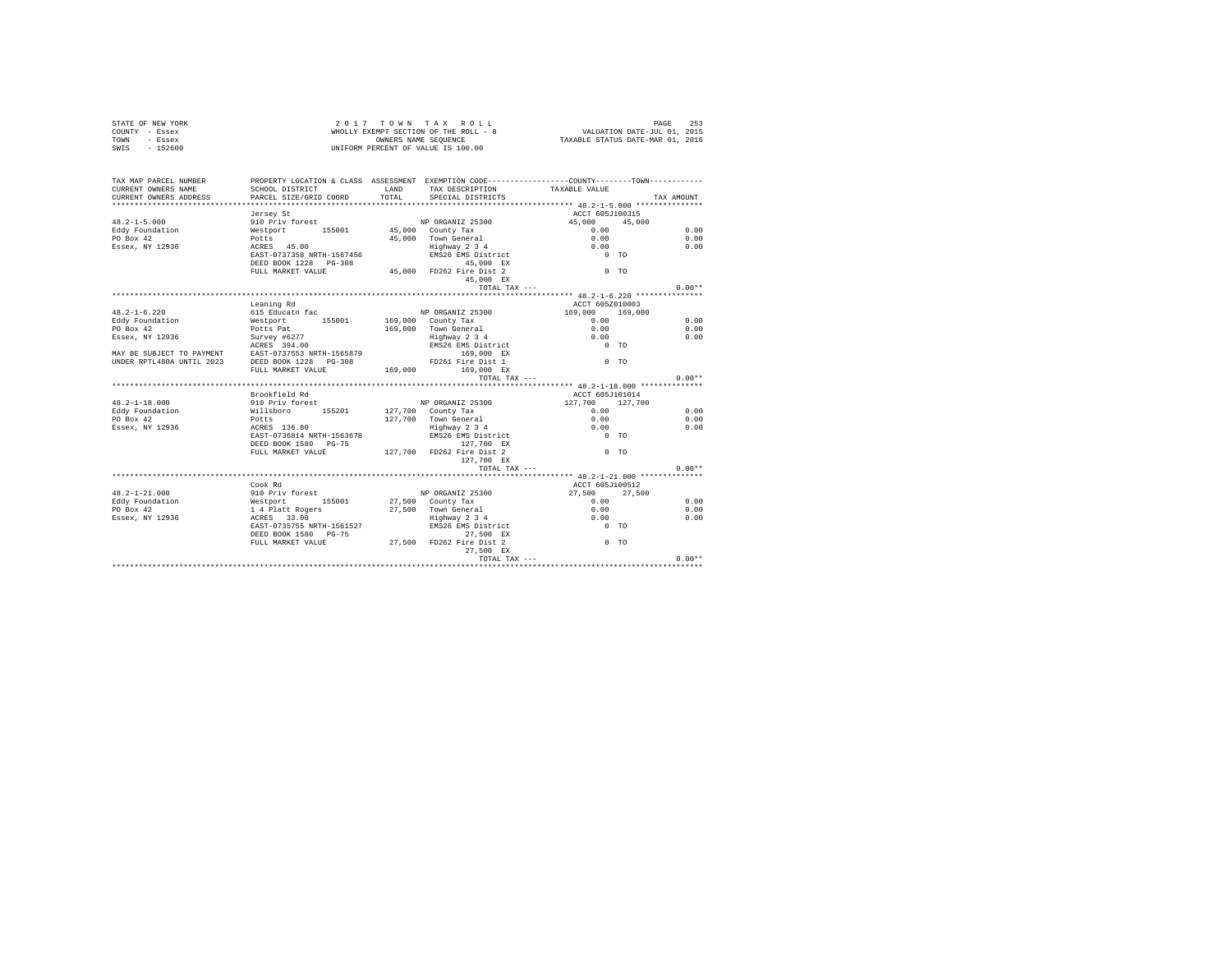|      | STATE OF NEW YORK | 2017 TOWN TAX ROLL                    | 253<br>PAGE                      |
|------|-------------------|---------------------------------------|----------------------------------|
|      | COUNTY - Essex    | WHOLLY EXEMPT SECTION OF THE ROLL - 8 | VALUATION DATE-JUL 01, 2015      |
| TOWN | - Essex           | OWNERS NAME SEOUENCE                  | TAXABLE STATUS DATE-MAR 01, 2016 |
| SWIS | $-152600$         | UNIFORM PERCENT OF VALUE IS 100.00    |                                  |

| TAX MAP PARCEL NUMBER<br>CURRENT OWNERS NAME | PROPERTY LOCATION & CLASS ASSESSMENT EXEMPTION CODE----------------COUNTY-------TOWN----------<br>SCHOOL DISTRICT                       | LAND  | TAX DESCRIPTION                                                            | TAXABLE VALUE                                  |            |
|----------------------------------------------|-----------------------------------------------------------------------------------------------------------------------------------------|-------|----------------------------------------------------------------------------|------------------------------------------------|------------|
| CURRENT OWNERS ADDRESS                       | PARCEL SIZE/GRID COORD                                                                                                                  | TOTAL | SPECIAL DISTRICTS                                                          |                                                | TAX AMOUNT |
|                                              | Jersey St                                                                                                                               |       |                                                                            | ACCT 605J100315                                |            |
| $48.2 - 1 - 5.000$                           | 910 Priv forest NP ORGANIZ 25300                                                                                                        |       |                                                                            | 45,000 45,000                                  |            |
|                                              |                                                                                                                                         |       |                                                                            | 0.00                                           | 0.00       |
|                                              |                                                                                                                                         |       |                                                                            | 0.00                                           | 0.00       |
|                                              |                                                                                                                                         |       | Highway 2 3 4                                                              | 0.00                                           | 0.00       |
|                                              | EAST-0737358 NRTH-1567456                                                                                                               |       | EMS26 EMS District                                                         | $0$ TO                                         |            |
|                                              | DEED BOOK 1228 PG-308                                                                                                                   |       | 45,000 EX                                                                  |                                                |            |
|                                              | FULL MARKET VALUE 45,000 FD262 Fire Dist 2                                                                                              |       |                                                                            | $0$ TO                                         |            |
|                                              |                                                                                                                                         |       | 45,000 EX                                                                  |                                                |            |
|                                              |                                                                                                                                         |       | TOTAL TAX ---                                                              | **************** 48.2-1-6.220 **************** | $0.00**$   |
|                                              | Leaning Rd                                                                                                                              |       |                                                                            | ACCT 605Z010003                                |            |
| $48.2 - 1 - 6.220$                           | 615 Educatn fac                                                                                                                         |       | NP ORGANIZ 25300                                                           | 169,000 169,000                                |            |
| Eddy Foundation                              | Westport 155001 169,000 County Tax                                                                                                      |       |                                                                            | 0.00                                           | 0.00       |
| PO Box 42                                    |                                                                                                                                         |       | 169,000 Town General                                                       |                                                | 0.00       |
| Essex, NY 12936                              | Potts Pat<br>Survey #6277                                                                                                               |       | Town General<br>Highway 2 3 4                                              | $0.00$<br>$0.00$                               | 0.00       |
|                                              |                                                                                                                                         |       | EMS26 EMS District                                                         | $0$ TO                                         |            |
|                                              | ACRES 394.00<br>MAY BE SUBJECT TO PAYMENT EAST-0737553 NRTH-1565879                                                                     |       | 169.000 EX                                                                 |                                                |            |
|                                              | UNDER RPTL480A UNTIL 2023 DEED BOOK 1228 PG-308                                                                                         |       |                                                                            | $0$ TO                                         |            |
|                                              | FULL MARKET VALUE                                                                                                                       |       | PD 261 Fire Dist 1<br>169,000 FD 261 Fire Dist 1<br>169,000 EX             |                                                |            |
|                                              |                                                                                                                                         |       | TOTAL TAX ---                                                              |                                                | $0.00**$   |
|                                              |                                                                                                                                         |       |                                                                            |                                                |            |
|                                              | Brookfield Rd                                                                                                                           |       |                                                                            | ACCT 605J101014                                |            |
| $48.2 - 1 - 18.000$                          | 910 Priv forest                                                                                                                         |       | NP ORGANIZ 25300                                                           | $127,700$ $127,700$ $0.00$                     |            |
| Eddy Foundation                              | Willsboro 155201 127,700 County Tax                                                                                                     |       |                                                                            |                                                | 0.00       |
| PO Box 42                                    | Potts<br>ACRES 136.80                                                                                                                   |       |                                                                            |                                                | 0.00       |
| Essex, NY 12936                              | EAST-0736814 NRTH-1563678                                                                                                               |       | 127,700 Town General 0.00<br>Highway 2 3 4 0.00<br>EMS26 EMS District 0 TO |                                                | 0.00       |
|                                              | DEED BOOK 1580 PG-75                                                                                                                    |       | 127,700 EX                                                                 |                                                |            |
|                                              | FULL MARKET VALUE 127,700 FD262 Fire Dist 2                                                                                             |       |                                                                            | $0$ TO                                         |            |
|                                              |                                                                                                                                         |       | 127,700 EX                                                                 |                                                |            |
|                                              |                                                                                                                                         |       | TOTAL TAX ---                                                              |                                                | $0.00**$   |
|                                              |                                                                                                                                         |       |                                                                            |                                                |            |
|                                              | Cook Rd                                                                                                                                 |       |                                                                            | ACCT 605J100512                                |            |
| $48.2 - 1 - 21.000$                          | 910 Priv forest MP ORGANIZ 25300<br>Westport 155001 27,500 County Tax<br>14 Platt Rogers 27,500 Town General<br>ACRES 33.00 Highway 234 |       |                                                                            | 27,500 27,500                                  |            |
| Eddy Foundation                              |                                                                                                                                         |       |                                                                            | 0.00                                           | 0.00       |
| PO Box 42                                    |                                                                                                                                         |       |                                                                            | 0.00                                           | 0.00       |
| Essex, NY 12936                              |                                                                                                                                         |       |                                                                            | 0.00                                           | 0.00       |
|                                              | EAST-0735755 NRTH-1561527                                                                                                               |       | EMS26 EMS District                                                         | $0$ TO                                         |            |
|                                              | DEED BOOK 1580 PG-75                                                                                                                    |       | 27,500 EX                                                                  |                                                |            |
|                                              | FULL MARKET VALUE 27,500 FD262 Fire Dist 2                                                                                              |       |                                                                            | $0$ TO                                         |            |
|                                              |                                                                                                                                         |       | 27,500 EX                                                                  |                                                |            |
|                                              |                                                                                                                                         |       |                                                                            |                                                |            |
|                                              |                                                                                                                                         |       |                                                                            |                                                |            |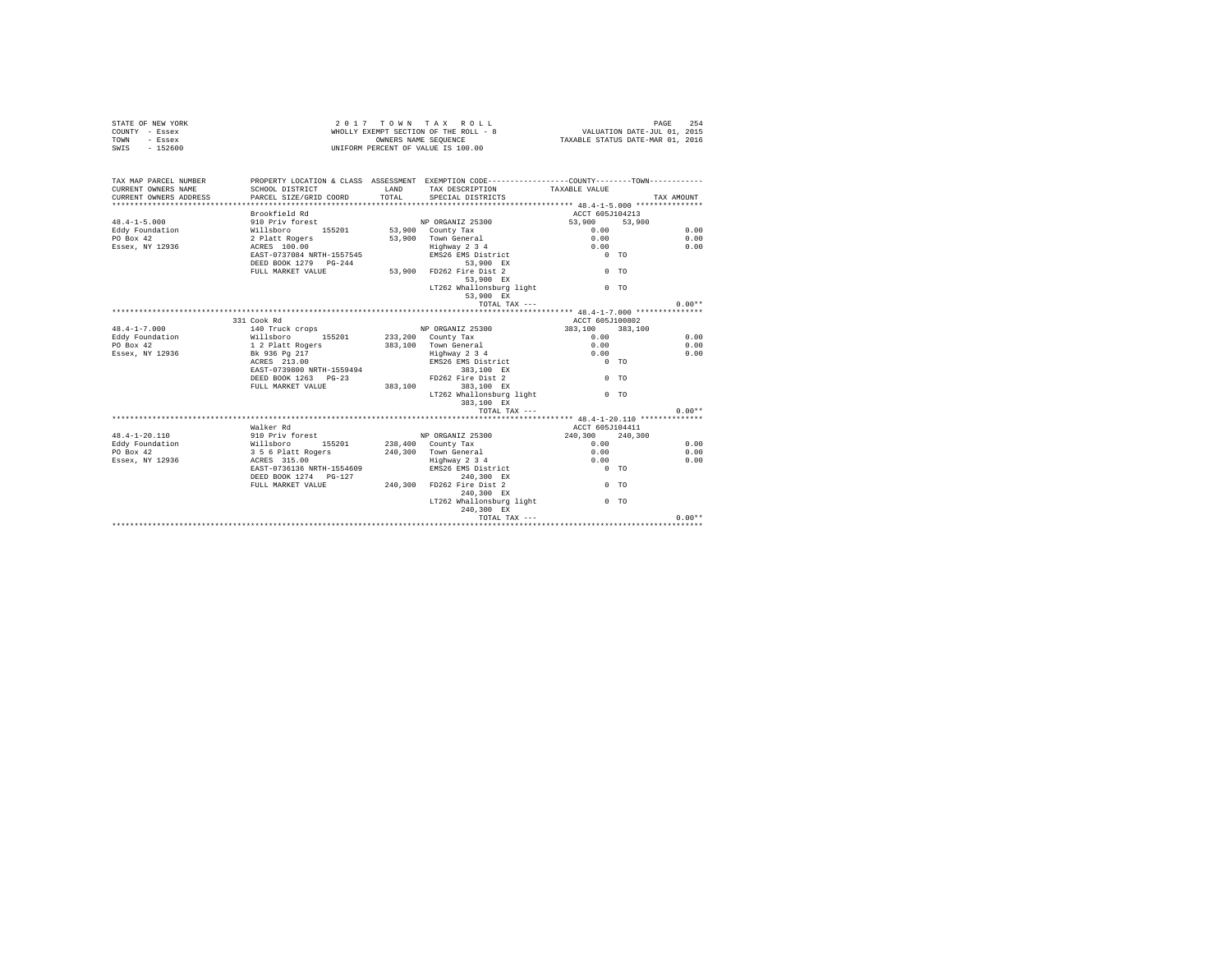| STATE OF NEW YORK | $2.017$ TOWN TAX ROLL                 |                                  | PAGE 254 |  |
|-------------------|---------------------------------------|----------------------------------|----------|--|
| COUNTY - Essex    | WHOLLY EXEMPT SECTION OF THE ROLL - 8 | VALUATION DATE-JUL 01, 2015      |          |  |
| TOWN<br>- Essex   | OWNERS NAME SEOUENCE                  | TAXABLE STATUS DATE-MAR 01, 2016 |          |  |
| SWIS<br>- 152600  | UNIFORM PERCENT OF VALUE IS 100.00    |                                  |          |  |
|                   |                                       |                                  |          |  |

| TAX MAP PARCEL NUMBER                                                                                                                                                                                 |                                                                                                                |      | PROPERTY LOCATION & CLASS ASSESSMENT EXEMPTION CODE---------------COUNTY-------TOWN---------- |                 |                |            |
|-------------------------------------------------------------------------------------------------------------------------------------------------------------------------------------------------------|----------------------------------------------------------------------------------------------------------------|------|-----------------------------------------------------------------------------------------------|-----------------|----------------|------------|
| CURRENT OWNERS NAME                                                                                                                                                                                   | SCHOOL DISTRICT                                                                                                | LAND | TAX DESCRIPTION TAXABLE VALUE                                                                 |                 |                |            |
| CURRENT OWNERS ADDRESS PARCEL SIZE/GRID COORD TOTAL                                                                                                                                                   |                                                                                                                |      | SPECIAL DISTRICTS                                                                             |                 |                | TAX AMOUNT |
|                                                                                                                                                                                                       |                                                                                                                |      |                                                                                               |                 |                |            |
|                                                                                                                                                                                                       | Brookfield Rd                                                                                                  |      |                                                                                               | ACCT 605J104213 |                |            |
| $48.4 - 1 - 5.000$                                                                                                                                                                                    | 910 Priv forest                                                                                                |      | NP ORGANIZ 25300                                                                              | 53,900          | 53,900         |            |
| 0 - 2010 - 2011 - 2012 15201 - 2014 7207<br>2010 - 2014 2015 - 2014 2015 2015 53,900 County Tax<br>2012 - 2014 2015 - 2014 2015 2016 53,900 Town General<br>2012 - 2015 2015 2016 2015 2016 119hway 2 |                                                                                                                |      |                                                                                               | 0.00            |                | 0.00       |
|                                                                                                                                                                                                       |                                                                                                                |      | 53.900 Town General                                                                           | 0.00            |                | 0.00       |
|                                                                                                                                                                                                       |                                                                                                                |      | Highway 2 3 4                                                                                 | 0.00            |                | 0.00       |
|                                                                                                                                                                                                       | EAST-0737084 NRTH-1557545                                                                                      |      | EMS26 EMS District                                                                            | $0$ TO          |                |            |
|                                                                                                                                                                                                       |                                                                                                                |      | 53,900 EX                                                                                     |                 |                |            |
|                                                                                                                                                                                                       | EAST-0737084 ERAIL 2008<br>DEED BOOK 1279 PG-244<br>ABSED TO THE THE STRIP STRIP SACE S3,900 FD262 Fire Dist 2 |      |                                                                                               | $0$ TO          |                |            |
|                                                                                                                                                                                                       |                                                                                                                |      |                                                                                               |                 |                |            |
|                                                                                                                                                                                                       |                                                                                                                |      | LT262 Whallonsburg light 6 0 TO                                                               |                 |                |            |
|                                                                                                                                                                                                       |                                                                                                                |      | 53,900 EX                                                                                     |                 |                |            |
|                                                                                                                                                                                                       |                                                                                                                |      | TOTAL TAX $---$                                                                               |                 |                | $0.00**$   |
|                                                                                                                                                                                                       |                                                                                                                |      |                                                                                               |                 |                |            |
|                                                                                                                                                                                                       | 331 Cook Rd                                                                                                    |      |                                                                                               | ACCT 605J100802 |                |            |
| $48.4 - 1 - 7.000$                                                                                                                                                                                    |                                                                                                                |      |                                                                                               | 383,100 383,100 |                |            |
| Eddy Foundation                                                                                                                                                                                       | 140 Truck crops<br>Willsboro 155201                                                                            |      | NP ORGANIZ 25300<br>233,200 County Tax                                                        | 0.00            |                | 0.00       |
| $PO$ $Rox$ 42                                                                                                                                                                                         | 1 2 Platt Rogers                                                                                               |      | 383,100 Town General                                                                          | 0.00            |                | 0.00       |
| Essex, NY 12936 Bk 936 Pg 217                                                                                                                                                                         |                                                                                                                |      | Highway 2 3 4                                                                                 | 0.00            |                | 0.00       |
|                                                                                                                                                                                                       | ACRES 213.00                                                                                                   |      | EMS26 EMS District<br>383,100 EX                                                              | $0$ TO          |                |            |
|                                                                                                                                                                                                       | EAST-0739800 NRTH-1559494                                                                                      |      |                                                                                               |                 |                |            |
|                                                                                                                                                                                                       | DEED BOOK 1263 PG-23                                                                                           |      | FD262 Fire Dist 2                                                                             |                 | 0 <sub>0</sub> |            |
|                                                                                                                                                                                                       | FULL MARKET VALUE 383.100 383.100 EX                                                                           |      |                                                                                               |                 |                |            |
|                                                                                                                                                                                                       |                                                                                                                |      | LT262 Whallonsburg light                                                                      |                 | 0 <sub>0</sub> |            |
|                                                                                                                                                                                                       |                                                                                                                |      | 383,100 EX                                                                                    |                 |                |            |
|                                                                                                                                                                                                       |                                                                                                                |      | TOTAL TAX ---                                                                                 |                 |                | $0.00**$   |
|                                                                                                                                                                                                       |                                                                                                                |      |                                                                                               |                 |                |            |
|                                                                                                                                                                                                       | Walker Rd                                                                                                      |      |                                                                                               | ACCT 605J104411 |                |            |
| $48.4 - 1 - 20.110$                                                                                                                                                                                   | 910 Priv forest                                                                                                |      | NP ORGANIZ 25300                                                                              | 240,300 240,300 |                |            |
| Eddy Foundation                                                                                                                                                                                       |                                                                                                                |      |                                                                                               | 0.00            |                | 0.00       |
| PO Box 42                                                                                                                                                                                             | willsboro 155201 238,400 County Tax<br>3 5 6 Platt Rogers 240,300 Town General                                 |      |                                                                                               | 0.00            |                | 0.00       |
| Essex, NY 12936                                                                                                                                                                                       | ACRES 315.00                                                                                                   |      |                                                                                               | 0.00            |                | 0.00       |
|                                                                                                                                                                                                       | EAST-0736136 NRTH-1554609                                                                                      |      | Highway 2 3 4<br>EMS26 EMS District                                                           | $0$ TO          |                |            |
|                                                                                                                                                                                                       | DEED BOOK 1274 PG-127 240,300 FD262 Fire Dist 2<br>FULL MARKET VALUE 240,300 FD262 Fire Dist 2                 |      | 240,300 EX                                                                                    |                 |                |            |
|                                                                                                                                                                                                       |                                                                                                                |      |                                                                                               | $0$ TO          |                |            |
|                                                                                                                                                                                                       |                                                                                                                |      | 240.300 EX                                                                                    |                 |                |            |
|                                                                                                                                                                                                       |                                                                                                                |      | LT262 Whallonsburg light                                                                      |                 | 0 <sub>0</sub> |            |
|                                                                                                                                                                                                       |                                                                                                                |      | 240.300 EX                                                                                    |                 |                |            |
|                                                                                                                                                                                                       |                                                                                                                |      |                                                                                               |                 |                | $0.00**$   |
|                                                                                                                                                                                                       |                                                                                                                |      |                                                                                               |                 |                |            |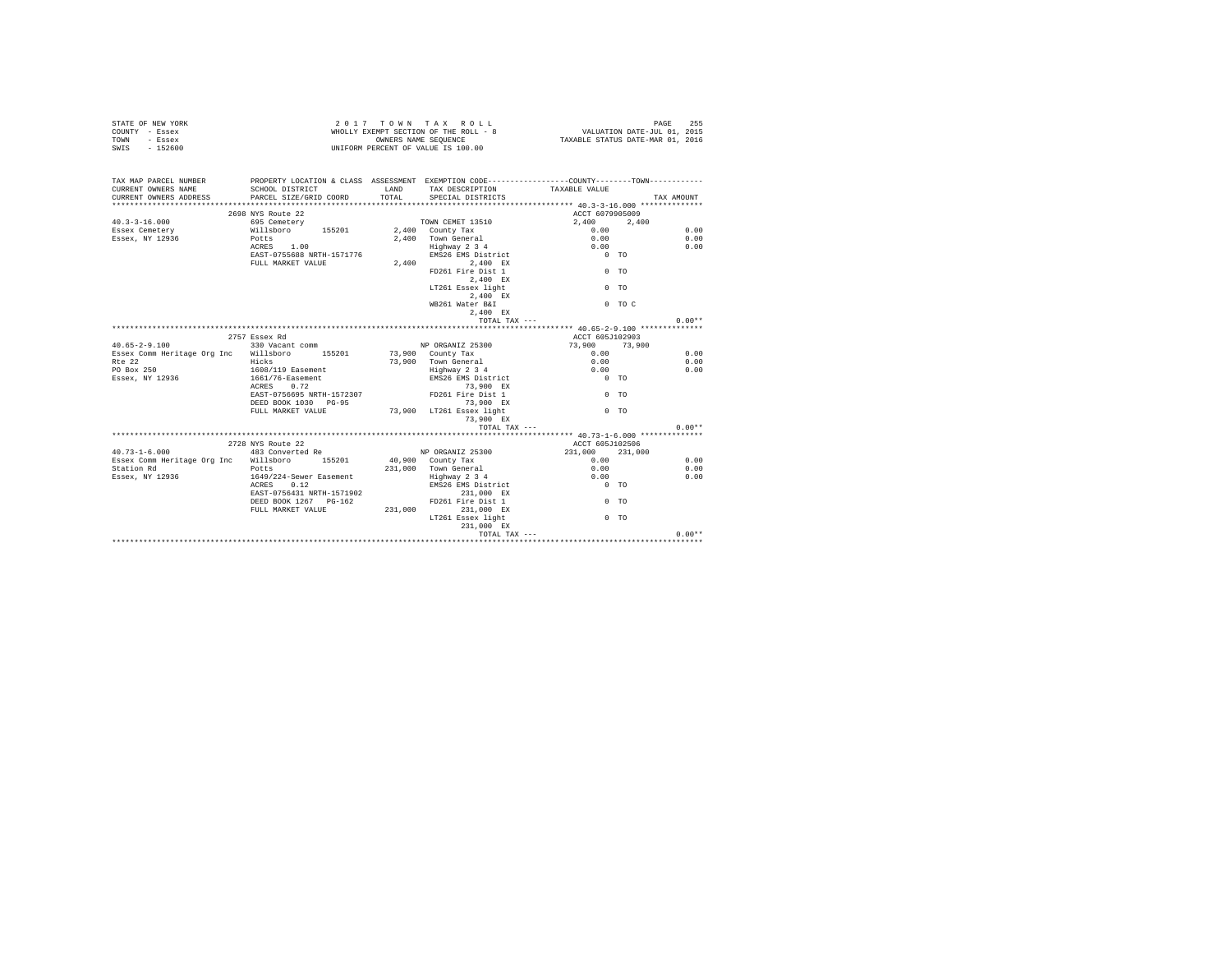| STATE OF NEW YORK<br>COUNTY - Essex<br>- Essex<br>TOWN<br>SWIS - 152600                                           |                                                                                                                                               |                | 2017 TOWN TAX ROLL<br>UNIFORM PERCENT OF VALUE IS 100.00                                                                                                                                                               | 2017 TOWN TAX KOLL<br>WHOLLY EXEMPT SECTION OF THE ROLL - 8<br>WHOLLY EXEMPT SCRIPTION DATE-UNIC UNICATED MEDICAL OIL 2015 | PAGE<br>255                      |
|-------------------------------------------------------------------------------------------------------------------|-----------------------------------------------------------------------------------------------------------------------------------------------|----------------|------------------------------------------------------------------------------------------------------------------------------------------------------------------------------------------------------------------------|----------------------------------------------------------------------------------------------------------------------------|----------------------------------|
| TAX MAP PARCEL NUMBER<br>CURRENT OWNERS NAME<br>CURRENT OWNERS ADDRESS                                            | SCHOOL DISTRICT<br>PARCEL SIZE/GRID COORD                                                                                                     | LAND<br>TOTAL. | TAX DESCRIPTION TAXABLE VALUE<br>SPECIAL DISTRICTS                                                                                                                                                                     | PROPERTY LOCATION & CLASS ASSESSMENT EXEMPTION CODE---------------COUNTY-------TOWN----------                              | TAX AMOUNT                       |
| $40.3 - 3 - 16.000$<br>Essex Cemetery<br>Essex, NY 12936                                                          | 2698 NYS Route 22<br>695 Cemetery<br>Willsboro 155201<br>Potts<br>ACRES 1.00<br>EAST-0755688 NRTH-1571776<br>FULL MARKET VALUE                |                | TOWN CEMET 13510<br>2,400 County Tax<br>2.400 Town General<br>Highway 2 3 4<br>EMS26 EMS District<br>2,400 2,400 EX<br>FD261 Fire Dist 1<br>2.400 EX<br>LT261 Essex light<br>2.400 EX<br>WB261 Water B&I<br>2.400 EX   | ACCT 6079905009<br>2,400 2,400<br>0.00<br>0.00<br>0.00<br>$0$ TO<br>$0$ TO<br>$0$ TO<br>$0$ TO C                           | 0.00<br>0.00<br>0.00             |
|                                                                                                                   | 2757 Essex Rd                                                                                                                                 |                | TOTAL TAX ---                                                                                                                                                                                                          | ACCT 605J102903                                                                                                            | $0.00**$                         |
| $40.65 - 2 - 9.100$<br>Essex Comm Heritage Org Inc Willsboro 155201<br>$R^+e$ 22<br>PO Box 250<br>Essex, NY 12936 | 330 Vacant comm<br>Hicks<br>1608/119 Easement<br>1661/76-Easement<br>ACRES 0.72<br>EAST-0756695 NRTH-1572307<br>DEED BOOK 1030 PG-95          |                | NP ORGANIZ 25300<br>73,900 County Tax<br>73.900 Town General<br>Highway 2 3 4<br>EMS26 EMS District<br>73,900 EX<br>FD261 Fire Dist 1<br>73,900 EX                                                                     | 73,900 73,900<br>0.00<br>0.00<br>0.00<br>$0$ TO<br>$0$ TO                                                                  | 0.00<br>0.00<br>0.00             |
|                                                                                                                   | FULL MARKET VALUE                                                                                                                             |                | 73,900 LT261 Essex light<br>73,900 EX<br>TOTAL TAX ---                                                                                                                                                                 | $0$ TO                                                                                                                     | $0.00**$                         |
|                                                                                                                   | 2728 NYS Route 22                                                                                                                             |                |                                                                                                                                                                                                                        | ACCT 605J102506                                                                                                            |                                  |
| $40.73 - 1 - 6.000$<br>Essex Comm Heritage Org Inc Willsboro 155201<br>Station Rd<br>Essex, NY 12936              | 483 Converted Re<br>Potts<br>1649/224-Sewer Easement<br>ACRES 0.12<br>EAST-0756431 NRTH-1571902<br>DEED BOOK 1267 PG-162<br>FULL MARKET VALUE | 231,000        | NP ORGANIZ 25300<br>40,900 County Tax<br>$231,000$ Town General<br>Highway $2\frac{3}{4}$<br>EMS26 EMS District<br>231,000 EX<br>FD261 Fire Dist 1<br>231,000 EX<br>LT261 Essex light<br>231,000 EX<br>TOTAL TAX $---$ | 231,000 231,000<br>0.00<br>0.00<br>0.00<br>$0$ TO<br>$0$ TO<br>$0$ TO                                                      | 0.00<br>0.00<br>0.00<br>$0.00**$ |
|                                                                                                                   |                                                                                                                                               |                |                                                                                                                                                                                                                        |                                                                                                                            |                                  |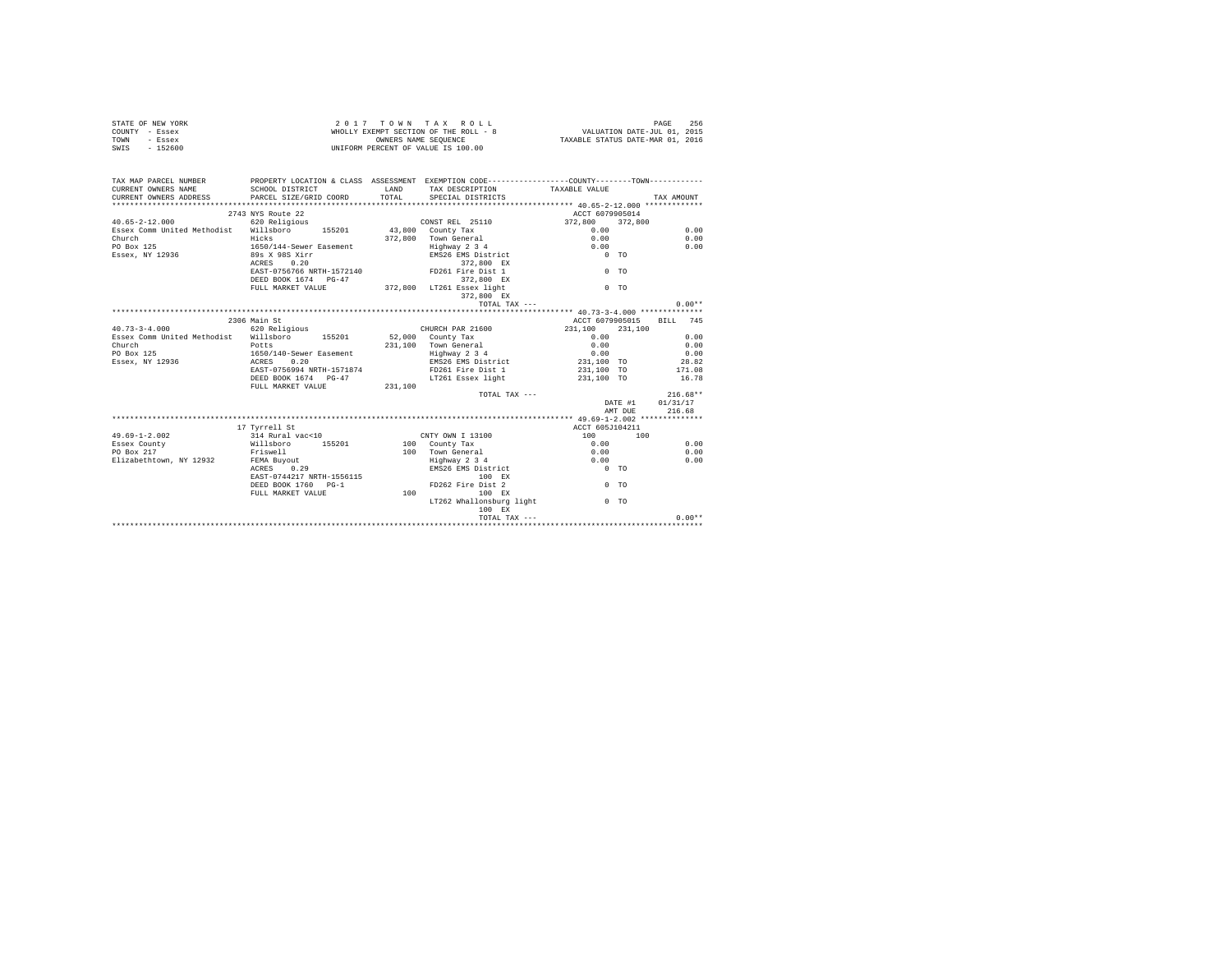|      | STATE OF NEW YORK | 2017 TOWN TAX ROLL                    | 256<br>PAGE                      |
|------|-------------------|---------------------------------------|----------------------------------|
|      | COUNTY - Essex    | WHOLLY EXEMPT SECTION OF THE ROLL - 8 | VALUATION DATE-JUL 01, 2015      |
| TOWN | - Essex           | OWNERS NAME SEOUENCE                  | TAXABLE STATUS DATE-MAR 01, 2016 |
| SWIS | $-152600$         | UNIFORM PERCENT OF VALUE IS 100.00    |                                  |

| TAX MAP PARCEL NUMBER<br>CURRENT OWNERS NAME<br>CURRENT OWNERS ADDRESS PARCEL SIZE/GRID COORD TOTAL SPECIAL DISTRICTS                                             | PROPERTY LOCATION & CLASS ASSESSMENT EXEMPTION CODE----------------COUNTY--------TOWN----------<br>SCHOOL DISTRICT |         | LAND TAX DESCRIPTION TAXABLE VALUE            |                                                     |         |                          |
|-------------------------------------------------------------------------------------------------------------------------------------------------------------------|--------------------------------------------------------------------------------------------------------------------|---------|-----------------------------------------------|-----------------------------------------------------|---------|--------------------------|
|                                                                                                                                                                   |                                                                                                                    |         |                                               |                                                     |         | TAX AMOUNT               |
|                                                                                                                                                                   | 2743 NYS Route 22                                                                                                  |         |                                               | ACCT 6079905014                                     |         |                          |
|                                                                                                                                                                   |                                                                                                                    |         |                                               | 372,800 372,800                                     |         |                          |
| 40.65-2-12.000 620 Religious CONST REL 25110<br>Essex Comm United Methodist Willsboro 155201 43,800 County Tax                                                    |                                                                                                                    |         |                                               | 0.00                                                |         | 0.00                     |
| Church                                                                                                                                                            | Hicks                                                                                                              |         | 372,800 Town General 0.00                     |                                                     |         | 0.00                     |
| PO Box 125                                                                                                                                                        |                                                                                                                    |         |                                               |                                                     |         | 0.00                     |
| Essex, NY 12936                                                                                                                                                   |                                                                                                                    |         | Highway 2 3 4<br>EMS26 EMS District           | $\begin{matrix} 0.00 \\ 0 & \text{TO} \end{matrix}$ |         |                          |
|                                                                                                                                                                   | 1650/144-Sewer Easement<br>89s X 98S Xirr<br>ACRES 0.20                                                            |         | 372,800 EX                                    |                                                     |         |                          |
|                                                                                                                                                                   | EAST-0756766 NRTH-1572140 FD261 Fire Dist 1                                                                        |         |                                               | $0$ TO                                              |         |                          |
|                                                                                                                                                                   |                                                                                                                    |         |                                               |                                                     |         |                          |
|                                                                                                                                                                   |                                                                                                                    |         |                                               | $0$ TO                                              |         |                          |
|                                                                                                                                                                   | BEED BOOK 1674 PG-47<br>FULL MARKET VALUE 772,800 LT261 ESSEX 11ght<br>372,800 LT261 372,800 EX<br>372,800 EX      |         |                                               |                                                     |         |                          |
|                                                                                                                                                                   |                                                                                                                    |         |                                               |                                                     |         | $0.00**$                 |
|                                                                                                                                                                   |                                                                                                                    |         | TOTAL TAX ---                                 |                                                     |         |                          |
|                                                                                                                                                                   | 2306 Main St                                                                                                       |         |                                               |                                                     |         | ACCT 6079905015 BILL 745 |
| 40.73-3-4.000 620 Religious                                                                                                                                       |                                                                                                                    |         | CHURCH PAR 21600 231.100 231.100              |                                                     |         |                          |
|                                                                                                                                                                   |                                                                                                                    |         |                                               |                                                     |         |                          |
| Essex Comm United Methodist Willsboro 155201 52,000 County Tax                                                                                                    |                                                                                                                    |         |                                               |                                                     |         |                          |
| Church<br>Church<br>PO Box 125                                                                                                                                    | Potts<br>1650/140-Sewer Easement                                                                                   |         |                                               |                                                     |         |                          |
|                                                                                                                                                                   |                                                                                                                    |         |                                               |                                                     |         |                          |
| Essex, NY 12936 ACRES                                                                                                                                             | 0.20                                                                                                               |         |                                               |                                                     |         |                          |
|                                                                                                                                                                   | RAST-0756994 NRTH-1571874                                                                                          |         | FD261 Fire Dist 1<br>LT261 Essex light        | 231,100 TO                                          |         | 171.08                   |
|                                                                                                                                                                   | DEED BOOK 1674 PG-47                                                                                               |         |                                               | 231,100 TO                                          |         | 16.78                    |
|                                                                                                                                                                   | FULL MARKET VALUE                                                                                                  | 231,100 |                                               |                                                     |         |                          |
|                                                                                                                                                                   |                                                                                                                    |         |                                               | TOTAL TAX ---                                       |         | $216.68**$               |
|                                                                                                                                                                   |                                                                                                                    |         |                                               |                                                     |         | DATE #1 01/31/17         |
|                                                                                                                                                                   |                                                                                                                    |         |                                               |                                                     | AMT DUE | 216.68                   |
|                                                                                                                                                                   |                                                                                                                    |         |                                               |                                                     |         |                          |
|                                                                                                                                                                   | 17 Tvrrell St                                                                                                      |         |                                               | ACCT 605J104211                                     |         |                          |
| $49.69 - 1 - 2.002$                                                                                                                                               |                                                                                                                    |         |                                               | $100$ $100$                                         |         |                          |
| Essex County                                                                                                                                                      |                                                                                                                    |         |                                               |                                                     |         | 0.00                     |
| PO Box 217                                                                                                                                                        |                                                                                                                    |         |                                               |                                                     |         | 0.00                     |
|                                                                                                                                                                   |                                                                                                                    |         | Enghway 2 3 4 0.00<br>EMS26 EMS District 0 TO |                                                     |         | 0.00                     |
| r Louis Land Ruyout<br>Elizabethtown, NY 12932<br>RORES 06, 129<br>DEED BORE 124217 NRTH-1556115<br>DEED BORES 1704<br>DEED BOREST VALUE<br>PULL MARKET VALUE 100 |                                                                                                                    |         |                                               |                                                     |         |                          |
|                                                                                                                                                                   |                                                                                                                    |         | 100 EX                                        |                                                     |         |                          |
|                                                                                                                                                                   |                                                                                                                    |         | FD262 Fire Dist 2                             | $0$ TO                                              |         |                          |
|                                                                                                                                                                   |                                                                                                                    |         | 100 EX                                        |                                                     |         |                          |
|                                                                                                                                                                   |                                                                                                                    |         | LT262 Whallonsburg light 0 TO                 |                                                     |         |                          |
|                                                                                                                                                                   |                                                                                                                    |         | 100 EX                                        |                                                     |         |                          |
|                                                                                                                                                                   |                                                                                                                    |         |                                               |                                                     |         |                          |
|                                                                                                                                                                   |                                                                                                                    |         |                                               |                                                     |         |                          |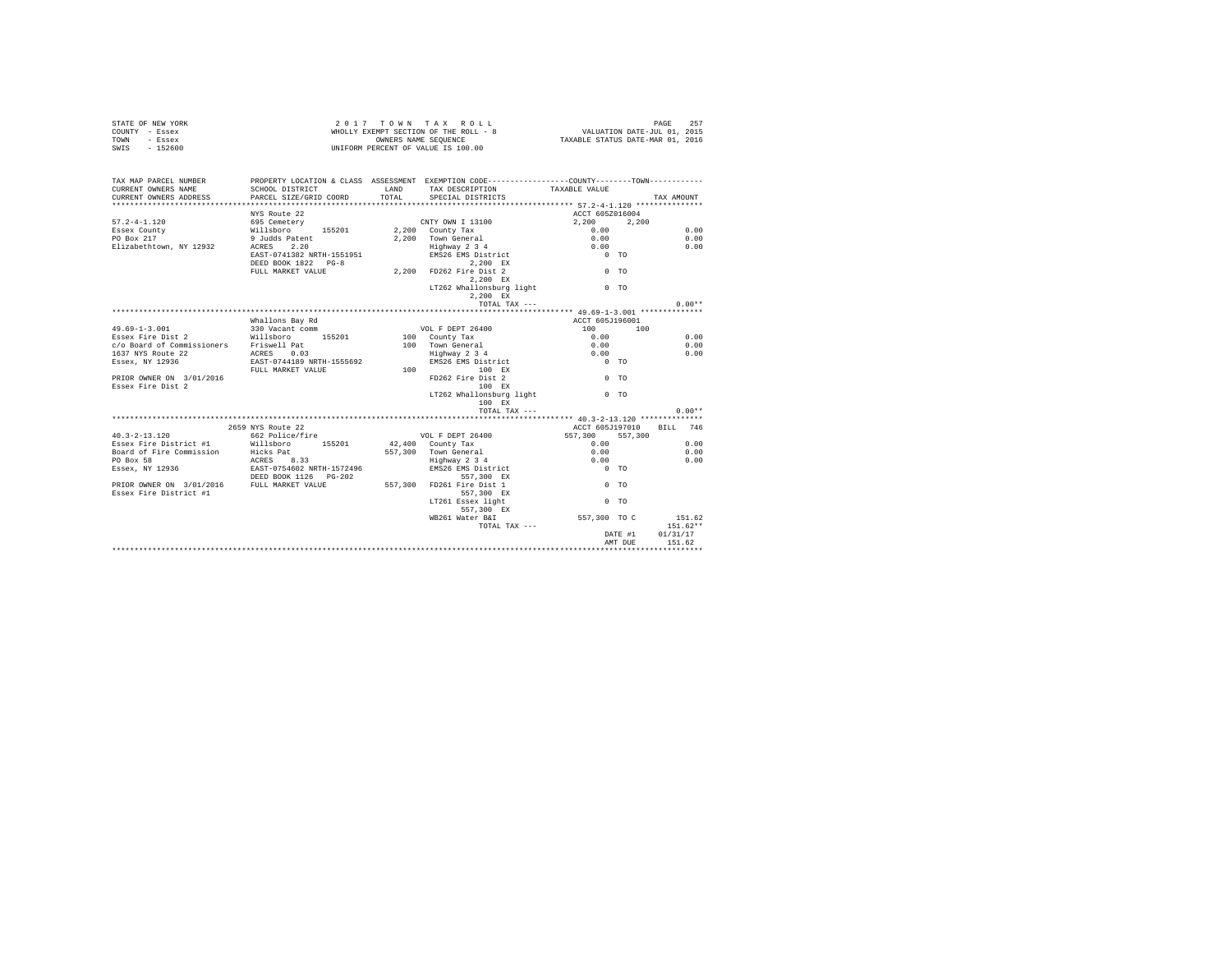| STATE OF NEW YORK | 2017 TOWN TAX ROLL                    | 257<br>PAGE                      |
|-------------------|---------------------------------------|----------------------------------|
| COUNTY - Essex    | WHOLLY EXEMPT SECTION OF THE ROLL - 8 | VALUATION DATE-JUL 01, 2015      |
| TOWN<br>- Essex   | OWNERS NAME SEOUENCE                  | TAXABLE STATUS DATE-MAR 01, 2016 |
| $-152600$<br>SWIS | UNIFORM PERCENT OF VALUE IS 100.00    |                                  |

| TAX MAP PARCEL NUMBER                                                                                    | PROPERTY LOCATION & CLASS ASSESSMENT EXEMPTION CODE---------------COUNTY-------TOWN----------<br>SCHOOL DISTRICT |       |                                                         |                                             |            |
|----------------------------------------------------------------------------------------------------------|------------------------------------------------------------------------------------------------------------------|-------|---------------------------------------------------------|---------------------------------------------|------------|
| CURRENT OWNERS NAME<br>CURRENT OWNERS ADDRESS PARCEL SIZE/GRID COORD                                     |                                                                                                                  | TOTAL | LAND TAX DESCRIPTION TAXABLE VALUE<br>SPECIAL DISTRICTS |                                             | TAX AMOUNT |
|                                                                                                          |                                                                                                                  |       |                                                         |                                             |            |
|                                                                                                          | NYS Route 22                                                                                                     |       |                                                         | ACCT 605Z016004                             |            |
| $57.2 - 4 - 1.120$                                                                                       | 1980 Cometery<br>Willaboro 1992 - 2000 County Tax<br>9 Judds Patent 155201 - 2,200 Town General                  |       |                                                         | $2,200$ $2,200$                             |            |
| Essex County                                                                                             |                                                                                                                  |       |                                                         |                                             | 0.00       |
| $PO$ Box $217$                                                                                           |                                                                                                                  |       |                                                         | $\begin{array}{c} 0.00 \\ 0.00 \end{array}$ | 0.00       |
| Elizabethtown, NY 12932 ACRES 2.20                                                                       |                                                                                                                  |       |                                                         | 0.00                                        | 0.00       |
|                                                                                                          | EAST-0741382 NRTH-1551951                                                                                        |       | Highway 2 3 4<br>EMS26 EMS District                     | $0$ TO                                      |            |
|                                                                                                          | DEED BOOK 1822 PG-8                                                                                              |       | 2,200 EX                                                |                                             |            |
|                                                                                                          | 2,200 EX<br>FULL MARKET VALUE 70 2,200 FD262 Fire Dist 2                                                         |       |                                                         | 0 <sub>0</sub>                              |            |
|                                                                                                          |                                                                                                                  |       | 2.200 EX                                                |                                             |            |
|                                                                                                          |                                                                                                                  |       | LT262 Whallonsburg light 0 TO                           |                                             |            |
|                                                                                                          |                                                                                                                  |       | 2,200 EX                                                |                                             |            |
|                                                                                                          |                                                                                                                  |       | TOTAL TAX ---                                           |                                             | $0.00**$   |
|                                                                                                          |                                                                                                                  |       |                                                         |                                             |            |
|                                                                                                          | Whallons Bav Rd                                                                                                  |       |                                                         | ACCT 605J196001                             |            |
|                                                                                                          |                                                                                                                  |       |                                                         | 100<br>100                                  |            |
|                                                                                                          |                                                                                                                  |       |                                                         | 0.00                                        | 0.00       |
| c/o Board of Commissioners Friswell Pat                                                                  |                                                                                                                  |       |                                                         | 0.00                                        | 0.00       |
| 1637 NYS Route 22                                                                                        |                                                                                                                  |       |                                                         | 0.00                                        | 0.00       |
| Essex, NY 12936                                                                                          | ACRES 0.03<br>EAST-0744189 NRTH-1555692                                                                          |       | Highway 2 3 4<br>EMS26 EMS District                     | $0$ TO                                      |            |
|                                                                                                          | FULL MARKET VALUE                                                                                                |       | 100 100 EX                                              |                                             |            |
| PRIOR OWNER ON 3/01/2016                                                                                 |                                                                                                                  |       | FD262 Fire Dist 2                                       | $0$ TO                                      |            |
| Essex Fire Dist 2                                                                                        |                                                                                                                  |       | 100 EX                                                  |                                             |            |
|                                                                                                          |                                                                                                                  |       | LT262 Whallonsburg light                                | 0 <sub>0</sub>                              |            |
|                                                                                                          |                                                                                                                  |       | 100 RX                                                  |                                             |            |
|                                                                                                          |                                                                                                                  |       | TOTAL TAX ---                                           |                                             | $0.00**$   |
|                                                                                                          |                                                                                                                  |       |                                                         |                                             |            |
|                                                                                                          | 2659 NYS Route 22                                                                                                |       |                                                         | ACCT 605J197010 BILL 746                    |            |
| $40.3 - 2 - 13.120$                                                                                      | 662 Police/fire                                                                                                  |       | VOL F DEPT 26400 557,300 557,300                        |                                             |            |
|                                                                                                          |                                                                                                                  |       | 42,400 County Tax                                       | 0.00                                        | 0.00       |
|                                                                                                          |                                                                                                                  |       | 557,300 Town General                                    | 0.00                                        | 0.00       |
| PO Box 58                                                                                                |                                                                                                                  |       | Highway 2 3 4<br>EMS26 EMG Director                     | 0.00                                        | 0.00       |
| Essex, NY 12936                                                                                          |                                                                                                                  |       |                                                         | $0$ TO                                      |            |
|                                                                                                          |                                                                                                                  |       | 557,300 EX                                              |                                             |            |
| DEED BOOK 1126 PG-202 557,300 EX<br>PRIOR OWNER ON 3/01/2016 FULL MARKET VALUE 557,300 FD261 Fire Dist 1 |                                                                                                                  |       |                                                         | $0$ TO                                      |            |
| Essex Fire District #1                                                                                   |                                                                                                                  |       | 557,300 EX                                              |                                             |            |
|                                                                                                          |                                                                                                                  |       | LT261 Essex light                                       | $0$ TO                                      |            |
|                                                                                                          |                                                                                                                  |       | 557,300 EX                                              |                                             |            |
|                                                                                                          |                                                                                                                  |       | WB261 Water B&I                                         | 557,300 TO C 151.62                         |            |
|                                                                                                          |                                                                                                                  |       | TOTAL TAX ---                                           |                                             | $151.62**$ |
|                                                                                                          |                                                                                                                  |       |                                                         | DATE #1                                     | 01/31/17   |
|                                                                                                          |                                                                                                                  |       |                                                         | AMT DUE                                     | 151.62     |
|                                                                                                          |                                                                                                                  |       |                                                         |                                             |            |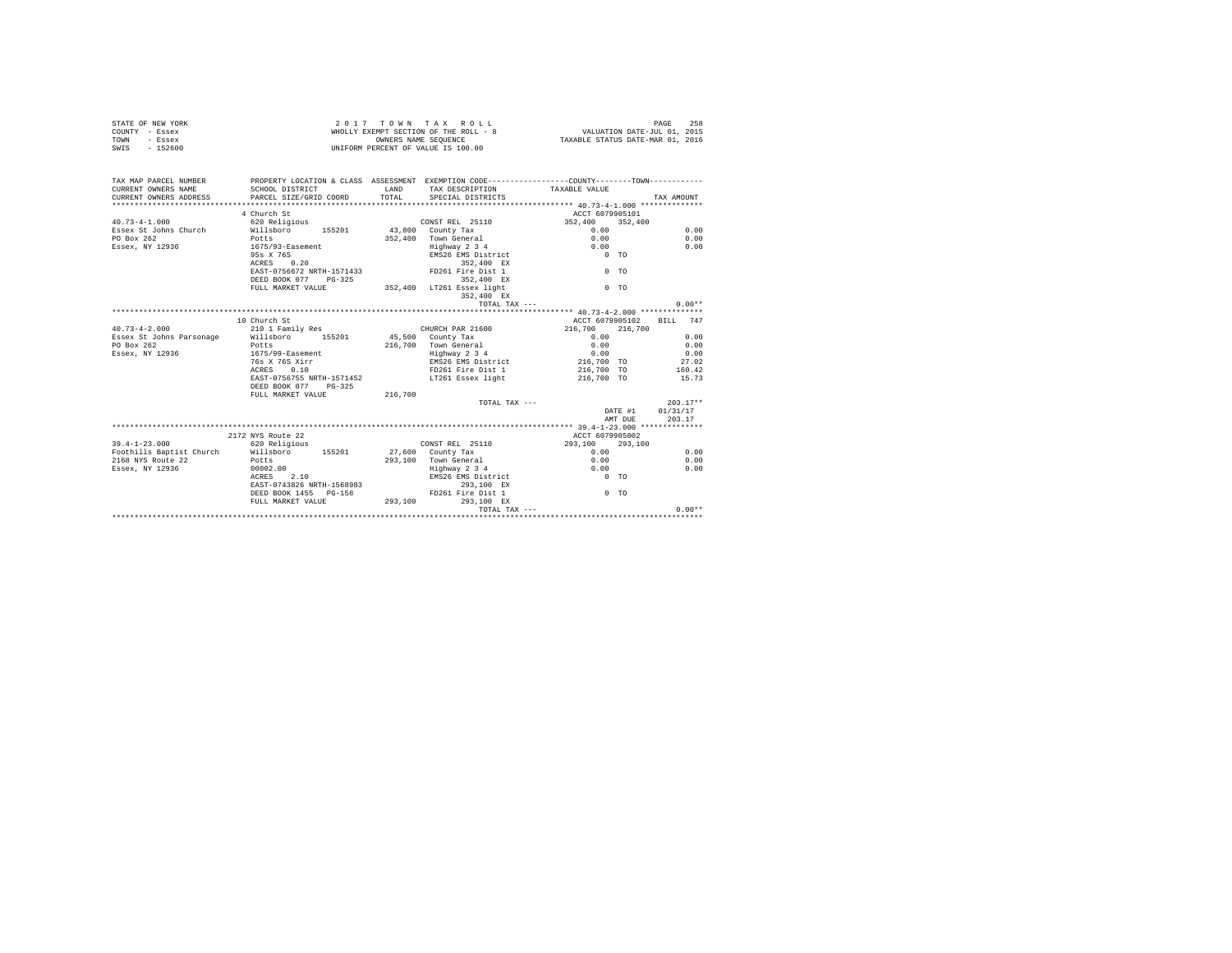| COUNTY - Essex<br>TOWN<br>- Essex<br>SWIS<br>$-152600$ |                                                                                 |         | WHOLLY EXEMPT SECTION OF THE ROLL - 8<br>OWNERS NAME SEOUENCE<br>UNIFORM PERCENT OF VALUE IS 100.00 | VALUATION DATE-JUL 01, 2015<br>TAXABLE STATUS DATE-MAR 01, 2016                                                                                                                                                                     |                  |  |
|--------------------------------------------------------|---------------------------------------------------------------------------------|---------|-----------------------------------------------------------------------------------------------------|-------------------------------------------------------------------------------------------------------------------------------------------------------------------------------------------------------------------------------------|------------------|--|
|                                                        |                                                                                 |         |                                                                                                     |                                                                                                                                                                                                                                     |                  |  |
| TAX MAP PARCEL NUMBER                                  |                                                                                 |         |                                                                                                     | PROPERTY LOCATION & CLASS ASSESSMENT EXEMPTION CODE---------------COUNTY-------TOWN----------                                                                                                                                       |                  |  |
| CURRENT OWNERS NAME                                    | SCHOOL DISTRICT                                                                 |         | LAND TAX DESCRIPTION TAXABLE VALUE                                                                  |                                                                                                                                                                                                                                     |                  |  |
| CURRENT OWNERS ADDRESS                                 | PARCEL SIZE/GRID COORD                                                          | TOTAL   | SPECIAL DISTRICTS                                                                                   |                                                                                                                                                                                                                                     | TAX AMOUNT       |  |
|                                                        |                                                                                 |         |                                                                                                     |                                                                                                                                                                                                                                     |                  |  |
|                                                        | 4 Church St                                                                     |         |                                                                                                     | ACCT 6079905101                                                                                                                                                                                                                     |                  |  |
| $40.73 - 4 - 1.000$                                    | 620 Religious                                                                   |         | CONST REL 25110                                                                                     | $352,400$ $352,400$                                                                                                                                                                                                                 |                  |  |
|                                                        | Essex St Johns Church Millsboro 155201                                          |         | 43,800 County Tax                                                                                   | 0.00                                                                                                                                                                                                                                | 0.00             |  |
| PO Box 262                                             | Potts                                                                           |         | 352.400 Town General                                                                                | 0.00                                                                                                                                                                                                                                | 0.00             |  |
| Essex, NY 12936 1675/93-Easement                       |                                                                                 |         | %)0 Town General<br>Highway 2 3 4<br>EMS26 EMS District<br>352,400 EX                               | 0.00                                                                                                                                                                                                                                | 0.00             |  |
|                                                        | 95s X 76S<br>0.20                                                               |         |                                                                                                     | $0$ TO                                                                                                                                                                                                                              |                  |  |
|                                                        | ACRES                                                                           |         |                                                                                                     |                                                                                                                                                                                                                                     |                  |  |
|                                                        | EAST-0756672 NRTH-1571433 FD261 Fire Dist 1<br>DEED BOOK 077 PG-325             |         | 352,400 EX                                                                                          | $0$ TO                                                                                                                                                                                                                              |                  |  |
|                                                        | FULL MARKET VALUE                                                               |         |                                                                                                     | $0$ TO                                                                                                                                                                                                                              |                  |  |
|                                                        |                                                                                 |         | 352,400 LT261 Essex light<br>352,400 EX                                                             |                                                                                                                                                                                                                                     |                  |  |
|                                                        |                                                                                 |         | TOTAL TAX ---                                                                                       |                                                                                                                                                                                                                                     | $0.00**$         |  |
|                                                        |                                                                                 |         |                                                                                                     |                                                                                                                                                                                                                                     |                  |  |
|                                                        | 10 Church St                                                                    |         |                                                                                                     | ACCT 6079905102 BILL 747                                                                                                                                                                                                            |                  |  |
|                                                        |                                                                                 |         |                                                                                                     | 216,700 216,700                                                                                                                                                                                                                     |                  |  |
|                                                        |                                                                                 |         | CHURCH PAR 21600<br>45,500 County Tax                                                               | 0.00                                                                                                                                                                                                                                | 0.00             |  |
|                                                        |                                                                                 |         |                                                                                                     |                                                                                                                                                                                                                                     |                  |  |
|                                                        |                                                                                 |         |                                                                                                     | 1990 - 2000 - 2000 - 2000 - 2000 - 2000 - 2000 - 2000 - 2010 - 2010 - 2010 - 2010 - 2010 - 2010 - 2010 - 2010<br>2010 - 2010 - 2010 - 2010 - 2010 - 2010 - 2010 - 2010 - 2010 - 2010 - 2010 - 2010 - 2010 - 2010 - 2010 - 2010<br>2 |                  |  |
|                                                        |                                                                                 |         |                                                                                                     |                                                                                                                                                                                                                                     |                  |  |
|                                                        | 76s X 76S Xirr<br>ACRES 0.10                                                    |         | FD261 Fire Dist 1                                                                                   | 216,700 TO                                                                                                                                                                                                                          | 160.42           |  |
|                                                        | EAST-0756755 NRTH-1571452                                                       |         | LT261 Essex light                                                                                   | 216,700 TO                                                                                                                                                                                                                          | 15.73            |  |
|                                                        | DEED BOOK 077 PG-325                                                            |         |                                                                                                     |                                                                                                                                                                                                                                     |                  |  |
|                                                        | FULL MARKET VALUE                                                               | 216,700 |                                                                                                     |                                                                                                                                                                                                                                     |                  |  |
|                                                        |                                                                                 |         | TOTAL TAX ---                                                                                       |                                                                                                                                                                                                                                     | $203.17**$       |  |
|                                                        |                                                                                 |         |                                                                                                     |                                                                                                                                                                                                                                     | DATE #1 01/31/17 |  |
|                                                        |                                                                                 |         |                                                                                                     | AMT DUE                                                                                                                                                                                                                             | 203.17           |  |
|                                                        |                                                                                 |         |                                                                                                     |                                                                                                                                                                                                                                     |                  |  |
|                                                        | 2172 NYS Route 22                                                               |         |                                                                                                     | ACCT 6079905002                                                                                                                                                                                                                     |                  |  |
| $39.4 - 1 - 23.000$                                    | 620 Religious                                                                   |         | CONST REL 25110                                                                                     | 293,100 293,100                                                                                                                                                                                                                     |                  |  |
|                                                        | Foothills Baptist Church Willsboro 155201                                       |         | 27,600 County Tax                                                                                   | 0.00                                                                                                                                                                                                                                | 0.00             |  |
| 2168 NYS Route 22 Potts<br>Essex, NY 12936 00002.00    |                                                                                 |         | 293,100 Town General                                                                                | 0.00                                                                                                                                                                                                                                | 0.00             |  |
|                                                        |                                                                                 |         |                                                                                                     | 0.00                                                                                                                                                                                                                                | 0.00             |  |
|                                                        | 2.10<br>ACRES                                                                   |         | Highway 2 3 4<br>EMS26 EMS District                                                                 | $0$ TO                                                                                                                                                                                                                              |                  |  |
|                                                        | EAST-0743826 NRTH-1568983 293,100 EX<br>DEED BOOK 1455 PG-158 FD261 Fire Dist 1 |         |                                                                                                     |                                                                                                                                                                                                                                     |                  |  |
|                                                        |                                                                                 |         |                                                                                                     | $0$ TO                                                                                                                                                                                                                              |                  |  |
|                                                        | FULL MARKET VALUE 293,100                                                       |         | 293.100 EX                                                                                          |                                                                                                                                                                                                                                     |                  |  |
|                                                        |                                                                                 |         |                                                                                                     |                                                                                                                                                                                                                                     | $0.00**$         |  |
|                                                        |                                                                                 |         |                                                                                                     |                                                                                                                                                                                                                                     |                  |  |

STATE OF NEW YORK 2 0 1 7 T O W N T A X R O L L PAGE 258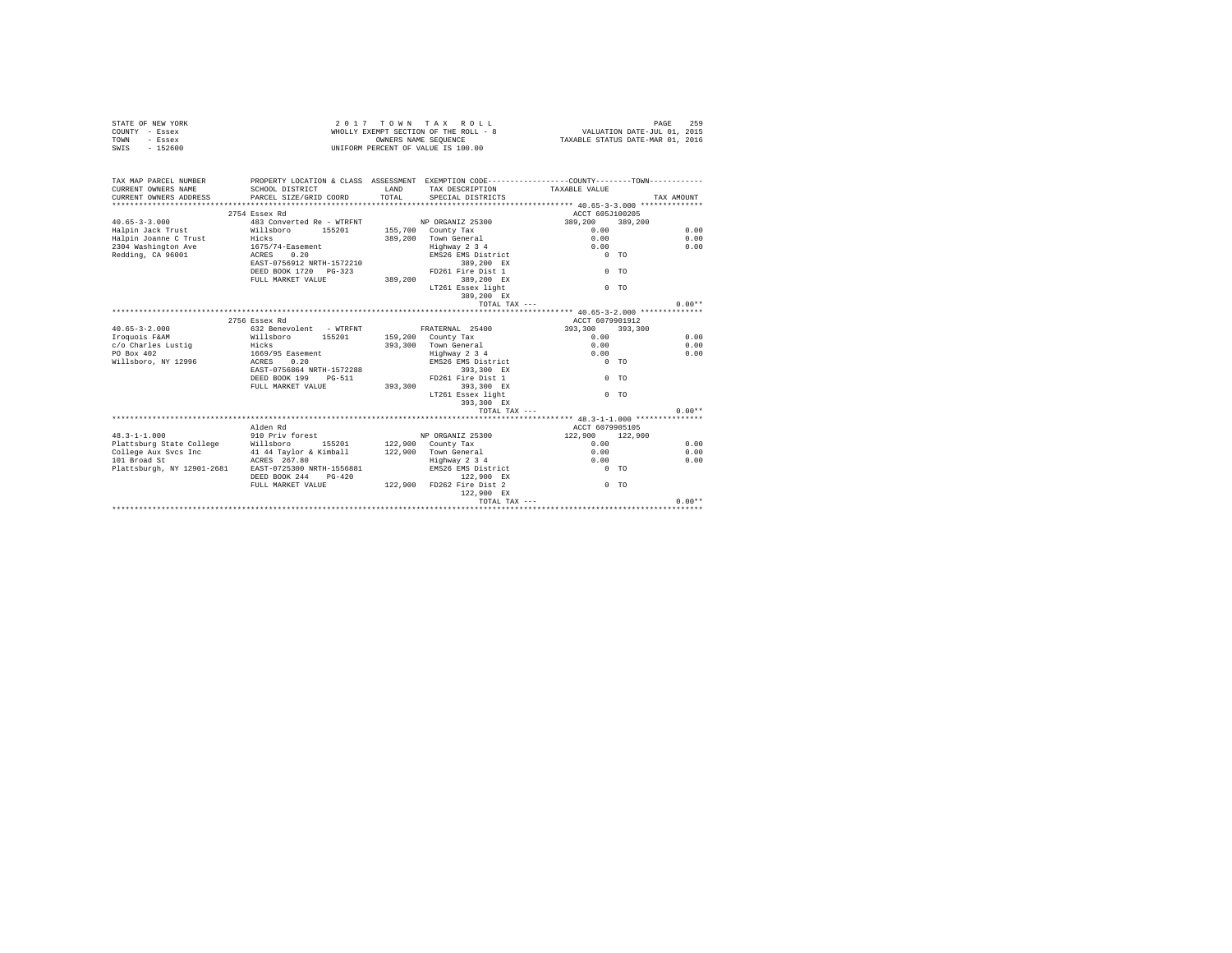|      | STATE OF NEW YORK | 2017 TOWN TAX ROLL                    | 259<br>PAGE                      |
|------|-------------------|---------------------------------------|----------------------------------|
|      | COUNTY - Essex    | WHOLLY EXEMPT SECTION OF THE ROLL - 8 | VALUATION DATE-JUL 01, 2015      |
| TOWN | - Essex           | OWNERS NAME SEOUENCE                  | TAXABLE STATUS DATE-MAR 01, 2016 |
| SWIS | $-152600$         | UNIFORM PERCENT OF VALUE IS 100.00    |                                  |

| TAX MAP PARCEL NUMBER<br>CURRENT OWNERS NAME<br>CURRENT OWNERS ADDRESS PARCEL SIZE/GRID COORD | PROPERTY LOCATION & CLASS ASSESSMENT EXEMPTION CODE----------------COUNTY-------TOWN----------<br>SCHOOL DISTRICT | LAND<br>TOTAL. | TAX DESCRIPTION TAXABLE VALUE<br>SPECIAL DISTRICTS |                 | TAX AMOUNT     |
|-----------------------------------------------------------------------------------------------|-------------------------------------------------------------------------------------------------------------------|----------------|----------------------------------------------------|-----------------|----------------|
|                                                                                               | 2754 Essex Rd                                                                                                     |                |                                                    | ACCT 605J100205 |                |
| $40.65 - 3 - 3.000$                                                                           | 483 Converted Re - WTRFNT NP ORGANIZ 25300                                                                        |                |                                                    | 389,200         | 389,200        |
| Halpin Jack Trust Millsboro                                                                   | 155201                                                                                                            |                | 155,700 County Tax                                 | 0.00            | 0.00           |
| Halpin Joanne C Trust                                                                         | Hicks                                                                                                             |                | 389.200 Town General                               | 0.00            | 0.00           |
| 2304 Washington Ave                                                                           | $1675/74$ -Easement                                                                                               |                | Highway 2 3 4                                      | 0.00            | 0.00           |
| Redding, CA 96001                                                                             | ACRES 0.20                                                                                                        |                | EMS26 EMS District                                 | $0$ TO          |                |
|                                                                                               | EAST-0756912 NRTH-1572210                                                                                         |                | 389,200 EX                                         |                 |                |
|                                                                                               | DEED BOOK 1720 PG-323                                                                                             |                | FD261 Fire Dist 1                                  |                 | $0$ TO         |
|                                                                                               | FULL MARKET VALUE                                                                                                 | 389,200        | 389,200 EX                                         |                 |                |
|                                                                                               |                                                                                                                   |                | LT261 Essex light                                  |                 | 0 <sub>0</sub> |
|                                                                                               |                                                                                                                   |                | 389,200 EX                                         |                 |                |
|                                                                                               |                                                                                                                   |                | TOTAL TAX $---$                                    |                 | $0.00**$       |
|                                                                                               |                                                                                                                   |                |                                                    |                 |                |
|                                                                                               | 2756 Essex Rd                                                                                                     |                |                                                    | ACCT 6079901912 |                |
| $40.65 - 3 - 2.000$                                                                           | 632 Benevolent - WTRFNT                                                                                           |                | FRATERNAL 25400                                    | 393,300         | 393,300        |
| Iroquois F&AM                                                                                 | Willsboro 155201                                                                                                  |                | 159,200 County Tax                                 | 0.00            | 0.00           |
| c/o Charles Lustig                                                                            | Hicks                                                                                                             |                | 393,300 Town General                               | 0.00            | 0.00           |
| PO Box 402                                                                                    | 1669/95 Easement                                                                                                  |                | Highway 2 3 4                                      | 0.00            | 0.00           |
| Willsboro, NY 12996<br>ACRES                                                                  | 0.20                                                                                                              |                | EMS26 EMS District                                 | $0$ TO          |                |
|                                                                                               | EAST-0756864 NRTH-1572288                                                                                         |                | 393,300 EX                                         |                 |                |
|                                                                                               | DEED BOOK 199<br>PG-511                                                                                           |                | FD261 Fire Dist 1                                  |                 | 0 <sub>0</sub> |
|                                                                                               | FULL MARKET VALUE                                                                                                 | 393,300        | 393,300 EX                                         |                 |                |
|                                                                                               |                                                                                                                   |                | LT261 Essex light                                  |                 | $0$ TO         |
|                                                                                               |                                                                                                                   |                | 393,300 EX                                         |                 |                |
|                                                                                               |                                                                                                                   |                | TOTAL TAX ---                                      |                 | $0.00**$       |
|                                                                                               |                                                                                                                   |                |                                                    |                 |                |
|                                                                                               | Alden Rd                                                                                                          |                |                                                    | ACCT 6079905105 |                |
| $48.3 - 1 - 1.000$                                                                            | 910 Priv forest                                                                                                   |                | NP ORGANIZ 25300                                   | 122,900 122,900 |                |
| Plattsburg State College Willsboro                                                            | 155201 122,900 County Tax                                                                                         |                |                                                    | 0.00            | 0.00           |
| College Aux Svcs Inc 41 44 Taylor & Kimball                                                   |                                                                                                                   |                | 122.900 Town General                               | 0.00            | 0.00           |
| 101 Broad St                                                                                  | ACRES 267.80                                                                                                      |                | Highway 2 3 4                                      | 0.00            | 0.00           |
| Plattsburgh, NY 12901-2681                                                                    | EAST-0725300 NRTH-1556881                                                                                         |                | EMS26 EMS District                                 | $0$ TO          |                |
|                                                                                               | DEED BOOK 244<br>$PG-420$                                                                                         |                | 122,900 EX                                         |                 |                |
|                                                                                               | FULL MARKET VALUE                                                                                                 |                | 122,900 FD262 Fire Dist 2                          |                 | $0$ TO         |
|                                                                                               |                                                                                                                   |                | 122,900 EX                                         |                 |                |
|                                                                                               |                                                                                                                   |                |                                                    | TOTAL TAX ---   | $0.00**$       |
|                                                                                               |                                                                                                                   |                |                                                    |                 |                |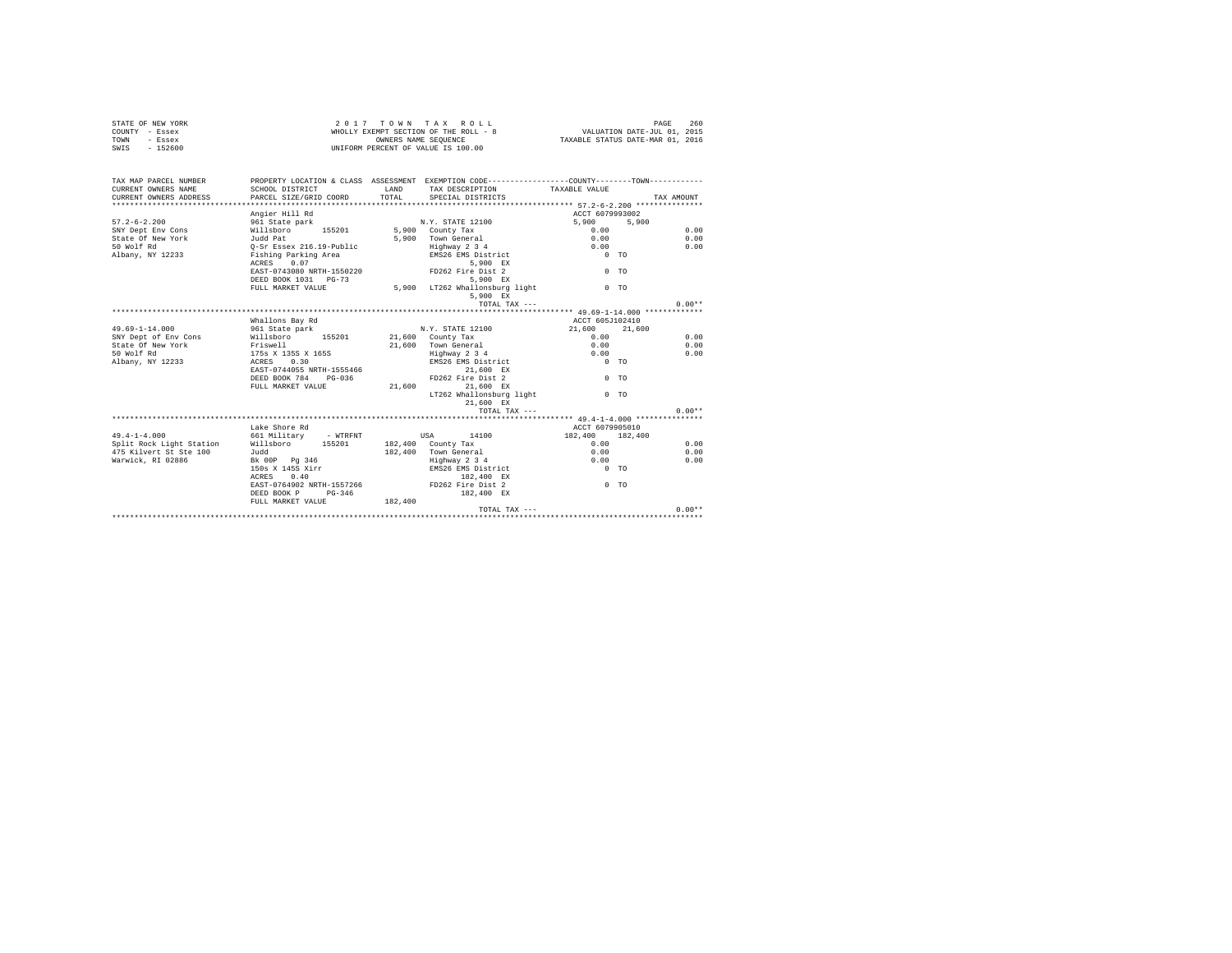| STATE OF NEW YORK                       |                                                                                               |         | 2017 TOWN TAX ROLL                                         |                                                                 | PAGE<br>260 |
|-----------------------------------------|-----------------------------------------------------------------------------------------------|---------|------------------------------------------------------------|-----------------------------------------------------------------|-------------|
| COUNTY - Essex<br>TOWN                  |                                                                                               |         | WHOLLY EXEMPT SECTION OF THE ROLL - 8                      | VALUATION DATE-JUL 01, 2015<br>TAXABLE STATUS DATE-MAR 01, 2016 |             |
| - Essex<br>$-152600$<br>SWIS            |                                                                                               |         | OWNERS NAME SEOUENCE<br>UNIFORM PERCENT OF VALUE IS 100.00 |                                                                 |             |
|                                         |                                                                                               |         |                                                            |                                                                 |             |
| TAX MAP PARCEL NUMBER                   | PROPERTY LOCATION & CLASS ASSESSMENT EXEMPTION CODE---------------COUNTY-------TOWN---------- |         |                                                            |                                                                 |             |
| CURRENT OWNERS NAME                     | SCHOOL DISTRICT                                                                               | LAND    | TAX DESCRIPTION                                            | TAXABLE VALUE                                                   |             |
| CURRENT OWNERS ADDRESS                  | PARCEL SIZE/GRID COORD                                                                        | TOTAL   | SPECIAL DISTRICTS                                          |                                                                 | TAX AMOUNT  |
|                                         |                                                                                               |         |                                                            |                                                                 |             |
|                                         | Angier Hill Rd                                                                                |         |                                                            | ACCT 6079993002                                                 |             |
| $57.2 - 6 - 2.200$<br>SNY Dept Env Cons | 961 State park<br>Willsboro<br>155201                                                         |         | N.Y. STATE 12100<br>5,900 County Tax                       | 5,900<br>5,900<br>0.00                                          | 0.00        |
| State Of New York                       |                                                                                               |         | 5,900 Town General                                         | 0.00                                                            | 0.00        |
| 50 Wolf Rd                              | Judd Pat<br>Q-Sr Essex 216.19-Public                                                          |         | Highway 2 3 4                                              | 0.00                                                            | 0.00        |
| Albany, NY 12233                        | Fishing Parking Area                                                                          |         | EMS26 EMS District                                         | $0$ TO                                                          |             |
|                                         | 0.07<br>ACRES                                                                                 |         | 5,900 EX                                                   |                                                                 |             |
|                                         | EAST-0743080 NRTH-1550220                                                                     |         | FD262 Fire Dist 2                                          | 0 <sub>0</sub>                                                  |             |
|                                         | DEED BOOK 1031 PG-73                                                                          |         | 5.900 EX                                                   |                                                                 |             |
|                                         | FULL MARKET VALUE                                                                             |         | 5,900 LT262 Whallonsburg light                             | 0 <sub>0</sub>                                                  |             |
|                                         |                                                                                               |         | 5,900 EX                                                   |                                                                 |             |
|                                         |                                                                                               |         | TOTAL TAX ---                                              |                                                                 | $0.00**$    |
|                                         |                                                                                               |         |                                                            |                                                                 |             |
|                                         | Whallons Bay Rd                                                                               |         |                                                            | ACCT 605J102410                                                 |             |
| $49.69 - 1 - 14.000$                    | 961 State park                                                                                |         | N.Y. STATE 12100                                           | 21,600<br>21,600                                                |             |
| SNY Dept of Env Cons                    | Willsboro<br>155201                                                                           |         | 21,600 County Tax                                          | 0.00                                                            | 0.00        |
| State Of New York                       | Friswell                                                                                      |         | 21,600 Town General                                        | 0.00                                                            | 0.00        |
| 50 Wolf Rd                              | 175s X 135S X 165S                                                                            |         | Highway 2 3 4                                              | 0.00                                                            | 0.00        |
| Albany, NY 12233                        | ACRES 0.30                                                                                    |         | EMS26 EMS District                                         | $0$ TO                                                          |             |
|                                         | EAST-0744055 NRTH-1555466                                                                     |         | 21,600 EX                                                  |                                                                 |             |
|                                         | DEED BOOK 784 PG-036                                                                          |         | FD262 Fire Dist 2                                          | $0$ TO                                                          |             |
|                                         | FULL MARKET VALUE                                                                             | 21,600  | 21,600 EX                                                  |                                                                 |             |
|                                         |                                                                                               |         | LT262 Whallonsburg light                                   | $0$ TO                                                          |             |
|                                         |                                                                                               |         | 21,600 EX                                                  |                                                                 |             |
|                                         |                                                                                               |         | TOTAL TAX ---                                              |                                                                 | $0.00**$    |
|                                         | Lake Shore Rd                                                                                 |         |                                                            | ACCT 6079905010                                                 |             |
| $49.4 - 1 - 4.000$                      | 661 Military - WTRFNT                                                                         |         | 14100<br><b>USA</b>                                        | 182,400 182,400                                                 |             |
| Split Rock Light Station Willsboro      | 155201                                                                                        |         | 182,400 County Tax                                         | 0.00                                                            | 0.00        |
| 475 Kilvert St Ste 100                  | Judd                                                                                          |         | 182.400 Town General                                       | 0.00                                                            | 0.00        |
| Warwick, RI 02886                       | Bk 00P Pg 346                                                                                 |         | Highway 2 3 4                                              | 0.00                                                            | 0.00        |
|                                         | $150s$ X $145s$ Xirr                                                                          |         | EMS26 EMS District                                         | $0$ TO                                                          |             |
|                                         | 0.40<br>ACRES                                                                                 |         | 182.400 EX                                                 |                                                                 |             |
|                                         | EAST-0764902 NRTH-1557266                                                                     |         | FD262 Fire Dist 2                                          | $0$ TO                                                          |             |
|                                         | $PG-346$<br>DEED BOOK P                                                                       |         | 182,400 EX                                                 |                                                                 |             |
|                                         | FULL MARKET VALUE                                                                             | 182,400 |                                                            |                                                                 |             |
|                                         |                                                                                               |         | TOTAL TAX $---$                                            |                                                                 | $0.00**$    |
|                                         |                                                                                               |         |                                                            |                                                                 |             |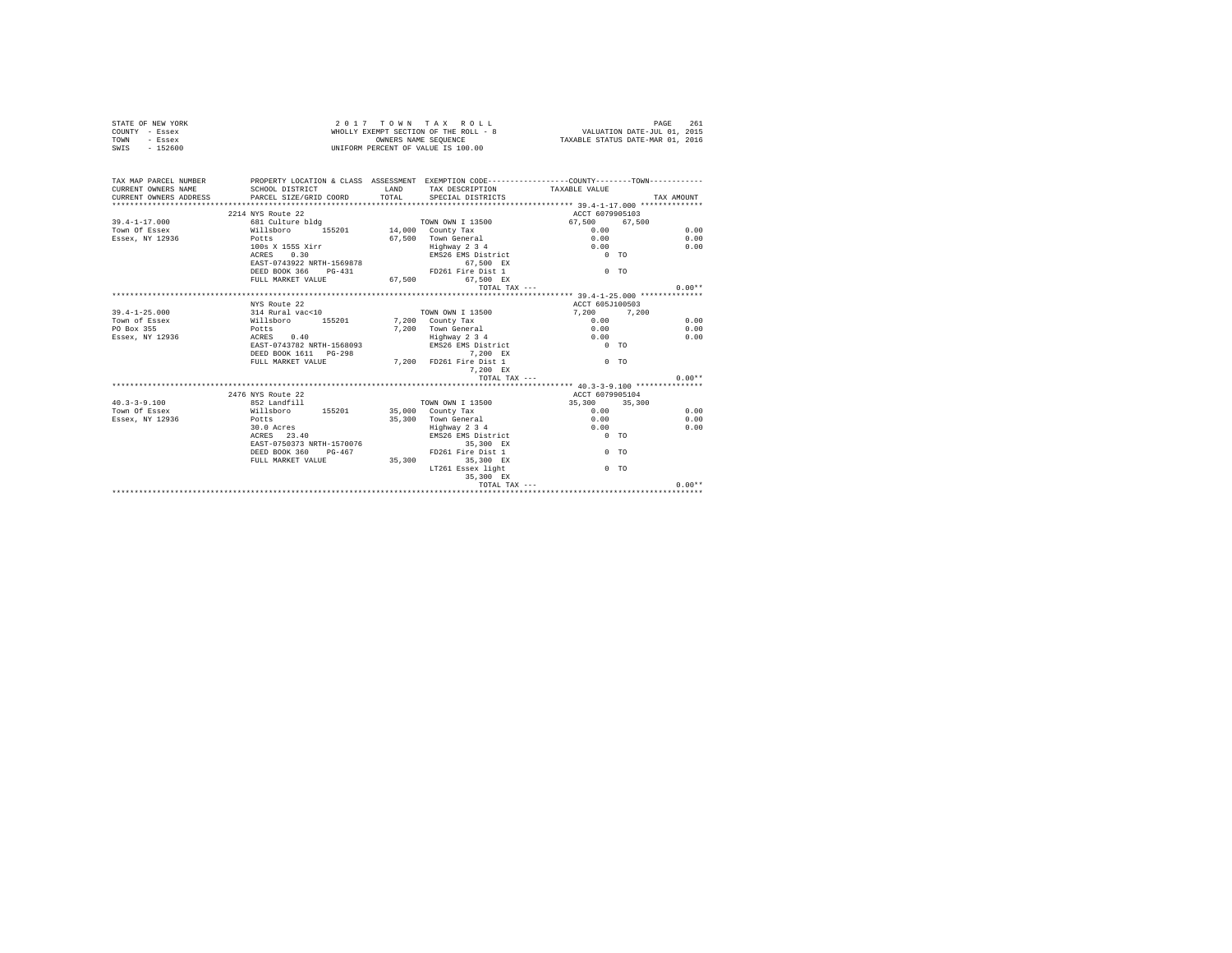| STATE OF NEW YORK     | 2017 TOWN TAX ROLL                                                                           | 261<br>PAGE                      |
|-----------------------|----------------------------------------------------------------------------------------------|----------------------------------|
| COUNTY - Essex        | WHOLLY EXEMPT SECTION OF THE ROLL - 8                                                        | VALUATION DATE-JUL 01, 2015      |
| TOWN<br>- Essex       | OWNERS NAME SEOUENCE                                                                         | TAXABLE STATUS DATE-MAR 01, 2016 |
| $-152600$<br>SWIS     | UNIFORM PERCENT OF VALUE IS 100.00                                                           |                                  |
|                       |                                                                                              |                                  |
|                       |                                                                                              |                                  |
|                       |                                                                                              |                                  |
| TAX MAP PARCEL NUMBER | PROPERTY LOCATION & CLASS ASSESSMENT EXEMPTION CODE---------------COUNTY-------TOWN--------- |                                  |

| CURRENT OWNERS NAME    | SCHOOL DISTRICT           | <b>T.AND</b> | TAX DESCRIPTION         | TAXABLE VALUE   |                |            |
|------------------------|---------------------------|--------------|-------------------------|-----------------|----------------|------------|
| CURRENT OWNERS ADDRESS | PARCEL SIZE/GRID COORD    | TOTAL        | SPECIAL DISTRICTS       |                 |                | TAX AMOUNT |
|                        |                           |              |                         |                 |                |            |
|                        | 2214 NYS Route 22         |              |                         | ACCT 6079905103 |                |            |
| $39.4 - 1 - 17.000$    | 681 Culture bldg          |              | <b>TOWN OWN I 13500</b> | 67.500 67.500   |                |            |
| Town Of Essex          | 155201<br>Willsboro       |              | 14,000 County Tax       | 0.00            |                | 0.00       |
| Essex, NY 12936        | Potts                     |              | 67.500 Town General     | 0.00            |                | 0.00       |
|                        | 100s X 155S Xirr          |              | Highway 2 3 4           | 0.00            |                | 0.00       |
|                        | ACRES 0.30                |              | EMS26 EMS District      | $0$ TO          |                |            |
|                        | EAST-0743922 NRTH-1569878 |              | 67.500 EX               |                 |                |            |
|                        | DEED BOOK 366 PG-431      |              | FD261 Fire Dist 1       |                 | $0$ TO         |            |
|                        | FULL MARKET VALUE         | 67.500       | 67.500 EX               |                 |                |            |
|                        |                           |              | TOTAL TAX ---           |                 |                | $0.00**$   |
|                        |                           |              |                         |                 |                |            |
|                        | NYS Route 22              |              |                         | ACCT 605J100503 |                |            |
| $39.4 - 1 - 25.000$    | 314 Rural vac<10          |              | TOWN OWN I 13500        | 7.200           | 7.200          |            |
| Town of Essex          | Willsboro<br>155201       |              | 7.200 County Tax        | 0.00            |                | 0.00       |
| PO Box 355             | Potts                     |              | 7.200 Town General      | 0.00            |                | 0.00       |
| Essex, NY 12936        | ACRES 0.40                |              | Highway 2 3 4           | 0.00            |                | 0.00       |
|                        | EAST-0743782 NRTH-1568093 |              | EMS26 EMS District      | $0$ TO          |                |            |
|                        | DEED BOOK 1611 PG-298     |              | 7.200 EX                |                 |                |            |
|                        | FULL MARKET VALUE         |              | 7.200 FD261 Fire Dist 1 |                 | $0$ TO         |            |
|                        |                           |              | 7.200 EX                |                 |                |            |
|                        |                           |              | TOTAL TAX ---           |                 |                | $0.00**$   |
|                        |                           |              |                         |                 |                |            |
|                        | 2476 NYS Route 22         |              |                         | ACCT 6079905104 |                |            |
| $40.3 - 3 - 9.100$     | 852 Landfill              |              | TOWN OWN I 13500        | 35,300 35,300   |                |            |
| Town Of Essex          | Willsboro 155201          |              | 35,000 County Tax       | 0.00            |                | 0.00       |
| Essex, NY 12936        | Potts                     |              | 35.300 Town General     | 0.00            |                | 0.00       |
|                        | 30.0 Acres                |              | Highway 2 3 4           | 0.00            |                | 0.00       |
|                        | ACRES 23.40               |              | EMS26 EMS District      |                 | 0 <sub>0</sub> |            |
|                        | EAST-0750373 NRTH-1570076 |              | 35,300 EX               |                 |                |            |
|                        | DEED BOOK 360<br>$PG-467$ |              | FD261 Fire Dist 1       |                 | $0$ TO         |            |
|                        | FULL MARKET VALUE         | 35,300       | 35,300 EX               |                 |                |            |
|                        |                           |              | LT261 Essex light       |                 | $0$ TO         |            |
|                        |                           |              | 35,300 EX               |                 |                |            |
|                        |                           |              | TOTAL TAX ---           |                 |                | $0.00**$   |
|                        |                           |              |                         |                 |                |            |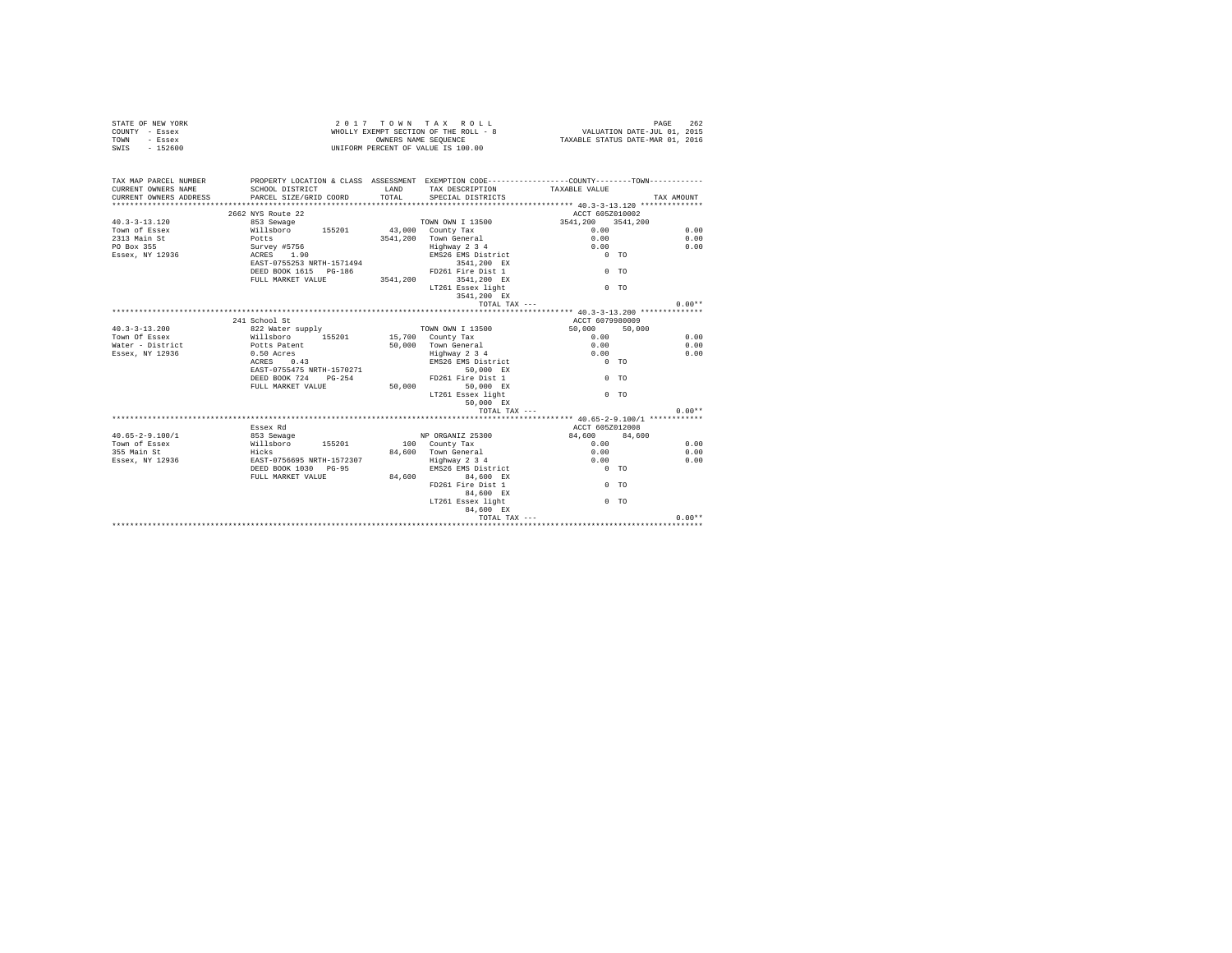| COUNTY - Essex<br>TOWN<br>- Essex<br>$-152600$<br>SWTS | WHOLLY EXEMPT SECTION OF THE ROLL - 8<br>OWNERS NAME SEOUENCE<br>UNIFORM PERCENT OF VALUE IS 100.00                                                                                 |          |                                                                                           | VALUATION DATE-JUL 01, 2015<br>TAXABLE STATUS DATE-MAR 01, 2016                               |            |
|--------------------------------------------------------|-------------------------------------------------------------------------------------------------------------------------------------------------------------------------------------|----------|-------------------------------------------------------------------------------------------|-----------------------------------------------------------------------------------------------|------------|
|                                                        |                                                                                                                                                                                     |          |                                                                                           |                                                                                               |            |
| TAX MAP PARCEL NUMBER                                  |                                                                                                                                                                                     |          |                                                                                           | PROPERTY LOCATION & CLASS ASSESSMENT EXEMPTION CODE----------------COUNTY-------TOWN--------- |            |
| CURRENT OWNERS NAME                                    | SCHOOL DISTRICT                                                                                                                                                                     | LAND     | TAX DESCRIPTION                                                                           | TAXABLE VALUE                                                                                 |            |
| CURRENT OWNERS ADDRESS                                 | PARCEL SIZE/GRID COORD                                                                                                                                                              | TOTAL    | SPECIAL DISTRICTS                                                                         |                                                                                               | TAX AMOUNT |
|                                                        | ****************************                                                                                                                                                        |          |                                                                                           | ****************** 40.3-3-13.120 **************                                               |            |
|                                                        | 2662 NYS Route 22                                                                                                                                                                   |          |                                                                                           | ACCT 605Z010002                                                                               |            |
| $40.3 - 3 - 13.120$                                    | 853 Sewage                                                                                                                                                                          |          | TOWN OWN I 13500                                                                          | 3541,200 3541,200                                                                             |            |
| Town of Essex                                          |                                                                                                                                                                                     |          |                                                                                           | 0.00                                                                                          | 0.00       |
| 2313 Main St                                           | 01118boro 155201 43,000 County Tax<br>Potts 1.90 County Tax<br>Survey #5756 3541,200 Town General<br>Survey #5756 3141,200 Highway 2 3<br>RAST-0755253 NRTH-1571494 EMS26 EMS Dist. |          | 3541,200 Town General                                                                     | 0.00                                                                                          | 0.00       |
| PO Box 355<br>Essex, NY 12936                          |                                                                                                                                                                                     |          | Highway 2 3 4<br>EMS26 EMS District                                                       | 0.00<br>$0$ TO                                                                                | 0.00       |
|                                                        |                                                                                                                                                                                     |          | 3541,200 EX                                                                               |                                                                                               |            |
|                                                        | DEED BOOK 1615 PG-186                                                                                                                                                               |          | FD261 Fire Dist 1                                                                         | $0$ TO                                                                                        |            |
|                                                        | FULL MARKET VALUE                                                                                                                                                                   | 3541,200 | 3541,200 EX                                                                               |                                                                                               |            |
|                                                        |                                                                                                                                                                                     |          | LT261 Essex light                                                                         | 0 <sub>0</sub>                                                                                |            |
|                                                        |                                                                                                                                                                                     |          | 3541.200 EX                                                                               |                                                                                               |            |
|                                                        |                                                                                                                                                                                     |          | TOTAL TAX ---                                                                             |                                                                                               | $0.00**$   |
|                                                        |                                                                                                                                                                                     |          |                                                                                           |                                                                                               |            |
|                                                        | 241 School St                                                                                                                                                                       |          |                                                                                           | ACCT 6079980009                                                                               |            |
| $40.3 - 3 - 13.200$                                    |                                                                                                                                                                                     |          | TOWN OWN I 13500                                                                          | 50,000<br>50,000                                                                              |            |
| Town Of Essex                                          | 822 Water supply<br>Willsboro 155201                                                                                                                                                |          | 15,700 County Tax                                                                         | 0.00                                                                                          | 0.00       |
| Water - District                                       | Potts Patent                                                                                                                                                                        |          | 50,000 Town General                                                                       | 0.00                                                                                          | 0.00       |
| Essex, NY 12936                                        | 0.50 Acres                                                                                                                                                                          |          | Highway 2 3 4                                                                             | 0.00                                                                                          | 0.00       |
|                                                        | 0.43<br>ACRES                                                                                                                                                                       |          | EMS26 EMS District                                                                        | $0$ TO                                                                                        |            |
|                                                        | EAST-0755475 NRTH-1570271                                                                                                                                                           |          | 50,000 EX                                                                                 |                                                                                               |            |
|                                                        | DEED BOOK 724 PG-254                                                                                                                                                                |          | FD261 Fire Dist 1                                                                         | 0 <sub>0</sub>                                                                                |            |
|                                                        | FULL MARKET VALUE                                                                                                                                                                   |          | 50,000 50,000 EX                                                                          |                                                                                               |            |
|                                                        |                                                                                                                                                                                     |          | LT261 Essex light                                                                         | $0$ TO                                                                                        |            |
|                                                        |                                                                                                                                                                                     |          | 50.000 EX                                                                                 |                                                                                               |            |
|                                                        |                                                                                                                                                                                     |          | TOTAL TAX ---                                                                             |                                                                                               | $0.00**$   |
|                                                        |                                                                                                                                                                                     |          |                                                                                           | ********************* 40.65-2-9.100/1 ************                                            |            |
|                                                        | Essex Rd                                                                                                                                                                            |          |                                                                                           | ACCT 605Z012008                                                                               |            |
| $40.65 - 2 - 9.100/1$                                  |                                                                                                                                                                                     |          | NP ORGANIZ 25300                                                                          | 84,600 84,600                                                                                 |            |
| Town of Essex                                          |                                                                                                                                                                                     |          | 100 County Tax                                                                            | 0.00                                                                                          | 0.00       |
| 355 Main St                                            |                                                                                                                                                                                     |          | 84,600 Town General                                                                       | 0.00                                                                                          | 0.00       |
| Essex, NY 12936                                        |                                                                                                                                                                                     |          | Highway 2 3 4                                                                             | 0.00                                                                                          | 0.00       |
|                                                        | DEED BOOK 1030 PG-95                                                                                                                                                                |          |                                                                                           | EMS26 EMS District 0 TO                                                                       |            |
|                                                        | FULL MARKET VALUE                                                                                                                                                                   |          | 84,600 84,600 EX                                                                          |                                                                                               |            |
|                                                        |                                                                                                                                                                                     |          | FD261 Fire Dist 1<br>84,600 EX                                                            | $0$ TO                                                                                        |            |
|                                                        |                                                                                                                                                                                     |          | LT261 Essex light<br>84.600 EX                                                            | 0 <sub>0</sub>                                                                                |            |
|                                                        |                                                                                                                                                                                     |          | $\begin{minipage}{.4\linewidth} \texttt{TOTAL} \texttt{ TAX} \texttt{---} \end{minipage}$ |                                                                                               | $0.00**$   |
|                                                        |                                                                                                                                                                                     |          |                                                                                           |                                                                                               |            |

STATE OF NEW YORK 262 COLL CONDUCTED A COLL CONDUCTED A COLL CONDUCTED A COLL CONDUCTED A COLL CONDUCTED AND RAGE 262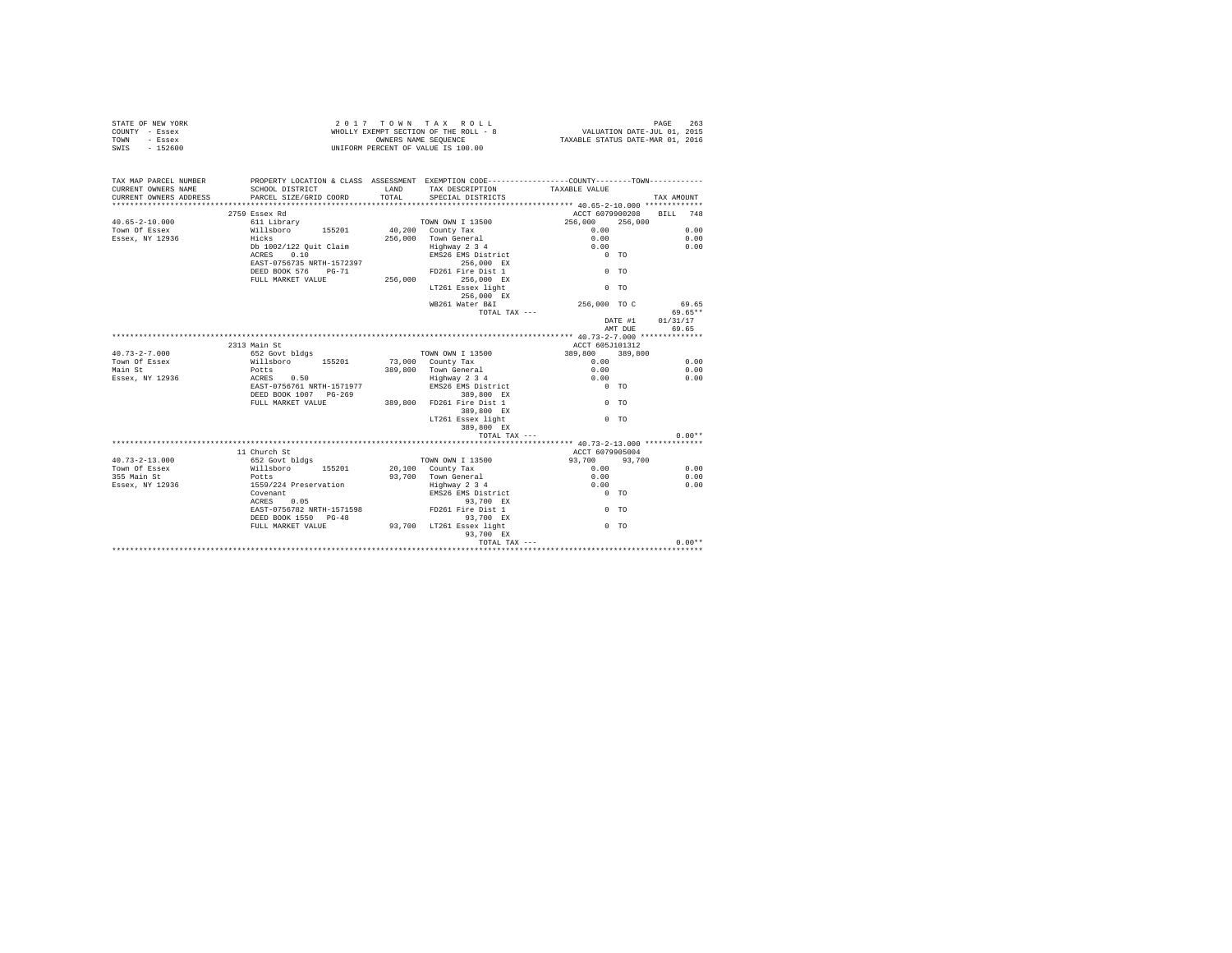|                | STATE OF NEW YORK | 2017 TOWN TAX ROLL                    |  |                      |  |  |  |                                  | PAGE 263                    |  |
|----------------|-------------------|---------------------------------------|--|----------------------|--|--|--|----------------------------------|-----------------------------|--|
| COUNTY - Essex |                   | WHOLLY EXEMPT SECTION OF THE ROLL - 8 |  |                      |  |  |  |                                  | VALUATION DATE-JUL 01, 2015 |  |
| TOWN           | - Essex           |                                       |  | OWNERS NAME SEOUENCE |  |  |  | TAXABLE STATUS DATE-MAR 01, 2016 |                             |  |
| SWIS           | $-152600$         | UNIFORM PERCENT OF VALUE IS 100.00    |  |                      |  |  |  |                                  |                             |  |

| TAX MAP PARCEL NUMBER<br>CURRENT OWNERS NAME<br>CURRENT OWNERS ADDRESS | PROPERTY LOCATION & CLASS ASSESSMENT EXEMPTION CODE---------------COUNTY-------TOWN---------<br>SCHOOL DISTRICT<br>PARCEL SIZE/GRID COORD | LAND<br>TOTAL. | TAX DESCRIPTION TAXABLE VALUE<br>SPECIAL DISTRICTS |                 |         | TAX AMOUNT               |
|------------------------------------------------------------------------|-------------------------------------------------------------------------------------------------------------------------------------------|----------------|----------------------------------------------------|-----------------|---------|--------------------------|
|                                                                        |                                                                                                                                           |                |                                                    |                 |         |                          |
|                                                                        | 2759 Essex Rd                                                                                                                             |                |                                                    |                 |         | ACCT 6079900208 BILL 748 |
| $40.65 - 2 - 10.000$                                                   | 611 Librarv                                                                                                                               |                | TOWN OWN I 13500                                   | 256,000         | 256,000 |                          |
| Town Of Essex                                                          |                                                                                                                                           |                | 40,200 County Tax                                  | 0.00            |         | 0.00                     |
| Essex, NY 12936                                                        | Willsboro 155201<br>Hicks                                                                                                                 |                | 256,000 Town General                               | 0.00            |         | 0.00                     |
|                                                                        | Db 1002/122 Quit Claim                                                                                                                    |                | Highway 2 3 4                                      | 0.00            |         | 0.00                     |
|                                                                        | ACRES 0.10                                                                                                                                |                | EMS26 EMS District                                 | $0$ TO          |         |                          |
|                                                                        | EAST-0756735 NRTH-1572397                                                                                                                 |                | 256,000 EX                                         |                 |         |                          |
|                                                                        | DEED BOOK 576 PG-71                                                                                                                       |                | FD261 Fire Dist 1                                  | $0$ TO          |         |                          |
|                                                                        | FULL MARKET VALUE                                                                                                                         | 256,000        | 256,000 EX                                         |                 |         |                          |
|                                                                        |                                                                                                                                           |                | LT261 Essex light                                  | $0$ TO          |         |                          |
|                                                                        |                                                                                                                                           |                | 256.000 EX                                         |                 |         |                          |
|                                                                        |                                                                                                                                           |                | WB261 Water B&I                                    | 256,000 TO C    |         | 69.65                    |
|                                                                        |                                                                                                                                           |                | TOTAL TAX ---                                      |                 |         | 69.65**                  |
|                                                                        |                                                                                                                                           |                |                                                    |                 | DATE #1 | 01/31/17                 |
|                                                                        |                                                                                                                                           |                |                                                    |                 | AMT DUE | 69.65                    |
|                                                                        |                                                                                                                                           |                |                                                    |                 |         |                          |
|                                                                        | 2313 Main St                                                                                                                              |                |                                                    | ACCT 605J101312 |         |                          |
| $40.73 - 2 - 7.000$                                                    | 652 Govt bldgs                                                                                                                            |                | TOWN OWN I 13500                                   | 389,800         | 389,800 |                          |
| Town Of Essex                                                          |                                                                                                                                           |                | 73,000 County Tax                                  | 0.00            |         | 0.00                     |
| Main St                                                                | Willsboro 155201<br>Potts                                                                                                                 |                | 389.800 Town General                               | 0.00            |         | 0.00                     |
| Essex, NY 12936                                                        | ACRES 0.50                                                                                                                                |                |                                                    | 0.00            |         | 0.00                     |
|                                                                        | EAST-0756761 NRTH-1571977                                                                                                                 |                | Highway 2 3 4<br>EMS26 EMS District                | $0$ TO          |         |                          |
|                                                                        | DEED BOOK 1007 PG-269                                                                                                                     |                | 389,800 EX                                         |                 |         |                          |
|                                                                        | FULL MARKET VALUE                                                                                                                         |                | 389,800 FD261 Fire Dist 1                          | $0$ TO          |         |                          |
|                                                                        |                                                                                                                                           |                | 389,800 EX                                         |                 |         |                          |
|                                                                        |                                                                                                                                           |                | LT261 Essex light                                  | 0 <sub>0</sub>  |         |                          |
|                                                                        |                                                                                                                                           |                | 389,800 EX                                         |                 |         |                          |
|                                                                        |                                                                                                                                           |                | TOTAL TAX ---                                      |                 |         | $0.00**$                 |
|                                                                        |                                                                                                                                           |                |                                                    |                 |         |                          |
|                                                                        | 11 Church St                                                                                                                              |                |                                                    | ACCT 6079905004 |         |                          |
| $40.73 - 2 - 13.000$                                                   | 652 Govt bldgs                                                                                                                            |                | TOWN OWN I 13500                                   | 93,700 93,700   |         |                          |
| Town Of Essex                                                          |                                                                                                                                           |                | 20,100 County Tax                                  | 0.00            |         | 0.00                     |
| 355 Main St                                                            | Willsboro 155201<br>Potts                                                                                                                 |                | 93.700 Town General                                | 0.00            |         | 0.00                     |
| Essex, NY 12936                                                        | 1559/224 Preservation                                                                                                                     |                | Highway 2 3 4                                      | 0.00            |         | 0.00                     |
|                                                                        | Covenant                                                                                                                                  |                | EMS26 EMS District                                 | $0$ TO          |         |                          |
|                                                                        | ACRES 0.05                                                                                                                                |                | 93,700 EX                                          |                 |         |                          |
|                                                                        | EAST-0756782 NRTH-1571598                                                                                                                 |                | FD261 Fire Dist 1                                  | 0 <sub>0</sub>  |         |                          |
|                                                                        | DEED BOOK 1550 PG-48                                                                                                                      |                | 93.700 EX                                          |                 |         |                          |
|                                                                        | FULL MARKET VALUE                                                                                                                         |                | 93,700 LT261 Essex light                           | 0 <sub>0</sub>  |         |                          |
|                                                                        |                                                                                                                                           |                | 93,700 EX                                          |                 |         |                          |
|                                                                        |                                                                                                                                           |                | TOTAL TAX ---                                      |                 |         | $0.00**$                 |
|                                                                        |                                                                                                                                           |                |                                                    |                 |         |                          |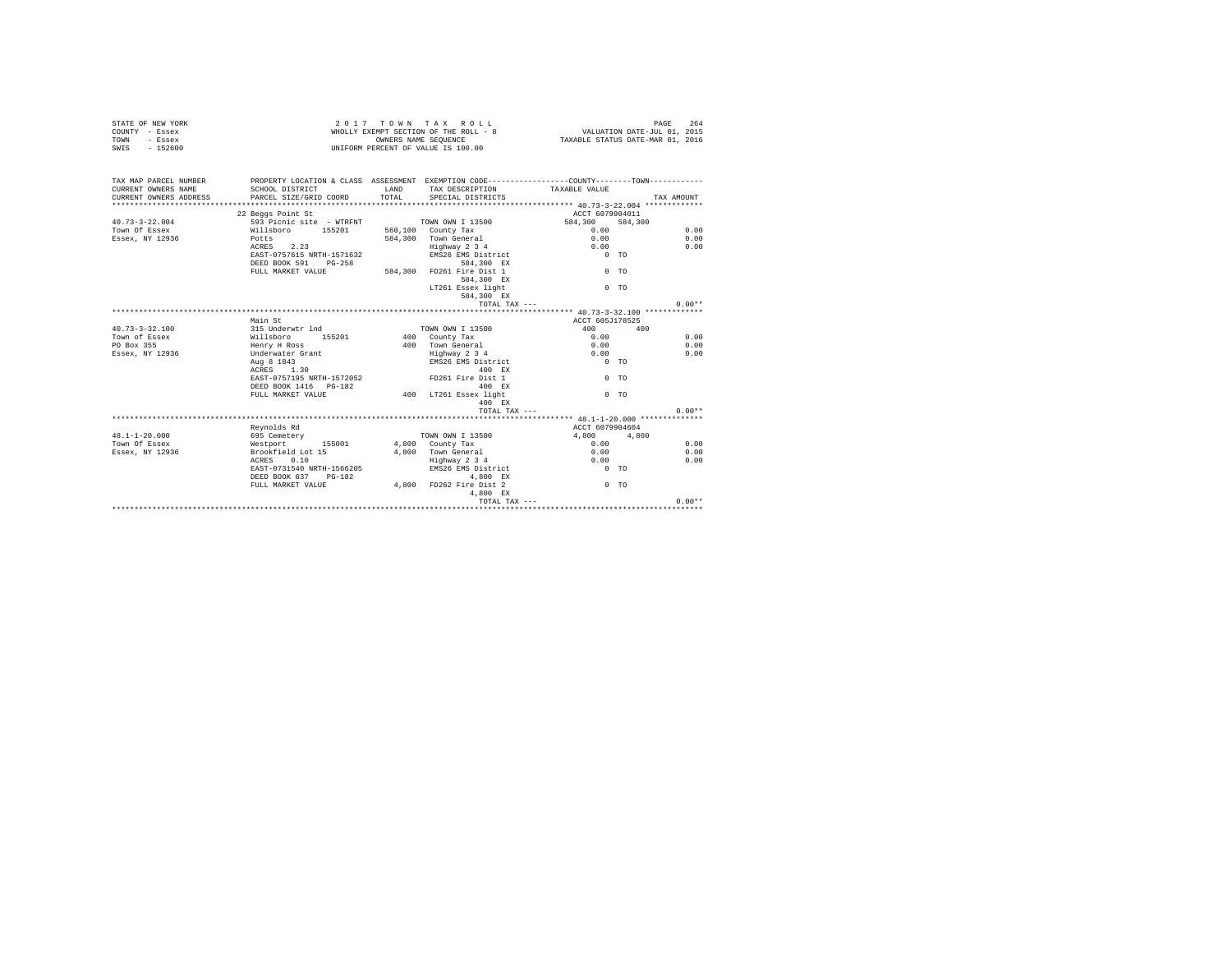| STATE OF NEW YORK<br>COUNTY - Essex<br>TOWN<br>- Essex<br>$-152600$<br>SWIS |                                                                                                                                             |                        | 2017 TOWN TAX ROLL<br>WHOLLY EXEMPT SECTION OF THE ROLL - 8<br>WHOLLY EXEMPT SECTION OF THE ROLL - 8<br>ONNERS NAME SECUENCE TAXABLE STATUS DATE-MAR 01, 2016<br>UNIFORM PERCENT OF VALUE IS 100.00 |                    | PAGE<br>264 |
|-----------------------------------------------------------------------------|---------------------------------------------------------------------------------------------------------------------------------------------|------------------------|-----------------------------------------------------------------------------------------------------------------------------------------------------------------------------------------------------|--------------------|-------------|
| TAX MAP PARCEL NUMBER<br>CURRENT OWNERS NAME<br>CURRENT OWNERS ADDRESS      | PROPERTY LOCATION & CLASS ASSESSMENT EXEMPTION CODE---------------COUNTY--------TOWN----------<br>SCHOOL DISTRICT<br>PARCEL SIZE/GRID COORD | <b>T.AND</b><br>TOTAL. | TAX DESCRIPTION<br>SPECIAL DISTRICTS                                                                                                                                                                | TAXABLE VALUE      | TAX AMOUNT  |
|                                                                             |                                                                                                                                             |                        |                                                                                                                                                                                                     |                    |             |
|                                                                             | 22 Beggs Point St                                                                                                                           |                        |                                                                                                                                                                                                     | ACCT 6079904011    |             |
| $40.73 - 3 - 22.004$                                                        | 593 Picnic site - WTRFNT                                                                                                                    |                        | TOWN OWN I 13500                                                                                                                                                                                    | 584,300<br>584,300 |             |
| Town Of Essex                                                               | Willshoro 155201                                                                                                                            |                        | 560,100 County Tax                                                                                                                                                                                  | 0.00               | 0.00        |
| Essex, NY 12936                                                             | Potts                                                                                                                                       |                        | 584.300 Town General                                                                                                                                                                                | 0.00               | 0.00        |
|                                                                             | ACRES 2.23                                                                                                                                  |                        | Highway 2 3 4                                                                                                                                                                                       | 0.00               | 0.00        |
|                                                                             | EAST-0757615 NRTH-1571632                                                                                                                   |                        | EMS26 EMS District                                                                                                                                                                                  | $0$ TO             |             |
|                                                                             | DEED BOOK 591 PG-258                                                                                                                        |                        | 584,300 EX                                                                                                                                                                                          |                    |             |
|                                                                             | FULL MARKET VALUE                                                                                                                           |                        | 584,300 FD261 Fire Dist 1                                                                                                                                                                           | 0 <sub>0</sub>     |             |
|                                                                             |                                                                                                                                             |                        | 584,300 EX                                                                                                                                                                                          |                    |             |
|                                                                             |                                                                                                                                             |                        | LT261 Essex light                                                                                                                                                                                   | 0 <sub>0</sub>     |             |
|                                                                             |                                                                                                                                             |                        | 584,300 EX                                                                                                                                                                                          |                    |             |
|                                                                             |                                                                                                                                             |                        | TOTAL TAX ---                                                                                                                                                                                       |                    | $0.00**$    |
|                                                                             |                                                                                                                                             |                        |                                                                                                                                                                                                     |                    |             |
|                                                                             | Main St                                                                                                                                     |                        |                                                                                                                                                                                                     | ACCT 605J178525    |             |
| $40.73 - 3 - 32.100$                                                        | 315 Underwtr 1nd                                                                                                                            |                        | TOWN OWN I 13500                                                                                                                                                                                    | 400                | 400         |
| Town of Essex                                                               | Willsboro 155201                                                                                                                            |                        | 400 County Tax                                                                                                                                                                                      | 0.00               | 0.00        |
| PO Box 355                                                                  | Henry H Ross                                                                                                                                |                        | 400 Town General                                                                                                                                                                                    | 0.00               | 0.00        |
| Essex, NY 12936                                                             | Underwater Grant                                                                                                                            |                        | Highway 2 3 4                                                                                                                                                                                       | 0.00               | 0.00        |
|                                                                             | Aug 8 1843                                                                                                                                  |                        | EMS26 EMS District                                                                                                                                                                                  | $0$ TO             |             |
|                                                                             | ACRES 1.30                                                                                                                                  |                        | 400 RX                                                                                                                                                                                              |                    |             |
|                                                                             | EAST-0757195 NRTH-1572052                                                                                                                   |                        | FD261 Fire Dist 1                                                                                                                                                                                   | 0 <sub>0</sub>     |             |
|                                                                             | DEED BOOK 1416   PG-182                                                                                                                     |                        | 400 RX                                                                                                                                                                                              |                    |             |
|                                                                             | FULL MARKET VALUE                                                                                                                           |                        | 400 LT261 Essex light                                                                                                                                                                               | $0$ TO             |             |
|                                                                             |                                                                                                                                             |                        | 400 EX                                                                                                                                                                                              |                    |             |
|                                                                             |                                                                                                                                             |                        | TOTAL TAX ---                                                                                                                                                                                       |                    | $0.00**$    |
|                                                                             |                                                                                                                                             |                        |                                                                                                                                                                                                     |                    |             |
|                                                                             | Revnolds Rd                                                                                                                                 |                        |                                                                                                                                                                                                     | ACCT 6079904604    |             |
| $48.1 - 1 - 20.000$                                                         | 695 Cemetery                                                                                                                                |                        | TOWN OWN I 13500                                                                                                                                                                                    | 4.800              | 4,800       |
| Town Of Essex                                                               | Westport 155001                                                                                                                             |                        | 4,800 County Tax                                                                                                                                                                                    | 0.00               | 0.00        |
| Essex, NY 12936                                                             | Brookfield Lot 15                                                                                                                           |                        | 4,800 Town General                                                                                                                                                                                  | 0.00               | 0.00        |
|                                                                             | ACRES 0.10                                                                                                                                  |                        | Highway 2 3 4                                                                                                                                                                                       | 0.00               | 0.00        |
|                                                                             | EAST-0731540 NRTH-1566205                                                                                                                   |                        | EMS26 EMS District                                                                                                                                                                                  | $0$ TO             |             |
|                                                                             | DEED BOOK 637 PG-182                                                                                                                        |                        | 4,800 EX                                                                                                                                                                                            |                    |             |
|                                                                             | FULL MARKET VALUE                                                                                                                           |                        | 4,800 FD262 Fire Dist 2                                                                                                                                                                             | 0 <sub>0</sub>     |             |
|                                                                             |                                                                                                                                             |                        | 4.800 EX                                                                                                                                                                                            |                    |             |
|                                                                             |                                                                                                                                             |                        | TOTAL TAX $---$                                                                                                                                                                                     |                    | $0.00**$    |
|                                                                             |                                                                                                                                             |                        |                                                                                                                                                                                                     |                    |             |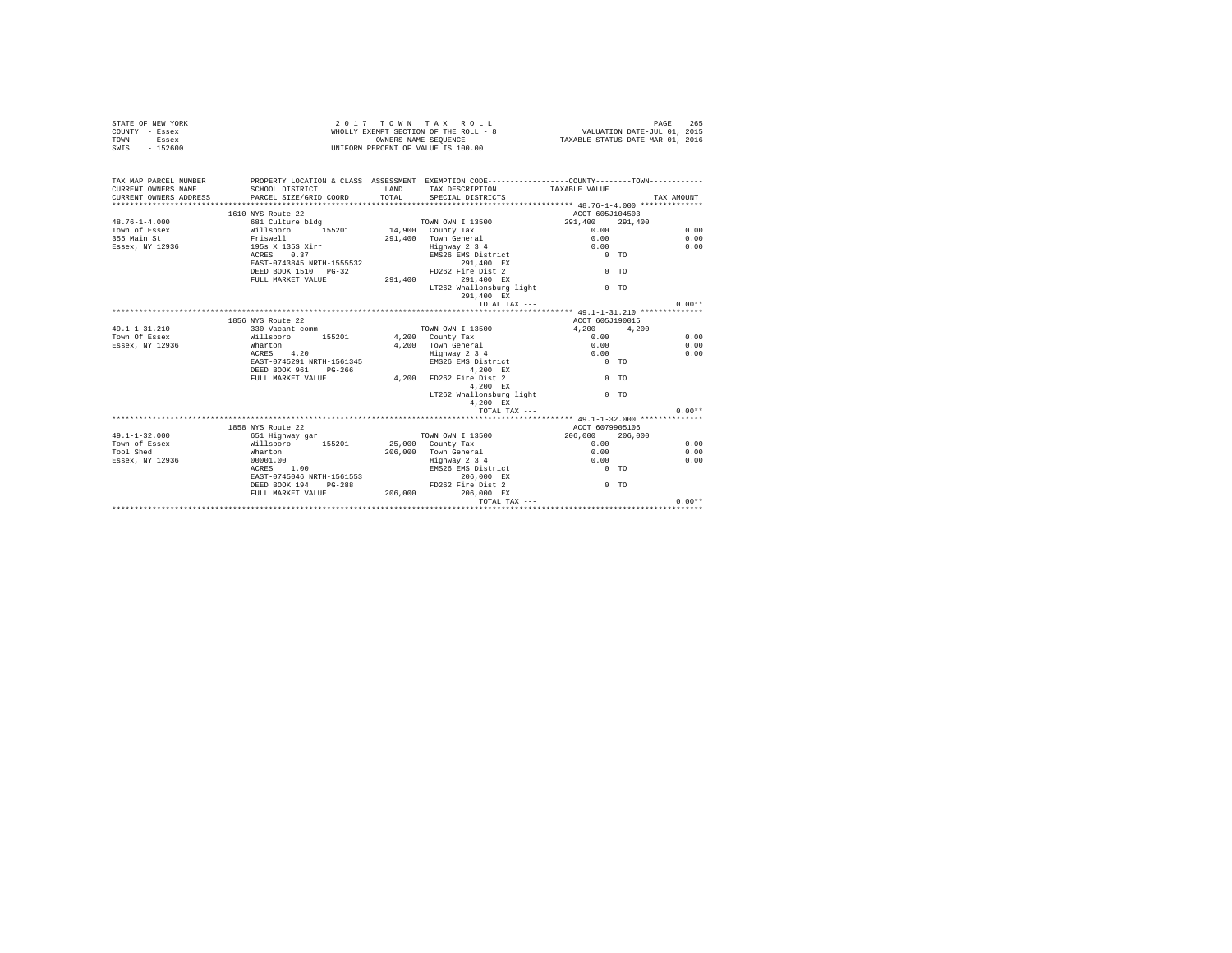| COUNTY - Essex<br>- Essex<br>TOWN<br>SWIS<br>$-152600$ | WHOLLY EXEMPT SECTION OF THE ROLL - 8<br>OWNERS NAME SEOUENCE<br>UNIFORM PERCENT OF VALUE IS 100.00 |         |                                                                                             | VALUATION DATE-JUL 01, 2015<br>TAXABLE STATUS DATE-MAR 01, 2016 |            |
|--------------------------------------------------------|-----------------------------------------------------------------------------------------------------|---------|---------------------------------------------------------------------------------------------|-----------------------------------------------------------------|------------|
|                                                        |                                                                                                     |         |                                                                                             |                                                                 |            |
| TAX MAP PARCEL NUMBER                                  | PROPERTY LOCATION & CLASS ASSESSMENT EXEMPTION CODE----------------COUNTY-------TOWN---------       |         |                                                                                             |                                                                 |            |
| CURRENT OWNERS NAME                                    | SCHOOL DISTRICT                                                                                     | LAND    | TAX DESCRIPTION                                                                             | TAXABLE VALUE                                                   |            |
| CURRENT OWNERS ADDRESS                                 | PARCEL SIZE/GRID COORD                                                                              | TOTAL   | SPECIAL DISTRICTS                                                                           |                                                                 | TAX AMOUNT |
|                                                        |                                                                                                     |         |                                                                                             |                                                                 |            |
|                                                        | 1610 NYS Route 22                                                                                   |         |                                                                                             | ACCT 605J104503                                                 |            |
| $48.76 - 1 - 4.000$                                    | 681 Culture bldg<br>Willsboro 155201                                                                |         | TOWN OWN I 13500<br>14,900 County Tax<br>TOWN OWN I 13500                                   | 291,400<br>291,400                                              |            |
| Town of Essex                                          |                                                                                                     |         |                                                                                             | 0.00                                                            | 0.00       |
| 355 Main St                                            | Friswell<br>195s X 135S Xirr                                                                        |         | 291,400 Town General                                                                        | 0.00                                                            | 0.00       |
| Essex, NY 12936                                        | ACRES 0.37                                                                                          |         | Highway 2 3 4<br>EMS26 EMS District                                                         | 0.00<br>$0$ TO                                                  | 0.00       |
|                                                        | EAST-0743845 NRTH-1555532                                                                           |         | 291,400 EX                                                                                  |                                                                 |            |
|                                                        | DEED BOOK 1510 PG-32                                                                                |         | FD262 Fire Dist 2                                                                           | 0 <sub>0</sub>                                                  |            |
|                                                        | FULL MARKET VALUE                                                                                   | 291,400 | 291,400 EX                                                                                  |                                                                 |            |
|                                                        |                                                                                                     |         | LT262 Whallonsburg light                                                                    | $0$ TO                                                          |            |
|                                                        |                                                                                                     |         | 291,400 EX                                                                                  |                                                                 |            |
|                                                        |                                                                                                     |         | TOTAL TAX ---                                                                               |                                                                 | $0.00**$   |
|                                                        |                                                                                                     |         |                                                                                             |                                                                 |            |
|                                                        | 1856 NYS Route 22                                                                                   |         |                                                                                             | ACCT 605J190015                                                 |            |
| 49.1-1-31.210                                          | 330 Vacant comm                                                                                     |         | TOWN OWN I 13500                                                                            | 4,200<br>4,200                                                  |            |
| Town Of Essex                                          | Willsboro 155201 4,200 County Tax                                                                   |         |                                                                                             | 0.00                                                            | 0.00       |
| Essex, NY 12936                                        | Wharton                                                                                             |         | 4,200 Town General                                                                          | 0.00                                                            | 0.00       |
|                                                        | ACRES 4.20                                                                                          |         | Highway 2 3 4<br>EMS26 EMS District                                                         | 0.00                                                            | 0.00       |
|                                                        | EAST-0745291 NRTH-1561345                                                                           |         |                                                                                             | $0$ TO                                                          |            |
|                                                        | DEED BOOK 961 PG-266                                                                                |         | 4,200 EX                                                                                    |                                                                 |            |
|                                                        | FULL MARKET VALUE                                                                                   |         | 4.200 FD262 Fire Dist 2                                                                     | 0 <sub>0</sub>                                                  |            |
|                                                        |                                                                                                     |         | 4.200 EX<br>LT262 Whallonsburg light                                                        |                                                                 |            |
|                                                        |                                                                                                     |         | 4.200 EX                                                                                    | 0 <sub>0</sub>                                                  |            |
|                                                        |                                                                                                     |         | TOTAL TAX ---                                                                               |                                                                 | $0.00**$   |
|                                                        |                                                                                                     |         |                                                                                             |                                                                 |            |
|                                                        | 1858 NYS Route 22                                                                                   |         |                                                                                             | ACCT 6079905106                                                 |            |
| $49.1 - 1 - 32.000$                                    | 651 Highway gar                                                                                     |         | TOWN OWN I 13500                                                                            | 206.000 206.000                                                 |            |
| Town of Essex                                          | Willsboro 155201                                                                                    |         | 25,000 County Tax                                                                           | 0.00                                                            | 0.00       |
| Tool Shed                                              |                                                                                                     |         |                                                                                             | 0.00                                                            | 0.00       |
| Essex, NY 12936                                        | $\frac{\text{Wharton}}{\text{00001.00}}$                                                            |         | 206,000 Town General<br>Highway 2 3 4                                                       | 0.00                                                            | 0.00       |
|                                                        | ACRES 1.00                                                                                          |         | EMS26 EMS District                                                                          | $0$ TO                                                          |            |
|                                                        | EAST-0745046 NRTH-1561553                                                                           |         | 206,000 EX                                                                                  |                                                                 |            |
|                                                        | DEED BOOK 194 PG-288                                                                                |         | FD262 Fire Dist 2                                                                           | 0 <sub>0</sub>                                                  |            |
|                                                        | FULL MARKET VALUE 206,000                                                                           |         | 206,000 EX                                                                                  |                                                                 |            |
|                                                        |                                                                                                     |         | $\begin{minipage}{.4\linewidth} \texttt{TOTAL } \texttt{TAX} \texttt{ ----} \end{minipage}$ |                                                                 | $0.00**$   |
|                                                        |                                                                                                     |         |                                                                                             |                                                                 |            |

STATE OF NEW YORK 265 265 22 17 TO WINT A X R O L L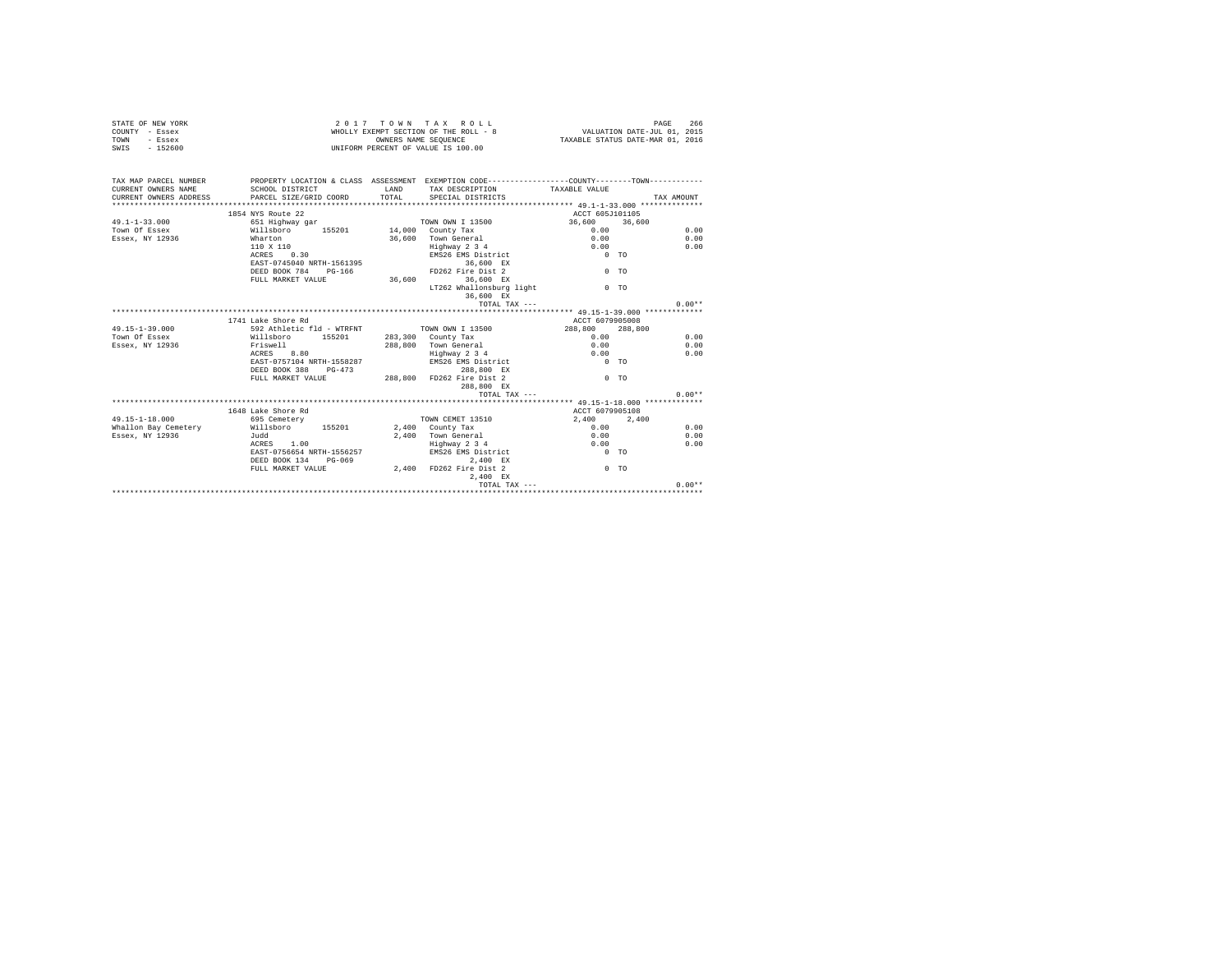| STATE OF NEW YORK<br>COUNTY - Essex<br>- Essex<br>TOWN<br>SWIS - 152600                                                                                             |                                                   |                      | 2017 TOWN TAX ROLL<br>WHOLLY EXEMPT SECTION OF THE ROLL - 8 VALUATION DATE-JUL 01, 2015<br>OWNERS NAME SEQUENCE<br>UNIFORM PERCENT OF VALUE IS 100.00 | TAXABLE STATUS DATE-MAR 01, 2016 | PAGE<br>266 |
|---------------------------------------------------------------------------------------------------------------------------------------------------------------------|---------------------------------------------------|----------------------|-------------------------------------------------------------------------------------------------------------------------------------------------------|----------------------------------|-------------|
| TAX MAP PARCEL NUMBER PROPERTY LOCATION & CLASS ASSESSMENT EXEMPTION CODE---------------COUNTY-------TOWN---------<br>CURRENT OWNERS NAME<br>CURRENT OWNERS ADDRESS | SCHOOL DISTRICT<br>PARCEL SIZE/GRID COORD         | <b>LAND</b><br>TOTAL | TAX DESCRIPTION<br>SPECIAL DISTRICTS                                                                                                                  | TAXABLE VALUE                    | TAX AMOUNT  |
|                                                                                                                                                                     |                                                   |                      |                                                                                                                                                       |                                  |             |
|                                                                                                                                                                     | 1854 NYS Route 22                                 |                      |                                                                                                                                                       | ACCT 605J101105                  |             |
| $49.1 - 1 - 33.000$                                                                                                                                                 |                                                   |                      |                                                                                                                                                       | $36,600$ $36,600$<br>0.00        | 0.00        |
| Town Of Essex<br>Essex, NY 12936                                                                                                                                    | Wharton                                           |                      | 36,600 Town General                                                                                                                                   | 0.00                             | 0.00        |
|                                                                                                                                                                     | 110 X 110                                         |                      |                                                                                                                                                       |                                  | 0.00        |
|                                                                                                                                                                     | $ACRRS = 0.30$                                    |                      | Enghway 2 3 4 0.00<br>EMS26 EMS District 0 TO                                                                                                         |                                  |             |
|                                                                                                                                                                     | EAST-0745040 NRTH-1561395                         |                      | 36,600 EX                                                                                                                                             |                                  |             |
|                                                                                                                                                                     | DEED BOOK 784 PG-166                              |                      | FD262 Fire Dist 2                                                                                                                                     | $0$ TO                           |             |
|                                                                                                                                                                     | FULL MARKET VALUE 36,600 36,600 EX                |                      |                                                                                                                                                       |                                  |             |
|                                                                                                                                                                     |                                                   |                      | LT262 Whallonsburg light                                                                                                                              | 0 <sub>0</sub>                   |             |
|                                                                                                                                                                     |                                                   |                      | 36,600 EX                                                                                                                                             |                                  |             |
|                                                                                                                                                                     |                                                   |                      | TOTAL TAX ---                                                                                                                                         |                                  | $0.00**$    |
|                                                                                                                                                                     |                                                   |                      |                                                                                                                                                       |                                  |             |
|                                                                                                                                                                     | 1741 Lake Shore Rd                                |                      |                                                                                                                                                       | ACCT 6079905008                  |             |
| $49.15 - 1 - 39.000$                                                                                                                                                | 592 Athletic fld - WTRFNT TOWN OWN I 13500        |                      |                                                                                                                                                       | 288,800 288,800                  |             |
| Town Of Essex                                                                                                                                                       | Willsboro 155201 283,300 County Tax               |                      |                                                                                                                                                       | $0.00 -$                         | 0.00        |
| Essex, NY 12936                                                                                                                                                     | Friswell<br>ACRES 8.80                            |                      | 288,800 Town General<br>Highway 2 3 4                                                                                                                 | 0.00                             | 0.00        |
|                                                                                                                                                                     |                                                   |                      |                                                                                                                                                       | 0.00                             | 0.00        |
|                                                                                                                                                                     | EAST-0757104 NRTH-1558287                         |                      | EMS26 EMS District                                                                                                                                    | $0$ TO                           |             |
|                                                                                                                                                                     | DEED BOOK 388 PG-473                              |                      | 288,800 EX<br>DEED BOOK 388 PG-473 288,800 ED262 Fire Dist 2<br>FULL MARKET VALUE 288,800 FD262 Fire Dist 2                                           |                                  |             |
|                                                                                                                                                                     |                                                   |                      |                                                                                                                                                       | $0$ TO                           |             |
|                                                                                                                                                                     |                                                   |                      | 288,800 EX                                                                                                                                            |                                  |             |
|                                                                                                                                                                     |                                                   |                      | TOTAL TAX $---$                                                                                                                                       |                                  | $0.00**$    |
|                                                                                                                                                                     |                                                   |                      |                                                                                                                                                       |                                  |             |
|                                                                                                                                                                     | 1648 Lake Shore Rd                                |                      |                                                                                                                                                       | ACCT 6079905108                  |             |
| 49.15-1-18.000                                                                                                                                                      | 695 Cemetery                                      |                      | TOWN CEMET 13510                                                                                                                                      | 2.400 2.400                      |             |
| Whallon Bay Cemetery Millsboro 155201 2,400 County Tax                                                                                                              |                                                   |                      |                                                                                                                                                       | 0.00                             | 0.00        |
| Essex, NY 12936                                                                                                                                                     | Judd<br>ACRES 1.00                                |                      | 2.400 Town General<br>Highway 2 3 4                                                                                                                   | 0.00<br>0.00                     | 0.00        |
|                                                                                                                                                                     |                                                   |                      |                                                                                                                                                       | $0$ TO                           | 0.00        |
|                                                                                                                                                                     | EAST-0756654 NRTH-1556257<br>DEED BOOK 134 PG-069 |                      | EMS26 EMS District<br>2,400 EX                                                                                                                        |                                  |             |
|                                                                                                                                                                     |                                                   |                      | DEED BOOK 134 PG-069 2,400 2,400 EX<br>FULL MARKET VALUE 2,400 FD262 Fire Dist 2                                                                      | $0$ TO                           |             |
|                                                                                                                                                                     |                                                   |                      | 2.400 EX                                                                                                                                              |                                  |             |
|                                                                                                                                                                     |                                                   |                      | TOTAL TAX ---                                                                                                                                         |                                  | $0.00**$    |
|                                                                                                                                                                     |                                                   |                      |                                                                                                                                                       |                                  |             |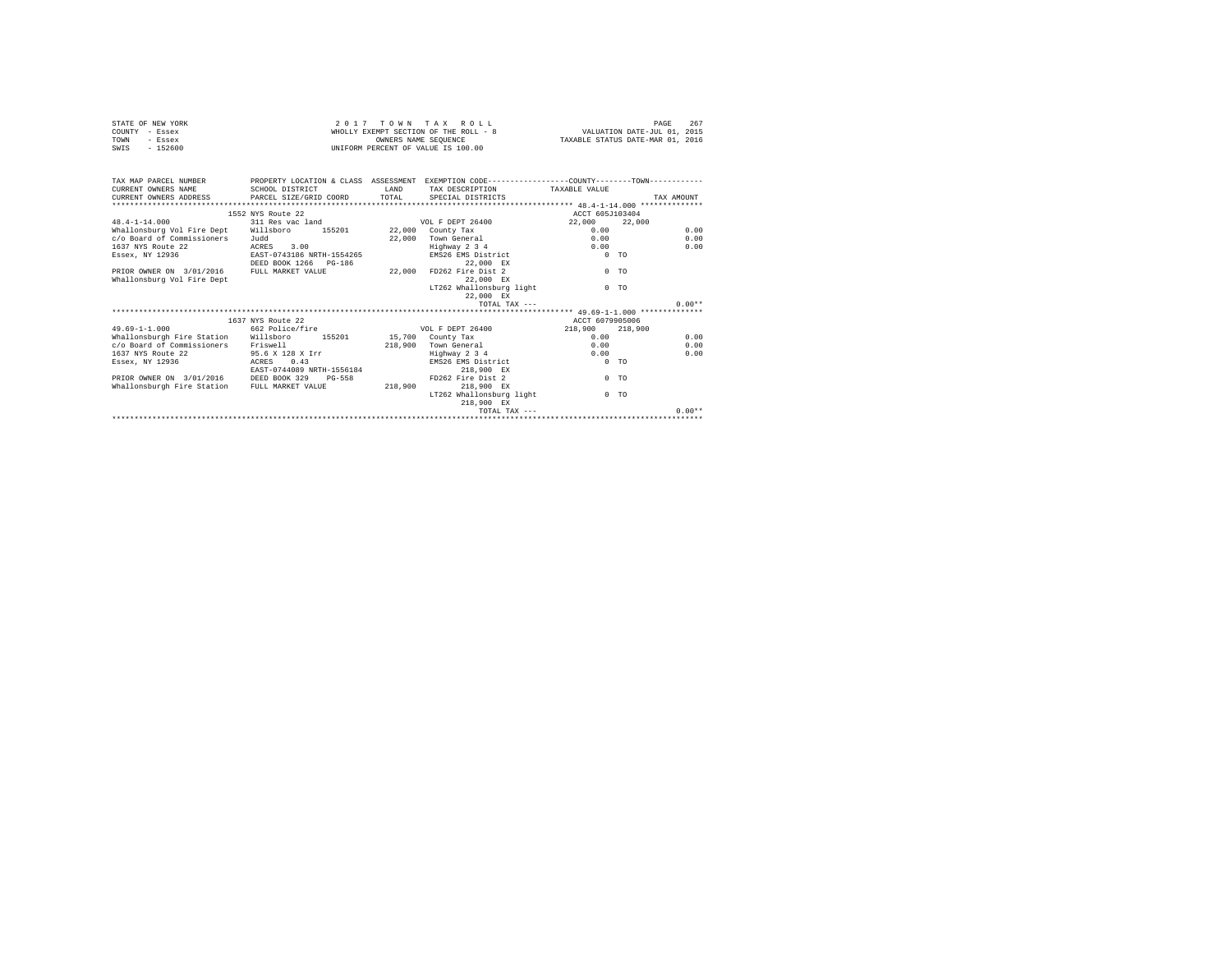| STATE OF NEW YORK | 2017 TOWN TAX ROLL                    | 267<br>PAGE                      |
|-------------------|---------------------------------------|----------------------------------|
| COUNTY - Essex    | WHOLLY EXEMPT SECTION OF THE ROLL - 8 | VALUATION DATE-JUL 01, 2015      |
| TOWN<br>$-$ Essex | OWNERS NAME SEOUENCE                  | TAXABLE STATUS DATE-MAR 01, 2016 |
| SWIS<br>$-152600$ | UNIFORM PERCENT OF VALUE IS 100.00    |                                  |

| TAX MAP PARCEL NUMBER PROPERTY LOCATION & CLASS ASSESSMENT EXEMPTION CODE---------------COUNTY--------TOWN----------<br>CURRENT OWNERS NAME | SCHOOL DISTRICT                      | <b>T.AND</b> | TAX DESCRIPTION TAXABLE VALUE    |                 |                |
|---------------------------------------------------------------------------------------------------------------------------------------------|--------------------------------------|--------------|----------------------------------|-----------------|----------------|
| CURRENT OWNERS ADDRESS 6 PARCEL SIZE/GRID COORD 6 TOTAL SPECIAL DISTRICTS                                                                   |                                      |              |                                  |                 | TAX AMOUNT     |
|                                                                                                                                             |                                      |              |                                  |                 |                |
|                                                                                                                                             | 1552 NYS Route 22                    |              |                                  | ACCT 605J103404 |                |
| 48.4-1-14.000                                                                                                                               | 311 Res vac land 50 VOL F DEPT 26400 |              |                                  | 22,000          | 22,000         |
| Whallonsburg Vol Fire Dept Willsboro                                                                                                        | 155201 22,000 County Tax             |              |                                  | 0.00            | 0.00           |
| c/o Board of Commissioners                                                                                                                  | Judd                                 | 22,000       | Town General                     | 0.00            | 0.00           |
| 1637 NYS Route 22                                                                                                                           | ACRES 3.00                           |              | Highway 2 3 4                    | 0.00            | 0.00           |
| Essex, NY 12936                                                                                                                             | EAST-0743186 NRTH-1554265            |              | EMS26 EMS District               |                 | 0 <sub>0</sub> |
|                                                                                                                                             | DEED BOOK 1266 PG-186                |              | 22.000 EX                        |                 |                |
| PRIOR OWNER ON 3/01/2016 FULL MARKET VALUE                                                                                                  |                                      | 22,000       | FD262 Fire Dist 2                |                 | 0 <sub>0</sub> |
| Whallonsburg Vol Fire Dept                                                                                                                  |                                      |              | 22.000 EX                        |                 |                |
|                                                                                                                                             |                                      |              | LT262 Whallonsburg light         |                 | $0$ TO         |
|                                                                                                                                             |                                      |              | 22.000 EX                        |                 |                |
|                                                                                                                                             |                                      |              | TOTAL TAX $---$                  |                 | $0.00**$       |
|                                                                                                                                             |                                      |              |                                  |                 |                |
|                                                                                                                                             | 1637 NYS Route 22                    |              |                                  | ACCT 6079905006 |                |
| $49.69 - 1 - 1.000$                                                                                                                         | 662 Police/fire                      |              | VOL F DEPT 26400 218.900 218.900 |                 |                |
| Whallonsburgh Fire Station Willsboro 155201 15,700 County Tax                                                                               |                                      |              |                                  | 0.00            | 0.00           |
| c/o Board of Commissioners Friswell                                                                                                         |                                      | 218,900      | Town General Town Control        | 0.00            | 0.00           |
| 1637 NYS Route 22                                                                                                                           | 95.6 X 128 X Irr                     |              | Highway 2 3 4                    | 0.00            | 0.00           |
|                                                                                                                                             |                                      |              |                                  |                 | 0 <sub>0</sub> |
| Essex, NY 12936                                                                                                                             | ACRES 0.43                           |              | EMS26 EMS District               |                 |                |
|                                                                                                                                             | EAST-0744089 NRTH-1556184            |              | 218,900 EX                       |                 |                |
| PRIOR OWNER ON 3/01/2016 DEED BOOK 329                                                                                                      | $PG-558$                             |              | FD262 Fire Dist 2                |                 | $0$ TO         |
| Whallonsburgh Fire Station FULL MARKET VALUE                                                                                                |                                      | 218,900      | 218,900 EX                       |                 |                |
|                                                                                                                                             |                                      |              | LT262 Whallonsburg light         |                 | 0 <sub>0</sub> |
|                                                                                                                                             |                                      |              | 218,900 EX                       |                 |                |
|                                                                                                                                             |                                      |              | TOTAL TAX ---                    |                 | $0.00**$       |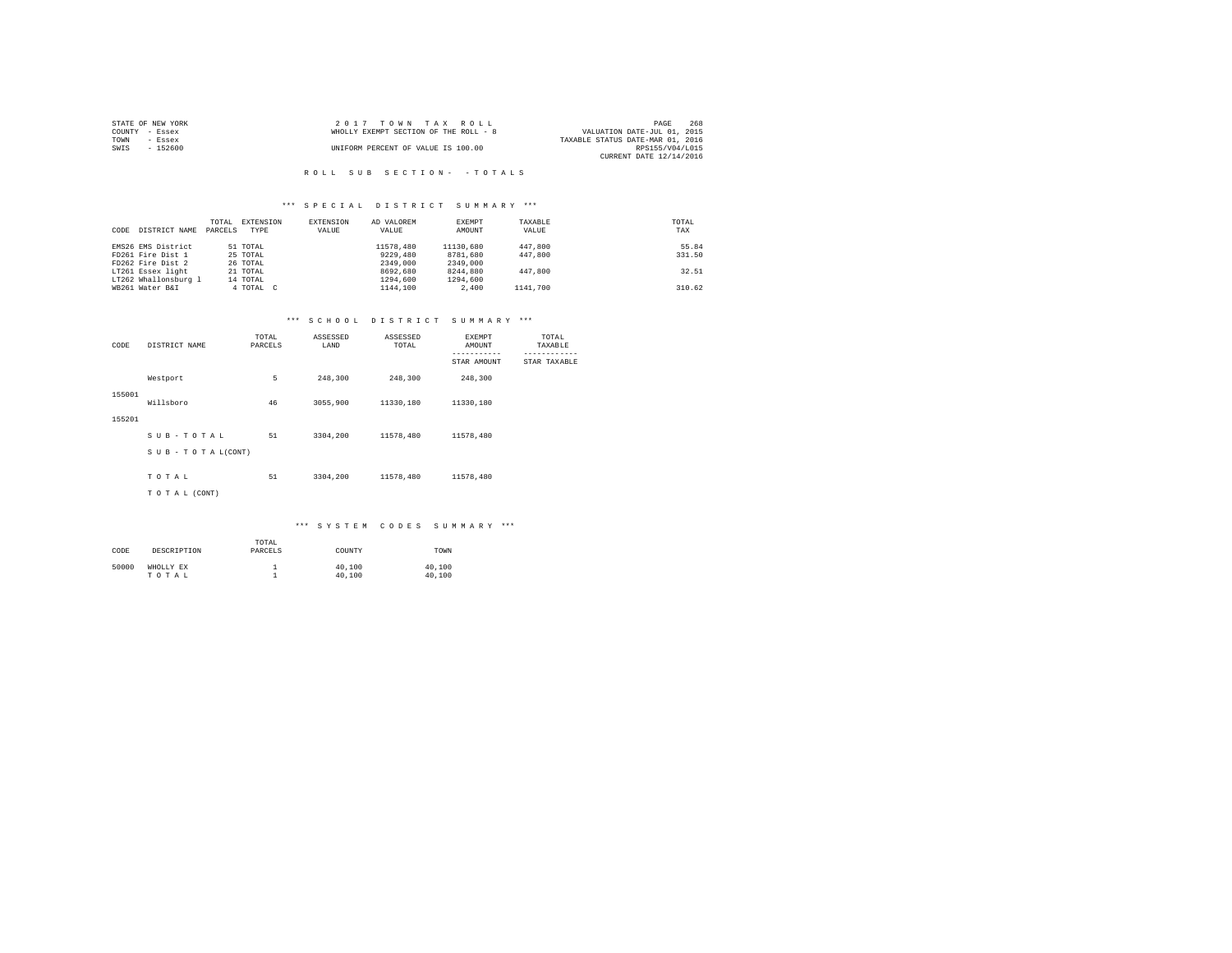| STATE OF NEW YORK | $2.017$ TOWN TAX ROLL                 | 268<br>PAGE                      |
|-------------------|---------------------------------------|----------------------------------|
| COUNTY - Essex    | WHOLLY EXEMPT SECTION OF THE ROLL - 8 | VALUATION DATE-JUL 01, 2015      |
| TOWN<br>$-$ Essex |                                       | TAXABLE STATUS DATE-MAR 01, 2016 |
| SWIS<br>$-152600$ | UNIFORM PERCENT OF VALUE IS 100.00    | RPS155/V04/L015                  |
|                   |                                       | CURRENT DATE 12/14/2016          |

### R O L L S U B S E C T I O N - - T O T A L S

### \*\*\* S P E C I A L D I S T R I C T S U M M A R Y \*\*\*

| CODE | DISTRICT NAME        | TOTAL<br>PARCELS | EXTENSION<br>TYPE | EXTENSION<br>VALUE | AD VALOREM<br>VALUE | EXEMPT<br>AMOUNT | TAXABLE<br>VALUE | TOTAL<br>TAX |
|------|----------------------|------------------|-------------------|--------------------|---------------------|------------------|------------------|--------------|
|      | EMS26 EMS District   |                  | 51 TOTAL          |                    | 11578,480           | 11130,680        | 447,800          | 55.84        |
|      | FD261 Fire Dist 1    |                  | 25 TOTAL          |                    | 9229,480            | 8781,680         | 447,800          | 331.50       |
|      | FD262 Fire Dist 2    |                  | 26 TOTAL          |                    | 2349,000            | 2349,000         |                  |              |
|      | LT261 Essex light    |                  | 21 TOTAL          |                    | 8692,680            | 8244.880         | 447,800          | 32.51        |
|      | LT262 Whallonsburg 1 |                  | 14 TOTAL          |                    | 1294,600            | 1294,600         |                  |              |
|      | WB261 Water B&I      |                  | 4 TOTAL C         |                    | 1144,100            | 2,400            | 1141,700         | 310.62       |

#### \*\*\* S C H O O L D I S T R I C T S U M M A R Y \*\*\*

| CODE   | DISTRICT NAME      | TOTAL<br>PARCELS | ASSESSED<br>LAND | ASSESSED<br>TOTAL | EXEMPT<br>AMOUNT<br>----------- | TOTAL<br>TAXABLE |
|--------|--------------------|------------------|------------------|-------------------|---------------------------------|------------------|
|        |                    |                  |                  |                   | STAR AMOUNT                     | STAR TAXABLE     |
|        | Westport           | 5                | 248,300          | 248,300           | 248,300                         |                  |
| 155001 | Willsboro          | 46               | 3055,900         | 11330.180         | 11330.180                       |                  |
| 155201 |                    |                  |                  |                   |                                 |                  |
|        | SUB-TOTAL          | 51               | 3304,200         | 11578.480         | 11578,480                       |                  |
|        | SUB - TO TAL(CONT) |                  |                  |                   |                                 |                  |
|        |                    |                  |                  |                   |                                 |                  |
|        | TOTAL              | 51               | 3304,200         | 11578.480         | 11578.480                       |                  |
|        | TO TAL (CONT)      |                  |                  |                   |                                 |                  |

# \*\*\* S Y S T E M C O D E S S U M M A R Y \*\*\*

| CODE  | DESCRIPTION        | TOTAL<br>PARCELS | COUNTY           | TOWN             |
|-------|--------------------|------------------|------------------|------------------|
| 50000 | WHOLLY EX<br>TOTAL |                  | 40,100<br>40,100 | 40,100<br>40,100 |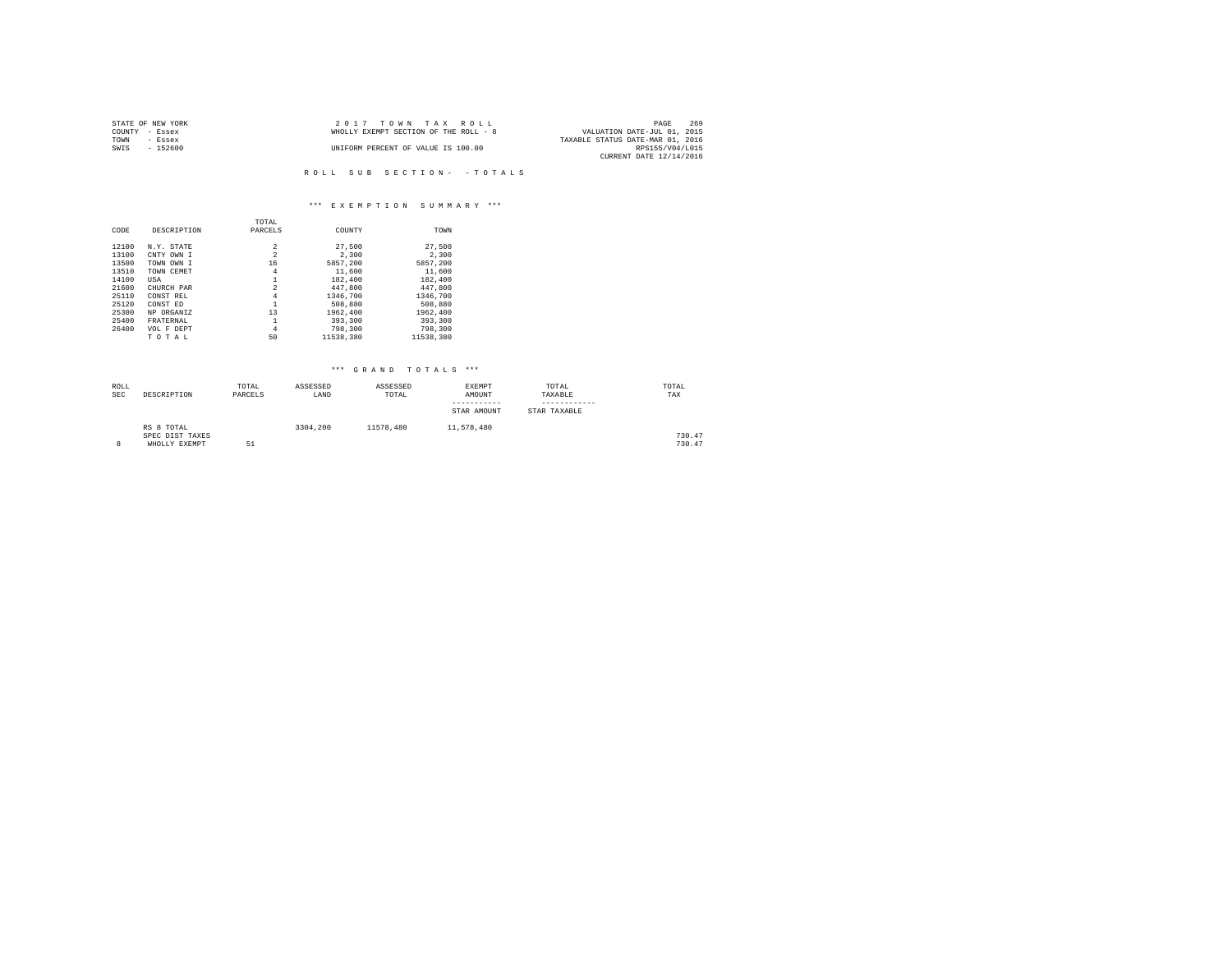| STATE OF NEW YORK | $2.017$ TOWN TAX ROLL                 | PAGE                        | 269 |
|-------------------|---------------------------------------|-----------------------------|-----|
| COUNTY - Essex    | WHOLLY EXEMPT SECTION OF THE ROLL - 8 | VALUATION DATE-JUL 01, 2015 |     |
| TOWN<br>- Essex   | TAXABLE STATUS DATE-MAR 01, 2016      |                             |     |
| $-152600$<br>SWIS | UNIFORM PERCENT OF VALUE IS 100.00    | RPS155/V04/L015             |     |
|                   |                                       | CURRENT DATE 12/14/2016     |     |

R O L L S U B S E C T I O N - - T O T A L S

# \*\*\* E X E M P T I O N S U M M A R Y \*\*\*

|       |             | TOTAL          |           |           |
|-------|-------------|----------------|-----------|-----------|
| CODE  | DESCRIPTION | PARCELS        | COUNTY    | TOWN      |
|       |             |                |           |           |
| 12100 | N.Y. STATE  | 2              | 27,500    | 27.500    |
| 13100 | CNTY OWN I  | $\overline{2}$ | 2,300     | 2,300     |
| 13500 | TOWN OWN I  | 16             | 5857.200  | 5857.200  |
| 13510 | TOWN CEMET  | 4              | 11,600    | 11,600    |
| 14100 | USA         |                | 182,400   | 182,400   |
| 21600 | CHURCH PAR  | $\overline{a}$ | 447,800   | 447.800   |
| 25110 | CONST REL   | 4              | 1346,700  | 1346,700  |
| 25120 | CONST ED    | 1              | 508,880   | 508,880   |
| 25300 | NP ORGANIZ  | 13             | 1962,400  | 1962,400  |
| 25400 | FRATERNAL   | 1              | 393,300   | 393,300   |
| 26400 | VOL F DEPT  | 4              | 798,300   | 798,300   |
|       | TOTAL       | 50             | 11538,380 | 11538.380 |

| ROLL<br><b>SEC</b> | DESCRIPTION                                    | TOTAL<br>PARCELS | ASSESSED<br>LAND | ASSESSED<br>TOTAL | EXEMPT<br>AMOUNT<br>-----------<br>STAR AMOUNT | TOTAL<br>TAXABLE<br>STAR TAXABLE | TOTAL<br>TAX     |
|--------------------|------------------------------------------------|------------------|------------------|-------------------|------------------------------------------------|----------------------------------|------------------|
| 8                  | RS 8 TOTAL<br>SPEC DIST TAXES<br>WHOLLY EXEMPT | 51               | 3304,200         | 11578.480         | 11,578,480                                     |                                  | 730.47<br>730.47 |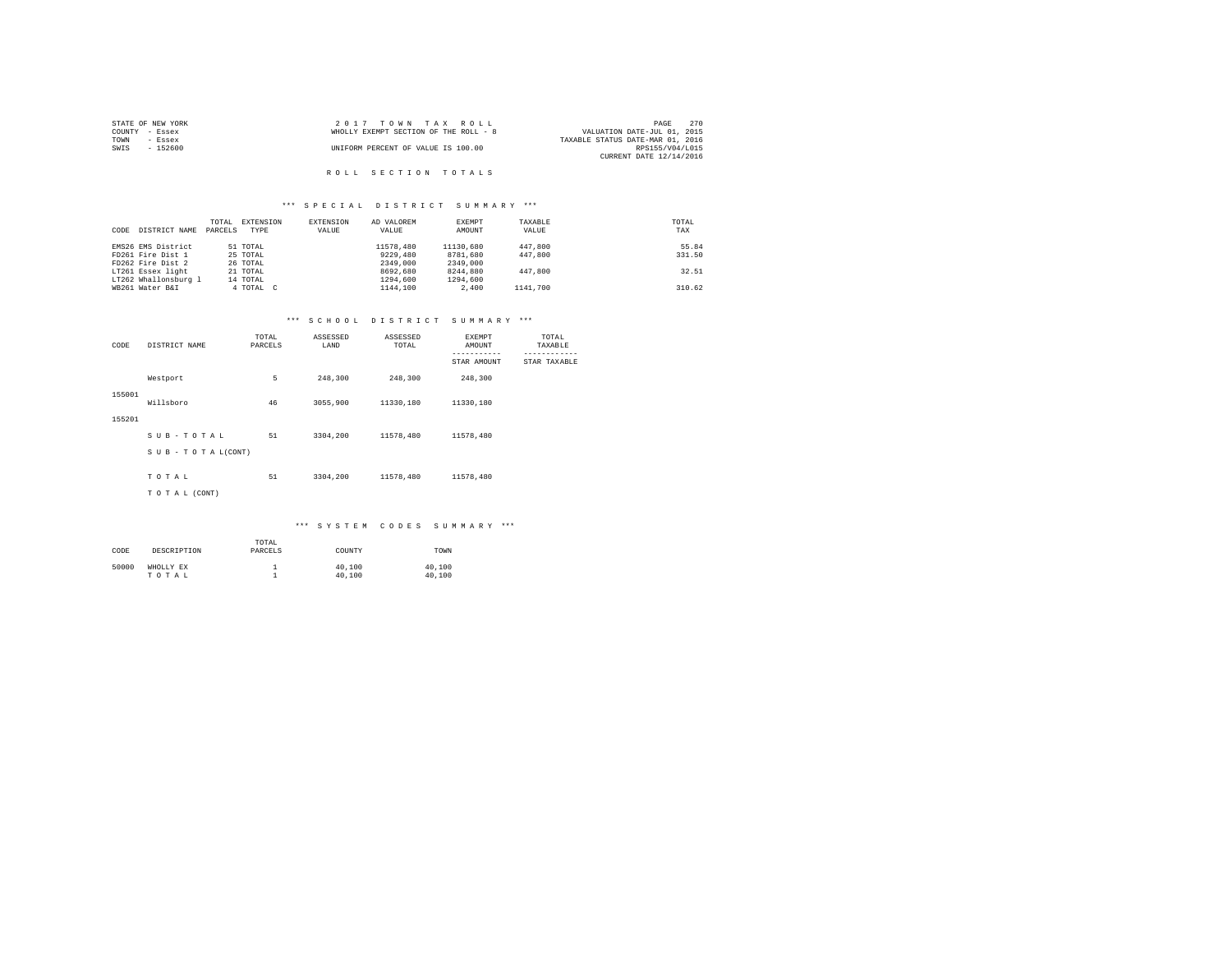|                | STATE OF NEW YORK | 2017 TOWN TAX ROLL                                                   | PAGE                    | 270 |
|----------------|-------------------|----------------------------------------------------------------------|-------------------------|-----|
| COUNTY - Essex |                   | VALUATION DATE-JUL 01, 2015<br>WHOLLY EXEMPT SECTION OF THE ROLL - 8 |                         |     |
| TOWN           | - Essex           | TAXABLE STATUS DATE-MAR 01, 2016                                     |                         |     |
| SWIS           | - 152600          | UNIFORM PERCENT OF VALUE IS 100.00                                   | RPS155/V04/L015         |     |
|                |                   |                                                                      | CURRENT DATE 12/14/2016 |     |
|                |                   |                                                                      |                         |     |

# ROLL SECTION TOTALS

## \*\*\* S P E C I A L D I S T R I C T S U M M A R Y \*\*\*

|      |                      | TOTAL   | EXTENSION | EXTENSION | AD VALOREM | EXEMPT    | TAXABLE  | TOTAL  |
|------|----------------------|---------|-----------|-----------|------------|-----------|----------|--------|
| CODE | DISTRICT NAME        | PARCELS | TYPE      | VALUE     | VALUE      | AMOUNT    | VALUE    | TAX    |
|      |                      |         |           |           |            |           |          |        |
|      | EMS26 EMS District   |         | 51 TOTAL  |           | 11578,480  | 11130,680 | 447,800  | 55.84  |
|      | FD261 Fire Dist 1    |         | 25 TOTAL  |           | 9229,480   | 8781,680  | 447,800  | 331.50 |
|      | FD262 Fire Dist 2    |         | 26 TOTAL  |           | 2349,000   | 2349,000  |          |        |
|      | LT261 Essex light    |         | 21 TOTAL  |           | 8692,680   | 8244,880  | 447,800  | 32.51  |
|      | LT262 Whallonsburg 1 |         | 14 TOTAL  |           | 1294,600   | 1294,600  |          |        |
|      | WB261 Water B&I      |         | 4 TOTAL C |           | 1144,100   | 2,400     | 1141,700 | 310.62 |

#### \*\*\* S C H O O L D I S T R I C T S U M M A R Y \*\*\*

| CODE   | DISTRICT NAME   | TOTAL<br>PARCELS | ASSESSED<br>LAND | ASSESSED<br>TOTAL | <b>EXEMPT</b><br>AMOUNT | TOTAL<br>TAXABLE |
|--------|-----------------|------------------|------------------|-------------------|-------------------------|------------------|
|        |                 |                  |                  |                   | STAR AMOUNT             | STAR TAXABLE     |
|        | Westport        | 5                | 248,300          | 248,300           | 248,300                 |                  |
| 155001 | Willsboro       | 46               | 3055,900         | 11330,180         | 11330,180               |                  |
| 155201 |                 |                  |                  |                   |                         |                  |
|        | SUB-TOTAL       | 51               | 3304,200         | 11578,480         | 11578,480               |                  |
|        | SUB-TOTAL(CONT) |                  |                  |                   |                         |                  |
|        | TOTAL           | 51               | 3304,200         | 11578,480         | 11578,480               |                  |
|        |                 |                  |                  |                   |                         |                  |
|        | TO TAL (CONT)   |                  |                  |                   |                         |                  |

# \*\*\* S Y S T E M C O D E S S U M M A R Y \*\*\*

| CODE  | DESCRIPTION        | TOTAL<br>PARCELS | COUNTY           | TOWN             |
|-------|--------------------|------------------|------------------|------------------|
| 50000 | WHOLLY EX<br>TOTAL |                  | 40,100<br>40,100 | 40,100<br>40,100 |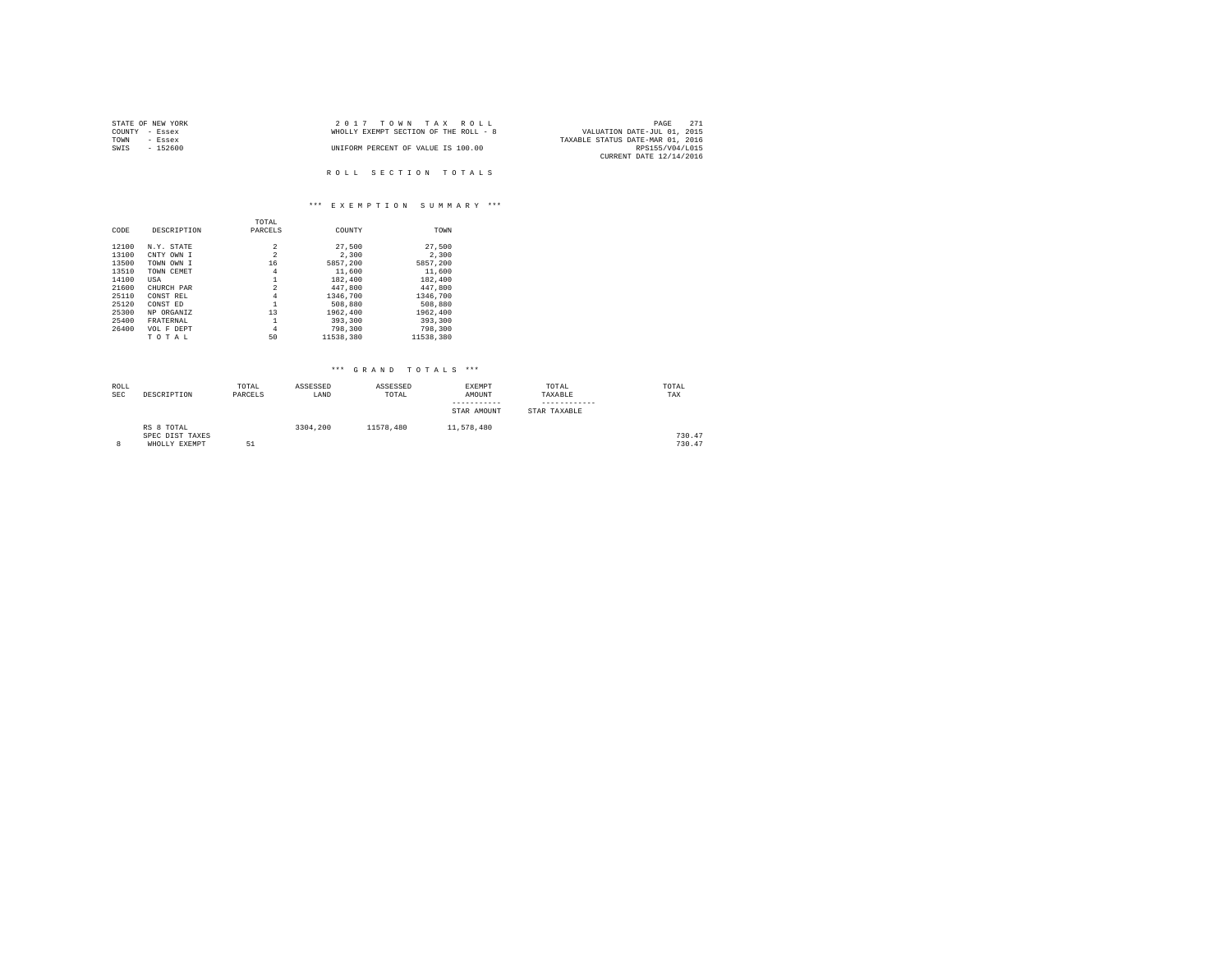| STATE OF NEW YORK | 2017 TOWN TAX ROLL                    | 271<br>PAGE                      |
|-------------------|---------------------------------------|----------------------------------|
| COUNTY - Essex    | WHOLLY EXEMPT SECTION OF THE ROLL - 8 | VALUATION DATE-JUL 01, 2015      |
| TOWN<br>- Essex   |                                       | TAXABLE STATUS DATE-MAR 01, 2016 |
| $-152600$<br>SWIS | UNIFORM PERCENT OF VALUE IS 100.00    | RPS155/V04/L015                  |
|                   |                                       | CURRENT DATE 12/14/2016          |
|                   |                                       |                                  |
|                   | ROLL SECTION TOTALS                   |                                  |

# \*\*\* E X E M P T I O N S U M M A R Y \*\*\*

|       |             | TOTAL          |           |           |
|-------|-------------|----------------|-----------|-----------|
| CODE  | DESCRIPTION | PARCELS        | COUNTY    | TOWN      |
|       |             |                |           |           |
| 12100 | N.Y. STATE  | 2              | 27,500    | 27.500    |
| 13100 | CNTY OWN I  | $\overline{a}$ | 2,300     | 2,300     |
| 13500 | TOWN OWN I  | 16             | 5857.200  | 5857.200  |
| 13510 | TOWN CEMET  | 4              | 11,600    | 11,600    |
| 14100 | USA         | 1              | 182,400   | 182,400   |
| 21600 | CHURCH PAR  | $\overline{a}$ | 447.800   | 447.800   |
| 25110 | CONST REL   | 4              | 1346,700  | 1346,700  |
| 25120 | CONST ED    | 1              | 508,880   | 508,880   |
| 25300 | NP ORGANIZ  | 13             | 1962.400  | 1962.400  |
| 25400 | FRATERNAL   | 1              | 393,300   | 393,300   |
| 26400 | VOL F DEPT  | 4              | 798,300   | 798,300   |
|       | TOTAL       | 50             | 11538,380 | 11538.380 |

| ROLL<br><b>SEC</b> | DESCRIPTION                                    | TOTAL<br>PARCELS | ASSESSED<br>LAND | ASSESSED<br>TOTAL | EXEMPT<br>AMOUNT<br>STAR AMOUNT | TOTAL<br>TAXABLE<br>STAR TAXABLE | TOTAL<br>TAX     |
|--------------------|------------------------------------------------|------------------|------------------|-------------------|---------------------------------|----------------------------------|------------------|
| 8                  | RS 8 TOTAL<br>SPEC DIST TAXES<br>WHOLLY EXEMPT | 51               | 3304,200         | 11578.480         | 11,578,480                      |                                  | 730.47<br>730.47 |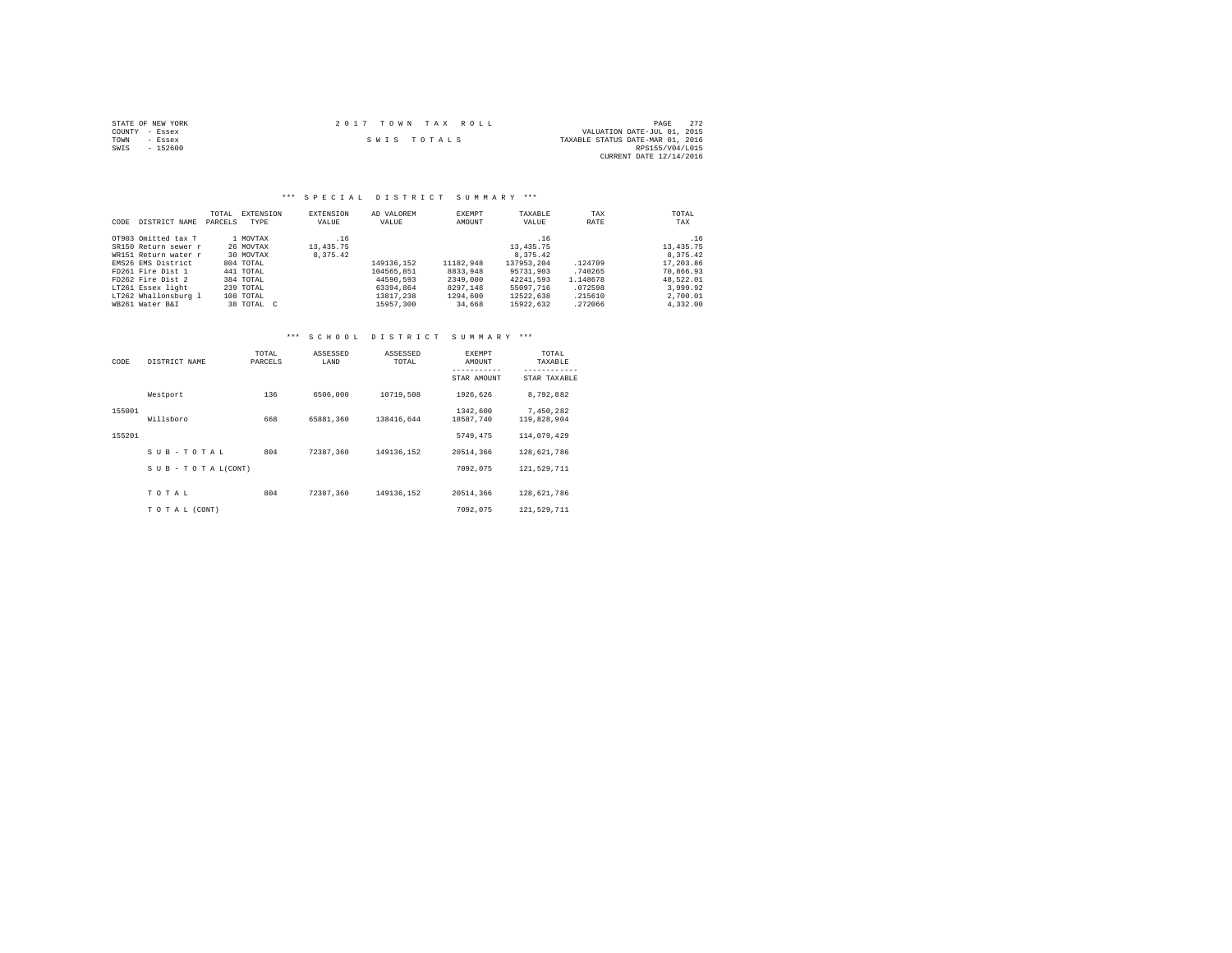|                | STATE OF NEW YORK | 2017 TOWN TAX ROLL |             |  |  |                                  | PAGE                    | 272 |
|----------------|-------------------|--------------------|-------------|--|--|----------------------------------|-------------------------|-----|
| COUNTY - Essex |                   |                    |             |  |  | VALUATION DATE-JUL 01, 2015      |                         |     |
| TOWN           | - Essex           |                    | SWIS TOTALS |  |  | TAXABLE STATUS DATE-MAR 01, 2016 |                         |     |
| SWIS           | $-152600$         |                    |             |  |  |                                  | RPS155/V04/L015         |     |
|                |                   |                    |             |  |  |                                  | CURRENT DATE 12/14/2016 |     |

# \*\*\* S P E C I A L D I S T R I C T S U M M A R Y \*\*\*

| CODE | DISTRICT NAME        | TOTAL.<br>PARCELS | EXTENSION<br>TYPE | EXTENSION<br>VALUE | AD VALOREM<br>VALUE | EXEMPT<br>AMOUNT | TAXABLE<br>VALUE | TAX<br>RATE | TOTAL<br>TAX |
|------|----------------------|-------------------|-------------------|--------------------|---------------------|------------------|------------------|-------------|--------------|
|      | OT903 Omitted tax T  |                   | 1 MOVTAX          | .16                |                     |                  | .16              |             | .16          |
|      | SR150 Return sewer r |                   | 26 MOVTAX         | 13, 435. 75        |                     |                  | 13, 435. 75      |             | 13,435.75    |
|      | WR151 Return water r |                   | 30 MOVTAX         | 8.375.42           |                     |                  | 8,375.42         |             | 8.375.42     |
|      | EMS26 EMS District   |                   | 804 TOTAL         |                    | 149136.152          | 11182.948        | 137953.204       | .124709     | 17,203.86    |
|      | FD261 Fire Dist 1    |                   | 441 TOTAL         |                    | 104565.851          | 8833,948         | 95731,903        | .740265     | 70.866.93    |
|      | FD262 Fire Dist 2    |                   | 384 TOTAL         |                    | 44590.593           | 2349,000         | 42241.593        | 1.148678    | 48.522.01    |
|      | LT261 Essex light    |                   | 239 TOTAL         |                    | 63394.864           | 8297.148         | 55097.716        | .072598     | 3.999.92     |
|      | LT262 Whallonsburg 1 |                   | 108 TOTAL         |                    | 13817,238           | 1294,600         | 12522.638        | .215610     | 2,700.01     |
|      | WB261 Water B&I      |                   | 38 TOTAL C        |                    | 15957,300           | 34,668           | 15922.632        | .272066     | 4.332.00     |

# \*\*\* S C H O O L D I S T R I C T S U M M A R Y \*\*\*

| CODE   | DISTRICT NAME             | TOTAL<br>PARCELS | ASSESSED<br>LAND | ASSESSED<br>TOTAL | EXEMPT<br>AMOUNT      | TOTAL<br>TAXABLE         |
|--------|---------------------------|------------------|------------------|-------------------|-----------------------|--------------------------|
|        |                           |                  |                  |                   | STAR AMOUNT           | STAR TAXABLE             |
|        | Westport                  | 136              | 6506,000         | 10719,508         | 1926.626              | 8,792,882                |
| 155001 | Willsboro                 | 668              | 65881.360        | 138416.644        | 1342.600<br>18587.740 | 7.450.282<br>119,828,904 |
| 155201 |                           |                  |                  |                   | 5749.475              | 114,079,429              |
|        | SUB-TOTAL                 | 804              | 72387.360        | 149136.152        | 20514.366             | 128,621,786              |
|        | $S$ U B - T O T A L(CONT) |                  |                  |                   | 7092.075              | 121,529,711              |
|        | TOTAL                     | 804              | 72387.360        | 149136.152        | 20514,366             | 128,621,786              |
|        | TO TAL (CONT)             |                  |                  |                   | 7092.075              | 121,529,711              |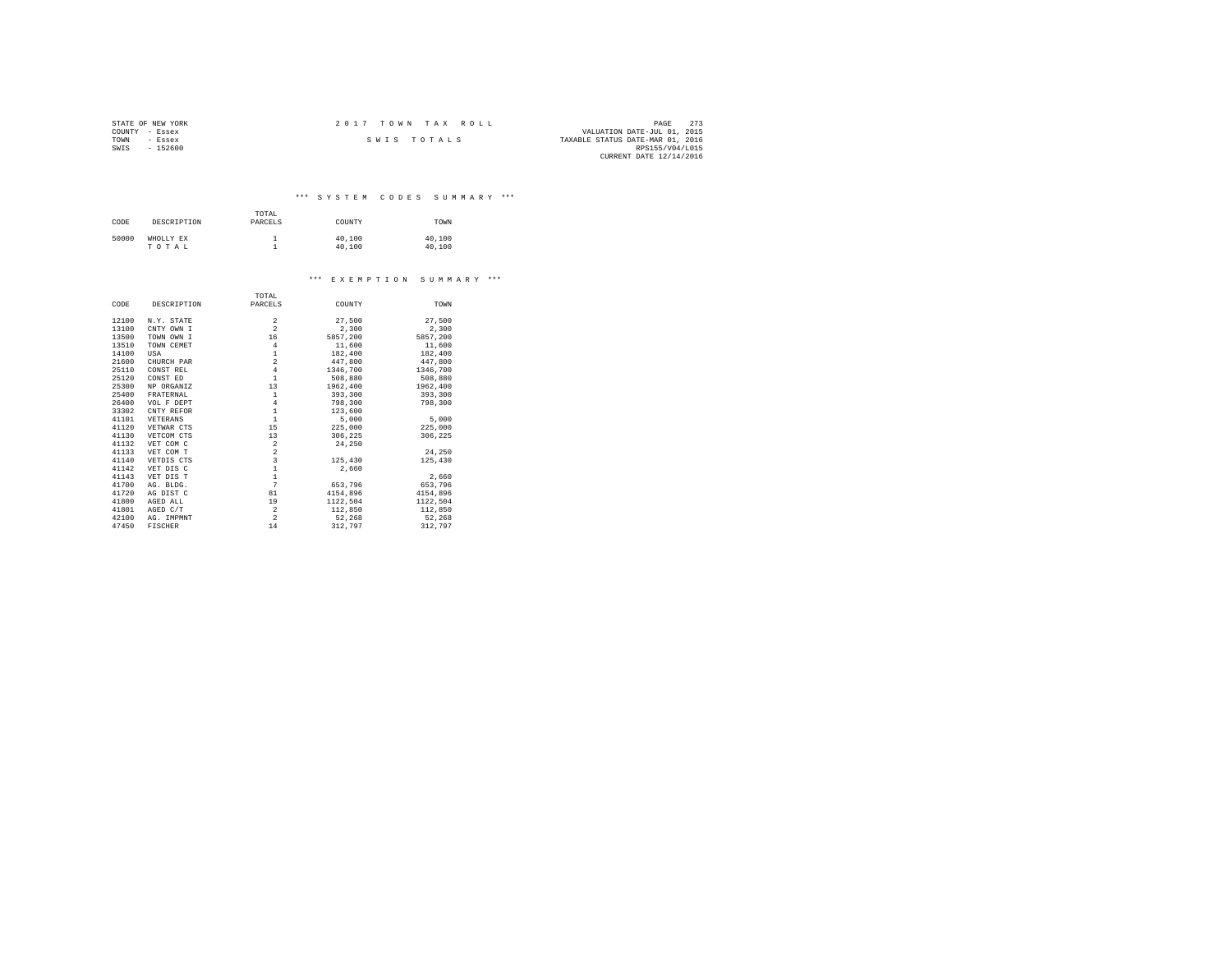| STATE OF NEW YORK | 2017 TOWN TAX ROLL | - 273<br>PAGE                    |
|-------------------|--------------------|----------------------------------|
| COUNTY - Essex    |                    | VALUATION DATE-JUL 01, 2015      |
| TOWN<br>- Essex   | SWIS TOTALS        | TAXABLE STATUS DATE-MAR 01, 2016 |
| $-152600$<br>SWIS |                    | RPS155/V04/L015                  |
|                   |                    | CURRENT DATE 12/14/2016          |

\*\*\* S Y S T E M C O D E S S U M M A R Y \*\*\*

| CODE  | DESCRIPTION        | TOTAL<br>PARCELS | COUNTY           | TOWN             |
|-------|--------------------|------------------|------------------|------------------|
| 50000 | WHOLLY EX<br>TOTAL |                  | 40,100<br>40,100 | 40,100<br>40,100 |

#### \*\*\* E X E M P T I O N S U M M A R Y \*\*\*

|       |             | TOTAL                   |          |          |
|-------|-------------|-------------------------|----------|----------|
| CODE  | DESCRIPTION | PARCELS                 | COUNTY   | TOWN     |
| 12100 | N.Y. STATE  | $\overline{a}$          | 27,500   | 27,500   |
| 13100 | CNTY OWN I  | $\overline{a}$          | 2,300    | 2,300    |
| 13500 | TOWN OWN I  | 16                      | 5857,200 | 5857,200 |
| 13510 | TOWN CEMET  | $\overline{4}$          | 11,600   | 11,600   |
| 14100 | USA         | $\,1\,$                 | 182,400  | 182,400  |
| 21600 | CHURCH PAR  | $\overline{a}$          | 447.800  | 447.800  |
| 25110 | CONST REL   | $\overline{4}$          | 1346,700 | 1346,700 |
| 25120 | CONST ED    | $\mathbf{1}$            | 508,880  | 508,880  |
| 25300 | NP ORGANIZ  | 13                      | 1962,400 | 1962,400 |
| 25400 | FRATERNAL   | $\,1\,$                 | 393,300  | 393,300  |
| 26400 | VOL F DEPT  | $\overline{4}$          | 798,300  | 798,300  |
| 33302 | CNTY REFOR  | $\mathbf 1$             | 123,600  |          |
| 41101 | VETERANS    | $\mathbf 1$             | 5,000    | 5,000    |
| 41120 | VETWAR CTS  | 15                      | 225,000  | 225,000  |
| 41130 | VETCOM CTS  | 13                      | 306,225  | 306,225  |
| 41132 | VET COM C   | $\overline{\mathbf{2}}$ | 24,250   |          |
| 41133 | VET COM T   | $\overline{a}$          |          | 24,250   |
| 41140 | VETDIS CTS  | 3                       | 125,430  | 125,430  |
| 41142 | VET DIS C   | $\frac{1}{1}$           | 2.660    |          |
| 41143 | VET DIS T   |                         |          | 2,660    |
| 41700 | AG. BLDG.   | $\overline{7}$          | 653,796  | 653.796  |
| 41720 | AG DIST C   | 81                      | 4154,896 | 4154.896 |
| 41800 | AGED ALL    | 19                      | 1122.504 | 1122,504 |
| 41801 | AGED C/T    | $\,2\,$                 | 112,850  | 112,850  |
| 42100 | AG. IMPMNT  | $\overline{a}$          | 52,268   | 52,268   |
| 47450 | FISCHER     | 14                      | 312,797  | 312.797  |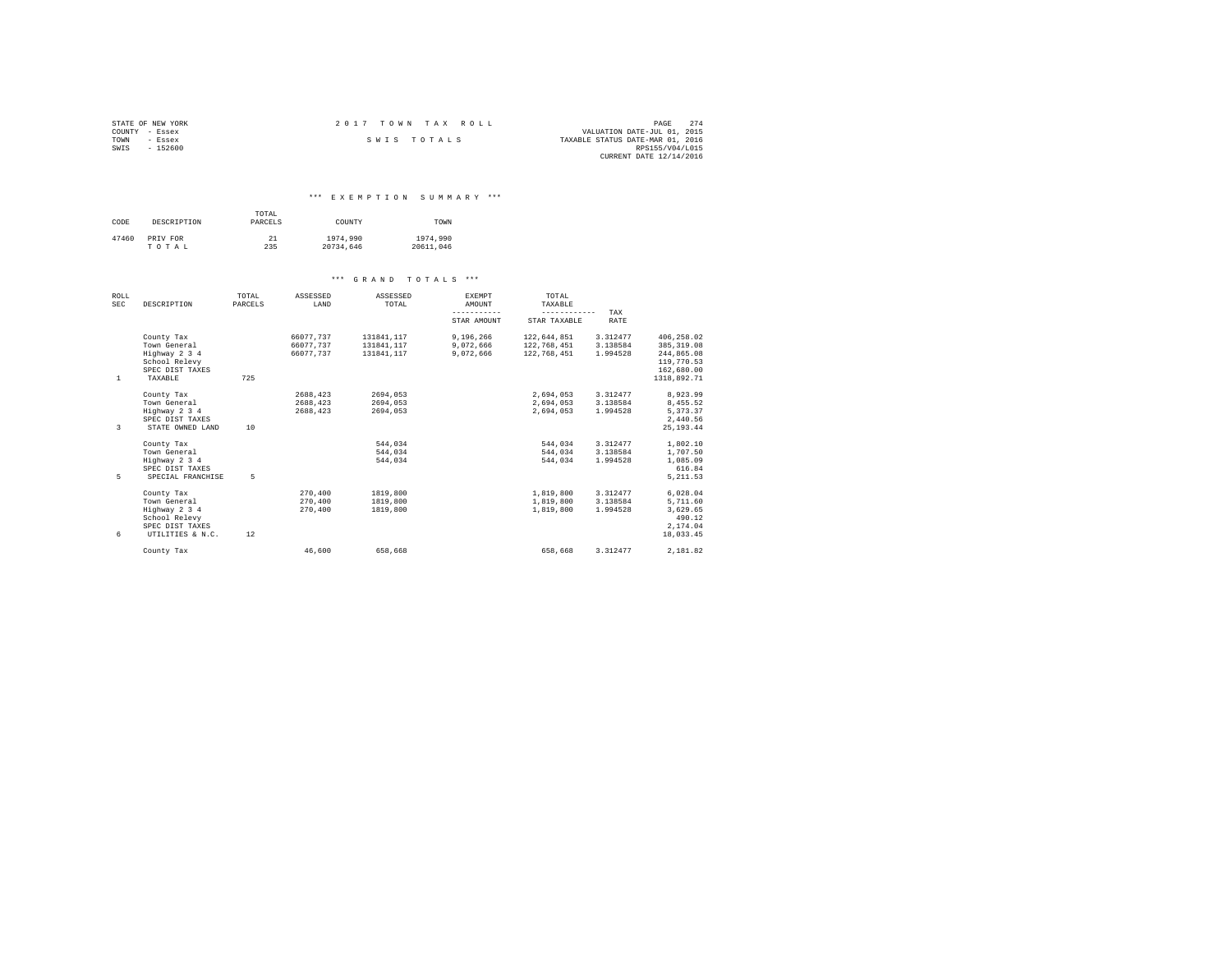| STATE OF NEW YORK | 2017 TOWN TAX ROLL<br>PAGE                      | 2.74 |
|-------------------|-------------------------------------------------|------|
| COUNTY - Essex    | VALUATION DATE-JUL 01, 2015                     |      |
| TOWN<br>- Essex   | TAXABLE STATUS DATE-MAR 01, 2016<br>SWIS TOTALS |      |
| SWIS<br>$-152600$ | RPS155/V04/L015                                 |      |
|                   | CURRENT DATE 12/14/2016                         |      |

### \*\*\* E X E M P T I O N S U M M A R Y \*\*\*

| CODE  | DESCRIPTION | TOTAL<br>PARCELS | COUNTY    | TOWN      |
|-------|-------------|------------------|-----------|-----------|
| 47460 | PRIV FOR    | 21               | 1974,990  | 1974,990  |
|       | TOTAL       | 235              | 20734.646 | 20611.046 |

| ROLL<br><b>SEC</b> | DESCRIPTION       | TOTAL<br>PARCELS | ASSESSED<br>LAND | ASSESSED<br>TOTAL | <b>EXEMPT</b><br>AMOUNT | TOTAL<br>TAXABLE |             |             |
|--------------------|-------------------|------------------|------------------|-------------------|-------------------------|------------------|-------------|-------------|
|                    |                   |                  |                  |                   | -----------             | ------------     | TAX         |             |
|                    |                   |                  |                  |                   | STAR AMOUNT             | STAR TAXABLE     | <b>RATE</b> |             |
|                    | County Tax        |                  | 66077.737        | 131841.117        | 9,196,266               | 122.644.851      | 3.312477    | 406.258.02  |
|                    | Town General      |                  | 66077.737        | 131841,117        | 9,072,666               | 122,768,451      | 3.138584    | 385, 319.08 |
|                    | Highway 2 3 4     |                  | 66077.737        | 131841.117        | 9.072.666               | 122,768,451      | 1.994528    | 244,865.08  |
|                    | School Relevy     |                  |                  |                   |                         |                  |             | 119,770.53  |
|                    | SPEC DIST TAXES   |                  |                  |                   |                         |                  |             | 162,680.00  |
| $\mathbf{1}$       | TAXABLE           | 725              |                  |                   |                         |                  |             | 1318,892.71 |
|                    | County Tax        |                  | 2688.423         | 2694.053          |                         | 2,694,053        | 3.312477    | 8,923.99    |
|                    | Town General      |                  | 2688.423         | 2694.053          |                         | 2.694.053        | 3.138584    | 8,455.52    |
|                    | Highway 2 3 4     |                  | 2688,423         | 2694.053          |                         | 2.694.053        | 1.994528    | 5,373.37    |
|                    | SPEC DIST TAXES   |                  |                  |                   |                         |                  |             | 2.440.56    |
| 3                  | STATE OWNED LAND  | 10               |                  |                   |                         |                  |             | 25, 193, 44 |
|                    | County Tax        |                  |                  | 544.034           |                         | 544.034          | 3.312477    | 1,802.10    |
|                    | Town General      |                  |                  | 544.034           |                         | 544,034          | 3.138584    | 1,707.50    |
|                    | Highway 2 3 4     |                  |                  | 544.034           |                         | 544.034          | 1.994528    | 1,085.09    |
|                    | SPEC DIST TAXES   |                  |                  |                   |                         |                  |             | 616.84      |
| 5                  | SPECIAL FRANCHISE | 5                |                  |                   |                         |                  |             | 5, 211.53   |
|                    | County Tax        |                  | 270,400          | 1819,800          |                         | 1,819,800        | 3.312477    | 6.028.04    |
|                    | Town General      |                  | 270,400          | 1819,800          |                         | 1,819,800        | 3.138584    | 5,711.60    |
|                    | Highway 2 3 4     |                  | 270,400          | 1819,800          |                         | 1,819,800        | 1.994528    | 3,629.65    |
|                    | School Relevy     |                  |                  |                   |                         |                  |             | 490.12      |
|                    | SPEC DIST TAXES   |                  |                  |                   |                         |                  |             | 2.174.04    |
| 6                  | UTILITIES & N.C.  | 12               |                  |                   |                         |                  |             | 18,033.45   |
|                    | County Tax        |                  | 46.600           | 658,668           |                         | 658,668          | 3.312477    | 2.181.82    |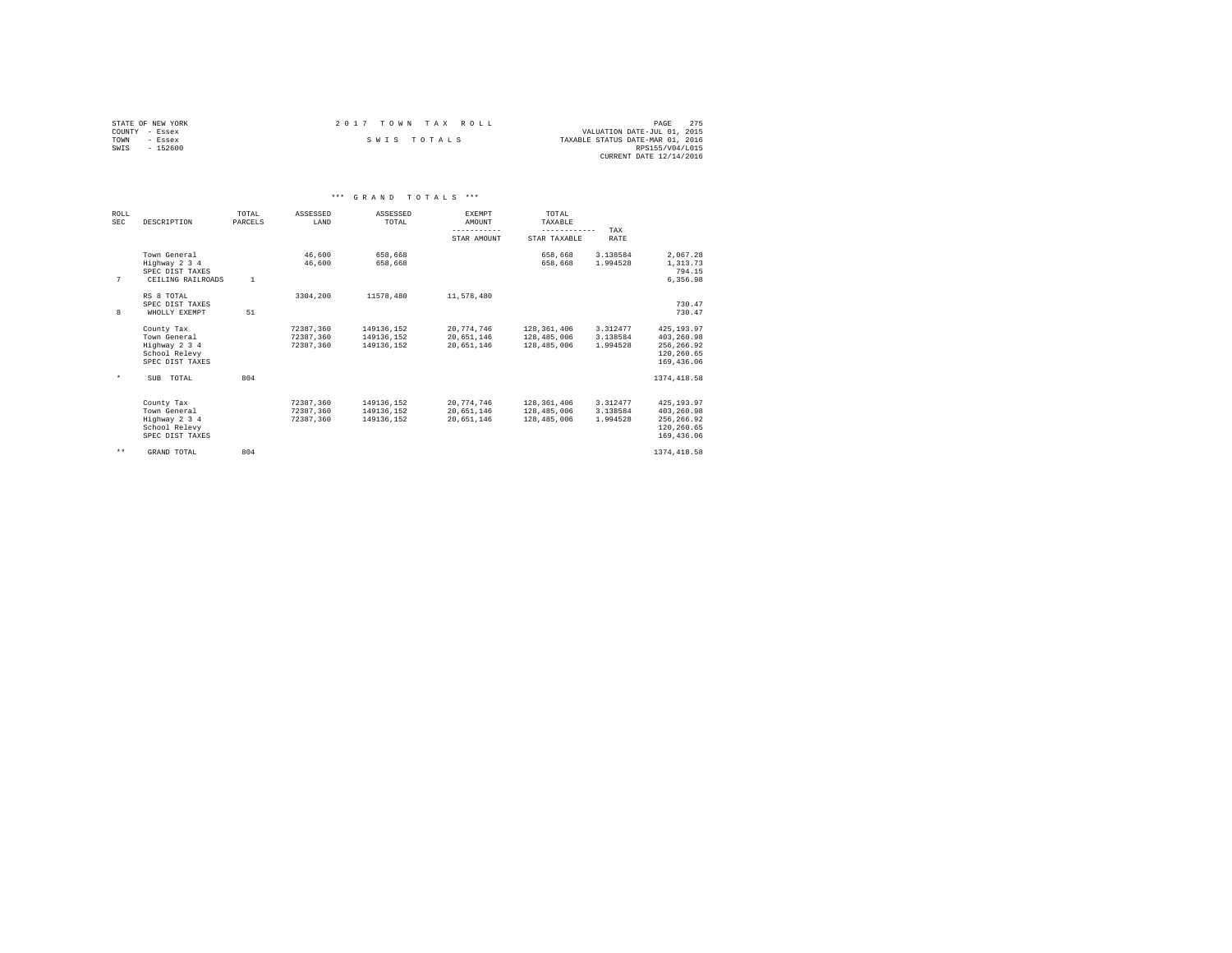| STATE OF NEW YORK | 2017 TOWN TAX ROLL | 275<br>PAGE                      |
|-------------------|--------------------|----------------------------------|
| COUNTY - Essex    |                    | VALUATION DATE-JUL 01, 2015      |
| TOWN<br>- Essex   | SWIS TOTALS        | TAXABLE STATUS DATE-MAR 01, 2016 |
| SWIS<br>- 152600  |                    | RPS155/V04/L015                  |
|                   |                    | CURRENT DATE 12/14/2016          |

|              |                                                                                 |                  |                                     | *** GRAND TOTALS ***                   |                                        |                                           |                                  |                                                                    |  |
|--------------|---------------------------------------------------------------------------------|------------------|-------------------------------------|----------------------------------------|----------------------------------------|-------------------------------------------|----------------------------------|--------------------------------------------------------------------|--|
| ROLT.<br>SEC | DESCRIPTION                                                                     | TOTAL<br>PARCELS | ASSESSED<br>LAND                    | ASSESSED<br>TOTAL                      | <b>EXEMPT</b><br>AMOUNT<br>----------- | TOTAL<br>TAXABLE<br>------------          | TAX                              |                                                                    |  |
|              |                                                                                 |                  |                                     |                                        | STAR AMOUNT                            | STAR TAXABLE                              | RATE                             |                                                                    |  |
| 7            | Town General<br>Highway 2 3 4<br>SPEC DIST TAXES<br>CEILING RAILROADS           | $\mathbf{1}$     | 46.600<br>46,600                    | 658,668<br>658,668                     |                                        | 658,668<br>658,668                        | 3.138584<br>1.994528             | 2,067.28<br>1,313.73<br>794.15<br>6.356.98                         |  |
| 8            | RS 8 TOTAL<br>SPEC DIST TAXES<br>WHOLLY EXEMPT                                  | 51               | 3304,200                            | 11578,480                              | 11,578,480                             |                                           |                                  | 730.47<br>730.47                                                   |  |
|              | County Tax<br>Town General<br>Highway 2 3 4<br>School Relevy<br>SPEC DIST TAXES |                  | 72387,360<br>72387.360<br>72387.360 | 149136,152<br>149136.152<br>149136.152 | 20.774.746<br>20.651.146<br>20.651.146 | 128,361,406<br>128,485,006<br>128,485,006 | 3.312477<br>3.138584<br>1.994528 | 425.193.97<br>403.260.98<br>256.266.92<br>120,260.65<br>169,436.06 |  |
| $\star$      | SUB TOTAL                                                                       | 804              |                                     |                                        |                                        |                                           |                                  | 1374, 418.58                                                       |  |
|              | County Tax<br>Town General<br>Highway 2 3 4<br>School Relevy<br>SPEC DIST TAXES |                  | 72387,360<br>72387.360<br>72387.360 | 149136,152<br>149136.152<br>149136.152 | 20,774,746<br>20.651.146<br>20.651.146 | 128,361,406<br>128,485,006<br>128,485,006 | 3.312477<br>3.138584<br>1.994528 | 425.193.97<br>403,260.98<br>256.266.92<br>120.260.65<br>169,436.06 |  |
| $\star\star$ | GRAND TOTAL                                                                     | 804              |                                     |                                        |                                        |                                           |                                  | 1374, 418.58                                                       |  |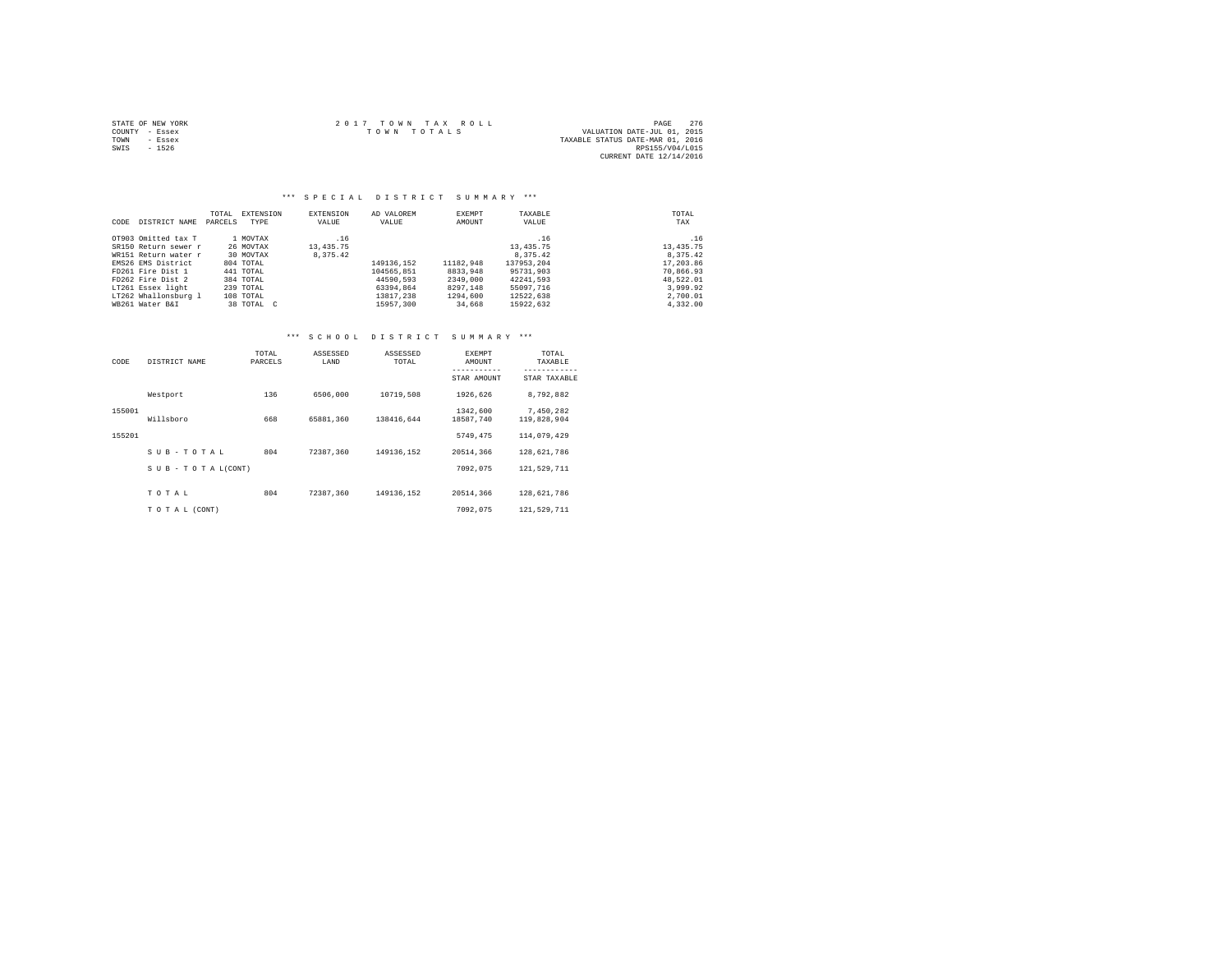|                | STATE OF NEW YORK | $2.017$ TOWN TAX ROLL                      | PAGE                    | 276 |
|----------------|-------------------|--------------------------------------------|-------------------------|-----|
| COUNTY - Essex |                   | VALUATION DATE-JUL 01, 2015<br>TOWN TOTALS |                         |     |
| TOWN           | - Essex           | TAXABLE STATUS DATE-MAR 01, 2016           |                         |     |
| SWIS           | $-1526$           |                                            | RPS155/V04/L015         |     |
|                |                   |                                            | CURRENT DATE 12/14/2016 |     |

### \*\*\* S P E C I A L D I S T R I C T S U M M A R Y \*\*\*

|      |                      | TOTAL   | EXTENSION  | EXTENSION   | AD VALOREM | EXEMPT    | TAXABLE     | TOTAL      |
|------|----------------------|---------|------------|-------------|------------|-----------|-------------|------------|
| CODE | DISTRICT NAME        | PARCELS | TYPE       | VALUE       | VALUE      | AMOUNT    | VALUE       | TAX        |
|      | OT903 Omitted tax T  |         | 1 MOVTAX   | .16         |            |           | .16         | .16        |
|      | SR150 Return sewer r |         | 26 MOVTAX  | 13, 435. 75 |            |           | 13, 435. 75 | 13, 435.75 |
|      | WR151 Return water r |         | 30 MOVTAX  | 8.375.42    |            |           | 8.375.42    | 8.375.42   |
|      | EMS26 EMS District   |         | 804 TOTAL  |             | 149136.152 | 11182.948 | 137953.204  | 17,203.86  |
|      | FD261 Fire Dist 1    |         | 441 TOTAL  |             | 104565.851 | 8833,948  | 95731.903   | 70,866.93  |
|      | FD262 Fire Dist 2    |         | 384 TOTAL  |             | 44590.593  | 2349,000  | 42241.593   | 48,522.01  |
|      | LT261 Essex light    |         | 239 TOTAL  |             | 63394,864  | 8297.148  | 55097.716   | 3,999.92   |
|      | LT262 Whallonsburg 1 |         | 108 TOTAL  |             | 13817.238  | 1294,600  | 12522.638   | 2,700.01   |
|      | WB261 Water B&I      |         | 38 TOTAL C |             | 15957,300  | 34,668    | 15922.632   | 4.332.00   |

# \*\*\* S C H O O L D I S T R I C T S U M M A R Y \*\*\*

| CODE   | DISTRICT NAME             | TOTAL<br>PARCELS | ASSESSED<br>LAND | ASSESSED<br>TOTAL | <b>EXEMPT</b><br>AMOUNT<br>----------- | TOTAL<br>TAXABLE<br>------------ |
|--------|---------------------------|------------------|------------------|-------------------|----------------------------------------|----------------------------------|
|        |                           |                  |                  |                   | STAR AMOUNT                            | STAR TAXABLE                     |
|        | Westport                  | 136              | 6506,000         | 10719,508         | 1926.626                               | 8,792,882                        |
| 155001 |                           |                  |                  |                   | 1342.600                               | 7,450,282                        |
|        | Willsboro                 | 668              | 65881.360        | 138416.644        | 18587.740                              | 119,828,904                      |
| 155201 |                           |                  |                  |                   | 5749.475                               | 114,079,429                      |
|        | SUB-TOTAL                 | 804              | 72387.360        | 149136.152        | 20514,366                              | 128,621,786                      |
|        | $S$ U B - T O T A L(CONT) |                  |                  |                   | 7092.075                               | 121,529,711                      |
|        | TOTAL                     | 804              | 72387.360        | 149136,152        | 20514.366                              | 128,621,786                      |
|        | TO TAL (CONT)             |                  |                  |                   | 7092.075                               | 121,529,711                      |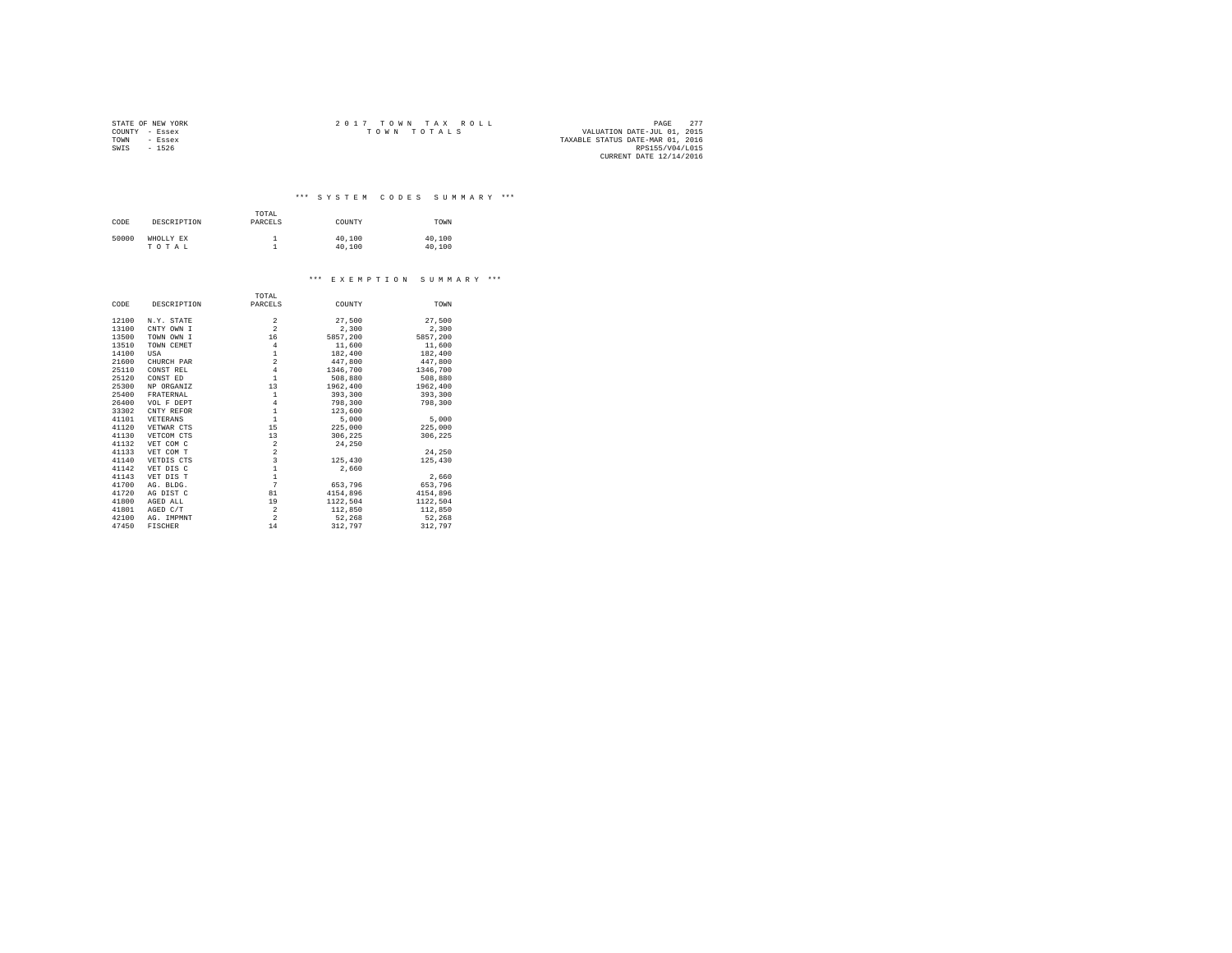|                | STATE OF NEW YORK | 2017 TOWN TAX ROLL                         | PAGE            | 277 |
|----------------|-------------------|--------------------------------------------|-----------------|-----|
| COUNTY - Essex |                   | VALUATION DATE-JUL 01, 2015<br>TOWN TOTALS |                 |     |
| TOWN           | - Essex           | TAXABLE STATUS DATE-MAR 01, 2016           |                 |     |
| SWIS           | $-1526$           |                                            | RPS155/V04/L015 |     |
|                |                   | CURRENT DATE 12/14/2016                    |                 |     |

\*\*\* S Y S T E M C O D E S S U M M A R Y \*\*\*

| TOTAL<br>the contract of the contract of the contract of |  |  |
|----------------------------------------------------------|--|--|

| CODE  | DESCRIPTION        | ------<br>PARCELS | COUNTY           | TOWN             |
|-------|--------------------|-------------------|------------------|------------------|
| 50000 | WHOLLY EX<br>TOTAL |                   | 40,100<br>40,100 | 40,100<br>40,100 |

#### \*\*\* E X E M P T I O N S U M M A R Y \*\*\*

|       |                | TOTAL                                      |          |          |
|-------|----------------|--------------------------------------------|----------|----------|
| CODE  | DESCRIPTION    | PARCELS                                    | COUNTY   | TOWN     |
| 12100 | N.Y. STATE     | 2                                          | 27,500   | 27,500   |
| 13100 | CNTY OWN I     | $\overline{a}$                             | 2,300    | 2,300    |
| 13500 | TOWN OWN I     | 16                                         | 5857,200 | 5857,200 |
| 13510 | TOWN CEMET     | $\overline{4}$                             | 11,600   | 11,600   |
| 14100 | USA            | $\,1\,$                                    | 182,400  | 182,400  |
| 21600 | CHURCH PAR     | $\overline{a}$                             | 447.800  | 447.800  |
| 25110 | CONST REL      | $\overline{4}$                             | 1346.700 | 1346.700 |
| 25120 | CONST ED       | $\mathbf{1}$                               | 508,880  | 508,880  |
| 25300 | NP ORGANIZ     | 13                                         | 1962,400 | 1962,400 |
| 25400 | FRATERNAL      | $\,1\,$                                    | 393,300  | 393,300  |
| 26400 | VOL F DEPT     | $\overline{4}$                             | 798,300  | 798,300  |
| 33302 | CNTY REFOR     | $\,1\,$                                    | 123,600  |          |
| 41101 | VETERANS       | $\mathbf 1$                                | 5,000    | 5,000    |
| 41120 | VETWAR CTS     | 15                                         | 225,000  | 225,000  |
| 41130 | VETCOM CTS     | 13                                         | 306,225  | 306,225  |
| 41132 | VET COM C      | $\overline{\mathbf{2}}$                    | 24,250   |          |
| 41133 | VET COM T      | $\frac{2}{3}$                              |          | 24.250   |
| 41140 | VETDIS CTS     |                                            | 125,430  | 125,430  |
| 41142 | VET DIS C      | $\begin{array}{c} 1 \\ 1 \\ 7 \end{array}$ | 2.660    |          |
| 41143 | VET DIS T      |                                            |          | 2,660    |
| 41700 | AG. BLDG.      |                                            | 653,796  | 653.796  |
| 41720 | AG DIST C      | 81                                         | 4154,896 | 4154,896 |
| 41800 | AGED ALL       | 19                                         | 1122.504 | 1122,504 |
| 41801 | AGED C/T       | $\,2\,$                                    | 112,850  | 112,850  |
| 42100 | AG. IMPMNT     | $\overline{a}$                             | 52,268   | 52,268   |
| 47450 | <b>FISCHER</b> | 14                                         | 312,797  | 312,797  |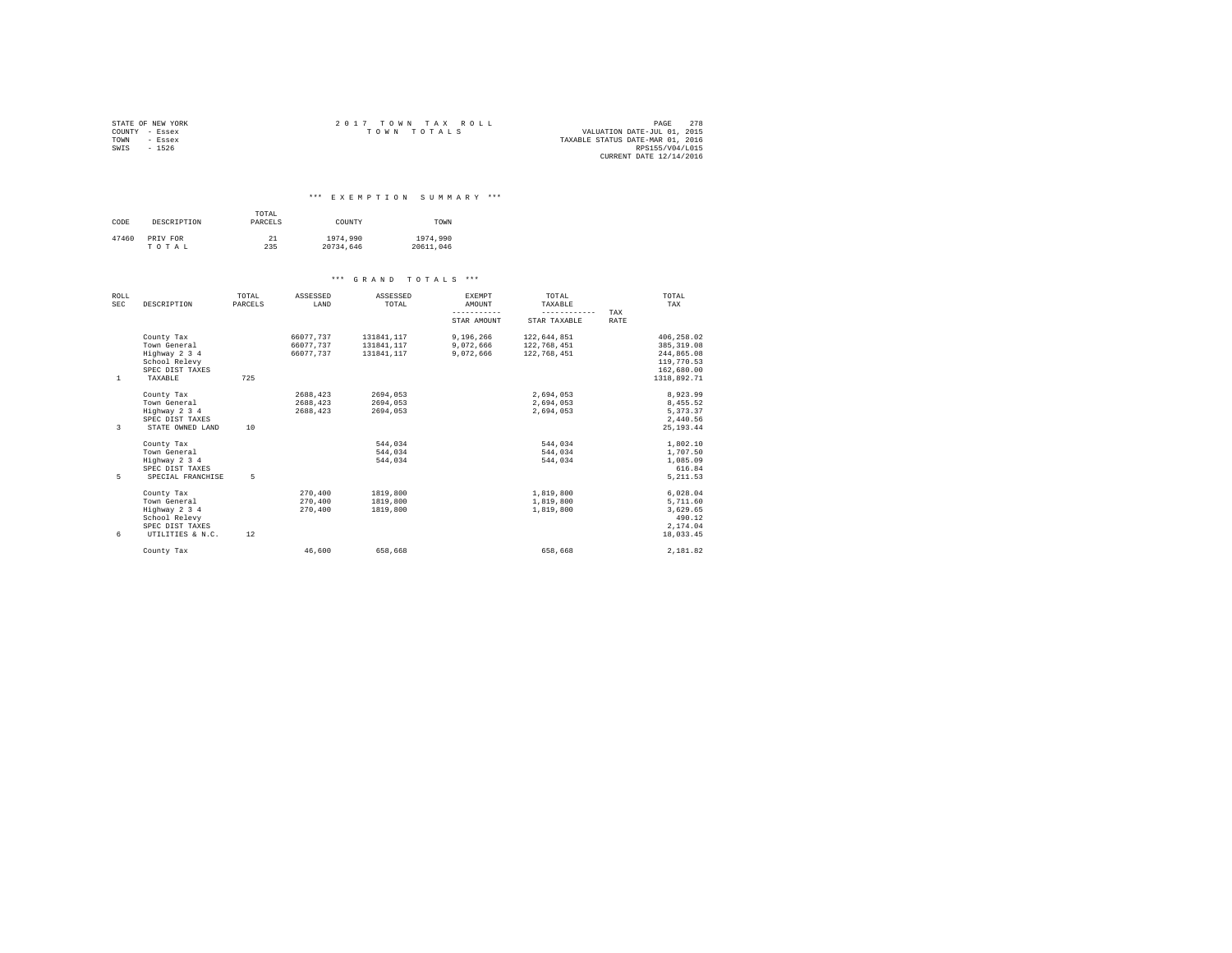| STATE OF NEW YORK | $2.017$ TOWN TAX ROLL | 278<br>PAGE                      |
|-------------------|-----------------------|----------------------------------|
| COUNTY - Essex    | TOWN TOTALS           | VALUATION DATE-JUL 01, 2015      |
| TOWN<br>- Essex   |                       | TAXABLE STATUS DATE-MAR 01, 2016 |
| SWTS<br>$-1526$   |                       | RPS155/V04/L015                  |
|                   |                       | CURRENT DATE 12/14/2016          |

#### \*\*\* E X E M P T I O N S U M M A R Y \*\*\*

| CODE  | DESCRIPTION       | TOTAL<br>PARCELS | COUNTY                | TOWN                  |  |
|-------|-------------------|------------------|-----------------------|-----------------------|--|
| 47460 | PRIV FOR<br>TOTAL | 21<br>235        | 1974,990<br>20734.646 | 1974,990<br>20611.046 |  |

| ROLL       |                   | TOTAL   | ASSESSED  | ASSESSED   | EXEMPT      | TOTAL                                                                                                                                                                                                                                                                                                                                                                                                                                                                                  | TOTAL       |  |
|------------|-------------------|---------|-----------|------------|-------------|----------------------------------------------------------------------------------------------------------------------------------------------------------------------------------------------------------------------------------------------------------------------------------------------------------------------------------------------------------------------------------------------------------------------------------------------------------------------------------------|-------------|--|
| <b>SEC</b> | DESCRIPTION       | PARCELS | LAND      | TOTAL      | AMOUNT      | TAXABLE                                                                                                                                                                                                                                                                                                                                                                                                                                                                                | TAX         |  |
|            |                   |         |           |            | ----------- | $\begin{array}{cccccccccccccc} \multicolumn{2}{c}{} & \multicolumn{2}{c}{} & \multicolumn{2}{c}{} & \multicolumn{2}{c}{} & \multicolumn{2}{c}{} & \multicolumn{2}{c}{} & \multicolumn{2}{c}{} & \multicolumn{2}{c}{} & \multicolumn{2}{c}{} & \multicolumn{2}{c}{} & \multicolumn{2}{c}{} & \multicolumn{2}{c}{} & \multicolumn{2}{c}{} & \multicolumn{2}{c}{} & \multicolumn{2}{c}{} & \multicolumn{2}{c}{} & \multicolumn{2}{c}{} & \multicolumn{2}{c}{} & \multicolumn{2}{c}{} & \$ | TAX         |  |
|            |                   |         |           |            | STAR AMOUNT | STAR TAXABLE                                                                                                                                                                                                                                                                                                                                                                                                                                                                           | <b>RATE</b> |  |
|            | County Tax        |         | 66077.737 | 131841.117 | 9,196,266   | 122.644.851                                                                                                                                                                                                                                                                                                                                                                                                                                                                            | 406.258.02  |  |
|            | Town General      |         | 66077,737 | 131841.117 | 9.072.666   | 122,768,451                                                                                                                                                                                                                                                                                                                                                                                                                                                                            | 385, 319.08 |  |
|            | Highway 2 3 4     |         | 66077.737 | 131841.117 | 9.072.666   | 122,768,451                                                                                                                                                                                                                                                                                                                                                                                                                                                                            | 244,865.08  |  |
|            | School Relevy     |         |           |            |             |                                                                                                                                                                                                                                                                                                                                                                                                                                                                                        | 119,770.53  |  |
|            | SPEC DIST TAXES   |         |           |            |             |                                                                                                                                                                                                                                                                                                                                                                                                                                                                                        | 162,680.00  |  |
| 1          | TAXABLE           | 725     |           |            |             |                                                                                                                                                                                                                                                                                                                                                                                                                                                                                        | 1318,892.71 |  |
|            | County Tax        |         | 2688,423  | 2694,053   |             | 2,694,053                                                                                                                                                                                                                                                                                                                                                                                                                                                                              | 8,923.99    |  |
|            | Town General      |         | 2688,423  | 2694.053   |             | 2,694,053                                                                                                                                                                                                                                                                                                                                                                                                                                                                              | 8,455.52    |  |
|            | Highway 2 3 4     |         | 2688,423  | 2694.053   |             | 2.694.053                                                                                                                                                                                                                                                                                                                                                                                                                                                                              | 5.373.37    |  |
|            | SPEC DIST TAXES   |         |           |            |             |                                                                                                                                                                                                                                                                                                                                                                                                                                                                                        | 2.440.56    |  |
| 3          | STATE OWNED LAND  | 10      |           |            |             |                                                                                                                                                                                                                                                                                                                                                                                                                                                                                        | 25.193.44   |  |
|            | County Tax        |         |           | 544.034    |             | 544.034                                                                                                                                                                                                                                                                                                                                                                                                                                                                                | 1,802.10    |  |
|            | Town General      |         |           | 544.034    |             | 544.034                                                                                                                                                                                                                                                                                                                                                                                                                                                                                | 1,707.50    |  |
|            | Highway 2 3 4     |         |           | 544.034    |             | 544.034                                                                                                                                                                                                                                                                                                                                                                                                                                                                                | 1,085.09    |  |
|            | SPEC DIST TAXES   |         |           |            |             |                                                                                                                                                                                                                                                                                                                                                                                                                                                                                        | 616.84      |  |
| 5          | SPECIAL FRANCHISE | 5       |           |            |             |                                                                                                                                                                                                                                                                                                                                                                                                                                                                                        | 5.211.53    |  |
|            | County Tax        |         | 270,400   | 1819,800   |             | 1,819,800                                                                                                                                                                                                                                                                                                                                                                                                                                                                              | 6,028.04    |  |
|            | Town General      |         | 270,400   | 1819,800   |             | 1,819,800                                                                                                                                                                                                                                                                                                                                                                                                                                                                              | 5,711.60    |  |
|            | Highway 2 3 4     |         | 270,400   | 1819,800   |             | 1,819,800                                                                                                                                                                                                                                                                                                                                                                                                                                                                              | 3,629.65    |  |
|            | School Relevy     |         |           |            |             |                                                                                                                                                                                                                                                                                                                                                                                                                                                                                        | 490.12      |  |
|            | SPEC DIST TAXES   |         |           |            |             |                                                                                                                                                                                                                                                                                                                                                                                                                                                                                        | 2.174.04    |  |
| 6          | UTILITIES & N.C.  | 12      |           |            |             |                                                                                                                                                                                                                                                                                                                                                                                                                                                                                        | 18,033.45   |  |
|            | County Tax        |         | 46.600    | 658,668    |             | 658,668                                                                                                                                                                                                                                                                                                                                                                                                                                                                                | 2.181.82    |  |